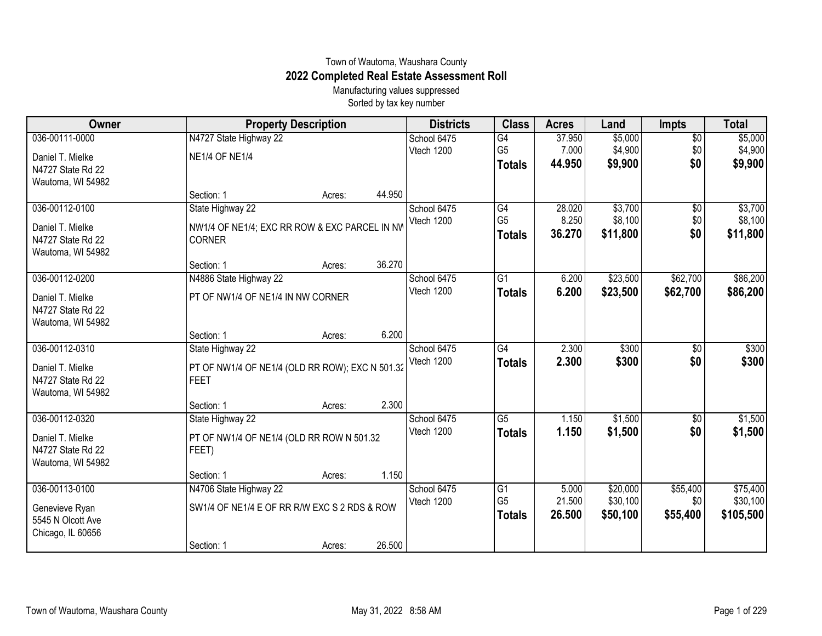## Town of Wautoma, Waushara County **2022 Completed Real Estate Assessment Roll**

Manufacturing values suppressed Sorted by tax key number

| Owner             | <b>Property Description</b>                     |        |        | <b>Districts</b> | <b>Class</b>    | <b>Acres</b> | Land     | <b>Impts</b>    | <b>Total</b> |
|-------------------|-------------------------------------------------|--------|--------|------------------|-----------------|--------------|----------|-----------------|--------------|
| 036-00111-0000    | N4727 State Highway 22                          |        |        | School 6475      | $\overline{G4}$ | 37.950       | \$5,000  | $\overline{50}$ | \$5,000      |
| Daniel T. Mielke  | <b>NE1/4 OF NE1/4</b>                           |        |        | Vtech 1200       | G <sub>5</sub>  | 7.000        | \$4,900  | \$0             | \$4,900      |
| N4727 State Rd 22 |                                                 |        |        |                  | <b>Totals</b>   | 44.950       | \$9,900  | \$0             | \$9,900      |
| Wautoma, WI 54982 |                                                 |        |        |                  |                 |              |          |                 |              |
|                   | Section: 1                                      | Acres: | 44.950 |                  |                 |              |          |                 |              |
| 036-00112-0100    | State Highway 22                                |        |        | School 6475      | G4              | 28.020       | \$3,700  | \$0             | \$3,700      |
| Daniel T. Mielke  | NW1/4 OF NE1/4; EXC RR ROW & EXC PARCEL IN NV   |        |        | Vtech 1200       | G <sub>5</sub>  | 8.250        | \$8,100  | \$0             | \$8,100      |
| N4727 State Rd 22 | <b>CORNER</b>                                   |        |        |                  | <b>Totals</b>   | 36.270       | \$11,800 | \$0             | \$11,800     |
| Wautoma, WI 54982 |                                                 |        |        |                  |                 |              |          |                 |              |
|                   | Section: 1                                      | Acres: | 36.270 |                  |                 |              |          |                 |              |
| 036-00112-0200    | N4886 State Highway 22                          |        |        | School 6475      | $\overline{G1}$ | 6.200        | \$23,500 | \$62,700        | \$86,200     |
| Daniel T. Mielke  | PT OF NW1/4 OF NE1/4 IN NW CORNER               |        |        | Vtech 1200       | <b>Totals</b>   | 6.200        | \$23,500 | \$62,700        | \$86,200     |
| N4727 State Rd 22 |                                                 |        |        |                  |                 |              |          |                 |              |
| Wautoma, WI 54982 |                                                 |        |        |                  |                 |              |          |                 |              |
|                   | Section: 1                                      | Acres: | 6.200  |                  |                 |              |          |                 |              |
| 036-00112-0310    | State Highway 22                                |        |        | School 6475      | $\overline{G4}$ | 2.300        | \$300    | \$0             | \$300        |
| Daniel T. Mielke  | PT OF NW1/4 OF NE1/4 (OLD RR ROW); EXC N 501.32 |        |        | Vtech 1200       | <b>Totals</b>   | 2.300        | \$300    | \$0             | \$300        |
| N4727 State Rd 22 | <b>FEET</b>                                     |        |        |                  |                 |              |          |                 |              |
| Wautoma, WI 54982 |                                                 |        |        |                  |                 |              |          |                 |              |
|                   | Section: 1                                      | Acres: | 2.300  |                  |                 |              |          |                 |              |
| 036-00112-0320    | State Highway 22                                |        |        | School 6475      | $\overline{G5}$ | 1.150        | \$1,500  | \$0             | \$1,500      |
| Daniel T. Mielke  | PT OF NW1/4 OF NE1/4 (OLD RR ROW N 501.32       |        |        | Vtech 1200       | <b>Totals</b>   | 1.150        | \$1,500  | \$0             | \$1,500      |
| N4727 State Rd 22 | FEET)                                           |        |        |                  |                 |              |          |                 |              |
| Wautoma, WI 54982 |                                                 |        |        |                  |                 |              |          |                 |              |
|                   | Section: 1                                      | Acres: | 1.150  |                  |                 |              |          |                 |              |
| 036-00113-0100    | N4706 State Highway 22                          |        |        | School 6475      | $\overline{G1}$ | 5.000        | \$20,000 | \$55,400        | \$75,400     |
| Genevieve Ryan    | SW1/4 OF NE1/4 E OF RR R/W EXC S 2 RDS & ROW    |        |        | Vtech 1200       | G <sub>5</sub>  | 21.500       | \$30,100 | \$0             | \$30,100     |
| 5545 N Olcott Ave |                                                 |        |        |                  | <b>Totals</b>   | 26.500       | \$50,100 | \$55,400        | \$105,500    |
| Chicago, IL 60656 |                                                 |        |        |                  |                 |              |          |                 |              |
|                   | Section: 1                                      | Acres: | 26.500 |                  |                 |              |          |                 |              |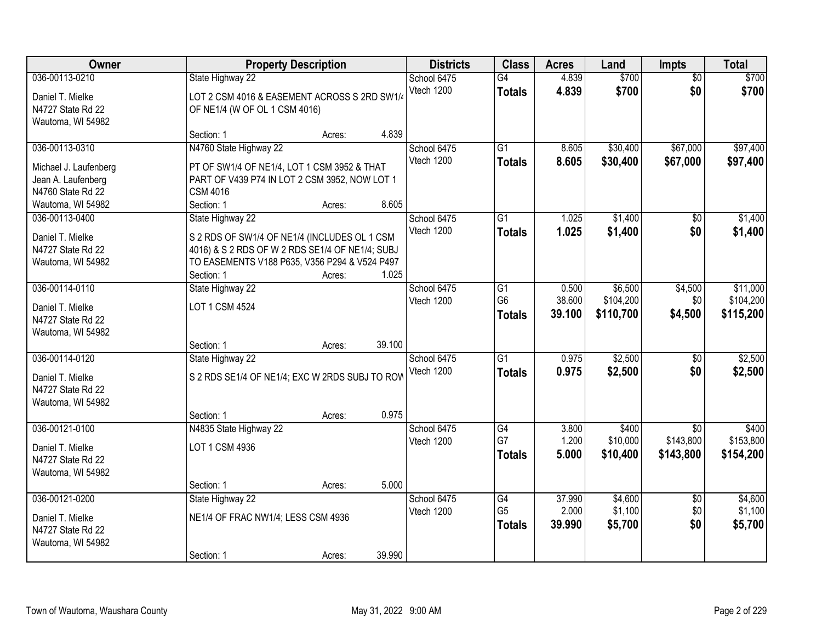| <b>Owner</b>                                                                                            | <b>Property Description</b>                                                                                                                                                                  |        | <b>Districts</b>          | <b>Class</b>                          | <b>Acres</b>              | Land                              | <b>Impts</b>                              | <b>Total</b>                       |
|---------------------------------------------------------------------------------------------------------|----------------------------------------------------------------------------------------------------------------------------------------------------------------------------------------------|--------|---------------------------|---------------------------------------|---------------------------|-----------------------------------|-------------------------------------------|------------------------------------|
| 036-00113-0210<br>Daniel T. Mielke<br>N4727 State Rd 22<br>Wautoma, WI 54982                            | State Highway 22<br>LOT 2 CSM 4016 & EASEMENT ACROSS S 2RD SW1/4<br>OF NE1/4 (W OF OL 1 CSM 4016)                                                                                            |        | School 6475<br>Vtech 1200 | G4<br><b>Totals</b>                   | 4.839<br>4.839            | \$700<br>\$700                    | $\overline{50}$<br>\$0                    | \$700<br>\$700                     |
|                                                                                                         | Section: 1<br>Acres:                                                                                                                                                                         | 4.839  |                           |                                       |                           |                                   |                                           |                                    |
| 036-00113-0310<br>Michael J. Laufenberg<br>Jean A. Laufenberg<br>N4760 State Rd 22<br>Wautoma, WI 54982 | N4760 State Highway 22<br>PT OF SW1/4 OF NE1/4, LOT 1 CSM 3952 & THAT<br>PART OF V439 P74 IN LOT 2 CSM 3952, NOW LOT 1<br><b>CSM 4016</b><br>Section: 1<br>Acres:                            | 8.605  | School 6475<br>Vtech 1200 | $\overline{G1}$<br><b>Totals</b>      | 8.605<br>8.605            | \$30,400<br>\$30,400              | \$67,000<br>\$67,000                      | \$97,400<br>\$97,400               |
| 036-00113-0400<br>Daniel T. Mielke<br>N4727 State Rd 22<br>Wautoma, WI 54982                            | State Highway 22<br>S 2 RDS OF SW1/4 OF NE1/4 (INCLUDES OL 1 CSM<br>4016) & S 2 RDS OF W 2 RDS SE1/4 OF NE1/4; SUBJ<br>TO EASEMENTS V188 P635, V356 P294 & V524 P497<br>Section: 1<br>Acres: | 1.025  | School 6475<br>Vtech 1200 | $\overline{G1}$<br><b>Totals</b>      | 1.025<br>1.025            | \$1,400<br>\$1,400                | \$0<br>\$0                                | \$1,400<br>\$1,400                 |
| 036-00114-0110<br>Daniel T. Mielke<br>N4727 State Rd 22<br>Wautoma, WI 54982                            | State Highway 22<br>LOT 1 CSM 4524<br>Section: 1<br>Acres:                                                                                                                                   | 39.100 | School 6475<br>Vtech 1200 | G1<br>G <sub>6</sub><br><b>Totals</b> | 0.500<br>38.600<br>39.100 | \$6,500<br>\$104,200<br>\$110,700 | \$4,500<br>\$0<br>\$4,500                 | \$11,000<br>\$104,200<br>\$115,200 |
| 036-00114-0120<br>Daniel T. Mielke<br>N4727 State Rd 22<br>Wautoma, WI 54982                            | State Highway 22<br>S 2 RDS SE1/4 OF NE1/4; EXC W 2RDS SUBJ TO ROW<br>Section: 1<br>Acres:                                                                                                   | 0.975  | School 6475<br>Vtech 1200 | $\overline{G1}$<br><b>Totals</b>      | 0.975<br>0.975            | \$2,500<br>\$2,500                | $\overline{50}$<br>\$0                    | \$2,500<br>\$2,500                 |
| 036-00121-0100<br>Daniel T. Mielke<br>N4727 State Rd 22<br>Wautoma, WI 54982                            | N4835 State Highway 22<br>LOT 1 CSM 4936<br>Section: 1<br>Acres:                                                                                                                             | 5.000  | School 6475<br>Vtech 1200 | G4<br>G7<br><b>Totals</b>             | 3.800<br>1.200<br>5.000   | \$400<br>\$10,000<br>\$10,400     | $\overline{50}$<br>\$143,800<br>\$143,800 | \$400<br>\$153,800<br>\$154,200    |
| 036-00121-0200<br>Daniel T. Mielke<br>N4727 State Rd 22<br>Wautoma, WI 54982                            | State Highway 22<br>NE1/4 OF FRAC NW1/4; LESS CSM 4936<br>Section: 1<br>Acres:                                                                                                               | 39.990 | School 6475<br>Vtech 1200 | G4<br>G <sub>5</sub><br><b>Totals</b> | 37.990<br>2.000<br>39.990 | \$4,600<br>\$1,100<br>\$5,700     | $\overline{30}$<br>\$0<br>\$0             | \$4,600<br>\$1,100<br>\$5,700      |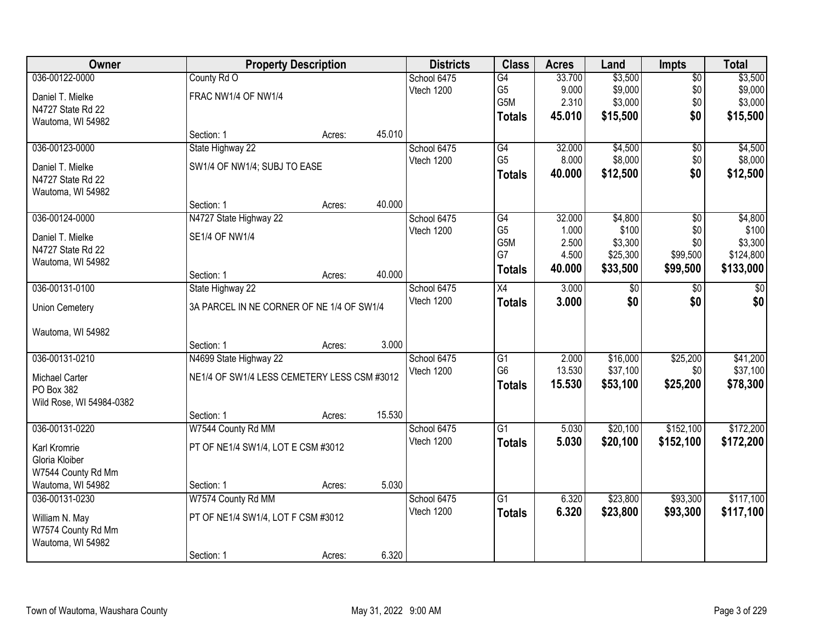| Owner                    | <b>Property Description</b>                 |        |        | <b>Districts</b> | <b>Class</b>    | <b>Acres</b> | Land     | <b>Impts</b>    | <b>Total</b>    |
|--------------------------|---------------------------------------------|--------|--------|------------------|-----------------|--------------|----------|-----------------|-----------------|
| 036-00122-0000           | County Rd O                                 |        |        | School 6475      | G4              | 33.700       | \$3,500  | $\overline{60}$ | \$3,500         |
| Daniel T. Mielke         | FRAC NW1/4 OF NW1/4                         |        |        | Vtech 1200       | G <sub>5</sub>  | 9.000        | \$9,000  | \$0             | \$9,000         |
| N4727 State Rd 22        |                                             |        |        |                  | G5M             | 2.310        | \$3,000  | \$0             | \$3,000         |
| Wautoma, WI 54982        |                                             |        |        |                  | <b>Totals</b>   | 45.010       | \$15,500 | \$0             | \$15,500        |
|                          | Section: 1                                  | Acres: | 45.010 |                  |                 |              |          |                 |                 |
| 036-00123-0000           | State Highway 22                            |        |        | School 6475      | G4              | 32.000       | \$4,500  | \$0             | \$4,500         |
| Daniel T. Mielke         | SW1/4 OF NW1/4; SUBJ TO EASE                |        |        | Vtech 1200       | G <sub>5</sub>  | 8.000        | \$8,000  | \$0             | \$8,000         |
| N4727 State Rd 22        |                                             |        |        |                  | <b>Totals</b>   | 40.000       | \$12,500 | \$0             | \$12,500        |
| Wautoma, WI 54982        | Section: 1                                  | Acres: | 40.000 |                  |                 |              |          |                 |                 |
| 036-00124-0000           | N4727 State Highway 22                      |        |        | School 6475      | G4              | 32.000       | \$4,800  | \$0             | \$4,800         |
| Daniel T. Mielke         | <b>SE1/4 OF NW1/4</b>                       |        |        | Vtech 1200       | G <sub>5</sub>  | 1.000        | \$100    | \$0             | \$100           |
| N4727 State Rd 22        |                                             |        |        |                  | G5M             | 2.500        | \$3,300  | \$0             | \$3,300         |
| Wautoma, WI 54982        |                                             |        |        |                  | G7              | 4.500        | \$25,300 | \$99,500        | \$124,800       |
|                          | Section: 1                                  | Acres: | 40.000 |                  | <b>Totals</b>   | 40.000       | \$33,500 | \$99,500        | \$133,000       |
| 036-00131-0100           | State Highway 22                            |        |        | School 6475      | X4              | 3.000        | \$0      | \$0             | $\overline{50}$ |
| <b>Union Cemetery</b>    | 3A PARCEL IN NE CORNER OF NE 1/4 OF SW1/4   |        |        | Vtech 1200       | <b>Totals</b>   | 3.000        | \$0      | \$0             | \$0             |
| Wautoma, WI 54982        |                                             |        |        |                  |                 |              |          |                 |                 |
|                          | Section: 1                                  | Acres: | 3.000  |                  |                 |              |          |                 |                 |
| 036-00131-0210           | N4699 State Highway 22                      |        |        | School 6475      | G1              | 2.000        | \$16,000 | \$25,200        | \$41,200        |
| Michael Carter           | NE1/4 OF SW1/4 LESS CEMETERY LESS CSM #3012 |        |        | Vtech 1200       | G <sub>6</sub>  | 13.530       | \$37,100 | \$0             | \$37,100        |
| PO Box 382               |                                             |        |        |                  | <b>Totals</b>   | 15.530       | \$53,100 | \$25,200        | \$78,300        |
| Wild Rose, WI 54984-0382 |                                             |        |        |                  |                 |              |          |                 |                 |
|                          | Section: 1                                  | Acres: | 15.530 |                  |                 |              |          |                 |                 |
| 036-00131-0220           | W7544 County Rd MM                          |        |        | School 6475      | $\overline{G1}$ | 5.030        | \$20,100 | \$152,100       | \$172,200       |
| Karl Kromrie             | PT OF NE1/4 SW1/4, LOT E CSM #3012          |        |        | Vtech 1200       | <b>Totals</b>   | 5.030        | \$20,100 | \$152,100       | \$172,200       |
| Gloria Kloiber           |                                             |        |        |                  |                 |              |          |                 |                 |
| W7544 County Rd Mm       |                                             |        |        |                  |                 |              |          |                 |                 |
| Wautoma, WI 54982        | Section: 1                                  | Acres: | 5.030  |                  |                 |              |          |                 |                 |
| 036-00131-0230           | W7574 County Rd MM                          |        |        | School 6475      | $\overline{G1}$ | 6.320        | \$23,800 | \$93,300        | \$117,100       |
| William N. May           | PT OF NE1/4 SW1/4, LOT F CSM #3012          |        |        | Vtech 1200       | <b>Totals</b>   | 6.320        | \$23,800 | \$93,300        | \$117,100       |
| W7574 County Rd Mm       |                                             |        |        |                  |                 |              |          |                 |                 |
| Wautoma, WI 54982        |                                             |        |        |                  |                 |              |          |                 |                 |
|                          | Section: 1                                  | Acres: | 6.320  |                  |                 |              |          |                 |                 |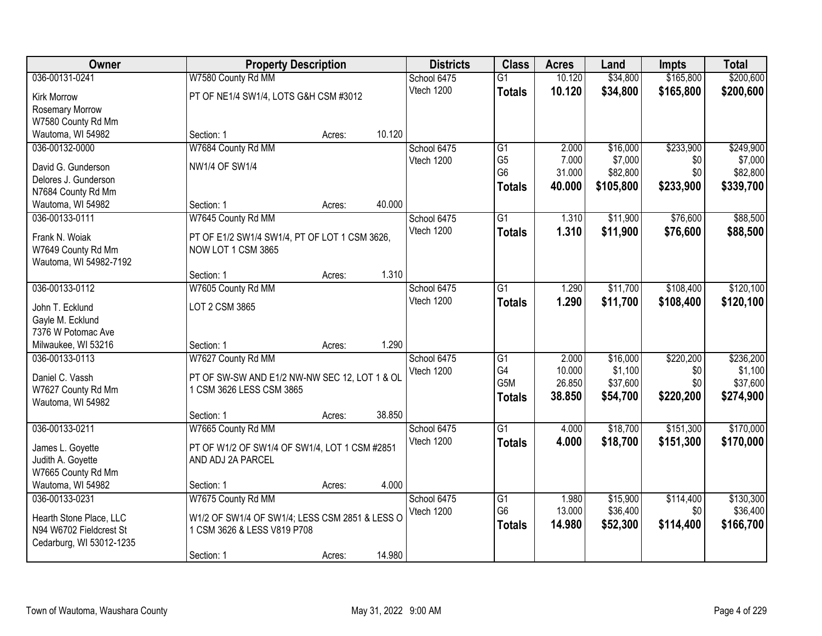| Owner                                     | <b>Property Description</b>                                         |        |        | <b>Districts</b> | <b>Class</b>    | <b>Acres</b> | Land      | <b>Impts</b> | <b>Total</b> |
|-------------------------------------------|---------------------------------------------------------------------|--------|--------|------------------|-----------------|--------------|-----------|--------------|--------------|
| 036-00131-0241                            | W7580 County Rd MM                                                  |        |        | School 6475      | $\overline{G1}$ | 10.120       | \$34,800  | \$165,800    | \$200,600    |
| <b>Kirk Morrow</b>                        | PT OF NE1/4 SW1/4, LOTS G&H CSM #3012                               |        |        | Vtech 1200       | <b>Totals</b>   | 10.120       | \$34,800  | \$165,800    | \$200,600    |
| Rosemary Morrow                           |                                                                     |        |        |                  |                 |              |           |              |              |
| W7580 County Rd Mm                        |                                                                     |        |        |                  |                 |              |           |              |              |
| Wautoma, WI 54982                         | Section: 1                                                          | Acres: | 10.120 |                  |                 |              |           |              |              |
| 036-00132-0000                            | W7684 County Rd MM                                                  |        |        | School 6475      | $\overline{G1}$ | 2.000        | \$16,000  | \$233,900    | \$249,900    |
| David G. Gunderson                        | <b>NW1/4 OF SW1/4</b>                                               |        |        | Vtech 1200       | G <sub>5</sub>  | 7.000        | \$7,000   | \$0          | \$7,000      |
| Delores J. Gunderson                      |                                                                     |        |        |                  | G <sub>6</sub>  | 31.000       | \$82,800  | \$0          | \$82,800     |
| N7684 County Rd Mm                        |                                                                     |        |        |                  | <b>Totals</b>   | 40.000       | \$105,800 | \$233,900    | \$339,700    |
| Wautoma, WI 54982                         | Section: 1                                                          | Acres: | 40.000 |                  |                 |              |           |              |              |
| 036-00133-0111                            | W7645 County Rd MM                                                  |        |        | School 6475      | $\overline{G1}$ | 1.310        | \$11,900  | \$76,600     | \$88,500     |
|                                           |                                                                     |        |        | Vtech 1200       | <b>Totals</b>   | 1.310        | \$11,900  | \$76,600     | \$88,500     |
| Frank N. Woiak<br>W7649 County Rd Mm      | PT OF E1/2 SW1/4 SW1/4, PT OF LOT 1 CSM 3626,<br>NOW LOT 1 CSM 3865 |        |        |                  |                 |              |           |              |              |
| Wautoma, WI 54982-7192                    |                                                                     |        |        |                  |                 |              |           |              |              |
|                                           | Section: 1                                                          | Acres: | 1.310  |                  |                 |              |           |              |              |
| 036-00133-0112                            | W7605 County Rd MM                                                  |        |        | School 6475      | $\overline{G1}$ | 1.290        | \$11,700  | \$108,400    | \$120,100    |
|                                           |                                                                     |        |        | Vtech 1200       | <b>Totals</b>   | 1.290        | \$11,700  | \$108,400    | \$120,100    |
| John T. Ecklund                           | LOT 2 CSM 3865                                                      |        |        |                  |                 |              |           |              |              |
| Gayle M. Ecklund                          |                                                                     |        |        |                  |                 |              |           |              |              |
| 7376 W Potomac Ave<br>Milwaukee, WI 53216 | Section: 1                                                          |        | 1.290  |                  |                 |              |           |              |              |
| 036-00133-0113                            | W7627 County Rd MM                                                  | Acres: |        | School 6475      | $\overline{G1}$ | 2.000        | \$16,000  | \$220,200    | \$236,200    |
|                                           |                                                                     |        |        | Vtech 1200       | G <sub>4</sub>  | 10.000       | \$1,100   | \$0          | \$1,100      |
| Daniel C. Vassh                           | PT OF SW-SW AND E1/2 NW-NW SEC 12, LOT 1 & OL                       |        |        |                  | G5M             | 26.850       | \$37,600  | \$0          | \$37,600     |
| W7627 County Rd Mm                        | 1 CSM 3626 LESS CSM 3865                                            |        |        |                  | <b>Totals</b>   | 38.850       | \$54,700  | \$220,200    | \$274,900    |
| Wautoma, WI 54982                         |                                                                     |        |        |                  |                 |              |           |              |              |
|                                           | Section: 1                                                          | Acres: | 38.850 |                  |                 |              |           |              |              |
| 036-00133-0211                            | W7665 County Rd MM                                                  |        |        | School 6475      | $\overline{G1}$ | 4.000        | \$18,700  | \$151,300    | \$170,000    |
| James L. Goyette                          | PT OF W1/2 OF SW1/4 OF SW1/4, LOT 1 CSM #2851                       |        |        | Vtech 1200       | <b>Totals</b>   | 4.000        | \$18,700  | \$151,300    | \$170,000    |
| Judith A. Goyette                         | AND ADJ 2A PARCEL                                                   |        |        |                  |                 |              |           |              |              |
| W7665 County Rd Mm                        |                                                                     |        |        |                  |                 |              |           |              |              |
| Wautoma, WI 54982                         | Section: 1                                                          | Acres: | 4.000  |                  |                 |              |           |              |              |
| 036-00133-0231                            | W7675 County Rd MM                                                  |        |        | School 6475      | G1              | 1.980        | \$15,900  | \$114,400    | \$130,300    |
| Hearth Stone Place, LLC                   | W1/2 OF SW1/4 OF SW1/4; LESS CSM 2851 & LESS O                      |        |        | Vtech 1200       | G <sub>6</sub>  | 13.000       | \$36,400  | \$0          | \$36,400     |
| N94 W6702 Fieldcrest St                   | 1 CSM 3626 & LESS V819 P708                                         |        |        |                  | <b>Totals</b>   | 14.980       | \$52,300  | \$114,400    | \$166,700    |
| Cedarburg, WI 53012-1235                  |                                                                     |        |        |                  |                 |              |           |              |              |
|                                           | Section: 1                                                          | Acres: | 14.980 |                  |                 |              |           |              |              |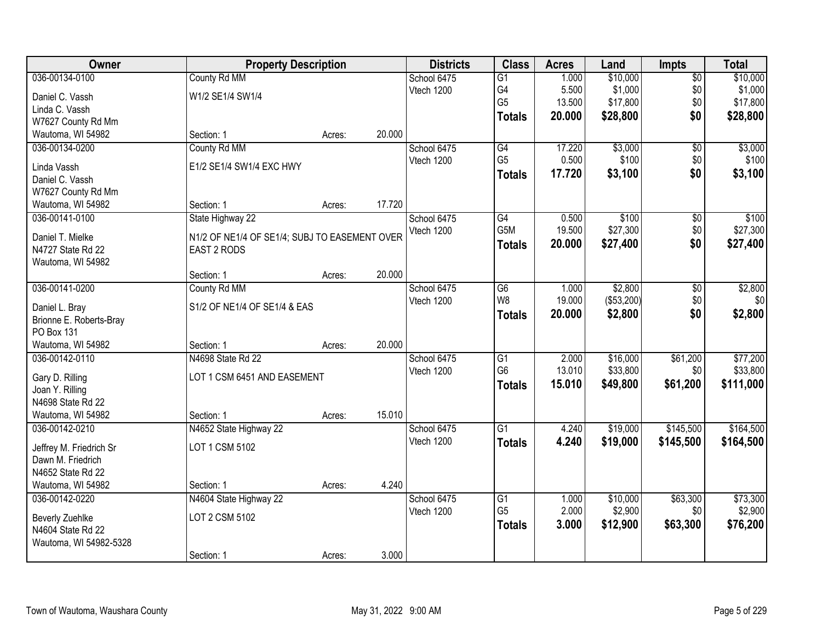| Owner                          | <b>Property Description</b>                   |        |        | <b>Districts</b> | <b>Class</b>                      | <b>Acres</b>   | Land       | Impts           | <b>Total</b> |
|--------------------------------|-----------------------------------------------|--------|--------|------------------|-----------------------------------|----------------|------------|-----------------|--------------|
| 036-00134-0100                 | County Rd MM                                  |        |        | School 6475      | $\overline{G1}$                   | 1.000          | \$10,000   | $\overline{60}$ | \$10,000     |
| Daniel C. Vassh                | W1/2 SE1/4 SW1/4                              |        |        | Vtech 1200       | G4                                | 5.500          | \$1,000    | \$0             | \$1,000      |
| Linda C. Vassh                 |                                               |        |        |                  | G <sub>5</sub>                    | 13.500         | \$17,800   | \$0             | \$17,800     |
| W7627 County Rd Mm             |                                               |        |        |                  | <b>Totals</b>                     | 20.000         | \$28,800   | \$0             | \$28,800     |
| Wautoma, WI 54982              | Section: 1                                    | Acres: | 20.000 |                  |                                   |                |            |                 |              |
| 036-00134-0200                 | County Rd MM                                  |        |        | School 6475      | G4                                | 17.220         | \$3,000    | $\overline{50}$ | \$3,000      |
|                                |                                               |        |        | Vtech 1200       | G <sub>5</sub>                    | 0.500          | \$100      | \$0             | \$100        |
| Linda Vassh<br>Daniel C. Vassh | E1/2 SE1/4 SW1/4 EXC HWY                      |        |        |                  | <b>Totals</b>                     | 17.720         | \$3,100    | \$0             | \$3,100      |
| W7627 County Rd Mm             |                                               |        |        |                  |                                   |                |            |                 |              |
| Wautoma, WI 54982              | Section: 1                                    | Acres: | 17.720 |                  |                                   |                |            |                 |              |
| 036-00141-0100                 | State Highway 22                              |        |        | School 6475      | G4                                | 0.500          | \$100      | \$0             | \$100        |
|                                |                                               |        |        | Vtech 1200       | G5M                               | 19.500         | \$27,300   | \$0             | \$27,300     |
| Daniel T. Mielke               | N1/2 OF NE1/4 OF SE1/4; SUBJ TO EASEMENT OVER |        |        |                  | <b>Totals</b>                     | 20.000         | \$27,400   | \$0             | \$27,400     |
| N4727 State Rd 22              | EAST 2 RODS                                   |        |        |                  |                                   |                |            |                 |              |
| Wautoma, WI 54982              |                                               |        |        |                  |                                   |                |            |                 |              |
|                                | Section: 1                                    | Acres: | 20.000 |                  |                                   |                |            |                 |              |
| 036-00141-0200                 | County Rd MM                                  |        |        | School 6475      | G <sub>6</sub>                    | 1.000          | \$2,800    | \$0             | \$2,800      |
| Daniel L. Bray                 | S1/2 OF NE1/4 OF SE1/4 & EAS                  |        |        | Vtech 1200       | W <sub>8</sub>                    | 19.000         | (\$53,200) | \$0             | \$0          |
| Brionne E. Roberts-Bray        |                                               |        |        |                  | <b>Totals</b>                     | 20.000         | \$2,800    | \$0             | \$2,800      |
| PO Box 131                     |                                               |        |        |                  |                                   |                |            |                 |              |
| Wautoma, WI 54982              | Section: 1                                    | Acres: | 20.000 |                  |                                   |                |            |                 |              |
| 036-00142-0110                 | N4698 State Rd 22                             |        |        | School 6475      | $\overline{G1}$                   | 2.000          | \$16,000   | \$61,200        | \$77,200     |
| Gary D. Rilling                | LOT 1 CSM 6451 AND EASEMENT                   |        |        | Vtech 1200       | G <sub>6</sub>                    | 13.010         | \$33,800   | \$0             | \$33,800     |
| Joan Y. Rilling                |                                               |        |        |                  | <b>Totals</b>                     | 15.010         | \$49,800   | \$61,200        | \$111,000    |
| N4698 State Rd 22              |                                               |        |        |                  |                                   |                |            |                 |              |
| Wautoma, WI 54982              | Section: 1                                    | Acres: | 15.010 |                  |                                   |                |            |                 |              |
| 036-00142-0210                 | N4652 State Highway 22                        |        |        | School 6475      | $\overline{G1}$                   | 4.240          | \$19,000   | \$145,500       | \$164,500    |
|                                |                                               |        |        | Vtech 1200       | <b>Totals</b>                     | 4.240          | \$19,000   | \$145,500       | \$164,500    |
| Jeffrey M. Friedrich Sr        | LOT 1 CSM 5102                                |        |        |                  |                                   |                |            |                 |              |
| Dawn M. Friedrich              |                                               |        |        |                  |                                   |                |            |                 |              |
| N4652 State Rd 22              |                                               |        |        |                  |                                   |                |            |                 |              |
| Wautoma, WI 54982              | Section: 1                                    | Acres: | 4.240  |                  |                                   |                |            |                 |              |
| 036-00142-0220                 | N4604 State Highway 22                        |        |        | School 6475      | $\overline{G1}$<br>G <sub>5</sub> | 1.000<br>2.000 | \$10,000   | \$63,300        | \$73,300     |
| <b>Beverly Zuehlke</b>         | LOT 2 CSM 5102                                |        |        | Vtech 1200       |                                   |                | \$2,900    | \$0             | \$2,900      |
| N4604 State Rd 22              |                                               |        |        |                  | <b>Totals</b>                     | 3.000          | \$12,900   | \$63,300        | \$76,200     |
| Wautoma, WI 54982-5328         |                                               |        |        |                  |                                   |                |            |                 |              |
|                                | Section: 1                                    | Acres: | 3.000  |                  |                                   |                |            |                 |              |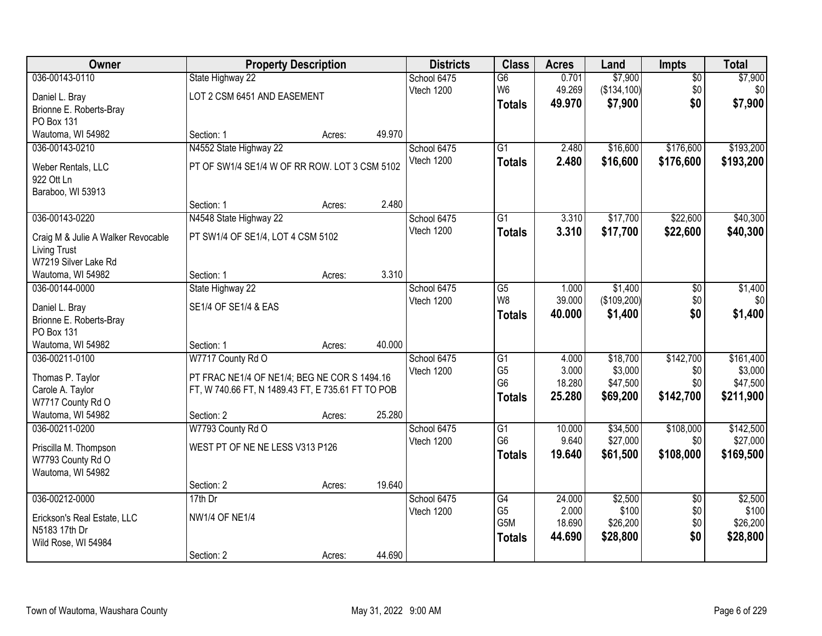| Owner                                        | <b>Property Description</b>                       |        |        | <b>Districts</b> | <b>Class</b>    | <b>Acres</b> | Land        | Impts           | <b>Total</b> |
|----------------------------------------------|---------------------------------------------------|--------|--------|------------------|-----------------|--------------|-------------|-----------------|--------------|
| 036-00143-0110                               | State Highway 22                                  |        |        | School 6475      | $\overline{G6}$ | 0.701        | \$7,900     | $\overline{50}$ | \$7,900      |
| Daniel L. Bray                               | LOT 2 CSM 6451 AND EASEMENT                       |        |        | Vtech 1200       | W <sub>6</sub>  | 49.269       | (\$134,100) | \$0             | \$0          |
| Brionne E. Roberts-Bray                      |                                                   |        |        |                  | <b>Totals</b>   | 49.970       | \$7,900     | \$0             | \$7,900      |
| PO Box 131                                   |                                                   |        |        |                  |                 |              |             |                 |              |
| Wautoma, WI 54982                            | Section: 1                                        | Acres: | 49.970 |                  |                 |              |             |                 |              |
| 036-00143-0210                               | N4552 State Highway 22                            |        |        | School 6475      | $\overline{G1}$ | 2.480        | \$16,600    | \$176,600       | \$193,200    |
| Weber Rentals, LLC                           | PT OF SW1/4 SE1/4 W OF RR ROW. LOT 3 CSM 5102     |        |        | Vtech 1200       | <b>Totals</b>   | 2.480        | \$16,600    | \$176,600       | \$193,200    |
| 922 Ott Ln                                   |                                                   |        |        |                  |                 |              |             |                 |              |
| Baraboo, WI 53913                            |                                                   |        |        |                  |                 |              |             |                 |              |
|                                              | Section: 1                                        | Acres: | 2.480  |                  |                 |              |             |                 |              |
| 036-00143-0220                               | N4548 State Highway 22                            |        |        | School 6475      | G1              | 3.310        | \$17,700    | \$22,600        | \$40,300     |
| Craig M & Julie A Walker Revocable           | PT SW1/4 OF SE1/4, LOT 4 CSM 5102                 |        |        | Vtech 1200       | <b>Totals</b>   | 3.310        | \$17,700    | \$22,600        | \$40,300     |
| <b>Living Trust</b>                          |                                                   |        |        |                  |                 |              |             |                 |              |
| W7219 Silver Lake Rd                         |                                                   |        |        |                  |                 |              |             |                 |              |
| Wautoma, WI 54982                            | Section: 1                                        | Acres: | 3.310  |                  |                 |              |             |                 |              |
| 036-00144-0000                               | State Highway 22                                  |        |        | School 6475      | G5              | 1.000        | \$1,400     | \$0             | \$1,400      |
| Daniel L. Bray                               | SE1/4 OF SE1/4 & EAS                              |        |        | Vtech 1200       | W <sub>8</sub>  | 39.000       | (\$109,200) | \$0             | \$0          |
| Brionne E. Roberts-Bray                      |                                                   |        |        |                  | <b>Totals</b>   | 40.000       | \$1,400     | \$0             | \$1,400      |
| PO Box 131                                   |                                                   |        |        |                  |                 |              |             |                 |              |
| Wautoma, WI 54982                            | Section: 1                                        | Acres: | 40.000 |                  |                 |              |             |                 |              |
| 036-00211-0100                               | W7717 County Rd O                                 |        |        | School 6475      | $\overline{G1}$ | 4.000        | \$18,700    | \$142,700       | \$161,400    |
| Thomas P. Taylor                             | PT FRAC NE1/4 OF NE1/4; BEG NE COR S 1494.16      |        |        | Vtech 1200       | G <sub>5</sub>  | 3.000        | \$3,000     | \$0             | \$3,000      |
| Carole A. Taylor                             | FT, W 740.66 FT, N 1489.43 FT, E 735.61 FT TO POB |        |        |                  | G <sub>6</sub>  | 18.280       | \$47,500    | \$0             | \$47,500     |
| W7717 County Rd O                            |                                                   |        |        |                  | <b>Totals</b>   | 25.280       | \$69,200    | \$142,700       | \$211,900    |
| Wautoma, WI 54982                            | Section: 2                                        | Acres: | 25.280 |                  |                 |              |             |                 |              |
| 036-00211-0200                               | W7793 County Rd O                                 |        |        | School 6475      | G1              | 10.000       | \$34,500    | \$108,000       | \$142,500    |
|                                              | WEST PT OF NE NE LESS V313 P126                   |        |        | Vtech 1200       | G <sub>6</sub>  | 9.640        | \$27,000    | \$0             | \$27,000     |
| Priscilla M. Thompson<br>W7793 County Rd O   |                                                   |        |        |                  | <b>Totals</b>   | 19.640       | \$61,500    | \$108,000       | \$169,500    |
| Wautoma, WI 54982                            |                                                   |        |        |                  |                 |              |             |                 |              |
|                                              | Section: 2                                        | Acres: | 19.640 |                  |                 |              |             |                 |              |
| 036-00212-0000                               | $17th$ Dr                                         |        |        | School 6475      | G4              | 24.000       | \$2,500     | $\overline{50}$ | \$2,500      |
|                                              | <b>NW1/4 OF NE1/4</b>                             |        |        | Vtech 1200       | G <sub>5</sub>  | 2.000        | \$100       | \$0             | \$100        |
| Erickson's Real Estate, LLC<br>N5183 17th Dr |                                                   |        |        |                  | G5M             | 18.690       | \$26,200    | \$0             | \$26,200     |
| Wild Rose, WI 54984                          |                                                   |        |        |                  | <b>Totals</b>   | 44.690       | \$28,800    | \$0             | \$28,800     |
|                                              | Section: 2                                        | Acres: | 44.690 |                  |                 |              |             |                 |              |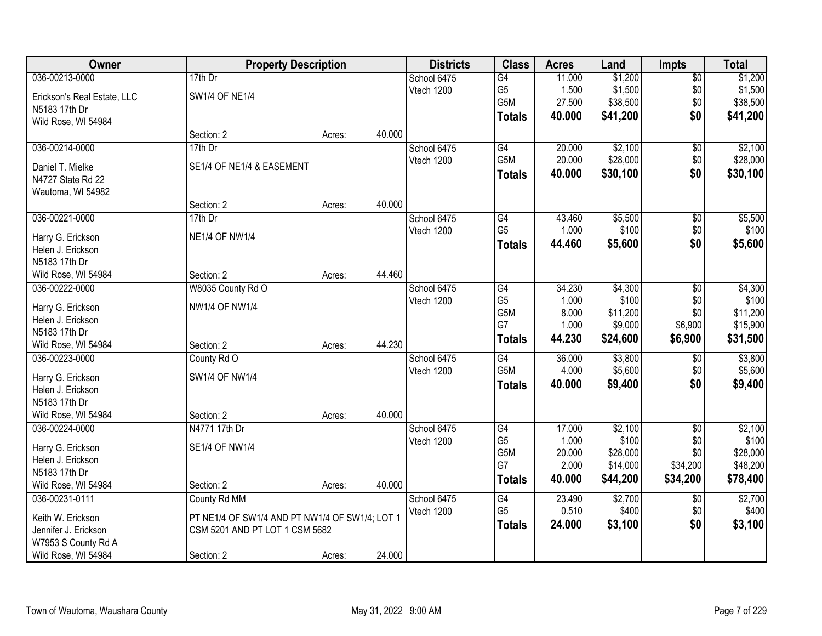| Owner                       | <b>Property Description</b>                    |        |        | <b>Districts</b> | <b>Class</b>    | <b>Acres</b> | Land     | <b>Impts</b>    | <b>Total</b> |
|-----------------------------|------------------------------------------------|--------|--------|------------------|-----------------|--------------|----------|-----------------|--------------|
| 036-00213-0000              | $17th$ Dr                                      |        |        | School 6475      | G4              | 11.000       | \$1,200  | \$0             | \$1,200      |
| Erickson's Real Estate, LLC | <b>SW1/4 OF NE1/4</b>                          |        |        | Vtech 1200       | G <sub>5</sub>  | 1.500        | \$1,500  | \$0             | \$1,500      |
| N5183 17th Dr               |                                                |        |        |                  | G5M             | 27.500       | \$38,500 | \$0             | \$38,500     |
| Wild Rose, WI 54984         |                                                |        |        |                  | <b>Totals</b>   | 40.000       | \$41,200 | \$0             | \$41,200     |
|                             | Section: 2                                     | Acres: | 40.000 |                  |                 |              |          |                 |              |
| 036-00214-0000              | 17th Dr                                        |        |        | School 6475      | G4              | 20.000       | \$2,100  | \$0             | \$2,100      |
|                             |                                                |        |        | Vtech 1200       | G5M             | 20.000       | \$28,000 | \$0             | \$28,000     |
| Daniel T. Mielke            | SE1/4 OF NE1/4 & EASEMENT                      |        |        |                  | <b>Totals</b>   | 40.000       | \$30,100 | \$0             | \$30,100     |
| N4727 State Rd 22           |                                                |        |        |                  |                 |              |          |                 |              |
| Wautoma, WI 54982           | Section: 2                                     | Acres: | 40.000 |                  |                 |              |          |                 |              |
| 036-00221-0000              | 17th Dr                                        |        |        | School 6475      | G4              | 43.460       | \$5,500  | \$0             | \$5,500      |
|                             |                                                |        |        | Vtech 1200       | G <sub>5</sub>  | 1.000        | \$100    | \$0             | \$100        |
| Harry G. Erickson           | <b>NE1/4 OF NW1/4</b>                          |        |        |                  |                 | 44.460       | \$5,600  | \$0             | \$5,600      |
| Helen J. Erickson           |                                                |        |        |                  | <b>Totals</b>   |              |          |                 |              |
| N5183 17th Dr               |                                                |        |        |                  |                 |              |          |                 |              |
| Wild Rose, WI 54984         | Section: 2                                     | Acres: | 44.460 |                  |                 |              |          |                 |              |
| 036-00222-0000              | W8035 County Rd O                              |        |        | School 6475      | G4              | 34.230       | \$4,300  | $\sqrt[6]{3}$   | \$4,300      |
| Harry G. Erickson           | NW1/4 OF NW1/4                                 |        |        | Vtech 1200       | G <sub>5</sub>  | 1.000        | \$100    | \$0             | \$100        |
| Helen J. Erickson           |                                                |        |        |                  | G5M             | 8.000        | \$11,200 | \$0             | \$11,200     |
| N5183 17th Dr               |                                                |        |        |                  | G7              | 1.000        | \$9,000  | \$6,900         | \$15,900     |
| Wild Rose, WI 54984         | Section: 2                                     | Acres: | 44.230 |                  | <b>Totals</b>   | 44.230       | \$24,600 | \$6,900         | \$31,500     |
| 036-00223-0000              | County Rd O                                    |        |        | School 6475      | $\overline{G4}$ | 36.000       | \$3,800  | \$0             | \$3,800      |
|                             |                                                |        |        | Vtech 1200       | G5M             | 4.000        | \$5,600  | \$0             | \$5,600      |
| Harry G. Erickson           | SW1/4 OF NW1/4                                 |        |        |                  | <b>Totals</b>   | 40.000       | \$9,400  | \$0             | \$9,400      |
| Helen J. Erickson           |                                                |        |        |                  |                 |              |          |                 |              |
| N5183 17th Dr               |                                                |        |        |                  |                 |              |          |                 |              |
| Wild Rose, WI 54984         | Section: 2                                     | Acres: | 40.000 |                  |                 |              |          |                 |              |
| 036-00224-0000              | N4771 17th Dr                                  |        |        | School 6475      | G4              | 17.000       | \$2,100  | $\sqrt{6}$      | \$2,100      |
| Harry G. Erickson           | <b>SE1/4 OF NW1/4</b>                          |        |        | Vtech 1200       | G <sub>5</sub>  | 1.000        | \$100    | \$0             | \$100        |
| Helen J. Erickson           |                                                |        |        |                  | G5M<br>G7       | 20.000       | \$28,000 | \$0             | \$28,000     |
| N5183 17th Dr               |                                                |        |        |                  |                 | 2.000        | \$14,000 | \$34,200        | \$48,200     |
| Wild Rose, WI 54984         | Section: 2                                     | Acres: | 40.000 |                  | <b>Totals</b>   | 40.000       | \$44,200 | \$34,200        | \$78,400     |
| 036-00231-0111              | County Rd MM                                   |        |        | School 6475      | G4              | 23.490       | \$2,700  | $\overline{60}$ | \$2,700      |
| Keith W. Erickson           | PT NE1/4 OF SW1/4 AND PT NW1/4 OF SW1/4; LOT 1 |        |        | Vtech 1200       | G <sub>5</sub>  | 0.510        | \$400    | \$0             | \$400        |
| Jennifer J. Erickson        | CSM 5201 AND PT LOT 1 CSM 5682                 |        |        |                  | <b>Totals</b>   | 24.000       | \$3,100  | \$0             | \$3,100      |
| W7953 S County Rd A         |                                                |        |        |                  |                 |              |          |                 |              |
| Wild Rose, WI 54984         | Section: 2                                     | Acres: | 24.000 |                  |                 |              |          |                 |              |
|                             |                                                |        |        |                  |                 |              |          |                 |              |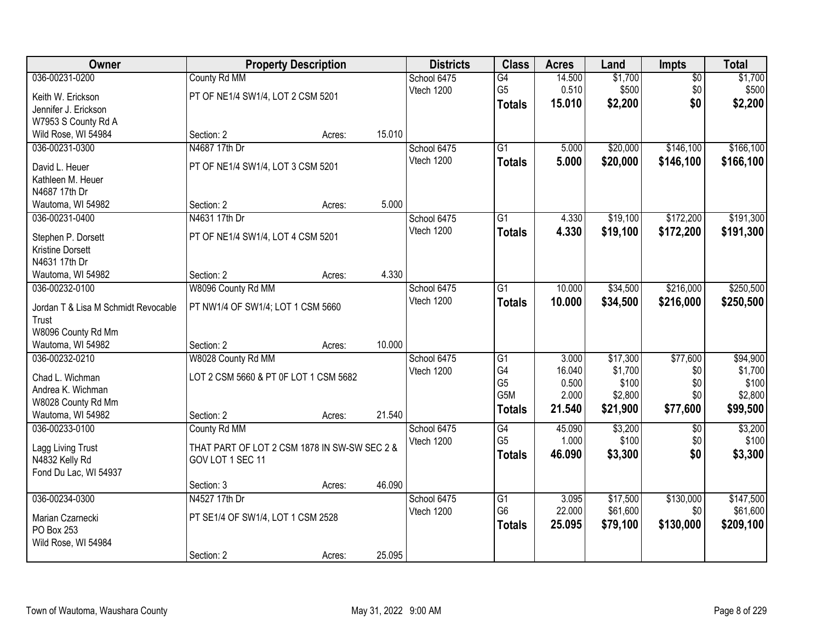| Owner                               |                                              | <b>Property Description</b> |        | <b>Districts</b> | <b>Class</b>    | <b>Acres</b> | Land     | <b>Impts</b>    | <b>Total</b> |
|-------------------------------------|----------------------------------------------|-----------------------------|--------|------------------|-----------------|--------------|----------|-----------------|--------------|
| 036-00231-0200                      | County Rd MM                                 |                             |        | School 6475      | $\overline{G4}$ | 14.500       | \$1,700  | $\overline{50}$ | \$1,700      |
| Keith W. Erickson                   | PT OF NE1/4 SW1/4, LOT 2 CSM 5201            |                             |        | Vtech 1200       | G <sub>5</sub>  | 0.510        | \$500    | \$0             | \$500        |
| Jennifer J. Erickson                |                                              |                             |        |                  | <b>Totals</b>   | 15.010       | \$2,200  | \$0             | \$2,200      |
| W7953 S County Rd A                 |                                              |                             |        |                  |                 |              |          |                 |              |
| Wild Rose, WI 54984                 | Section: 2                                   | Acres:                      | 15.010 |                  |                 |              |          |                 |              |
| 036-00231-0300                      | N4687 17th Dr                                |                             |        | School 6475      | $\overline{G1}$ | 5.000        | \$20,000 | \$146,100       | \$166,100    |
|                                     |                                              |                             |        | Vtech 1200       | Totals          | 5.000        | \$20,000 | \$146,100       | \$166,100    |
| David L. Heuer                      | PT OF NE1/4 SW1/4, LOT 3 CSM 5201            |                             |        |                  |                 |              |          |                 |              |
| Kathleen M. Heuer                   |                                              |                             |        |                  |                 |              |          |                 |              |
| N4687 17th Dr                       |                                              |                             | 5.000  |                  |                 |              |          |                 |              |
| Wautoma, WI 54982                   | Section: 2                                   | Acres:                      |        |                  |                 |              |          |                 |              |
| 036-00231-0400                      | N4631 17th Dr                                |                             |        | School 6475      | G1              | 4.330        | \$19,100 | \$172,200       | \$191,300    |
| Stephen P. Dorsett                  | PT OF NE1/4 SW1/4, LOT 4 CSM 5201            |                             |        | Vtech 1200       | <b>Totals</b>   | 4.330        | \$19,100 | \$172,200       | \$191,300    |
| <b>Kristine Dorsett</b>             |                                              |                             |        |                  |                 |              |          |                 |              |
| N4631 17th Dr                       |                                              |                             |        |                  |                 |              |          |                 |              |
| Wautoma, WI 54982                   | Section: 2                                   | Acres:                      | 4.330  |                  |                 |              |          |                 |              |
| 036-00232-0100                      | W8096 County Rd MM                           |                             |        | School 6475      | G1              | 10.000       | \$34,500 | \$216,000       | \$250,500    |
| Jordan T & Lisa M Schmidt Revocable | PT NW1/4 OF SW1/4; LOT 1 CSM 5660            |                             |        | Vtech 1200       | <b>Totals</b>   | 10.000       | \$34,500 | \$216,000       | \$250,500    |
| Trust                               |                                              |                             |        |                  |                 |              |          |                 |              |
| W8096 County Rd Mm                  |                                              |                             |        |                  |                 |              |          |                 |              |
| Wautoma, WI 54982                   | Section: 2                                   | Acres:                      | 10.000 |                  |                 |              |          |                 |              |
| 036-00232-0210                      | W8028 County Rd MM                           |                             |        | School 6475      | G1              | 3.000        | \$17,300 | \$77,600        | \$94,900     |
|                                     |                                              |                             |        | Vtech 1200       | G4              | 16.040       | \$1,700  | \$0             | \$1,700      |
| Chad L. Wichman                     | LOT 2 CSM 5660 & PT 0F LOT 1 CSM 5682        |                             |        |                  | G <sub>5</sub>  | 0.500        | \$100    | \$0             | \$100        |
| Andrea K. Wichman                   |                                              |                             |        |                  | G5M             | 2.000        | \$2,800  | \$0             | \$2,800      |
| W8028 County Rd Mm                  |                                              |                             |        |                  | <b>Totals</b>   | 21.540       | \$21,900 | \$77,600        | \$99,500     |
| Wautoma, WI 54982                   | Section: 2                                   | Acres:                      | 21.540 |                  |                 |              |          |                 |              |
| 036-00233-0100                      | County Rd MM                                 |                             |        | School 6475      | $\overline{G4}$ | 45.090       | \$3,200  | $\overline{50}$ | \$3,200      |
| Lagg Living Trust                   | THAT PART OF LOT 2 CSM 1878 IN SW-SW SEC 2 & |                             |        | Vtech 1200       | G <sub>5</sub>  | 1.000        | \$100    | \$0             | \$100        |
| N4832 Kelly Rd                      | GOV LOT 1 SEC 11                             |                             |        |                  | <b>Totals</b>   | 46.090       | \$3,300  | \$0             | \$3,300      |
| Fond Du Lac, WI 54937               |                                              |                             |        |                  |                 |              |          |                 |              |
|                                     | Section: 3                                   | Acres:                      | 46.090 |                  |                 |              |          |                 |              |
| 036-00234-0300                      | N4527 17th Dr                                |                             |        | School 6475      | $\overline{G1}$ | 3.095        | \$17,500 | \$130,000       | \$147,500    |
|                                     |                                              |                             |        | Vtech 1200       | G <sub>6</sub>  | 22.000       | \$61,600 | \$0             | \$61,600     |
| Marian Czarnecki                    | PT SE1/4 OF SW1/4, LOT 1 CSM 2528            |                             |        |                  | <b>Totals</b>   | 25.095       | \$79,100 | \$130,000       | \$209,100    |
| PO Box 253                          |                                              |                             |        |                  |                 |              |          |                 |              |
| Wild Rose, WI 54984                 |                                              |                             |        |                  |                 |              |          |                 |              |
|                                     | Section: 2                                   | Acres:                      | 25.095 |                  |                 |              |          |                 |              |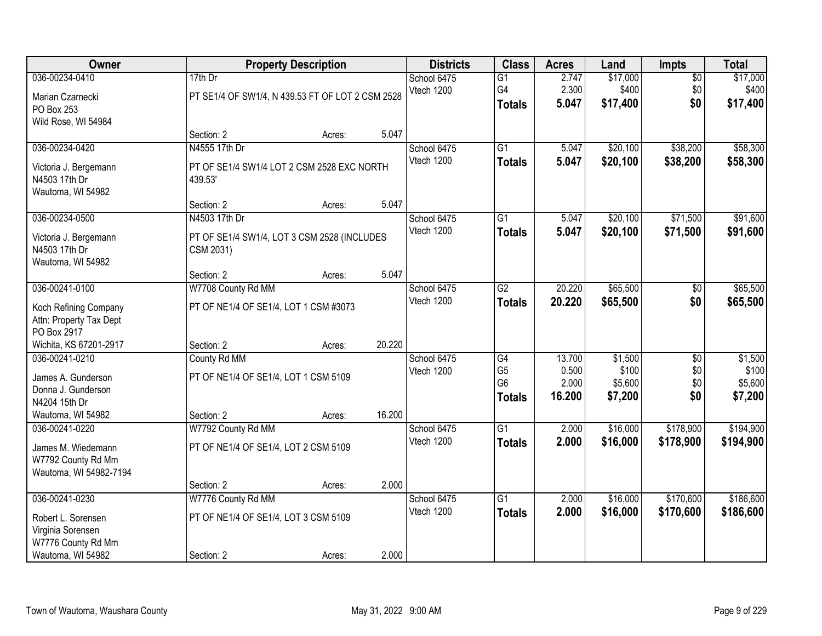| Owner                                                                                                |                                                                                      | <b>Property Description</b> |        | <b>Districts</b>          | <b>Class</b>                                            | <b>Acres</b>                       | Land                                   | <b>Impts</b>                  | <b>Total</b>                           |
|------------------------------------------------------------------------------------------------------|--------------------------------------------------------------------------------------|-----------------------------|--------|---------------------------|---------------------------------------------------------|------------------------------------|----------------------------------------|-------------------------------|----------------------------------------|
| 036-00234-0410<br>Marian Czarnecki<br>PO Box 253<br>Wild Rose, WI 54984                              | 17th Dr<br>PT SE1/4 OF SW1/4, N 439.53 FT OF LOT 2 CSM 2528                          |                             |        | School 6475<br>Vtech 1200 | $\overline{G1}$<br>G4<br><b>Totals</b>                  | 2.747<br>2.300<br>5.047            | \$17,000<br>\$400<br>\$17,400          | $\overline{50}$<br>\$0<br>\$0 | \$17,000<br>\$400<br>\$17,400          |
|                                                                                                      | Section: 2                                                                           | Acres:                      | 5.047  |                           |                                                         |                                    |                                        |                               |                                        |
| 036-00234-0420<br>Victoria J. Bergemann<br>N4503 17th Dr<br>Wautoma, WI 54982                        | N4555 17th Dr<br>PT OF SE1/4 SW1/4 LOT 2 CSM 2528 EXC NORTH<br>439.53'<br>Section: 2 |                             | 5.047  | School 6475<br>Vtech 1200 | $\overline{G1}$<br><b>Totals</b>                        | 5.047<br>5.047                     | \$20,100<br>\$20,100                   | \$38,200<br>\$38,200          | \$58,300<br>\$58,300                   |
| 036-00234-0500                                                                                       | N4503 17th Dr                                                                        | Acres:                      |        | School 6475               | G1                                                      | 5.047                              | \$20,100                               | \$71,500                      | \$91,600                               |
| Victoria J. Bergemann<br>N4503 17th Dr<br>Wautoma, WI 54982                                          | PT OF SE1/4 SW1/4, LOT 3 CSM 2528 (INCLUDES<br>CSM 2031)                             |                             |        | Vtech 1200                | <b>Totals</b>                                           | 5.047                              | \$20,100                               | \$71,500                      | \$91,600                               |
|                                                                                                      | Section: 2                                                                           | Acres:                      | 5.047  |                           |                                                         |                                    |                                        |                               |                                        |
| 036-00241-0100<br>Koch Refining Company                                                              | W7708 County Rd MM<br>PT OF NE1/4 OF SE1/4, LOT 1 CSM #3073                          |                             |        | School 6475<br>Vtech 1200 | $\overline{G2}$<br><b>Totals</b>                        | 20.220<br>20.220                   | \$65,500<br>\$65,500                   | \$0<br>\$0                    | \$65,500<br>\$65,500                   |
| Attn: Property Tax Dept<br>PO Box 2917<br>Wichita, KS 67201-2917                                     | Section: 2                                                                           | Acres:                      | 20.220 |                           |                                                         |                                    |                                        |                               |                                        |
| 036-00241-0210<br>James A. Gunderson<br>Donna J. Gunderson<br>N4204 15th Dr<br>Wautoma, WI 54982     | County Rd MM<br>PT OF NE1/4 OF SE1/4, LOT 1 CSM 5109<br>Section: 2                   | Acres:                      | 16.200 | School 6475<br>Vtech 1200 | G4<br>G <sub>5</sub><br>G <sub>6</sub><br><b>Totals</b> | 13.700<br>0.500<br>2.000<br>16.200 | \$1,500<br>\$100<br>\$5,600<br>\$7,200 | \$0<br>\$0<br>\$0<br>\$0      | \$1,500<br>\$100<br>\$5,600<br>\$7,200 |
| 036-00241-0220<br>James M. Wiedemann<br>W7792 County Rd Mm<br>Wautoma, WI 54982-7194                 | W7792 County Rd MM<br>PT OF NE1/4 OF SE1/4, LOT 2 CSM 5109                           |                             |        | School 6475<br>Vtech 1200 | $\overline{G1}$<br><b>Totals</b>                        | 2.000<br>2.000                     | \$16,000<br>\$16,000                   | \$178,900<br>\$178,900        | \$194,900<br>\$194,900                 |
|                                                                                                      | Section: 2                                                                           | Acres:                      | 2.000  |                           |                                                         |                                    |                                        |                               |                                        |
| 036-00241-0230<br>Robert L. Sorensen<br>Virginia Sorensen<br>W7776 County Rd Mm<br>Wautoma, WI 54982 | W7776 County Rd MM<br>PT OF NE1/4 OF SE1/4, LOT 3 CSM 5109<br>Section: 2             | Acres:                      | 2.000  | School 6475<br>Vtech 1200 | $\overline{G1}$<br><b>Totals</b>                        | 2.000<br>2.000                     | \$16,000<br>\$16,000                   | \$170,600<br>\$170,600        | \$186,600<br>\$186,600                 |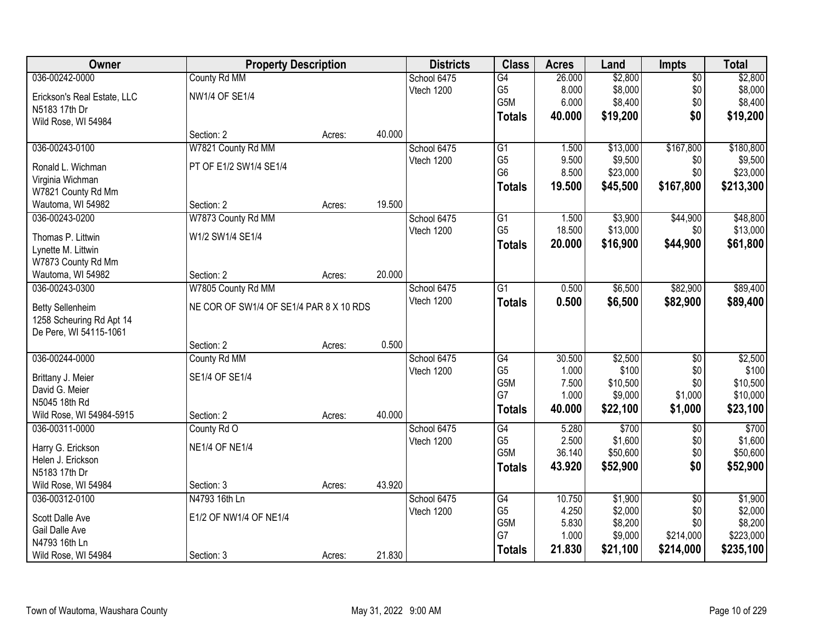| Owner                                  | <b>Property Description</b>             |        |        | <b>Districts</b> | <b>Class</b>                       | <b>Acres</b>    | Land                | <b>Impts</b>    | <b>Total</b>        |
|----------------------------------------|-----------------------------------------|--------|--------|------------------|------------------------------------|-----------------|---------------------|-----------------|---------------------|
| 036-00242-0000                         | County Rd MM                            |        |        | School 6475      | G4                                 | 26.000          | \$2,800             | $\overline{50}$ | \$2,800             |
| Erickson's Real Estate, LLC            | <b>NW1/4 OF SE1/4</b>                   |        |        | Vtech 1200       | G <sub>5</sub>                     | 8.000           | \$8,000             | \$0             | \$8,000             |
| N5183 17th Dr                          |                                         |        |        |                  | G5M                                | 6.000           | \$8,400             | \$0             | \$8,400             |
| Wild Rose, WI 54984                    |                                         |        |        |                  | <b>Totals</b>                      | 40.000          | \$19,200            | \$0             | \$19,200            |
|                                        | Section: 2                              | Acres: | 40.000 |                  |                                    |                 |                     |                 |                     |
| 036-00243-0100                         | W7821 County Rd MM                      |        |        | School 6475      | $\overline{G1}$                    | 1.500           | \$13,000            | \$167,800       | \$180,800           |
|                                        | PT OF E1/2 SW1/4 SE1/4                  |        |        | Vtech 1200       | G <sub>5</sub>                     | 9.500           | \$9,500             | \$0             | \$9,500             |
| Ronald L. Wichman                      |                                         |        |        |                  | G <sub>6</sub>                     | 8.500           | \$23,000            | \$0             | \$23,000            |
| Virginia Wichman<br>W7821 County Rd Mm |                                         |        |        |                  | <b>Totals</b>                      | 19.500          | \$45,500            | \$167,800       | \$213,300           |
| Wautoma, WI 54982                      | Section: 2                              | Acres: | 19.500 |                  |                                    |                 |                     |                 |                     |
| 036-00243-0200                         | W7873 County Rd MM                      |        |        | School 6475      | $\overline{G1}$                    | 1.500           | \$3,900             | \$44,900        | \$48,800            |
|                                        |                                         |        |        | Vtech 1200       | G <sub>5</sub>                     | 18.500          | \$13,000            | \$0             | \$13,000            |
| Thomas P. Littwin                      | W1/2 SW1/4 SE1/4                        |        |        |                  | <b>Totals</b>                      | 20.000          | \$16,900            | \$44,900        | \$61,800            |
| Lynette M. Littwin                     |                                         |        |        |                  |                                    |                 |                     |                 |                     |
| W7873 County Rd Mm                     |                                         |        |        |                  |                                    |                 |                     |                 |                     |
| Wautoma, WI 54982                      | Section: 2                              | Acres: | 20.000 |                  |                                    |                 |                     |                 |                     |
| 036-00243-0300                         | W7805 County Rd MM                      |        |        | School 6475      | $\overline{G1}$                    | 0.500           | \$6,500             | \$82,900        | \$89,400            |
| <b>Betty Sellenheim</b>                | NE COR OF SW1/4 OF SE1/4 PAR 8 X 10 RDS |        |        | Vtech 1200       | <b>Totals</b>                      | 0.500           | \$6,500             | \$82,900        | \$89,400            |
| 1258 Scheuring Rd Apt 14               |                                         |        |        |                  |                                    |                 |                     |                 |                     |
| De Pere, WI 54115-1061                 |                                         |        |        |                  |                                    |                 |                     |                 |                     |
|                                        | Section: 2                              | Acres: | 0.500  |                  |                                    |                 |                     |                 |                     |
| 036-00244-0000                         | County Rd MM                            |        |        | School 6475      | $\overline{G4}$                    | 30.500          | \$2,500             | \$0             | \$2,500             |
|                                        |                                         |        |        | Vtech 1200       | G <sub>5</sub>                     | 1.000           | \$100               | \$0             | \$100               |
| Brittany J. Meier                      | SE1/4 OF SE1/4                          |        |        |                  | G5M                                | 7.500           | \$10,500            | \$0             | \$10,500            |
| David G. Meier                         |                                         |        |        |                  | G7                                 | 1.000           | \$9,000             | \$1,000         | \$10,000            |
| N5045 18th Rd                          |                                         |        |        |                  | <b>Totals</b>                      | 40.000          | \$22,100            | \$1,000         | \$23,100            |
| Wild Rose, WI 54984-5915               | Section: 2                              | Acres: | 40.000 |                  |                                    |                 |                     |                 |                     |
| 036-00311-0000                         | County Rd O                             |        |        | School 6475      | $\overline{G4}$                    | 5.280           | \$700               | $\overline{50}$ | \$700               |
| Harry G. Erickson                      | <b>NE1/4 OF NE1/4</b>                   |        |        | Vtech 1200       | G <sub>5</sub><br>G <sub>5</sub> M | 2.500<br>36.140 | \$1,600<br>\$50,600 | \$0<br>\$0      | \$1,600<br>\$50,600 |
| Helen J. Erickson                      |                                         |        |        |                  |                                    |                 |                     |                 |                     |
| N5183 17th Dr                          |                                         |        |        |                  | <b>Totals</b>                      | 43.920          | \$52,900            | \$0             | \$52,900            |
| Wild Rose, WI 54984                    | Section: 3                              | Acres: | 43.920 |                  |                                    |                 |                     |                 |                     |
| 036-00312-0100                         | N4793 16th Ln                           |        |        | School 6475      | $\overline{G4}$                    | 10.750          | \$1,900             | $\overline{50}$ | \$1,900             |
| Scott Dalle Ave                        | E1/2 OF NW1/4 OF NE1/4                  |        |        | Vtech 1200       | G <sub>5</sub>                     | 4.250           | \$2,000             | \$0             | \$2,000             |
| Gail Dalle Ave                         |                                         |        |        |                  | G5M                                | 5.830           | \$8,200             | \$0             | \$8,200             |
| N4793 16th Ln                          |                                         |        |        |                  | G7                                 | 1.000           | \$9,000             | \$214,000       | \$223,000           |
| Wild Rose, WI 54984                    | Section: 3                              | Acres: | 21.830 |                  | <b>Totals</b>                      | 21.830          | \$21,100            | \$214,000       | \$235,100           |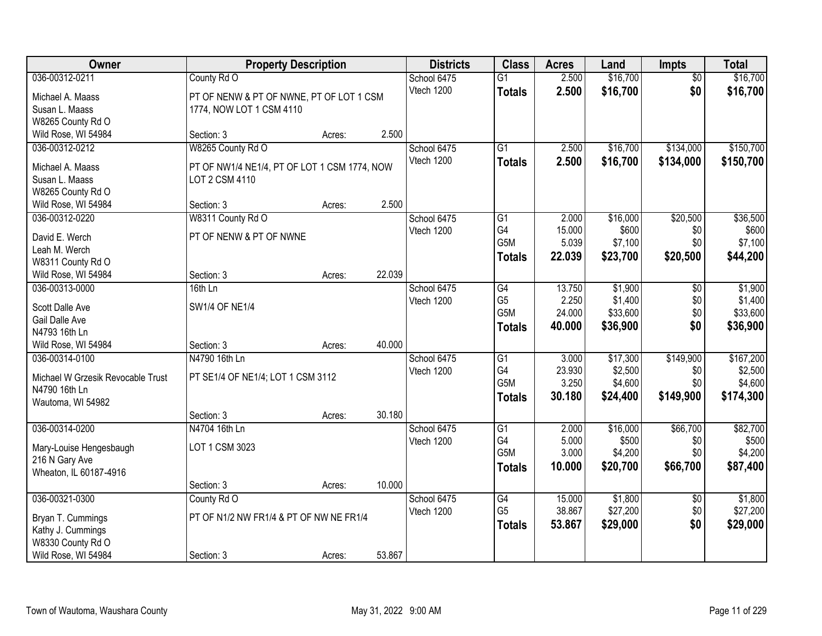| Owner                              | <b>Property Description</b>                                    |        |        | <b>Districts</b> | <b>Class</b>     | <b>Acres</b>   | Land              | <b>Impts</b>    | <b>Total</b>     |
|------------------------------------|----------------------------------------------------------------|--------|--------|------------------|------------------|----------------|-------------------|-----------------|------------------|
| 036-00312-0211                     | County Rd O                                                    |        |        | School 6475      | $\overline{G1}$  | 2.500          | \$16,700          | \$0             | \$16,700         |
| Michael A. Maass                   | PT OF NENW & PT OF NWNE, PT OF LOT 1 CSM                       |        |        | Vtech 1200       | <b>Totals</b>    | 2.500          | \$16,700          | \$0             | \$16,700         |
| Susan L. Maass                     | 1774, NOW LOT 1 CSM 4110                                       |        |        |                  |                  |                |                   |                 |                  |
| W8265 County Rd O                  |                                                                |        |        |                  |                  |                |                   |                 |                  |
| Wild Rose, WI 54984                | Section: 3                                                     | Acres: | 2.500  |                  |                  |                |                   |                 |                  |
| 036-00312-0212                     | W8265 County Rd O                                              |        |        | School 6475      | $\overline{G1}$  | 2.500          | \$16,700          | \$134,000       | \$150,700        |
|                                    |                                                                |        |        | Vtech 1200       | <b>Totals</b>    | 2.500          | \$16,700          | \$134,000       | \$150,700        |
| Michael A. Maass<br>Susan L. Maass | PT OF NW1/4 NE1/4, PT OF LOT 1 CSM 1774, NOW<br>LOT 2 CSM 4110 |        |        |                  |                  |                |                   |                 |                  |
| W8265 County Rd O                  |                                                                |        |        |                  |                  |                |                   |                 |                  |
| Wild Rose, WI 54984                | Section: 3                                                     | Acres: | 2.500  |                  |                  |                |                   |                 |                  |
| 036-00312-0220                     | W8311 County Rd O                                              |        |        | School 6475      | G1               | 2.000          | \$16,000          | \$20,500        | \$36,500         |
|                                    |                                                                |        |        | Vtech 1200       | G4               | 15.000         | \$600             | \$0             | \$600            |
| David E. Werch                     | PT OF NENW & PT OF NWNE                                        |        |        |                  | G <sub>5</sub> M | 5.039          | \$7,100           | \$0             | \$7,100          |
| Leah M. Werch                      |                                                                |        |        |                  | <b>Totals</b>    | 22.039         | \$23,700          | \$20,500        | \$44,200         |
| W8311 County Rd O                  |                                                                |        |        |                  |                  |                |                   |                 |                  |
| Wild Rose, WI 54984                | Section: 3                                                     | Acres: | 22.039 |                  |                  |                |                   |                 |                  |
| 036-00313-0000                     | 16th Ln                                                        |        |        | School 6475      | G4               | 13.750         | \$1,900           | $\sqrt[6]{3}$   | \$1,900          |
| Scott Dalle Ave                    | <b>SW1/4 OF NE1/4</b>                                          |        |        | Vtech 1200       | G <sub>5</sub>   | 2.250          | \$1,400           | \$0             | \$1,400          |
| Gail Dalle Ave                     |                                                                |        |        |                  | G5M              | 24.000         | \$33,600          | \$0             | \$33,600         |
| N4793 16th Ln                      |                                                                |        |        |                  | <b>Totals</b>    | 40.000         | \$36,900          | \$0             | \$36,900         |
| Wild Rose, WI 54984                | Section: 3                                                     | Acres: | 40.000 |                  |                  |                |                   |                 |                  |
| 036-00314-0100                     | N4790 16th Ln                                                  |        |        | School 6475      | $\overline{G1}$  | 3.000          | \$17,300          | \$149,900       | \$167,200        |
|                                    |                                                                |        |        | Vtech 1200       | G4               | 23.930         | \$2,500           | \$0             | \$2,500          |
| Michael W Grzesik Revocable Trust  | PT SE1/4 OF NE1/4; LOT 1 CSM 3112                              |        |        |                  | G <sub>5</sub> M | 3.250          | \$4,600           | \$0             | \$4,600          |
| N4790 16th Ln                      |                                                                |        |        |                  | <b>Totals</b>    | 30.180         | \$24,400          | \$149,900       | \$174,300        |
| Wautoma, WI 54982                  |                                                                |        |        |                  |                  |                |                   |                 |                  |
|                                    | Section: 3                                                     | Acres: | 30.180 |                  |                  |                |                   |                 |                  |
| 036-00314-0200                     | N4704 16th Ln                                                  |        |        | School 6475      | G1<br>G4         | 2.000<br>5.000 | \$16,000<br>\$500 | \$66,700        | \$82,700         |
| Mary-Louise Hengesbaugh            | LOT 1 CSM 3023                                                 |        |        | Vtech 1200       | G <sub>5</sub> M | 3.000          | \$4,200           | \$0<br>\$0      | \$500<br>\$4,200 |
| 216 N Gary Ave                     |                                                                |        |        |                  |                  | 10.000         |                   |                 |                  |
| Wheaton, IL 60187-4916             |                                                                |        |        |                  | Totals           |                | \$20,700          | \$66,700        | \$87,400         |
|                                    | Section: 3                                                     | Acres: | 10.000 |                  |                  |                |                   |                 |                  |
| 036-00321-0300                     | County Rd O                                                    |        |        | School 6475      | G4               | 15,000         | \$1,800           | $\overline{50}$ | \$1,800          |
| Bryan T. Cummings                  | PT OF N1/2 NW FR1/4 & PT OF NW NE FR1/4                        |        |        | Vtech 1200       | G <sub>5</sub>   | 38.867         | \$27,200          | \$0             | \$27,200         |
| Kathy J. Cummings                  |                                                                |        |        |                  | <b>Totals</b>    | 53.867         | \$29,000          | \$0             | \$29,000         |
| W8330 County Rd O                  |                                                                |        |        |                  |                  |                |                   |                 |                  |
| Wild Rose, WI 54984                | Section: 3                                                     | Acres: | 53.867 |                  |                  |                |                   |                 |                  |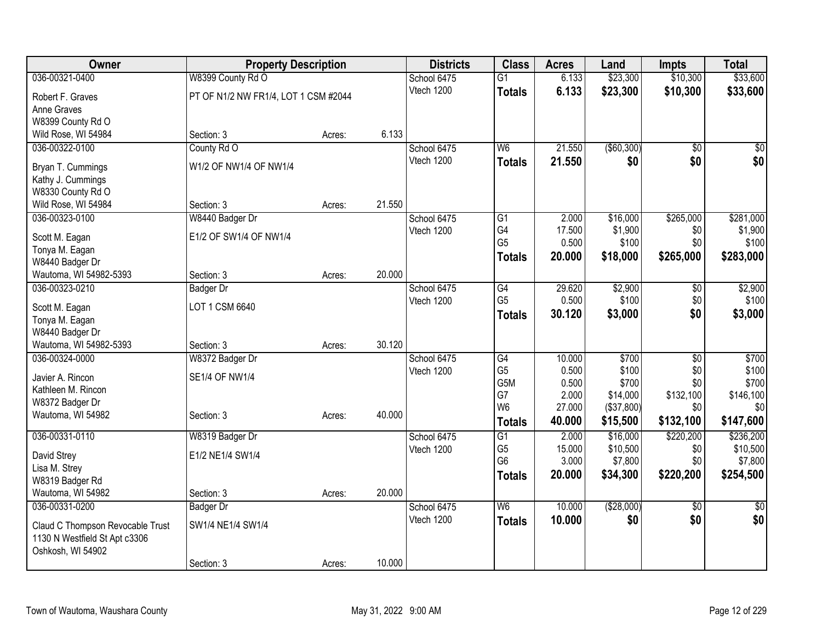| Owner                                  | <b>Property Description</b>          |        |        | <b>Districts</b> | <b>Class</b>                     | <b>Acres</b>    | Land             | <b>Impts</b>    | <b>Total</b>     |
|----------------------------------------|--------------------------------------|--------|--------|------------------|----------------------------------|-----------------|------------------|-----------------|------------------|
| 036-00321-0400                         | W8399 County Rd O                    |        |        | School 6475      | $\overline{G1}$                  | 6.133           | \$23,300         | \$10,300        | \$33,600         |
| Robert F. Graves                       | PT OF N1/2 NW FR1/4, LOT 1 CSM #2044 |        |        | Vtech 1200       | <b>Totals</b>                    | 6.133           | \$23,300         | \$10,300        | \$33,600         |
| Anne Graves                            |                                      |        |        |                  |                                  |                 |                  |                 |                  |
| W8399 County Rd O                      |                                      |        |        |                  |                                  |                 |                  |                 |                  |
| Wild Rose, WI 54984                    | Section: 3                           | Acres: | 6.133  |                  |                                  |                 |                  |                 |                  |
| 036-00322-0100                         | County Rd O                          |        |        | School 6475      | W <sub>6</sub>                   | 21.550          | ( \$60, 300)     | \$0             | \$0              |
|                                        | W1/2 OF NW1/4 OF NW1/4               |        |        | Vtech 1200       | <b>Totals</b>                    | 21.550          | \$0              | \$0             | \$0              |
| Bryan T. Cummings<br>Kathy J. Cummings |                                      |        |        |                  |                                  |                 |                  |                 |                  |
| W8330 County Rd O                      |                                      |        |        |                  |                                  |                 |                  |                 |                  |
| Wild Rose, WI 54984                    | Section: 3                           | Acres: | 21.550 |                  |                                  |                 |                  |                 |                  |
| 036-00323-0100                         | W8440 Badger Dr                      |        |        | School 6475      | $\overline{G1}$                  | 2.000           | \$16,000         | \$265,000       | \$281,000        |
|                                        |                                      |        |        | Vtech 1200       | G4                               | 17.500          | \$1,900          | \$0             | \$1,900          |
| Scott M. Eagan                         | E1/2 OF SW1/4 OF NW1/4               |        |        |                  | G <sub>5</sub>                   | 0.500           | \$100            | \$0             | \$100            |
| Tonya M. Eagan                         |                                      |        |        |                  | <b>Totals</b>                    | 20.000          | \$18,000         | \$265,000       | \$283,000        |
| W8440 Badger Dr                        |                                      |        |        |                  |                                  |                 |                  |                 |                  |
| Wautoma, WI 54982-5393                 | Section: 3                           | Acres: | 20.000 |                  |                                  |                 |                  |                 |                  |
| 036-00323-0210                         | <b>Badger Dr</b>                     |        |        | School 6475      | G4<br>G <sub>5</sub>             | 29.620<br>0.500 | \$2,900<br>\$100 | \$0<br>\$0      | \$2,900<br>\$100 |
| Scott M. Eagan                         | LOT 1 CSM 6640                       |        |        | Vtech 1200       |                                  | 30.120          |                  | \$0             | \$3,000          |
| Tonya M. Eagan                         |                                      |        |        |                  | <b>Totals</b>                    |                 | \$3,000          |                 |                  |
| W8440 Badger Dr                        |                                      |        |        |                  |                                  |                 |                  |                 |                  |
| Wautoma, WI 54982-5393                 | Section: 3                           | Acres: | 30.120 |                  |                                  |                 |                  |                 |                  |
| 036-00324-0000                         | W8372 Badger Dr                      |        |        | School 6475      | $\overline{G4}$                  | 10.000          | \$700            | $\overline{50}$ | \$700            |
| Javier A. Rincon                       | <b>SE1/4 OF NW1/4</b>                |        |        | Vtech 1200       | G <sub>5</sub>                   | 0.500           | \$100            | \$0             | \$100            |
| Kathleen M. Rincon                     |                                      |        |        |                  | G5M                              | 0.500           | \$700            | \$0             | \$700            |
| W8372 Badger Dr                        |                                      |        |        |                  | G7<br>W <sub>6</sub>             | 2.000<br>27.000 | \$14,000         | \$132,100       | \$146,100<br>\$0 |
| Wautoma, WI 54982                      | Section: 3                           | Acres: | 40.000 |                  |                                  |                 | (\$37,800)       | \$0             |                  |
|                                        |                                      |        |        |                  | <b>Totals</b>                    | 40.000          | \$15,500         | \$132,100       | \$147,600        |
| 036-00331-0110                         | W8319 Badger Dr                      |        |        | School 6475      | $\overline{G1}$                  | 2.000           | \$16,000         | \$220,200       | \$236,200        |
| David Strey                            | E1/2 NE1/4 SW1/4                     |        |        | Vtech 1200       | G <sub>5</sub><br>G <sub>6</sub> | 15.000          | \$10,500         | \$0             | \$10,500         |
| Lisa M. Strey                          |                                      |        |        |                  |                                  | 3.000           | \$7,800          | \$0             | \$7,800          |
| W8319 Badger Rd                        |                                      |        |        |                  | <b>Totals</b>                    | 20.000          | \$34,300         | \$220,200       | \$254,500        |
| Wautoma, WI 54982                      | Section: 3                           | Acres: | 20.000 |                  |                                  |                 |                  |                 |                  |
| 036-00331-0200                         | <b>Badger Dr</b>                     |        |        | School 6475      | $\overline{W6}$                  | 10.000          | ( \$28,000)      | \$0             | $\sqrt{50}$      |
| Claud C Thompson Revocable Trust       | SW1/4 NE1/4 SW1/4                    |        |        | Vtech 1200       | <b>Totals</b>                    | 10.000          | \$0              | \$0             | \$0              |
| 1130 N Westfield St Apt c3306          |                                      |        |        |                  |                                  |                 |                  |                 |                  |
| Oshkosh, WI 54902                      |                                      |        |        |                  |                                  |                 |                  |                 |                  |
|                                        | Section: 3                           | Acres: | 10.000 |                  |                                  |                 |                  |                 |                  |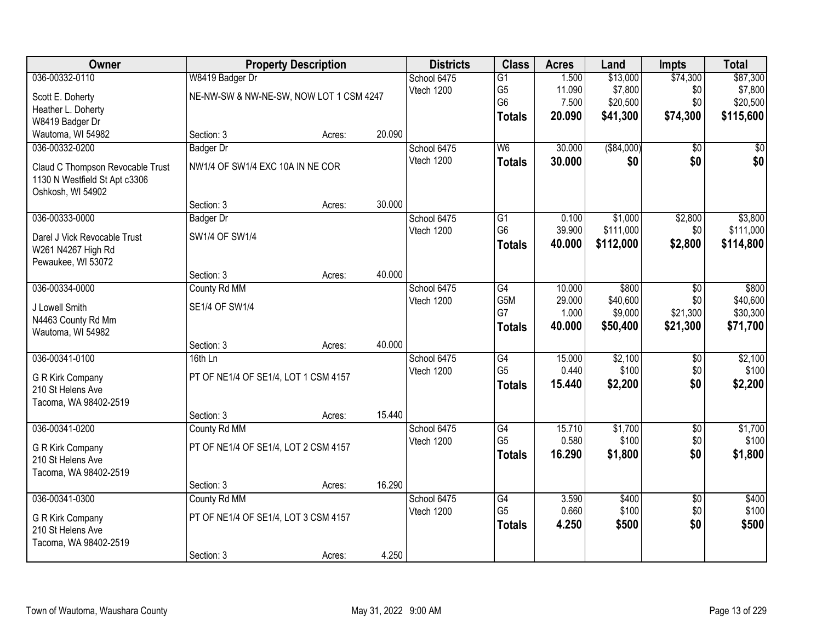| Owner                                              | <b>Property Description</b>             |        |        | <b>Districts</b> | <b>Class</b>    | <b>Acres</b> | Land        | <b>Impts</b>    | <b>Total</b> |
|----------------------------------------------------|-----------------------------------------|--------|--------|------------------|-----------------|--------------|-------------|-----------------|--------------|
| 036-00332-0110                                     | W8419 Badger Dr                         |        |        | School 6475      | $\overline{G1}$ | 1.500        | \$13,000    | \$74,300        | \$87,300     |
| Scott E. Doherty                                   | NE-NW-SW & NW-NE-SW, NOW LOT 1 CSM 4247 |        |        | Vtech 1200       | G <sub>5</sub>  | 11.090       | \$7,800     | \$0             | \$7,800      |
| Heather L. Doherty                                 |                                         |        |        |                  | G <sub>6</sub>  | 7.500        | \$20,500    | \$0             | \$20,500     |
| W8419 Badger Dr                                    |                                         |        |        |                  | <b>Totals</b>   | 20.090       | \$41,300    | \$74,300        | \$115,600    |
| Wautoma, WI 54982                                  | Section: 3                              | Acres: | 20.090 |                  |                 |              |             |                 |              |
| 036-00332-0200                                     | <b>Badger Dr</b>                        |        |        | School 6475      | W6              | 30.000       | ( \$84,000) | \$0             | \$0          |
| Claud C Thompson Revocable Trust                   | NW1/4 OF SW1/4 EXC 10A IN NE COR        |        |        | Vtech 1200       | <b>Totals</b>   | 30,000       | \$0         | \$0             | \$0          |
| 1130 N Westfield St Apt c3306<br>Oshkosh, WI 54902 |                                         |        |        |                  |                 |              |             |                 |              |
|                                                    | Section: 3                              | Acres: | 30.000 |                  |                 |              |             |                 |              |
| 036-00333-0000                                     | <b>Badger Dr</b>                        |        |        | School 6475      | G1              | 0.100        | \$1,000     | \$2,800         | \$3,800      |
| Darel J Vick Revocable Trust                       | SW1/4 OF SW1/4                          |        |        | Vtech 1200       | G <sub>6</sub>  | 39.900       | \$111,000   | \$0             | \$111,000    |
| W261 N4267 High Rd                                 |                                         |        |        |                  | <b>Totals</b>   | 40.000       | \$112,000   | \$2,800         | \$114,800    |
| Pewaukee, WI 53072                                 |                                         |        |        |                  |                 |              |             |                 |              |
|                                                    | Section: 3                              | Acres: | 40.000 |                  |                 |              |             |                 |              |
| 036-00334-0000                                     | County Rd MM                            |        |        | School 6475      | G4              | 10.000       | \$800       | \$0             | \$800        |
| J Lowell Smith                                     | SE1/4 OF SW1/4                          |        |        | Vtech 1200       | G5M             | 29.000       | \$40,600    | \$0             | \$40,600     |
| N4463 County Rd Mm                                 |                                         |        |        |                  | G7              | 1.000        | \$9,000     | \$21,300        | \$30,300     |
| Wautoma, WI 54982                                  |                                         |        |        |                  | <b>Totals</b>   | 40.000       | \$50,400    | \$21,300        | \$71,700     |
|                                                    | Section: 3                              | Acres: | 40.000 |                  |                 |              |             |                 |              |
| 036-00341-0100                                     | 16th Ln                                 |        |        | School 6475      | $\overline{G4}$ | 15.000       | \$2,100     | $\overline{50}$ | \$2,100      |
| G R Kirk Company                                   | PT OF NE1/4 OF SE1/4, LOT 1 CSM 4157    |        |        | Vtech 1200       | G <sub>5</sub>  | 0.440        | \$100       | \$0             | \$100        |
| 210 St Helens Ave                                  |                                         |        |        |                  | <b>Totals</b>   | 15.440       | \$2,200     | \$0             | \$2,200      |
| Tacoma, WA 98402-2519                              |                                         |        |        |                  |                 |              |             |                 |              |
|                                                    | Section: 3                              | Acres: | 15.440 |                  |                 |              |             |                 |              |
| 036-00341-0200                                     | County Rd MM                            |        |        | School 6475      | G4              | 15.710       | \$1,700     | $\overline{50}$ | \$1,700      |
| G R Kirk Company                                   | PT OF NE1/4 OF SE1/4, LOT 2 CSM 4157    |        |        | Vtech 1200       | G <sub>5</sub>  | 0.580        | \$100       | \$0             | \$100        |
| 210 St Helens Ave                                  |                                         |        |        |                  | <b>Totals</b>   | 16.290       | \$1,800     | \$0             | \$1,800      |
| Tacoma, WA 98402-2519                              |                                         |        |        |                  |                 |              |             |                 |              |
|                                                    | Section: 3                              | Acres: | 16.290 |                  |                 |              |             |                 |              |
| 036-00341-0300                                     | County Rd MM                            |        |        | School 6475      | G4              | 3.590        | \$400       | $\overline{50}$ | \$400        |
| G R Kirk Company                                   | PT OF NE1/4 OF SE1/4, LOT 3 CSM 4157    |        |        | Vtech 1200       | G <sub>5</sub>  | 0.660        | \$100       | \$0             | \$100        |
| 210 St Helens Ave                                  |                                         |        |        |                  | <b>Totals</b>   | 4.250        | \$500       | \$0             | \$500        |
| Tacoma, WA 98402-2519                              |                                         |        |        |                  |                 |              |             |                 |              |
|                                                    | Section: 3                              | Acres: | 4.250  |                  |                 |              |             |                 |              |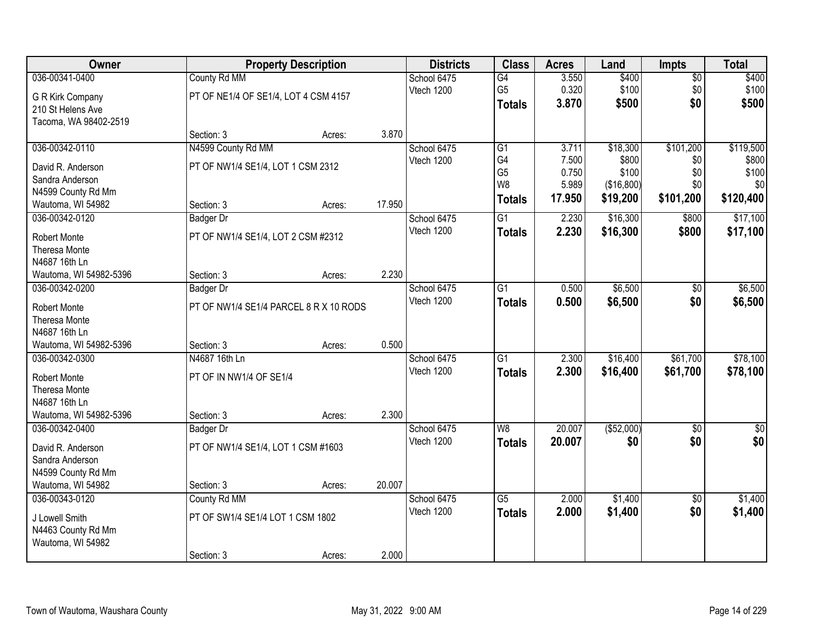| 036-00341-0400<br>County Rd MM<br>3.550<br>\$400<br>School 6475<br>$\overline{G4}$<br>$\sqrt{$0}$<br>0.320<br>\$100<br>G <sub>5</sub><br>\$0<br>Vtech 1200<br>PT OF NE1/4 OF SE1/4, LOT 4 CSM 4157<br>G R Kirk Company<br>\$500<br>\$0<br>3.870<br><b>Totals</b><br>210 St Helens Ave<br>Tacoma, WA 98402-2519<br>3.870<br>Section: 3<br>Acres:<br>036-00342-0110<br>N4599 County Rd MM<br>$\overline{G1}$<br>\$18,300<br>\$101,200<br>School 6475<br>3.711<br>G4<br>7.500<br>\$800<br>Vtech 1200<br>\$0<br>PT OF NW1/4 SE1/4, LOT 1 CSM 2312<br>David R. Anderson<br>G <sub>5</sub><br>0.750<br>\$100<br>\$0<br>Sandra Anderson<br>W8<br>5.989<br>(\$16,800)<br>\$0 | Owner              | <b>Property Description</b> |  | <b>Districts</b> | <b>Class</b> | <b>Acres</b> | Land | <b>Impts</b> | <b>Total</b>     |
|----------------------------------------------------------------------------------------------------------------------------------------------------------------------------------------------------------------------------------------------------------------------------------------------------------------------------------------------------------------------------------------------------------------------------------------------------------------------------------------------------------------------------------------------------------------------------------------------------------------------------------------------------------------------|--------------------|-----------------------------|--|------------------|--------------|--------------|------|--------------|------------------|
|                                                                                                                                                                                                                                                                                                                                                                                                                                                                                                                                                                                                                                                                      |                    |                             |  |                  |              |              |      |              | \$400            |
|                                                                                                                                                                                                                                                                                                                                                                                                                                                                                                                                                                                                                                                                      |                    |                             |  |                  |              |              |      |              | \$100            |
|                                                                                                                                                                                                                                                                                                                                                                                                                                                                                                                                                                                                                                                                      |                    |                             |  |                  |              |              |      |              | \$500            |
|                                                                                                                                                                                                                                                                                                                                                                                                                                                                                                                                                                                                                                                                      |                    |                             |  |                  |              |              |      |              |                  |
|                                                                                                                                                                                                                                                                                                                                                                                                                                                                                                                                                                                                                                                                      |                    |                             |  |                  |              |              |      |              |                  |
|                                                                                                                                                                                                                                                                                                                                                                                                                                                                                                                                                                                                                                                                      |                    |                             |  |                  |              |              |      |              | \$119,500        |
|                                                                                                                                                                                                                                                                                                                                                                                                                                                                                                                                                                                                                                                                      |                    |                             |  |                  |              |              |      |              | \$800            |
|                                                                                                                                                                                                                                                                                                                                                                                                                                                                                                                                                                                                                                                                      |                    |                             |  |                  |              |              |      |              | \$100            |
|                                                                                                                                                                                                                                                                                                                                                                                                                                                                                                                                                                                                                                                                      | N4599 County Rd Mm |                             |  |                  |              |              |      |              | \$0              |
| 17.950<br>\$19,200<br>\$101,200<br><b>Totals</b><br>17.950<br>Section: 3<br>Wautoma, WI 54982<br>Acres:                                                                                                                                                                                                                                                                                                                                                                                                                                                                                                                                                              |                    |                             |  |                  |              |              |      |              | \$120,400        |
| \$16,300<br>036-00342-0120<br>G1<br>2.230<br>School 6475<br>\$800<br>Badger Dr                                                                                                                                                                                                                                                                                                                                                                                                                                                                                                                                                                                       |                    |                             |  |                  |              |              |      |              | \$17,100         |
| Vtech 1200<br>2.230<br>\$16,300<br>\$800<br><b>Totals</b><br>PT OF NW1/4 SE1/4, LOT 2 CSM #2312<br><b>Robert Monte</b>                                                                                                                                                                                                                                                                                                                                                                                                                                                                                                                                               |                    |                             |  |                  |              |              |      |              | \$17,100         |
| Theresa Monte                                                                                                                                                                                                                                                                                                                                                                                                                                                                                                                                                                                                                                                        |                    |                             |  |                  |              |              |      |              |                  |
| N4687 16th Ln                                                                                                                                                                                                                                                                                                                                                                                                                                                                                                                                                                                                                                                        |                    |                             |  |                  |              |              |      |              |                  |
| 2.230<br>Wautoma, WI 54982-5396<br>Section: 3<br>Acres:                                                                                                                                                                                                                                                                                                                                                                                                                                                                                                                                                                                                              |                    |                             |  |                  |              |              |      |              |                  |
| \$6,500<br>036-00342-0200<br>School 6475<br>G1<br>0.500<br><b>Badger Dr</b><br>$\sqrt[6]{3}$                                                                                                                                                                                                                                                                                                                                                                                                                                                                                                                                                                         |                    |                             |  |                  |              |              |      |              | \$6,500          |
| Vtech 1200<br>\$0<br>0.500<br>\$6,500<br><b>Totals</b><br>PT OF NW1/4 SE1/4 PARCEL 8 R X 10 RODS<br><b>Robert Monte</b>                                                                                                                                                                                                                                                                                                                                                                                                                                                                                                                                              |                    |                             |  |                  |              |              |      |              | \$6,500          |
| Theresa Monte                                                                                                                                                                                                                                                                                                                                                                                                                                                                                                                                                                                                                                                        |                    |                             |  |                  |              |              |      |              |                  |
| N4687 16th Ln                                                                                                                                                                                                                                                                                                                                                                                                                                                                                                                                                                                                                                                        |                    |                             |  |                  |              |              |      |              |                  |
| 0.500<br>Wautoma, WI 54982-5396<br>Section: 3<br>Acres:                                                                                                                                                                                                                                                                                                                                                                                                                                                                                                                                                                                                              |                    |                             |  |                  |              |              |      |              |                  |
| \$16,400<br>\$61,700<br>036-00342-0300<br>N4687 16th Ln<br>$\overline{G1}$<br>2.300<br>School 6475                                                                                                                                                                                                                                                                                                                                                                                                                                                                                                                                                                   |                    |                             |  |                  |              |              |      |              | \$78,100         |
| Vtech 1200<br>2.300<br>\$16,400<br>\$61,700<br><b>Totals</b><br>PT OF IN NW1/4 OF SE1/4<br><b>Robert Monte</b>                                                                                                                                                                                                                                                                                                                                                                                                                                                                                                                                                       |                    |                             |  |                  |              |              |      |              | \$78,100         |
| Theresa Monte                                                                                                                                                                                                                                                                                                                                                                                                                                                                                                                                                                                                                                                        |                    |                             |  |                  |              |              |      |              |                  |
| N4687 16th Ln                                                                                                                                                                                                                                                                                                                                                                                                                                                                                                                                                                                                                                                        |                    |                             |  |                  |              |              |      |              |                  |
| 2.300<br>Wautoma, WI 54982-5396<br>Section: 3<br>Acres:                                                                                                                                                                                                                                                                                                                                                                                                                                                                                                                                                                                                              |                    |                             |  |                  |              |              |      |              |                  |
| W <sub>8</sub><br>20.007<br>( \$52,000)<br>036-00342-0400<br>School 6475<br>$\overline{30}$<br>Badger Dr                                                                                                                                                                                                                                                                                                                                                                                                                                                                                                                                                             |                    |                             |  |                  |              |              |      |              | $\overline{\$0}$ |
| \$0<br>Vtech 1200<br>20.007<br>\$0<br><b>Totals</b><br>PT OF NW1/4 SE1/4, LOT 1 CSM #1603                                                                                                                                                                                                                                                                                                                                                                                                                                                                                                                                                                            |                    |                             |  |                  |              |              |      |              | \$0              |
| David R. Anderson<br>Sandra Anderson                                                                                                                                                                                                                                                                                                                                                                                                                                                                                                                                                                                                                                 |                    |                             |  |                  |              |              |      |              |                  |
| N4599 County Rd Mm                                                                                                                                                                                                                                                                                                                                                                                                                                                                                                                                                                                                                                                   |                    |                             |  |                  |              |              |      |              |                  |
| 20.007<br>Wautoma, WI 54982<br>Section: 3<br>Acres:                                                                                                                                                                                                                                                                                                                                                                                                                                                                                                                                                                                                                  |                    |                             |  |                  |              |              |      |              |                  |
| $\overline{G5}$<br>2.000<br>\$1,400<br>036-00343-0120<br>County Rd MM<br>School 6475<br>$\overline{50}$                                                                                                                                                                                                                                                                                                                                                                                                                                                                                                                                                              |                    |                             |  |                  |              |              |      |              | \$1,400          |
| \$0<br>Vtech 1200<br>2.000<br>\$1,400<br><b>Totals</b>                                                                                                                                                                                                                                                                                                                                                                                                                                                                                                                                                                                                               |                    |                             |  |                  |              |              |      |              | \$1,400          |
| PT OF SW1/4 SE1/4 LOT 1 CSM 1802<br>J Lowell Smith                                                                                                                                                                                                                                                                                                                                                                                                                                                                                                                                                                                                                   |                    |                             |  |                  |              |              |      |              |                  |
| N4463 County Rd Mm<br>Wautoma, WI 54982                                                                                                                                                                                                                                                                                                                                                                                                                                                                                                                                                                                                                              |                    |                             |  |                  |              |              |      |              |                  |
| 2.000<br>Section: 3<br>Acres:                                                                                                                                                                                                                                                                                                                                                                                                                                                                                                                                                                                                                                        |                    |                             |  |                  |              |              |      |              |                  |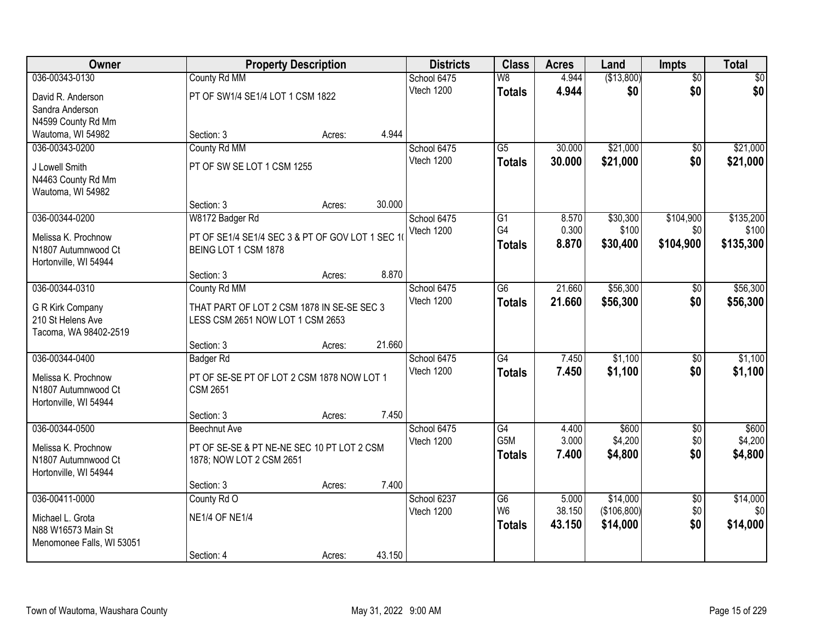| Owner                     | <b>Property Description</b>                     |        |        | <b>Districts</b> | <b>Class</b>             | <b>Acres</b> | Land        | Impts           | <b>Total</b> |
|---------------------------|-------------------------------------------------|--------|--------|------------------|--------------------------|--------------|-------------|-----------------|--------------|
| 036-00343-0130            | County Rd MM                                    |        |        | School 6475      | $\overline{\mathsf{W}8}$ | 4.944        | (\$13,800)  | $\overline{50}$ | \$0          |
| David R. Anderson         | PT OF SW1/4 SE1/4 LOT 1 CSM 1822                |        |        | Vtech 1200       | <b>Totals</b>            | 4.944        | \$0         | \$0             | \$0          |
| Sandra Anderson           |                                                 |        |        |                  |                          |              |             |                 |              |
| N4599 County Rd Mm        |                                                 |        |        |                  |                          |              |             |                 |              |
| Wautoma, WI 54982         | Section: 3                                      | Acres: | 4.944  |                  |                          |              |             |                 |              |
| 036-00343-0200            | County Rd MM                                    |        |        | School 6475      | $\overline{G5}$          | 30.000       | \$21,000    | $\overline{50}$ | \$21,000     |
| J Lowell Smith            | PT OF SW SE LOT 1 CSM 1255                      |        |        | Vtech 1200       | <b>Totals</b>            | 30.000       | \$21,000    | \$0             | \$21,000     |
| N4463 County Rd Mm        |                                                 |        |        |                  |                          |              |             |                 |              |
| Wautoma, WI 54982         |                                                 |        |        |                  |                          |              |             |                 |              |
|                           | Section: 3                                      | Acres: | 30.000 |                  |                          |              |             |                 |              |
| 036-00344-0200            | W8172 Badger Rd                                 |        |        | School 6475      | G <sub>1</sub>           | 8.570        | \$30,300    | \$104,900       | \$135,200    |
| Melissa K. Prochnow       | PT OF SE1/4 SE1/4 SEC 3 & PT OF GOV LOT 1 SEC 1 |        |        | Vtech 1200       | G4                       | 0.300        | \$100       | \$0             | \$100        |
| N1807 Autumnwood Ct       | BEING LOT 1 CSM 1878                            |        |        |                  | <b>Totals</b>            | 8.870        | \$30,400    | \$104,900       | \$135,300    |
| Hortonville, WI 54944     |                                                 |        |        |                  |                          |              |             |                 |              |
|                           | Section: 3                                      | Acres: | 8.870  |                  |                          |              |             |                 |              |
| 036-00344-0310            | County Rd MM                                    |        |        | School 6475      | G <sub>6</sub>           | 21.660       | \$56,300    | \$0             | \$56,300     |
| G R Kirk Company          | THAT PART OF LOT 2 CSM 1878 IN SE-SE SEC 3      |        |        | Vtech 1200       | <b>Totals</b>            | 21.660       | \$56,300    | \$0             | \$56,300     |
| 210 St Helens Ave         | LESS CSM 2651 NOW LOT 1 CSM 2653                |        |        |                  |                          |              |             |                 |              |
| Tacoma, WA 98402-2519     |                                                 |        |        |                  |                          |              |             |                 |              |
|                           | Section: 3                                      | Acres: | 21.660 |                  |                          |              |             |                 |              |
| 036-00344-0400            | <b>Badger Rd</b>                                |        |        | School 6475      | $\overline{G4}$          | 7.450        | \$1,100     | $\overline{50}$ | \$1,100      |
| Melissa K. Prochnow       | PT OF SE-SE PT OF LOT 2 CSM 1878 NOW LOT 1      |        |        | Vtech 1200       | <b>Totals</b>            | 7.450        | \$1,100     | \$0             | \$1,100      |
| N1807 Autumnwood Ct       | <b>CSM 2651</b>                                 |        |        |                  |                          |              |             |                 |              |
| Hortonville, WI 54944     |                                                 |        |        |                  |                          |              |             |                 |              |
|                           | Section: 3                                      | Acres: | 7.450  |                  |                          |              |             |                 |              |
| 036-00344-0500            | <b>Beechnut Ave</b>                             |        |        | School 6475      | G4                       | 4.400        | \$600       | $\overline{50}$ | \$600        |
| Melissa K. Prochnow       | PT OF SE-SE & PT NE-NE SEC 10 PT LOT 2 CSM      |        |        | Vtech 1200       | G5M                      | 3.000        | \$4,200     | \$0             | \$4,200      |
| N1807 Autumnwood Ct       | 1878; NOW LOT 2 CSM 2651                        |        |        |                  | <b>Totals</b>            | 7.400        | \$4,800     | \$0             | \$4,800      |
| Hortonville, WI 54944     |                                                 |        |        |                  |                          |              |             |                 |              |
|                           | Section: 3                                      | Acres: | 7.400  |                  |                          |              |             |                 |              |
| 036-00411-0000            | County Rd O                                     |        |        | School 6237      | G6                       | 5.000        | \$14,000    | $\overline{50}$ | \$14,000     |
| Michael L. Grota          | <b>NE1/4 OF NE1/4</b>                           |        |        | Vtech 1200       | W <sub>6</sub>           | 38.150       | (\$106,800) | \$0             | \$0          |
| N88 W16573 Main St        |                                                 |        |        |                  | <b>Totals</b>            | 43.150       | \$14,000    | \$0             | \$14,000     |
| Menomonee Falls, WI 53051 |                                                 |        |        |                  |                          |              |             |                 |              |
|                           | Section: 4                                      | Acres: | 43.150 |                  |                          |              |             |                 |              |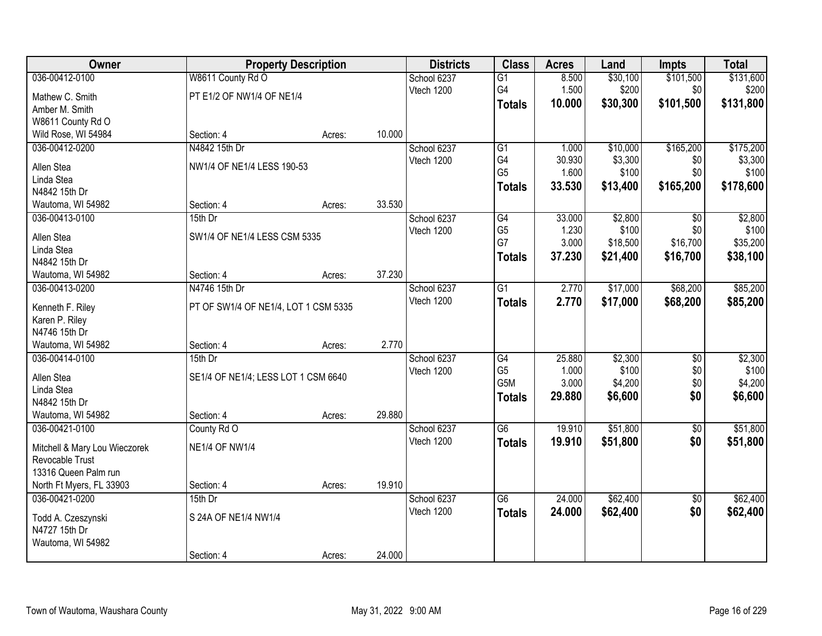| \$101,500<br>\$131,600<br>036-00412-0100<br>W8611 County Rd O<br>School 6237<br>8.500<br>\$30,100<br>$\overline{G1}$<br>G4<br>1.500<br>\$200<br>\$0<br>\$200<br>Vtech 1200<br>PT E1/2 OF NW1/4 OF NE1/4<br>Mathew C. Smith<br>\$131,800<br>10.000<br>\$30,300<br>\$101,500<br><b>Totals</b><br>Amber M. Smith<br>W8611 County Rd O<br>Wild Rose, WI 54984<br>Section: 4<br>10.000<br>Acres:<br>N4842 15th Dr<br>\$10,000<br>\$165,200<br>\$175,200<br>036-00412-0200<br>School 6237<br>$\overline{G1}$<br>1.000<br>G4<br>30.930<br>\$3,300<br>Vtech 1200<br>\$0<br>NW1/4 OF NE1/4 LESS 190-53<br>Allen Stea<br>G <sub>5</sub><br>1.600<br>\$100<br>\$0<br>Linda Stea<br>33.530<br>\$165,200<br>\$178,600<br>\$13,400<br><b>Totals</b><br>N4842 15th Dr<br>33.530<br>Section: 4<br>Wautoma, WI 54982<br>Acres:<br>\$2,800<br>036-00413-0100<br>15th Dr<br>School 6237<br>G4<br>33.000<br>$\overline{50}$<br>G <sub>5</sub><br>\$100<br>1.230<br>\$0<br>Vtech 1200<br>SW1/4 OF NE1/4 LESS CSM 5335<br>Allen Stea<br>G7<br>3.000<br>\$16,700<br>\$18,500<br>Linda Stea<br>37.230<br>\$16,700<br>\$38,100<br>\$21,400<br><b>Totals</b><br>N4842 15th Dr<br>37.230<br>Section: 4<br>Wautoma, WI 54982<br>Acres:<br>2.770<br>\$17,000<br>\$68,200<br>036-00413-0200<br>N4746 15th Dr<br>School 6237<br>$\overline{G1}$<br>Vtech 1200<br>2.770<br>\$17,000<br>\$68,200<br>\$85,200<br><b>Totals</b><br>PT OF SW1/4 OF NE1/4, LOT 1 CSM 5335<br>Kenneth F. Riley<br>Karen P. Riley<br>N4746 15th Dr<br>2.770<br>Wautoma, WI 54982<br>Section: 4<br>Acres:<br>25.880<br>\$2,300<br>036-00414-0100<br>$15th$ Dr<br>G4<br>$\overline{30}$<br>School 6237<br>G <sub>5</sub><br>\$100<br>1.000<br>\$0<br>Vtech 1200<br>Allen Stea<br>SE1/4 OF NE1/4; LESS LOT 1 CSM 6640<br>G5M<br>3.000<br>\$4,200<br>\$0<br>Linda Stea<br>\$0<br>\$6,600<br>29.880<br>\$6,600<br><b>Totals</b><br>N4842 15th Dr<br>29.880<br>Wautoma, WI 54982<br>Section: 4<br>Acres:<br>\$51,800<br>G6<br>19.910<br>036-00421-0100<br>County Rd O<br>School 6237<br>$\sqrt{6}$<br>Vtech 1200<br>\$0<br>19.910<br>\$51,800<br>\$51,800<br><b>Totals</b><br>Mitchell & Mary Lou Wieczorek<br><b>NE1/4 OF NW1/4</b><br>Revocable Trust<br>13316 Queen Palm run<br>North Ft Myers, FL 33903<br>19.910<br>Section: 4<br>Acres:<br>\$62,400<br>036-00421-0200<br>$\overline{G6}$<br>24.000<br>$15th$ Dr<br>School 6237<br>$\overline{50}$<br>\$0<br>Vtech 1200<br>24.000<br>\$62,400<br>\$62,400<br><b>Totals</b><br>S 24A OF NE1/4 NW1/4<br>Todd A. Czeszynski<br>N4727 15th Dr<br>Wautoma, WI 54982 | Owner |            | <b>Property Description</b> |        |  | <b>Class</b> | <b>Acres</b> | Land | <b>Impts</b> | <b>Total</b> |
|--------------------------------------------------------------------------------------------------------------------------------------------------------------------------------------------------------------------------------------------------------------------------------------------------------------------------------------------------------------------------------------------------------------------------------------------------------------------------------------------------------------------------------------------------------------------------------------------------------------------------------------------------------------------------------------------------------------------------------------------------------------------------------------------------------------------------------------------------------------------------------------------------------------------------------------------------------------------------------------------------------------------------------------------------------------------------------------------------------------------------------------------------------------------------------------------------------------------------------------------------------------------------------------------------------------------------------------------------------------------------------------------------------------------------------------------------------------------------------------------------------------------------------------------------------------------------------------------------------------------------------------------------------------------------------------------------------------------------------------------------------------------------------------------------------------------------------------------------------------------------------------------------------------------------------------------------------------------------------------------------------------------------------------------------------------------------------------------------------------------------------------------------------------------------------------------------------------------------------------------------------------------------------------------------------------------------------------------------------------------------------------------------------------------------------------------------------------------------------------------------------------------------------------------------------|-------|------------|-----------------------------|--------|--|--------------|--------------|------|--------------|--------------|
|                                                                                                                                                                                                                                                                                                                                                                                                                                                                                                                                                                                                                                                                                                                                                                                                                                                                                                                                                                                                                                                                                                                                                                                                                                                                                                                                                                                                                                                                                                                                                                                                                                                                                                                                                                                                                                                                                                                                                                                                                                                                                                                                                                                                                                                                                                                                                                                                                                                                                                                                                        |       |            |                             |        |  |              |              |      |              |              |
|                                                                                                                                                                                                                                                                                                                                                                                                                                                                                                                                                                                                                                                                                                                                                                                                                                                                                                                                                                                                                                                                                                                                                                                                                                                                                                                                                                                                                                                                                                                                                                                                                                                                                                                                                                                                                                                                                                                                                                                                                                                                                                                                                                                                                                                                                                                                                                                                                                                                                                                                                        |       |            |                             |        |  |              |              |      |              |              |
|                                                                                                                                                                                                                                                                                                                                                                                                                                                                                                                                                                                                                                                                                                                                                                                                                                                                                                                                                                                                                                                                                                                                                                                                                                                                                                                                                                                                                                                                                                                                                                                                                                                                                                                                                                                                                                                                                                                                                                                                                                                                                                                                                                                                                                                                                                                                                                                                                                                                                                                                                        |       |            |                             |        |  |              |              |      |              |              |
|                                                                                                                                                                                                                                                                                                                                                                                                                                                                                                                                                                                                                                                                                                                                                                                                                                                                                                                                                                                                                                                                                                                                                                                                                                                                                                                                                                                                                                                                                                                                                                                                                                                                                                                                                                                                                                                                                                                                                                                                                                                                                                                                                                                                                                                                                                                                                                                                                                                                                                                                                        |       |            |                             |        |  |              |              |      |              |              |
|                                                                                                                                                                                                                                                                                                                                                                                                                                                                                                                                                                                                                                                                                                                                                                                                                                                                                                                                                                                                                                                                                                                                                                                                                                                                                                                                                                                                                                                                                                                                                                                                                                                                                                                                                                                                                                                                                                                                                                                                                                                                                                                                                                                                                                                                                                                                                                                                                                                                                                                                                        |       |            |                             |        |  |              |              |      |              |              |
| \$3,300<br>\$100<br>\$2,800<br>\$100<br>\$35,200                                                                                                                                                                                                                                                                                                                                                                                                                                                                                                                                                                                                                                                                                                                                                                                                                                                                                                                                                                                                                                                                                                                                                                                                                                                                                                                                                                                                                                                                                                                                                                                                                                                                                                                                                                                                                                                                                                                                                                                                                                                                                                                                                                                                                                                                                                                                                                                                                                                                                                       |       |            |                             |        |  |              |              |      |              |              |
|                                                                                                                                                                                                                                                                                                                                                                                                                                                                                                                                                                                                                                                                                                                                                                                                                                                                                                                                                                                                                                                                                                                                                                                                                                                                                                                                                                                                                                                                                                                                                                                                                                                                                                                                                                                                                                                                                                                                                                                                                                                                                                                                                                                                                                                                                                                                                                                                                                                                                                                                                        |       |            |                             |        |  |              |              |      |              |              |
|                                                                                                                                                                                                                                                                                                                                                                                                                                                                                                                                                                                                                                                                                                                                                                                                                                                                                                                                                                                                                                                                                                                                                                                                                                                                                                                                                                                                                                                                                                                                                                                                                                                                                                                                                                                                                                                                                                                                                                                                                                                                                                                                                                                                                                                                                                                                                                                                                                                                                                                                                        |       |            |                             |        |  |              |              |      |              |              |
|                                                                                                                                                                                                                                                                                                                                                                                                                                                                                                                                                                                                                                                                                                                                                                                                                                                                                                                                                                                                                                                                                                                                                                                                                                                                                                                                                                                                                                                                                                                                                                                                                                                                                                                                                                                                                                                                                                                                                                                                                                                                                                                                                                                                                                                                                                                                                                                                                                                                                                                                                        |       |            |                             |        |  |              |              |      |              |              |
|                                                                                                                                                                                                                                                                                                                                                                                                                                                                                                                                                                                                                                                                                                                                                                                                                                                                                                                                                                                                                                                                                                                                                                                                                                                                                                                                                                                                                                                                                                                                                                                                                                                                                                                                                                                                                                                                                                                                                                                                                                                                                                                                                                                                                                                                                                                                                                                                                                                                                                                                                        |       |            |                             |        |  |              |              |      |              |              |
|                                                                                                                                                                                                                                                                                                                                                                                                                                                                                                                                                                                                                                                                                                                                                                                                                                                                                                                                                                                                                                                                                                                                                                                                                                                                                                                                                                                                                                                                                                                                                                                                                                                                                                                                                                                                                                                                                                                                                                                                                                                                                                                                                                                                                                                                                                                                                                                                                                                                                                                                                        |       |            |                             |        |  |              |              |      |              |              |
|                                                                                                                                                                                                                                                                                                                                                                                                                                                                                                                                                                                                                                                                                                                                                                                                                                                                                                                                                                                                                                                                                                                                                                                                                                                                                                                                                                                                                                                                                                                                                                                                                                                                                                                                                                                                                                                                                                                                                                                                                                                                                                                                                                                                                                                                                                                                                                                                                                                                                                                                                        |       |            |                             |        |  |              |              |      |              |              |
|                                                                                                                                                                                                                                                                                                                                                                                                                                                                                                                                                                                                                                                                                                                                                                                                                                                                                                                                                                                                                                                                                                                                                                                                                                                                                                                                                                                                                                                                                                                                                                                                                                                                                                                                                                                                                                                                                                                                                                                                                                                                                                                                                                                                                                                                                                                                                                                                                                                                                                                                                        |       |            |                             |        |  |              |              |      |              |              |
|                                                                                                                                                                                                                                                                                                                                                                                                                                                                                                                                                                                                                                                                                                                                                                                                                                                                                                                                                                                                                                                                                                                                                                                                                                                                                                                                                                                                                                                                                                                                                                                                                                                                                                                                                                                                                                                                                                                                                                                                                                                                                                                                                                                                                                                                                                                                                                                                                                                                                                                                                        |       |            |                             |        |  |              |              |      |              |              |
|                                                                                                                                                                                                                                                                                                                                                                                                                                                                                                                                                                                                                                                                                                                                                                                                                                                                                                                                                                                                                                                                                                                                                                                                                                                                                                                                                                                                                                                                                                                                                                                                                                                                                                                                                                                                                                                                                                                                                                                                                                                                                                                                                                                                                                                                                                                                                                                                                                                                                                                                                        |       |            |                             |        |  |              |              |      |              |              |
| \$85,200<br>\$2,300<br>\$100<br>\$4,200<br>\$51,800<br>\$62,400                                                                                                                                                                                                                                                                                                                                                                                                                                                                                                                                                                                                                                                                                                                                                                                                                                                                                                                                                                                                                                                                                                                                                                                                                                                                                                                                                                                                                                                                                                                                                                                                                                                                                                                                                                                                                                                                                                                                                                                                                                                                                                                                                                                                                                                                                                                                                                                                                                                                                        |       |            |                             |        |  |              |              |      |              |              |
|                                                                                                                                                                                                                                                                                                                                                                                                                                                                                                                                                                                                                                                                                                                                                                                                                                                                                                                                                                                                                                                                                                                                                                                                                                                                                                                                                                                                                                                                                                                                                                                                                                                                                                                                                                                                                                                                                                                                                                                                                                                                                                                                                                                                                                                                                                                                                                                                                                                                                                                                                        |       |            |                             |        |  |              |              |      |              |              |
|                                                                                                                                                                                                                                                                                                                                                                                                                                                                                                                                                                                                                                                                                                                                                                                                                                                                                                                                                                                                                                                                                                                                                                                                                                                                                                                                                                                                                                                                                                                                                                                                                                                                                                                                                                                                                                                                                                                                                                                                                                                                                                                                                                                                                                                                                                                                                                                                                                                                                                                                                        |       |            |                             |        |  |              |              |      |              |              |
|                                                                                                                                                                                                                                                                                                                                                                                                                                                                                                                                                                                                                                                                                                                                                                                                                                                                                                                                                                                                                                                                                                                                                                                                                                                                                                                                                                                                                                                                                                                                                                                                                                                                                                                                                                                                                                                                                                                                                                                                                                                                                                                                                                                                                                                                                                                                                                                                                                                                                                                                                        |       |            |                             |        |  |              |              |      |              |              |
|                                                                                                                                                                                                                                                                                                                                                                                                                                                                                                                                                                                                                                                                                                                                                                                                                                                                                                                                                                                                                                                                                                                                                                                                                                                                                                                                                                                                                                                                                                                                                                                                                                                                                                                                                                                                                                                                                                                                                                                                                                                                                                                                                                                                                                                                                                                                                                                                                                                                                                                                                        |       |            |                             |        |  |              |              |      |              |              |
|                                                                                                                                                                                                                                                                                                                                                                                                                                                                                                                                                                                                                                                                                                                                                                                                                                                                                                                                                                                                                                                                                                                                                                                                                                                                                                                                                                                                                                                                                                                                                                                                                                                                                                                                                                                                                                                                                                                                                                                                                                                                                                                                                                                                                                                                                                                                                                                                                                                                                                                                                        |       |            |                             |        |  |              |              |      |              |              |
|                                                                                                                                                                                                                                                                                                                                                                                                                                                                                                                                                                                                                                                                                                                                                                                                                                                                                                                                                                                                                                                                                                                                                                                                                                                                                                                                                                                                                                                                                                                                                                                                                                                                                                                                                                                                                                                                                                                                                                                                                                                                                                                                                                                                                                                                                                                                                                                                                                                                                                                                                        |       |            |                             |        |  |              |              |      |              |              |
|                                                                                                                                                                                                                                                                                                                                                                                                                                                                                                                                                                                                                                                                                                                                                                                                                                                                                                                                                                                                                                                                                                                                                                                                                                                                                                                                                                                                                                                                                                                                                                                                                                                                                                                                                                                                                                                                                                                                                                                                                                                                                                                                                                                                                                                                                                                                                                                                                                                                                                                                                        |       |            |                             |        |  |              |              |      |              |              |
|                                                                                                                                                                                                                                                                                                                                                                                                                                                                                                                                                                                                                                                                                                                                                                                                                                                                                                                                                                                                                                                                                                                                                                                                                                                                                                                                                                                                                                                                                                                                                                                                                                                                                                                                                                                                                                                                                                                                                                                                                                                                                                                                                                                                                                                                                                                                                                                                                                                                                                                                                        |       |            |                             |        |  |              |              |      |              |              |
|                                                                                                                                                                                                                                                                                                                                                                                                                                                                                                                                                                                                                                                                                                                                                                                                                                                                                                                                                                                                                                                                                                                                                                                                                                                                                                                                                                                                                                                                                                                                                                                                                                                                                                                                                                                                                                                                                                                                                                                                                                                                                                                                                                                                                                                                                                                                                                                                                                                                                                                                                        |       |            |                             |        |  |              |              |      |              |              |
|                                                                                                                                                                                                                                                                                                                                                                                                                                                                                                                                                                                                                                                                                                                                                                                                                                                                                                                                                                                                                                                                                                                                                                                                                                                                                                                                                                                                                                                                                                                                                                                                                                                                                                                                                                                                                                                                                                                                                                                                                                                                                                                                                                                                                                                                                                                                                                                                                                                                                                                                                        |       |            |                             |        |  |              |              |      |              |              |
|                                                                                                                                                                                                                                                                                                                                                                                                                                                                                                                                                                                                                                                                                                                                                                                                                                                                                                                                                                                                                                                                                                                                                                                                                                                                                                                                                                                                                                                                                                                                                                                                                                                                                                                                                                                                                                                                                                                                                                                                                                                                                                                                                                                                                                                                                                                                                                                                                                                                                                                                                        |       |            |                             |        |  |              |              |      |              |              |
|                                                                                                                                                                                                                                                                                                                                                                                                                                                                                                                                                                                                                                                                                                                                                                                                                                                                                                                                                                                                                                                                                                                                                                                                                                                                                                                                                                                                                                                                                                                                                                                                                                                                                                                                                                                                                                                                                                                                                                                                                                                                                                                                                                                                                                                                                                                                                                                                                                                                                                                                                        |       |            |                             |        |  |              |              |      |              |              |
|                                                                                                                                                                                                                                                                                                                                                                                                                                                                                                                                                                                                                                                                                                                                                                                                                                                                                                                                                                                                                                                                                                                                                                                                                                                                                                                                                                                                                                                                                                                                                                                                                                                                                                                                                                                                                                                                                                                                                                                                                                                                                                                                                                                                                                                                                                                                                                                                                                                                                                                                                        |       |            |                             |        |  |              |              |      |              |              |
|                                                                                                                                                                                                                                                                                                                                                                                                                                                                                                                                                                                                                                                                                                                                                                                                                                                                                                                                                                                                                                                                                                                                                                                                                                                                                                                                                                                                                                                                                                                                                                                                                                                                                                                                                                                                                                                                                                                                                                                                                                                                                                                                                                                                                                                                                                                                                                                                                                                                                                                                                        |       |            |                             |        |  |              |              |      |              |              |
|                                                                                                                                                                                                                                                                                                                                                                                                                                                                                                                                                                                                                                                                                                                                                                                                                                                                                                                                                                                                                                                                                                                                                                                                                                                                                                                                                                                                                                                                                                                                                                                                                                                                                                                                                                                                                                                                                                                                                                                                                                                                                                                                                                                                                                                                                                                                                                                                                                                                                                                                                        |       |            |                             |        |  |              |              |      |              |              |
|                                                                                                                                                                                                                                                                                                                                                                                                                                                                                                                                                                                                                                                                                                                                                                                                                                                                                                                                                                                                                                                                                                                                                                                                                                                                                                                                                                                                                                                                                                                                                                                                                                                                                                                                                                                                                                                                                                                                                                                                                                                                                                                                                                                                                                                                                                                                                                                                                                                                                                                                                        |       |            |                             |        |  |              |              |      |              |              |
|                                                                                                                                                                                                                                                                                                                                                                                                                                                                                                                                                                                                                                                                                                                                                                                                                                                                                                                                                                                                                                                                                                                                                                                                                                                                                                                                                                                                                                                                                                                                                                                                                                                                                                                                                                                                                                                                                                                                                                                                                                                                                                                                                                                                                                                                                                                                                                                                                                                                                                                                                        |       |            |                             |        |  |              |              |      |              |              |
|                                                                                                                                                                                                                                                                                                                                                                                                                                                                                                                                                                                                                                                                                                                                                                                                                                                                                                                                                                                                                                                                                                                                                                                                                                                                                                                                                                                                                                                                                                                                                                                                                                                                                                                                                                                                                                                                                                                                                                                                                                                                                                                                                                                                                                                                                                                                                                                                                                                                                                                                                        |       |            |                             |        |  |              |              |      |              |              |
|                                                                                                                                                                                                                                                                                                                                                                                                                                                                                                                                                                                                                                                                                                                                                                                                                                                                                                                                                                                                                                                                                                                                                                                                                                                                                                                                                                                                                                                                                                                                                                                                                                                                                                                                                                                                                                                                                                                                                                                                                                                                                                                                                                                                                                                                                                                                                                                                                                                                                                                                                        |       |            |                             |        |  |              |              |      |              |              |
|                                                                                                                                                                                                                                                                                                                                                                                                                                                                                                                                                                                                                                                                                                                                                                                                                                                                                                                                                                                                                                                                                                                                                                                                                                                                                                                                                                                                                                                                                                                                                                                                                                                                                                                                                                                                                                                                                                                                                                                                                                                                                                                                                                                                                                                                                                                                                                                                                                                                                                                                                        |       |            |                             |        |  |              |              |      |              |              |
|                                                                                                                                                                                                                                                                                                                                                                                                                                                                                                                                                                                                                                                                                                                                                                                                                                                                                                                                                                                                                                                                                                                                                                                                                                                                                                                                                                                                                                                                                                                                                                                                                                                                                                                                                                                                                                                                                                                                                                                                                                                                                                                                                                                                                                                                                                                                                                                                                                                                                                                                                        |       | Section: 4 | Acres:                      | 24.000 |  |              |              |      |              |              |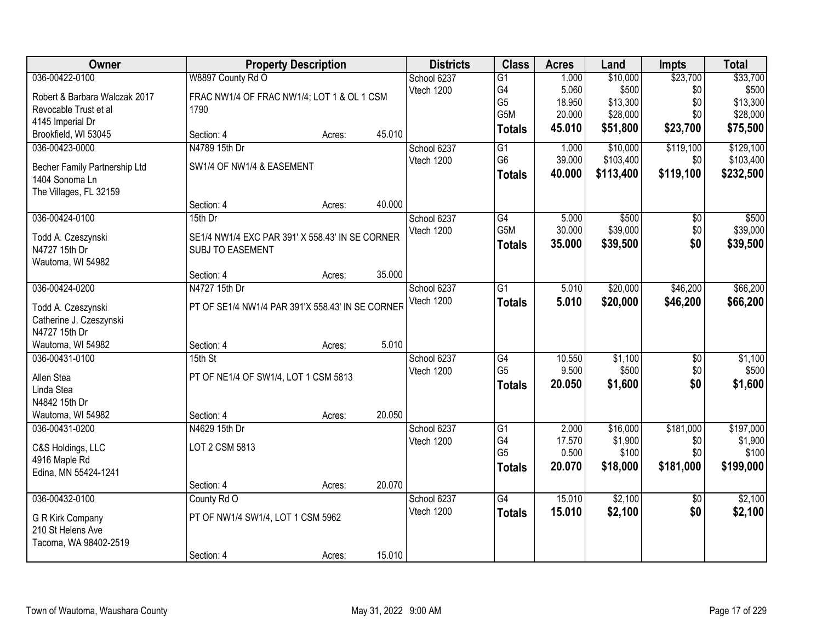| Owner                                           |                                                                            | <b>Property Description</b> |        |             | <b>Class</b>    | <b>Acres</b> | Land      | <b>Impts</b>    | <b>Total</b> |
|-------------------------------------------------|----------------------------------------------------------------------------|-----------------------------|--------|-------------|-----------------|--------------|-----------|-----------------|--------------|
| 036-00422-0100                                  | W8897 County Rd O                                                          |                             |        | School 6237 | $\overline{G1}$ | 1.000        | \$10,000  | \$23,700        | \$33,700     |
| Robert & Barbara Walczak 2017                   | FRAC NW1/4 OF FRAC NW1/4; LOT 1 & OL 1 CSM                                 |                             |        | Vtech 1200  | G4              | 5.060        | \$500     | \$0             | \$500        |
| Revocable Trust et al                           | 1790                                                                       |                             |        |             | G <sub>5</sub>  | 18.950       | \$13,300  | \$0             | \$13,300     |
| 4145 Imperial Dr                                |                                                                            |                             |        |             | G5M             | 20.000       | \$28,000  | \$0             | \$28,000     |
| Brookfield, WI 53045                            | Section: 4                                                                 | Acres:                      | 45.010 |             | <b>Totals</b>   | 45.010       | \$51,800  | \$23,700        | \$75,500     |
| 036-00423-0000                                  | N4789 15th Dr                                                              |                             |        | School 6237 | G1              | 1.000        | \$10,000  | \$119,100       | \$129,100    |
|                                                 | SW1/4 OF NW1/4 & EASEMENT                                                  |                             |        | Vtech 1200  | G <sub>6</sub>  | 39.000       | \$103,400 | \$0             | \$103,400    |
| Becher Family Partnership Ltd<br>1404 Sonoma Ln |                                                                            |                             |        |             | <b>Totals</b>   | 40.000       | \$113,400 | \$119,100       | \$232,500    |
| The Villages, FL 32159                          |                                                                            |                             |        |             |                 |              |           |                 |              |
|                                                 | Section: 4                                                                 | Acres:                      | 40.000 |             |                 |              |           |                 |              |
| 036-00424-0100                                  | 15th Dr                                                                    |                             |        | School 6237 | G4              | 5.000        | \$500     | \$0             | \$500        |
|                                                 |                                                                            |                             |        | Vtech 1200  | G5M             | 30.000       | \$39,000  | \$0             | \$39,000     |
| Todd A. Czeszynski<br>N4727 15th Dr             | SE1/4 NW1/4 EXC PAR 391' X 558.43' IN SE CORNER<br><b>SUBJ TO EASEMENT</b> |                             |        |             | <b>Totals</b>   | 35.000       | \$39,500  | \$0             | \$39,500     |
| Wautoma, WI 54982                               |                                                                            |                             |        |             |                 |              |           |                 |              |
|                                                 | Section: 4                                                                 | Acres:                      | 35.000 |             |                 |              |           |                 |              |
| 036-00424-0200                                  | N4727 15th Dr                                                              |                             |        | School 6237 | $\overline{G1}$ | 5.010        | \$20,000  | \$46,200        | \$66,200     |
|                                                 |                                                                            |                             |        | Vtech 1200  | <b>Totals</b>   | 5.010        | \$20,000  | \$46,200        | \$66,200     |
| Todd A. Czeszynski                              | PT OF SE1/4 NW1/4 PAR 391'X 558.43' IN SE CORNER                           |                             |        |             |                 |              |           |                 |              |
| Catherine J. Czeszynski                         |                                                                            |                             |        |             |                 |              |           |                 |              |
| N4727 15th Dr                                   |                                                                            |                             |        |             |                 |              |           |                 |              |
| Wautoma, WI 54982                               | Section: 4                                                                 | Acres:                      | 5.010  |             |                 |              |           |                 |              |
| 036-00431-0100                                  | 15th St                                                                    |                             |        | School 6237 | G4              | 10.550       | \$1,100   | $\overline{50}$ | \$1,100      |
| Allen Stea                                      | PT OF NE1/4 OF SW1/4, LOT 1 CSM 5813                                       |                             |        | Vtech 1200  | G <sub>5</sub>  | 9.500        | \$500     | \$0             | \$500        |
| Linda Stea                                      |                                                                            |                             |        |             | <b>Totals</b>   | 20.050       | \$1,600   | \$0             | \$1,600      |
| N4842 15th Dr                                   |                                                                            |                             |        |             |                 |              |           |                 |              |
| Wautoma, WI 54982                               | Section: 4                                                                 | Acres:                      | 20.050 |             |                 |              |           |                 |              |
| 036-00431-0200                                  | N4629 15th Dr                                                              |                             |        | School 6237 | $\overline{G1}$ | 2.000        | \$16,000  | \$181,000       | \$197,000    |
| C&S Holdings, LLC                               | LOT 2 CSM 5813                                                             |                             |        | Vtech 1200  | G4              | 17.570       | \$1,900   | \$0             | \$1,900      |
| 4916 Maple Rd                                   |                                                                            |                             |        |             | G <sub>5</sub>  | 0.500        | \$100     | \$0             | \$100        |
| Edina, MN 55424-1241                            |                                                                            |                             |        |             | <b>Totals</b>   | 20.070       | \$18,000  | \$181,000       | \$199,000    |
|                                                 | Section: 4                                                                 | Acres:                      | 20.070 |             |                 |              |           |                 |              |
| 036-00432-0100                                  | County Rd O                                                                |                             |        | School 6237 | $\overline{G4}$ | 15.010       | \$2,100   | $\overline{50}$ | \$2,100      |
|                                                 |                                                                            |                             |        | Vtech 1200  | <b>Totals</b>   | 15.010       | \$2,100   | \$0             | \$2,100      |
| G R Kirk Company<br>210 St Helens Ave           | PT OF NW1/4 SW1/4, LOT 1 CSM 5962                                          |                             |        |             |                 |              |           |                 |              |
| Tacoma, WA 98402-2519                           |                                                                            |                             |        |             |                 |              |           |                 |              |
|                                                 | Section: 4                                                                 | Acres:                      | 15.010 |             |                 |              |           |                 |              |
|                                                 |                                                                            |                             |        |             |                 |              |           |                 |              |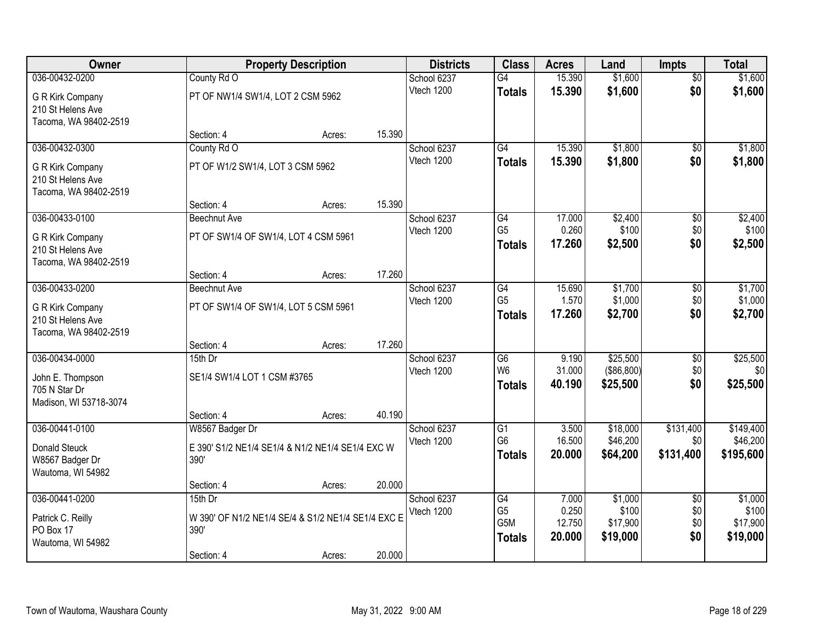| Owner                                      |                                                  | <b>Property Description</b>                        |        |                           | <b>Class</b>    | <b>Acres</b>     | Land                 | <b>Impts</b>         | <b>Total</b>         |
|--------------------------------------------|--------------------------------------------------|----------------------------------------------------|--------|---------------------------|-----------------|------------------|----------------------|----------------------|----------------------|
| 036-00432-0200                             | County Rd O                                      |                                                    |        | School 6237               | $\overline{G4}$ | 15.390           | \$1,600              | $\overline{50}$      | \$1,600              |
| G R Kirk Company                           | PT OF NW1/4 SW1/4, LOT 2 CSM 5962                |                                                    |        | Vtech 1200                | <b>Totals</b>   | 15.390           | \$1,600              | \$0                  | \$1,600              |
| 210 St Helens Ave                          |                                                  |                                                    |        |                           |                 |                  |                      |                      |                      |
| Tacoma, WA 98402-2519                      |                                                  |                                                    |        |                           |                 |                  |                      |                      |                      |
|                                            | Section: 4                                       | Acres:                                             | 15.390 |                           |                 |                  |                      |                      |                      |
| 036-00432-0300                             | County Rd O                                      |                                                    |        | School 6237               | $\overline{G4}$ | 15.390           | \$1,800              | \$0                  | \$1,800              |
| G R Kirk Company                           | PT OF W1/2 SW1/4, LOT 3 CSM 5962                 |                                                    |        | Vtech 1200                | <b>Totals</b>   | 15.390           | \$1,800              | \$0                  | \$1,800              |
| 210 St Helens Ave                          |                                                  |                                                    |        |                           |                 |                  |                      |                      |                      |
| Tacoma, WA 98402-2519                      |                                                  |                                                    |        |                           |                 |                  |                      |                      |                      |
|                                            | Section: 4                                       | Acres:                                             | 15.390 |                           | G4              |                  |                      |                      |                      |
| 036-00433-0100                             | Beechnut Ave                                     |                                                    |        | School 6237<br>Vtech 1200 | G <sub>5</sub>  | 17.000<br>0.260  | \$2,400<br>\$100     | $\sqrt[6]{3}$<br>\$0 | \$2,400<br>\$100     |
| G R Kirk Company                           | PT OF SW1/4 OF SW1/4, LOT 4 CSM 5961             |                                                    |        |                           | <b>Totals</b>   | 17.260           | \$2,500              | \$0                  | \$2,500              |
| 210 St Helens Ave                          |                                                  |                                                    |        |                           |                 |                  |                      |                      |                      |
| Tacoma, WA 98402-2519                      | Section: 4                                       | Acres:                                             | 17.260 |                           |                 |                  |                      |                      |                      |
| 036-00433-0200                             | Beechnut Ave                                     |                                                    |        | School 6237               | G4              | 15.690           | \$1,700              | $\sqrt[6]{3}$        | \$1,700              |
|                                            |                                                  |                                                    |        | Vtech 1200                | G <sub>5</sub>  | 1.570            | \$1,000              | \$0                  | \$1,000              |
| G R Kirk Company                           | PT OF SW1/4 OF SW1/4, LOT 5 CSM 5961             |                                                    |        |                           | <b>Totals</b>   | 17.260           | \$2,700              | \$0                  | \$2,700              |
| 210 St Helens Ave<br>Tacoma, WA 98402-2519 |                                                  |                                                    |        |                           |                 |                  |                      |                      |                      |
|                                            | Section: 4                                       | Acres:                                             | 17.260 |                           |                 |                  |                      |                      |                      |
| 036-00434-0000                             | 15th Dr                                          |                                                    |        | School 6237               | $\overline{G6}$ | 9.190            | \$25,500             | $\overline{50}$      | \$25,500             |
|                                            | SE1/4 SW1/4 LOT 1 CSM #3765                      |                                                    |        | Vtech 1200                | W <sub>6</sub>  | 31.000           | (\$86,800)           | \$0                  | \$0                  |
| John E. Thompson<br>705 N Star Dr          |                                                  |                                                    |        |                           | <b>Totals</b>   | 40.190           | \$25,500             | \$0                  | \$25,500             |
| Madison, WI 53718-3074                     |                                                  |                                                    |        |                           |                 |                  |                      |                      |                      |
|                                            | Section: 4                                       | Acres:                                             | 40.190 |                           |                 |                  |                      |                      |                      |
| 036-00441-0100                             | W8567 Badger Dr                                  |                                                    |        | School 6237               | $\overline{G1}$ | 3.500            | \$18,000             | \$131,400            | \$149,400            |
| Donald Steuck                              | E 390' S1/2 NE1/4 SE1/4 & N1/2 NE1/4 SE1/4 EXC W |                                                    |        | Vtech 1200                | G <sub>6</sub>  | 16.500           | \$46,200             | \$0                  | \$46,200             |
| W8567 Badger Dr                            | 390'                                             |                                                    |        |                           | <b>Totals</b>   | 20.000           | \$64,200             | \$131,400            | \$195,600            |
| Wautoma, WI 54982                          |                                                  |                                                    |        |                           |                 |                  |                      |                      |                      |
|                                            | Section: 4                                       | Acres:                                             | 20.000 |                           |                 |                  |                      |                      |                      |
| 036-00441-0200                             | $15th$ Dr                                        |                                                    |        | School 6237               | G4              | 7.000            | \$1,000              | $\overline{60}$      | \$1,000              |
| Patrick C. Reilly                          |                                                  | W 390' OF N1/2 NE1/4 SE/4 & S1/2 NE1/4 SE1/4 EXC E |        | Vtech 1200                | G <sub>5</sub>  | 0.250            | \$100                | \$0                  | \$100                |
| PO Box 17                                  | <b>390'</b>                                      |                                                    |        |                           | G5M             | 12.750<br>20.000 | \$17,900<br>\$19,000 | \$0<br>\$0           | \$17,900<br>\$19,000 |
| Wautoma, WI 54982                          |                                                  |                                                    |        |                           | <b>Totals</b>   |                  |                      |                      |                      |
|                                            | Section: 4                                       | Acres:                                             | 20.000 |                           |                 |                  |                      |                      |                      |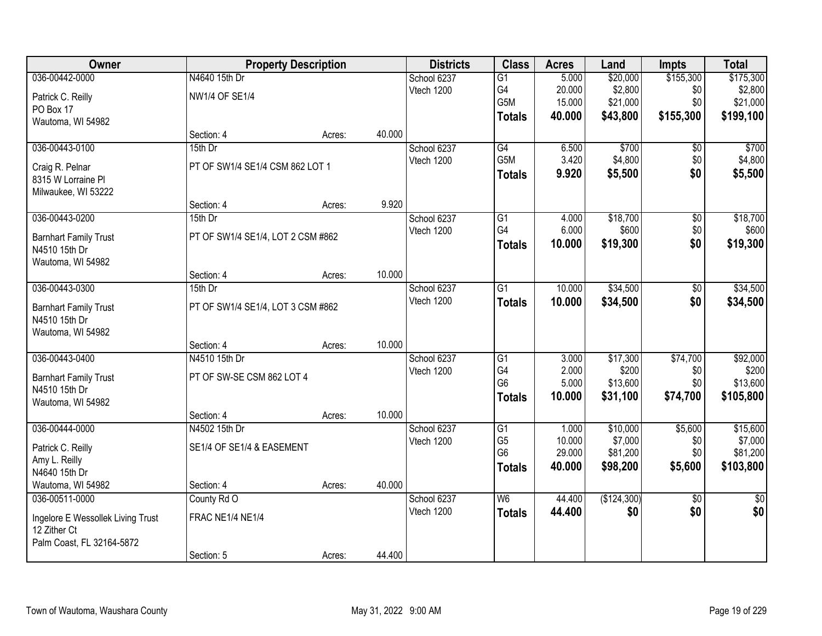| <b>Owner</b>                      |                                   | <b>Property Description</b> |        | <b>Districts</b> | <b>Class</b>    | <b>Acres</b> | Land        | <b>Impts</b>    | <b>Total</b>    |
|-----------------------------------|-----------------------------------|-----------------------------|--------|------------------|-----------------|--------------|-------------|-----------------|-----------------|
| 036-00442-0000                    | N4640 15th Dr                     |                             |        | School 6237      | G1              | 5.000        | \$20,000    | \$155,300       | \$175,300       |
| Patrick C. Reilly                 | NW1/4 OF SE1/4                    |                             |        | Vtech 1200       | G4              | 20.000       | \$2,800     | \$0             | \$2,800         |
| PO Box 17                         |                                   |                             |        |                  | G5M             | 15.000       | \$21,000    | \$0             | \$21,000        |
| Wautoma, WI 54982                 |                                   |                             |        |                  | <b>Totals</b>   | 40.000       | \$43,800    | \$155,300       | \$199,100       |
|                                   | Section: 4                        | Acres:                      | 40.000 |                  |                 |              |             |                 |                 |
| 036-00443-0100                    | 15th Dr                           |                             |        | School 6237      | G4              | 6.500        | \$700       | \$0             | \$700           |
| Craig R. Pelnar                   | PT OF SW1/4 SE1/4 CSM 862 LOT 1   |                             |        | Vtech 1200       | G5M             | 3.420        | \$4,800     | \$0             | \$4,800         |
| 8315 W Lorraine PI                |                                   |                             |        |                  | <b>Totals</b>   | 9.920        | \$5,500     | \$0             | \$5,500         |
| Milwaukee, WI 53222               |                                   |                             |        |                  |                 |              |             |                 |                 |
|                                   | Section: 4                        | Acres:                      | 9.920  |                  |                 |              |             |                 |                 |
| 036-00443-0200                    | 15th Dr                           |                             |        | School 6237      | G <sub>1</sub>  | 4.000        | \$18,700    | \$0             | \$18,700        |
| <b>Barnhart Family Trust</b>      | PT OF SW1/4 SE1/4, LOT 2 CSM #862 |                             |        | Vtech 1200       | G4              | 6.000        | \$600       | \$0             | \$600           |
| N4510 15th Dr                     |                                   |                             |        |                  | <b>Totals</b>   | 10.000       | \$19,300    | \$0             | \$19,300        |
| Wautoma, WI 54982                 |                                   |                             |        |                  |                 |              |             |                 |                 |
|                                   | Section: 4                        | Acres:                      | 10.000 |                  |                 |              |             |                 |                 |
| 036-00443-0300                    | 15th Dr                           |                             |        | School 6237      | G1              | 10.000       | \$34,500    | \$0             | \$34,500        |
| <b>Barnhart Family Trust</b>      | PT OF SW1/4 SE1/4, LOT 3 CSM #862 |                             |        | Vtech 1200       | <b>Totals</b>   | 10.000       | \$34,500    | \$0             | \$34,500        |
| N4510 15th Dr                     |                                   |                             |        |                  |                 |              |             |                 |                 |
| Wautoma, WI 54982                 |                                   |                             |        |                  |                 |              |             |                 |                 |
|                                   | Section: 4                        | Acres:                      | 10.000 |                  |                 |              |             |                 |                 |
| 036-00443-0400                    | N4510 15th Dr                     |                             |        | School 6237      | $\overline{G1}$ | 3.000        | \$17,300    | \$74,700        | \$92,000        |
| <b>Barnhart Family Trust</b>      | PT OF SW-SE CSM 862 LOT 4         |                             |        | Vtech 1200       | G4              | 2.000        | \$200       | \$0             | \$200           |
| N4510 15th Dr                     |                                   |                             |        |                  | G <sub>6</sub>  | 5.000        | \$13,600    | \$0             | \$13,600        |
| Wautoma, WI 54982                 |                                   |                             |        |                  | <b>Totals</b>   | 10.000       | \$31,100    | \$74,700        | \$105,800       |
|                                   | Section: 4                        | Acres:                      | 10.000 |                  |                 |              |             |                 |                 |
| 036-00444-0000                    | N4502 15th Dr                     |                             |        | School 6237      | G1              | 1.000        | \$10,000    | \$5,600         | \$15,600        |
| Patrick C. Reilly                 | SE1/4 OF SE1/4 & EASEMENT         |                             |        | Vtech 1200       | G <sub>5</sub>  | 10.000       | \$7,000     | \$0             | \$7,000         |
| Amy L. Reilly                     |                                   |                             |        |                  | G <sub>6</sub>  | 29.000       | \$81,200    | \$0             | \$81,200        |
| N4640 15th Dr                     |                                   |                             |        |                  | <b>Totals</b>   | 40.000       | \$98,200    | \$5,600         | \$103,800       |
| Wautoma, WI 54982                 | Section: 4                        | Acres:                      | 40.000 |                  |                 |              |             |                 |                 |
| 036-00511-0000                    | County Rd O                       |                             |        | School 6237      | W6              | 44.400       | (\$124,300) | $\overline{50}$ | $\overline{50}$ |
| Ingelore E Wessollek Living Trust | FRAC NE1/4 NE1/4                  |                             |        | Vtech 1200       | <b>Totals</b>   | 44.400       | \$0         | \$0             | \$0             |
| 12 Zither Ct                      |                                   |                             |        |                  |                 |              |             |                 |                 |
| Palm Coast, FL 32164-5872         |                                   |                             |        |                  |                 |              |             |                 |                 |
|                                   | Section: 5                        | Acres:                      | 44.400 |                  |                 |              |             |                 |                 |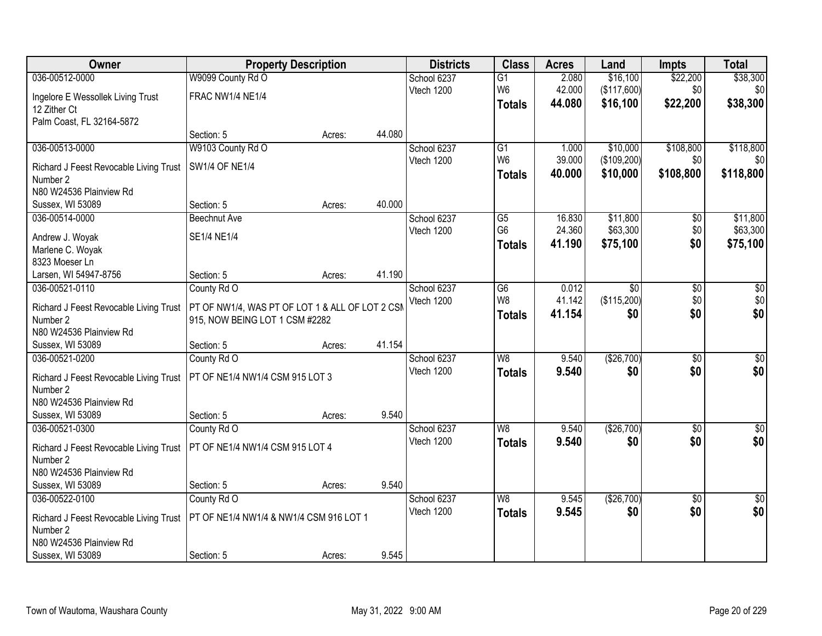| Owner                                              | <b>Property Description</b>                                                       |        |        | <b>Districts</b> | <b>Class</b>    | <b>Acres</b> | Land            | <b>Impts</b>    | <b>Total</b>     |
|----------------------------------------------------|-----------------------------------------------------------------------------------|--------|--------|------------------|-----------------|--------------|-----------------|-----------------|------------------|
| 036-00512-0000                                     | W9099 County Rd O                                                                 |        |        | School 6237      | G1              | 2.080        | \$16,100        | \$22,200        | \$38,300         |
| Ingelore E Wessollek Living Trust                  | FRAC NW1/4 NE1/4                                                                  |        |        | Vtech 1200       | W <sub>6</sub>  | 42.000       | (\$117,600)     | \$0             | \$0              |
| 12 Zither Ct                                       |                                                                                   |        |        |                  | <b>Totals</b>   | 44.080       | \$16,100        | \$22,200        | \$38,300         |
| Palm Coast, FL 32164-5872                          |                                                                                   |        |        |                  |                 |              |                 |                 |                  |
|                                                    | Section: 5                                                                        | Acres: | 44.080 |                  |                 |              |                 |                 |                  |
| 036-00513-0000                                     | W9103 County Rd O                                                                 |        |        | School 6237      | $\overline{G1}$ | 1.000        | \$10,000        | \$108,800       | \$118,800        |
| Richard J Feest Revocable Living Trust             | SW1/4 OF NE1/4                                                                    |        |        | Vtech 1200       | W <sub>6</sub>  | 39.000       | (\$109,200)     | \$0             | \$0              |
| Number 2                                           |                                                                                   |        |        |                  | <b>Totals</b>   | 40.000       | \$10,000        | \$108,800       | \$118,800        |
| N80 W24536 Plainview Rd                            |                                                                                   |        |        |                  |                 |              |                 |                 |                  |
| Sussex, WI 53089                                   | Section: 5                                                                        | Acres: | 40.000 |                  |                 |              |                 |                 |                  |
| 036-00514-0000                                     | <b>Beechnut Ave</b>                                                               |        |        | School 6237      | G5              | 16.830       | \$11,800        | \$0             | \$11,800         |
| Andrew J. Woyak                                    | SE1/4 NE1/4                                                                       |        |        | Vtech 1200       | G <sub>6</sub>  | 24.360       | \$63,300        | \$0             | \$63,300         |
| Marlene C. Woyak                                   |                                                                                   |        |        |                  | <b>Totals</b>   | 41.190       | \$75,100        | \$0             | \$75,100         |
| 8323 Moeser Ln                                     |                                                                                   |        |        |                  |                 |              |                 |                 |                  |
| Larsen, WI 54947-8756                              | Section: 5                                                                        | Acres: | 41.190 |                  |                 |              |                 |                 |                  |
| 036-00521-0110                                     | County Rd O                                                                       |        |        | School 6237      | $\overline{G6}$ | 0.012        | $\overline{50}$ | \$0             | $\overline{60}$  |
|                                                    |                                                                                   |        |        | Vtech 1200       | W8              | 41.142       | (\$115,200)     | \$0             | \$0              |
| Richard J Feest Revocable Living Trust<br>Number 2 | PT OF NW1/4, WAS PT OF LOT 1 & ALL OF LOT 2 CSM<br>915, NOW BEING LOT 1 CSM #2282 |        |        |                  | <b>Totals</b>   | 41.154       | \$0             | \$0             | \$0              |
| N80 W24536 Plainview Rd                            |                                                                                   |        |        |                  |                 |              |                 |                 |                  |
| Sussex, WI 53089                                   | Section: 5                                                                        | Acres: | 41.154 |                  |                 |              |                 |                 |                  |
| 036-00521-0200                                     | County Rd O                                                                       |        |        | School 6237      | $\overline{W8}$ | 9.540        | (\$26,700)      | $\overline{30}$ | $\overline{\$0}$ |
|                                                    |                                                                                   |        |        | Vtech 1200       | <b>Totals</b>   | 9.540        | \$0             | \$0             | \$0              |
| Richard J Feest Revocable Living Trust<br>Number 2 | PT OF NE1/4 NW1/4 CSM 915 LOT 3                                                   |        |        |                  |                 |              |                 |                 |                  |
| N80 W24536 Plainview Rd                            |                                                                                   |        |        |                  |                 |              |                 |                 |                  |
| Sussex, WI 53089                                   | Section: 5                                                                        | Acres: | 9.540  |                  |                 |              |                 |                 |                  |
| 036-00521-0300                                     | County Rd O                                                                       |        |        | School 6237      | W <sub>8</sub>  | 9.540        | (\$26,700)      | $\overline{50}$ | \$0              |
|                                                    |                                                                                   |        |        | Vtech 1200       | <b>Totals</b>   | 9.540        | \$0             | \$0             | \$0              |
| Richard J Feest Revocable Living Trust             | PT OF NE1/4 NW1/4 CSM 915 LOT 4                                                   |        |        |                  |                 |              |                 |                 |                  |
| Number 2<br>N80 W24536 Plainview Rd                |                                                                                   |        |        |                  |                 |              |                 |                 |                  |
| Sussex, WI 53089                                   | Section: 5                                                                        | Acres: | 9.540  |                  |                 |              |                 |                 |                  |
| 036-00522-0100                                     | County Rd O                                                                       |        |        | School 6237      | W8              | 9.545        | (\$26,700)      | $\overline{30}$ | $\overline{50}$  |
|                                                    |                                                                                   |        |        | Vtech 1200       | <b>Totals</b>   | 9.545        | \$0             | \$0             | \$0              |
| Richard J Feest Revocable Living Trust             | PT OF NE1/4 NW1/4 & NW1/4 CSM 916 LOT 1                                           |        |        |                  |                 |              |                 |                 |                  |
| Number 2                                           |                                                                                   |        |        |                  |                 |              |                 |                 |                  |
| N80 W24536 Plainview Rd<br>Sussex, WI 53089        |                                                                                   |        | 9.545  |                  |                 |              |                 |                 |                  |
|                                                    | Section: 5                                                                        | Acres: |        |                  |                 |              |                 |                 |                  |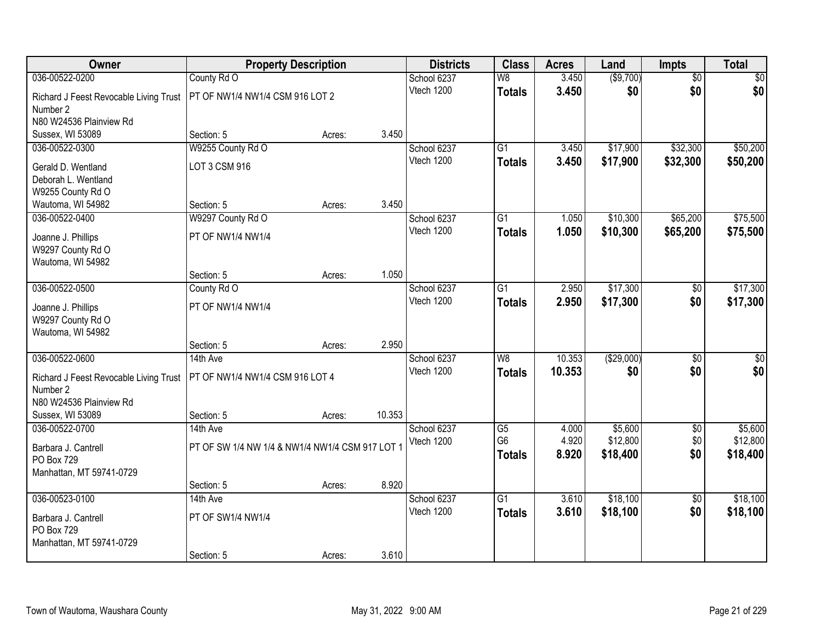| Owner                                  | <b>Property Description</b>                     |        |        | <b>Districts</b> | <b>Class</b>    | <b>Acres</b> | Land       | <b>Impts</b>    | <b>Total</b>    |
|----------------------------------------|-------------------------------------------------|--------|--------|------------------|-----------------|--------------|------------|-----------------|-----------------|
| 036-00522-0200                         | County Rd O                                     |        |        | School 6237      | W8              | 3.450        | ( \$9,700) | $\overline{50}$ | \$0             |
| Richard J Feest Revocable Living Trust | PT OF NW1/4 NW1/4 CSM 916 LOT 2                 |        |        | Vtech 1200       | <b>Totals</b>   | 3.450        | \$0        | \$0             | \$0             |
| Number 2                               |                                                 |        |        |                  |                 |              |            |                 |                 |
| N80 W24536 Plainview Rd                |                                                 |        |        |                  |                 |              |            |                 |                 |
| Sussex, WI 53089                       | Section: 5                                      | Acres: | 3.450  |                  |                 |              |            |                 |                 |
| 036-00522-0300                         | W9255 County Rd O                               |        |        | School 6237      | $\overline{G1}$ | 3.450        | \$17,900   | \$32,300        | \$50,200        |
| Gerald D. Wentland                     | LOT 3 CSM 916                                   |        |        | Vtech 1200       | <b>Totals</b>   | 3.450        | \$17,900   | \$32,300        | \$50,200        |
| Deborah L. Wentland                    |                                                 |        |        |                  |                 |              |            |                 |                 |
| W9255 County Rd O                      |                                                 |        |        |                  |                 |              |            |                 |                 |
| Wautoma, WI 54982                      | Section: 5                                      | Acres: | 3.450  |                  |                 |              |            |                 |                 |
| 036-00522-0400                         | W9297 County Rd O                               |        |        | School 6237      | G1              | 1.050        | \$10,300   | \$65,200        | \$75,500        |
| Joanne J. Phillips                     | PT OF NW1/4 NW1/4                               |        |        | Vtech 1200       | <b>Totals</b>   | 1.050        | \$10,300   | \$65,200        | \$75,500        |
| W9297 County Rd O                      |                                                 |        |        |                  |                 |              |            |                 |                 |
| Wautoma, WI 54982                      |                                                 |        |        |                  |                 |              |            |                 |                 |
|                                        | Section: 5                                      | Acres: | 1.050  |                  |                 |              |            |                 |                 |
| 036-00522-0500                         | County Rd O                                     |        |        | School 6237      | G1              | 2.950        | \$17,300   | \$0             | \$17,300        |
| Joanne J. Phillips                     | PT OF NW1/4 NW1/4                               |        |        | Vtech 1200       | <b>Totals</b>   | 2.950        | \$17,300   | \$0             | \$17,300        |
| W9297 County Rd O                      |                                                 |        |        |                  |                 |              |            |                 |                 |
| Wautoma, WI 54982                      |                                                 |        |        |                  |                 |              |            |                 |                 |
|                                        | Section: 5                                      | Acres: | 2.950  |                  |                 |              |            |                 |                 |
| 036-00522-0600                         | 14th Ave                                        |        |        | School 6237      | $\overline{W8}$ | 10.353       | (\$29,000) | $\overline{50}$ | $\overline{50}$ |
| Richard J Feest Revocable Living Trust | PT OF NW1/4 NW1/4 CSM 916 LOT 4                 |        |        | Vtech 1200       | <b>Totals</b>   | 10.353       | \$0        | \$0             | \$0             |
| Number 2                               |                                                 |        |        |                  |                 |              |            |                 |                 |
| N80 W24536 Plainview Rd                |                                                 |        |        |                  |                 |              |            |                 |                 |
| Sussex, WI 53089                       | Section: 5                                      | Acres: | 10.353 |                  |                 |              |            |                 |                 |
| 036-00522-0700                         | 14th Ave                                        |        |        | School 6237      | $\overline{G5}$ | 4.000        | \$5,600    | $\overline{50}$ | \$5,600         |
| Barbara J. Cantrell                    | PT OF SW 1/4 NW 1/4 & NW1/4 NW1/4 CSM 917 LOT 1 |        |        | Vtech 1200       | G <sub>6</sub>  | 4.920        | \$12,800   | \$0             | \$12,800        |
| PO Box 729                             |                                                 |        |        |                  | <b>Totals</b>   | 8.920        | \$18,400   | \$0             | \$18,400        |
| Manhattan, MT 59741-0729               |                                                 |        |        |                  |                 |              |            |                 |                 |
|                                        | Section: 5                                      | Acres: | 8.920  |                  |                 |              |            |                 |                 |
| 036-00523-0100                         | 14th Ave                                        |        |        | School 6237      | $\overline{G1}$ | 3.610        | \$18,100   | $\overline{50}$ | \$18,100        |
| Barbara J. Cantrell                    | PT OF SW1/4 NW1/4                               |        |        | Vtech 1200       | <b>Totals</b>   | 3.610        | \$18,100   | \$0             | \$18,100        |
| PO Box 729                             |                                                 |        |        |                  |                 |              |            |                 |                 |
| Manhattan, MT 59741-0729               |                                                 |        |        |                  |                 |              |            |                 |                 |
|                                        | Section: 5                                      | Acres: | 3.610  |                  |                 |              |            |                 |                 |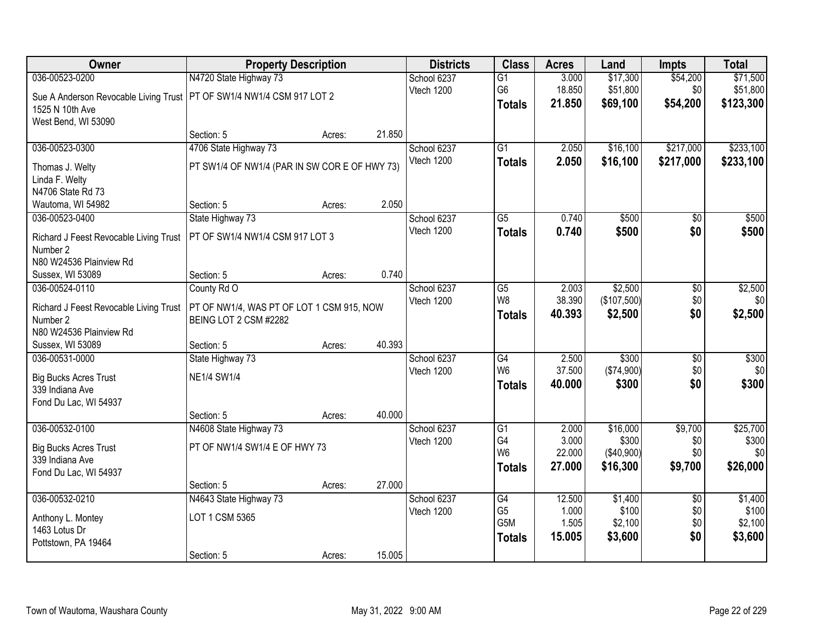| 036-00523-0200<br>N4720 State Highway 73<br>\$17,300<br>\$54,200<br>School 6237<br>$\overline{G1}$<br>3.000<br>\$71,500<br>\$51,800<br>G6<br>18.850<br>\$0<br>\$51,800<br>Vtech 1200<br>Sue A Anderson Revocable Living Trust   PT OF SW1/4 NW1/4 CSM 917 LOT 2<br>\$54,200<br>21.850<br>\$69,100<br>\$123,300<br><b>Totals</b><br>1525 N 10th Ave<br>West Bend, WI 53090<br>Section: 5<br>21.850<br>Acres:<br>\$233,100<br>036-00523-0300<br>4706 State Highway 73<br>$\overline{G1}$<br>\$16,100<br>\$217,000<br>School 6237<br>2.050 |
|-----------------------------------------------------------------------------------------------------------------------------------------------------------------------------------------------------------------------------------------------------------------------------------------------------------------------------------------------------------------------------------------------------------------------------------------------------------------------------------------------------------------------------------------|
|                                                                                                                                                                                                                                                                                                                                                                                                                                                                                                                                         |
|                                                                                                                                                                                                                                                                                                                                                                                                                                                                                                                                         |
|                                                                                                                                                                                                                                                                                                                                                                                                                                                                                                                                         |
|                                                                                                                                                                                                                                                                                                                                                                                                                                                                                                                                         |
|                                                                                                                                                                                                                                                                                                                                                                                                                                                                                                                                         |
|                                                                                                                                                                                                                                                                                                                                                                                                                                                                                                                                         |
| Vtech 1200<br>2.050<br>\$16,100<br>\$217,000<br>\$233,100<br><b>Totals</b><br>PT SW1/4 OF NW1/4 (PAR IN SW COR E OF HWY 73)<br>Thomas J. Welty                                                                                                                                                                                                                                                                                                                                                                                          |
| Linda F. Welty                                                                                                                                                                                                                                                                                                                                                                                                                                                                                                                          |
| N4706 State Rd 73                                                                                                                                                                                                                                                                                                                                                                                                                                                                                                                       |
| 2.050<br>Wautoma, WI 54982<br>Section: 5<br>Acres:                                                                                                                                                                                                                                                                                                                                                                                                                                                                                      |
| $\overline{G5}$<br>0.740<br>\$500<br>$\overline{50}$<br>\$500<br>036-00523-0400<br>State Highway 73<br>School 6237                                                                                                                                                                                                                                                                                                                                                                                                                      |
| Vtech 1200<br>0.740<br>\$500<br>\$0<br>\$500<br><b>Totals</b><br>PT OF SW1/4 NW1/4 CSM 917 LOT 3<br>Richard J Feest Revocable Living Trust                                                                                                                                                                                                                                                                                                                                                                                              |
| Number 2                                                                                                                                                                                                                                                                                                                                                                                                                                                                                                                                |
| N80 W24536 Plainview Rd                                                                                                                                                                                                                                                                                                                                                                                                                                                                                                                 |
| 0.740<br>Section: 5<br>Sussex, WI 53089<br>Acres:                                                                                                                                                                                                                                                                                                                                                                                                                                                                                       |
| \$2,500<br>School 6237<br>\$2,500<br>036-00524-0110<br>County Rd O<br>G5<br>2.003<br>\$0                                                                                                                                                                                                                                                                                                                                                                                                                                                |
| 38.390<br>\$0<br>W8<br>(\$107,500)<br>\$0<br>Vtech 1200<br>Richard J Feest Revocable Living Trust<br>PT OF NW1/4, WAS PT OF LOT 1 CSM 915, NOW                                                                                                                                                                                                                                                                                                                                                                                          |
| \$0<br>\$2,500<br>40.393<br>\$2,500<br><b>Totals</b><br>BEING LOT 2 CSM #2282<br>Number 2                                                                                                                                                                                                                                                                                                                                                                                                                                               |
| N80 W24536 Plainview Rd                                                                                                                                                                                                                                                                                                                                                                                                                                                                                                                 |
| 40.393<br>Section: 5<br>Sussex, WI 53089<br>Acres:                                                                                                                                                                                                                                                                                                                                                                                                                                                                                      |
| \$300<br>2.500<br>$\overline{50}$<br>\$300<br>036-00531-0000<br>State Highway 73<br>G4<br>School 6237                                                                                                                                                                                                                                                                                                                                                                                                                                   |
| W <sub>6</sub><br>37.500<br>\$0<br>\$0<br>(\$74,900)<br>Vtech 1200<br><b>NE1/4 SW1/4</b>                                                                                                                                                                                                                                                                                                                                                                                                                                                |
| <b>Big Bucks Acres Trust</b><br>\$300<br>\$0<br>40.000<br>\$300<br><b>Totals</b><br>339 Indiana Ave                                                                                                                                                                                                                                                                                                                                                                                                                                     |
| Fond Du Lac, WI 54937                                                                                                                                                                                                                                                                                                                                                                                                                                                                                                                   |
| 40.000<br>Section: 5<br>Acres:                                                                                                                                                                                                                                                                                                                                                                                                                                                                                                          |
| \$16,000<br>036-00532-0100<br>G1<br>\$9,700<br>\$25,700<br>N4608 State Highway 73<br>School 6237<br>2.000                                                                                                                                                                                                                                                                                                                                                                                                                               |
| 3.000<br>\$300<br>G4<br>\$0<br>\$300<br>Vtech 1200                                                                                                                                                                                                                                                                                                                                                                                                                                                                                      |
| PT OF NW1/4 SW1/4 E OF HWY 73<br><b>Big Bucks Acres Trust</b><br>W <sub>6</sub><br>22.000<br>(\$40,900)<br>\$0<br>\$0<br>339 Indiana Ave                                                                                                                                                                                                                                                                                                                                                                                                |
| \$26,000<br>27.000<br>\$9,700<br>\$16,300<br><b>Totals</b><br>Fond Du Lac, WI 54937                                                                                                                                                                                                                                                                                                                                                                                                                                                     |
| 27.000<br>Section: 5<br>Acres:                                                                                                                                                                                                                                                                                                                                                                                                                                                                                                          |
| 036-00532-0210<br>\$1,400<br>\$1,400<br>N4643 State Highway 73<br>School 6237<br>12.500<br>$\overline{50}$<br>$\overline{G4}$                                                                                                                                                                                                                                                                                                                                                                                                           |
| G <sub>5</sub><br>1.000<br>\$100<br>\$0<br>\$100<br>Vtech 1200                                                                                                                                                                                                                                                                                                                                                                                                                                                                          |
| LOT 1 CSM 5365<br>Anthony L. Montey<br>\$2,100<br>G5M<br>1.505<br>\$2,100<br>\$0                                                                                                                                                                                                                                                                                                                                                                                                                                                        |
| 1463 Lotus Dr<br>15.005<br>\$3,600<br>\$0<br>\$3,600<br><b>Totals</b>                                                                                                                                                                                                                                                                                                                                                                                                                                                                   |
| Pottstown, PA 19464<br>15.005<br>Section: 5<br>Acres:                                                                                                                                                                                                                                                                                                                                                                                                                                                                                   |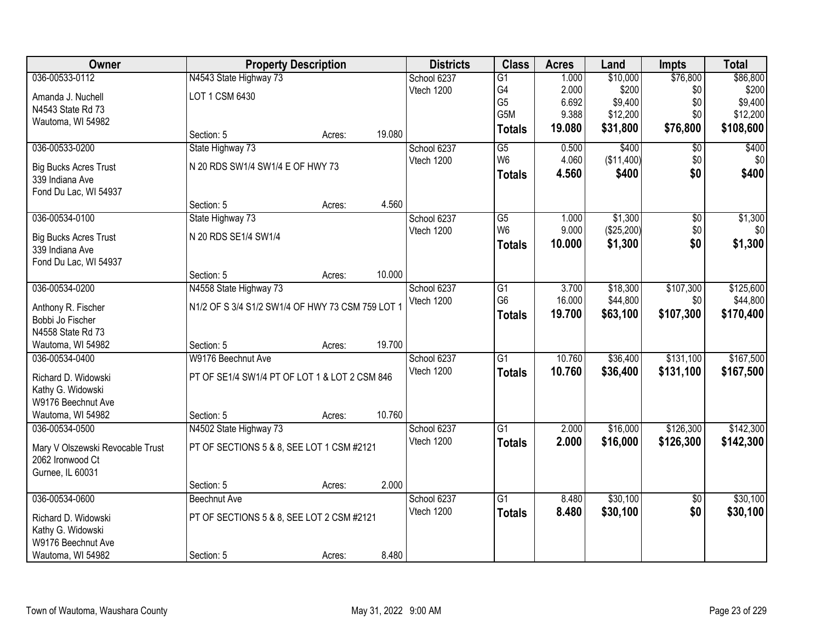| Owner                                                | <b>Property Description</b>                      |        |        | <b>Districts</b> | <b>Class</b>    | <b>Acres</b> | Land       | Impts           | <b>Total</b> |
|------------------------------------------------------|--------------------------------------------------|--------|--------|------------------|-----------------|--------------|------------|-----------------|--------------|
| 036-00533-0112                                       | N4543 State Highway 73                           |        |        | School 6237      | $\overline{G1}$ | 1.000        | \$10,000   | \$76,800        | \$86,800     |
| Amanda J. Nuchell                                    | LOT 1 CSM 6430                                   |        |        | Vtech 1200       | G4              | 2.000        | \$200      | \$0             | \$200        |
| N4543 State Rd 73                                    |                                                  |        |        |                  | G <sub>5</sub>  | 6.692        | \$9,400    | \$0             | \$9,400      |
| Wautoma, WI 54982                                    |                                                  |        |        |                  | G5M             | 9.388        | \$12,200   | \$0             | \$12,200     |
|                                                      | Section: 5                                       | Acres: | 19.080 |                  | <b>Totals</b>   | 19.080       | \$31,800   | \$76,800        | \$108,600    |
| 036-00533-0200                                       | State Highway 73                                 |        |        | School 6237      | G5              | 0.500        | \$400      | \$0             | \$400        |
|                                                      | N 20 RDS SW1/4 SW1/4 E OF HWY 73                 |        |        | Vtech 1200       | W <sub>6</sub>  | 4.060        | (\$11,400) | \$0             | \$0          |
| <b>Big Bucks Acres Trust</b><br>339 Indiana Ave      |                                                  |        |        |                  | <b>Totals</b>   | 4.560        | \$400      | \$0             | \$400        |
| Fond Du Lac, WI 54937                                |                                                  |        |        |                  |                 |              |            |                 |              |
|                                                      | Section: 5                                       | Acres: | 4.560  |                  |                 |              |            |                 |              |
| 036-00534-0100                                       | State Highway 73                                 |        |        | School 6237      | $\overline{G5}$ | 1.000        | \$1,300    | $\overline{50}$ | \$1,300      |
|                                                      |                                                  |        |        | Vtech 1200       | W <sub>6</sub>  | 9.000        | (\$25,200) | \$0             | \$0          |
| <b>Big Bucks Acres Trust</b>                         | N 20 RDS SE1/4 SW1/4                             |        |        |                  | <b>Totals</b>   | 10.000       | \$1,300    | \$0             | \$1,300      |
| 339 Indiana Ave                                      |                                                  |        |        |                  |                 |              |            |                 |              |
| Fond Du Lac, WI 54937                                | Section: 5                                       | Acres: | 10.000 |                  |                 |              |            |                 |              |
| 036-00534-0200                                       | N4558 State Highway 73                           |        |        | School 6237      | G1              | 3.700        | \$18,300   | \$107,300       | \$125,600    |
|                                                      |                                                  |        |        | Vtech 1200       | G <sub>6</sub>  | 16.000       | \$44,800   | \$0             | \$44,800     |
| Anthony R. Fischer                                   | N1/2 OF S 3/4 S1/2 SW1/4 OF HWY 73 CSM 759 LOT 1 |        |        |                  | <b>Totals</b>   | 19.700       | \$63,100   | \$107,300       | \$170,400    |
| Bobbi Jo Fischer                                     |                                                  |        |        |                  |                 |              |            |                 |              |
| N4558 State Rd 73                                    |                                                  |        |        |                  |                 |              |            |                 |              |
| Wautoma, WI 54982                                    | Section: 5                                       | Acres: | 19.700 |                  |                 |              |            |                 |              |
| 036-00534-0400                                       | W9176 Beechnut Ave                               |        |        | School 6237      | $\overline{G1}$ | 10.760       | \$36,400   | \$131,100       | \$167,500    |
| Richard D. Widowski                                  | PT OF SE1/4 SW1/4 PT OF LOT 1 & LOT 2 CSM 846    |        |        | Vtech 1200       | <b>Totals</b>   | 10.760       | \$36,400   | \$131,100       | \$167,500    |
| Kathy G. Widowski                                    |                                                  |        |        |                  |                 |              |            |                 |              |
| W9176 Beechnut Ave                                   |                                                  |        |        |                  |                 |              |            |                 |              |
| Wautoma, WI 54982                                    | Section: 5                                       | Acres: | 10.760 |                  |                 |              |            |                 |              |
| 036-00534-0500                                       | N4502 State Highway 73                           |        |        | School 6237      | G1              | 2.000        | \$16,000   | \$126,300       | \$142,300    |
|                                                      | PT OF SECTIONS 5 & 8, SEE LOT 1 CSM #2121        |        |        | Vtech 1200       | <b>Totals</b>   | 2.000        | \$16,000   | \$126,300       | \$142,300    |
| Mary V Olszewski Revocable Trust<br>2062 Ironwood Ct |                                                  |        |        |                  |                 |              |            |                 |              |
| Gurnee, IL 60031                                     |                                                  |        |        |                  |                 |              |            |                 |              |
|                                                      | Section: 5                                       | Acres: | 2.000  |                  |                 |              |            |                 |              |
| 036-00534-0600                                       | Beechnut Ave                                     |        |        | School 6237      | $\overline{G1}$ | 8.480        | \$30,100   | $\overline{30}$ | \$30,100     |
|                                                      |                                                  |        |        | Vtech 1200       | <b>Totals</b>   | 8.480        | \$30,100   | \$0             | \$30,100     |
| Richard D. Widowski                                  | PT OF SECTIONS 5 & 8, SEE LOT 2 CSM #2121        |        |        |                  |                 |              |            |                 |              |
| Kathy G. Widowski                                    |                                                  |        |        |                  |                 |              |            |                 |              |
| W9176 Beechnut Ave                                   |                                                  |        |        |                  |                 |              |            |                 |              |
| Wautoma, WI 54982                                    | Section: 5                                       | Acres: | 8.480  |                  |                 |              |            |                 |              |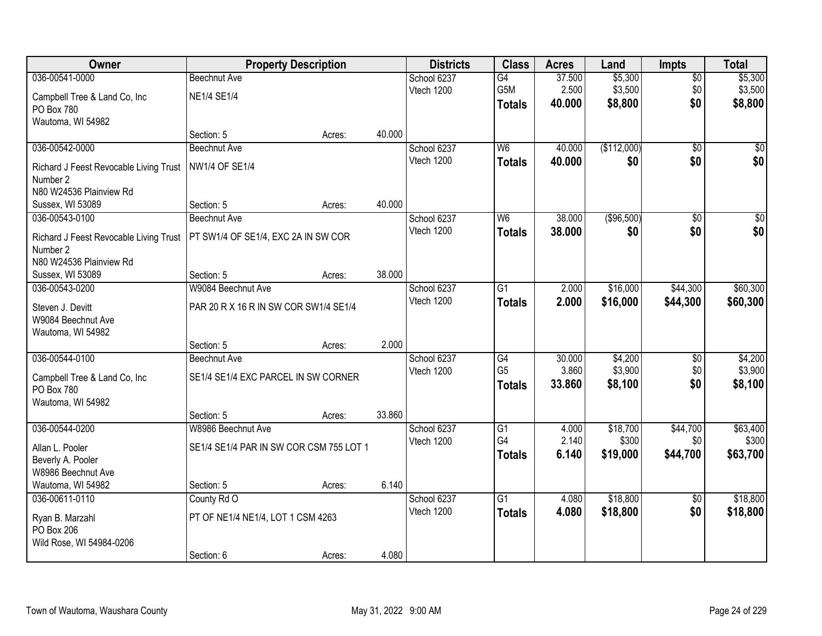| Owner                                  | <b>Property Description</b>             |        |        | <b>Districts</b> | <b>Class</b>    | <b>Acres</b> | Land        | <b>Impts</b>    | <b>Total</b>     |
|----------------------------------------|-----------------------------------------|--------|--------|------------------|-----------------|--------------|-------------|-----------------|------------------|
| 036-00541-0000                         | <b>Beechnut Ave</b>                     |        |        | School 6237      | G4              | 37.500       | \$5,300     | $\overline{50}$ | \$5,300          |
| Campbell Tree & Land Co, Inc           | <b>NE1/4 SE1/4</b>                      |        |        | Vtech 1200       | G5M             | 2.500        | \$3,500     | \$0             | \$3,500          |
| PO Box 780                             |                                         |        |        |                  | <b>Totals</b>   | 40.000       | \$8,800     | \$0             | \$8,800          |
| Wautoma, WI 54982                      |                                         |        |        |                  |                 |              |             |                 |                  |
|                                        | Section: 5                              | Acres: | 40.000 |                  |                 |              |             |                 |                  |
| 036-00542-0000                         | <b>Beechnut Ave</b>                     |        |        | School 6237      | W <sub>6</sub>  | 40.000       | (\$112,000) | $\overline{50}$ | \$0              |
| Richard J Feest Revocable Living Trust | <b>NW1/4 OF SE1/4</b>                   |        |        | Vtech 1200       | <b>Totals</b>   | 40.000       | \$0         | \$0             | \$0              |
| Number 2                               |                                         |        |        |                  |                 |              |             |                 |                  |
| N80 W24536 Plainview Rd                |                                         |        |        |                  |                 |              |             |                 |                  |
| Sussex, WI 53089                       | Section: 5                              | Acres: | 40.000 |                  |                 |              |             |                 |                  |
| 036-00543-0100                         | Beechnut Ave                            |        |        | School 6237      | W <sub>6</sub>  | 38.000       | (\$96,500)  | \$0             | $\overline{\$0}$ |
| Richard J Feest Revocable Living Trust | PT SW1/4 OF SE1/4, EXC 2A IN SW COR     |        |        | Vtech 1200       | <b>Totals</b>   | 38.000       | \$0         | \$0             | \$0              |
| Number 2                               |                                         |        |        |                  |                 |              |             |                 |                  |
| N80 W24536 Plainview Rd                |                                         |        |        |                  |                 |              |             |                 |                  |
| Sussex, WI 53089                       | Section: 5                              | Acres: | 38.000 |                  |                 |              |             |                 |                  |
| 036-00543-0200                         | W9084 Beechnut Ave                      |        |        | School 6237      | $\overline{G1}$ | 2.000        | \$16,000    | \$44,300        | \$60,300         |
| Steven J. Devitt                       | PAR 20 R X 16 R IN SW COR SW1/4 SE1/4   |        |        | Vtech 1200       | <b>Totals</b>   | 2.000        | \$16,000    | \$44,300        | \$60,300         |
| W9084 Beechnut Ave                     |                                         |        |        |                  |                 |              |             |                 |                  |
| Wautoma, WI 54982                      |                                         |        |        |                  |                 |              |             |                 |                  |
|                                        | Section: 5                              | Acres: | 2.000  |                  |                 |              |             |                 |                  |
| 036-00544-0100                         | Beechnut Ave                            |        |        | School 6237      | G4              | 30.000       | \$4,200     | \$0             | \$4,200          |
| Campbell Tree & Land Co, Inc           | SE1/4 SE1/4 EXC PARCEL IN SW CORNER     |        |        | Vtech 1200       | G <sub>5</sub>  | 3.860        | \$3,900     | \$0             | \$3,900          |
| PO Box 780                             |                                         |        |        |                  | <b>Totals</b>   | 33.860       | \$8,100     | \$0             | \$8,100          |
| Wautoma, WI 54982                      |                                         |        |        |                  |                 |              |             |                 |                  |
|                                        | Section: 5                              | Acres: | 33.860 |                  |                 |              |             |                 |                  |
| 036-00544-0200                         | W8986 Beechnut Ave                      |        |        | School 6237      | $\overline{G1}$ | 4.000        | \$18,700    | \$44,700        | \$63,400         |
| Allan L. Pooler                        | SE1/4 SE1/4 PAR IN SW COR CSM 755 LOT 1 |        |        | Vtech 1200       | G4              | 2.140        | \$300       | \$0             | \$300            |
| Beverly A. Pooler                      |                                         |        |        |                  | <b>Totals</b>   | 6.140        | \$19,000    | \$44,700        | \$63,700         |
| W8986 Beechnut Ave                     |                                         |        |        |                  |                 |              |             |                 |                  |
| Wautoma, WI 54982                      | Section: 5                              | Acres: | 6.140  |                  |                 |              |             |                 |                  |
| 036-00611-0110                         | County Rd O                             |        |        | School 6237      | $\overline{G1}$ | 4.080        | \$18,800    | $\overline{30}$ | \$18,800         |
| Ryan B. Marzahl                        | PT OF NE1/4 NE1/4, LOT 1 CSM 4263       |        |        | Vtech 1200       | <b>Totals</b>   | 4.080        | \$18,800    | \$0             | \$18,800         |
| PO Box 206                             |                                         |        |        |                  |                 |              |             |                 |                  |
| Wild Rose, WI 54984-0206               |                                         |        |        |                  |                 |              |             |                 |                  |
|                                        | Section: 6                              | Acres: | 4.080  |                  |                 |              |             |                 |                  |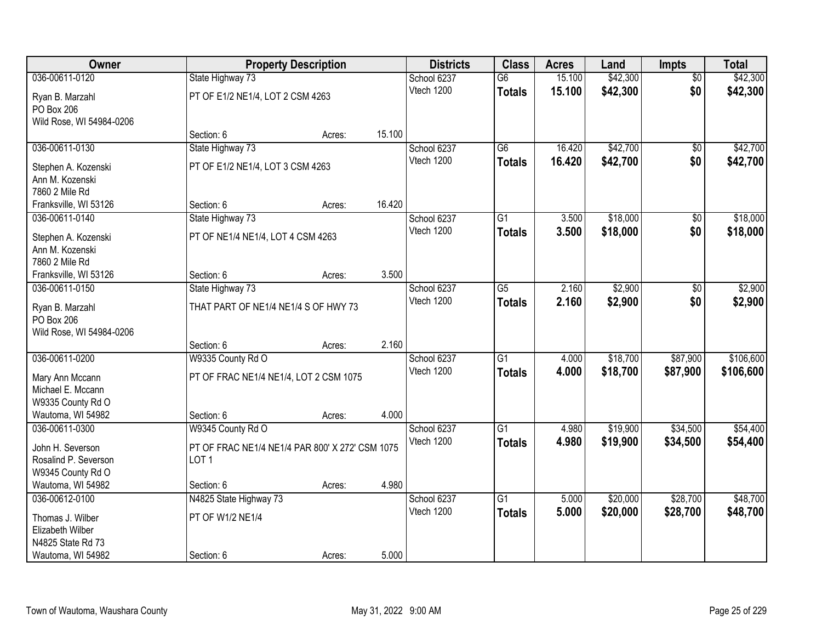| Owner                             |                                                 | <b>Property Description</b> |        | <b>Districts</b> | <b>Class</b>    | <b>Acres</b> | Land     | Impts           | <b>Total</b> |
|-----------------------------------|-------------------------------------------------|-----------------------------|--------|------------------|-----------------|--------------|----------|-----------------|--------------|
| 036-00611-0120                    | State Highway 73                                |                             |        | School 6237      | G6              | 15.100       | \$42,300 | $\overline{50}$ | \$42,300     |
| Ryan B. Marzahl                   | PT OF E1/2 NE1/4, LOT 2 CSM 4263                |                             |        | Vtech 1200       | <b>Totals</b>   | 15.100       | \$42,300 | \$0             | \$42,300     |
| PO Box 206                        |                                                 |                             |        |                  |                 |              |          |                 |              |
| Wild Rose, WI 54984-0206          |                                                 |                             |        |                  |                 |              |          |                 |              |
|                                   | Section: 6                                      | Acres:                      | 15.100 |                  |                 |              |          |                 |              |
| 036-00611-0130                    | State Highway 73                                |                             |        | School 6237      | $\overline{G6}$ | 16.420       | \$42,700 | $\overline{50}$ | \$42,700     |
| Stephen A. Kozenski               | PT OF E1/2 NE1/4, LOT 3 CSM 4263                |                             |        | Vtech 1200       | <b>Totals</b>   | 16.420       | \$42,700 | \$0             | \$42,700     |
| Ann M. Kozenski                   |                                                 |                             |        |                  |                 |              |          |                 |              |
| 7860 2 Mile Rd                    |                                                 |                             |        |                  |                 |              |          |                 |              |
| Franksville, WI 53126             | Section: 6                                      | Acres:                      | 16.420 |                  |                 |              |          |                 |              |
| 036-00611-0140                    | State Highway 73                                |                             |        | School 6237      | G1              | 3.500        | \$18,000 | \$0             | \$18,000     |
|                                   |                                                 |                             |        | Vtech 1200       | <b>Totals</b>   | 3.500        | \$18,000 | \$0             | \$18,000     |
| Stephen A. Kozenski               | PT OF NE1/4 NE1/4, LOT 4 CSM 4263               |                             |        |                  |                 |              |          |                 |              |
| Ann M. Kozenski<br>7860 2 Mile Rd |                                                 |                             |        |                  |                 |              |          |                 |              |
| Franksville, WI 53126             | Section: 6                                      | Acres:                      | 3.500  |                  |                 |              |          |                 |              |
| 036-00611-0150                    | State Highway 73                                |                             |        | School 6237      | G5              | 2.160        | \$2,900  | \$0             | \$2,900      |
|                                   |                                                 |                             |        | Vtech 1200       | <b>Totals</b>   | 2.160        | \$2,900  | \$0             | \$2,900      |
| Ryan B. Marzahl                   | THAT PART OF NE1/4 NE1/4 S OF HWY 73            |                             |        |                  |                 |              |          |                 |              |
| PO Box 206                        |                                                 |                             |        |                  |                 |              |          |                 |              |
| Wild Rose, WI 54984-0206          |                                                 |                             | 2.160  |                  |                 |              |          |                 |              |
| 036-00611-0200                    | Section: 6                                      | Acres:                      |        |                  | $\overline{G1}$ | 4.000        | \$18,700 | \$87,900        | \$106,600    |
|                                   | W9335 County Rd O                               |                             |        | School 6237      |                 |              |          |                 |              |
| Mary Ann Mccann                   | PT OF FRAC NE1/4 NE1/4, LOT 2 CSM 1075          |                             |        | Vtech 1200       | <b>Totals</b>   | 4.000        | \$18,700 | \$87,900        | \$106,600    |
| Michael E. Mccann                 |                                                 |                             |        |                  |                 |              |          |                 |              |
| W9335 County Rd O                 |                                                 |                             |        |                  |                 |              |          |                 |              |
| Wautoma, WI 54982                 | Section: 6                                      | Acres:                      | 4.000  |                  |                 |              |          |                 |              |
| 036-00611-0300                    | W9345 County Rd O                               |                             |        | School 6237      | $\overline{G1}$ | 4.980        | \$19,900 | \$34,500        | \$54,400     |
| John H. Severson                  | PT OF FRAC NE1/4 NE1/4 PAR 800' X 272' CSM 1075 |                             |        | Vtech 1200       | <b>Totals</b>   | 4.980        | \$19,900 | \$34,500        | \$54,400     |
| Rosalind P. Severson              | LOT <sub>1</sub>                                |                             |        |                  |                 |              |          |                 |              |
| W9345 County Rd O                 |                                                 |                             |        |                  |                 |              |          |                 |              |
| Wautoma, WI 54982                 | Section: 6                                      | Acres:                      | 4.980  |                  |                 |              |          |                 |              |
| 036-00612-0100                    | N4825 State Highway 73                          |                             |        | School 6237      | $\overline{G1}$ | 5.000        | \$20,000 | \$28,700        | \$48,700     |
| Thomas J. Wilber                  | PT OF W1/2 NE1/4                                |                             |        | Vtech 1200       | <b>Totals</b>   | 5.000        | \$20,000 | \$28,700        | \$48,700     |
| Elizabeth Wilber                  |                                                 |                             |        |                  |                 |              |          |                 |              |
| N4825 State Rd 73                 |                                                 |                             |        |                  |                 |              |          |                 |              |
| Wautoma, WI 54982                 | Section: 6                                      | Acres:                      | 5.000  |                  |                 |              |          |                 |              |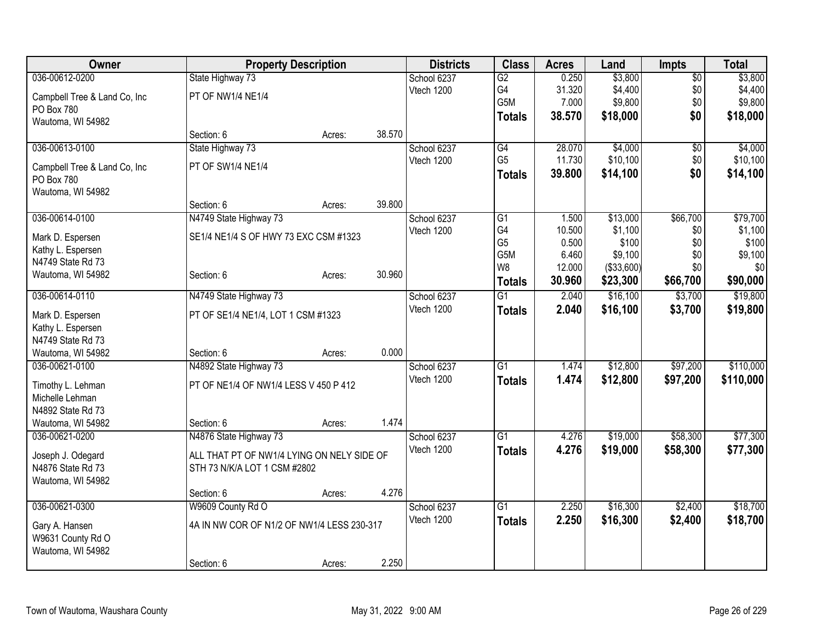| \$3,800<br>036-00612-0200<br>0.250<br>State Highway 73<br>School 6237<br>$\overline{G2}$<br>$\overline{50}$<br>G4<br>\$4,400<br>\$4,400<br>31.320<br>\$0<br>Vtech 1200<br>PT OF NW1/4 NE1/4<br>Campbell Tree & Land Co, Inc<br>G <sub>5</sub> M<br>\$0<br>7.000<br>\$9,800<br>PO Box 780<br>38.570<br>\$18,000<br>\$0<br>\$18,000<br><b>Totals</b><br>Wautoma, WI 54982<br>38.570<br>Section: 6<br>Acres:<br>036-00613-0100<br>State Highway 73<br>\$4,000<br>\$4,000<br>School 6237<br>G4<br>28.070<br>\$0<br>G <sub>5</sub><br>11.730<br>\$10,100<br>\$0<br>Vtech 1200<br>PT OF SW1/4 NE1/4<br>Campbell Tree & Land Co, Inc<br>\$0<br>39.800<br>\$14,100<br>\$14,100<br><b>Totals</b><br>PO Box 780<br>Wautoma, WI 54982<br>39.800<br>Section: 6<br>Acres:<br>036-00614-0100<br>N4749 State Highway 73<br>\$13,000<br>\$66,700<br>School 6237<br>G1<br>1.500<br>G4<br>10.500<br>\$1,100<br>Vtech 1200<br>\$0<br>SE1/4 NE1/4 S OF HWY 73 EXC CSM #1323<br>Mark D. Espersen<br>G <sub>5</sub><br>0.500<br>\$100<br>\$0<br>Kathy L. Espersen<br>G5M<br>6.460<br>\$9,100<br>\$0<br>N4749 State Rd 73<br>\$0<br>W8<br>(\$33,600)<br>12.000<br>30.960<br>Section: 6<br>Wautoma, WI 54982<br>Acres:<br>\$23,300<br>30.960<br>\$66,700<br><b>Totals</b><br>\$16,100<br>036-00614-0110<br>N4749 State Highway 73<br>2.040<br>\$3,700<br>School 6237<br>$\overline{G1}$<br>\$16,100<br>Vtech 1200<br>2.040<br>\$3,700<br><b>Totals</b><br>PT OF SE1/4 NE1/4, LOT 1 CSM #1323<br>Mark D. Espersen<br>Kathy L. Espersen<br>N4749 State Rd 73<br>0.000<br>Wautoma, WI 54982<br>Section: 6<br>Acres:<br>036-00621-0100<br>N4892 State Highway 73<br>School 6237<br>$\overline{G1}$<br>1.474<br>\$12,800<br>\$97,200<br>Vtech 1200<br>1.474<br>\$12,800<br>\$97,200<br>\$110,000<br><b>Totals</b><br>PT OF NE1/4 OF NW1/4 LESS V 450 P 412<br>Timothy L. Lehman<br>Michelle Lehman<br>N4892 State Rd 73<br>1.474<br>Wautoma, WI 54982<br>Section: 6<br>Acres:<br>N4876 State Highway 73<br>\$58,300<br>School 6237<br>$\overline{G1}$<br>\$19,000<br>036-00621-0200<br>4.276<br>Vtech 1200<br>4.276<br>\$58,300<br>\$19,000<br>\$77,300<br><b>Totals</b><br>ALL THAT PT OF NW1/4 LYING ON NELY SIDE OF<br>Joseph J. Odegard<br>N4876 State Rd 73<br>STH 73 N/K/A LOT 1 CSM #2802<br>Wautoma, WI 54982<br>4.276<br>Section: 6<br>Acres:<br>\$16,300<br>\$2,400<br>036-00621-0300<br>W9609 County Rd O<br>$\overline{G1}$<br>2.250<br>School 6237<br>Vtech 1200<br>2.250<br>\$16,300<br>\$2,400<br>\$18,700<br><b>Totals</b><br>4A IN NW COR OF N1/2 OF NW1/4 LESS 230-317<br>Gary A. Hansen<br>W9631 County Rd O<br>Wautoma, WI 54982 | Owner |            | <b>Property Description</b> |       | <b>Districts</b> | <b>Class</b> | <b>Acres</b> | Land | <b>Impts</b> | <b>Total</b> |
|-------------------------------------------------------------------------------------------------------------------------------------------------------------------------------------------------------------------------------------------------------------------------------------------------------------------------------------------------------------------------------------------------------------------------------------------------------------------------------------------------------------------------------------------------------------------------------------------------------------------------------------------------------------------------------------------------------------------------------------------------------------------------------------------------------------------------------------------------------------------------------------------------------------------------------------------------------------------------------------------------------------------------------------------------------------------------------------------------------------------------------------------------------------------------------------------------------------------------------------------------------------------------------------------------------------------------------------------------------------------------------------------------------------------------------------------------------------------------------------------------------------------------------------------------------------------------------------------------------------------------------------------------------------------------------------------------------------------------------------------------------------------------------------------------------------------------------------------------------------------------------------------------------------------------------------------------------------------------------------------------------------------------------------------------------------------------------------------------------------------------------------------------------------------------------------------------------------------------------------------------------------------------------------------------------------------------------------------------------------------------------------------------------------------------------------------------------------------------------------------------------------------------------------------------------------------------------------------------------------------------|-------|------------|-----------------------------|-------|------------------|--------------|--------------|------|--------------|--------------|
| \$9,800<br>\$90,000                                                                                                                                                                                                                                                                                                                                                                                                                                                                                                                                                                                                                                                                                                                                                                                                                                                                                                                                                                                                                                                                                                                                                                                                                                                                                                                                                                                                                                                                                                                                                                                                                                                                                                                                                                                                                                                                                                                                                                                                                                                                                                                                                                                                                                                                                                                                                                                                                                                                                                                                                                                                     |       |            |                             |       |                  |              |              |      |              | \$3,800      |
| \$10,100<br>\$79,700<br>\$1,100<br>\$100<br>\$9,100<br>\$0<br>\$19,800<br>\$19,800                                                                                                                                                                                                                                                                                                                                                                                                                                                                                                                                                                                                                                                                                                                                                                                                                                                                                                                                                                                                                                                                                                                                                                                                                                                                                                                                                                                                                                                                                                                                                                                                                                                                                                                                                                                                                                                                                                                                                                                                                                                                                                                                                                                                                                                                                                                                                                                                                                                                                                                                      |       |            |                             |       |                  |              |              |      |              |              |
|                                                                                                                                                                                                                                                                                                                                                                                                                                                                                                                                                                                                                                                                                                                                                                                                                                                                                                                                                                                                                                                                                                                                                                                                                                                                                                                                                                                                                                                                                                                                                                                                                                                                                                                                                                                                                                                                                                                                                                                                                                                                                                                                                                                                                                                                                                                                                                                                                                                                                                                                                                                                                         |       |            |                             |       |                  |              |              |      |              |              |
|                                                                                                                                                                                                                                                                                                                                                                                                                                                                                                                                                                                                                                                                                                                                                                                                                                                                                                                                                                                                                                                                                                                                                                                                                                                                                                                                                                                                                                                                                                                                                                                                                                                                                                                                                                                                                                                                                                                                                                                                                                                                                                                                                                                                                                                                                                                                                                                                                                                                                                                                                                                                                         |       |            |                             |       |                  |              |              |      |              |              |
|                                                                                                                                                                                                                                                                                                                                                                                                                                                                                                                                                                                                                                                                                                                                                                                                                                                                                                                                                                                                                                                                                                                                                                                                                                                                                                                                                                                                                                                                                                                                                                                                                                                                                                                                                                                                                                                                                                                                                                                                                                                                                                                                                                                                                                                                                                                                                                                                                                                                                                                                                                                                                         |       |            |                             |       |                  |              |              |      |              |              |
|                                                                                                                                                                                                                                                                                                                                                                                                                                                                                                                                                                                                                                                                                                                                                                                                                                                                                                                                                                                                                                                                                                                                                                                                                                                                                                                                                                                                                                                                                                                                                                                                                                                                                                                                                                                                                                                                                                                                                                                                                                                                                                                                                                                                                                                                                                                                                                                                                                                                                                                                                                                                                         |       |            |                             |       |                  |              |              |      |              |              |
|                                                                                                                                                                                                                                                                                                                                                                                                                                                                                                                                                                                                                                                                                                                                                                                                                                                                                                                                                                                                                                                                                                                                                                                                                                                                                                                                                                                                                                                                                                                                                                                                                                                                                                                                                                                                                                                                                                                                                                                                                                                                                                                                                                                                                                                                                                                                                                                                                                                                                                                                                                                                                         |       |            |                             |       |                  |              |              |      |              |              |
|                                                                                                                                                                                                                                                                                                                                                                                                                                                                                                                                                                                                                                                                                                                                                                                                                                                                                                                                                                                                                                                                                                                                                                                                                                                                                                                                                                                                                                                                                                                                                                                                                                                                                                                                                                                                                                                                                                                                                                                                                                                                                                                                                                                                                                                                                                                                                                                                                                                                                                                                                                                                                         |       |            |                             |       |                  |              |              |      |              |              |
|                                                                                                                                                                                                                                                                                                                                                                                                                                                                                                                                                                                                                                                                                                                                                                                                                                                                                                                                                                                                                                                                                                                                                                                                                                                                                                                                                                                                                                                                                                                                                                                                                                                                                                                                                                                                                                                                                                                                                                                                                                                                                                                                                                                                                                                                                                                                                                                                                                                                                                                                                                                                                         |       |            |                             |       |                  |              |              |      |              |              |
|                                                                                                                                                                                                                                                                                                                                                                                                                                                                                                                                                                                                                                                                                                                                                                                                                                                                                                                                                                                                                                                                                                                                                                                                                                                                                                                                                                                                                                                                                                                                                                                                                                                                                                                                                                                                                                                                                                                                                                                                                                                                                                                                                                                                                                                                                                                                                                                                                                                                                                                                                                                                                         |       |            |                             |       |                  |              |              |      |              |              |
|                                                                                                                                                                                                                                                                                                                                                                                                                                                                                                                                                                                                                                                                                                                                                                                                                                                                                                                                                                                                                                                                                                                                                                                                                                                                                                                                                                                                                                                                                                                                                                                                                                                                                                                                                                                                                                                                                                                                                                                                                                                                                                                                                                                                                                                                                                                                                                                                                                                                                                                                                                                                                         |       |            |                             |       |                  |              |              |      |              |              |
|                                                                                                                                                                                                                                                                                                                                                                                                                                                                                                                                                                                                                                                                                                                                                                                                                                                                                                                                                                                                                                                                                                                                                                                                                                                                                                                                                                                                                                                                                                                                                                                                                                                                                                                                                                                                                                                                                                                                                                                                                                                                                                                                                                                                                                                                                                                                                                                                                                                                                                                                                                                                                         |       |            |                             |       |                  |              |              |      |              |              |
|                                                                                                                                                                                                                                                                                                                                                                                                                                                                                                                                                                                                                                                                                                                                                                                                                                                                                                                                                                                                                                                                                                                                                                                                                                                                                                                                                                                                                                                                                                                                                                                                                                                                                                                                                                                                                                                                                                                                                                                                                                                                                                                                                                                                                                                                                                                                                                                                                                                                                                                                                                                                                         |       |            |                             |       |                  |              |              |      |              |              |
|                                                                                                                                                                                                                                                                                                                                                                                                                                                                                                                                                                                                                                                                                                                                                                                                                                                                                                                                                                                                                                                                                                                                                                                                                                                                                                                                                                                                                                                                                                                                                                                                                                                                                                                                                                                                                                                                                                                                                                                                                                                                                                                                                                                                                                                                                                                                                                                                                                                                                                                                                                                                                         |       |            |                             |       |                  |              |              |      |              |              |
|                                                                                                                                                                                                                                                                                                                                                                                                                                                                                                                                                                                                                                                                                                                                                                                                                                                                                                                                                                                                                                                                                                                                                                                                                                                                                                                                                                                                                                                                                                                                                                                                                                                                                                                                                                                                                                                                                                                                                                                                                                                                                                                                                                                                                                                                                                                                                                                                                                                                                                                                                                                                                         |       |            |                             |       |                  |              |              |      |              |              |
|                                                                                                                                                                                                                                                                                                                                                                                                                                                                                                                                                                                                                                                                                                                                                                                                                                                                                                                                                                                                                                                                                                                                                                                                                                                                                                                                                                                                                                                                                                                                                                                                                                                                                                                                                                                                                                                                                                                                                                                                                                                                                                                                                                                                                                                                                                                                                                                                                                                                                                                                                                                                                         |       |            |                             |       |                  |              |              |      |              |              |
|                                                                                                                                                                                                                                                                                                                                                                                                                                                                                                                                                                                                                                                                                                                                                                                                                                                                                                                                                                                                                                                                                                                                                                                                                                                                                                                                                                                                                                                                                                                                                                                                                                                                                                                                                                                                                                                                                                                                                                                                                                                                                                                                                                                                                                                                                                                                                                                                                                                                                                                                                                                                                         |       |            |                             |       |                  |              |              |      |              |              |
|                                                                                                                                                                                                                                                                                                                                                                                                                                                                                                                                                                                                                                                                                                                                                                                                                                                                                                                                                                                                                                                                                                                                                                                                                                                                                                                                                                                                                                                                                                                                                                                                                                                                                                                                                                                                                                                                                                                                                                                                                                                                                                                                                                                                                                                                                                                                                                                                                                                                                                                                                                                                                         |       |            |                             |       |                  |              |              |      |              |              |
| \$110,000<br>\$77,300<br>\$18,700                                                                                                                                                                                                                                                                                                                                                                                                                                                                                                                                                                                                                                                                                                                                                                                                                                                                                                                                                                                                                                                                                                                                                                                                                                                                                                                                                                                                                                                                                                                                                                                                                                                                                                                                                                                                                                                                                                                                                                                                                                                                                                                                                                                                                                                                                                                                                                                                                                                                                                                                                                                       |       |            |                             |       |                  |              |              |      |              |              |
|                                                                                                                                                                                                                                                                                                                                                                                                                                                                                                                                                                                                                                                                                                                                                                                                                                                                                                                                                                                                                                                                                                                                                                                                                                                                                                                                                                                                                                                                                                                                                                                                                                                                                                                                                                                                                                                                                                                                                                                                                                                                                                                                                                                                                                                                                                                                                                                                                                                                                                                                                                                                                         |       |            |                             |       |                  |              |              |      |              |              |
|                                                                                                                                                                                                                                                                                                                                                                                                                                                                                                                                                                                                                                                                                                                                                                                                                                                                                                                                                                                                                                                                                                                                                                                                                                                                                                                                                                                                                                                                                                                                                                                                                                                                                                                                                                                                                                                                                                                                                                                                                                                                                                                                                                                                                                                                                                                                                                                                                                                                                                                                                                                                                         |       |            |                             |       |                  |              |              |      |              |              |
|                                                                                                                                                                                                                                                                                                                                                                                                                                                                                                                                                                                                                                                                                                                                                                                                                                                                                                                                                                                                                                                                                                                                                                                                                                                                                                                                                                                                                                                                                                                                                                                                                                                                                                                                                                                                                                                                                                                                                                                                                                                                                                                                                                                                                                                                                                                                                                                                                                                                                                                                                                                                                         |       |            |                             |       |                  |              |              |      |              |              |
|                                                                                                                                                                                                                                                                                                                                                                                                                                                                                                                                                                                                                                                                                                                                                                                                                                                                                                                                                                                                                                                                                                                                                                                                                                                                                                                                                                                                                                                                                                                                                                                                                                                                                                                                                                                                                                                                                                                                                                                                                                                                                                                                                                                                                                                                                                                                                                                                                                                                                                                                                                                                                         |       |            |                             |       |                  |              |              |      |              |              |
|                                                                                                                                                                                                                                                                                                                                                                                                                                                                                                                                                                                                                                                                                                                                                                                                                                                                                                                                                                                                                                                                                                                                                                                                                                                                                                                                                                                                                                                                                                                                                                                                                                                                                                                                                                                                                                                                                                                                                                                                                                                                                                                                                                                                                                                                                                                                                                                                                                                                                                                                                                                                                         |       |            |                             |       |                  |              |              |      |              |              |
|                                                                                                                                                                                                                                                                                                                                                                                                                                                                                                                                                                                                                                                                                                                                                                                                                                                                                                                                                                                                                                                                                                                                                                                                                                                                                                                                                                                                                                                                                                                                                                                                                                                                                                                                                                                                                                                                                                                                                                                                                                                                                                                                                                                                                                                                                                                                                                                                                                                                                                                                                                                                                         |       |            |                             |       |                  |              |              |      |              |              |
|                                                                                                                                                                                                                                                                                                                                                                                                                                                                                                                                                                                                                                                                                                                                                                                                                                                                                                                                                                                                                                                                                                                                                                                                                                                                                                                                                                                                                                                                                                                                                                                                                                                                                                                                                                                                                                                                                                                                                                                                                                                                                                                                                                                                                                                                                                                                                                                                                                                                                                                                                                                                                         |       |            |                             |       |                  |              |              |      |              |              |
|                                                                                                                                                                                                                                                                                                                                                                                                                                                                                                                                                                                                                                                                                                                                                                                                                                                                                                                                                                                                                                                                                                                                                                                                                                                                                                                                                                                                                                                                                                                                                                                                                                                                                                                                                                                                                                                                                                                                                                                                                                                                                                                                                                                                                                                                                                                                                                                                                                                                                                                                                                                                                         |       |            |                             |       |                  |              |              |      |              |              |
|                                                                                                                                                                                                                                                                                                                                                                                                                                                                                                                                                                                                                                                                                                                                                                                                                                                                                                                                                                                                                                                                                                                                                                                                                                                                                                                                                                                                                                                                                                                                                                                                                                                                                                                                                                                                                                                                                                                                                                                                                                                                                                                                                                                                                                                                                                                                                                                                                                                                                                                                                                                                                         |       |            |                             |       |                  |              |              |      |              |              |
|                                                                                                                                                                                                                                                                                                                                                                                                                                                                                                                                                                                                                                                                                                                                                                                                                                                                                                                                                                                                                                                                                                                                                                                                                                                                                                                                                                                                                                                                                                                                                                                                                                                                                                                                                                                                                                                                                                                                                                                                                                                                                                                                                                                                                                                                                                                                                                                                                                                                                                                                                                                                                         |       |            |                             |       |                  |              |              |      |              |              |
|                                                                                                                                                                                                                                                                                                                                                                                                                                                                                                                                                                                                                                                                                                                                                                                                                                                                                                                                                                                                                                                                                                                                                                                                                                                                                                                                                                                                                                                                                                                                                                                                                                                                                                                                                                                                                                                                                                                                                                                                                                                                                                                                                                                                                                                                                                                                                                                                                                                                                                                                                                                                                         |       |            |                             |       |                  |              |              |      |              |              |
|                                                                                                                                                                                                                                                                                                                                                                                                                                                                                                                                                                                                                                                                                                                                                                                                                                                                                                                                                                                                                                                                                                                                                                                                                                                                                                                                                                                                                                                                                                                                                                                                                                                                                                                                                                                                                                                                                                                                                                                                                                                                                                                                                                                                                                                                                                                                                                                                                                                                                                                                                                                                                         |       |            |                             |       |                  |              |              |      |              |              |
|                                                                                                                                                                                                                                                                                                                                                                                                                                                                                                                                                                                                                                                                                                                                                                                                                                                                                                                                                                                                                                                                                                                                                                                                                                                                                                                                                                                                                                                                                                                                                                                                                                                                                                                                                                                                                                                                                                                                                                                                                                                                                                                                                                                                                                                                                                                                                                                                                                                                                                                                                                                                                         |       |            |                             |       |                  |              |              |      |              |              |
|                                                                                                                                                                                                                                                                                                                                                                                                                                                                                                                                                                                                                                                                                                                                                                                                                                                                                                                                                                                                                                                                                                                                                                                                                                                                                                                                                                                                                                                                                                                                                                                                                                                                                                                                                                                                                                                                                                                                                                                                                                                                                                                                                                                                                                                                                                                                                                                                                                                                                                                                                                                                                         |       |            |                             |       |                  |              |              |      |              |              |
|                                                                                                                                                                                                                                                                                                                                                                                                                                                                                                                                                                                                                                                                                                                                                                                                                                                                                                                                                                                                                                                                                                                                                                                                                                                                                                                                                                                                                                                                                                                                                                                                                                                                                                                                                                                                                                                                                                                                                                                                                                                                                                                                                                                                                                                                                                                                                                                                                                                                                                                                                                                                                         |       |            |                             |       |                  |              |              |      |              |              |
|                                                                                                                                                                                                                                                                                                                                                                                                                                                                                                                                                                                                                                                                                                                                                                                                                                                                                                                                                                                                                                                                                                                                                                                                                                                                                                                                                                                                                                                                                                                                                                                                                                                                                                                                                                                                                                                                                                                                                                                                                                                                                                                                                                                                                                                                                                                                                                                                                                                                                                                                                                                                                         |       |            |                             |       |                  |              |              |      |              |              |
|                                                                                                                                                                                                                                                                                                                                                                                                                                                                                                                                                                                                                                                                                                                                                                                                                                                                                                                                                                                                                                                                                                                                                                                                                                                                                                                                                                                                                                                                                                                                                                                                                                                                                                                                                                                                                                                                                                                                                                                                                                                                                                                                                                                                                                                                                                                                                                                                                                                                                                                                                                                                                         |       | Section: 6 | Acres:                      | 2.250 |                  |              |              |      |              |              |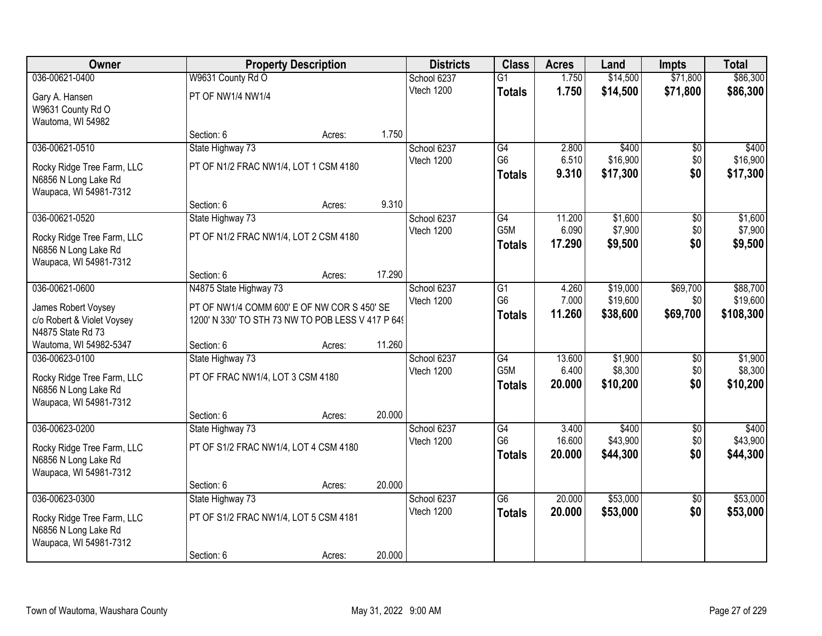| Owner                                                                                          |                                                                                                  | <b>Property Description</b> |        | <b>Districts</b>          | <b>Class</b>                            | <b>Acres</b>              | Land                           | <b>Impts</b>             | <b>Total</b>                   |
|------------------------------------------------------------------------------------------------|--------------------------------------------------------------------------------------------------|-----------------------------|--------|---------------------------|-----------------------------------------|---------------------------|--------------------------------|--------------------------|--------------------------------|
| 036-00621-0400                                                                                 | W9631 County Rd O                                                                                |                             |        | School 6237               | $\overline{G1}$                         | 1.750                     | \$14,500                       | \$71,800                 | \$86,300                       |
| Gary A. Hansen<br>W9631 County Rd O<br>Wautoma, WI 54982                                       | PT OF NW1/4 NW1/4                                                                                |                             |        | Vtech 1200                | <b>Totals</b>                           | 1.750                     | \$14,500                       | \$71,800                 | \$86,300                       |
|                                                                                                | Section: 6                                                                                       | Acres:                      | 1.750  |                           |                                         |                           |                                |                          |                                |
| 036-00621-0510                                                                                 | State Highway 73                                                                                 |                             |        | School 6237               | G4                                      | 2.800                     | \$400                          | \$0                      | \$400                          |
| Rocky Ridge Tree Farm, LLC<br>N6856 N Long Lake Rd<br>Waupaca, WI 54981-7312                   | PT OF N1/2 FRAC NW1/4, LOT 1 CSM 4180                                                            |                             |        | Vtech 1200                | G <sub>6</sub><br><b>Totals</b>         | 6.510<br>9.310            | \$16,900<br>\$17,300           | \$0<br>\$0               | \$16,900<br>\$17,300           |
|                                                                                                | Section: 6                                                                                       | Acres:                      | 9.310  |                           |                                         |                           |                                |                          |                                |
| 036-00621-0520                                                                                 | State Highway 73                                                                                 |                             |        | School 6237               | G4                                      | 11.200                    | \$1,600                        | \$0                      | \$1,600                        |
| Rocky Ridge Tree Farm, LLC<br>N6856 N Long Lake Rd<br>Waupaca, WI 54981-7312                   | PT OF N1/2 FRAC NW1/4, LOT 2 CSM 4180                                                            |                             |        | Vtech 1200                | G5M<br><b>Totals</b>                    | 6.090<br>17.290           | \$7,900<br>\$9,500             | \$0<br>\$0               | \$7,900<br>\$9,500             |
|                                                                                                | Section: 6                                                                                       | Acres:                      | 17.290 |                           |                                         |                           |                                |                          |                                |
| 036-00621-0600                                                                                 | N4875 State Highway 73                                                                           |                             |        | School 6237               | G1                                      | 4.260                     | \$19,000                       | \$69,700                 | \$88,700                       |
| James Robert Voysey<br>c/o Robert & Violet Voysey<br>N4875 State Rd 73                         | PT OF NW1/4 COMM 600' E OF NW COR S 450' SE<br>1200' N 330' TO STH 73 NW TO POB LESS V 417 P 649 |                             |        | Vtech 1200                | G <sub>6</sub><br><b>Totals</b>         | 7.000<br>11.260           | \$19,600<br>\$38,600           | \$0<br>\$69,700          | \$19,600<br>\$108,300          |
| Wautoma, WI 54982-5347                                                                         | Section: 6                                                                                       | Acres:                      | 11.260 |                           |                                         |                           |                                |                          |                                |
| 036-00623-0100<br>Rocky Ridge Tree Farm, LLC<br>N6856 N Long Lake Rd<br>Waupaca, WI 54981-7312 | State Highway 73<br>PT OF FRAC NW1/4, LOT 3 CSM 4180                                             |                             |        | School 6237<br>Vtech 1200 | G4<br>G <sub>5</sub> M<br><b>Totals</b> | 13.600<br>6.400<br>20.000 | \$1,900<br>\$8,300<br>\$10,200 | \$0<br>\$0<br>\$0        | \$1,900<br>\$8,300<br>\$10,200 |
|                                                                                                | Section: 6                                                                                       | Acres:                      | 20.000 |                           |                                         |                           |                                |                          |                                |
| 036-00623-0200<br>Rocky Ridge Tree Farm, LLC<br>N6856 N Long Lake Rd<br>Waupaca, WI 54981-7312 | State Highway 73<br>PT OF S1/2 FRAC NW1/4, LOT 4 CSM 4180                                        |                             |        | School 6237<br>Vtech 1200 | G4<br>G <sub>6</sub><br><b>Totals</b>   | 3.400<br>16.600<br>20.000 | \$400<br>\$43,900<br>\$44,300  | $\sqrt{6}$<br>\$0<br>\$0 | \$400<br>\$43,900<br>\$44,300  |
|                                                                                                | Section: 6                                                                                       | Acres:                      | 20.000 |                           |                                         |                           |                                |                          |                                |
| 036-00623-0300                                                                                 | State Highway 73                                                                                 |                             |        | School 6237               | $\overline{G6}$                         | 20.000                    | \$53,000                       | $\overline{50}$          | \$53,000                       |
| Rocky Ridge Tree Farm, LLC<br>N6856 N Long Lake Rd<br>Waupaca, WI 54981-7312                   | PT OF S1/2 FRAC NW1/4, LOT 5 CSM 4181                                                            |                             |        | Vtech 1200                | <b>Totals</b>                           | 20.000                    | \$53,000                       | \$0                      | \$53,000                       |
|                                                                                                | Section: 6                                                                                       | Acres:                      | 20.000 |                           |                                         |                           |                                |                          |                                |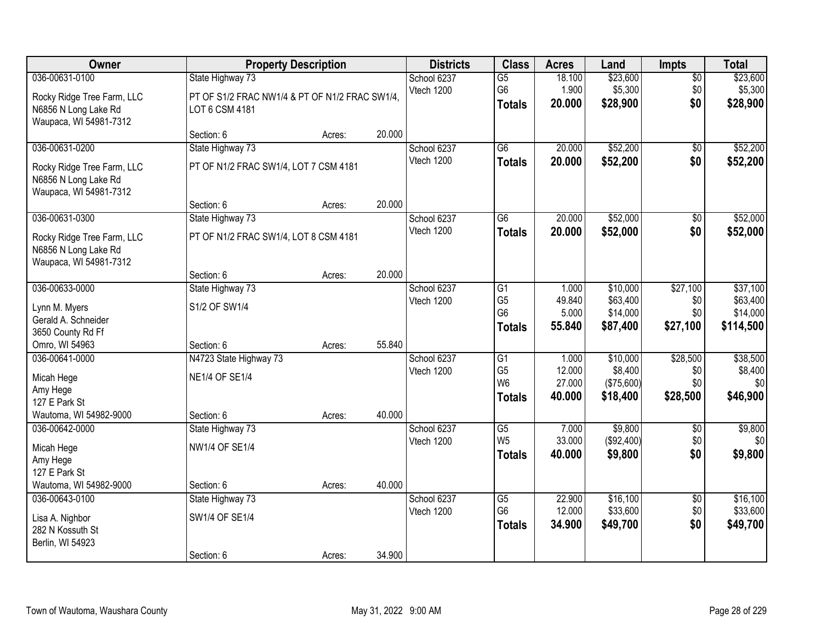| Owner                                                                                          | <b>Property Description</b>                                                          |        |        | <b>Districts</b>          | <b>Class</b>                                                         | <b>Acres</b>                        | Land                                          | Impts                              | <b>Total</b>                                  |
|------------------------------------------------------------------------------------------------|--------------------------------------------------------------------------------------|--------|--------|---------------------------|----------------------------------------------------------------------|-------------------------------------|-----------------------------------------------|------------------------------------|-----------------------------------------------|
| 036-00631-0100<br>Rocky Ridge Tree Farm, LLC<br>N6856 N Long Lake Rd<br>Waupaca, WI 54981-7312 | State Highway 73<br>PT OF S1/2 FRAC NW1/4 & PT OF N1/2 FRAC SW1/4,<br>LOT 6 CSM 4181 |        |        | School 6237<br>Vtech 1200 | $\overline{G5}$<br>G6<br><b>Totals</b>                               | 18.100<br>1.900<br>20.000           | \$23,600<br>\$5,300<br>\$28,900               | $\overline{50}$<br>\$0<br>\$0      | \$23,600<br>\$5,300<br>\$28,900               |
|                                                                                                | Section: 6                                                                           | Acres: | 20.000 |                           |                                                                      |                                     |                                               |                                    |                                               |
| 036-00631-0200<br>Rocky Ridge Tree Farm, LLC<br>N6856 N Long Lake Rd<br>Waupaca, WI 54981-7312 | State Highway 73<br>PT OF N1/2 FRAC SW1/4, LOT 7 CSM 4181                            |        |        | School 6237<br>Vtech 1200 | $\overline{G6}$<br><b>Totals</b>                                     | 20.000<br>20.000                    | \$52,200<br>\$52,200                          | \$0<br>\$0                         | \$52,200<br>\$52,200                          |
|                                                                                                | Section: 6                                                                           | Acres: | 20.000 |                           |                                                                      |                                     |                                               |                                    |                                               |
| 036-00631-0300<br>Rocky Ridge Tree Farm, LLC<br>N6856 N Long Lake Rd<br>Waupaca, WI 54981-7312 | State Highway 73<br>PT OF N1/2 FRAC SW1/4, LOT 8 CSM 4181                            |        |        | School 6237<br>Vtech 1200 | $\overline{G6}$<br><b>Totals</b>                                     | 20.000<br>20.000                    | \$52,000<br>\$52,000                          | $\overline{50}$<br>\$0             | \$52,000<br>\$52,000                          |
|                                                                                                | Section: 6                                                                           | Acres: | 20.000 |                           |                                                                      |                                     |                                               |                                    |                                               |
| 036-00633-0000<br>Lynn M. Myers<br>Gerald A. Schneider<br>3650 County Rd Ff                    | State Highway 73<br>S1/2 OF SW1/4                                                    |        |        | School 6237<br>Vtech 1200 | G1<br>G <sub>5</sub><br>G <sub>6</sub><br><b>Totals</b>              | 1.000<br>49.840<br>5.000<br>55.840  | \$10,000<br>\$63,400<br>\$14,000<br>\$87,400  | \$27,100<br>\$0<br>\$0<br>\$27,100 | \$37,100<br>\$63,400<br>\$14,000<br>\$114,500 |
| Omro, WI 54963                                                                                 | Section: 6                                                                           | Acres: | 55.840 |                           |                                                                      |                                     |                                               |                                    |                                               |
| 036-00641-0000<br>Micah Hege<br>Amy Hege<br>127 E Park St<br>Wautoma, WI 54982-9000            | N4723 State Highway 73<br><b>NE1/4 OF SE1/4</b><br>Section: 6                        | Acres: | 40.000 | School 6237<br>Vtech 1200 | $\overline{G1}$<br>G <sub>5</sub><br>W <sub>6</sub><br><b>Totals</b> | 1.000<br>12.000<br>27.000<br>40.000 | \$10,000<br>\$8,400<br>(\$75,600)<br>\$18,400 | \$28,500<br>\$0<br>\$0<br>\$28,500 | \$38,500<br>\$8,400<br>\$0<br>\$46,900        |
| 036-00642-0000<br>Micah Hege<br>Amy Hege<br>127 E Park St<br>Wautoma, WI 54982-9000            | State Highway 73<br><b>NW1/4 OF SE1/4</b><br>Section: 6                              | Acres: | 40.000 | School 6237<br>Vtech 1200 | $\overline{G5}$<br>W <sub>5</sub><br><b>Totals</b>                   | 7.000<br>33.000<br>40.000           | \$9,800<br>(\$92,400)<br>\$9,800              | $\sqrt{6}$<br>\$0<br>\$0           | \$9,800<br>\$0<br>\$9,800                     |
| 036-00643-0100<br>Lisa A. Nighbor<br>282 N Kossuth St<br>Berlin, WI 54923                      | State Highway 73<br>SW1/4 OF SE1/4<br>Section: 6                                     | Acres: | 34.900 | School 6237<br>Vtech 1200 | $\overline{G5}$<br>G <sub>6</sub><br><b>Totals</b>                   | 22.900<br>12.000<br>34.900          | \$16,100<br>\$33,600<br>\$49,700              | $\overline{50}$<br>\$0<br>\$0      | \$16,100<br>\$33,600<br>\$49,700              |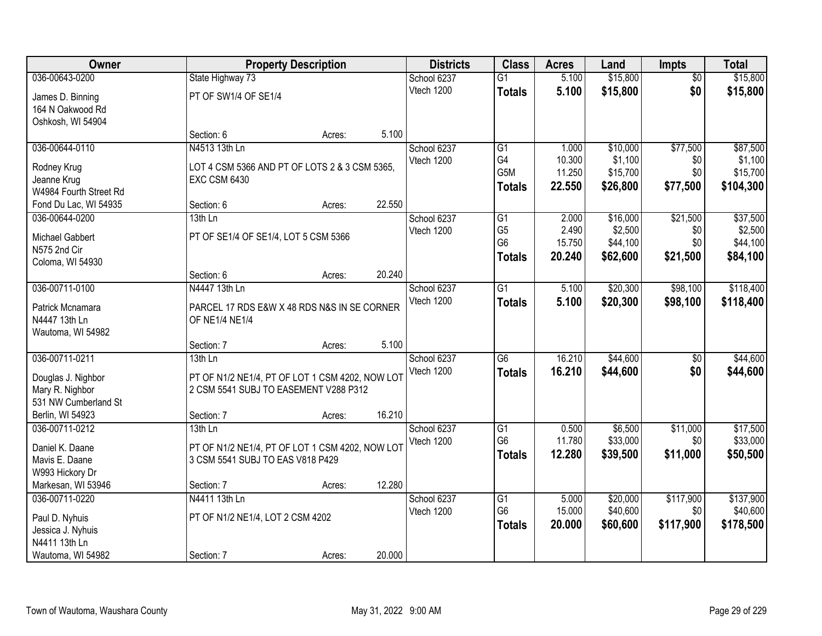| Owner                                 |                                                                                          | <b>Property Description</b> |        | <b>Districts</b> | <b>Class</b>    | <b>Acres</b> | Land     | <b>Impts</b>    | <b>Total</b> |
|---------------------------------------|------------------------------------------------------------------------------------------|-----------------------------|--------|------------------|-----------------|--------------|----------|-----------------|--------------|
| 036-00643-0200                        | State Highway 73                                                                         |                             |        | School 6237      | $\overline{G1}$ | 5.100        | \$15,800 | $\overline{50}$ | \$15,800     |
| James D. Binning                      | PT OF SW1/4 OF SE1/4                                                                     |                             |        | Vtech 1200       | <b>Totals</b>   | 5.100        | \$15,800 | \$0             | \$15,800     |
| 164 N Oakwood Rd                      |                                                                                          |                             |        |                  |                 |              |          |                 |              |
| Oshkosh, WI 54904                     |                                                                                          |                             |        |                  |                 |              |          |                 |              |
|                                       | Section: 6                                                                               | Acres:                      | 5.100  |                  |                 |              |          |                 |              |
| 036-00644-0110                        | N4513 13th Ln                                                                            |                             |        | School 6237      | $\overline{G1}$ | 1.000        | \$10,000 | \$77,500        | \$87,500     |
| Rodney Krug                           | LOT 4 CSM 5366 AND PT OF LOTS 2 & 3 CSM 5365,                                            |                             |        | Vtech 1200       | G4              | 10.300       | \$1,100  | \$0             | \$1,100      |
| Jeanne Krug                           | <b>EXC CSM 6430</b>                                                                      |                             |        |                  | G5M             | 11.250       | \$15,700 | \$0             | \$15,700     |
| W4984 Fourth Street Rd                |                                                                                          |                             |        |                  | <b>Totals</b>   | 22.550       | \$26,800 | \$77,500        | \$104,300    |
| Fond Du Lac, WI 54935                 | Section: 6                                                                               | Acres:                      | 22.550 |                  |                 |              |          |                 |              |
| 036-00644-0200                        | 13th Ln                                                                                  |                             |        | School 6237      | G1              | 2.000        | \$16,000 | \$21,500        | \$37,500     |
| Michael Gabbert                       | PT OF SE1/4 OF SE1/4, LOT 5 CSM 5366                                                     |                             |        | Vtech 1200       | G <sub>5</sub>  | 2.490        | \$2,500  | \$0             | \$2,500      |
| N575 2nd Cir                          |                                                                                          |                             |        |                  | G <sub>6</sub>  | 15.750       | \$44,100 | \$0             | \$44,100     |
| Coloma, WI 54930                      |                                                                                          |                             |        |                  | <b>Totals</b>   | 20.240       | \$62,600 | \$21,500        | \$84,100     |
|                                       | Section: 6                                                                               | Acres:                      | 20.240 |                  |                 |              |          |                 |              |
| 036-00711-0100                        | N4447 13th Ln                                                                            |                             |        | School 6237      | G1              | 5.100        | \$20,300 | \$98,100        | \$118,400    |
| Patrick Mcnamara                      | PARCEL 17 RDS E&W X 48 RDS N&S IN SE CORNER                                              |                             |        | Vtech 1200       | <b>Totals</b>   | 5.100        | \$20,300 | \$98,100        | \$118,400    |
| N4447 13th Ln                         | OF NE1/4 NE1/4                                                                           |                             |        |                  |                 |              |          |                 |              |
| Wautoma, WI 54982                     |                                                                                          |                             |        |                  |                 |              |          |                 |              |
|                                       | Section: 7                                                                               | Acres:                      | 5.100  |                  |                 |              |          |                 |              |
| 036-00711-0211                        | $13th$ Ln                                                                                |                             |        | School 6237      | $\overline{G6}$ | 16.210       | \$44,600 | $\overline{50}$ | \$44,600     |
|                                       |                                                                                          |                             |        | Vtech 1200       | <b>Totals</b>   | 16.210       | \$44,600 | \$0             | \$44,600     |
| Douglas J. Nighbor<br>Mary R. Nighbor | PT OF N1/2 NE1/4, PT OF LOT 1 CSM 4202, NOW LOT<br>2 CSM 5541 SUBJ TO EASEMENT V288 P312 |                             |        |                  |                 |              |          |                 |              |
| 531 NW Cumberland St                  |                                                                                          |                             |        |                  |                 |              |          |                 |              |
| Berlin, WI 54923                      | Section: 7                                                                               | Acres:                      | 16.210 |                  |                 |              |          |                 |              |
| 036-00711-0212                        | $13th$ Ln                                                                                |                             |        | School 6237      | $\overline{G1}$ | 0.500        | \$6,500  | \$11,000        | \$17,500     |
|                                       |                                                                                          |                             |        | Vtech 1200       | G <sub>6</sub>  | 11.780       | \$33,000 | \$0             | \$33,000     |
| Daniel K. Daane                       | PT OF N1/2 NE1/4, PT OF LOT 1 CSM 4202, NOW LOT                                          |                             |        |                  | <b>Totals</b>   | 12.280       | \$39,500 | \$11,000        | \$50,500     |
| Mavis E. Daane<br>W993 Hickory Dr     | 3 CSM 5541 SUBJ TO EAS V818 P429                                                         |                             |        |                  |                 |              |          |                 |              |
| Markesan, WI 53946                    | Section: 7                                                                               | Acres:                      | 12.280 |                  |                 |              |          |                 |              |
| 036-00711-0220                        | N4411 13th Ln                                                                            |                             |        | School 6237      | $\overline{G1}$ | 5.000        | \$20,000 | \$117,900       | \$137,900    |
|                                       |                                                                                          |                             |        | Vtech 1200       | G <sub>6</sub>  | 15.000       | \$40,600 | \$0             | \$40,600     |
| Paul D. Nyhuis                        | PT OF N1/2 NE1/4, LOT 2 CSM 4202                                                         |                             |        |                  | <b>Totals</b>   | 20.000       | \$60,600 | \$117,900       | \$178,500    |
| Jessica J. Nyhuis                     |                                                                                          |                             |        |                  |                 |              |          |                 |              |
| N4411 13th Ln                         |                                                                                          |                             |        |                  |                 |              |          |                 |              |
| Wautoma, WI 54982                     | Section: 7                                                                               | Acres:                      | 20.000 |                  |                 |              |          |                 |              |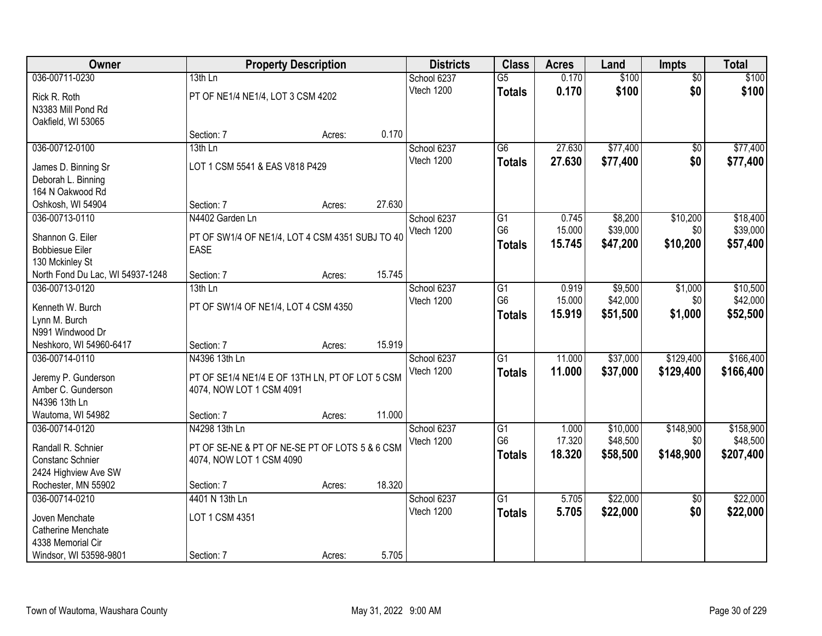| Owner                               |                                                 | <b>Property Description</b> |        | <b>Districts</b>          | <b>Class</b>    | <b>Acres</b> | Land     | <b>Impts</b>           | <b>Total</b> |
|-------------------------------------|-------------------------------------------------|-----------------------------|--------|---------------------------|-----------------|--------------|----------|------------------------|--------------|
| 036-00711-0230                      | $13th$ Ln                                       |                             |        | School 6237               | $\overline{G5}$ | 0.170        | \$100    | $\overline{50}$        | \$100        |
| Rick R. Roth                        | PT OF NE1/4 NE1/4, LOT 3 CSM 4202               |                             |        | Vtech 1200                | <b>Totals</b>   | 0.170        | \$100    | \$0                    | \$100        |
| N3383 Mill Pond Rd                  |                                                 |                             |        |                           |                 |              |          |                        |              |
| Oakfield, WI 53065                  |                                                 |                             |        |                           |                 |              |          |                        |              |
|                                     | Section: 7                                      | Acres:                      | 0.170  |                           |                 |              |          |                        |              |
| 036-00712-0100                      | 13th Ln                                         |                             |        | School 6237               | $\overline{G6}$ | 27.630       | \$77,400 | $\overline{50}$        | \$77,400     |
| James D. Binning Sr                 | LOT 1 CSM 5541 & EAS V818 P429                  |                             |        | Vtech 1200                | <b>Totals</b>   | 27.630       | \$77,400 | \$0                    | \$77,400     |
| Deborah L. Binning                  |                                                 |                             |        |                           |                 |              |          |                        |              |
| 164 N Oakwood Rd                    |                                                 |                             |        |                           |                 |              |          |                        |              |
| Oshkosh, WI 54904                   | Section: 7                                      | Acres:                      | 27.630 |                           |                 |              |          |                        |              |
| 036-00713-0110                      | N4402 Garden Ln                                 |                             |        | School 6237               | G1              | 0.745        | \$8,200  | \$10,200               | \$18,400     |
| Shannon G. Eiler                    | PT OF SW1/4 OF NE1/4, LOT 4 CSM 4351 SUBJ TO 40 |                             |        | Vtech 1200                | G <sub>6</sub>  | 15.000       | \$39,000 | \$0                    | \$39,000     |
| <b>Bobbiesue Eiler</b>              | <b>EASE</b>                                     |                             |        |                           | <b>Totals</b>   | 15.745       | \$47,200 | \$10,200               | \$57,400     |
| 130 Mckinley St                     |                                                 |                             |        |                           |                 |              |          |                        |              |
| North Fond Du Lac, WI 54937-1248    | Section: 7                                      | Acres:                      | 15.745 |                           |                 |              |          |                        |              |
| 036-00713-0120                      | 13th Ln                                         |                             |        | School 6237               | G1              | 0.919        | \$9,500  | \$1,000                | \$10,500     |
| Kenneth W. Burch                    |                                                 |                             |        | Vtech 1200                | G <sub>6</sub>  | 15.000       | \$42,000 | \$0                    | \$42,000     |
| Lynn M. Burch                       | PT OF SW1/4 OF NE1/4, LOT 4 CSM 4350            |                             |        |                           | <b>Totals</b>   | 15.919       | \$51,500 | \$1,000                | \$52,500     |
| N991 Windwood Dr                    |                                                 |                             |        |                           |                 |              |          |                        |              |
| Neshkoro, WI 54960-6417             | Section: 7                                      | Acres:                      | 15.919 |                           |                 |              |          |                        |              |
| 036-00714-0110                      | N4396 13th Ln                                   |                             |        | School 6237               | $\overline{G1}$ | 11.000       | \$37,000 | \$129,400              | \$166,400    |
|                                     |                                                 |                             |        | Vtech 1200                | <b>Totals</b>   | 11.000       | \$37,000 | \$129,400              | \$166,400    |
| Jeremy P. Gunderson                 | PT OF SE1/4 NE1/4 E OF 13TH LN, PT OF LOT 5 CSM |                             |        |                           |                 |              |          |                        |              |
| Amber C. Gunderson<br>N4396 13th Ln | 4074, NOW LOT 1 CSM 4091                        |                             |        |                           |                 |              |          |                        |              |
| Wautoma, WI 54982                   | Section: 7                                      | Acres:                      | 11.000 |                           |                 |              |          |                        |              |
| 036-00714-0120                      | N4298 13th Ln                                   |                             |        | School 6237               | $\overline{G1}$ | 1.000        | \$10,000 | \$148,900              | \$158,900    |
|                                     |                                                 |                             |        | Vtech 1200                | G <sub>6</sub>  | 17.320       | \$48,500 | \$0                    | \$48,500     |
| Randall R. Schnier                  | PT OF SE-NE & PT OF NE-SE PT OF LOTS 5 & 6 CSM  |                             |        |                           | <b>Totals</b>   | 18.320       | \$58,500 | \$148,900              | \$207,400    |
| Constanc Schnier                    | 4074, NOW LOT 1 CSM 4090                        |                             |        |                           |                 |              |          |                        |              |
| 2424 Highview Ave SW                |                                                 |                             |        |                           |                 |              |          |                        |              |
| Rochester, MN 55902                 | Section: 7                                      | Acres:                      | 18.320 |                           | $\overline{G1}$ |              |          |                        |              |
| 036-00714-0210                      | 4401 N 13th Ln                                  |                             |        | School 6237<br>Vtech 1200 |                 | 5.705        | \$22,000 | $\overline{50}$<br>\$0 | \$22,000     |
| Joven Menchate                      | LOT 1 CSM 4351                                  |                             |        |                           | <b>Totals</b>   | 5.705        | \$22,000 |                        | \$22,000     |
| Catherine Menchate                  |                                                 |                             |        |                           |                 |              |          |                        |              |
| 4338 Memorial Cir                   |                                                 |                             |        |                           |                 |              |          |                        |              |
| Windsor, WI 53598-9801              | Section: 7                                      | Acres:                      | 5.705  |                           |                 |              |          |                        |              |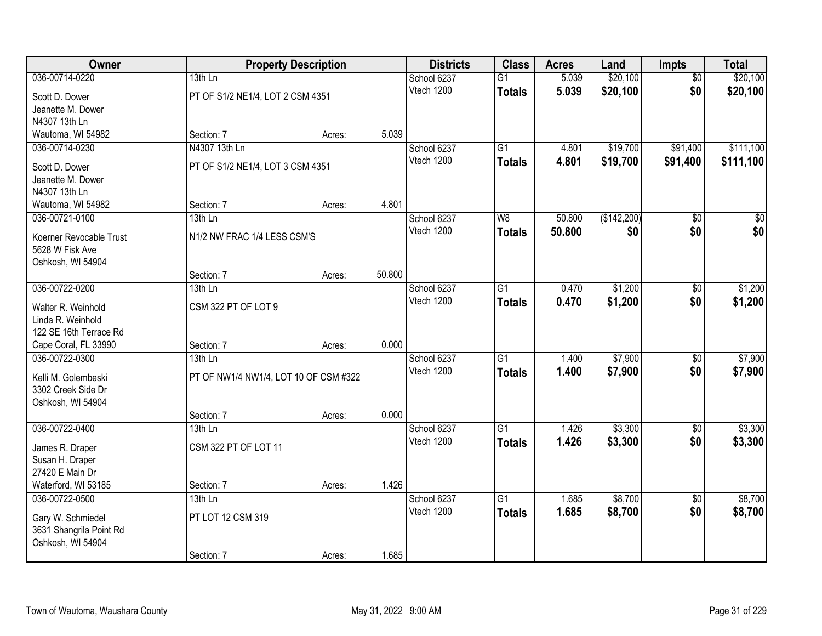| Owner                   |                                       | <b>Property Description</b> |        | <b>Districts</b> | <b>Class</b>    | <b>Acres</b> | Land        | Impts           | <b>Total</b> |
|-------------------------|---------------------------------------|-----------------------------|--------|------------------|-----------------|--------------|-------------|-----------------|--------------|
| 036-00714-0220          | $13th$ Ln                             |                             |        | School 6237      | $\overline{G1}$ | 5.039        | \$20,100    | $\overline{50}$ | \$20,100     |
| Scott D. Dower          | PT OF S1/2 NE1/4, LOT 2 CSM 4351      |                             |        | Vtech 1200       | <b>Totals</b>   | 5.039        | \$20,100    | \$0             | \$20,100     |
| Jeanette M. Dower       |                                       |                             |        |                  |                 |              |             |                 |              |
| N4307 13th Ln           |                                       |                             |        |                  |                 |              |             |                 |              |
| Wautoma, WI 54982       | Section: 7                            | Acres:                      | 5.039  |                  |                 |              |             |                 |              |
| 036-00714-0230          | N4307 13th Ln                         |                             |        | School 6237      | $\overline{G1}$ | 4.801        | \$19,700    | \$91,400        | \$111,100    |
| Scott D. Dower          | PT OF S1/2 NE1/4, LOT 3 CSM 4351      |                             |        | Vtech 1200       | <b>Totals</b>   | 4.801        | \$19,700    | \$91,400        | \$111,100    |
| Jeanette M. Dower       |                                       |                             |        |                  |                 |              |             |                 |              |
| N4307 13th Ln           |                                       |                             |        |                  |                 |              |             |                 |              |
| Wautoma, WI 54982       | Section: 7                            | Acres:                      | 4.801  |                  |                 |              |             |                 |              |
| 036-00721-0100          | 13th Ln                               |                             |        | School 6237      | W <sub>8</sub>  | 50.800       | (\$142,200) | \$0             | \$0          |
| Koerner Revocable Trust | N1/2 NW FRAC 1/4 LESS CSM'S           |                             |        | Vtech 1200       | <b>Totals</b>   | 50.800       | \$0         | \$0             | \$0          |
| 5628 W Fisk Ave         |                                       |                             |        |                  |                 |              |             |                 |              |
| Oshkosh, WI 54904       |                                       |                             |        |                  |                 |              |             |                 |              |
|                         | Section: 7                            | Acres:                      | 50.800 |                  |                 |              |             |                 |              |
| 036-00722-0200          | 13th Ln                               |                             |        | School 6237      | G1              | 0.470        | \$1,200     | \$0             | \$1,200      |
| Walter R. Weinhold      | CSM 322 PT OF LOT 9                   |                             |        | Vtech 1200       | <b>Totals</b>   | 0.470        | \$1,200     | \$0             | \$1,200      |
| Linda R. Weinhold       |                                       |                             |        |                  |                 |              |             |                 |              |
| 122 SE 16th Terrace Rd  |                                       |                             |        |                  |                 |              |             |                 |              |
| Cape Coral, FL 33990    | Section: 7                            | Acres:                      | 0.000  |                  |                 |              |             |                 |              |
| 036-00722-0300          | 13th Ln                               |                             |        | School 6237      | $\overline{G1}$ | 1.400        | \$7,900     | $\overline{50}$ | \$7,900      |
| Kelli M. Golembeski     | PT OF NW1/4 NW1/4, LOT 10 OF CSM #322 |                             |        | Vtech 1200       | <b>Totals</b>   | 1.400        | \$7,900     | \$0             | \$7,900      |
| 3302 Creek Side Dr      |                                       |                             |        |                  |                 |              |             |                 |              |
| Oshkosh, WI 54904       |                                       |                             |        |                  |                 |              |             |                 |              |
|                         | Section: 7                            | Acres:                      | 0.000  |                  |                 |              |             |                 |              |
| 036-00722-0400          | $13th$ Ln                             |                             |        | School 6237      | $\overline{G1}$ | 1.426        | \$3,300     | $\overline{50}$ | \$3,300      |
| James R. Draper         | CSM 322 PT OF LOT 11                  |                             |        | Vtech 1200       | <b>Totals</b>   | 1.426        | \$3,300     | \$0             | \$3,300      |
| Susan H. Draper         |                                       |                             |        |                  |                 |              |             |                 |              |
| 27420 E Main Dr         |                                       |                             |        |                  |                 |              |             |                 |              |
| Waterford, WI 53185     | Section: 7                            | Acres:                      | 1.426  |                  |                 |              |             |                 |              |
| 036-00722-0500          | $13th$ Ln                             |                             |        | School 6237      | $\overline{G1}$ | 1.685        | \$8,700     | $\overline{50}$ | \$8,700      |
| Gary W. Schmiedel       | PT LOT 12 CSM 319                     |                             |        | Vtech 1200       | <b>Totals</b>   | 1.685        | \$8,700     | \$0             | \$8,700      |
| 3631 Shangrila Point Rd |                                       |                             |        |                  |                 |              |             |                 |              |
| Oshkosh, WI 54904       |                                       |                             |        |                  |                 |              |             |                 |              |
|                         | Section: 7                            | Acres:                      | 1.685  |                  |                 |              |             |                 |              |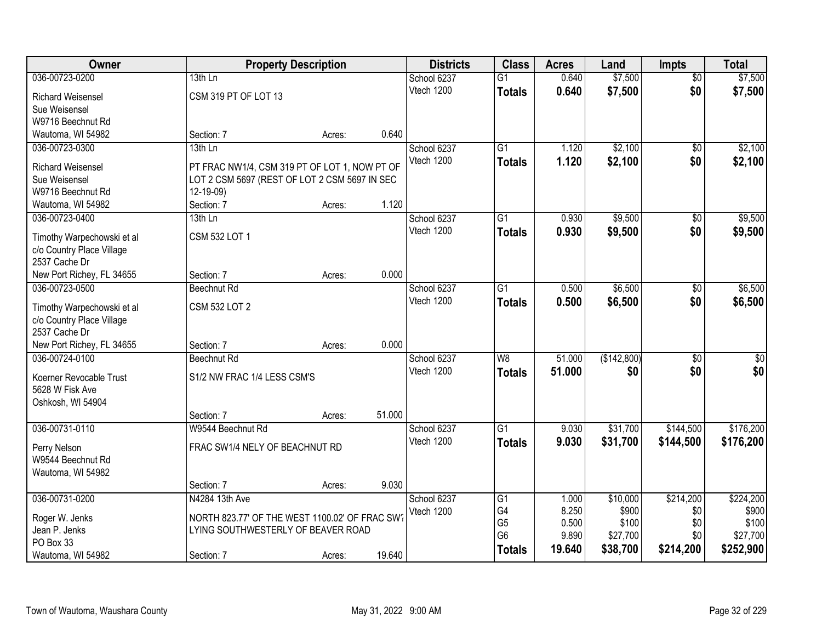| <b>Owner</b>                               |                                                | <b>Property Description</b> |        | <b>Districts</b> | <b>Class</b>    | <b>Acres</b> | Land        | <b>Impts</b>    | <b>Total</b> |
|--------------------------------------------|------------------------------------------------|-----------------------------|--------|------------------|-----------------|--------------|-------------|-----------------|--------------|
| 036-00723-0200                             | $13th$ Ln                                      |                             |        | School 6237      | $\overline{G1}$ | 0.640        | \$7,500     | $\overline{50}$ | \$7,500      |
| <b>Richard Weisensel</b>                   | CSM 319 PT OF LOT 13                           |                             |        | Vtech 1200       | <b>Totals</b>   | 0.640        | \$7,500     | \$0             | \$7,500      |
| Sue Weisensel                              |                                                |                             |        |                  |                 |              |             |                 |              |
| W9716 Beechnut Rd                          |                                                |                             |        |                  |                 |              |             |                 |              |
| Wautoma, WI 54982                          | Section: 7                                     | Acres:                      | 0.640  |                  |                 |              |             |                 |              |
| 036-00723-0300                             | $13th$ Ln                                      |                             |        | School 6237      | $\overline{G1}$ | 1.120        | \$2,100     | $\overline{50}$ | \$2,100      |
|                                            |                                                |                             |        | Vtech 1200       | <b>Totals</b>   | 1.120        | \$2,100     | \$0             | \$2,100      |
| <b>Richard Weisensel</b>                   | PT FRAC NW1/4, CSM 319 PT OF LOT 1, NOW PT OF  |                             |        |                  |                 |              |             |                 |              |
| Sue Weisensel                              | LOT 2 CSM 5697 (REST OF LOT 2 CSM 5697 IN SEC  |                             |        |                  |                 |              |             |                 |              |
| W9716 Beechnut Rd                          | 12-19-09)                                      |                             |        |                  |                 |              |             |                 |              |
| Wautoma, WI 54982                          | Section: 7                                     | Acres:                      | 1.120  |                  |                 |              |             |                 |              |
| 036-00723-0400                             | 13th Ln                                        |                             |        | School 6237      | G1              | 0.930        | \$9,500     | \$0             | \$9,500      |
| Timothy Warpechowski et al                 | CSM 532 LOT 1                                  |                             |        | Vtech 1200       | <b>Totals</b>   | 0.930        | \$9,500     | \$0             | \$9,500      |
| c/o Country Place Village                  |                                                |                             |        |                  |                 |              |             |                 |              |
| 2537 Cache Dr                              |                                                |                             |        |                  |                 |              |             |                 |              |
| New Port Richey, FL 34655                  | Section: 7                                     | Acres:                      | 0.000  |                  |                 |              |             |                 |              |
| 036-00723-0500                             | <b>Beechnut Rd</b>                             |                             |        | School 6237      | $\overline{G1}$ | 0.500        | \$6,500     | $\sqrt[6]{3}$   | \$6,500      |
|                                            |                                                |                             |        | Vtech 1200       | <b>Totals</b>   | 0.500        | \$6,500     | \$0             | \$6,500      |
| Timothy Warpechowski et al                 | <b>CSM 532 LOT 2</b>                           |                             |        |                  |                 |              |             |                 |              |
| c/o Country Place Village<br>2537 Cache Dr |                                                |                             |        |                  |                 |              |             |                 |              |
| New Port Richey, FL 34655                  | Section: 7                                     | Acres:                      | 0.000  |                  |                 |              |             |                 |              |
| 036-00724-0100                             | Beechnut Rd                                    |                             |        | School 6237      | $\overline{W8}$ | 51.000       | (\$142,800) | \$0             | $\sqrt{50}$  |
|                                            |                                                |                             |        | Vtech 1200       |                 | 51,000       |             | \$0             | \$0          |
| Koerner Revocable Trust                    | S1/2 NW FRAC 1/4 LESS CSM'S                    |                             |        |                  | <b>Totals</b>   |              | \$0         |                 |              |
| 5628 W Fisk Ave                            |                                                |                             |        |                  |                 |              |             |                 |              |
| Oshkosh, WI 54904                          |                                                |                             |        |                  |                 |              |             |                 |              |
|                                            | Section: 7                                     | Acres:                      | 51.000 |                  |                 |              |             |                 |              |
| 036-00731-0110                             | W9544 Beechnut Rd                              |                             |        | School 6237      | $\overline{G1}$ | 9.030        | \$31,700    | \$144,500       | \$176,200    |
| Perry Nelson                               | FRAC SW1/4 NELY OF BEACHNUT RD                 |                             |        | Vtech 1200       | <b>Totals</b>   | 9.030        | \$31,700    | \$144,500       | \$176,200    |
| W9544 Beechnut Rd                          |                                                |                             |        |                  |                 |              |             |                 |              |
| Wautoma, WI 54982                          |                                                |                             |        |                  |                 |              |             |                 |              |
|                                            | Section: 7                                     | Acres:                      | 9.030  |                  |                 |              |             |                 |              |
| 036-00731-0200                             | N4284 13th Ave                                 |                             |        | School 6237      | G1              | 1.000        | \$10,000    | \$214,200       | \$224,200    |
|                                            |                                                |                             |        | Vtech 1200       | G4              | 8.250        | \$900       | \$0             | \$900        |
| Roger W. Jenks                             | NORTH 823.77' OF THE WEST 1100.02' OF FRAC SW? |                             |        |                  | G <sub>5</sub>  | 0.500        | \$100       | \$0             | \$100        |
| Jean P. Jenks                              | LYING SOUTHWESTERLY OF BEAVER ROAD             |                             |        |                  | G <sub>6</sub>  | 9.890        | \$27,700    | \$0             | \$27,700     |
| PO Box 33                                  |                                                |                             |        |                  | <b>Totals</b>   | 19.640       | \$38,700    | \$214,200       | \$252,900    |
| Wautoma, WI 54982                          | Section: 7                                     | Acres:                      | 19.640 |                  |                 |              |             |                 |              |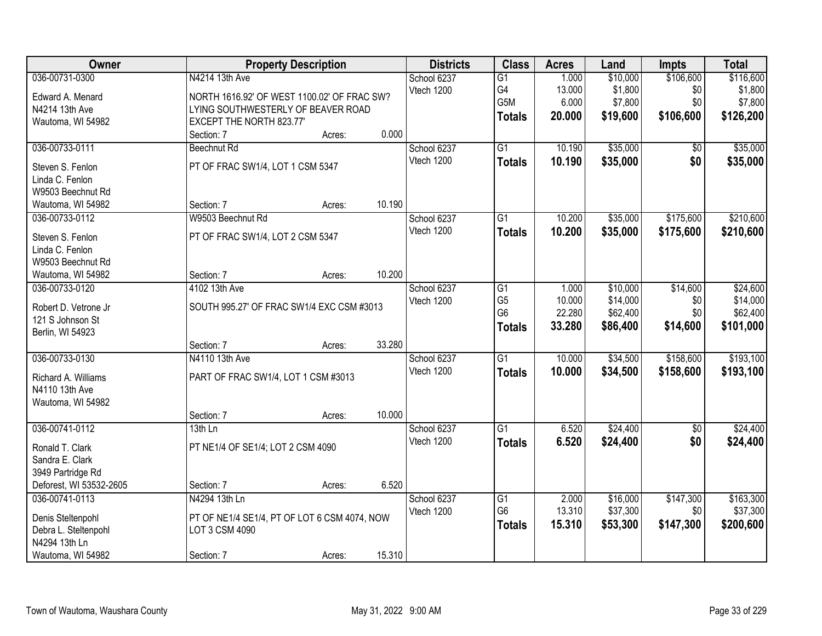| Owner                   |                                              | <b>Property Description</b> |        | <b>Districts</b>          | <b>Class</b>    | <b>Acres</b> | Land     | <b>Impts</b>    | <b>Total</b> |
|-------------------------|----------------------------------------------|-----------------------------|--------|---------------------------|-----------------|--------------|----------|-----------------|--------------|
| 036-00731-0300          | N4214 13th Ave                               |                             |        | School 6237               | $\overline{G1}$ | 1.000        | \$10,000 | \$106,600       | \$116,600    |
| Edward A. Menard        | NORTH 1616.92' OF WEST 1100.02' OF FRAC SW?  |                             |        | Vtech 1200                | G4              | 13.000       | \$1,800  | \$0             | \$1,800      |
| N4214 13th Ave          | LYING SOUTHWESTERLY OF BEAVER ROAD           |                             |        |                           | G5M             | 6.000        | \$7,800  | \$0             | \$7,800      |
| Wautoma, WI 54982       | EXCEPT THE NORTH 823.77'                     |                             |        |                           | <b>Totals</b>   | 20.000       | \$19,600 | \$106,600       | \$126,200    |
|                         | Section: 7                                   | Acres:                      | 0.000  |                           |                 |              |          |                 |              |
| 036-00733-0111          | Beechnut Rd                                  |                             |        | School 6237               | $\overline{G1}$ | 10.190       | \$35,000 | \$0             | \$35,000     |
| Steven S. Fenlon        | PT OF FRAC SW1/4, LOT 1 CSM 5347             |                             |        | Vtech 1200                | <b>Totals</b>   | 10.190       | \$35,000 | \$0             | \$35,000     |
| Linda C. Fenlon         |                                              |                             |        |                           |                 |              |          |                 |              |
| W9503 Beechnut Rd       |                                              |                             |        |                           |                 |              |          |                 |              |
| Wautoma, WI 54982       | Section: 7                                   | Acres:                      | 10.190 |                           |                 |              |          |                 |              |
| 036-00733-0112          | W9503 Beechnut Rd                            |                             |        | School 6237               | $\overline{G1}$ | 10.200       | \$35,000 | \$175,600       | \$210,600    |
| Steven S. Fenlon        | PT OF FRAC SW1/4, LOT 2 CSM 5347             |                             |        | Vtech 1200                | <b>Totals</b>   | 10.200       | \$35,000 | \$175,600       | \$210,600    |
| Linda C. Fenlon         |                                              |                             |        |                           |                 |              |          |                 |              |
| W9503 Beechnut Rd       |                                              |                             |        |                           |                 |              |          |                 |              |
| Wautoma, WI 54982       | Section: 7                                   | Acres:                      | 10.200 |                           |                 |              |          |                 |              |
| 036-00733-0120          | 4102 13th Ave                                |                             |        | School 6237               | G1              | 1.000        | \$10,000 | \$14,600        | \$24,600     |
|                         |                                              |                             |        | Vtech 1200                | G <sub>5</sub>  | 10.000       | \$14,000 | \$0             | \$14,000     |
| Robert D. Vetrone Jr    | SOUTH 995.27' OF FRAC SW1/4 EXC CSM #3013    |                             |        |                           | G <sub>6</sub>  | 22.280       | \$62,400 | \$0             | \$62,400     |
| 121 S Johnson St        |                                              |                             |        |                           | <b>Totals</b>   | 33.280       | \$86,400 | \$14,600        | \$101,000    |
| Berlin, WI 54923        |                                              |                             | 33.280 |                           |                 |              |          |                 |              |
|                         | Section: 7<br>N4110 13th Ave                 | Acres:                      |        |                           | $\overline{G1}$ |              |          |                 |              |
| 036-00733-0130          |                                              |                             |        | School 6237<br>Vtech 1200 |                 | 10.000       | \$34,500 | \$158,600       | \$193,100    |
| Richard A. Williams     | PART OF FRAC SW1/4, LOT 1 CSM #3013          |                             |        |                           | <b>Totals</b>   | 10.000       | \$34,500 | \$158,600       | \$193,100    |
| N4110 13th Ave          |                                              |                             |        |                           |                 |              |          |                 |              |
| Wautoma, WI 54982       |                                              |                             |        |                           |                 |              |          |                 |              |
|                         | Section: 7                                   | Acres:                      | 10.000 |                           |                 |              |          |                 |              |
| 036-00741-0112          | $13th$ Ln                                    |                             |        | School 6237               | $\overline{G1}$ | 6.520        | \$24,400 | $\overline{60}$ | \$24,400     |
| Ronald T. Clark         | PT NE1/4 OF SE1/4; LOT 2 CSM 4090            |                             |        | Vtech 1200                | <b>Totals</b>   | 6.520        | \$24,400 | \$0             | \$24,400     |
| Sandra E. Clark         |                                              |                             |        |                           |                 |              |          |                 |              |
| 3949 Partridge Rd       |                                              |                             |        |                           |                 |              |          |                 |              |
| Deforest, WI 53532-2605 | Section: 7                                   | Acres:                      | 6.520  |                           |                 |              |          |                 |              |
| 036-00741-0113          | N4294 13th Ln                                |                             |        | School 6237               | G1              | 2.000        | \$16,000 | \$147,300       | \$163,300    |
| Denis Steltenpohl       | PT OF NE1/4 SE1/4, PT OF LOT 6 CSM 4074, NOW |                             |        | Vtech 1200                | G <sub>6</sub>  | 13.310       | \$37,300 | \$0             | \$37,300     |
| Debra L. Steltenpohl    | LOT 3 CSM 4090                               |                             |        |                           | <b>Totals</b>   | 15.310       | \$53,300 | \$147,300       | \$200,600    |
| N4294 13th Ln           |                                              |                             |        |                           |                 |              |          |                 |              |
| Wautoma, WI 54982       | Section: 7                                   | Acres:                      | 15.310 |                           |                 |              |          |                 |              |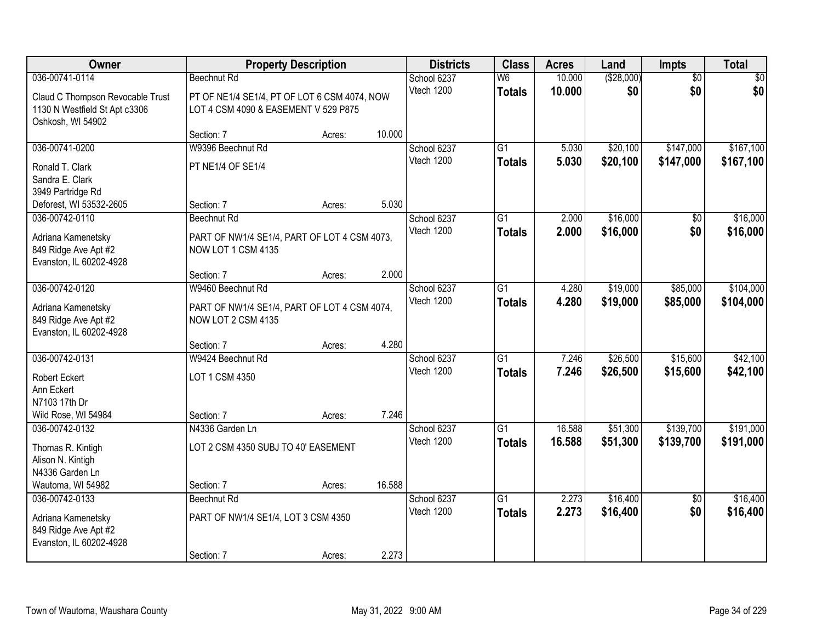| <b>Owner</b>                                       |                                                             | <b>Property Description</b> |        | <b>Districts</b>          | <b>Class</b>                              | <b>Acres</b>     | Land               | Impts                  | <b>Total</b> |
|----------------------------------------------------|-------------------------------------------------------------|-----------------------------|--------|---------------------------|-------------------------------------------|------------------|--------------------|------------------------|--------------|
| 036-00741-0114<br>Claud C Thompson Revocable Trust | Beechnut Rd<br>PT OF NE1/4 SE1/4, PT OF LOT 6 CSM 4074, NOW |                             |        | School 6237<br>Vtech 1200 | $\overline{\mathsf{W6}}$<br><b>Totals</b> | 10.000<br>10.000 | ( \$28,000)<br>\$0 | $\overline{50}$<br>\$0 | \$0<br>\$0   |
| 1130 N Westfield St Apt c3306<br>Oshkosh, WI 54902 | LOT 4 CSM 4090 & EASEMENT V 529 P875                        |                             |        |                           |                                           |                  |                    |                        |              |
|                                                    | Section: 7                                                  | Acres:                      | 10.000 |                           | $\overline{G1}$                           |                  |                    |                        |              |
| 036-00741-0200                                     | W9396 Beechnut Rd                                           |                             |        | School 6237<br>Vtech 1200 |                                           | 5.030            | \$20,100           | \$147,000              | \$167,100    |
| Ronald T. Clark                                    | PT NE1/4 OF SE1/4                                           |                             |        |                           | <b>Totals</b>                             | 5.030            | \$20,100           | \$147,000              | \$167,100    |
| Sandra E. Clark                                    |                                                             |                             |        |                           |                                           |                  |                    |                        |              |
| 3949 Partridge Rd                                  |                                                             |                             |        |                           |                                           |                  |                    |                        |              |
| Deforest, WI 53532-2605                            | Section: 7                                                  | Acres:                      | 5.030  |                           |                                           |                  |                    |                        |              |
| 036-00742-0110                                     | Beechnut Rd                                                 |                             |        | School 6237               | G1                                        | 2.000            | \$16,000           | \$0                    | \$16,000     |
| Adriana Kamenetsky                                 | PART OF NW1/4 SE1/4, PART OF LOT 4 CSM 4073,                |                             |        | Vtech 1200                | <b>Totals</b>                             | 2.000            | \$16,000           | \$0                    | \$16,000     |
| 849 Ridge Ave Apt #2                               | NOW LOT 1 CSM 4135                                          |                             |        |                           |                                           |                  |                    |                        |              |
| Evanston, IL 60202-4928                            |                                                             |                             |        |                           |                                           |                  |                    |                        |              |
|                                                    | Section: 7                                                  | Acres:                      | 2.000  |                           |                                           |                  |                    |                        |              |
| 036-00742-0120                                     | W9460 Beechnut Rd                                           |                             |        | School 6237               | G1                                        | 4.280            | \$19,000           | \$85,000               | \$104,000    |
| Adriana Kamenetsky                                 | PART OF NW1/4 SE1/4, PART OF LOT 4 CSM 4074,                |                             |        | Vtech 1200                | <b>Totals</b>                             | 4.280            | \$19,000           | \$85,000               | \$104,000    |
| 849 Ridge Ave Apt #2                               | NOW LOT 2 CSM 4135                                          |                             |        |                           |                                           |                  |                    |                        |              |
| Evanston, IL 60202-4928                            |                                                             |                             |        |                           |                                           |                  |                    |                        |              |
|                                                    | Section: 7                                                  | Acres:                      | 4.280  |                           |                                           |                  |                    |                        |              |
| 036-00742-0131                                     | W9424 Beechnut Rd                                           |                             |        | School 6237               | $\overline{G1}$                           | 7.246            | \$26,500           | \$15,600               | \$42,100     |
|                                                    |                                                             |                             |        | Vtech 1200                | <b>Totals</b>                             | 7.246            | \$26,500           | \$15,600               | \$42,100     |
| <b>Robert Eckert</b>                               | LOT 1 CSM 4350                                              |                             |        |                           |                                           |                  |                    |                        |              |
| Ann Eckert<br>N7103 17th Dr                        |                                                             |                             |        |                           |                                           |                  |                    |                        |              |
| Wild Rose, WI 54984                                | Section: 7                                                  | Acres:                      | 7.246  |                           |                                           |                  |                    |                        |              |
| 036-00742-0132                                     | N4336 Garden Ln                                             |                             |        | School 6237               | $\overline{G1}$                           | 16.588           | \$51,300           | \$139,700              | \$191,000    |
|                                                    |                                                             |                             |        | Vtech 1200                | <b>Totals</b>                             | 16.588           | \$51,300           | \$139,700              | \$191,000    |
| Thomas R. Kintigh                                  | LOT 2 CSM 4350 SUBJ TO 40' EASEMENT                         |                             |        |                           |                                           |                  |                    |                        |              |
| Alison N. Kintigh                                  |                                                             |                             |        |                           |                                           |                  |                    |                        |              |
| N4336 Garden Ln                                    |                                                             |                             |        |                           |                                           |                  |                    |                        |              |
| Wautoma, WI 54982                                  | Section: 7                                                  | Acres:                      | 16.588 |                           |                                           |                  |                    |                        |              |
| 036-00742-0133                                     | Beechnut Rd                                                 |                             |        | School 6237               | $\overline{G1}$                           | 2.273            | \$16,400           | $\overline{50}$        | \$16,400     |
| Adriana Kamenetsky                                 | PART OF NW1/4 SE1/4, LOT 3 CSM 4350                         |                             |        | Vtech 1200                | <b>Totals</b>                             | 2.273            | \$16,400           | \$0                    | \$16,400     |
| 849 Ridge Ave Apt #2                               |                                                             |                             |        |                           |                                           |                  |                    |                        |              |
| Evanston, IL 60202-4928                            |                                                             |                             |        |                           |                                           |                  |                    |                        |              |
|                                                    | Section: 7                                                  | Acres:                      | 2.273  |                           |                                           |                  |                    |                        |              |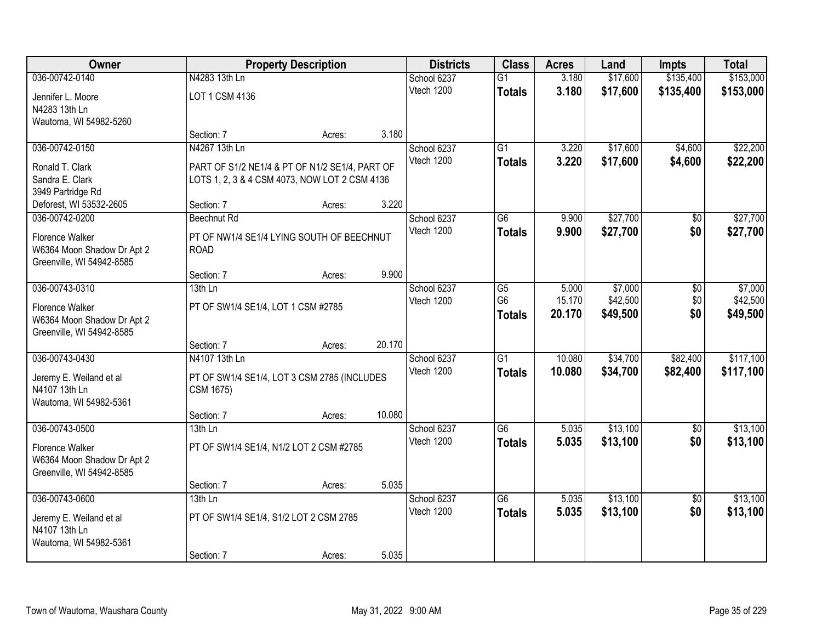| Owner                                        |                                                | <b>Property Description</b> |        | <b>Districts</b>          | <b>Class</b>    | <b>Acres</b>   | Land                 | <b>Impts</b>    | <b>Total</b> |
|----------------------------------------------|------------------------------------------------|-----------------------------|--------|---------------------------|-----------------|----------------|----------------------|-----------------|--------------|
| 036-00742-0140                               | N4283 13th Ln                                  |                             |        | School 6237               | $\overline{G1}$ | 3.180          | \$17,600             | \$135,400       | \$153,000    |
| Jennifer L. Moore                            | LOT 1 CSM 4136                                 |                             |        | Vtech 1200                | <b>Totals</b>   | 3.180          | \$17,600             | \$135,400       | \$153,000    |
| N4283 13th Ln                                |                                                |                             |        |                           |                 |                |                      |                 |              |
| Wautoma, WI 54982-5260                       | Section: 7                                     | Acres:                      | 3.180  |                           |                 |                |                      |                 |              |
| 036-00742-0150                               | N4267 13th Ln                                  |                             |        | School 6237               | $\overline{G1}$ | 3.220          | \$17,600             | \$4,600         | \$22,200     |
|                                              |                                                |                             |        | Vtech 1200                | <b>Totals</b>   | 3.220          | \$17,600             | \$4,600         | \$22,200     |
| Ronald T. Clark                              | PART OF S1/2 NE1/4 & PT OF N1/2 SE1/4, PART OF |                             |        |                           |                 |                |                      |                 |              |
| Sandra E. Clark                              | LOTS 1, 2, 3 & 4 CSM 4073, NOW LOT 2 CSM 4136  |                             |        |                           |                 |                |                      |                 |              |
| 3949 Partridge Rd<br>Deforest, WI 53532-2605 | Section: 7                                     | Acres:                      | 3.220  |                           |                 |                |                      |                 |              |
| 036-00742-0200                               | Beechnut Rd                                    |                             |        | School 6237               | G <sub>6</sub>  | 9.900          | \$27,700             | \$0             | \$27,700     |
|                                              |                                                |                             |        | Vtech 1200                | <b>Totals</b>   | 9.900          | \$27,700             | \$0             | \$27,700     |
| Florence Walker                              | PT OF NW1/4 SE1/4 LYING SOUTH OF BEECHNUT      |                             |        |                           |                 |                |                      |                 |              |
| W6364 Moon Shadow Dr Apt 2                   | <b>ROAD</b>                                    |                             |        |                           |                 |                |                      |                 |              |
| Greenville, WI 54942-8585                    | Section: 7                                     |                             | 9.900  |                           |                 |                |                      |                 |              |
| 036-00743-0310                               | 13th Ln                                        | Acres:                      |        | School 6237               | G5              | 5.000          | \$7,000              | \$0             | \$7,000      |
|                                              |                                                |                             |        | Vtech 1200                | G <sub>6</sub>  | 15.170         | \$42,500             | \$0             | \$42,500     |
| Florence Walker                              | PT OF SW1/4 SE1/4, LOT 1 CSM #2785             |                             |        |                           | <b>Totals</b>   | 20.170         | \$49,500             | \$0             | \$49,500     |
| W6364 Moon Shadow Dr Apt 2                   |                                                |                             |        |                           |                 |                |                      |                 |              |
| Greenville, WI 54942-8585                    |                                                |                             | 20.170 |                           |                 |                |                      |                 |              |
| 036-00743-0430                               | Section: 7<br>N4107 13th Ln                    | Acres:                      |        | School 6237               | $\overline{G1}$ | 10.080         | \$34,700             | \$82,400        | \$117,100    |
|                                              |                                                |                             |        | Vtech 1200                | <b>Totals</b>   | 10.080         | \$34,700             | \$82,400        | \$117,100    |
| Jeremy E. Weiland et al                      | PT OF SW1/4 SE1/4, LOT 3 CSM 2785 (INCLUDES    |                             |        |                           |                 |                |                      |                 |              |
| N4107 13th Ln                                | CSM 1675)                                      |                             |        |                           |                 |                |                      |                 |              |
| Wautoma, WI 54982-5361                       |                                                |                             |        |                           |                 |                |                      |                 |              |
|                                              | Section: 7                                     | Acres:                      | 10.080 |                           |                 |                |                      |                 |              |
| 036-00743-0500                               | 13th Ln                                        |                             |        | School 6237<br>Vtech 1200 | $\overline{G6}$ | 5.035<br>5.035 | \$13,100<br>\$13,100 | \$0<br>\$0      | \$13,100     |
| Florence Walker                              | PT OF SW1/4 SE1/4, N1/2 LOT 2 CSM #2785        |                             |        |                           | <b>Totals</b>   |                |                      |                 | \$13,100     |
| W6364 Moon Shadow Dr Apt 2                   |                                                |                             |        |                           |                 |                |                      |                 |              |
| Greenville, WI 54942-8585                    |                                                |                             |        |                           |                 |                |                      |                 |              |
|                                              | Section: 7                                     | Acres:                      | 5.035  |                           |                 |                |                      |                 |              |
| 036-00743-0600                               | $13th$ Ln                                      |                             |        | School 6237               | G6              | 5.035          | \$13,100             | $\overline{50}$ | \$13,100     |
| Jeremy E. Weiland et al                      | PT OF SW1/4 SE1/4, S1/2 LOT 2 CSM 2785         |                             |        | Vtech 1200                | <b>Totals</b>   | 5.035          | \$13,100             | \$0             | \$13,100     |
| N4107 13th Ln                                |                                                |                             |        |                           |                 |                |                      |                 |              |
| Wautoma, WI 54982-5361                       |                                                |                             |        |                           |                 |                |                      |                 |              |
|                                              | Section: 7                                     | Acres:                      | 5.035  |                           |                 |                |                      |                 |              |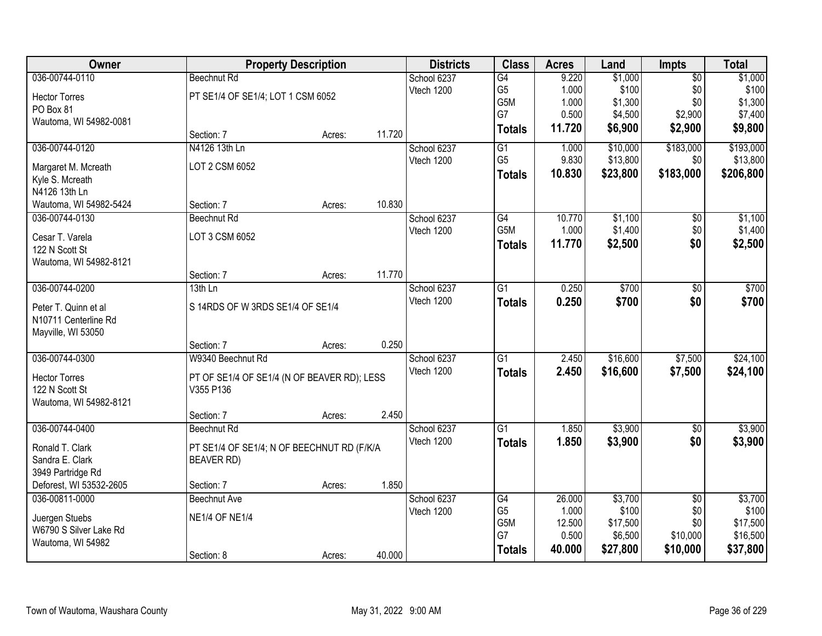| Owner                   |                                             | <b>Property Description</b> |        | <b>Districts</b> | <b>Class</b>          | <b>Acres</b>    | Land                | <b>Impts</b>    | <b>Total</b>      |
|-------------------------|---------------------------------------------|-----------------------------|--------|------------------|-----------------------|-----------------|---------------------|-----------------|-------------------|
| 036-00744-0110          | <b>Beechnut Rd</b>                          |                             |        | School 6237      | G4                    | 9.220           | \$1,000             | $\overline{60}$ | \$1,000           |
| <b>Hector Torres</b>    | PT SE1/4 OF SE1/4; LOT 1 CSM 6052           |                             |        | Vtech 1200       | G <sub>5</sub>        | 1.000           | \$100               | \$0             | \$100             |
| PO Box 81               |                                             |                             |        |                  | G <sub>5</sub> M      | 1.000           | \$1,300             | \$0             | \$1,300           |
| Wautoma, WI 54982-0081  |                                             |                             |        |                  | G7                    | 0.500           | \$4,500             | \$2,900         | \$7,400           |
|                         | Section: 7                                  | Acres:                      | 11.720 |                  | <b>Totals</b>         | 11.720          | \$6,900             | \$2,900         | \$9,800           |
| 036-00744-0120          | N4126 13th Ln                               |                             |        | School 6237      | G1                    | 1.000           | \$10,000            | \$183,000       | \$193,000         |
| Margaret M. Mcreath     | LOT 2 CSM 6052                              |                             |        | Vtech 1200       | G <sub>5</sub>        | 9.830           | \$13,800            | \$0             | \$13,800          |
| Kyle S. Mcreath         |                                             |                             |        |                  | <b>Totals</b>         | 10.830          | \$23,800            | \$183,000       | \$206,800         |
| N4126 13th Ln           |                                             |                             |        |                  |                       |                 |                     |                 |                   |
| Wautoma, WI 54982-5424  | Section: 7                                  | Acres:                      | 10.830 |                  |                       |                 |                     |                 |                   |
| 036-00744-0130          | Beechnut Rd                                 |                             |        | School 6237      | G4                    | 10.770          | \$1,100             | $\sqrt[6]{30}$  | \$1,100           |
| Cesar T. Varela         | LOT 3 CSM 6052                              |                             |        | Vtech 1200       | G5M                   | 1.000           | \$1,400             | \$0             | \$1,400           |
| 122 N Scott St          |                                             |                             |        |                  | <b>Totals</b>         | 11.770          | \$2,500             | \$0             | \$2,500           |
| Wautoma, WI 54982-8121  |                                             |                             |        |                  |                       |                 |                     |                 |                   |
|                         | Section: 7                                  | Acres:                      | 11.770 |                  |                       |                 |                     |                 |                   |
| 036-00744-0200          | 13th Ln                                     |                             |        | School 6237      | $\overline{G1}$       | 0.250           | \$700               | \$0             | \$700             |
| Peter T. Quinn et al    | S 14RDS OF W 3RDS SE1/4 OF SE1/4            |                             |        | Vtech 1200       | <b>Totals</b>         | 0.250           | \$700               | \$0             | \$700             |
| N10711 Centerline Rd    |                                             |                             |        |                  |                       |                 |                     |                 |                   |
| Mayville, WI 53050      |                                             |                             |        |                  |                       |                 |                     |                 |                   |
|                         | Section: 7                                  | Acres:                      | 0.250  |                  |                       |                 |                     |                 |                   |
| 036-00744-0300          | W9340 Beechnut Rd                           |                             |        | School 6237      | $\overline{G1}$       | 2.450           | \$16,600            | \$7,500         | \$24,100          |
|                         |                                             |                             |        | Vtech 1200       | <b>Totals</b>         | 2.450           | \$16,600            | \$7,500         | \$24,100          |
| <b>Hector Torres</b>    | PT OF SE1/4 OF SE1/4 (N OF BEAVER RD); LESS |                             |        |                  |                       |                 |                     |                 |                   |
| 122 N Scott St          | V355 P136                                   |                             |        |                  |                       |                 |                     |                 |                   |
| Wautoma, WI 54982-8121  | Section: 7                                  | Acres:                      | 2.450  |                  |                       |                 |                     |                 |                   |
| 036-00744-0400          | <b>Beechnut Rd</b>                          |                             |        | School 6237      | $\overline{G1}$       | 1.850           | \$3,900             | $\overline{60}$ | \$3,900           |
|                         |                                             |                             |        | Vtech 1200       | <b>Totals</b>         | 1.850           | \$3,900             | \$0             | \$3,900           |
| Ronald T. Clark         | PT SE1/4 OF SE1/4; N OF BEECHNUT RD (F/K/A  |                             |        |                  |                       |                 |                     |                 |                   |
| Sandra E. Clark         | <b>BEAVER RD)</b>                           |                             |        |                  |                       |                 |                     |                 |                   |
| 3949 Partridge Rd       |                                             |                             |        |                  |                       |                 |                     |                 |                   |
| Deforest, WI 53532-2605 | Section: 7                                  | Acres:                      | 1.850  |                  |                       |                 |                     |                 |                   |
| 036-00811-0000          | <b>Beechnut Ave</b>                         |                             |        | School 6237      | G4                    | 26.000          | \$3,700             | $\overline{50}$ | \$3,700           |
| Juergen Stuebs          | <b>NE1/4 OF NE1/4</b>                       |                             |        | Vtech 1200       | G <sub>5</sub><br>G5M | 1.000<br>12.500 | \$100               | \$0<br>\$0      | \$100<br>\$17,500 |
| W6790 S Silver Lake Rd  |                                             |                             |        |                  | G7                    | 0.500           | \$17,500<br>\$6,500 | \$10,000        | \$16,500          |
| Wautoma, WI 54982       |                                             |                             |        |                  |                       | 40.000          | \$27,800            | \$10,000        | \$37,800          |
|                         | Section: 8                                  | Acres:                      | 40.000 |                  | <b>Totals</b>         |                 |                     |                 |                   |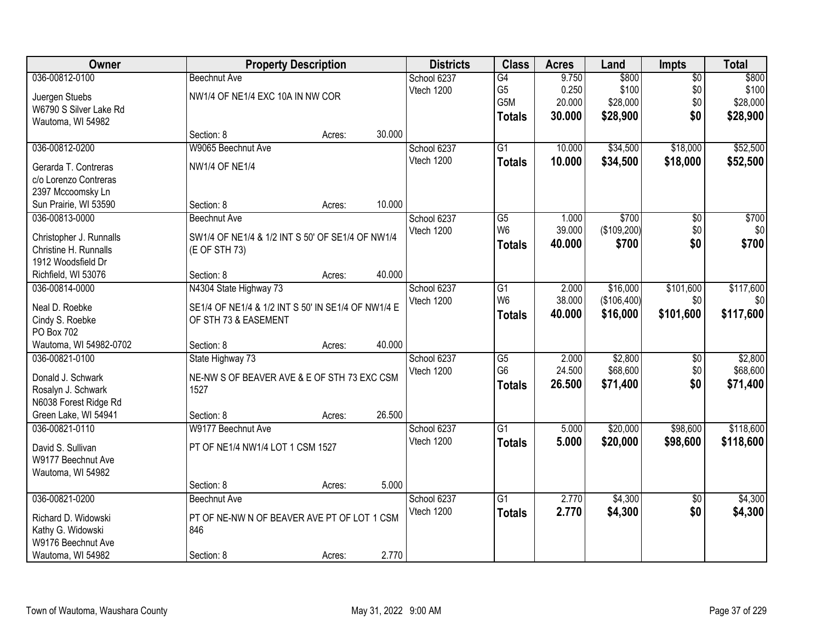| Owner                   | <b>Property Description</b>                        |        |        | <b>Districts</b> | <b>Class</b>    | <b>Acres</b> | Land        | <b>Impts</b>    | <b>Total</b> |
|-------------------------|----------------------------------------------------|--------|--------|------------------|-----------------|--------------|-------------|-----------------|--------------|
| 036-00812-0100          | <b>Beechnut Ave</b>                                |        |        | School 6237      | G4              | 9.750        | \$800       | $\overline{50}$ | \$800        |
| Juergen Stuebs          | NW1/4 OF NE1/4 EXC 10A IN NW COR                   |        |        | Vtech 1200       | G <sub>5</sub>  | 0.250        | \$100       | \$0             | \$100        |
| W6790 S Silver Lake Rd  |                                                    |        |        |                  | G5M             | 20.000       | \$28,000    | \$0             | \$28,000     |
| Wautoma, WI 54982       |                                                    |        |        |                  | <b>Totals</b>   | 30.000       | \$28,900    | \$0             | \$28,900     |
|                         | Section: 8                                         | Acres: | 30.000 |                  |                 |              |             |                 |              |
| 036-00812-0200          | W9065 Beechnut Ave                                 |        |        | School 6237      | $\overline{G1}$ | 10.000       | \$34,500    | \$18,000        | \$52,500     |
| Gerarda T. Contreras    | <b>NW1/4 OF NE1/4</b>                              |        |        | Vtech 1200       | <b>Totals</b>   | 10.000       | \$34,500    | \$18,000        | \$52,500     |
| c/o Lorenzo Contreras   |                                                    |        |        |                  |                 |              |             |                 |              |
| 2397 Mccoomsky Ln       |                                                    |        |        |                  |                 |              |             |                 |              |
| Sun Prairie, WI 53590   | Section: 8                                         | Acres: | 10.000 |                  |                 |              |             |                 |              |
| 036-00813-0000          | <b>Beechnut Ave</b>                                |        |        | School 6237      | $\overline{G5}$ | 1.000        | \$700       | $\overline{50}$ | \$700        |
|                         |                                                    |        |        | Vtech 1200       | W <sub>6</sub>  | 39.000       | (\$109,200) | \$0             | \$0          |
| Christopher J. Runnalls | SW1/4 OF NE1/4 & 1/2 INT S 50' OF SE1/4 OF NW1/4   |        |        |                  | <b>Totals</b>   | 40.000       | \$700       | \$0             | \$700        |
| Christine H. Runnalls   | (E OF STH 73)                                      |        |        |                  |                 |              |             |                 |              |
| 1912 Woodsfield Dr      |                                                    |        |        |                  |                 |              |             |                 |              |
| Richfield, WI 53076     | Section: 8                                         | Acres: | 40.000 |                  |                 |              |             |                 |              |
| 036-00814-0000          | N4304 State Highway 73                             |        |        | School 6237      | G1              | 2.000        | \$16,000    | \$101,600       | \$117,600    |
| Neal D. Roebke          | SE1/4 OF NE1/4 & 1/2 INT S 50' IN SE1/4 OF NW1/4 E |        |        | Vtech 1200       | W <sub>6</sub>  | 38.000       | (\$106,400) | \$0             | \$0          |
| Cindy S. Roebke         | OF STH 73 & EASEMENT                               |        |        |                  | <b>Totals</b>   | 40.000       | \$16,000    | \$101,600       | \$117,600    |
| PO Box 702              |                                                    |        |        |                  |                 |              |             |                 |              |
| Wautoma, WI 54982-0702  | Section: 8                                         | Acres: | 40.000 |                  |                 |              |             |                 |              |
| 036-00821-0100          | State Highway 73                                   |        |        | School 6237      | $\overline{G5}$ | 2.000        | \$2,800     | $\overline{50}$ | \$2,800      |
|                         |                                                    |        |        | Vtech 1200       | G <sub>6</sub>  | 24.500       | \$68,600    | \$0             | \$68,600     |
| Donald J. Schwark       | NE-NW S OF BEAVER AVE & E OF STH 73 EXC CSM        |        |        |                  | <b>Totals</b>   | 26.500       | \$71,400    | \$0             | \$71,400     |
| Rosalyn J. Schwark      | 1527                                               |        |        |                  |                 |              |             |                 |              |
| N6038 Forest Ridge Rd   |                                                    |        |        |                  |                 |              |             |                 |              |
| Green Lake, WI 54941    | Section: 8                                         | Acres: | 26.500 |                  | $\overline{G1}$ |              |             |                 |              |
| 036-00821-0110          | W9177 Beechnut Ave                                 |        |        | School 6237      |                 | 5.000        | \$20,000    | \$98,600        | \$118,600    |
| David S. Sullivan       | PT OF NE1/4 NW1/4 LOT 1 CSM 1527                   |        |        | Vtech 1200       | <b>Totals</b>   | 5.000        | \$20,000    | \$98,600        | \$118,600    |
| W9177 Beechnut Ave      |                                                    |        |        |                  |                 |              |             |                 |              |
| Wautoma, WI 54982       |                                                    |        |        |                  |                 |              |             |                 |              |
|                         | Section: 8                                         | Acres: | 5.000  |                  |                 |              |             |                 |              |
| 036-00821-0200          | <b>Beechnut Ave</b>                                |        |        | School 6237      | $\overline{G1}$ | 2.770        | \$4,300     | $\overline{50}$ | \$4,300      |
| Richard D. Widowski     | PT OF NE-NW N OF BEAVER AVE PT OF LOT 1 CSM        |        |        | Vtech 1200       | <b>Totals</b>   | 2.770        | \$4,300     | \$0             | \$4,300      |
| Kathy G. Widowski       | 846                                                |        |        |                  |                 |              |             |                 |              |
| W9176 Beechnut Ave      |                                                    |        |        |                  |                 |              |             |                 |              |
| Wautoma, WI 54982       | Section: 8                                         | Acres: | 2.770  |                  |                 |              |             |                 |              |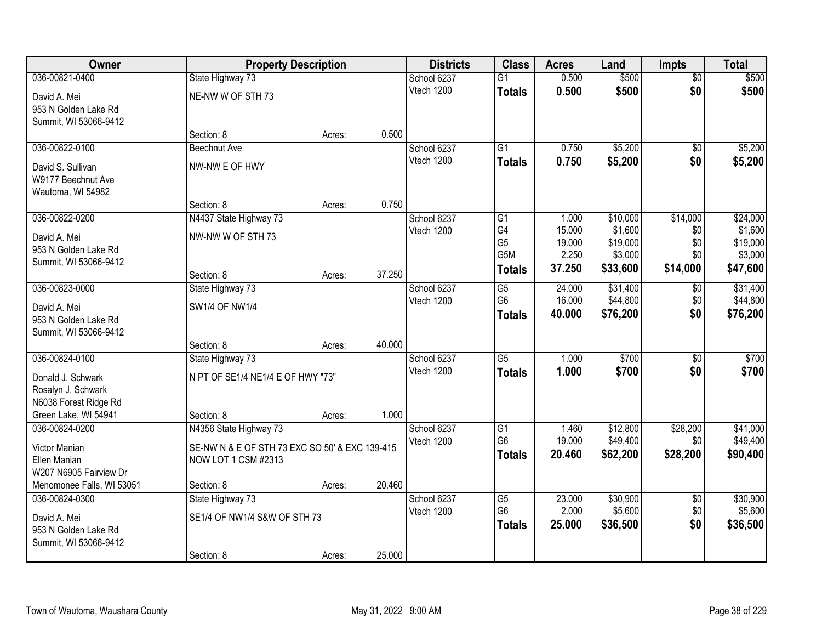| Owner                     |                                                | <b>Property Description</b> |        | <b>Districts</b> | <b>Class</b>          | <b>Acres</b>    | Land                | <b>Impts</b>    | <b>Total</b>        |
|---------------------------|------------------------------------------------|-----------------------------|--------|------------------|-----------------------|-----------------|---------------------|-----------------|---------------------|
| 036-00821-0400            | State Highway 73                               |                             |        | School 6237      | $\overline{G1}$       | 0.500           | \$500               | $\overline{50}$ | \$500               |
| David A. Mei              | NE-NW W OF STH 73                              |                             |        | Vtech 1200       | <b>Totals</b>         | 0.500           | \$500               | \$0             | \$500               |
| 953 N Golden Lake Rd      |                                                |                             |        |                  |                       |                 |                     |                 |                     |
| Summit, WI 53066-9412     |                                                |                             |        |                  |                       |                 |                     |                 |                     |
|                           | Section: 8                                     | Acres:                      | 0.500  |                  |                       |                 |                     |                 |                     |
| 036-00822-0100            | <b>Beechnut Ave</b>                            |                             |        | School 6237      | $\overline{G1}$       | 0.750           | \$5,200             | $\overline{50}$ | \$5,200             |
| David S. Sullivan         | NW-NW E OF HWY                                 |                             |        | Vtech 1200       | <b>Totals</b>         | 0.750           | \$5,200             | \$0             | \$5,200             |
| W9177 Beechnut Ave        |                                                |                             |        |                  |                       |                 |                     |                 |                     |
| Wautoma, WI 54982         |                                                |                             |        |                  |                       |                 |                     |                 |                     |
|                           | Section: 8                                     | Acres:                      | 0.750  |                  |                       |                 |                     |                 |                     |
| 036-00822-0200            | N4437 State Highway 73                         |                             |        | School 6237      | G1                    | 1.000           | \$10,000            | \$14,000        | \$24,000            |
| David A. Mei              | NW-NW W OF STH 73                              |                             |        | Vtech 1200       | G4                    | 15.000          | \$1,600             | \$0             | \$1,600             |
| 953 N Golden Lake Rd      |                                                |                             |        |                  | G <sub>5</sub><br>G5M | 19.000<br>2.250 | \$19,000<br>\$3,000 | \$0<br>\$0      | \$19,000<br>\$3,000 |
| Summit, WI 53066-9412     |                                                |                             |        |                  | <b>Totals</b>         | 37.250          | \$33,600            | \$14,000        | \$47,600            |
|                           | Section: 8                                     | Acres:                      | 37.250 |                  |                       |                 |                     |                 |                     |
| 036-00823-0000            | State Highway 73                               |                             |        | School 6237      | $\overline{G5}$       | 24.000          | \$31,400            | $\sqrt[6]{3}$   | \$31,400            |
| David A. Mei              | <b>SW1/4 OF NW1/4</b>                          |                             |        | Vtech 1200       | G <sub>6</sub>        | 16.000          | \$44,800            | \$0             | \$44,800            |
| 953 N Golden Lake Rd      |                                                |                             |        |                  | <b>Totals</b>         | 40.000          | \$76,200            | \$0             | \$76,200            |
| Summit, WI 53066-9412     |                                                |                             |        |                  |                       |                 |                     |                 |                     |
|                           | Section: 8                                     | Acres:                      | 40.000 |                  |                       |                 |                     |                 |                     |
| 036-00824-0100            | State Highway 73                               |                             |        | School 6237      | $\overline{G5}$       | 1.000           | \$700               | $\overline{50}$ | \$700               |
| Donald J. Schwark         | N PT OF SE1/4 NE1/4 E OF HWY "73"              |                             |        | Vtech 1200       | <b>Totals</b>         | 1.000           | \$700               | \$0             | \$700               |
| Rosalyn J. Schwark        |                                                |                             |        |                  |                       |                 |                     |                 |                     |
| N6038 Forest Ridge Rd     |                                                |                             |        |                  |                       |                 |                     |                 |                     |
| Green Lake, WI 54941      | Section: 8                                     | Acres:                      | 1.000  |                  |                       |                 |                     |                 |                     |
| 036-00824-0200            | N4356 State Highway 73                         |                             |        | School 6237      | $\overline{G1}$       | 1.460           | \$12,800            | \$28,200        | \$41,000            |
| Victor Manian             | SE-NW N & E OF STH 73 EXC SO 50' & EXC 139-415 |                             |        | Vtech 1200       | G <sub>6</sub>        | 19.000          | \$49,400            | \$0             | \$49,400            |
| Ellen Manian              | NOW LOT 1 CSM #2313                            |                             |        |                  | <b>Totals</b>         | 20.460          | \$62,200            | \$28,200        | \$90,400            |
| W207 N6905 Fairview Dr    |                                                |                             |        |                  |                       |                 |                     |                 |                     |
| Menomonee Falls, WI 53051 | Section: 8                                     | Acres:                      | 20.460 |                  |                       |                 |                     |                 |                     |
| 036-00824-0300            | State Highway 73                               |                             |        | School 6237      | $\overline{G5}$       | 23.000          | \$30,900            | $\overline{50}$ | \$30,900            |
| David A. Mei              | SE1/4 OF NW1/4 S&W OF STH 73                   |                             |        | Vtech 1200       | G <sub>6</sub>        | 2.000           | \$5,600             | \$0             | \$5,600             |
| 953 N Golden Lake Rd      |                                                |                             |        |                  | <b>Totals</b>         | 25.000          | \$36,500            | \$0             | \$36,500            |
| Summit, WI 53066-9412     |                                                |                             |        |                  |                       |                 |                     |                 |                     |
|                           | Section: 8                                     | Acres:                      | 25.000 |                  |                       |                 |                     |                 |                     |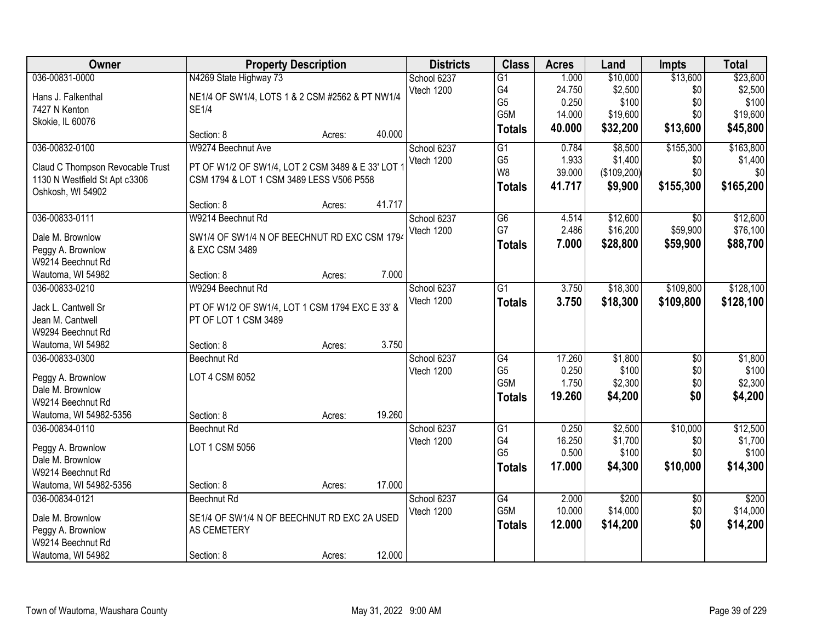| Owner                                  | <b>Property Description</b>                                    |        |        | <b>Districts</b> | <b>Class</b>    | <b>Acres</b> | Land        | <b>Impts</b>    | <b>Total</b> |
|----------------------------------------|----------------------------------------------------------------|--------|--------|------------------|-----------------|--------------|-------------|-----------------|--------------|
| 036-00831-0000                         | N4269 State Highway 73                                         |        |        | School 6237      | $\overline{G1}$ | 1.000        | \$10,000    | \$13,600        | \$23,600     |
| Hans J. Falkenthal                     | NE1/4 OF SW1/4, LOTS 1 & 2 CSM #2562 & PT NW1/4                |        |        | Vtech 1200       | G4              | 24.750       | \$2,500     | \$0             | \$2,500      |
| 7427 N Kenton                          | <b>SE1/4</b>                                                   |        |        |                  | G <sub>5</sub>  | 0.250        | \$100       | \$0             | \$100        |
| Skokie, IL 60076                       |                                                                |        |        |                  | G5M             | 14.000       | \$19,600    | \$0             | \$19,600     |
|                                        | Section: 8                                                     | Acres: | 40.000 |                  | <b>Totals</b>   | 40.000       | \$32,200    | \$13,600        | \$45,800     |
| 036-00832-0100                         | W9274 Beechnut Ave                                             |        |        | School 6237      | $\overline{G1}$ | 0.784        | \$8,500     | \$155,300       | \$163,800    |
| Claud C Thompson Revocable Trust       | PT OF W1/2 OF SW1/4, LOT 2 CSM 3489 & E 33' LOT                |        |        | Vtech 1200       | G <sub>5</sub>  | 1.933        | \$1,400     | \$0             | \$1,400      |
| 1130 N Westfield St Apt c3306          | CSM 1794 & LOT 1 CSM 3489 LESS V506 P558                       |        |        |                  | W <sub>8</sub>  | 39.000       | (\$109,200) | \$0             | \$0          |
| Oshkosh, WI 54902                      |                                                                |        |        |                  | <b>Totals</b>   | 41.717       | \$9,900     | \$155,300       | \$165,200    |
|                                        | Section: 8                                                     | Acres: | 41.717 |                  |                 |              |             |                 |              |
| 036-00833-0111                         | W9214 Beechnut Rd                                              |        |        | School 6237      | G6              | 4.514        | \$12,600    | \$0             | \$12,600     |
| Dale M. Brownlow                       |                                                                |        |        | Vtech 1200       | G7              | 2.486        | \$16,200    | \$59,900        | \$76,100     |
|                                        | SW1/4 OF SW1/4 N OF BEECHNUT RD EXC CSM 1794<br>& EXC CSM 3489 |        |        |                  | <b>Totals</b>   | 7.000        | \$28,800    | \$59,900        | \$88,700     |
| Peggy A. Brownlow<br>W9214 Beechnut Rd |                                                                |        |        |                  |                 |              |             |                 |              |
| Wautoma, WI 54982                      | Section: 8                                                     | Acres: | 7.000  |                  |                 |              |             |                 |              |
| 036-00833-0210                         | W9294 Beechnut Rd                                              |        |        | School 6237      | $\overline{G1}$ | 3.750        | \$18,300    | \$109,800       | \$128,100    |
|                                        |                                                                |        |        | Vtech 1200       | <b>Totals</b>   | 3.750        | \$18,300    | \$109,800       | \$128,100    |
| Jack L. Cantwell Sr                    | PT OF W1/2 OF SW1/4, LOT 1 CSM 1794 EXC E 33' &                |        |        |                  |                 |              |             |                 |              |
| Jean M. Cantwell                       | PT OF LOT 1 CSM 3489                                           |        |        |                  |                 |              |             |                 |              |
| W9294 Beechnut Rd                      |                                                                |        |        |                  |                 |              |             |                 |              |
| Wautoma, WI 54982                      | Section: 8                                                     | Acres: | 3.750  |                  |                 |              |             |                 |              |
| 036-00833-0300                         | Beechnut Rd                                                    |        |        | School 6237      | G4              | 17.260       | \$1,800     | $\overline{50}$ | \$1,800      |
| Peggy A. Brownlow                      | LOT 4 CSM 6052                                                 |        |        | Vtech 1200       | G <sub>5</sub>  | 0.250        | \$100       | \$0             | \$100        |
| Dale M. Brownlow                       |                                                                |        |        |                  | G5M             | 1.750        | \$2,300     | \$0             | \$2,300      |
| W9214 Beechnut Rd                      |                                                                |        |        |                  | <b>Totals</b>   | 19.260       | \$4,200     | \$0             | \$4,200      |
| Wautoma, WI 54982-5356                 | Section: 8                                                     | Acres: | 19.260 |                  |                 |              |             |                 |              |
| 036-00834-0110                         | Beechnut Rd                                                    |        |        | School 6237      | $\overline{G1}$ | 0.250        | \$2,500     | \$10,000        | \$12,500     |
| Peggy A. Brownlow                      | LOT 1 CSM 5056                                                 |        |        | Vtech 1200       | G4              | 16.250       | \$1,700     | \$0             | \$1,700      |
| Dale M. Brownlow                       |                                                                |        |        |                  | G <sub>5</sub>  | 0.500        | \$100       | \$0             | \$100        |
| W9214 Beechnut Rd                      |                                                                |        |        |                  | <b>Totals</b>   | 17.000       | \$4,300     | \$10,000        | \$14,300     |
| Wautoma, WI 54982-5356                 | Section: 8                                                     | Acres: | 17.000 |                  |                 |              |             |                 |              |
| 036-00834-0121                         | Beechnut Rd                                                    |        |        | School 6237      | G4              | 2.000        | \$200       | $\overline{60}$ | \$200        |
|                                        |                                                                |        |        | Vtech 1200       | G5M             | 10.000       | \$14,000    | \$0             | \$14,000     |
| Dale M. Brownlow                       | SE1/4 OF SW1/4 N OF BEECHNUT RD EXC 2A USED                    |        |        |                  | <b>Totals</b>   | 12.000       | \$14,200    | \$0             | \$14,200     |
| Peggy A. Brownlow                      | AS CEMETERY                                                    |        |        |                  |                 |              |             |                 |              |
| W9214 Beechnut Rd                      |                                                                |        |        |                  |                 |              |             |                 |              |
| Wautoma, WI 54982                      | Section: 8                                                     | Acres: | 12.000 |                  |                 |              |             |                 |              |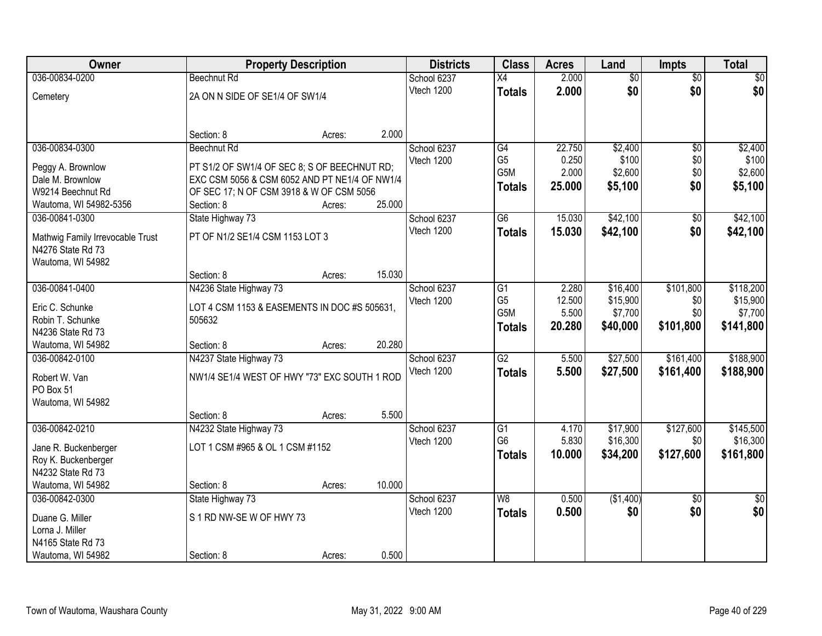| Owner                                                 |                                               | <b>Property Description</b> |        | <b>Districts</b> | <b>Class</b>    | <b>Acres</b> | Land            | <b>Impts</b>    | <b>Total</b>    |
|-------------------------------------------------------|-----------------------------------------------|-----------------------------|--------|------------------|-----------------|--------------|-----------------|-----------------|-----------------|
| 036-00834-0200                                        | <b>Beechnut Rd</b>                            |                             |        | School 6237      | $\overline{X4}$ | 2.000        | $\overline{50}$ | $\overline{50}$ | $\sqrt{50}$     |
| Cemetery                                              | 2A ON N SIDE OF SE1/4 OF SW1/4                |                             |        | Vtech 1200       | <b>Totals</b>   | 2.000        | \$0             | \$0             | \$0             |
|                                                       |                                               |                             |        |                  |                 |              |                 |                 |                 |
|                                                       | Section: 8                                    | Acres:                      | 2.000  |                  |                 |              |                 |                 |                 |
| 036-00834-0300                                        | Beechnut Rd                                   |                             |        | School 6237      | G4              | 22.750       | \$2,400         | $\overline{50}$ | \$2,400         |
| Peggy A. Brownlow                                     | PT S1/2 OF SW1/4 OF SEC 8; S OF BEECHNUT RD;  |                             |        | Vtech 1200       | G <sub>5</sub>  | 0.250        | \$100           | \$0             | \$100           |
| Dale M. Brownlow                                      | EXC CSM 5056 & CSM 6052 AND PT NE1/4 OF NW1/4 |                             |        |                  | G5M             | 2.000        | \$2,600         | \$0             | \$2,600         |
| W9214 Beechnut Rd                                     | OF SEC 17; N OF CSM 3918 & W OF CSM 5056      |                             |        |                  | <b>Totals</b>   | 25.000       | \$5,100         | \$0             | \$5,100         |
| Wautoma, WI 54982-5356                                | Section: 8                                    | Acres:                      | 25.000 |                  |                 |              |                 |                 |                 |
| 036-00841-0300                                        | State Highway 73                              |                             |        | School 6237      | G6              | 15.030       | \$42,100        | \$0             | \$42,100        |
|                                                       | PT OF N1/2 SE1/4 CSM 1153 LOT 3               |                             |        | Vtech 1200       | <b>Totals</b>   | 15.030       | \$42,100        | \$0             | \$42,100        |
| Mathwig Family Irrevocable Trust<br>N4276 State Rd 73 |                                               |                             |        |                  |                 |              |                 |                 |                 |
| Wautoma, WI 54982                                     |                                               |                             |        |                  |                 |              |                 |                 |                 |
|                                                       | Section: 8                                    | Acres:                      | 15.030 |                  |                 |              |                 |                 |                 |
| 036-00841-0400                                        | N4236 State Highway 73                        |                             |        | School 6237      | G1              | 2.280        | \$16,400        | \$101,800       | \$118,200       |
|                                                       |                                               |                             |        | Vtech 1200       | G <sub>5</sub>  | 12.500       | \$15,900        | \$0             | \$15,900        |
| Eric C. Schunke                                       | LOT 4 CSM 1153 & EASEMENTS IN DOC #S 505631,  |                             |        |                  | G5M             | 5.500        | \$7,700         | \$0             | \$7,700         |
| Robin T. Schunke                                      | 505632                                        |                             |        |                  | <b>Totals</b>   | 20.280       | \$40,000        | \$101,800       | \$141,800       |
| N4236 State Rd 73                                     |                                               |                             |        |                  |                 |              |                 |                 |                 |
| Wautoma, WI 54982                                     | Section: 8                                    | Acres:                      | 20.280 |                  |                 |              |                 |                 |                 |
| 036-00842-0100                                        | N4237 State Highway 73                        |                             |        | School 6237      | $\overline{G2}$ | 5.500        | \$27,500        | \$161,400       | \$188,900       |
| Robert W. Van                                         | NW1/4 SE1/4 WEST OF HWY "73" EXC SOUTH 1 ROD  |                             |        | Vtech 1200       | <b>Totals</b>   | 5.500        | \$27,500        | \$161,400       | \$188,900       |
| PO Box 51                                             |                                               |                             |        |                  |                 |              |                 |                 |                 |
| Wautoma, WI 54982                                     |                                               |                             |        |                  |                 |              |                 |                 |                 |
|                                                       | Section: 8                                    | Acres:                      | 5.500  |                  |                 |              |                 |                 |                 |
| 036-00842-0210                                        | N4232 State Highway 73                        |                             |        | School 6237      | $\overline{G1}$ | 4.170        | \$17,900        | \$127,600       | \$145,500       |
| Jane R. Buckenberger                                  | LOT 1 CSM #965 & OL 1 CSM #1152               |                             |        | Vtech 1200       | G <sub>6</sub>  | 5.830        | \$16,300        | \$0             | \$16,300        |
| Roy K. Buckenberger                                   |                                               |                             |        |                  | <b>Totals</b>   | 10.000       | \$34,200        | \$127,600       | \$161,800       |
| N4232 State Rd 73                                     |                                               |                             |        |                  |                 |              |                 |                 |                 |
| Wautoma, WI 54982                                     | Section: 8                                    | Acres:                      | 10.000 |                  |                 |              |                 |                 |                 |
| 036-00842-0300                                        | State Highway 73                              |                             |        | School 6237      | W8              | 0.500        | (\$1,400)       | $\overline{50}$ | $\overline{50}$ |
|                                                       |                                               |                             |        | Vtech 1200       | <b>Totals</b>   | 0.500        | \$0             | \$0             | \$0             |
| Duane G. Miller                                       | S 1 RD NW-SE W OF HWY 73                      |                             |        |                  |                 |              |                 |                 |                 |
| Lorna J. Miller<br>N4165 State Rd 73                  |                                               |                             |        |                  |                 |              |                 |                 |                 |
|                                                       |                                               |                             |        |                  |                 |              |                 |                 |                 |
| Wautoma, WI 54982                                     | Section: 8                                    | Acres:                      | 0.500  |                  |                 |              |                 |                 |                 |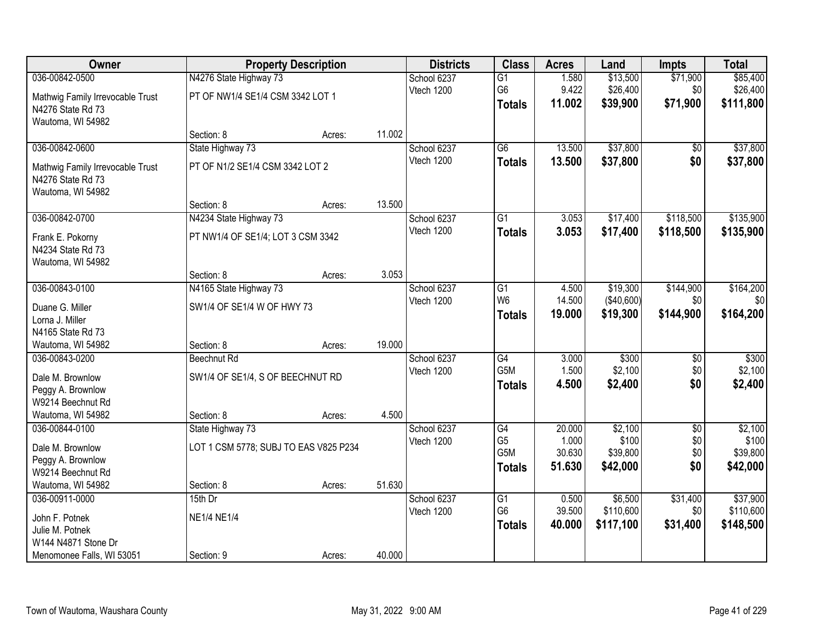| Owner                                                                      |                                       | <b>Property Description</b> |        | <b>Districts</b> | <b>Class</b>                    | <b>Acres</b>    | Land                 | <b>Impts</b>    | <b>Total</b>          |
|----------------------------------------------------------------------------|---------------------------------------|-----------------------------|--------|------------------|---------------------------------|-----------------|----------------------|-----------------|-----------------------|
| 036-00842-0500                                                             | N4276 State Highway 73                |                             |        | School 6237      | $\overline{G1}$                 | 1.580           | \$13,500             | \$71,900        | \$85,400              |
| Mathwig Family Irrevocable Trust<br>N4276 State Rd 73<br>Wautoma, WI 54982 | PT OF NW1/4 SE1/4 CSM 3342 LOT 1      |                             |        | Vtech 1200       | G <sub>6</sub><br><b>Totals</b> | 9.422<br>11.002 | \$26,400<br>\$39,900 | \$0<br>\$71,900 | \$26,400<br>\$111,800 |
|                                                                            | Section: 8                            | Acres:                      | 11.002 |                  |                                 |                 |                      |                 |                       |
| 036-00842-0600                                                             | State Highway 73                      |                             |        | School 6237      | $\overline{G6}$                 | 13.500          | \$37,800             | $\sqrt{$0}$     | \$37,800              |
| Mathwig Family Irrevocable Trust<br>N4276 State Rd 73<br>Wautoma, WI 54982 | PT OF N1/2 SE1/4 CSM 3342 LOT 2       |                             |        | Vtech 1200       | <b>Totals</b>                   | 13.500          | \$37,800             | \$0             | \$37,800              |
|                                                                            | Section: 8                            | Acres:                      | 13.500 |                  |                                 |                 |                      |                 |                       |
| 036-00842-0700                                                             | N4234 State Highway 73                |                             |        | School 6237      | G1                              | 3.053           | \$17,400             | \$118,500       | \$135,900             |
| Frank E. Pokorny<br>N4234 State Rd 73<br>Wautoma, WI 54982                 | PT NW1/4 OF SE1/4; LOT 3 CSM 3342     |                             |        | Vtech 1200       | <b>Totals</b>                   | 3.053           | \$17,400             | \$118,500       | \$135,900             |
|                                                                            | Section: 8                            | Acres:                      | 3.053  |                  |                                 |                 |                      |                 |                       |
| 036-00843-0100                                                             | N4165 State Highway 73                |                             |        | School 6237      | G1                              | 4.500           | \$19,300             | \$144,900       | \$164,200             |
| Duane G. Miller                                                            | SW1/4 OF SE1/4 W OF HWY 73            |                             |        | Vtech 1200       | W <sub>6</sub>                  | 14.500          | (\$40,600)           | \$0             | \$0                   |
| Lorna J. Miller                                                            |                                       |                             |        |                  | <b>Totals</b>                   | 19.000          | \$19,300             | \$144,900       | \$164,200             |
| N4165 State Rd 73                                                          |                                       |                             |        |                  |                                 |                 |                      |                 |                       |
| Wautoma, WI 54982                                                          | Section: 8                            | Acres:                      | 19.000 |                  |                                 |                 |                      |                 |                       |
| 036-00843-0200                                                             | Beechnut Rd                           |                             |        | School 6237      | $\overline{G4}$                 | 3.000           | \$300                | $\overline{50}$ | \$300                 |
| Dale M. Brownlow                                                           | SW1/4 OF SE1/4, S OF BEECHNUT RD      |                             |        | Vtech 1200       | G5M                             | 1.500           | \$2,100              | \$0             | \$2,100               |
| Peggy A. Brownlow                                                          |                                       |                             |        |                  | <b>Totals</b>                   | 4.500           | \$2,400              | \$0             | \$2,400               |
| W9214 Beechnut Rd                                                          |                                       |                             |        |                  |                                 |                 |                      |                 |                       |
| Wautoma, WI 54982                                                          | Section: 8                            | Acres:                      | 4.500  |                  |                                 |                 |                      |                 |                       |
| 036-00844-0100                                                             | State Highway 73                      |                             |        | School 6237      | $\overline{G4}$                 | 20.000          | \$2,100              | $\overline{50}$ | \$2,100               |
| Dale M. Brownlow                                                           | LOT 1 CSM 5778; SUBJ TO EAS V825 P234 |                             |        | Vtech 1200       | G <sub>5</sub>                  | 1.000           | \$100                | \$0             | \$100                 |
| Peggy A. Brownlow                                                          |                                       |                             |        |                  | G <sub>5</sub> M                | 30.630          | \$39,800             | \$0             | \$39,800              |
| W9214 Beechnut Rd                                                          |                                       |                             |        |                  | <b>Totals</b>                   | 51.630          | \$42,000             | \$0             | \$42,000              |
| Wautoma, WI 54982                                                          | Section: 8                            | Acres:                      | 51.630 |                  |                                 |                 |                      |                 |                       |
| 036-00911-0000                                                             | $15th$ Dr                             |                             |        | School 6237      | $\overline{G1}$                 | 0.500           | \$6,500              | \$31,400        | \$37,900              |
| John F. Potnek                                                             | <b>NE1/4 NE1/4</b>                    |                             |        | Vtech 1200       | G <sub>6</sub>                  | 39.500          | \$110,600            | \$0             | \$110,600             |
| Julie M. Potnek                                                            |                                       |                             |        |                  | <b>Totals</b>                   | 40.000          | \$117,100            | \$31,400        | \$148,500             |
| W144 N4871 Stone Dr                                                        |                                       |                             |        |                  |                                 |                 |                      |                 |                       |
| Menomonee Falls, WI 53051                                                  | Section: 9                            | Acres:                      | 40.000 |                  |                                 |                 |                      |                 |                       |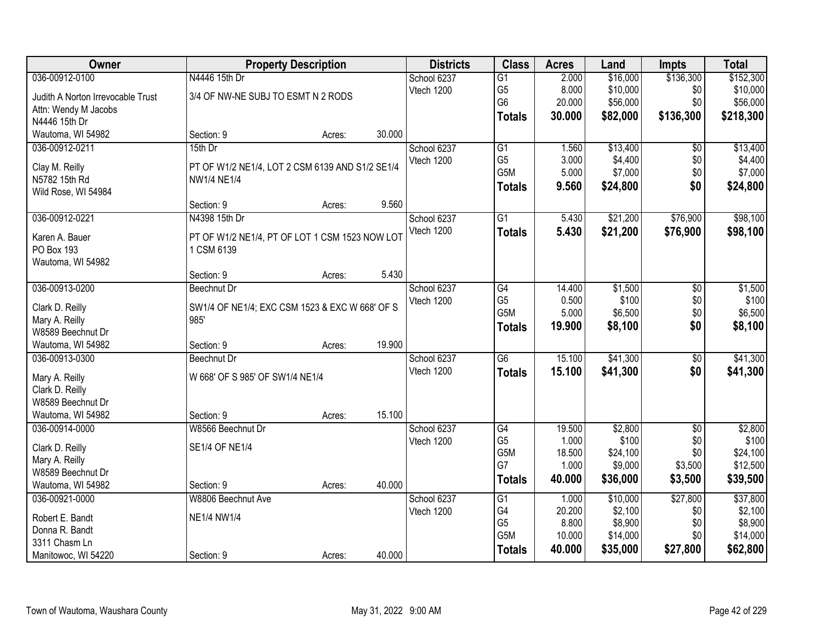| Owner                             |                                                 | <b>Property Description</b> |        | <b>Districts</b> | <b>Class</b>    | <b>Acres</b> | Land     | <b>Impts</b>    | <b>Total</b> |
|-----------------------------------|-------------------------------------------------|-----------------------------|--------|------------------|-----------------|--------------|----------|-----------------|--------------|
| 036-00912-0100                    | N4446 15th Dr                                   |                             |        | School 6237      | $\overline{G1}$ | 2.000        | \$16,000 | \$136,300       | \$152,300    |
| Judith A Norton Irrevocable Trust | 3/4 OF NW-NE SUBJ TO ESMT N 2 RODS              |                             |        | Vtech 1200       | G <sub>5</sub>  | 8.000        | \$10,000 | \$0             | \$10,000     |
| Attn: Wendy M Jacobs              |                                                 |                             |        |                  | G <sub>6</sub>  | 20.000       | \$56,000 | \$0             | \$56,000     |
| N4446 15th Dr                     |                                                 |                             |        |                  | <b>Totals</b>   | 30.000       | \$82,000 | \$136,300       | \$218,300    |
| Wautoma, WI 54982                 | Section: 9                                      | Acres:                      | 30.000 |                  |                 |              |          |                 |              |
| 036-00912-0211                    | 15th Dr                                         |                             |        | School 6237      | $\overline{G1}$ | 1.560        | \$13,400 | \$0             | \$13,400     |
|                                   |                                                 |                             |        | Vtech 1200       | G <sub>5</sub>  | 3.000        | \$4,400  | \$0             | \$4,400      |
| Clay M. Reilly                    | PT OF W1/2 NE1/4, LOT 2 CSM 6139 AND S1/2 SE1/4 |                             |        |                  | G5M             | 5.000        | \$7,000  | \$0             | \$7,000      |
| N5782 15th Rd                     | <b>NW1/4 NE1/4</b>                              |                             |        |                  | <b>Totals</b>   | 9.560        | \$24,800 | \$0             | \$24,800     |
| Wild Rose, WI 54984               |                                                 |                             | 9.560  |                  |                 |              |          |                 |              |
|                                   | Section: 9                                      | Acres:                      |        |                  |                 |              |          |                 |              |
| 036-00912-0221                    | N4398 15th Dr                                   |                             |        | School 6237      | $\overline{G1}$ | 5.430        | \$21,200 | \$76,900        | \$98,100     |
| Karen A. Bauer                    | PT OF W1/2 NE1/4, PT OF LOT 1 CSM 1523 NOW LOT  |                             |        | Vtech 1200       | <b>Totals</b>   | 5.430        | \$21,200 | \$76,900        | \$98,100     |
| PO Box 193                        | 1 CSM 6139                                      |                             |        |                  |                 |              |          |                 |              |
| Wautoma, WI 54982                 |                                                 |                             |        |                  |                 |              |          |                 |              |
|                                   | Section: 9                                      | Acres:                      | 5.430  |                  |                 |              |          |                 |              |
| 036-00913-0200                    | Beechnut Dr                                     |                             |        | School 6237      | G4              | 14.400       | \$1,500  | \$0             | \$1,500      |
| Clark D. Reilly                   | SW1/4 OF NE1/4; EXC CSM 1523 & EXC W 668' OF S  |                             |        | Vtech 1200       | G <sub>5</sub>  | 0.500        | \$100    | \$0             | \$100        |
| Mary A. Reilly                    | 985'                                            |                             |        |                  | G5M             | 5.000        | \$6,500  | \$0             | \$6,500      |
| W8589 Beechnut Dr                 |                                                 |                             |        |                  | <b>Totals</b>   | 19.900       | \$8,100  | \$0             | \$8,100      |
| Wautoma, WI 54982                 | Section: 9                                      | Acres:                      | 19.900 |                  |                 |              |          |                 |              |
| 036-00913-0300                    | <b>Beechnut Dr</b>                              |                             |        | School 6237      | $\overline{G6}$ | 15.100       | \$41,300 | $\overline{50}$ | \$41,300     |
|                                   |                                                 |                             |        | Vtech 1200       | <b>Totals</b>   | 15.100       | \$41,300 | \$0             | \$41,300     |
| Mary A. Reilly                    | W 668' OF S 985' OF SW1/4 NE1/4                 |                             |        |                  |                 |              |          |                 |              |
| Clark D. Reilly                   |                                                 |                             |        |                  |                 |              |          |                 |              |
| W8589 Beechnut Dr                 |                                                 |                             |        |                  |                 |              |          |                 |              |
| Wautoma, WI 54982                 | Section: 9                                      | Acres:                      | 15.100 |                  |                 |              |          |                 |              |
| 036-00914-0000                    | W8566 Beechnut Dr                               |                             |        | School 6237      | G4              | 19.500       | \$2,800  | $\sqrt{6}$      | \$2,800      |
| Clark D. Reilly                   | <b>SE1/4 OF NE1/4</b>                           |                             |        | Vtech 1200       | G <sub>5</sub>  | 1.000        | \$100    | \$0             | \$100        |
| Mary A. Reilly                    |                                                 |                             |        |                  | G5M             | 18.500       | \$24,100 | \$0             | \$24,100     |
| W8589 Beechnut Dr                 |                                                 |                             |        |                  | G7              | 1.000        | \$9,000  | \$3,500         | \$12,500     |
| Wautoma, WI 54982                 | Section: 9                                      | Acres:                      | 40.000 |                  | <b>Totals</b>   | 40.000       | \$36,000 | \$3,500         | \$39,500     |
| 036-00921-0000                    | W8806 Beechnut Ave                              |                             |        | School 6237      | G1              | 1.000        | \$10,000 | \$27,800        | \$37,800     |
|                                   |                                                 |                             |        | Vtech 1200       | G4              | 20.200       | \$2,100  | \$0             | \$2,100      |
| Robert E. Bandt                   | NE1/4 NW1/4                                     |                             |        |                  | G <sub>5</sub>  | 8.800        | \$8,900  | \$0             | \$8,900      |
| Donna R. Bandt                    |                                                 |                             |        |                  | G5M             | 10.000       | \$14,000 | \$0             | \$14,000     |
| 3311 Chasm Ln                     |                                                 |                             |        |                  | <b>Totals</b>   | 40.000       | \$35,000 | \$27,800        | \$62,800     |
| Manitowoc, WI 54220               | Section: 9                                      | Acres:                      | 40.000 |                  |                 |              |          |                 |              |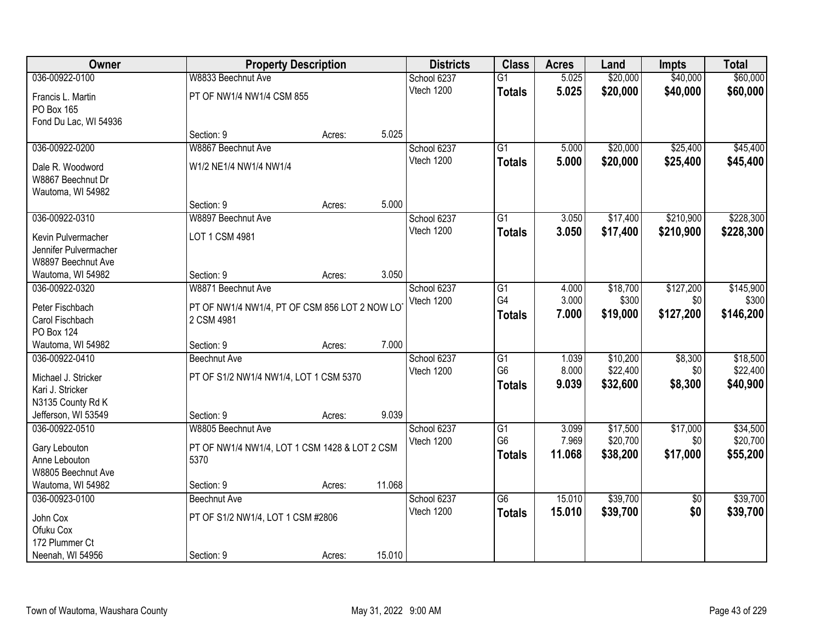| Owner                 |                                               | <b>Property Description</b> |        | <b>Districts</b> | <b>Class</b>    | <b>Acres</b> | Land     | <b>Impts</b>    | <b>Total</b> |
|-----------------------|-----------------------------------------------|-----------------------------|--------|------------------|-----------------|--------------|----------|-----------------|--------------|
| 036-00922-0100        | W8833 Beechnut Ave                            |                             |        | School 6237      | $\overline{G1}$ | 5.025        | \$20,000 | \$40,000        | \$60,000     |
| Francis L. Martin     | PT OF NW1/4 NW1/4 CSM 855                     |                             |        | Vtech 1200       | <b>Totals</b>   | 5.025        | \$20,000 | \$40,000        | \$60,000     |
| PO Box 165            |                                               |                             |        |                  |                 |              |          |                 |              |
| Fond Du Lac, WI 54936 |                                               |                             |        |                  |                 |              |          |                 |              |
|                       | Section: 9                                    | Acres:                      | 5.025  |                  |                 |              |          |                 |              |
| 036-00922-0200        | W8867 Beechnut Ave                            |                             |        | School 6237      | G1              | 5.000        | \$20,000 | \$25,400        | \$45,400     |
| Dale R. Woodword      | W1/2 NE1/4 NW1/4 NW1/4                        |                             |        | Vtech 1200       | <b>Totals</b>   | 5.000        | \$20,000 | \$25,400        | \$45,400     |
| W8867 Beechnut Dr     |                                               |                             |        |                  |                 |              |          |                 |              |
| Wautoma, WI 54982     |                                               |                             |        |                  |                 |              |          |                 |              |
|                       | Section: 9                                    | Acres:                      | 5.000  |                  |                 |              |          |                 |              |
| 036-00922-0310        | W8897 Beechnut Ave                            |                             |        | School 6237      | $\overline{G1}$ | 3.050        | \$17,400 | \$210,900       | \$228,300    |
| Kevin Pulvermacher    | LOT 1 CSM 4981                                |                             |        | Vtech 1200       | <b>Totals</b>   | 3.050        | \$17,400 | \$210,900       | \$228,300    |
| Jennifer Pulvermacher |                                               |                             |        |                  |                 |              |          |                 |              |
| W8897 Beechnut Ave    |                                               |                             |        |                  |                 |              |          |                 |              |
| Wautoma, WI 54982     | Section: 9                                    | Acres:                      | 3.050  |                  |                 |              |          |                 |              |
| 036-00922-0320        | W8871 Beechnut Ave                            |                             |        | School 6237      | G1              | 4.000        | \$18,700 | \$127,200       | \$145,900    |
| Peter Fischbach       | PT OF NW1/4 NW1/4, PT OF CSM 856 LOT 2 NOW LO |                             |        | Vtech 1200       | G4              | 3.000        | \$300    | \$0             | \$300        |
| Carol Fischbach       | 2 CSM 4981                                    |                             |        |                  | <b>Totals</b>   | 7.000        | \$19,000 | \$127,200       | \$146,200    |
| <b>PO Box 124</b>     |                                               |                             |        |                  |                 |              |          |                 |              |
| Wautoma, WI 54982     | Section: 9                                    | Acres:                      | 7.000  |                  |                 |              |          |                 |              |
| 036-00922-0410        | <b>Beechnut Ave</b>                           |                             |        | School 6237      | G1              | 1.039        | \$10,200 | \$8,300         | \$18,500     |
| Michael J. Stricker   | PT OF S1/2 NW1/4 NW1/4, LOT 1 CSM 5370        |                             |        | Vtech 1200       | G <sub>6</sub>  | 8.000        | \$22,400 | \$0             | \$22,400     |
| Kari J. Stricker      |                                               |                             |        |                  | <b>Totals</b>   | 9.039        | \$32,600 | \$8,300         | \$40,900     |
| N3135 County Rd K     |                                               |                             |        |                  |                 |              |          |                 |              |
| Jefferson, WI 53549   | Section: 9                                    | Acres:                      | 9.039  |                  |                 |              |          |                 |              |
| 036-00922-0510        | W8805 Beechnut Ave                            |                             |        | School 6237      | $\overline{G1}$ | 3.099        | \$17,500 | \$17,000        | \$34,500     |
| Gary Lebouton         | PT OF NW1/4 NW1/4, LOT 1 CSM 1428 & LOT 2 CSM |                             |        | Vtech 1200       | G <sub>6</sub>  | 7.969        | \$20,700 | \$0             | \$20,700     |
| Anne Lebouton         | 5370                                          |                             |        |                  | <b>Totals</b>   | 11.068       | \$38,200 | \$17,000        | \$55,200     |
| W8805 Beechnut Ave    |                                               |                             |        |                  |                 |              |          |                 |              |
| Wautoma, WI 54982     | Section: 9                                    | Acres:                      | 11.068 |                  |                 |              |          |                 |              |
| 036-00923-0100        | Beechnut Ave                                  |                             |        | School 6237      | $\overline{G6}$ | 15.010       | \$39,700 | $\overline{30}$ | \$39,700     |
| John Cox              | PT OF S1/2 NW1/4, LOT 1 CSM #2806             |                             |        | Vtech 1200       | <b>Totals</b>   | 15.010       | \$39,700 | \$0             | \$39,700     |
| Ofuku Cox             |                                               |                             |        |                  |                 |              |          |                 |              |
| 172 Plummer Ct        |                                               |                             |        |                  |                 |              |          |                 |              |
| Neenah, WI 54956      | Section: 9                                    | Acres:                      | 15.010 |                  |                 |              |          |                 |              |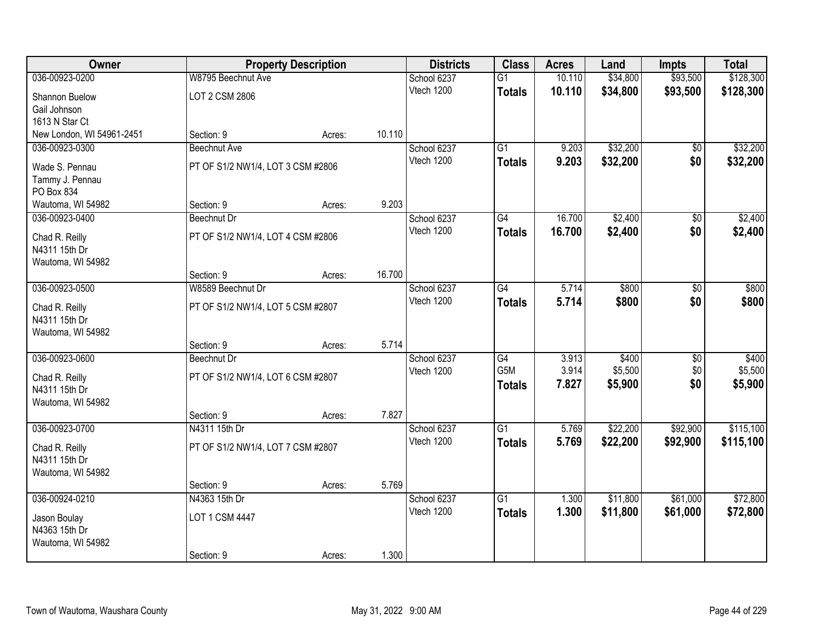| Owner                              |                                   | <b>Property Description</b> |        | <b>Districts</b>          | <b>Class</b>    | <b>Acres</b> | Land     | <b>Impts</b>    | <b>Total</b> |
|------------------------------------|-----------------------------------|-----------------------------|--------|---------------------------|-----------------|--------------|----------|-----------------|--------------|
| 036-00923-0200                     | W8795 Beechnut Ave                |                             |        | School 6237               | $\overline{G1}$ | 10.110       | \$34,800 | \$93,500        | \$128,300    |
| Shannon Buelow                     | LOT 2 CSM 2806                    |                             |        | Vtech 1200                | <b>Totals</b>   | 10.110       | \$34,800 | \$93,500        | \$128,300    |
| Gail Johnson                       |                                   |                             |        |                           |                 |              |          |                 |              |
| 1613 N Star Ct                     |                                   |                             |        |                           |                 |              |          |                 |              |
| New London, WI 54961-2451          | Section: 9                        | Acres:                      | 10.110 |                           |                 |              |          |                 |              |
| 036-00923-0300                     | <b>Beechnut Ave</b>               |                             |        | School 6237               | $\overline{G1}$ | 9.203        | \$32,200 | \$0             | \$32,200     |
| Wade S. Pennau                     | PT OF S1/2 NW1/4, LOT 3 CSM #2806 |                             |        | Vtech 1200                | <b>Totals</b>   | 9.203        | \$32,200 | \$0             | \$32,200     |
| Tammy J. Pennau                    |                                   |                             |        |                           |                 |              |          |                 |              |
| PO Box 834                         |                                   |                             |        |                           |                 |              |          |                 |              |
| Wautoma, WI 54982                  | Section: 9                        | Acres:                      | 9.203  |                           |                 |              |          |                 |              |
| 036-00923-0400                     | Beechnut Dr                       |                             |        | School 6237<br>Vtech 1200 | G4              | 16.700       | \$2,400  | \$0             | \$2,400      |
| Chad R. Reilly                     | PT OF S1/2 NW1/4, LOT 4 CSM #2806 |                             |        |                           | <b>Totals</b>   | 16.700       | \$2,400  | \$0             | \$2,400      |
| N4311 15th Dr                      |                                   |                             |        |                           |                 |              |          |                 |              |
| Wautoma, WI 54982                  | Section: 9                        |                             | 16.700 |                           |                 |              |          |                 |              |
| 036-00923-0500                     | W8589 Beechnut Dr                 | Acres:                      |        | School 6237               | G4              | 5.714        | \$800    | \$0             | \$800        |
|                                    |                                   |                             |        | Vtech 1200                | <b>Totals</b>   | 5.714        | \$800    | \$0             | \$800        |
| Chad R. Reilly                     | PT OF S1/2 NW1/4, LOT 5 CSM #2807 |                             |        |                           |                 |              |          |                 |              |
| N4311 15th Dr<br>Wautoma, WI 54982 |                                   |                             |        |                           |                 |              |          |                 |              |
|                                    | Section: 9                        | Acres:                      | 5.714  |                           |                 |              |          |                 |              |
| 036-00923-0600                     | <b>Beechnut Dr</b>                |                             |        | School 6237               | G4              | 3.913        | \$400    | $\overline{50}$ | \$400        |
|                                    |                                   |                             |        | Vtech 1200                | G5M             | 3.914        | \$5,500  | \$0             | \$5,500      |
| Chad R. Reilly<br>N4311 15th Dr    | PT OF S1/2 NW1/4, LOT 6 CSM #2807 |                             |        |                           | <b>Totals</b>   | 7.827        | \$5,900  | \$0             | \$5,900      |
| Wautoma, WI 54982                  |                                   |                             |        |                           |                 |              |          |                 |              |
|                                    | Section: 9                        | Acres:                      | 7.827  |                           |                 |              |          |                 |              |
| 036-00923-0700                     | N4311 15th Dr                     |                             |        | School 6237               | $\overline{G1}$ | 5.769        | \$22,200 | \$92,900        | \$115,100    |
| Chad R. Reilly                     | PT OF S1/2 NW1/4, LOT 7 CSM #2807 |                             |        | Vtech 1200                | <b>Totals</b>   | 5.769        | \$22,200 | \$92,900        | \$115,100    |
| N4311 15th Dr                      |                                   |                             |        |                           |                 |              |          |                 |              |
| Wautoma, WI 54982                  |                                   |                             |        |                           |                 |              |          |                 |              |
|                                    | Section: 9                        | Acres:                      | 5.769  |                           |                 |              |          |                 |              |
| 036-00924-0210                     | N4363 15th Dr                     |                             |        | School 6237               | $\overline{G1}$ | 1.300        | \$11,800 | \$61,000        | \$72,800     |
| Jason Boulay                       | LOT 1 CSM 4447                    |                             |        | Vtech 1200                | <b>Totals</b>   | 1.300        | \$11,800 | \$61,000        | \$72,800     |
| N4363 15th Dr                      |                                   |                             |        |                           |                 |              |          |                 |              |
| Wautoma, WI 54982                  |                                   |                             |        |                           |                 |              |          |                 |              |
|                                    | Section: 9                        | Acres:                      | 1.300  |                           |                 |              |          |                 |              |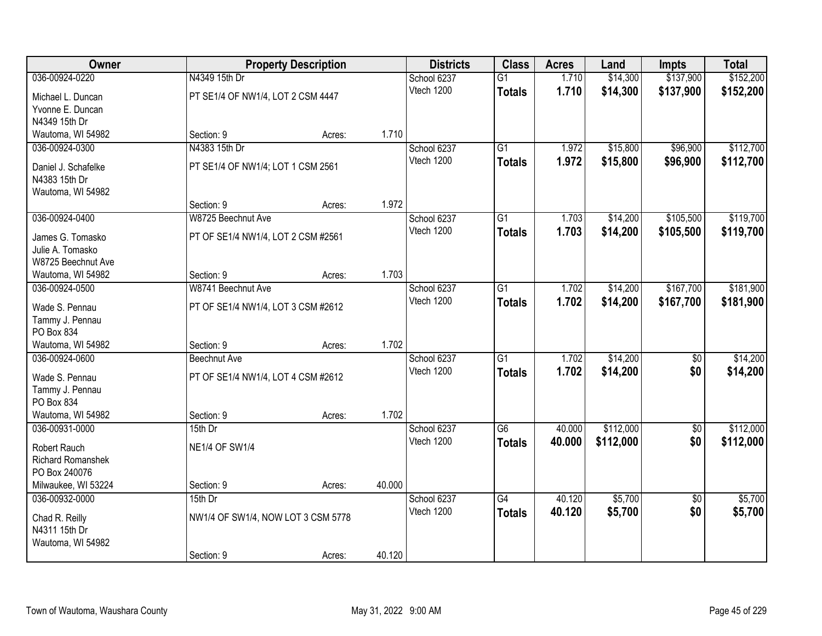| Owner                           |                                    | <b>Property Description</b> |        | <b>Districts</b> | <b>Class</b>    | <b>Acres</b> | Land      | <b>Impts</b>    | <b>Total</b> |
|---------------------------------|------------------------------------|-----------------------------|--------|------------------|-----------------|--------------|-----------|-----------------|--------------|
| 036-00924-0220                  | N4349 15th Dr                      |                             |        | School 6237      | $\overline{G1}$ | 1.710        | \$14,300  | \$137,900       | \$152,200    |
| Michael L. Duncan               | PT SE1/4 OF NW1/4, LOT 2 CSM 4447  |                             |        | Vtech 1200       | <b>Totals</b>   | 1.710        | \$14,300  | \$137,900       | \$152,200    |
| Yvonne E. Duncan                |                                    |                             |        |                  |                 |              |           |                 |              |
| N4349 15th Dr                   |                                    |                             |        |                  |                 |              |           |                 |              |
| Wautoma, WI 54982               | Section: 9                         | Acres:                      | 1.710  |                  |                 |              |           |                 |              |
| 036-00924-0300                  | N4383 15th Dr                      |                             |        | School 6237      | $\overline{G1}$ | 1.972        | \$15,800  | \$96,900        | \$112,700    |
| Daniel J. Schafelke             | PT SE1/4 OF NW1/4; LOT 1 CSM 2561  |                             |        | Vtech 1200       | <b>Totals</b>   | 1.972        | \$15,800  | \$96,900        | \$112,700    |
| N4383 15th Dr                   |                                    |                             |        |                  |                 |              |           |                 |              |
| Wautoma, WI 54982               |                                    |                             |        |                  |                 |              |           |                 |              |
|                                 | Section: 9                         | Acres:                      | 1.972  |                  |                 |              |           |                 |              |
| 036-00924-0400                  | W8725 Beechnut Ave                 |                             |        | School 6237      | G1              | 1.703        | \$14,200  | \$105,500       | \$119,700    |
| James G. Tomasko                | PT OF SE1/4 NW1/4, LOT 2 CSM #2561 |                             |        | Vtech 1200       | <b>Totals</b>   | 1.703        | \$14,200  | \$105,500       | \$119,700    |
| Julie A. Tomasko                |                                    |                             |        |                  |                 |              |           |                 |              |
| W8725 Beechnut Ave              |                                    |                             |        |                  |                 |              |           |                 |              |
| Wautoma, WI 54982               | Section: 9                         | Acres:                      | 1.703  |                  |                 |              |           |                 |              |
| 036-00924-0500                  | W8741 Beechnut Ave                 |                             |        | School 6237      | G1              | 1.702        | \$14,200  | \$167,700       | \$181,900    |
| Wade S. Pennau                  | PT OF SE1/4 NW1/4, LOT 3 CSM #2612 |                             |        | Vtech 1200       | <b>Totals</b>   | 1.702        | \$14,200  | \$167,700       | \$181,900    |
| Tammy J. Pennau                 |                                    |                             |        |                  |                 |              |           |                 |              |
| PO Box 834                      |                                    |                             |        |                  |                 |              |           |                 |              |
| Wautoma, WI 54982               | Section: 9                         | Acres:                      | 1.702  |                  |                 |              |           |                 |              |
| 036-00924-0600                  | Beechnut Ave                       |                             |        | School 6237      | $\overline{G1}$ | 1.702        | \$14,200  | $\overline{50}$ | \$14,200     |
| Wade S. Pennau                  | PT OF SE1/4 NW1/4, LOT 4 CSM #2612 |                             |        | Vtech 1200       | <b>Totals</b>   | 1.702        | \$14,200  | \$0             | \$14,200     |
| Tammy J. Pennau                 |                                    |                             |        |                  |                 |              |           |                 |              |
| PO Box 834                      |                                    |                             |        |                  |                 |              |           |                 |              |
| Wautoma, WI 54982               | Section: 9                         | Acres:                      | 1.702  |                  |                 |              |           |                 |              |
| 036-00931-0000                  | $15th$ Dr                          |                             |        | School 6237      | G6              | 40.000       | \$112,000 | $\overline{50}$ | \$112,000    |
| <b>Robert Rauch</b>             | <b>NE1/4 OF SW1/4</b>              |                             |        | Vtech 1200       | <b>Totals</b>   | 40.000       | \$112,000 | \$0             | \$112,000    |
| <b>Richard Romanshek</b>        |                                    |                             |        |                  |                 |              |           |                 |              |
| PO Box 240076                   |                                    |                             |        |                  |                 |              |           |                 |              |
| Milwaukee, WI 53224             | Section: 9                         | Acres:                      | 40.000 |                  |                 |              |           |                 |              |
| 036-00932-0000                  | $15th$ Dr                          |                             |        | School 6237      | $\overline{G4}$ | 40.120       | \$5,700   | $\overline{50}$ | \$5,700      |
|                                 |                                    |                             |        | Vtech 1200       | <b>Totals</b>   | 40.120       | \$5,700   | \$0             | \$5,700      |
| Chad R. Reilly<br>N4311 15th Dr | NW1/4 OF SW1/4, NOW LOT 3 CSM 5778 |                             |        |                  |                 |              |           |                 |              |
| Wautoma, WI 54982               |                                    |                             |        |                  |                 |              |           |                 |              |
|                                 | Section: 9                         | Acres:                      | 40.120 |                  |                 |              |           |                 |              |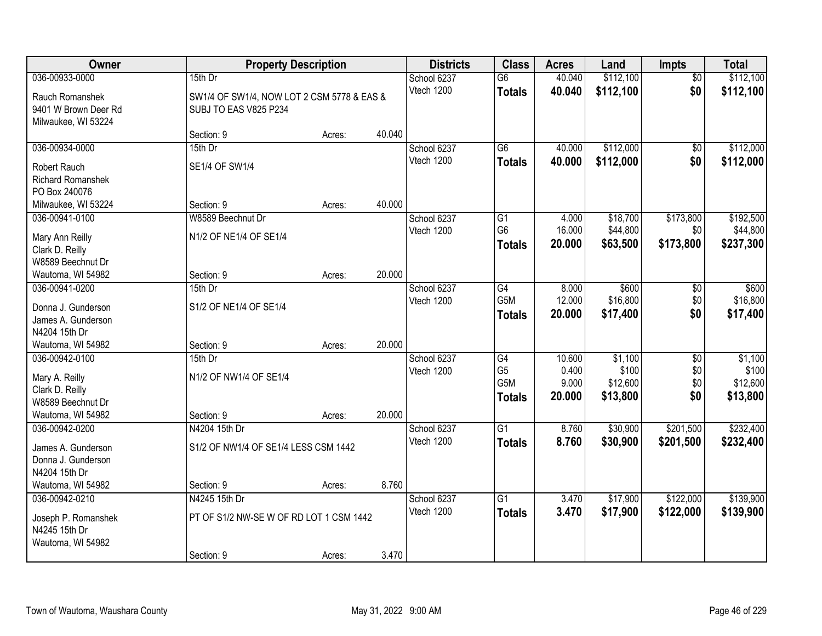| Owner                                                                                         | <b>Property Description</b>                                            |        |        | <b>Districts</b>          | <b>Class</b>                                 | <b>Acres</b>                       | Land                                     | <b>Impts</b>                  | <b>Total</b>                             |
|-----------------------------------------------------------------------------------------------|------------------------------------------------------------------------|--------|--------|---------------------------|----------------------------------------------|------------------------------------|------------------------------------------|-------------------------------|------------------------------------------|
| 036-00933-0000                                                                                | 15th Dr                                                                |        |        | School 6237               | $\overline{G6}$                              | 40.040                             | \$112,100                                | $\overline{50}$               | \$112,100                                |
| Rauch Romanshek<br>9401 W Brown Deer Rd<br>Milwaukee, WI 53224                                | SW1/4 OF SW1/4, NOW LOT 2 CSM 5778 & EAS &<br>SUBJ TO EAS V825 P234    |        |        | Vtech 1200                | <b>Totals</b>                                | 40.040                             | \$112,100                                | \$0                           | \$112,100                                |
|                                                                                               | Section: 9                                                             | Acres: | 40.040 |                           |                                              |                                    |                                          |                               |                                          |
| 036-00934-0000                                                                                | 15th Dr                                                                |        |        | School 6237               | $\overline{G6}$                              | 40.000                             | \$112,000                                | $\sqrt{$0}$                   | \$112,000                                |
| <b>Robert Rauch</b><br><b>Richard Romanshek</b><br>PO Box 240076                              | SE1/4 OF SW1/4                                                         |        |        | Vtech 1200                | <b>Totals</b>                                | 40.000                             | \$112,000                                | \$0                           | \$112,000                                |
| Milwaukee, WI 53224                                                                           | Section: 9                                                             | Acres: | 40.000 |                           |                                              |                                    |                                          |                               |                                          |
| 036-00941-0100<br>Mary Ann Reilly<br>Clark D. Reilly<br>W8589 Beechnut Dr                     | W8589 Beechnut Dr<br>N1/2 OF NE1/4 OF SE1/4                            |        |        | School 6237<br>Vtech 1200 | G1<br>G <sub>6</sub><br><b>Totals</b>        | 4.000<br>16.000<br>20.000          | \$18,700<br>\$44,800<br>\$63,500         | \$173,800<br>\$0<br>\$173,800 | \$192,500<br>\$44,800<br>\$237,300       |
| Wautoma, WI 54982                                                                             | Section: 9                                                             | Acres: | 20.000 |                           |                                              |                                    |                                          |                               |                                          |
| 036-00941-0200<br>Donna J. Gunderson<br>James A. Gunderson<br>N4204 15th Dr                   | 15th Dr<br>S1/2 OF NE1/4 OF SE1/4                                      |        |        | School 6237<br>Vtech 1200 | $\overline{G4}$<br>G5M<br><b>Totals</b>      | 8.000<br>12.000<br>20.000          | \$600<br>\$16,800<br>\$17,400            | \$0<br>\$0<br>\$0             | \$600<br>\$16,800<br>\$17,400            |
| Wautoma, WI 54982                                                                             | Section: 9                                                             | Acres: | 20.000 |                           |                                              |                                    |                                          |                               |                                          |
| 036-00942-0100<br>Mary A. Reilly<br>Clark D. Reilly<br>W8589 Beechnut Dr<br>Wautoma, WI 54982 | 15th Dr<br>N1/2 OF NW1/4 OF SE1/4<br>Section: 9                        | Acres: | 20.000 | School 6237<br>Vtech 1200 | G4<br>G <sub>5</sub><br>G5M<br><b>Totals</b> | 10.600<br>0.400<br>9.000<br>20.000 | \$1,100<br>\$100<br>\$12,600<br>\$13,800 | \$0<br>\$0<br>\$0<br>\$0      | \$1,100<br>\$100<br>\$12,600<br>\$13,800 |
| 036-00942-0200                                                                                | N4204 15th Dr                                                          |        |        | School 6237               | $\overline{G1}$                              | 8.760                              | \$30,900                                 | \$201,500                     | \$232,400                                |
| James A. Gunderson<br>Donna J. Gunderson<br>N4204 15th Dr                                     | S1/2 OF NW1/4 OF SE1/4 LESS CSM 1442                                   |        |        | Vtech 1200                | <b>Totals</b>                                | 8.760                              | \$30,900                                 | \$201,500                     | \$232,400                                |
| Wautoma, WI 54982                                                                             | Section: 9                                                             | Acres: | 8.760  |                           |                                              |                                    |                                          |                               |                                          |
| 036-00942-0210<br>Joseph P. Romanshek<br>N4245 15th Dr<br>Wautoma, WI 54982                   | N4245 15th Dr<br>PT OF S1/2 NW-SE W OF RD LOT 1 CSM 1442<br>Section: 9 | Acres: | 3.470  | School 6237<br>Vtech 1200 | $\overline{G1}$<br><b>Totals</b>             | 3.470<br>3.470                     | \$17,900<br>\$17,900                     | \$122,000<br>\$122,000        | \$139,900<br>\$139,900                   |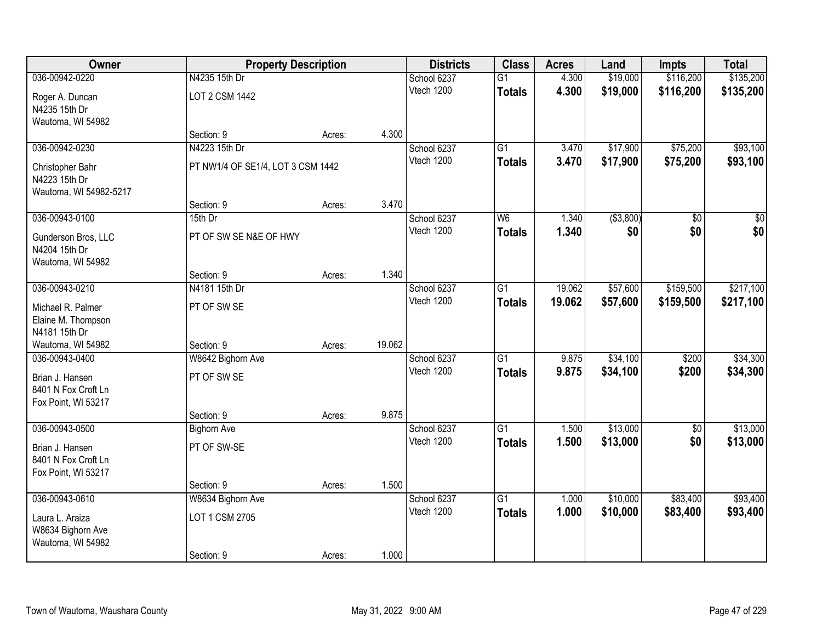| Owner                  |                                   | <b>Property Description</b> |        | <b>Districts</b> | <b>Class</b>    | <b>Acres</b> | Land       | <b>Impts</b> | <b>Total</b> |
|------------------------|-----------------------------------|-----------------------------|--------|------------------|-----------------|--------------|------------|--------------|--------------|
| 036-00942-0220         | N4235 15th Dr                     |                             |        | School 6237      | $\overline{G1}$ | 4.300        | \$19,000   | \$116,200    | \$135,200    |
| Roger A. Duncan        | <b>LOT 2 CSM 1442</b>             |                             |        | Vtech 1200       | <b>Totals</b>   | 4.300        | \$19,000   | \$116,200    | \$135,200    |
| N4235 15th Dr          |                                   |                             |        |                  |                 |              |            |              |              |
| Wautoma, WI 54982      |                                   |                             |        |                  |                 |              |            |              |              |
|                        | Section: 9                        | Acres:                      | 4.300  |                  |                 |              |            |              |              |
| 036-00942-0230         | N4223 15th Dr                     |                             |        | School 6237      | $\overline{G1}$ | 3.470        | \$17,900   | \$75,200     | \$93,100     |
| Christopher Bahr       | PT NW1/4 OF SE1/4, LOT 3 CSM 1442 |                             |        | Vtech 1200       | <b>Totals</b>   | 3.470        | \$17,900   | \$75,200     | \$93,100     |
| N4223 15th Dr          |                                   |                             |        |                  |                 |              |            |              |              |
| Wautoma, WI 54982-5217 |                                   |                             |        |                  |                 |              |            |              |              |
|                        | Section: 9                        | Acres:                      | 3.470  |                  |                 |              |            |              |              |
| 036-00943-0100         | 15th Dr                           |                             |        | School 6237      | W <sub>6</sub>  | 1.340        | ( \$3,800) | \$0          | \$0          |
| Gunderson Bros, LLC    | PT OF SW SE N&E OF HWY            |                             |        | Vtech 1200       | <b>Totals</b>   | 1.340        | \$0        | \$0          | \$0          |
| N4204 15th Dr          |                                   |                             |        |                  |                 |              |            |              |              |
| Wautoma, WI 54982      |                                   |                             |        |                  |                 |              |            |              |              |
|                        | Section: 9                        | Acres:                      | 1.340  |                  |                 |              |            |              |              |
| 036-00943-0210         | N4181 15th Dr                     |                             |        | School 6237      | G1              | 19.062       | \$57,600   | \$159,500    | \$217,100    |
| Michael R. Palmer      | PT OF SW SE                       |                             |        | Vtech 1200       | <b>Totals</b>   | 19.062       | \$57,600   | \$159,500    | \$217,100    |
| Elaine M. Thompson     |                                   |                             |        |                  |                 |              |            |              |              |
| N4181 15th Dr          |                                   |                             |        |                  |                 |              |            |              |              |
| Wautoma, WI 54982      | Section: 9                        | Acres:                      | 19.062 |                  |                 |              |            |              |              |
| 036-00943-0400         | W8642 Bighorn Ave                 |                             |        | School 6237      | $\overline{G1}$ | 9.875        | \$34,100   | \$200        | \$34,300     |
| Brian J. Hansen        | PT OF SW SE                       |                             |        | Vtech 1200       | <b>Totals</b>   | 9.875        | \$34,100   | \$200        | \$34,300     |
| 8401 N Fox Croft Ln    |                                   |                             |        |                  |                 |              |            |              |              |
| Fox Point, WI 53217    |                                   |                             |        |                  |                 |              |            |              |              |
|                        | Section: 9                        | Acres:                      | 9.875  |                  |                 |              |            |              |              |
| 036-00943-0500         | <b>Bighorn Ave</b>                |                             |        | School 6237      | $\overline{G1}$ | 1.500        | \$13,000   | $\sqrt{6}$   | \$13,000     |
| Brian J. Hansen        | PT OF SW-SE                       |                             |        | Vtech 1200       | <b>Totals</b>   | 1.500        | \$13,000   | \$0          | \$13,000     |
| 8401 N Fox Croft Ln    |                                   |                             |        |                  |                 |              |            |              |              |
| Fox Point, WI 53217    |                                   |                             |        |                  |                 |              |            |              |              |
|                        | Section: 9                        | Acres:                      | 1.500  |                  |                 |              |            |              |              |
| 036-00943-0610         | W8634 Bighorn Ave                 |                             |        | School 6237      | $\overline{G1}$ | 1.000        | \$10,000   | \$83,400     | \$93,400     |
| Laura L. Araiza        | LOT 1 CSM 2705                    |                             |        | Vtech 1200       | <b>Totals</b>   | 1.000        | \$10,000   | \$83,400     | \$93,400     |
| W8634 Bighorn Ave      |                                   |                             |        |                  |                 |              |            |              |              |
| Wautoma, WI 54982      |                                   |                             |        |                  |                 |              |            |              |              |
|                        | Section: 9                        | Acres:                      | 1.000  |                  |                 |              |            |              |              |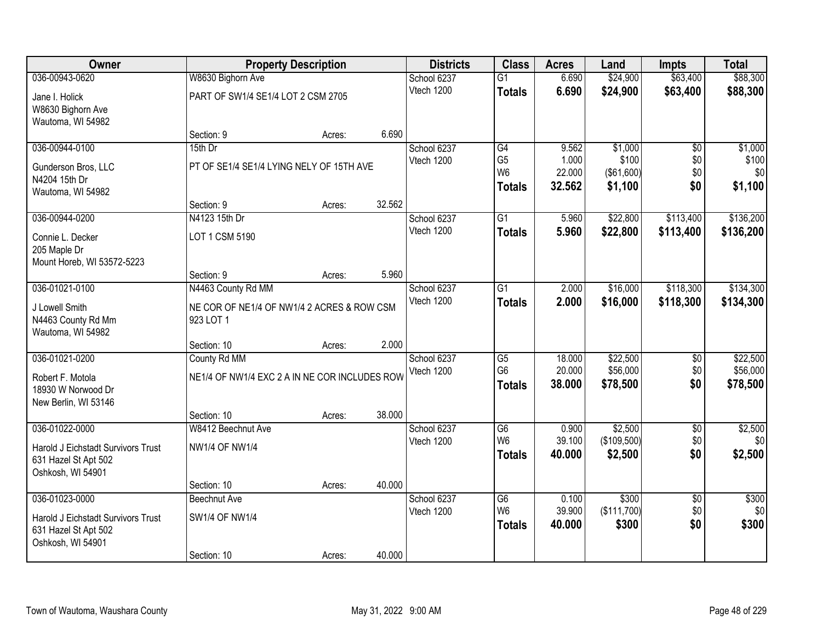| Owner                              |                                               | <b>Property Description</b> |        | <b>Districts</b>          | <b>Class</b>                      | <b>Acres</b>     | Land                   | <b>Impts</b>           | <b>Total</b>         |
|------------------------------------|-----------------------------------------------|-----------------------------|--------|---------------------------|-----------------------------------|------------------|------------------------|------------------------|----------------------|
| 036-00943-0620                     | W8630 Bighorn Ave                             |                             |        | School 6237               | $\overline{G1}$                   | 6.690            | \$24,900               | \$63,400               | \$88,300             |
| Jane I. Holick                     | PART OF SW1/4 SE1/4 LOT 2 CSM 2705            |                             |        | Vtech 1200                | <b>Totals</b>                     | 6.690            | \$24,900               | \$63,400               | \$88,300             |
| W8630 Bighorn Ave                  |                                               |                             |        |                           |                                   |                  |                        |                        |                      |
| Wautoma, WI 54982                  |                                               |                             |        |                           |                                   |                  |                        |                        |                      |
|                                    | Section: 9                                    | Acres:                      | 6.690  |                           |                                   |                  |                        |                        |                      |
| 036-00944-0100                     | 15th Dr                                       |                             |        | School 6237               | G4                                | 9.562            | \$1,000                | $\overline{50}$        | \$1,000              |
| Gunderson Bros, LLC                | PT OF SE1/4 SE1/4 LYING NELY OF 15TH AVE      |                             |        | Vtech 1200                | G <sub>5</sub><br>W <sub>6</sub>  | 1.000<br>22.000  | \$100<br>(\$61,600)    | \$0<br>\$0             | \$100<br>\$0         |
| N4204 15th Dr                      |                                               |                             |        |                           | <b>Totals</b>                     | 32.562           | \$1,100                | \$0                    | \$1,100              |
| Wautoma, WI 54982                  |                                               |                             |        |                           |                                   |                  |                        |                        |                      |
|                                    | Section: 9                                    | Acres:                      | 32.562 |                           |                                   |                  |                        |                        |                      |
| 036-00944-0200                     | N4123 15th Dr                                 |                             |        | School 6237               | $\overline{G1}$                   | 5.960            | \$22,800               | \$113,400              | \$136,200            |
| Connie L. Decker                   | LOT 1 CSM 5190                                |                             |        | Vtech 1200                | <b>Totals</b>                     | 5.960            | \$22,800               | \$113,400              | \$136,200            |
| 205 Maple Dr                       |                                               |                             |        |                           |                                   |                  |                        |                        |                      |
| Mount Horeb, WI 53572-5223         |                                               |                             |        |                           |                                   |                  |                        |                        |                      |
|                                    | Section: 9                                    | Acres:                      | 5.960  |                           |                                   |                  |                        |                        |                      |
| 036-01021-0100                     | N4463 County Rd MM                            |                             |        | School 6237               | G1                                | 2.000            | \$16,000               | \$118,300              | \$134,300            |
| J Lowell Smith                     | NE COR OF NE1/4 OF NW1/4 2 ACRES & ROW CSM    |                             |        | Vtech 1200                | <b>Totals</b>                     | 2.000            | \$16,000               | \$118,300              | \$134,300            |
| N4463 County Rd Mm                 | 923 LOT 1                                     |                             |        |                           |                                   |                  |                        |                        |                      |
| Wautoma, WI 54982                  |                                               |                             |        |                           |                                   |                  |                        |                        |                      |
|                                    | Section: 10                                   | Acres:                      | 2.000  |                           |                                   |                  |                        |                        |                      |
| 036-01021-0200                     | County Rd MM                                  |                             |        | School 6237               | $\overline{G5}$<br>G <sub>6</sub> | 18.000<br>20.000 | \$22,500<br>\$56,000   | $\overline{30}$        | \$22,500             |
| Robert F. Motola                   | NE1/4 OF NW1/4 EXC 2 A IN NE COR INCLUDES ROW |                             |        | Vtech 1200                |                                   | 38.000           | \$78,500               | \$0<br>\$0             | \$56,000<br>\$78,500 |
| 18930 W Norwood Dr                 |                                               |                             |        |                           | <b>Totals</b>                     |                  |                        |                        |                      |
| New Berlin, WI 53146               |                                               |                             |        |                           |                                   |                  |                        |                        |                      |
|                                    | Section: 10                                   | Acres:                      | 38.000 |                           |                                   |                  |                        |                        |                      |
| 036-01022-0000                     | W8412 Beechnut Ave                            |                             |        | School 6237<br>Vtech 1200 | $\overline{G6}$<br>W <sub>6</sub> | 0.900<br>39.100  | \$2,500<br>(\$109,500) | $\overline{60}$<br>\$0 | \$2,500<br>\$0       |
| Harold J Eichstadt Survivors Trust | <b>NW1/4 OF NW1/4</b>                         |                             |        |                           | <b>Totals</b>                     | 40.000           | \$2,500                | \$0                    | \$2,500              |
| 631 Hazel St Apt 502               |                                               |                             |        |                           |                                   |                  |                        |                        |                      |
| Oshkosh, WI 54901                  |                                               |                             |        |                           |                                   |                  |                        |                        |                      |
|                                    | Section: 10                                   | Acres:                      | 40.000 |                           |                                   |                  |                        |                        |                      |
| 036-01023-0000                     | Beechnut Ave                                  |                             |        | School 6237<br>Vtech 1200 | $\overline{G6}$<br>W <sub>6</sub> | 0.100<br>39.900  | \$300<br>(\$111,700)   | $\overline{50}$<br>\$0 | \$300<br>\$0         |
| Harold J Eichstadt Survivors Trust | <b>SW1/4 OF NW1/4</b>                         |                             |        |                           | <b>Totals</b>                     | 40.000           | \$300                  | \$0                    | \$300                |
| 631 Hazel St Apt 502               |                                               |                             |        |                           |                                   |                  |                        |                        |                      |
| Oshkosh, WI 54901                  |                                               |                             |        |                           |                                   |                  |                        |                        |                      |
|                                    | Section: 10                                   | Acres:                      | 40.000 |                           |                                   |                  |                        |                        |                      |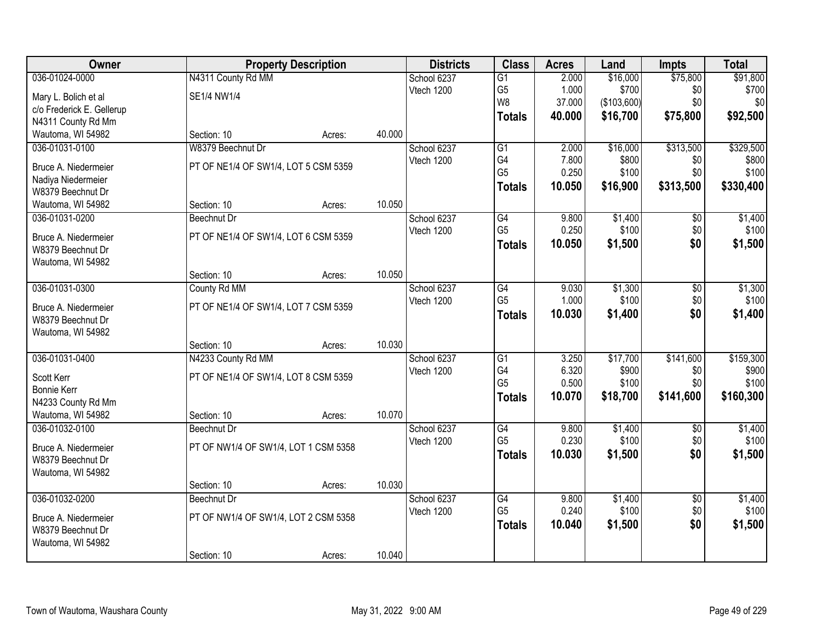| Owner                     |                                      | <b>Property Description</b> |        | <b>Districts</b> | <b>Class</b>    | <b>Acres</b> | Land        | <b>Impts</b>    | <b>Total</b> |
|---------------------------|--------------------------------------|-----------------------------|--------|------------------|-----------------|--------------|-------------|-----------------|--------------|
| 036-01024-0000            | N4311 County Rd MM                   |                             |        | School 6237      | $\overline{G1}$ | 2.000        | \$16,000    | \$75,800        | \$91,800     |
| Mary L. Bolich et al      | SE1/4 NW1/4                          |                             |        | Vtech 1200       | G <sub>5</sub>  | 1.000        | \$700       | \$0             | \$700        |
| c/o Frederick E. Gellerup |                                      |                             |        |                  | W8              | 37.000       | (\$103,600) | \$0             | \$0          |
| N4311 County Rd Mm        |                                      |                             |        |                  | <b>Totals</b>   | 40.000       | \$16,700    | \$75,800        | \$92,500     |
| Wautoma, WI 54982         | Section: 10                          | Acres:                      | 40.000 |                  |                 |              |             |                 |              |
| 036-01031-0100            | W8379 Beechnut Dr                    |                             |        | School 6237      | G1              | 2.000        | \$16,000    | \$313,500       | \$329,500    |
|                           |                                      |                             |        | Vtech 1200       | G4              | 7.800        | \$800       | \$0             | \$800        |
| Bruce A. Niedermeier      | PT OF NE1/4 OF SW1/4, LOT 5 CSM 5359 |                             |        |                  | G <sub>5</sub>  | 0.250        | \$100       | \$0             | \$100        |
| Nadiya Niedermeier        |                                      |                             |        |                  | <b>Totals</b>   | 10.050       | \$16,900    | \$313,500       | \$330,400    |
| W8379 Beechnut Dr         |                                      |                             |        |                  |                 |              |             |                 |              |
| Wautoma, WI 54982         | Section: 10                          | Acres:                      | 10.050 |                  |                 |              |             |                 |              |
| 036-01031-0200            | <b>Beechnut Dr</b>                   |                             |        | School 6237      | G4              | 9.800        | \$1,400     | \$0             | \$1,400      |
| Bruce A. Niedermeier      | PT OF NE1/4 OF SW1/4, LOT 6 CSM 5359 |                             |        | Vtech 1200       | G <sub>5</sub>  | 0.250        | \$100       | \$0             | \$100        |
| W8379 Beechnut Dr         |                                      |                             |        |                  | <b>Totals</b>   | 10.050       | \$1,500     | \$0             | \$1,500      |
| Wautoma, WI 54982         |                                      |                             |        |                  |                 |              |             |                 |              |
|                           | Section: 10                          | Acres:                      | 10.050 |                  |                 |              |             |                 |              |
| 036-01031-0300            | County Rd MM                         |                             |        | School 6237      | G4              | 9.030        | \$1,300     | \$0             | \$1,300      |
|                           |                                      |                             |        | Vtech 1200       | G <sub>5</sub>  | 1.000        | \$100       | \$0             | \$100        |
| Bruce A. Niedermeier      | PT OF NE1/4 OF SW1/4, LOT 7 CSM 5359 |                             |        |                  | <b>Totals</b>   | 10.030       | \$1,400     | \$0             | \$1,400      |
| W8379 Beechnut Dr         |                                      |                             |        |                  |                 |              |             |                 |              |
| Wautoma, WI 54982         |                                      |                             |        |                  |                 |              |             |                 |              |
|                           | Section: 10                          | Acres:                      | 10.030 |                  |                 |              |             |                 |              |
| 036-01031-0400            | N4233 County Rd MM                   |                             |        | School 6237      | $\overline{G1}$ | 3.250        | \$17,700    | \$141,600       | \$159,300    |
| Scott Kerr                | PT OF NE1/4 OF SW1/4, LOT 8 CSM 5359 |                             |        | Vtech 1200       | G4              | 6.320        | \$900       | \$0             | \$900        |
| <b>Bonnie Kerr</b>        |                                      |                             |        |                  | G <sub>5</sub>  | 0.500        | \$100       | \$0             | \$100        |
| N4233 County Rd Mm        |                                      |                             |        |                  | <b>Totals</b>   | 10.070       | \$18,700    | \$141,600       | \$160,300    |
| Wautoma, WI 54982         | Section: 10                          | Acres:                      | 10.070 |                  |                 |              |             |                 |              |
| 036-01032-0100            | Beechnut Dr                          |                             |        | School 6237      | $\overline{G4}$ | 9.800        | \$1,400     | $\sqrt{6}$      | \$1,400      |
|                           |                                      |                             |        | Vtech 1200       | G <sub>5</sub>  | 0.230        | \$100       | \$0             | \$100        |
| Bruce A. Niedermeier      | PT OF NW1/4 OF SW1/4, LOT 1 CSM 5358 |                             |        |                  | <b>Totals</b>   | 10.030       | \$1,500     | \$0             | \$1,500      |
| W8379 Beechnut Dr         |                                      |                             |        |                  |                 |              |             |                 |              |
| Wautoma, WI 54982         |                                      |                             |        |                  |                 |              |             |                 |              |
|                           | Section: 10                          | Acres:                      | 10.030 |                  |                 |              |             |                 |              |
| 036-01032-0200            | <b>Beechnut Dr</b>                   |                             |        | School 6237      | G4              | 9.800        | \$1,400     | $\overline{50}$ | \$1,400      |
| Bruce A. Niedermeier      | PT OF NW1/4 OF SW1/4, LOT 2 CSM 5358 |                             |        | Vtech 1200       | G <sub>5</sub>  | 0.240        | \$100       | \$0             | \$100        |
| W8379 Beechnut Dr         |                                      |                             |        |                  | <b>Totals</b>   | 10.040       | \$1,500     | \$0             | \$1,500      |
| Wautoma, WI 54982         |                                      |                             |        |                  |                 |              |             |                 |              |
|                           | Section: 10                          | Acres:                      | 10.040 |                  |                 |              |             |                 |              |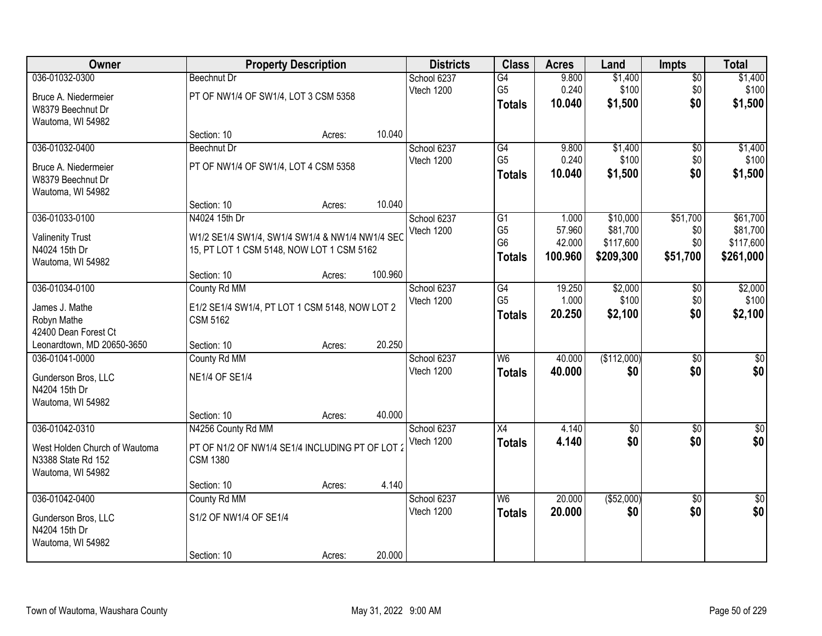| Owner                                |                                                 | <b>Property Description</b> |         | <b>Districts</b> | <b>Class</b>    | <b>Acres</b> | Land        | <b>Impts</b>    | <b>Total</b>    |
|--------------------------------------|-------------------------------------------------|-----------------------------|---------|------------------|-----------------|--------------|-------------|-----------------|-----------------|
| 036-01032-0300                       | <b>Beechnut Dr</b>                              |                             |         | School 6237      | $\overline{G4}$ | 9.800        | \$1,400     | $\sqrt{$0}$     | \$1,400         |
| Bruce A. Niedermeier                 | PT OF NW1/4 OF SW1/4, LOT 3 CSM 5358            |                             |         | Vtech 1200       | G <sub>5</sub>  | 0.240        | \$100       | \$0             | \$100           |
| W8379 Beechnut Dr                    |                                                 |                             |         |                  | <b>Totals</b>   | 10.040       | \$1,500     | \$0             | \$1,500         |
| Wautoma, WI 54982                    |                                                 |                             |         |                  |                 |              |             |                 |                 |
|                                      | Section: 10                                     | Acres:                      | 10.040  |                  |                 |              |             |                 |                 |
| 036-01032-0400                       | <b>Beechnut Dr</b>                              |                             |         | School 6237      | G4              | 9.800        | \$1,400     | \$0             | \$1,400         |
| Bruce A. Niedermeier                 | PT OF NW1/4 OF SW1/4, LOT 4 CSM 5358            |                             |         | Vtech 1200       | G <sub>5</sub>  | 0.240        | \$100       | \$0             | \$100           |
| W8379 Beechnut Dr                    |                                                 |                             |         |                  | <b>Totals</b>   | 10.040       | \$1,500     | \$0             | \$1,500         |
| Wautoma, WI 54982                    |                                                 |                             |         |                  |                 |              |             |                 |                 |
|                                      | Section: 10                                     | Acres:                      | 10.040  |                  |                 |              |             |                 |                 |
| 036-01033-0100                       | N4024 15th Dr                                   |                             |         | School 6237      | $\overline{G1}$ | 1.000        | \$10,000    | \$51,700        | \$61,700        |
| <b>Valinenity Trust</b>              | W1/2 SE1/4 SW1/4, SW1/4 SW1/4 & NW1/4 NW1/4 SEC |                             |         | Vtech 1200       | G <sub>5</sub>  | 57.960       | \$81,700    | \$0             | \$81,700        |
| N4024 15th Dr                        | 15, PT LOT 1 CSM 5148, NOW LOT 1 CSM 5162       |                             |         |                  | G <sub>6</sub>  | 42.000       | \$117,600   | \$0             | \$117,600       |
| Wautoma, WI 54982                    |                                                 |                             |         |                  | <b>Totals</b>   | 100.960      | \$209,300   | \$51,700        | \$261,000       |
|                                      | Section: 10                                     | Acres:                      | 100.960 |                  |                 |              |             |                 |                 |
| 036-01034-0100                       | County Rd MM                                    |                             |         | School 6237      | G4              | 19.250       | \$2,000     | \$0             | \$2,000         |
| James J. Mathe                       | E1/2 SE1/4 SW1/4, PT LOT 1 CSM 5148, NOW LOT 2  |                             |         | Vtech 1200       | G <sub>5</sub>  | 1.000        | \$100       | \$0             | \$100           |
| Robyn Mathe                          | <b>CSM 5162</b>                                 |                             |         |                  | <b>Totals</b>   | 20.250       | \$2,100     | \$0             | \$2,100         |
| 42400 Dean Forest Ct                 |                                                 |                             |         |                  |                 |              |             |                 |                 |
| Leonardtown, MD 20650-3650           | Section: 10                                     | Acres:                      | 20.250  |                  |                 |              |             |                 |                 |
| 036-01041-0000                       | County Rd MM                                    |                             |         | School 6237      | $\overline{W6}$ | 40.000       | (\$112,000) | $\overline{50}$ | $\overline{50}$ |
|                                      |                                                 |                             |         | Vtech 1200       | <b>Totals</b>   | 40.000       | \$0         | \$0             | \$0             |
| Gunderson Bros, LLC<br>N4204 15th Dr | <b>NE1/4 OF SE1/4</b>                           |                             |         |                  |                 |              |             |                 |                 |
| Wautoma, WI 54982                    |                                                 |                             |         |                  |                 |              |             |                 |                 |
|                                      | Section: 10                                     | Acres:                      | 40.000  |                  |                 |              |             |                 |                 |
| 036-01042-0310                       | N4256 County Rd MM                              |                             |         | School 6237      | X4              | 4.140        | $\sqrt{$0}$ | $\overline{50}$ | \$0             |
|                                      |                                                 |                             |         | Vtech 1200       | <b>Totals</b>   | 4.140        | \$0         | \$0             | \$0             |
| West Holden Church of Wautoma        | PT OF N1/2 OF NW1/4 SE1/4 INCLUDING PT OF LOT 2 |                             |         |                  |                 |              |             |                 |                 |
| N3388 State Rd 152                   | <b>CSM 1380</b>                                 |                             |         |                  |                 |              |             |                 |                 |
| Wautoma, WI 54982                    | Section: 10                                     | Acres:                      | 4.140   |                  |                 |              |             |                 |                 |
| 036-01042-0400                       | County Rd MM                                    |                             |         | School 6237      | W <sub>6</sub>  | 20.000       | (\$52,000)  | $\overline{30}$ | $\overline{50}$ |
|                                      |                                                 |                             |         | Vtech 1200       | <b>Totals</b>   | 20.000       | \$0         | \$0             | \$0             |
| Gunderson Bros, LLC                  | S1/2 OF NW1/4 OF SE1/4                          |                             |         |                  |                 |              |             |                 |                 |
| N4204 15th Dr                        |                                                 |                             |         |                  |                 |              |             |                 |                 |
| Wautoma, WI 54982                    |                                                 |                             | 20.000  |                  |                 |              |             |                 |                 |
|                                      | Section: 10                                     | Acres:                      |         |                  |                 |              |             |                 |                 |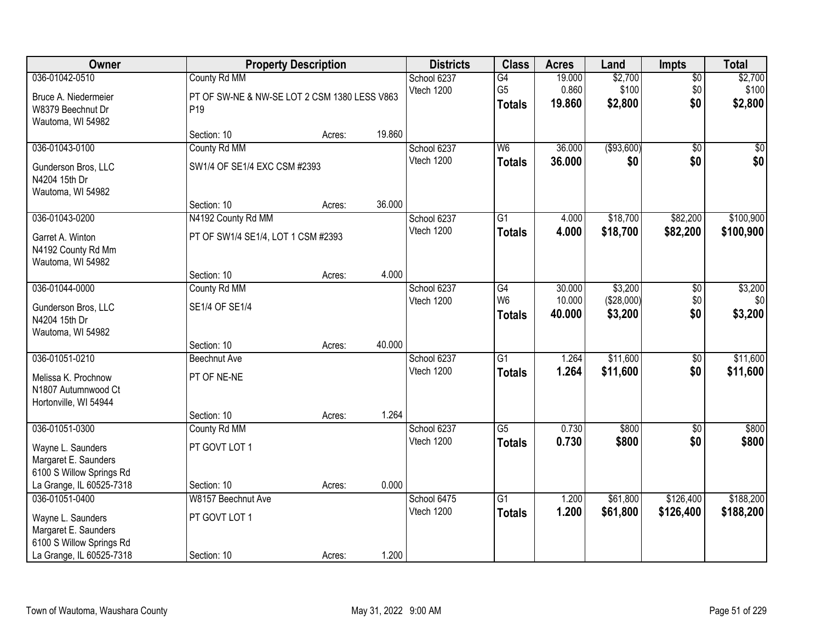| Owner                    |                                              | <b>Property Description</b> |        | <b>Districts</b> | <b>Class</b>    | <b>Acres</b> | Land        | <b>Impts</b>    | <b>Total</b> |
|--------------------------|----------------------------------------------|-----------------------------|--------|------------------|-----------------|--------------|-------------|-----------------|--------------|
| 036-01042-0510           | County Rd MM                                 |                             |        | School 6237      | G4              | 19.000       | \$2,700     | $\overline{50}$ | \$2,700      |
| Bruce A. Niedermeier     | PT OF SW-NE & NW-SE LOT 2 CSM 1380 LESS V863 |                             |        | Vtech 1200       | G <sub>5</sub>  | 0.860        | \$100       | \$0             | \$100        |
| W8379 Beechnut Dr        | P <sub>19</sub>                              |                             |        |                  | <b>Totals</b>   | 19.860       | \$2,800     | \$0             | \$2,800      |
| Wautoma, WI 54982        |                                              |                             |        |                  |                 |              |             |                 |              |
|                          | Section: 10                                  | Acres:                      | 19.860 |                  |                 |              |             |                 |              |
| 036-01043-0100           | County Rd MM                                 |                             |        | School 6237      | W <sub>6</sub>  | 36.000       | ( \$93,600) | $\overline{50}$ | \$0          |
| Gunderson Bros, LLC      | SW1/4 OF SE1/4 EXC CSM #2393                 |                             |        | Vtech 1200       | <b>Totals</b>   | 36,000       | \$0         | \$0             | \$0          |
| N4204 15th Dr            |                                              |                             |        |                  |                 |              |             |                 |              |
| Wautoma, WI 54982        |                                              |                             |        |                  |                 |              |             |                 |              |
|                          | Section: 10                                  | Acres:                      | 36.000 |                  |                 |              |             |                 |              |
| 036-01043-0200           | N4192 County Rd MM                           |                             |        | School 6237      | $\overline{G1}$ | 4.000        | \$18,700    | \$82,200        | \$100,900    |
| Garret A. Winton         | PT OF SW1/4 SE1/4, LOT 1 CSM #2393           |                             |        | Vtech 1200       | <b>Totals</b>   | 4.000        | \$18,700    | \$82,200        | \$100,900    |
| N4192 County Rd Mm       |                                              |                             |        |                  |                 |              |             |                 |              |
| Wautoma, WI 54982        |                                              |                             |        |                  |                 |              |             |                 |              |
|                          | Section: 10                                  | Acres:                      | 4.000  |                  |                 |              |             |                 |              |
| 036-01044-0000           | County Rd MM                                 |                             |        | School 6237      | G4              | 30.000       | \$3,200     | \$0             | \$3,200      |
| Gunderson Bros, LLC      | SE1/4 OF SE1/4                               |                             |        | Vtech 1200       | W <sub>6</sub>  | 10.000       | (\$28,000)  | \$0             | \$0          |
| N4204 15th Dr            |                                              |                             |        |                  | <b>Totals</b>   | 40.000       | \$3,200     | \$0             | \$3,200      |
| Wautoma, WI 54982        |                                              |                             |        |                  |                 |              |             |                 |              |
|                          | Section: 10                                  | Acres:                      | 40.000 |                  |                 |              |             |                 |              |
| 036-01051-0210           | <b>Beechnut Ave</b>                          |                             |        | School 6237      | $\overline{G1}$ | 1.264        | \$11,600    | $\overline{50}$ | \$11,600     |
| Melissa K. Prochnow      | PT OF NE-NE                                  |                             |        | Vtech 1200       | <b>Totals</b>   | 1.264        | \$11,600    | \$0             | \$11,600     |
| N1807 Autumnwood Ct      |                                              |                             |        |                  |                 |              |             |                 |              |
| Hortonville, WI 54944    |                                              |                             |        |                  |                 |              |             |                 |              |
|                          | Section: 10                                  | Acres:                      | 1.264  |                  |                 |              |             |                 |              |
| 036-01051-0300           | County Rd MM                                 |                             |        | School 6237      | G5              | 0.730        | \$800       | $\overline{60}$ | \$800        |
| Wayne L. Saunders        | PT GOVT LOT 1                                |                             |        | Vtech 1200       | <b>Totals</b>   | 0.730        | \$800       | \$0             | \$800        |
| Margaret E. Saunders     |                                              |                             |        |                  |                 |              |             |                 |              |
| 6100 S Willow Springs Rd |                                              |                             |        |                  |                 |              |             |                 |              |
| La Grange, IL 60525-7318 | Section: 10                                  | Acres:                      | 0.000  |                  |                 |              |             |                 |              |
| 036-01051-0400           | W8157 Beechnut Ave                           |                             |        | School 6475      | $\overline{G1}$ | 1.200        | \$61,800    | \$126,400       | \$188,200    |
| Wayne L. Saunders        | PT GOVT LOT 1                                |                             |        | Vtech 1200       | <b>Totals</b>   | 1.200        | \$61,800    | \$126,400       | \$188,200    |
| Margaret E. Saunders     |                                              |                             |        |                  |                 |              |             |                 |              |
| 6100 S Willow Springs Rd |                                              |                             |        |                  |                 |              |             |                 |              |
| La Grange, IL 60525-7318 | Section: 10                                  | Acres:                      | 1.200  |                  |                 |              |             |                 |              |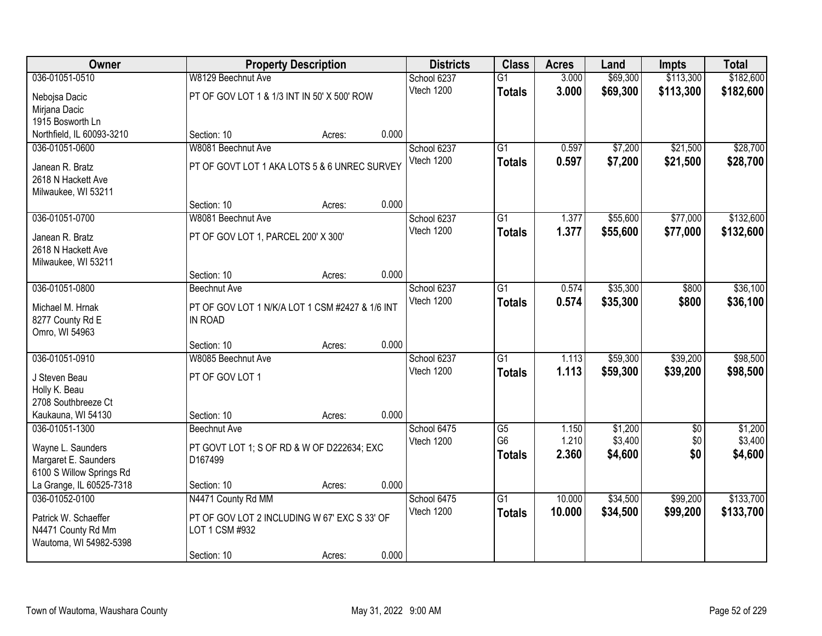| Owner                     |                                                 | <b>Property Description</b> |       | <b>Districts</b> | <b>Class</b>    | <b>Acres</b> | Land     | <b>Impts</b>    | <b>Total</b> |
|---------------------------|-------------------------------------------------|-----------------------------|-------|------------------|-----------------|--------------|----------|-----------------|--------------|
| 036-01051-0510            | W8129 Beechnut Ave                              |                             |       | School 6237      | $\overline{G1}$ | 3.000        | \$69,300 | \$113,300       | \$182,600    |
| Nebojsa Dacic             | PT OF GOV LOT 1 & 1/3 INT IN 50' X 500' ROW     |                             |       | Vtech 1200       | <b>Totals</b>   | 3.000        | \$69,300 | \$113,300       | \$182,600    |
| Mirjana Dacic             |                                                 |                             |       |                  |                 |              |          |                 |              |
| 1915 Bosworth Ln          |                                                 |                             |       |                  |                 |              |          |                 |              |
| Northfield, IL 60093-3210 | Section: 10                                     | Acres:                      | 0.000 |                  |                 |              |          |                 |              |
| 036-01051-0600            | W8081 Beechnut Ave                              |                             |       | School 6237      | $\overline{G1}$ | 0.597        | \$7,200  | \$21,500        | \$28,700     |
| Janean R. Bratz           | PT OF GOVT LOT 1 AKA LOTS 5 & 6 UNREC SURVEY    |                             |       | Vtech 1200       | <b>Totals</b>   | 0.597        | \$7,200  | \$21,500        | \$28,700     |
| 2618 N Hackett Ave        |                                                 |                             |       |                  |                 |              |          |                 |              |
| Milwaukee, WI 53211       |                                                 |                             |       |                  |                 |              |          |                 |              |
|                           | Section: 10                                     | Acres:                      | 0.000 |                  |                 |              |          |                 |              |
| 036-01051-0700            | W8081 Beechnut Ave                              |                             |       | School 6237      | $\overline{G1}$ | 1.377        | \$55,600 | \$77,000        | \$132,600    |
| Janean R. Bratz           | PT OF GOV LOT 1, PARCEL 200' X 300'             |                             |       | Vtech 1200       | <b>Totals</b>   | 1.377        | \$55,600 | \$77,000        | \$132,600    |
| 2618 N Hackett Ave        |                                                 |                             |       |                  |                 |              |          |                 |              |
| Milwaukee, WI 53211       |                                                 |                             |       |                  |                 |              |          |                 |              |
|                           | Section: 10                                     | Acres:                      | 0.000 |                  |                 |              |          |                 |              |
| 036-01051-0800            | <b>Beechnut Ave</b>                             |                             |       | School 6237      | $\overline{G1}$ | 0.574        | \$35,300 | \$800           | \$36,100     |
| Michael M. Hrnak          | PT OF GOV LOT 1 N/K/A LOT 1 CSM #2427 & 1/6 INT |                             |       | Vtech 1200       | <b>Totals</b>   | 0.574        | \$35,300 | \$800           | \$36,100     |
| 8277 County Rd E          | IN ROAD                                         |                             |       |                  |                 |              |          |                 |              |
| Omro, WI 54963            |                                                 |                             |       |                  |                 |              |          |                 |              |
|                           | Section: 10                                     | Acres:                      | 0.000 |                  |                 |              |          |                 |              |
| 036-01051-0910            | W8085 Beechnut Ave                              |                             |       | School 6237      | $\overline{G1}$ | 1.113        | \$59,300 | \$39,200        | \$98,500     |
| J Steven Beau             | PT OF GOV LOT 1                                 |                             |       | Vtech 1200       | <b>Totals</b>   | 1.113        | \$59,300 | \$39,200        | \$98,500     |
| Holly K. Beau             |                                                 |                             |       |                  |                 |              |          |                 |              |
| 2708 Southbreeze Ct       |                                                 |                             |       |                  |                 |              |          |                 |              |
| Kaukauna, WI 54130        | Section: 10                                     | Acres:                      | 0.000 |                  |                 |              |          |                 |              |
| 036-01051-1300            | <b>Beechnut Ave</b>                             |                             |       | School 6475      | $\overline{G5}$ | 1.150        | \$1,200  | $\overline{50}$ | \$1,200      |
| Wayne L. Saunders         | PT GOVT LOT 1; S OF RD & W OF D222634; EXC      |                             |       | Vtech 1200       | G <sub>6</sub>  | 1.210        | \$3,400  | \$0             | \$3,400      |
| Margaret E. Saunders      | D167499                                         |                             |       |                  | <b>Totals</b>   | 2.360        | \$4,600  | \$0             | \$4,600      |
| 6100 S Willow Springs Rd  |                                                 |                             |       |                  |                 |              |          |                 |              |
| La Grange, IL 60525-7318  | Section: 10                                     | Acres:                      | 0.000 |                  |                 |              |          |                 |              |
| 036-01052-0100            | N4471 County Rd MM                              |                             |       | School 6475      | $\overline{G1}$ | 10.000       | \$34,500 | \$99,200        | \$133,700    |
| Patrick W. Schaeffer      | PT OF GOV LOT 2 INCLUDING W 67' EXC S 33' OF    |                             |       | Vtech 1200       | <b>Totals</b>   | 10.000       | \$34,500 | \$99,200        | \$133,700    |
| N4471 County Rd Mm        | LOT 1 CSM #932                                  |                             |       |                  |                 |              |          |                 |              |
| Wautoma, WI 54982-5398    |                                                 |                             |       |                  |                 |              |          |                 |              |
|                           | Section: 10                                     | Acres:                      | 0.000 |                  |                 |              |          |                 |              |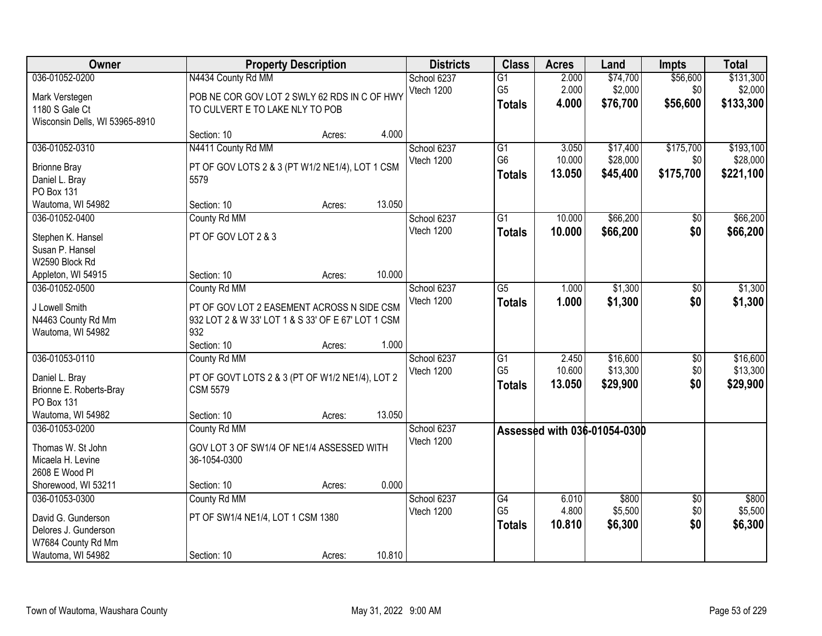| Owner                          |                                                    | <b>Property Description</b> |        | <b>Districts</b>          | <b>Class</b>    | <b>Acres</b> | Land                         | <b>Impts</b>    | <b>Total</b> |
|--------------------------------|----------------------------------------------------|-----------------------------|--------|---------------------------|-----------------|--------------|------------------------------|-----------------|--------------|
| 036-01052-0200                 | N4434 County Rd MM                                 |                             |        | School 6237               | $\overline{G1}$ | 2.000        | \$74,700                     | \$56,600        | \$131,300    |
| Mark Verstegen                 | POB NE COR GOV LOT 2 SWLY 62 RDS IN C OF HWY       |                             |        | Vtech 1200                | G <sub>5</sub>  | 2.000        | \$2,000                      | \$0             | \$2,000      |
| 1180 S Gale Ct                 | TO CULVERT E TO LAKE NLY TO POB                    |                             |        |                           | <b>Totals</b>   | 4.000        | \$76,700                     | \$56,600        | \$133,300    |
| Wisconsin Dells, WI 53965-8910 |                                                    |                             |        |                           |                 |              |                              |                 |              |
|                                | Section: 10                                        | Acres:                      | 4.000  |                           |                 |              |                              |                 |              |
| 036-01052-0310                 | N4411 County Rd MM                                 |                             |        | School 6237               | $\overline{G1}$ | 3.050        | \$17,400                     | \$175,700       | \$193,100    |
| <b>Brionne Bray</b>            | PT OF GOV LOTS 2 & 3 (PT W1/2 NE1/4), LOT 1 CSM    |                             |        | Vtech 1200                | G <sub>6</sub>  | 10.000       | \$28,000                     | \$0             | \$28,000     |
| Daniel L. Bray                 | 5579                                               |                             |        |                           | <b>Totals</b>   | 13.050       | \$45,400                     | \$175,700       | \$221,100    |
| PO Box 131                     |                                                    |                             |        |                           |                 |              |                              |                 |              |
| Wautoma, WI 54982              | Section: 10                                        | Acres:                      | 13.050 |                           |                 |              |                              |                 |              |
| 036-01052-0400                 | County Rd MM                                       |                             |        | School 6237               | $\overline{G1}$ | 10.000       | \$66,200                     | \$0             | \$66,200     |
|                                |                                                    |                             |        | Vtech 1200                | <b>Totals</b>   | 10.000       | \$66,200                     | \$0             | \$66,200     |
| Stephen K. Hansel              | PT OF GOV LOT 2 & 3                                |                             |        |                           |                 |              |                              |                 |              |
| Susan P. Hansel                |                                                    |                             |        |                           |                 |              |                              |                 |              |
| W2590 Block Rd                 |                                                    |                             |        |                           |                 |              |                              |                 |              |
| Appleton, WI 54915             | Section: 10                                        | Acres:                      | 10.000 |                           |                 |              |                              |                 |              |
| 036-01052-0500                 | County Rd MM                                       |                             |        | School 6237<br>Vtech 1200 | $\overline{G5}$ | 1.000        | \$1,300                      | \$0             | \$1,300      |
| J Lowell Smith                 | PT OF GOV LOT 2 EASEMENT ACROSS N SIDE CSM         |                             |        |                           | <b>Totals</b>   | 1.000        | \$1,300                      | \$0             | \$1,300      |
| N4463 County Rd Mm             | 932 LOT 2 & W 33' LOT 1 & S 33' OF E 67' LOT 1 CSM |                             |        |                           |                 |              |                              |                 |              |
| Wautoma, WI 54982              | 932                                                |                             |        |                           |                 |              |                              |                 |              |
|                                | Section: 10                                        | Acres:                      | 1.000  |                           |                 |              |                              |                 |              |
| 036-01053-0110                 | County Rd MM                                       |                             |        | School 6237               | $\overline{G1}$ | 2.450        | \$16,600                     | \$0             | \$16,600     |
| Daniel L. Bray                 | PT OF GOVT LOTS 2 & 3 (PT OF W1/2 NE1/4), LOT 2    |                             |        | Vtech 1200                | G <sub>5</sub>  | 10.600       | \$13,300                     | \$0             | \$13,300     |
| Brionne E. Roberts-Bray        | <b>CSM 5579</b>                                    |                             |        |                           | <b>Totals</b>   | 13.050       | \$29,900                     | \$0             | \$29,900     |
| PO Box 131                     |                                                    |                             |        |                           |                 |              |                              |                 |              |
| Wautoma, WI 54982              | Section: 10                                        | Acres:                      | 13.050 |                           |                 |              |                              |                 |              |
| 036-01053-0200                 | County Rd MM                                       |                             |        | School 6237               |                 |              | Assessed with 036-01054-0300 |                 |              |
| Thomas W. St John              | GOV LOT 3 OF SW1/4 OF NE1/4 ASSESSED WITH          |                             |        | Vtech 1200                |                 |              |                              |                 |              |
| Micaela H. Levine              | 36-1054-0300                                       |                             |        |                           |                 |              |                              |                 |              |
| 2608 E Wood Pl                 |                                                    |                             |        |                           |                 |              |                              |                 |              |
| Shorewood, WI 53211            | Section: 10                                        | Acres:                      | 0.000  |                           |                 |              |                              |                 |              |
| 036-01053-0300                 | County Rd MM                                       |                             |        | School 6237               | G4              | 6.010        | \$800                        | $\overline{30}$ | \$800        |
|                                |                                                    |                             |        | Vtech 1200                | G <sub>5</sub>  | 4.800        | \$5,500                      | \$0             | \$5,500      |
| David G. Gunderson             | PT OF SW1/4 NE1/4, LOT 1 CSM 1380                  |                             |        |                           | <b>Totals</b>   | 10.810       | \$6,300                      | \$0             | \$6,300      |
| Delores J. Gunderson           |                                                    |                             |        |                           |                 |              |                              |                 |              |
| W7684 County Rd Mm             |                                                    |                             |        |                           |                 |              |                              |                 |              |
| Wautoma, WI 54982              | Section: 10                                        | Acres:                      | 10.810 |                           |                 |              |                              |                 |              |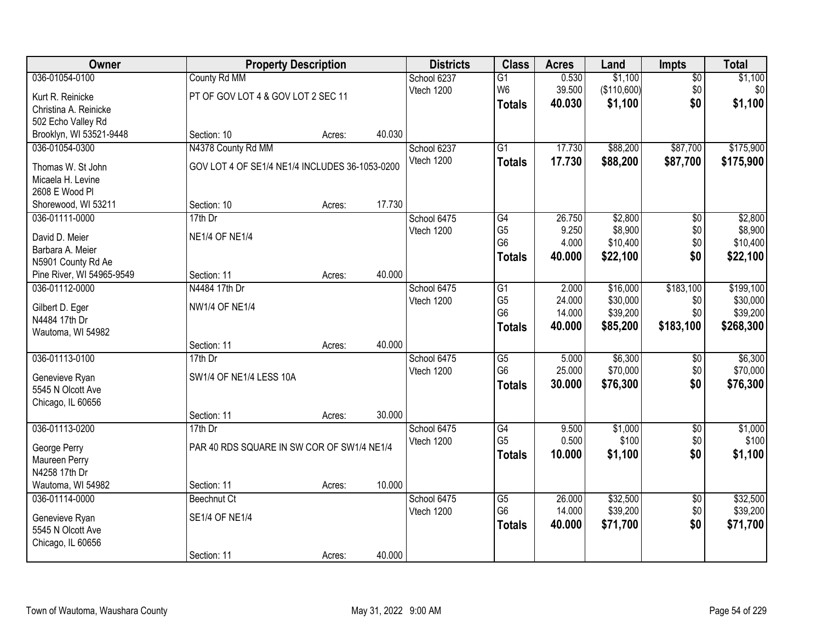| Owner                     |                                                | <b>Property Description</b> |        | <b>Districts</b> | <b>Class</b>           | <b>Acres</b> | Land        | <b>Impts</b>    | <b>Total</b> |
|---------------------------|------------------------------------------------|-----------------------------|--------|------------------|------------------------|--------------|-------------|-----------------|--------------|
| 036-01054-0100            | County Rd MM                                   |                             |        | School 6237      | $\overline{G1}$        | 0.530        | \$1,100     | $\overline{50}$ | \$1,100      |
| Kurt R. Reinicke          | PT OF GOV LOT 4 & GOV LOT 2 SEC 11             |                             |        | Vtech 1200       | W <sub>6</sub>         | 39.500       | (\$110,600) | \$0             | \$0          |
| Christina A. Reinicke     |                                                |                             |        |                  | <b>Totals</b>          | 40.030       | \$1,100     | \$0             | \$1,100      |
| 502 Echo Valley Rd        |                                                |                             |        |                  |                        |              |             |                 |              |
| Brooklyn, WI 53521-9448   | Section: 10                                    | Acres:                      | 40.030 |                  |                        |              |             |                 |              |
| 036-01054-0300            | N4378 County Rd MM                             |                             |        | School 6237      | $\overline{G1}$        | 17.730       | \$88,200    | \$87,700        | \$175,900    |
| Thomas W. St John         | GOV LOT 4 OF SE1/4 NE1/4 INCLUDES 36-1053-0200 |                             |        | Vtech 1200       | Totals                 | 17.730       | \$88,200    | \$87,700        | \$175,900    |
| Micaela H. Levine         |                                                |                             |        |                  |                        |              |             |                 |              |
| 2608 E Wood Pl            |                                                |                             |        |                  |                        |              |             |                 |              |
| Shorewood, WI 53211       | Section: 10                                    | Acres:                      | 17.730 |                  |                        |              |             |                 |              |
| 036-01111-0000            | 17th Dr                                        |                             |        | School 6475      | G4                     | 26.750       | \$2,800     | \$0             | \$2,800      |
| David D. Meier            | <b>NE1/4 OF NE1/4</b>                          |                             |        | Vtech 1200       | G <sub>5</sub>         | 9.250        | \$8,900     | \$0             | \$8,900      |
| Barbara A. Meier          |                                                |                             |        |                  | G <sub>6</sub>         | 4.000        | \$10,400    | \$0             | \$10,400     |
| N5901 County Rd Ae        |                                                |                             |        |                  | <b>Totals</b>          | 40.000       | \$22,100    | \$0             | \$22,100     |
| Pine River, WI 54965-9549 | Section: 11                                    | Acres:                      | 40.000 |                  |                        |              |             |                 |              |
| 036-01112-0000            | N4484 17th Dr                                  |                             |        | School 6475      | G1                     | 2.000        | \$16,000    | \$183,100       | \$199,100    |
| Gilbert D. Eger           | <b>NW1/4 OF NE1/4</b>                          |                             |        | Vtech 1200       | G <sub>5</sub>         | 24.000       | \$30,000    | \$0             | \$30,000     |
| N4484 17th Dr             |                                                |                             |        |                  | G <sub>6</sub>         | 14.000       | \$39,200    | \$0             | \$39,200     |
| Wautoma, WI 54982         |                                                |                             |        |                  | <b>Totals</b>          | 40.000       | \$85,200    | \$183,100       | \$268,300    |
|                           | Section: 11                                    | Acres:                      | 40.000 |                  |                        |              |             |                 |              |
| 036-01113-0100            | 17th Dr                                        |                             |        | School 6475      | $\overline{\text{G5}}$ | 5.000        | \$6,300     | \$0             | \$6,300      |
| Genevieve Ryan            | SW1/4 OF NE1/4 LESS 10A                        |                             |        | Vtech 1200       | G <sub>6</sub>         | 25.000       | \$70,000    | \$0             | \$70,000     |
| 5545 N Olcott Ave         |                                                |                             |        |                  | <b>Totals</b>          | 30.000       | \$76,300    | \$0             | \$76,300     |
| Chicago, IL 60656         |                                                |                             |        |                  |                        |              |             |                 |              |
|                           | Section: 11                                    | Acres:                      | 30.000 |                  |                        |              |             |                 |              |
| 036-01113-0200            | $17th$ Dr                                      |                             |        | School 6475      | G4                     | 9.500        | \$1,000     | $\overline{60}$ | \$1,000      |
| George Perry              | PAR 40 RDS SQUARE IN SW COR OF SW1/4 NE1/4     |                             |        | Vtech 1200       | G <sub>5</sub>         | 0.500        | \$100       | \$0             | \$100        |
| Maureen Perry             |                                                |                             |        |                  | <b>Totals</b>          | 10,000       | \$1,100     | \$0             | \$1,100      |
| N4258 17th Dr             |                                                |                             |        |                  |                        |              |             |                 |              |
| Wautoma, WI 54982         | Section: 11                                    | Acres:                      | 10.000 |                  |                        |              |             |                 |              |
| 036-01114-0000            | Beechnut Ct                                    |                             |        | School 6475      | $\overline{G5}$        | 26.000       | \$32,500    | $\overline{50}$ | \$32,500     |
| Genevieve Ryan            | <b>SE1/4 OF NE1/4</b>                          |                             |        | Vtech 1200       | G <sub>6</sub>         | 14.000       | \$39,200    | \$0             | \$39,200     |
| 5545 N Olcott Ave         |                                                |                             |        |                  | <b>Totals</b>          | 40.000       | \$71,700    | \$0             | \$71,700     |
| Chicago, IL 60656         |                                                |                             |        |                  |                        |              |             |                 |              |
|                           | Section: 11                                    | Acres:                      | 40.000 |                  |                        |              |             |                 |              |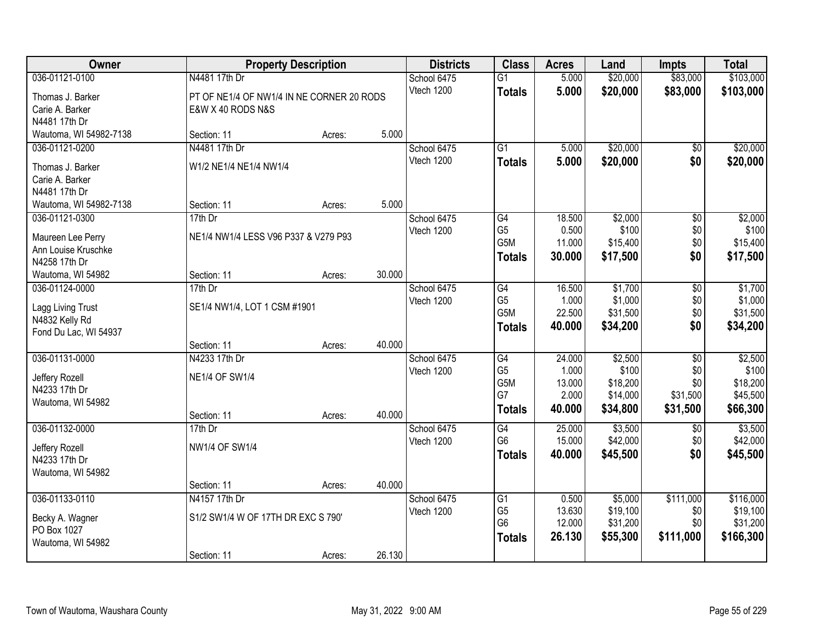| Owner                                    |                                           | <b>Property Description</b> |        | <b>Districts</b> | <b>Class</b>                      | <b>Acres</b>    | Land              | <b>Impts</b>    | <b>Total</b>      |
|------------------------------------------|-------------------------------------------|-----------------------------|--------|------------------|-----------------------------------|-----------------|-------------------|-----------------|-------------------|
| 036-01121-0100                           | N4481 17th Dr                             |                             |        | School 6475      | $\overline{G1}$                   | 5.000           | \$20,000          | \$83,000        | \$103,000         |
| Thomas J. Barker                         | PT OF NE1/4 OF NW1/4 IN NE CORNER 20 RODS |                             |        | Vtech 1200       | <b>Totals</b>                     | 5.000           | \$20,000          | \$83,000        | \$103,000         |
| Carie A. Barker                          | E&W X 40 RODS N&S                         |                             |        |                  |                                   |                 |                   |                 |                   |
| N4481 17th Dr                            |                                           |                             |        |                  |                                   |                 |                   |                 |                   |
| Wautoma, WI 54982-7138                   | Section: 11                               | Acres:                      | 5.000  |                  |                                   |                 |                   |                 |                   |
| 036-01121-0200                           | N4481 17th Dr                             |                             |        | School 6475      | $\overline{G1}$                   | 5.000           | \$20,000          | \$0             | \$20,000          |
| Thomas J. Barker                         | W1/2 NE1/4 NE1/4 NW1/4                    |                             |        | Vtech 1200       | <b>Totals</b>                     | 5.000           | \$20,000          | \$0             | \$20,000          |
| Carie A. Barker                          |                                           |                             |        |                  |                                   |                 |                   |                 |                   |
| N4481 17th Dr                            |                                           |                             |        |                  |                                   |                 |                   |                 |                   |
| Wautoma, WI 54982-7138                   | Section: 11                               | Acres:                      | 5.000  |                  |                                   |                 |                   |                 |                   |
| 036-01121-0300                           | $17th$ Dr                                 |                             |        | School 6475      | G4                                | 18.500          | \$2,000           | \$0             | \$2,000           |
|                                          | NE1/4 NW1/4 LESS V96 P337 & V279 P93      |                             |        | Vtech 1200       | G <sub>5</sub>                    | 0.500           | \$100             | \$0             | \$100             |
| Maureen Lee Perry<br>Ann Louise Kruschke |                                           |                             |        |                  | G5M                               | 11.000          | \$15,400          | \$0             | \$15,400          |
| N4258 17th Dr                            |                                           |                             |        |                  | <b>Totals</b>                     | 30,000          | \$17,500          | \$0             | \$17,500          |
| Wautoma, WI 54982                        | Section: 11                               | Acres:                      | 30.000 |                  |                                   |                 |                   |                 |                   |
| 036-01124-0000                           | 17th Dr                                   |                             |        | School 6475      | G4                                | 16.500          | \$1,700           | \$0             | \$1,700           |
|                                          |                                           |                             |        | Vtech 1200       | G <sub>5</sub>                    | 1.000           | \$1,000           | \$0             | \$1,000           |
| Lagg Living Trust                        | SE1/4 NW1/4, LOT 1 CSM #1901              |                             |        |                  | G <sub>5</sub> M                  | 22.500          | \$31,500          | \$0             | \$31,500          |
| N4832 Kelly Rd                           |                                           |                             |        |                  | <b>Totals</b>                     | 40.000          | \$34,200          | \$0             | \$34,200          |
| Fond Du Lac, WI 54937                    |                                           |                             |        |                  |                                   |                 |                   |                 |                   |
|                                          | Section: 11                               | Acres:                      | 40.000 |                  |                                   |                 |                   |                 |                   |
| 036-01131-0000                           | N4233 17th Dr                             |                             |        | School 6475      | $\overline{G4}$<br>G <sub>5</sub> | 24.000<br>1.000 | \$2,500           | $\overline{50}$ | \$2,500           |
| Jeffery Rozell                           | <b>NE1/4 OF SW1/4</b>                     |                             |        | Vtech 1200       | G5M                               | 13.000          | \$100<br>\$18,200 | \$0<br>\$0      | \$100<br>\$18,200 |
| N4233 17th Dr                            |                                           |                             |        |                  | G7                                | 2.000           | \$14,000          | \$31,500        | \$45,500          |
| Wautoma, WI 54982                        |                                           |                             |        |                  | <b>Totals</b>                     | 40.000          | \$34,800          | \$31,500        | \$66,300          |
|                                          | Section: 11                               | Acres:                      | 40.000 |                  |                                   |                 |                   |                 |                   |
| 036-01132-0000                           | 17th Dr                                   |                             |        | School 6475      | $\overline{G4}$                   | 25.000          | \$3,500           | \$0             | \$3,500           |
| Jeffery Rozell                           | <b>NW1/4 OF SW1/4</b>                     |                             |        | Vtech 1200       | G <sub>6</sub>                    | 15.000          | \$42,000          | \$0             | \$42,000          |
| N4233 17th Dr                            |                                           |                             |        |                  | <b>Totals</b>                     | 40.000          | \$45,500          | \$0             | \$45,500          |
| Wautoma, WI 54982                        |                                           |                             |        |                  |                                   |                 |                   |                 |                   |
|                                          | Section: 11                               | Acres:                      | 40.000 |                  |                                   |                 |                   |                 |                   |
| 036-01133-0110                           | N4157 17th Dr                             |                             |        | School 6475      | G1                                | 0.500           | \$5,000           | \$111,000       | \$116,000         |
|                                          | S1/2 SW1/4 W OF 17TH DR EXC S 790'        |                             |        | Vtech 1200       | G <sub>5</sub>                    | 13.630          | \$19,100          | \$0             | \$19,100          |
| Becky A. Wagner<br>PO Box 1027           |                                           |                             |        |                  | G <sub>6</sub>                    | 12.000          | \$31,200          | \$0             | \$31,200          |
| Wautoma, WI 54982                        |                                           |                             |        |                  | <b>Totals</b>                     | 26.130          | \$55,300          | \$111,000       | \$166,300         |
|                                          | Section: 11                               | Acres:                      | 26.130 |                  |                                   |                 |                   |                 |                   |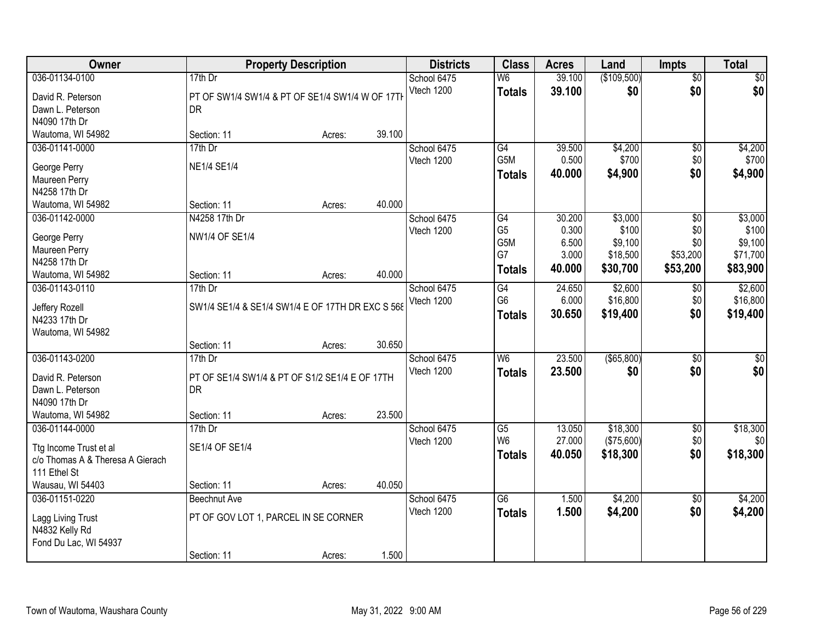| Owner                            |                                                  | <b>Property Description</b> |        | <b>Districts</b>          | <b>Class</b>    | <b>Acres</b> | Land          | <b>Impts</b>    | <b>Total</b>     |
|----------------------------------|--------------------------------------------------|-----------------------------|--------|---------------------------|-----------------|--------------|---------------|-----------------|------------------|
| 036-01134-0100                   | 17th Dr                                          |                             |        | School 6475               | W <sub>6</sub>  | 39.100       | (\$109,500)   | $\overline{50}$ | \$0              |
| David R. Peterson                | PT OF SW1/4 SW1/4 & PT OF SE1/4 SW1/4 W OF 17TH  |                             |        | Vtech 1200                | <b>Totals</b>   | 39.100       | \$0           | \$0             | \$0              |
| Dawn L. Peterson                 | DR                                               |                             |        |                           |                 |              |               |                 |                  |
| N4090 17th Dr                    |                                                  |                             |        |                           |                 |              |               |                 |                  |
| Wautoma, WI 54982                | Section: 11                                      | Acres:                      | 39.100 |                           |                 |              |               |                 |                  |
| 036-01141-0000                   | 17th Dr                                          |                             |        | School 6475               | G4              | 39.500       | \$4,200       | $\overline{50}$ | \$4,200          |
| George Perry                     | <b>NE1/4 SE1/4</b>                               |                             |        | Vtech 1200                | G5M             | 0.500        | \$700         | \$0             | \$700            |
| Maureen Perry                    |                                                  |                             |        |                           | <b>Totals</b>   | 40.000       | \$4,900       | \$0             | \$4,900          |
| N4258 17th Dr                    |                                                  |                             |        |                           |                 |              |               |                 |                  |
| Wautoma, WI 54982                | Section: 11                                      | Acres:                      | 40.000 |                           |                 |              |               |                 |                  |
| 036-01142-0000                   | N4258 17th Dr                                    |                             |        | School 6475               | G4              | 30.200       | \$3,000       | \$0             | \$3,000          |
|                                  |                                                  |                             |        | Vtech 1200                | G <sub>5</sub>  | 0.300        | \$100         | \$0             | \$100            |
| George Perry                     | NW1/4 OF SE1/4                                   |                             |        |                           | G5M             | 6.500        | \$9,100       | \$0             | \$9,100          |
| Maureen Perry<br>N4258 17th Dr   |                                                  |                             |        |                           | G7              | 3.000        | \$18,500      | \$53,200        | \$71,700         |
| Wautoma, WI 54982                | Section: 11                                      | Acres:                      | 40.000 |                           | <b>Totals</b>   | 40.000       | \$30,700      | \$53,200        | \$83,900         |
| 036-01143-0110                   | 17th Dr                                          |                             |        | School 6475               | G4              | 24.650       | \$2,600       | $\sqrt[6]{3}$   | \$2,600          |
|                                  |                                                  |                             |        | Vtech 1200                | G <sub>6</sub>  | 6.000        | \$16,800      | \$0             | \$16,800         |
| Jeffery Rozell                   | SW1/4 SE1/4 & SE1/4 SW1/4 E OF 17TH DR EXC S 568 |                             |        |                           | <b>Totals</b>   | 30.650       | \$19,400      | \$0             | \$19,400         |
| N4233 17th Dr                    |                                                  |                             |        |                           |                 |              |               |                 |                  |
| Wautoma, WI 54982                |                                                  |                             | 30.650 |                           |                 |              |               |                 |                  |
| 036-01143-0200                   | Section: 11<br>17th Dr                           | Acres:                      |        |                           | W <sub>6</sub>  | 23.500       | $($ \$65,800) | $\overline{50}$ | $\sqrt{50}$      |
|                                  |                                                  |                             |        | School 6475<br>Vtech 1200 |                 | 23.500       |               | \$0             |                  |
| David R. Peterson                | PT OF SE1/4 SW1/4 & PT OF S1/2 SE1/4 E OF 17TH   |                             |        |                           | Totals          |              | \$0           |                 | \$0              |
| Dawn L. Peterson                 | <b>DR</b>                                        |                             |        |                           |                 |              |               |                 |                  |
| N4090 17th Dr                    |                                                  |                             |        |                           |                 |              |               |                 |                  |
| Wautoma, WI 54982                | Section: 11                                      | Acres:                      | 23.500 |                           |                 |              |               |                 |                  |
| 036-01144-0000                   | $17th$ Dr                                        |                             |        | School 6475               | G5              | 13.050       | \$18,300      | $\sqrt{6}$      | \$18,300         |
| Ttg Income Trust et al           | SE1/4 OF SE1/4                                   |                             |        | Vtech 1200                | W <sub>6</sub>  | 27.000       | (\$75,600)    | \$0             | \$0 <sub>1</sub> |
| c/o Thomas A & Theresa A Gierach |                                                  |                             |        |                           | <b>Totals</b>   | 40.050       | \$18,300      | \$0             | \$18,300         |
| 111 Ethel St                     |                                                  |                             |        |                           |                 |              |               |                 |                  |
| Wausau, WI 54403                 | Section: 11                                      | Acres:                      | 40.050 |                           |                 |              |               |                 |                  |
| 036-01151-0220                   | <b>Beechnut Ave</b>                              |                             |        | School 6475               | $\overline{G6}$ | 1.500        | \$4,200       | $\overline{30}$ | \$4,200          |
| Lagg Living Trust                | PT OF GOV LOT 1, PARCEL IN SE CORNER             |                             |        | Vtech 1200                | <b>Totals</b>   | 1.500        | \$4,200       | \$0             | \$4,200          |
| N4832 Kelly Rd                   |                                                  |                             |        |                           |                 |              |               |                 |                  |
| Fond Du Lac, WI 54937            |                                                  |                             |        |                           |                 |              |               |                 |                  |
|                                  | Section: 11                                      | Acres:                      | 1.500  |                           |                 |              |               |                 |                  |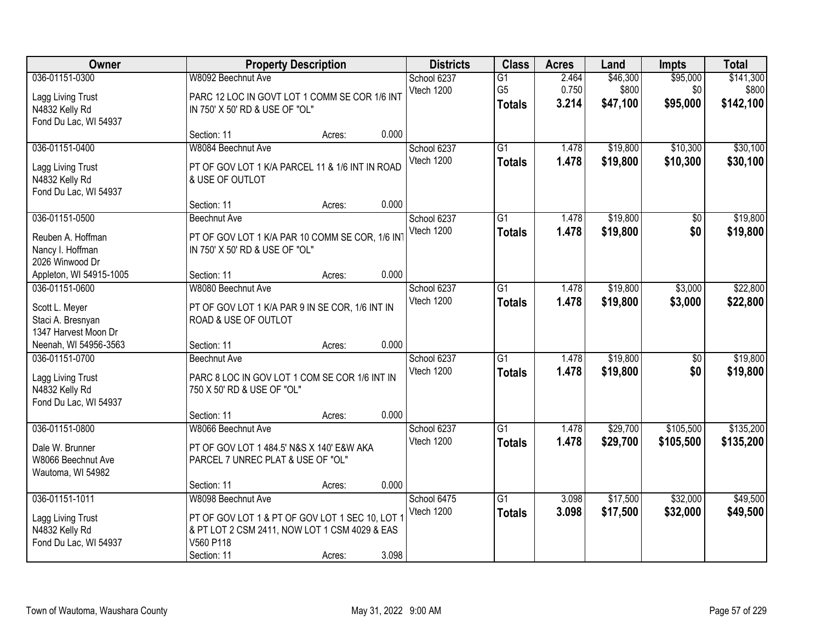| Owner                                                                          |                                                                                                                                                    | <b>Property Description</b> |       | <b>Districts</b>          | <b>Class</b>                     | <b>Acres</b>   | Land                 | <b>Impts</b>           | <b>Total</b>           |
|--------------------------------------------------------------------------------|----------------------------------------------------------------------------------------------------------------------------------------------------|-----------------------------|-------|---------------------------|----------------------------------|----------------|----------------------|------------------------|------------------------|
| 036-01151-0300                                                                 | W8092 Beechnut Ave                                                                                                                                 |                             |       | School 6237               | $\overline{G1}$                  | 2.464          | \$46,300             | \$95,000               | \$141,300              |
| Lagg Living Trust<br>N4832 Kelly Rd<br>Fond Du Lac, WI 54937                   | PARC 12 LOC IN GOVT LOT 1 COMM SE COR 1/6 INT<br>IN 750' X 50' RD & USE OF "OL"                                                                    |                             |       | Vtech 1200                | G <sub>5</sub><br><b>Totals</b>  | 0.750<br>3.214 | \$800<br>\$47,100    | \$0<br>\$95,000        | \$800<br>\$142,100     |
|                                                                                | Section: 11                                                                                                                                        | Acres:                      | 0.000 |                           |                                  |                |                      |                        |                        |
| 036-01151-0400<br>Lagg Living Trust<br>N4832 Kelly Rd<br>Fond Du Lac, WI 54937 | W8084 Beechnut Ave<br>PT OF GOV LOT 1 K/A PARCEL 11 & 1/6 INT IN ROAD<br>& USE OF OUTLOT                                                           |                             |       | School 6237<br>Vtech 1200 | $\overline{G1}$<br><b>Totals</b> | 1.478<br>1.478 | \$19,800<br>\$19,800 | \$10,300<br>\$10,300   | \$30,100<br>\$30,100   |
|                                                                                | Section: 11                                                                                                                                        | Acres:                      | 0.000 |                           |                                  |                |                      |                        |                        |
| 036-01151-0500<br>Reuben A. Hoffman<br>Nancy I. Hoffman<br>2026 Winwood Dr     | <b>Beechnut Ave</b><br>PT OF GOV LOT 1 K/A PAR 10 COMM SE COR, 1/6 IN<br>IN 750' X 50' RD & USE OF "OL"                                            |                             |       | School 6237<br>Vtech 1200 | G1<br><b>Totals</b>              | 1.478<br>1.478 | \$19,800<br>\$19,800 | \$0<br>\$0             | \$19,800<br>\$19,800   |
| Appleton, WI 54915-1005                                                        | Section: 11                                                                                                                                        | Acres:                      | 0.000 |                           |                                  |                |                      |                        |                        |
| 036-01151-0600<br>Scott L. Meyer<br>Staci A. Bresnyan                          | W8080 Beechnut Ave<br>PT OF GOV LOT 1 K/A PAR 9 IN SE COR, 1/6 INT IN<br>ROAD & USE OF OUTLOT                                                      |                             |       | School 6237<br>Vtech 1200 | $\overline{G1}$<br><b>Totals</b> | 1.478<br>1.478 | \$19,800<br>\$19,800 | \$3,000<br>\$3,000     | \$22,800<br>\$22,800   |
| 1347 Harvest Moon Dr<br>Neenah, WI 54956-3563                                  | Section: 11                                                                                                                                        | Acres:                      | 0.000 |                           |                                  |                |                      |                        |                        |
| 036-01151-0700<br>Lagg Living Trust<br>N4832 Kelly Rd<br>Fond Du Lac, WI 54937 | Beechnut Ave<br>PARC 8 LOC IN GOV LOT 1 COM SE COR 1/6 INT IN<br>750 X 50' RD & USE OF "OL"                                                        |                             |       | School 6237<br>Vtech 1200 | $\overline{G1}$<br><b>Totals</b> | 1.478<br>1.478 | \$19,800<br>\$19,800 | \$0<br>\$0             | \$19,800<br>\$19,800   |
|                                                                                | Section: 11                                                                                                                                        | Acres:                      | 0.000 |                           |                                  |                |                      |                        |                        |
| 036-01151-0800<br>Dale W. Brunner<br>W8066 Beechnut Ave<br>Wautoma, WI 54982   | W8066 Beechnut Ave<br>PT OF GOV LOT 1 484.5' N&S X 140' E&W AKA<br>PARCEL 7 UNREC PLAT & USE OF "OL"                                               |                             |       | School 6237<br>Vtech 1200 | G1<br><b>Totals</b>              | 1.478<br>1.478 | \$29,700<br>\$29,700 | \$105,500<br>\$105,500 | \$135,200<br>\$135,200 |
|                                                                                | Section: 11                                                                                                                                        | Acres:                      | 0.000 |                           |                                  |                |                      |                        |                        |
| 036-01151-1011<br>Lagg Living Trust<br>N4832 Kelly Rd<br>Fond Du Lac, WI 54937 | W8098 Beechnut Ave<br>PT OF GOV LOT 1 & PT OF GOV LOT 1 SEC 10, LOT 1<br>& PT LOT 2 CSM 2411, NOW LOT 1 CSM 4029 & EAS<br>V560 P118<br>Section: 11 | Acres:                      | 3.098 | School 6475<br>Vtech 1200 | $\overline{G1}$<br><b>Totals</b> | 3.098<br>3.098 | \$17,500<br>\$17,500 | \$32,000<br>\$32,000   | \$49,500<br>\$49,500   |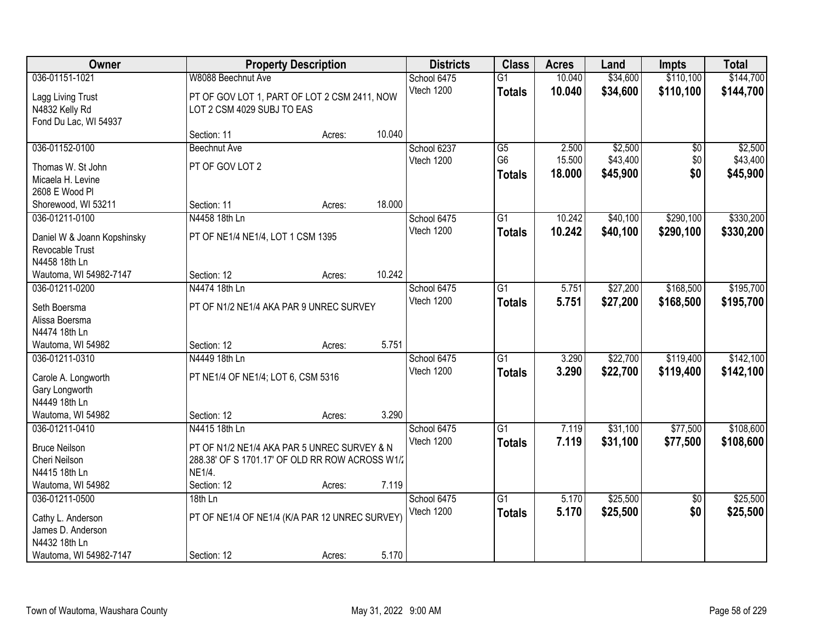| Owner                           |                                                 | <b>Property Description</b> |        | <b>Districts</b> | <b>Class</b>    | <b>Acres</b> | Land     | <b>Impts</b>    | <b>Total</b> |
|---------------------------------|-------------------------------------------------|-----------------------------|--------|------------------|-----------------|--------------|----------|-----------------|--------------|
| 036-01151-1021                  | W8088 Beechnut Ave                              |                             |        | School 6475      | $\overline{G1}$ | 10.040       | \$34,600 | \$110,100       | \$144,700    |
| Lagg Living Trust               | PT OF GOV LOT 1, PART OF LOT 2 CSM 2411, NOW    |                             |        | Vtech 1200       | <b>Totals</b>   | 10.040       | \$34,600 | \$110,100       | \$144,700    |
| N4832 Kelly Rd                  | LOT 2 CSM 4029 SUBJ TO EAS                      |                             |        |                  |                 |              |          |                 |              |
| Fond Du Lac, WI 54937           |                                                 |                             |        |                  |                 |              |          |                 |              |
|                                 | Section: 11                                     | Acres:                      | 10.040 |                  |                 |              |          |                 |              |
| 036-01152-0100                  | <b>Beechnut Ave</b>                             |                             |        | School 6237      | $\overline{G5}$ | 2.500        | \$2,500  | $\overline{50}$ | \$2,500      |
| Thomas W. St John               | PT OF GOV LOT 2                                 |                             |        | Vtech 1200       | G <sub>6</sub>  | 15.500       | \$43,400 | \$0             | \$43,400     |
| Micaela H. Levine               |                                                 |                             |        |                  | <b>Totals</b>   | 18.000       | \$45,900 | \$0             | \$45,900     |
| 2608 E Wood Pl                  |                                                 |                             |        |                  |                 |              |          |                 |              |
| Shorewood, WI 53211             | Section: 11                                     | Acres:                      | 18.000 |                  |                 |              |          |                 |              |
| 036-01211-0100                  | N4458 18th Ln                                   |                             |        | School 6475      | $\overline{G1}$ | 10.242       | \$40,100 | \$290,100       | \$330,200    |
| Daniel W & Joann Kopshinsky     | PT OF NE1/4 NE1/4, LOT 1 CSM 1395               |                             |        | Vtech 1200       | <b>Totals</b>   | 10.242       | \$40,100 | \$290,100       | \$330,200    |
| Revocable Trust                 |                                                 |                             |        |                  |                 |              |          |                 |              |
| N4458 18th Ln                   |                                                 |                             |        |                  |                 |              |          |                 |              |
| Wautoma, WI 54982-7147          | Section: 12                                     | Acres:                      | 10.242 |                  |                 |              |          |                 |              |
| 036-01211-0200                  | N4474 18th Ln                                   |                             |        | School 6475      | $\overline{G1}$ | 5.751        | \$27,200 | \$168,500       | \$195,700    |
|                                 |                                                 |                             |        | Vtech 1200       | <b>Totals</b>   | 5.751        | \$27,200 | \$168,500       | \$195,700    |
| Seth Boersma                    | PT OF N1/2 NE1/4 AKA PAR 9 UNREC SURVEY         |                             |        |                  |                 |              |          |                 |              |
| Alissa Boersma<br>N4474 18th Ln |                                                 |                             |        |                  |                 |              |          |                 |              |
| Wautoma, WI 54982               | Section: 12                                     | Acres:                      | 5.751  |                  |                 |              |          |                 |              |
| 036-01211-0310                  | N4449 18th Ln                                   |                             |        | School 6475      | $\overline{G1}$ | 3.290        | \$22,700 | \$119,400       | \$142,100    |
|                                 |                                                 |                             |        | Vtech 1200       | <b>Totals</b>   | 3.290        | \$22,700 | \$119,400       | \$142,100    |
| Carole A. Longworth             | PT NE1/4 OF NE1/4; LOT 6, CSM 5316              |                             |        |                  |                 |              |          |                 |              |
| Gary Longworth                  |                                                 |                             |        |                  |                 |              |          |                 |              |
| N4449 18th Ln                   |                                                 |                             |        |                  |                 |              |          |                 |              |
| Wautoma, WI 54982               | Section: 12                                     | Acres:                      | 3.290  |                  |                 |              |          |                 |              |
| 036-01211-0410                  | N4415 18th Ln                                   |                             |        | School 6475      | $\overline{G1}$ | 7.119        | \$31,100 | \$77,500        | \$108,600    |
| <b>Bruce Neilson</b>            | PT OF N1/2 NE1/4 AKA PAR 5 UNREC SURVEY & N     |                             |        | Vtech 1200       | <b>Totals</b>   | 7.119        | \$31,100 | \$77,500        | \$108,600    |
| Cheri Neilson                   | 288.38' OF S 1701.17' OF OLD RR ROW ACROSS W1/2 |                             |        |                  |                 |              |          |                 |              |
| N4415 18th Ln                   | NE1/4.                                          |                             |        |                  |                 |              |          |                 |              |
| Wautoma, WI 54982               | Section: 12                                     | Acres:                      | 7.119  |                  |                 |              |          |                 |              |
| 036-01211-0500                  | 18th Ln                                         |                             |        | School 6475      | $\overline{G1}$ | 5.170        | \$25,500 | $\overline{30}$ | \$25,500     |
| Cathy L. Anderson               | PT OF NE1/4 OF NE1/4 (K/A PAR 12 UNREC SURVEY)  |                             |        | Vtech 1200       | <b>Totals</b>   | 5.170        | \$25,500 | \$0             | \$25,500     |
| James D. Anderson               |                                                 |                             |        |                  |                 |              |          |                 |              |
| N4432 18th Ln                   |                                                 |                             |        |                  |                 |              |          |                 |              |
| Wautoma, WI 54982-7147          | Section: 12                                     | Acres:                      | 5.170  |                  |                 |              |          |                 |              |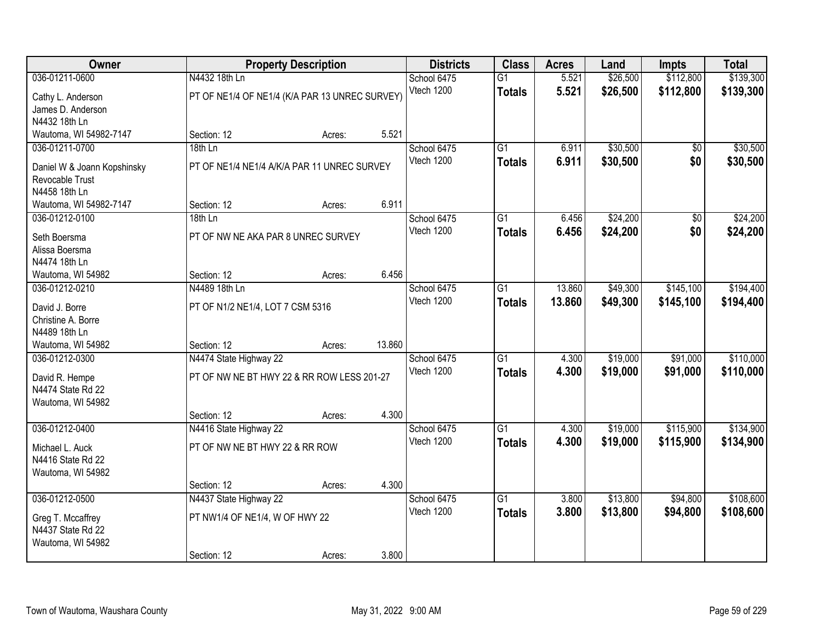| <b>Owner</b>                           |                                                | <b>Property Description</b> |        | <b>Districts</b> | <b>Class</b>    | <b>Acres</b> | Land     | <b>Impts</b>    | <b>Total</b> |
|----------------------------------------|------------------------------------------------|-----------------------------|--------|------------------|-----------------|--------------|----------|-----------------|--------------|
| 036-01211-0600                         | N4432 18th Ln                                  |                             |        | School 6475      | $\overline{G1}$ | 5.521        | \$26,500 | \$112,800       | \$139,300    |
| Cathy L. Anderson                      | PT OF NE1/4 OF NE1/4 (K/A PAR 13 UNREC SURVEY) |                             |        | Vtech 1200       | <b>Totals</b>   | 5.521        | \$26,500 | \$112,800       | \$139,300    |
| James D. Anderson                      |                                                |                             |        |                  |                 |              |          |                 |              |
| N4432 18th Ln                          |                                                |                             |        |                  |                 |              |          |                 |              |
| Wautoma, WI 54982-7147                 | Section: 12                                    | Acres:                      | 5.521  |                  |                 |              |          |                 |              |
| 036-01211-0700                         | 18th Ln                                        |                             |        | School 6475      | $\overline{G1}$ | 6.911        | \$30,500 | $\overline{50}$ | \$30,500     |
| Daniel W & Joann Kopshinsky            | PT OF NE1/4 NE1/4 A/K/A PAR 11 UNREC SURVEY    |                             |        | Vtech 1200       | <b>Totals</b>   | 6.911        | \$30,500 | \$0             | \$30,500     |
| Revocable Trust                        |                                                |                             |        |                  |                 |              |          |                 |              |
| N4458 18th Ln                          |                                                |                             |        |                  |                 |              |          |                 |              |
| Wautoma, WI 54982-7147                 | Section: 12                                    | Acres:                      | 6.911  |                  |                 |              |          |                 |              |
| 036-01212-0100                         | 18th Ln                                        |                             |        | School 6475      | G1              | 6.456        | \$24,200 | \$0             | \$24,200     |
| Seth Boersma                           | PT OF NW NE AKA PAR 8 UNREC SURVEY             |                             |        | Vtech 1200       | <b>Totals</b>   | 6.456        | \$24,200 | \$0             | \$24,200     |
| Alissa Boersma                         |                                                |                             |        |                  |                 |              |          |                 |              |
| N4474 18th Ln                          |                                                |                             |        |                  |                 |              |          |                 |              |
| Wautoma, WI 54982                      | Section: 12                                    | Acres:                      | 6.456  |                  |                 |              |          |                 |              |
| 036-01212-0210                         | N4489 18th Ln                                  |                             |        | School 6475      | G1              | 13.860       | \$49,300 | \$145,100       | \$194,400    |
| David J. Borre                         | PT OF N1/2 NE1/4, LOT 7 CSM 5316               |                             |        | Vtech 1200       | <b>Totals</b>   | 13.860       | \$49,300 | \$145,100       | \$194,400    |
| Christine A. Borre                     |                                                |                             |        |                  |                 |              |          |                 |              |
| N4489 18th Ln                          |                                                |                             |        |                  |                 |              |          |                 |              |
| Wautoma, WI 54982                      | Section: 12                                    | Acres:                      | 13.860 |                  |                 |              |          |                 |              |
| 036-01212-0300                         | N4474 State Highway 22                         |                             |        | School 6475      | $\overline{G1}$ | 4.300        | \$19,000 | \$91,000        | \$110,000    |
|                                        | PT OF NW NE BT HWY 22 & RR ROW LESS 201-27     |                             |        | Vtech 1200       | <b>Totals</b>   | 4.300        | \$19,000 | \$91,000        | \$110,000    |
| David R. Hempe<br>N4474 State Rd 22    |                                                |                             |        |                  |                 |              |          |                 |              |
| Wautoma, WI 54982                      |                                                |                             |        |                  |                 |              |          |                 |              |
|                                        | Section: 12                                    | Acres:                      | 4.300  |                  |                 |              |          |                 |              |
| 036-01212-0400                         | N4416 State Highway 22                         |                             |        | School 6475      | $\overline{G1}$ | 4.300        | \$19,000 | \$115,900       | \$134,900    |
| Michael L. Auck                        | PT OF NW NE BT HWY 22 & RR ROW                 |                             |        | Vtech 1200       | <b>Totals</b>   | 4.300        | \$19,000 | \$115,900       | \$134,900    |
| N4416 State Rd 22                      |                                                |                             |        |                  |                 |              |          |                 |              |
| Wautoma, WI 54982                      |                                                |                             |        |                  |                 |              |          |                 |              |
|                                        | Section: 12                                    | Acres:                      | 4.300  |                  |                 |              |          |                 |              |
| 036-01212-0500                         | N4437 State Highway 22                         |                             |        | School 6475      | $\overline{G1}$ | 3.800        | \$13,800 | \$94,800        | \$108,600    |
|                                        |                                                |                             |        | Vtech 1200       | <b>Totals</b>   | 3.800        | \$13,800 | \$94,800        | \$108,600    |
| Greg T. Mccaffrey<br>N4437 State Rd 22 | PT NW1/4 OF NE1/4, W OF HWY 22                 |                             |        |                  |                 |              |          |                 |              |
| Wautoma, WI 54982                      |                                                |                             |        |                  |                 |              |          |                 |              |
|                                        | Section: 12                                    | Acres:                      | 3.800  |                  |                 |              |          |                 |              |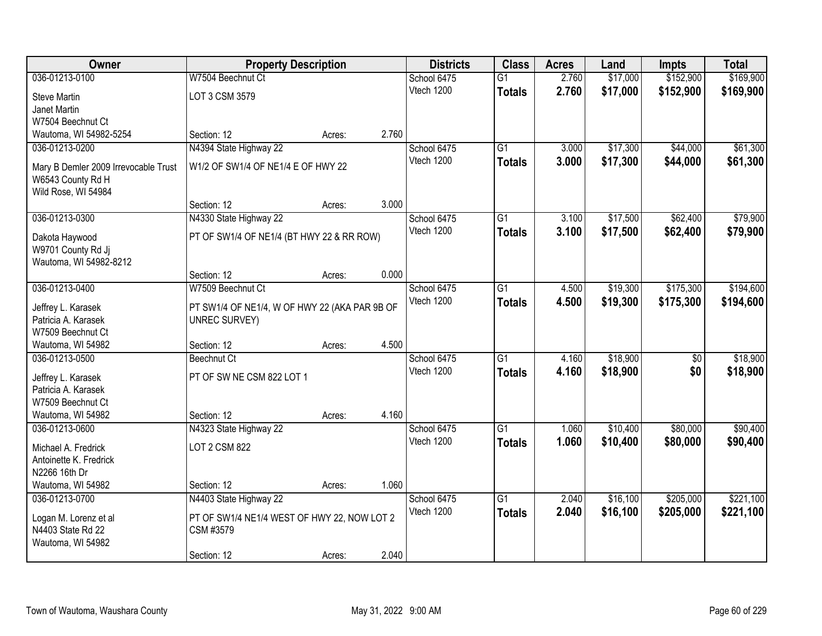| Owner                                    | <b>Property Description</b>                   |        |       | <b>Districts</b> | <b>Class</b>    | <b>Acres</b> | Land     | <b>Impts</b> | <b>Total</b> |
|------------------------------------------|-----------------------------------------------|--------|-------|------------------|-----------------|--------------|----------|--------------|--------------|
| 036-01213-0100                           | W7504 Beechnut Ct                             |        |       | School 6475      | $\overline{G1}$ | 2.760        | \$17,000 | \$152,900    | \$169,900    |
| <b>Steve Martin</b>                      | LOT 3 CSM 3579                                |        |       | Vtech 1200       | <b>Totals</b>   | 2.760        | \$17,000 | \$152,900    | \$169,900    |
| Janet Martin                             |                                               |        |       |                  |                 |              |          |              |              |
| W7504 Beechnut Ct                        |                                               |        |       |                  |                 |              |          |              |              |
| Wautoma, WI 54982-5254                   | Section: 12                                   | Acres: | 2.760 |                  |                 |              |          |              |              |
| 036-01213-0200                           | N4394 State Highway 22                        |        |       | School 6475      | $\overline{G1}$ | 3.000        | \$17,300 | \$44,000     | \$61,300     |
| Mary B Demler 2009 Irrevocable Trust     | W1/2 OF SW1/4 OF NE1/4 E OF HWY 22            |        |       | Vtech 1200       | <b>Totals</b>   | 3.000        | \$17,300 | \$44,000     | \$61,300     |
| W6543 County Rd H                        |                                               |        |       |                  |                 |              |          |              |              |
| Wild Rose, WI 54984                      |                                               |        |       |                  |                 |              |          |              |              |
|                                          | Section: 12                                   | Acres: | 3.000 |                  |                 |              |          |              |              |
| 036-01213-0300                           | N4330 State Highway 22                        |        |       | School 6475      | $\overline{G1}$ | 3.100        | \$17,500 | \$62,400     | \$79,900     |
|                                          | PT OF SW1/4 OF NE1/4 (BT HWY 22 & RR ROW)     |        |       | Vtech 1200       | <b>Totals</b>   | 3.100        | \$17,500 | \$62,400     | \$79,900     |
| Dakota Haywood<br>W9701 County Rd Jj     |                                               |        |       |                  |                 |              |          |              |              |
| Wautoma, WI 54982-8212                   |                                               |        |       |                  |                 |              |          |              |              |
|                                          | Section: 12                                   | Acres: | 0.000 |                  |                 |              |          |              |              |
| 036-01213-0400                           | W7509 Beechnut Ct                             |        |       | School 6475      | G1              | 4.500        | \$19,300 | \$175,300    | \$194,600    |
|                                          |                                               |        |       | Vtech 1200       | <b>Totals</b>   | 4.500        | \$19,300 | \$175,300    | \$194,600    |
| Jeffrey L. Karasek                       | PT SW1/4 OF NE1/4, W OF HWY 22 (AKA PAR 9B OF |        |       |                  |                 |              |          |              |              |
| Patricia A. Karasek<br>W7509 Beechnut Ct | <b>UNREC SURVEY)</b>                          |        |       |                  |                 |              |          |              |              |
| Wautoma, WI 54982                        | Section: 12                                   | Acres: | 4.500 |                  |                 |              |          |              |              |
| 036-01213-0500                           | <b>Beechnut Ct</b>                            |        |       | School 6475      | $\overline{G1}$ | 4.160        | \$18,900 | \$0          | \$18,900     |
|                                          |                                               |        |       | Vtech 1200       | <b>Totals</b>   | 4.160        | \$18,900 | \$0          | \$18,900     |
| Jeffrey L. Karasek                       | PT OF SW NE CSM 822 LOT 1                     |        |       |                  |                 |              |          |              |              |
| Patricia A. Karasek                      |                                               |        |       |                  |                 |              |          |              |              |
| W7509 Beechnut Ct                        |                                               |        | 4.160 |                  |                 |              |          |              |              |
| Wautoma, WI 54982<br>036-01213-0600      | Section: 12<br>N4323 State Highway 22         | Acres: |       | School 6475      | $\overline{G1}$ | 1.060        | \$10,400 | \$80,000     | \$90,400     |
|                                          |                                               |        |       | Vtech 1200       | <b>Totals</b>   | 1.060        | \$10,400 | \$80,000     | \$90,400     |
| Michael A. Fredrick                      | LOT 2 CSM 822                                 |        |       |                  |                 |              |          |              |              |
| Antoinette K. Fredrick                   |                                               |        |       |                  |                 |              |          |              |              |
| N2266 16th Dr                            |                                               |        |       |                  |                 |              |          |              |              |
| Wautoma, WI 54982                        | Section: 12                                   | Acres: | 1.060 |                  |                 |              |          |              |              |
| 036-01213-0700                           | N4403 State Highway 22                        |        |       | School 6475      | $\overline{G1}$ | 2.040        | \$16,100 | \$205,000    | \$221,100    |
| Logan M. Lorenz et al                    | PT OF SW1/4 NE1/4 WEST OF HWY 22, NOW LOT 2   |        |       | Vtech 1200       | <b>Totals</b>   | 2.040        | \$16,100 | \$205,000    | \$221,100    |
| N4403 State Rd 22                        | CSM #3579                                     |        |       |                  |                 |              |          |              |              |
| Wautoma, WI 54982                        |                                               |        |       |                  |                 |              |          |              |              |
|                                          | Section: 12                                   | Acres: | 2.040 |                  |                 |              |          |              |              |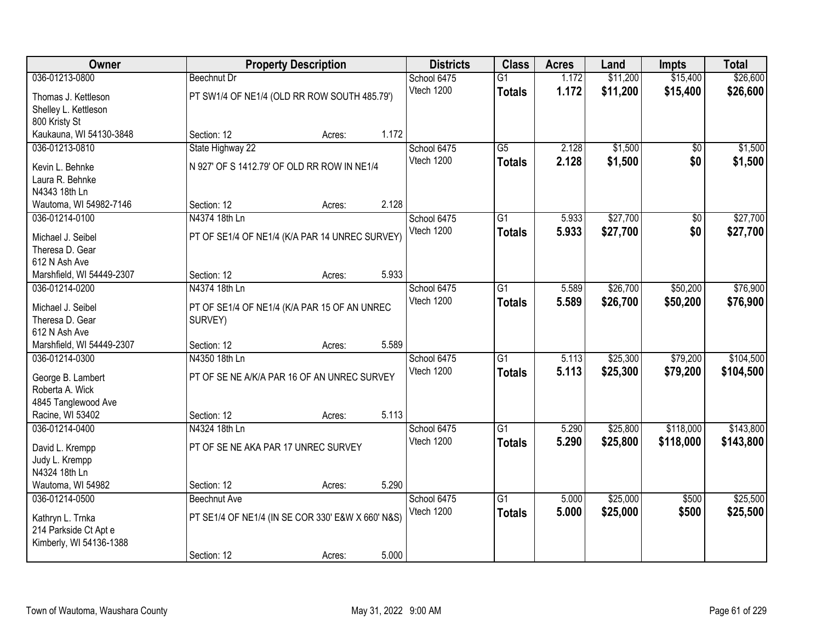| Owner                     |                                     | <b>Property Description</b>                       |       | <b>Districts</b> | <b>Class</b>    | <b>Acres</b> | Land     | <b>Impts</b>    | <b>Total</b> |
|---------------------------|-------------------------------------|---------------------------------------------------|-------|------------------|-----------------|--------------|----------|-----------------|--------------|
| 036-01213-0800            | <b>Beechnut Dr</b>                  |                                                   |       | School 6475      | $\overline{G1}$ | 1.172        | \$11,200 | \$15,400        | \$26,600     |
| Thomas J. Kettleson       |                                     | PT SW1/4 OF NE1/4 (OLD RR ROW SOUTH 485.79')      |       | Vtech 1200       | <b>Totals</b>   | 1.172        | \$11,200 | \$15,400        | \$26,600     |
| Shelley L. Kettleson      |                                     |                                                   |       |                  |                 |              |          |                 |              |
| 800 Kristy St             |                                     |                                                   |       |                  |                 |              |          |                 |              |
| Kaukauna, WI 54130-3848   | Section: 12                         | Acres:                                            | 1.172 |                  |                 |              |          |                 |              |
| 036-01213-0810            | State Highway 22                    |                                                   |       | School 6475      | $\overline{G5}$ | 2.128        | \$1,500  | $\overline{30}$ | \$1,500      |
| Kevin L. Behnke           |                                     | N 927' OF S 1412.79' OF OLD RR ROW IN NE1/4       |       | Vtech 1200       | <b>Totals</b>   | 2.128        | \$1,500  | \$0             | \$1,500      |
| Laura R. Behnke           |                                     |                                                   |       |                  |                 |              |          |                 |              |
| N4343 18th Ln             |                                     |                                                   |       |                  |                 |              |          |                 |              |
| Wautoma, WI 54982-7146    | Section: 12                         | Acres:                                            | 2.128 |                  |                 |              |          |                 |              |
| 036-01214-0100            | N4374 18th Ln                       |                                                   |       | School 6475      | $\overline{G1}$ | 5.933        | \$27,700 | \$0             | \$27,700     |
| Michael J. Seibel         |                                     | PT OF SE1/4 OF NE1/4 (K/A PAR 14 UNREC SURVEY)    |       | Vtech 1200       | <b>Totals</b>   | 5.933        | \$27,700 | \$0             | \$27,700     |
| Theresa D. Gear           |                                     |                                                   |       |                  |                 |              |          |                 |              |
| 612 N Ash Ave             |                                     |                                                   |       |                  |                 |              |          |                 |              |
| Marshfield, WI 54449-2307 | Section: 12                         | Acres:                                            | 5.933 |                  |                 |              |          |                 |              |
| 036-01214-0200            | N4374 18th Ln                       |                                                   |       | School 6475      | $\overline{G1}$ | 5.589        | \$26,700 | \$50,200        | \$76,900     |
| Michael J. Seibel         |                                     | PT OF SE1/4 OF NE1/4 (K/A PAR 15 OF AN UNREC      |       | Vtech 1200       | <b>Totals</b>   | 5.589        | \$26,700 | \$50,200        | \$76,900     |
| Theresa D. Gear           | SURVEY)                             |                                                   |       |                  |                 |              |          |                 |              |
| 612 N Ash Ave             |                                     |                                                   |       |                  |                 |              |          |                 |              |
| Marshfield, WI 54449-2307 | Section: 12                         | Acres:                                            | 5.589 |                  |                 |              |          |                 |              |
| 036-01214-0300            | N4350 18th Ln                       |                                                   |       | School 6475      | $\overline{G1}$ | 5.113        | \$25,300 | \$79,200        | \$104,500    |
| George B. Lambert         |                                     | PT OF SE NE A/K/A PAR 16 OF AN UNREC SURVEY       |       | Vtech 1200       | <b>Totals</b>   | 5.113        | \$25,300 | \$79,200        | \$104,500    |
| Roberta A. Wick           |                                     |                                                   |       |                  |                 |              |          |                 |              |
| 4845 Tanglewood Ave       |                                     |                                                   |       |                  |                 |              |          |                 |              |
| Racine, WI 53402          | Section: 12                         | Acres:                                            | 5.113 |                  |                 |              |          |                 |              |
| 036-01214-0400            | N4324 18th Ln                       |                                                   |       | School 6475      | $\overline{G1}$ | 5.290        | \$25,800 | \$118,000       | \$143,800    |
| David L. Krempp           | PT OF SE NE AKA PAR 17 UNREC SURVEY |                                                   |       | Vtech 1200       | <b>Totals</b>   | 5.290        | \$25,800 | \$118,000       | \$143,800    |
| Judy L. Krempp            |                                     |                                                   |       |                  |                 |              |          |                 |              |
| N4324 18th Ln             |                                     |                                                   |       |                  |                 |              |          |                 |              |
| Wautoma, WI 54982         | Section: 12                         | Acres:                                            | 5.290 |                  |                 |              |          |                 |              |
| 036-01214-0500            | Beechnut Ave                        |                                                   |       | School 6475      | $\overline{G1}$ | 5.000        | \$25,000 | \$500           | \$25,500     |
| Kathryn L. Trnka          |                                     | PT SE1/4 OF NE1/4 (IN SE COR 330' E&W X 660' N&S) |       | Vtech 1200       | <b>Totals</b>   | 5.000        | \$25,000 | \$500           | \$25,500     |
| 214 Parkside Ct Apt e     |                                     |                                                   |       |                  |                 |              |          |                 |              |
| Kimberly, WI 54136-1388   |                                     |                                                   |       |                  |                 |              |          |                 |              |
|                           | Section: 12                         | Acres:                                            | 5.000 |                  |                 |              |          |                 |              |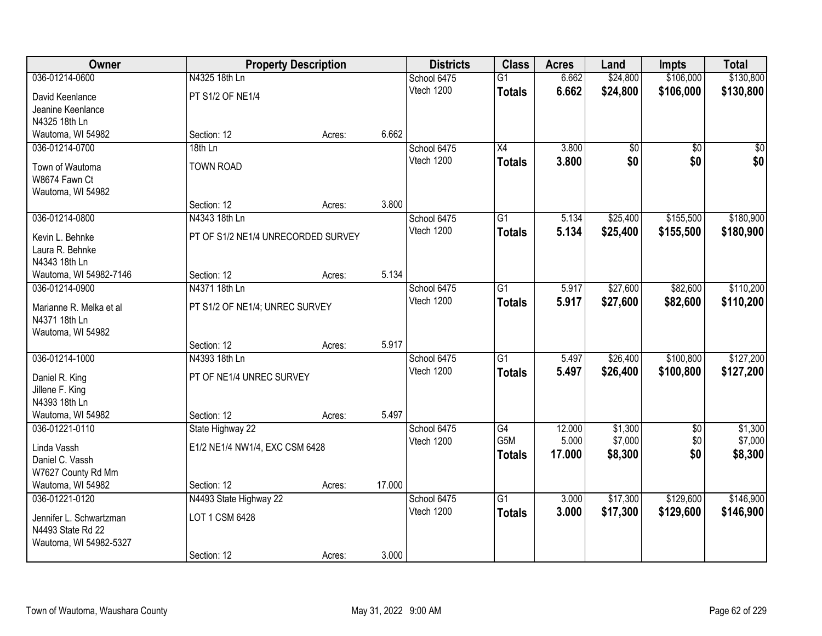| Owner                            |                                    | <b>Property Description</b> |        | <b>Districts</b>          | <b>Class</b>    | <b>Acres</b> | Land     | <b>Impts</b>    | <b>Total</b> |
|----------------------------------|------------------------------------|-----------------------------|--------|---------------------------|-----------------|--------------|----------|-----------------|--------------|
| 036-01214-0600                   | N4325 18th Ln                      |                             |        | School 6475               | $\overline{G1}$ | 6.662        | \$24,800 | \$106,000       | \$130,800    |
| David Keenlance                  | PT S1/2 OF NE1/4                   |                             |        | Vtech 1200                | <b>Totals</b>   | 6.662        | \$24,800 | \$106,000       | \$130,800    |
| Jeanine Keenlance                |                                    |                             |        |                           |                 |              |          |                 |              |
| N4325 18th Ln                    |                                    |                             |        |                           |                 |              |          |                 |              |
| Wautoma, WI 54982                | Section: 12                        | Acres:                      | 6.662  |                           |                 |              |          |                 |              |
| 036-01214-0700                   | 18th Ln                            |                             |        | School 6475               | $\overline{X4}$ | 3.800        | \$0      | $\overline{50}$ | $\sqrt{50}$  |
| Town of Wautoma                  | <b>TOWN ROAD</b>                   |                             |        | Vtech 1200                | <b>Totals</b>   | 3.800        | \$0      | \$0             | \$0          |
| W8674 Fawn Ct                    |                                    |                             |        |                           |                 |              |          |                 |              |
| Wautoma, WI 54982                |                                    |                             |        |                           |                 |              |          |                 |              |
|                                  | Section: 12                        | Acres:                      | 3.800  |                           |                 |              |          |                 |              |
| 036-01214-0800                   | N4343 18th Ln                      |                             |        | School 6475               | G1              | 5.134        | \$25,400 | \$155,500       | \$180,900    |
|                                  |                                    |                             |        | Vtech 1200                | <b>Totals</b>   | 5.134        | \$25,400 | \$155,500       | \$180,900    |
| Kevin L. Behnke                  | PT OF S1/2 NE1/4 UNRECORDED SURVEY |                             |        |                           |                 |              |          |                 |              |
| Laura R. Behnke<br>N4343 18th Ln |                                    |                             |        |                           |                 |              |          |                 |              |
| Wautoma, WI 54982-7146           | Section: 12                        | Acres:                      | 5.134  |                           |                 |              |          |                 |              |
| 036-01214-0900                   | N4371 18th Ln                      |                             |        | School 6475               | G1              | 5.917        | \$27,600 | \$82,600        | \$110,200    |
|                                  |                                    |                             |        | Vtech 1200                | <b>Totals</b>   | 5.917        | \$27,600 | \$82,600        | \$110,200    |
| Marianne R. Melka et al          | PT S1/2 OF NE1/4; UNREC SURVEY     |                             |        |                           |                 |              |          |                 |              |
| N4371 18th Ln                    |                                    |                             |        |                           |                 |              |          |                 |              |
| Wautoma, WI 54982                |                                    |                             | 5.917  |                           |                 |              |          |                 |              |
| 036-01214-1000                   | Section: 12<br>N4393 18th Ln       | Acres:                      |        |                           | $\overline{G1}$ |              |          |                 | \$127,200    |
|                                  |                                    |                             |        | School 6475<br>Vtech 1200 |                 | 5.497        | \$26,400 | \$100,800       |              |
| Daniel R. King                   | PT OF NE1/4 UNREC SURVEY           |                             |        |                           | <b>Totals</b>   | 5.497        | \$26,400 | \$100,800       | \$127,200    |
| Jillene F. King                  |                                    |                             |        |                           |                 |              |          |                 |              |
| N4393 18th Ln                    |                                    |                             |        |                           |                 |              |          |                 |              |
| Wautoma, WI 54982                | Section: 12                        | Acres:                      | 5.497  |                           |                 |              |          |                 |              |
| 036-01221-0110                   | State Highway 22                   |                             |        | School 6475               | G4              | 12.000       | \$1,300  | \$0             | \$1,300      |
| Linda Vassh                      | E1/2 NE1/4 NW1/4, EXC CSM 6428     |                             |        | Vtech 1200                | G5M             | 5.000        | \$7,000  | \$0             | \$7,000      |
| Daniel C. Vassh                  |                                    |                             |        |                           | <b>Totals</b>   | 17.000       | \$8,300  | \$0             | \$8,300      |
| W7627 County Rd Mm               |                                    |                             |        |                           |                 |              |          |                 |              |
| Wautoma, WI 54982                | Section: 12                        | Acres:                      | 17.000 |                           |                 |              |          |                 |              |
| 036-01221-0120                   | N4493 State Highway 22             |                             |        | School 6475               | $\overline{G1}$ | 3.000        | \$17,300 | \$129,600       | \$146,900    |
| Jennifer L. Schwartzman          | LOT 1 CSM 6428                     |                             |        | Vtech 1200                | <b>Totals</b>   | 3.000        | \$17,300 | \$129,600       | \$146,900    |
| N4493 State Rd 22                |                                    |                             |        |                           |                 |              |          |                 |              |
| Wautoma, WI 54982-5327           |                                    |                             |        |                           |                 |              |          |                 |              |
|                                  | Section: 12                        | Acres:                      | 3.000  |                           |                 |              |          |                 |              |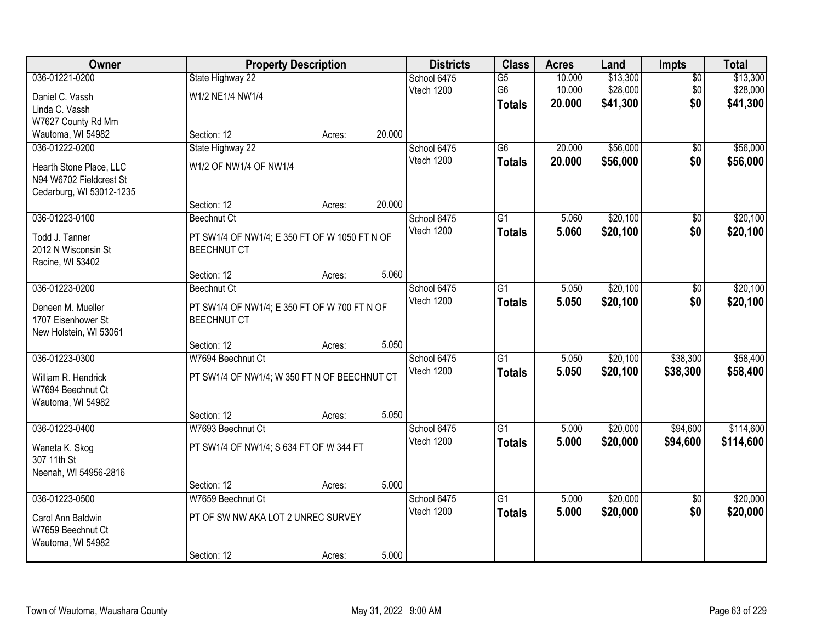| <b>Owner</b>             |                                               | <b>Property Description</b> |        | <b>Districts</b> | <b>Class</b>    | <b>Acres</b> | Land     | Impts           | <b>Total</b> |
|--------------------------|-----------------------------------------------|-----------------------------|--------|------------------|-----------------|--------------|----------|-----------------|--------------|
| 036-01221-0200           | State Highway 22                              |                             |        | School 6475      | $\overline{G5}$ | 10.000       | \$13,300 | $\overline{50}$ | \$13,300     |
| Daniel C. Vassh          | W1/2 NE1/4 NW1/4                              |                             |        | Vtech 1200       | G6              | 10.000       | \$28,000 | \$0             | \$28,000     |
| Linda C. Vassh           |                                               |                             |        |                  | <b>Totals</b>   | 20.000       | \$41,300 | \$0             | \$41,300     |
| W7627 County Rd Mm       |                                               |                             |        |                  |                 |              |          |                 |              |
| Wautoma, WI 54982        | Section: 12                                   | Acres:                      | 20.000 |                  |                 |              |          |                 |              |
| 036-01222-0200           | State Highway 22                              |                             |        | School 6475      | $\overline{G6}$ | 20.000       | \$56,000 | $\overline{50}$ | \$56,000     |
| Hearth Stone Place, LLC  | W1/2 OF NW1/4 OF NW1/4                        |                             |        | Vtech 1200       | <b>Totals</b>   | 20.000       | \$56,000 | \$0             | \$56,000     |
| N94 W6702 Fieldcrest St  |                                               |                             |        |                  |                 |              |          |                 |              |
| Cedarburg, WI 53012-1235 |                                               |                             |        |                  |                 |              |          |                 |              |
|                          | Section: 12                                   | Acres:                      | 20.000 |                  |                 |              |          |                 |              |
| 036-01223-0100           | <b>Beechnut Ct</b>                            |                             |        | School 6475      | G1              | 5.060        | \$20,100 | \$0             | \$20,100     |
| Todd J. Tanner           | PT SW1/4 OF NW1/4; E 350 FT OF W 1050 FT N OF |                             |        | Vtech 1200       | <b>Totals</b>   | 5.060        | \$20,100 | \$0             | \$20,100     |
| 2012 N Wisconsin St      | <b>BEECHNUT CT</b>                            |                             |        |                  |                 |              |          |                 |              |
| Racine, WI 53402         |                                               |                             |        |                  |                 |              |          |                 |              |
|                          | Section: 12                                   | Acres:                      | 5.060  |                  |                 |              |          |                 |              |
| 036-01223-0200           | <b>Beechnut Ct</b>                            |                             |        | School 6475      | G1              | 5.050        | \$20,100 | \$0             | \$20,100     |
| Deneen M. Mueller        | PT SW1/4 OF NW1/4; E 350 FT OF W 700 FT N OF  |                             |        | Vtech 1200       | <b>Totals</b>   | 5.050        | \$20,100 | \$0             | \$20,100     |
| 1707 Eisenhower St       | <b>BEECHNUT CT</b>                            |                             |        |                  |                 |              |          |                 |              |
| New Holstein, WI 53061   |                                               |                             |        |                  |                 |              |          |                 |              |
|                          | Section: 12                                   | Acres:                      | 5.050  |                  |                 |              |          |                 |              |
| 036-01223-0300           | W7694 Beechnut Ct                             |                             |        | School 6475      | $\overline{G1}$ | 5.050        | \$20,100 | \$38,300        | \$58,400     |
| William R. Hendrick      | PT SW1/4 OF NW1/4; W 350 FT N OF BEECHNUT CT  |                             |        | Vtech 1200       | <b>Totals</b>   | 5.050        | \$20,100 | \$38,300        | \$58,400     |
| W7694 Beechnut Ct        |                                               |                             |        |                  |                 |              |          |                 |              |
| Wautoma, WI 54982        |                                               |                             |        |                  |                 |              |          |                 |              |
|                          | Section: 12                                   | Acres:                      | 5.050  |                  |                 |              |          |                 |              |
| 036-01223-0400           | W7693 Beechnut Ct                             |                             |        | School 6475      | $\overline{G1}$ | 5.000        | \$20,000 | \$94,600        | \$114,600    |
| Waneta K. Skog           | PT SW1/4 OF NW1/4; S 634 FT OF W 344 FT       |                             |        | Vtech 1200       | <b>Totals</b>   | 5.000        | \$20,000 | \$94,600        | \$114,600    |
| 307 11th St              |                                               |                             |        |                  |                 |              |          |                 |              |
| Neenah, WI 54956-2816    |                                               |                             |        |                  |                 |              |          |                 |              |
|                          | Section: 12                                   | Acres:                      | 5.000  |                  |                 |              |          |                 |              |
| 036-01223-0500           | W7659 Beechnut Ct                             |                             |        | School 6475      | $\overline{G1}$ | 5.000        | \$20,000 | $\overline{50}$ | \$20,000     |
| Carol Ann Baldwin        | PT OF SW NW AKA LOT 2 UNREC SURVEY            |                             |        | Vtech 1200       | <b>Totals</b>   | 5.000        | \$20,000 | \$0             | \$20,000     |
| W7659 Beechnut Ct        |                                               |                             |        |                  |                 |              |          |                 |              |
| Wautoma, WI 54982        |                                               |                             |        |                  |                 |              |          |                 |              |
|                          | Section: 12                                   | Acres:                      | 5.000  |                  |                 |              |          |                 |              |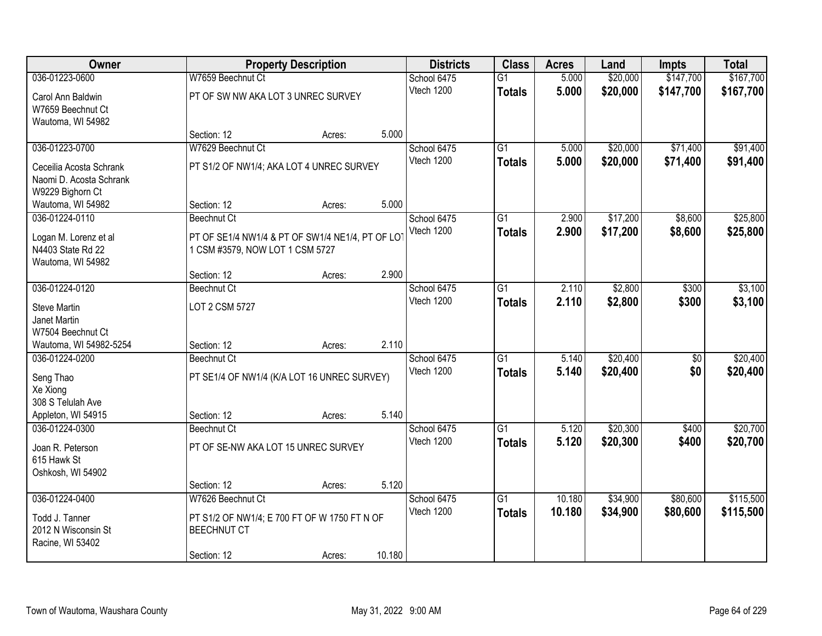| Owner                   |                                                 | <b>Property Description</b> |        | <b>Districts</b> | <b>Class</b>    | <b>Acres</b> | Land     | <b>Impts</b>    | <b>Total</b> |
|-------------------------|-------------------------------------------------|-----------------------------|--------|------------------|-----------------|--------------|----------|-----------------|--------------|
| 036-01223-0600          | W7659 Beechnut Ct                               |                             |        | School 6475      | $\overline{G1}$ | 5.000        | \$20,000 | \$147,700       | \$167,700    |
| Carol Ann Baldwin       | PT OF SW NW AKA LOT 3 UNREC SURVEY              |                             |        | Vtech 1200       | <b>Totals</b>   | 5.000        | \$20,000 | \$147,700       | \$167,700    |
| W7659 Beechnut Ct       |                                                 |                             |        |                  |                 |              |          |                 |              |
| Wautoma, WI 54982       |                                                 |                             |        |                  |                 |              |          |                 |              |
|                         | Section: 12                                     | Acres:                      | 5.000  |                  |                 |              |          |                 |              |
| 036-01223-0700          | W7629 Beechnut Ct                               |                             |        | School 6475      | $\overline{G1}$ | 5.000        | \$20,000 | \$71,400        | \$91,400     |
| Ceceilia Acosta Schrank | PT S1/2 OF NW1/4; AKA LOT 4 UNREC SURVEY        |                             |        | Vtech 1200       | <b>Totals</b>   | 5.000        | \$20,000 | \$71,400        | \$91,400     |
| Naomi D. Acosta Schrank |                                                 |                             |        |                  |                 |              |          |                 |              |
| W9229 Bighorn Ct        |                                                 |                             |        |                  |                 |              |          |                 |              |
| Wautoma, WI 54982       | Section: 12                                     | Acres:                      | 5.000  |                  |                 |              |          |                 |              |
| 036-01224-0110          | <b>Beechnut Ct</b>                              |                             |        | School 6475      | G <sub>1</sub>  | 2.900        | \$17,200 | \$8,600         | \$25,800     |
| Logan M. Lorenz et al   | PT OF SE1/4 NW1/4 & PT OF SW1/4 NE1/4, PT OF LO |                             |        | Vtech 1200       | <b>Totals</b>   | 2.900        | \$17,200 | \$8,600         | \$25,800     |
| N4403 State Rd 22       | 1 CSM #3579, NOW LOT 1 CSM 5727                 |                             |        |                  |                 |              |          |                 |              |
| Wautoma, WI 54982       |                                                 |                             |        |                  |                 |              |          |                 |              |
|                         | Section: 12                                     | Acres:                      | 2.900  |                  |                 |              |          |                 |              |
| 036-01224-0120          | <b>Beechnut Ct</b>                              |                             |        | School 6475      | G1              | 2.110        | \$2,800  | \$300           | \$3,100      |
| <b>Steve Martin</b>     | LOT 2 CSM 5727                                  |                             |        | Vtech 1200       | <b>Totals</b>   | 2.110        | \$2,800  | \$300           | \$3,100      |
| Janet Martin            |                                                 |                             |        |                  |                 |              |          |                 |              |
| W7504 Beechnut Ct       |                                                 |                             |        |                  |                 |              |          |                 |              |
| Wautoma, WI 54982-5254  | Section: 12                                     | Acres:                      | 2.110  |                  |                 |              |          |                 |              |
| 036-01224-0200          | <b>Beechnut Ct</b>                              |                             |        | School 6475      | $\overline{G1}$ | 5.140        | \$20,400 | $\overline{50}$ | \$20,400     |
| Seng Thao               | PT SE1/4 OF NW1/4 (K/A LOT 16 UNREC SURVEY)     |                             |        | Vtech 1200       | <b>Totals</b>   | 5.140        | \$20,400 | \$0             | \$20,400     |
| Xe Xiong                |                                                 |                             |        |                  |                 |              |          |                 |              |
| 308 S Telulah Ave       |                                                 |                             |        |                  |                 |              |          |                 |              |
| Appleton, WI 54915      | Section: 12                                     | Acres:                      | 5.140  |                  |                 |              |          |                 |              |
| 036-01224-0300          | <b>Beechnut Ct</b>                              |                             |        | School 6475      | $\overline{G1}$ | 5.120        | \$20,300 | \$400           | \$20,700     |
| Joan R. Peterson        | PT OF SE-NW AKA LOT 15 UNREC SURVEY             |                             |        | Vtech 1200       | <b>Totals</b>   | 5.120        | \$20,300 | \$400           | \$20,700     |
| 615 Hawk St             |                                                 |                             |        |                  |                 |              |          |                 |              |
| Oshkosh, WI 54902       |                                                 |                             |        |                  |                 |              |          |                 |              |
|                         | Section: 12                                     | Acres:                      | 5.120  |                  |                 |              |          |                 |              |
| 036-01224-0400          | W7626 Beechnut Ct                               |                             |        | School 6475      | G1              | 10.180       | \$34,900 | \$80,600        | \$115,500    |
| Todd J. Tanner          | PT S1/2 OF NW1/4; E 700 FT OF W 1750 FT N OF    |                             |        | Vtech 1200       | <b>Totals</b>   | 10.180       | \$34,900 | \$80,600        | \$115,500    |
| 2012 N Wisconsin St     | <b>BEECHNUT CT</b>                              |                             |        |                  |                 |              |          |                 |              |
| Racine, WI 53402        |                                                 |                             |        |                  |                 |              |          |                 |              |
|                         | Section: 12                                     | Acres:                      | 10.180 |                  |                 |              |          |                 |              |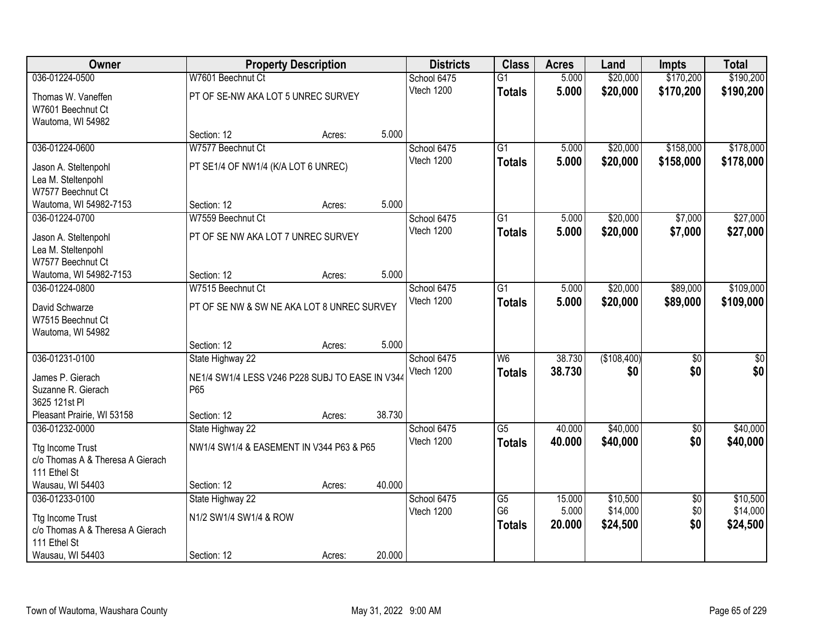| Owner                            |                                                 | <b>Property Description</b> |        | <b>Districts</b> | <b>Class</b>    | <b>Acres</b> | Land        | <b>Impts</b>    | <b>Total</b> |
|----------------------------------|-------------------------------------------------|-----------------------------|--------|------------------|-----------------|--------------|-------------|-----------------|--------------|
| 036-01224-0500                   | W7601 Beechnut Ct                               |                             |        | School 6475      | $\overline{G1}$ | 5.000        | \$20,000    | \$170,200       | \$190,200    |
| Thomas W. Vaneffen               | PT OF SE-NW AKA LOT 5 UNREC SURVEY              |                             |        | Vtech 1200       | <b>Totals</b>   | 5.000        | \$20,000    | \$170,200       | \$190,200    |
| W7601 Beechnut Ct                |                                                 |                             |        |                  |                 |              |             |                 |              |
| Wautoma, WI 54982                |                                                 |                             |        |                  |                 |              |             |                 |              |
|                                  | Section: 12                                     | Acres:                      | 5.000  |                  |                 |              |             |                 |              |
| 036-01224-0600                   | W7577 Beechnut Ct                               |                             |        | School 6475      | $\overline{G1}$ | 5.000        | \$20,000    | \$158,000       | \$178,000    |
| Jason A. Steltenpohl             | PT SE1/4 OF NW1/4 (K/A LOT 6 UNREC)             |                             |        | Vtech 1200       | <b>Totals</b>   | 5.000        | \$20,000    | \$158,000       | \$178,000    |
| Lea M. Steltenpohl               |                                                 |                             |        |                  |                 |              |             |                 |              |
| W7577 Beechnut Ct                |                                                 |                             |        |                  |                 |              |             |                 |              |
| Wautoma, WI 54982-7153           | Section: 12                                     | Acres:                      | 5.000  |                  |                 |              |             |                 |              |
| 036-01224-0700                   | W7559 Beechnut Ct                               |                             |        | School 6475      | G1              | 5.000        | \$20,000    | \$7,000         | \$27,000     |
| Jason A. Steltenpohl             | PT OF SE NW AKA LOT 7 UNREC SURVEY              |                             |        | Vtech 1200       | <b>Totals</b>   | 5.000        | \$20,000    | \$7,000         | \$27,000     |
| Lea M. Steltenpohl               |                                                 |                             |        |                  |                 |              |             |                 |              |
| W7577 Beechnut Ct                |                                                 |                             |        |                  |                 |              |             |                 |              |
| Wautoma, WI 54982-7153           | Section: 12                                     | Acres:                      | 5.000  |                  |                 |              |             |                 |              |
| 036-01224-0800                   | W7515 Beechnut Ct                               |                             |        | School 6475      | $\overline{G1}$ | 5.000        | \$20,000    | \$89,000        | \$109,000    |
| David Schwarze                   | PT OF SE NW & SW NE AKA LOT 8 UNREC SURVEY      |                             |        | Vtech 1200       | <b>Totals</b>   | 5.000        | \$20,000    | \$89,000        | \$109,000    |
| W7515 Beechnut Ct                |                                                 |                             |        |                  |                 |              |             |                 |              |
| Wautoma, WI 54982                |                                                 |                             |        |                  |                 |              |             |                 |              |
|                                  | Section: 12                                     | Acres:                      | 5.000  |                  |                 |              |             |                 |              |
| 036-01231-0100                   | State Highway 22                                |                             |        | School 6475      | $\overline{W6}$ | 38.730       | (\$108,400) | $\overline{50}$ | \$0          |
| James P. Gierach                 | NE1/4 SW1/4 LESS V246 P228 SUBJ TO EASE IN V344 |                             |        | Vtech 1200       | <b>Totals</b>   | 38.730       | \$0         | \$0             | \$0          |
| Suzanne R. Gierach               | P65                                             |                             |        |                  |                 |              |             |                 |              |
| 3625 121st PI                    |                                                 |                             |        |                  |                 |              |             |                 |              |
| Pleasant Prairie, WI 53158       | Section: 12                                     | Acres:                      | 38.730 |                  |                 |              |             |                 |              |
| 036-01232-0000                   | State Highway 22                                |                             |        | School 6475      | $\overline{G5}$ | 40.000       | \$40,000    | $\overline{60}$ | \$40,000     |
| <b>Ttg Income Trust</b>          | NW1/4 SW1/4 & EASEMENT IN V344 P63 & P65        |                             |        | Vtech 1200       | <b>Totals</b>   | 40.000       | \$40,000    | \$0             | \$40,000     |
| c/o Thomas A & Theresa A Gierach |                                                 |                             |        |                  |                 |              |             |                 |              |
| 111 Ethel St                     |                                                 |                             |        |                  |                 |              |             |                 |              |
| Wausau, WI 54403                 | Section: 12                                     | Acres:                      | 40.000 |                  |                 |              |             |                 |              |
| 036-01233-0100                   | State Highway 22                                |                             |        | School 6475      | G5              | 15.000       | \$10,500    | $\overline{30}$ | \$10,500     |
| <b>Ttg Income Trust</b>          | N1/2 SW1/4 SW1/4 & ROW                          |                             |        | Vtech 1200       | G <sub>6</sub>  | 5.000        | \$14,000    | \$0             | \$14,000     |
| c/o Thomas A & Theresa A Gierach |                                                 |                             |        |                  | <b>Totals</b>   | 20.000       | \$24,500    | \$0             | \$24,500     |
| 111 Ethel St                     |                                                 |                             |        |                  |                 |              |             |                 |              |
| Wausau, WI 54403                 | Section: 12                                     | Acres:                      | 20.000 |                  |                 |              |             |                 |              |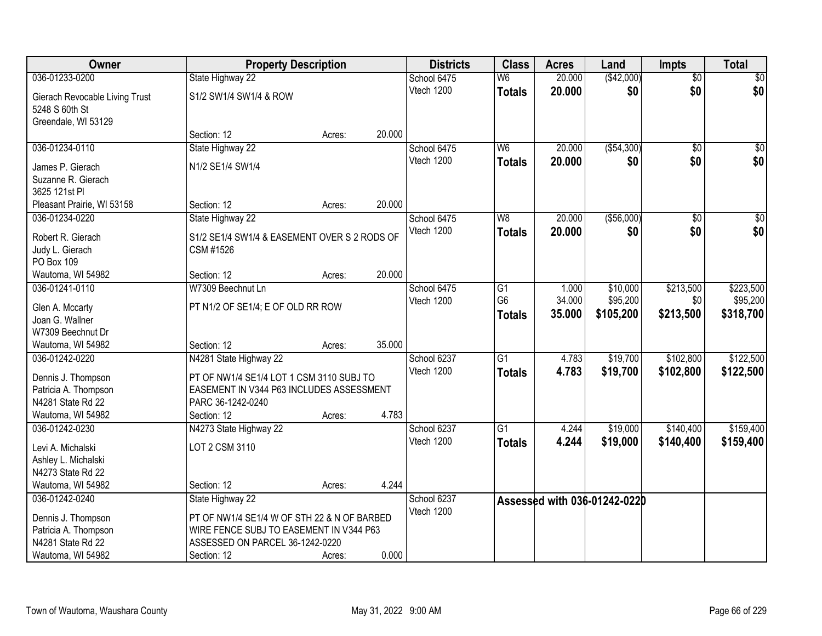| Owner                                  | <b>Property Description</b>                  |        |        | <b>Districts</b> | <b>Class</b>    | <b>Acres</b> | Land                         | <b>Impts</b>    | <b>Total</b>     |
|----------------------------------------|----------------------------------------------|--------|--------|------------------|-----------------|--------------|------------------------------|-----------------|------------------|
| 036-01233-0200                         | State Highway 22                             |        |        | School 6475      | W <sub>6</sub>  | 20.000       | (\$42,000)                   | $\overline{50}$ | \$0              |
| Gierach Revocable Living Trust         | S1/2 SW1/4 SW1/4 & ROW                       |        |        | Vtech 1200       | <b>Totals</b>   | 20.000       | \$0                          | \$0             | \$0              |
| 5248 S 60th St                         |                                              |        |        |                  |                 |              |                              |                 |                  |
| Greendale, WI 53129                    |                                              |        |        |                  |                 |              |                              |                 |                  |
|                                        | Section: 12                                  | Acres: | 20.000 |                  |                 |              |                              |                 |                  |
| 036-01234-0110                         | State Highway 22                             |        |        | School 6475      | W <sub>6</sub>  | 20.000       | ( \$54, 300)                 | $\overline{50}$ | \$0              |
| James P. Gierach                       | N1/2 SE1/4 SW1/4                             |        |        | Vtech 1200       | <b>Totals</b>   | 20.000       | \$0                          | \$0             | \$0              |
| Suzanne R. Gierach                     |                                              |        |        |                  |                 |              |                              |                 |                  |
| 3625 121st PI                          |                                              |        |        |                  |                 |              |                              |                 |                  |
| Pleasant Prairie, WI 53158             | Section: 12                                  | Acres: | 20.000 |                  |                 |              |                              |                 |                  |
| 036-01234-0220                         | State Highway 22                             |        |        | School 6475      | W <sub>8</sub>  | 20.000       | ( \$56,000)                  | $\overline{50}$ | $\overline{\$0}$ |
| Robert R. Gierach                      | S1/2 SE1/4 SW1/4 & EASEMENT OVER S 2 RODS OF |        |        | Vtech 1200       | <b>Totals</b>   | 20.000       | \$0                          | \$0             | \$0              |
| Judy L. Gierach                        | CSM #1526                                    |        |        |                  |                 |              |                              |                 |                  |
| PO Box 109                             |                                              |        |        |                  |                 |              |                              |                 |                  |
| Wautoma, WI 54982                      | Section: 12                                  | Acres: | 20.000 |                  |                 |              |                              |                 |                  |
| 036-01241-0110                         | W7309 Beechnut Ln                            |        |        | School 6475      | G1              | 1.000        | \$10,000                     | \$213,500       | \$223,500        |
|                                        |                                              |        |        | Vtech 1200       | G <sub>6</sub>  | 34.000       | \$95,200                     | \$0             | \$95,200         |
| Glen A. Mccarty<br>Joan G. Wallner     | PT N1/2 OF SE1/4; E OF OLD RR ROW            |        |        |                  | Totals          | 35.000       | \$105,200                    | \$213,500       | \$318,700        |
| W7309 Beechnut Dr                      |                                              |        |        |                  |                 |              |                              |                 |                  |
| Wautoma, WI 54982                      | Section: 12                                  | Acres: | 35.000 |                  |                 |              |                              |                 |                  |
| 036-01242-0220                         | N4281 State Highway 22                       |        |        | School 6237      | $\overline{G1}$ | 4.783        | \$19,700                     | \$102,800       | \$122,500        |
|                                        |                                              |        |        | Vtech 1200       | <b>Totals</b>   | 4.783        | \$19,700                     | \$102,800       | \$122,500        |
| Dennis J. Thompson                     | PT OF NW1/4 SE1/4 LOT 1 CSM 3110 SUBJ TO     |        |        |                  |                 |              |                              |                 |                  |
| Patricia A. Thompson                   | EASEMENT IN V344 P63 INCLUDES ASSESSMENT     |        |        |                  |                 |              |                              |                 |                  |
| N4281 State Rd 22<br>Wautoma, WI 54982 | PARC 36-1242-0240                            |        | 4.783  |                  |                 |              |                              |                 |                  |
| 036-01242-0230                         | Section: 12<br>N4273 State Highway 22        | Acres: |        | School 6237      | $\overline{G1}$ | 4.244        | \$19,000                     | \$140,400       | \$159,400        |
|                                        |                                              |        |        | Vtech 1200       | <b>Totals</b>   | 4.244        | \$19,000                     | \$140,400       | \$159,400        |
| Levi A. Michalski                      | LOT 2 CSM 3110                               |        |        |                  |                 |              |                              |                 |                  |
| Ashley L. Michalski                    |                                              |        |        |                  |                 |              |                              |                 |                  |
| N4273 State Rd 22                      |                                              |        |        |                  |                 |              |                              |                 |                  |
| Wautoma, WI 54982                      | Section: 12                                  | Acres: | 4.244  |                  |                 |              |                              |                 |                  |
| 036-01242-0240                         | State Highway 22                             |        |        | School 6237      |                 |              | Assessed with 036-01242-0220 |                 |                  |
| Dennis J. Thompson                     | PT OF NW1/4 SE1/4 W OF STH 22 & N OF BARBED  |        |        | Vtech 1200       |                 |              |                              |                 |                  |
| Patricia A. Thompson                   | WIRE FENCE SUBJ TO EASEMENT IN V344 P63      |        |        |                  |                 |              |                              |                 |                  |
| N4281 State Rd 22                      | ASSESSED ON PARCEL 36-1242-0220              |        |        |                  |                 |              |                              |                 |                  |
| Wautoma, WI 54982                      | Section: 12                                  | Acres: | 0.000  |                  |                 |              |                              |                 |                  |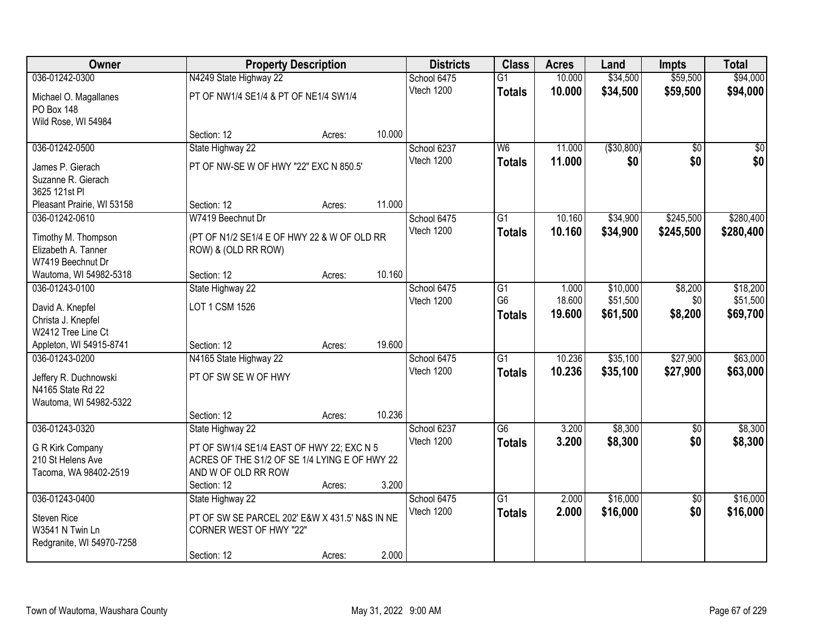| Owner                      | <b>Property Description</b>                    |        |        | <b>Districts</b> | <b>Class</b>    | <b>Acres</b> | Land         | <b>Impts</b>    | <b>Total</b>    |
|----------------------------|------------------------------------------------|--------|--------|------------------|-----------------|--------------|--------------|-----------------|-----------------|
| 036-01242-0300             | N4249 State Highway 22                         |        |        | School 6475      | $\overline{G1}$ | 10.000       | \$34,500     | \$59,500        | \$94,000        |
| Michael O. Magallanes      | PT OF NW1/4 SE1/4 & PT OF NE1/4 SW1/4          |        |        | Vtech 1200       | <b>Totals</b>   | 10.000       | \$34,500     | \$59,500        | \$94,000        |
| PO Box 148                 |                                                |        |        |                  |                 |              |              |                 |                 |
| Wild Rose, WI 54984        |                                                |        |        |                  |                 |              |              |                 |                 |
|                            | Section: 12                                    | Acres: | 10.000 |                  |                 |              |              |                 |                 |
| 036-01242-0500             | State Highway 22                               |        |        | School 6237      | W6              | 11.000       | ( \$30, 800) | $\overline{30}$ | $\overline{50}$ |
| James P. Gierach           | PT OF NW-SE W OF HWY "22" EXC N 850.5'         |        |        | Vtech 1200       | <b>Totals</b>   | 11.000       | \$0          | \$0             | \$0             |
| Suzanne R. Gierach         |                                                |        |        |                  |                 |              |              |                 |                 |
| 3625 121st PI              |                                                |        |        |                  |                 |              |              |                 |                 |
| Pleasant Prairie, WI 53158 | Section: 12                                    | Acres: | 11.000 |                  |                 |              |              |                 |                 |
| 036-01242-0610             | W7419 Beechnut Dr                              |        |        | School 6475      | G <sub>1</sub>  | 10.160       | \$34,900     | \$245,500       | \$280,400       |
| Timothy M. Thompson        | (PT OF N1/2 SE1/4 E OF HWY 22 & W OF OLD RR    |        |        | Vtech 1200       | <b>Totals</b>   | 10.160       | \$34,900     | \$245,500       | \$280,400       |
| Elizabeth A. Tanner        | ROW) & (OLD RR ROW)                            |        |        |                  |                 |              |              |                 |                 |
| W7419 Beechnut Dr          |                                                |        |        |                  |                 |              |              |                 |                 |
| Wautoma, WI 54982-5318     | Section: 12                                    | Acres: | 10.160 |                  |                 |              |              |                 |                 |
| 036-01243-0100             | State Highway 22                               |        |        | School 6475      | G1              | 1.000        | \$10,000     | \$8,200         | \$18,200        |
| David A. Knepfel           | LOT 1 CSM 1526                                 |        |        | Vtech 1200       | G <sub>6</sub>  | 18.600       | \$51,500     | \$0             | \$51,500        |
| Christa J. Knepfel         |                                                |        |        |                  | <b>Totals</b>   | 19.600       | \$61,500     | \$8,200         | \$69,700        |
| W2412 Tree Line Ct         |                                                |        |        |                  |                 |              |              |                 |                 |
| Appleton, WI 54915-8741    | Section: 12                                    | Acres: | 19.600 |                  |                 |              |              |                 |                 |
| 036-01243-0200             | N4165 State Highway 22                         |        |        | School 6475      | $\overline{G1}$ | 10.236       | \$35,100     | \$27,900        | \$63,000        |
| Jeffery R. Duchnowski      | PT OF SW SE W OF HWY                           |        |        | Vtech 1200       | <b>Totals</b>   | 10.236       | \$35,100     | \$27,900        | \$63,000        |
| N4165 State Rd 22          |                                                |        |        |                  |                 |              |              |                 |                 |
| Wautoma, WI 54982-5322     |                                                |        |        |                  |                 |              |              |                 |                 |
|                            | Section: 12                                    | Acres: | 10.236 |                  |                 |              |              |                 |                 |
| 036-01243-0320             | State Highway 22                               |        |        | School 6237      | G6              | 3.200        | \$8,300      | $\overline{50}$ | \$8,300         |
| G R Kirk Company           | PT OF SW1/4 SE1/4 EAST OF HWY 22; EXC N 5      |        |        | Vtech 1200       | <b>Totals</b>   | 3.200        | \$8,300      | \$0             | \$8,300         |
| 210 St Helens Ave          | ACRES OF THE S1/2 OF SE 1/4 LYING E OF HWY 22  |        |        |                  |                 |              |              |                 |                 |
| Tacoma, WA 98402-2519      | AND W OF OLD RR ROW                            |        |        |                  |                 |              |              |                 |                 |
|                            | Section: 12                                    | Acres: | 3.200  |                  |                 |              |              |                 |                 |
| 036-01243-0400             | State Highway 22                               |        |        | School 6475      | $\overline{G1}$ | 2.000        | \$16,000     | $\overline{50}$ | \$16,000        |
| <b>Steven Rice</b>         | PT OF SW SE PARCEL 202' E&W X 431.5' N&S IN NE |        |        | Vtech 1200       | <b>Totals</b>   | 2.000        | \$16,000     | \$0             | \$16,000        |
| W3541 N Twin Ln            | CORNER WEST OF HWY "22"                        |        |        |                  |                 |              |              |                 |                 |
| Redgranite, WI 54970-7258  |                                                |        |        |                  |                 |              |              |                 |                 |
|                            | Section: 12                                    | Acres: | 2.000  |                  |                 |              |              |                 |                 |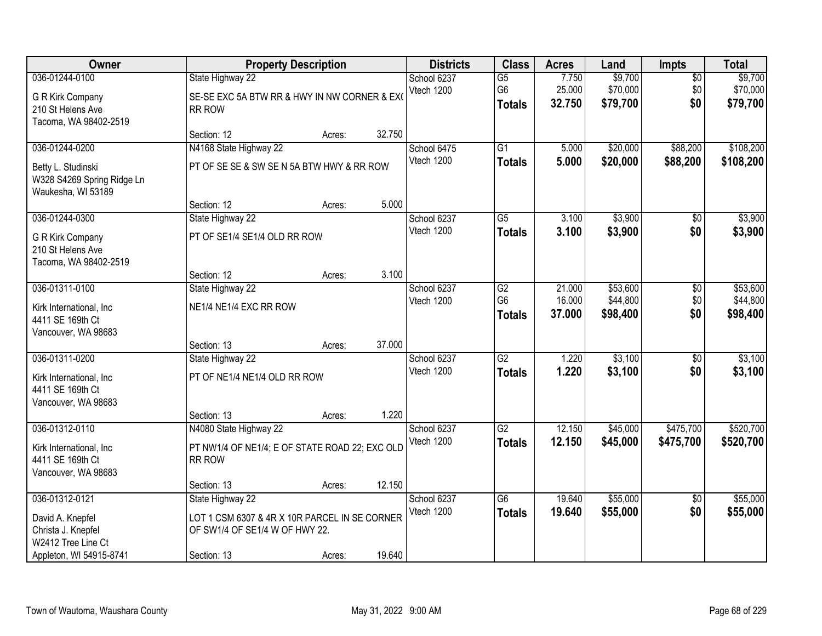| <b>Owner</b>                                                                                              |                                                                                                                    | <b>Property Description</b> |        | <b>Districts</b>          | <b>Class</b>                           | <b>Acres</b>               | Land                             | Impts                         | <b>Total</b>                     |
|-----------------------------------------------------------------------------------------------------------|--------------------------------------------------------------------------------------------------------------------|-----------------------------|--------|---------------------------|----------------------------------------|----------------------------|----------------------------------|-------------------------------|----------------------------------|
| 036-01244-0100<br>G R Kirk Company<br>210 St Helens Ave<br>Tacoma, WA 98402-2519                          | State Highway 22<br>SE-SE EXC 5A BTW RR & HWY IN NW CORNER & EXC<br>RR ROW                                         |                             |        | School 6237<br>Vtech 1200 | $\overline{G5}$<br>G6<br><b>Totals</b> | 7.750<br>25.000<br>32.750  | \$9,700<br>\$70,000<br>\$79,700  | $\overline{50}$<br>\$0<br>\$0 | \$9,700<br>\$70,000<br>\$79,700  |
|                                                                                                           | Section: 12                                                                                                        | Acres:                      | 32.750 |                           |                                        |                            |                                  |                               |                                  |
| 036-01244-0200<br>Betty L. Studinski<br>W328 S4269 Spring Ridge Ln<br>Waukesha, WI 53189                  | N4168 State Highway 22<br>PT OF SE SE & SW SE N 5A BTW HWY & RR ROW                                                |                             |        | School 6475<br>Vtech 1200 | $\overline{G1}$<br><b>Totals</b>       | 5.000<br>5.000             | \$20,000<br>\$20,000             | \$88,200<br>\$88,200          | \$108,200<br>\$108,200           |
|                                                                                                           | Section: 12                                                                                                        | Acres:                      | 5.000  |                           |                                        |                            |                                  |                               |                                  |
| 036-01244-0300<br>G R Kirk Company<br>210 St Helens Ave<br>Tacoma, WA 98402-2519                          | State Highway 22<br>PT OF SE1/4 SE1/4 OLD RR ROW                                                                   |                             |        | School 6237<br>Vtech 1200 | $\overline{G5}$<br><b>Totals</b>       | 3.100<br>3.100             | \$3,900<br>\$3,900               | $\overline{50}$<br>\$0        | \$3,900<br>\$3,900               |
|                                                                                                           | Section: 12                                                                                                        | Acres:                      | 3.100  |                           |                                        |                            |                                  |                               |                                  |
| 036-01311-0100<br>Kirk International, Inc<br>4411 SE 169th Ct<br>Vancouver, WA 98683                      | State Highway 22<br>NE1/4 NE1/4 EXC RR ROW                                                                         |                             |        | School 6237<br>Vtech 1200 | G2<br>G <sub>6</sub><br><b>Totals</b>  | 21.000<br>16.000<br>37.000 | \$53,600<br>\$44,800<br>\$98,400 | \$0<br>\$0<br>\$0             | \$53,600<br>\$44,800<br>\$98,400 |
|                                                                                                           | Section: 13                                                                                                        | Acres:                      | 37.000 |                           |                                        |                            |                                  |                               |                                  |
| 036-01311-0200<br>Kirk International, Inc<br>4411 SE 169th Ct<br>Vancouver, WA 98683                      | State Highway 22<br>PT OF NE1/4 NE1/4 OLD RR ROW<br>Section: 13                                                    | Acres:                      | 1.220  | School 6237<br>Vtech 1200 | $\overline{G2}$<br><b>Totals</b>       | 1.220<br>1.220             | \$3,100<br>\$3,100               | $\overline{50}$<br>\$0        | \$3,100<br>\$3,100               |
| 036-01312-0110                                                                                            | N4080 State Highway 22                                                                                             |                             |        | School 6237               | G2                                     | 12.150                     | \$45,000                         | \$475,700                     | \$520,700                        |
| Kirk International, Inc<br>4411 SE 169th Ct<br>Vancouver, WA 98683                                        | PT NW1/4 OF NE1/4; E OF STATE ROAD 22; EXC OLD<br>RR ROW                                                           |                             |        | Vtech 1200                | <b>Totals</b>                          | 12.150                     | \$45,000                         | \$475,700                     | \$520,700                        |
|                                                                                                           | Section: 13                                                                                                        | Acres:                      | 12.150 |                           |                                        |                            |                                  |                               |                                  |
| 036-01312-0121<br>David A. Knepfel<br>Christa J. Knepfel<br>W2412 Tree Line Ct<br>Appleton, WI 54915-8741 | State Highway 22<br>LOT 1 CSM 6307 & 4R X 10R PARCEL IN SE CORNER<br>OF SW1/4 OF SE1/4 W OF HWY 22.<br>Section: 13 | Acres:                      | 19.640 | School 6237<br>Vtech 1200 | $\overline{G6}$<br><b>Totals</b>       | 19.640<br>19.640           | \$55,000<br>\$55,000             | $\overline{50}$<br>\$0        | \$55,000<br>\$55,000             |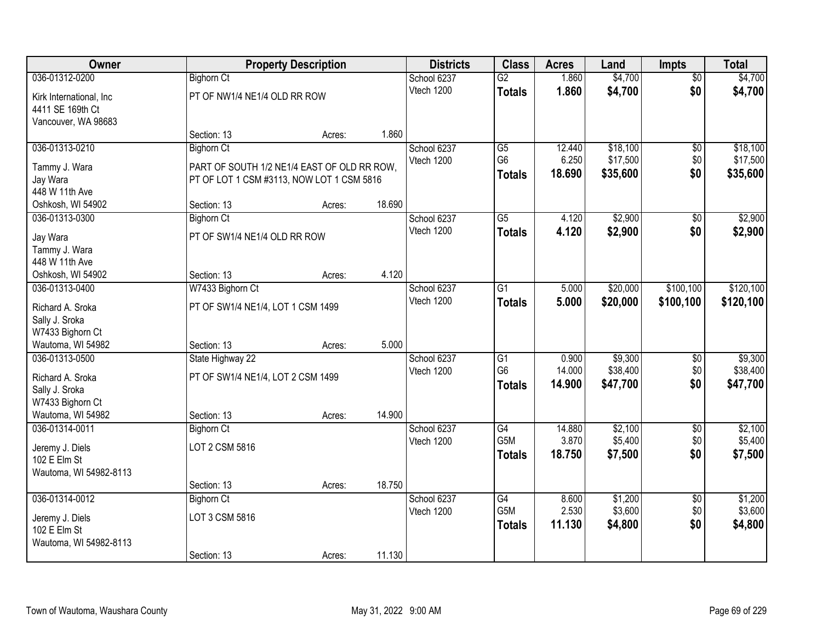| <b>Owner</b>                          |                                             | <b>Property Description</b> |        | <b>Districts</b>          | <b>Class</b>    | <b>Acres</b>   | Land               | Impts                  | <b>Total</b>       |
|---------------------------------------|---------------------------------------------|-----------------------------|--------|---------------------------|-----------------|----------------|--------------------|------------------------|--------------------|
| 036-01312-0200                        | <b>Bighorn Ct</b>                           |                             |        | School 6237               | $\overline{G2}$ | 1.860          | \$4,700            | $\overline{50}$        | \$4,700            |
| Kirk International, Inc.              | PT OF NW1/4 NE1/4 OLD RR ROW                |                             |        | Vtech 1200                | <b>Totals</b>   | 1.860          | \$4,700            | \$0                    | \$4,700            |
| 4411 SE 169th Ct                      |                                             |                             |        |                           |                 |                |                    |                        |                    |
| Vancouver, WA 98683                   |                                             |                             |        |                           |                 |                |                    |                        |                    |
|                                       | Section: 13                                 | Acres:                      | 1.860  |                           |                 |                |                    |                        |                    |
| 036-01313-0210                        | <b>Bighorn Ct</b>                           |                             |        | School 6237               | $\overline{G5}$ | 12.440         | \$18,100           | $\overline{50}$        | \$18,100           |
| Tammy J. Wara                         | PART OF SOUTH 1/2 NE1/4 EAST OF OLD RR ROW. |                             |        | Vtech 1200                | G <sub>6</sub>  | 6.250          | \$17,500           | \$0                    | \$17,500           |
| Jay Wara                              | PT OF LOT 1 CSM #3113, NOW LOT 1 CSM 5816   |                             |        |                           | <b>Totals</b>   | 18.690         | \$35,600           | \$0                    | \$35,600           |
| 448 W 11th Ave                        |                                             |                             |        |                           |                 |                |                    |                        |                    |
| Oshkosh, WI 54902                     | Section: 13                                 | Acres:                      | 18.690 |                           |                 |                |                    |                        |                    |
| 036-01313-0300                        | <b>Bighorn Ct</b>                           |                             |        | School 6237               | $\overline{G5}$ | 4.120          | \$2,900            | \$0                    | \$2,900            |
| Jay Wara                              | PT OF SW1/4 NE1/4 OLD RR ROW                |                             |        | Vtech 1200                | <b>Totals</b>   | 4.120          | \$2,900            | \$0                    | \$2,900            |
| Tammy J. Wara                         |                                             |                             |        |                           |                 |                |                    |                        |                    |
| 448 W 11th Ave                        |                                             |                             |        |                           |                 |                |                    |                        |                    |
| Oshkosh, WI 54902                     | Section: 13                                 | Acres:                      | 4.120  |                           |                 |                |                    |                        |                    |
| 036-01313-0400                        | W7433 Bighorn Ct                            |                             |        | School 6237               | G1              | 5.000          | \$20,000           | \$100,100              | \$120,100          |
|                                       |                                             |                             |        | Vtech 1200                | <b>Totals</b>   | 5.000          | \$20,000           | \$100,100              | \$120,100          |
| Richard A. Sroka<br>Sally J. Sroka    | PT OF SW1/4 NE1/4, LOT 1 CSM 1499           |                             |        |                           |                 |                |                    |                        |                    |
| W7433 Bighorn Ct                      |                                             |                             |        |                           |                 |                |                    |                        |                    |
| Wautoma, WI 54982                     | Section: 13                                 | Acres:                      | 5.000  |                           |                 |                |                    |                        |                    |
| 036-01313-0500                        | State Highway 22                            |                             |        | School 6237               | $\overline{G1}$ | 0.900          | \$9,300            | $\overline{50}$        | \$9,300            |
|                                       |                                             |                             |        | Vtech 1200                | G <sub>6</sub>  | 14.000         | \$38,400           | \$0                    | \$38,400           |
| Richard A. Sroka                      | PT OF SW1/4 NE1/4, LOT 2 CSM 1499           |                             |        |                           | <b>Totals</b>   | 14.900         | \$47,700           | \$0                    | \$47,700           |
| Sally J. Sroka                        |                                             |                             |        |                           |                 |                |                    |                        |                    |
| W7433 Bighorn Ct<br>Wautoma, WI 54982 | Section: 13                                 | Acres:                      | 14.900 |                           |                 |                |                    |                        |                    |
| 036-01314-0011                        | <b>Bighorn Ct</b>                           |                             |        | School 6237               | $\overline{G4}$ | 14.880         | \$2,100            | $\overline{50}$        | \$2,100            |
|                                       |                                             |                             |        | Vtech 1200                | G5M             | 3.870          | \$5,400            | \$0                    | \$5,400            |
| Jeremy J. Diels                       | LOT 2 CSM 5816                              |                             |        |                           | <b>Totals</b>   | 18.750         | \$7,500            | \$0                    | \$7,500            |
| 102 E Elm St                          |                                             |                             |        |                           |                 |                |                    |                        |                    |
| Wautoma, WI 54982-8113                |                                             |                             |        |                           |                 |                |                    |                        |                    |
| 036-01314-0012                        | Section: 13                                 | Acres:                      | 18.750 |                           | $\overline{G4}$ |                |                    |                        |                    |
|                                       | <b>Bighorn Ct</b>                           |                             |        | School 6237<br>Vtech 1200 | G5M             | 8.600<br>2.530 | \$1,200<br>\$3,600 | $\overline{50}$<br>\$0 | \$1,200<br>\$3,600 |
| Jeremy J. Diels                       | LOT 3 CSM 5816                              |                             |        |                           | <b>Totals</b>   | 11.130         | \$4,800            | \$0                    | \$4,800            |
| 102 E Elm St                          |                                             |                             |        |                           |                 |                |                    |                        |                    |
| Wautoma, WI 54982-8113                |                                             |                             |        |                           |                 |                |                    |                        |                    |
|                                       | Section: 13                                 | Acres:                      | 11.130 |                           |                 |                |                    |                        |                    |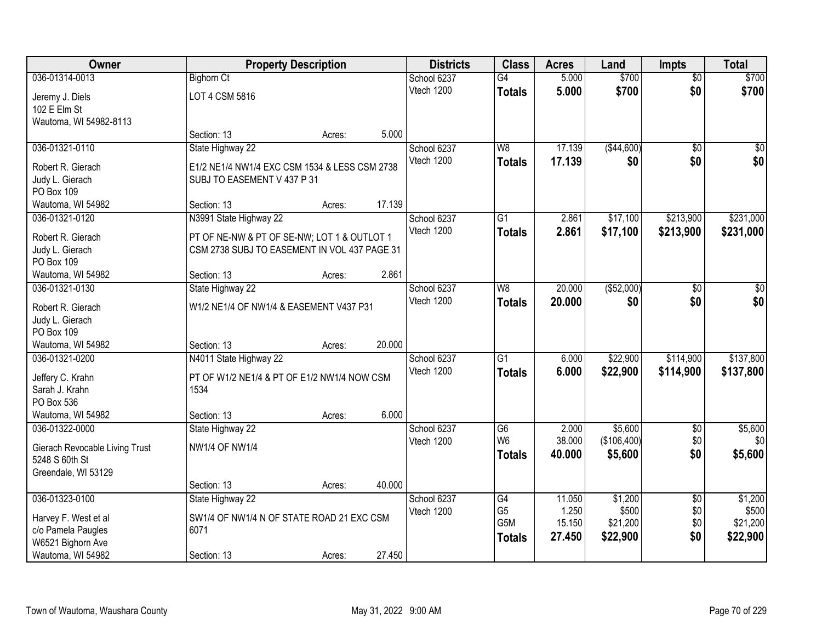| Owner                                            |                                               | <b>Property Description</b> |        | <b>Districts</b> | <b>Class</b>    | <b>Acres</b> | Land          | <b>Impts</b>    | <b>Total</b> |
|--------------------------------------------------|-----------------------------------------------|-----------------------------|--------|------------------|-----------------|--------------|---------------|-----------------|--------------|
| 036-01314-0013                                   | <b>Bighorn Ct</b>                             |                             |        | School 6237      | $\overline{G4}$ | 5.000        | \$700         | $\overline{50}$ | \$700        |
| Jeremy J. Diels                                  | LOT 4 CSM 5816                                |                             |        | Vtech 1200       | <b>Totals</b>   | 5.000        | \$700         | \$0             | \$700        |
| 102 E Elm St                                     |                                               |                             |        |                  |                 |              |               |                 |              |
| Wautoma, WI 54982-8113                           |                                               |                             |        |                  |                 |              |               |                 |              |
|                                                  | Section: 13                                   | Acres:                      | 5.000  |                  |                 |              |               |                 |              |
| 036-01321-0110                                   | State Highway 22                              |                             |        | School 6237      | W8              | 17.139       | ( \$44,600)   | $\overline{50}$ | \$0          |
| Robert R. Gierach                                | E1/2 NE1/4 NW1/4 EXC CSM 1534 & LESS CSM 2738 |                             |        | Vtech 1200       | <b>Totals</b>   | 17.139       | \$0           | \$0             | \$0          |
| Judy L. Gierach                                  | SUBJ TO EASEMENT V 437 P 31                   |                             |        |                  |                 |              |               |                 |              |
| PO Box 109                                       |                                               |                             |        |                  |                 |              |               |                 |              |
| Wautoma, WI 54982                                | Section: 13                                   | Acres:                      | 17.139 |                  |                 |              |               |                 |              |
| 036-01321-0120                                   | N3991 State Highway 22                        |                             |        | School 6237      | $\overline{G1}$ | 2.861        | \$17,100      | \$213,900       | \$231,000    |
| Robert R. Gierach                                | PT OF NE-NW & PT OF SE-NW; LOT 1 & OUTLOT 1   |                             |        | Vtech 1200       | <b>Totals</b>   | 2.861        | \$17,100      | \$213,900       | \$231,000    |
| Judy L. Gierach                                  | CSM 2738 SUBJ TO EASEMENT IN VOL 437 PAGE 31  |                             |        |                  |                 |              |               |                 |              |
| PO Box 109                                       |                                               |                             |        |                  |                 |              |               |                 |              |
| Wautoma, WI 54982                                | Section: 13                                   | Acres:                      | 2.861  |                  |                 |              |               |                 |              |
| 036-01321-0130                                   | State Highway 22                              |                             |        | School 6237      | W <sub>8</sub>  | 20.000       | $($ \$52,000) | $\frac{1}{20}$  | \$0          |
| Robert R. Gierach                                | W1/2 NE1/4 OF NW1/4 & EASEMENT V437 P31       |                             |        | Vtech 1200       | <b>Totals</b>   | 20.000       | \$0           | \$0             | \$0          |
| Judy L. Gierach                                  |                                               |                             |        |                  |                 |              |               |                 |              |
| PO Box 109                                       |                                               |                             |        |                  |                 |              |               |                 |              |
| Wautoma, WI 54982                                | Section: 13                                   | Acres:                      | 20.000 |                  |                 |              |               |                 |              |
| 036-01321-0200                                   | N4011 State Highway 22                        |                             |        | School 6237      | $\overline{G1}$ | 6.000        | \$22,900      | \$114,900       | \$137,800    |
| Jeffery C. Krahn                                 | PT OF W1/2 NE1/4 & PT OF E1/2 NW1/4 NOW CSM   |                             |        | Vtech 1200       | Totals          | 6.000        | \$22,900      | \$114,900       | \$137,800    |
| Sarah J. Krahn                                   | 1534                                          |                             |        |                  |                 |              |               |                 |              |
| PO Box 536                                       |                                               |                             |        |                  |                 |              |               |                 |              |
| Wautoma, WI 54982                                | Section: 13                                   | Acres:                      | 6.000  |                  |                 |              |               |                 |              |
| 036-01322-0000                                   | State Highway 22                              |                             |        | School 6237      | G6              | 2.000        | \$5,600       | $\sqrt{6}$      | \$5,600      |
|                                                  | <b>NW1/4 OF NW1/4</b>                         |                             |        | Vtech 1200       | W <sub>6</sub>  | 38.000       | (\$106,400)   | \$0             | \$0          |
| Gierach Revocable Living Trust<br>5248 S 60th St |                                               |                             |        |                  | <b>Totals</b>   | 40.000       | \$5,600       | \$0             | \$5,600      |
| Greendale, WI 53129                              |                                               |                             |        |                  |                 |              |               |                 |              |
|                                                  | Section: 13                                   | Acres:                      | 40.000 |                  |                 |              |               |                 |              |
| 036-01323-0100                                   | State Highway 22                              |                             |        | School 6237      | G4              | 11.050       | \$1,200       | $\overline{60}$ | \$1,200      |
|                                                  | SW1/4 OF NW1/4 N OF STATE ROAD 21 EXC CSM     |                             |        | Vtech 1200       | G <sub>5</sub>  | 1.250        | \$500         | \$0             | \$500        |
| Harvey F. West et al<br>c/o Pamela Paugles       | 6071                                          |                             |        |                  | G5M             | 15.150       | \$21,200      | \$0             | \$21,200     |
| W6521 Bighorn Ave                                |                                               |                             |        |                  | <b>Totals</b>   | 27.450       | \$22,900      | \$0             | \$22,900     |
| Wautoma, WI 54982                                | Section: 13                                   | Acres:                      | 27.450 |                  |                 |              |               |                 |              |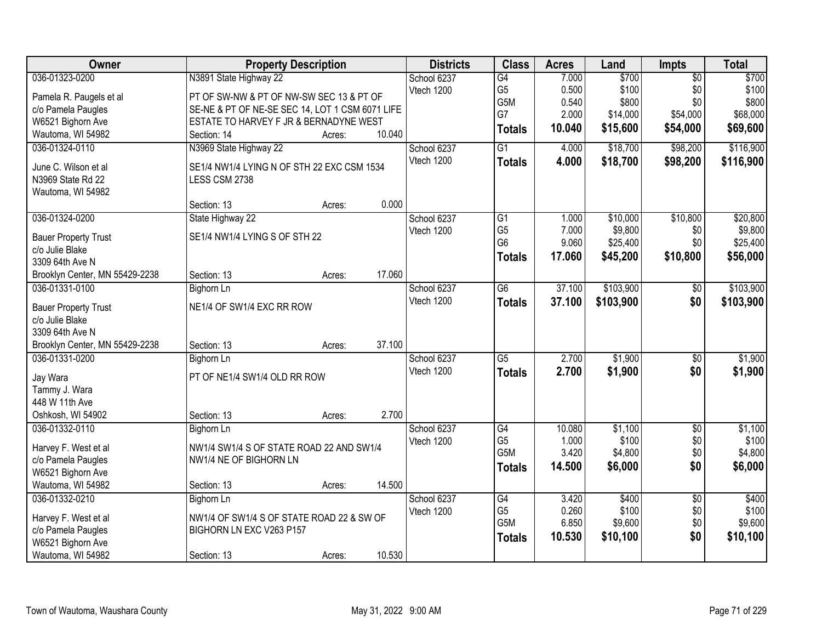| Owner                                          |                                                 | <b>Property Description</b> |        | <b>Districts</b> | <b>Class</b>                     | <b>Acres</b> | Land      | Impts           | <b>Total</b> |
|------------------------------------------------|-------------------------------------------------|-----------------------------|--------|------------------|----------------------------------|--------------|-----------|-----------------|--------------|
| 036-01323-0200                                 | N3891 State Highway 22                          |                             |        | School 6237      | G4                               | 7.000        | \$700     | $\overline{50}$ | \$700        |
| Pamela R. Paugels et al                        | PT OF SW-NW & PT OF NW-SW SEC 13 & PT OF        |                             |        | Vtech 1200       | G <sub>5</sub>                   | 0.500        | \$100     | \$0             | \$100        |
| c/o Pamela Paugles                             | SE-NE & PT OF NE-SE SEC 14, LOT 1 CSM 6071 LIFE |                             |        |                  | G5M                              | 0.540        | \$800     | \$0             | \$800        |
| W6521 Bighorn Ave                              | ESTATE TO HARVEY F JR & BERNADYNE WEST          |                             |        |                  | G7                               | 2.000        | \$14,000  | \$54,000        | \$68,000     |
| Wautoma, WI 54982                              | Section: 14                                     | Acres:                      | 10.040 |                  | <b>Totals</b>                    | 10.040       | \$15,600  | \$54,000        | \$69,600     |
| 036-01324-0110                                 | N3969 State Highway 22                          |                             |        | School 6237      | $\overline{G1}$                  | 4.000        | \$18,700  | \$98,200        | \$116,900    |
|                                                |                                                 |                             |        | Vtech 1200       | <b>Totals</b>                    | 4.000        | \$18,700  | \$98,200        | \$116,900    |
| June C. Wilson et al                           | SE1/4 NW1/4 LYING N OF STH 22 EXC CSM 1534      |                             |        |                  |                                  |              |           |                 |              |
| N3969 State Rd 22                              | LESS CSM 2738                                   |                             |        |                  |                                  |              |           |                 |              |
| Wautoma, WI 54982                              |                                                 |                             |        |                  |                                  |              |           |                 |              |
|                                                | Section: 13                                     | Acres:                      | 0.000  |                  |                                  |              |           |                 |              |
| 036-01324-0200                                 | State Highway 22                                |                             |        | School 6237      | $\overline{G1}$                  | 1.000        | \$10,000  | \$10,800        | \$20,800     |
| <b>Bauer Property Trust</b>                    | SE1/4 NW1/4 LYING S OF STH 22                   |                             |        | Vtech 1200       | G <sub>5</sub><br>G <sub>6</sub> | 7.000        | \$9,800   | \$0             | \$9,800      |
| c/o Julie Blake                                |                                                 |                             |        |                  |                                  | 9.060        | \$25,400  | \$0             | \$25,400     |
| 3309 64th Ave N                                |                                                 |                             |        |                  | <b>Totals</b>                    | 17.060       | \$45,200  | \$10,800        | \$56,000     |
| Brooklyn Center, MN 55429-2238                 | Section: 13                                     | Acres:                      | 17.060 |                  |                                  |              |           |                 |              |
| 036-01331-0100                                 | <b>Bighorn Ln</b>                               |                             |        | School 6237      | $\overline{G6}$                  | 37.100       | \$103,900 | \$0             | \$103,900    |
|                                                | NE1/4 OF SW1/4 EXC RR ROW                       |                             |        | Vtech 1200       | <b>Totals</b>                    | 37.100       | \$103,900 | \$0             | \$103,900    |
| <b>Bauer Property Trust</b><br>c/o Julie Blake |                                                 |                             |        |                  |                                  |              |           |                 |              |
| 3309 64th Ave N                                |                                                 |                             |        |                  |                                  |              |           |                 |              |
| Brooklyn Center, MN 55429-2238                 | Section: 13                                     | Acres:                      | 37.100 |                  |                                  |              |           |                 |              |
| 036-01331-0200                                 | Bighorn Ln                                      |                             |        | School 6237      | $\overline{G5}$                  | 2.700        | \$1,900   | \$0             | \$1,900      |
|                                                |                                                 |                             |        | Vtech 1200       |                                  | 2.700        | \$1,900   | \$0             | \$1,900      |
| Jay Wara                                       | PT OF NE1/4 SW1/4 OLD RR ROW                    |                             |        |                  | <b>Totals</b>                    |              |           |                 |              |
| Tammy J. Wara                                  |                                                 |                             |        |                  |                                  |              |           |                 |              |
| 448 W 11th Ave                                 |                                                 |                             |        |                  |                                  |              |           |                 |              |
| Oshkosh, WI 54902                              | Section: 13                                     | Acres:                      | 2.700  |                  |                                  |              |           |                 |              |
| 036-01332-0110                                 | Bighorn Ln                                      |                             |        | School 6237      | G4                               | 10.080       | \$1,100   | $\overline{50}$ | \$1,100      |
| Harvey F. West et al                           | NW1/4 SW1/4 S OF STATE ROAD 22 AND SW1/4        |                             |        | Vtech 1200       | G <sub>5</sub>                   | 1.000        | \$100     | \$0             | \$100        |
| c/o Pamela Paugles                             | NW1/4 NE OF BIGHORN LN                          |                             |        |                  | G <sub>5</sub> M                 | 3.420        | \$4,800   | \$0             | \$4,800      |
| W6521 Bighorn Ave                              |                                                 |                             |        |                  | <b>Totals</b>                    | 14.500       | \$6,000   | \$0             | \$6,000      |
| Wautoma, WI 54982                              | Section: 13                                     | Acres:                      | 14.500 |                  |                                  |              |           |                 |              |
| 036-01332-0210                                 | <b>Bighorn Ln</b>                               |                             |        | School 6237      | $\overline{G4}$                  | 3.420        | \$400     | $\overline{50}$ | \$400        |
|                                                |                                                 |                             |        | Vtech 1200       | G <sub>5</sub>                   | 0.260        | \$100     | \$0             | \$100        |
| Harvey F. West et al                           | NW1/4 OF SW1/4 S OF STATE ROAD 22 & SW OF       |                             |        |                  | G5M                              | 6.850        | \$9,600   | \$0             | \$9,600      |
| c/o Pamela Paugles                             | BIGHORN LN EXC V263 P157                        |                             |        |                  | <b>Totals</b>                    | 10.530       | \$10,100  | \$0             | \$10,100     |
| W6521 Bighorn Ave                              |                                                 |                             |        |                  |                                  |              |           |                 |              |
| Wautoma, WI 54982                              | Section: 13                                     | Acres:                      | 10.530 |                  |                                  |              |           |                 |              |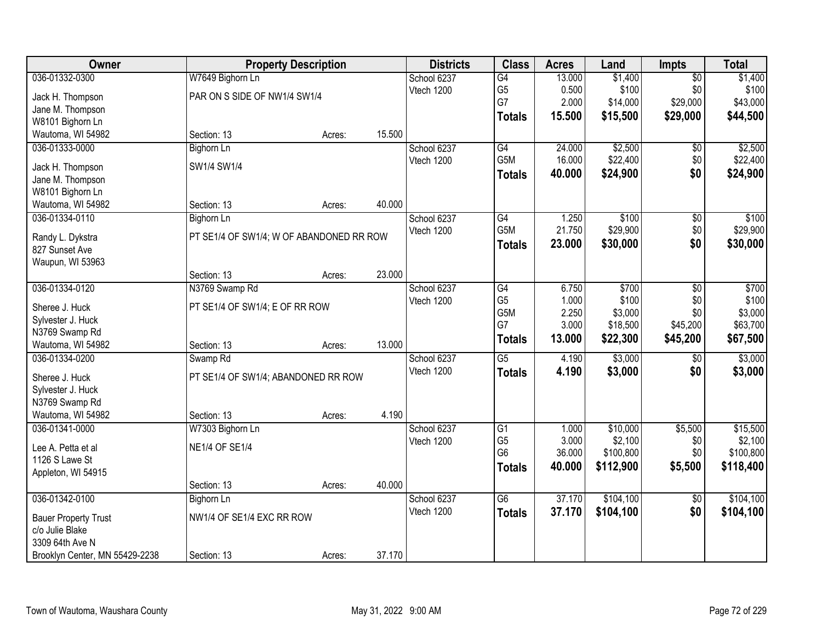| Owner                                          |                                          | <b>Property Description</b> |        | <b>Districts</b> | <b>Class</b>    | <b>Acres</b> | Land      | <b>Impts</b>    | <b>Total</b> |
|------------------------------------------------|------------------------------------------|-----------------------------|--------|------------------|-----------------|--------------|-----------|-----------------|--------------|
| 036-01332-0300                                 | W7649 Bighorn Ln                         |                             |        | School 6237      | $\overline{G4}$ | 13.000       | \$1,400   | $\overline{50}$ | \$1,400      |
| Jack H. Thompson                               | PAR ON S SIDE OF NW1/4 SW1/4             |                             |        | Vtech 1200       | G <sub>5</sub>  | 0.500        | \$100     | \$0             | \$100        |
| Jane M. Thompson                               |                                          |                             |        |                  | G7              | 2.000        | \$14,000  | \$29,000        | \$43,000     |
| W8101 Bighorn Ln                               |                                          |                             |        |                  | <b>Totals</b>   | 15.500       | \$15,500  | \$29,000        | \$44,500     |
| Wautoma, WI 54982                              | Section: 13                              | Acres:                      | 15.500 |                  |                 |              |           |                 |              |
| 036-01333-0000                                 | <b>Bighorn Ln</b>                        |                             |        | School 6237      | G4              | 24.000       | \$2,500   | \$0             | \$2,500      |
|                                                |                                          |                             |        | Vtech 1200       | G5M             | 16.000       | \$22,400  | \$0             | \$22,400     |
| Jack H. Thompson                               | SW1/4 SW1/4                              |                             |        |                  | <b>Totals</b>   | 40.000       | \$24,900  | \$0             | \$24,900     |
| Jane M. Thompson                               |                                          |                             |        |                  |                 |              |           |                 |              |
| W8101 Bighorn Ln                               |                                          |                             |        |                  |                 |              |           |                 |              |
| Wautoma, WI 54982                              | Section: 13                              | Acres:                      | 40.000 |                  |                 |              |           |                 |              |
| 036-01334-0110                                 | Bighorn Ln                               |                             |        | School 6237      | G4              | 1.250        | \$100     | $\sqrt[6]{30}$  | \$100        |
| Randy L. Dykstra                               | PT SE1/4 OF SW1/4; W OF ABANDONED RR ROW |                             |        | Vtech 1200       | G5M             | 21.750       | \$29,900  | \$0             | \$29,900     |
| 827 Sunset Ave                                 |                                          |                             |        |                  | Totals          | 23.000       | \$30,000  | \$0             | \$30,000     |
| Waupun, WI 53963                               |                                          |                             |        |                  |                 |              |           |                 |              |
|                                                | Section: 13                              | Acres:                      | 23.000 |                  |                 |              |           |                 |              |
| 036-01334-0120                                 | N3769 Swamp Rd                           |                             |        | School 6237      | G4              | 6.750        | \$700     | \$0             | \$700        |
| Sheree J. Huck                                 | PT SE1/4 OF SW1/4; E OF RR ROW           |                             |        | Vtech 1200       | G <sub>5</sub>  | 1.000        | \$100     | \$0             | \$100        |
| Sylvester J. Huck                              |                                          |                             |        |                  | G5M             | 2.250        | \$3,000   | \$0             | \$3,000      |
| N3769 Swamp Rd                                 |                                          |                             |        |                  | G7              | 3.000        | \$18,500  | \$45,200        | \$63,700     |
| Wautoma, WI 54982                              | Section: 13                              | Acres:                      | 13.000 |                  | <b>Totals</b>   | 13.000       | \$22,300  | \$45,200        | \$67,500     |
| 036-01334-0200                                 | Swamp <sub>Rd</sub>                      |                             |        | School 6237      | $\overline{G5}$ | 4.190        | \$3,000   | $\overline{50}$ | \$3,000      |
|                                                |                                          |                             |        | Vtech 1200       | <b>Totals</b>   | 4.190        | \$3,000   | \$0             | \$3,000      |
| Sheree J. Huck                                 | PT SE1/4 OF SW1/4; ABANDONED RR ROW      |                             |        |                  |                 |              |           |                 |              |
| Sylvester J. Huck                              |                                          |                             |        |                  |                 |              |           |                 |              |
| N3769 Swamp Rd                                 |                                          |                             |        |                  |                 |              |           |                 |              |
| Wautoma, WI 54982                              | Section: 13                              | Acres:                      | 4.190  |                  |                 |              |           |                 |              |
| 036-01341-0000                                 | W7303 Bighorn Ln                         |                             |        | School 6237      | $\overline{G1}$ | 1.000        | \$10,000  | \$5,500         | \$15,500     |
| Lee A. Petta et al                             | <b>NE1/4 OF SE1/4</b>                    |                             |        | Vtech 1200       | G <sub>5</sub>  | 3.000        | \$2,100   | \$0             | \$2,100      |
| 1126 S Lawe St                                 |                                          |                             |        |                  | G <sub>6</sub>  | 36.000       | \$100,800 | \$0             | \$100,800    |
| Appleton, WI 54915                             |                                          |                             |        |                  | <b>Totals</b>   | 40.000       | \$112,900 | \$5,500         | \$118,400    |
|                                                | Section: 13                              | Acres:                      | 40.000 |                  |                 |              |           |                 |              |
| 036-01342-0100                                 | Bighorn Ln                               |                             |        | School 6237      | $\overline{G6}$ | 37.170       | \$104,100 | $\overline{50}$ | \$104,100    |
|                                                | NW1/4 OF SE1/4 EXC RR ROW                |                             |        | Vtech 1200       | <b>Totals</b>   | 37.170       | \$104,100 | \$0             | \$104,100    |
| <b>Bauer Property Trust</b><br>c/o Julie Blake |                                          |                             |        |                  |                 |              |           |                 |              |
| 3309 64th Ave N                                |                                          |                             |        |                  |                 |              |           |                 |              |
| Brooklyn Center, MN 55429-2238                 | Section: 13                              | Acres:                      | 37.170 |                  |                 |              |           |                 |              |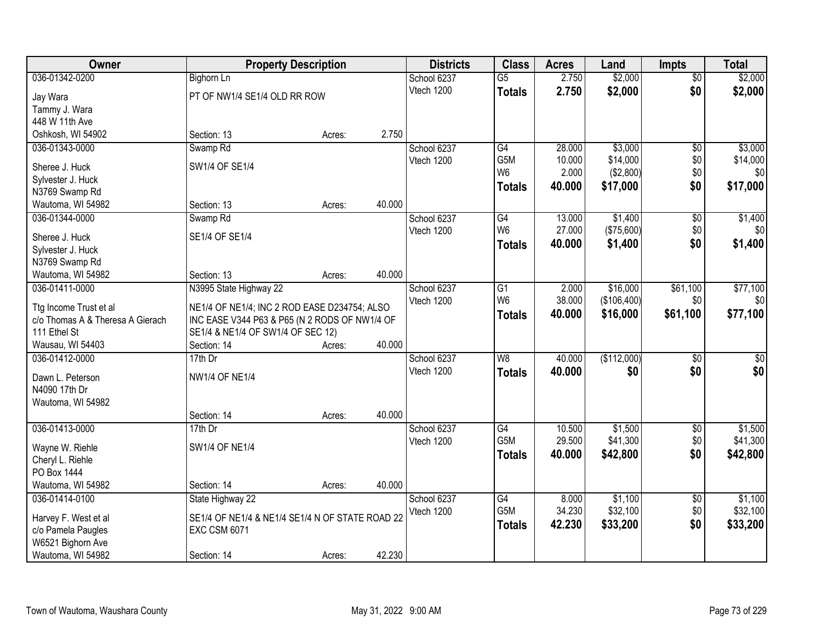| Owner                                                      | <b>Property Description</b>                                                                   |        |        | <b>Districts</b> | <b>Class</b>             | <b>Acres</b> | Land        | <b>Impts</b>    | <b>Total</b>     |
|------------------------------------------------------------|-----------------------------------------------------------------------------------------------|--------|--------|------------------|--------------------------|--------------|-------------|-----------------|------------------|
| 036-01342-0200                                             | <b>Bighorn Ln</b>                                                                             |        |        | School 6237      | $\overline{G5}$          | 2.750        | \$2,000     | $\overline{50}$ | \$2,000          |
| Jay Wara                                                   | PT OF NW1/4 SE1/4 OLD RR ROW                                                                  |        |        | Vtech 1200       | <b>Totals</b>            | 2.750        | \$2,000     | \$0             | \$2,000          |
| Tammy J. Wara                                              |                                                                                               |        |        |                  |                          |              |             |                 |                  |
| 448 W 11th Ave                                             |                                                                                               |        |        |                  |                          |              |             |                 |                  |
| Oshkosh, WI 54902                                          | Section: 13                                                                                   | Acres: | 2.750  |                  |                          |              |             |                 |                  |
| 036-01343-0000                                             | Swamp Rd                                                                                      |        |        | School 6237      | $\overline{G4}$          | 28.000       | \$3,000     | \$0             | \$3,000          |
|                                                            |                                                                                               |        |        | Vtech 1200       | G5M                      | 10.000       | \$14,000    | \$0             | \$14,000         |
| Sheree J. Huck                                             | SW1/4 OF SE1/4                                                                                |        |        |                  | W <sub>6</sub>           | 2.000        | (\$2,800)   | \$0             | \$0              |
| Sylvester J. Huck                                          |                                                                                               |        |        |                  | <b>Totals</b>            | 40.000       | \$17,000    | \$0             | \$17,000         |
| N3769 Swamp Rd                                             | Section: 13                                                                                   |        | 40.000 |                  |                          |              |             |                 |                  |
| Wautoma, WI 54982                                          |                                                                                               | Acres: |        |                  |                          |              |             |                 |                  |
| 036-01344-0000                                             | Swamp <sub>Rd</sub>                                                                           |        |        | School 6237      | G4<br>W <sub>6</sub>     | 13.000       | \$1,400     | \$0             | \$1,400          |
| Sheree J. Huck                                             | SE1/4 OF SE1/4                                                                                |        |        | Vtech 1200       |                          | 27.000       | (\$75,600)  | \$0             | \$0              |
| Sylvester J. Huck                                          |                                                                                               |        |        |                  | <b>Totals</b>            | 40.000       | \$1,400     | \$0             | \$1,400          |
| N3769 Swamp Rd                                             |                                                                                               |        |        |                  |                          |              |             |                 |                  |
| Wautoma, WI 54982                                          | Section: 13                                                                                   | Acres: | 40.000 |                  |                          |              |             |                 |                  |
| 036-01411-0000                                             | N3995 State Highway 22                                                                        |        |        | School 6237      | G1                       | 2.000        | \$16,000    | \$61,100        | \$77,100         |
|                                                            |                                                                                               |        |        | Vtech 1200       | W <sub>6</sub>           | 38.000       | (\$106,400) | \$0             | \$0              |
| Ttg Income Trust et al<br>c/o Thomas A & Theresa A Gierach | NE1/4 OF NE1/4; INC 2 ROD EASE D234754; ALSO<br>INC EASE V344 P63 & P65 (N 2 RODS OF NW1/4 OF |        |        |                  | <b>Totals</b>            | 40.000       | \$16,000    | \$61,100        | \$77,100         |
| 111 Ethel St                                               | SE1/4 & NE1/4 OF SW1/4 OF SEC 12)                                                             |        |        |                  |                          |              |             |                 |                  |
| Wausau, WI 54403                                           | Section: 14                                                                                   | Acres: | 40.000 |                  |                          |              |             |                 |                  |
| 036-01412-0000                                             | 17th Dr                                                                                       |        |        | School 6237      | $\overline{\mathsf{W}8}$ | 40.000       | (\$112,000) | $\overline{30}$ | $\overline{\$0}$ |
|                                                            |                                                                                               |        |        | Vtech 1200       |                          | 40.000       | \$0         | \$0             | \$0              |
| Dawn L. Peterson                                           | <b>NW1/4 OF NE1/4</b>                                                                         |        |        |                  | <b>Totals</b>            |              |             |                 |                  |
| N4090 17th Dr                                              |                                                                                               |        |        |                  |                          |              |             |                 |                  |
| Wautoma, WI 54982                                          |                                                                                               |        |        |                  |                          |              |             |                 |                  |
|                                                            | Section: 14                                                                                   | Acres: | 40.000 |                  |                          |              |             |                 |                  |
| 036-01413-0000                                             | $17th$ Dr                                                                                     |        |        | School 6237      | G4                       | 10.500       | \$1,500     | $\sqrt{6}$      | \$1,500          |
| Wayne W. Riehle                                            | <b>SW1/4 OF NE1/4</b>                                                                         |        |        | Vtech 1200       | G <sub>5</sub> M         | 29.500       | \$41,300    | \$0             | \$41,300         |
| Cheryl L. Riehle                                           |                                                                                               |        |        |                  | <b>Totals</b>            | 40.000       | \$42,800    | \$0             | \$42,800         |
| PO Box 1444                                                |                                                                                               |        |        |                  |                          |              |             |                 |                  |
| Wautoma, WI 54982                                          | Section: 14                                                                                   | Acres: | 40.000 |                  |                          |              |             |                 |                  |
| 036-01414-0100                                             | State Highway 22                                                                              |        |        | School 6237      | G4                       | 8.000        | \$1,100     | $\overline{50}$ | \$1,100          |
|                                                            |                                                                                               |        |        | Vtech 1200       | G5M                      | 34.230       | \$32,100    | \$0             | \$32,100         |
| Harvey F. West et al                                       | SE1/4 OF NE1/4 & NE1/4 SE1/4 N OF STATE ROAD 22                                               |        |        |                  | <b>Totals</b>            | 42.230       | \$33,200    | \$0             | \$33,200         |
| c/o Pamela Paugles                                         | <b>EXC CSM 6071</b>                                                                           |        |        |                  |                          |              |             |                 |                  |
| W6521 Bighorn Ave                                          |                                                                                               |        |        |                  |                          |              |             |                 |                  |
| Wautoma, WI 54982                                          | Section: 14                                                                                   | Acres: | 42.230 |                  |                          |              |             |                 |                  |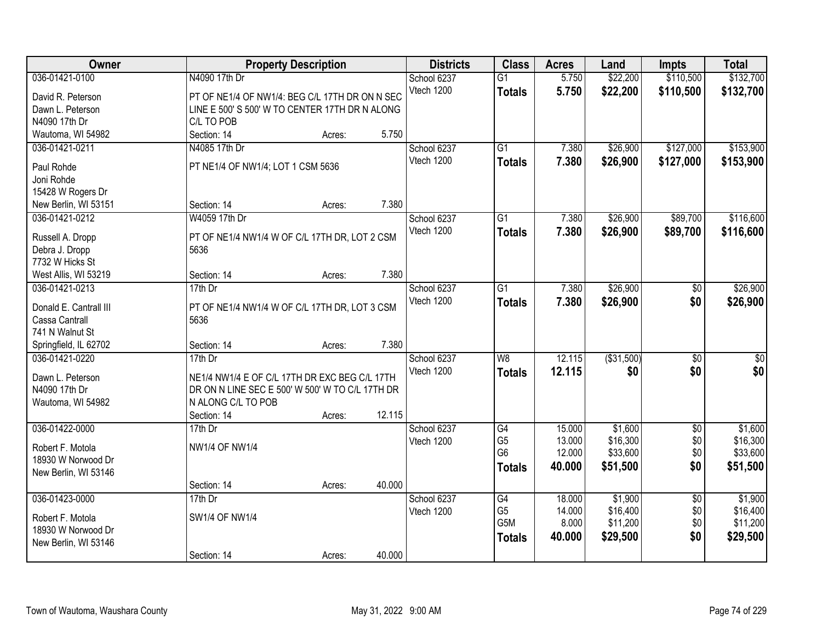| Owner                                  | <b>Property Description</b>                     |        |        | <b>Districts</b>          | <b>Class</b>         | <b>Acres</b>     | Land                | <b>Impts</b>    | <b>Total</b>        |
|----------------------------------------|-------------------------------------------------|--------|--------|---------------------------|----------------------|------------------|---------------------|-----------------|---------------------|
| 036-01421-0100                         | N4090 17th Dr                                   |        |        | School 6237               | $\overline{G1}$      | 5.750            | \$22,200            | \$110,500       | \$132,700           |
| David R. Peterson                      | PT OF NE1/4 OF NW1/4: BEG C/L 17TH DR ON N SEC  |        |        | Vtech 1200                | <b>Totals</b>        | 5.750            | \$22,200            | \$110,500       | \$132,700           |
| Dawn L. Peterson                       | LINE E 500' S 500' W TO CENTER 17TH DR N ALONG  |        |        |                           |                      |                  |                     |                 |                     |
| N4090 17th Dr                          | C/L TO POB                                      |        |        |                           |                      |                  |                     |                 |                     |
| Wautoma, WI 54982                      | Section: 14                                     | Acres: | 5.750  |                           |                      |                  |                     |                 |                     |
| 036-01421-0211                         | N4085 17th Dr                                   |        |        | School 6237               | $\overline{G1}$      | 7.380            | \$26,900            | \$127,000       | \$153,900           |
|                                        |                                                 |        |        | Vtech 1200                | <b>Totals</b>        | 7.380            | \$26,900            | \$127,000       | \$153,900           |
| Paul Rohde                             | PT NE1/4 OF NW1/4; LOT 1 CSM 5636               |        |        |                           |                      |                  |                     |                 |                     |
| Joni Rohde                             |                                                 |        |        |                           |                      |                  |                     |                 |                     |
| 15428 W Rogers Dr                      | Section: 14                                     |        | 7.380  |                           |                      |                  |                     |                 |                     |
| New Berlin, WI 53151<br>036-01421-0212 | W4059 17th Dr                                   | Acres: |        |                           |                      |                  | \$26,900            | \$89,700        | \$116,600           |
|                                        |                                                 |        |        | School 6237<br>Vtech 1200 | G1                   | 7.380            |                     |                 |                     |
| Russell A. Dropp                       | PT OF NE1/4 NW1/4 W OF C/L 17TH DR, LOT 2 CSM   |        |        |                           | <b>Totals</b>        | 7.380            | \$26,900            | \$89,700        | \$116,600           |
| Debra J. Dropp                         | 5636                                            |        |        |                           |                      |                  |                     |                 |                     |
| 7732 W Hicks St                        |                                                 |        |        |                           |                      |                  |                     |                 |                     |
| West Allis, WI 53219                   | Section: 14                                     | Acres: | 7.380  |                           |                      |                  |                     |                 |                     |
| 036-01421-0213                         | 17th Dr                                         |        |        | School 6237               | $\overline{G1}$      | 7.380            | \$26,900            | \$0             | \$26,900            |
| Donald E. Cantrall III                 | PT OF NE1/4 NW1/4 W OF C/L 17TH DR, LOT 3 CSM   |        |        | Vtech 1200                | <b>Totals</b>        | 7.380            | \$26,900            | \$0             | \$26,900            |
| Cassa Cantrall                         | 5636                                            |        |        |                           |                      |                  |                     |                 |                     |
| 741 N Walnut St                        |                                                 |        |        |                           |                      |                  |                     |                 |                     |
| Springfield, IL 62702                  | Section: 14                                     | Acres: | 7.380  |                           |                      |                  |                     |                 |                     |
| 036-01421-0220                         | $17th$ Dr                                       |        |        | School 6237               | W8                   | 12.115           | (\$31,500)          | $\overline{30}$ | $\overline{\$0}$    |
|                                        |                                                 |        |        | Vtech 1200                | <b>Totals</b>        | 12.115           | \$0                 | \$0             | \$0                 |
| Dawn L. Peterson                       | NE1/4 NW1/4 E OF C/L 17TH DR EXC BEG C/L 17TH   |        |        |                           |                      |                  |                     |                 |                     |
| N4090 17th Dr                          | DR ON N LINE SEC E 500' W 500' W TO C/L 17TH DR |        |        |                           |                      |                  |                     |                 |                     |
| Wautoma, WI 54982                      | N ALONG C/L TO POB                              |        |        |                           |                      |                  |                     |                 |                     |
|                                        | Section: 14                                     | Acres: | 12.115 |                           |                      |                  |                     |                 |                     |
| 036-01422-0000                         | $17th$ Dr                                       |        |        | School 6237               | G4<br>G <sub>5</sub> | 15.000<br>13.000 | \$1,600<br>\$16,300 | $\overline{60}$ | \$1,600<br>\$16,300 |
| Robert F. Motola                       | <b>NW1/4 OF NW1/4</b>                           |        |        | Vtech 1200                | G <sub>6</sub>       | 12.000           | \$33,600            | \$0<br>\$0      | \$33,600            |
| 18930 W Norwood Dr                     |                                                 |        |        |                           |                      | 40.000           | \$51,500            | \$0             | \$51,500            |
| New Berlin, WI 53146                   |                                                 |        |        |                           | <b>Totals</b>        |                  |                     |                 |                     |
|                                        | Section: 14                                     | Acres: | 40.000 |                           |                      |                  |                     |                 |                     |
| 036-01423-0000                         | 17th Dr                                         |        |        | School 6237               | G4                   | 18.000           | \$1,900             | $\overline{50}$ | \$1,900             |
| Robert F. Motola                       | <b>SW1/4 OF NW1/4</b>                           |        |        | Vtech 1200                | G <sub>5</sub>       | 14.000           | \$16,400            | \$0             | \$16,400            |
| 18930 W Norwood Dr                     |                                                 |        |        |                           | G5M                  | 8.000            | \$11,200            | \$0             | \$11,200            |
| New Berlin, WI 53146                   |                                                 |        |        |                           | <b>Totals</b>        | 40.000           | \$29,500            | \$0             | \$29,500            |
|                                        | Section: 14                                     | Acres: | 40.000 |                           |                      |                  |                     |                 |                     |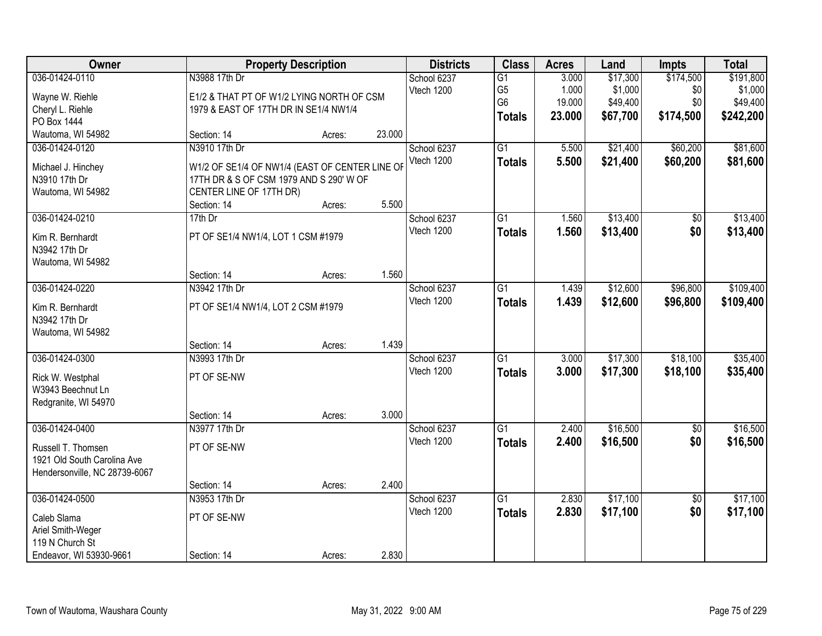| \$174,500<br>036-01424-0110<br>N3988 17th Dr<br>\$17,300<br>School 6237<br>$\overline{G1}$<br>3.000<br>\$1,000<br>Vtech 1200<br>G <sub>5</sub><br>1.000<br>\$0<br>Wayne W. Riehle<br>E1/2 & THAT PT OF W1/2 LYING NORTH OF CSM<br>G <sub>6</sub><br>19.000<br>\$49,400<br>\$0<br>Cheryl L. Riehle<br>1979 & EAST OF 17TH DR IN SE1/4 NW1/4<br>23.000<br>\$67,700<br>\$174,500<br><b>Totals</b><br>PO Box 1444<br>23.000<br>Wautoma, WI 54982<br>Section: 14<br>Acres: | \$191,800<br>\$1,000<br>\$49,400<br>\$242,200<br>\$81,600<br>\$81,600 |
|-----------------------------------------------------------------------------------------------------------------------------------------------------------------------------------------------------------------------------------------------------------------------------------------------------------------------------------------------------------------------------------------------------------------------------------------------------------------------|-----------------------------------------------------------------------|
|                                                                                                                                                                                                                                                                                                                                                                                                                                                                       |                                                                       |
|                                                                                                                                                                                                                                                                                                                                                                                                                                                                       |                                                                       |
|                                                                                                                                                                                                                                                                                                                                                                                                                                                                       |                                                                       |
|                                                                                                                                                                                                                                                                                                                                                                                                                                                                       |                                                                       |
| $\overline{G1}$<br>\$21,400<br>\$60,200<br>036-01424-0120<br>N3910 17th Dr<br>School 6237<br>5.500                                                                                                                                                                                                                                                                                                                                                                    |                                                                       |
| Vtech 1200<br>5.500<br>\$60,200<br>\$21,400<br><b>Totals</b><br>W1/2 OF SE1/4 OF NW1/4 (EAST OF CENTER LINE OF<br>Michael J. Hinchey                                                                                                                                                                                                                                                                                                                                  |                                                                       |
| 17TH DR & S OF CSM 1979 AND S 290' W OF<br>N3910 17th Dr                                                                                                                                                                                                                                                                                                                                                                                                              |                                                                       |
| CENTER LINE OF 17TH DR)<br>Wautoma, WI 54982                                                                                                                                                                                                                                                                                                                                                                                                                          |                                                                       |
| 5.500<br>Section: 14<br>Acres:                                                                                                                                                                                                                                                                                                                                                                                                                                        |                                                                       |
| \$13,400<br>036-01424-0210<br>17th Dr<br>School 6237<br>$\overline{G1}$<br>1.560<br>$\overline{50}$                                                                                                                                                                                                                                                                                                                                                                   | \$13,400                                                              |
| Vtech 1200<br>\$13,400<br>\$0<br>1.560<br><b>Totals</b><br>PT OF SE1/4 NW1/4, LOT 1 CSM #1979<br>Kim R. Bernhardt                                                                                                                                                                                                                                                                                                                                                     | \$13,400                                                              |
| N3942 17th Dr<br>Wautoma, WI 54982                                                                                                                                                                                                                                                                                                                                                                                                                                    |                                                                       |
| 1.560<br>Section: 14<br>Acres:                                                                                                                                                                                                                                                                                                                                                                                                                                        |                                                                       |
| 036-01424-0220<br>N3942 17th Dr<br>\$12,600<br>\$96,800<br>School 6237<br>G1<br>1.439                                                                                                                                                                                                                                                                                                                                                                                 | \$109,400                                                             |
| Vtech 1200<br>1.439<br>\$96,800<br>\$12,600<br><b>Totals</b>                                                                                                                                                                                                                                                                                                                                                                                                          | \$109,400                                                             |
| PT OF SE1/4 NW1/4, LOT 2 CSM #1979<br>Kim R. Bernhardt<br>N3942 17th Dr                                                                                                                                                                                                                                                                                                                                                                                               |                                                                       |
| Wautoma, WI 54982                                                                                                                                                                                                                                                                                                                                                                                                                                                     |                                                                       |
| 1.439<br>Section: 14<br>Acres:                                                                                                                                                                                                                                                                                                                                                                                                                                        |                                                                       |
| $\overline{G1}$<br>\$17,300<br>\$18,100<br>036-01424-0300<br>N3993 17th Dr<br>3.000<br>School 6237                                                                                                                                                                                                                                                                                                                                                                    | \$35,400                                                              |
| Vtech 1200<br>3.000<br>\$17,300<br>\$18,100<br><b>Totals</b>                                                                                                                                                                                                                                                                                                                                                                                                          | \$35,400                                                              |
| PT OF SE-NW<br>Rick W. Westphal                                                                                                                                                                                                                                                                                                                                                                                                                                       |                                                                       |
| W3943 Beechnut Ln<br>Redgranite, WI 54970                                                                                                                                                                                                                                                                                                                                                                                                                             |                                                                       |
| 3.000<br>Section: 14<br>Acres:                                                                                                                                                                                                                                                                                                                                                                                                                                        |                                                                       |
| 036-01424-0400<br>G1<br>\$16,500<br>N3977 17th Dr<br>School 6237<br>2.400<br>$\sqrt{6}$                                                                                                                                                                                                                                                                                                                                                                               | \$16,500                                                              |
| Vtech 1200<br>\$16,500<br>\$0<br>2.400<br><b>Totals</b>                                                                                                                                                                                                                                                                                                                                                                                                               | \$16,500                                                              |
| PT OF SE-NW<br>Russell T. Thomsen<br>1921 Old South Carolina Ave                                                                                                                                                                                                                                                                                                                                                                                                      |                                                                       |
| Hendersonville, NC 28739-6067                                                                                                                                                                                                                                                                                                                                                                                                                                         |                                                                       |
| 2.400<br>Section: 14<br>Acres:                                                                                                                                                                                                                                                                                                                                                                                                                                        |                                                                       |
| \$17,100<br>036-01424-0500<br>N3953 17th Dr<br>School 6237<br>$\overline{G1}$<br>2.830<br>$\overline{50}$                                                                                                                                                                                                                                                                                                                                                             | \$17,100                                                              |
| 2.830<br>\$0<br>Vtech 1200<br>\$17,100<br><b>Totals</b>                                                                                                                                                                                                                                                                                                                                                                                                               | \$17,100                                                              |
| PT OF SE-NW<br>Caleb Slama                                                                                                                                                                                                                                                                                                                                                                                                                                            |                                                                       |
| Ariel Smith-Weger<br>119 N Church St                                                                                                                                                                                                                                                                                                                                                                                                                                  |                                                                       |
| 2.830<br>Endeavor, WI 53930-9661<br>Section: 14<br>Acres:                                                                                                                                                                                                                                                                                                                                                                                                             |                                                                       |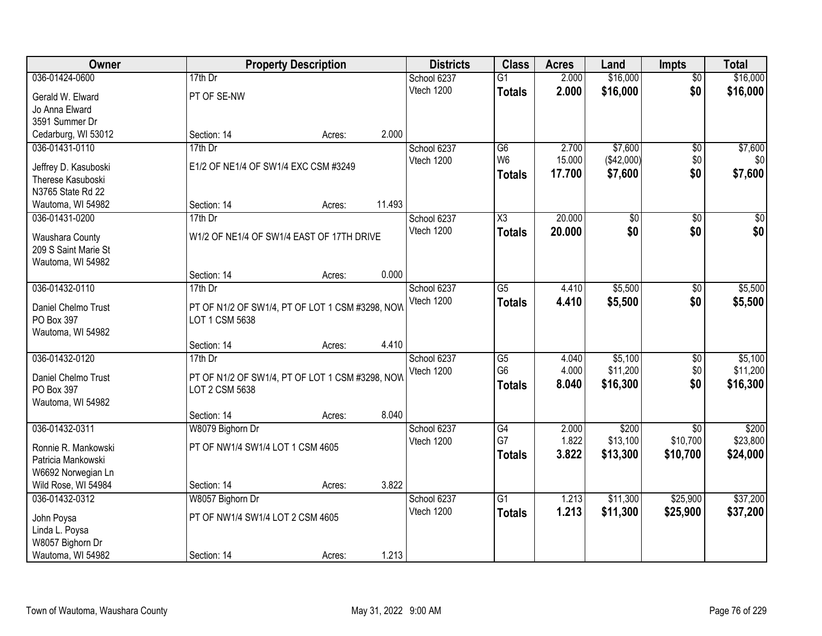| Owner                                 |                                                                   | <b>Property Description</b> |        | <b>Districts</b>          | <b>Class</b>    | <b>Acres</b>   | Land       | <b>Impts</b>    | <b>Total</b>    |
|---------------------------------------|-------------------------------------------------------------------|-----------------------------|--------|---------------------------|-----------------|----------------|------------|-----------------|-----------------|
| 036-01424-0600                        | $17th$ Dr                                                         |                             |        | School 6237               | $\overline{G1}$ | 2.000          | \$16,000   | $\overline{50}$ | \$16,000        |
| Gerald W. Elward                      | PT OF SE-NW                                                       |                             |        | Vtech 1200                | <b>Totals</b>   | 2.000          | \$16,000   | \$0             | \$16,000        |
| Jo Anna Elward                        |                                                                   |                             |        |                           |                 |                |            |                 |                 |
| 3591 Summer Dr                        |                                                                   |                             |        |                           |                 |                |            |                 |                 |
| Cedarburg, WI 53012                   | Section: 14                                                       | Acres:                      | 2.000  |                           |                 |                |            |                 |                 |
| 036-01431-0110                        | 17th Dr                                                           |                             |        | School 6237               | $\overline{G6}$ | 2.700          | \$7,600    | \$0             | \$7,600         |
| Jeffrey D. Kasuboski                  | E1/2 OF NE1/4 OF SW1/4 EXC CSM #3249                              |                             |        | Vtech 1200                | W <sub>6</sub>  | 15.000         | (\$42,000) | \$0             | \$0             |
| Therese Kasuboski                     |                                                                   |                             |        |                           | Totals          | 17.700         | \$7,600    | \$0             | \$7,600         |
| N3765 State Rd 22                     |                                                                   |                             |        |                           |                 |                |            |                 |                 |
| Wautoma, WI 54982                     | Section: 14                                                       | Acres:                      | 11.493 |                           |                 |                |            |                 |                 |
| 036-01431-0200                        | 17th Dr                                                           |                             |        | School 6237               | X3              | 20.000         | \$0        | \$0             | $\overline{50}$ |
| Waushara County                       | W1/2 OF NE1/4 OF SW1/4 EAST OF 17TH DRIVE                         |                             |        | Vtech 1200                | <b>Totals</b>   | 20.000         | \$0        | \$0             | \$0             |
| 209 S Saint Marie St                  |                                                                   |                             |        |                           |                 |                |            |                 |                 |
| Wautoma, WI 54982                     |                                                                   |                             |        |                           |                 |                |            |                 |                 |
|                                       | Section: 14                                                       | Acres:                      | 0.000  |                           |                 |                |            |                 |                 |
| 036-01432-0110                        | $17th$ Dr                                                         |                             |        | School 6237               | $\overline{G5}$ | 4.410          | \$5,500    | $\sqrt[6]{3}$   | \$5,500         |
|                                       |                                                                   |                             |        | Vtech 1200                | <b>Totals</b>   | 4.410          | \$5,500    | \$0             | \$5,500         |
| Daniel Chelmo Trust<br>PO Box 397     | PT OF N1/2 OF SW1/4, PT OF LOT 1 CSM #3298, NOW<br>LOT 1 CSM 5638 |                             |        |                           |                 |                |            |                 |                 |
| Wautoma, WI 54982                     |                                                                   |                             |        |                           |                 |                |            |                 |                 |
|                                       | Section: 14                                                       | Acres:                      | 4.410  |                           |                 |                |            |                 |                 |
| 036-01432-0120                        | $17th$ Dr                                                         |                             |        | School 6237               | $\overline{G5}$ | 4.040          | \$5,100    | $\overline{50}$ | \$5,100         |
|                                       |                                                                   |                             |        | Vtech 1200                | G <sub>6</sub>  | 4.000          | \$11,200   | \$0             | \$11,200        |
| Daniel Chelmo Trust                   | PT OF N1/2 OF SW1/4, PT OF LOT 1 CSM #3298, NOW                   |                             |        |                           | <b>Totals</b>   | 8.040          | \$16,300   | \$0             | \$16,300        |
| PO Box 397                            | LOT 2 CSM 5638                                                    |                             |        |                           |                 |                |            |                 |                 |
| Wautoma, WI 54982                     | Section: 14                                                       | Acres:                      | 8.040  |                           |                 |                |            |                 |                 |
| 036-01432-0311                        | W8079 Bighorn Dr                                                  |                             |        | School 6237               | G4              | 2.000          | \$200      | $\overline{30}$ | \$200           |
|                                       |                                                                   |                             |        | Vtech 1200                | G7              | 1.822          | \$13,100   | \$10,700        | \$23,800        |
| Ronnie R. Mankowski                   | PT OF NW1/4 SW1/4 LOT 1 CSM 4605                                  |                             |        |                           | <b>Totals</b>   | 3.822          | \$13,300   | \$10,700        | \$24,000        |
| Patricia Mankowski                    |                                                                   |                             |        |                           |                 |                |            |                 |                 |
| W6692 Norwegian Ln                    |                                                                   |                             |        |                           |                 |                |            |                 |                 |
| Wild Rose, WI 54984<br>036-01432-0312 | Section: 14                                                       | Acres:                      | 3.822  |                           | $\overline{G1}$ |                | \$11,300   | \$25,900        | \$37,200        |
|                                       | W8057 Bighorn Dr                                                  |                             |        | School 6237<br>Vtech 1200 |                 | 1.213<br>1.213 | \$11,300   | \$25,900        | \$37,200        |
| John Poysa                            | PT OF NW1/4 SW1/4 LOT 2 CSM 4605                                  |                             |        |                           | <b>Totals</b>   |                |            |                 |                 |
| Linda L. Poysa                        |                                                                   |                             |        |                           |                 |                |            |                 |                 |
| W8057 Bighorn Dr                      |                                                                   |                             |        |                           |                 |                |            |                 |                 |
| Wautoma, WI 54982                     | Section: 14                                                       | Acres:                      | 1.213  |                           |                 |                |            |                 |                 |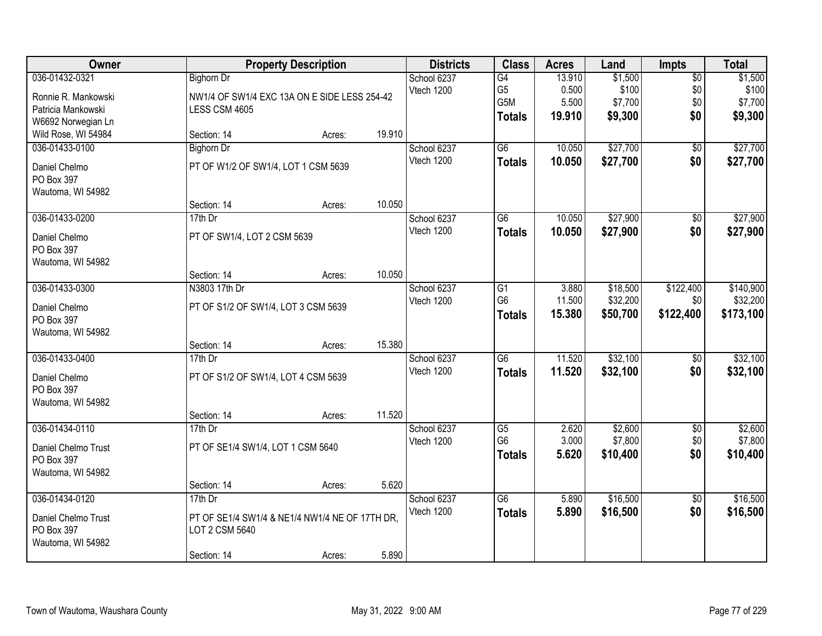| Owner                           | <b>Property Description</b>                    |        |        | <b>Districts</b>          | <b>Class</b>                      | <b>Acres</b>   | Land               | <b>Impts</b>           | <b>Total</b>       |
|---------------------------------|------------------------------------------------|--------|--------|---------------------------|-----------------------------------|----------------|--------------------|------------------------|--------------------|
| 036-01432-0321                  | <b>Bighorn Dr</b>                              |        |        | School 6237               | G4                                | 13.910         | \$1,500            | $\overline{50}$        | \$1,500            |
| Ronnie R. Mankowski             | NW1/4 OF SW1/4 EXC 13A ON E SIDE LESS 254-42   |        |        | Vtech 1200                | G <sub>5</sub>                    | 0.500          | \$100              | \$0                    | \$100              |
| Patricia Mankowski              | LESS CSM 4605                                  |        |        |                           | G <sub>5</sub> M                  | 5.500          | \$7,700            | \$0                    | \$7,700            |
| W6692 Norwegian Ln              |                                                |        |        |                           | <b>Totals</b>                     | 19.910         | \$9,300            | \$0                    | \$9,300            |
| Wild Rose, WI 54984             | Section: 14                                    | Acres: | 19.910 |                           |                                   |                |                    |                        |                    |
| 036-01433-0100                  | <b>Bighorn Dr</b>                              |        |        | School 6237               | $\overline{G6}$                   | 10.050         | \$27,700           | $\overline{50}$        | \$27,700           |
| Daniel Chelmo                   | PT OF W1/2 OF SW1/4, LOT 1 CSM 5639            |        |        | Vtech 1200                | <b>Totals</b>                     | 10.050         | \$27,700           | \$0                    | \$27,700           |
| PO Box 397                      |                                                |        |        |                           |                                   |                |                    |                        |                    |
| Wautoma, WI 54982               |                                                |        |        |                           |                                   |                |                    |                        |                    |
|                                 | Section: 14                                    | Acres: | 10.050 |                           |                                   |                |                    |                        |                    |
| 036-01433-0200                  | 17th Dr                                        |        |        | School 6237               | G6                                | 10.050         | \$27,900           | \$0                    | \$27,900           |
|                                 |                                                |        |        | Vtech 1200                | <b>Totals</b>                     | 10.050         | \$27,900           | \$0                    | \$27,900           |
| Daniel Chelmo<br>PO Box 397     | PT OF SW1/4, LOT 2 CSM 5639                    |        |        |                           |                                   |                |                    |                        |                    |
| Wautoma, WI 54982               |                                                |        |        |                           |                                   |                |                    |                        |                    |
|                                 | Section: 14                                    | Acres: | 10.050 |                           |                                   |                |                    |                        |                    |
| 036-01433-0300                  | N3803 17th Dr                                  |        |        | School 6237               | G1                                | 3.880          | \$18,500           | \$122,400              | \$140,900          |
|                                 |                                                |        |        | Vtech 1200                | G <sub>6</sub>                    | 11.500         | \$32,200           | \$0                    | \$32,200           |
| Daniel Chelmo                   | PT OF S1/2 OF SW1/4, LOT 3 CSM 5639            |        |        |                           | <b>Totals</b>                     | 15.380         | \$50,700           | \$122,400              | \$173,100          |
| PO Box 397<br>Wautoma, WI 54982 |                                                |        |        |                           |                                   |                |                    |                        |                    |
|                                 | Section: 14                                    | Acres: | 15.380 |                           |                                   |                |                    |                        |                    |
| 036-01433-0400                  | 17th Dr                                        |        |        | School 6237               | $\overline{G6}$                   | 11.520         | \$32,100           | $\overline{50}$        | \$32,100           |
|                                 |                                                |        |        | Vtech 1200                | <b>Totals</b>                     | 11.520         | \$32,100           | \$0                    | \$32,100           |
| Daniel Chelmo                   | PT OF S1/2 OF SW1/4, LOT 4 CSM 5639            |        |        |                           |                                   |                |                    |                        |                    |
| PO Box 397                      |                                                |        |        |                           |                                   |                |                    |                        |                    |
| Wautoma, WI 54982               |                                                |        |        |                           |                                   |                |                    |                        |                    |
|                                 | Section: 14                                    | Acres: | 11.520 |                           |                                   |                |                    |                        |                    |
| 036-01434-0110                  | 17th Dr                                        |        |        | School 6237<br>Vtech 1200 | $\overline{G5}$<br>G <sub>6</sub> | 2.620<br>3.000 | \$2,600<br>\$7,800 | $\overline{60}$<br>\$0 | \$2,600<br>\$7,800 |
| Daniel Chelmo Trust             | PT OF SE1/4 SW1/4, LOT 1 CSM 5640              |        |        |                           | <b>Totals</b>                     | 5.620          | \$10,400           | \$0                    | \$10,400           |
| PO Box 397                      |                                                |        |        |                           |                                   |                |                    |                        |                    |
| Wautoma, WI 54982               |                                                |        |        |                           |                                   |                |                    |                        |                    |
|                                 | Section: 14                                    | Acres: | 5.620  |                           |                                   |                |                    |                        |                    |
| 036-01434-0120                  | $17th$ Dr                                      |        |        | School 6237               | $\overline{G6}$                   | 5.890          | \$16,500           | $\overline{50}$        | \$16,500           |
| Daniel Chelmo Trust             | PT OF SE1/4 SW1/4 & NE1/4 NW1/4 NE OF 17TH DR, |        |        | Vtech 1200                | <b>Totals</b>                     | 5.890          | \$16,500           | \$0                    | \$16,500           |
| PO Box 397                      | LOT 2 CSM 5640                                 |        |        |                           |                                   |                |                    |                        |                    |
| Wautoma, WI 54982               |                                                |        |        |                           |                                   |                |                    |                        |                    |
|                                 | Section: 14                                    | Acres: | 5.890  |                           |                                   |                |                    |                        |                    |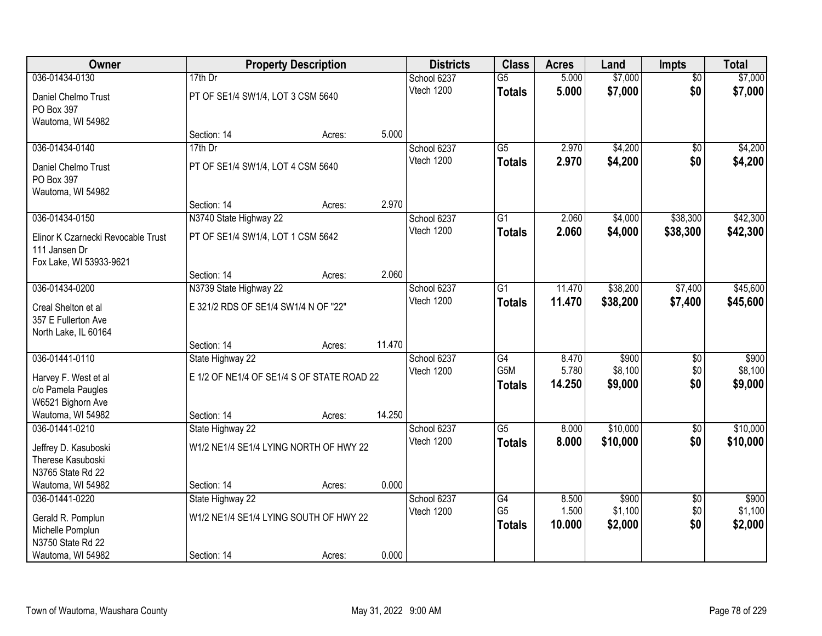| Owner                               |                                            | <b>Property Description</b> |        | <b>Districts</b>          | <b>Class</b>                        | <b>Acres</b>   | Land             | <b>Impts</b>           | <b>Total</b>     |
|-------------------------------------|--------------------------------------------|-----------------------------|--------|---------------------------|-------------------------------------|----------------|------------------|------------------------|------------------|
| 036-01434-0130                      | 17th Dr                                    |                             |        | School 6237               | $\overline{G5}$                     | 5.000          | \$7,000          | $\overline{50}$        | \$7,000          |
| Daniel Chelmo Trust                 | PT OF SE1/4 SW1/4, LOT 3 CSM 5640          |                             |        | Vtech 1200                | <b>Totals</b>                       | 5.000          | \$7,000          | \$0                    | \$7,000          |
| PO Box 397                          |                                            |                             |        |                           |                                     |                |                  |                        |                  |
| Wautoma, WI 54982                   |                                            |                             |        |                           |                                     |                |                  |                        |                  |
|                                     | Section: 14                                | Acres:                      | 5.000  |                           |                                     |                |                  |                        |                  |
| 036-01434-0140                      | 17th Dr                                    |                             |        | School 6237               | $\overline{G5}$                     | 2.970          | \$4,200          | $\overline{50}$        | \$4,200          |
| Daniel Chelmo Trust                 | PT OF SE1/4 SW1/4, LOT 4 CSM 5640          |                             |        | Vtech 1200                | <b>Totals</b>                       | 2.970          | \$4,200          | \$0                    | \$4,200          |
| PO Box 397                          |                                            |                             |        |                           |                                     |                |                  |                        |                  |
| Wautoma, WI 54982                   |                                            |                             |        |                           |                                     |                |                  |                        |                  |
|                                     | Section: 14                                | Acres:                      | 2.970  |                           |                                     |                |                  |                        |                  |
| 036-01434-0150                      | N3740 State Highway 22                     |                             |        | School 6237               | $\overline{G1}$                     | 2.060          | \$4,000          | \$38,300               | \$42,300         |
| Elinor K Czarnecki Revocable Trust  | PT OF SE1/4 SW1/4, LOT 1 CSM 5642          |                             |        | Vtech 1200                | <b>Totals</b>                       | 2.060          | \$4,000          | \$38,300               | \$42,300         |
| 111 Jansen Dr                       |                                            |                             |        |                           |                                     |                |                  |                        |                  |
| Fox Lake, WI 53933-9621             |                                            |                             |        |                           |                                     |                |                  |                        |                  |
|                                     | Section: 14                                | Acres:                      | 2.060  |                           |                                     |                |                  |                        |                  |
| 036-01434-0200                      | N3739 State Highway 22                     |                             |        | School 6237<br>Vtech 1200 | G1                                  | 11.470         | \$38,200         | \$7,400                | \$45,600         |
| Creal Shelton et al                 | E 321/2 RDS OF SE1/4 SW1/4 N OF "22"       |                             |        |                           | <b>Totals</b>                       | 11.470         | \$38,200         | \$7,400                | \$45,600         |
| 357 E Fullerton Ave                 |                                            |                             |        |                           |                                     |                |                  |                        |                  |
| North Lake, IL 60164                |                                            |                             |        |                           |                                     |                |                  |                        |                  |
|                                     | Section: 14                                | Acres:                      | 11.470 |                           |                                     |                |                  |                        |                  |
| 036-01441-0110                      | State Highway 22                           |                             |        | School 6237<br>Vtech 1200 | $\overline{G4}$<br>G <sub>5</sub> M | 8.470<br>5.780 | \$900<br>\$8,100 | $\overline{30}$<br>\$0 | \$900<br>\$8,100 |
| Harvey F. West et al                | E 1/2 OF NE1/4 OF SE1/4 S OF STATE ROAD 22 |                             |        |                           | <b>Totals</b>                       | 14.250         | \$9,000          | \$0                    | \$9,000          |
| c/o Pamela Paugles                  |                                            |                             |        |                           |                                     |                |                  |                        |                  |
| W6521 Bighorn Ave                   |                                            |                             |        |                           |                                     |                |                  |                        |                  |
| Wautoma, WI 54982<br>036-01441-0210 | Section: 14                                | Acres:                      | 14.250 |                           | $\overline{G5}$                     | 8.000          | \$10,000         |                        | \$10,000         |
|                                     | State Highway 22                           |                             |        | School 6237<br>Vtech 1200 |                                     | 8.000          | \$10,000         | $\sqrt{$0}$<br>\$0     |                  |
| Jeffrey D. Kasuboski                | W1/2 NE1/4 SE1/4 LYING NORTH OF HWY 22     |                             |        |                           | <b>Totals</b>                       |                |                  |                        | \$10,000         |
| Therese Kasuboski                   |                                            |                             |        |                           |                                     |                |                  |                        |                  |
| N3765 State Rd 22                   |                                            |                             | 0.000  |                           |                                     |                |                  |                        |                  |
| Wautoma, WI 54982<br>036-01441-0220 | Section: 14<br>State Highway 22            | Acres:                      |        | School 6237               | $\overline{G4}$                     | 8.500          | \$900            |                        | \$900            |
|                                     |                                            |                             |        | Vtech 1200                | G <sub>5</sub>                      | 1.500          | \$1,100          | $\overline{50}$<br>\$0 | \$1,100          |
| Gerald R. Pomplun                   | W1/2 NE1/4 SE1/4 LYING SOUTH OF HWY 22     |                             |        |                           | <b>Totals</b>                       | 10.000         | \$2,000          | \$0                    | \$2,000          |
| Michelle Pomplun                    |                                            |                             |        |                           |                                     |                |                  |                        |                  |
| N3750 State Rd 22                   |                                            |                             |        |                           |                                     |                |                  |                        |                  |
| Wautoma, WI 54982                   | Section: 14                                | Acres:                      | 0.000  |                           |                                     |                |                  |                        |                  |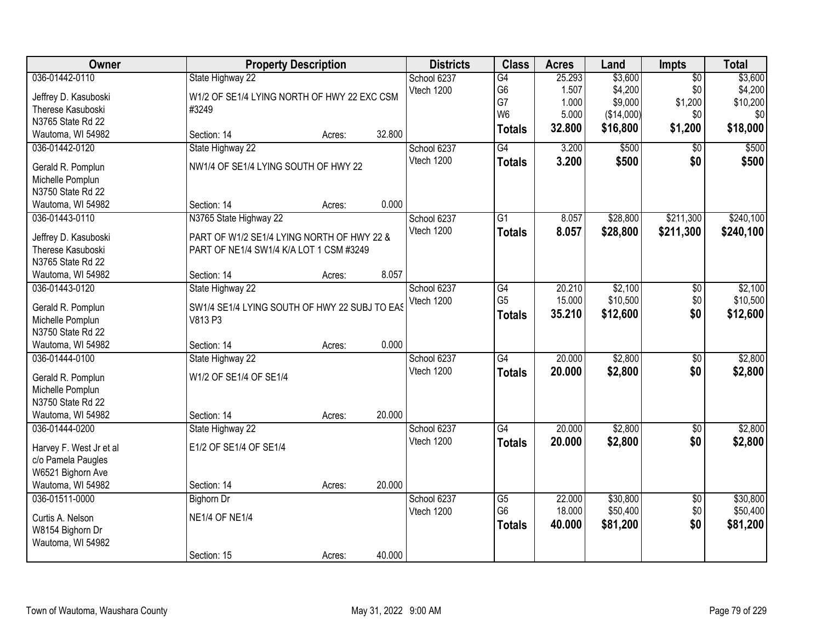| Owner                                 | <b>Property Description</b>                   |        |        | <b>Districts</b> | <b>Class</b>    | <b>Acres</b> | Land       | <b>Impts</b>    | <b>Total</b> |
|---------------------------------------|-----------------------------------------------|--------|--------|------------------|-----------------|--------------|------------|-----------------|--------------|
| 036-01442-0110                        | State Highway 22                              |        |        | School 6237      | $\overline{G4}$ | 25.293       | \$3,600    | $\overline{50}$ | \$3,600      |
| Jeffrey D. Kasuboski                  | W1/2 OF SE1/4 LYING NORTH OF HWY 22 EXC CSM   |        |        | Vtech 1200       | G <sub>6</sub>  | 1.507        | \$4,200    | \$0             | \$4,200      |
| Therese Kasuboski                     | #3249                                         |        |        |                  | G7              | 1.000        | \$9,000    | \$1,200         | \$10,200     |
| N3765 State Rd 22                     |                                               |        |        |                  | W <sub>6</sub>  | 5.000        | (\$14,000) | \$0             | \$0          |
| Wautoma, WI 54982                     | Section: 14                                   | Acres: | 32.800 |                  | <b>Totals</b>   | 32.800       | \$16,800   | \$1,200         | \$18,000     |
| 036-01442-0120                        | State Highway 22                              |        |        | School 6237      | G4              | 3.200        | \$500      | \$0             | \$500        |
|                                       | NW1/4 OF SE1/4 LYING SOUTH OF HWY 22          |        |        | Vtech 1200       | <b>Totals</b>   | 3.200        | \$500      | \$0             | \$500        |
| Gerald R. Pomplun                     |                                               |        |        |                  |                 |              |            |                 |              |
| Michelle Pomplun<br>N3750 State Rd 22 |                                               |        |        |                  |                 |              |            |                 |              |
| Wautoma, WI 54982                     | Section: 14                                   | Acres: | 0.000  |                  |                 |              |            |                 |              |
|                                       |                                               |        |        |                  |                 |              | \$28,800   | \$211,300       |              |
| 036-01443-0110                        | N3765 State Highway 22                        |        |        | School 6237      | G1              | 8.057        |            |                 | \$240,100    |
| Jeffrey D. Kasuboski                  | PART OF W1/2 SE1/4 LYING NORTH OF HWY 22 &    |        |        | Vtech 1200       | <b>Totals</b>   | 8.057        | \$28,800   | \$211,300       | \$240,100    |
| Therese Kasuboski                     | PART OF NE1/4 SW1/4 K/A LOT 1 CSM #3249       |        |        |                  |                 |              |            |                 |              |
| N3765 State Rd 22                     |                                               |        |        |                  |                 |              |            |                 |              |
| Wautoma, WI 54982                     | Section: 14                                   | Acres: | 8.057  |                  |                 |              |            |                 |              |
| 036-01443-0120                        | State Highway 22                              |        |        | School 6237      | G4              | 20.210       | \$2,100    | \$0             | \$2,100      |
|                                       | SW1/4 SE1/4 LYING SOUTH OF HWY 22 SUBJ TO EAS |        |        | Vtech 1200       | G <sub>5</sub>  | 15.000       | \$10,500   | \$0             | \$10,500     |
| Gerald R. Pomplun<br>Michelle Pomplun | V813 P3                                       |        |        |                  | <b>Totals</b>   | 35.210       | \$12,600   | \$0             | \$12,600     |
| N3750 State Rd 22                     |                                               |        |        |                  |                 |              |            |                 |              |
| Wautoma, WI 54982                     | Section: 14                                   | Acres: | 0.000  |                  |                 |              |            |                 |              |
| 036-01444-0100                        | State Highway 22                              |        |        | School 6237      | $\overline{G4}$ | 20.000       | \$2,800    | $\overline{50}$ | \$2,800      |
|                                       |                                               |        |        | Vtech 1200       |                 |              |            |                 |              |
| Gerald R. Pomplun                     | W1/2 OF SE1/4 OF SE1/4                        |        |        |                  | <b>Totals</b>   | 20.000       | \$2,800    | \$0             | \$2,800      |
| Michelle Pomplun                      |                                               |        |        |                  |                 |              |            |                 |              |
| N3750 State Rd 22                     |                                               |        |        |                  |                 |              |            |                 |              |
| Wautoma, WI 54982                     | Section: 14                                   | Acres: | 20.000 |                  |                 |              |            |                 |              |
| 036-01444-0200                        | State Highway 22                              |        |        | School 6237      | $\overline{G4}$ | 20.000       | \$2,800    | $\overline{60}$ | \$2,800      |
| Harvey F. West Jr et al               | E1/2 OF SE1/4 OF SE1/4                        |        |        | Vtech 1200       | <b>Totals</b>   | 20.000       | \$2,800    | \$0             | \$2,800      |
| c/o Pamela Paugles                    |                                               |        |        |                  |                 |              |            |                 |              |
| W6521 Bighorn Ave                     |                                               |        |        |                  |                 |              |            |                 |              |
| Wautoma, WI 54982                     | Section: 14                                   | Acres: | 20.000 |                  |                 |              |            |                 |              |
| 036-01511-0000                        | <b>Bighorn Dr</b>                             |        |        | School 6237      | $\overline{G5}$ | 22.000       | \$30,800   | $\overline{50}$ | \$30,800     |
|                                       |                                               |        |        | Vtech 1200       | G <sub>6</sub>  | 18.000       | \$50,400   | \$0             | \$50,400     |
| Curtis A. Nelson                      | <b>NE1/4 OF NE1/4</b>                         |        |        |                  | <b>Totals</b>   | 40.000       | \$81,200   | \$0             | \$81,200     |
| W8154 Bighorn Dr                      |                                               |        |        |                  |                 |              |            |                 |              |
| Wautoma, WI 54982                     |                                               |        |        |                  |                 |              |            |                 |              |
|                                       | Section: 15                                   | Acres: | 40.000 |                  |                 |              |            |                 |              |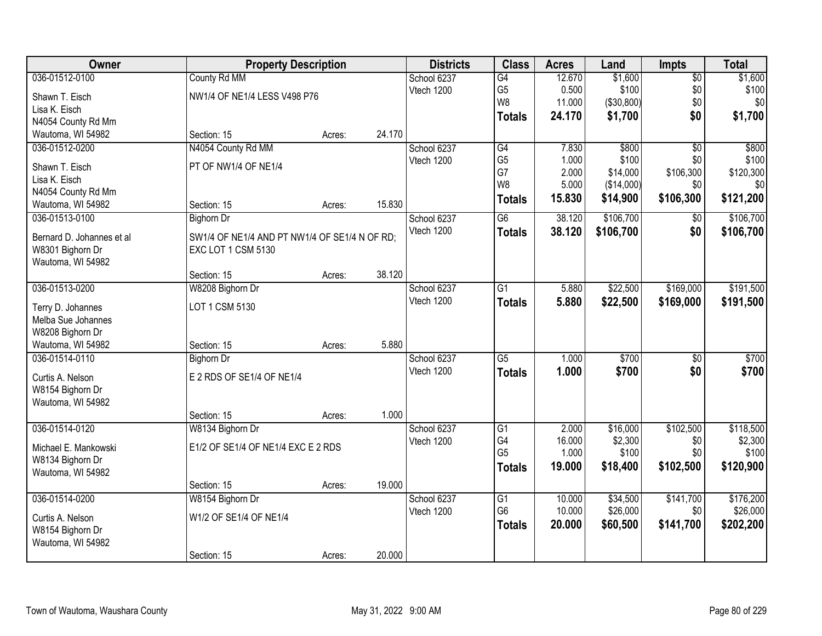| Owner                                   |                                               | <b>Property Description</b> |        |             | <b>Class</b>    | <b>Acres</b> | Land       | <b>Impts</b>    | <b>Total</b> |
|-----------------------------------------|-----------------------------------------------|-----------------------------|--------|-------------|-----------------|--------------|------------|-----------------|--------------|
| 036-01512-0100                          | County Rd MM                                  |                             |        | School 6237 | G4              | 12.670       | \$1,600    | $\overline{50}$ | \$1,600      |
| Shawn T. Eisch                          | NW1/4 OF NE1/4 LESS V498 P76                  |                             |        | Vtech 1200  | G <sub>5</sub>  | 0.500        | \$100      | \$0             | \$100        |
| Lisa K. Eisch                           |                                               |                             |        |             | W8              | 11.000       | (\$30,800) | \$0             | \$0          |
| N4054 County Rd Mm                      |                                               |                             |        |             | <b>Totals</b>   | 24.170       | \$1,700    | \$0             | \$1,700      |
| Wautoma, WI 54982                       | Section: 15                                   | Acres:                      | 24.170 |             |                 |              |            |                 |              |
| 036-01512-0200                          | N4054 County Rd MM                            |                             |        | School 6237 | G4              | 7.830        | \$800      | $\overline{30}$ | \$800        |
|                                         |                                               |                             |        | Vtech 1200  | G <sub>5</sub>  | 1.000        | \$100      | \$0             | \$100        |
| Shawn T. Eisch                          | PT OF NW1/4 OF NE1/4                          |                             |        |             | G7              | 2.000        | \$14,000   | \$106,300       | \$120,300    |
| Lisa K. Eisch                           |                                               |                             |        |             | W8              | 5.000        | (\$14,000) | \$0             | \$0          |
| N4054 County Rd Mm                      |                                               |                             |        |             | <b>Totals</b>   | 15.830       | \$14,900   | \$106,300       | \$121,200    |
| Wautoma, WI 54982                       | Section: 15                                   | Acres:                      | 15.830 |             |                 |              |            |                 |              |
| 036-01513-0100                          | <b>Bighorn Dr</b>                             |                             |        | School 6237 | G6              | 38.120       | \$106,700  | $\sqrt{6}$      | \$106,700    |
| Bernard D. Johannes et al               | SW1/4 OF NE1/4 AND PT NW1/4 OF SE1/4 N OF RD; |                             |        | Vtech 1200  | <b>Totals</b>   | 38.120       | \$106,700  | \$0             | \$106,700    |
| W8301 Bighorn Dr                        | EXC LOT 1 CSM 5130                            |                             |        |             |                 |              |            |                 |              |
| Wautoma, WI 54982                       |                                               |                             |        |             |                 |              |            |                 |              |
|                                         | Section: 15                                   | Acres:                      | 38.120 |             |                 |              |            |                 |              |
| 036-01513-0200                          | W8208 Bighorn Dr                              |                             |        | School 6237 | G1              | 5.880        | \$22,500   | \$169,000       | \$191,500    |
|                                         | LOT 1 CSM 5130                                |                             |        | Vtech 1200  | <b>Totals</b>   | 5.880        | \$22,500   | \$169,000       | \$191,500    |
| Terry D. Johannes<br>Melba Sue Johannes |                                               |                             |        |             |                 |              |            |                 |              |
| W8208 Bighorn Dr                        |                                               |                             |        |             |                 |              |            |                 |              |
| Wautoma, WI 54982                       | Section: 15                                   | Acres:                      | 5.880  |             |                 |              |            |                 |              |
| 036-01514-0110                          | <b>Bighorn Dr</b>                             |                             |        | School 6237 | $\overline{G5}$ | 1.000        | \$700      | $\overline{30}$ | \$700        |
|                                         |                                               |                             |        | Vtech 1200  | <b>Totals</b>   | 1.000        | \$700      | \$0             | \$700        |
| Curtis A. Nelson                        | E 2 RDS OF SE1/4 OF NE1/4                     |                             |        |             |                 |              |            |                 |              |
| W8154 Bighorn Dr                        |                                               |                             |        |             |                 |              |            |                 |              |
| Wautoma, WI 54982                       |                                               |                             |        |             |                 |              |            |                 |              |
|                                         | Section: 15                                   | Acres:                      | 1.000  |             |                 |              |            |                 |              |
| 036-01514-0120                          | W8134 Bighorn Dr                              |                             |        | School 6237 | $\overline{G1}$ | 2.000        | \$16,000   | \$102,500       | \$118,500    |
| Michael E. Mankowski                    | E1/2 OF SE1/4 OF NE1/4 EXC E 2 RDS            |                             |        | Vtech 1200  | G4              | 16.000       | \$2,300    | \$0             | \$2,300      |
| W8134 Bighorn Dr                        |                                               |                             |        |             | G <sub>5</sub>  | 1.000        | \$100      | \$0             | \$100        |
| Wautoma, WI 54982                       |                                               |                             |        |             | <b>Totals</b>   | 19.000       | \$18,400   | \$102,500       | \$120,900    |
|                                         | Section: 15                                   | Acres:                      | 19.000 |             |                 |              |            |                 |              |
| 036-01514-0200                          | W8154 Bighorn Dr                              |                             |        | School 6237 | $\overline{G1}$ | 10.000       | \$34,500   | \$141,700       | \$176,200    |
|                                         |                                               |                             |        | Vtech 1200  | G <sub>6</sub>  | 10.000       | \$26,000   | \$0             | \$26,000     |
| Curtis A. Nelson                        | W1/2 OF SE1/4 OF NE1/4                        |                             |        |             | <b>Totals</b>   | 20.000       | \$60,500   | \$141,700       | \$202,200    |
| W8154 Bighorn Dr                        |                                               |                             |        |             |                 |              |            |                 |              |
| Wautoma, WI 54982                       |                                               |                             |        |             |                 |              |            |                 |              |
|                                         | Section: 15                                   | Acres:                      | 20.000 |             |                 |              |            |                 |              |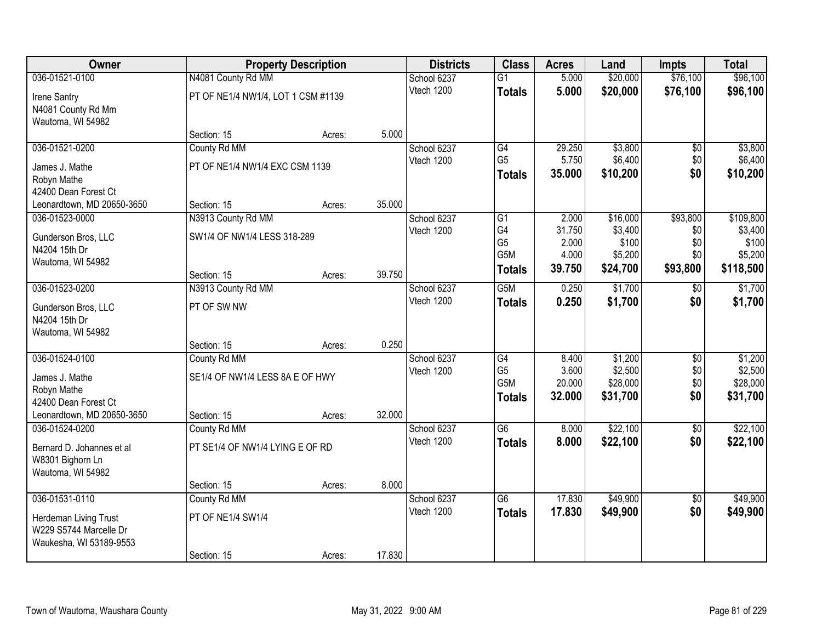| Owner                      |                                    | <b>Property Description</b> |        | <b>Districts</b>          | <b>Class</b>         | <b>Acres</b>     | Land               | <b>Impts</b>           | <b>Total</b>       |
|----------------------------|------------------------------------|-----------------------------|--------|---------------------------|----------------------|------------------|--------------------|------------------------|--------------------|
| 036-01521-0100             | N4081 County Rd MM                 |                             |        | School 6237               | $\overline{G1}$      | 5.000            | \$20,000           | \$76,100               | \$96,100           |
| Irene Santry               | PT OF NE1/4 NW1/4, LOT 1 CSM #1139 |                             |        | Vtech 1200                | <b>Totals</b>        | 5.000            | \$20,000           | \$76,100               | \$96,100           |
| N4081 County Rd Mm         |                                    |                             |        |                           |                      |                  |                    |                        |                    |
| Wautoma, WI 54982          |                                    |                             |        |                           |                      |                  |                    |                        |                    |
|                            | Section: 15                        | Acres:                      | 5.000  |                           |                      |                  |                    |                        |                    |
| 036-01521-0200             | County Rd MM                       |                             |        | School 6237               | G4                   | 29.250           | \$3,800            | \$0                    | \$3,800            |
| James J. Mathe             | PT OF NE1/4 NW1/4 EXC CSM 1139     |                             |        | Vtech 1200                | G <sub>5</sub>       | 5.750            | \$6,400            | \$0                    | \$6,400            |
| Robyn Mathe                |                                    |                             |        |                           | <b>Totals</b>        | 35.000           | \$10,200           | \$0                    | \$10,200           |
| 42400 Dean Forest Ct       |                                    |                             |        |                           |                      |                  |                    |                        |                    |
| Leonardtown, MD 20650-3650 | Section: 15                        | Acres:                      | 35.000 |                           |                      |                  |                    |                        |                    |
| 036-01523-0000             | N3913 County Rd MM                 |                             |        | School 6237               | G1                   | 2.000            | \$16,000           | \$93,800               | \$109,800          |
| Gunderson Bros, LLC        | SW1/4 OF NW1/4 LESS 318-289        |                             |        | Vtech 1200                | G4<br>G <sub>5</sub> | 31.750<br>2.000  | \$3,400<br>\$100   | \$0<br>\$0             | \$3,400<br>\$100   |
| N4204 15th Dr              |                                    |                             |        |                           | G5M                  | 4.000            | \$5,200            | \$0                    | \$5,200            |
| Wautoma, WI 54982          |                                    |                             |        |                           | <b>Totals</b>        | 39.750           | \$24,700           | \$93,800               | \$118,500          |
|                            | Section: 15                        | Acres:                      | 39.750 |                           |                      |                  |                    |                        |                    |
| 036-01523-0200             | N3913 County Rd MM                 |                             |        | School 6237               | G5M                  | 0.250            | \$1,700            | \$0                    | \$1,700            |
| Gunderson Bros, LLC        | PT OF SW NW                        |                             |        | Vtech 1200                | <b>Totals</b>        | 0.250            | \$1,700            | \$0                    | \$1,700            |
| N4204 15th Dr              |                                    |                             |        |                           |                      |                  |                    |                        |                    |
| Wautoma, WI 54982          |                                    |                             |        |                           |                      |                  |                    |                        |                    |
|                            | Section: 15                        | Acres:                      | 0.250  |                           |                      |                  |                    |                        |                    |
| 036-01524-0100             | County Rd MM                       |                             |        | School 6237               | G4<br>G <sub>5</sub> | 8.400<br>3.600   | \$1,200<br>\$2,500 | \$0<br>\$0             | \$1,200<br>\$2,500 |
| James J. Mathe             | SE1/4 OF NW1/4 LESS 8A E OF HWY    |                             |        | Vtech 1200                | G5M                  | 20.000           | \$28,000           | \$0                    | \$28,000           |
| Robyn Mathe                |                                    |                             |        |                           | <b>Totals</b>        | 32.000           | \$31,700           | \$0                    | \$31,700           |
| 42400 Dean Forest Ct       |                                    |                             |        |                           |                      |                  |                    |                        |                    |
| Leonardtown, MD 20650-3650 | Section: 15                        | Acres:                      | 32.000 |                           |                      |                  |                    |                        |                    |
| 036-01524-0200             | County Rd MM                       |                             |        | School 6237               | G6                   | 8.000            | \$22,100           | $\overline{50}$        | \$22,100           |
| Bernard D. Johannes et al  | PT SE1/4 OF NW1/4 LYING E OF RD    |                             |        | Vtech 1200                | <b>Totals</b>        | 8.000            | \$22,100           | \$0                    | \$22,100           |
| W8301 Bighorn Ln           |                                    |                             |        |                           |                      |                  |                    |                        |                    |
| Wautoma, WI 54982          |                                    |                             |        |                           |                      |                  |                    |                        |                    |
|                            | Section: 15                        | Acres:                      | 8.000  |                           |                      |                  |                    |                        |                    |
| 036-01531-0110             | County Rd MM                       |                             |        | School 6237<br>Vtech 1200 | $\overline{G6}$      | 17.830<br>17.830 | \$49,900           | $\overline{50}$<br>\$0 | \$49,900           |
| Herdeman Living Trust      | PT OF NE1/4 SW1/4                  |                             |        |                           | <b>Totals</b>        |                  | \$49,900           |                        | \$49,900           |
| W229 S5744 Marcelle Dr     |                                    |                             |        |                           |                      |                  |                    |                        |                    |
| Waukesha, WI 53189-9553    |                                    |                             |        |                           |                      |                  |                    |                        |                    |
|                            | Section: 15                        | Acres:                      | 17.830 |                           |                      |                  |                    |                        |                    |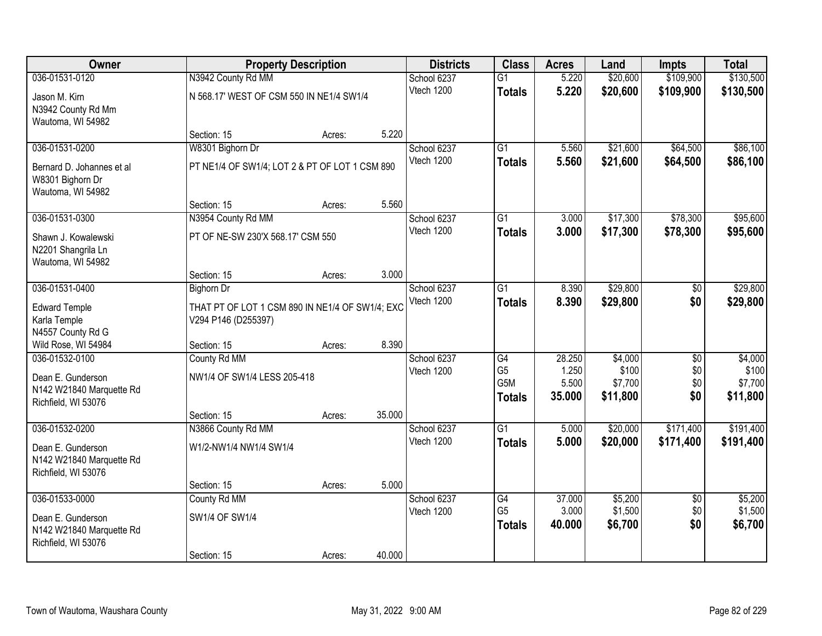| Owner                     |                                                 | <b>Property Description</b> |        | <b>Districts</b>          | <b>Class</b>          | <b>Acres</b>    | Land               | <b>Impts</b>           | <b>Total</b>       |
|---------------------------|-------------------------------------------------|-----------------------------|--------|---------------------------|-----------------------|-----------------|--------------------|------------------------|--------------------|
| 036-01531-0120            | N3942 County Rd MM                              |                             |        | School 6237               | $\overline{G1}$       | 5.220           | \$20,600           | \$109,900              | \$130,500          |
| Jason M. Kirn             | N 568.17' WEST OF CSM 550 IN NE1/4 SW1/4        |                             |        | Vtech 1200                | <b>Totals</b>         | 5.220           | \$20,600           | \$109,900              | \$130,500          |
| N3942 County Rd Mm        |                                                 |                             |        |                           |                       |                 |                    |                        |                    |
| Wautoma, WI 54982         |                                                 |                             |        |                           |                       |                 |                    |                        |                    |
|                           | Section: 15                                     | Acres:                      | 5.220  |                           |                       |                 |                    |                        |                    |
| 036-01531-0200            | W8301 Bighorn Dr                                |                             |        | School 6237               | $\overline{G1}$       | 5.560           | \$21,600           | \$64,500               | \$86,100           |
| Bernard D. Johannes et al | PT NE1/4 OF SW1/4; LOT 2 & PT OF LOT 1 CSM 890  |                             |        | Vtech 1200                | <b>Totals</b>         | 5.560           | \$21,600           | \$64,500               | \$86,100           |
| W8301 Bighorn Dr          |                                                 |                             |        |                           |                       |                 |                    |                        |                    |
| Wautoma, WI 54982         |                                                 |                             |        |                           |                       |                 |                    |                        |                    |
|                           | Section: 15                                     | Acres:                      | 5.560  |                           |                       |                 |                    |                        |                    |
| 036-01531-0300            | N3954 County Rd MM                              |                             |        | School 6237               | $\overline{G1}$       | 3.000           | \$17,300           | \$78,300               | \$95,600           |
| Shawn J. Kowalewski       | PT OF NE-SW 230'X 568.17' CSM 550               |                             |        | Vtech 1200                | <b>Totals</b>         | 3.000           | \$17,300           | \$78,300               | \$95,600           |
| N2201 Shangrila Ln        |                                                 |                             |        |                           |                       |                 |                    |                        |                    |
| Wautoma, WI 54982         |                                                 |                             |        |                           |                       |                 |                    |                        |                    |
|                           | Section: 15                                     | Acres:                      | 3.000  |                           |                       |                 |                    |                        |                    |
| 036-01531-0400            | <b>Bighorn Dr</b>                               |                             |        | School 6237               | G1                    | 8.390           | \$29,800           | \$0                    | \$29,800           |
| <b>Edward Temple</b>      | THAT PT OF LOT 1 CSM 890 IN NE1/4 OF SW1/4; EXC |                             |        | Vtech 1200                | <b>Totals</b>         | 8.390           | \$29,800           | \$0                    | \$29,800           |
| Karla Temple              | V294 P146 (D255397)                             |                             |        |                           |                       |                 |                    |                        |                    |
| N4557 County Rd G         |                                                 |                             |        |                           |                       |                 |                    |                        |                    |
| Wild Rose, WI 54984       | Section: 15                                     | Acres:                      | 8.390  |                           |                       |                 |                    |                        |                    |
| 036-01532-0100            | County Rd MM                                    |                             |        | School 6237               | $\overline{G4}$       | 28.250          | \$4,000            | $\overline{50}$        | \$4,000            |
| Dean E. Gunderson         | NW1/4 OF SW1/4 LESS 205-418                     |                             |        | Vtech 1200                | G <sub>5</sub><br>G5M | 1.250<br>5.500  | \$100<br>\$7,700   | \$0<br>\$0             | \$100<br>\$7,700   |
| N142 W21840 Marquette Rd  |                                                 |                             |        |                           | <b>Totals</b>         | 35.000          | \$11,800           | \$0                    | \$11,800           |
| Richfield, WI 53076       |                                                 |                             |        |                           |                       |                 |                    |                        |                    |
|                           | Section: 15                                     | Acres:                      | 35.000 |                           |                       |                 |                    |                        |                    |
| 036-01532-0200            | N3866 County Rd MM                              |                             |        | School 6237               | $\overline{G1}$       | 5.000           | \$20,000           | \$171,400              | \$191,400          |
| Dean E. Gunderson         | W1/2-NW1/4 NW1/4 SW1/4                          |                             |        | Vtech 1200                | <b>Totals</b>         | 5.000           | \$20,000           | \$171,400              | \$191,400          |
| N142 W21840 Marquette Rd  |                                                 |                             |        |                           |                       |                 |                    |                        |                    |
| Richfield, WI 53076       |                                                 |                             |        |                           |                       |                 |                    |                        |                    |
|                           | Section: 15                                     | Acres:                      | 5.000  |                           |                       |                 |                    |                        |                    |
| 036-01533-0000            | County Rd MM                                    |                             |        | School 6237<br>Vtech 1200 | G4<br>G <sub>5</sub>  | 37.000<br>3.000 | \$5,200<br>\$1,500 | $\overline{50}$<br>\$0 | \$5,200<br>\$1,500 |
| Dean E. Gunderson         | SW1/4 OF SW1/4                                  |                             |        |                           | <b>Totals</b>         | 40.000          | \$6,700            | \$0                    | \$6,700            |
| N142 W21840 Marquette Rd  |                                                 |                             |        |                           |                       |                 |                    |                        |                    |
| Richfield, WI 53076       |                                                 |                             |        |                           |                       |                 |                    |                        |                    |
|                           | Section: 15                                     | Acres:                      | 40.000 |                           |                       |                 |                    |                        |                    |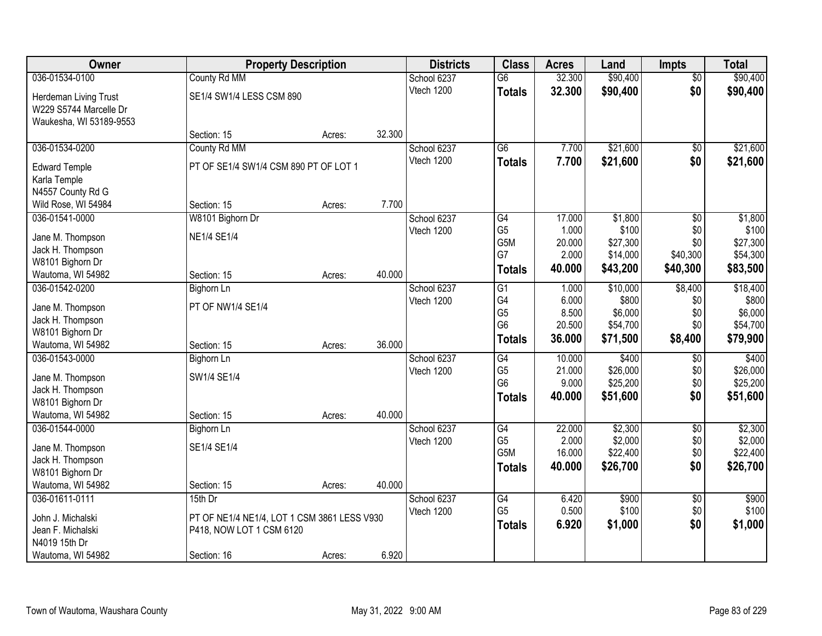| <b>Owner</b>            | <b>Property Description</b>                 |        |        | <b>Districts</b> | <b>Class</b>     | <b>Acres</b> | Land     | <b>Impts</b>    | <b>Total</b> |
|-------------------------|---------------------------------------------|--------|--------|------------------|------------------|--------------|----------|-----------------|--------------|
| 036-01534-0100          | County Rd MM                                |        |        | School 6237      | $\overline{G6}$  | 32.300       | \$90,400 | $\overline{50}$ | \$90,400     |
| Herdeman Living Trust   | SE1/4 SW1/4 LESS CSM 890                    |        |        | Vtech 1200       | <b>Totals</b>    | 32.300       | \$90,400 | \$0             | \$90,400     |
| W229 S5744 Marcelle Dr  |                                             |        |        |                  |                  |              |          |                 |              |
| Waukesha, WI 53189-9553 |                                             |        |        |                  |                  |              |          |                 |              |
|                         | Section: 15                                 | Acres: | 32.300 |                  |                  |              |          |                 |              |
| 036-01534-0200          | County Rd MM                                |        |        | School 6237      | $\overline{G6}$  | 7.700        | \$21,600 | \$0             | \$21,600     |
| <b>Edward Temple</b>    | PT OF SE1/4 SW1/4 CSM 890 PT OF LOT 1       |        |        | Vtech 1200       | <b>Totals</b>    | 7.700        | \$21,600 | \$0             | \$21,600     |
| Karla Temple            |                                             |        |        |                  |                  |              |          |                 |              |
| N4557 County Rd G       |                                             |        |        |                  |                  |              |          |                 |              |
| Wild Rose, WI 54984     | Section: 15                                 | Acres: | 7.700  |                  |                  |              |          |                 |              |
| 036-01541-0000          | W8101 Bighorn Dr                            |        |        | School 6237      | $\overline{G4}$  | 17.000       | \$1,800  | $\overline{50}$ | \$1,800      |
| Jane M. Thompson        | <b>NE1/4 SE1/4</b>                          |        |        | Vtech 1200       | G <sub>5</sub>   | 1.000        | \$100    | \$0             | \$100        |
| Jack H. Thompson        |                                             |        |        |                  | G <sub>5</sub> M | 20.000       | \$27,300 | \$0             | \$27,300     |
| W8101 Bighorn Dr        |                                             |        |        |                  | G7               | 2.000        | \$14,000 | \$40,300        | \$54,300     |
| Wautoma, WI 54982       | Section: 15                                 | Acres: | 40.000 |                  | <b>Totals</b>    | 40.000       | \$43,200 | \$40,300        | \$83,500     |
| 036-01542-0200          | <b>Bighorn Ln</b>                           |        |        | School 6237      | $\overline{G1}$  | 1.000        | \$10,000 | \$8,400         | \$18,400     |
| Jane M. Thompson        | PT OF NW1/4 SE1/4                           |        |        | Vtech 1200       | G4               | 6.000        | \$800    | \$0             | \$800        |
| Jack H. Thompson        |                                             |        |        |                  | G <sub>5</sub>   | 8.500        | \$6,000  | \$0             | \$6,000      |
| W8101 Bighorn Dr        |                                             |        |        |                  | G <sub>6</sub>   | 20.500       | \$54,700 | \$0             | \$54,700     |
| Wautoma, WI 54982       | Section: 15                                 | Acres: | 36.000 |                  | <b>Totals</b>    | 36.000       | \$71,500 | \$8,400         | \$79,900     |
| 036-01543-0000          | <b>Bighorn Ln</b>                           |        |        | School 6237      | $\overline{G4}$  | 10.000       | \$400    | \$0             | \$400        |
| Jane M. Thompson        | SW1/4 SE1/4                                 |        |        | Vtech 1200       | G <sub>5</sub>   | 21.000       | \$26,000 | \$0             | \$26,000     |
| Jack H. Thompson        |                                             |        |        |                  | G <sub>6</sub>   | 9.000        | \$25,200 | \$0             | \$25,200     |
| W8101 Bighorn Dr        |                                             |        |        |                  | <b>Totals</b>    | 40.000       | \$51,600 | \$0             | \$51,600     |
| Wautoma, WI 54982       | Section: 15                                 | Acres: | 40.000 |                  |                  |              |          |                 |              |
| 036-01544-0000          | <b>Bighorn Ln</b>                           |        |        | School 6237      | $\overline{G4}$  | 22.000       | \$2,300  | $\overline{50}$ | \$2,300      |
| Jane M. Thompson        | SE1/4 SE1/4                                 |        |        | Vtech 1200       | G <sub>5</sub>   | 2.000        | \$2,000  | \$0             | \$2,000      |
| Jack H. Thompson        |                                             |        |        |                  | G5M              | 16.000       | \$22,400 | \$0             | \$22,400     |
| W8101 Bighorn Dr        |                                             |        |        |                  | <b>Totals</b>    | 40.000       | \$26,700 | \$0             | \$26,700     |
| Wautoma, WI 54982       | Section: 15                                 | Acres: | 40.000 |                  |                  |              |          |                 |              |
| 036-01611-0111          | 15th Dr                                     |        |        | School 6237      | G4               | 6.420        | \$900    | $\overline{60}$ | \$900        |
| John J. Michalski       | PT OF NE1/4 NE1/4, LOT 1 CSM 3861 LESS V930 |        |        | Vtech 1200       | G <sub>5</sub>   | 0.500        | \$100    | \$0             | \$100        |
| Jean F. Michalski       | P418, NOW LOT 1 CSM 6120                    |        |        |                  | <b>Totals</b>    | 6.920        | \$1,000  | \$0             | \$1,000      |
| N4019 15th Dr           |                                             |        |        |                  |                  |              |          |                 |              |
| Wautoma, WI 54982       | Section: 16                                 | Acres: | 6.920  |                  |                  |              |          |                 |              |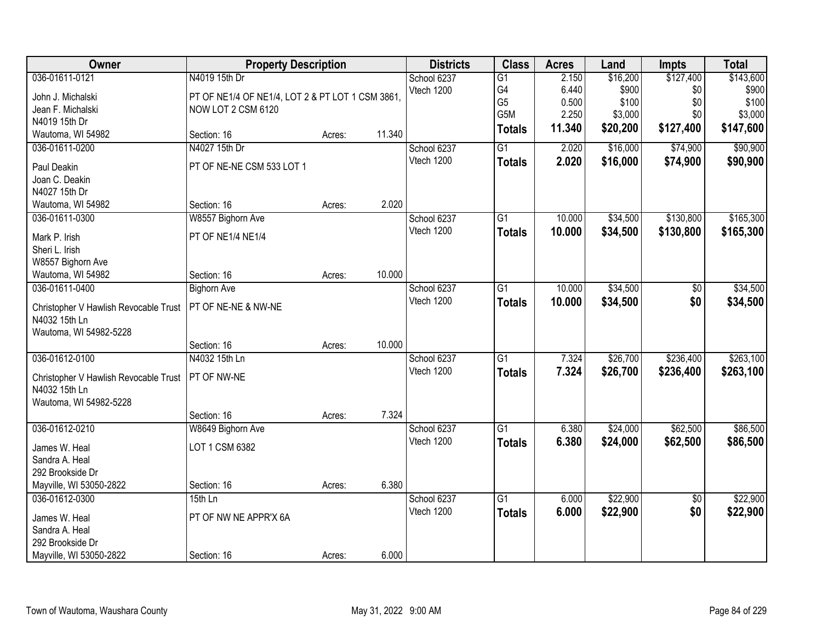| Owner                                                  | <b>Property Description</b>                      |        |        | <b>Districts</b> | <b>Class</b>    | <b>Acres</b> | Land     | <b>Impts</b>    | <b>Total</b> |
|--------------------------------------------------------|--------------------------------------------------|--------|--------|------------------|-----------------|--------------|----------|-----------------|--------------|
| 036-01611-0121                                         | N4019 15th Dr                                    |        |        | School 6237      | $\overline{G1}$ | 2.150        | \$16,200 | \$127,400       | \$143,600    |
| John J. Michalski                                      | PT OF NE1/4 OF NE1/4, LOT 2 & PT LOT 1 CSM 3861, |        |        | Vtech 1200       | G4              | 6.440        | \$900    | \$0             | \$900        |
| Jean F. Michalski                                      | NOW LOT 2 CSM 6120                               |        |        |                  | G <sub>5</sub>  | 0.500        | \$100    | \$0             | \$100        |
| N4019 15th Dr                                          |                                                  |        |        |                  | G5M             | 2.250        | \$3,000  | \$0             | \$3,000      |
| Wautoma, WI 54982                                      | Section: 16                                      | Acres: | 11.340 |                  | <b>Totals</b>   | 11.340       | \$20,200 | \$127,400       | \$147,600    |
| 036-01611-0200                                         | N4027 15th Dr                                    |        |        | School 6237      | $\overline{G1}$ | 2.020        | \$16,000 | \$74,900        | \$90,900     |
| Paul Deakin                                            | PT OF NE-NE CSM 533 LOT 1                        |        |        | Vtech 1200       | <b>Totals</b>   | 2.020        | \$16,000 | \$74,900        | \$90,900     |
| Joan C. Deakin                                         |                                                  |        |        |                  |                 |              |          |                 |              |
| N4027 15th Dr                                          |                                                  |        |        |                  |                 |              |          |                 |              |
| Wautoma, WI 54982                                      | Section: 16                                      | Acres: | 2.020  |                  |                 |              |          |                 |              |
| 036-01611-0300                                         | W8557 Bighorn Ave                                |        |        | School 6237      | $\overline{G1}$ | 10.000       | \$34,500 | \$130,800       | \$165,300    |
| Mark P. Irish                                          | PT OF NE1/4 NE1/4                                |        |        | Vtech 1200       | <b>Totals</b>   | 10.000       | \$34,500 | \$130,800       | \$165,300    |
| Sheri L. Irish                                         |                                                  |        |        |                  |                 |              |          |                 |              |
| W8557 Bighorn Ave                                      |                                                  |        |        |                  |                 |              |          |                 |              |
| Wautoma, WI 54982                                      | Section: 16                                      | Acres: | 10.000 |                  |                 |              |          |                 |              |
| 036-01611-0400                                         | <b>Bighorn Ave</b>                               |        |        | School 6237      | G1              | 10.000       | \$34,500 | \$0             | \$34,500     |
| Christopher V Hawlish Revocable Trust                  | PT OF NE-NE & NW-NE                              |        |        | Vtech 1200       | <b>Totals</b>   | 10.000       | \$34,500 | \$0             | \$34,500     |
| N4032 15th Ln                                          |                                                  |        |        |                  |                 |              |          |                 |              |
| Wautoma, WI 54982-5228                                 |                                                  |        |        |                  |                 |              |          |                 |              |
|                                                        | Section: 16                                      | Acres: | 10.000 |                  |                 |              |          |                 |              |
| 036-01612-0100                                         | N4032 15th Ln                                    |        |        | School 6237      | $\overline{G1}$ | 7.324        | \$26,700 | \$236,400       | \$263,100    |
|                                                        | PT OF NW-NE                                      |        |        | Vtech 1200       | <b>Totals</b>   | 7.324        | \$26,700 | \$236,400       | \$263,100    |
| Christopher V Hawlish Revocable Trust<br>N4032 15th Ln |                                                  |        |        |                  |                 |              |          |                 |              |
| Wautoma, WI 54982-5228                                 |                                                  |        |        |                  |                 |              |          |                 |              |
|                                                        | Section: 16                                      | Acres: | 7.324  |                  |                 |              |          |                 |              |
| 036-01612-0210                                         | W8649 Bighorn Ave                                |        |        | School 6237      | $\overline{G1}$ | 6.380        | \$24,000 | \$62,500        | \$86,500     |
|                                                        |                                                  |        |        | Vtech 1200       | <b>Totals</b>   | 6.380        | \$24,000 | \$62,500        | \$86,500     |
| James W. Heal                                          | LOT 1 CSM 6382                                   |        |        |                  |                 |              |          |                 |              |
| Sandra A. Heal                                         |                                                  |        |        |                  |                 |              |          |                 |              |
| 292 Brookside Dr                                       |                                                  |        |        |                  |                 |              |          |                 |              |
| Mayville, WI 53050-2822                                | Section: 16                                      | Acres: | 6.380  |                  |                 |              |          |                 |              |
| 036-01612-0300                                         | $15th$ Ln                                        |        |        | School 6237      | $\overline{G1}$ | 6.000        | \$22,900 | $\overline{50}$ | \$22,900     |
| James W. Heal                                          | PT OF NW NE APPR'X 6A                            |        |        | Vtech 1200       | <b>Totals</b>   | 6.000        | \$22,900 | \$0             | \$22,900     |
| Sandra A. Heal                                         |                                                  |        |        |                  |                 |              |          |                 |              |
| 292 Brookside Dr                                       |                                                  |        |        |                  |                 |              |          |                 |              |
| Mayville, WI 53050-2822                                | Section: 16                                      | Acres: | 6.000  |                  |                 |              |          |                 |              |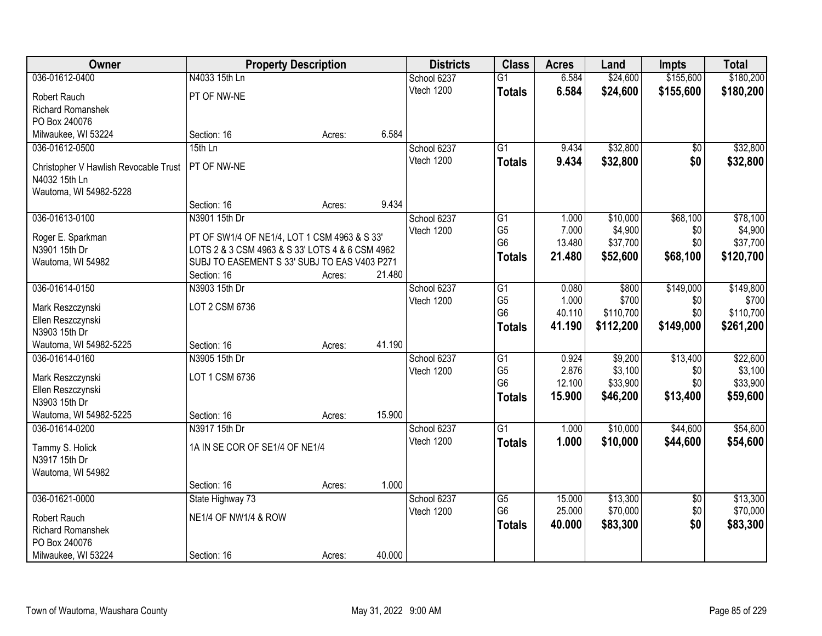| Owner                                    | <b>Property Description</b>                                                                     |        |        | <b>Districts</b>          | <b>Class</b>    | <b>Acres</b> | Land      | <b>Impts</b>    | <b>Total</b> |
|------------------------------------------|-------------------------------------------------------------------------------------------------|--------|--------|---------------------------|-----------------|--------------|-----------|-----------------|--------------|
| 036-01612-0400                           | N4033 15th Ln                                                                                   |        |        | School 6237               | $\overline{G1}$ | 6.584        | \$24,600  | \$155,600       | \$180,200    |
| Robert Rauch                             | PT OF NW-NE                                                                                     |        |        | Vtech 1200                | <b>Totals</b>   | 6.584        | \$24,600  | \$155,600       | \$180,200    |
| <b>Richard Romanshek</b>                 |                                                                                                 |        |        |                           |                 |              |           |                 |              |
| PO Box 240076                            |                                                                                                 |        |        |                           |                 |              |           |                 |              |
| Milwaukee, WI 53224                      | Section: 16                                                                                     | Acres: | 6.584  |                           |                 |              |           |                 |              |
| 036-01612-0500                           | 15th Ln                                                                                         |        |        | School 6237               | $\overline{G1}$ | 9.434        | \$32,800  | \$0             | \$32,800     |
| Christopher V Hawlish Revocable Trust    | PT OF NW-NE                                                                                     |        |        | Vtech 1200                | <b>Totals</b>   | 9.434        | \$32,800  | \$0             | \$32,800     |
| N4032 15th Ln                            |                                                                                                 |        |        |                           |                 |              |           |                 |              |
| Wautoma, WI 54982-5228                   |                                                                                                 |        |        |                           |                 |              |           |                 |              |
|                                          | Section: 16                                                                                     | Acres: | 9.434  |                           |                 |              |           |                 |              |
| 036-01613-0100                           | N3901 15th Dr                                                                                   |        |        | School 6237               | G1              | 1.000        | \$10,000  | \$68,100        | \$78,100     |
|                                          |                                                                                                 |        |        | Vtech 1200                | G <sub>5</sub>  | 7.000        | \$4,900   | \$0             | \$4,900      |
| Roger E. Sparkman<br>N3901 15th Dr       | PT OF SW1/4 OF NE1/4, LOT 1 CSM 4963 & S 33'<br>LOTS 2 & 3 CSM 4963 & S 33' LOTS 4 & 6 CSM 4962 |        |        |                           | G <sub>6</sub>  | 13.480       | \$37,700  | \$0             | \$37,700     |
| Wautoma, WI 54982                        | SUBJ TO EASEMENT S 33' SUBJ TO EAS V403 P271                                                    |        |        |                           | Totals          | 21.480       | \$52,600  | \$68,100        | \$120,700    |
|                                          | Section: 16                                                                                     | Acres: | 21.480 |                           |                 |              |           |                 |              |
| 036-01614-0150                           | N3903 15th Dr                                                                                   |        |        | School 6237               | $\overline{G1}$ | 0.080        | \$800     | \$149,000       | \$149,800    |
|                                          |                                                                                                 |        |        | Vtech 1200                | G <sub>5</sub>  | 1.000        | \$700     | \$0             | \$700        |
| Mark Reszczynski                         | LOT 2 CSM 6736                                                                                  |        |        |                           | G <sub>6</sub>  | 40.110       | \$110,700 | \$0             | \$110,700    |
| Ellen Reszczynski<br>N3903 15th Dr       |                                                                                                 |        |        |                           | <b>Totals</b>   | 41.190       | \$112,200 | \$149,000       | \$261,200    |
| Wautoma, WI 54982-5225                   | Section: 16                                                                                     | Acres: | 41.190 |                           |                 |              |           |                 |              |
| 036-01614-0160                           | N3905 15th Dr                                                                                   |        |        | School 6237               | $\overline{G1}$ | 0.924        | \$9,200   | \$13,400        | \$22,600     |
|                                          |                                                                                                 |        |        | Vtech 1200                | G <sub>5</sub>  | 2.876        | \$3,100   | \$0             | \$3,100      |
| Mark Reszczynski                         | LOT 1 CSM 6736                                                                                  |        |        |                           | G <sub>6</sub>  | 12.100       | \$33,900  | \$0             | \$33,900     |
| Ellen Reszczynski                        |                                                                                                 |        |        |                           | <b>Totals</b>   | 15.900       | \$46,200  | \$13,400        | \$59,600     |
| N3903 15th Dr                            |                                                                                                 |        |        |                           |                 |              |           |                 |              |
| Wautoma, WI 54982-5225<br>036-01614-0200 | Section: 16                                                                                     | Acres: | 15.900 |                           | $\overline{G1}$ |              | \$10,000  | \$44,600        | \$54,600     |
|                                          | N3917 15th Dr                                                                                   |        |        | School 6237<br>Vtech 1200 |                 | 1.000        |           |                 |              |
| Tammy S. Holick                          | 1A IN SE COR OF SE1/4 OF NE1/4                                                                  |        |        |                           | <b>Totals</b>   | 1.000        | \$10,000  | \$44,600        | \$54,600     |
| N3917 15th Dr                            |                                                                                                 |        |        |                           |                 |              |           |                 |              |
| Wautoma, WI 54982                        |                                                                                                 |        |        |                           |                 |              |           |                 |              |
|                                          | Section: 16                                                                                     | Acres: | 1.000  |                           |                 |              |           |                 |              |
| 036-01621-0000                           | State Highway 73                                                                                |        |        | School 6237               | $\overline{G5}$ | 15.000       | \$13,300  | $\overline{50}$ | \$13,300     |
| Robert Rauch                             | NE1/4 OF NW1/4 & ROW                                                                            |        |        | Vtech 1200                | G <sub>6</sub>  | 25.000       | \$70,000  | \$0             | \$70,000     |
| Richard Romanshek                        |                                                                                                 |        |        |                           | <b>Totals</b>   | 40.000       | \$83,300  | \$0             | \$83,300     |
| PO Box 240076                            |                                                                                                 |        |        |                           |                 |              |           |                 |              |
| Milwaukee, WI 53224                      | Section: 16                                                                                     | Acres: | 40.000 |                           |                 |              |           |                 |              |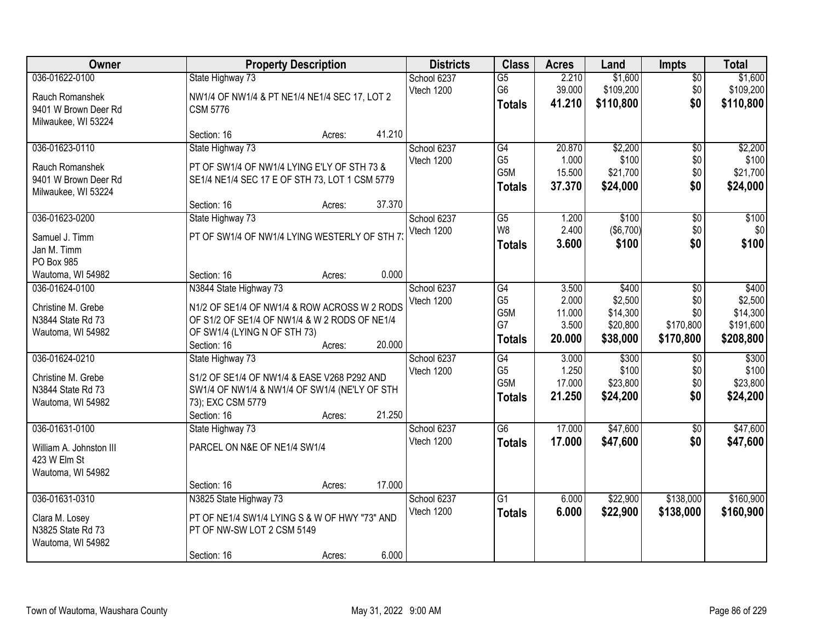| Owner                                                                              | <b>Property Description</b>                                                                                                                                                                | <b>Districts</b>          | <b>Class</b>                                              | <b>Acres</b>                                | Land                                                 | <b>Impts</b>                                | <b>Total</b>                                           |
|------------------------------------------------------------------------------------|--------------------------------------------------------------------------------------------------------------------------------------------------------------------------------------------|---------------------------|-----------------------------------------------------------|---------------------------------------------|------------------------------------------------------|---------------------------------------------|--------------------------------------------------------|
| 036-01622-0100<br>Rauch Romanshek<br>9401 W Brown Deer Rd<br>Milwaukee, WI 53224   | State Highway 73<br>NW1/4 OF NW1/4 & PT NE1/4 NE1/4 SEC 17, LOT 2<br><b>CSM 5776</b>                                                                                                       | School 6237<br>Vtech 1200 | $\overline{G5}$<br>G <sub>6</sub><br><b>Totals</b>        | 2.210<br>39.000<br>41.210                   | \$1,600<br>\$109,200<br>\$110,800                    | $\overline{50}$<br>\$0<br>\$0               | \$1,600<br>\$109,200<br>\$110,800                      |
|                                                                                    | 41.210<br>Section: 16<br>Acres:                                                                                                                                                            |                           |                                                           |                                             |                                                      |                                             |                                                        |
| 036-01623-0110<br>Rauch Romanshek<br>9401 W Brown Deer Rd<br>Milwaukee, WI 53224   | State Highway 73<br>PT OF SW1/4 OF NW1/4 LYING E'LY OF STH 73 &<br>SE1/4 NE1/4 SEC 17 E OF STH 73, LOT 1 CSM 5779<br>37.370<br>Section: 16<br>Acres:                                       | School 6237<br>Vtech 1200 | G4<br>G <sub>5</sub><br>G5M<br><b>Totals</b>              | 20.870<br>1.000<br>15.500<br>37.370         | \$2,200<br>\$100<br>\$21,700<br>\$24,000             | $\overline{50}$<br>\$0<br>\$0<br>\$0        | \$2,200<br>\$100<br>\$21,700<br>\$24,000               |
| 036-01623-0200<br>Samuel J. Timm<br>Jan M. Timm<br>PO Box 985<br>Wautoma, WI 54982 | State Highway 73<br>PT OF SW1/4 OF NW1/4 LYING WESTERLY OF STH 7<br>0.000<br>Section: 16<br>Acres:                                                                                         | School 6237<br>Vtech 1200 | G5<br>W <sub>8</sub><br>Totals                            | 1.200<br>2.400<br>3.600                     | \$100<br>(\$6,700)<br>\$100                          | \$0<br>\$0<br>\$0                           | \$100<br>\$0<br>\$100                                  |
| 036-01624-0100<br>Christine M. Grebe<br>N3844 State Rd 73<br>Wautoma, WI 54982     | N3844 State Highway 73<br>N1/2 OF SE1/4 OF NW1/4 & ROW ACROSS W 2 RODS<br>OF S1/2 OF SE1/4 OF NW1/4 & W 2 RODS OF NE1/4<br>OF SW1/4 (LYING N OF STH 73)<br>20.000<br>Section: 16<br>Acres: | School 6237<br>Vtech 1200 | G4<br>G <sub>5</sub><br>G5M<br>G7<br><b>Totals</b>        | 3.500<br>2.000<br>11.000<br>3.500<br>20.000 | \$400<br>\$2,500<br>\$14,300<br>\$20,800<br>\$38,000 | \$0<br>\$0<br>\$0<br>\$170,800<br>\$170,800 | \$400<br>\$2,500<br>\$14,300<br>\$191,600<br>\$208,800 |
| 036-01624-0210<br>Christine M. Grebe<br>N3844 State Rd 73<br>Wautoma, WI 54982     | State Highway 73<br>S1/2 OF SE1/4 OF NW1/4 & EASE V268 P292 AND<br>SW1/4 OF NW1/4 & NW1/4 OF SW1/4 (NE'LY OF STH<br>73); EXC CSM 5779<br>21.250<br>Section: 16<br>Acres:                   | School 6237<br>Vtech 1200 | $\overline{G4}$<br>G <sub>5</sub><br>G5M<br><b>Totals</b> | 3.000<br>1.250<br>17.000<br>21.250          | \$300<br>\$100<br>\$23,800<br>\$24,200               | $\overline{50}$<br>\$0<br>\$0<br>\$0        | \$300<br>\$100<br>\$23,800<br>\$24,200                 |
| 036-01631-0100<br>William A. Johnston III<br>423 W Elm St<br>Wautoma, WI 54982     | State Highway 73<br>PARCEL ON N&E OF NE1/4 SW1/4<br>17.000<br>Section: 16<br>Acres:                                                                                                        | School 6237<br>Vtech 1200 | $\overline{G6}$<br><b>Totals</b>                          | 17.000<br>17.000                            | \$47,600<br>\$47,600                                 | $\overline{60}$<br>\$0                      | \$47,600<br>\$47,600                                   |
| 036-01631-0310<br>Clara M. Losey<br>N3825 State Rd 73<br>Wautoma, WI 54982         | N3825 State Highway 73<br>PT OF NE1/4 SW1/4 LYING S & W OF HWY "73" AND<br>PT OF NW-SW LOT 2 CSM 5149<br>6.000<br>Section: 16<br>Acres:                                                    | School 6237<br>Vtech 1200 | $\overline{G1}$<br><b>Totals</b>                          | 6.000<br>6.000                              | \$22,900<br>\$22,900                                 | \$138,000<br>\$138,000                      | \$160,900<br>\$160,900                                 |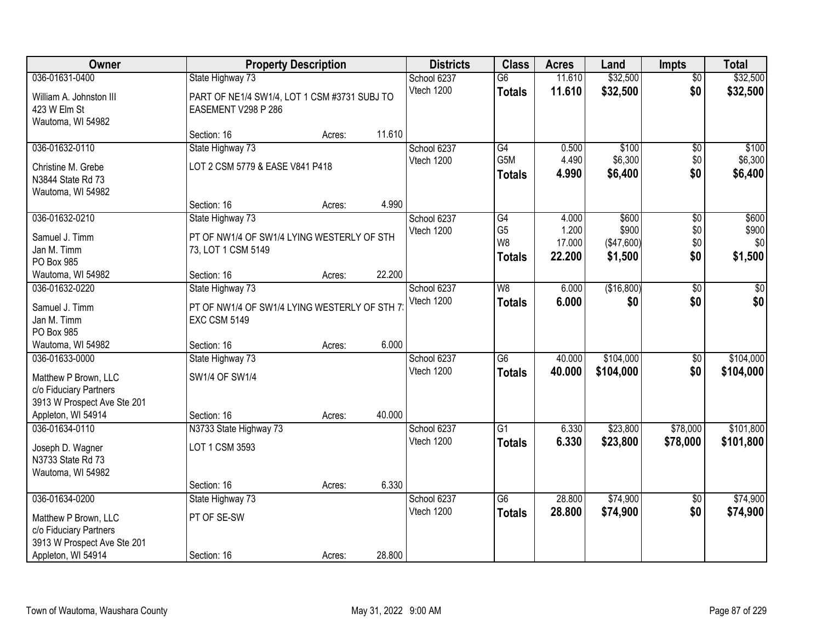| Owner                                                                                           |                                                                     | <b>Property Description</b> |        | <b>Districts</b>          | <b>Class</b>                                      | <b>Acres</b>              | Land                           | <b>Impts</b>           | <b>Total</b>            |
|-------------------------------------------------------------------------------------------------|---------------------------------------------------------------------|-----------------------------|--------|---------------------------|---------------------------------------------------|---------------------------|--------------------------------|------------------------|-------------------------|
| 036-01631-0400                                                                                  | State Highway 73                                                    |                             |        | School 6237               | $\overline{G6}$                                   | 11.610                    | \$32,500                       | $\overline{50}$        | \$32,500                |
| William A. Johnston III<br>423 W Elm St<br>Wautoma, WI 54982                                    | PART OF NE1/4 SW1/4, LOT 1 CSM #3731 SUBJ TO<br>EASEMENT V298 P 286 |                             |        | Vtech 1200                | <b>Totals</b>                                     | 11.610                    | \$32,500                       | \$0                    | \$32,500                |
|                                                                                                 | Section: 16                                                         | Acres:                      | 11.610 |                           |                                                   |                           |                                |                        |                         |
| 036-01632-0110                                                                                  | State Highway 73                                                    |                             |        | School 6237               | G4                                                | 0.500                     | \$100                          | \$0                    | \$100                   |
| Christine M. Grebe<br>N3844 State Rd 73<br>Wautoma, WI 54982                                    | LOT 2 CSM 5779 & EASE V841 P418                                     |                             |        | Vtech 1200                | G5M<br><b>Totals</b>                              | 4.490<br>4.990            | \$6,300<br>\$6,400             | \$0<br>\$0             | \$6,300<br>\$6,400      |
|                                                                                                 | Section: 16                                                         | Acres:                      | 4.990  |                           |                                                   |                           |                                |                        |                         |
| 036-01632-0210                                                                                  | State Highway 73                                                    |                             |        | School 6237               | $\overline{G4}$                                   | 4.000                     | \$600                          | \$0                    | \$600                   |
| Samuel J. Timm<br>Jan M. Timm<br>PO Box 985                                                     | PT OF NW1/4 OF SW1/4 LYING WESTERLY OF STH<br>73, LOT 1 CSM 5149    |                             |        | Vtech 1200                | G <sub>5</sub><br>W <sub>8</sub><br><b>Totals</b> | 1.200<br>17.000<br>22.200 | \$900<br>(\$47,600)<br>\$1,500 | \$0<br>\$0<br>\$0      | \$900<br>\$0<br>\$1,500 |
| Wautoma, WI 54982                                                                               | Section: 16                                                         | Acres:                      | 22.200 |                           |                                                   |                           |                                |                        |                         |
| 036-01632-0220                                                                                  | State Highway 73                                                    |                             |        | School 6237               | W8                                                | 6.000                     | (\$16,800)                     | \$0                    | \$0                     |
| Samuel J. Timm<br>Jan M. Timm<br>PO Box 985                                                     | PT OF NW1/4 OF SW1/4 LYING WESTERLY OF STH 7<br><b>EXC CSM 5149</b> |                             |        | Vtech 1200                | <b>Totals</b>                                     | 6.000                     | \$0                            | \$0                    | \$0                     |
| Wautoma, WI 54982                                                                               | Section: 16                                                         | Acres:                      | 6.000  |                           |                                                   |                           |                                |                        |                         |
| 036-01633-0000<br>Matthew P Brown, LLC<br>c/o Fiduciary Partners<br>3913 W Prospect Ave Ste 201 | State Highway 73<br>SW1/4 OF SW1/4                                  |                             |        | School 6237<br>Vtech 1200 | $\overline{G6}$<br><b>Totals</b>                  | 40.000<br>40.000          | \$104,000<br>\$104,000         | $\overline{50}$<br>\$0 | \$104,000<br>\$104,000  |
| Appleton, WI 54914                                                                              | Section: 16                                                         | Acres:                      | 40.000 |                           |                                                   |                           |                                |                        |                         |
| 036-01634-0110<br>Joseph D. Wagner<br>N3733 State Rd 73<br>Wautoma, WI 54982                    | N3733 State Highway 73<br>LOT 1 CSM 3593                            |                             |        | School 6237<br>Vtech 1200 | $\overline{G1}$<br><b>Totals</b>                  | 6.330<br>6.330            | \$23,800<br>\$23,800           | \$78,000<br>\$78,000   | \$101,800<br>\$101,800  |
|                                                                                                 | Section: 16                                                         | Acres:                      | 6.330  |                           |                                                   |                           |                                |                        |                         |
| 036-01634-0200                                                                                  | State Highway 73                                                    |                             |        | School 6237               | $\overline{G6}$                                   | 28.800                    | \$74,900                       | $\overline{50}$        | \$74,900                |
| Matthew P Brown, LLC<br>c/o Fiduciary Partners<br>3913 W Prospect Ave Ste 201                   | PT OF SE-SW                                                         |                             |        | Vtech 1200                | <b>Totals</b>                                     | 28.800                    | \$74,900                       | \$0                    | \$74,900                |
| Appleton, WI 54914                                                                              | Section: 16                                                         | Acres:                      | 28.800 |                           |                                                   |                           |                                |                        |                         |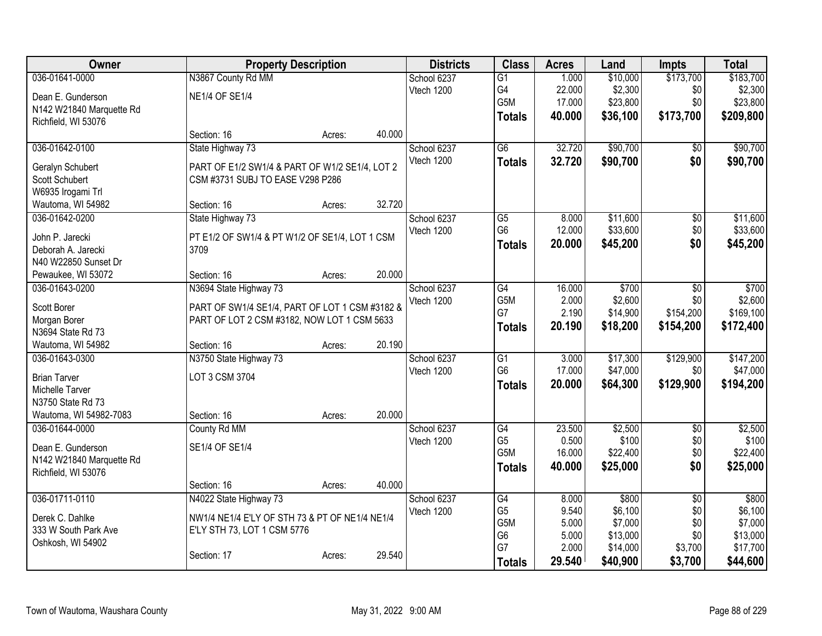| Owner                                      |                                                | <b>Property Description</b> |        | <b>Districts</b> | <b>Class</b>    | <b>Acres</b> | Land     | <b>Impts</b>    | <b>Total</b> |
|--------------------------------------------|------------------------------------------------|-----------------------------|--------|------------------|-----------------|--------------|----------|-----------------|--------------|
| 036-01641-0000                             | N3867 County Rd MM                             |                             |        | School 6237      | $\overline{G1}$ | 1.000        | \$10,000 | \$173,700       | \$183,700    |
| Dean E. Gunderson                          | <b>NE1/4 OF SE1/4</b>                          |                             |        | Vtech 1200       | G4              | 22.000       | \$2,300  | \$0             | \$2,300      |
| N142 W21840 Marquette Rd                   |                                                |                             |        |                  | G5M             | 17.000       | \$23,800 | \$0             | \$23,800     |
| Richfield, WI 53076                        |                                                |                             |        |                  | <b>Totals</b>   | 40.000       | \$36,100 | \$173,700       | \$209,800    |
|                                            | Section: 16                                    | Acres:                      | 40.000 |                  |                 |              |          |                 |              |
| 036-01642-0100                             | State Highway 73                               |                             |        | School 6237      | $\overline{G6}$ | 32.720       | \$90,700 | $\overline{50}$ | \$90,700     |
| Geralyn Schubert                           | PART OF E1/2 SW1/4 & PART OF W1/2 SE1/4, LOT 2 |                             |        | Vtech 1200       | <b>Totals</b>   | 32.720       | \$90,700 | \$0             | \$90,700     |
| Scott Schubert                             | CSM #3731 SUBJ TO EASE V298 P286               |                             |        |                  |                 |              |          |                 |              |
| W6935 Irogami Trl                          |                                                |                             |        |                  |                 |              |          |                 |              |
| Wautoma, WI 54982                          | Section: 16                                    | Acres:                      | 32.720 |                  |                 |              |          |                 |              |
| 036-01642-0200                             | State Highway 73                               |                             |        | School 6237      | G <sub>5</sub>  | 8.000        | \$11,600 | \$0             | \$11,600     |
|                                            |                                                |                             |        | Vtech 1200       | G <sub>6</sub>  | 12.000       | \$33,600 | \$0             | \$33,600     |
| John P. Jarecki                            | PT E1/2 OF SW1/4 & PT W1/2 OF SE1/4, LOT 1 CSM |                             |        |                  | <b>Totals</b>   | 20.000       | \$45,200 | \$0             | \$45,200     |
| Deborah A. Jarecki<br>N40 W22850 Sunset Dr | 3709                                           |                             |        |                  |                 |              |          |                 |              |
| Pewaukee, WI 53072                         | Section: 16                                    | Acres:                      | 20.000 |                  |                 |              |          |                 |              |
| 036-01643-0200                             | N3694 State Highway 73                         |                             |        | School 6237      | G4              | 16.000       | \$700    | \$0             | \$700        |
|                                            |                                                |                             |        | Vtech 1200       | G5M             | 2.000        | \$2,600  | \$0             | \$2,600      |
| Scott Borer                                | PART OF SW1/4 SE1/4, PART OF LOT 1 CSM #3182 & |                             |        |                  | G7              | 2.190        | \$14,900 | \$154,200       | \$169,100    |
| Morgan Borer                               | PART OF LOT 2 CSM #3182, NOW LOT 1 CSM 5633    |                             |        |                  | <b>Totals</b>   | 20.190       | \$18,200 | \$154,200       | \$172,400    |
| N3694 State Rd 73                          |                                                |                             |        |                  |                 |              |          |                 |              |
| Wautoma, WI 54982                          | Section: 16                                    | Acres:                      | 20.190 |                  |                 |              |          |                 |              |
| 036-01643-0300                             | N3750 State Highway 73                         |                             |        | School 6237      | $\overline{G1}$ | 3.000        | \$17,300 | \$129,900       | \$147,200    |
| <b>Brian Tarver</b>                        | LOT 3 CSM 3704                                 |                             |        | Vtech 1200       | G <sub>6</sub>  | 17.000       | \$47,000 | \$0             | \$47,000     |
| Michelle Tarver                            |                                                |                             |        |                  | <b>Totals</b>   | 20.000       | \$64,300 | \$129,900       | \$194,200    |
| N3750 State Rd 73                          |                                                |                             |        |                  |                 |              |          |                 |              |
| Wautoma, WI 54982-7083                     | Section: 16                                    | Acres:                      | 20.000 |                  |                 |              |          |                 |              |
| 036-01644-0000                             | County Rd MM                                   |                             |        | School 6237      | G4              | 23.500       | \$2,500  | $\overline{50}$ | \$2,500      |
| Dean E. Gunderson                          | SE1/4 OF SE1/4                                 |                             |        | Vtech 1200       | G <sub>5</sub>  | 0.500        | \$100    | \$0             | \$100        |
| N142 W21840 Marquette Rd                   |                                                |                             |        |                  | G5M             | 16.000       | \$22,400 | \$0             | \$22,400     |
| Richfield, WI 53076                        |                                                |                             |        |                  | Totals          | 40.000       | \$25,000 | \$0             | \$25,000     |
|                                            | Section: 16                                    | Acres:                      | 40.000 |                  |                 |              |          |                 |              |
| 036-01711-0110                             | N4022 State Highway 73                         |                             |        | School 6237      | G4              | 8.000        | \$800    | $\overline{30}$ | \$800        |
| Derek C. Dahlke                            | NW1/4 NE1/4 E'LY OF STH 73 & PT OF NE1/4 NE1/4 |                             |        | Vtech 1200       | G <sub>5</sub>  | 9.540        | \$6,100  | \$0             | \$6,100      |
| 333 W South Park Ave                       | E'LY STH 73, LOT 1 CSM 5776                    |                             |        |                  | G5M             | 5.000        | \$7,000  | \$0             | \$7,000      |
| Oshkosh, WI 54902                          |                                                |                             |        |                  | G <sub>6</sub>  | 5.000        | \$13,000 | \$0             | \$13,000     |
|                                            | Section: 17                                    | Acres:                      | 29.540 |                  | G7              | 2.000        | \$14,000 | \$3,700         | \$17,700     |
|                                            |                                                |                             |        |                  | <b>Totals</b>   | 29.540       | \$40,900 | \$3,700         | \$44,600     |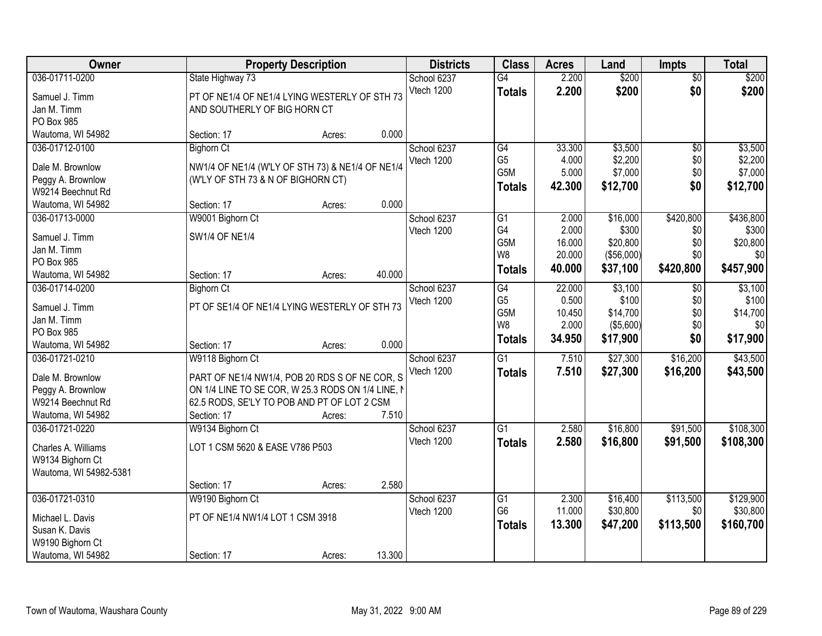| <b>Owner</b>           | <b>Property Description</b>                       |        |        | <b>Districts</b> | <b>Class</b>                      | <b>Acres</b>    | Land             | <b>Impts</b>    | <b>Total</b>     |
|------------------------|---------------------------------------------------|--------|--------|------------------|-----------------------------------|-----------------|------------------|-----------------|------------------|
| 036-01711-0200         | State Highway 73                                  |        |        | School 6237      | $\overline{G4}$                   | 2.200           | \$200            | $\overline{50}$ | \$200            |
| Samuel J. Timm         | PT OF NE1/4 OF NE1/4 LYING WESTERLY OF STH 73     |        |        | Vtech 1200       | <b>Totals</b>                     | 2.200           | \$200            | \$0             | \$200            |
| Jan M. Timm            | AND SOUTHERLY OF BIG HORN CT                      |        |        |                  |                                   |                 |                  |                 |                  |
| PO Box 985             |                                                   |        |        |                  |                                   |                 |                  |                 |                  |
| Wautoma, WI 54982      | Section: 17                                       | Acres: | 0.000  |                  |                                   |                 |                  |                 |                  |
| 036-01712-0100         | <b>Bighorn Ct</b>                                 |        |        | School 6237      | G4                                | 33.300          | \$3,500          | \$0             | \$3,500          |
| Dale M. Brownlow       | NW1/4 OF NE1/4 (W'LY OF STH 73) & NE1/4 OF NE1/4  |        |        | Vtech 1200       | G <sub>5</sub>                    | 4.000           | \$2,200          | \$0             | \$2,200          |
| Peggy A. Brownlow      | (W'LY OF STH 73 & N OF BIGHORN CT)                |        |        |                  | G5M                               | 5.000           | \$7,000          | \$0             | \$7,000          |
| W9214 Beechnut Rd      |                                                   |        |        |                  | <b>Totals</b>                     | 42.300          | \$12,700         | \$0             | \$12,700         |
| Wautoma, WI 54982      | Section: 17                                       | Acres: | 0.000  |                  |                                   |                 |                  |                 |                  |
| 036-01713-0000         | W9001 Bighorn Ct                                  |        |        | School 6237      | G1                                | 2.000           | \$16,000         | \$420,800       | \$436,800        |
|                        |                                                   |        |        | Vtech 1200       | G4                                | 2.000           | \$300            | \$0             | \$300            |
| Samuel J. Timm         | <b>SW1/4 OF NE1/4</b>                             |        |        |                  | G5M                               | 16.000          | \$20,800         | \$0             | \$20,800         |
| Jan M. Timm            |                                                   |        |        |                  | W <sub>8</sub>                    | 20.000          | (\$56,000)       | \$0             | \$0              |
| PO Box 985             |                                                   |        |        |                  | <b>Totals</b>                     | 40.000          | \$37,100         | \$420,800       | \$457,900        |
| Wautoma, WI 54982      | Section: 17                                       | Acres: | 40.000 |                  |                                   |                 |                  |                 |                  |
| 036-01714-0200         | <b>Bighorn Ct</b>                                 |        |        | School 6237      | $\overline{G4}$<br>G <sub>5</sub> | 22.000<br>0.500 | \$3,100<br>\$100 | \$0<br>\$0      | \$3,100<br>\$100 |
| Samuel J. Timm         | PT OF SE1/4 OF NE1/4 LYING WESTERLY OF STH 73     |        |        | Vtech 1200       | G5M                               | 10.450          | \$14,700         | \$0             | \$14,700         |
| Jan M. Timm            |                                                   |        |        |                  | W8                                | 2.000           | (\$5,600)        | \$0             | \$0              |
| PO Box 985             |                                                   |        |        |                  | <b>Totals</b>                     | 34.950          | \$17,900         | \$0             | \$17,900         |
| Wautoma, WI 54982      | Section: 17                                       | Acres: | 0.000  |                  |                                   |                 |                  |                 |                  |
| 036-01721-0210         | W9118 Bighorn Ct                                  |        |        | School 6237      | $\overline{G1}$                   | 7.510           | \$27,300         | \$16,200        | \$43,500         |
| Dale M. Brownlow       | PART OF NE1/4 NW1/4, POB 20 RDS S OF NE COR, S    |        |        | Vtech 1200       | <b>Totals</b>                     | 7.510           | \$27,300         | \$16,200        | \$43,500         |
| Peggy A. Brownlow      | ON 1/4 LINE TO SE COR, W 25.3 RODS ON 1/4 LINE, N |        |        |                  |                                   |                 |                  |                 |                  |
| W9214 Beechnut Rd      | 62.5 RODS, SE'LY TO POB AND PT OF LOT 2 CSM       |        |        |                  |                                   |                 |                  |                 |                  |
| Wautoma, WI 54982      | Section: 17                                       | Acres: | 7.510  |                  |                                   |                 |                  |                 |                  |
| 036-01721-0220         | W9134 Bighorn Ct                                  |        |        | School 6237      | $\overline{G1}$                   | 2.580           | \$16,800         | \$91,500        | \$108,300        |
| Charles A. Williams    | LOT 1 CSM 5620 & EASE V786 P503                   |        |        | Vtech 1200       | <b>Totals</b>                     | 2.580           | \$16,800         | \$91,500        | \$108,300        |
| W9134 Bighorn Ct       |                                                   |        |        |                  |                                   |                 |                  |                 |                  |
| Wautoma, WI 54982-5381 |                                                   |        |        |                  |                                   |                 |                  |                 |                  |
|                        | Section: 17                                       | Acres: | 2.580  |                  |                                   |                 |                  |                 |                  |
| 036-01721-0310         | W9190 Bighorn Ct                                  |        |        | School 6237      | $\overline{G1}$                   | 2.300           | \$16,400         | \$113,500       | \$129,900        |
|                        |                                                   |        |        | Vtech 1200       | G <sub>6</sub>                    | 11.000          | \$30,800         | \$0             | \$30,800         |
| Michael L. Davis       | PT OF NE1/4 NW1/4 LOT 1 CSM 3918                  |        |        |                  | <b>Totals</b>                     | 13.300          | \$47,200         | \$113,500       | \$160,700        |
| Susan K. Davis         |                                                   |        |        |                  |                                   |                 |                  |                 |                  |
| W9190 Bighorn Ct       |                                                   |        |        |                  |                                   |                 |                  |                 |                  |
| Wautoma, WI 54982      | Section: 17                                       | Acres: | 13.300 |                  |                                   |                 |                  |                 |                  |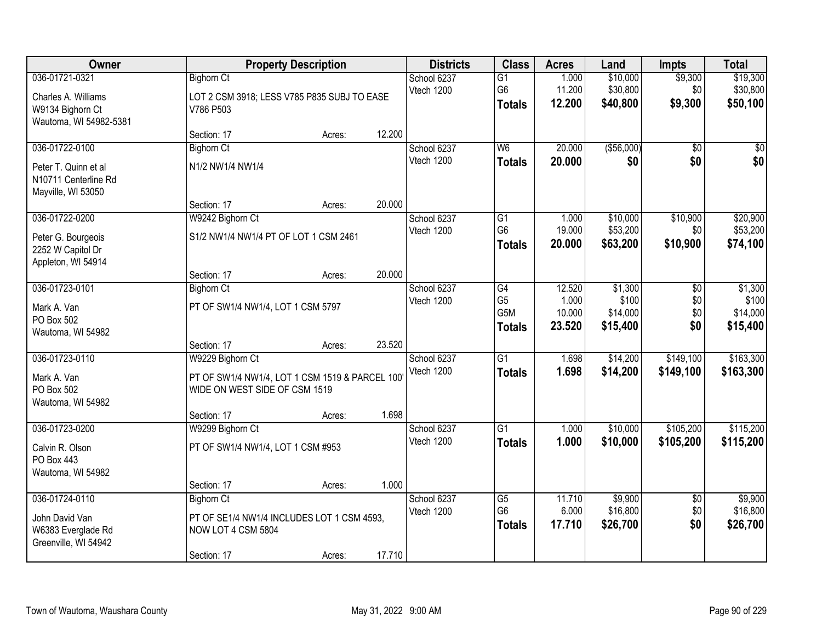| Owner                                                                               |                                                                                                                    | <b>Property Description</b> |        | <b>Districts</b>          | <b>Class</b>                                 | <b>Acres</b>                        | Land                                     | <b>Impts</b>                  | <b>Total</b>                             |
|-------------------------------------------------------------------------------------|--------------------------------------------------------------------------------------------------------------------|-----------------------------|--------|---------------------------|----------------------------------------------|-------------------------------------|------------------------------------------|-------------------------------|------------------------------------------|
| 036-01721-0321<br>Charles A. Williams<br>W9134 Bighorn Ct<br>Wautoma, WI 54982-5381 | <b>Bighorn Ct</b><br>LOT 2 CSM 3918; LESS V785 P835 SUBJ TO EASE<br>V786 P503                                      |                             |        | School 6237<br>Vtech 1200 | G1<br>G <sub>6</sub><br><b>Totals</b>        | 1.000<br>11.200<br>12.200           | \$10,000<br>\$30,800<br>\$40,800         | \$9,300<br>\$0<br>\$9,300     | \$19,300<br>\$30,800<br>\$50,100         |
|                                                                                     | Section: 17                                                                                                        | Acres:                      | 12.200 |                           |                                              |                                     |                                          |                               |                                          |
| 036-01722-0100                                                                      | <b>Bighorn Ct</b>                                                                                                  |                             |        | School 6237               | W6                                           | 20.000                              | ( \$56,000)                              | $\overline{50}$               | \$0                                      |
| Peter T. Quinn et al<br>N10711 Centerline Rd<br>Mayville, WI 53050                  | N1/2 NW1/4 NW1/4                                                                                                   |                             |        | Vtech 1200                | <b>Totals</b>                                | 20.000                              | \$0                                      | \$0                           | \$0                                      |
|                                                                                     | Section: 17                                                                                                        | Acres:                      | 20.000 |                           |                                              |                                     |                                          |                               |                                          |
| 036-01722-0200<br>Peter G. Bourgeois                                                | W9242 Bighorn Ct<br>S1/2 NW1/4 NW1/4 PT OF LOT 1 CSM 2461                                                          |                             |        | School 6237<br>Vtech 1200 | $\overline{G1}$<br>G <sub>6</sub>            | 1.000<br>19.000                     | \$10,000<br>\$53,200                     | \$10,900<br>\$0               | \$20,900<br>\$53,200                     |
| 2252 W Capitol Dr<br>Appleton, WI 54914                                             |                                                                                                                    |                             |        |                           | <b>Totals</b>                                | 20.000                              | \$63,200                                 | \$10,900                      | \$74,100                                 |
|                                                                                     | Section: 17                                                                                                        | Acres:                      | 20.000 |                           |                                              |                                     |                                          |                               |                                          |
| 036-01723-0101<br>Mark A. Van<br>PO Box 502<br>Wautoma, WI 54982                    | <b>Bighorn Ct</b><br>PT OF SW1/4 NW1/4, LOT 1 CSM 5797                                                             |                             |        | School 6237<br>Vtech 1200 | G4<br>G <sub>5</sub><br>G5M<br><b>Totals</b> | 12.520<br>1.000<br>10.000<br>23.520 | \$1,300<br>\$100<br>\$14,000<br>\$15,400 | \$0<br>\$0<br>\$0<br>\$0      | \$1,300<br>\$100<br>\$14,000<br>\$15,400 |
|                                                                                     | Section: 17                                                                                                        | Acres:                      | 23.520 |                           |                                              |                                     |                                          |                               |                                          |
| 036-01723-0110<br>Mark A. Van<br>PO Box 502<br>Wautoma, WI 54982                    | W9229 Bighorn Ct<br>PT OF SW1/4 NW1/4, LOT 1 CSM 1519 & PARCEL 100<br>WIDE ON WEST SIDE OF CSM 1519<br>Section: 17 | Acres:                      | 1.698  | School 6237<br>Vtech 1200 | $\overline{G1}$<br><b>Totals</b>             | 1.698<br>1.698                      | \$14,200<br>\$14,200                     | \$149,100<br>\$149,100        | \$163,300<br>\$163,300                   |
| 036-01723-0200                                                                      | W9299 Bighorn Ct                                                                                                   |                             |        | School 6237               | G1                                           | 1.000                               | \$10,000                                 | \$105,200                     | \$115,200                                |
| Calvin R. Olson<br>PO Box 443<br>Wautoma, WI 54982                                  | PT OF SW1/4 NW1/4, LOT 1 CSM #953                                                                                  |                             |        | Vtech 1200                | <b>Totals</b>                                | 1.000                               | \$10,000                                 | \$105,200                     | \$115,200                                |
|                                                                                     | Section: 17                                                                                                        | Acres:                      | 1.000  |                           |                                              |                                     |                                          |                               |                                          |
| 036-01724-0110<br>John David Van<br>W6383 Everglade Rd<br>Greenville, WI 54942      | <b>Bighorn Ct</b><br>PT OF SE1/4 NW1/4 INCLUDES LOT 1 CSM 4593,<br>NOW LOT 4 CSM 5804<br>Section: 17               | Acres:                      | 17.710 | School 6237<br>Vtech 1200 | G5<br>G <sub>6</sub><br><b>Totals</b>        | 11.710<br>6.000<br>17.710           | \$9,900<br>\$16,800<br>\$26,700          | $\overline{50}$<br>\$0<br>\$0 | \$9,900<br>\$16,800<br>\$26,700          |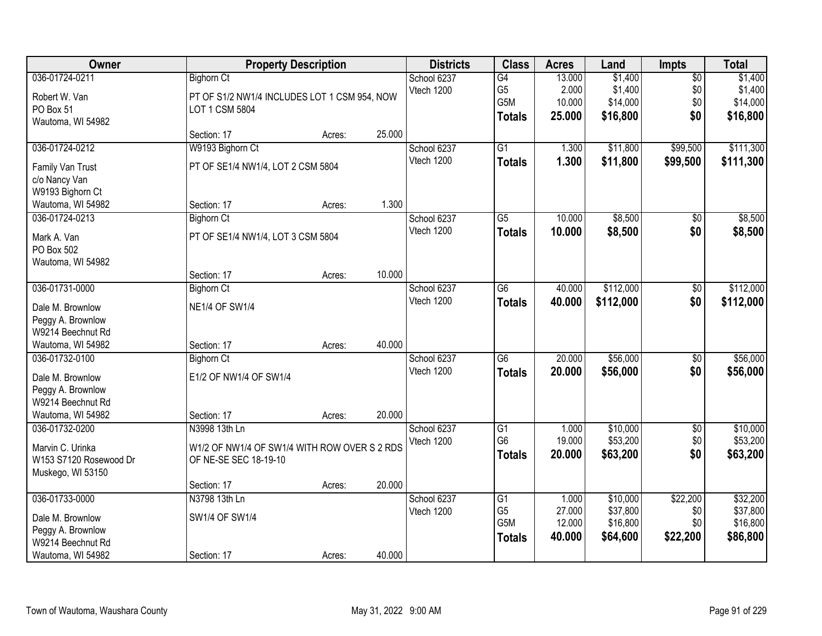| Owner                  |                                              | <b>Property Description</b> |        | <b>Districts</b> | <b>Class</b>     | <b>Acres</b> | Land      | <b>Impts</b>    | <b>Total</b> |
|------------------------|----------------------------------------------|-----------------------------|--------|------------------|------------------|--------------|-----------|-----------------|--------------|
| 036-01724-0211         | <b>Bighorn Ct</b>                            |                             |        | School 6237      | $\overline{G4}$  | 13.000       | \$1,400   | $\overline{50}$ | \$1,400      |
| Robert W. Van          | PT OF S1/2 NW1/4 INCLUDES LOT 1 CSM 954, NOW |                             |        | Vtech 1200       | G <sub>5</sub>   | 2.000        | \$1,400   | \$0             | \$1,400      |
| PO Box 51              | LOT 1 CSM 5804                               |                             |        |                  | G <sub>5</sub> M | 10.000       | \$14,000  | \$0             | \$14,000     |
| Wautoma, WI 54982      |                                              |                             |        |                  | <b>Totals</b>    | 25.000       | \$16,800  | \$0             | \$16,800     |
|                        | Section: 17                                  | Acres:                      | 25.000 |                  |                  |              |           |                 |              |
| 036-01724-0212         | W9193 Bighorn Ct                             |                             |        | School 6237      | $\overline{G1}$  | 1.300        | \$11,800  | \$99,500        | \$111,300    |
| Family Van Trust       | PT OF SE1/4 NW1/4, LOT 2 CSM 5804            |                             |        | Vtech 1200       | <b>Totals</b>    | 1.300        | \$11,800  | \$99,500        | \$111,300    |
| c/o Nancy Van          |                                              |                             |        |                  |                  |              |           |                 |              |
| W9193 Bighorn Ct       |                                              |                             |        |                  |                  |              |           |                 |              |
| Wautoma, WI 54982      | Section: 17                                  | Acres:                      | 1.300  |                  |                  |              |           |                 |              |
| 036-01724-0213         | <b>Bighorn Ct</b>                            |                             |        | School 6237      | G5               | 10.000       | \$8,500   | $\sqrt{6}$      | \$8,500      |
| Mark A. Van            | PT OF SE1/4 NW1/4, LOT 3 CSM 5804            |                             |        | Vtech 1200       | <b>Totals</b>    | 10.000       | \$8,500   | \$0             | \$8,500      |
| PO Box 502             |                                              |                             |        |                  |                  |              |           |                 |              |
| Wautoma, WI 54982      |                                              |                             |        |                  |                  |              |           |                 |              |
|                        | Section: 17                                  | Acres:                      | 10.000 |                  |                  |              |           |                 |              |
| 036-01731-0000         | <b>Bighorn Ct</b>                            |                             |        | School 6237      | $\overline{G6}$  | 40.000       | \$112,000 | \$0             | \$112,000    |
| Dale M. Brownlow       | <b>NE1/4 OF SW1/4</b>                        |                             |        | Vtech 1200       | <b>Totals</b>    | 40.000       | \$112,000 | \$0             | \$112,000    |
| Peggy A. Brownlow      |                                              |                             |        |                  |                  |              |           |                 |              |
| W9214 Beechnut Rd      |                                              |                             |        |                  |                  |              |           |                 |              |
| Wautoma, WI 54982      | Section: 17                                  | Acres:                      | 40.000 |                  |                  |              |           |                 |              |
| 036-01732-0100         | <b>Bighorn Ct</b>                            |                             |        | School 6237      | $\overline{G6}$  | 20.000       | \$56,000  | \$0             | \$56,000     |
| Dale M. Brownlow       | E1/2 OF NW1/4 OF SW1/4                       |                             |        | Vtech 1200       | <b>Totals</b>    | 20.000       | \$56,000  | \$0             | \$56,000     |
| Peggy A. Brownlow      |                                              |                             |        |                  |                  |              |           |                 |              |
| W9214 Beechnut Rd      |                                              |                             |        |                  |                  |              |           |                 |              |
| Wautoma, WI 54982      | Section: 17                                  | Acres:                      | 20.000 |                  |                  |              |           |                 |              |
| 036-01732-0200         | N3998 13th Ln                                |                             |        | School 6237      | $\overline{G1}$  | 1.000        | \$10,000  | $\overline{60}$ | \$10,000     |
| Marvin C. Urinka       | W1/2 OF NW1/4 OF SW1/4 WITH ROW OVER S 2 RDS |                             |        | Vtech 1200       | G <sub>6</sub>   | 19.000       | \$53,200  | \$0             | \$53,200     |
| W153 S7120 Rosewood Dr | OF NE-SE SEC 18-19-10                        |                             |        |                  | <b>Totals</b>    | 20.000       | \$63,200  | \$0             | \$63,200     |
| Muskego, WI 53150      |                                              |                             |        |                  |                  |              |           |                 |              |
|                        | Section: 17                                  | Acres:                      | 20.000 |                  |                  |              |           |                 |              |
| 036-01733-0000         | N3798 13th Ln                                |                             |        | School 6237      | G1               | 1.000        | \$10,000  | \$22,200        | \$32,200     |
| Dale M. Brownlow       | SW1/4 OF SW1/4                               |                             |        | Vtech 1200       | G <sub>5</sub>   | 27.000       | \$37,800  | \$0             | \$37,800     |
| Peggy A. Brownlow      |                                              |                             |        |                  | G5M              | 12.000       | \$16,800  | \$0             | \$16,800     |
| W9214 Beechnut Rd      |                                              |                             |        |                  | <b>Totals</b>    | 40.000       | \$64,600  | \$22,200        | \$86,800     |
| Wautoma, WI 54982      | Section: 17                                  | Acres:                      | 40.000 |                  |                  |              |           |                 |              |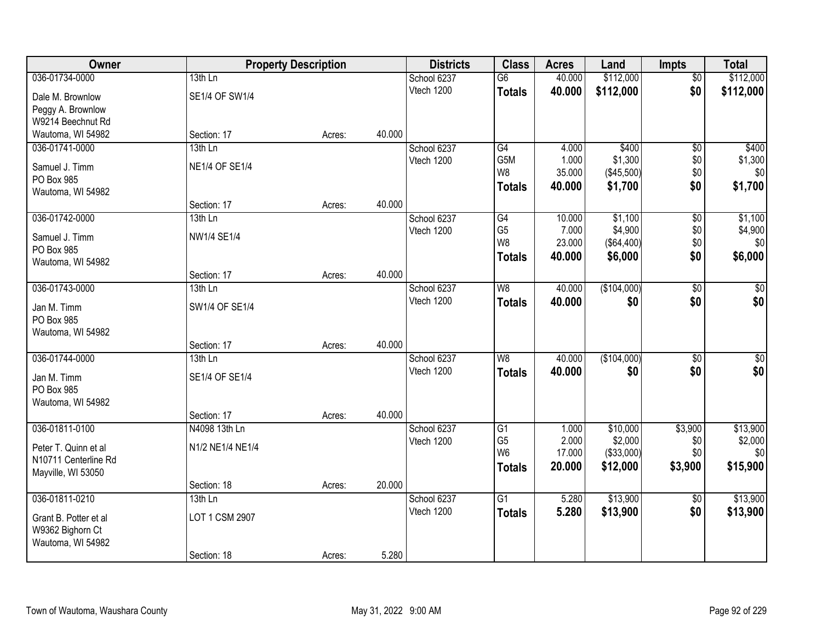| Owner                 |                       | <b>Property Description</b> |        | <b>Districts</b> | <b>Class</b>                     | <b>Acres</b>     | Land        | <b>Impts</b>    | <b>Total</b> |
|-----------------------|-----------------------|-----------------------------|--------|------------------|----------------------------------|------------------|-------------|-----------------|--------------|
| 036-01734-0000        | $13th$ Ln             |                             |        | School 6237      | $\overline{G6}$                  | 40.000           | \$112,000   | \$0             | \$112,000    |
| Dale M. Brownlow      | SE1/4 OF SW1/4        |                             |        | Vtech 1200       | <b>Totals</b>                    | 40.000           | \$112,000   | \$0             | \$112,000    |
| Peggy A. Brownlow     |                       |                             |        |                  |                                  |                  |             |                 |              |
| W9214 Beechnut Rd     |                       |                             |        |                  |                                  |                  |             |                 |              |
| Wautoma, WI 54982     | Section: 17           | Acres:                      | 40.000 |                  |                                  |                  |             |                 |              |
| 036-01741-0000        | 13th Ln               |                             |        | School 6237      | G4                               | 4.000            | \$400       | $\overline{50}$ | \$400        |
| Samuel J. Timm        | <b>NE1/4 OF SE1/4</b> |                             |        | Vtech 1200       | G5M                              | 1.000            | \$1,300     | \$0             | \$1,300      |
| PO Box 985            |                       |                             |        |                  | W8                               | 35.000           | (\$45,500)  | \$0             | \$0          |
| Wautoma, WI 54982     |                       |                             |        |                  | <b>Totals</b>                    | 40.000           | \$1,700     | \$0             | \$1,700      |
|                       | Section: 17           | Acres:                      | 40.000 |                  |                                  |                  |             |                 |              |
| 036-01742-0000        | 13th Ln               |                             |        | School 6237      | G4                               | 10.000           | \$1,100     | \$0             | \$1,100      |
| Samuel J. Timm        | NW1/4 SE1/4           |                             |        | Vtech 1200       | G <sub>5</sub>                   | 7.000            | \$4,900     | \$0             | \$4,900      |
| PO Box 985            |                       |                             |        |                  | W <sub>8</sub>                   | 23.000           | (\$64,400)  | \$0             | \$0          |
| Wautoma, WI 54982     |                       |                             |        |                  | <b>Totals</b>                    | 40.000           | \$6,000     | \$0             | \$6,000      |
|                       | Section: 17           | Acres:                      | 40.000 |                  |                                  |                  |             |                 |              |
| 036-01743-0000        | 13th Ln               |                             |        | School 6237      | W <sub>8</sub>                   | 40.000           | (\$104,000) | \$0             | $\sqrt{50}$  |
| Jan M. Timm           | SW1/4 OF SE1/4        |                             |        | Vtech 1200       | <b>Totals</b>                    | 40,000           | \$0         | \$0             | \$0          |
| PO Box 985            |                       |                             |        |                  |                                  |                  |             |                 |              |
| Wautoma, WI 54982     |                       |                             |        |                  |                                  |                  |             |                 |              |
|                       | Section: 17           | Acres:                      | 40.000 |                  |                                  |                  |             |                 |              |
| 036-01744-0000        | 13th Ln               |                             |        | School 6237      | W8                               | 40.000           | (\$104,000) | $\overline{50}$ | $\sqrt{50}$  |
| Jan M. Timm           | SE1/4 OF SE1/4        |                             |        | Vtech 1200       | <b>Totals</b>                    | 40.000           | \$0         | \$0             | \$0          |
| PO Box 985            |                       |                             |        |                  |                                  |                  |             |                 |              |
| Wautoma, WI 54982     |                       |                             |        |                  |                                  |                  |             |                 |              |
|                       | Section: 17           | Acres:                      | 40.000 |                  |                                  |                  |             |                 |              |
| 036-01811-0100        | N4098 13th Ln         |                             |        | School 6237      | $\overline{G1}$                  | 1.000            | \$10,000    | \$3,900         | \$13,900     |
| Peter T. Quinn et al  | N1/2 NE1/4 NE1/4      |                             |        | Vtech 1200       | G <sub>5</sub><br>W <sub>6</sub> | 2.000            | \$2,000     | \$0             | \$2,000      |
| N10711 Centerline Rd  |                       |                             |        |                  |                                  | 17.000<br>20.000 | (\$33,000)  | \$0             | \$0          |
| Mayville, WI 53050    |                       |                             |        |                  | <b>Totals</b>                    |                  | \$12,000    | \$3,900         | \$15,900     |
|                       | Section: 18           | Acres:                      | 20.000 |                  |                                  |                  |             |                 |              |
| 036-01811-0210        | $13th$ Ln             |                             |        | School 6237      | $\overline{G1}$                  | 5.280            | \$13,900    | \$0             | \$13,900     |
| Grant B. Potter et al | LOT 1 CSM 2907        |                             |        | Vtech 1200       | <b>Totals</b>                    | 5.280            | \$13,900    | \$0             | \$13,900     |
| W9362 Bighorn Ct      |                       |                             |        |                  |                                  |                  |             |                 |              |
| Wautoma, WI 54982     |                       |                             |        |                  |                                  |                  |             |                 |              |
|                       | Section: 18           | Acres:                      | 5.280  |                  |                                  |                  |             |                 |              |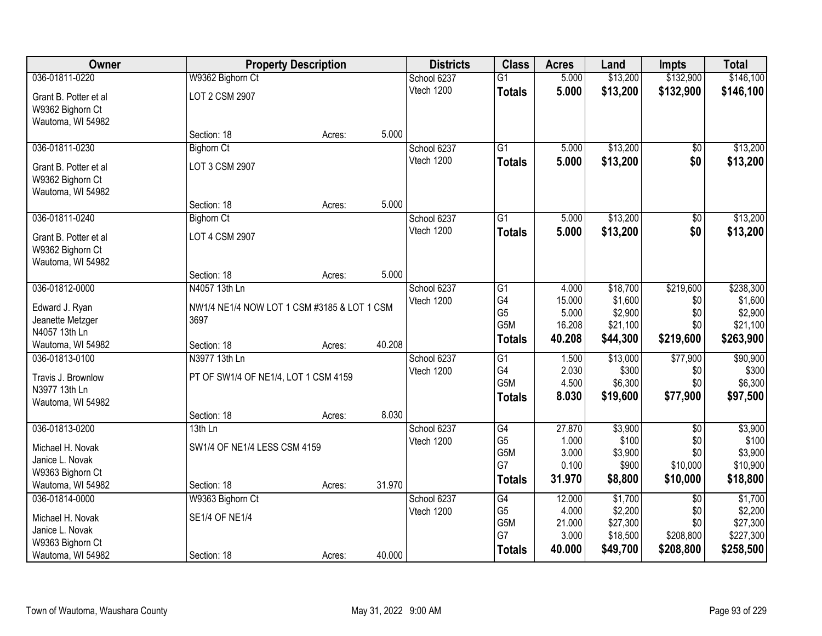| <b>Owner</b>          |                                             | <b>Property Description</b> |        | <b>Districts</b> | <b>Class</b>    | <b>Acres</b>   | Land             | <b>Impts</b>    | <b>Total</b>        |
|-----------------------|---------------------------------------------|-----------------------------|--------|------------------|-----------------|----------------|------------------|-----------------|---------------------|
| 036-01811-0220        | W9362 Bighorn Ct                            |                             |        | School 6237      | $\overline{G1}$ | 5.000          | \$13,200         | \$132,900       | \$146,100           |
| Grant B. Potter et al | LOT 2 CSM 2907                              |                             |        | Vtech 1200       | <b>Totals</b>   | 5.000          | \$13,200         | \$132,900       | \$146,100           |
| W9362 Bighorn Ct      |                                             |                             |        |                  |                 |                |                  |                 |                     |
| Wautoma, WI 54982     |                                             |                             |        |                  |                 |                |                  |                 |                     |
|                       | Section: 18                                 | Acres:                      | 5.000  |                  |                 |                |                  |                 |                     |
| 036-01811-0230        | <b>Bighorn Ct</b>                           |                             |        | School 6237      | $\overline{G1}$ | 5.000          | \$13,200         | \$0             | \$13,200            |
| Grant B. Potter et al | LOT 3 CSM 2907                              |                             |        | Vtech 1200       | <b>Totals</b>   | 5.000          | \$13,200         | \$0             | \$13,200            |
| W9362 Bighorn Ct      |                                             |                             |        |                  |                 |                |                  |                 |                     |
| Wautoma, WI 54982     |                                             |                             |        |                  |                 |                |                  |                 |                     |
|                       | Section: 18                                 | Acres:                      | 5.000  |                  |                 |                |                  |                 |                     |
| 036-01811-0240        | <b>Bighorn Ct</b>                           |                             |        | School 6237      | $\overline{G1}$ | 5.000          | \$13,200         | \$0             | \$13,200            |
| Grant B. Potter et al | LOT 4 CSM 2907                              |                             |        | Vtech 1200       | <b>Totals</b>   | 5.000          | \$13,200         | \$0             | \$13,200            |
| W9362 Bighorn Ct      |                                             |                             |        |                  |                 |                |                  |                 |                     |
| Wautoma, WI 54982     |                                             |                             |        |                  |                 |                |                  |                 |                     |
|                       | Section: 18                                 | Acres:                      | 5.000  |                  |                 |                |                  |                 |                     |
| 036-01812-0000        | N4057 13th Ln                               |                             |        | School 6237      | G1              | 4.000          | \$18,700         | \$219,600       | \$238,300           |
| Edward J. Ryan        | NW1/4 NE1/4 NOW LOT 1 CSM #3185 & LOT 1 CSM |                             |        | Vtech 1200       | G4              | 15.000         | \$1,600          | \$0             | \$1,600             |
| Jeanette Metzger      | 3697                                        |                             |        |                  | G <sub>5</sub>  | 5.000          | \$2,900          | \$0             | \$2,900             |
| N4057 13th Ln         |                                             |                             |        |                  | G5M             | 16.208         | \$21,100         | \$0             | \$21,100            |
| Wautoma, WI 54982     | Section: 18                                 | Acres:                      | 40.208 |                  | <b>Totals</b>   | 40.208         | \$44,300         | \$219,600       | \$263,900           |
| 036-01813-0100        | N3977 13th Ln                               |                             |        | School 6237      | $\overline{G1}$ | 1.500          | \$13,000         | \$77,900        | \$90,900            |
| Travis J. Brownlow    | PT OF SW1/4 OF NE1/4, LOT 1 CSM 4159        |                             |        | Vtech 1200       | G4              | 2.030          | \$300            | \$0             | \$300               |
| N3977 13th Ln         |                                             |                             |        |                  | G5M             | 4.500          | \$6,300          | \$0             | \$6,300             |
| Wautoma, WI 54982     |                                             |                             |        |                  | <b>Totals</b>   | 8.030          | \$19,600         | \$77,900        | \$97,500            |
|                       | Section: 18                                 | Acres:                      | 8.030  |                  |                 |                |                  |                 |                     |
| 036-01813-0200        | 13th Ln                                     |                             |        | School 6237      | G4              | 27.870         | \$3,900          | $\overline{50}$ | \$3,900             |
| Michael H. Novak      | SW1/4 OF NE1/4 LESS CSM 4159                |                             |        | Vtech 1200       | G <sub>5</sub>  | 1.000          | \$100            | \$0             | \$100               |
| Janice L. Novak       |                                             |                             |        |                  | G5M<br>G7       | 3.000<br>0.100 | \$3,900<br>\$900 | \$0<br>\$10,000 | \$3,900<br>\$10,900 |
| W9363 Bighorn Ct      |                                             |                             |        |                  |                 |                |                  |                 |                     |
| Wautoma, WI 54982     | Section: 18                                 | Acres:                      | 31.970 |                  | <b>Totals</b>   | 31.970         | \$8,800          | \$10,000        | \$18,800            |
| 036-01814-0000        | W9363 Bighorn Ct                            |                             |        | School 6237      | G4              | 12.000         | \$1,700          | $\overline{30}$ | \$1,700             |
| Michael H. Novak      | <b>SE1/4 OF NE1/4</b>                       |                             |        | Vtech 1200       | G <sub>5</sub>  | 4.000          | \$2,200          | \$0             | \$2,200             |
| Janice L. Novak       |                                             |                             |        |                  | G5M             | 21.000         | \$27,300         | \$0             | \$27,300            |
| W9363 Bighorn Ct      |                                             |                             |        |                  | G7              | 3.000          | \$18,500         | \$208,800       | \$227,300           |
| Wautoma, WI 54982     | Section: 18                                 | Acres:                      | 40.000 |                  | <b>Totals</b>   | 40.000         | \$49,700         | \$208,800       | \$258,500           |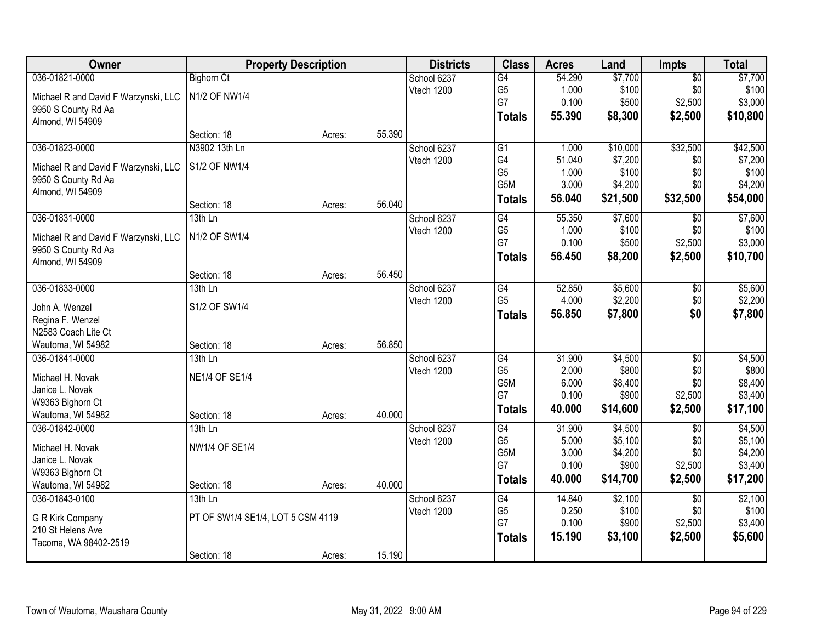| Owner                                                       |                                   | <b>Property Description</b> |        | <b>Districts</b> | <b>Class</b>    | <b>Acres</b> | Land     | <b>Impts</b>    | <b>Total</b> |
|-------------------------------------------------------------|-----------------------------------|-----------------------------|--------|------------------|-----------------|--------------|----------|-----------------|--------------|
| 036-01821-0000                                              | <b>Bighorn Ct</b>                 |                             |        | School 6237      | $\overline{G4}$ | 54.290       | \$7,700  | $\overline{50}$ | \$7,700      |
| Michael R and David F Warzynski, LLC                        | N1/2 OF NW1/4                     |                             |        | Vtech 1200       | G <sub>5</sub>  | 1.000        | \$100    | \$0             | \$100        |
| 9950 S County Rd Aa                                         |                                   |                             |        |                  | G7              | 0.100        | \$500    | \$2,500         | \$3,000      |
| Almond, WI 54909                                            |                                   |                             |        |                  | <b>Totals</b>   | 55.390       | \$8,300  | \$2,500         | \$10,800     |
|                                                             | Section: 18                       | Acres:                      | 55.390 |                  |                 |              |          |                 |              |
| 036-01823-0000                                              | N3902 13th Ln                     |                             |        | School 6237      | G1              | 1.000        | \$10,000 | \$32,500        | \$42,500     |
|                                                             | S1/2 OF NW1/4                     |                             |        | Vtech 1200       | G4              | 51.040       | \$7,200  | \$0             | \$7,200      |
| Michael R and David F Warzynski, LLC<br>9950 S County Rd Aa |                                   |                             |        |                  | G <sub>5</sub>  | 1.000        | \$100    | \$0             | \$100        |
| Almond, WI 54909                                            |                                   |                             |        |                  | G5M             | 3.000        | \$4,200  | \$0             | \$4,200      |
|                                                             | Section: 18                       | Acres:                      | 56.040 |                  | <b>Totals</b>   | 56.040       | \$21,500 | \$32,500        | \$54,000     |
| 036-01831-0000                                              | 13th Ln                           |                             |        | School 6237      | $\overline{G4}$ | 55.350       | \$7,600  | \$0             | \$7,600      |
|                                                             | N1/2 OF SW1/4                     |                             |        | Vtech 1200       | G <sub>5</sub>  | 1.000        | \$100    | \$0             | \$100        |
| Michael R and David F Warzynski, LLC                        |                                   |                             |        |                  | G7              | 0.100        | \$500    | \$2,500         | \$3,000      |
| 9950 S County Rd Aa<br>Almond, WI 54909                     |                                   |                             |        |                  | <b>Totals</b>   | 56.450       | \$8,200  | \$2,500         | \$10,700     |
|                                                             | Section: 18                       | Acres:                      | 56.450 |                  |                 |              |          |                 |              |
| 036-01833-0000                                              | $13th$ Ln                         |                             |        | School 6237      | G4              | 52.850       | \$5,600  | $\sqrt[6]{3}$   | \$5,600      |
|                                                             |                                   |                             |        | Vtech 1200       | G <sub>5</sub>  | 4.000        | \$2,200  | \$0             | \$2,200      |
| John A. Wenzel                                              | S1/2 OF SW1/4                     |                             |        |                  | <b>Totals</b>   | 56.850       | \$7,800  | \$0             | \$7,800      |
| Regina F. Wenzel                                            |                                   |                             |        |                  |                 |              |          |                 |              |
| N2583 Coach Lite Ct                                         | Section: 18                       |                             | 56.850 |                  |                 |              |          |                 |              |
| Wautoma, WI 54982<br>036-01841-0000                         | 13th Ln                           | Acres:                      |        |                  | $\overline{G4}$ | 31.900       | \$4,500  | $\overline{50}$ | \$4,500      |
|                                                             |                                   |                             |        | School 6237      | G <sub>5</sub>  | 2.000        | \$800    | \$0             | \$800        |
| Michael H. Novak                                            | <b>NE1/4 OF SE1/4</b>             |                             |        | Vtech 1200       | G5M             | 6.000        | \$8,400  | \$0             | \$8,400      |
| Janice L. Novak                                             |                                   |                             |        |                  | G7              | 0.100        | \$900    | \$2,500         | \$3,400      |
| W9363 Bighorn Ct                                            |                                   |                             |        |                  | <b>Totals</b>   | 40.000       | \$14,600 | \$2,500         | \$17,100     |
| Wautoma, WI 54982                                           | Section: 18                       | Acres:                      | 40.000 |                  |                 |              |          |                 |              |
| 036-01842-0000                                              | 13th Ln                           |                             |        | School 6237      | G4              | 31.900       | \$4,500  | $\overline{50}$ | \$4,500      |
| Michael H. Novak                                            | <b>NW1/4 OF SE1/4</b>             |                             |        | Vtech 1200       | G <sub>5</sub>  | 5.000        | \$5,100  | \$0             | \$5,100      |
| Janice L. Novak                                             |                                   |                             |        |                  | G5M             | 3.000        | \$4,200  | \$0             | \$4,200      |
| W9363 Bighorn Ct                                            |                                   |                             |        |                  | G7              | 0.100        | \$900    | \$2,500         | \$3,400      |
| Wautoma, WI 54982                                           | Section: 18                       | Acres:                      | 40.000 |                  | <b>Totals</b>   | 40.000       | \$14,700 | \$2,500         | \$17,200     |
| 036-01843-0100                                              | $13th$ Ln                         |                             |        | School 6237      | G4              | 14.840       | \$2,100  | $\overline{50}$ | \$2,100      |
| G R Kirk Company                                            | PT OF SW1/4 SE1/4, LOT 5 CSM 4119 |                             |        | Vtech 1200       | G <sub>5</sub>  | 0.250        | \$100    | \$0             | \$100        |
| 210 St Helens Ave                                           |                                   |                             |        |                  | G7              | 0.100        | \$900    | \$2,500         | \$3,400      |
| Tacoma, WA 98402-2519                                       |                                   |                             |        |                  | <b>Totals</b>   | 15.190       | \$3,100  | \$2,500         | \$5,600      |
|                                                             | Section: 18                       | Acres:                      | 15.190 |                  |                 |              |          |                 |              |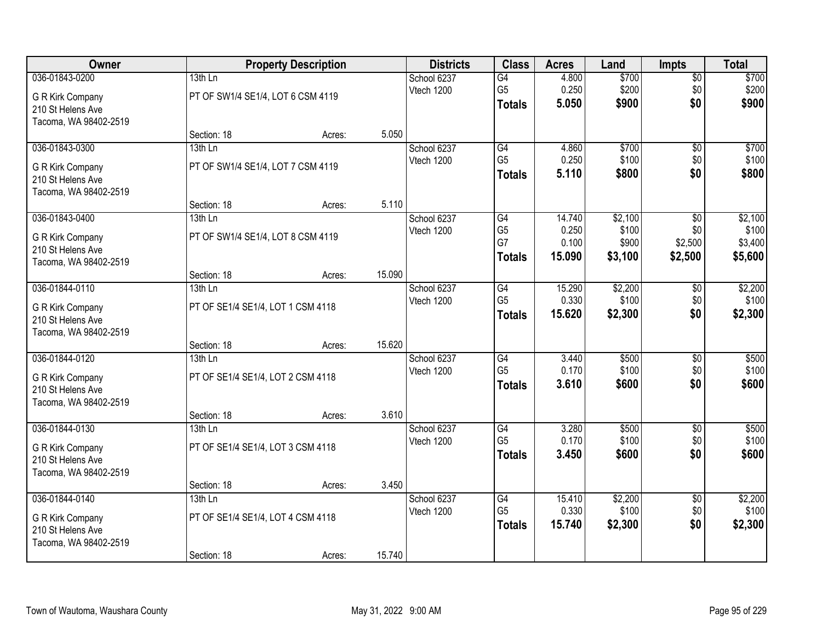| Owner                 |                                   | <b>Property Description</b> |        | <b>Districts</b> | <b>Class</b>         | <b>Acres</b>    | Land             | <b>Impts</b>           | <b>Total</b>       |
|-----------------------|-----------------------------------|-----------------------------|--------|------------------|----------------------|-----------------|------------------|------------------------|--------------------|
| 036-01843-0200        | $13th$ Ln                         |                             |        | School 6237      | $\overline{G4}$      | 4.800           | \$700            | \$0                    | \$700              |
| G R Kirk Company      | PT OF SW1/4 SE1/4, LOT 6 CSM 4119 |                             |        | Vtech 1200       | G <sub>5</sub>       | 0.250           | \$200            | \$0                    | \$200              |
| 210 St Helens Ave     |                                   |                             |        |                  | <b>Totals</b>        | 5.050           | \$900            | \$0                    | \$900              |
| Tacoma, WA 98402-2519 |                                   |                             |        |                  |                      |                 |                  |                        |                    |
|                       | Section: 18                       | Acres:                      | 5.050  |                  |                      |                 |                  |                        |                    |
| 036-01843-0300        | 13th Ln                           |                             |        | School 6237      | G4                   | 4.860           | \$700            | $\overline{50}$        | \$700              |
| G R Kirk Company      | PT OF SW1/4 SE1/4, LOT 7 CSM 4119 |                             |        | Vtech 1200       | G <sub>5</sub>       | 0.250           | \$100            | \$0                    | \$100              |
| 210 St Helens Ave     |                                   |                             |        |                  | <b>Totals</b>        | 5.110           | \$800            | \$0                    | \$800              |
| Tacoma, WA 98402-2519 |                                   |                             |        |                  |                      |                 |                  |                        |                    |
|                       | Section: 18                       | Acres:                      | 5.110  |                  |                      |                 |                  |                        |                    |
| 036-01843-0400        | 13th Ln                           |                             |        | School 6237      | G4                   | 14.740          | \$2,100          | \$0                    | \$2,100            |
| G R Kirk Company      | PT OF SW1/4 SE1/4, LOT 8 CSM 4119 |                             |        | Vtech 1200       | G <sub>5</sub><br>G7 | 0.250<br>0.100  | \$100            | \$0                    | \$100              |
| 210 St Helens Ave     |                                   |                             |        |                  |                      | 15.090          | \$900<br>\$3,100 | \$2,500<br>\$2,500     | \$3,400<br>\$5,600 |
| Tacoma, WA 98402-2519 |                                   |                             |        |                  | <b>Totals</b>        |                 |                  |                        |                    |
|                       | Section: 18                       | Acres:                      | 15.090 |                  |                      |                 |                  |                        |                    |
| 036-01844-0110        | 13th Ln                           |                             |        | School 6237      | G4                   | 15.290          | \$2,200          | $\sqrt[6]{3}$          | \$2,200            |
| G R Kirk Company      | PT OF SE1/4 SE1/4, LOT 1 CSM 4118 |                             |        | Vtech 1200       | G <sub>5</sub>       | 0.330           | \$100            | \$0                    | \$100              |
| 210 St Helens Ave     |                                   |                             |        |                  | <b>Totals</b>        | 15.620          | \$2,300          | \$0                    | \$2,300            |
| Tacoma, WA 98402-2519 |                                   |                             |        |                  |                      |                 |                  |                        |                    |
|                       | Section: 18                       | Acres:                      | 15.620 |                  |                      |                 |                  |                        |                    |
| 036-01844-0120        | 13th Ln                           |                             |        | School 6237      | $\overline{G4}$      | 3.440           | \$500            | $\overline{50}$        | \$500              |
| G R Kirk Company      | PT OF SE1/4 SE1/4, LOT 2 CSM 4118 |                             |        | Vtech 1200       | G <sub>5</sub>       | 0.170<br>3.610  | \$100<br>\$600   | \$0<br>\$0             | \$100              |
| 210 St Helens Ave     |                                   |                             |        |                  | <b>Totals</b>        |                 |                  |                        | \$600              |
| Tacoma, WA 98402-2519 |                                   |                             |        |                  |                      |                 |                  |                        |                    |
|                       | Section: 18                       | Acres:                      | 3.610  |                  |                      |                 |                  |                        |                    |
| 036-01844-0130        | $13th$ Ln                         |                             |        | School 6237      | $\overline{G4}$      | 3.280           | \$500            | $\overline{50}$        | \$500              |
| G R Kirk Company      | PT OF SE1/4 SE1/4, LOT 3 CSM 4118 |                             |        | Vtech 1200       | G <sub>5</sub>       | 0.170<br>3.450  | \$100            | \$0<br>\$0             | \$100<br>\$600     |
| 210 St Helens Ave     |                                   |                             |        |                  | <b>Totals</b>        |                 | \$600            |                        |                    |
| Tacoma, WA 98402-2519 |                                   |                             |        |                  |                      |                 |                  |                        |                    |
|                       | Section: 18                       | Acres:                      | 3.450  |                  |                      |                 |                  |                        |                    |
| 036-01844-0140        | $13th$ Ln                         |                             |        | School 6237      | G4<br>G <sub>5</sub> | 15.410<br>0.330 | \$2,200<br>\$100 | $\overline{50}$<br>\$0 | \$2,200<br>\$100   |
| G R Kirk Company      | PT OF SE1/4 SE1/4, LOT 4 CSM 4118 |                             |        | Vtech 1200       |                      | 15.740          |                  | \$0                    | \$2,300            |
| 210 St Helens Ave     |                                   |                             |        |                  | <b>Totals</b>        |                 | \$2,300          |                        |                    |
| Tacoma, WA 98402-2519 |                                   |                             |        |                  |                      |                 |                  |                        |                    |
|                       | Section: 18                       | Acres:                      | 15.740 |                  |                      |                 |                  |                        |                    |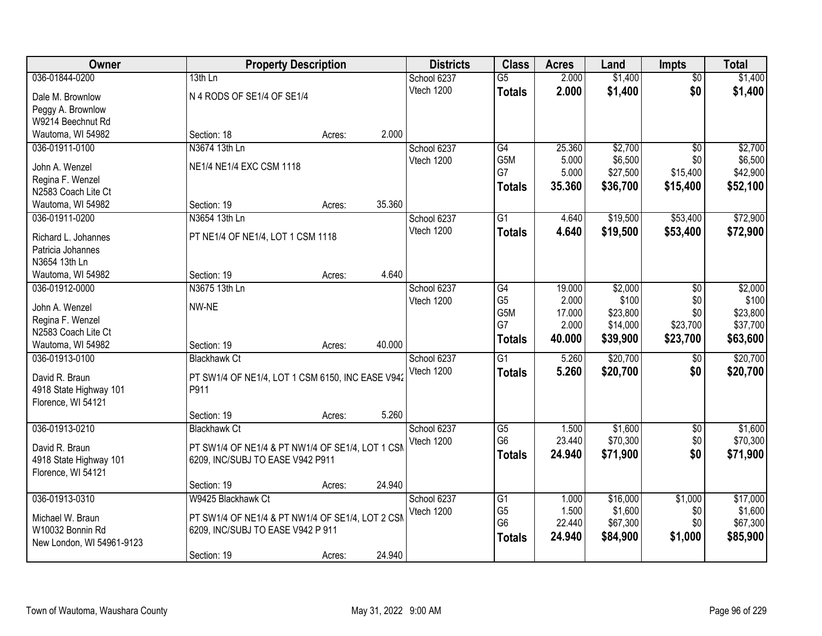| Owner                                    |                                   | <b>Property Description</b>                      | <b>Districts</b> | <b>Class</b>    | <b>Acres</b> | Land     | <b>Impts</b>    | <b>Total</b> |
|------------------------------------------|-----------------------------------|--------------------------------------------------|------------------|-----------------|--------------|----------|-----------------|--------------|
| 036-01844-0200                           | 13th Ln                           |                                                  | School 6237      | $\overline{G5}$ | 2.000        | \$1,400  | $\overline{50}$ | \$1,400      |
| Dale M. Brownlow                         | N 4 RODS OF SE1/4 OF SE1/4        |                                                  | Vtech 1200       | <b>Totals</b>   | 2.000        | \$1,400  | \$0             | \$1,400      |
| Peggy A. Brownlow                        |                                   |                                                  |                  |                 |              |          |                 |              |
| W9214 Beechnut Rd                        |                                   |                                                  |                  |                 |              |          |                 |              |
| Wautoma, WI 54982                        | Section: 18                       | Acres:                                           | 2.000            |                 |              |          |                 |              |
| 036-01911-0100                           | N3674 13th Ln                     |                                                  | School 6237      | G4              | 25.360       | \$2,700  | $\overline{50}$ | \$2,700      |
|                                          |                                   |                                                  | Vtech 1200       | G5M             | 5.000        | \$6,500  | \$0             | \$6,500      |
| John A. Wenzel                           | NE1/4 NE1/4 EXC CSM 1118          |                                                  |                  | G7              | 5.000        | \$27,500 | \$15,400        | \$42,900     |
| Regina F. Wenzel                         |                                   |                                                  |                  | <b>Totals</b>   | 35.360       | \$36,700 | \$15,400        | \$52,100     |
| N2583 Coach Lite Ct<br>Wautoma, WI 54982 | Section: 19                       |                                                  | 35.360           |                 |              |          |                 |              |
| 036-01911-0200                           | N3654 13th Ln                     | Acres:                                           | School 6237      | $\overline{G1}$ | 4.640        | \$19,500 | \$53,400        | \$72,900     |
|                                          |                                   |                                                  | Vtech 1200       |                 |              |          |                 |              |
| Richard L. Johannes                      | PT NE1/4 OF NE1/4, LOT 1 CSM 1118 |                                                  |                  | <b>Totals</b>   | 4.640        | \$19,500 | \$53,400        | \$72,900     |
| Patricia Johannes                        |                                   |                                                  |                  |                 |              |          |                 |              |
| N3654 13th Ln                            |                                   |                                                  |                  |                 |              |          |                 |              |
| Wautoma, WI 54982                        | Section: 19                       | Acres:                                           | 4.640            |                 |              |          |                 |              |
| 036-01912-0000                           | N3675 13th Ln                     |                                                  | School 6237      | $\overline{G4}$ | 19.000       | \$2,000  | \$0             | \$2,000      |
| John A. Wenzel                           | NW-NE                             |                                                  | Vtech 1200       | G <sub>5</sub>  | 2.000        | \$100    | \$0             | \$100        |
| Regina F. Wenzel                         |                                   |                                                  |                  | G5M             | 17.000       | \$23,800 | \$0             | \$23,800     |
| N2583 Coach Lite Ct                      |                                   |                                                  |                  | G7              | 2.000        | \$14,000 | \$23,700        | \$37,700     |
| Wautoma, WI 54982                        | Section: 19                       | Acres:                                           | 40.000           | <b>Totals</b>   | 40.000       | \$39,900 | \$23,700        | \$63,600     |
| 036-01913-0100                           | <b>Blackhawk Ct</b>               |                                                  | School 6237      | $\overline{G1}$ | 5.260        | \$20,700 | $\overline{30}$ | \$20,700     |
|                                          |                                   |                                                  | Vtech 1200       | <b>Totals</b>   | 5.260        | \$20,700 | \$0             | \$20,700     |
| David R. Braun                           |                                   | PT SW1/4 OF NE1/4, LOT 1 CSM 6150, INC EASE V942 |                  |                 |              |          |                 |              |
| 4918 State Highway 101                   | P911                              |                                                  |                  |                 |              |          |                 |              |
| Florence, WI 54121                       |                                   |                                                  |                  |                 |              |          |                 |              |
|                                          | Section: 19                       | Acres:                                           | 5.260            |                 |              |          |                 |              |
| 036-01913-0210                           | <b>Blackhawk Ct</b>               |                                                  | School 6237      | $\overline{G5}$ | 1.500        | \$1,600  | $\overline{50}$ | \$1,600      |
| David R. Braun                           |                                   | PT SW1/4 OF NE1/4 & PT NW1/4 OF SE1/4, LOT 1 CSM | Vtech 1200       | G <sub>6</sub>  | 23.440       | \$70,300 | \$0             | \$70,300     |
| 4918 State Highway 101                   | 6209, INC/SUBJ TO EASE V942 P911  |                                                  |                  | <b>Totals</b>   | 24.940       | \$71,900 | \$0             | \$71,900     |
| Florence, WI 54121                       |                                   |                                                  |                  |                 |              |          |                 |              |
|                                          | Section: 19                       | Acres:                                           | 24.940           |                 |              |          |                 |              |
| 036-01913-0310                           | W9425 Blackhawk Ct                |                                                  | School 6237      | G1              | 1.000        | \$16,000 | \$1,000         | \$17,000     |
|                                          |                                   |                                                  | Vtech 1200       | G <sub>5</sub>  | 1.500        | \$1,600  | \$0             | \$1,600      |
| Michael W. Braun                         |                                   | PT SW1/4 OF NE1/4 & PT NW1/4 OF SE1/4, LOT 2 CSM |                  | G <sub>6</sub>  | 22.440       | \$67,300 | \$0             | \$67,300     |
| W10032 Bonnin Rd                         | 6209, INC/SUBJ TO EASE V942 P 911 |                                                  |                  | <b>Totals</b>   | 24.940       | \$84,900 | \$1,000         | \$85,900     |
| New London, WI 54961-9123                |                                   |                                                  |                  |                 |              |          |                 |              |
|                                          | Section: 19                       | Acres:                                           | 24.940           |                 |              |          |                 |              |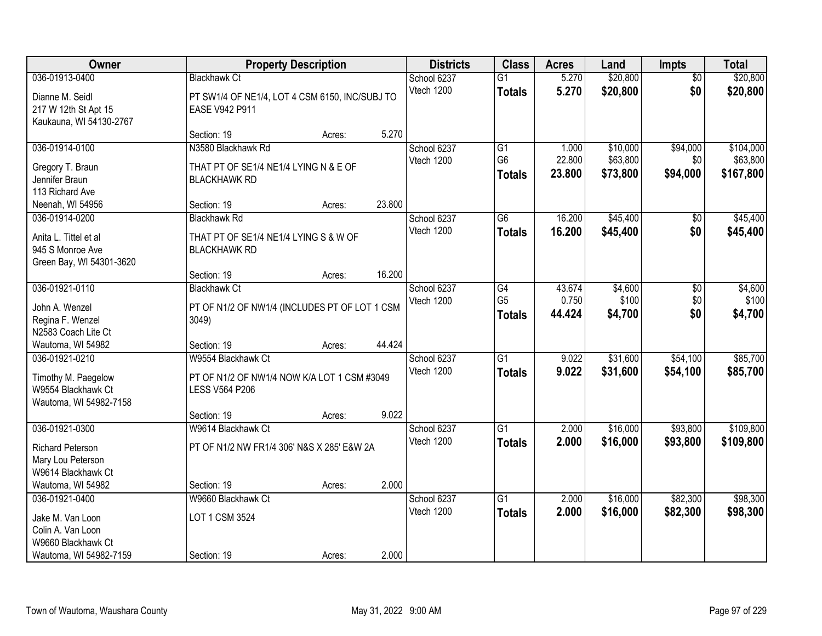| Owner                                                                                   |                                                                                            | <b>Property Description</b> |        | <b>Districts</b>          | <b>Class</b>                          | <b>Acres</b>              | Land                             | Impts                       | <b>Total</b>                       |
|-----------------------------------------------------------------------------------------|--------------------------------------------------------------------------------------------|-----------------------------|--------|---------------------------|---------------------------------------|---------------------------|----------------------------------|-----------------------------|------------------------------------|
| 036-01913-0400<br>Dianne M. Seidl<br>217 W 12th St Apt 15<br>Kaukauna, WI 54130-2767    | <b>Blackhawk Ct</b><br>PT SW1/4 OF NE1/4, LOT 4 CSM 6150, INC/SUBJ TO<br>EASE V942 P911    |                             |        | School 6237<br>Vtech 1200 | $\overline{G1}$<br><b>Totals</b>      | 5.270<br>5.270            | \$20,800<br>\$20,800             | $\overline{50}$<br>\$0      | \$20,800<br>\$20,800               |
|                                                                                         | Section: 19                                                                                | Acres:                      | 5.270  |                           |                                       |                           |                                  |                             |                                    |
| 036-01914-0100<br>Gregory T. Braun<br>Jennifer Braun<br>113 Richard Ave                 | N3580 Blackhawk Rd<br>THAT PT OF SE1/4 NE1/4 LYING N & E OF<br><b>BLACKHAWK RD</b>         |                             |        | School 6237<br>Vtech 1200 | G1<br>G <sub>6</sub><br><b>Totals</b> | 1.000<br>22.800<br>23.800 | \$10,000<br>\$63,800<br>\$73,800 | \$94,000<br>\$0<br>\$94,000 | \$104,000<br>\$63,800<br>\$167,800 |
| Neenah, WI 54956                                                                        | Section: 19                                                                                | Acres:                      | 23.800 |                           |                                       |                           |                                  |                             |                                    |
| 036-01914-0200<br>Anita L. Tittel et al<br>945 S Monroe Ave<br>Green Bay, WI 54301-3620 | <b>Blackhawk Rd</b><br>THAT PT OF SE1/4 NE1/4 LYING S & W OF<br><b>BLACKHAWK RD</b>        |                             |        | School 6237<br>Vtech 1200 | G6<br><b>Totals</b>                   | 16.200<br>16.200          | \$45,400<br>\$45,400             | \$0<br>\$0                  | \$45,400<br>\$45,400               |
|                                                                                         | Section: 19                                                                                | Acres:                      | 16.200 |                           |                                       |                           |                                  |                             |                                    |
| 036-01921-0110<br>John A. Wenzel<br>Regina F. Wenzel<br>N2583 Coach Lite Ct             | <b>Blackhawk Ct</b><br>PT OF N1/2 OF NW1/4 (INCLUDES PT OF LOT 1 CSM<br>3049)              |                             |        | School 6237<br>Vtech 1200 | G4<br>G <sub>5</sub><br><b>Totals</b> | 43.674<br>0.750<br>44.424 | \$4,600<br>\$100<br>\$4,700      | \$0<br>\$0<br>\$0           | \$4,600<br>\$100<br>\$4,700        |
| Wautoma, WI 54982                                                                       | Section: 19                                                                                | Acres:                      | 44.424 |                           |                                       |                           |                                  |                             |                                    |
| 036-01921-0210<br>Timothy M. Paegelow<br>W9554 Blackhawk Ct<br>Wautoma, WI 54982-7158   | W9554 Blackhawk Ct<br>PT OF N1/2 OF NW1/4 NOW K/A LOT 1 CSM #3049<br><b>LESS V564 P206</b> |                             |        | School 6237<br>Vtech 1200 | $\overline{G1}$<br><b>Totals</b>      | 9.022<br>9.022            | \$31,600<br>\$31,600             | \$54,100<br>\$54,100        | \$85,700<br>\$85,700               |
|                                                                                         | Section: 19                                                                                | Acres:                      | 9.022  |                           |                                       |                           |                                  |                             |                                    |
| 036-01921-0300<br><b>Richard Peterson</b><br>Mary Lou Peterson<br>W9614 Blackhawk Ct    | W9614 Blackhawk Ct<br>PT OF N1/2 NW FR1/4 306' N&S X 285' E&W 2A                           |                             |        | School 6237<br>Vtech 1200 | $\overline{G1}$<br><b>Totals</b>      | 2.000<br>2.000            | \$16,000<br>\$16,000             | \$93,800<br>\$93,800        | \$109,800<br>\$109,800             |
| Wautoma, WI 54982                                                                       | Section: 19                                                                                | Acres:                      | 2.000  |                           |                                       |                           |                                  |                             |                                    |
| 036-01921-0400<br>Jake M. Van Loon<br>Colin A. Van Loon<br>W9660 Blackhawk Ct           | W9660 Blackhawk Ct<br>LOT 1 CSM 3524                                                       |                             |        | School 6237<br>Vtech 1200 | $\overline{G1}$<br><b>Totals</b>      | 2.000<br>2.000            | \$16,000<br>\$16,000             | \$82,300<br>\$82,300        | \$98,300<br>\$98,300               |
| Wautoma, WI 54982-7159                                                                  | Section: 19                                                                                | Acres:                      | 2.000  |                           |                                       |                           |                                  |                             |                                    |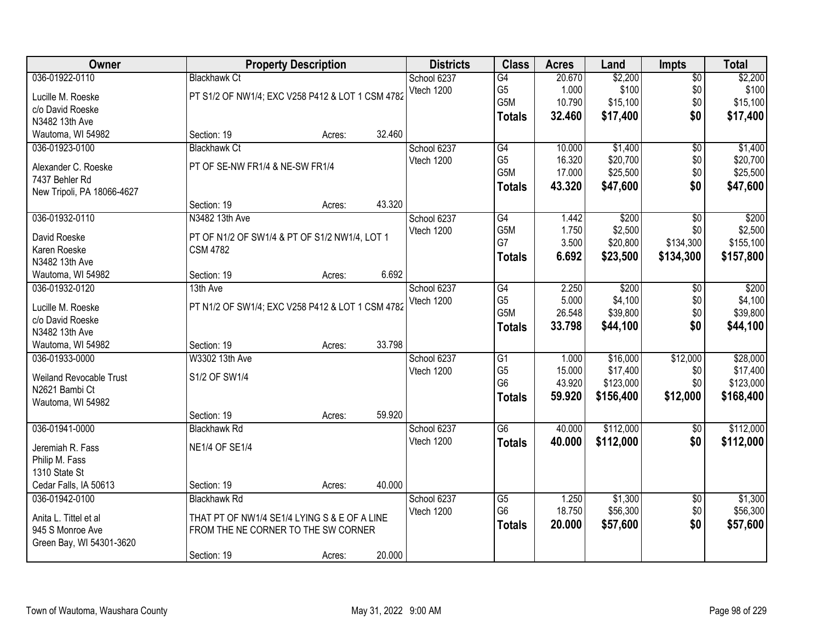| Owner                           |                                                  | <b>Property Description</b> |        | <b>Districts</b> | <b>Class</b>    | <b>Acres</b> | Land      | <b>Impts</b>    | <b>Total</b> |
|---------------------------------|--------------------------------------------------|-----------------------------|--------|------------------|-----------------|--------------|-----------|-----------------|--------------|
| 036-01922-0110                  | <b>Blackhawk Ct</b>                              |                             |        | School 6237      | G4              | 20.670       | \$2,200   | $\overline{50}$ | \$2,200      |
| Lucille M. Roeske               | PT S1/2 OF NW1/4; EXC V258 P412 & LOT 1 CSM 4782 |                             |        | Vtech 1200       | G <sub>5</sub>  | 1.000        | \$100     | \$0             | \$100        |
| c/o David Roeske                |                                                  |                             |        |                  | G5M             | 10.790       | \$15,100  | \$0             | \$15,100     |
| N3482 13th Ave                  |                                                  |                             |        |                  | <b>Totals</b>   | 32.460       | \$17,400  | \$0             | \$17,400     |
| Wautoma, WI 54982               | Section: 19                                      | Acres:                      | 32.460 |                  |                 |              |           |                 |              |
| 036-01923-0100                  | <b>Blackhawk Ct</b>                              |                             |        | School 6237      | G4              | 10.000       | \$1,400   | $\overline{50}$ | \$1,400      |
| Alexander C. Roeske             | PT OF SE-NW FR1/4 & NE-SW FR1/4                  |                             |        | Vtech 1200       | G <sub>5</sub>  | 16.320       | \$20,700  | \$0             | \$20,700     |
| 7437 Behler Rd                  |                                                  |                             |        |                  | G5M             | 17.000       | \$25,500  | \$0             | \$25,500     |
| New Tripoli, PA 18066-4627      |                                                  |                             |        |                  | <b>Totals</b>   | 43.320       | \$47,600  | \$0             | \$47,600     |
|                                 | Section: 19                                      | Acres:                      | 43.320 |                  |                 |              |           |                 |              |
| 036-01932-0110                  | N3482 13th Ave                                   |                             |        | School 6237      | $\overline{G4}$ | 1.442        | \$200     | $\overline{50}$ | \$200        |
|                                 |                                                  |                             |        | Vtech 1200       | G5M             | 1.750        | \$2,500   | \$0             | \$2,500      |
| David Roeske                    | PT OF N1/2 OF SW1/4 & PT OF S1/2 NW1/4, LOT 1    |                             |        |                  | G7              | 3.500        | \$20,800  | \$134,300       | \$155,100    |
| Karen Roeske                    | <b>CSM 4782</b>                                  |                             |        |                  | <b>Totals</b>   | 6.692        | \$23,500  | \$134,300       | \$157,800    |
| N3482 13th Ave                  |                                                  |                             |        |                  |                 |              |           |                 |              |
| Wautoma, WI 54982               | Section: 19                                      | Acres:                      | 6.692  |                  |                 |              |           |                 |              |
| 036-01932-0120                  | 13th Ave                                         |                             |        | School 6237      | G4              | 2.250        | \$200     | \$0             | \$200        |
| Lucille M. Roeske               | PT N1/2 OF SW1/4; EXC V258 P412 & LOT 1 CSM 4782 |                             |        | Vtech 1200       | G <sub>5</sub>  | 5.000        | \$4,100   | \$0             | \$4,100      |
| c/o David Roeske                |                                                  |                             |        |                  | G5M             | 26.548       | \$39,800  | \$0             | \$39,800     |
| N3482 13th Ave                  |                                                  |                             |        |                  | <b>Totals</b>   | 33.798       | \$44,100  | \$0             | \$44,100     |
| Wautoma, WI 54982               | Section: 19                                      | Acres:                      | 33.798 |                  |                 |              |           |                 |              |
| 036-01933-0000                  | W3302 13th Ave                                   |                             |        | School 6237      | $\overline{G1}$ | 1.000        | \$16,000  | \$12,000        | \$28,000     |
| Weiland Revocable Trust         | S1/2 OF SW1/4                                    |                             |        | Vtech 1200       | G <sub>5</sub>  | 15.000       | \$17,400  | \$0             | \$17,400     |
| N2621 Bambi Ct                  |                                                  |                             |        |                  | G <sub>6</sub>  | 43.920       | \$123,000 | \$0             | \$123,000    |
| Wautoma, WI 54982               |                                                  |                             |        |                  | <b>Totals</b>   | 59.920       | \$156,400 | \$12,000        | \$168,400    |
|                                 | Section: 19                                      | Acres:                      | 59.920 |                  |                 |              |           |                 |              |
| 036-01941-0000                  | <b>Blackhawk Rd</b>                              |                             |        | School 6237      | $\overline{G6}$ | 40.000       | \$112,000 | \$0             | \$112,000    |
|                                 | <b>NE1/4 OF SE1/4</b>                            |                             |        | Vtech 1200       | <b>Totals</b>   | 40.000       | \$112,000 | \$0             | \$112,000    |
| Jeremiah R. Fass                |                                                  |                             |        |                  |                 |              |           |                 |              |
| Philip M. Fass<br>1310 State St |                                                  |                             |        |                  |                 |              |           |                 |              |
| Cedar Falls, IA 50613           | Section: 19                                      | Acres:                      | 40.000 |                  |                 |              |           |                 |              |
| 036-01942-0100                  | <b>Blackhawk Rd</b>                              |                             |        | School 6237      | $\overline{G5}$ | 1.250        | \$1,300   | \$0             | \$1,300      |
|                                 |                                                  |                             |        | Vtech 1200       | G <sub>6</sub>  | 18.750       | \$56,300  | \$0             | \$56,300     |
| Anita L. Tittel et al           | THAT PT OF NW1/4 SE1/4 LYING S & E OF A LINE     |                             |        |                  | <b>Totals</b>   | 20.000       | \$57,600  | \$0             | \$57,600     |
| 945 S Monroe Ave                | FROM THE NE CORNER TO THE SW CORNER              |                             |        |                  |                 |              |           |                 |              |
| Green Bay, WI 54301-3620        |                                                  |                             |        |                  |                 |              |           |                 |              |
|                                 | Section: 19                                      | Acres:                      | 20.000 |                  |                 |              |           |                 |              |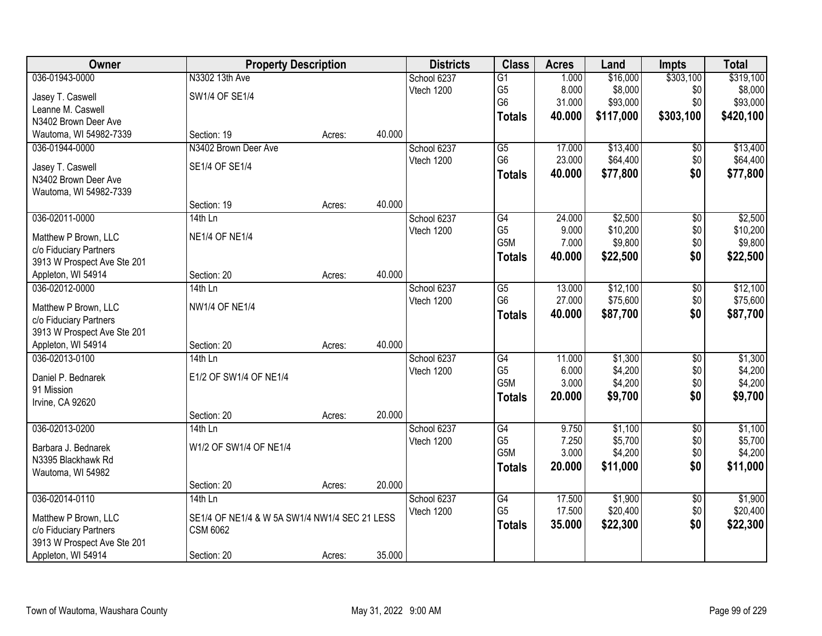| Owner                          | <b>Property Description</b>                   |        |        | <b>Districts</b> | <b>Class</b>    | <b>Acres</b> | Land      | <b>Impts</b>    | <b>Total</b> |
|--------------------------------|-----------------------------------------------|--------|--------|------------------|-----------------|--------------|-----------|-----------------|--------------|
| 036-01943-0000                 | N3302 13th Ave                                |        |        | School 6237      | $\overline{G1}$ | 1.000        | \$16,000  | \$303,100       | \$319,100    |
| Jasey T. Caswell               | SW1/4 OF SE1/4                                |        |        | Vtech 1200       | G <sub>5</sub>  | 8.000        | \$8,000   | \$0             | \$8,000      |
| Leanne M. Caswell              |                                               |        |        |                  | G <sub>6</sub>  | 31.000       | \$93,000  | \$0             | \$93,000     |
| N3402 Brown Deer Ave           |                                               |        |        |                  | <b>Totals</b>   | 40.000       | \$117,000 | \$303,100       | \$420,100    |
| Wautoma, WI 54982-7339         | Section: 19                                   | Acres: | 40.000 |                  |                 |              |           |                 |              |
| 036-01944-0000                 | N3402 Brown Deer Ave                          |        |        | School 6237      | $\overline{G5}$ | 17.000       | \$13,400  | \$0             | \$13,400     |
|                                |                                               |        |        | Vtech 1200       | G <sub>6</sub>  | 23.000       | \$64,400  | \$0             | \$64,400     |
| Jasey T. Caswell               | SE1/4 OF SE1/4                                |        |        |                  | <b>Totals</b>   | 40.000       | \$77,800  | \$0             | \$77,800     |
| N3402 Brown Deer Ave           |                                               |        |        |                  |                 |              |           |                 |              |
| Wautoma, WI 54982-7339         | Section: 19                                   | Acres: | 40.000 |                  |                 |              |           |                 |              |
| 036-02011-0000                 | $14th$ Ln                                     |        |        | School 6237      | G4              | 24.000       | \$2,500   | \$0             | \$2,500      |
|                                |                                               |        |        | Vtech 1200       | G <sub>5</sub>  | 9.000        | \$10,200  | \$0             | \$10,200     |
| Matthew P Brown, LLC           | <b>NE1/4 OF NE1/4</b>                         |        |        |                  | G5M             | 7.000        | \$9,800   | \$0             | \$9,800      |
| c/o Fiduciary Partners         |                                               |        |        |                  | <b>Totals</b>   | 40.000       | \$22,500  | \$0             | \$22,500     |
| 3913 W Prospect Ave Ste 201    |                                               |        |        |                  |                 |              |           |                 |              |
| Appleton, WI 54914             | Section: 20                                   | Acres: | 40.000 |                  |                 |              |           |                 |              |
| 036-02012-0000                 | $14th$ Ln                                     |        |        | School 6237      | G5              | 13.000       | \$12,100  | $\sqrt[6]{3}$   | \$12,100     |
| Matthew P Brown, LLC           | <b>NW1/4 OF NE1/4</b>                         |        |        | Vtech 1200       | G <sub>6</sub>  | 27.000       | \$75,600  | \$0             | \$75,600     |
| c/o Fiduciary Partners         |                                               |        |        |                  | <b>Totals</b>   | 40.000       | \$87,700  | \$0             | \$87,700     |
| 3913 W Prospect Ave Ste 201    |                                               |        |        |                  |                 |              |           |                 |              |
| Appleton, WI 54914             | Section: 20                                   | Acres: | 40.000 |                  |                 |              |           |                 |              |
| 036-02013-0100                 | 14th Ln                                       |        |        | School 6237      | $\overline{G4}$ | 11.000       | \$1,300   | $\overline{50}$ | \$1,300      |
|                                |                                               |        |        | Vtech 1200       | G <sub>5</sub>  | 6.000        | \$4,200   | \$0             | \$4,200      |
| Daniel P. Bednarek             | E1/2 OF SW1/4 OF NE1/4                        |        |        |                  | G5M             | 3.000        | \$4,200   | \$0             | \$4,200      |
| 91 Mission<br>Irvine, CA 92620 |                                               |        |        |                  | <b>Totals</b>   | 20.000       | \$9,700   | \$0             | \$9,700      |
|                                | Section: 20                                   | Acres: | 20.000 |                  |                 |              |           |                 |              |
| 036-02013-0200                 | 14th Ln                                       |        |        | School 6237      | G4              | 9.750        | \$1,100   | $\sqrt{6}$      | \$1,100      |
|                                |                                               |        |        | Vtech 1200       | G <sub>5</sub>  | 7.250        | \$5,700   | \$0             | \$5,700      |
| Barbara J. Bednarek            | W1/2 OF SW1/4 OF NE1/4                        |        |        |                  | G5M             | 3.000        | \$4,200   | \$0             | \$4,200      |
| N3395 Blackhawk Rd             |                                               |        |        |                  | <b>Totals</b>   | 20.000       | \$11,000  | \$0             | \$11,000     |
| Wautoma, WI 54982              |                                               |        |        |                  |                 |              |           |                 |              |
|                                | Section: 20                                   | Acres: | 20.000 |                  |                 |              |           |                 |              |
| 036-02014-0110                 | $14th$ Ln                                     |        |        | School 6237      | G4              | 17.500       | \$1,900   | $\overline{60}$ | \$1,900      |
| Matthew P Brown, LLC           | SE1/4 OF NE1/4 & W 5A SW1/4 NW1/4 SEC 21 LESS |        |        | Vtech 1200       | G <sub>5</sub>  | 17.500       | \$20,400  | \$0             | \$20,400     |
| c/o Fiduciary Partners         | <b>CSM 6062</b>                               |        |        |                  | <b>Totals</b>   | 35.000       | \$22,300  | \$0             | \$22,300     |
| 3913 W Prospect Ave Ste 201    |                                               |        |        |                  |                 |              |           |                 |              |
| Appleton, WI 54914             | Section: 20                                   | Acres: | 35.000 |                  |                 |              |           |                 |              |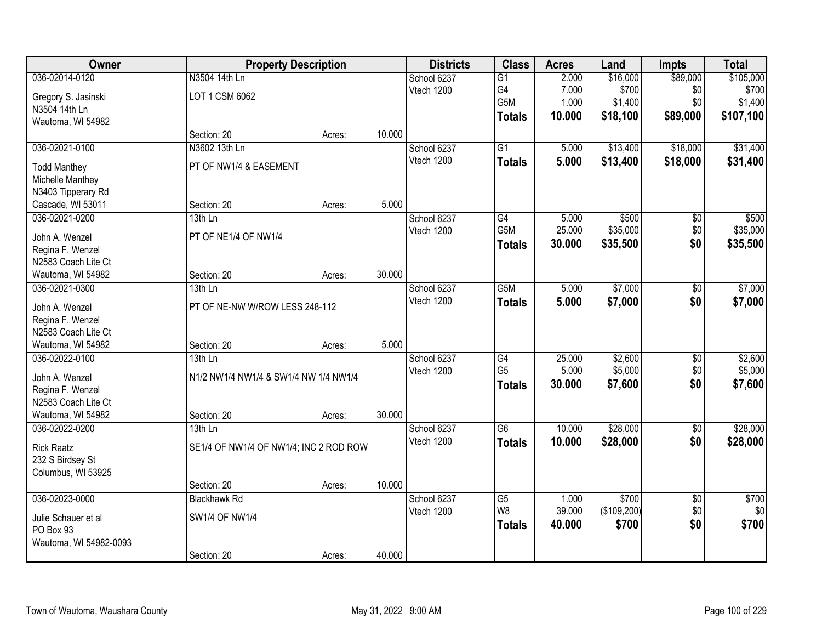| Owner                  |                                        | <b>Property Description</b> |        | <b>Districts</b> | <b>Class</b>     | <b>Acres</b> | Land        | <b>Impts</b>    | <b>Total</b> |
|------------------------|----------------------------------------|-----------------------------|--------|------------------|------------------|--------------|-------------|-----------------|--------------|
| 036-02014-0120         | N3504 14th Ln                          |                             |        | School 6237      | G1               | 2.000        | \$16,000    | \$89,000        | \$105,000    |
| Gregory S. Jasinski    | LOT 1 CSM 6062                         |                             |        | Vtech 1200       | G4               | 7.000        | \$700       | \$0             | \$700        |
| N3504 14th Ln          |                                        |                             |        |                  | G5M              | 1.000        | \$1,400     | \$0             | \$1,400      |
| Wautoma, WI 54982      |                                        |                             |        |                  | <b>Totals</b>    | 10.000       | \$18,100    | \$89,000        | \$107,100    |
|                        | Section: 20                            | Acres:                      | 10.000 |                  |                  |              |             |                 |              |
| 036-02021-0100         | N3602 13th Ln                          |                             |        | School 6237      | $\overline{G1}$  | 5.000        | \$13,400    | \$18,000        | \$31,400     |
| <b>Todd Manthey</b>    | PT OF NW1/4 & EASEMENT                 |                             |        | Vtech 1200       | <b>Totals</b>    | 5.000        | \$13,400    | \$18,000        | \$31,400     |
| Michelle Manthey       |                                        |                             |        |                  |                  |              |             |                 |              |
| N3403 Tipperary Rd     |                                        |                             |        |                  |                  |              |             |                 |              |
| Cascade, WI 53011      | Section: 20                            | Acres:                      | 5.000  |                  |                  |              |             |                 |              |
| 036-02021-0200         | 13th Ln                                |                             |        | School 6237      | G4               | 5.000        | \$500       | \$0             | \$500        |
| John A. Wenzel         | PT OF NE1/4 OF NW1/4                   |                             |        | Vtech 1200       | G5M              | 25.000       | \$35,000    | \$0             | \$35,000     |
| Regina F. Wenzel       |                                        |                             |        |                  | <b>Totals</b>    | 30.000       | \$35,500    | \$0             | \$35,500     |
| N2583 Coach Lite Ct    |                                        |                             |        |                  |                  |              |             |                 |              |
| Wautoma, WI 54982      | Section: 20                            | Acres:                      | 30.000 |                  |                  |              |             |                 |              |
| 036-02021-0300         | 13th Ln                                |                             |        | School 6237      | G <sub>5</sub> M | 5.000        | \$7,000     | \$0             | \$7,000      |
|                        |                                        |                             |        | Vtech 1200       | <b>Totals</b>    | 5.000        | \$7,000     | \$0             | \$7,000      |
| John A. Wenzel         | PT OF NE-NW W/ROW LESS 248-112         |                             |        |                  |                  |              |             |                 |              |
| Regina F. Wenzel       |                                        |                             |        |                  |                  |              |             |                 |              |
| N2583 Coach Lite Ct    |                                        |                             |        |                  |                  |              |             |                 |              |
| Wautoma, WI 54982      | Section: 20                            | Acres:                      | 5.000  |                  |                  |              |             |                 |              |
| 036-02022-0100         | 13th Ln                                |                             |        | School 6237      | G4               | 25.000       | \$2,600     | $\overline{50}$ | \$2,600      |
| John A. Wenzel         | N1/2 NW1/4 NW1/4 & SW1/4 NW 1/4 NW1/4  |                             |        | Vtech 1200       | G <sub>5</sub>   | 5.000        | \$5,000     | \$0             | \$5,000      |
| Regina F. Wenzel       |                                        |                             |        |                  | <b>Totals</b>    | 30.000       | \$7,600     | \$0             | \$7,600      |
| N2583 Coach Lite Ct    |                                        |                             |        |                  |                  |              |             |                 |              |
| Wautoma, WI 54982      | Section: 20                            | Acres:                      | 30.000 |                  |                  |              |             |                 |              |
| 036-02022-0200         | $13th$ Ln                              |                             |        | School 6237      | G6               | 10.000       | \$28,000    | $\overline{50}$ | \$28,000     |
| <b>Rick Raatz</b>      | SE1/4 OF NW1/4 OF NW1/4; INC 2 ROD ROW |                             |        | Vtech 1200       | <b>Totals</b>    | 10.000       | \$28,000    | \$0             | \$28,000     |
| 232 S Birdsey St       |                                        |                             |        |                  |                  |              |             |                 |              |
| Columbus, WI 53925     |                                        |                             |        |                  |                  |              |             |                 |              |
|                        | Section: 20                            | Acres:                      | 10.000 |                  |                  |              |             |                 |              |
| 036-02023-0000         | <b>Blackhawk Rd</b>                    |                             |        | School 6237      | G5               | 1.000        | \$700       | $\overline{50}$ | \$700        |
| Julie Schauer et al    | SW1/4 OF NW1/4                         |                             |        | Vtech 1200       | W <sub>8</sub>   | 39.000       | (\$109,200) | \$0             | \$0          |
| PO Box 93              |                                        |                             |        |                  | <b>Totals</b>    | 40.000       | \$700       | \$0             | \$700        |
| Wautoma, WI 54982-0093 |                                        |                             |        |                  |                  |              |             |                 |              |
|                        | Section: 20                            | Acres:                      | 40.000 |                  |                  |              |             |                 |              |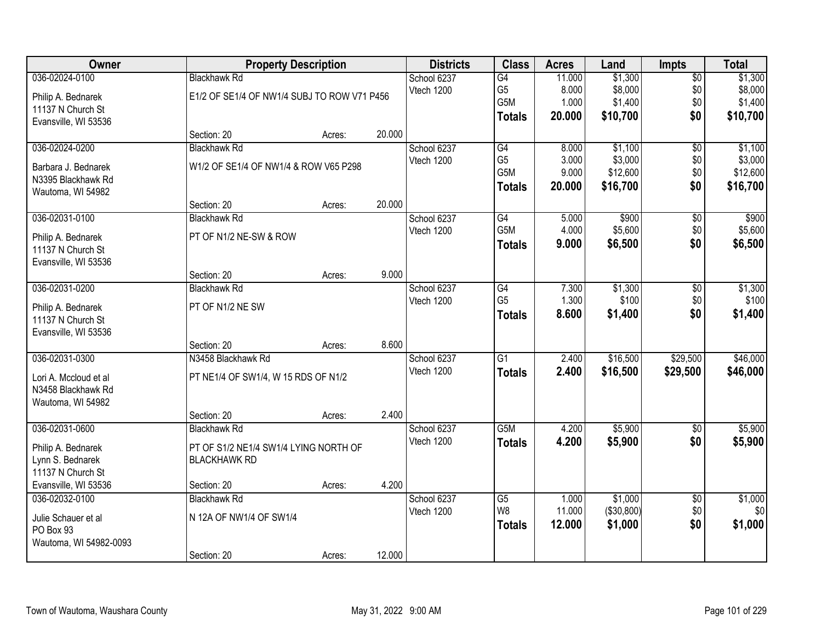| Owner                  |                                             | <b>Property Description</b> |        | <b>Districts</b> | <b>Class</b>    | <b>Acres</b> | Land       | <b>Impts</b>    | <b>Total</b> |
|------------------------|---------------------------------------------|-----------------------------|--------|------------------|-----------------|--------------|------------|-----------------|--------------|
| 036-02024-0100         | <b>Blackhawk Rd</b>                         |                             |        | School 6237      | G4              | 11.000       | \$1,300    | $\overline{50}$ | \$1,300      |
| Philip A. Bednarek     | E1/2 OF SE1/4 OF NW1/4 SUBJ TO ROW V71 P456 |                             |        | Vtech 1200       | G <sub>5</sub>  | 8.000        | \$8,000    | \$0             | \$8,000      |
| 11137 N Church St      |                                             |                             |        |                  | G5M             | 1.000        | \$1,400    | \$0             | \$1,400      |
| Evansville, WI 53536   |                                             |                             |        |                  | <b>Totals</b>   | 20.000       | \$10,700   | \$0             | \$10,700     |
|                        | Section: 20                                 | Acres:                      | 20.000 |                  |                 |              |            |                 |              |
| 036-02024-0200         | <b>Blackhawk Rd</b>                         |                             |        | School 6237      | G4              | 8.000        | \$1,100    | $\overline{50}$ | \$1,100      |
| Barbara J. Bednarek    | W1/2 OF SE1/4 OF NW1/4 & ROW V65 P298       |                             |        | Vtech 1200       | G <sub>5</sub>  | 3.000        | \$3,000    | \$0             | \$3,000      |
| N3395 Blackhawk Rd     |                                             |                             |        |                  | G5M             | 9.000        | \$12,600   | \$0             | \$12,600     |
| Wautoma, WI 54982      |                                             |                             |        |                  | <b>Totals</b>   | 20.000       | \$16,700   | \$0             | \$16,700     |
|                        | Section: 20                                 | Acres:                      | 20.000 |                  |                 |              |            |                 |              |
| 036-02031-0100         | <b>Blackhawk Rd</b>                         |                             |        | School 6237      | G4              | 5.000        | \$900      | \$0             | \$900        |
| Philip A. Bednarek     | PT OF N1/2 NE-SW & ROW                      |                             |        | Vtech 1200       | G5M             | 4.000        | \$5,600    | \$0             | \$5,600      |
| 11137 N Church St      |                                             |                             |        |                  | <b>Totals</b>   | 9.000        | \$6,500    | \$0             | \$6,500      |
| Evansville, WI 53536   |                                             |                             |        |                  |                 |              |            |                 |              |
|                        | Section: 20                                 | Acres:                      | 9.000  |                  |                 |              |            |                 |              |
| 036-02031-0200         | <b>Blackhawk Rd</b>                         |                             |        | School 6237      | G4              | 7.300        | \$1,300    | \$0             | \$1,300      |
| Philip A. Bednarek     | PT OF N1/2 NE SW                            |                             |        | Vtech 1200       | G <sub>5</sub>  | 1.300        | \$100      | \$0             | \$100        |
| 11137 N Church St      |                                             |                             |        |                  | <b>Totals</b>   | 8.600        | \$1,400    | \$0             | \$1,400      |
| Evansville, WI 53536   |                                             |                             |        |                  |                 |              |            |                 |              |
|                        | Section: 20                                 | Acres:                      | 8.600  |                  |                 |              |            |                 |              |
| 036-02031-0300         | N3458 Blackhawk Rd                          |                             |        | School 6237      | $\overline{G1}$ | 2.400        | \$16,500   | \$29,500        | \$46,000     |
| Lori A. Mccloud et al  | PT NE1/4 OF SW1/4, W 15 RDS OF N1/2         |                             |        | Vtech 1200       | <b>Totals</b>   | 2.400        | \$16,500   | \$29,500        | \$46,000     |
| N3458 Blackhawk Rd     |                                             |                             |        |                  |                 |              |            |                 |              |
| Wautoma, WI 54982      |                                             |                             |        |                  |                 |              |            |                 |              |
|                        | Section: 20                                 | Acres:                      | 2.400  |                  |                 |              |            |                 |              |
| 036-02031-0600         | <b>Blackhawk Rd</b>                         |                             |        | School 6237      | G5M             | 4.200        | \$5,900    | $\sqrt{6}$      | \$5,900      |
| Philip A. Bednarek     | PT OF S1/2 NE1/4 SW1/4 LYING NORTH OF       |                             |        | Vtech 1200       | <b>Totals</b>   | 4.200        | \$5,900    | \$0             | \$5,900      |
| Lynn S. Bednarek       | <b>BLACKHAWK RD</b>                         |                             |        |                  |                 |              |            |                 |              |
| 11137 N Church St      |                                             |                             |        |                  |                 |              |            |                 |              |
| Evansville, WI 53536   | Section: 20                                 | Acres:                      | 4.200  |                  |                 |              |            |                 |              |
| 036-02032-0100         | <b>Blackhawk Rd</b>                         |                             |        | School 6237      | $\overline{G5}$ | 1.000        | \$1,000    | $\overline{50}$ | \$1,000      |
| Julie Schauer et al    | N 12A OF NW1/4 OF SW1/4                     |                             |        | Vtech 1200       | W8              | 11.000       | (\$30,800) | \$0             | \$0          |
| PO Box 93              |                                             |                             |        |                  | <b>Totals</b>   | 12.000       | \$1,000    | \$0             | \$1,000      |
| Wautoma, WI 54982-0093 |                                             |                             |        |                  |                 |              |            |                 |              |
|                        | Section: 20                                 | Acres:                      | 12.000 |                  |                 |              |            |                 |              |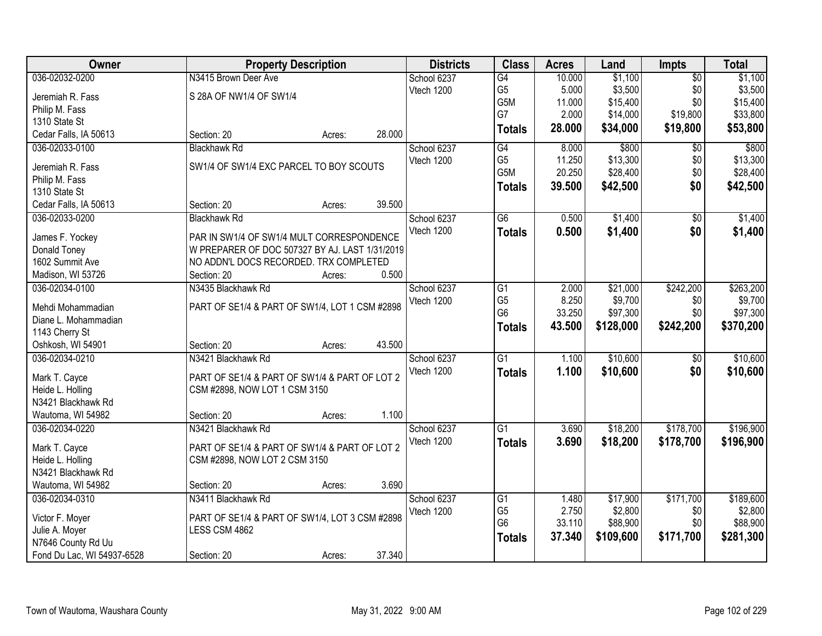| <b>Owner</b>               | <b>Property Description</b>                    |        |        | <b>Districts</b> | <b>Class</b>    | <b>Acres</b> | Land      | <b>Impts</b>    | <b>Total</b> |
|----------------------------|------------------------------------------------|--------|--------|------------------|-----------------|--------------|-----------|-----------------|--------------|
| 036-02032-0200             | N3415 Brown Deer Ave                           |        |        | School 6237      | G4              | 10.000       | \$1,100   | $\overline{50}$ | \$1,100      |
| Jeremiah R. Fass           | S 28A OF NW1/4 OF SW1/4                        |        |        | Vtech 1200       | G <sub>5</sub>  | 5.000        | \$3,500   | \$0             | \$3,500      |
| Philip M. Fass             |                                                |        |        |                  | G5M             | 11.000       | \$15,400  | \$0             | \$15,400     |
| 1310 State St              |                                                |        |        |                  | G7              | 2.000        | \$14,000  | \$19,800        | \$33,800     |
| Cedar Falls, IA 50613      | Section: 20                                    | Acres: | 28.000 |                  | <b>Totals</b>   | 28.000       | \$34,000  | \$19,800        | \$53,800     |
| 036-02033-0100             | <b>Blackhawk Rd</b>                            |        |        | School 6237      | G4              | 8.000        | \$800     | $\overline{50}$ | \$800        |
|                            |                                                |        |        | Vtech 1200       | G <sub>5</sub>  | 11.250       | \$13,300  | \$0             | \$13,300     |
| Jeremiah R. Fass           | SW1/4 OF SW1/4 EXC PARCEL TO BOY SCOUTS        |        |        |                  | G5M             | 20.250       | \$28,400  | \$0             | \$28,400     |
| Philip M. Fass             |                                                |        |        |                  | <b>Totals</b>   | 39.500       | \$42,500  | \$0             | \$42,500     |
| 1310 State St              |                                                |        |        |                  |                 |              |           |                 |              |
| Cedar Falls, IA 50613      | Section: 20                                    | Acres: | 39.500 |                  |                 |              |           |                 |              |
| 036-02033-0200             | <b>Blackhawk Rd</b>                            |        |        | School 6237      | $\overline{G6}$ | 0.500        | \$1,400   | $\overline{50}$ | \$1,400      |
| James F. Yockey            | PAR IN SW1/4 OF SW1/4 MULT CORRESPONDENCE      |        |        | Vtech 1200       | <b>Totals</b>   | 0.500        | \$1,400   | \$0             | \$1,400      |
| Donald Toney               | W PREPARER OF DOC 507327 BY AJ. LAST 1/31/2019 |        |        |                  |                 |              |           |                 |              |
| 1602 Summit Ave            | NO ADDN'L DOCS RECORDED. TRX COMPLETED         |        |        |                  |                 |              |           |                 |              |
| Madison, WI 53726          | Section: 20                                    | Acres: | 0.500  |                  |                 |              |           |                 |              |
| 036-02034-0100             | N3435 Blackhawk Rd                             |        |        | School 6237      | G1              | 2.000        | \$21,000  | \$242,200       | \$263,200    |
|                            |                                                |        |        | Vtech 1200       | G <sub>5</sub>  | 8.250        | \$9,700   | \$0             | \$9,700      |
| Mehdi Mohammadian          | PART OF SE1/4 & PART OF SW1/4, LOT 1 CSM #2898 |        |        |                  | G <sub>6</sub>  | 33.250       | \$97,300  | \$0             | \$97,300     |
| Diane L. Mohammadian       |                                                |        |        |                  | <b>Totals</b>   | 43.500       | \$128,000 | \$242,200       | \$370,200    |
| 1143 Cherry St             |                                                |        |        |                  |                 |              |           |                 |              |
| Oshkosh, WI 54901          | Section: 20                                    | Acres: | 43.500 |                  |                 |              |           |                 |              |
| 036-02034-0210             | N3421 Blackhawk Rd                             |        |        | School 6237      | $\overline{G1}$ | 1.100        | \$10,600  | \$0             | \$10,600     |
| Mark T. Cayce              | PART OF SE1/4 & PART OF SW1/4 & PART OF LOT 2  |        |        | Vtech 1200       | <b>Totals</b>   | 1.100        | \$10,600  | \$0             | \$10,600     |
| Heide L. Holling           | CSM #2898, NOW LOT 1 CSM 3150                  |        |        |                  |                 |              |           |                 |              |
| N3421 Blackhawk Rd         |                                                |        |        |                  |                 |              |           |                 |              |
| Wautoma, WI 54982          | Section: 20                                    | Acres: | 1.100  |                  |                 |              |           |                 |              |
| 036-02034-0220             | N3421 Blackhawk Rd                             |        |        | School 6237      | $\overline{G1}$ | 3.690        | \$18,200  | \$178,700       | \$196,900    |
|                            |                                                |        |        | Vtech 1200       | <b>Totals</b>   | 3.690        | \$18,200  | \$178,700       | \$196,900    |
| Mark T. Cayce              | PART OF SE1/4 & PART OF SW1/4 & PART OF LOT 2  |        |        |                  |                 |              |           |                 |              |
| Heide L. Holling           | CSM #2898, NOW LOT 2 CSM 3150                  |        |        |                  |                 |              |           |                 |              |
| N3421 Blackhawk Rd         |                                                |        |        |                  |                 |              |           |                 |              |
| Wautoma, WI 54982          | Section: 20                                    | Acres: | 3.690  |                  |                 |              |           |                 |              |
| 036-02034-0310             | N3411 Blackhawk Rd                             |        |        | School 6237      | G1              | 1.480        | \$17,900  | \$171,700       | \$189,600    |
| Victor F. Moyer            | PART OF SE1/4 & PART OF SW1/4, LOT 3 CSM #2898 |        |        | Vtech 1200       | G <sub>5</sub>  | 2.750        | \$2,800   | \$0             | \$2,800      |
| Julie A. Moyer             | LESS CSM 4862                                  |        |        |                  | G <sub>6</sub>  | 33.110       | \$88,900  | \$0             | \$88,900     |
| N7646 County Rd Uu         |                                                |        |        |                  | <b>Totals</b>   | 37.340       | \$109,600 | \$171,700       | \$281,300    |
| Fond Du Lac, WI 54937-6528 | Section: 20                                    | Acres: | 37.340 |                  |                 |              |           |                 |              |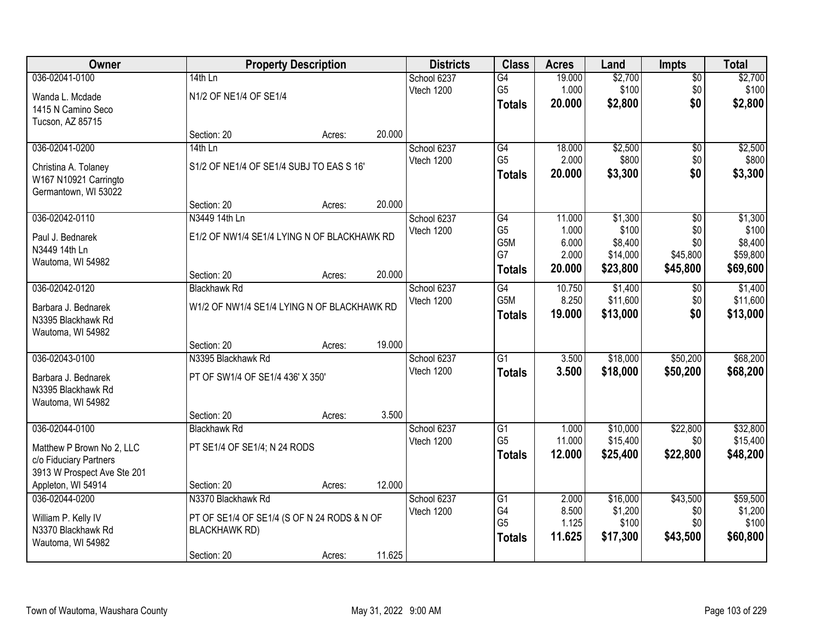| Owner                                |                                             | <b>Property Description</b> |        | <b>Districts</b>          | <b>Class</b>          | <b>Acres</b>    | Land                 | <b>Impts</b>         | <b>Total</b>         |
|--------------------------------------|---------------------------------------------|-----------------------------|--------|---------------------------|-----------------------|-----------------|----------------------|----------------------|----------------------|
| 036-02041-0100                       | $14th$ Ln                                   |                             |        | School 6237               | $\overline{G4}$       | 19.000          | \$2,700              | $\sqrt{$0}$          | \$2,700              |
| Wanda L. Mcdade                      | N1/2 OF NE1/4 OF SE1/4                      |                             |        | Vtech 1200                | G <sub>5</sub>        | 1.000           | \$100                | \$0                  | \$100                |
| 1415 N Camino Seco                   |                                             |                             |        |                           | <b>Totals</b>         | 20.000          | \$2,800              | \$0                  | \$2,800              |
| Tucson, AZ 85715                     |                                             |                             |        |                           |                       |                 |                      |                      |                      |
|                                      | Section: 20                                 | Acres:                      | 20.000 |                           |                       |                 |                      |                      |                      |
| 036-02041-0200                       | $14th$ Ln                                   |                             |        | School 6237               | G4                    | 18.000          | \$2,500              | \$0                  | \$2,500              |
| Christina A. Tolaney                 | S1/2 OF NE1/4 OF SE1/4 SUBJ TO EAS S 16'    |                             |        | Vtech 1200                | G <sub>5</sub>        | 2.000           | \$800                | \$0                  | \$800                |
| W167 N10921 Carringto                |                                             |                             |        |                           | <b>Totals</b>         | 20.000          | \$3,300              | \$0                  | \$3,300              |
| Germantown, WI 53022                 |                                             |                             |        |                           |                       |                 |                      |                      |                      |
|                                      | Section: 20                                 | Acres:                      | 20.000 |                           |                       |                 |                      |                      |                      |
| 036-02042-0110                       | N3449 14th Ln                               |                             |        | School 6237               | $\overline{G4}$       | 11.000          | \$1,300              | \$0                  | \$1,300              |
| Paul J. Bednarek                     | E1/2 OF NW1/4 SE1/4 LYING N OF BLACKHAWK RD |                             |        | Vtech 1200                | G <sub>5</sub><br>G5M | 1.000<br>6.000  | \$100<br>\$8,400     | \$0<br>\$0           | \$100<br>\$8,400     |
| N3449 14th Ln                        |                                             |                             |        |                           | G7                    | 2.000           | \$14,000             | \$45,800             | \$59,800             |
| Wautoma, WI 54982                    |                                             |                             |        |                           | <b>Totals</b>         | 20.000          | \$23,800             | \$45,800             | \$69,600             |
|                                      | Section: 20                                 | Acres:                      | 20.000 |                           |                       |                 |                      |                      |                      |
| 036-02042-0120                       | <b>Blackhawk Rd</b>                         |                             |        | School 6237<br>Vtech 1200 | G4<br>G5M             | 10.750<br>8.250 | \$1,400<br>\$11,600  | $\sqrt[6]{3}$<br>\$0 | \$1,400<br>\$11,600  |
| Barbara J. Bednarek                  | W1/2 OF NW1/4 SE1/4 LYING N OF BLACKHAWK RD |                             |        |                           |                       | 19.000          | \$13,000             | \$0                  | \$13,000             |
| N3395 Blackhawk Rd                   |                                             |                             |        |                           | <b>Totals</b>         |                 |                      |                      |                      |
| Wautoma, WI 54982                    |                                             |                             |        |                           |                       |                 |                      |                      |                      |
|                                      | Section: 20                                 | Acres:                      | 19.000 |                           |                       |                 |                      |                      |                      |
| 036-02043-0100                       | N3395 Blackhawk Rd                          |                             |        | School 6237<br>Vtech 1200 | $\overline{G1}$       | 3.500           | \$18,000             | \$50,200             | \$68,200             |
| Barbara J. Bednarek                  | PT OF SW1/4 OF SE1/4 436' X 350'            |                             |        |                           | <b>Totals</b>         | 3.500           | \$18,000             | \$50,200             | \$68,200             |
| N3395 Blackhawk Rd                   |                                             |                             |        |                           |                       |                 |                      |                      |                      |
| Wautoma, WI 54982                    |                                             |                             |        |                           |                       |                 |                      |                      |                      |
| 036-02044-0100                       | Section: 20                                 | Acres:                      | 3.500  |                           |                       |                 |                      |                      |                      |
|                                      | <b>Blackhawk Rd</b>                         |                             |        | School 6237<br>Vtech 1200 | G1<br>G <sub>5</sub>  | 1.000<br>11.000 | \$10,000<br>\$15,400 | \$22,800<br>\$0      | \$32,800<br>\$15,400 |
| Matthew P Brown No 2, LLC            | PT SE1/4 OF SE1/4; N 24 RODS                |                             |        |                           | <b>Totals</b>         | 12.000          | \$25,400             | \$22,800             | \$48,200             |
| c/o Fiduciary Partners               |                                             |                             |        |                           |                       |                 |                      |                      |                      |
| 3913 W Prospect Ave Ste 201          |                                             |                             |        |                           |                       |                 |                      |                      |                      |
| Appleton, WI 54914<br>036-02044-0200 | Section: 20<br>N3370 Blackhawk Rd           | Acres:                      | 12.000 | School 6237               | G1                    | 2.000           | \$16,000             | \$43,500             | \$59,500             |
|                                      |                                             |                             |        | Vtech 1200                | G4                    | 8.500           | \$1,200              | \$0                  | \$1,200              |
| William P. Kelly IV                  | PT OF SE1/4 OF SE1/4 (S OF N 24 RODS & N OF |                             |        |                           | G <sub>5</sub>        | 1.125           | \$100                | \$0                  | \$100                |
| N3370 Blackhawk Rd                   | <b>BLACKHAWK RD)</b>                        |                             |        |                           | <b>Totals</b>         | 11.625          | \$17,300             | \$43,500             | \$60,800             |
| Wautoma, WI 54982                    |                                             |                             | 11.625 |                           |                       |                 |                      |                      |                      |
|                                      | Section: 20                                 | Acres:                      |        |                           |                       |                 |                      |                      |                      |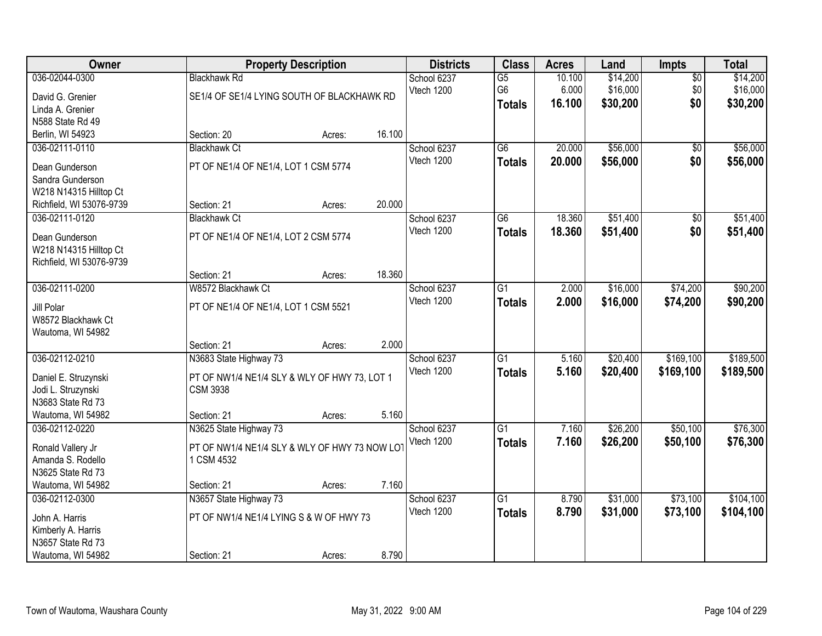| Owner                                                                                                  |                                                                                                          | <b>Property Description</b> |        | <b>Districts</b>          | <b>Class</b>                           | <b>Acres</b>              | Land                             | Impts                         | <b>Total</b>                     |
|--------------------------------------------------------------------------------------------------------|----------------------------------------------------------------------------------------------------------|-----------------------------|--------|---------------------------|----------------------------------------|---------------------------|----------------------------------|-------------------------------|----------------------------------|
| 036-02044-0300<br>David G. Grenier<br>Linda A. Grenier                                                 | <b>Blackhawk Rd</b><br>SE1/4 OF SE1/4 LYING SOUTH OF BLACKHAWK RD                                        |                             |        | School 6237<br>Vtech 1200 | $\overline{G5}$<br>G6<br><b>Totals</b> | 10.100<br>6.000<br>16.100 | \$14,200<br>\$16,000<br>\$30,200 | $\overline{50}$<br>\$0<br>\$0 | \$14,200<br>\$16,000<br>\$30,200 |
| N588 State Rd 49                                                                                       |                                                                                                          |                             |        |                           |                                        |                           |                                  |                               |                                  |
| Berlin, WI 54923<br>036-02111-0110                                                                     | Section: 20<br><b>Blackhawk Ct</b>                                                                       | Acres:                      | 16.100 | School 6237               | $\overline{G6}$                        | 20.000                    | \$56,000                         | $\overline{50}$               | \$56,000                         |
| Dean Gunderson<br>Sandra Gunderson<br>W218 N14315 Hilltop Ct                                           | PT OF NE1/4 OF NE1/4, LOT 1 CSM 5774                                                                     |                             |        | Vtech 1200                | <b>Totals</b>                          | 20.000                    | \$56,000                         | \$0                           | \$56,000                         |
| Richfield, WI 53076-9739                                                                               | Section: 21                                                                                              | Acres:                      | 20.000 |                           |                                        |                           |                                  |                               |                                  |
| 036-02111-0120<br>Dean Gunderson<br>W218 N14315 Hilltop Ct<br>Richfield, WI 53076-9739                 | <b>Blackhawk Ct</b><br>PT OF NE1/4 OF NE1/4, LOT 2 CSM 5774                                              |                             |        | School 6237<br>Vtech 1200 | G6<br><b>Totals</b>                    | 18.360<br>18.360          | \$51,400<br>\$51,400             | \$0<br>\$0                    | \$51,400<br>\$51,400             |
|                                                                                                        | Section: 21                                                                                              | Acres:                      | 18.360 |                           |                                        |                           |                                  |                               |                                  |
| 036-02111-0200<br>Jill Polar<br>W8572 Blackhawk Ct<br>Wautoma, WI 54982                                | W8572 Blackhawk Ct<br>PT OF NE1/4 OF NE1/4, LOT 1 CSM 5521                                               |                             |        | School 6237<br>Vtech 1200 | G1<br><b>Totals</b>                    | 2.000<br>2.000            | \$16,000<br>\$16,000             | \$74,200<br>\$74,200          | \$90,200<br>\$90,200             |
|                                                                                                        | Section: 21                                                                                              | Acres:                      | 2.000  |                           |                                        |                           |                                  |                               |                                  |
| 036-02112-0210<br>Daniel E. Struzynski<br>Jodi L. Struzynski<br>N3683 State Rd 73<br>Wautoma, WI 54982 | N3683 State Highway 73<br>PT OF NW1/4 NE1/4 SLY & WLY OF HWY 73, LOT 1<br><b>CSM 3938</b><br>Section: 21 | Acres:                      | 5.160  | School 6237<br>Vtech 1200 | $\overline{G1}$<br><b>Totals</b>       | 5.160<br>5.160            | \$20,400<br>\$20,400             | \$169,100<br>\$169,100        | \$189,500<br>\$189,500           |
| 036-02112-0220                                                                                         | N3625 State Highway 73                                                                                   |                             |        | School 6237               | $\overline{G1}$                        | 7.160                     | \$26,200                         | \$50,100                      | \$76,300                         |
| Ronald Vallery Jr<br>Amanda S. Rodello<br>N3625 State Rd 73<br>Wautoma, WI 54982                       | PT OF NW1/4 NE1/4 SLY & WLY OF HWY 73 NOW LOT<br>1 CSM 4532<br>Section: 21                               | Acres:                      | 7.160  | Vtech 1200                | <b>Totals</b>                          | 7.160                     | \$26,200                         | \$50,100                      | \$76,300                         |
| 036-02112-0300                                                                                         | N3657 State Highway 73                                                                                   |                             |        | School 6237               | $\overline{G1}$                        | 8.790                     | \$31,000                         | \$73,100                      | \$104,100                        |
| John A. Harris<br>Kimberly A. Harris<br>N3657 State Rd 73<br>Wautoma, WI 54982                         | PT OF NW1/4 NE1/4 LYING S & W OF HWY 73<br>Section: 21                                                   | Acres:                      | 8.790  | Vtech 1200                | <b>Totals</b>                          | 8.790                     | \$31,000                         | \$73,100                      | \$104,100                        |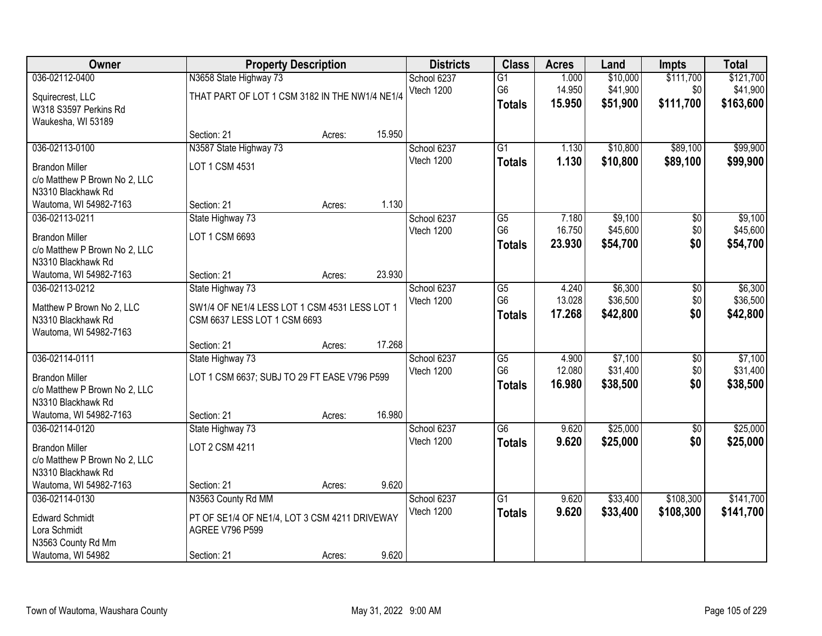| Owner                                                                                                                    | <b>Property Description</b>                                                                                  |        |        | <b>Districts</b>          | <b>Class</b>                                       | <b>Acres</b>              | Land                             | <b>Impts</b>                  | <b>Total</b>                       |
|--------------------------------------------------------------------------------------------------------------------------|--------------------------------------------------------------------------------------------------------------|--------|--------|---------------------------|----------------------------------------------------|---------------------------|----------------------------------|-------------------------------|------------------------------------|
| 036-02112-0400<br>Squirecrest, LLC<br>W318 S3597 Perkins Rd<br>Waukesha, WI 53189                                        | N3658 State Highway 73<br>THAT PART OF LOT 1 CSM 3182 IN THE NW1/4 NE1/4                                     |        |        | School 6237<br>Vtech 1200 | $\overline{G1}$<br>G6<br><b>Totals</b>             | 1.000<br>14.950<br>15.950 | \$10,000<br>\$41,900<br>\$51,900 | \$111,700<br>\$0<br>\$111,700 | \$121,700<br>\$41,900<br>\$163,600 |
|                                                                                                                          | Section: 21                                                                                                  | Acres: | 15.950 |                           |                                                    |                           |                                  |                               |                                    |
| 036-02113-0100<br><b>Brandon Miller</b><br>c/o Matthew P Brown No 2, LLC<br>N3310 Blackhawk Rd                           | N3587 State Highway 73<br>LOT 1 CSM 4531                                                                     |        |        | School 6237<br>Vtech 1200 | $\overline{G1}$<br><b>Totals</b>                   | 1.130<br>1.130            | \$10,800<br>\$10,800             | \$89,100<br>\$89,100          | \$99,900<br>\$99,900               |
| Wautoma, WI 54982-7163                                                                                                   | Section: 21                                                                                                  | Acres: | 1.130  |                           |                                                    |                           |                                  |                               |                                    |
| 036-02113-0211<br><b>Brandon Miller</b><br>c/o Matthew P Brown No 2, LLC<br>N3310 Blackhawk Rd                           | State Highway 73<br>LOT 1 CSM 6693                                                                           |        |        | School 6237<br>Vtech 1200 | $\overline{G5}$<br>G <sub>6</sub><br><b>Totals</b> | 7.180<br>16.750<br>23.930 | \$9,100<br>\$45,600<br>\$54,700  | $\overline{50}$<br>\$0<br>\$0 | \$9,100<br>\$45,600<br>\$54,700    |
| Wautoma, WI 54982-7163                                                                                                   | Section: 21                                                                                                  | Acres: | 23.930 |                           |                                                    |                           |                                  |                               |                                    |
| 036-02113-0212<br>Matthew P Brown No 2, LLC<br>N3310 Blackhawk Rd<br>Wautoma, WI 54982-7163                              | State Highway 73<br>SW1/4 OF NE1/4 LESS LOT 1 CSM 4531 LESS LOT 1<br>CSM 6637 LESS LOT 1 CSM 6693            |        |        | School 6237<br>Vtech 1200 | G5<br>G <sub>6</sub><br><b>Totals</b>              | 4.240<br>13.028<br>17.268 | \$6,300<br>\$36,500<br>\$42,800  | \$0<br>\$0<br>\$0             | \$6,300<br>\$36,500<br>\$42,800    |
|                                                                                                                          | Section: 21                                                                                                  | Acres: | 17.268 |                           |                                                    |                           |                                  |                               |                                    |
| 036-02114-0111<br><b>Brandon Miller</b><br>c/o Matthew P Brown No 2, LLC<br>N3310 Blackhawk Rd<br>Wautoma, WI 54982-7163 | State Highway 73<br>LOT 1 CSM 6637; SUBJ TO 29 FT EASE V796 P599<br>Section: 21                              | Acres: | 16.980 | School 6237<br>Vtech 1200 | $\overline{G5}$<br>G <sub>6</sub><br><b>Totals</b> | 4.900<br>12.080<br>16.980 | \$7,100<br>\$31,400<br>\$38,500  | $\overline{50}$<br>\$0<br>\$0 | \$7,100<br>\$31,400<br>\$38,500    |
| 036-02114-0120<br><b>Brandon Miller</b><br>c/o Matthew P Brown No 2, LLC<br>N3310 Blackhawk Rd                           | State Highway 73<br>LOT 2 CSM 4211                                                                           |        |        | School 6237<br>Vtech 1200 | $\overline{G6}$<br><b>Totals</b>                   | 9.620<br>9.620            | \$25,000<br>\$25,000             | $\sqrt{6}$<br>\$0             | \$25,000<br>\$25,000               |
| Wautoma, WI 54982-7163                                                                                                   | Section: 21                                                                                                  | Acres: | 9.620  |                           |                                                    |                           |                                  |                               |                                    |
| 036-02114-0130<br><b>Edward Schmidt</b><br>Lora Schmidt<br>N3563 County Rd Mm<br>Wautoma, WI 54982                       | N3563 County Rd MM<br>PT OF SE1/4 OF NE1/4, LOT 3 CSM 4211 DRIVEWAY<br><b>AGREE V796 P599</b><br>Section: 21 | Acres: | 9.620  | School 6237<br>Vtech 1200 | $\overline{G1}$<br><b>Totals</b>                   | 9.620<br>9.620            | \$33,400<br>\$33,400             | \$108,300<br>\$108,300        | \$141,700<br>\$141,700             |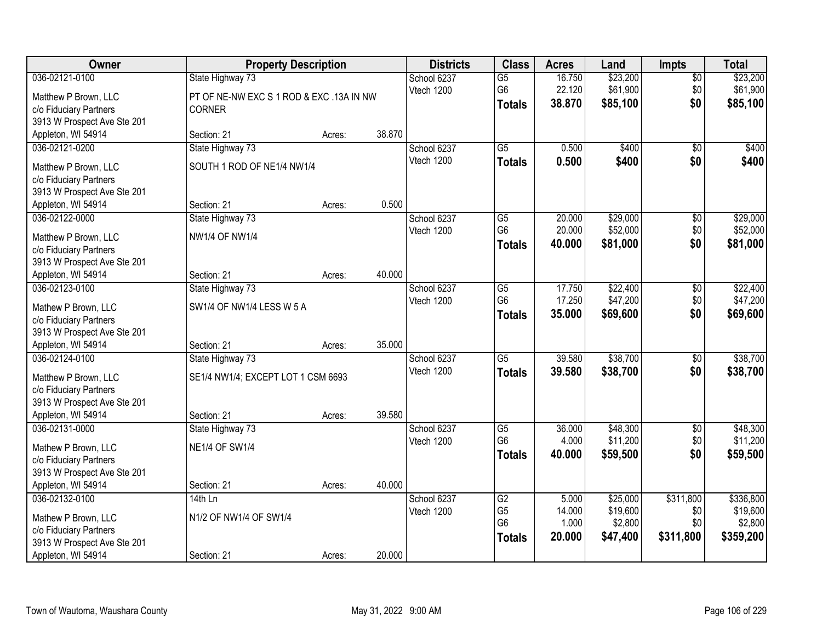| Owner                       | <b>Property Description</b>              |        |        | <b>Districts</b> | <b>Class</b>    | <b>Acres</b> | Land     | <b>Impts</b>    | <b>Total</b> |
|-----------------------------|------------------------------------------|--------|--------|------------------|-----------------|--------------|----------|-----------------|--------------|
| 036-02121-0100              | State Highway 73                         |        |        | School 6237      | $\overline{G5}$ | 16.750       | \$23,200 | $\overline{50}$ | \$23,200     |
| Matthew P Brown, LLC        | PT OF NE-NW EXC S 1 ROD & EXC .13A IN NW |        |        | Vtech 1200       | G <sub>6</sub>  | 22.120       | \$61,900 | \$0             | \$61,900     |
| c/o Fiduciary Partners      | <b>CORNER</b>                            |        |        |                  | <b>Totals</b>   | 38.870       | \$85,100 | \$0             | \$85,100     |
| 3913 W Prospect Ave Ste 201 |                                          |        |        |                  |                 |              |          |                 |              |
| Appleton, WI 54914          | Section: 21                              | Acres: | 38.870 |                  |                 |              |          |                 |              |
| 036-02121-0200              | State Highway 73                         |        |        | School 6237      | $\overline{G5}$ | 0.500        | \$400    | $\overline{50}$ | \$400        |
| Matthew P Brown, LLC        | SOUTH 1 ROD OF NE1/4 NW1/4               |        |        | Vtech 1200       | <b>Totals</b>   | 0.500        | \$400    | \$0             | \$400        |
| c/o Fiduciary Partners      |                                          |        |        |                  |                 |              |          |                 |              |
| 3913 W Prospect Ave Ste 201 |                                          |        |        |                  |                 |              |          |                 |              |
| Appleton, WI 54914          | Section: 21                              | Acres: | 0.500  |                  |                 |              |          |                 |              |
| 036-02122-0000              | State Highway 73                         |        |        | School 6237      | $\overline{G5}$ | 20.000       | \$29,000 | \$0             | \$29,000     |
| Matthew P Brown, LLC        | <b>NW1/4 OF NW1/4</b>                    |        |        | Vtech 1200       | G <sub>6</sub>  | 20.000       | \$52,000 | \$0             | \$52,000     |
| c/o Fiduciary Partners      |                                          |        |        |                  | <b>Totals</b>   | 40.000       | \$81,000 | \$0             | \$81,000     |
| 3913 W Prospect Ave Ste 201 |                                          |        |        |                  |                 |              |          |                 |              |
| Appleton, WI 54914          | Section: 21                              | Acres: | 40.000 |                  |                 |              |          |                 |              |
| 036-02123-0100              | State Highway 73                         |        |        | School 6237      | G <sub>5</sub>  | 17.750       | \$22,400 | $\sqrt[6]{3}$   | \$22,400     |
| Mathew P Brown, LLC         | SW1/4 OF NW1/4 LESS W 5 A                |        |        | Vtech 1200       | G <sub>6</sub>  | 17.250       | \$47,200 | \$0             | \$47,200     |
| c/o Fiduciary Partners      |                                          |        |        |                  | <b>Totals</b>   | 35.000       | \$69,600 | \$0             | \$69,600     |
| 3913 W Prospect Ave Ste 201 |                                          |        |        |                  |                 |              |          |                 |              |
| Appleton, WI 54914          | Section: 21                              | Acres: | 35.000 |                  |                 |              |          |                 |              |
| 036-02124-0100              | State Highway 73                         |        |        | School 6237      | $\overline{G5}$ | 39.580       | \$38,700 | $\overline{50}$ | \$38,700     |
| Matthew P Brown, LLC        | SE1/4 NW1/4; EXCEPT LOT 1 CSM 6693       |        |        | Vtech 1200       | <b>Totals</b>   | 39.580       | \$38,700 | \$0             | \$38,700     |
| c/o Fiduciary Partners      |                                          |        |        |                  |                 |              |          |                 |              |
| 3913 W Prospect Ave Ste 201 |                                          |        |        |                  |                 |              |          |                 |              |
| Appleton, WI 54914          | Section: 21                              | Acres: | 39.580 |                  |                 |              |          |                 |              |
| 036-02131-0000              | State Highway 73                         |        |        | School 6237      | $\overline{G5}$ | 36.000       | \$48,300 | $\sqrt{6}$      | \$48,300     |
| Mathew P Brown, LLC         | <b>NE1/4 OF SW1/4</b>                    |        |        | Vtech 1200       | G <sub>6</sub>  | 4.000        | \$11,200 | \$0             | \$11,200     |
| c/o Fiduciary Partners      |                                          |        |        |                  | <b>Totals</b>   | 40.000       | \$59,500 | \$0             | \$59,500     |
| 3913 W Prospect Ave Ste 201 |                                          |        |        |                  |                 |              |          |                 |              |
| Appleton, WI 54914          | Section: 21                              | Acres: | 40.000 |                  |                 |              |          |                 |              |
| 036-02132-0100              | $14th$ Ln                                |        |        | School 6237      | G2              | 5.000        | \$25,000 | \$311,800       | \$336,800    |
| Mathew P Brown, LLC         | N1/2 OF NW1/4 OF SW1/4                   |        |        | Vtech 1200       | G <sub>5</sub>  | 14.000       | \$19,600 | \$0             | \$19,600     |
| c/o Fiduciary Partners      |                                          |        |        |                  | G <sub>6</sub>  | 1.000        | \$2,800  | \$0             | \$2,800      |
| 3913 W Prospect Ave Ste 201 |                                          |        |        |                  | <b>Totals</b>   | 20.000       | \$47,400 | \$311,800       | \$359,200    |
| Appleton, WI 54914          | Section: 21                              | Acres: | 20.000 |                  |                 |              |          |                 |              |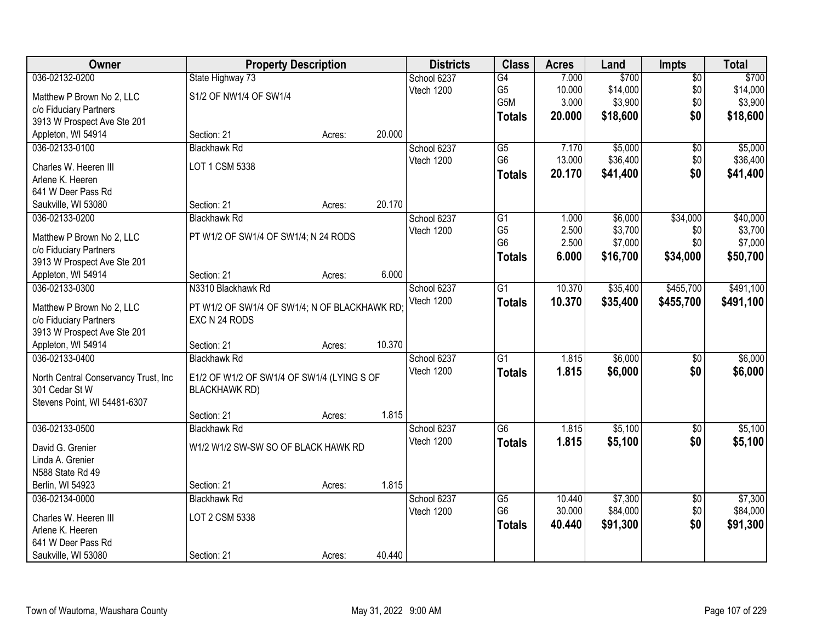| Owner                                | <b>Property Description</b>                                    |        |        | <b>Districts</b> | <b>Class</b>                     | <b>Acres</b>   | Land     | <b>Impts</b>    | <b>Total</b> |
|--------------------------------------|----------------------------------------------------------------|--------|--------|------------------|----------------------------------|----------------|----------|-----------------|--------------|
| 036-02132-0200                       | State Highway 73                                               |        |        | School 6237      | G4                               | 7.000          | \$700    | $\overline{50}$ | \$700        |
| Matthew P Brown No 2, LLC            | S1/2 OF NW1/4 OF SW1/4                                         |        |        | Vtech 1200       | G <sub>5</sub>                   | 10.000         | \$14,000 | \$0             | \$14,000     |
| c/o Fiduciary Partners               |                                                                |        |        |                  | G5M                              | 3.000          | \$3,900  | \$0             | \$3,900      |
| 3913 W Prospect Ave Ste 201          |                                                                |        |        |                  | <b>Totals</b>                    | 20.000         | \$18,600 | \$0             | \$18,600     |
| Appleton, WI 54914                   | Section: 21                                                    | Acres: | 20.000 |                  |                                  |                |          |                 |              |
| 036-02133-0100                       | <b>Blackhawk Rd</b>                                            |        |        | School 6237      | $\overline{G5}$                  | 7.170          | \$5,000  | $\overline{60}$ | \$5,000      |
|                                      |                                                                |        |        | Vtech 1200       | G <sub>6</sub>                   | 13.000         | \$36,400 | \$0             | \$36,400     |
| Charles W. Heeren III                | LOT 1 CSM 5338                                                 |        |        |                  | <b>Totals</b>                    | 20.170         | \$41,400 | \$0             | \$41,400     |
| Arlene K. Heeren                     |                                                                |        |        |                  |                                  |                |          |                 |              |
| 641 W Deer Pass Rd                   |                                                                |        |        |                  |                                  |                |          |                 |              |
| Saukville, WI 53080                  | Section: 21                                                    | Acres: | 20.170 |                  |                                  |                |          |                 |              |
| 036-02133-0200                       | <b>Blackhawk Rd</b>                                            |        |        | School 6237      | $\overline{G1}$                  | 1.000          | \$6,000  | \$34,000        | \$40,000     |
| Matthew P Brown No 2, LLC            | PT W1/2 OF SW1/4 OF SW1/4; N 24 RODS                           |        |        | Vtech 1200       | G <sub>5</sub><br>G <sub>6</sub> | 2.500<br>2.500 | \$3,700  | \$0<br>\$0      | \$3,700      |
| c/o Fiduciary Partners               |                                                                |        |        |                  |                                  |                | \$7,000  |                 | \$7,000      |
| 3913 W Prospect Ave Ste 201          |                                                                |        |        |                  | <b>Totals</b>                    | 6.000          | \$16,700 | \$34,000        | \$50,700     |
| Appleton, WI 54914                   | Section: 21                                                    | Acres: | 6.000  |                  |                                  |                |          |                 |              |
| 036-02133-0300                       | N3310 Blackhawk Rd                                             |        |        | School 6237      | G1                               | 10.370         | \$35,400 | \$455,700       | \$491,100    |
| Matthew P Brown No 2, LLC            |                                                                |        |        | Vtech 1200       | <b>Totals</b>                    | 10.370         | \$35,400 | \$455,700       | \$491,100    |
| c/o Fiduciary Partners               | PT W1/2 OF SW1/4 OF SW1/4; N OF BLACKHAWK RD;<br>EXC N 24 RODS |        |        |                  |                                  |                |          |                 |              |
| 3913 W Prospect Ave Ste 201          |                                                                |        |        |                  |                                  |                |          |                 |              |
| Appleton, WI 54914                   | Section: 21                                                    | Acres: | 10.370 |                  |                                  |                |          |                 |              |
| 036-02133-0400                       | <b>Blackhawk Rd</b>                                            |        |        | School 6237      | $\overline{G1}$                  | 1.815          | \$6,000  | $\overline{50}$ | \$6,000      |
|                                      |                                                                |        |        | Vtech 1200       | <b>Totals</b>                    | 1.815          | \$6,000  | \$0             | \$6,000      |
| North Central Conservancy Trust, Inc | E1/2 OF W1/2 OF SW1/4 OF SW1/4 (LYING S OF                     |        |        |                  |                                  |                |          |                 |              |
| 301 Cedar St W                       | <b>BLACKHAWK RD)</b>                                           |        |        |                  |                                  |                |          |                 |              |
| Stevens Point, WI 54481-6307         |                                                                |        |        |                  |                                  |                |          |                 |              |
|                                      | Section: 21                                                    | Acres: | 1.815  |                  |                                  |                |          |                 |              |
| 036-02133-0500                       | <b>Blackhawk Rd</b>                                            |        |        | School 6237      | $\overline{G6}$                  | 1.815          | \$5,100  | $\sqrt{6}$      | \$5,100      |
| David G. Grenier                     | W1/2 W1/2 SW-SW SO OF BLACK HAWK RD                            |        |        | Vtech 1200       | <b>Totals</b>                    | 1.815          | \$5,100  | \$0             | \$5,100      |
| Linda A. Grenier                     |                                                                |        |        |                  |                                  |                |          |                 |              |
| N588 State Rd 49                     |                                                                |        |        |                  |                                  |                |          |                 |              |
| Berlin, WI 54923                     | Section: 21                                                    | Acres: | 1.815  |                  |                                  |                |          |                 |              |
| 036-02134-0000                       | <b>Blackhawk Rd</b>                                            |        |        | School 6237      | $\overline{G5}$                  | 10.440         | \$7,300  | $\overline{50}$ | \$7,300      |
|                                      |                                                                |        |        | Vtech 1200       | G <sub>6</sub>                   | 30.000         | \$84,000 | \$0             | \$84,000     |
| Charles W. Heeren III                | LOT 2 CSM 5338                                                 |        |        |                  | <b>Totals</b>                    | 40.440         | \$91,300 | \$0             | \$91,300     |
| Arlene K. Heeren                     |                                                                |        |        |                  |                                  |                |          |                 |              |
| 641 W Deer Pass Rd                   |                                                                |        |        |                  |                                  |                |          |                 |              |
| Saukville, WI 53080                  | Section: 21                                                    | Acres: | 40.440 |                  |                                  |                |          |                 |              |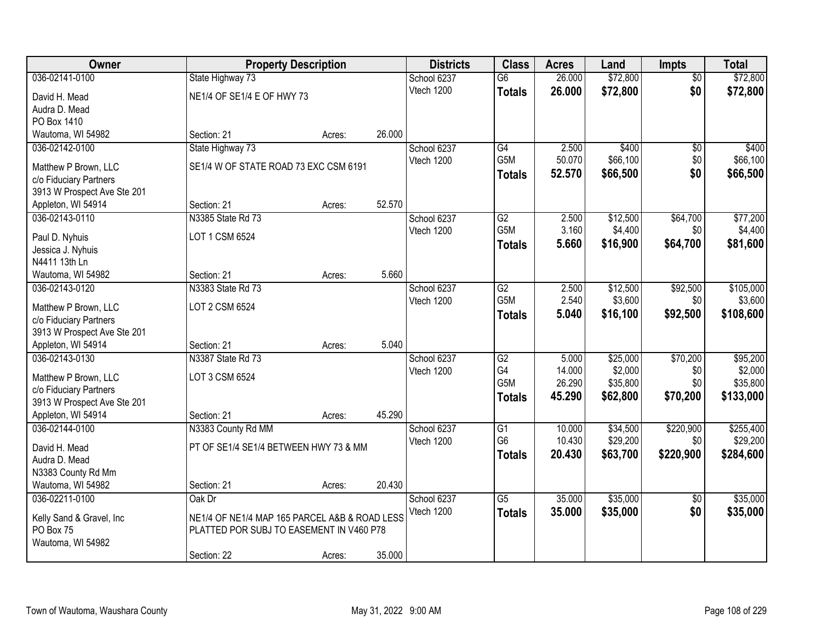| Owner                                                 | <b>Property Description</b>                   |        |        | <b>Districts</b>          | <b>Class</b>         | <b>Acres</b>     | Land                 | <b>Impts</b>     | <b>Total</b>          |
|-------------------------------------------------------|-----------------------------------------------|--------|--------|---------------------------|----------------------|------------------|----------------------|------------------|-----------------------|
| 036-02141-0100                                        | State Highway 73                              |        |        | School 6237               | $\overline{G6}$      | 26.000           | \$72,800             | $\overline{50}$  | \$72,800              |
| David H. Mead                                         | NE1/4 OF SE1/4 E OF HWY 73                    |        |        | Vtech 1200                | <b>Totals</b>        | 26.000           | \$72,800             | \$0              | \$72,800              |
| Audra D. Mead                                         |                                               |        |        |                           |                      |                  |                      |                  |                       |
| PO Box 1410                                           |                                               |        |        |                           |                      |                  |                      |                  |                       |
| Wautoma, WI 54982                                     | Section: 21                                   | Acres: | 26.000 |                           |                      |                  |                      |                  |                       |
| 036-02142-0100                                        | State Highway 73                              |        |        | School 6237               | G4                   | 2.500            | \$400                | \$0              | \$400                 |
| Matthew P Brown, LLC                                  | SE1/4 W OF STATE ROAD 73 EXC CSM 6191         |        |        | Vtech 1200                | G5M                  | 50.070           | \$66,100             | \$0              | \$66,100              |
| c/o Fiduciary Partners                                |                                               |        |        |                           | <b>Totals</b>        | 52.570           | \$66,500             | \$0              | \$66,500              |
| 3913 W Prospect Ave Ste 201                           |                                               |        |        |                           |                      |                  |                      |                  |                       |
| Appleton, WI 54914                                    | Section: 21                                   | Acres: | 52.570 |                           |                      |                  |                      |                  |                       |
| 036-02143-0110                                        | N3385 State Rd 73                             |        |        | School 6237               | G2                   | 2.500            | \$12,500             | \$64,700         | \$77,200              |
| Paul D. Nyhuis                                        | LOT 1 CSM 6524                                |        |        | Vtech 1200                | G5M                  | 3.160            | \$4,400              | \$0              | \$4,400               |
| Jessica J. Nyhuis                                     |                                               |        |        |                           | <b>Totals</b>        | 5.660            | \$16,900             | \$64,700         | \$81,600              |
| N4411 13th Ln                                         |                                               |        |        |                           |                      |                  |                      |                  |                       |
| Wautoma, WI 54982                                     | Section: 21                                   | Acres: | 5.660  |                           |                      |                  |                      |                  |                       |
| 036-02143-0120                                        | N3383 State Rd 73                             |        |        | School 6237               | $\overline{G2}$      | 2.500            | \$12,500             | \$92,500         | \$105,000             |
|                                                       |                                               |        |        | Vtech 1200                | G5M                  | 2.540            | \$3,600              | \$0              | \$3,600               |
| Matthew P Brown, LLC                                  | LOT 2 CSM 6524                                |        |        |                           | <b>Totals</b>        | 5.040            | \$16,100             | \$92,500         | \$108,600             |
| c/o Fiduciary Partners<br>3913 W Prospect Ave Ste 201 |                                               |        |        |                           |                      |                  |                      |                  |                       |
| Appleton, WI 54914                                    | Section: 21                                   | Acres: | 5.040  |                           |                      |                  |                      |                  |                       |
| 036-02143-0130                                        | N3387 State Rd 73                             |        |        | School 6237               | $\overline{G2}$      | 5.000            | \$25,000             | \$70,200         | \$95,200              |
|                                                       |                                               |        |        | Vtech 1200                | G <sub>4</sub>       | 14.000           | \$2,000              | \$0              | \$2,000               |
| Matthew P Brown, LLC                                  | LOT 3 CSM 6524                                |        |        |                           | G5M                  | 26.290           | \$35,800             | \$0              | \$35,800              |
| c/o Fiduciary Partners                                |                                               |        |        |                           | <b>Totals</b>        | 45.290           | \$62,800             | \$70,200         | \$133,000             |
| 3913 W Prospect Ave Ste 201                           |                                               |        |        |                           |                      |                  |                      |                  |                       |
| Appleton, WI 54914                                    | Section: 21                                   | Acres: | 45.290 |                           |                      |                  |                      |                  |                       |
| 036-02144-0100                                        | N3383 County Rd MM                            |        |        | School 6237<br>Vtech 1200 | G1<br>G <sub>6</sub> | 10.000<br>10.430 | \$34,500<br>\$29,200 | \$220,900<br>\$0 | \$255,400<br>\$29,200 |
| David H. Mead                                         | PT OF SE1/4 SE1/4 BETWEEN HWY 73 & MM         |        |        |                           | <b>Totals</b>        | 20.430           | \$63,700             | \$220,900        | \$284,600             |
| Audra D. Mead                                         |                                               |        |        |                           |                      |                  |                      |                  |                       |
| N3383 County Rd Mm                                    |                                               |        |        |                           |                      |                  |                      |                  |                       |
| Wautoma, WI 54982                                     | Section: 21                                   | Acres: | 20.430 |                           |                      |                  |                      |                  |                       |
| 036-02211-0100                                        | Oak Dr                                        |        |        | School 6237               | $\overline{G5}$      | 35.000           | \$35,000             | $\overline{30}$  | \$35,000              |
| Kelly Sand & Gravel, Inc                              | NE1/4 OF NE1/4 MAP 165 PARCEL A&B & ROAD LESS |        |        | Vtech 1200                | <b>Totals</b>        | 35.000           | \$35,000             | \$0              | \$35,000              |
| PO Box 75                                             | PLATTED POR SUBJ TO EASEMENT IN V460 P78      |        |        |                           |                      |                  |                      |                  |                       |
| Wautoma, WI 54982                                     |                                               |        |        |                           |                      |                  |                      |                  |                       |
|                                                       | Section: 22                                   | Acres: | 35.000 |                           |                      |                  |                      |                  |                       |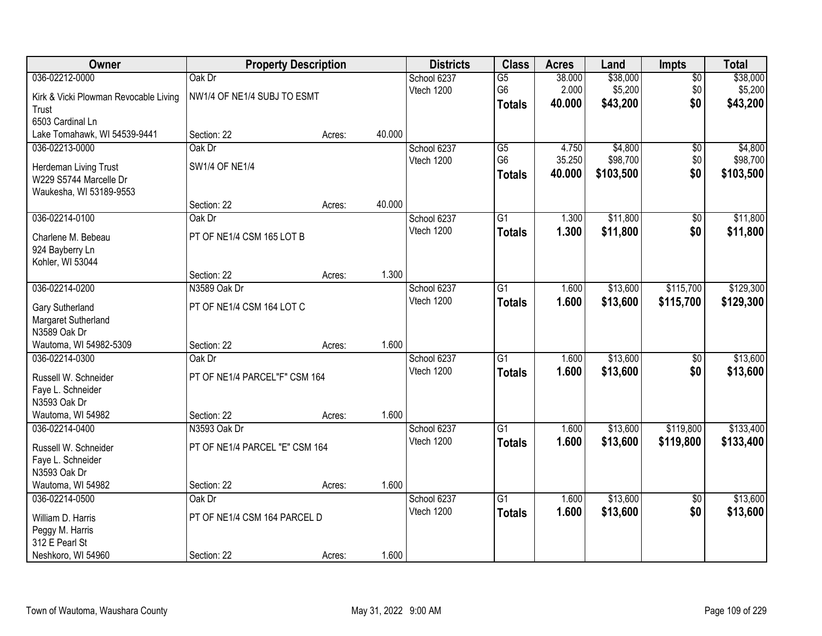| Owner                                     | <b>Property Description</b>    |        |        | <b>Districts</b> | <b>Class</b>    | <b>Acres</b> | Land      | Impts           | <b>Total</b> |
|-------------------------------------------|--------------------------------|--------|--------|------------------|-----------------|--------------|-----------|-----------------|--------------|
| 036-02212-0000                            | Oak Dr                         |        |        | School 6237      | $\overline{G5}$ | 38.000       | \$38,000  | $\overline{50}$ | \$38,000     |
| Kirk & Vicki Plowman Revocable Living     | NW1/4 OF NE1/4 SUBJ TO ESMT    |        |        | Vtech 1200       | G6              | 2.000        | \$5,200   | \$0             | \$5,200      |
| Trust                                     |                                |        |        |                  | <b>Totals</b>   | 40.000       | \$43,200  | \$0             | \$43,200     |
| 6503 Cardinal Ln                          |                                |        |        |                  |                 |              |           |                 |              |
| Lake Tomahawk, WI 54539-9441              | Section: 22                    | Acres: | 40.000 |                  |                 |              |           |                 |              |
| 036-02213-0000                            | Oak Dr                         |        |        | School 6237      | $\overline{G5}$ | 4.750        | \$4,800   | $\overline{50}$ | \$4,800      |
| Herdeman Living Trust                     | <b>SW1/4 OF NE1/4</b>          |        |        | Vtech 1200       | G <sub>6</sub>  | 35.250       | \$98,700  | \$0             | \$98,700     |
| W229 S5744 Marcelle Dr                    |                                |        |        |                  | <b>Totals</b>   | 40.000       | \$103,500 | \$0             | \$103,500    |
| Waukesha, WI 53189-9553                   |                                |        |        |                  |                 |              |           |                 |              |
|                                           | Section: 22                    | Acres: | 40.000 |                  |                 |              |           |                 |              |
| 036-02214-0100                            | Oak Dr                         |        |        | School 6237      | G1              | 1.300        | \$11,800  | \$0             | \$11,800     |
| Charlene M. Bebeau                        | PT OF NE1/4 CSM 165 LOT B      |        |        | Vtech 1200       | <b>Totals</b>   | 1.300        | \$11,800  | \$0             | \$11,800     |
| 924 Bayberry Ln                           |                                |        |        |                  |                 |              |           |                 |              |
| Kohler, WI 53044                          |                                |        |        |                  |                 |              |           |                 |              |
|                                           | Section: 22                    | Acres: | 1.300  |                  |                 |              |           |                 |              |
| 036-02214-0200                            | N3589 Oak Dr                   |        |        | School 6237      | G1              | 1.600        | \$13,600  | \$115,700       | \$129,300    |
| Gary Sutherland                           | PT OF NE1/4 CSM 164 LOT C      |        |        | Vtech 1200       | <b>Totals</b>   | 1.600        | \$13,600  | \$115,700       | \$129,300    |
| Margaret Sutherland                       |                                |        |        |                  |                 |              |           |                 |              |
| N3589 Oak Dr                              |                                |        |        |                  |                 |              |           |                 |              |
| Wautoma, WI 54982-5309                    | Section: 22                    | Acres: | 1.600  |                  |                 |              |           |                 |              |
| 036-02214-0300                            | Oak Dr                         |        |        | School 6237      | $\overline{G1}$ | 1.600        | \$13,600  | $\overline{50}$ | \$13,600     |
|                                           | PT OF NE1/4 PARCEL"F" CSM 164  |        |        | Vtech 1200       | <b>Totals</b>   | 1.600        | \$13,600  | \$0             | \$13,600     |
| Russell W. Schneider<br>Faye L. Schneider |                                |        |        |                  |                 |              |           |                 |              |
| N3593 Oak Dr                              |                                |        |        |                  |                 |              |           |                 |              |
| Wautoma, WI 54982                         | Section: 22                    | Acres: | 1.600  |                  |                 |              |           |                 |              |
| 036-02214-0400                            | N3593 Oak Dr                   |        |        | School 6237      | $\overline{G1}$ | 1.600        | \$13,600  | \$119,800       | \$133,400    |
|                                           |                                |        |        | Vtech 1200       | <b>Totals</b>   | 1.600        | \$13,600  | \$119,800       | \$133,400    |
| Russell W. Schneider                      | PT OF NE1/4 PARCEL "E" CSM 164 |        |        |                  |                 |              |           |                 |              |
| Faye L. Schneider<br>N3593 Oak Dr         |                                |        |        |                  |                 |              |           |                 |              |
| Wautoma, WI 54982                         | Section: 22                    | Acres: | 1.600  |                  |                 |              |           |                 |              |
| 036-02214-0500                            | Oak Dr                         |        |        | School 6237      | $\overline{G1}$ | 1.600        | \$13,600  | $\overline{50}$ | \$13,600     |
|                                           |                                |        |        | Vtech 1200       | <b>Totals</b>   | 1.600        | \$13,600  | \$0             | \$13,600     |
| William D. Harris                         | PT OF NE1/4 CSM 164 PARCEL D   |        |        |                  |                 |              |           |                 |              |
| Peggy M. Harris                           |                                |        |        |                  |                 |              |           |                 |              |
| 312 E Pearl St                            | Section: 22                    |        | 1.600  |                  |                 |              |           |                 |              |
| Neshkoro, WI 54960                        |                                | Acres: |        |                  |                 |              |           |                 |              |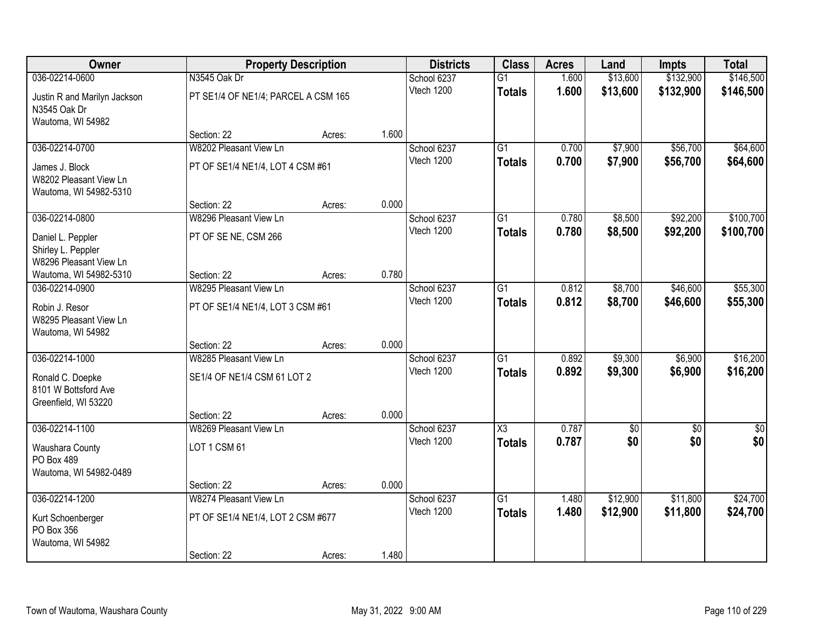| Owner                                                              |                                     | <b>Property Description</b> |       | <b>Districts</b> | <b>Class</b>        | <b>Acres</b> | Land     | <b>Impts</b>    | <b>Total</b>    |
|--------------------------------------------------------------------|-------------------------------------|-----------------------------|-------|------------------|---------------------|--------------|----------|-----------------|-----------------|
| 036-02214-0600                                                     | N3545 Oak Dr                        |                             |       | School 6237      | $\overline{G1}$     | 1.600        | \$13,600 | \$132,900       | \$146,500       |
| Justin R and Marilyn Jackson<br>N3545 Oak Dr<br>Wautoma, WI 54982  | PT SE1/4 OF NE1/4; PARCEL A CSM 165 |                             |       | Vtech 1200       | <b>Totals</b>       | 1.600        | \$13,600 | \$132,900       | \$146,500       |
|                                                                    | Section: 22                         | Acres:                      | 1.600 |                  |                     |              |          |                 |                 |
| 036-02214-0700                                                     | W8202 Pleasant View Ln              |                             |       | School 6237      | $\overline{G1}$     | 0.700        | \$7,900  | \$56,700        | \$64,600        |
| James J. Block<br>W8202 Pleasant View Ln<br>Wautoma, WI 54982-5310 | PT OF SE1/4 NE1/4, LOT 4 CSM #61    |                             |       | Vtech 1200       | <b>Totals</b>       | 0.700        | \$7,900  | \$56,700        | \$64,600        |
|                                                                    | Section: 22                         | Acres:                      | 0.000 |                  |                     |              |          |                 |                 |
| 036-02214-0800                                                     | W8296 Pleasant View Ln              |                             |       | School 6237      | G1                  | 0.780        | \$8,500  | \$92,200        | \$100,700       |
| Daniel L. Peppler<br>Shirley L. Peppler<br>W8296 Pleasant View Ln  | PT OF SE NE, CSM 266                |                             |       | Vtech 1200       | <b>Totals</b>       | 0.780        | \$8,500  | \$92,200        | \$100,700       |
| Wautoma, WI 54982-5310                                             | Section: 22                         | Acres:                      | 0.780 |                  |                     |              |          |                 |                 |
| 036-02214-0900                                                     | W8295 Pleasant View Ln              |                             |       | School 6237      | G1                  | 0.812        | \$8,700  | \$46,600        | \$55,300        |
| Robin J. Resor<br>W8295 Pleasant View Ln<br>Wautoma, WI 54982      | PT OF SE1/4 NE1/4, LOT 3 CSM #61    |                             |       | Vtech 1200       | <b>Totals</b>       | 0.812        | \$8,700  | \$46,600        | \$55,300        |
|                                                                    | Section: 22                         | Acres:                      | 0.000 |                  |                     |              |          |                 |                 |
| 036-02214-1000                                                     | W8285 Pleasant View Ln              |                             |       | School 6237      | $\overline{G1}$     | 0.892        | \$9,300  | \$6,900         | \$16,200        |
| Ronald C. Doepke<br>8101 W Bottsford Ave<br>Greenfield, WI 53220   | SE1/4 OF NE1/4 CSM 61 LOT 2         |                             |       | Vtech 1200       | <b>Totals</b>       | 0.892        | \$9,300  | \$6,900         | \$16,200        |
|                                                                    | Section: 22                         | Acres:                      | 0.000 |                  |                     |              |          |                 |                 |
| 036-02214-1100                                                     | W8269 Pleasant View Ln              |                             |       | School 6237      | $\overline{\chi_3}$ | 0.787        | \$0      | $\overline{50}$ | $\overline{50}$ |
| Waushara County<br>PO Box 489                                      | LOT 1 CSM 61                        |                             |       | Vtech 1200       | <b>Totals</b>       | 0.787        | \$0      | \$0             | \$0             |
| Wautoma, WI 54982-0489                                             | Section: 22                         |                             | 0.000 |                  |                     |              |          |                 |                 |
| 036-02214-1200                                                     | W8274 Pleasant View Ln              | Acres:                      |       | School 6237      | $\overline{G1}$     | 1.480        | \$12,900 | \$11,800        | \$24,700        |
| Kurt Schoenberger<br>PO Box 356<br>Wautoma, WI 54982               | PT OF SE1/4 NE1/4, LOT 2 CSM #677   |                             |       | Vtech 1200       | <b>Totals</b>       | 1.480        | \$12,900 | \$11,800        | \$24,700        |
|                                                                    | Section: 22                         | Acres:                      | 1.480 |                  |                     |              |          |                 |                 |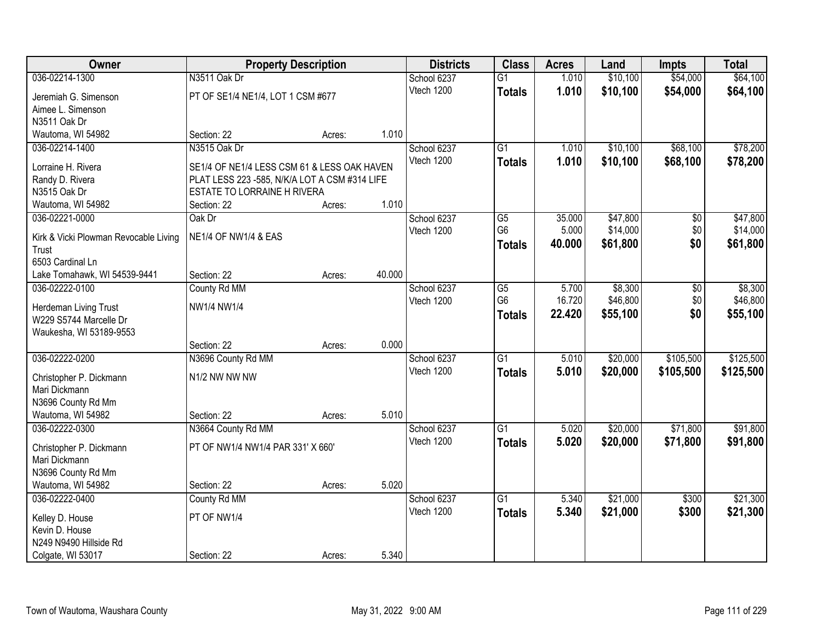| Owner                                           |                                               | <b>Property Description</b> |        | <b>Districts</b> | <b>Class</b>    | <b>Acres</b> | Land     | <b>Impts</b> | <b>Total</b> |
|-------------------------------------------------|-----------------------------------------------|-----------------------------|--------|------------------|-----------------|--------------|----------|--------------|--------------|
| 036-02214-1300                                  | N3511 Oak Dr                                  |                             |        | School 6237      | $\overline{G1}$ | 1.010        | \$10,100 | \$54,000     | \$64,100     |
| Jeremiah G. Simenson                            | PT OF SE1/4 NE1/4, LOT 1 CSM #677             |                             |        | Vtech 1200       | <b>Totals</b>   | 1.010        | \$10,100 | \$54,000     | \$64,100     |
| Aimee L. Simenson                               |                                               |                             |        |                  |                 |              |          |              |              |
| N3511 Oak Dr                                    |                                               |                             |        |                  |                 |              |          |              |              |
| Wautoma, WI 54982                               | Section: 22                                   | Acres:                      | 1.010  |                  |                 |              |          |              |              |
| 036-02214-1400                                  | N3515 Oak Dr                                  |                             |        | School 6237      | $\overline{G1}$ | 1.010        | \$10,100 | \$68,100     | \$78,200     |
|                                                 |                                               |                             |        | Vtech 1200       | <b>Totals</b>   | 1.010        | \$10,100 | \$68,100     | \$78,200     |
| Lorraine H. Rivera                              | SE1/4 OF NE1/4 LESS CSM 61 & LESS OAK HAVEN   |                             |        |                  |                 |              |          |              |              |
| Randy D. Rivera                                 | PLAT LESS 223 -585, N/K/A LOT A CSM #314 LIFE |                             |        |                  |                 |              |          |              |              |
| N3515 Oak Dr                                    | <b>ESTATE TO LORRAINE H RIVERA</b>            |                             |        |                  |                 |              |          |              |              |
| Wautoma, WI 54982                               | Section: 22                                   | Acres:                      | 1.010  |                  |                 |              |          |              |              |
| 036-02221-0000                                  | Oak Dr                                        |                             |        | School 6237      | G5              | 35.000       | \$47,800 | \$0          | \$47,800     |
| Kirk & Vicki Plowman Revocable Living           | <b>NE1/4 OF NW1/4 &amp; EAS</b>               |                             |        | Vtech 1200       | G <sub>6</sub>  | 5.000        | \$14,000 | \$0          | \$14,000     |
| Trust                                           |                                               |                             |        |                  | <b>Totals</b>   | 40.000       | \$61,800 | \$0          | \$61,800     |
| 6503 Cardinal Ln                                |                                               |                             |        |                  |                 |              |          |              |              |
| Lake Tomahawk, WI 54539-9441                    | Section: 22                                   | Acres:                      | 40.000 |                  |                 |              |          |              |              |
| 036-02222-0100                                  | County Rd MM                                  |                             |        | School 6237      | G5              | 5.700        | \$8,300  | \$0          | \$8,300      |
|                                                 | NW1/4 NW1/4                                   |                             |        | Vtech 1200       | G <sub>6</sub>  | 16.720       | \$46,800 | \$0          | \$46,800     |
| Herdeman Living Trust<br>W229 S5744 Marcelle Dr |                                               |                             |        |                  | <b>Totals</b>   | 22.420       | \$55,100 | \$0          | \$55,100     |
| Waukesha, WI 53189-9553                         |                                               |                             |        |                  |                 |              |          |              |              |
|                                                 | Section: 22                                   | Acres:                      | 0.000  |                  |                 |              |          |              |              |
| 036-02222-0200                                  | N3696 County Rd MM                            |                             |        | School 6237      | $\overline{G1}$ | 5.010        | \$20,000 | \$105,500    | \$125,500    |
|                                                 |                                               |                             |        | Vtech 1200       |                 | 5.010        | \$20,000 | \$105,500    | \$125,500    |
| Christopher P. Dickmann                         | N1/2 NW NW NW                                 |                             |        |                  | <b>Totals</b>   |              |          |              |              |
| Mari Dickmann                                   |                                               |                             |        |                  |                 |              |          |              |              |
| N3696 County Rd Mm                              |                                               |                             |        |                  |                 |              |          |              |              |
| Wautoma, WI 54982                               | Section: 22                                   | Acres:                      | 5.010  |                  |                 |              |          |              |              |
| 036-02222-0300                                  | N3664 County Rd MM                            |                             |        | School 6237      | $\overline{G1}$ | 5.020        | \$20,000 | \$71,800     | \$91,800     |
| Christopher P. Dickmann                         | PT OF NW1/4 NW1/4 PAR 331' X 660'             |                             |        | Vtech 1200       | <b>Totals</b>   | 5.020        | \$20,000 | \$71,800     | \$91,800     |
| Mari Dickmann                                   |                                               |                             |        |                  |                 |              |          |              |              |
| N3696 County Rd Mm                              |                                               |                             |        |                  |                 |              |          |              |              |
| Wautoma, WI 54982                               | Section: 22                                   | Acres:                      | 5.020  |                  |                 |              |          |              |              |
| 036-02222-0400                                  | County Rd MM                                  |                             |        | School 6237      | $\overline{G1}$ | 5.340        | \$21,000 | \$300        | \$21,300     |
|                                                 |                                               |                             |        | Vtech 1200       | <b>Totals</b>   | 5.340        | \$21,000 | \$300        | \$21,300     |
| Kelley D. House                                 | PT OF NW1/4                                   |                             |        |                  |                 |              |          |              |              |
| Kevin D. House                                  |                                               |                             |        |                  |                 |              |          |              |              |
| N249 N9490 Hillside Rd                          |                                               |                             |        |                  |                 |              |          |              |              |
| Colgate, WI 53017                               | Section: 22                                   | Acres:                      | 5.340  |                  |                 |              |          |              |              |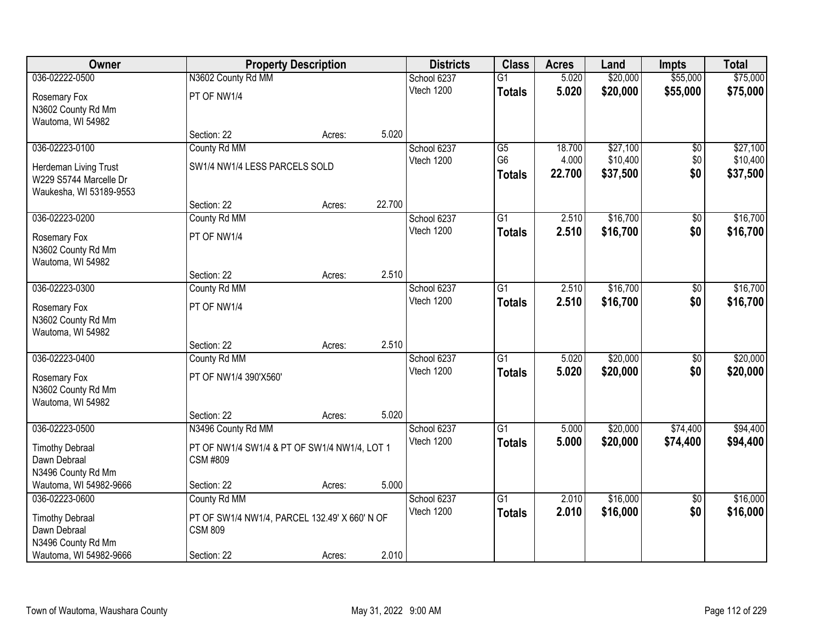| Owner                   |                                               | <b>Property Description</b> |        | <b>Districts</b> | <b>Class</b>    | <b>Acres</b> | Land     | <b>Impts</b>    | <b>Total</b> |
|-------------------------|-----------------------------------------------|-----------------------------|--------|------------------|-----------------|--------------|----------|-----------------|--------------|
| 036-02222-0500          | N3602 County Rd MM                            |                             |        | School 6237      | $\overline{G1}$ | 5.020        | \$20,000 | \$55,000        | \$75,000     |
| Rosemary Fox            | PT OF NW1/4                                   |                             |        | Vtech 1200       | <b>Totals</b>   | 5.020        | \$20,000 | \$55,000        | \$75,000     |
| N3602 County Rd Mm      |                                               |                             |        |                  |                 |              |          |                 |              |
| Wautoma, WI 54982       |                                               |                             |        |                  |                 |              |          |                 |              |
|                         | Section: 22                                   | Acres:                      | 5.020  |                  |                 |              |          |                 |              |
| 036-02223-0100          | County Rd MM                                  |                             |        | School 6237      | $\overline{G5}$ | 18.700       | \$27,100 | \$0             | \$27,100     |
| Herdeman Living Trust   | SW1/4 NW1/4 LESS PARCELS SOLD                 |                             |        | Vtech 1200       | G <sub>6</sub>  | 4.000        | \$10,400 | \$0             | \$10,400     |
| W229 S5744 Marcelle Dr  |                                               |                             |        |                  | <b>Totals</b>   | 22.700       | \$37,500 | \$0             | \$37,500     |
| Waukesha, WI 53189-9553 |                                               |                             |        |                  |                 |              |          |                 |              |
|                         | Section: 22                                   | Acres:                      | 22.700 |                  |                 |              |          |                 |              |
| 036-02223-0200          | County Rd MM                                  |                             |        | School 6237      | $\overline{G1}$ | 2.510        | \$16,700 | $\overline{50}$ | \$16,700     |
| Rosemary Fox            | PT OF NW1/4                                   |                             |        | Vtech 1200       | <b>Totals</b>   | 2.510        | \$16,700 | \$0             | \$16,700     |
| N3602 County Rd Mm      |                                               |                             |        |                  |                 |              |          |                 |              |
| Wautoma, WI 54982       |                                               |                             |        |                  |                 |              |          |                 |              |
|                         | Section: 22                                   | Acres:                      | 2.510  |                  |                 |              |          |                 |              |
| 036-02223-0300          | County Rd MM                                  |                             |        | School 6237      | $\overline{G1}$ | 2.510        | \$16,700 | $\sqrt[6]{3}$   | \$16,700     |
| Rosemary Fox            | PT OF NW1/4                                   |                             |        | Vtech 1200       | <b>Totals</b>   | 2.510        | \$16,700 | \$0             | \$16,700     |
| N3602 County Rd Mm      |                                               |                             |        |                  |                 |              |          |                 |              |
| Wautoma, WI 54982       |                                               |                             |        |                  |                 |              |          |                 |              |
|                         | Section: 22                                   | Acres:                      | 2.510  |                  |                 |              |          |                 |              |
| 036-02223-0400          | County Rd MM                                  |                             |        | School 6237      | $\overline{G1}$ | 5.020        | \$20,000 | $\overline{50}$ | \$20,000     |
| Rosemary Fox            | PT OF NW1/4 390'X560'                         |                             |        | Vtech 1200       | <b>Totals</b>   | 5.020        | \$20,000 | \$0             | \$20,000     |
| N3602 County Rd Mm      |                                               |                             |        |                  |                 |              |          |                 |              |
| Wautoma, WI 54982       |                                               |                             |        |                  |                 |              |          |                 |              |
|                         | Section: 22                                   | Acres:                      | 5.020  |                  |                 |              |          |                 |              |
| 036-02223-0500          | N3496 County Rd MM                            |                             |        | School 6237      | $\overline{G1}$ | 5.000        | \$20,000 | \$74,400        | \$94,400     |
| <b>Timothy Debraal</b>  | PT OF NW1/4 SW1/4 & PT OF SW1/4 NW1/4, LOT 1  |                             |        | Vtech 1200       | <b>Totals</b>   | 5.000        | \$20,000 | \$74,400        | \$94,400     |
| Dawn Debraal            | <b>CSM #809</b>                               |                             |        |                  |                 |              |          |                 |              |
| N3496 County Rd Mm      |                                               |                             |        |                  |                 |              |          |                 |              |
| Wautoma, WI 54982-9666  | Section: 22                                   | Acres:                      | 5.000  |                  |                 |              |          |                 |              |
| 036-02223-0600          | County Rd MM                                  |                             |        | School 6237      | $\overline{G1}$ | 2.010        | \$16,000 | $\overline{50}$ | \$16,000     |
| <b>Timothy Debraal</b>  | PT OF SW1/4 NW1/4, PARCEL 132.49' X 660' N OF |                             |        | Vtech 1200       | <b>Totals</b>   | 2.010        | \$16,000 | \$0             | \$16,000     |
| Dawn Debraal            | <b>CSM 809</b>                                |                             |        |                  |                 |              |          |                 |              |
| N3496 County Rd Mm      |                                               |                             |        |                  |                 |              |          |                 |              |
| Wautoma, WI 54982-9666  | Section: 22                                   | Acres:                      | 2.010  |                  |                 |              |          |                 |              |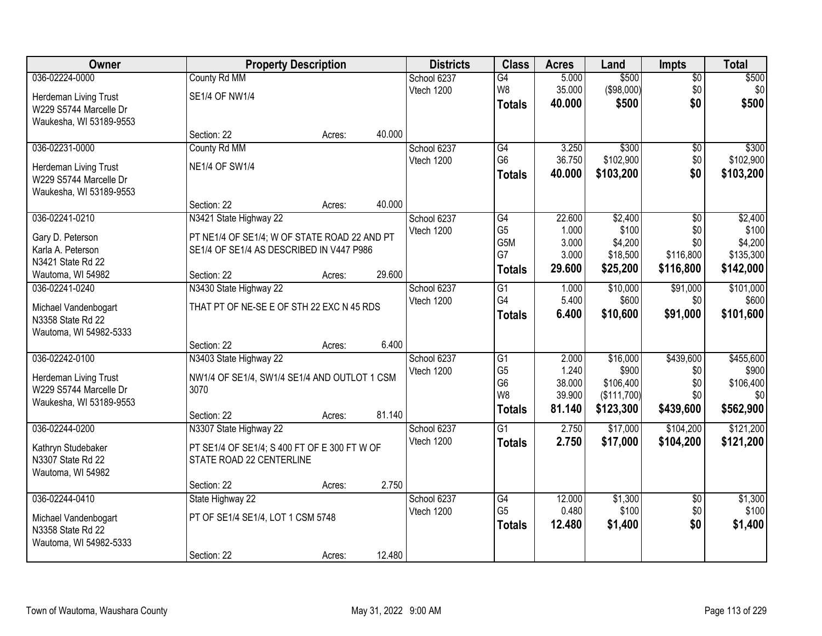| <b>Owner</b>            |                                              | <b>Property Description</b> |        | <b>Districts</b> | <b>Class</b>    | <b>Acres</b> | Land        | <b>Impts</b>    | <b>Total</b> |
|-------------------------|----------------------------------------------|-----------------------------|--------|------------------|-----------------|--------------|-------------|-----------------|--------------|
| 036-02224-0000          | County Rd MM                                 |                             |        | School 6237      | $\overline{G4}$ | 5.000        | \$500       | \$0             | \$500        |
| Herdeman Living Trust   | <b>SE1/4 OF NW1/4</b>                        |                             |        | Vtech 1200       | W8              | 35.000       | (\$98,000)  | \$0             | \$0          |
| W229 S5744 Marcelle Dr  |                                              |                             |        |                  | <b>Totals</b>   | 40.000       | \$500       | \$0             | \$500        |
| Waukesha, WI 53189-9553 |                                              |                             |        |                  |                 |              |             |                 |              |
|                         | Section: 22                                  | Acres:                      | 40.000 |                  |                 |              |             |                 |              |
| 036-02231-0000          | County Rd MM                                 |                             |        | School 6237      | G4              | 3.250        | \$300       | $\overline{50}$ | \$300        |
| Herdeman Living Trust   | <b>NE1/4 OF SW1/4</b>                        |                             |        | Vtech 1200       | G <sub>6</sub>  | 36.750       | \$102,900   | \$0             | \$102,900    |
| W229 S5744 Marcelle Dr  |                                              |                             |        |                  | <b>Totals</b>   | 40.000       | \$103,200   | \$0             | \$103,200    |
| Waukesha, WI 53189-9553 |                                              |                             |        |                  |                 |              |             |                 |              |
|                         | Section: 22                                  | Acres:                      | 40.000 |                  |                 |              |             |                 |              |
| 036-02241-0210          | N3421 State Highway 22                       |                             |        | School 6237      | G4              | 22.600       | \$2,400     | \$0             | \$2,400      |
| Gary D. Peterson        | PT NE1/4 OF SE1/4; W OF STATE ROAD 22 AND PT |                             |        | Vtech 1200       | G <sub>5</sub>  | 1.000        | \$100       | \$0             | \$100        |
| Karla A. Peterson       | SE1/4 OF SE1/4 AS DESCRIBED IN V447 P986     |                             |        |                  | G5M             | 3.000        | \$4,200     | \$0             | \$4,200      |
| N3421 State Rd 22       |                                              |                             |        |                  | G7              | 3.000        | \$18,500    | \$116,800       | \$135,300    |
| Wautoma, WI 54982       | Section: 22                                  | Acres:                      | 29.600 |                  | <b>Totals</b>   | 29.600       | \$25,200    | \$116,800       | \$142,000    |
| 036-02241-0240          | N3430 State Highway 22                       |                             |        | School 6237      | G1              | 1.000        | \$10,000    | \$91,000        | \$101,000    |
| Michael Vandenbogart    | THAT PT OF NE-SE E OF STH 22 EXC N 45 RDS    |                             |        | Vtech 1200       | G4              | 5.400        | \$600       | \$0             | \$600        |
| N3358 State Rd 22       |                                              |                             |        |                  | <b>Totals</b>   | 6.400        | \$10,600    | \$91,000        | \$101,600    |
| Wautoma, WI 54982-5333  |                                              |                             |        |                  |                 |              |             |                 |              |
|                         | Section: 22                                  | Acres:                      | 6.400  |                  |                 |              |             |                 |              |
| 036-02242-0100          | N3403 State Highway 22                       |                             |        | School 6237      | G1              | 2.000        | \$16,000    | \$439,600       | \$455,600    |
| Herdeman Living Trust   | NW1/4 OF SE1/4, SW1/4 SE1/4 AND OUTLOT 1 CSM |                             |        | Vtech 1200       | G <sub>5</sub>  | 1.240        | \$900       | \$0             | \$900        |
| W229 S5744 Marcelle Dr  | 3070                                         |                             |        |                  | G <sub>6</sub>  | 38.000       | \$106,400   | \$0             | \$106,400    |
| Waukesha, WI 53189-9553 |                                              |                             |        |                  | W8              | 39.900       | (\$111,700) | \$0             | 30           |
|                         | Section: 22                                  | Acres:                      | 81.140 |                  | <b>Totals</b>   | 81.140       | \$123,300   | \$439,600       | \$562,900    |
| 036-02244-0200          | N3307 State Highway 22                       |                             |        | School 6237      | $\overline{G1}$ | 2.750        | \$17,000    | \$104,200       | \$121,200    |
| Kathryn Studebaker      | PT SE1/4 OF SE1/4; S 400 FT OF E 300 FT W OF |                             |        | Vtech 1200       | <b>Totals</b>   | 2.750        | \$17,000    | \$104,200       | \$121,200    |
| N3307 State Rd 22       | STATE ROAD 22 CENTERLINE                     |                             |        |                  |                 |              |             |                 |              |
| Wautoma, WI 54982       |                                              |                             |        |                  |                 |              |             |                 |              |
|                         | Section: 22                                  | Acres:                      | 2.750  |                  |                 |              |             |                 |              |
| 036-02244-0410          | State Highway 22                             |                             |        | School 6237      | G4              | 12.000       | \$1,300     | $\overline{50}$ | \$1,300      |
| Michael Vandenbogart    | PT OF SE1/4 SE1/4, LOT 1 CSM 5748            |                             |        | Vtech 1200       | G <sub>5</sub>  | 0.480        | \$100       | \$0             | \$100        |
| N3358 State Rd 22       |                                              |                             |        |                  | <b>Totals</b>   | 12.480       | \$1,400     | \$0             | \$1,400      |
| Wautoma, WI 54982-5333  |                                              |                             |        |                  |                 |              |             |                 |              |
|                         | Section: 22                                  | Acres:                      | 12.480 |                  |                 |              |             |                 |              |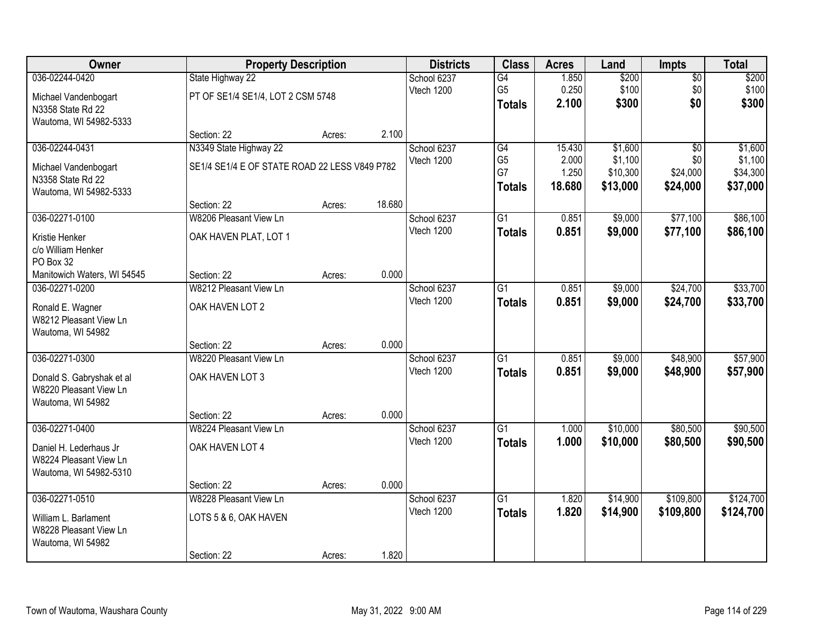| <b>Owner</b>                | <b>Property Description</b>                   |        |        | <b>Districts</b> | <b>Class</b>    | <b>Acres</b> | Land     | <b>Impts</b>    | <b>Total</b> |
|-----------------------------|-----------------------------------------------|--------|--------|------------------|-----------------|--------------|----------|-----------------|--------------|
| 036-02244-0420              | State Highway 22                              |        |        | School 6237      | G4              | 1.850        | \$200    | $\overline{50}$ | \$200        |
| Michael Vandenbogart        | PT OF SE1/4 SE1/4, LOT 2 CSM 5748             |        |        | Vtech 1200       | G <sub>5</sub>  | 0.250        | \$100    | \$0             | \$100        |
| N3358 State Rd 22           |                                               |        |        |                  | <b>Totals</b>   | 2.100        | \$300    | \$0             | \$300        |
| Wautoma, WI 54982-5333      |                                               |        |        |                  |                 |              |          |                 |              |
|                             | Section: 22                                   | Acres: | 2.100  |                  |                 |              |          |                 |              |
| 036-02244-0431              | N3349 State Highway 22                        |        |        | School 6237      | G4              | 15.430       | \$1,600  | $\overline{30}$ | \$1,600      |
| Michael Vandenbogart        | SE1/4 SE1/4 E OF STATE ROAD 22 LESS V849 P782 |        |        | Vtech 1200       | G <sub>5</sub>  | 2.000        | \$1,100  | \$0             | \$1,100      |
| N3358 State Rd 22           |                                               |        |        |                  | G7              | 1.250        | \$10,300 | \$24,000        | \$34,300     |
| Wautoma, WI 54982-5333      |                                               |        |        |                  | <b>Totals</b>   | 18.680       | \$13,000 | \$24,000        | \$37,000     |
|                             | Section: 22                                   | Acres: | 18.680 |                  |                 |              |          |                 |              |
| 036-02271-0100              | W8206 Pleasant View Ln                        |        |        | School 6237      | $\overline{G1}$ | 0.851        | \$9,000  | \$77,100        | \$86,100     |
| Kristie Henker              | OAK HAVEN PLAT, LOT 1                         |        |        | Vtech 1200       | <b>Totals</b>   | 0.851        | \$9,000  | \$77,100        | \$86,100     |
| c/o William Henker          |                                               |        |        |                  |                 |              |          |                 |              |
| PO Box 32                   |                                               |        |        |                  |                 |              |          |                 |              |
| Manitowich Waters, WI 54545 | Section: 22                                   | Acres: | 0.000  |                  |                 |              |          |                 |              |
| 036-02271-0200              | W8212 Pleasant View Ln                        |        |        | School 6237      | $\overline{G1}$ | 0.851        | \$9,000  | \$24,700        | \$33,700     |
| Ronald E. Wagner            | OAK HAVEN LOT 2                               |        |        | Vtech 1200       | <b>Totals</b>   | 0.851        | \$9,000  | \$24,700        | \$33,700     |
| W8212 Pleasant View Ln      |                                               |        |        |                  |                 |              |          |                 |              |
| Wautoma, WI 54982           |                                               |        |        |                  |                 |              |          |                 |              |
|                             | Section: 22                                   | Acres: | 0.000  |                  |                 |              |          |                 |              |
| 036-02271-0300              | W8220 Pleasant View Ln                        |        |        | School 6237      | $\overline{G1}$ | 0.851        | \$9,000  | \$48,900        | \$57,900     |
| Donald S. Gabryshak et al   | OAK HAVEN LOT 3                               |        |        | Vtech 1200       | <b>Totals</b>   | 0.851        | \$9,000  | \$48,900        | \$57,900     |
| W8220 Pleasant View Ln      |                                               |        |        |                  |                 |              |          |                 |              |
| Wautoma, WI 54982           |                                               |        |        |                  |                 |              |          |                 |              |
|                             | Section: 22                                   | Acres: | 0.000  |                  |                 |              |          |                 |              |
| 036-02271-0400              | W8224 Pleasant View Ln                        |        |        | School 6237      | $\overline{G1}$ | 1.000        | \$10,000 | \$80,500        | \$90,500     |
| Daniel H. Lederhaus Jr      | OAK HAVEN LOT 4                               |        |        | Vtech 1200       | <b>Totals</b>   | 1.000        | \$10,000 | \$80,500        | \$90,500     |
| W8224 Pleasant View Ln      |                                               |        |        |                  |                 |              |          |                 |              |
| Wautoma, WI 54982-5310      |                                               |        |        |                  |                 |              |          |                 |              |
|                             | Section: 22                                   | Acres: | 0.000  |                  |                 |              |          |                 |              |
| 036-02271-0510              | W8228 Pleasant View Ln                        |        |        | School 6237      | $\overline{G1}$ | 1.820        | \$14,900 | \$109,800       | \$124,700    |
| William L. Barlament        | LOTS 5 & 6, OAK HAVEN                         |        |        | Vtech 1200       | <b>Totals</b>   | 1.820        | \$14,900 | \$109,800       | \$124,700    |
| W8228 Pleasant View Ln      |                                               |        |        |                  |                 |              |          |                 |              |
| Wautoma, WI 54982           |                                               |        |        |                  |                 |              |          |                 |              |
|                             | Section: 22                                   | Acres: | 1.820  |                  |                 |              |          |                 |              |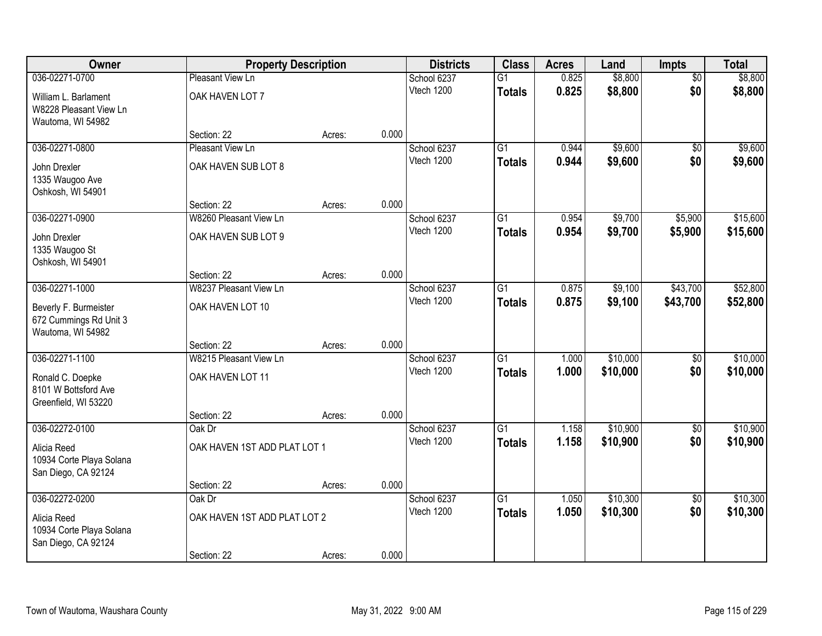| Owner                                           |                                       | <b>Property Description</b> |       | <b>Districts</b> | <b>Class</b>    | <b>Acres</b> | Land     | Impts           | <b>Total</b> |
|-------------------------------------------------|---------------------------------------|-----------------------------|-------|------------------|-----------------|--------------|----------|-----------------|--------------|
| 036-02271-0700                                  | Pleasant View Ln                      |                             |       | School 6237      | $\overline{G1}$ | 0.825        | \$8,800  | $\overline{50}$ | \$8,800      |
| William L. Barlament                            | OAK HAVEN LOT 7                       |                             |       | Vtech 1200       | <b>Totals</b>   | 0.825        | \$8,800  | \$0             | \$8,800      |
| W8228 Pleasant View Ln<br>Wautoma, WI 54982     |                                       |                             |       |                  |                 |              |          |                 |              |
|                                                 | Section: 22                           | Acres:                      | 0.000 |                  |                 |              |          |                 |              |
| 036-02271-0800                                  | Pleasant View Ln                      |                             |       | School 6237      | $\overline{G1}$ | 0.944        | \$9,600  | \$0             | \$9,600      |
| John Drexler                                    | OAK HAVEN SUB LOT 8                   |                             |       | Vtech 1200       | <b>Totals</b>   | 0.944        | \$9,600  | \$0             | \$9,600      |
| 1335 Waugoo Ave                                 |                                       |                             |       |                  |                 |              |          |                 |              |
| Oshkosh, WI 54901                               | Section: 22                           | Acres:                      | 0.000 |                  |                 |              |          |                 |              |
| 036-02271-0900                                  | W8260 Pleasant View Ln                |                             |       | School 6237      | $\overline{G1}$ | 0.954        | \$9,700  | \$5,900         | \$15,600     |
| John Drexler                                    | OAK HAVEN SUB LOT 9                   |                             |       | Vtech 1200       | <b>Totals</b>   | 0.954        | \$9,700  | \$5,900         | \$15,600     |
| 1335 Waugoo St                                  |                                       |                             |       |                  |                 |              |          |                 |              |
| Oshkosh, WI 54901                               |                                       |                             |       |                  |                 |              |          |                 |              |
| 036-02271-1000                                  | Section: 22<br>W8237 Pleasant View Ln | Acres:                      | 0.000 | School 6237      | G1              | 0.875        | \$9,100  | \$43,700        | \$52,800     |
|                                                 |                                       |                             |       | Vtech 1200       | <b>Totals</b>   | 0.875        | \$9,100  | \$43,700        | \$52,800     |
| Beverly F. Burmeister<br>672 Cummings Rd Unit 3 | OAK HAVEN LOT 10                      |                             |       |                  |                 |              |          |                 |              |
| Wautoma, WI 54982                               |                                       |                             |       |                  |                 |              |          |                 |              |
|                                                 | Section: 22                           | Acres:                      | 0.000 |                  |                 |              |          |                 |              |
| 036-02271-1100                                  | W8215 Pleasant View Ln                |                             |       | School 6237      | $\overline{G1}$ | 1.000        | \$10,000 | $\overline{50}$ | \$10,000     |
| Ronald C. Doepke                                | OAK HAVEN LOT 11                      |                             |       | Vtech 1200       | <b>Totals</b>   | 1.000        | \$10,000 | \$0             | \$10,000     |
| 8101 W Bottsford Ave                            |                                       |                             |       |                  |                 |              |          |                 |              |
| Greenfield, WI 53220                            | Section: 22                           | Acres:                      | 0.000 |                  |                 |              |          |                 |              |
| 036-02272-0100                                  | Oak Dr                                |                             |       | School 6237      | $\overline{G1}$ | 1.158        | \$10,900 | $\sqrt{6}$      | \$10,900     |
| Alicia Reed                                     | OAK HAVEN 1ST ADD PLAT LOT 1          |                             |       | Vtech 1200       | <b>Totals</b>   | 1.158        | \$10,900 | \$0             | \$10,900     |
| 10934 Corte Playa Solana                        |                                       |                             |       |                  |                 |              |          |                 |              |
| San Diego, CA 92124                             |                                       |                             |       |                  |                 |              |          |                 |              |
| 036-02272-0200                                  | Section: 22<br>Oak Dr                 | Acres:                      | 0.000 | School 6237      | $\overline{G1}$ | 1.050        | \$10,300 | $\overline{50}$ | \$10,300     |
|                                                 |                                       |                             |       | Vtech 1200       | <b>Totals</b>   | 1.050        | \$10,300 | \$0             | \$10,300     |
| Alicia Reed<br>10934 Corte Playa Solana         | OAK HAVEN 1ST ADD PLAT LOT 2          |                             |       |                  |                 |              |          |                 |              |
| San Diego, CA 92124                             |                                       |                             |       |                  |                 |              |          |                 |              |
|                                                 | Section: 22                           | Acres:                      | 0.000 |                  |                 |              |          |                 |              |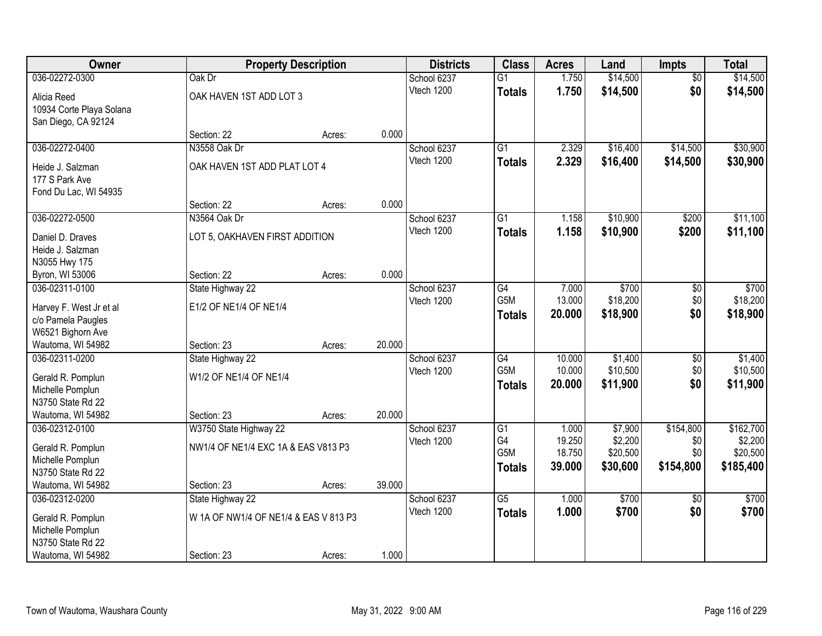| Owner                                 |                                       | <b>Property Description</b> |        | <b>Districts</b> | <b>Class</b>     | <b>Acres</b> | Land     | <b>Impts</b>    | <b>Total</b> |
|---------------------------------------|---------------------------------------|-----------------------------|--------|------------------|------------------|--------------|----------|-----------------|--------------|
| 036-02272-0300                        | Oak Dr                                |                             |        | School 6237      | $\overline{G1}$  | 1.750        | \$14,500 | $\overline{50}$ | \$14,500     |
| Alicia Reed                           | OAK HAVEN 1ST ADD LOT 3               |                             |        | Vtech 1200       | <b>Totals</b>    | 1.750        | \$14,500 | \$0             | \$14,500     |
| 10934 Corte Playa Solana              |                                       |                             |        |                  |                  |              |          |                 |              |
| San Diego, CA 92124                   |                                       |                             |        |                  |                  |              |          |                 |              |
|                                       | Section: 22                           | Acres:                      | 0.000  |                  |                  |              |          |                 |              |
| 036-02272-0400                        | N3558 Oak Dr                          |                             |        | School 6237      | $\overline{G1}$  | 2.329        | \$16,400 | \$14,500        | \$30,900     |
| Heide J. Salzman                      | OAK HAVEN 1ST ADD PLAT LOT 4          |                             |        | Vtech 1200       | <b>Totals</b>    | 2.329        | \$16,400 | \$14,500        | \$30,900     |
| 177 S Park Ave                        |                                       |                             |        |                  |                  |              |          |                 |              |
| Fond Du Lac, WI 54935                 |                                       |                             |        |                  |                  |              |          |                 |              |
|                                       | Section: 22                           | Acres:                      | 0.000  |                  |                  |              |          |                 |              |
| 036-02272-0500                        | N3564 Oak Dr                          |                             |        | School 6237      | G1               | 1.158        | \$10,900 | \$200           | \$11,100     |
| Daniel D. Draves                      | LOT 5, OAKHAVEN FIRST ADDITION        |                             |        | Vtech 1200       | <b>Totals</b>    | 1.158        | \$10,900 | \$200           | \$11,100     |
| Heide J. Salzman                      |                                       |                             |        |                  |                  |              |          |                 |              |
| N3055 Hwy 175                         |                                       |                             |        |                  |                  |              |          |                 |              |
| Byron, WI 53006                       | Section: 22                           | Acres:                      | 0.000  |                  |                  |              |          |                 |              |
| 036-02311-0100                        | State Highway 22                      |                             |        | School 6237      | G4               | 7.000        | \$700    | \$0             | \$700        |
| Harvey F. West Jr et al               | E1/2 OF NE1/4 OF NE1/4                |                             |        | Vtech 1200       | G5M              | 13.000       | \$18,200 | \$0             | \$18,200     |
| c/o Pamela Paugles                    |                                       |                             |        |                  | <b>Totals</b>    | 20.000       | \$18,900 | \$0             | \$18,900     |
| W6521 Bighorn Ave                     |                                       |                             |        |                  |                  |              |          |                 |              |
| Wautoma, WI 54982                     | Section: 23                           | Acres:                      | 20.000 |                  |                  |              |          |                 |              |
| 036-02311-0200                        | State Highway 22                      |                             |        | School 6237      | $\overline{G4}$  | 10.000       | \$1,400  | $\overline{50}$ | \$1,400      |
|                                       | W1/2 OF NE1/4 OF NE1/4                |                             |        | Vtech 1200       | G <sub>5</sub> M | 10.000       | \$10,500 | \$0             | \$10,500     |
| Gerald R. Pomplun<br>Michelle Pomplun |                                       |                             |        |                  | <b>Totals</b>    | 20.000       | \$11,900 | \$0             | \$11,900     |
| N3750 State Rd 22                     |                                       |                             |        |                  |                  |              |          |                 |              |
| Wautoma, WI 54982                     | Section: 23                           | Acres:                      | 20.000 |                  |                  |              |          |                 |              |
| 036-02312-0100                        | W3750 State Highway 22                |                             |        | School 6237      | $\overline{G1}$  | 1.000        | \$7,900  | \$154,800       | \$162,700    |
|                                       |                                       |                             |        | Vtech 1200       | G4               | 19.250       | \$2,200  | \$0             | \$2,200      |
| Gerald R. Pomplun<br>Michelle Pomplun | NW1/4 OF NE1/4 EXC 1A & EAS V813 P3   |                             |        |                  | G5M              | 18.750       | \$20,500 | \$0             | \$20,500     |
| N3750 State Rd 22                     |                                       |                             |        |                  | <b>Totals</b>    | 39.000       | \$30,600 | \$154,800       | \$185,400    |
| Wautoma, WI 54982                     | Section: 23                           | Acres:                      | 39.000 |                  |                  |              |          |                 |              |
| 036-02312-0200                        | State Highway 22                      |                             |        | School 6237      | $\overline{G5}$  | 1.000        | \$700    | $\overline{50}$ | \$700        |
|                                       | W 1A OF NW1/4 OF NE1/4 & EAS V 813 P3 |                             |        | Vtech 1200       | <b>Totals</b>    | 1.000        | \$700    | \$0             | \$700        |
| Gerald R. Pomplun<br>Michelle Pomplun |                                       |                             |        |                  |                  |              |          |                 |              |
| N3750 State Rd 22                     |                                       |                             |        |                  |                  |              |          |                 |              |
| Wautoma, WI 54982                     | Section: 23                           | Acres:                      | 1.000  |                  |                  |              |          |                 |              |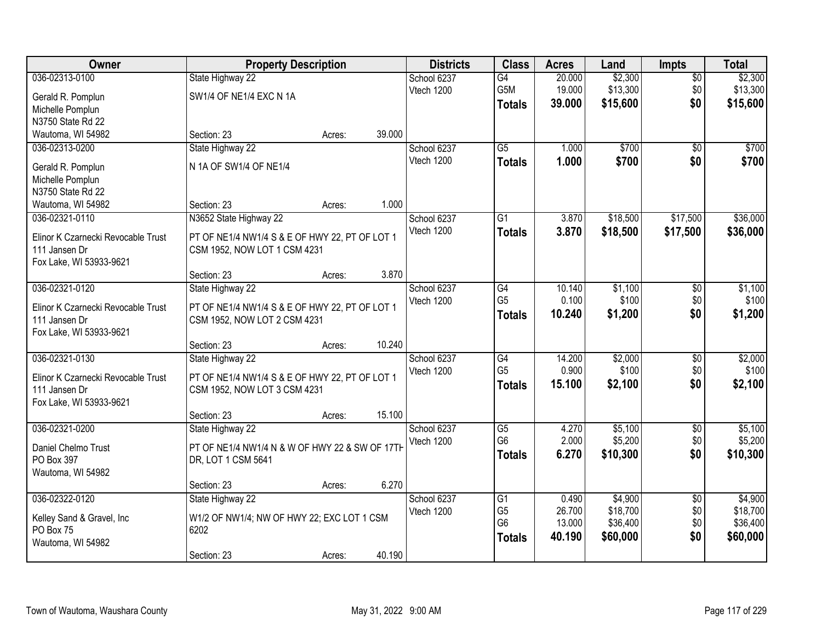| <b>Owner</b>                                                                                      | <b>Property Description</b>                                                                                                                                              | <b>Districts</b>          | <b>Class</b>                                            | <b>Acres</b>                        | Land                                        | <b>Impts</b>                         | <b>Total</b>                                |
|---------------------------------------------------------------------------------------------------|--------------------------------------------------------------------------------------------------------------------------------------------------------------------------|---------------------------|---------------------------------------------------------|-------------------------------------|---------------------------------------------|--------------------------------------|---------------------------------------------|
| 036-02313-0100<br>Gerald R. Pomplun<br>Michelle Pomplun<br>N3750 State Rd 22                      | State Highway 22<br>SW1/4 OF NE1/4 EXC N 1A                                                                                                                              | School 6237<br>Vtech 1200 | G4<br>G5M<br><b>Totals</b>                              | 20.000<br>19.000<br>39.000          | \$2,300<br>\$13,300<br>\$15,600             | $\overline{50}$<br>\$0<br>\$0        | \$2,300<br>\$13,300<br>\$15,600             |
| Wautoma, WI 54982                                                                                 | 39.000<br>Section: 23<br>Acres:                                                                                                                                          |                           |                                                         |                                     |                                             |                                      |                                             |
| 036-02313-0200<br>Gerald R. Pomplun<br>Michelle Pomplun<br>N3750 State Rd 22<br>Wautoma, WI 54982 | State Highway 22<br>N 1A OF SW1/4 OF NE1/4<br>1.000<br>Section: 23<br>Acres:                                                                                             | School 6237<br>Vtech 1200 | $\overline{G5}$<br><b>Totals</b>                        | 1.000<br>1.000                      | \$700<br>\$700                              | $\overline{50}$<br>\$0               | \$700<br>\$700                              |
| 036-02321-0110<br>Elinor K Czarnecki Revocable Trust<br>111 Jansen Dr<br>Fox Lake, WI 53933-9621  | N3652 State Highway 22<br>PT OF NE1/4 NW1/4 S & E OF HWY 22, PT OF LOT 1<br>CSM 1952, NOW LOT 1 CSM 4231<br>3.870<br>Section: 23<br>Acres:                               | School 6237<br>Vtech 1200 | $\overline{G1}$<br><b>Totals</b>                        | 3.870<br>3.870                      | \$18,500<br>\$18,500                        | \$17,500<br>\$17,500                 | \$36,000<br>\$36,000                        |
| 036-02321-0120<br>Elinor K Czarnecki Revocable Trust<br>111 Jansen Dr<br>Fox Lake, WI 53933-9621  | State Highway 22<br>PT OF NE1/4 NW1/4 S & E OF HWY 22, PT OF LOT 1<br>CSM 1952, NOW LOT 2 CSM 4231                                                                       | School 6237<br>Vtech 1200 | G4<br>G <sub>5</sub><br><b>Totals</b>                   | 10.140<br>0.100<br>10.240           | \$1,100<br>\$100<br>\$1,200                 | \$0<br>\$0<br>\$0                    | \$1,100<br>\$100<br>\$1,200                 |
| 036-02321-0130<br>Elinor K Czarnecki Revocable Trust<br>111 Jansen Dr<br>Fox Lake, WI 53933-9621  | 10.240<br>Section: 23<br>Acres:<br>State Highway 22<br>PT OF NE1/4 NW1/4 S & E OF HWY 22, PT OF LOT 1<br>CSM 1952, NOW LOT 3 CSM 4231<br>15.100<br>Section: 23<br>Acres: | School 6237<br>Vtech 1200 | $\overline{G4}$<br>G <sub>5</sub><br><b>Totals</b>      | 14.200<br>0.900<br>15.100           | \$2,000<br>\$100<br>\$2,100                 | $\overline{50}$<br>\$0<br>\$0        | \$2,000<br>\$100<br>\$2,100                 |
| 036-02321-0200<br>Daniel Chelmo Trust<br>PO Box 397<br>Wautoma, WI 54982                          | State Highway 22<br>PT OF NE1/4 NW1/4 N & W OF HWY 22 & SW OF 17TH<br>DR, LOT 1 CSM 5641<br>6.270<br>Section: 23<br>Acres:                                               | School 6237<br>Vtech 1200 | $\overline{G5}$<br>G <sub>6</sub><br><b>Totals</b>      | 4.270<br>2.000<br>6.270             | \$5,100<br>\$5,200<br>\$10,300              | $\overline{50}$<br>\$0<br>\$0        | \$5,100<br>\$5,200<br>\$10,300              |
| 036-02322-0120<br>Kelley Sand & Gravel, Inc<br>PO Box 75<br>Wautoma, WI 54982                     | State Highway 22<br>W1/2 OF NW1/4; NW OF HWY 22; EXC LOT 1 CSM<br>6202<br>40.190<br>Section: 23<br>Acres:                                                                | School 6237<br>Vtech 1200 | G1<br>G <sub>5</sub><br>G <sub>6</sub><br><b>Totals</b> | 0.490<br>26.700<br>13.000<br>40.190 | \$4,900<br>\$18,700<br>\$36,400<br>\$60,000 | $\overline{30}$<br>\$0<br>\$0<br>\$0 | \$4,900<br>\$18,700<br>\$36,400<br>\$60,000 |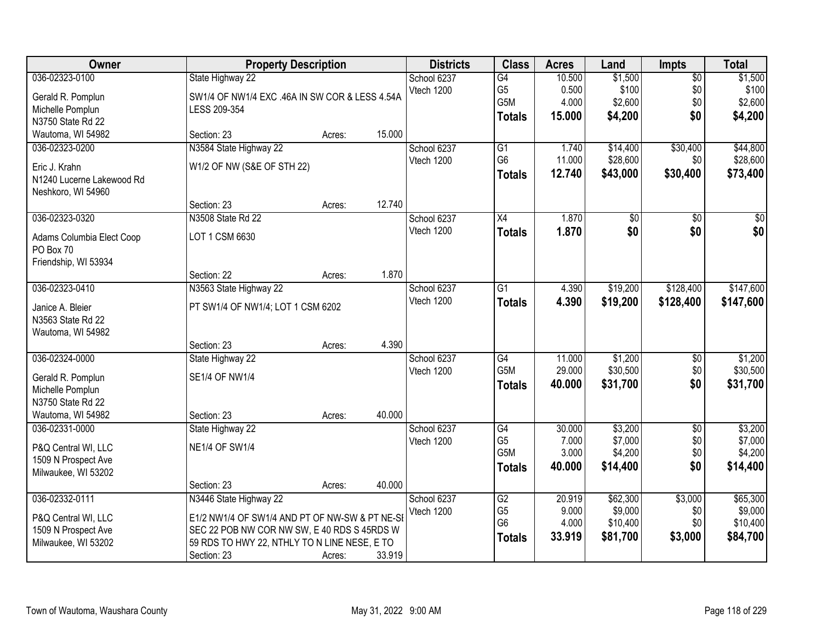| Owner                                      | <b>Property Description</b>                    |        |        | <b>Districts</b> | <b>Class</b>     | <b>Acres</b> | Land            | <b>Impts</b>    | <b>Total</b>     |
|--------------------------------------------|------------------------------------------------|--------|--------|------------------|------------------|--------------|-----------------|-----------------|------------------|
| 036-02323-0100                             | State Highway 22                               |        |        | School 6237      | G4               | 10.500       | \$1,500         | $\overline{$0}$ | \$1,500          |
| Gerald R. Pomplun                          | SW1/4 OF NW1/4 EXC .46A IN SW COR & LESS 4.54A |        |        | Vtech 1200       | G <sub>5</sub>   | 0.500        | \$100           | \$0             | \$100            |
| Michelle Pomplun                           | LESS 209-354                                   |        |        |                  | G5M              | 4.000        | \$2,600         | \$0             | \$2,600          |
| N3750 State Rd 22                          |                                                |        |        |                  | <b>Totals</b>    | 15,000       | \$4,200         | \$0             | \$4,200          |
| Wautoma, WI 54982                          | Section: 23                                    | Acres: | 15.000 |                  |                  |              |                 |                 |                  |
| 036-02323-0200                             | N3584 State Highway 22                         |        |        | School 6237      | $\overline{G1}$  | 1.740        | \$14,400        | \$30,400        | \$44,800         |
|                                            |                                                |        |        | Vtech 1200       | G <sub>6</sub>   | 11.000       | \$28,600        | \$0             | \$28,600         |
| Eric J. Krahn<br>N1240 Lucerne Lakewood Rd | W1/2 OF NW (S&E OF STH 22)                     |        |        |                  | <b>Totals</b>    | 12.740       | \$43,000        | \$30,400        | \$73,400         |
| Neshkoro, WI 54960                         |                                                |        |        |                  |                  |              |                 |                 |                  |
|                                            | Section: 23                                    | Acres: | 12.740 |                  |                  |              |                 |                 |                  |
| 036-02323-0320                             | N3508 State Rd 22                              |        |        | School 6237      | X4               | 1.870        | $\overline{50}$ | \$0             | $\overline{\$0}$ |
|                                            |                                                |        |        | Vtech 1200       |                  | 1.870        | \$0             | \$0             | \$0              |
| Adams Columbia Elect Coop                  | LOT 1 CSM 6630                                 |        |        |                  | <b>Totals</b>    |              |                 |                 |                  |
| PO Box 70                                  |                                                |        |        |                  |                  |              |                 |                 |                  |
| Friendship, WI 53934                       |                                                |        |        |                  |                  |              |                 |                 |                  |
|                                            | Section: 22                                    | Acres: | 1.870  |                  |                  |              |                 |                 |                  |
| 036-02323-0410                             | N3563 State Highway 22                         |        |        | School 6237      | $\overline{G1}$  | 4.390        | \$19,200        | \$128,400       | \$147,600        |
| Janice A. Bleier                           | PT SW1/4 OF NW1/4; LOT 1 CSM 6202              |        |        | Vtech 1200       | <b>Totals</b>    | 4.390        | \$19,200        | \$128,400       | \$147,600        |
| N3563 State Rd 22                          |                                                |        |        |                  |                  |              |                 |                 |                  |
| Wautoma, WI 54982                          |                                                |        |        |                  |                  |              |                 |                 |                  |
|                                            | Section: 23                                    | Acres: | 4.390  |                  |                  |              |                 |                 |                  |
| 036-02324-0000                             | State Highway 22                               |        |        | School 6237      | $\overline{G4}$  | 11.000       | \$1,200         | \$0             | \$1,200          |
|                                            |                                                |        |        | Vtech 1200       | G <sub>5</sub> M | 29.000       | \$30,500        | \$0             | \$30,500         |
| Gerald R. Pomplun                          | SE1/4 OF NW1/4                                 |        |        |                  | <b>Totals</b>    | 40.000       | \$31,700        | \$0             | \$31,700         |
| Michelle Pomplun<br>N3750 State Rd 22      |                                                |        |        |                  |                  |              |                 |                 |                  |
| Wautoma, WI 54982                          | Section: 23                                    | Acres: | 40.000 |                  |                  |              |                 |                 |                  |
| 036-02331-0000                             | State Highway 22                               |        |        | School 6237      | G4               | 30.000       | \$3,200         | $\overline{60}$ | \$3,200          |
|                                            |                                                |        |        | Vtech 1200       | G <sub>5</sub>   | 7.000        | \$7,000         | \$0             | \$7,000          |
| P&Q Central WI, LLC                        | <b>NE1/4 OF SW1/4</b>                          |        |        |                  | G <sub>5</sub> M | 3.000        | \$4,200         | \$0             | \$4,200          |
| 1509 N Prospect Ave                        |                                                |        |        |                  | <b>Totals</b>    | 40.000       | \$14,400        | \$0             | \$14,400         |
| Milwaukee, WI 53202                        |                                                |        |        |                  |                  |              |                 |                 |                  |
|                                            | Section: 23                                    | Acres: | 40.000 |                  |                  |              |                 |                 |                  |
| 036-02332-0111                             | N3446 State Highway 22                         |        |        | School 6237      | G2               | 20.919       | \$62,300        | \$3,000         | \$65,300         |
| P&Q Central WI, LLC                        | E1/2 NW1/4 OF SW1/4 AND PT OF NW-SW & PT NE-SI |        |        | Vtech 1200       | G <sub>5</sub>   | 9.000        | \$9,000         | \$0             | \$9,000          |
| 1509 N Prospect Ave                        | SEC 22 POB NW COR NW SW, E 40 RDS S 45RDS W    |        |        |                  | G <sub>6</sub>   | 4.000        | \$10,400        | \$0             | \$10,400         |
| Milwaukee, WI 53202                        | 59 RDS TO HWY 22, NTHLY TO N LINE NESE, E TO   |        |        |                  | <b>Totals</b>    | 33.919       | \$81,700        | \$3,000         | \$84,700         |
|                                            | Section: 23                                    | Acres: | 33.919 |                  |                  |              |                 |                 |                  |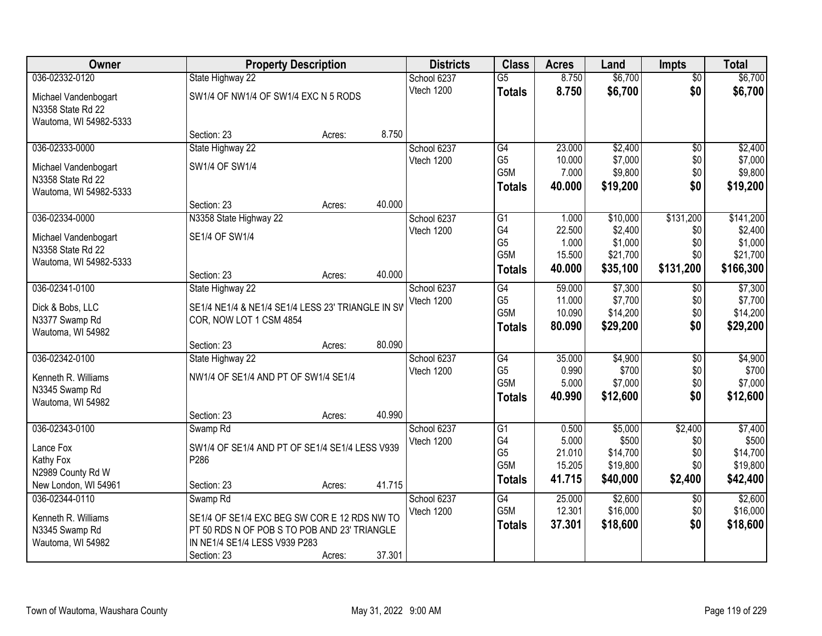| Owner                  |                                                   | <b>Property Description</b> |        | <b>Districts</b> | <b>Class</b>          | <b>Acres</b>     | Land                 | <b>Impts</b>    | <b>Total</b>         |
|------------------------|---------------------------------------------------|-----------------------------|--------|------------------|-----------------------|------------------|----------------------|-----------------|----------------------|
| 036-02332-0120         | State Highway 22                                  |                             |        | School 6237      | $\overline{G5}$       | 8.750            | \$6,700              | $\overline{50}$ | \$6,700              |
| Michael Vandenbogart   | SW1/4 OF NW1/4 OF SW1/4 EXC N 5 RODS              |                             |        | Vtech 1200       | <b>Totals</b>         | 8.750            | \$6,700              | \$0             | \$6,700              |
| N3358 State Rd 22      |                                                   |                             |        |                  |                       |                  |                      |                 |                      |
| Wautoma, WI 54982-5333 |                                                   |                             |        |                  |                       |                  |                      |                 |                      |
|                        | Section: 23                                       | Acres:                      | 8.750  |                  |                       |                  |                      |                 |                      |
| 036-02333-0000         | State Highway 22                                  |                             |        | School 6237      | G4                    | 23.000           | \$2,400              | $\overline{50}$ | \$2,400              |
| Michael Vandenbogart   | SW1/4 OF SW1/4                                    |                             |        | Vtech 1200       | G <sub>5</sub>        | 10.000           | \$7,000              | \$0             | \$7,000              |
| N3358 State Rd 22      |                                                   |                             |        |                  | G5M                   | 7.000            | \$9,800              | \$0             | \$9,800              |
| Wautoma, WI 54982-5333 |                                                   |                             |        |                  | <b>Totals</b>         | 40.000           | \$19,200             | \$0             | \$19,200             |
|                        | Section: 23                                       | Acres:                      | 40.000 |                  |                       |                  |                      |                 |                      |
| 036-02334-0000         | N3358 State Highway 22                            |                             |        | School 6237      | G1                    | 1.000            | \$10,000             | \$131,200       | \$141,200            |
| Michael Vandenbogart   | SE1/4 OF SW1/4                                    |                             |        | Vtech 1200       | G4                    | 22.500           | \$2,400              | \$0             | \$2,400              |
| N3358 State Rd 22      |                                                   |                             |        |                  | G <sub>5</sub><br>G5M | 1.000<br>15.500  | \$1,000<br>\$21,700  | \$0<br>\$0      | \$1,000<br>\$21,700  |
| Wautoma, WI 54982-5333 |                                                   |                             |        |                  | <b>Totals</b>         | 40.000           | \$35,100             | \$131,200       | \$166,300            |
|                        | Section: 23                                       | Acres:                      | 40.000 |                  |                       |                  |                      |                 |                      |
| 036-02341-0100         | State Highway 22                                  |                             |        | School 6237      | G4                    | 59.000           | \$7,300              | $\sqrt[6]{3}$   | \$7,300              |
| Dick & Bobs, LLC       | SE1/4 NE1/4 & NE1/4 SE1/4 LESS 23' TRIANGLE IN SV |                             |        | Vtech 1200       | G <sub>5</sub>        | 11.000           | \$7,700              | \$0             | \$7,700              |
| N3377 Swamp Rd         | COR, NOW LOT 1 CSM 4854                           |                             |        |                  | G <sub>5</sub> M      | 10.090           | \$14,200             | \$0             | \$14,200             |
| Wautoma, WI 54982      |                                                   |                             |        |                  | <b>Totals</b>         | 80.090           | \$29,200             | \$0             | \$29,200             |
|                        | Section: 23                                       | Acres:                      | 80.090 |                  |                       |                  |                      |                 |                      |
| 036-02342-0100         | State Highway 22                                  |                             |        | School 6237      | $\overline{G4}$       | 35.000           | \$4,900              | $\overline{50}$ | \$4,900              |
| Kenneth R. Williams    | NW1/4 OF SE1/4 AND PT OF SW1/4 SE1/4              |                             |        | Vtech 1200       | G <sub>5</sub>        | 0.990            | \$700                | \$0             | \$700                |
| N3345 Swamp Rd         |                                                   |                             |        |                  | G5M                   | 5.000            | \$7,000              | \$0             | \$7,000              |
| Wautoma, WI 54982      |                                                   |                             |        |                  | <b>Totals</b>         | 40.990           | \$12,600             | \$0             | \$12,600             |
|                        | Section: 23                                       | Acres:                      | 40.990 |                  |                       |                  |                      |                 |                      |
| 036-02343-0100         | Swamp <sub>Rd</sub>                               |                             |        | School 6237      | $\overline{G1}$       | 0.500            | \$5,000              | \$2,400         | \$7,400              |
| Lance Fox              | SW1/4 OF SE1/4 AND PT OF SE1/4 SE1/4 LESS V939    |                             |        | Vtech 1200       | G4                    | 5.000            | \$500                | \$0             | \$500                |
| Kathy Fox              | P286                                              |                             |        |                  | G <sub>5</sub><br>G5M | 21.010<br>15.205 | \$14,700<br>\$19,800 | \$0<br>\$0      | \$14,700<br>\$19,800 |
| N2989 County Rd W      |                                                   |                             |        |                  |                       | 41.715           | \$40,000             | \$2,400         | \$42,400             |
| New London, WI 54961   | Section: 23                                       | Acres:                      | 41.715 |                  | <b>Totals</b>         |                  |                      |                 |                      |
| 036-02344-0110         | Swamp <sub>Rd</sub>                               |                             |        | School 6237      | G4                    | 25.000           | \$2,600              | $\overline{60}$ | \$2,600              |
| Kenneth R. Williams    | SE1/4 OF SE1/4 EXC BEG SW COR E 12 RDS NW TO      |                             |        | Vtech 1200       | G5M                   | 12.301           | \$16,000             | \$0             | \$16,000             |
| N3345 Swamp Rd         | PT 50 RDS N OF POB S TO POB AND 23' TRIANGLE      |                             |        |                  | <b>Totals</b>         | 37.301           | \$18,600             | \$0             | \$18,600             |
| Wautoma, WI 54982      | IN NE1/4 SE1/4 LESS V939 P283                     |                             |        |                  |                       |                  |                      |                 |                      |
|                        | Section: 23                                       | Acres:                      | 37.301 |                  |                       |                  |                      |                 |                      |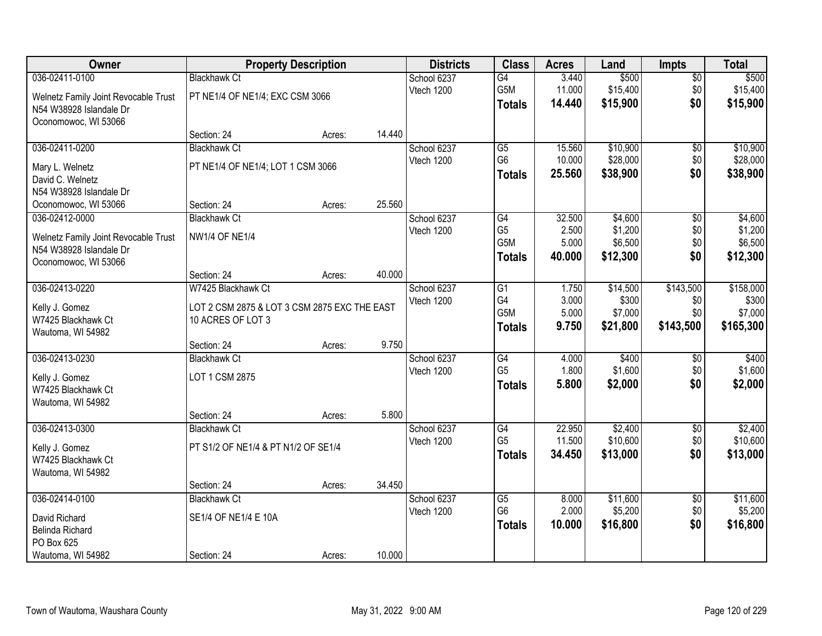| Owner                                | <b>Property Description</b>                  |        |        | <b>Districts</b> | <b>Class</b>    | <b>Acres</b> | Land     | <b>Impts</b>    | <b>Total</b> |
|--------------------------------------|----------------------------------------------|--------|--------|------------------|-----------------|--------------|----------|-----------------|--------------|
| 036-02411-0100                       | <b>Blackhawk Ct</b>                          |        |        | School 6237      | G4              | 3.440        | \$500    | $\overline{50}$ | \$500        |
| Welnetz Family Joint Revocable Trust | PT NE1/4 OF NE1/4; EXC CSM 3066              |        |        | Vtech 1200       | G5M             | 11.000       | \$15,400 | \$0             | \$15,400     |
| N54 W38928 Islandale Dr              |                                              |        |        |                  | <b>Totals</b>   | 14.440       | \$15,900 | \$0             | \$15,900     |
| Oconomowoc, WI 53066                 |                                              |        |        |                  |                 |              |          |                 |              |
|                                      | Section: 24                                  | Acres: | 14.440 |                  |                 |              |          |                 |              |
| 036-02411-0200                       | <b>Blackhawk Ct</b>                          |        |        | School 6237      | $\overline{G5}$ | 15.560       | \$10,900 | \$0             | \$10,900     |
| Mary L. Welnetz                      | PT NE1/4 OF NE1/4; LOT 1 CSM 3066            |        |        | Vtech 1200       | G <sub>6</sub>  | 10.000       | \$28,000 | \$0             | \$28,000     |
| David C. Welnetz                     |                                              |        |        |                  | <b>Totals</b>   | 25.560       | \$38,900 | \$0             | \$38,900     |
| N54 W38928 Islandale Dr              |                                              |        |        |                  |                 |              |          |                 |              |
| Oconomowoc, WI 53066                 | Section: 24                                  | Acres: | 25.560 |                  |                 |              |          |                 |              |
| 036-02412-0000                       | <b>Blackhawk Ct</b>                          |        |        | School 6237      | G4              | 32.500       | \$4,600  | \$0             | \$4,600      |
| Welnetz Family Joint Revocable Trust | <b>NW1/4 OF NE1/4</b>                        |        |        | Vtech 1200       | G <sub>5</sub>  | 2.500        | \$1,200  | \$0             | \$1,200      |
| N54 W38928 Islandale Dr              |                                              |        |        |                  | G5M             | 5.000        | \$6,500  | \$0             | \$6,500      |
| Oconomowoc, WI 53066                 |                                              |        |        |                  | <b>Totals</b>   | 40.000       | \$12,300 | \$0             | \$12,300     |
|                                      | Section: 24                                  | Acres: | 40.000 |                  |                 |              |          |                 |              |
| 036-02413-0220                       | W7425 Blackhawk Ct                           |        |        | School 6237      | G1              | 1.750        | \$14,500 | \$143,500       | \$158,000    |
| Kelly J. Gomez                       | LOT 2 CSM 2875 & LOT 3 CSM 2875 EXC THE EAST |        |        | Vtech 1200       | G4              | 3.000        | \$300    | \$0             | \$300        |
| W7425 Blackhawk Ct                   | 10 ACRES OF LOT 3                            |        |        |                  | G5M             | 5.000        | \$7,000  | \$0             | \$7,000      |
| Wautoma, WI 54982                    |                                              |        |        |                  | <b>Totals</b>   | 9.750        | \$21,800 | \$143,500       | \$165,300    |
|                                      | Section: 24                                  | Acres: | 9.750  |                  |                 |              |          |                 |              |
| 036-02413-0230                       | <b>Blackhawk Ct</b>                          |        |        | School 6237      | $\overline{G4}$ | 4.000        | \$400    | \$0             | \$400        |
| Kelly J. Gomez                       | LOT 1 CSM 2875                               |        |        | Vtech 1200       | G <sub>5</sub>  | 1.800        | \$1,600  | \$0             | \$1,600      |
| W7425 Blackhawk Ct                   |                                              |        |        |                  | <b>Totals</b>   | 5.800        | \$2,000  | \$0             | \$2,000      |
| Wautoma, WI 54982                    |                                              |        |        |                  |                 |              |          |                 |              |
|                                      | Section: 24                                  | Acres: | 5.800  |                  |                 |              |          |                 |              |
| 036-02413-0300                       | <b>Blackhawk Ct</b>                          |        |        | School 6237      | G4              | 22.950       | \$2,400  | $\sqrt{$0}$     | \$2,400      |
| Kelly J. Gomez                       | PT S1/2 OF NE1/4 & PT N1/2 OF SE1/4          |        |        | Vtech 1200       | G <sub>5</sub>  | 11.500       | \$10,600 | \$0             | \$10,600     |
| W7425 Blackhawk Ct                   |                                              |        |        |                  | <b>Totals</b>   | 34.450       | \$13,000 | \$0             | \$13,000     |
| Wautoma, WI 54982                    |                                              |        |        |                  |                 |              |          |                 |              |
|                                      | Section: 24                                  | Acres: | 34.450 |                  |                 |              |          |                 |              |
| 036-02414-0100                       | <b>Blackhawk Ct</b>                          |        |        | School 6237      | $\overline{G5}$ | 8.000        | \$11,600 | $\overline{50}$ | \$11,600     |
| David Richard                        | SE1/4 OF NE1/4 E 10A                         |        |        | Vtech 1200       | G <sub>6</sub>  | 2.000        | \$5,200  | \$0             | \$5,200      |
| Belinda Richard                      |                                              |        |        |                  | <b>Totals</b>   | 10.000       | \$16,800 | \$0             | \$16,800     |
| PO Box 625                           |                                              |        |        |                  |                 |              |          |                 |              |
| Wautoma, WI 54982                    | Section: 24                                  | Acres: | 10.000 |                  |                 |              |          |                 |              |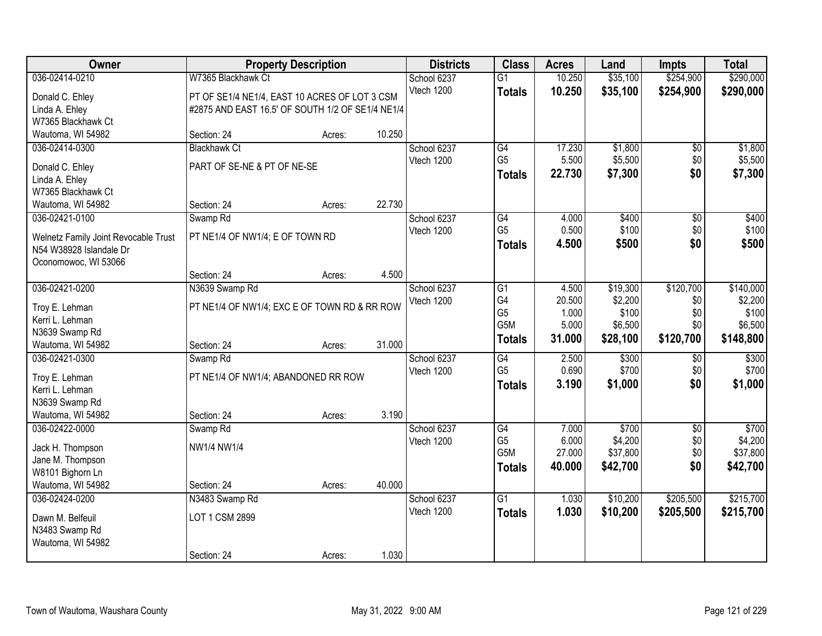| Owner                                |                                                  | <b>Property Description</b> |        | <b>Districts</b> | <b>Class</b>    | <b>Acres</b> | Land     | <b>Impts</b>    | <b>Total</b> |
|--------------------------------------|--------------------------------------------------|-----------------------------|--------|------------------|-----------------|--------------|----------|-----------------|--------------|
| 036-02414-0210                       | W7365 Blackhawk Ct                               |                             |        | School 6237      | $\overline{G1}$ | 10.250       | \$35,100 | \$254,900       | \$290,000    |
| Donald C. Ehley                      | PT OF SE1/4 NE1/4, EAST 10 ACRES OF LOT 3 CSM    |                             |        | Vtech 1200       | <b>Totals</b>   | 10.250       | \$35,100 | \$254,900       | \$290,000    |
| Linda A. Ehley                       | #2875 AND EAST 16.5' OF SOUTH 1/2 OF SE1/4 NE1/4 |                             |        |                  |                 |              |          |                 |              |
| W7365 Blackhawk Ct                   |                                                  |                             |        |                  |                 |              |          |                 |              |
| Wautoma, WI 54982                    | Section: 24                                      | Acres:                      | 10.250 |                  |                 |              |          |                 |              |
| 036-02414-0300                       | <b>Blackhawk Ct</b>                              |                             |        | School 6237      | G4              | 17.230       | \$1,800  | \$0             | \$1,800      |
| Donald C. Ehley                      | PART OF SE-NE & PT OF NE-SE                      |                             |        | Vtech 1200       | G <sub>5</sub>  | 5.500        | \$5,500  | \$0             | \$5,500      |
| Linda A. Ehley                       |                                                  |                             |        |                  | <b>Totals</b>   | 22.730       | \$7,300  | \$0             | \$7,300      |
| W7365 Blackhawk Ct                   |                                                  |                             |        |                  |                 |              |          |                 |              |
| Wautoma, WI 54982                    | Section: 24                                      | Acres:                      | 22.730 |                  |                 |              |          |                 |              |
| 036-02421-0100                       | Swamp <sub>Rd</sub>                              |                             |        | School 6237      | G4              | 4.000        | \$400    | \$0             | \$400        |
| Welnetz Family Joint Revocable Trust | PT NE1/4 OF NW1/4; E OF TOWN RD                  |                             |        | Vtech 1200       | G <sub>5</sub>  | 0.500        | \$100    | \$0             | \$100        |
| N54 W38928 Islandale Dr              |                                                  |                             |        |                  | <b>Totals</b>   | 4.500        | \$500    | \$0             | \$500        |
| Oconomowoc, WI 53066                 |                                                  |                             |        |                  |                 |              |          |                 |              |
|                                      | Section: 24                                      | Acres:                      | 4.500  |                  |                 |              |          |                 |              |
| 036-02421-0200                       | N3639 Swamp Rd                                   |                             |        | School 6237      | G1              | 4.500        | \$19,300 | \$120,700       | \$140,000    |
| Troy E. Lehman                       | PT NE1/4 OF NW1/4; EXC E OF TOWN RD & RR ROW     |                             |        | Vtech 1200       | G4              | 20.500       | \$2,200  | \$0             | \$2,200      |
| Kerri L. Lehman                      |                                                  |                             |        |                  | G <sub>5</sub>  | 1.000        | \$100    | \$0             | \$100        |
| N3639 Swamp Rd                       |                                                  |                             |        |                  | G5M             | 5.000        | \$6,500  | \$0             | \$6,500      |
| Wautoma, WI 54982                    | Section: 24                                      | Acres:                      | 31.000 |                  | <b>Totals</b>   | 31.000       | \$28,100 | \$120,700       | \$148,800    |
| 036-02421-0300                       | Swamp <sub>Rd</sub>                              |                             |        | School 6237      | $\overline{G4}$ | 2.500        | \$300    | \$0             | \$300        |
|                                      |                                                  |                             |        | Vtech 1200       | G <sub>5</sub>  | 0.690        | \$700    | \$0             | \$700        |
| Troy E. Lehman<br>Kerri L. Lehman    | PT NE1/4 OF NW1/4; ABANDONED RR ROW              |                             |        |                  | <b>Totals</b>   | 3.190        | \$1,000  | \$0             | \$1,000      |
| N3639 Swamp Rd                       |                                                  |                             |        |                  |                 |              |          |                 |              |
| Wautoma, WI 54982                    | Section: 24                                      | Acres:                      | 3.190  |                  |                 |              |          |                 |              |
| 036-02422-0000                       | Swamp <sub>Rd</sub>                              |                             |        | School 6237      | G4              | 7.000        | \$700    | $\overline{50}$ | \$700        |
|                                      |                                                  |                             |        | Vtech 1200       | G <sub>5</sub>  | 6.000        | \$4,200  | \$0             | \$4,200      |
| Jack H. Thompson                     | NW1/4 NW1/4                                      |                             |        |                  | G5M             | 27.000       | \$37,800 | \$0             | \$37,800     |
| Jane M. Thompson<br>W8101 Bighorn Ln |                                                  |                             |        |                  | Totals          | 40.000       | \$42,700 | \$0             | \$42,700     |
| Wautoma, WI 54982                    | Section: 24                                      | Acres:                      | 40.000 |                  |                 |              |          |                 |              |
| 036-02424-0200                       | N3483 Swamp Rd                                   |                             |        | School 6237      | $\overline{G1}$ | 1.030        | \$10,200 | \$205,500       | \$215,700    |
|                                      |                                                  |                             |        | Vtech 1200       | <b>Totals</b>   | 1.030        | \$10,200 | \$205,500       | \$215,700    |
| Dawn M. Belfeuil                     | LOT 1 CSM 2899                                   |                             |        |                  |                 |              |          |                 |              |
| N3483 Swamp Rd                       |                                                  |                             |        |                  |                 |              |          |                 |              |
| Wautoma, WI 54982                    | Section: 24                                      |                             | 1.030  |                  |                 |              |          |                 |              |
|                                      |                                                  | Acres:                      |        |                  |                 |              |          |                 |              |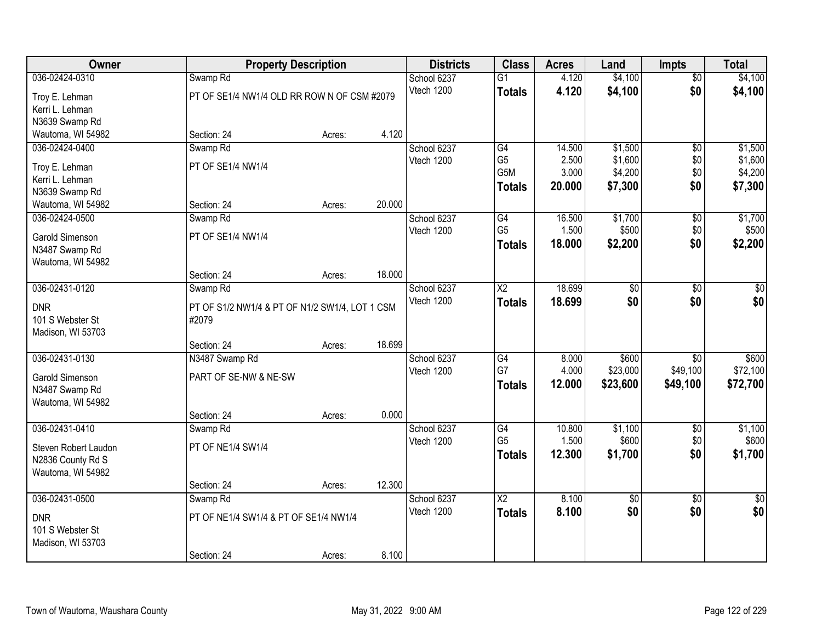| Owner                                 |                                                | <b>Property Description</b> |        | <b>Districts</b>          | <b>Class</b>           | <b>Acres</b> | Land                   | <b>Impts</b>    | <b>Total</b>  |
|---------------------------------------|------------------------------------------------|-----------------------------|--------|---------------------------|------------------------|--------------|------------------------|-----------------|---------------|
| 036-02424-0310                        | Swamp <sub>Rd</sub>                            |                             |        | School 6237               | $\overline{G1}$        | 4.120        | \$4,100                | $\overline{50}$ | \$4,100       |
| Troy E. Lehman                        | PT OF SE1/4 NW1/4 OLD RR ROW N OF CSM #2079    |                             |        | Vtech 1200                | <b>Totals</b>          | 4.120        | \$4,100                | \$0             | \$4,100       |
| Kerri L. Lehman                       |                                                |                             |        |                           |                        |              |                        |                 |               |
| N3639 Swamp Rd                        |                                                |                             |        |                           |                        |              |                        |                 |               |
| Wautoma, WI 54982                     | Section: 24                                    | Acres:                      | 4.120  |                           |                        |              |                        |                 |               |
| 036-02424-0400                        | Swamp <sub>Rd</sub>                            |                             |        | School 6237               | G4                     | 14.500       | \$1,500                | $\overline{50}$ | \$1,500       |
| Troy E. Lehman                        | PT OF SE1/4 NW1/4                              |                             |        | Vtech 1200                | G <sub>5</sub>         | 2.500        | \$1,600                | \$0             | \$1,600       |
| Kerri L. Lehman                       |                                                |                             |        |                           | G <sub>5</sub> M       | 3.000        | \$4,200                | \$0             | \$4,200       |
| N3639 Swamp Rd                        |                                                |                             |        |                           | <b>Totals</b>          | 20.000       | \$7,300                | \$0             | \$7,300       |
| Wautoma, WI 54982                     | Section: 24                                    | Acres:                      | 20.000 |                           |                        |              |                        |                 |               |
| 036-02424-0500                        | Swamp <sub>Rd</sub>                            |                             |        | School 6237               | G4                     | 16.500       | \$1,700                | \$0             | \$1,700       |
|                                       | PT OF SE1/4 NW1/4                              |                             |        | Vtech 1200                | G <sub>5</sub>         | 1.500        | \$500                  | \$0             | \$500         |
| Garold Simenson<br>N3487 Swamp Rd     |                                                |                             |        |                           | <b>Totals</b>          | 18.000       | \$2,200                | \$0             | \$2,200       |
| Wautoma, WI 54982                     |                                                |                             |        |                           |                        |              |                        |                 |               |
|                                       | Section: 24                                    | Acres:                      | 18.000 |                           |                        |              |                        |                 |               |
| 036-02431-0120                        | Swamp Rd                                       |                             |        | School 6237               | $\overline{\text{X2}}$ | 18.699       | $\overline{50}$        | \$0             | \$0           |
|                                       |                                                |                             |        | Vtech 1200                | <b>Totals</b>          | 18.699       | \$0                    | \$0             | \$0           |
| <b>DNR</b>                            | PT OF S1/2 NW1/4 & PT OF N1/2 SW1/4, LOT 1 CSM |                             |        |                           |                        |              |                        |                 |               |
| 101 S Webster St<br>Madison, WI 53703 | #2079                                          |                             |        |                           |                        |              |                        |                 |               |
|                                       | Section: 24                                    | Acres:                      | 18.699 |                           |                        |              |                        |                 |               |
| 036-02431-0130                        | N3487 Swamp Rd                                 |                             |        | School 6237               | $\overline{G4}$        | 8.000        | \$600                  | $\overline{30}$ | \$600         |
|                                       |                                                |                             |        | Vtech 1200                | G7                     | 4.000        | \$23,000               | \$49,100        | \$72,100      |
| Garold Simenson                       | PART OF SE-NW & NE-SW                          |                             |        |                           | <b>Totals</b>          | 12.000       | \$23,600               | \$49,100        | \$72,700      |
| N3487 Swamp Rd                        |                                                |                             |        |                           |                        |              |                        |                 |               |
| Wautoma, WI 54982                     |                                                |                             | 0.000  |                           |                        |              |                        |                 |               |
| 036-02431-0410                        | Section: 24<br>Swamp <sub>Rd</sub>             | Acres:                      |        | School 6237               | $\overline{G4}$        | 10.800       | \$1,100                | $\overline{50}$ | \$1,100       |
|                                       |                                                |                             |        | Vtech 1200                | G <sub>5</sub>         | 1.500        | \$600                  | \$0             | \$600         |
| Steven Robert Laudon                  | PT OF NE1/4 SW1/4                              |                             |        |                           | <b>Totals</b>          | 12.300       | \$1,700                | \$0             | \$1,700       |
| N2836 County Rd S                     |                                                |                             |        |                           |                        |              |                        |                 |               |
| Wautoma, WI 54982                     |                                                |                             |        |                           |                        |              |                        |                 |               |
|                                       | Section: 24                                    | Acres:                      | 12.300 |                           |                        |              |                        |                 |               |
| 036-02431-0500                        | Swamp <sub>Rd</sub>                            |                             |        | School 6237<br>Vtech 1200 | $\overline{\text{X2}}$ | 8.100        | $\overline{30}$<br>\$0 | $\overline{50}$ | $\frac{1}{2}$ |
| <b>DNR</b>                            | PT OF NE1/4 SW1/4 & PT OF SE1/4 NW1/4          |                             |        |                           | <b>Totals</b>          | 8.100        |                        | \$0             | \$0           |
| 101 S Webster St                      |                                                |                             |        |                           |                        |              |                        |                 |               |
| Madison, WI 53703                     |                                                |                             |        |                           |                        |              |                        |                 |               |
|                                       | Section: 24                                    | Acres:                      | 8.100  |                           |                        |              |                        |                 |               |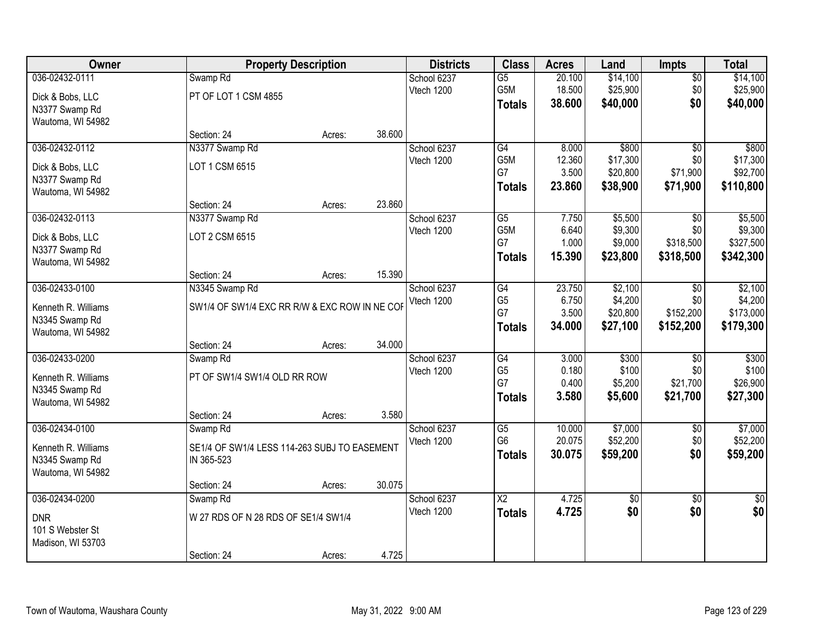| Owner               |                                               | <b>Property Description</b> |        | <b>Districts</b> | <b>Class</b>           | <b>Acres</b> | Land            | <b>Impts</b>    | <b>Total</b>    |
|---------------------|-----------------------------------------------|-----------------------------|--------|------------------|------------------------|--------------|-----------------|-----------------|-----------------|
| 036-02432-0111      | Swamp <sub>Rd</sub>                           |                             |        | School 6237      | $\overline{G5}$        | 20.100       | \$14,100        | $\overline{50}$ | \$14,100        |
| Dick & Bobs, LLC    | PT OF LOT 1 CSM 4855                          |                             |        | Vtech 1200       | G5M                    | 18.500       | \$25,900        | \$0             | \$25,900        |
| N3377 Swamp Rd      |                                               |                             |        |                  | <b>Totals</b>          | 38.600       | \$40,000        | \$0             | \$40,000        |
| Wautoma, WI 54982   |                                               |                             |        |                  |                        |              |                 |                 |                 |
|                     | Section: 24                                   | Acres:                      | 38.600 |                  |                        |              |                 |                 |                 |
| 036-02432-0112      | N3377 Swamp Rd                                |                             |        | School 6237      | G4                     | 8.000        | \$800           | $\overline{30}$ | \$800           |
| Dick & Bobs, LLC    | LOT 1 CSM 6515                                |                             |        | Vtech 1200       | G <sub>5</sub> M       | 12.360       | \$17,300        | \$0             | \$17,300        |
| N3377 Swamp Rd      |                                               |                             |        |                  | G7                     | 3.500        | \$20,800        | \$71,900        | \$92,700        |
| Wautoma, WI 54982   |                                               |                             |        |                  | <b>Totals</b>          | 23.860       | \$38,900        | \$71,900        | \$110,800       |
|                     | Section: 24                                   | Acres:                      | 23.860 |                  |                        |              |                 |                 |                 |
| 036-02432-0113      | N3377 Swamp Rd                                |                             |        | School 6237      | G5                     | 7.750        | \$5,500         | \$0             | \$5,500         |
| Dick & Bobs, LLC    | LOT 2 CSM 6515                                |                             |        | Vtech 1200       | G5M                    | 6.640        | \$9,300         | \$0             | \$9,300         |
| N3377 Swamp Rd      |                                               |                             |        |                  | G7                     | 1.000        | \$9,000         | \$318,500       | \$327,500       |
| Wautoma, WI 54982   |                                               |                             |        |                  | <b>Totals</b>          | 15.390       | \$23,800        | \$318,500       | \$342,300       |
|                     | Section: 24                                   | Acres:                      | 15.390 |                  |                        |              |                 |                 |                 |
| 036-02433-0100      | N3345 Swamp Rd                                |                             |        | School 6237      | G4                     | 23.750       | \$2,100         | $\sqrt{6}$      | \$2,100         |
| Kenneth R. Williams | SW1/4 OF SW1/4 EXC RR R/W & EXC ROW IN NE COF |                             |        | Vtech 1200       | G <sub>5</sub>         | 6.750        | \$4,200         | \$0             | \$4,200         |
| N3345 Swamp Rd      |                                               |                             |        |                  | G7                     | 3.500        | \$20,800        | \$152,200       | \$173,000       |
| Wautoma, WI 54982   |                                               |                             |        |                  | <b>Totals</b>          | 34.000       | \$27,100        | \$152,200       | \$179,300       |
|                     | Section: 24                                   | Acres:                      | 34.000 |                  |                        |              |                 |                 |                 |
| 036-02433-0200      | Swamp <sub>Rd</sub>                           |                             |        | School 6237      | $\overline{G4}$        | 3.000        | \$300           | $\overline{30}$ | \$300           |
| Kenneth R. Williams | PT OF SW1/4 SW1/4 OLD RR ROW                  |                             |        | Vtech 1200       | G <sub>5</sub>         | 0.180        | \$100           | \$0             | \$100           |
| N3345 Swamp Rd      |                                               |                             |        |                  | G7                     | 0.400        | \$5,200         | \$21,700        | \$26,900        |
| Wautoma, WI 54982   |                                               |                             |        |                  | <b>Totals</b>          | 3.580        | \$5,600         | \$21,700        | \$27,300        |
|                     | Section: 24                                   | Acres:                      | 3.580  |                  |                        |              |                 |                 |                 |
| 036-02434-0100      | Swamp <sub>Rd</sub>                           |                             |        | School 6237      | $\overline{G5}$        | 10.000       | \$7,000         | $\overline{50}$ | \$7,000         |
| Kenneth R. Williams | SE1/4 OF SW1/4 LESS 114-263 SUBJ TO EASEMENT  |                             |        | Vtech 1200       | G <sub>6</sub>         | 20.075       | \$52,200        | \$0             | \$52,200        |
| N3345 Swamp Rd      | IN 365-523                                    |                             |        |                  | <b>Totals</b>          | 30.075       | \$59,200        | \$0             | \$59,200        |
| Wautoma, WI 54982   |                                               |                             |        |                  |                        |              |                 |                 |                 |
|                     | Section: 24                                   | Acres:                      | 30.075 |                  |                        |              |                 |                 |                 |
| 036-02434-0200      | Swamp <sub>Rd</sub>                           |                             |        | School 6237      | $\overline{\text{X2}}$ | 4.725        | $\overline{30}$ | $\overline{50}$ | $\overline{50}$ |
| <b>DNR</b>          | W 27 RDS OF N 28 RDS OF SE1/4 SW1/4           |                             |        | Vtech 1200       | <b>Totals</b>          | 4.725        | \$0             | \$0             | \$0             |
| 101 S Webster St    |                                               |                             |        |                  |                        |              |                 |                 |                 |
| Madison, WI 53703   |                                               |                             |        |                  |                        |              |                 |                 |                 |
|                     | Section: 24                                   | Acres:                      | 4.725  |                  |                        |              |                 |                 |                 |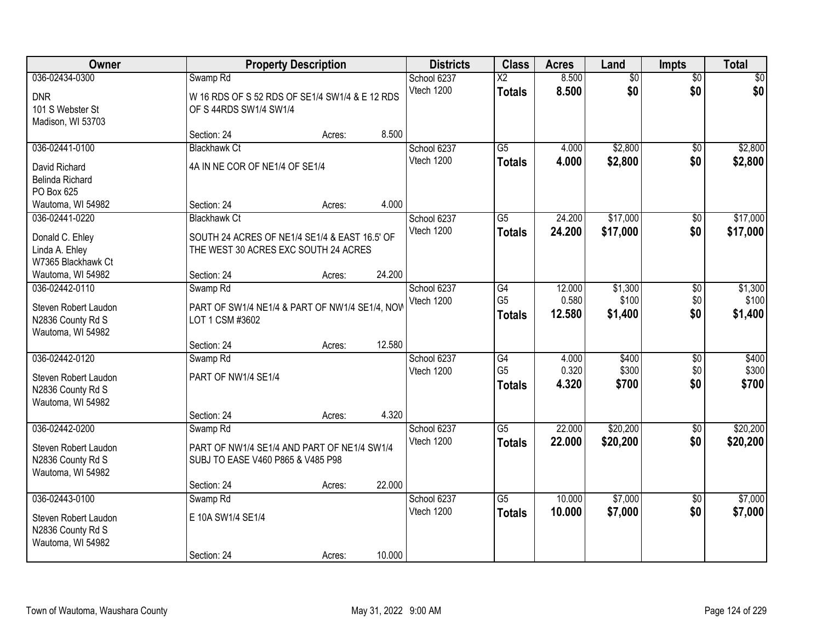| Owner                                                                            |                                                                                                              | <b>Property Description</b> |        | <b>Districts</b>          | <b>Class</b>                            | <b>Acres</b>              | Land                        | Impts                         | <b>Total</b>                |
|----------------------------------------------------------------------------------|--------------------------------------------------------------------------------------------------------------|-----------------------------|--------|---------------------------|-----------------------------------------|---------------------------|-----------------------------|-------------------------------|-----------------------------|
| 036-02434-0300<br><b>DNR</b><br>101 S Webster St<br>Madison, WI 53703            | Swamp <sub>Rd</sub><br>W 16 RDS OF S 52 RDS OF SE1/4 SW1/4 & E 12 RDS<br>OF S 44RDS SW1/4 SW1/4              |                             |        | School 6237<br>Vtech 1200 | $\overline{\text{X2}}$<br><b>Totals</b> | 8.500<br>8.500            | $\overline{50}$<br>\$0      | $\overline{50}$<br>\$0        | \$0<br>\$0                  |
|                                                                                  | Section: 24                                                                                                  | Acres:                      | 8.500  |                           |                                         |                           |                             |                               |                             |
| 036-02441-0100<br>David Richard<br>Belinda Richard<br>PO Box 625                 | <b>Blackhawk Ct</b><br>4A IN NE COR OF NE1/4 OF SE1/4                                                        |                             |        | School 6237<br>Vtech 1200 | $\overline{G5}$<br><b>Totals</b>        | 4.000<br>4.000            | \$2,800<br>\$2,800          | $\overline{50}$<br>\$0        | \$2,800<br>\$2,800          |
| Wautoma, WI 54982                                                                | Section: 24                                                                                                  | Acres:                      | 4.000  |                           |                                         |                           |                             |                               |                             |
| 036-02441-0220<br>Donald C. Ehley<br>Linda A. Ehley<br>W7365 Blackhawk Ct        | <b>Blackhawk Ct</b><br>SOUTH 24 ACRES OF NE1/4 SE1/4 & EAST 16.5' OF<br>THE WEST 30 ACRES EXC SOUTH 24 ACRES |                             |        | School 6237<br>Vtech 1200 | $\overline{G5}$<br><b>Totals</b>        | 24.200<br>24.200          | \$17,000<br>\$17,000        | $\overline{50}$<br>\$0        | \$17,000<br>\$17,000        |
| Wautoma, WI 54982                                                                | Section: 24                                                                                                  | Acres:                      | 24.200 |                           |                                         |                           |                             |                               |                             |
| 036-02442-0110<br>Steven Robert Laudon<br>N2836 County Rd S<br>Wautoma, WI 54982 | Swamp Rd<br>PART OF SW1/4 NE1/4 & PART OF NW1/4 SE1/4, NOW<br>LOT 1 CSM #3602                                |                             |        | School 6237<br>Vtech 1200 | G4<br>G <sub>5</sub><br><b>Totals</b>   | 12.000<br>0.580<br>12.580 | \$1,300<br>\$100<br>\$1,400 | $\overline{50}$<br>\$0<br>\$0 | \$1,300<br>\$100<br>\$1,400 |
|                                                                                  | Section: 24                                                                                                  | Acres:                      | 12.580 |                           |                                         |                           |                             |                               |                             |
| 036-02442-0120<br>Steven Robert Laudon<br>N2836 County Rd S<br>Wautoma, WI 54982 | Swamp <sub>Rd</sub><br>PART OF NW1/4 SE1/4                                                                   |                             |        | School 6237<br>Vtech 1200 | G4<br>G <sub>5</sub><br><b>Totals</b>   | 4.000<br>0.320<br>4.320   | \$400<br>\$300<br>\$700     | \$0<br>\$0<br>\$0             | \$400<br>\$300<br>\$700     |
|                                                                                  | Section: 24                                                                                                  | Acres:                      | 4.320  |                           |                                         |                           |                             |                               |                             |
| 036-02442-0200<br>Steven Robert Laudon<br>N2836 County Rd S<br>Wautoma, WI 54982 | Swamp Rd<br>PART OF NW1/4 SE1/4 AND PART OF NE1/4 SW1/4<br>SUBJ TO EASE V460 P865 & V485 P98                 |                             |        | School 6237<br>Vtech 1200 | $\overline{G5}$<br><b>Totals</b>        | 22.000<br>22.000          | \$20,200<br>\$20,200        | $\sqrt{6}$<br>\$0             | \$20,200<br>\$20,200        |
|                                                                                  | Section: 24                                                                                                  | Acres:                      | 22.000 |                           |                                         |                           |                             |                               |                             |
| 036-02443-0100<br>Steven Robert Laudon<br>N2836 County Rd S<br>Wautoma, WI 54982 | Swamp <sub>Rd</sub><br>E 10A SW1/4 SE1/4<br>Section: 24                                                      | Acres:                      | 10.000 | School 6237<br>Vtech 1200 | $\overline{G5}$<br><b>Totals</b>        | 10.000<br>10.000          | \$7,000<br>\$7,000          | $\overline{50}$<br>\$0        | \$7,000<br>\$7,000          |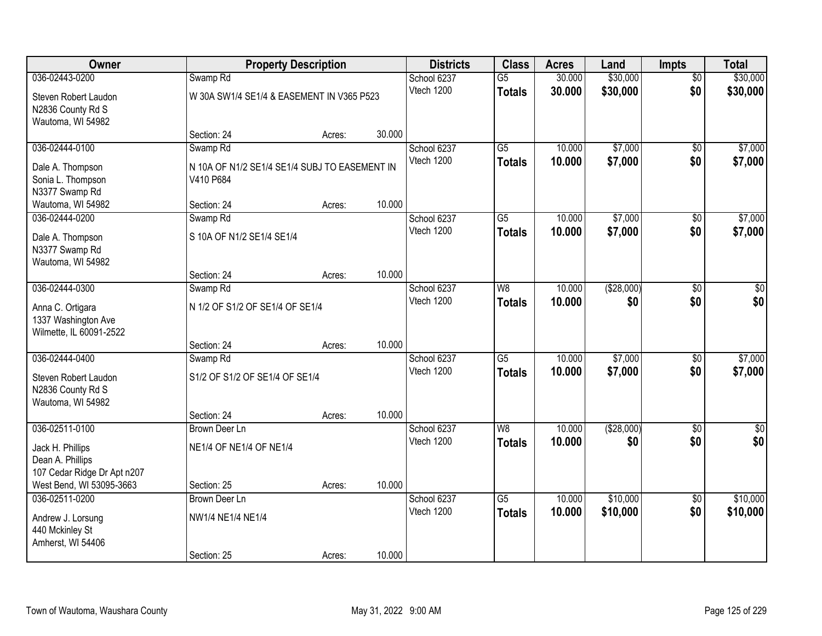| Owner                                                   |                                               | <b>Property Description</b> |        | <b>Districts</b>          | <b>Class</b>    | <b>Acres</b> | Land        | Impts           | <b>Total</b>           |
|---------------------------------------------------------|-----------------------------------------------|-----------------------------|--------|---------------------------|-----------------|--------------|-------------|-----------------|------------------------|
| 036-02443-0200                                          | Swamp <sub>Rd</sub>                           |                             |        | School 6237               | $\overline{G5}$ | 30.000       | \$30,000    | $\overline{50}$ | \$30,000               |
| Steven Robert Laudon                                    | W 30A SW1/4 SE1/4 & EASEMENT IN V365 P523     |                             |        | Vtech 1200                | <b>Totals</b>   | 30.000       | \$30,000    | \$0             | \$30,000               |
| N2836 County Rd S                                       |                                               |                             |        |                           |                 |              |             |                 |                        |
| Wautoma, WI 54982                                       |                                               |                             |        |                           |                 |              |             |                 |                        |
| 036-02444-0100                                          | Section: 24                                   | Acres:                      | 30.000 | School 6237               | $\overline{G5}$ | 10.000       | \$7,000     | $\overline{50}$ | \$7,000                |
|                                                         | Swamp <sub>Rd</sub>                           |                             |        | Vtech 1200                |                 | 10.000       | \$7,000     | \$0             | \$7,000                |
| Dale A. Thompson                                        | N 10A OF N1/2 SE1/4 SE1/4 SUBJ TO EASEMENT IN |                             |        |                           | <b>Totals</b>   |              |             |                 |                        |
| Sonia L. Thompson                                       | V410 P684                                     |                             |        |                           |                 |              |             |                 |                        |
| N3377 Swamp Rd<br>Wautoma, WI 54982                     | Section: 24                                   | Acres:                      | 10.000 |                           |                 |              |             |                 |                        |
| 036-02444-0200                                          | Swamp Rd                                      |                             |        | School 6237               | G5              | 10.000       | \$7,000     | \$0             | \$7,000                |
|                                                         |                                               |                             |        | Vtech 1200                | <b>Totals</b>   | 10.000       | \$7,000     | \$0             | \$7,000                |
| Dale A. Thompson<br>N3377 Swamp Rd                      | S 10A OF N1/2 SE1/4 SE1/4                     |                             |        |                           |                 |              |             |                 |                        |
| Wautoma, WI 54982                                       |                                               |                             |        |                           |                 |              |             |                 |                        |
|                                                         | Section: 24                                   | Acres:                      | 10.000 |                           |                 |              |             |                 |                        |
| 036-02444-0300                                          | Swamp <sub>Rd</sub>                           |                             |        | School 6237               | W <sub>8</sub>  | 10.000       | ( \$28,000) | \$0             | \$0                    |
| Anna C. Ortigara                                        | N 1/2 OF S1/2 OF SE1/4 OF SE1/4               |                             |        | Vtech 1200                | <b>Totals</b>   | 10.000       | \$0         | \$0             | \$0                    |
| 1337 Washington Ave                                     |                                               |                             |        |                           |                 |              |             |                 |                        |
| Wilmette, IL 60091-2522                                 |                                               |                             |        |                           |                 |              |             |                 |                        |
|                                                         | Section: 24                                   | Acres:                      | 10.000 |                           |                 |              |             |                 |                        |
| 036-02444-0400                                          | Swamp <sub>Rd</sub>                           |                             |        | School 6237               | $\overline{G5}$ | 10.000       | \$7,000     | $\overline{50}$ | \$7,000                |
| Steven Robert Laudon                                    | S1/2 OF S1/2 OF SE1/4 OF SE1/4                |                             |        | Vtech 1200                | <b>Totals</b>   | 10.000       | \$7,000     | \$0             | \$7,000                |
| N2836 County Rd S                                       |                                               |                             |        |                           |                 |              |             |                 |                        |
| Wautoma, WI 54982                                       |                                               |                             |        |                           |                 |              |             |                 |                        |
|                                                         | Section: 24                                   | Acres:                      | 10.000 |                           |                 |              |             |                 |                        |
| 036-02511-0100                                          | <b>Brown Deer Ln</b>                          |                             |        | School 6237<br>Vtech 1200 | $\overline{W8}$ | 10.000       | (\$28,000)  | $\overline{50}$ | $\overline{50}$<br>\$0 |
| Jack H. Phillips                                        | NE1/4 OF NE1/4 OF NE1/4                       |                             |        |                           | <b>Totals</b>   | 10.000       | \$0         | \$0             |                        |
| Dean A. Phillips                                        |                                               |                             |        |                           |                 |              |             |                 |                        |
| 107 Cedar Ridge Dr Apt n207<br>West Bend, WI 53095-3663 | Section: 25                                   |                             | 10.000 |                           |                 |              |             |                 |                        |
| 036-02511-0200                                          | <b>Brown Deer Ln</b>                          | Acres:                      |        | School 6237               | $\overline{G5}$ | 10.000       | \$10,000    | $\overline{50}$ | \$10,000               |
|                                                         |                                               |                             |        | Vtech 1200                | <b>Totals</b>   | 10.000       | \$10,000    | \$0             | \$10,000               |
| Andrew J. Lorsung                                       | NW1/4 NE1/4 NE1/4                             |                             |        |                           |                 |              |             |                 |                        |
| 440 Mckinley St<br>Amherst, WI 54406                    |                                               |                             |        |                           |                 |              |             |                 |                        |
|                                                         | Section: 25                                   | Acres:                      | 10.000 |                           |                 |              |             |                 |                        |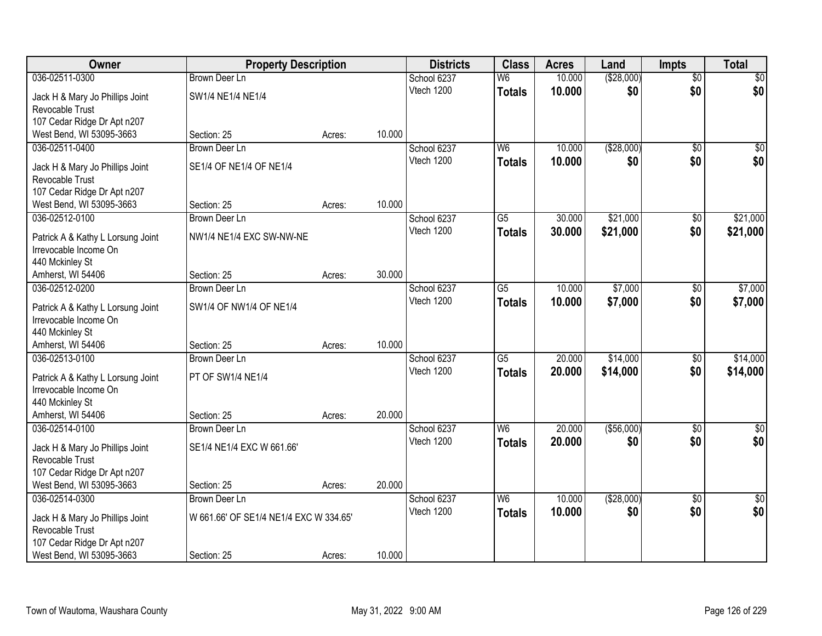| Owner                                              | <b>Property Description</b>            |        |        | <b>Districts</b> | <b>Class</b>    | <b>Acres</b> | Land        | <b>Impts</b>    | <b>Total</b> |
|----------------------------------------------------|----------------------------------------|--------|--------|------------------|-----------------|--------------|-------------|-----------------|--------------|
| 036-02511-0300                                     | <b>Brown Deer Ln</b>                   |        |        | School 6237      | W6              | 10.000       | ( \$28,000) | $\overline{50}$ | \$0          |
| Jack H & Mary Jo Phillips Joint                    | SW1/4 NE1/4 NE1/4                      |        |        | Vtech 1200       | <b>Totals</b>   | 10.000       | \$0         | \$0             | \$0          |
| Revocable Trust                                    |                                        |        |        |                  |                 |              |             |                 |              |
| 107 Cedar Ridge Dr Apt n207                        |                                        |        |        |                  |                 |              |             |                 |              |
| West Bend, WI 53095-3663                           | Section: 25                            | Acres: | 10.000 |                  |                 |              |             |                 |              |
| 036-02511-0400                                     | <b>Brown Deer Ln</b>                   |        |        | School 6237      | W6              | 10.000       | ( \$28,000) | $\overline{50}$ | \$0          |
|                                                    |                                        |        |        | Vtech 1200       | <b>Totals</b>   | 10.000       | \$0         | \$0             | \$0          |
| Jack H & Mary Jo Phillips Joint<br>Revocable Trust | SE1/4 OF NE1/4 OF NE1/4                |        |        |                  |                 |              |             |                 |              |
| 107 Cedar Ridge Dr Apt n207                        |                                        |        |        |                  |                 |              |             |                 |              |
| West Bend, WI 53095-3663                           | Section: 25                            | Acres: | 10.000 |                  |                 |              |             |                 |              |
| 036-02512-0100                                     | <b>Brown Deer Ln</b>                   |        |        | School 6237      | $\overline{G5}$ | 30.000       | \$21,000    | \$0             | \$21,000     |
|                                                    |                                        |        |        | Vtech 1200       | <b>Totals</b>   | 30.000       | \$21,000    | \$0             | \$21,000     |
| Patrick A & Kathy L Lorsung Joint                  | NW1/4 NE1/4 EXC SW-NW-NE               |        |        |                  |                 |              |             |                 |              |
| Irrevocable Income On                              |                                        |        |        |                  |                 |              |             |                 |              |
| 440 Mckinley St                                    |                                        |        |        |                  |                 |              |             |                 |              |
| Amherst, WI 54406                                  | Section: 25                            | Acres: | 30.000 |                  |                 |              |             |                 |              |
| 036-02512-0200                                     | Brown Deer Ln                          |        |        | School 6237      | G5              | 10.000       | \$7,000     | \$0             | \$7,000      |
| Patrick A & Kathy L Lorsung Joint                  | SW1/4 OF NW1/4 OF NE1/4                |        |        | Vtech 1200       | <b>Totals</b>   | 10.000       | \$7,000     | \$0             | \$7,000      |
| Irrevocable Income On                              |                                        |        |        |                  |                 |              |             |                 |              |
| 440 Mckinley St                                    |                                        |        |        |                  |                 |              |             |                 |              |
| Amherst, WI 54406                                  | Section: 25                            | Acres: | 10.000 |                  |                 |              |             |                 |              |
| 036-02513-0100                                     | <b>Brown Deer Ln</b>                   |        |        | School 6237      | $\overline{G5}$ | 20.000       | \$14,000    | $\overline{50}$ | \$14,000     |
| Patrick A & Kathy L Lorsung Joint                  | PT OF SW1/4 NE1/4                      |        |        | Vtech 1200       | <b>Totals</b>   | 20.000       | \$14,000    | \$0             | \$14,000     |
| Irrevocable Income On                              |                                        |        |        |                  |                 |              |             |                 |              |
| 440 Mckinley St                                    |                                        |        |        |                  |                 |              |             |                 |              |
| Amherst, WI 54406                                  | Section: 25                            | Acres: | 20.000 |                  |                 |              |             |                 |              |
| 036-02514-0100                                     | Brown Deer Ln                          |        |        | School 6237      | W6              | 20.000       | ( \$56,000) | $\overline{50}$ | \$0          |
|                                                    |                                        |        |        | Vtech 1200       | <b>Totals</b>   | 20.000       | \$0         | \$0             | \$0          |
| Jack H & Mary Jo Phillips Joint                    | SE1/4 NE1/4 EXC W 661.66'              |        |        |                  |                 |              |             |                 |              |
| Revocable Trust                                    |                                        |        |        |                  |                 |              |             |                 |              |
| 107 Cedar Ridge Dr Apt n207                        |                                        |        |        |                  |                 |              |             |                 |              |
| West Bend, WI 53095-3663                           | Section: 25                            | Acres: | 20.000 |                  |                 |              |             |                 |              |
| 036-02514-0300                                     | <b>Brown Deer Ln</b>                   |        |        | School 6237      | W <sub>6</sub>  | 10.000       | ( \$28,000) | $\overline{50}$ | $\sqrt{30}$  |
| Jack H & Mary Jo Phillips Joint                    | W 661.66' OF SE1/4 NE1/4 EXC W 334.65' |        |        | Vtech 1200       | <b>Totals</b>   | 10.000       | \$0         | \$0             | \$0          |
| Revocable Trust                                    |                                        |        |        |                  |                 |              |             |                 |              |
| 107 Cedar Ridge Dr Apt n207                        |                                        |        |        |                  |                 |              |             |                 |              |
| West Bend, WI 53095-3663                           | Section: 25                            | Acres: | 10.000 |                  |                 |              |             |                 |              |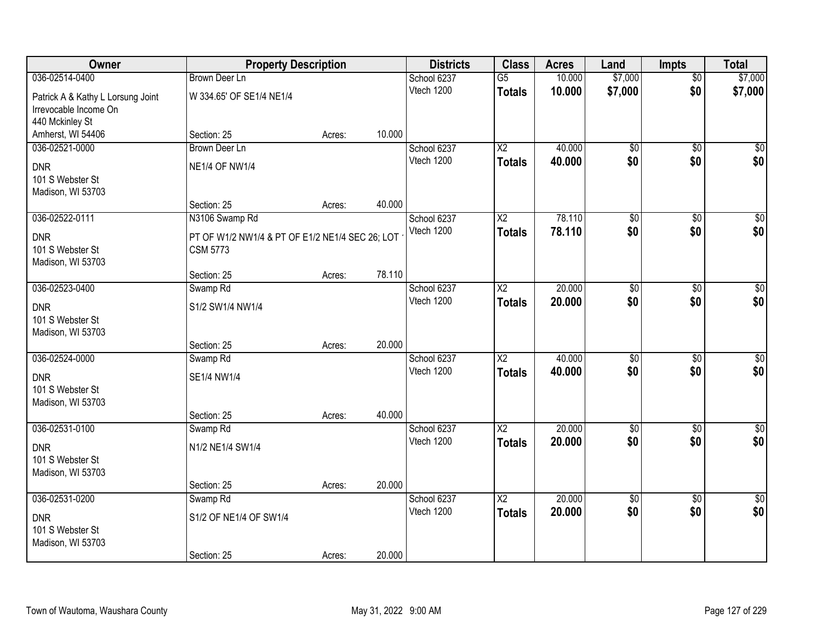| Owner                             | <b>Property Description</b>                     |        |        | <b>Districts</b>          | <b>Class</b>             | <b>Acres</b> | Land                   | <b>Impts</b>           | <b>Total</b>           |
|-----------------------------------|-------------------------------------------------|--------|--------|---------------------------|--------------------------|--------------|------------------------|------------------------|------------------------|
| 036-02514-0400                    | <b>Brown Deer Ln</b>                            |        |        | School 6237               | $\overline{G5}$          | 10.000       | \$7,000                | $\overline{50}$        | \$7,000                |
| Patrick A & Kathy L Lorsung Joint | W 334.65' OF SE1/4 NE1/4                        |        |        | Vtech 1200                | <b>Totals</b>            | 10.000       | \$7,000                | \$0                    | \$7,000                |
| Irrevocable Income On             |                                                 |        |        |                           |                          |              |                        |                        |                        |
| 440 Mckinley St                   |                                                 |        |        |                           |                          |              |                        |                        |                        |
| Amherst, WI 54406                 | Section: 25                                     | Acres: | 10.000 |                           |                          |              |                        |                        |                        |
| 036-02521-0000                    | <b>Brown Deer Ln</b>                            |        |        | School 6237               | $\overline{\text{X2}}$   | 40.000       | $\overline{50}$        | $\overline{50}$        | $\sqrt{50}$            |
| <b>DNR</b>                        | <b>NE1/4 OF NW1/4</b>                           |        |        | Vtech 1200                | <b>Totals</b>            | 40.000       | \$0                    | \$0                    | \$0                    |
| 101 S Webster St                  |                                                 |        |        |                           |                          |              |                        |                        |                        |
| Madison, WI 53703                 |                                                 |        |        |                           |                          |              |                        |                        |                        |
|                                   | Section: 25                                     | Acres: | 40.000 |                           |                          |              |                        |                        |                        |
| 036-02522-0111                    | N3106 Swamp Rd                                  |        |        | School 6237               | X2                       | 78.110       | \$0                    | \$0                    | $\overline{30}$        |
| <b>DNR</b>                        | PT OF W1/2 NW1/4 & PT OF E1/2 NE1/4 SEC 26; LOT |        |        | Vtech 1200                | <b>Totals</b>            | 78.110       | \$0                    | \$0                    | \$0                    |
| 101 S Webster St                  | <b>CSM 5773</b>                                 |        |        |                           |                          |              |                        |                        |                        |
| Madison, WI 53703                 |                                                 |        |        |                           |                          |              |                        |                        |                        |
|                                   | Section: 25                                     | Acres: | 78.110 |                           |                          |              |                        |                        |                        |
| 036-02523-0400                    | Swamp Rd                                        |        |        | School 6237<br>Vtech 1200 | X <sub>2</sub>           | 20.000       | $\overline{50}$        | \$0                    | $\sqrt{50}$            |
| <b>DNR</b>                        | S1/2 SW1/4 NW1/4                                |        |        |                           | <b>Totals</b>            | 20,000       | \$0                    | \$0                    | \$0                    |
| 101 S Webster St                  |                                                 |        |        |                           |                          |              |                        |                        |                        |
| Madison, WI 53703                 |                                                 |        |        |                           |                          |              |                        |                        |                        |
|                                   | Section: 25                                     | Acres: | 20.000 |                           |                          |              |                        |                        |                        |
| 036-02524-0000                    | Swamp Rd                                        |        |        | School 6237<br>Vtech 1200 | $\overline{\text{X2}}$   | 40.000       | $\overline{50}$<br>\$0 | $\overline{30}$        | $\overline{\$0}$       |
| <b>DNR</b>                        | SE1/4 NW1/4                                     |        |        |                           | <b>Totals</b>            | 40.000       |                        | \$0                    | \$0                    |
| 101 S Webster St                  |                                                 |        |        |                           |                          |              |                        |                        |                        |
| Madison, WI 53703                 |                                                 |        |        |                           |                          |              |                        |                        |                        |
|                                   | Section: 25                                     | Acres: | 40.000 |                           |                          |              |                        |                        |                        |
| 036-02531-0100                    | Swamp <sub>Rd</sub>                             |        |        | School 6237<br>Vtech 1200 | $\overline{\text{X2}}$   | 20.000       | $\overline{50}$<br>\$0 | $\overline{60}$<br>\$0 | $\overline{50}$<br>\$0 |
| <b>DNR</b>                        | N1/2 NE1/4 SW1/4                                |        |        |                           | <b>Totals</b>            | 20.000       |                        |                        |                        |
| 101 S Webster St                  |                                                 |        |        |                           |                          |              |                        |                        |                        |
| Madison, WI 53703                 |                                                 |        |        |                           |                          |              |                        |                        |                        |
|                                   | Section: 25                                     | Acres: | 20.000 |                           |                          | 20.000       |                        |                        |                        |
| 036-02531-0200                    | Swamp <sub>Rd</sub>                             |        |        | School 6237<br>Vtech 1200 | $\overline{\mathsf{X2}}$ | 20.000       | $\overline{60}$<br>\$0 | $\overline{50}$<br>\$0 | $\sqrt{30}$<br>\$0     |
| <b>DNR</b>                        | S1/2 OF NE1/4 OF SW1/4                          |        |        |                           | <b>Totals</b>            |              |                        |                        |                        |
| 101 S Webster St                  |                                                 |        |        |                           |                          |              |                        |                        |                        |
| Madison, WI 53703                 |                                                 |        |        |                           |                          |              |                        |                        |                        |
|                                   | Section: 25                                     | Acres: | 20.000 |                           |                          |              |                        |                        |                        |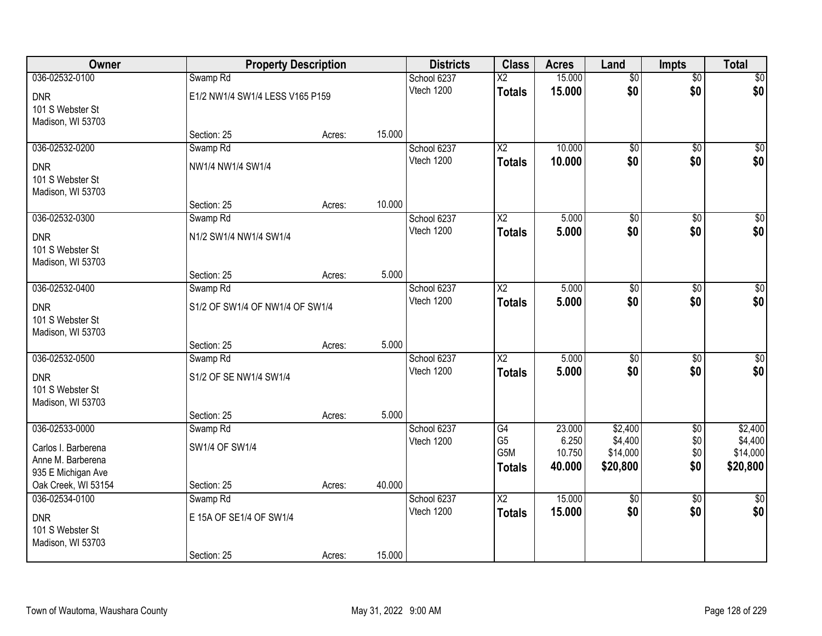| Owner                                 |                                 | <b>Property Description</b> |        | <b>Districts</b>          | <b>Class</b>             | <b>Acres</b> | Land            | <b>Impts</b>    | <b>Total</b>    |
|---------------------------------------|---------------------------------|-----------------------------|--------|---------------------------|--------------------------|--------------|-----------------|-----------------|-----------------|
| 036-02532-0100                        | Swamp <sub>Rd</sub>             |                             |        | School 6237               | $\overline{\mathsf{x2}}$ | 15.000       | $\overline{50}$ | $\overline{50}$ | \$0             |
| <b>DNR</b>                            | E1/2 NW1/4 SW1/4 LESS V165 P159 |                             |        | Vtech 1200                | <b>Totals</b>            | 15.000       | \$0             | \$0             | \$0             |
| 101 S Webster St                      |                                 |                             |        |                           |                          |              |                 |                 |                 |
| Madison, WI 53703                     |                                 |                             |        |                           |                          |              |                 |                 |                 |
|                                       | Section: 25                     | Acres:                      | 15.000 |                           |                          |              |                 |                 |                 |
| 036-02532-0200                        | Swamp Rd                        |                             |        | School 6237               | $\overline{X2}$          | 10.000       | $\overline{50}$ | $\overline{30}$ | $\sqrt{50}$     |
| <b>DNR</b>                            | NW1/4 NW1/4 SW1/4               |                             |        | Vtech 1200                | <b>Totals</b>            | 10.000       | \$0             | \$0             | \$0             |
| 101 S Webster St                      |                                 |                             |        |                           |                          |              |                 |                 |                 |
| Madison, WI 53703                     |                                 |                             |        |                           |                          |              |                 |                 |                 |
|                                       | Section: 25                     | Acres:                      | 10.000 |                           |                          |              |                 |                 |                 |
| 036-02532-0300                        | Swamp Rd                        |                             |        | School 6237<br>Vtech 1200 | X <sub>2</sub>           | 5.000        | \$0<br>\$0      | \$0             | $\overline{50}$ |
| <b>DNR</b>                            | N1/2 SW1/4 NW1/4 SW1/4          |                             |        |                           | <b>Totals</b>            | 5.000        |                 | \$0             | \$0             |
| 101 S Webster St                      |                                 |                             |        |                           |                          |              |                 |                 |                 |
| Madison, WI 53703                     |                                 |                             |        |                           |                          |              |                 |                 |                 |
| 036-02532-0400                        | Section: 25                     | Acres:                      | 5.000  | School 6237               | X <sub>2</sub>           | 5.000        | $\overline{50}$ |                 | $\sqrt{50}$     |
|                                       | Swamp <sub>Rd</sub>             |                             |        | Vtech 1200                | <b>Totals</b>            | 5.000        | \$0             | \$0<br>\$0      | \$0             |
| <b>DNR</b>                            | S1/2 OF SW1/4 OF NW1/4 OF SW1/4 |                             |        |                           |                          |              |                 |                 |                 |
| 101 S Webster St                      |                                 |                             |        |                           |                          |              |                 |                 |                 |
| Madison, WI 53703                     | Section: 25                     | Acres:                      | 5.000  |                           |                          |              |                 |                 |                 |
| 036-02532-0500                        | Swamp Rd                        |                             |        | School 6237               | $\overline{\text{X2}}$   | 5.000        | $\overline{50}$ | $\overline{50}$ | $\sqrt{50}$     |
|                                       |                                 |                             |        | Vtech 1200                | <b>Totals</b>            | 5.000        | \$0             | \$0             | \$0             |
| <b>DNR</b>                            | S1/2 OF SE NW1/4 SW1/4          |                             |        |                           |                          |              |                 |                 |                 |
| 101 S Webster St<br>Madison, WI 53703 |                                 |                             |        |                           |                          |              |                 |                 |                 |
|                                       | Section: 25                     | Acres:                      | 5.000  |                           |                          |              |                 |                 |                 |
| 036-02533-0000                        | Swamp <sub>Rd</sub>             |                             |        | School 6237               | G4                       | 23.000       | \$2,400         | $\overline{50}$ | \$2,400         |
| Carlos I. Barberena                   | SW1/4 OF SW1/4                  |                             |        | Vtech 1200                | G <sub>5</sub>           | 6.250        | \$4,400         | \$0             | \$4,400         |
| Anne M. Barberena                     |                                 |                             |        |                           | G5M                      | 10.750       | \$14,000        | \$0             | \$14,000        |
| 935 E Michigan Ave                    |                                 |                             |        |                           | Totals                   | 40.000       | \$20,800        | \$0             | \$20,800        |
| Oak Creek, WI 53154                   | Section: 25                     | Acres:                      | 40.000 |                           |                          |              |                 |                 |                 |
| 036-02534-0100                        | Swamp <sub>Rd</sub>             |                             |        | School 6237               | $\overline{\text{X2}}$   | 15.000       | $\overline{50}$ | $\overline{50}$ | $\overline{30}$ |
| <b>DNR</b>                            | E 15A OF SE1/4 OF SW1/4         |                             |        | Vtech 1200                | <b>Totals</b>            | 15.000       | \$0             | \$0             | \$0             |
| 101 S Webster St                      |                                 |                             |        |                           |                          |              |                 |                 |                 |
| Madison, WI 53703                     |                                 |                             |        |                           |                          |              |                 |                 |                 |
|                                       | Section: 25                     | Acres:                      | 15.000 |                           |                          |              |                 |                 |                 |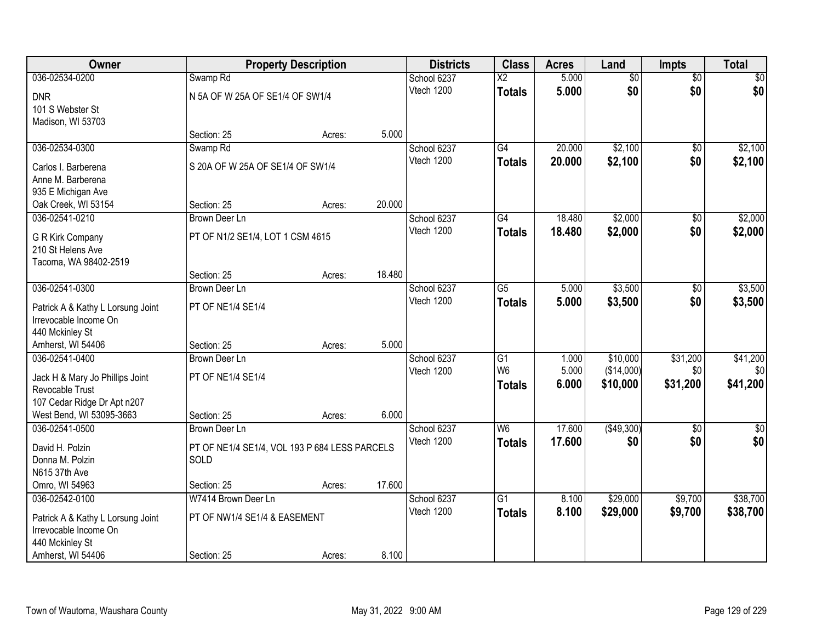| <b>Owner</b>                      |                                               | <b>Property Description</b> |        | <b>Districts</b> | <b>Class</b>    | <b>Acres</b> | Land            | <b>Impts</b>    | <b>Total</b>    |
|-----------------------------------|-----------------------------------------------|-----------------------------|--------|------------------|-----------------|--------------|-----------------|-----------------|-----------------|
| 036-02534-0200                    | Swamp <sub>Rd</sub>                           |                             |        | School 6237      | $\overline{X2}$ | 5.000        | $\overline{50}$ | $\overline{50}$ | $\overline{30}$ |
| <b>DNR</b>                        | N 5A OF W 25A OF SE1/4 OF SW1/4               |                             |        | Vtech 1200       | <b>Totals</b>   | 5.000        | \$0             | \$0             | \$0             |
| 101 S Webster St                  |                                               |                             |        |                  |                 |              |                 |                 |                 |
| Madison, WI 53703                 |                                               |                             |        |                  |                 |              |                 |                 |                 |
|                                   | Section: 25                                   | Acres:                      | 5.000  |                  |                 |              |                 |                 |                 |
| 036-02534-0300                    | Swamp Rd                                      |                             |        | School 6237      | $\overline{G4}$ | 20.000       | \$2,100         | $\overline{50}$ | \$2,100         |
| Carlos I. Barberena               | S 20A OF W 25A OF SE1/4 OF SW1/4              |                             |        | Vtech 1200       | <b>Totals</b>   | 20.000       | \$2,100         | \$0             | \$2,100         |
| Anne M. Barberena                 |                                               |                             |        |                  |                 |              |                 |                 |                 |
| 935 E Michigan Ave                |                                               |                             |        |                  |                 |              |                 |                 |                 |
| Oak Creek, WI 53154               | Section: 25                                   | Acres:                      | 20.000 |                  |                 |              |                 |                 |                 |
| 036-02541-0210                    | Brown Deer Ln                                 |                             |        | School 6237      | $\overline{G4}$ | 18.480       | \$2,000         | $\overline{50}$ | \$2,000         |
| G R Kirk Company                  | PT OF N1/2 SE1/4, LOT 1 CSM 4615              |                             |        | Vtech 1200       | <b>Totals</b>   | 18.480       | \$2,000         | \$0             | \$2,000         |
| 210 St Helens Ave                 |                                               |                             |        |                  |                 |              |                 |                 |                 |
| Tacoma, WA 98402-2519             |                                               |                             |        |                  |                 |              |                 |                 |                 |
|                                   | Section: 25                                   | Acres:                      | 18.480 |                  |                 |              |                 |                 |                 |
| 036-02541-0300                    | Brown Deer Ln                                 |                             |        | School 6237      | $\overline{G5}$ | 5.000        | \$3,500         | \$0             | \$3,500         |
| Patrick A & Kathy L Lorsung Joint | PT OF NE1/4 SE1/4                             |                             |        | Vtech 1200       | <b>Totals</b>   | 5.000        | \$3,500         | \$0             | \$3,500         |
| Irrevocable Income On             |                                               |                             |        |                  |                 |              |                 |                 |                 |
| 440 Mckinley St                   |                                               |                             |        |                  |                 |              |                 |                 |                 |
| Amherst, WI 54406                 | Section: 25                                   | Acres:                      | 5.000  |                  |                 |              |                 |                 |                 |
| 036-02541-0400                    | <b>Brown Deer Ln</b>                          |                             |        | School 6237      | $\overline{G1}$ | 1.000        | \$10,000        | \$31,200        | \$41,200        |
| Jack H & Mary Jo Phillips Joint   | PT OF NE1/4 SE1/4                             |                             |        | Vtech 1200       | W <sub>6</sub>  | 5.000        | (\$14,000)      | \$0             | \$0             |
| Revocable Trust                   |                                               |                             |        |                  | <b>Totals</b>   | 6.000        | \$10,000        | \$31,200        | \$41,200        |
| 107 Cedar Ridge Dr Apt n207       |                                               |                             |        |                  |                 |              |                 |                 |                 |
| West Bend, WI 53095-3663          | Section: 25                                   | Acres:                      | 6.000  |                  |                 |              |                 |                 |                 |
| 036-02541-0500                    | Brown Deer Ln                                 |                             |        | School 6237      | W6              | 17.600       | ( \$49,300)     | $\sqrt{6}$      | $\frac{1}{6}$   |
| David H. Polzin                   | PT OF NE1/4 SE1/4, VOL 193 P 684 LESS PARCELS |                             |        | Vtech 1200       | <b>Totals</b>   | 17.600       | \$0             | \$0             | \$0             |
| Donna M. Polzin                   | SOLD                                          |                             |        |                  |                 |              |                 |                 |                 |
| N615 37th Ave                     |                                               |                             |        |                  |                 |              |                 |                 |                 |
| Omro, WI 54963                    | Section: 25                                   | Acres:                      | 17.600 |                  |                 |              |                 |                 |                 |
| 036-02542-0100                    | W7414 Brown Deer Ln                           |                             |        | School 6237      | $\overline{G1}$ | 8.100        | \$29,000        | \$9,700         | \$38,700        |
| Patrick A & Kathy L Lorsung Joint | PT OF NW1/4 SE1/4 & EASEMENT                  |                             |        | Vtech 1200       | <b>Totals</b>   | 8.100        | \$29,000        | \$9,700         | \$38,700        |
| Irrevocable Income On             |                                               |                             |        |                  |                 |              |                 |                 |                 |
| 440 Mckinley St                   |                                               |                             |        |                  |                 |              |                 |                 |                 |
| Amherst, WI 54406                 | Section: 25                                   | Acres:                      | 8.100  |                  |                 |              |                 |                 |                 |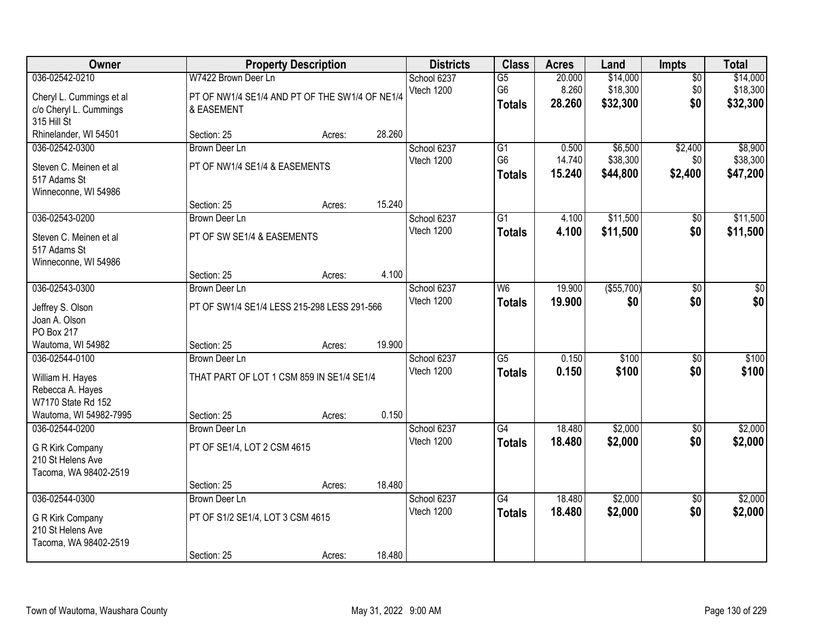| Owner                                                                                                      |                                                                                     | <b>Property Description</b> |                 | <b>Districts</b>          | <b>Class</b>                                       | <b>Acres</b>              | Land                             | <b>Impts</b>                  | <b>Total</b>                     |
|------------------------------------------------------------------------------------------------------------|-------------------------------------------------------------------------------------|-----------------------------|-----------------|---------------------------|----------------------------------------------------|---------------------------|----------------------------------|-------------------------------|----------------------------------|
| 036-02542-0210<br>Cheryl L. Cummings et al<br>c/o Cheryl L. Cummings                                       | W7422 Brown Deer Ln<br>PT OF NW1/4 SE1/4 AND PT OF THE SW1/4 OF NE1/4<br>& EASEMENT |                             |                 | School 6237<br>Vtech 1200 | $\overline{G5}$<br>G <sub>6</sub><br><b>Totals</b> | 20.000<br>8.260<br>28.260 | \$14,000<br>\$18,300<br>\$32,300 | $\overline{30}$<br>\$0<br>\$0 | \$14,000<br>\$18,300<br>\$32,300 |
| 315 Hill St<br>Rhinelander, WI 54501                                                                       | Section: 25                                                                         | Acres:                      | 28.260          |                           |                                                    |                           |                                  |                               |                                  |
| 036-02542-0300<br>Steven C. Meinen et al<br>517 Adams St<br>Winneconne, WI 54986                           | <b>Brown Deer Ln</b><br>PT OF NW1/4 SE1/4 & EASEMENTS                               |                             |                 | School 6237<br>Vtech 1200 | $\overline{G1}$<br>G <sub>6</sub><br><b>Totals</b> | 0.500<br>14.740<br>15.240 | \$6,500<br>\$38,300<br>\$44,800  | \$2,400<br>\$0<br>\$2,400     | \$8,900<br>\$38,300<br>\$47,200  |
| 036-02543-0200<br>Steven C. Meinen et al<br>517 Adams St                                                   | Section: 25<br>Brown Deer Ln<br>PT OF SW SE1/4 & EASEMENTS                          | Acres:                      | 15.240          | School 6237<br>Vtech 1200 | G1<br><b>Totals</b>                                | 4.100<br>4.100            | \$11,500<br>\$11,500             | $\sqrt[6]{30}$<br>\$0         | \$11,500<br>\$11,500             |
| Winneconne, WI 54986<br>036-02543-0300                                                                     | Section: 25<br><b>Brown Deer Ln</b>                                                 | Acres:                      | 4.100           | School 6237               | W <sub>6</sub>                                     | 19.900                    | ( \$55,700)                      | \$0                           | \$0                              |
| Jeffrey S. Olson<br>Joan A. Olson<br>PO Box 217                                                            | PT OF SW1/4 SE1/4 LESS 215-298 LESS 291-566                                         |                             |                 | Vtech 1200                | <b>Totals</b>                                      | 19,900                    | \$0                              | \$0                           | \$0                              |
| Wautoma, WI 54982<br>036-02544-0100<br>William H. Hayes<br>Rebecca A. Hayes<br>W7170 State Rd 152          | Section: 25<br><b>Brown Deer Ln</b><br>THAT PART OF LOT 1 CSM 859 IN SE1/4 SE1/4    | Acres:                      | 19.900          | School 6237<br>Vtech 1200 | $\overline{G5}$<br><b>Totals</b>                   | 0.150<br>0.150            | \$100<br>\$100                   | $\overline{30}$<br>\$0        | \$100<br>\$100                   |
| Wautoma, WI 54982-7995<br>036-02544-0200<br>G R Kirk Company<br>210 St Helens Ave<br>Tacoma, WA 98402-2519 | Section: 25<br>Brown Deer Ln<br>PT OF SE1/4, LOT 2 CSM 4615<br>Section: 25          | Acres:<br>Acres:            | 0.150<br>18.480 | School 6237<br>Vtech 1200 | $\overline{G4}$<br><b>Totals</b>                   | 18.480<br>18.480          | \$2,000<br>\$2,000               | $\overline{60}$<br>\$0        | \$2,000<br>\$2,000               |
| 036-02544-0300<br>G R Kirk Company<br>210 St Helens Ave<br>Tacoma, WA 98402-2519                           | <b>Brown Deer Ln</b><br>PT OF S1/2 SE1/4, LOT 3 CSM 4615<br>Section: 25             | Acres:                      | 18.480          | School 6237<br>Vtech 1200 | $\overline{G4}$<br><b>Totals</b>                   | 18.480<br>18.480          | \$2,000<br>\$2,000               | $\overline{50}$<br>\$0        | \$2,000<br>\$2,000               |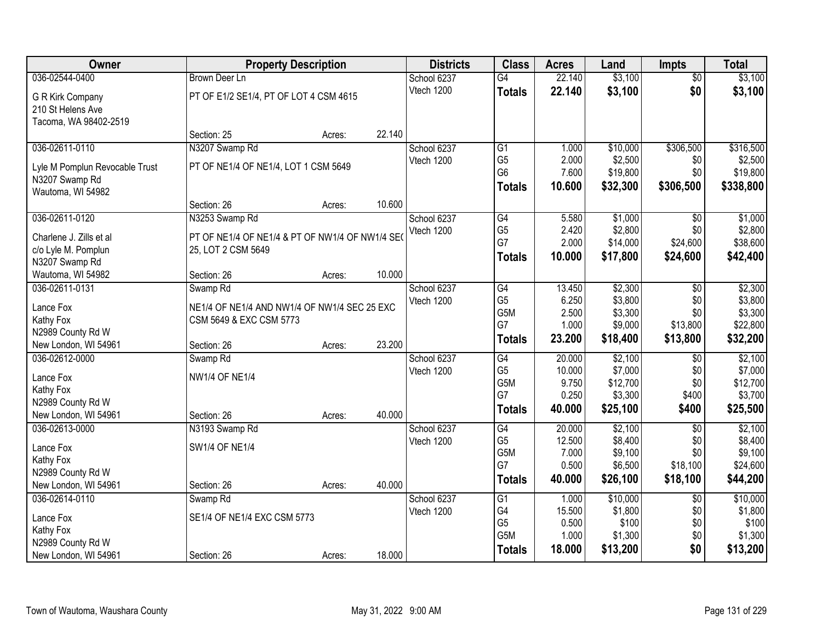| Owner                          |                                                 | <b>Property Description</b> |        | <b>Districts</b> | <b>Class</b>     | <b>Acres</b> | Land     | <b>Impts</b>    | <b>Total</b> |
|--------------------------------|-------------------------------------------------|-----------------------------|--------|------------------|------------------|--------------|----------|-----------------|--------------|
| 036-02544-0400                 | <b>Brown Deer Ln</b>                            |                             |        | School 6237      | $\overline{G4}$  | 22.140       | \$3,100  | $\overline{50}$ | \$3,100      |
| G R Kirk Company               | PT OF E1/2 SE1/4, PT OF LOT 4 CSM 4615          |                             |        | Vtech 1200       | <b>Totals</b>    | 22.140       | \$3,100  | \$0             | \$3,100      |
| 210 St Helens Ave              |                                                 |                             |        |                  |                  |              |          |                 |              |
| Tacoma, WA 98402-2519          |                                                 |                             |        |                  |                  |              |          |                 |              |
|                                | Section: 25                                     | Acres:                      | 22.140 |                  |                  |              |          |                 |              |
| 036-02611-0110                 | N3207 Swamp Rd                                  |                             |        | School 6237      | G1               | 1.000        | \$10,000 | \$306,500       | \$316,500    |
| Lyle M Pomplun Revocable Trust | PT OF NE1/4 OF NE1/4, LOT 1 CSM 5649            |                             |        | Vtech 1200       | G <sub>5</sub>   | 2.000        | \$2,500  | \$0             | \$2,500      |
| N3207 Swamp Rd                 |                                                 |                             |        |                  | G <sub>6</sub>   | 7.600        | \$19,800 | \$0             | \$19,800     |
| Wautoma, WI 54982              |                                                 |                             |        |                  | <b>Totals</b>    | 10.600       | \$32,300 | \$306,500       | \$338,800    |
|                                | Section: 26                                     | Acres:                      | 10.600 |                  |                  |              |          |                 |              |
| 036-02611-0120                 | N3253 Swamp Rd                                  |                             |        | School 6237      | $\overline{G4}$  | 5.580        | \$1,000  | \$0             | \$1,000      |
| Charlene J. Zills et al        | PT OF NE1/4 OF NE1/4 & PT OF NW1/4 OF NW1/4 SEO |                             |        | Vtech 1200       | G <sub>5</sub>   | 2.420        | \$2,800  | \$0             | \$2,800      |
| c/o Lyle M. Pomplun            | 25, LOT 2 CSM 5649                              |                             |        |                  | G7               | 2.000        | \$14,000 | \$24,600        | \$38,600     |
| N3207 Swamp Rd                 |                                                 |                             |        |                  | <b>Totals</b>    | 10.000       | \$17,800 | \$24,600        | \$42,400     |
| Wautoma, WI 54982              | Section: 26                                     | Acres:                      | 10.000 |                  |                  |              |          |                 |              |
| 036-02611-0131                 | Swamp <sub>Rd</sub>                             |                             |        | School 6237      | G4               | 13.450       | \$2,300  | $\sqrt[6]{3}$   | \$2,300      |
| Lance Fox                      | NE1/4 OF NE1/4 AND NW1/4 OF NW1/4 SEC 25 EXC    |                             |        | Vtech 1200       | G <sub>5</sub>   | 6.250        | \$3,800  | \$0             | \$3,800      |
| Kathy Fox                      | CSM 5649 & EXC CSM 5773                         |                             |        |                  | G <sub>5</sub> M | 2.500        | \$3,300  | \$0             | \$3,300      |
| N2989 County Rd W              |                                                 |                             |        |                  | G7               | 1.000        | \$9,000  | \$13,800        | \$22,800     |
| New London, WI 54961           | Section: 26                                     | Acres:                      | 23.200 |                  | <b>Totals</b>    | 23.200       | \$18,400 | \$13,800        | \$32,200     |
| 036-02612-0000                 | Swamp <sub>Rd</sub>                             |                             |        | School 6237      | $\overline{G4}$  | 20.000       | \$2,100  | \$0             | \$2,100      |
| Lance Fox                      | <b>NW1/4 OF NE1/4</b>                           |                             |        | Vtech 1200       | G <sub>5</sub>   | 10.000       | \$7,000  | \$0             | \$7,000      |
| Kathy Fox                      |                                                 |                             |        |                  | G5M              | 9.750        | \$12,700 | \$0             | \$12,700     |
| N2989 County Rd W              |                                                 |                             |        |                  | G7               | 0.250        | \$3,300  | \$400           | \$3,700      |
| New London, WI 54961           | Section: 26                                     | Acres:                      | 40.000 |                  | <b>Totals</b>    | 40.000       | \$25,100 | \$400           | \$25,500     |
| 036-02613-0000                 | N3193 Swamp Rd                                  |                             |        | School 6237      | G4               | 20.000       | \$2,100  | $\overline{50}$ | \$2,100      |
| Lance Fox                      | <b>SW1/4 OF NE1/4</b>                           |                             |        | Vtech 1200       | G <sub>5</sub>   | 12.500       | \$8,400  | \$0             | \$8,400      |
| Kathy Fox                      |                                                 |                             |        |                  | G5M<br>G7        | 7.000        | \$9,100  | \$0             | \$9,100      |
| N2989 County Rd W              |                                                 |                             |        |                  |                  | 0.500        | \$6,500  | \$18,100        | \$24,600     |
| New London, WI 54961           | Section: 26                                     | Acres:                      | 40.000 |                  | <b>Totals</b>    | 40.000       | \$26,100 | \$18,100        | \$44,200     |
| 036-02614-0110                 | Swamp <sub>Rd</sub>                             |                             |        | School 6237      | G1               | 1.000        | \$10,000 | $\overline{50}$ | \$10,000     |
| Lance Fox                      | SE1/4 OF NE1/4 EXC CSM 5773                     |                             |        | Vtech 1200       | G4               | 15.500       | \$1,800  | \$0             | \$1,800      |
| Kathy Fox                      |                                                 |                             |        |                  | G <sub>5</sub>   | 0.500        | \$100    | \$0             | \$100        |
| N2989 County Rd W              |                                                 |                             |        |                  | G5M              | 1.000        | \$1,300  | \$0             | \$1,300      |
| New London, WI 54961           | Section: 26                                     | Acres:                      | 18.000 |                  | <b>Totals</b>    | 18.000       | \$13,200 | \$0             | \$13,200     |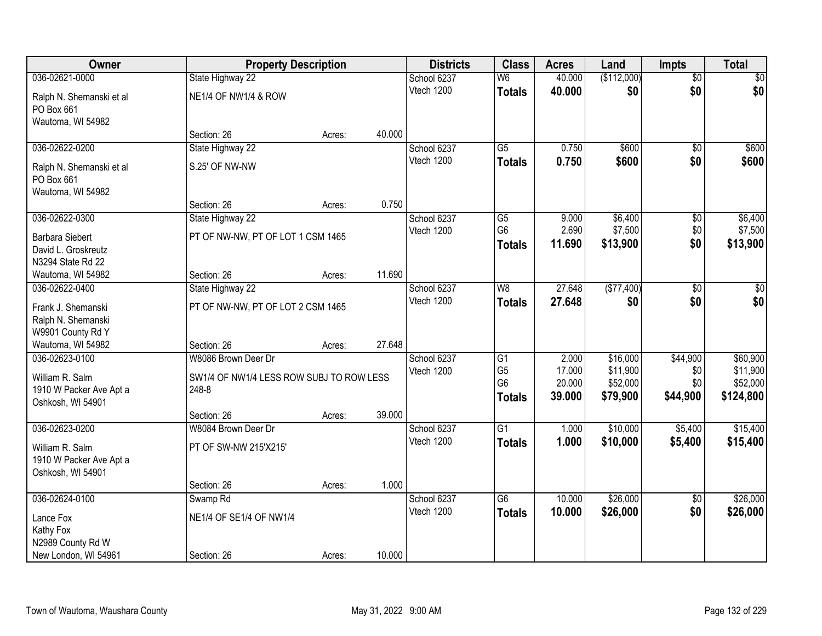| Owner                    | <b>Property Description</b>              |        |        | <b>Districts</b> | <b>Class</b>    | <b>Acres</b> | Land        | <b>Impts</b>    | <b>Total</b> |
|--------------------------|------------------------------------------|--------|--------|------------------|-----------------|--------------|-------------|-----------------|--------------|
| 036-02621-0000           | State Highway 22                         |        |        | School 6237      | W6              | 40.000       | (\$112,000) | $\overline{50}$ | $\sqrt{50}$  |
| Ralph N. Shemanski et al | <b>NE1/4 OF NW1/4 &amp; ROW</b>          |        |        | Vtech 1200       | <b>Totals</b>   | 40.000       | \$0         | \$0             | \$0          |
| PO Box 661               |                                          |        |        |                  |                 |              |             |                 |              |
| Wautoma, WI 54982        |                                          |        |        |                  |                 |              |             |                 |              |
|                          | Section: 26                              | Acres: | 40.000 |                  |                 |              |             |                 |              |
| 036-02622-0200           | State Highway 22                         |        |        | School 6237      | $\overline{G5}$ | 0.750        | \$600       | $\overline{50}$ | \$600        |
| Ralph N. Shemanski et al | S.25' OF NW-NW                           |        |        | Vtech 1200       | <b>Totals</b>   | 0.750        | \$600       | \$0             | \$600        |
| PO Box 661               |                                          |        |        |                  |                 |              |             |                 |              |
| Wautoma, WI 54982        |                                          |        |        |                  |                 |              |             |                 |              |
|                          | Section: 26                              | Acres: | 0.750  |                  |                 |              |             |                 |              |
| 036-02622-0300           | State Highway 22                         |        |        | School 6237      | G5              | 9.000        | \$6,400     | \$0             | \$6,400      |
| <b>Barbara Siebert</b>   | PT OF NW-NW, PT OF LOT 1 CSM 1465        |        |        | Vtech 1200       | G <sub>6</sub>  | 2.690        | \$7,500     | \$0             | \$7,500      |
| David L. Groskreutz      |                                          |        |        |                  | <b>Totals</b>   | 11.690       | \$13,900    | \$0             | \$13,900     |
| N3294 State Rd 22        |                                          |        |        |                  |                 |              |             |                 |              |
| Wautoma, WI 54982        | Section: 26                              | Acres: | 11.690 |                  |                 |              |             |                 |              |
| 036-02622-0400           | State Highway 22                         |        |        | School 6237      | W <sub>8</sub>  | 27.648       | (\$77,400)  | \$0             | \$0          |
| Frank J. Shemanski       | PT OF NW-NW, PT OF LOT 2 CSM 1465        |        |        | Vtech 1200       | <b>Totals</b>   | 27.648       | \$0         | \$0             | \$0          |
| Ralph N. Shemanski       |                                          |        |        |                  |                 |              |             |                 |              |
| W9901 County Rd Y        |                                          |        |        |                  |                 |              |             |                 |              |
| Wautoma, WI 54982        | Section: 26                              | Acres: | 27.648 |                  |                 |              |             |                 |              |
| 036-02623-0100           | W8086 Brown Deer Dr                      |        |        | School 6237      | $\overline{G1}$ | 2.000        | \$16,000    | \$44,900        | \$60,900     |
| William R. Salm          | SW1/4 OF NW1/4 LESS ROW SUBJ TO ROW LESS |        |        | Vtech 1200       | G <sub>5</sub>  | 17.000       | \$11,900    | \$0             | \$11,900     |
| 1910 W Packer Ave Apt a  | 248-8                                    |        |        |                  | G <sub>6</sub>  | 20.000       | \$52,000    | \$0             | \$52,000     |
| Oshkosh, WI 54901        |                                          |        |        |                  | <b>Totals</b>   | 39.000       | \$79,900    | \$44,900        | \$124,800    |
|                          | Section: 26                              | Acres: | 39.000 |                  |                 |              |             |                 |              |
| 036-02623-0200           | W8084 Brown Deer Dr                      |        |        | School 6237      | $\overline{G1}$ | 1.000        | \$10,000    | \$5,400         | \$15,400     |
| William R. Salm          | PT OF SW-NW 215'X215'                    |        |        | Vtech 1200       | <b>Totals</b>   | 1.000        | \$10,000    | \$5,400         | \$15,400     |
| 1910 W Packer Ave Apt a  |                                          |        |        |                  |                 |              |             |                 |              |
| Oshkosh, WI 54901        |                                          |        |        |                  |                 |              |             |                 |              |
|                          | Section: 26                              | Acres: | 1.000  |                  |                 |              |             |                 |              |
| 036-02624-0100           | Swamp <sub>Rd</sub>                      |        |        | School 6237      | $\overline{G6}$ | 10.000       | \$26,000    | $\overline{50}$ | \$26,000     |
| Lance Fox                | NE1/4 OF SE1/4 OF NW1/4                  |        |        | Vtech 1200       | <b>Totals</b>   | 10.000       | \$26,000    | \$0             | \$26,000     |
| Kathy Fox                |                                          |        |        |                  |                 |              |             |                 |              |
| N2989 County Rd W        |                                          |        |        |                  |                 |              |             |                 |              |
| New London, WI 54961     | Section: 26                              | Acres: | 10.000 |                  |                 |              |             |                 |              |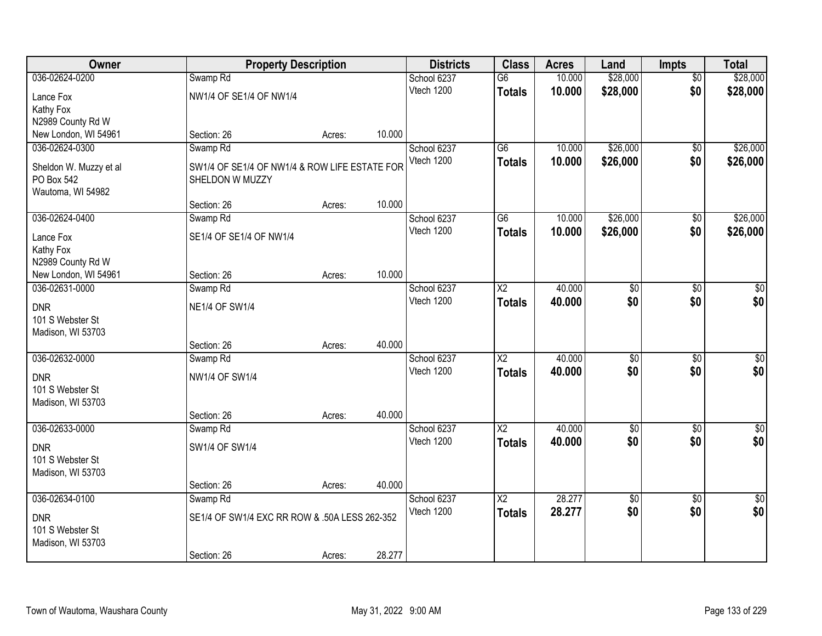| Owner                  |                                               | <b>Property Description</b> |        | <b>Districts</b> | <b>Class</b>           | <b>Acres</b> | Land            | <b>Impts</b>    | <b>Total</b> |
|------------------------|-----------------------------------------------|-----------------------------|--------|------------------|------------------------|--------------|-----------------|-----------------|--------------|
| 036-02624-0200         | Swamp <sub>Rd</sub>                           |                             |        | School 6237      | $\overline{G6}$        | 10.000       | \$28,000        | $\overline{30}$ | \$28,000     |
| Lance Fox              | NW1/4 OF SE1/4 OF NW1/4                       |                             |        | Vtech 1200       | <b>Totals</b>          | 10.000       | \$28,000        | \$0             | \$28,000     |
| Kathy Fox              |                                               |                             |        |                  |                        |              |                 |                 |              |
| N2989 County Rd W      |                                               |                             |        |                  |                        |              |                 |                 |              |
| New London, WI 54961   | Section: 26                                   | Acres:                      | 10.000 |                  |                        |              |                 |                 |              |
| 036-02624-0300         | Swamp <sub>Rd</sub>                           |                             |        | School 6237      | $\overline{G6}$        | 10.000       | \$26,000        | $\overline{50}$ | \$26,000     |
| Sheldon W. Muzzy et al | SW1/4 OF SE1/4 OF NW1/4 & ROW LIFE ESTATE FOR |                             |        | Vtech 1200       | <b>Totals</b>          | 10.000       | \$26,000        | \$0             | \$26,000     |
| PO Box 542             | SHELDON W MUZZY                               |                             |        |                  |                        |              |                 |                 |              |
| Wautoma, WI 54982      |                                               |                             |        |                  |                        |              |                 |                 |              |
|                        | Section: 26                                   | Acres:                      | 10.000 |                  |                        |              |                 |                 |              |
| 036-02624-0400         | Swamp <sub>Rd</sub>                           |                             |        | School 6237      | $\overline{G6}$        | 10.000       | \$26,000        | \$0             | \$26,000     |
| Lance Fox              | SE1/4 OF SE1/4 OF NW1/4                       |                             |        | Vtech 1200       | <b>Totals</b>          | 10.000       | \$26,000        | \$0             | \$26,000     |
| Kathy Fox              |                                               |                             |        |                  |                        |              |                 |                 |              |
| N2989 County Rd W      |                                               |                             |        |                  |                        |              |                 |                 |              |
| New London, WI 54961   | Section: 26                                   | Acres:                      | 10.000 |                  |                        |              |                 |                 |              |
| 036-02631-0000         | Swamp <sub>Rd</sub>                           |                             |        | School 6237      | $\overline{\text{X2}}$ | 40.000       | $\overline{50}$ | \$0             | $\sqrt{50}$  |
| <b>DNR</b>             | <b>NE1/4 OF SW1/4</b>                         |                             |        | Vtech 1200       | <b>Totals</b>          | 40.000       | \$0             | \$0             | \$0          |
| 101 S Webster St       |                                               |                             |        |                  |                        |              |                 |                 |              |
| Madison, WI 53703      |                                               |                             |        |                  |                        |              |                 |                 |              |
|                        | Section: 26                                   | Acres:                      | 40.000 |                  |                        |              |                 |                 |              |
| 036-02632-0000         | Swamp <sub>Rd</sub>                           |                             |        | School 6237      | $\overline{X2}$        | 40.000       | \$0             | $\overline{50}$ | \$0          |
| <b>DNR</b>             | <b>NW1/4 OF SW1/4</b>                         |                             |        | Vtech 1200       | <b>Totals</b>          | 40.000       | \$0             | \$0             | \$0          |
| 101 S Webster St       |                                               |                             |        |                  |                        |              |                 |                 |              |
| Madison, WI 53703      |                                               |                             |        |                  |                        |              |                 |                 |              |
|                        | Section: 26                                   | Acres:                      | 40.000 |                  |                        |              |                 |                 |              |
| 036-02633-0000         | Swamp Rd                                      |                             |        | School 6237      | $\overline{X2}$        | 40.000       | $\overline{50}$ | $\overline{50}$ | \$0          |
| <b>DNR</b>             | SW1/4 OF SW1/4                                |                             |        | Vtech 1200       | <b>Totals</b>          | 40.000       | \$0             | \$0             | \$0          |
| 101 S Webster St       |                                               |                             |        |                  |                        |              |                 |                 |              |
| Madison, WI 53703      |                                               |                             |        |                  |                        |              |                 |                 |              |
|                        | Section: 26                                   | Acres:                      | 40.000 |                  |                        |              |                 |                 |              |
| 036-02634-0100         | Swamp Rd                                      |                             |        | School 6237      | $\overline{X2}$        | 28.277       | $\overline{60}$ | $\overline{50}$ | $\sqrt{50}$  |
| <b>DNR</b>             | SE1/4 OF SW1/4 EXC RR ROW & .50A LESS 262-352 |                             |        | Vtech 1200       | <b>Totals</b>          | 28.277       | \$0             | \$0             | \$0          |
| 101 S Webster St       |                                               |                             |        |                  |                        |              |                 |                 |              |
| Madison, WI 53703      |                                               |                             |        |                  |                        |              |                 |                 |              |
|                        | Section: 26                                   | Acres:                      | 28.277 |                  |                        |              |                 |                 |              |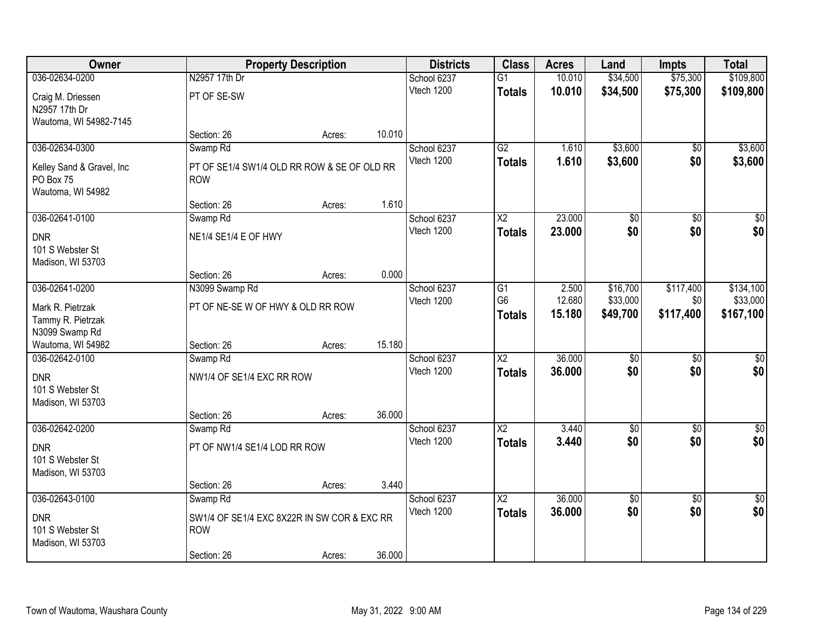| Owner                                 |                                             | <b>Property Description</b> |        | <b>Districts</b>          | <b>Class</b>           | <b>Acres</b>     | Land                   | <b>Impts</b>           | <b>Total</b>         |
|---------------------------------------|---------------------------------------------|-----------------------------|--------|---------------------------|------------------------|------------------|------------------------|------------------------|----------------------|
| 036-02634-0200                        | N2957 17th Dr                               |                             |        | School 6237               | $\overline{G1}$        | 10.010           | \$34,500               | \$75,300               | \$109,800            |
| Craig M. Driessen                     | PT OF SE-SW                                 |                             |        | Vtech 1200                | <b>Totals</b>          | 10.010           | \$34,500               | \$75,300               | \$109,800            |
| N2957 17th Dr                         |                                             |                             |        |                           |                        |                  |                        |                        |                      |
| Wautoma, WI 54982-7145                |                                             |                             |        |                           |                        |                  |                        |                        |                      |
|                                       | Section: 26                                 | Acres:                      | 10.010 |                           |                        |                  |                        |                        |                      |
| 036-02634-0300                        | Swamp Rd                                    |                             |        | School 6237               | G2                     | 1.610            | \$3,600                | $\overline{50}$        | \$3,600              |
| Kelley Sand & Gravel, Inc             | PT OF SE1/4 SW1/4 OLD RR ROW & SE OF OLD RR |                             |        | Vtech 1200                | <b>Totals</b>          | 1.610            | \$3,600                | \$0                    | \$3,600              |
| PO Box 75                             | <b>ROW</b>                                  |                             |        |                           |                        |                  |                        |                        |                      |
| Wautoma, WI 54982                     |                                             |                             |        |                           |                        |                  |                        |                        |                      |
| 036-02641-0100                        | Section: 26                                 | Acres:                      | 1.610  | School 6237               | X <sub>2</sub>         | 23.000           | \$0                    | \$0                    | \$0                  |
|                                       | Swamp <sub>Rd</sub>                         |                             |        | Vtech 1200                | <b>Totals</b>          | 23.000           | \$0                    | \$0                    | \$0                  |
| <b>DNR</b>                            | NE1/4 SE1/4 E OF HWY                        |                             |        |                           |                        |                  |                        |                        |                      |
| 101 S Webster St                      |                                             |                             |        |                           |                        |                  |                        |                        |                      |
| Madison, WI 53703                     | Section: 26                                 | Acres:                      | 0.000  |                           |                        |                  |                        |                        |                      |
| 036-02641-0200                        | N3099 Swamp Rd                              |                             |        | School 6237               | G1                     | 2.500            | \$16,700               | \$117,400              | \$134,100            |
|                                       |                                             |                             |        | Vtech 1200                | G <sub>6</sub>         | 12.680           | \$33,000               | \$0                    | \$33,000             |
| Mark R. Pietrzak<br>Tammy R. Pietrzak | PT OF NE-SE W OF HWY & OLD RR ROW           |                             |        |                           | <b>Totals</b>          | 15.180           | \$49,700               | \$117,400              | \$167,100            |
| N3099 Swamp Rd                        |                                             |                             |        |                           |                        |                  |                        |                        |                      |
| Wautoma, WI 54982                     | Section: 26                                 | Acres:                      | 15.180 |                           |                        |                  |                        |                        |                      |
| 036-02642-0100                        | Swamp Rd                                    |                             |        | School 6237               | $\overline{\text{X2}}$ | 36.000           | $\overline{30}$        | $\overline{30}$        | $\overline{30}$      |
| <b>DNR</b>                            | NW1/4 OF SE1/4 EXC RR ROW                   |                             |        | Vtech 1200                | <b>Totals</b>          | 36.000           | \$0                    | \$0                    | \$0                  |
| 101 S Webster St                      |                                             |                             |        |                           |                        |                  |                        |                        |                      |
| Madison, WI 53703                     |                                             |                             |        |                           |                        |                  |                        |                        |                      |
|                                       | Section: 26                                 | Acres:                      | 36.000 |                           |                        |                  |                        |                        |                      |
| 036-02642-0200                        | Swamp <sub>Rd</sub>                         |                             |        | School 6237               | $\overline{X2}$        | 3.440            | $\overline{60}$        | $\overline{50}$        | $\overline{50}$      |
| <b>DNR</b>                            | PT OF NW1/4 SE1/4 LOD RR ROW                |                             |        | Vtech 1200                | <b>Totals</b>          | 3.440            | \$0                    | \$0                    | \$0                  |
| 101 S Webster St                      |                                             |                             |        |                           |                        |                  |                        |                        |                      |
| Madison, WI 53703                     |                                             |                             |        |                           |                        |                  |                        |                        |                      |
|                                       | Section: 26                                 | Acres:                      | 3.440  |                           |                        |                  |                        |                        |                      |
| 036-02643-0100                        | Swamp <sub>Rd</sub>                         |                             |        | School 6237<br>Vtech 1200 | $\overline{\text{X2}}$ | 36,000<br>36.000 | $\overline{30}$<br>\$0 | $\overline{50}$<br>\$0 | $\frac{1}{2}$<br>\$0 |
| <b>DNR</b>                            | SW1/4 OF SE1/4 EXC 8X22R IN SW COR & EXC RR |                             |        |                           | <b>Totals</b>          |                  |                        |                        |                      |
| 101 S Webster St                      | <b>ROW</b>                                  |                             |        |                           |                        |                  |                        |                        |                      |
| Madison, WI 53703                     | Section: 26                                 | Acres:                      | 36.000 |                           |                        |                  |                        |                        |                      |
|                                       |                                             |                             |        |                           |                        |                  |                        |                        |                      |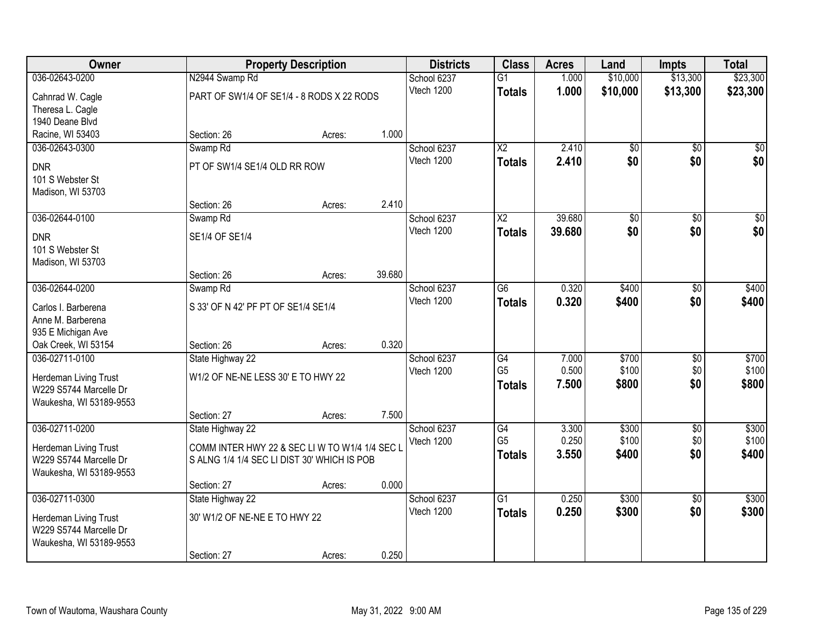| Owner                                                                                        |                                                                                              | <b>Property Description</b> |        | <b>Districts</b>          | <b>Class</b>                                       | <b>Acres</b>            | Land                    | <b>Impts</b>      | <b>Total</b>            |
|----------------------------------------------------------------------------------------------|----------------------------------------------------------------------------------------------|-----------------------------|--------|---------------------------|----------------------------------------------------|-------------------------|-------------------------|-------------------|-------------------------|
| 036-02643-0200                                                                               | N2944 Swamp Rd                                                                               |                             |        | School 6237               | $\overline{G1}$                                    | 1.000                   | \$10,000                | \$13,300          | \$23,300                |
| Cahnrad W. Cagle<br>Theresa L. Cagle                                                         | PART OF SW1/4 OF SE1/4 - 8 RODS X 22 RODS                                                    |                             |        | Vtech 1200                | <b>Totals</b>                                      | 1.000                   | \$10,000                | \$13,300          | \$23,300                |
| 1940 Deane Blvd                                                                              |                                                                                              |                             |        |                           |                                                    |                         |                         |                   |                         |
| Racine, WI 53403                                                                             | Section: 26                                                                                  | Acres:                      | 1.000  |                           |                                                    |                         |                         |                   |                         |
| 036-02643-0300                                                                               | Swamp Rd                                                                                     |                             |        | School 6237               | $\overline{\text{X2}}$                             | 2.410                   | $\overline{50}$         | $\overline{50}$   | \$0                     |
| <b>DNR</b><br>101 S Webster St<br>Madison, WI 53703                                          | PT OF SW1/4 SE1/4 OLD RR ROW                                                                 |                             |        | Vtech 1200                | <b>Totals</b>                                      | 2.410                   | \$0                     | \$0               | \$0                     |
|                                                                                              | Section: 26                                                                                  | Acres:                      | 2.410  |                           |                                                    |                         |                         |                   |                         |
| 036-02644-0100                                                                               | Swamp Rd                                                                                     |                             |        | School 6237               | $\overline{X2}$                                    | 39.680                  | $\overline{50}$         | $\overline{50}$   | $\overline{\$0}$        |
| <b>DNR</b><br>101 S Webster St<br>Madison, WI 53703                                          | SE1/4 OF SE1/4                                                                               |                             |        | Vtech 1200                | <b>Totals</b>                                      | 39.680                  | \$0                     | \$0               | \$0                     |
|                                                                                              | Section: 26                                                                                  | Acres:                      | 39.680 |                           |                                                    |                         |                         |                   |                         |
| 036-02644-0200                                                                               | Swamp <sub>Rd</sub>                                                                          |                             |        | School 6237               | $\overline{G6}$                                    | 0.320                   | \$400                   | $\sqrt{6}$        | \$400                   |
| Carlos I. Barberena<br>Anne M. Barberena<br>935 E Michigan Ave                               | S 33' OF N 42' PF PT OF SE1/4 SE1/4                                                          |                             |        | Vtech 1200                | <b>Totals</b>                                      | 0.320                   | \$400                   | \$0               | \$400                   |
| Oak Creek, WI 53154                                                                          | Section: 26                                                                                  | Acres:                      | 0.320  |                           |                                                    |                         |                         |                   |                         |
| 036-02711-0100<br>Herdeman Living Trust<br>W229 S5744 Marcelle Dr<br>Waukesha, WI 53189-9553 | State Highway 22<br>W1/2 OF NE-NE LESS 30' E TO HWY 22                                       |                             |        | School 6237<br>Vtech 1200 | $\overline{G4}$<br>G <sub>5</sub><br><b>Totals</b> | 7.000<br>0.500<br>7.500 | \$700<br>\$100<br>\$800 | \$0<br>\$0<br>\$0 | \$700<br>\$100<br>\$800 |
|                                                                                              | Section: 27                                                                                  | Acres:                      | 7.500  |                           |                                                    |                         |                         |                   |                         |
| 036-02711-0200                                                                               | State Highway 22                                                                             |                             |        | School 6237               | G4                                                 | 3.300                   | \$300                   | $\overline{50}$   | \$300                   |
| Herdeman Living Trust<br>W229 S5744 Marcelle Dr<br>Waukesha, WI 53189-9553                   | COMM INTER HWY 22 & SEC LIW TO W1/4 1/4 SEC L<br>S ALNG 1/4 1/4 SEC LI DIST 30' WHICH IS POB |                             |        | Vtech 1200                | G <sub>5</sub><br><b>Totals</b>                    | 0.250<br>3.550          | \$100<br>\$400          | \$0<br>\$0        | \$100<br>\$400          |
|                                                                                              | Section: 27                                                                                  | Acres:                      | 0.000  |                           |                                                    |                         |                         |                   |                         |
| 036-02711-0300                                                                               | State Highway 22                                                                             |                             |        | School 6237               | $\overline{G1}$                                    | 0.250                   | \$300                   | $\overline{50}$   | \$300                   |
| Herdeman Living Trust<br>W229 S5744 Marcelle Dr<br>Waukesha, WI 53189-9553                   | 30' W1/2 OF NE-NE E TO HWY 22                                                                |                             |        | Vtech 1200                | <b>Totals</b>                                      | 0.250                   | \$300                   | \$0               | \$300                   |
|                                                                                              | Section: 27                                                                                  | Acres:                      | 0.250  |                           |                                                    |                         |                         |                   |                         |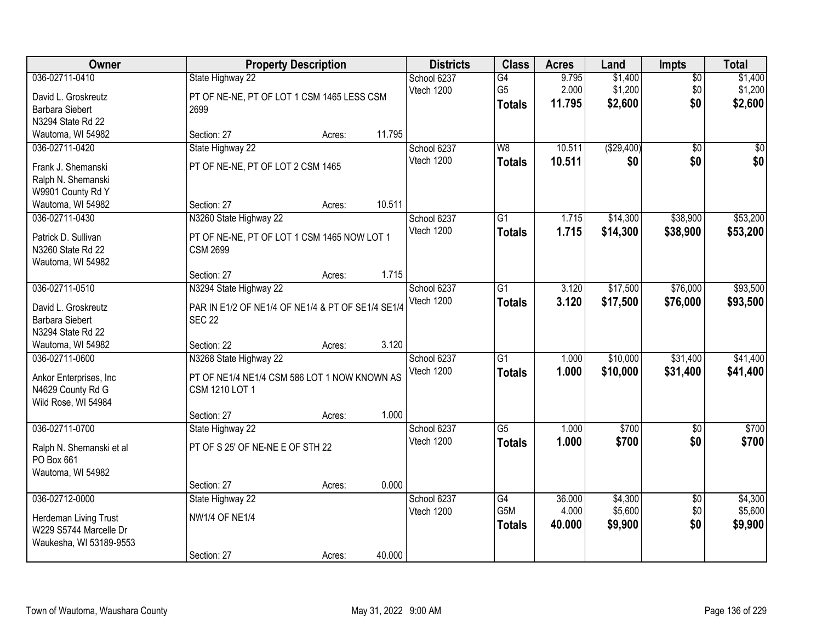| Owner                    |                                                   | <b>Property Description</b> |        | <b>Districts</b> | <b>Class</b>    | <b>Acres</b> | Land       | <b>Impts</b>    | <b>Total</b> |
|--------------------------|---------------------------------------------------|-----------------------------|--------|------------------|-----------------|--------------|------------|-----------------|--------------|
| 036-02711-0410           | State Highway 22                                  |                             |        | School 6237      | G4              | 9.795        | \$1,400    | $\overline{50}$ | \$1,400      |
| David L. Groskreutz      | PT OF NE-NE, PT OF LOT 1 CSM 1465 LESS CSM        |                             |        | Vtech 1200       | G <sub>5</sub>  | 2.000        | \$1,200    | \$0             | \$1,200      |
| <b>Barbara Siebert</b>   | 2699                                              |                             |        |                  | <b>Totals</b>   | 11.795       | \$2,600    | \$0             | \$2,600      |
| N3294 State Rd 22        |                                                   |                             |        |                  |                 |              |            |                 |              |
| Wautoma, WI 54982        | Section: 27                                       | Acres:                      | 11.795 |                  |                 |              |            |                 |              |
| 036-02711-0420           | State Highway 22                                  |                             |        | School 6237      | W8              | 10.511       | (\$29,400) | $\overline{50}$ | \$0          |
| Frank J. Shemanski       | PT OF NE-NE, PT OF LOT 2 CSM 1465                 |                             |        | Vtech 1200       | <b>Totals</b>   | 10.511       | \$0        | \$0             | \$0          |
| Ralph N. Shemanski       |                                                   |                             |        |                  |                 |              |            |                 |              |
| W9901 County Rd Y        |                                                   |                             |        |                  |                 |              |            |                 |              |
| Wautoma, WI 54982        | Section: 27                                       | Acres:                      | 10.511 |                  |                 |              |            |                 |              |
| 036-02711-0430           | N3260 State Highway 22                            |                             |        | School 6237      | $\overline{G1}$ | 1.715        | \$14,300   | \$38,900        | \$53,200     |
| Patrick D. Sullivan      | PT OF NE-NE, PT OF LOT 1 CSM 1465 NOW LOT 1       |                             |        | Vtech 1200       | <b>Totals</b>   | 1.715        | \$14,300   | \$38,900        | \$53,200     |
| N3260 State Rd 22        | <b>CSM 2699</b>                                   |                             |        |                  |                 |              |            |                 |              |
| Wautoma, WI 54982        |                                                   |                             |        |                  |                 |              |            |                 |              |
|                          | Section: 27                                       | Acres:                      | 1.715  |                  |                 |              |            |                 |              |
| 036-02711-0510           | N3294 State Highway 22                            |                             |        | School 6237      | $\overline{G1}$ | 3.120        | \$17,500   | \$76,000        | \$93,500     |
| David L. Groskreutz      | PAR IN E1/2 OF NE1/4 OF NE1/4 & PT OF SE1/4 SE1/4 |                             |        | Vtech 1200       | <b>Totals</b>   | 3.120        | \$17,500   | \$76,000        | \$93,500     |
| Barbara Siebert          | <b>SEC 22</b>                                     |                             |        |                  |                 |              |            |                 |              |
| N3294 State Rd 22        |                                                   |                             |        |                  |                 |              |            |                 |              |
| Wautoma, WI 54982        | Section: 22                                       | Acres:                      | 3.120  |                  |                 |              |            |                 |              |
| 036-02711-0600           | N3268 State Highway 22                            |                             |        | School 6237      | $\overline{G1}$ | 1.000        | \$10,000   | \$31,400        | \$41,400     |
| Ankor Enterprises, Inc.  | PT OF NE1/4 NE1/4 CSM 586 LOT 1 NOW KNOWN AS      |                             |        | Vtech 1200       | <b>Totals</b>   | 1.000        | \$10,000   | \$31,400        | \$41,400     |
| N4629 County Rd G        | CSM 1210 LOT 1                                    |                             |        |                  |                 |              |            |                 |              |
| Wild Rose, WI 54984      |                                                   |                             |        |                  |                 |              |            |                 |              |
|                          | Section: 27                                       | Acres:                      | 1.000  |                  |                 |              |            |                 |              |
| 036-02711-0700           | State Highway 22                                  |                             |        | School 6237      | $\overline{G5}$ | 1.000        | \$700      | $\overline{50}$ | \$700        |
| Ralph N. Shemanski et al | PT OF S 25' OF NE-NE E OF STH 22                  |                             |        | Vtech 1200       | <b>Totals</b>   | 1.000        | \$700      | \$0             | \$700        |
| PO Box 661               |                                                   |                             |        |                  |                 |              |            |                 |              |
| Wautoma, WI 54982        |                                                   |                             |        |                  |                 |              |            |                 |              |
|                          | Section: 27                                       | Acres:                      | 0.000  |                  |                 |              |            |                 |              |
| 036-02712-0000           | State Highway 22                                  |                             |        | School 6237      | $\overline{G4}$ | 36.000       | \$4,300    | $\overline{50}$ | \$4,300      |
| Herdeman Living Trust    | <b>NW1/4 OF NE1/4</b>                             |                             |        | Vtech 1200       | G5M             | 4.000        | \$5,600    | \$0             | \$5,600      |
| W229 S5744 Marcelle Dr   |                                                   |                             |        |                  | <b>Totals</b>   | 40.000       | \$9,900    | \$0             | \$9,900      |
| Waukesha, WI 53189-9553  |                                                   |                             |        |                  |                 |              |            |                 |              |
|                          | Section: 27                                       | Acres:                      | 40.000 |                  |                 |              |            |                 |              |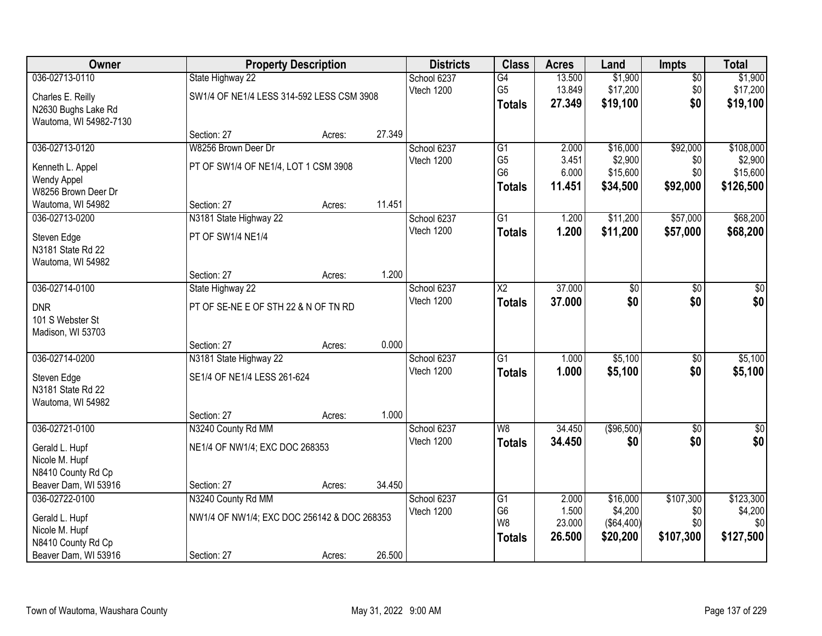| Owner                                 |                                             | <b>Property Description</b> |        | <b>Districts</b>          | <b>Class</b>                      | <b>Acres</b>   | Land                | <b>Impts</b>    | <b>Total</b>         |
|---------------------------------------|---------------------------------------------|-----------------------------|--------|---------------------------|-----------------------------------|----------------|---------------------|-----------------|----------------------|
| 036-02713-0110                        | State Highway 22                            |                             |        | School 6237               | G4                                | 13.500         | \$1,900             | $\overline{30}$ | \$1,900              |
| Charles E. Reilly                     | SW1/4 OF NE1/4 LESS 314-592 LESS CSM 3908   |                             |        | Vtech 1200                | G <sub>5</sub>                    | 13.849         | \$17,200            | \$0             | \$17,200             |
| N2630 Bughs Lake Rd                   |                                             |                             |        |                           | <b>Totals</b>                     | 27.349         | \$19,100            | \$0             | \$19,100             |
| Wautoma, WI 54982-7130                |                                             |                             |        |                           |                                   |                |                     |                 |                      |
|                                       | Section: 27                                 | Acres:                      | 27.349 |                           |                                   |                |                     |                 |                      |
| 036-02713-0120                        | W8256 Brown Deer Dr                         |                             |        | School 6237<br>Vtech 1200 | $\overline{G1}$<br>G <sub>5</sub> | 2.000<br>3.451 | \$16,000<br>\$2,900 | \$92,000<br>\$0 | \$108,000<br>\$2,900 |
| Kenneth L. Appel                      | PT OF SW1/4 OF NE1/4, LOT 1 CSM 3908        |                             |        |                           | G <sub>6</sub>                    | 6.000          | \$15,600            | \$0             | \$15,600             |
| <b>Wendy Appel</b>                    |                                             |                             |        |                           | <b>Totals</b>                     | 11.451         | \$34,500            | \$92,000        | \$126,500            |
| W8256 Brown Deer Dr                   |                                             |                             | 11.451 |                           |                                   |                |                     |                 |                      |
| Wautoma, WI 54982<br>036-02713-0200   | Section: 27<br>N3181 State Highway 22       | Acres:                      |        | School 6237               | $\overline{G1}$                   | 1.200          | \$11,200            | \$57,000        | \$68,200             |
|                                       |                                             |                             |        | Vtech 1200                | <b>Totals</b>                     | 1.200          | \$11,200            | \$57,000        | \$68,200             |
| Steven Edge                           | PT OF SW1/4 NE1/4                           |                             |        |                           |                                   |                |                     |                 |                      |
| N3181 State Rd 22                     |                                             |                             |        |                           |                                   |                |                     |                 |                      |
| Wautoma, WI 54982                     | Section: 27                                 | Acres:                      | 1.200  |                           |                                   |                |                     |                 |                      |
| 036-02714-0100                        | State Highway 22                            |                             |        | School 6237               | $\overline{\text{X2}}$            | 37.000         | \$0                 | \$0             | \$0                  |
|                                       |                                             |                             |        | Vtech 1200                | <b>Totals</b>                     | 37.000         | \$0                 | \$0             | \$0                  |
| <b>DNR</b>                            | PT OF SE-NE E OF STH 22 & N OF TN RD        |                             |        |                           |                                   |                |                     |                 |                      |
| 101 S Webster St<br>Madison, WI 53703 |                                             |                             |        |                           |                                   |                |                     |                 |                      |
|                                       | Section: 27                                 | Acres:                      | 0.000  |                           |                                   |                |                     |                 |                      |
| 036-02714-0200                        | N3181 State Highway 22                      |                             |        | School 6237               | $\overline{G1}$                   | 1.000          | \$5,100             | $\overline{50}$ | \$5,100              |
|                                       | SE1/4 OF NE1/4 LESS 261-624                 |                             |        | Vtech 1200                | <b>Totals</b>                     | 1.000          | \$5,100             | \$0             | \$5,100              |
| Steven Edge<br>N3181 State Rd 22      |                                             |                             |        |                           |                                   |                |                     |                 |                      |
| Wautoma, WI 54982                     |                                             |                             |        |                           |                                   |                |                     |                 |                      |
|                                       | Section: 27                                 | Acres:                      | 1.000  |                           |                                   |                |                     |                 |                      |
| 036-02721-0100                        | N3240 County Rd MM                          |                             |        | School 6237               | W8                                | 34.450         | (\$96,500)          | $\sqrt{6}$      | \$0                  |
| Gerald L. Hupf                        | NE1/4 OF NW1/4; EXC DOC 268353              |                             |        | Vtech 1200                | <b>Totals</b>                     | 34.450         | \$0                 | \$0             | \$0                  |
| Nicole M. Hupf                        |                                             |                             |        |                           |                                   |                |                     |                 |                      |
| N8410 County Rd Cp                    |                                             |                             |        |                           |                                   |                |                     |                 |                      |
| Beaver Dam, WI 53916                  | Section: 27                                 | Acres:                      | 34.450 |                           |                                   |                |                     |                 |                      |
| 036-02722-0100                        | N3240 County Rd MM                          |                             |        | School 6237               | $\overline{G1}$                   | 2.000          | \$16,000            | \$107,300       | \$123,300            |
| Gerald L. Hupf                        | NW1/4 OF NW1/4; EXC DOC 256142 & DOC 268353 |                             |        | Vtech 1200                | G <sub>6</sub>                    | 1.500          | \$4,200             | \$0             | \$4,200              |
| Nicole M. Hupf                        |                                             |                             |        |                           | W8                                | 23.000         | (\$64,400)          | \$0             | \$0                  |
| N8410 County Rd Cp                    |                                             |                             |        |                           | <b>Totals</b>                     | 26.500         | \$20,200            | \$107,300       | \$127,500            |
| Beaver Dam, WI 53916                  | Section: 27                                 | Acres:                      | 26.500 |                           |                                   |                |                     |                 |                      |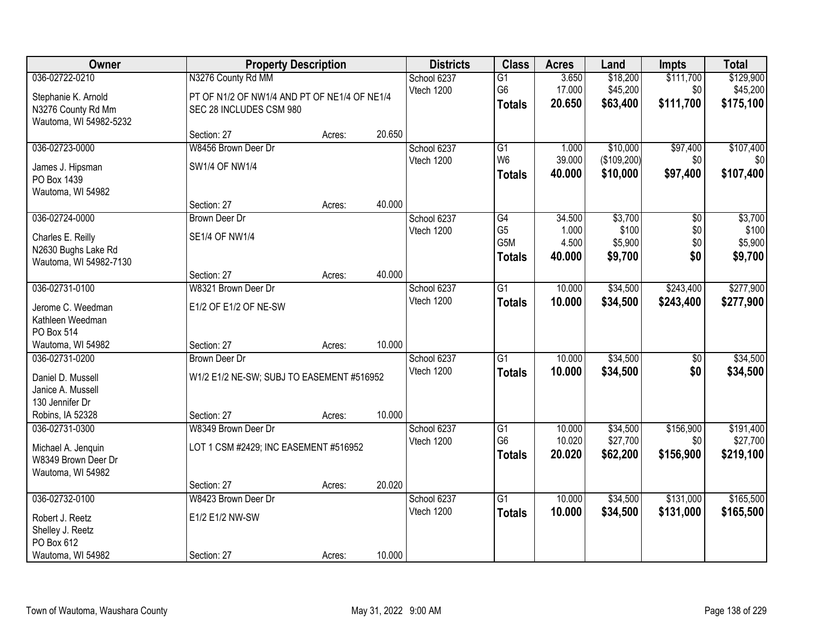| Owner                                                                                           | <b>Property Description</b>                                                                   |        |        | <b>Districts</b>          | <b>Class</b>                                       | <b>Acres</b>                       | Land                                   | <b>Impts</b>                  | <b>Total</b>                           |
|-------------------------------------------------------------------------------------------------|-----------------------------------------------------------------------------------------------|--------|--------|---------------------------|----------------------------------------------------|------------------------------------|----------------------------------------|-------------------------------|----------------------------------------|
| 036-02722-0210<br>Stephanie K. Arnold<br>N3276 County Rd Mm<br>Wautoma, WI 54982-5232           | N3276 County Rd MM<br>PT OF N1/2 OF NW1/4 AND PT OF NE1/4 OF NE1/4<br>SEC 28 INCLUDES CSM 980 |        |        | School 6237<br>Vtech 1200 | $\overline{G1}$<br>G6<br><b>Totals</b>             | 3.650<br>17.000<br>20.650          | \$18,200<br>\$45,200<br>\$63,400       | \$111,700<br>\$0<br>\$111,700 | \$129,900<br>\$45,200<br>\$175,100     |
|                                                                                                 | Section: 27                                                                                   | Acres: | 20.650 |                           |                                                    |                                    |                                        |                               |                                        |
| 036-02723-0000<br>James J. Hipsman<br>PO Box 1439<br>Wautoma, WI 54982                          | W8456 Brown Deer Dr<br><b>SW1/4 OF NW1/4</b>                                                  |        |        | School 6237<br>Vtech 1200 | $\overline{G1}$<br>W <sub>6</sub><br><b>Totals</b> | 1.000<br>39.000<br>40.000          | \$10,000<br>(\$109,200)<br>\$10,000    | \$97,400<br>\$0<br>\$97,400   | \$107,400<br>\$0<br>\$107,400          |
|                                                                                                 | Section: 27                                                                                   | Acres: | 40.000 |                           |                                                    |                                    |                                        |                               |                                        |
| 036-02724-0000<br>Charles E. Reilly<br>N2630 Bughs Lake Rd<br>Wautoma, WI 54982-7130            | <b>Brown Deer Dr</b><br><b>SE1/4 OF NW1/4</b>                                                 |        |        | School 6237<br>Vtech 1200 | G4<br>G <sub>5</sub><br>G5M<br><b>Totals</b>       | 34.500<br>1.000<br>4.500<br>40.000 | \$3,700<br>\$100<br>\$5,900<br>\$9,700 | \$0<br>\$0<br>\$0<br>\$0      | \$3,700<br>\$100<br>\$5,900<br>\$9,700 |
|                                                                                                 | Section: 27                                                                                   | Acres: | 40.000 |                           |                                                    |                                    |                                        |                               |                                        |
| 036-02731-0100<br>Jerome C. Weedman<br>Kathleen Weedman<br>PO Box 514                           | W8321 Brown Deer Dr<br>E1/2 OF E1/2 OF NE-SW                                                  |        |        | School 6237<br>Vtech 1200 | G1<br><b>Totals</b>                                | 10.000<br>10.000                   | \$34,500<br>\$34,500                   | \$243,400<br>\$243,400        | \$277,900<br>\$277,900                 |
| Wautoma, WI 54982                                                                               | Section: 27                                                                                   | Acres: | 10.000 |                           |                                                    |                                    |                                        |                               |                                        |
| 036-02731-0200<br>Daniel D. Mussell<br>Janice A. Mussell<br>130 Jennifer Dr<br>Robins, IA 52328 | <b>Brown Deer Dr</b><br>W1/2 E1/2 NE-SW; SUBJ TO EASEMENT #516952<br>Section: 27              | Acres: | 10.000 | School 6237<br>Vtech 1200 | $\overline{G1}$<br><b>Totals</b>                   | 10.000<br>10.000                   | \$34,500<br>\$34,500                   | $\overline{50}$<br>\$0        | \$34,500<br>\$34,500                   |
| 036-02731-0300<br>Michael A. Jenquin<br>W8349 Brown Deer Dr<br>Wautoma, WI 54982                | W8349 Brown Deer Dr<br>LOT 1 CSM #2429; INC EASEMENT #516952                                  |        |        | School 6237<br>Vtech 1200 | G1<br>G <sub>6</sub><br><b>Totals</b>              | 10.000<br>10.020<br>20.020         | \$34,500<br>\$27,700<br>\$62,200       | \$156,900<br>\$0<br>\$156,900 | \$191,400<br>\$27,700<br>\$219,100     |
|                                                                                                 | Section: 27                                                                                   | Acres: | 20.020 |                           | $\overline{G1}$                                    | 10.000                             |                                        |                               |                                        |
| 036-02732-0100<br>Robert J. Reetz<br>Shelley J. Reetz<br>PO Box 612<br>Wautoma, WI 54982        | W8423 Brown Deer Dr<br>E1/2 E1/2 NW-SW<br>Section: 27                                         | Acres: | 10.000 | School 6237<br>Vtech 1200 | <b>Totals</b>                                      | 10.000                             | \$34,500<br>\$34,500                   | \$131,000<br>\$131,000        | \$165,500<br>\$165,500                 |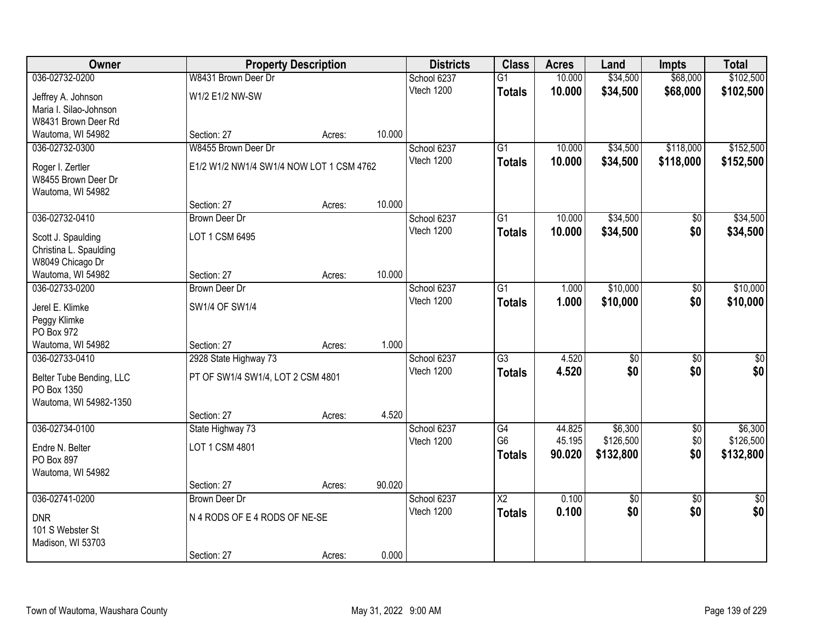| <b>Owner</b>             | <b>Property Description</b>              |        |        | <b>Districts</b> | <b>Class</b>           | <b>Acres</b> | Land       | <b>Impts</b>    | <b>Total</b>    |
|--------------------------|------------------------------------------|--------|--------|------------------|------------------------|--------------|------------|-----------------|-----------------|
| 036-02732-0200           | W8431 Brown Deer Dr                      |        |        | School 6237      | $\overline{G1}$        | 10.000       | \$34,500   | \$68,000        | \$102,500       |
| Jeffrey A. Johnson       | W1/2 E1/2 NW-SW                          |        |        | Vtech 1200       | <b>Totals</b>          | 10.000       | \$34,500   | \$68,000        | \$102,500       |
| Maria I. Silao-Johnson   |                                          |        |        |                  |                        |              |            |                 |                 |
| W8431 Brown Deer Rd      |                                          |        |        |                  |                        |              |            |                 |                 |
| Wautoma, WI 54982        | Section: 27                              | Acres: | 10.000 |                  |                        |              |            |                 |                 |
| 036-02732-0300           | W8455 Brown Deer Dr                      |        |        | School 6237      | $\overline{G1}$        | 10.000       | \$34,500   | \$118,000       | \$152,500       |
| Roger I. Zertler         | E1/2 W1/2 NW1/4 SW1/4 NOW LOT 1 CSM 4762 |        |        | Vtech 1200       | <b>Totals</b>          | 10.000       | \$34,500   | \$118,000       | \$152,500       |
| W8455 Brown Deer Dr      |                                          |        |        |                  |                        |              |            |                 |                 |
| Wautoma, WI 54982        |                                          |        |        |                  |                        |              |            |                 |                 |
|                          | Section: 27                              | Acres: | 10.000 |                  |                        |              |            |                 |                 |
| 036-02732-0410           | <b>Brown Deer Dr</b>                     |        |        | School 6237      | $\overline{G1}$        | 10.000       | \$34,500   | \$0             | \$34,500        |
| Scott J. Spaulding       | LOT 1 CSM 6495                           |        |        | Vtech 1200       | <b>Totals</b>          | 10.000       | \$34,500   | \$0             | \$34,500        |
| Christina L. Spaulding   |                                          |        |        |                  |                        |              |            |                 |                 |
| W8049 Chicago Dr         |                                          |        |        |                  |                        |              |            |                 |                 |
| Wautoma, WI 54982        | Section: 27                              | Acres: | 10.000 |                  |                        |              |            |                 |                 |
| 036-02733-0200           | <b>Brown Deer Dr</b>                     |        |        | School 6237      | $\overline{G1}$        | 1.000        | \$10,000   | \$0             | \$10,000        |
| Jerel E. Klimke          | SW1/4 OF SW1/4                           |        |        | Vtech 1200       | <b>Totals</b>          | 1.000        | \$10,000   | \$0             | \$10,000        |
| Peggy Klimke             |                                          |        |        |                  |                        |              |            |                 |                 |
| PO Box 972               |                                          |        |        |                  |                        |              |            |                 |                 |
| Wautoma, WI 54982        | Section: 27                              | Acres: | 1.000  |                  |                        |              |            |                 |                 |
| 036-02733-0410           | 2928 State Highway 73                    |        |        | School 6237      | $\overline{G3}$        | 4.520        | \$0        | $\overline{50}$ | \$0             |
| Belter Tube Bending, LLC | PT OF SW1/4 SW1/4, LOT 2 CSM 4801        |        |        | Vtech 1200       | <b>Totals</b>          | 4.520        | \$0        | \$0             | \$0             |
| PO Box 1350              |                                          |        |        |                  |                        |              |            |                 |                 |
| Wautoma, WI 54982-1350   |                                          |        |        |                  |                        |              |            |                 |                 |
|                          | Section: 27                              | Acres: | 4.520  |                  |                        |              |            |                 |                 |
| 036-02734-0100           | State Highway 73                         |        |        | School 6237      | G4                     | 44.825       | \$6,300    | $\sqrt{6}$      | \$6,300         |
| Endre N. Belter          | LOT 1 CSM 4801                           |        |        | Vtech 1200       | G <sub>6</sub>         | 45.195       | \$126,500  | \$0             | \$126,500       |
| PO Box 897               |                                          |        |        |                  | <b>Totals</b>          | 90.020       | \$132,800  | \$0             | \$132,800       |
| Wautoma, WI 54982        |                                          |        |        |                  |                        |              |            |                 |                 |
|                          | Section: 27                              | Acres: | 90.020 |                  |                        |              |            |                 |                 |
| 036-02741-0200           | Brown Deer Dr                            |        |        | School 6237      | $\overline{\text{X2}}$ | 0.100        | $\sqrt{6}$ | $\overline{50}$ | $\overline{50}$ |
| <b>DNR</b>               | N 4 RODS OF E 4 RODS OF NE-SE            |        |        | Vtech 1200       | <b>Totals</b>          | 0.100        | \$0        | \$0             | \$0             |
| 101 S Webster St         |                                          |        |        |                  |                        |              |            |                 |                 |
| Madison, WI 53703        |                                          |        |        |                  |                        |              |            |                 |                 |
|                          | Section: 27                              | Acres: | 0.000  |                  |                        |              |            |                 |                 |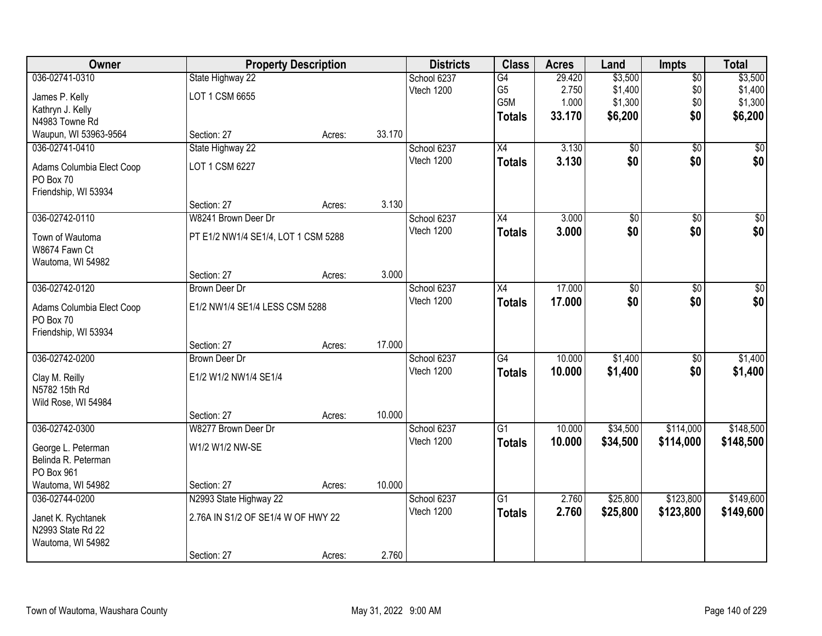| Owner                     | <b>Property Description</b>         |        |        | <b>Districts</b> | <b>Class</b>    | <b>Acres</b> | Land            | <b>Impts</b>    | <b>Total</b>    |
|---------------------------|-------------------------------------|--------|--------|------------------|-----------------|--------------|-----------------|-----------------|-----------------|
| 036-02741-0310            | State Highway 22                    |        |        | School 6237      | $\overline{G4}$ | 29.420       | \$3,500         | \$0             | \$3,500         |
| James P. Kelly            | LOT 1 CSM 6655                      |        |        | Vtech 1200       | G <sub>5</sub>  | 2.750        | \$1,400         | \$0             | \$1,400         |
| Kathryn J. Kelly          |                                     |        |        |                  | G5M             | 1.000        | \$1,300         | \$0             | \$1,300         |
| N4983 Towne Rd            |                                     |        |        |                  | <b>Totals</b>   | 33.170       | \$6,200         | \$0             | \$6,200         |
| Waupun, WI 53963-9564     | Section: 27                         | Acres: | 33.170 |                  |                 |              |                 |                 |                 |
| 036-02741-0410            | State Highway 22                    |        |        | School 6237      | $\overline{X4}$ | 3.130        | $\overline{50}$ | $\overline{50}$ | \$0             |
| Adams Columbia Elect Coop | LOT 1 CSM 6227                      |        |        | Vtech 1200       | <b>Totals</b>   | 3.130        | \$0             | \$0             | \$0             |
| PO Box 70                 |                                     |        |        |                  |                 |              |                 |                 |                 |
| Friendship, WI 53934      |                                     |        |        |                  |                 |              |                 |                 |                 |
|                           | Section: 27                         | Acres: | 3.130  |                  |                 |              |                 |                 |                 |
| 036-02742-0110            | W8241 Brown Deer Dr                 |        |        | School 6237      | X4              | 3.000        | \$0             | \$0             | $\overline{50}$ |
| Town of Wautoma           | PT E1/2 NW1/4 SE1/4, LOT 1 CSM 5288 |        |        | Vtech 1200       | <b>Totals</b>   | 3.000        | \$0             | \$0             | \$0             |
| W8674 Fawn Ct             |                                     |        |        |                  |                 |              |                 |                 |                 |
| Wautoma, WI 54982         |                                     |        |        |                  |                 |              |                 |                 |                 |
|                           | Section: 27                         | Acres: | 3.000  |                  |                 |              |                 |                 |                 |
| 036-02742-0120            | <b>Brown Deer Dr</b>                |        |        | School 6237      | X4              | 17.000       | \$0             | $\sqrt[6]{}$    | $\sqrt{50}$     |
| Adams Columbia Elect Coop | E1/2 NW1/4 SE1/4 LESS CSM 5288      |        |        | Vtech 1200       | <b>Totals</b>   | 17,000       | \$0             | \$0             | \$0             |
| PO Box 70                 |                                     |        |        |                  |                 |              |                 |                 |                 |
| Friendship, WI 53934      |                                     |        |        |                  |                 |              |                 |                 |                 |
|                           | Section: 27                         | Acres: | 17.000 |                  |                 |              |                 |                 |                 |
| 036-02742-0200            | <b>Brown Deer Dr</b>                |        |        | School 6237      | $\overline{G4}$ | 10.000       | \$1,400         | $\overline{50}$ | \$1,400         |
| Clay M. Reilly            | E1/2 W1/2 NW1/4 SE1/4               |        |        | Vtech 1200       | <b>Totals</b>   | 10.000       | \$1,400         | \$0             | \$1,400         |
| N5782 15th Rd             |                                     |        |        |                  |                 |              |                 |                 |                 |
| Wild Rose, WI 54984       |                                     |        |        |                  |                 |              |                 |                 |                 |
|                           | Section: 27                         | Acres: | 10.000 |                  |                 |              |                 |                 |                 |
| 036-02742-0300            | W8277 Brown Deer Dr                 |        |        | School 6237      | $\overline{G1}$ | 10.000       | \$34,500        | \$114,000       | \$148,500       |
| George L. Peterman        | W1/2 W1/2 NW-SE                     |        |        | Vtech 1200       | <b>Totals</b>   | 10.000       | \$34,500        | \$114,000       | \$148,500       |
| Belinda R. Peterman       |                                     |        |        |                  |                 |              |                 |                 |                 |
| PO Box 961                |                                     |        |        |                  |                 |              |                 |                 |                 |
| Wautoma, WI 54982         | Section: 27                         | Acres: | 10.000 |                  |                 |              |                 |                 |                 |
| 036-02744-0200            | N2993 State Highway 22              |        |        | School 6237      | $\overline{G1}$ | 2.760        | \$25,800        | \$123,800       | \$149,600       |
| Janet K. Rychtanek        | 2.76A IN S1/2 OF SE1/4 W OF HWY 22  |        |        | Vtech 1200       | <b>Totals</b>   | 2.760        | \$25,800        | \$123,800       | \$149,600       |
| N2993 State Rd 22         |                                     |        |        |                  |                 |              |                 |                 |                 |
| Wautoma, WI 54982         |                                     |        |        |                  |                 |              |                 |                 |                 |
|                           | Section: 27                         | Acres: | 2.760  |                  |                 |              |                 |                 |                 |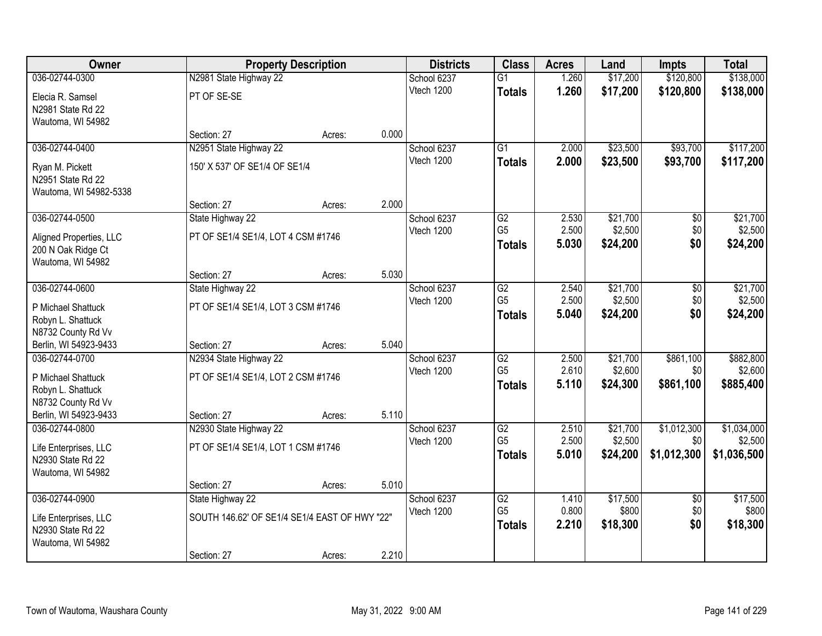| Owner                                   |                                               | <b>Property Description</b> |       | <b>Districts</b>          | <b>Class</b>                      | <b>Acres</b>   | Land              | <b>Impts</b>           | <b>Total</b>      |
|-----------------------------------------|-----------------------------------------------|-----------------------------|-------|---------------------------|-----------------------------------|----------------|-------------------|------------------------|-------------------|
| 036-02744-0300                          | N2981 State Highway 22                        |                             |       | School 6237               | $\overline{G1}$                   | 1.260          | \$17,200          | \$120,800              | \$138,000         |
| Elecia R. Samsel                        | PT OF SE-SE                                   |                             |       | Vtech 1200                | <b>Totals</b>                     | 1.260          | \$17,200          | \$120,800              | \$138,000         |
| N2981 State Rd 22                       |                                               |                             |       |                           |                                   |                |                   |                        |                   |
| Wautoma, WI 54982                       |                                               |                             |       |                           |                                   |                |                   |                        |                   |
|                                         | Section: 27                                   | Acres:                      | 0.000 |                           |                                   |                |                   |                        |                   |
| 036-02744-0400                          | N2951 State Highway 22                        |                             |       | School 6237               | G1                                | 2.000          | \$23,500          | \$93,700               | \$117,200         |
| Ryan M. Pickett                         | 150' X 537' OF SE1/4 OF SE1/4                 |                             |       | Vtech 1200                | <b>Totals</b>                     | 2.000          | \$23,500          | \$93,700               | \$117,200         |
| N2951 State Rd 22                       |                                               |                             |       |                           |                                   |                |                   |                        |                   |
| Wautoma, WI 54982-5338                  |                                               |                             |       |                           |                                   |                |                   |                        |                   |
| 036-02744-0500                          | Section: 27                                   | Acres:                      | 2.000 | School 6237               | $\overline{G2}$                   | 2.530          | \$21,700          | $\overline{50}$        | \$21,700          |
|                                         | State Highway 22                              |                             |       | Vtech 1200                | G <sub>5</sub>                    | 2.500          | \$2,500           | \$0                    | \$2,500           |
| Aligned Properties, LLC                 | PT OF SE1/4 SE1/4, LOT 4 CSM #1746            |                             |       |                           | <b>Totals</b>                     | 5.030          | \$24,200          | \$0                    | \$24,200          |
| 200 N Oak Ridge Ct                      |                                               |                             |       |                           |                                   |                |                   |                        |                   |
| Wautoma, WI 54982                       | Section: 27                                   | Acres:                      | 5.030 |                           |                                   |                |                   |                        |                   |
| 036-02744-0600                          | State Highway 22                              |                             |       | School 6237               | $\overline{G2}$                   | 2.540          | \$21,700          | $\overline{50}$        | \$21,700          |
|                                         |                                               |                             |       | Vtech 1200                | G <sub>5</sub>                    | 2.500          | \$2,500           | \$0                    | \$2,500           |
| P Michael Shattuck<br>Robyn L. Shattuck | PT OF SE1/4 SE1/4, LOT 3 CSM #1746            |                             |       |                           | <b>Totals</b>                     | 5.040          | \$24,200          | \$0                    | \$24,200          |
| N8732 County Rd Vv                      |                                               |                             |       |                           |                                   |                |                   |                        |                   |
| Berlin, WI 54923-9433                   | Section: 27                                   | Acres:                      | 5.040 |                           |                                   |                |                   |                        |                   |
| 036-02744-0700                          | N2934 State Highway 22                        |                             |       | School 6237               | G2                                | 2.500          | \$21,700          | \$861,100              | \$882,800         |
| P Michael Shattuck                      | PT OF SE1/4 SE1/4, LOT 2 CSM #1746            |                             |       | Vtech 1200                | G <sub>5</sub>                    | 2.610          | \$2,600           | \$0                    | \$2,600           |
| Robyn L. Shattuck                       |                                               |                             |       |                           | <b>Totals</b>                     | 5.110          | \$24,300          | \$861,100              | \$885,400         |
| N8732 County Rd Vv                      |                                               |                             |       |                           |                                   |                |                   |                        |                   |
| Berlin, WI 54923-9433                   | Section: 27                                   | Acres:                      | 5.110 |                           |                                   |                |                   |                        |                   |
| 036-02744-0800                          | N2930 State Highway 22                        |                             |       | School 6237               | G2                                | 2.510          | \$21,700          | \$1,012,300            | \$1,034,000       |
| Life Enterprises, LLC                   | PT OF SE1/4 SE1/4, LOT 1 CSM #1746            |                             |       | Vtech 1200                | G <sub>5</sub>                    | 2.500          | \$2,500           | \$0                    | \$2,500           |
| N2930 State Rd 22                       |                                               |                             |       |                           | <b>Totals</b>                     | 5.010          | \$24,200          | \$1,012,300            | \$1,036,500       |
| Wautoma, WI 54982                       |                                               |                             |       |                           |                                   |                |                   |                        |                   |
|                                         | Section: 27                                   | Acres:                      | 5.010 |                           |                                   |                |                   |                        |                   |
| 036-02744-0900                          | State Highway 22                              |                             |       | School 6237<br>Vtech 1200 | $\overline{G2}$<br>G <sub>5</sub> | 1.410<br>0.800 | \$17,500<br>\$800 | $\overline{50}$<br>\$0 | \$17,500<br>\$800 |
| Life Enterprises, LLC                   | SOUTH 146.62' OF SE1/4 SE1/4 EAST OF HWY "22" |                             |       |                           | <b>Totals</b>                     | 2.210          | \$18,300          | \$0                    | \$18,300          |
| N2930 State Rd 22                       |                                               |                             |       |                           |                                   |                |                   |                        |                   |
| Wautoma, WI 54982                       | Section: 27                                   |                             | 2.210 |                           |                                   |                |                   |                        |                   |
|                                         |                                               | Acres:                      |       |                           |                                   |                |                   |                        |                   |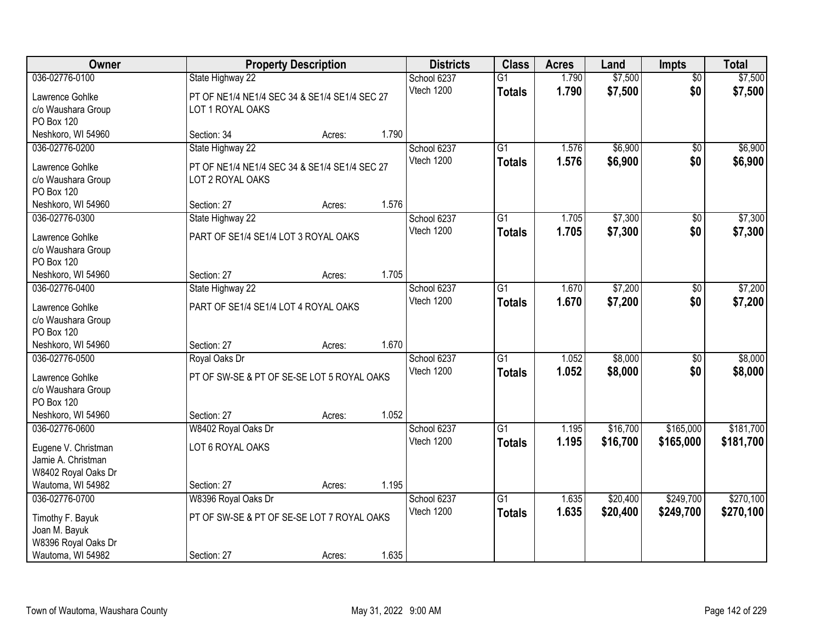| Owner                            |                                               | <b>Property Description</b> |       | <b>Districts</b> | <b>Class</b>    | <b>Acres</b> | Land     | <b>Impts</b>    | <b>Total</b> |
|----------------------------------|-----------------------------------------------|-----------------------------|-------|------------------|-----------------|--------------|----------|-----------------|--------------|
| 036-02776-0100                   | State Highway 22                              |                             |       | School 6237      | $\overline{G1}$ | 1.790        | \$7,500  | $\overline{50}$ | \$7,500      |
| Lawrence Gohlke                  | PT OF NE1/4 NE1/4 SEC 34 & SE1/4 SE1/4 SEC 27 |                             |       | Vtech 1200       | <b>Totals</b>   | 1.790        | \$7,500  | \$0             | \$7,500      |
| c/o Waushara Group               | LOT 1 ROYAL OAKS                              |                             |       |                  |                 |              |          |                 |              |
| PO Box 120                       |                                               |                             |       |                  |                 |              |          |                 |              |
| Neshkoro, WI 54960               | Section: 34                                   | Acres:                      | 1.790 |                  |                 |              |          |                 |              |
| 036-02776-0200                   | State Highway 22                              |                             |       | School 6237      | $\overline{G1}$ | 1.576        | \$6,900  | $\overline{50}$ | \$6,900      |
| Lawrence Gohlke                  | PT OF NE1/4 NE1/4 SEC 34 & SE1/4 SE1/4 SEC 27 |                             |       | Vtech 1200       | <b>Totals</b>   | 1.576        | \$6,900  | \$0             | \$6,900      |
| c/o Waushara Group               | LOT 2 ROYAL OAKS                              |                             |       |                  |                 |              |          |                 |              |
| PO Box 120                       |                                               |                             |       |                  |                 |              |          |                 |              |
| Neshkoro, WI 54960               | Section: 27                                   | Acres:                      | 1.576 |                  |                 |              |          |                 |              |
| 036-02776-0300                   | State Highway 22                              |                             |       | School 6237      | G1              | 1.705        | \$7,300  | \$0             | \$7,300      |
| Lawrence Gohlke                  | PART OF SE1/4 SE1/4 LOT 3 ROYAL OAKS          |                             |       | Vtech 1200       | <b>Totals</b>   | 1.705        | \$7,300  | \$0             | \$7,300      |
| c/o Waushara Group               |                                               |                             |       |                  |                 |              |          |                 |              |
| PO Box 120                       |                                               |                             |       |                  |                 |              |          |                 |              |
| Neshkoro, WI 54960               | Section: 27                                   | Acres:                      | 1.705 |                  |                 |              |          |                 |              |
| 036-02776-0400                   | State Highway 22                              |                             |       | School 6237      | $\overline{G1}$ | 1.670        | \$7,200  | \$0             | \$7,200      |
|                                  |                                               |                             |       | Vtech 1200       | <b>Totals</b>   | 1.670        | \$7,200  | \$0             | \$7,200      |
| Lawrence Gohlke                  | PART OF SE1/4 SE1/4 LOT 4 ROYAL OAKS          |                             |       |                  |                 |              |          |                 |              |
| c/o Waushara Group<br>PO Box 120 |                                               |                             |       |                  |                 |              |          |                 |              |
| Neshkoro, WI 54960               | Section: 27                                   | Acres:                      | 1.670 |                  |                 |              |          |                 |              |
| 036-02776-0500                   | Royal Oaks Dr                                 |                             |       | School 6237      | $\overline{G1}$ | 1.052        | \$8,000  | \$0             | \$8,000      |
|                                  |                                               |                             |       | Vtech 1200       | <b>Totals</b>   | 1.052        | \$8,000  | \$0             | \$8,000      |
| Lawrence Gohlke                  | PT OF SW-SE & PT OF SE-SE LOT 5 ROYAL OAKS    |                             |       |                  |                 |              |          |                 |              |
| c/o Waushara Group               |                                               |                             |       |                  |                 |              |          |                 |              |
| PO Box 120<br>Neshkoro, WI 54960 | Section: 27                                   |                             | 1.052 |                  |                 |              |          |                 |              |
| 036-02776-0600                   | W8402 Royal Oaks Dr                           | Acres:                      |       | School 6237      | $\overline{G1}$ | 1.195        | \$16,700 | \$165,000       | \$181,700    |
|                                  |                                               |                             |       | Vtech 1200       | <b>Totals</b>   | 1.195        | \$16,700 | \$165,000       | \$181,700    |
| Eugene V. Christman              | LOT 6 ROYAL OAKS                              |                             |       |                  |                 |              |          |                 |              |
| Jamie A. Christman               |                                               |                             |       |                  |                 |              |          |                 |              |
| W8402 Royal Oaks Dr              |                                               |                             |       |                  |                 |              |          |                 |              |
| Wautoma, WI 54982                | Section: 27                                   | Acres:                      | 1.195 |                  |                 |              |          |                 |              |
| 036-02776-0700                   | W8396 Royal Oaks Dr                           |                             |       | School 6237      | $\overline{G1}$ | 1.635        | \$20,400 | \$249,700       | \$270,100    |
| Timothy F. Bayuk                 | PT OF SW-SE & PT OF SE-SE LOT 7 ROYAL OAKS    |                             |       | Vtech 1200       | <b>Totals</b>   | 1.635        | \$20,400 | \$249,700       | \$270,100    |
| Joan M. Bayuk                    |                                               |                             |       |                  |                 |              |          |                 |              |
| W8396 Royal Oaks Dr              |                                               |                             |       |                  |                 |              |          |                 |              |
| Wautoma, WI 54982                | Section: 27                                   | Acres:                      | 1.635 |                  |                 |              |          |                 |              |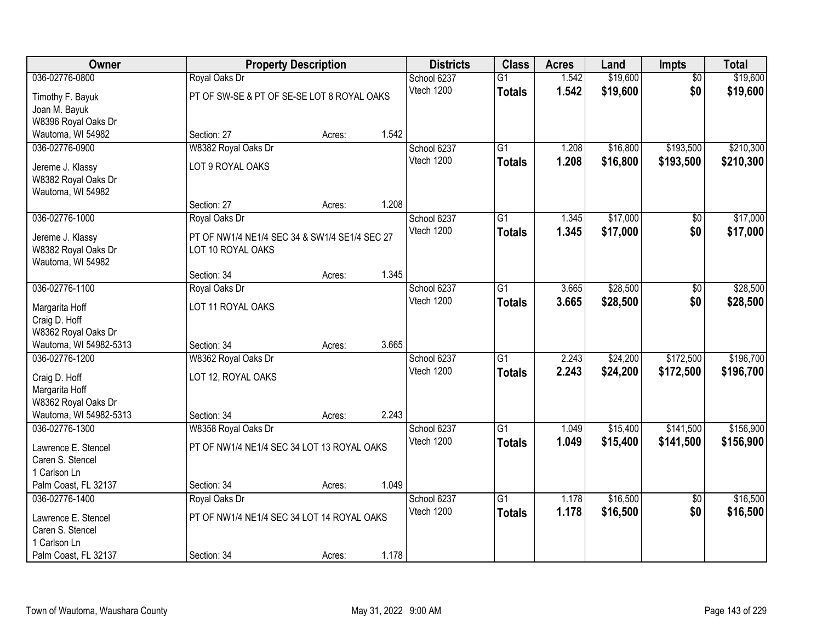| Owner                  | <b>Property Description</b>                   |        |       | <b>Districts</b> | <b>Class</b>    | <b>Acres</b> | Land     | Impts           | <b>Total</b> |
|------------------------|-----------------------------------------------|--------|-------|------------------|-----------------|--------------|----------|-----------------|--------------|
| 036-02776-0800         | Royal Oaks Dr                                 |        |       | School 6237      | $\overline{G1}$ | 1.542        | \$19,600 | $\overline{50}$ | \$19,600     |
| Timothy F. Bayuk       | PT OF SW-SE & PT OF SE-SE LOT 8 ROYAL OAKS    |        |       | Vtech 1200       | <b>Totals</b>   | 1.542        | \$19,600 | \$0             | \$19,600     |
| Joan M. Bayuk          |                                               |        |       |                  |                 |              |          |                 |              |
| W8396 Royal Oaks Dr    |                                               |        |       |                  |                 |              |          |                 |              |
| Wautoma, WI 54982      | Section: 27                                   | Acres: | 1.542 |                  |                 |              |          |                 |              |
| 036-02776-0900         | W8382 Royal Oaks Dr                           |        |       | School 6237      | $\overline{G1}$ | 1.208        | \$16,800 | \$193,500       | \$210,300    |
| Jereme J. Klassy       | LOT 9 ROYAL OAKS                              |        |       | Vtech 1200       | <b>Totals</b>   | 1.208        | \$16,800 | \$193,500       | \$210,300    |
| W8382 Royal Oaks Dr    |                                               |        |       |                  |                 |              |          |                 |              |
| Wautoma, WI 54982      |                                               |        |       |                  |                 |              |          |                 |              |
|                        | Section: 27                                   | Acres: | 1.208 |                  |                 |              |          |                 |              |
| 036-02776-1000         | Royal Oaks Dr                                 |        |       | School 6237      | $\overline{G1}$ | 1.345        | \$17,000 | \$0             | \$17,000     |
| Jereme J. Klassy       | PT OF NW1/4 NE1/4 SEC 34 & SW1/4 SE1/4 SEC 27 |        |       | Vtech 1200       | <b>Totals</b>   | 1.345        | \$17,000 | \$0             | \$17,000     |
| W8382 Royal Oaks Dr    | LOT 10 ROYAL OAKS                             |        |       |                  |                 |              |          |                 |              |
| Wautoma, WI 54982      |                                               |        |       |                  |                 |              |          |                 |              |
|                        | Section: 34                                   | Acres: | 1.345 |                  |                 |              |          |                 |              |
| 036-02776-1100         | Royal Oaks Dr                                 |        |       | School 6237      | G1              | 3.665        | \$28,500 | \$0             | \$28,500     |
| Margarita Hoff         | LOT 11 ROYAL OAKS                             |        |       | Vtech 1200       | <b>Totals</b>   | 3.665        | \$28,500 | \$0             | \$28,500     |
| Craig D. Hoff          |                                               |        |       |                  |                 |              |          |                 |              |
| W8362 Royal Oaks Dr    |                                               |        |       |                  |                 |              |          |                 |              |
| Wautoma, WI 54982-5313 | Section: 34                                   | Acres: | 3.665 |                  |                 |              |          |                 |              |
| 036-02776-1200         | W8362 Royal Oaks Dr                           |        |       | School 6237      | $\overline{G1}$ | 2.243        | \$24,200 | \$172,500       | \$196,700    |
| Craig D. Hoff          | LOT 12, ROYAL OAKS                            |        |       | Vtech 1200       | <b>Totals</b>   | 2.243        | \$24,200 | \$172,500       | \$196,700    |
| Margarita Hoff         |                                               |        |       |                  |                 |              |          |                 |              |
| W8362 Royal Oaks Dr    |                                               |        |       |                  |                 |              |          |                 |              |
| Wautoma, WI 54982-5313 | Section: 34                                   | Acres: | 2.243 |                  |                 |              |          |                 |              |
| 036-02776-1300         | W8358 Royal Oaks Dr                           |        |       | School 6237      | $\overline{G1}$ | 1.049        | \$15,400 | \$141,500       | \$156,900    |
| Lawrence E. Stencel    | PT OF NW1/4 NE1/4 SEC 34 LOT 13 ROYAL OAKS    |        |       | Vtech 1200       | <b>Totals</b>   | 1.049        | \$15,400 | \$141,500       | \$156,900    |
| Caren S. Stencel       |                                               |        |       |                  |                 |              |          |                 |              |
| 1 Carlson Ln           |                                               |        |       |                  |                 |              |          |                 |              |
| Palm Coast, FL 32137   | Section: 34                                   | Acres: | 1.049 |                  |                 |              |          |                 |              |
| 036-02776-1400         | Royal Oaks Dr                                 |        |       | School 6237      | $\overline{G1}$ | 1.178        | \$16,500 | $\overline{50}$ | \$16,500     |
| Lawrence E. Stencel    | PT OF NW1/4 NE1/4 SEC 34 LOT 14 ROYAL OAKS    |        |       | Vtech 1200       | <b>Totals</b>   | 1.178        | \$16,500 | \$0             | \$16,500     |
| Caren S. Stencel       |                                               |        |       |                  |                 |              |          |                 |              |
| 1 Carlson Ln           |                                               |        |       |                  |                 |              |          |                 |              |
| Palm Coast, FL 32137   | Section: 34                                   | Acres: | 1.178 |                  |                 |              |          |                 |              |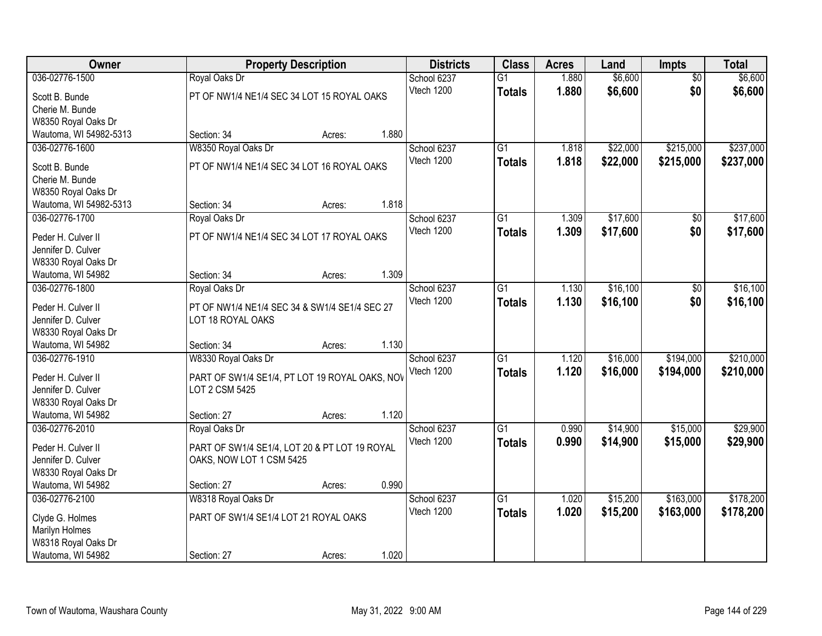| Owner                                     |                                                | <b>Property Description</b> |       | <b>Districts</b> | <b>Class</b>    | <b>Acres</b> | Land     | <b>Impts</b>    | <b>Total</b> |
|-------------------------------------------|------------------------------------------------|-----------------------------|-------|------------------|-----------------|--------------|----------|-----------------|--------------|
| 036-02776-1500                            | Royal Oaks Dr                                  |                             |       | School 6237      | $\overline{G1}$ | 1.880        | \$6,600  | $\overline{50}$ | \$6,600      |
| Scott B. Bunde                            | PT OF NW1/4 NE1/4 SEC 34 LOT 15 ROYAL OAKS     |                             |       | Vtech 1200       | <b>Totals</b>   | 1.880        | \$6,600  | \$0             | \$6,600      |
| Cherie M. Bunde                           |                                                |                             |       |                  |                 |              |          |                 |              |
| W8350 Royal Oaks Dr                       |                                                |                             |       |                  |                 |              |          |                 |              |
| Wautoma, WI 54982-5313                    | Section: 34                                    | Acres:                      | 1.880 |                  |                 |              |          |                 |              |
| 036-02776-1600                            | W8350 Royal Oaks Dr                            |                             |       | School 6237      | $\overline{G1}$ | 1.818        | \$22,000 | \$215,000       | \$237,000    |
| Scott B. Bunde                            | PT OF NW1/4 NE1/4 SEC 34 LOT 16 ROYAL OAKS     |                             |       | Vtech 1200       | <b>Totals</b>   | 1.818        | \$22,000 | \$215,000       | \$237,000    |
| Cherie M. Bunde                           |                                                |                             |       |                  |                 |              |          |                 |              |
| W8350 Royal Oaks Dr                       |                                                |                             |       |                  |                 |              |          |                 |              |
| Wautoma, WI 54982-5313                    | Section: 34                                    | Acres:                      | 1.818 |                  |                 |              |          |                 |              |
| 036-02776-1700                            | Royal Oaks Dr                                  |                             |       | School 6237      | G <sub>1</sub>  | 1.309        | \$17,600 | \$0             | \$17,600     |
| Peder H. Culver II                        | PT OF NW1/4 NE1/4 SEC 34 LOT 17 ROYAL OAKS     |                             |       | Vtech 1200       | <b>Totals</b>   | 1.309        | \$17,600 | \$0             | \$17,600     |
| Jennifer D. Culver                        |                                                |                             |       |                  |                 |              |          |                 |              |
| W8330 Royal Oaks Dr                       |                                                |                             |       |                  |                 |              |          |                 |              |
| Wautoma, WI 54982                         | Section: 34                                    | Acres:                      | 1.309 |                  |                 |              |          |                 |              |
| 036-02776-1800                            | Royal Oaks Dr                                  |                             |       | School 6237      | G1              | 1.130        | \$16,100 | \$0             | \$16,100     |
|                                           |                                                |                             |       | Vtech 1200       | <b>Totals</b>   | 1.130        | \$16,100 | \$0             | \$16,100     |
| Peder H. Culver II                        | PT OF NW1/4 NE1/4 SEC 34 & SW1/4 SE1/4 SEC 27  |                             |       |                  |                 |              |          |                 |              |
| Jennifer D. Culver<br>W8330 Royal Oaks Dr | LOT 18 ROYAL OAKS                              |                             |       |                  |                 |              |          |                 |              |
| Wautoma, WI 54982                         | Section: 34                                    | Acres:                      | 1.130 |                  |                 |              |          |                 |              |
| 036-02776-1910                            | W8330 Royal Oaks Dr                            |                             |       | School 6237      | $\overline{G1}$ | 1.120        | \$16,000 | \$194,000       | \$210,000    |
|                                           |                                                |                             |       | Vtech 1200       | <b>Totals</b>   | 1.120        | \$16,000 | \$194,000       | \$210,000    |
| Peder H. Culver II                        | PART OF SW1/4 SE1/4, PT LOT 19 ROYAL OAKS, NOV |                             |       |                  |                 |              |          |                 |              |
| Jennifer D. Culver                        | LOT 2 CSM 5425                                 |                             |       |                  |                 |              |          |                 |              |
| W8330 Royal Oaks Dr                       |                                                |                             | 1.120 |                  |                 |              |          |                 |              |
| Wautoma, WI 54982<br>036-02776-2010       | Section: 27<br>Royal Oaks Dr                   | Acres:                      |       | School 6237      | $\overline{G1}$ | 0.990        | \$14,900 | \$15,000        | \$29,900     |
|                                           |                                                |                             |       | Vtech 1200       | <b>Totals</b>   | 0.990        | \$14,900 | \$15,000        | \$29,900     |
| Peder H. Culver II                        | PART OF SW1/4 SE1/4, LOT 20 & PT LOT 19 ROYAL  |                             |       |                  |                 |              |          |                 |              |
| Jennifer D. Culver                        | OAKS, NOW LOT 1 CSM 5425                       |                             |       |                  |                 |              |          |                 |              |
| W8330 Royal Oaks Dr                       |                                                |                             |       |                  |                 |              |          |                 |              |
| Wautoma, WI 54982                         | Section: 27                                    | Acres:                      | 0.990 |                  |                 |              |          |                 |              |
| 036-02776-2100                            | W8318 Royal Oaks Dr                            |                             |       | School 6237      | $\overline{G1}$ | 1.020        | \$15,200 | \$163,000       | \$178,200    |
| Clyde G. Holmes                           | PART OF SW1/4 SE1/4 LOT 21 ROYAL OAKS          |                             |       | Vtech 1200       | <b>Totals</b>   | 1.020        | \$15,200 | \$163,000       | \$178,200    |
| Marilyn Holmes                            |                                                |                             |       |                  |                 |              |          |                 |              |
| W8318 Royal Oaks Dr                       |                                                |                             |       |                  |                 |              |          |                 |              |
| Wautoma, WI 54982                         | Section: 27                                    | Acres:                      | 1.020 |                  |                 |              |          |                 |              |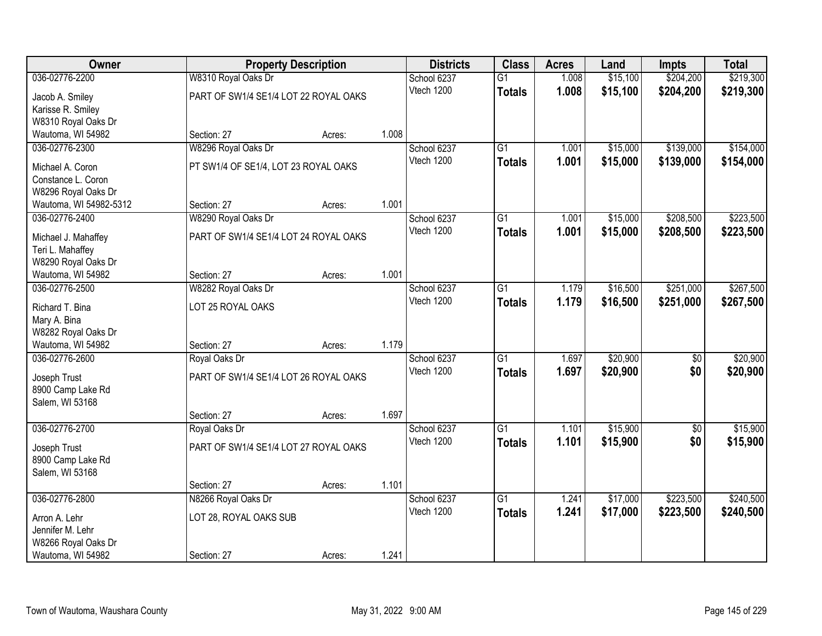| Owner                                    |                                       | <b>Property Description</b> |       | <b>Districts</b> | <b>Class</b>    | <b>Acres</b> | Land     | Impts           | <b>Total</b> |
|------------------------------------------|---------------------------------------|-----------------------------|-------|------------------|-----------------|--------------|----------|-----------------|--------------|
| 036-02776-2200                           | W8310 Royal Oaks Dr                   |                             |       | School 6237      | $\overline{G1}$ | 1.008        | \$15,100 | \$204,200       | \$219,300    |
| Jacob A. Smiley                          | PART OF SW1/4 SE1/4 LOT 22 ROYAL OAKS |                             |       | Vtech 1200       | <b>Totals</b>   | 1.008        | \$15,100 | \$204,200       | \$219,300    |
| Karisse R. Smiley                        |                                       |                             |       |                  |                 |              |          |                 |              |
| W8310 Royal Oaks Dr                      |                                       |                             |       |                  |                 |              |          |                 |              |
| Wautoma, WI 54982                        | Section: 27                           | Acres:                      | 1.008 |                  |                 |              |          |                 |              |
| 036-02776-2300                           | W8296 Royal Oaks Dr                   |                             |       | School 6237      | $\overline{G1}$ | 1.001        | \$15,000 | \$139,000       | \$154,000    |
| Michael A. Coron                         | PT SW1/4 OF SE1/4, LOT 23 ROYAL OAKS  |                             |       | Vtech 1200       | <b>Totals</b>   | 1.001        | \$15,000 | \$139,000       | \$154,000    |
| Constance L. Coron                       |                                       |                             |       |                  |                 |              |          |                 |              |
| W8296 Royal Oaks Dr                      |                                       |                             |       |                  |                 |              |          |                 |              |
| Wautoma, WI 54982-5312                   | Section: 27                           | Acres:                      | 1.001 |                  |                 |              |          |                 |              |
| 036-02776-2400                           | W8290 Royal Oaks Dr                   |                             |       | School 6237      | $\overline{G1}$ | 1.001        | \$15,000 | \$208,500       | \$223,500    |
|                                          |                                       |                             |       | Vtech 1200       | <b>Totals</b>   | 1.001        | \$15,000 | \$208,500       | \$223,500    |
| Michael J. Mahaffey                      | PART OF SW1/4 SE1/4 LOT 24 ROYAL OAKS |                             |       |                  |                 |              |          |                 |              |
| Teri L. Mahaffey                         |                                       |                             |       |                  |                 |              |          |                 |              |
| W8290 Royal Oaks Dr<br>Wautoma, WI 54982 | Section: 27                           |                             | 1.001 |                  |                 |              |          |                 |              |
| 036-02776-2500                           | W8282 Royal Oaks Dr                   | Acres:                      |       | School 6237      | $\overline{G1}$ | 1.179        | \$16,500 | \$251,000       | \$267,500    |
|                                          |                                       |                             |       | Vtech 1200       |                 | 1.179        |          |                 |              |
| Richard T. Bina                          | LOT 25 ROYAL OAKS                     |                             |       |                  | <b>Totals</b>   |              | \$16,500 | \$251,000       | \$267,500    |
| Mary A. Bina                             |                                       |                             |       |                  |                 |              |          |                 |              |
| W8282 Royal Oaks Dr                      |                                       |                             |       |                  |                 |              |          |                 |              |
| Wautoma, WI 54982                        | Section: 27                           | Acres:                      | 1.179 |                  |                 |              |          |                 |              |
| 036-02776-2600                           | Royal Oaks Dr                         |                             |       | School 6237      | $\overline{G1}$ | 1.697        | \$20,900 | $\overline{60}$ | \$20,900     |
| Joseph Trust                             | PART OF SW1/4 SE1/4 LOT 26 ROYAL OAKS |                             |       | Vtech 1200       | <b>Totals</b>   | 1.697        | \$20,900 | \$0             | \$20,900     |
| 8900 Camp Lake Rd                        |                                       |                             |       |                  |                 |              |          |                 |              |
| Salem, WI 53168                          |                                       |                             |       |                  |                 |              |          |                 |              |
|                                          | Section: 27                           | Acres:                      | 1.697 |                  |                 |              |          |                 |              |
| 036-02776-2700                           | Royal Oaks Dr                         |                             |       | School 6237      | $\overline{G1}$ | 1.101        | \$15,900 | $\sqrt{6}$      | \$15,900     |
| Joseph Trust                             | PART OF SW1/4 SE1/4 LOT 27 ROYAL OAKS |                             |       | Vtech 1200       | <b>Totals</b>   | 1.101        | \$15,900 | \$0             | \$15,900     |
| 8900 Camp Lake Rd                        |                                       |                             |       |                  |                 |              |          |                 |              |
| Salem, WI 53168                          |                                       |                             |       |                  |                 |              |          |                 |              |
|                                          | Section: 27                           | Acres:                      | 1.101 |                  |                 |              |          |                 |              |
| 036-02776-2800                           | N8266 Royal Oaks Dr                   |                             |       | School 6237      | $\overline{G1}$ | 1.241        | \$17,000 | \$223,500       | \$240,500    |
|                                          |                                       |                             |       | Vtech 1200       | <b>Totals</b>   | 1.241        | \$17,000 | \$223,500       | \$240,500    |
| Arron A. Lehr                            | LOT 28, ROYAL OAKS SUB                |                             |       |                  |                 |              |          |                 |              |
| Jennifer M. Lehr                         |                                       |                             |       |                  |                 |              |          |                 |              |
| W8266 Royal Oaks Dr                      |                                       |                             |       |                  |                 |              |          |                 |              |
| Wautoma, WI 54982                        | Section: 27                           | Acres:                      | 1.241 |                  |                 |              |          |                 |              |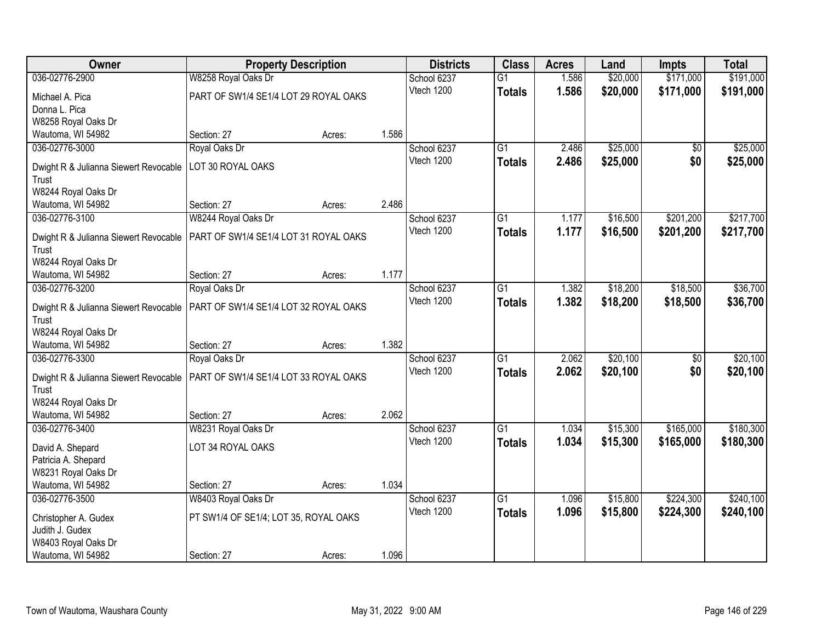| Owner                                          | <b>Property Description</b>           |        |       | <b>Districts</b> | <b>Class</b>    | <b>Acres</b> | Land     | <b>Impts</b>    | <b>Total</b> |
|------------------------------------------------|---------------------------------------|--------|-------|------------------|-----------------|--------------|----------|-----------------|--------------|
| 036-02776-2900                                 | W8258 Royal Oaks Dr                   |        |       | School 6237      | $\overline{G1}$ | 1.586        | \$20,000 | \$171,000       | \$191,000    |
| Michael A. Pica                                | PART OF SW1/4 SE1/4 LOT 29 ROYAL OAKS |        |       | Vtech 1200       | <b>Totals</b>   | 1.586        | \$20,000 | \$171,000       | \$191,000    |
| Donna L. Pica                                  |                                       |        |       |                  |                 |              |          |                 |              |
| W8258 Royal Oaks Dr                            |                                       |        |       |                  |                 |              |          |                 |              |
| Wautoma, WI 54982                              | Section: 27                           | Acres: | 1.586 |                  |                 |              |          |                 |              |
| 036-02776-3000                                 | Royal Oaks Dr                         |        |       | School 6237      | $\overline{G1}$ | 2.486        | \$25,000 | \$0             | \$25,000     |
|                                                | LOT 30 ROYAL OAKS                     |        |       | Vtech 1200       | <b>Totals</b>   | 2.486        | \$25,000 | \$0             | \$25,000     |
| Dwight R & Julianna Siewert Revocable<br>Trust |                                       |        |       |                  |                 |              |          |                 |              |
| W8244 Royal Oaks Dr                            |                                       |        |       |                  |                 |              |          |                 |              |
| Wautoma, WI 54982                              | Section: 27                           | Acres: | 2.486 |                  |                 |              |          |                 |              |
| 036-02776-3100                                 | W8244 Royal Oaks Dr                   |        |       | School 6237      | G1              | 1.177        | \$16,500 | \$201,200       | \$217,700    |
|                                                |                                       |        |       | Vtech 1200       | <b>Totals</b>   | 1.177        | \$16,500 | \$201,200       | \$217,700    |
| Dwight R & Julianna Siewert Revocable          | PART OF SW1/4 SE1/4 LOT 31 ROYAL OAKS |        |       |                  |                 |              |          |                 |              |
| Trust                                          |                                       |        |       |                  |                 |              |          |                 |              |
| W8244 Royal Oaks Dr                            | Section: 27                           |        | 1.177 |                  |                 |              |          |                 |              |
| Wautoma, WI 54982<br>036-02776-3200            | Royal Oaks Dr                         | Acres: |       | School 6237      | G1              | 1.382        | \$18,200 | \$18,500        | \$36,700     |
|                                                |                                       |        |       | Vtech 1200       |                 | 1.382        |          | \$18,500        |              |
| Dwight R & Julianna Siewert Revocable          | PART OF SW1/4 SE1/4 LOT 32 ROYAL OAKS |        |       |                  | <b>Totals</b>   |              | \$18,200 |                 | \$36,700     |
| Trust                                          |                                       |        |       |                  |                 |              |          |                 |              |
| W8244 Royal Oaks Dr                            |                                       |        |       |                  |                 |              |          |                 |              |
| Wautoma, WI 54982                              | Section: 27                           | Acres: | 1.382 |                  |                 |              |          |                 |              |
| 036-02776-3300                                 | Royal Oaks Dr                         |        |       | School 6237      | $\overline{G1}$ | 2.062        | \$20,100 | $\overline{50}$ | \$20,100     |
| Dwight R & Julianna Siewert Revocable          | PART OF SW1/4 SE1/4 LOT 33 ROYAL OAKS |        |       | Vtech 1200       | <b>Totals</b>   | 2.062        | \$20,100 | \$0             | \$20,100     |
| Trust                                          |                                       |        |       |                  |                 |              |          |                 |              |
| W8244 Royal Oaks Dr                            |                                       |        |       |                  |                 |              |          |                 |              |
| Wautoma, WI 54982                              | Section: 27                           | Acres: | 2.062 |                  |                 |              |          |                 |              |
| 036-02776-3400                                 | W8231 Royal Oaks Dr                   |        |       | School 6237      | G1              | 1.034        | \$15,300 | \$165,000       | \$180,300    |
| David A. Shepard                               | LOT 34 ROYAL OAKS                     |        |       | Vtech 1200       | <b>Totals</b>   | 1.034        | \$15,300 | \$165,000       | \$180,300    |
| Patricia A. Shepard                            |                                       |        |       |                  |                 |              |          |                 |              |
| W8231 Royal Oaks Dr                            |                                       |        |       |                  |                 |              |          |                 |              |
| Wautoma, WI 54982                              | Section: 27                           | Acres: | 1.034 |                  |                 |              |          |                 |              |
| 036-02776-3500                                 | W8403 Royal Oaks Dr                   |        |       | School 6237      | $\overline{G1}$ | 1.096        | \$15,800 | \$224,300       | \$240,100    |
| Christopher A. Gudex                           | PT SW1/4 OF SE1/4; LOT 35, ROYAL OAKS |        |       | Vtech 1200       | <b>Totals</b>   | 1.096        | \$15,800 | \$224,300       | \$240,100    |
| Judith J. Gudex                                |                                       |        |       |                  |                 |              |          |                 |              |
| W8403 Royal Oaks Dr                            |                                       |        |       |                  |                 |              |          |                 |              |
| Wautoma, WI 54982                              | Section: 27                           | Acres: | 1.096 |                  |                 |              |          |                 |              |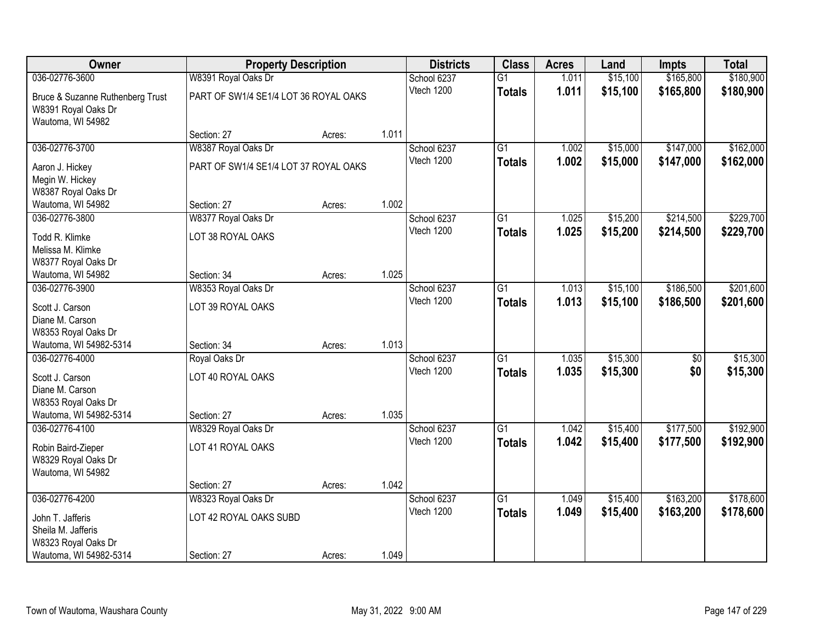| Owner                                                   | <b>Property Description</b>           |        |       | <b>Districts</b>          | <b>Class</b>    | <b>Acres</b>   | Land                 | <b>Impts</b> | <b>Total</b> |
|---------------------------------------------------------|---------------------------------------|--------|-------|---------------------------|-----------------|----------------|----------------------|--------------|--------------|
| 036-02776-3600                                          | W8391 Royal Oaks Dr                   |        |       | School 6237               | $\overline{G1}$ | 1.011          | \$15,100             | \$165,800    | \$180,900    |
| Bruce & Suzanne Ruthenberg Trust<br>W8391 Royal Oaks Dr | PART OF SW1/4 SE1/4 LOT 36 ROYAL OAKS |        |       | Vtech 1200                | <b>Totals</b>   | 1.011          | \$15,100             | \$165,800    | \$180,900    |
| Wautoma, WI 54982                                       | Section: 27                           | Acres: | 1.011 |                           |                 |                |                      |              |              |
| 036-02776-3700                                          | W8387 Royal Oaks Dr                   |        |       | School 6237               | G1              | 1.002          | \$15,000             | \$147,000    | \$162,000    |
|                                                         |                                       |        |       | Vtech 1200                | <b>Totals</b>   | 1.002          | \$15,000             | \$147,000    | \$162,000    |
| Aaron J. Hickey                                         | PART OF SW1/4 SE1/4 LOT 37 ROYAL OAKS |        |       |                           |                 |                |                      |              |              |
| Megin W. Hickey<br>W8387 Royal Oaks Dr                  |                                       |        |       |                           |                 |                |                      |              |              |
| Wautoma, WI 54982                                       | Section: 27                           | Acres: | 1.002 |                           |                 |                |                      |              |              |
| 036-02776-3800                                          | W8377 Royal Oaks Dr                   |        |       | School 6237               | G1              | 1.025          | \$15,200             | \$214,500    | \$229,700    |
|                                                         |                                       |        |       | Vtech 1200                | <b>Totals</b>   | 1.025          | \$15,200             | \$214,500    | \$229,700    |
| Todd R. Klimke                                          | LOT 38 ROYAL OAKS                     |        |       |                           |                 |                |                      |              |              |
| Melissa M. Klimke                                       |                                       |        |       |                           |                 |                |                      |              |              |
| W8377 Royal Oaks Dr<br>Wautoma, WI 54982                | Section: 34                           | Acres: | 1.025 |                           |                 |                |                      |              |              |
| 036-02776-3900                                          | W8353 Royal Oaks Dr                   |        |       | School 6237               | $\overline{G1}$ | 1.013          | \$15,100             | \$186,500    | \$201,600    |
|                                                         |                                       |        |       | Vtech 1200                | <b>Totals</b>   | 1.013          | \$15,100             | \$186,500    | \$201,600    |
| Scott J. Carson                                         | LOT 39 ROYAL OAKS                     |        |       |                           |                 |                |                      |              |              |
| Diane M. Carson                                         |                                       |        |       |                           |                 |                |                      |              |              |
| W8353 Royal Oaks Dr<br>Wautoma, WI 54982-5314           | Section: 34                           | Acres: | 1.013 |                           |                 |                |                      |              |              |
| 036-02776-4000                                          | Royal Oaks Dr                         |        |       | School 6237               | $\overline{G1}$ | 1.035          | \$15,300             | \$0          | \$15,300     |
|                                                         |                                       |        |       | Vtech 1200                | <b>Totals</b>   | 1.035          | \$15,300             | \$0          | \$15,300     |
| Scott J. Carson                                         | LOT 40 ROYAL OAKS                     |        |       |                           |                 |                |                      |              |              |
| Diane M. Carson                                         |                                       |        |       |                           |                 |                |                      |              |              |
| W8353 Royal Oaks Dr                                     |                                       |        |       |                           |                 |                |                      |              |              |
| Wautoma, WI 54982-5314<br>036-02776-4100                | Section: 27                           | Acres: | 1.035 |                           |                 |                |                      | \$177,500    | \$192,900    |
|                                                         | W8329 Royal Oaks Dr                   |        |       | School 6237<br>Vtech 1200 | $\overline{G1}$ | 1.042<br>1.042 | \$15,400<br>\$15,400 |              |              |
| Robin Baird-Zieper                                      | LOT 41 ROYAL OAKS                     |        |       |                           | <b>Totals</b>   |                |                      | \$177,500    | \$192,900    |
| W8329 Royal Oaks Dr                                     |                                       |        |       |                           |                 |                |                      |              |              |
| Wautoma, WI 54982                                       |                                       |        |       |                           |                 |                |                      |              |              |
|                                                         | Section: 27                           | Acres: | 1.042 |                           |                 |                |                      |              |              |
| 036-02776-4200                                          | W8323 Royal Oaks Dr                   |        |       | School 6237               | $\overline{G1}$ | 1.049          | \$15,400             | \$163,200    | \$178,600    |
| John T. Jafferis                                        | LOT 42 ROYAL OAKS SUBD                |        |       | Vtech 1200                | <b>Totals</b>   | 1.049          | \$15,400             | \$163,200    | \$178,600    |
| Sheila M. Jafferis                                      |                                       |        |       |                           |                 |                |                      |              |              |
| W8323 Royal Oaks Dr                                     |                                       |        |       |                           |                 |                |                      |              |              |
| Wautoma, WI 54982-5314                                  | Section: 27                           | Acres: | 1.049 |                           |                 |                |                      |              |              |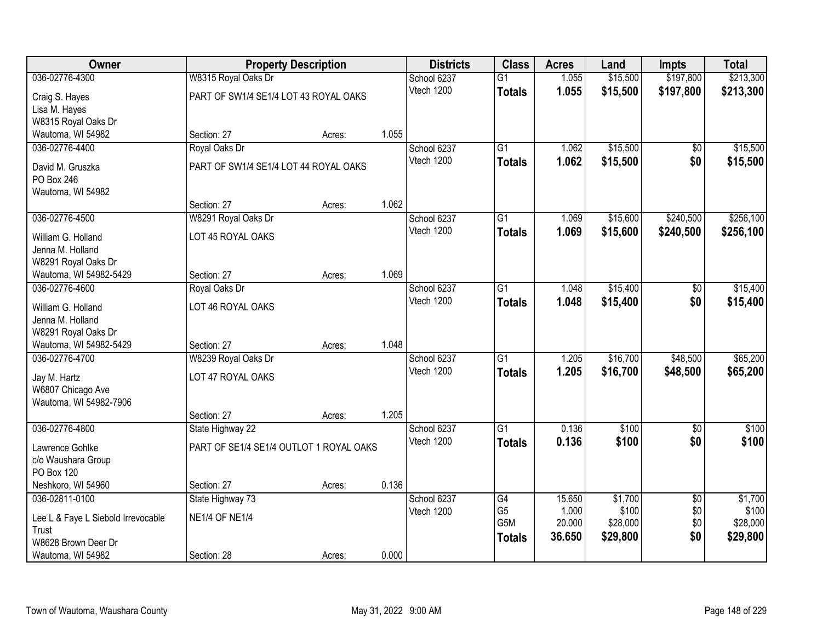| <b>Owner</b>                       |                                         | <b>Property Description</b> |       | <b>Districts</b> | <b>Class</b>     | <b>Acres</b> | Land     | Impts           | <b>Total</b> |
|------------------------------------|-----------------------------------------|-----------------------------|-------|------------------|------------------|--------------|----------|-----------------|--------------|
| 036-02776-4300                     | W8315 Royal Oaks Dr                     |                             |       | School 6237      | $\overline{G1}$  | 1.055        | \$15,500 | \$197,800       | \$213,300    |
| Craig S. Hayes                     | PART OF SW1/4 SE1/4 LOT 43 ROYAL OAKS   |                             |       | Vtech 1200       | <b>Totals</b>    | 1.055        | \$15,500 | \$197,800       | \$213,300    |
| Lisa M. Hayes                      |                                         |                             |       |                  |                  |              |          |                 |              |
| W8315 Royal Oaks Dr                |                                         |                             |       |                  |                  |              |          |                 |              |
| Wautoma, WI 54982                  | Section: 27                             | Acres:                      | 1.055 |                  |                  |              |          |                 |              |
| 036-02776-4400                     | Royal Oaks Dr                           |                             |       | School 6237      | $\overline{G1}$  | 1.062        | \$15,500 | \$0             | \$15,500     |
| David M. Gruszka                   | PART OF SW1/4 SE1/4 LOT 44 ROYAL OAKS   |                             |       | Vtech 1200       | <b>Totals</b>    | 1.062        | \$15,500 | \$0             | \$15,500     |
| PO Box 246                         |                                         |                             |       |                  |                  |              |          |                 |              |
| Wautoma, WI 54982                  |                                         |                             |       |                  |                  |              |          |                 |              |
|                                    | Section: 27                             | Acres:                      | 1.062 |                  |                  |              |          |                 |              |
| 036-02776-4500                     | W8291 Royal Oaks Dr                     |                             |       | School 6237      | $\overline{G1}$  | 1.069        | \$15,600 | \$240,500       | \$256,100    |
| William G. Holland                 | LOT 45 ROYAL OAKS                       |                             |       | Vtech 1200       | <b>Totals</b>    | 1.069        | \$15,600 | \$240,500       | \$256,100    |
| Jenna M. Holland                   |                                         |                             |       |                  |                  |              |          |                 |              |
| W8291 Royal Oaks Dr                |                                         |                             |       |                  |                  |              |          |                 |              |
| Wautoma, WI 54982-5429             | Section: 27                             | Acres:                      | 1.069 |                  |                  |              |          |                 |              |
| 036-02776-4600                     | Royal Oaks Dr                           |                             |       | School 6237      | G1               | 1.048        | \$15,400 | \$0             | \$15,400     |
| William G. Holland                 | LOT 46 ROYAL OAKS                       |                             |       | Vtech 1200       | <b>Totals</b>    | 1.048        | \$15,400 | \$0             | \$15,400     |
| Jenna M. Holland                   |                                         |                             |       |                  |                  |              |          |                 |              |
| W8291 Royal Oaks Dr                |                                         |                             |       |                  |                  |              |          |                 |              |
| Wautoma, WI 54982-5429             | Section: 27                             | Acres:                      | 1.048 |                  |                  |              |          |                 |              |
| 036-02776-4700                     | W8239 Royal Oaks Dr                     |                             |       | School 6237      | $\overline{G1}$  | 1.205        | \$16,700 | \$48,500        | \$65,200     |
| Jay M. Hartz                       | LOT 47 ROYAL OAKS                       |                             |       | Vtech 1200       | <b>Totals</b>    | 1.205        | \$16,700 | \$48,500        | \$65,200     |
| W6807 Chicago Ave                  |                                         |                             |       |                  |                  |              |          |                 |              |
| Wautoma, WI 54982-7906             |                                         |                             |       |                  |                  |              |          |                 |              |
|                                    | Section: 27                             | Acres:                      | 1.205 |                  |                  |              |          |                 |              |
| 036-02776-4800                     | State Highway 22                        |                             |       | School 6237      | G1               | 0.136        | \$100    | $\sqrt{6}$      | \$100        |
| Lawrence Gohlke                    | PART OF SE1/4 SE1/4 OUTLOT 1 ROYAL OAKS |                             |       | Vtech 1200       | <b>Totals</b>    | 0.136        | \$100    | \$0             | \$100        |
| c/o Waushara Group                 |                                         |                             |       |                  |                  |              |          |                 |              |
| PO Box 120                         |                                         |                             |       |                  |                  |              |          |                 |              |
| Neshkoro, WI 54960                 | Section: 27                             | Acres:                      | 0.136 |                  |                  |              |          |                 |              |
| 036-02811-0100                     | State Highway 73                        |                             |       | School 6237      | G4               | 15.650       | \$1,700  | $\overline{30}$ | \$1,700      |
| Lee L & Faye L Siebold Irrevocable | <b>NE1/4 OF NE1/4</b>                   |                             |       | Vtech 1200       | G <sub>5</sub>   | 1.000        | \$100    | \$0             | \$100        |
| Trust                              |                                         |                             |       |                  | G <sub>5</sub> M | 20.000       | \$28,000 | \$0             | \$28,000     |
| W8628 Brown Deer Dr                |                                         |                             |       |                  | <b>Totals</b>    | 36.650       | \$29,800 | \$0             | \$29,800     |
| Wautoma, WI 54982                  | Section: 28                             | Acres:                      | 0.000 |                  |                  |              |          |                 |              |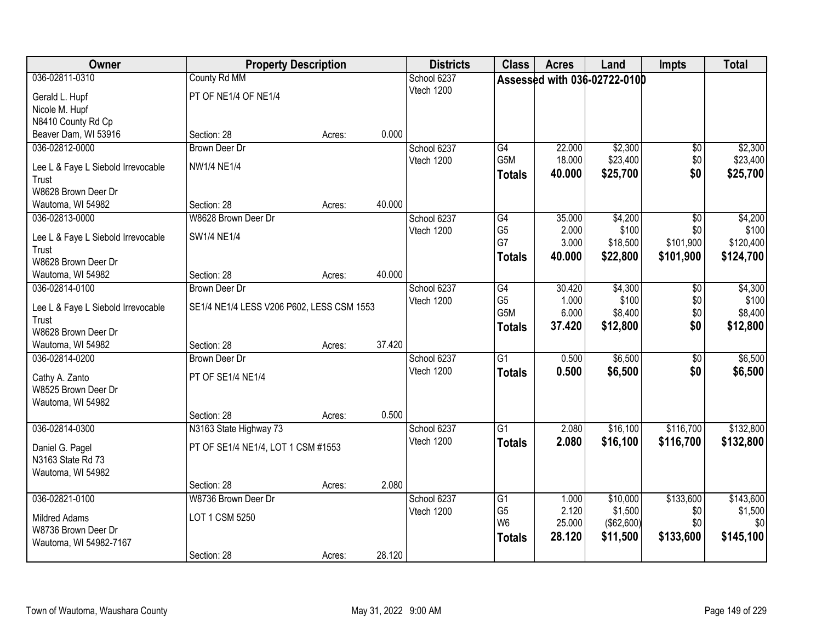| Owner                                       | <b>Property Description</b>               |        |        | <b>Districts</b> | <b>Class</b>     | <b>Acres</b> | Land                         | <b>Impts</b>    | <b>Total</b> |
|---------------------------------------------|-------------------------------------------|--------|--------|------------------|------------------|--------------|------------------------------|-----------------|--------------|
| 036-02811-0310                              | County Rd MM                              |        |        | School 6237      |                  |              | Assessed with 036-02722-0100 |                 |              |
| Gerald L. Hupf                              | PT OF NE1/4 OF NE1/4                      |        |        | Vtech 1200       |                  |              |                              |                 |              |
| Nicole M. Hupf                              |                                           |        |        |                  |                  |              |                              |                 |              |
| N8410 County Rd Cp                          |                                           |        |        |                  |                  |              |                              |                 |              |
| Beaver Dam, WI 53916                        | Section: 28                               | Acres: | 0.000  |                  |                  |              |                              |                 |              |
| 036-02812-0000                              | <b>Brown Deer Dr</b>                      |        |        | School 6237      | G4               | 22.000       | \$2,300                      | \$0             | \$2,300      |
| Lee L & Faye L Siebold Irrevocable          | <b>NW1/4 NE1/4</b>                        |        |        | Vtech 1200       | G <sub>5</sub> M | 18.000       | \$23,400                     | \$0             | \$23,400     |
| Trust                                       |                                           |        |        |                  | <b>Totals</b>    | 40.000       | \$25,700                     | \$0             | \$25,700     |
| W8628 Brown Deer Dr                         |                                           |        |        |                  |                  |              |                              |                 |              |
| Wautoma, WI 54982                           | Section: 28                               | Acres: | 40.000 |                  |                  |              |                              |                 |              |
| 036-02813-0000                              | W8628 Brown Deer Dr                       |        |        | School 6237      | G4               | 35.000       | \$4,200                      | \$0             | \$4,200      |
|                                             | SW1/4 NE1/4                               |        |        | Vtech 1200       | G <sub>5</sub>   | 2.000        | \$100                        | \$0             | \$100        |
| Lee L & Faye L Siebold Irrevocable<br>Trust |                                           |        |        |                  | G7               | 3.000        | \$18,500                     | \$101,900       | \$120,400    |
| W8628 Brown Deer Dr                         |                                           |        |        |                  | <b>Totals</b>    | 40.000       | \$22,800                     | \$101,900       | \$124,700    |
| Wautoma, WI 54982                           | Section: 28                               | Acres: | 40.000 |                  |                  |              |                              |                 |              |
| 036-02814-0100                              | <b>Brown Deer Dr</b>                      |        |        | School 6237      | G4               | 30.420       | \$4,300                      | \$0             | \$4,300      |
|                                             |                                           |        |        | Vtech 1200       | G <sub>5</sub>   | 1.000        | \$100                        | \$0             | \$100        |
| Lee L & Faye L Siebold Irrevocable<br>Trust | SE1/4 NE1/4 LESS V206 P602, LESS CSM 1553 |        |        |                  | G5M              | 6.000        | \$8,400                      | \$0             | \$8,400      |
| W8628 Brown Deer Dr                         |                                           |        |        |                  | <b>Totals</b>    | 37.420       | \$12,800                     | \$0             | \$12,800     |
| Wautoma, WI 54982                           | Section: 28                               | Acres: | 37.420 |                  |                  |              |                              |                 |              |
| 036-02814-0200                              | <b>Brown Deer Dr</b>                      |        |        | School 6237      | $\overline{G1}$  | 0.500        | \$6,500                      | $\overline{50}$ | \$6,500      |
|                                             |                                           |        |        | Vtech 1200       | <b>Totals</b>    | 0.500        | \$6,500                      | \$0             | \$6,500      |
| Cathy A. Zanto                              | PT OF SE1/4 NE1/4                         |        |        |                  |                  |              |                              |                 |              |
| W8525 Brown Deer Dr                         |                                           |        |        |                  |                  |              |                              |                 |              |
| Wautoma, WI 54982                           | Section: 28                               | Acres: | 0.500  |                  |                  |              |                              |                 |              |
| 036-02814-0300                              | N3163 State Highway 73                    |        |        | School 6237      | $\overline{G1}$  | 2.080        | \$16,100                     | \$116,700       | \$132,800    |
|                                             |                                           |        |        | Vtech 1200       | <b>Totals</b>    | 2.080        | \$16,100                     | \$116,700       | \$132,800    |
| Daniel G. Pagel                             | PT OF SE1/4 NE1/4, LOT 1 CSM #1553        |        |        |                  |                  |              |                              |                 |              |
| N3163 State Rd 73                           |                                           |        |        |                  |                  |              |                              |                 |              |
| Wautoma, WI 54982                           | Section: 28                               |        | 2.080  |                  |                  |              |                              |                 |              |
| 036-02821-0100                              | W8736 Brown Deer Dr                       | Acres: |        | School 6237      | $\overline{G1}$  | 1.000        | \$10,000                     | \$133,600       | \$143,600    |
|                                             |                                           |        |        | Vtech 1200       | G <sub>5</sub>   | 2.120        | \$1,500                      | \$0             | \$1,500      |
| <b>Mildred Adams</b>                        | LOT 1 CSM 5250                            |        |        |                  | W <sub>6</sub>   | 25.000       | ( \$62,600)                  | \$0             | \$0          |
| W8736 Brown Deer Dr                         |                                           |        |        |                  | <b>Totals</b>    | 28.120       | \$11,500                     | \$133,600       | \$145,100    |
| Wautoma, WI 54982-7167                      |                                           |        |        |                  |                  |              |                              |                 |              |
|                                             | Section: 28                               | Acres: | 28.120 |                  |                  |              |                              |                 |              |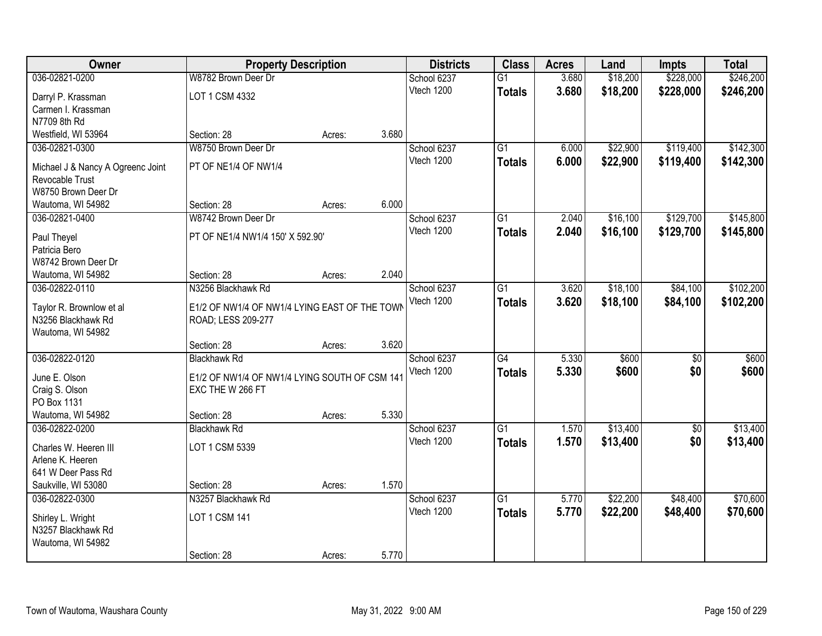| Owner                                | <b>Property Description</b>                   |        |       | <b>Districts</b> | <b>Class</b>    | <b>Acres</b> | Land     | <b>Impts</b>    | <b>Total</b> |
|--------------------------------------|-----------------------------------------------|--------|-------|------------------|-----------------|--------------|----------|-----------------|--------------|
| 036-02821-0200                       | W8782 Brown Deer Dr                           |        |       | School 6237      | $\overline{G1}$ | 3.680        | \$18,200 | \$228,000       | \$246,200    |
| Darryl P. Krassman                   | LOT 1 CSM 4332                                |        |       | Vtech 1200       | <b>Totals</b>   | 3.680        | \$18,200 | \$228,000       | \$246,200    |
| Carmen I. Krassman                   |                                               |        |       |                  |                 |              |          |                 |              |
| N7709 8th Rd                         |                                               |        |       |                  |                 |              |          |                 |              |
| Westfield, WI 53964                  | Section: 28                                   | Acres: | 3.680 |                  |                 |              |          |                 |              |
| 036-02821-0300                       | W8750 Brown Deer Dr                           |        |       | School 6237      | $\overline{G1}$ | 6.000        | \$22,900 | \$119,400       | \$142,300    |
| Michael J & Nancy A Ogreenc Joint    | PT OF NE1/4 OF NW1/4                          |        |       | Vtech 1200       | <b>Totals</b>   | 6.000        | \$22,900 | \$119,400       | \$142,300    |
| Revocable Trust                      |                                               |        |       |                  |                 |              |          |                 |              |
| W8750 Brown Deer Dr                  |                                               |        |       |                  |                 |              |          |                 |              |
| Wautoma, WI 54982                    | Section: 28                                   | Acres: | 6.000 |                  |                 |              |          |                 |              |
| 036-02821-0400                       | W8742 Brown Deer Dr                           |        |       | School 6237      | $\overline{G1}$ | 2.040        | \$16,100 | \$129,700       | \$145,800    |
|                                      |                                               |        |       | Vtech 1200       | <b>Totals</b>   | 2.040        | \$16,100 | \$129,700       | \$145,800    |
| Paul Theyel                          | PT OF NE1/4 NW1/4 150' X 592.90'              |        |       |                  |                 |              |          |                 |              |
| Patricia Bero<br>W8742 Brown Deer Dr |                                               |        |       |                  |                 |              |          |                 |              |
| Wautoma, WI 54982                    | Section: 28                                   | Acres: | 2.040 |                  |                 |              |          |                 |              |
| 036-02822-0110                       | N3256 Blackhawk Rd                            |        |       | School 6237      | $\overline{G1}$ | 3.620        | \$18,100 | \$84,100        | \$102,200    |
|                                      |                                               |        |       | Vtech 1200       | <b>Totals</b>   | 3.620        | \$18,100 | \$84,100        | \$102,200    |
| Taylor R. Brownlow et al             | E1/2 OF NW1/4 OF NW1/4 LYING EAST OF THE TOWN |        |       |                  |                 |              |          |                 |              |
| N3256 Blackhawk Rd                   | ROAD; LESS 209-277                            |        |       |                  |                 |              |          |                 |              |
| Wautoma, WI 54982                    |                                               |        |       |                  |                 |              |          |                 |              |
|                                      | Section: 28                                   | Acres: | 3.620 |                  |                 |              |          |                 |              |
| 036-02822-0120                       | <b>Blackhawk Rd</b>                           |        |       | School 6237      | $\overline{G4}$ | 5.330        | \$600    | $\overline{50}$ | \$600        |
| June E. Olson                        | E1/2 OF NW1/4 OF NW1/4 LYING SOUTH OF CSM 141 |        |       | Vtech 1200       | <b>Totals</b>   | 5.330        | \$600    | \$0             | \$600        |
| Craig S. Olson                       | EXC THE W 266 FT                              |        |       |                  |                 |              |          |                 |              |
| PO Box 1131                          |                                               |        |       |                  |                 |              |          |                 |              |
| Wautoma, WI 54982                    | Section: 28                                   | Acres: | 5.330 |                  |                 |              |          |                 |              |
| 036-02822-0200                       | <b>Blackhawk Rd</b>                           |        |       | School 6237      | $\overline{G1}$ | 1.570        | \$13,400 | $\sqrt{6}$      | \$13,400     |
| Charles W. Heeren III                | LOT 1 CSM 5339                                |        |       | Vtech 1200       | <b>Totals</b>   | 1.570        | \$13,400 | \$0             | \$13,400     |
| Arlene K. Heeren                     |                                               |        |       |                  |                 |              |          |                 |              |
| 641 W Deer Pass Rd                   |                                               |        |       |                  |                 |              |          |                 |              |
| Saukville, WI 53080                  | Section: 28                                   | Acres: | 1.570 |                  |                 |              |          |                 |              |
| 036-02822-0300                       | N3257 Blackhawk Rd                            |        |       | School 6237      | $\overline{G1}$ | 5.770        | \$22,200 | \$48,400        | \$70,600     |
| Shirley L. Wright                    | LOT 1 CSM 141                                 |        |       | Vtech 1200       | <b>Totals</b>   | 5.770        | \$22,200 | \$48,400        | \$70,600     |
| N3257 Blackhawk Rd                   |                                               |        |       |                  |                 |              |          |                 |              |
| Wautoma, WI 54982                    |                                               |        |       |                  |                 |              |          |                 |              |
|                                      | Section: 28                                   | Acres: | 5.770 |                  |                 |              |          |                 |              |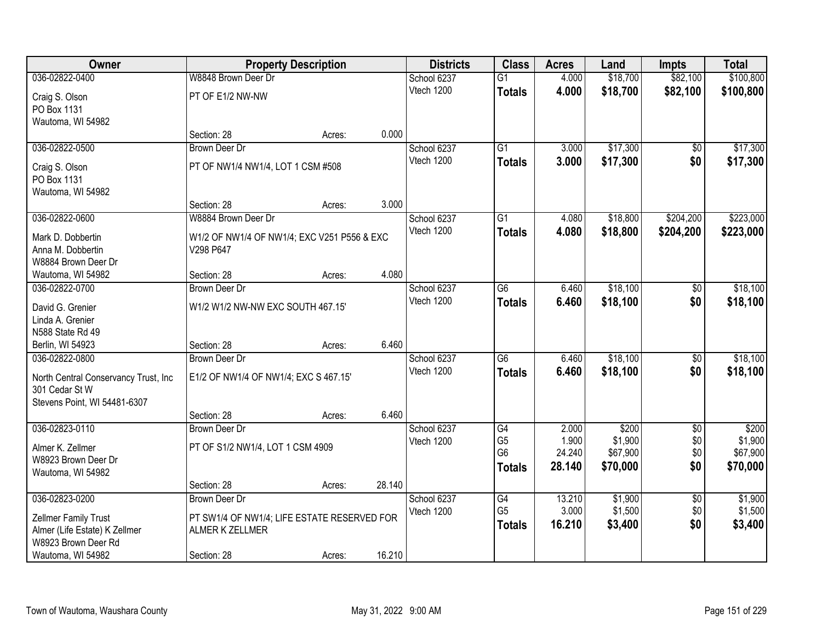| Owner                                          |                                             | <b>Property Description</b> |        | <b>Districts</b> | <b>Class</b>    | <b>Acres</b> | Land     | <b>Impts</b>    | <b>Total</b> |
|------------------------------------------------|---------------------------------------------|-----------------------------|--------|------------------|-----------------|--------------|----------|-----------------|--------------|
| 036-02822-0400                                 | W8848 Brown Deer Dr                         |                             |        | School 6237      | $\overline{G1}$ | 4.000        | \$18,700 | \$82,100        | \$100,800    |
| Craig S. Olson                                 | PT OF E1/2 NW-NW                            |                             |        | Vtech 1200       | <b>Totals</b>   | 4.000        | \$18,700 | \$82,100        | \$100,800    |
| PO Box 1131                                    |                                             |                             |        |                  |                 |              |          |                 |              |
| Wautoma, WI 54982                              |                                             |                             |        |                  |                 |              |          |                 |              |
|                                                | Section: 28                                 | Acres:                      | 0.000  |                  |                 |              |          |                 |              |
| 036-02822-0500                                 | <b>Brown Deer Dr</b>                        |                             |        | School 6237      | $\overline{G1}$ | 3.000        | \$17,300 | \$0             | \$17,300     |
| Craig S. Olson                                 | PT OF NW1/4 NW1/4, LOT 1 CSM #508           |                             |        | Vtech 1200       | <b>Totals</b>   | 3.000        | \$17,300 | \$0             | \$17,300     |
| PO Box 1131                                    |                                             |                             |        |                  |                 |              |          |                 |              |
| Wautoma, WI 54982                              |                                             |                             |        |                  |                 |              |          |                 |              |
|                                                | Section: 28                                 | Acres:                      | 3.000  |                  |                 |              |          |                 |              |
| 036-02822-0600                                 | W8884 Brown Deer Dr                         |                             |        | School 6237      | G1              | 4.080        | \$18,800 | \$204,200       | \$223,000    |
| Mark D. Dobbertin                              | W1/2 OF NW1/4 OF NW1/4; EXC V251 P556 & EXC |                             |        | Vtech 1200       | <b>Totals</b>   | 4.080        | \$18,800 | \$204,200       | \$223,000    |
| Anna M. Dobbertin                              | V298 P647                                   |                             |        |                  |                 |              |          |                 |              |
| W8884 Brown Deer Dr                            |                                             |                             |        |                  |                 |              |          |                 |              |
| Wautoma, WI 54982                              | Section: 28                                 | Acres:                      | 4.080  |                  |                 |              |          |                 |              |
| 036-02822-0700                                 | <b>Brown Deer Dr</b>                        |                             |        | School 6237      | $\overline{G6}$ | 6.460        | \$18,100 | \$0             | \$18,100     |
| David G. Grenier                               | W1/2 W1/2 NW-NW EXC SOUTH 467.15'           |                             |        | Vtech 1200       | <b>Totals</b>   | 6.460        | \$18,100 | \$0             | \$18,100     |
| Linda A. Grenier                               |                                             |                             |        |                  |                 |              |          |                 |              |
| N588 State Rd 49                               |                                             |                             |        |                  |                 |              |          |                 |              |
| Berlin, WI 54923                               | Section: 28                                 | Acres:                      | 6.460  |                  |                 |              |          |                 |              |
| 036-02822-0800                                 | <b>Brown Deer Dr</b>                        |                             |        | School 6237      | $\overline{G6}$ | 6.460        | \$18,100 | $\overline{50}$ | \$18,100     |
|                                                |                                             |                             |        | Vtech 1200       | <b>Totals</b>   | 6.460        | \$18,100 | \$0             | \$18,100     |
| North Central Conservancy Trust, Inc           | E1/2 OF NW1/4 OF NW1/4; EXC S 467.15'       |                             |        |                  |                 |              |          |                 |              |
| 301 Cedar St W<br>Stevens Point, WI 54481-6307 |                                             |                             |        |                  |                 |              |          |                 |              |
|                                                | Section: 28                                 | Acres:                      | 6.460  |                  |                 |              |          |                 |              |
| 036-02823-0110                                 | Brown Deer Dr                               |                             |        | School 6237      | G4              | 2.000        | \$200    | $\overline{50}$ | \$200        |
|                                                |                                             |                             |        | Vtech 1200       | G <sub>5</sub>  | 1.900        | \$1,900  | \$0             | \$1,900      |
| Almer K. Zellmer                               | PT OF S1/2 NW1/4, LOT 1 CSM 4909            |                             |        |                  | G <sub>6</sub>  | 24.240       | \$67,900 | \$0             | \$67,900     |
| W8923 Brown Deer Dr                            |                                             |                             |        |                  | <b>Totals</b>   | 28.140       | \$70,000 | \$0             | \$70,000     |
| Wautoma, WI 54982                              | Section: 28                                 | Acres:                      | 28.140 |                  |                 |              |          |                 |              |
| 036-02823-0200                                 | <b>Brown Deer Dr</b>                        |                             |        | School 6237      | G4              | 13.210       | \$1,900  | $\overline{30}$ | \$1,900      |
|                                                |                                             |                             |        | Vtech 1200       | G <sub>5</sub>  | 3.000        | \$1,500  | \$0             | \$1,500      |
| Zellmer Family Trust                           | PT SW1/4 OF NW1/4; LIFE ESTATE RESERVED FOR |                             |        |                  | <b>Totals</b>   | 16.210       | \$3,400  | \$0             | \$3,400      |
| Almer (Life Estate) K Zellmer                  | ALMER K ZELLMER                             |                             |        |                  |                 |              |          |                 |              |
| W8923 Brown Deer Rd                            |                                             |                             |        |                  |                 |              |          |                 |              |
| Wautoma, WI 54982                              | Section: 28                                 | Acres:                      | 16.210 |                  |                 |              |          |                 |              |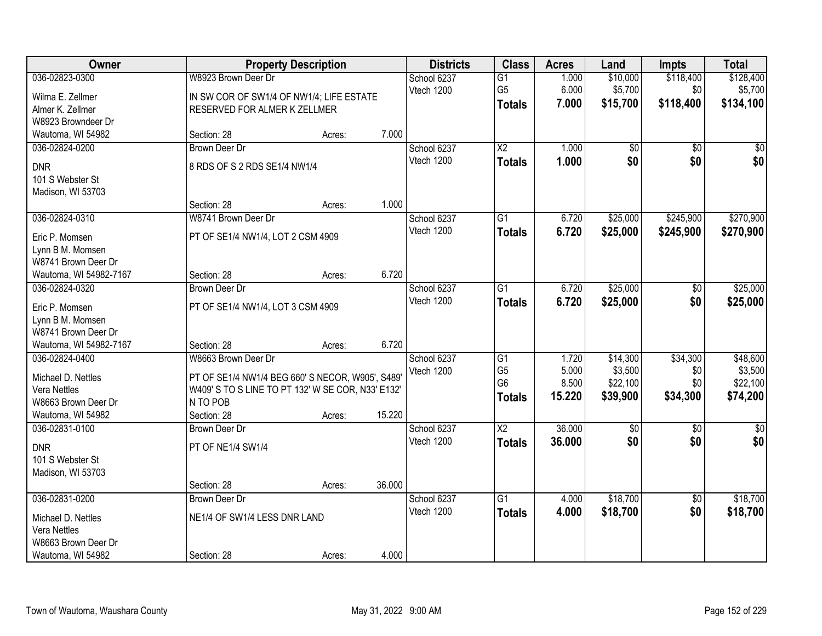| Owner                              |                                                   | <b>Property Description</b> |        | <b>Districts</b> | <b>Class</b>           | <b>Acres</b> | Land        | <b>Impts</b>    | <b>Total</b>  |
|------------------------------------|---------------------------------------------------|-----------------------------|--------|------------------|------------------------|--------------|-------------|-----------------|---------------|
| 036-02823-0300                     | W8923 Brown Deer Dr                               |                             |        | School 6237      | $\overline{G1}$        | 1.000        | \$10,000    | \$118,400       | \$128,400     |
| Wilma E. Zellmer                   | IN SW COR OF SW1/4 OF NW1/4; LIFE ESTATE          |                             |        | Vtech 1200       | G <sub>5</sub>         | 6.000        | \$5,700     | \$0             | \$5,700       |
| Almer K. Zellmer                   | RESERVED FOR ALMER K ZELLMER                      |                             |        |                  | <b>Totals</b>          | 7.000        | \$15,700    | \$118,400       | \$134,100     |
| W8923 Browndeer Dr                 |                                                   |                             |        |                  |                        |              |             |                 |               |
| Wautoma, WI 54982                  | Section: 28                                       | Acres:                      | 7.000  |                  |                        |              |             |                 |               |
| 036-02824-0200                     | <b>Brown Deer Dr</b>                              |                             |        | School 6237      | $\overline{\text{X2}}$ | 1.000        | \$0         | \$0             | \$0           |
| <b>DNR</b>                         | 8 RDS OF S 2 RDS SE1/4 NW1/4                      |                             |        | Vtech 1200       | <b>Totals</b>          | 1.000        | \$0         | \$0             | \$0           |
| 101 S Webster St                   |                                                   |                             |        |                  |                        |              |             |                 |               |
| Madison, WI 53703                  |                                                   |                             |        |                  |                        |              |             |                 |               |
|                                    | Section: 28                                       | Acres:                      | 1.000  |                  |                        |              |             |                 |               |
| 036-02824-0310                     | W8741 Brown Deer Dr                               |                             |        | School 6237      | G1                     | 6.720        | \$25,000    | \$245,900       | \$270,900     |
| Eric P. Momsen                     | PT OF SE1/4 NW1/4, LOT 2 CSM 4909                 |                             |        | Vtech 1200       | <b>Totals</b>          | 6.720        | \$25,000    | \$245,900       | \$270,900     |
| Lynn B M. Momsen                   |                                                   |                             |        |                  |                        |              |             |                 |               |
| W8741 Brown Deer Dr                |                                                   |                             |        |                  |                        |              |             |                 |               |
| Wautoma, WI 54982-7167             | Section: 28                                       | Acres:                      | 6.720  |                  |                        |              |             |                 |               |
| 036-02824-0320                     | <b>Brown Deer Dr</b>                              |                             |        | School 6237      | G1                     | 6.720        | \$25,000    | $\sqrt[6]{}$    | \$25,000      |
| Eric P. Momsen                     | PT OF SE1/4 NW1/4, LOT 3 CSM 4909                 |                             |        | Vtech 1200       | <b>Totals</b>          | 6.720        | \$25,000    | \$0             | \$25,000      |
| Lynn B M. Momsen                   |                                                   |                             |        |                  |                        |              |             |                 |               |
| W8741 Brown Deer Dr                |                                                   |                             |        |                  |                        |              |             |                 |               |
| Wautoma, WI 54982-7167             | Section: 28                                       | Acres:                      | 6.720  |                  |                        |              |             |                 |               |
| 036-02824-0400                     | W8663 Brown Deer Dr                               |                             |        | School 6237      | $\overline{G1}$        | 1.720        | \$14,300    | \$34,300        | \$48,600      |
| Michael D. Nettles                 | PT OF SE1/4 NW1/4 BEG 660' S NECOR, W905', S489'  |                             |        | Vtech 1200       | G <sub>5</sub>         | 5.000        | \$3,500     | \$0             | \$3,500       |
| Vera Nettles                       | W409' S TO S LINE TO PT 132' W SE COR, N33' E132' |                             |        |                  | G <sub>6</sub>         | 8.500        | \$22,100    | \$0             | \$22,100      |
| W8663 Brown Deer Dr                | N TO POB                                          |                             |        |                  | <b>Totals</b>          | 15.220       | \$39,900    | \$34,300        | \$74,200      |
| Wautoma, WI 54982                  | Section: 28                                       | Acres:                      | 15.220 |                  |                        |              |             |                 |               |
| 036-02831-0100                     | <b>Brown Deer Dr</b>                              |                             |        | School 6237      | $\overline{X2}$        | 36.000       | $\sqrt{50}$ | $\sqrt{6}$      | $\frac{1}{6}$ |
| <b>DNR</b>                         | PT OF NE1/4 SW1/4                                 |                             |        | Vtech 1200       | <b>Totals</b>          | 36.000       | \$0         | \$0             | \$0           |
| 101 S Webster St                   |                                                   |                             |        |                  |                        |              |             |                 |               |
| Madison, WI 53703                  |                                                   |                             |        |                  |                        |              |             |                 |               |
|                                    | Section: 28                                       | Acres:                      | 36.000 |                  |                        |              |             |                 |               |
| 036-02831-0200                     | <b>Brown Deer Dr</b>                              |                             |        | School 6237      | $\overline{G1}$        | 4.000        | \$18,700    | $\overline{50}$ | \$18,700      |
|                                    | NE1/4 OF SW1/4 LESS DNR LAND                      |                             |        | Vtech 1200       | <b>Totals</b>          | 4.000        | \$18,700    | \$0             | \$18,700      |
| Michael D. Nettles<br>Vera Nettles |                                                   |                             |        |                  |                        |              |             |                 |               |
| W8663 Brown Deer Dr                |                                                   |                             |        |                  |                        |              |             |                 |               |
| Wautoma, WI 54982                  | Section: 28                                       | Acres:                      | 4.000  |                  |                        |              |             |                 |               |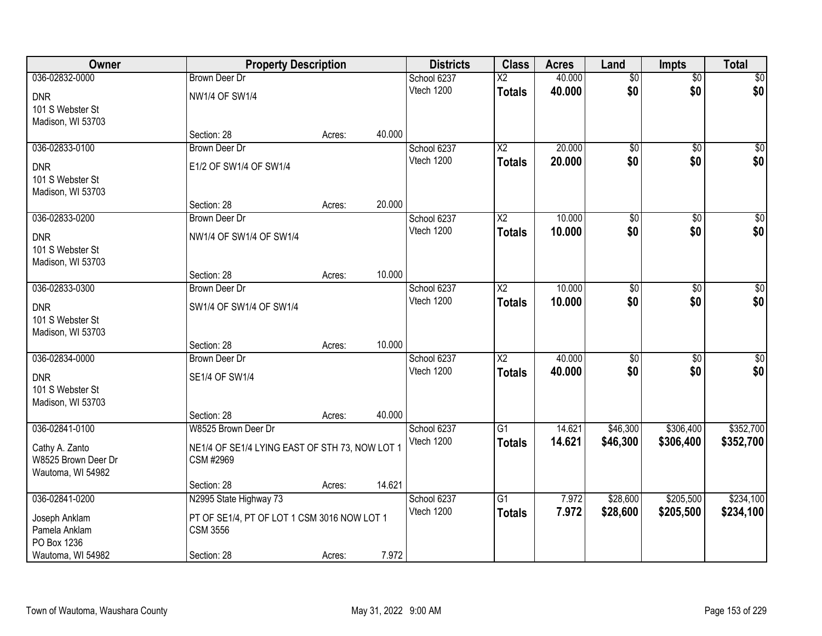| Owner               |                                                | <b>Property Description</b> |        | <b>Districts</b> | <b>Class</b>             | <b>Acres</b> | Land            | <b>Impts</b>    | <b>Total</b>    |
|---------------------|------------------------------------------------|-----------------------------|--------|------------------|--------------------------|--------------|-----------------|-----------------|-----------------|
| 036-02832-0000      | <b>Brown Deer Dr</b>                           |                             |        | School 6237      | $\overline{\mathsf{x2}}$ | 40.000       | $\overline{50}$ | \$0             | \$0             |
| <b>DNR</b>          | <b>NW1/4 OF SW1/4</b>                          |                             |        | Vtech 1200       | <b>Totals</b>            | 40.000       | \$0             | \$0             | \$0             |
| 101 S Webster St    |                                                |                             |        |                  |                          |              |                 |                 |                 |
| Madison, WI 53703   |                                                |                             |        |                  |                          |              |                 |                 |                 |
|                     | Section: 28                                    | Acres:                      | 40.000 |                  |                          |              |                 |                 |                 |
| 036-02833-0100      | <b>Brown Deer Dr</b>                           |                             |        | School 6237      | $\overline{\text{X2}}$   | 20.000       | $\overline{50}$ | $\overline{50}$ | $\overline{50}$ |
| <b>DNR</b>          | E1/2 OF SW1/4 OF SW1/4                         |                             |        | Vtech 1200       | <b>Totals</b>            | 20.000       | \$0             | \$0             | \$0             |
| 101 S Webster St    |                                                |                             |        |                  |                          |              |                 |                 |                 |
| Madison, WI 53703   |                                                |                             |        |                  |                          |              |                 |                 |                 |
|                     | Section: 28                                    | Acres:                      | 20.000 |                  |                          |              |                 |                 |                 |
| 036-02833-0200      | Brown Deer Dr                                  |                             |        | School 6237      | X <sub>2</sub>           | 10.000       | \$0             | \$0             | $\overline{50}$ |
| <b>DNR</b>          | NW1/4 OF SW1/4 OF SW1/4                        |                             |        | Vtech 1200       | <b>Totals</b>            | 10.000       | \$0             | \$0             | \$0             |
| 101 S Webster St    |                                                |                             |        |                  |                          |              |                 |                 |                 |
| Madison, WI 53703   |                                                |                             |        |                  |                          |              |                 |                 |                 |
|                     | Section: 28                                    | Acres:                      | 10.000 |                  |                          |              |                 |                 |                 |
| 036-02833-0300      | <b>Brown Deer Dr</b>                           |                             |        | School 6237      | X <sub>2</sub>           | 10.000       | $\overline{60}$ | $\sqrt{6}$      | $\sqrt{50}$     |
| <b>DNR</b>          | SW1/4 OF SW1/4 OF SW1/4                        |                             |        | Vtech 1200       | <b>Totals</b>            | 10,000       | \$0             | \$0             | \$0             |
| 101 S Webster St    |                                                |                             |        |                  |                          |              |                 |                 |                 |
| Madison, WI 53703   |                                                |                             |        |                  |                          |              |                 |                 |                 |
|                     | Section: 28                                    | Acres:                      | 10.000 |                  |                          |              |                 |                 |                 |
| 036-02834-0000      | <b>Brown Deer Dr</b>                           |                             |        | School 6237      | $\overline{\text{X2}}$   | 40.000       | $\overline{50}$ | $\overline{50}$ | $\sqrt{50}$     |
| <b>DNR</b>          | SE1/4 OF SW1/4                                 |                             |        | Vtech 1200       | <b>Totals</b>            | 40.000       | \$0             | \$0             | \$0             |
| 101 S Webster St    |                                                |                             |        |                  |                          |              |                 |                 |                 |
| Madison, WI 53703   |                                                |                             |        |                  |                          |              |                 |                 |                 |
|                     | Section: 28                                    | Acres:                      | 40.000 |                  |                          |              |                 |                 |                 |
| 036-02841-0100      | W8525 Brown Deer Dr                            |                             |        | School 6237      | G1                       | 14.621       | \$46,300        | \$306,400       | \$352,700       |
| Cathy A. Zanto      | NE1/4 OF SE1/4 LYING EAST OF STH 73, NOW LOT 1 |                             |        | Vtech 1200       | <b>Totals</b>            | 14.621       | \$46,300        | \$306,400       | \$352,700       |
| W8525 Brown Deer Dr | CSM #2969                                      |                             |        |                  |                          |              |                 |                 |                 |
| Wautoma, WI 54982   |                                                |                             |        |                  |                          |              |                 |                 |                 |
|                     | Section: 28                                    | Acres:                      | 14.621 |                  |                          |              |                 |                 |                 |
| 036-02841-0200      | N2995 State Highway 73                         |                             |        | School 6237      | $\overline{G1}$          | 7.972        | \$28,600        | \$205,500       | \$234,100       |
| Joseph Anklam       | PT OF SE1/4, PT OF LOT 1 CSM 3016 NOW LOT 1    |                             |        | Vtech 1200       | <b>Totals</b>            | 7.972        | \$28,600        | \$205,500       | \$234,100       |
| Pamela Anklam       | <b>CSM 3556</b>                                |                             |        |                  |                          |              |                 |                 |                 |
| PO Box 1236         |                                                |                             |        |                  |                          |              |                 |                 |                 |
| Wautoma, WI 54982   | Section: 28                                    | Acres:                      | 7.972  |                  |                          |              |                 |                 |                 |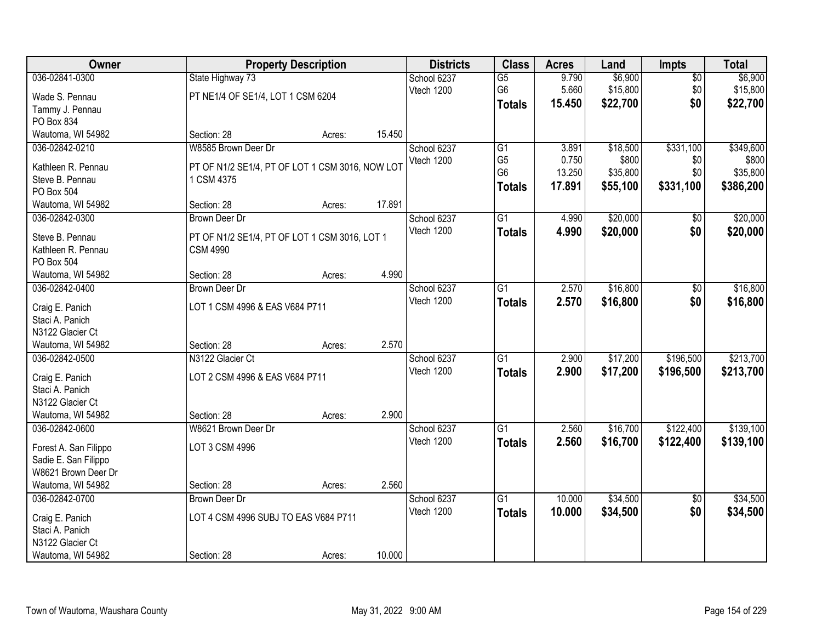| Owner                              |                                                 | <b>Property Description</b> |        | <b>Districts</b> | <b>Class</b>    | <b>Acres</b> | Land     | <b>Impts</b>    | <b>Total</b> |
|------------------------------------|-------------------------------------------------|-----------------------------|--------|------------------|-----------------|--------------|----------|-----------------|--------------|
| 036-02841-0300                     | State Highway 73                                |                             |        | School 6237      | $\overline{G5}$ | 9.790        | \$6,900  | $\overline{30}$ | \$6,900      |
| Wade S. Pennau                     | PT NE1/4 OF SE1/4, LOT 1 CSM 6204               |                             |        | Vtech 1200       | G <sub>6</sub>  | 5.660        | \$15,800 | \$0             | \$15,800     |
| Tammy J. Pennau                    |                                                 |                             |        |                  | <b>Totals</b>   | 15.450       | \$22,700 | \$0             | \$22,700     |
| PO Box 834                         |                                                 |                             |        |                  |                 |              |          |                 |              |
| Wautoma, WI 54982                  | Section: 28                                     | Acres:                      | 15.450 |                  |                 |              |          |                 |              |
| 036-02842-0210                     | W8585 Brown Deer Dr                             |                             |        | School 6237      | $\overline{G1}$ | 3.891        | \$18,500 | \$331,100       | \$349,600    |
| Kathleen R. Pennau                 | PT OF N1/2 SE1/4, PT OF LOT 1 CSM 3016, NOW LOT |                             |        | Vtech 1200       | G <sub>5</sub>  | 0.750        | \$800    | \$0             | \$800        |
| Steve B. Pennau                    | 1 CSM 4375                                      |                             |        |                  | G <sub>6</sub>  | 13.250       | \$35,800 | \$0             | \$35,800     |
| PO Box 504                         |                                                 |                             |        |                  | <b>Totals</b>   | 17.891       | \$55,100 | \$331,100       | \$386,200    |
| Wautoma, WI 54982                  | Section: 28                                     | Acres:                      | 17.891 |                  |                 |              |          |                 |              |
| 036-02842-0300                     | <b>Brown Deer Dr</b>                            |                             |        | School 6237      | $\overline{G1}$ | 4.990        | \$20,000 | \$0             | \$20,000     |
|                                    |                                                 |                             |        | Vtech 1200       | <b>Totals</b>   | 4.990        | \$20,000 | \$0             | \$20,000     |
| Steve B. Pennau                    | PT OF N1/2 SE1/4, PT OF LOT 1 CSM 3016, LOT 1   |                             |        |                  |                 |              |          |                 |              |
| Kathleen R. Pennau<br>PO Box 504   | <b>CSM 4990</b>                                 |                             |        |                  |                 |              |          |                 |              |
| Wautoma, WI 54982                  | Section: 28                                     | Acres:                      | 4.990  |                  |                 |              |          |                 |              |
| 036-02842-0400                     | Brown Deer Dr                                   |                             |        | School 6237      | G1              | 2.570        | \$16,800 | $\sqrt[6]{3}$   | \$16,800     |
|                                    |                                                 |                             |        | Vtech 1200       | <b>Totals</b>   | 2.570        | \$16,800 | \$0             | \$16,800     |
| Craig E. Panich                    | LOT 1 CSM 4996 & EAS V684 P711                  |                             |        |                  |                 |              |          |                 |              |
| Staci A. Panich                    |                                                 |                             |        |                  |                 |              |          |                 |              |
| N3122 Glacier Ct                   |                                                 |                             |        |                  |                 |              |          |                 |              |
| Wautoma, WI 54982                  | Section: 28                                     | Acres:                      | 2.570  |                  |                 |              |          |                 |              |
| 036-02842-0500                     | N3122 Glacier Ct                                |                             |        | School 6237      | $\overline{G1}$ | 2.900        | \$17,200 | \$196,500       | \$213,700    |
| Craig E. Panich                    | LOT 2 CSM 4996 & EAS V684 P711                  |                             |        | Vtech 1200       | <b>Totals</b>   | 2.900        | \$17,200 | \$196,500       | \$213,700    |
| Staci A. Panich                    |                                                 |                             |        |                  |                 |              |          |                 |              |
| N3122 Glacier Ct                   |                                                 |                             |        |                  |                 |              |          |                 |              |
| Wautoma, WI 54982                  | Section: 28                                     | Acres:                      | 2.900  |                  |                 |              |          |                 |              |
| 036-02842-0600                     | W8621 Brown Deer Dr                             |                             |        | School 6237      | $\overline{G1}$ | 2.560        | \$16,700 | \$122,400       | \$139,100    |
| Forest A. San Filippo              | LOT 3 CSM 4996                                  |                             |        | Vtech 1200       | <b>Totals</b>   | 2.560        | \$16,700 | \$122,400       | \$139,100    |
| Sadie E. San Filippo               |                                                 |                             |        |                  |                 |              |          |                 |              |
| W8621 Brown Deer Dr                |                                                 |                             |        |                  |                 |              |          |                 |              |
| Wautoma, WI 54982                  | Section: 28                                     | Acres:                      | 2.560  |                  |                 |              |          |                 |              |
| 036-02842-0700                     | <b>Brown Deer Dr</b>                            |                             |        | School 6237      | $\overline{G1}$ | 10.000       | \$34,500 | $\overline{30}$ | \$34,500     |
|                                    | LOT 4 CSM 4996 SUBJ TO EAS V684 P711            |                             |        | Vtech 1200       | <b>Totals</b>   | 10.000       | \$34,500 | \$0             | \$34,500     |
| Craig E. Panich<br>Staci A. Panich |                                                 |                             |        |                  |                 |              |          |                 |              |
| N3122 Glacier Ct                   |                                                 |                             |        |                  |                 |              |          |                 |              |
| Wautoma, WI 54982                  | Section: 28                                     | Acres:                      | 10.000 |                  |                 |              |          |                 |              |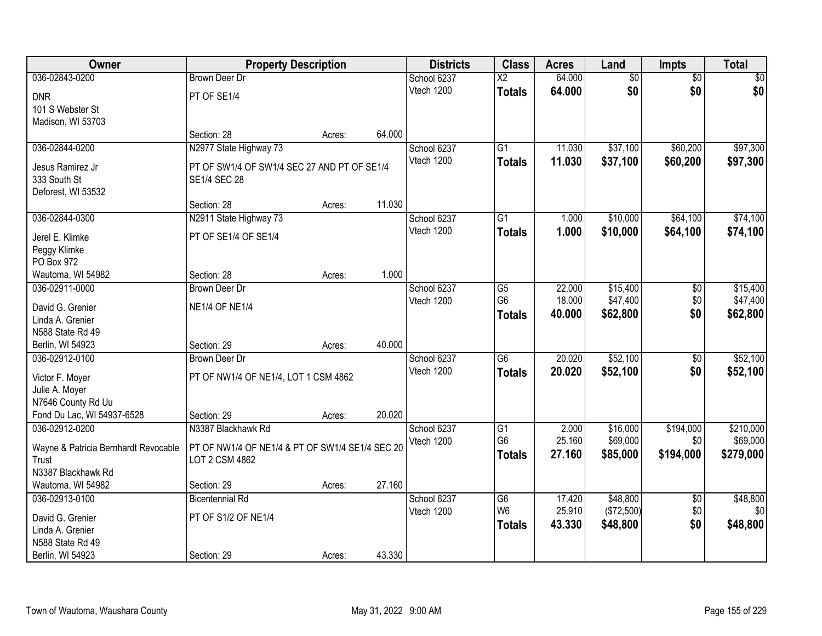| Owner                                            | <b>Property Description</b>                     |        |        | <b>Districts</b> | <b>Class</b>         | <b>Acres</b>     | Land            | <b>Impts</b>    | <b>Total</b>    |
|--------------------------------------------------|-------------------------------------------------|--------|--------|------------------|----------------------|------------------|-----------------|-----------------|-----------------|
| 036-02843-0200                                   | <b>Brown Deer Dr</b>                            |        |        | School 6237      | $\overline{X2}$      | 64.000           | $\overline{50}$ | $\overline{50}$ | $\sqrt{50}$     |
| <b>DNR</b>                                       | PT OF SE1/4                                     |        |        | Vtech 1200       | <b>Totals</b>        | 64.000           | \$0             | \$0             | \$0             |
| 101 S Webster St                                 |                                                 |        |        |                  |                      |                  |                 |                 |                 |
| Madison, WI 53703                                |                                                 |        |        |                  |                      |                  |                 |                 |                 |
|                                                  | Section: 28                                     | Acres: | 64.000 |                  |                      |                  |                 |                 |                 |
| 036-02844-0200                                   | N2977 State Highway 73                          |        |        | School 6237      | $\overline{G1}$      | 11.030           | \$37,100        | \$60,200        | \$97,300        |
| Jesus Ramirez Jr                                 | PT OF SW1/4 OF SW1/4 SEC 27 AND PT OF SE1/4     |        |        | Vtech 1200       | <b>Totals</b>        | 11.030           | \$37,100        | \$60,200        | \$97,300        |
| 333 South St                                     | <b>SE1/4 SEC 28</b>                             |        |        |                  |                      |                  |                 |                 |                 |
| Deforest, WI 53532                               |                                                 |        |        |                  |                      |                  |                 |                 |                 |
|                                                  | Section: 28                                     | Acres: | 11.030 |                  |                      |                  |                 |                 |                 |
| 036-02844-0300                                   | N2911 State Highway 73                          |        |        | School 6237      | $\overline{G1}$      | 1.000            | \$10,000        | \$64,100        | \$74,100        |
| Jerel E. Klimke                                  | PT OF SE1/4 OF SE1/4                            |        |        | Vtech 1200       | <b>Totals</b>        | 1.000            | \$10,000        | \$64,100        | \$74,100        |
| Peggy Klimke                                     |                                                 |        |        |                  |                      |                  |                 |                 |                 |
| PO Box 972                                       |                                                 |        |        |                  |                      |                  |                 |                 |                 |
| Wautoma, WI 54982                                | Section: 28                                     | Acres: | 1.000  |                  |                      |                  |                 |                 |                 |
| 036-02911-0000                                   | <b>Brown Deer Dr</b>                            |        |        | School 6237      | G5                   | 22.000           | \$15,400        | \$0             | \$15,400        |
|                                                  |                                                 |        |        | Vtech 1200       | G <sub>6</sub>       | 18.000           | \$47,400        | \$0             | \$47,400        |
| David G. Grenier<br>Linda A. Grenier             | <b>NE1/4 OF NE1/4</b>                           |        |        |                  | <b>Totals</b>        | 40.000           | \$62,800        | \$0             | \$62,800        |
| N588 State Rd 49                                 |                                                 |        |        |                  |                      |                  |                 |                 |                 |
| Berlin, WI 54923                                 | Section: 29                                     | Acres: | 40.000 |                  |                      |                  |                 |                 |                 |
| 036-02912-0100                                   | <b>Brown Deer Dr</b>                            |        |        | School 6237      | $\overline{G6}$      | 20.020           | \$52,100        | $\overline{30}$ | \$52,100        |
|                                                  |                                                 |        |        | Vtech 1200       | <b>Totals</b>        | 20.020           | \$52,100        | \$0             | \$52,100        |
| Victor F. Moyer                                  | PT OF NW1/4 OF NE1/4, LOT 1 CSM 4862            |        |        |                  |                      |                  |                 |                 |                 |
| Julie A. Moyer                                   |                                                 |        |        |                  |                      |                  |                 |                 |                 |
| N7646 County Rd Uu<br>Fond Du Lac, WI 54937-6528 | Section: 29                                     |        | 20.020 |                  |                      |                  |                 |                 |                 |
| 036-02912-0200                                   | N3387 Blackhawk Rd                              | Acres: |        | School 6237      | G1                   | 2.000            | \$16,000        | \$194,000       | \$210,000       |
|                                                  |                                                 |        |        | Vtech 1200       | G <sub>6</sub>       | 25.160           | \$69,000        | \$0             | \$69,000        |
| Wayne & Patricia Bernhardt Revocable             | PT OF NW1/4 OF NE1/4 & PT OF SW1/4 SE1/4 SEC 20 |        |        |                  | <b>Totals</b>        | 27.160           | \$85,000        | \$194,000       | \$279,000       |
| Trust                                            | LOT 2 CSM 4862                                  |        |        |                  |                      |                  |                 |                 |                 |
| N3387 Blackhawk Rd                               |                                                 |        |        |                  |                      |                  |                 |                 |                 |
| Wautoma, WI 54982                                | Section: 29                                     | Acres: | 27.160 |                  |                      |                  |                 |                 |                 |
| 036-02913-0100                                   | <b>Bicentennial Rd</b>                          |        |        | School 6237      | G6<br>W <sub>6</sub> | 17.420<br>25.910 | \$48,800        | $\overline{50}$ | \$48,800<br>\$0 |
| David G. Grenier                                 | PT OF S1/2 OF NE1/4                             |        |        | Vtech 1200       |                      |                  | (\$72,500)      | \$0<br>\$0      |                 |
| Linda A. Grenier                                 |                                                 |        |        |                  | <b>Totals</b>        | 43.330           | \$48,800        |                 | \$48,800        |
| N588 State Rd 49                                 |                                                 |        |        |                  |                      |                  |                 |                 |                 |
| Berlin, WI 54923                                 | Section: 29                                     | Acres: | 43.330 |                  |                      |                  |                 |                 |                 |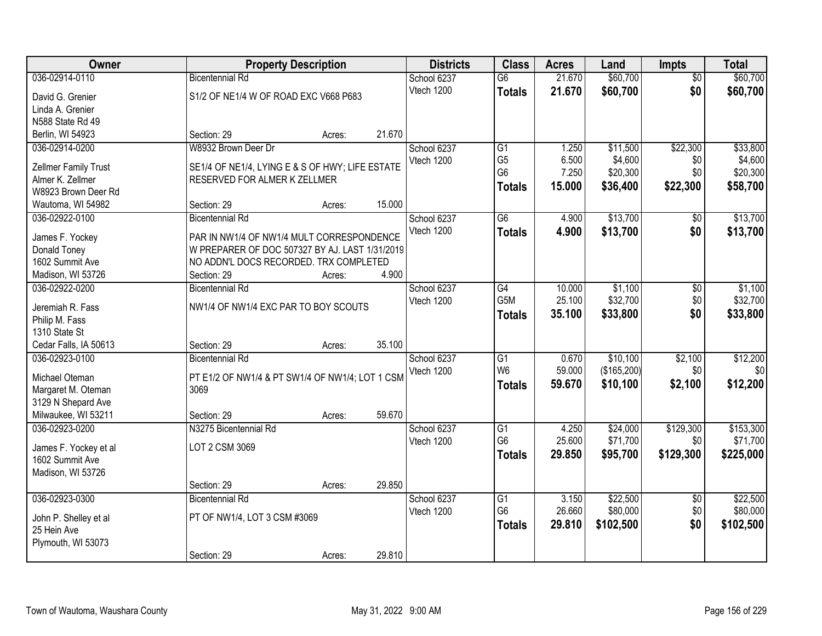| Owner                 | <b>Property Description</b>                     |        | <b>Districts</b> | <b>Class</b>     | <b>Acres</b> | Land        | <b>Impts</b>    | <b>Total</b> |
|-----------------------|-------------------------------------------------|--------|------------------|------------------|--------------|-------------|-----------------|--------------|
| 036-02914-0110        | <b>Bicentennial Rd</b>                          |        | School 6237      | $\overline{G6}$  | 21.670       | \$60,700    | $\overline{50}$ | \$60,700     |
| David G. Grenier      | S1/2 OF NE1/4 W OF ROAD EXC V668 P683           |        | Vtech 1200       | <b>Totals</b>    | 21.670       | \$60,700    | \$0             | \$60,700     |
| Linda A. Grenier      |                                                 |        |                  |                  |              |             |                 |              |
| N588 State Rd 49      |                                                 |        |                  |                  |              |             |                 |              |
| Berlin, WI 54923      | Section: 29<br>Acres:                           | 21.670 |                  |                  |              |             |                 |              |
| 036-02914-0200        | W8932 Brown Deer Dr                             |        | School 6237      | $\overline{G1}$  | 1.250        | \$11,500    | \$22,300        | \$33,800     |
|                       |                                                 |        | Vtech 1200       | G <sub>5</sub>   | 6.500        | \$4,600     | \$0             | \$4,600      |
| Zellmer Family Trust  | SE1/4 OF NE1/4, LYING E & S OF HWY; LIFE ESTATE |        |                  | G <sub>6</sub>   | 7.250        | \$20,300    | \$0             | \$20,300     |
| Almer K. Zellmer      | RESERVED FOR ALMER K ZELLMER                    |        |                  | <b>Totals</b>    | 15.000       | \$36,400    | \$22,300        | \$58,700     |
| W8923 Brown Deer Rd   |                                                 |        |                  |                  |              |             |                 |              |
| Wautoma, WI 54982     | Section: 29<br>Acres:                           | 15.000 |                  |                  |              |             |                 |              |
| 036-02922-0100        | <b>Bicentennial Rd</b>                          |        | School 6237      | G6               | 4.900        | \$13,700    | \$0             | \$13,700     |
| James F. Yockey       | PAR IN NW1/4 OF NW1/4 MULT CORRESPONDENCE       |        | Vtech 1200       | <b>Totals</b>    | 4.900        | \$13,700    | \$0             | \$13,700     |
| Donald Toney          | W PREPARER OF DOC 507327 BY AJ. LAST 1/31/2019  |        |                  |                  |              |             |                 |              |
| 1602 Summit Ave       | NO ADDN'L DOCS RECORDED. TRX COMPLETED          |        |                  |                  |              |             |                 |              |
| Madison, WI 53726     | Section: 29<br>Acres:                           | 4.900  |                  |                  |              |             |                 |              |
| 036-02922-0200        | <b>Bicentennial Rd</b>                          |        | School 6237      | G4               | 10.000       | \$1,100     | \$0             | \$1,100      |
| Jeremiah R. Fass      | NW1/4 OF NW1/4 EXC PAR TO BOY SCOUTS            |        | Vtech 1200       | G <sub>5</sub> M | 25.100       | \$32,700    | \$0             | \$32,700     |
| Philip M. Fass        |                                                 |        |                  | <b>Totals</b>    | 35.100       | \$33,800    | \$0             | \$33,800     |
| 1310 State St         |                                                 |        |                  |                  |              |             |                 |              |
| Cedar Falls, IA 50613 | Section: 29<br>Acres:                           | 35.100 |                  |                  |              |             |                 |              |
| 036-02923-0100        | <b>Bicentennial Rd</b>                          |        | School 6237      | $\overline{G1}$  | 0.670        | \$10,100    | \$2,100         | \$12,200     |
|                       |                                                 |        | Vtech 1200       | W <sub>6</sub>   | 59.000       | (\$165,200) | \$0             | \$0          |
| Michael Oteman        | PT E1/2 OF NW1/4 & PT SW1/4 OF NW1/4; LOT 1 CSM |        |                  | <b>Totals</b>    | 59.670       | \$10,100    | \$2,100         | \$12,200     |
| Margaret M. Oteman    | 3069                                            |        |                  |                  |              |             |                 |              |
| 3129 N Shepard Ave    |                                                 |        |                  |                  |              |             |                 |              |
| Milwaukee, WI 53211   | Section: 29<br>Acres:                           | 59.670 |                  |                  |              |             |                 |              |
| 036-02923-0200        | N3275 Bicentennial Rd                           |        | School 6237      | $\overline{G1}$  | 4.250        | \$24,000    | \$129,300       | \$153,300    |
| James F. Yockey et al | LOT 2 CSM 3069                                  |        | Vtech 1200       | G <sub>6</sub>   | 25.600       | \$71,700    | \$0             | \$71,700     |
| 1602 Summit Ave       |                                                 |        |                  | <b>Totals</b>    | 29.850       | \$95,700    | \$129,300       | \$225,000    |
| Madison, WI 53726     |                                                 |        |                  |                  |              |             |                 |              |
|                       | Section: 29<br>Acres:                           | 29.850 |                  |                  |              |             |                 |              |
| 036-02923-0300        | <b>Bicentennial Rd</b>                          |        | School 6237      | $\overline{G1}$  | 3.150        | \$22,500    | $\overline{50}$ | \$22,500     |
|                       |                                                 |        | Vtech 1200       | G <sub>6</sub>   | 26.660       | \$80,000    | \$0             | \$80,000     |
| John P. Shelley et al | PT OF NW1/4, LOT 3 CSM #3069                    |        |                  | <b>Totals</b>    | 29.810       | \$102,500   | \$0             | \$102,500    |
| 25 Hein Ave           |                                                 |        |                  |                  |              |             |                 |              |
| Plymouth, WI 53073    |                                                 |        |                  |                  |              |             |                 |              |
|                       | Section: 29<br>Acres:                           | 29.810 |                  |                  |              |             |                 |              |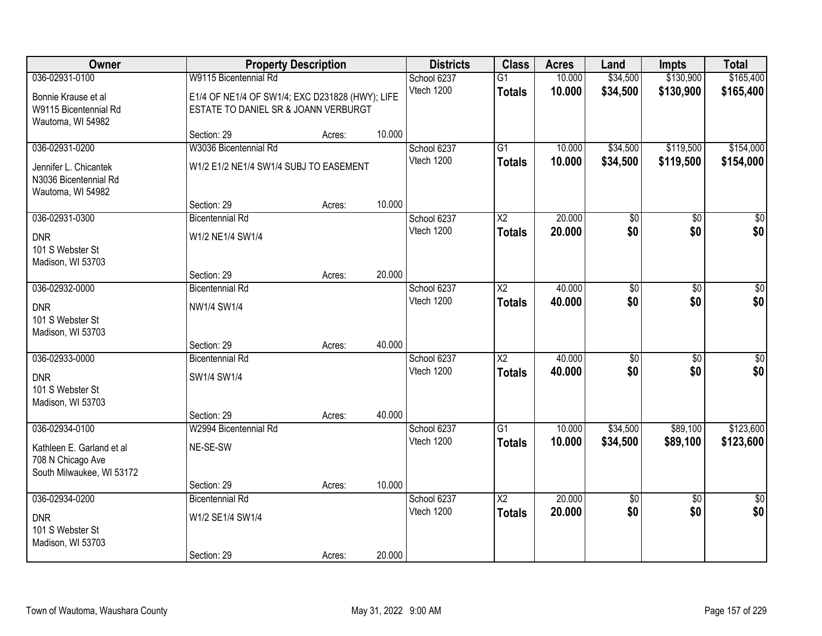| Owner                          |                                                 | <b>Property Description</b> |        | <b>Districts</b>          | <b>Class</b>           | <b>Acres</b> | Land            | <b>Impts</b>    | <b>Total</b>    |
|--------------------------------|-------------------------------------------------|-----------------------------|--------|---------------------------|------------------------|--------------|-----------------|-----------------|-----------------|
| 036-02931-0100                 | W9115 Bicentennial Rd                           |                             |        | School 6237               | $\overline{G1}$        | 10.000       | \$34,500        | \$130,900       | \$165,400       |
| Bonnie Krause et al            | E1/4 OF NE1/4 OF SW1/4; EXC D231828 (HWY); LIFE |                             |        | Vtech 1200                | <b>Totals</b>          | 10.000       | \$34,500        | \$130,900       | \$165,400       |
| W9115 Bicentennial Rd          | ESTATE TO DANIEL SR & JOANN VERBURGT            |                             |        |                           |                        |              |                 |                 |                 |
| Wautoma, WI 54982              |                                                 |                             |        |                           |                        |              |                 |                 |                 |
|                                | Section: 29                                     | Acres:                      | 10.000 |                           |                        |              |                 |                 |                 |
| 036-02931-0200                 | W3036 Bicentennial Rd                           |                             |        | School 6237               | $\overline{G1}$        | 10.000       | \$34,500        | \$119,500       | \$154,000       |
| Jennifer L. Chicantek          | W1/2 E1/2 NE1/4 SW1/4 SUBJ TO EASEMENT          |                             |        | Vtech 1200                | <b>Totals</b>          | 10.000       | \$34,500        | \$119,500       | \$154,000       |
| N3036 Bicentennial Rd          |                                                 |                             |        |                           |                        |              |                 |                 |                 |
| Wautoma, WI 54982              |                                                 |                             |        |                           |                        |              |                 |                 |                 |
| 036-02931-0300                 | Section: 29<br><b>Bicentennial Rd</b>           | Acres:                      | 10.000 |                           | X2                     | 20,000       |                 | \$0             | $\overline{30}$ |
|                                |                                                 |                             |        | School 6237<br>Vtech 1200 | <b>Totals</b>          | 20.000       | \$0<br>\$0      | \$0             | \$0             |
| <b>DNR</b>                     | W1/2 NE1/4 SW1/4                                |                             |        |                           |                        |              |                 |                 |                 |
| 101 S Webster St               |                                                 |                             |        |                           |                        |              |                 |                 |                 |
| Madison, WI 53703              | Section: 29                                     | Acres:                      | 20.000 |                           |                        |              |                 |                 |                 |
| 036-02932-0000                 | <b>Bicentennial Rd</b>                          |                             |        | School 6237               | $\overline{\text{X2}}$ | 40.000       | \$0             | \$0             | \$0             |
|                                |                                                 |                             |        | Vtech 1200                | <b>Totals</b>          | 40.000       | \$0             | \$0             | \$0             |
| <b>DNR</b><br>101 S Webster St | NW1/4 SW1/4                                     |                             |        |                           |                        |              |                 |                 |                 |
| Madison, WI 53703              |                                                 |                             |        |                           |                        |              |                 |                 |                 |
|                                | Section: 29                                     | Acres:                      | 40.000 |                           |                        |              |                 |                 |                 |
| 036-02933-0000                 | <b>Bicentennial Rd</b>                          |                             |        | School 6237               | $\overline{\text{X2}}$ | 40.000       | $\overline{50}$ | $\overline{50}$ | $\overline{50}$ |
| <b>DNR</b>                     | SW1/4 SW1/4                                     |                             |        | Vtech 1200                | <b>Totals</b>          | 40.000       | \$0             | \$0             | \$0             |
| 101 S Webster St               |                                                 |                             |        |                           |                        |              |                 |                 |                 |
| Madison, WI 53703              |                                                 |                             |        |                           |                        |              |                 |                 |                 |
|                                | Section: 29                                     | Acres:                      | 40.000 |                           |                        |              |                 |                 |                 |
| 036-02934-0100                 | W2994 Bicentennial Rd                           |                             |        | School 6237               | $\overline{G1}$        | 10.000       | \$34,500        | \$89,100        | \$123,600       |
| Kathleen E. Garland et al      | NE-SE-SW                                        |                             |        | Vtech 1200                | <b>Totals</b>          | 10.000       | \$34,500        | \$89,100        | \$123,600       |
| 708 N Chicago Ave              |                                                 |                             |        |                           |                        |              |                 |                 |                 |
| South Milwaukee, WI 53172      |                                                 |                             |        |                           |                        |              |                 |                 |                 |
|                                | Section: 29                                     | Acres:                      | 10.000 |                           |                        |              |                 |                 |                 |
| 036-02934-0200                 | <b>Bicentennial Rd</b>                          |                             |        | School 6237               | $\overline{\text{X2}}$ | 20.000       | \$0             | $\overline{50}$ | $\overline{50}$ |
| <b>DNR</b>                     | W1/2 SE1/4 SW1/4                                |                             |        | Vtech 1200                | <b>Totals</b>          | 20.000       | \$0             | \$0             | \$0             |
| 101 S Webster St               |                                                 |                             |        |                           |                        |              |                 |                 |                 |
| Madison, WI 53703              |                                                 |                             |        |                           |                        |              |                 |                 |                 |
|                                | Section: 29                                     | Acres:                      | 20.000 |                           |                        |              |                 |                 |                 |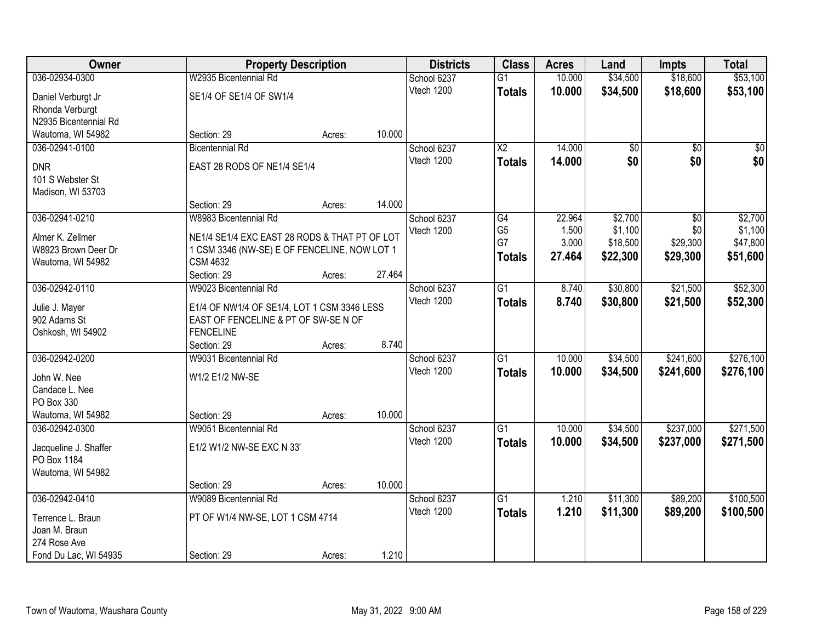| Owner                 | <b>Property Description</b>                   |        |        | <b>Districts</b>          | <b>Class</b>    | <b>Acres</b> | Land            | <b>Impts</b>    | <b>Total</b> |
|-----------------------|-----------------------------------------------|--------|--------|---------------------------|-----------------|--------------|-----------------|-----------------|--------------|
| 036-02934-0300        | W2935 Bicentennial Rd                         |        |        | School 6237               | $\overline{G1}$ | 10.000       | \$34,500        | \$18,600        | \$53,100     |
| Daniel Verburgt Jr    | SE1/4 OF SE1/4 OF SW1/4                       |        |        | Vtech 1200                | <b>Totals</b>   | 10.000       | \$34,500        | \$18,600        | \$53,100     |
| Rhonda Verburgt       |                                               |        |        |                           |                 |              |                 |                 |              |
| N2935 Bicentennial Rd |                                               |        |        |                           |                 |              |                 |                 |              |
| Wautoma, WI 54982     | Section: 29                                   | Acres: | 10.000 |                           |                 |              |                 |                 |              |
| 036-02941-0100        | <b>Bicentennial Rd</b>                        |        |        | School 6237               | $\overline{X2}$ | 14.000       | $\overline{50}$ | $\overline{50}$ | $\sqrt{50}$  |
|                       |                                               |        |        | Vtech 1200                | <b>Totals</b>   | 14.000       | \$0             | \$0             | \$0          |
| <b>DNR</b>            | EAST 28 RODS OF NE1/4 SE1/4                   |        |        |                           |                 |              |                 |                 |              |
| 101 S Webster St      |                                               |        |        |                           |                 |              |                 |                 |              |
| Madison, WI 53703     | Section: 29                                   |        | 14.000 |                           |                 |              |                 |                 |              |
| 036-02941-0210        | W8983 Bicentennial Rd                         | Acres: |        |                           | G4              | 22.964       | \$2,700         | \$0             | \$2,700      |
|                       |                                               |        |        | School 6237<br>Vtech 1200 | G <sub>5</sub>  | 1.500        | \$1,100         | \$0             | \$1,100      |
| Almer K. Zellmer      | NE1/4 SE1/4 EXC EAST 28 RODS & THAT PT OF LOT |        |        |                           | G7              | 3.000        | \$18,500        | \$29,300        | \$47,800     |
| W8923 Brown Deer Dr   | 1 CSM 3346 (NW-SE) E OF FENCELINE, NOW LOT 1  |        |        |                           |                 | 27.464       | \$22,300        | \$29,300        | \$51,600     |
| Wautoma, WI 54982     | <b>CSM 4632</b>                               |        |        |                           | <b>Totals</b>   |              |                 |                 |              |
|                       | Section: 29                                   | Acres: | 27.464 |                           |                 |              |                 |                 |              |
| 036-02942-0110        | W9023 Bicentennial Rd                         |        |        | School 6237               | $\overline{G1}$ | 8.740        | \$30,800        | \$21,500        | \$52,300     |
| Julie J. Mayer        | E1/4 OF NW1/4 OF SE1/4, LOT 1 CSM 3346 LESS   |        |        | Vtech 1200                | <b>Totals</b>   | 8.740        | \$30,800        | \$21,500        | \$52,300     |
| 902 Adams St          | EAST OF FENCELINE & PT OF SW-SE N OF          |        |        |                           |                 |              |                 |                 |              |
| Oshkosh, WI 54902     | <b>FENCELINE</b>                              |        |        |                           |                 |              |                 |                 |              |
|                       | Section: 29                                   | Acres: | 8.740  |                           |                 |              |                 |                 |              |
| 036-02942-0200        | W9031 Bicentennial Rd                         |        |        | School 6237               | $\overline{G1}$ | 10.000       | \$34,500        | \$241,600       | \$276,100    |
|                       |                                               |        |        | Vtech 1200                | <b>Totals</b>   | 10.000       | \$34,500        | \$241,600       | \$276,100    |
| John W. Nee           | W1/2 E1/2 NW-SE                               |        |        |                           |                 |              |                 |                 |              |
| Candace L. Nee        |                                               |        |        |                           |                 |              |                 |                 |              |
| PO Box 330            |                                               |        |        |                           |                 |              |                 |                 |              |
| Wautoma, WI 54982     | Section: 29                                   | Acres: | 10.000 |                           |                 |              |                 |                 |              |
| 036-02942-0300        | W9051 Bicentennial Rd                         |        |        | School 6237               | $\overline{G1}$ | 10.000       | \$34,500        | \$237,000       | \$271,500    |
| Jacqueline J. Shaffer | E1/2 W1/2 NW-SE EXC N 33'                     |        |        | Vtech 1200                | <b>Totals</b>   | 10.000       | \$34,500        | \$237,000       | \$271,500    |
| PO Box 1184           |                                               |        |        |                           |                 |              |                 |                 |              |
| Wautoma, WI 54982     |                                               |        |        |                           |                 |              |                 |                 |              |
|                       | Section: 29                                   | Acres: | 10.000 |                           |                 |              |                 |                 |              |
| 036-02942-0410        | W9089 Bicentennial Rd                         |        |        | School 6237               | $\overline{G1}$ | 1.210        | \$11,300        | \$89,200        | \$100,500    |
| Terrence L. Braun     | PT OF W1/4 NW-SE, LOT 1 CSM 4714              |        |        | Vtech 1200                | <b>Totals</b>   | 1.210        | \$11,300        | \$89,200        | \$100,500    |
| Joan M. Braun         |                                               |        |        |                           |                 |              |                 |                 |              |
| 274 Rose Ave          |                                               |        |        |                           |                 |              |                 |                 |              |
| Fond Du Lac, WI 54935 | Section: 29                                   | Acres: | 1.210  |                           |                 |              |                 |                 |              |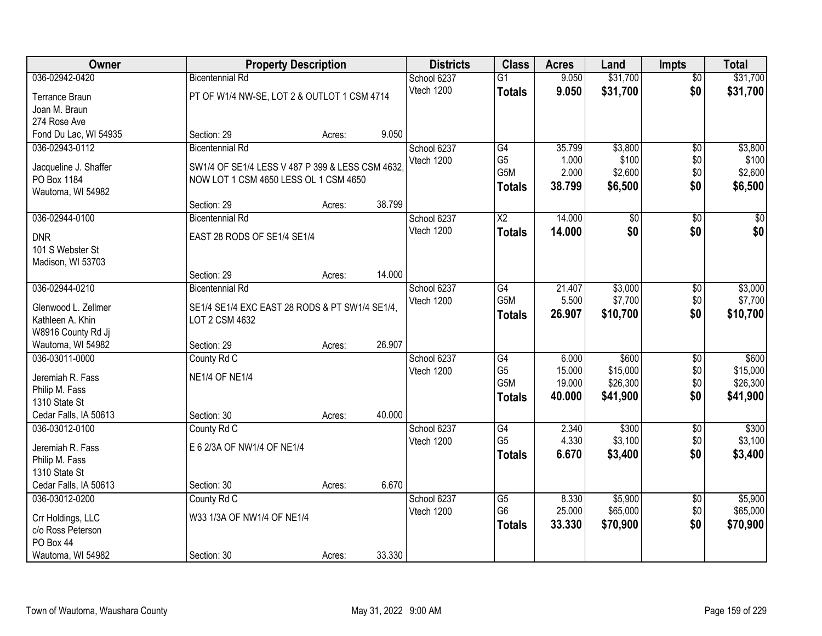| Owner                                  | <b>Property Description</b>                     |        |        | <b>Districts</b>          | <b>Class</b>         | <b>Acres</b>   | Land             | <b>Impts</b>      | <b>Total</b>     |
|----------------------------------------|-------------------------------------------------|--------|--------|---------------------------|----------------------|----------------|------------------|-------------------|------------------|
| 036-02942-0420                         | <b>Bicentennial Rd</b>                          |        |        | School 6237               | $\overline{G1}$      | 9.050          | \$31,700         | $\overline{50}$   | \$31,700         |
| Terrance Braun                         | PT OF W1/4 NW-SE, LOT 2 & OUTLOT 1 CSM 4714     |        |        | Vtech 1200                | <b>Totals</b>        | 9.050          | \$31,700         | \$0               | \$31,700         |
| Joan M. Braun                          |                                                 |        |        |                           |                      |                |                  |                   |                  |
| 274 Rose Ave                           |                                                 |        |        |                           |                      |                |                  |                   |                  |
| Fond Du Lac, WI 54935                  | Section: 29                                     | Acres: | 9.050  |                           |                      |                |                  |                   |                  |
| 036-02943-0112                         | <b>Bicentennial Rd</b>                          |        |        | School 6237               | G4                   | 35.799         | \$3,800          | \$0               | \$3,800          |
| Jacqueline J. Shaffer                  | SW1/4 OF SE1/4 LESS V 487 P 399 & LESS CSM 4632 |        |        | Vtech 1200                | G <sub>5</sub>       | 1.000          | \$100            | \$0               | \$100            |
| PO Box 1184                            | NOW LOT 1 CSM 4650 LESS OL 1 CSM 4650           |        |        |                           | G5M                  | 2.000          | \$2,600          | \$0               | \$2,600          |
| Wautoma, WI 54982                      |                                                 |        |        |                           | <b>Totals</b>        | 38.799         | \$6,500          | \$0               | \$6,500          |
|                                        | Section: 29                                     | Acres: | 38.799 |                           |                      |                |                  |                   |                  |
| 036-02944-0100                         | <b>Bicentennial Rd</b>                          |        |        | School 6237               | $\overline{X2}$      | 14.000         | $\overline{50}$  | $\overline{50}$   | $\overline{50}$  |
| <b>DNR</b>                             | EAST 28 RODS OF SE1/4 SE1/4                     |        |        | Vtech 1200                | <b>Totals</b>        | 14.000         | \$0              | \$0               | \$0              |
| 101 S Webster St                       |                                                 |        |        |                           |                      |                |                  |                   |                  |
| Madison, WI 53703                      |                                                 |        |        |                           |                      |                |                  |                   |                  |
|                                        | Section: 29                                     | Acres: | 14.000 |                           |                      |                |                  |                   |                  |
| 036-02944-0210                         | <b>Bicentennial Rd</b>                          |        |        | School 6237               | G4                   | 21.407         | \$3,000          | \$0               | \$3,000          |
|                                        |                                                 |        |        | Vtech 1200                | G5M                  | 5.500          | \$7,700          | \$0               | \$7,700          |
| Glenwood L. Zellmer                    | SE1/4 SE1/4 EXC EAST 28 RODS & PT SW1/4 SE1/4,  |        |        |                           | <b>Totals</b>        | 26.907         | \$10,700         | \$0               | \$10,700         |
| Kathleen A. Khin<br>W8916 County Rd Jj | LOT 2 CSM 4632                                  |        |        |                           |                      |                |                  |                   |                  |
| Wautoma, WI 54982                      | Section: 29                                     | Acres: | 26.907 |                           |                      |                |                  |                   |                  |
| 036-03011-0000                         | County Rd C                                     |        |        | School 6237               | $\overline{G4}$      | 6.000          | \$600            | \$0               | \$600            |
|                                        |                                                 |        |        | Vtech 1200                | G <sub>5</sub>       | 15.000         | \$15,000         | \$0               | \$15,000         |
| Jeremiah R. Fass                       | <b>NE1/4 OF NE1/4</b>                           |        |        |                           | G5M                  | 19.000         | \$26,300         | \$0               | \$26,300         |
| Philip M. Fass                         |                                                 |        |        |                           | <b>Totals</b>        | 40.000         | \$41,900         | \$0               | \$41,900         |
| 1310 State St                          |                                                 |        |        |                           |                      |                |                  |                   |                  |
| Cedar Falls, IA 50613                  | Section: 30                                     | Acres: | 40.000 |                           |                      |                |                  |                   |                  |
| 036-03012-0100                         | County Rd C                                     |        |        | School 6237<br>Vtech 1200 | G4<br>G <sub>5</sub> | 2.340<br>4.330 | \$300<br>\$3,100 | $\sqrt{6}$<br>\$0 | \$300<br>\$3,100 |
| Jeremiah R. Fass                       | E 6 2/3A OF NW1/4 OF NE1/4                      |        |        |                           |                      | 6.670          | \$3,400          | \$0               | \$3,400          |
| Philip M. Fass                         |                                                 |        |        |                           | <b>Totals</b>        |                |                  |                   |                  |
| 1310 State St                          |                                                 |        |        |                           |                      |                |                  |                   |                  |
| Cedar Falls, IA 50613                  | Section: 30                                     | Acres: | 6.670  |                           |                      |                |                  |                   |                  |
| 036-03012-0200                         | County Rd C                                     |        |        | School 6237               | $\overline{G5}$      | 8.330          | \$5,900          | $\overline{50}$   | \$5,900          |
| Crr Holdings, LLC                      | W33 1/3A OF NW1/4 OF NE1/4                      |        |        | Vtech 1200                | G <sub>6</sub>       | 25.000         | \$65,000         | \$0               | \$65,000         |
| c/o Ross Peterson                      |                                                 |        |        |                           | <b>Totals</b>        | 33.330         | \$70,900         | \$0               | \$70,900         |
| PO Box 44                              |                                                 |        |        |                           |                      |                |                  |                   |                  |
| Wautoma, WI 54982                      | Section: 30                                     | Acres: | 33.330 |                           |                      |                |                  |                   |                  |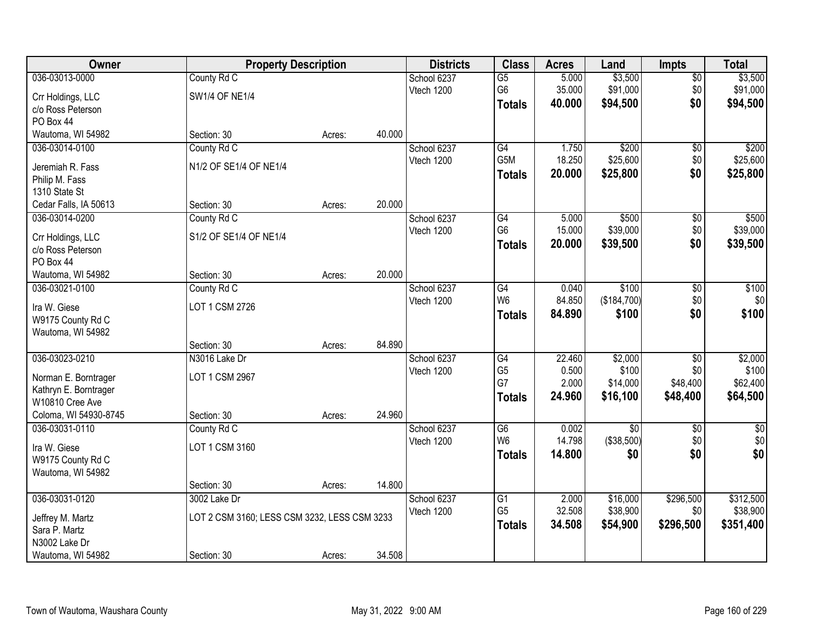| Owner                                  | <b>Property Description</b>                  |        |        | <b>Districts</b>          | <b>Class</b>         | <b>Acres</b>    | Land              | <b>Impts</b>      | <b>Total</b> |
|----------------------------------------|----------------------------------------------|--------|--------|---------------------------|----------------------|-----------------|-------------------|-------------------|--------------|
| 036-03013-0000                         | County Rd C                                  |        |        | School 6237               | $\overline{G5}$      | 5.000           | \$3,500           | $\overline{50}$   | \$3,500      |
| Crr Holdings, LLC                      | <b>SW1/4 OF NE1/4</b>                        |        |        | Vtech 1200                | G6                   | 35.000          | \$91,000          | \$0               | \$91,000     |
| c/o Ross Peterson                      |                                              |        |        |                           | <b>Totals</b>        | 40.000          | \$94,500          | \$0               | \$94,500     |
| PO Box 44                              |                                              |        |        |                           |                      |                 |                   |                   |              |
| Wautoma, WI 54982                      | Section: 30                                  | Acres: | 40.000 |                           |                      |                 |                   |                   |              |
| 036-03014-0100                         | County Rd C                                  |        |        | School 6237               | G4                   | 1.750           | \$200             | \$0               | \$200        |
| Jeremiah R. Fass                       | N1/2 OF SE1/4 OF NE1/4                       |        |        | Vtech 1200                | G5M                  | 18.250          | \$25,600          | \$0               | \$25,600     |
| Philip M. Fass                         |                                              |        |        |                           | <b>Totals</b>        | 20.000          | \$25,800          | \$0               | \$25,800     |
| 1310 State St                          |                                              |        |        |                           |                      |                 |                   |                   |              |
| Cedar Falls, IA 50613                  | Section: 30                                  | Acres: | 20.000 |                           |                      |                 |                   |                   |              |
| 036-03014-0200                         | County Rd C                                  |        |        | School 6237               | $\overline{G4}$      | 5.000           | \$500             | $\overline{50}$   | \$500        |
|                                        | S1/2 OF SE1/4 OF NE1/4                       |        |        | Vtech 1200                | G <sub>6</sub>       | 15.000          | \$39,000          | \$0               | \$39,000     |
| Crr Holdings, LLC<br>c/o Ross Peterson |                                              |        |        |                           | <b>Totals</b>        | 20.000          | \$39,500          | \$0               | \$39,500     |
| PO Box 44                              |                                              |        |        |                           |                      |                 |                   |                   |              |
| Wautoma, WI 54982                      | Section: 30                                  | Acres: | 20.000 |                           |                      |                 |                   |                   |              |
| 036-03021-0100                         | County Rd C                                  |        |        | School 6237               | G4                   | 0.040           | \$100             | \$0               | \$100        |
|                                        |                                              |        |        | Vtech 1200                | W <sub>6</sub>       | 84.850          | (\$184,700)       | \$0               | \$0          |
| Ira W. Giese                           | LOT 1 CSM 2726                               |        |        |                           | <b>Totals</b>        | 84.890          | \$100             | \$0               | \$100        |
| W9175 County Rd C<br>Wautoma, WI 54982 |                                              |        |        |                           |                      |                 |                   |                   |              |
|                                        | Section: 30                                  | Acres: | 84.890 |                           |                      |                 |                   |                   |              |
| 036-03023-0210                         | N3016 Lake Dr                                |        |        | School 6237               | $\overline{G4}$      | 22.460          | \$2,000           | $\overline{30}$   | \$2,000      |
|                                        |                                              |        |        | Vtech 1200                | G <sub>5</sub>       | 0.500           | \$100             | \$0               | \$100        |
| Norman E. Borntrager                   | LOT 1 CSM 2967                               |        |        |                           | G7                   | 2.000           | \$14,000          | \$48,400          | \$62,400     |
| Kathryn E. Borntrager                  |                                              |        |        |                           | <b>Totals</b>        | 24.960          | \$16,100          | \$48,400          | \$64,500     |
| W10810 Cree Ave                        |                                              |        |        |                           |                      |                 |                   |                   |              |
| Coloma, WI 54930-8745                  | Section: 30                                  | Acres: | 24.960 |                           |                      |                 |                   |                   |              |
| 036-03031-0110                         | County Rd C                                  |        |        | School 6237<br>Vtech 1200 | G6<br>W <sub>6</sub> | 0.002<br>14.798 | \$0<br>(\$38,500) | $\sqrt{6}$<br>\$0 | \$0<br>\$0   |
| Ira W. Giese                           | LOT 1 CSM 3160                               |        |        |                           | <b>Totals</b>        | 14.800          | \$0               | \$0               | \$0          |
| W9175 County Rd C                      |                                              |        |        |                           |                      |                 |                   |                   |              |
| Wautoma, WI 54982                      |                                              |        |        |                           |                      |                 |                   |                   |              |
|                                        | Section: 30                                  | Acres: | 14.800 |                           |                      |                 |                   |                   |              |
| 036-03031-0120                         | 3002 Lake Dr                                 |        |        | School 6237               | $\overline{G1}$      | 2.000           | \$16,000          | \$296,500         | \$312,500    |
| Jeffrey M. Martz                       | LOT 2 CSM 3160; LESS CSM 3232, LESS CSM 3233 |        |        | Vtech 1200                | G <sub>5</sub>       | 32.508          | \$38,900          | \$0               | \$38,900     |
| Sara P. Martz                          |                                              |        |        |                           | <b>Totals</b>        | 34.508          | \$54,900          | \$296,500         | \$351,400    |
| N3002 Lake Dr                          |                                              |        |        |                           |                      |                 |                   |                   |              |
| Wautoma, WI 54982                      | Section: 30                                  | Acres: | 34.508 |                           |                      |                 |                   |                   |              |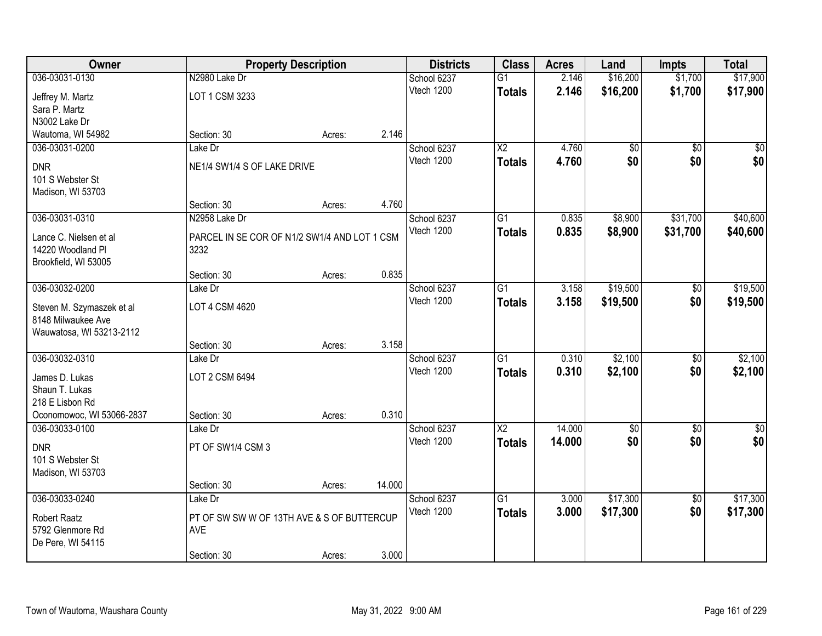| <b>Owner</b>              |                                              | <b>Property Description</b> |        | <b>Districts</b>          | <b>Class</b>    | <b>Acres</b> | Land            | <b>Impts</b>    | <b>Total</b> |
|---------------------------|----------------------------------------------|-----------------------------|--------|---------------------------|-----------------|--------------|-----------------|-----------------|--------------|
| 036-03031-0130            | N2980 Lake Dr                                |                             |        | School 6237               | $\overline{G1}$ | 2.146        | \$16,200        | \$1,700         | \$17,900     |
| Jeffrey M. Martz          | LOT 1 CSM 3233                               |                             |        | Vtech 1200                | <b>Totals</b>   | 2.146        | \$16,200        | \$1,700         | \$17,900     |
| Sara P. Martz             |                                              |                             |        |                           |                 |              |                 |                 |              |
| N3002 Lake Dr             |                                              |                             |        |                           |                 |              |                 |                 |              |
| Wautoma, WI 54982         | Section: 30                                  | Acres:                      | 2.146  |                           |                 |              |                 |                 |              |
| 036-03031-0200            | Lake Dr                                      |                             |        | School 6237               | $\overline{X2}$ | 4.760        | $\overline{60}$ | $\overline{50}$ | $\sqrt{50}$  |
| <b>DNR</b>                | NE1/4 SW1/4 S OF LAKE DRIVE                  |                             |        | Vtech 1200                | <b>Totals</b>   | 4.760        | \$0             | \$0             | \$0          |
| 101 S Webster St          |                                              |                             |        |                           |                 |              |                 |                 |              |
| Madison, WI 53703         |                                              |                             |        |                           |                 |              |                 |                 |              |
|                           | Section: 30                                  | Acres:                      | 4.760  |                           |                 |              |                 |                 |              |
| 036-03031-0310            | N2958 Lake Dr                                |                             |        | School 6237               | G <sub>1</sub>  | 0.835        | \$8,900         | \$31,700        | \$40,600     |
| Lance C. Nielsen et al    | PARCEL IN SE COR OF N1/2 SW1/4 AND LOT 1 CSM |                             |        | Vtech 1200                | <b>Totals</b>   | 0.835        | \$8,900         | \$31,700        | \$40,600     |
| 14220 Woodland Pl         | 3232                                         |                             |        |                           |                 |              |                 |                 |              |
| Brookfield, WI 53005      |                                              |                             |        |                           |                 |              |                 |                 |              |
|                           | Section: 30                                  | Acres:                      | 0.835  |                           |                 |              |                 |                 |              |
| 036-03032-0200            | Lake Dr                                      |                             |        | School 6237               | G1              | 3.158        | \$19,500        | \$0             | \$19,500     |
| Steven M. Szymaszek et al | LOT 4 CSM 4620                               |                             |        | Vtech 1200                | <b>Totals</b>   | 3.158        | \$19,500        | \$0             | \$19,500     |
| 8148 Milwaukee Ave        |                                              |                             |        |                           |                 |              |                 |                 |              |
| Wauwatosa, WI 53213-2112  |                                              |                             |        |                           |                 |              |                 |                 |              |
|                           | Section: 30                                  | Acres:                      | 3.158  |                           |                 |              |                 |                 |              |
| 036-03032-0310            | Lake Dr                                      |                             |        | School 6237               | $\overline{G1}$ | 0.310        | \$2,100         | $\overline{50}$ | \$2,100      |
| James D. Lukas            | LOT 2 CSM 6494                               |                             |        | Vtech 1200                | <b>Totals</b>   | 0.310        | \$2,100         | \$0             | \$2,100      |
| Shaun T. Lukas            |                                              |                             |        |                           |                 |              |                 |                 |              |
| 218 E Lisbon Rd           |                                              |                             |        |                           |                 |              |                 |                 |              |
| Oconomowoc, WI 53066-2837 | Section: 30                                  | Acres:                      | 0.310  |                           |                 |              |                 |                 |              |
| 036-03033-0100            | Lake Dr                                      |                             |        | School 6237               | $\overline{X2}$ | 14.000       | $\overline{60}$ | $\overline{50}$ | \$0          |
| <b>DNR</b>                | PT OF SW1/4 CSM 3                            |                             |        | Vtech 1200                | <b>Totals</b>   | 14.000       | \$0             | \$0             | \$0          |
| 101 S Webster St          |                                              |                             |        |                           |                 |              |                 |                 |              |
| Madison, WI 53703         |                                              |                             |        |                           |                 |              |                 |                 |              |
|                           | Section: 30                                  | Acres:                      | 14.000 |                           |                 |              |                 |                 |              |
| 036-03033-0240            | Lake Dr                                      |                             |        | School 6237<br>Vtech 1200 | $\overline{G1}$ | 3.000        | \$17,300        | $\overline{50}$ | \$17,300     |
| <b>Robert Raatz</b>       | PT OF SW SW W OF 13TH AVE & S OF BUTTERCUP   |                             |        |                           | <b>Totals</b>   | 3.000        | \$17,300        | \$0             | \$17,300     |
| 5792 Glenmore Rd          | AVE                                          |                             |        |                           |                 |              |                 |                 |              |
| De Pere, WI 54115         |                                              |                             |        |                           |                 |              |                 |                 |              |
|                           | Section: 30                                  | Acres:                      | 3.000  |                           |                 |              |                 |                 |              |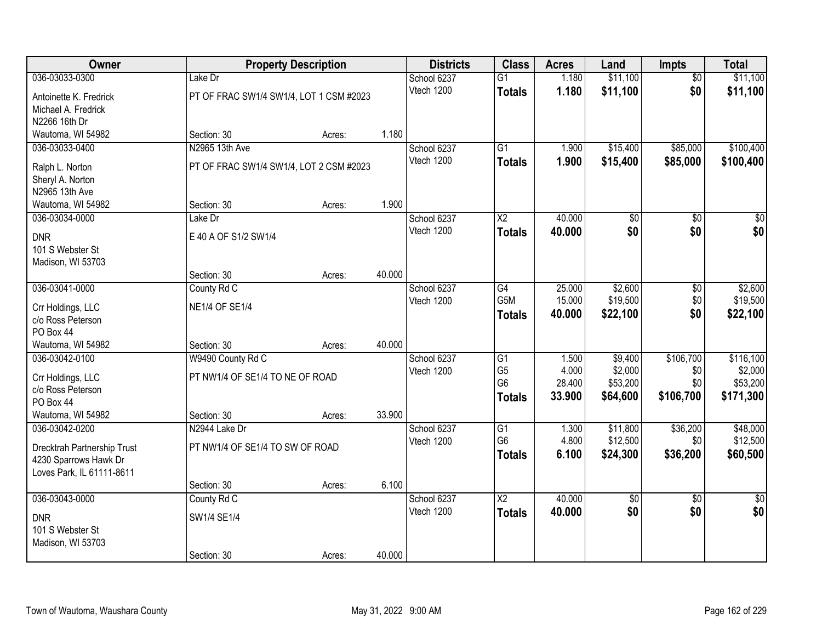| <b>Owner</b>                |                                         | <b>Property Description</b> |        | <b>Districts</b>          | <b>Class</b>                     | <b>Acres</b>    | Land                 | Impts           | <b>Total</b>         |
|-----------------------------|-----------------------------------------|-----------------------------|--------|---------------------------|----------------------------------|-----------------|----------------------|-----------------|----------------------|
| 036-03033-0300              | Lake Dr                                 |                             |        | School 6237               | $\overline{G1}$                  | 1.180           | \$11,100             | $\overline{50}$ | \$11,100             |
| Antoinette K. Fredrick      | PT OF FRAC SW1/4 SW1/4, LOT 1 CSM #2023 |                             |        | Vtech 1200                | <b>Totals</b>                    | 1.180           | \$11,100             | \$0             | \$11,100             |
| Michael A. Fredrick         |                                         |                             |        |                           |                                  |                 |                      |                 |                      |
| N2266 16th Dr               |                                         |                             |        |                           |                                  |                 |                      |                 |                      |
| Wautoma, WI 54982           | Section: 30                             | Acres:                      | 1.180  |                           |                                  |                 |                      |                 |                      |
| 036-03033-0400              | N2965 13th Ave                          |                             |        | School 6237               | $\overline{G1}$                  | 1.900           | \$15,400             | \$85,000        | \$100,400            |
| Ralph L. Norton             | PT OF FRAC SW1/4 SW1/4, LOT 2 CSM #2023 |                             |        | Vtech 1200                | <b>Totals</b>                    | 1.900           | \$15,400             | \$85,000        | \$100,400            |
| Sheryl A. Norton            |                                         |                             |        |                           |                                  |                 |                      |                 |                      |
| N2965 13th Ave              |                                         |                             |        |                           |                                  |                 |                      |                 |                      |
| Wautoma, WI 54982           | Section: 30                             | Acres:                      | 1.900  |                           |                                  |                 |                      |                 |                      |
| 036-03034-0000              | Lake Dr                                 |                             |        | School 6237               | $\overline{X2}$                  | 40.000          | \$0                  | $\overline{50}$ | $\overline{30}$      |
| <b>DNR</b>                  | E 40 A OF S1/2 SW1/4                    |                             |        | Vtech 1200                | <b>Totals</b>                    | 40.000          | \$0                  | \$0             | \$0                  |
| 101 S Webster St            |                                         |                             |        |                           |                                  |                 |                      |                 |                      |
| Madison, WI 53703           |                                         |                             |        |                           |                                  |                 |                      |                 |                      |
|                             | Section: 30                             | Acres:                      | 40.000 |                           |                                  |                 |                      |                 |                      |
| 036-03041-0000              | County Rd C                             |                             |        | School 6237               | G4                               | 25.000          | \$2,600              | \$0             | \$2,600              |
| Crr Holdings, LLC           | <b>NE1/4 OF SE1/4</b>                   |                             |        | Vtech 1200                | G5M                              | 15.000          | \$19,500             | \$0<br>\$0      | \$19,500             |
| c/o Ross Peterson           |                                         |                             |        |                           | <b>Totals</b>                    | 40.000          | \$22,100             |                 | \$22,100             |
| PO Box 44                   |                                         |                             |        |                           |                                  |                 |                      |                 |                      |
| Wautoma, WI 54982           | Section: 30                             | Acres:                      | 40.000 |                           |                                  |                 |                      |                 |                      |
| 036-03042-0100              | W9490 County Rd C                       |                             |        | School 6237               | G1                               | 1.500           | \$9,400              | \$106,700       | \$116,100            |
| Crr Holdings, LLC           | PT NW1/4 OF SE1/4 TO NE OF ROAD         |                             |        | Vtech 1200                | G <sub>5</sub><br>G <sub>6</sub> | 4.000<br>28.400 | \$2,000<br>\$53,200  | \$0<br>\$0      | \$2,000<br>\$53,200  |
| c/o Ross Peterson           |                                         |                             |        |                           | <b>Totals</b>                    | 33.900          | \$64,600             | \$106,700       | \$171,300            |
| PO Box 44                   |                                         |                             |        |                           |                                  |                 |                      |                 |                      |
| Wautoma, WI 54982           | Section: 30                             | Acres:                      | 33.900 |                           |                                  |                 |                      |                 |                      |
| 036-03042-0200              | N2944 Lake Dr                           |                             |        | School 6237               | G1<br>G <sub>6</sub>             | 1.300<br>4.800  | \$11,800<br>\$12,500 | \$36,200<br>\$0 | \$48,000<br>\$12,500 |
| Drecktrah Partnership Trust | PT NW1/4 OF SE1/4 TO SW OF ROAD         |                             |        | Vtech 1200                | <b>Totals</b>                    | 6.100           | \$24,300             | \$36,200        | \$60,500             |
| 4230 Sparrows Hawk Dr       |                                         |                             |        |                           |                                  |                 |                      |                 |                      |
| Loves Park, IL 61111-8611   |                                         |                             |        |                           |                                  |                 |                      |                 |                      |
|                             | Section: 30                             | Acres:                      | 6.100  |                           |                                  |                 |                      |                 |                      |
| 036-03043-0000              | County Rd C                             |                             |        | School 6237<br>Vtech 1200 | $\overline{X2}$                  | 40.000          | $\sqrt{$0}$<br>\$0   | $\overline{50}$ | $\sqrt{50}$<br>\$0   |
| <b>DNR</b>                  | SW1/4 SE1/4                             |                             |        |                           | <b>Totals</b>                    | 40.000          |                      | \$0             |                      |
| 101 S Webster St            |                                         |                             |        |                           |                                  |                 |                      |                 |                      |
| Madison, WI 53703           |                                         |                             |        |                           |                                  |                 |                      |                 |                      |
|                             | Section: 30                             | Acres:                      | 40.000 |                           |                                  |                 |                      |                 |                      |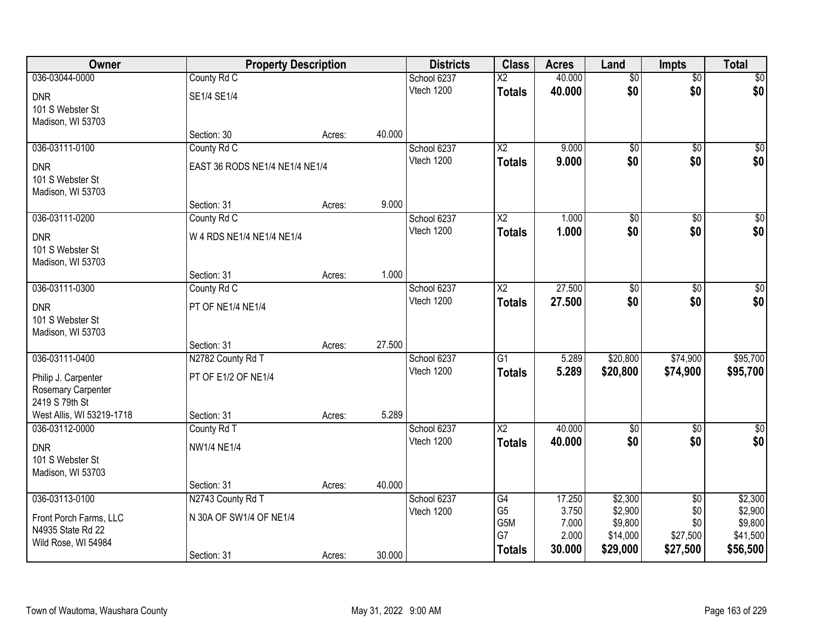| Owner                                 | <b>Property Description</b>    |        |        | <b>Districts</b>          | <b>Class</b>             | <b>Acres</b>    | Land               | <b>Impts</b>           | <b>Total</b>       |
|---------------------------------------|--------------------------------|--------|--------|---------------------------|--------------------------|-----------------|--------------------|------------------------|--------------------|
| 036-03044-0000                        | County Rd C                    |        |        | School 6237               | $\overline{\mathsf{x2}}$ | 40.000          | $\overline{60}$    | $\overline{60}$        | \$0                |
| <b>DNR</b>                            | SE1/4 SE1/4                    |        |        | Vtech 1200                | <b>Totals</b>            | 40.000          | \$0                | \$0                    | \$0                |
| 101 S Webster St                      |                                |        |        |                           |                          |                 |                    |                        |                    |
| Madison, WI 53703                     |                                |        |        |                           |                          |                 |                    |                        |                    |
|                                       | Section: 30                    | Acres: | 40.000 |                           |                          |                 |                    |                        |                    |
| 036-03111-0100                        | County Rd C                    |        |        | School 6237               | $\overline{\text{X2}}$   | 9.000           | $\overline{60}$    | $\overline{50}$        | \$0                |
| <b>DNR</b>                            | EAST 36 RODS NE1/4 NE1/4 NE1/4 |        |        | Vtech 1200                | <b>Totals</b>            | 9.000           | \$0                | \$0                    | \$0                |
| 101 S Webster St                      |                                |        |        |                           |                          |                 |                    |                        |                    |
| Madison, WI 53703                     |                                |        | 9.000  |                           |                          |                 |                    |                        |                    |
| 036-03111-0200                        | Section: 31<br>County Rd C     | Acres: |        | School 6237               | $\overline{\text{X2}}$   | 1.000           | $\overline{60}$    | $\overline{60}$        | $\overline{\$0}$   |
|                                       |                                |        |        | Vtech 1200                | <b>Totals</b>            | 1.000           | \$0                | \$0                    | \$0                |
| <b>DNR</b>                            | W 4 RDS NE1/4 NE1/4 NE1/4      |        |        |                           |                          |                 |                    |                        |                    |
| 101 S Webster St<br>Madison, WI 53703 |                                |        |        |                           |                          |                 |                    |                        |                    |
|                                       | Section: 31                    | Acres: | 1.000  |                           |                          |                 |                    |                        |                    |
| 036-03111-0300                        | County Rd C                    |        |        | School 6237               | $\overline{X2}$          | 27.500          | \$0                | \$0                    | $\sqrt{60}$        |
|                                       |                                |        |        | Vtech 1200                | <b>Totals</b>            | 27.500          | \$0                | \$0                    | \$0                |
| <b>DNR</b><br>101 S Webster St        | PT OF NE1/4 NE1/4              |        |        |                           |                          |                 |                    |                        |                    |
| Madison, WI 53703                     |                                |        |        |                           |                          |                 |                    |                        |                    |
|                                       | Section: 31                    | Acres: | 27.500 |                           |                          |                 |                    |                        |                    |
| 036-03111-0400                        | N2782 County Rd T              |        |        | School 6237               | $\overline{G1}$          | 5.289           | \$20,800           | \$74,900               | \$95,700           |
| Philip J. Carpenter                   | PT OF E1/2 OF NE1/4            |        |        | Vtech 1200                | <b>Totals</b>            | 5.289           | \$20,800           | \$74,900               | \$95,700           |
| Rosemary Carpenter                    |                                |        |        |                           |                          |                 |                    |                        |                    |
| 2419 S 79th St                        |                                |        |        |                           |                          |                 |                    |                        |                    |
| West Allis, WI 53219-1718             | Section: 31                    | Acres: | 5.289  |                           |                          |                 |                    |                        |                    |
| 036-03112-0000                        | County Rd T                    |        |        | School 6237               | $\overline{X2}$          | 40.000          | $\overline{50}$    | $\overline{50}$        | \$0                |
| <b>DNR</b>                            | <b>NW1/4 NE1/4</b>             |        |        | Vtech 1200                | <b>Totals</b>            | 40.000          | \$0                | \$0                    | \$0                |
| 101 S Webster St                      |                                |        |        |                           |                          |                 |                    |                        |                    |
| Madison, WI 53703                     |                                |        |        |                           |                          |                 |                    |                        |                    |
|                                       | Section: 31                    | Acres: | 40.000 |                           |                          |                 |                    |                        |                    |
| 036-03113-0100                        | N2743 County Rd T              |        |        | School 6237<br>Vtech 1200 | G4<br>G <sub>5</sub>     | 17.250<br>3.750 | \$2,300<br>\$2,900 | $\overline{50}$<br>\$0 | \$2,300<br>\$2,900 |
| Front Porch Farms, LLC                | N 30A OF SW1/4 OF NE1/4        |        |        |                           | G5M                      | 7.000           | \$9,800            | \$0                    | \$9,800            |
| N4935 State Rd 22                     |                                |        |        |                           | G7                       | 2.000           | \$14,000           | \$27,500               | \$41,500           |
| Wild Rose, WI 54984                   | Section: 31                    |        | 30.000 |                           | <b>Totals</b>            | 30.000          | \$29,000           | \$27,500               | \$56,500           |
|                                       |                                | Acres: |        |                           |                          |                 |                    |                        |                    |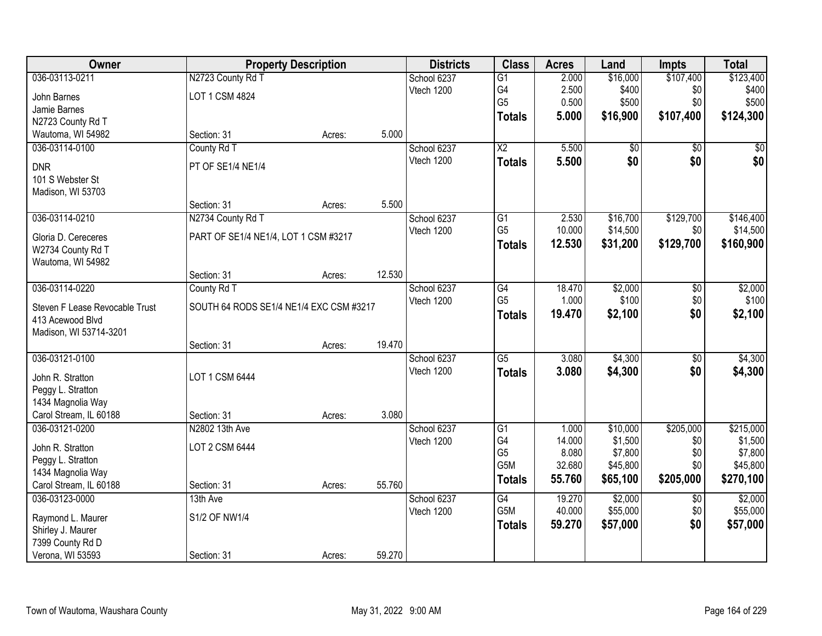| Owner                                       |                                         | <b>Property Description</b> |        | <b>Districts</b> | <b>Class</b>    | <b>Acres</b> | Land     | <b>Impts</b>    | <b>Total</b> |
|---------------------------------------------|-----------------------------------------|-----------------------------|--------|------------------|-----------------|--------------|----------|-----------------|--------------|
| 036-03113-0211                              | N2723 County Rd T                       |                             |        | School 6237      | $\overline{G1}$ | 2.000        | \$16,000 | \$107,400       | \$123,400    |
| John Barnes                                 | LOT 1 CSM 4824                          |                             |        | Vtech 1200       | G4              | 2.500        | \$400    | \$0             | \$400        |
| Jamie Barnes                                |                                         |                             |        |                  | G <sub>5</sub>  | 0.500        | \$500    | \$0             | \$500        |
| N2723 County Rd T                           |                                         |                             |        |                  | <b>Totals</b>   | 5.000        | \$16,900 | \$107,400       | \$124,300    |
| Wautoma, WI 54982                           | Section: 31                             | Acres:                      | 5.000  |                  |                 |              |          |                 |              |
| 036-03114-0100                              | County Rd T                             |                             |        | School 6237      | $\overline{X2}$ | 5.500        | \$0      | \$0             | \$0          |
| <b>DNR</b>                                  | PT OF SE1/4 NE1/4                       |                             |        | Vtech 1200       | <b>Totals</b>   | 5.500        | \$0      | \$0             | \$0          |
| 101 S Webster St                            |                                         |                             |        |                  |                 |              |          |                 |              |
| Madison, WI 53703                           |                                         |                             |        |                  |                 |              |          |                 |              |
|                                             | Section: 31                             | Acres:                      | 5.500  |                  |                 |              |          |                 |              |
| 036-03114-0210                              | N2734 County Rd T                       |                             |        | School 6237      | $\overline{G1}$ | 2.530        | \$16,700 | \$129,700       | \$146,400    |
| Gloria D. Cereceres                         | PART OF SE1/4 NE1/4, LOT 1 CSM #3217    |                             |        | Vtech 1200       | G <sub>5</sub>  | 10.000       | \$14,500 | \$0             | \$14,500     |
| W2734 County Rd T                           |                                         |                             |        |                  | <b>Totals</b>   | 12.530       | \$31,200 | \$129,700       | \$160,900    |
| Wautoma, WI 54982                           |                                         |                             |        |                  |                 |              |          |                 |              |
|                                             | Section: 31                             | Acres:                      | 12.530 |                  |                 |              |          |                 |              |
| 036-03114-0220                              | County Rd T                             |                             |        | School 6237      | G4              | 18.470       | \$2,000  | \$0             | \$2,000      |
| Steven F Lease Revocable Trust              | SOUTH 64 RODS SE1/4 NE1/4 EXC CSM #3217 |                             |        | Vtech 1200       | G <sub>5</sub>  | 1.000        | \$100    | \$0             | \$100        |
| 413 Acewood Blvd                            |                                         |                             |        |                  | <b>Totals</b>   | 19.470       | \$2,100  | \$0             | \$2,100      |
| Madison, WI 53714-3201                      |                                         |                             |        |                  |                 |              |          |                 |              |
|                                             | Section: 31                             | Acres:                      | 19.470 |                  |                 |              |          |                 |              |
| 036-03121-0100                              |                                         |                             |        | School 6237      | $\overline{G5}$ | 3.080        | \$4,300  | $\overline{50}$ | \$4,300      |
|                                             |                                         |                             |        | Vtech 1200       | <b>Totals</b>   | 3.080        | \$4,300  | \$0             | \$4,300      |
| John R. Stratton                            | LOT 1 CSM 6444                          |                             |        |                  |                 |              |          |                 |              |
| Peggy L. Stratton<br>1434 Magnolia Way      |                                         |                             |        |                  |                 |              |          |                 |              |
| Carol Stream, IL 60188                      | Section: 31                             | Acres:                      | 3.080  |                  |                 |              |          |                 |              |
| 036-03121-0200                              | N2802 13th Ave                          |                             |        | School 6237      | $\overline{G1}$ | 1.000        | \$10,000 | \$205,000       | \$215,000    |
|                                             |                                         |                             |        | Vtech 1200       | G4              | 14.000       | \$1,500  | \$0             | \$1,500      |
| John R. Stratton                            | LOT 2 CSM 6444                          |                             |        |                  | G <sub>5</sub>  | 8.080        | \$7,800  | \$0             | \$7,800      |
| Peggy L. Stratton                           |                                         |                             |        |                  | G5M             | 32.680       | \$45,800 | \$0             | \$45,800     |
| 1434 Magnolia Way<br>Carol Stream, IL 60188 | Section: 31                             | Acres:                      | 55.760 |                  | <b>Totals</b>   | 55.760       | \$65,100 | \$205,000       | \$270,100    |
| 036-03123-0000                              | 13th Ave                                |                             |        | School 6237      | G4              | 19.270       | \$2,000  | $\overline{50}$ | \$2,000      |
|                                             |                                         |                             |        | Vtech 1200       | G5M             | 40.000       | \$55,000 | \$0             | \$55,000     |
| Raymond L. Maurer                           | S1/2 OF NW1/4                           |                             |        |                  | <b>Totals</b>   | 59.270       | \$57,000 | \$0             | \$57,000     |
| Shirley J. Maurer                           |                                         |                             |        |                  |                 |              |          |                 |              |
| 7399 County Rd D                            |                                         |                             |        |                  |                 |              |          |                 |              |
| Verona, WI 53593                            | Section: 31                             | Acres:                      | 59.270 |                  |                 |              |          |                 |              |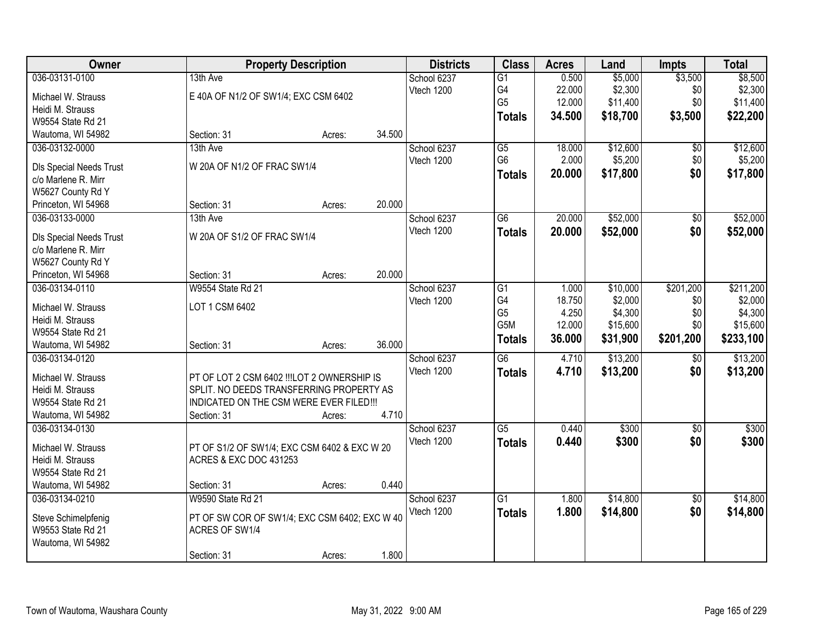| Owner                          |                                                                                   | <b>Property Description</b> |        | <b>Districts</b> | <b>Class</b>    | <b>Acres</b> | Land     | <b>Impts</b>    | <b>Total</b> |
|--------------------------------|-----------------------------------------------------------------------------------|-----------------------------|--------|------------------|-----------------|--------------|----------|-----------------|--------------|
| 036-03131-0100                 | 13th Ave                                                                          |                             |        | School 6237      | $\overline{G1}$ | 0.500        | \$5,000  | \$3,500         | \$8,500      |
| Michael W. Strauss             | E 40A OF N1/2 OF SW1/4; EXC CSM 6402                                              |                             |        | Vtech 1200       | G4              | 22.000       | \$2,300  | \$0             | \$2,300      |
| Heidi M. Strauss               |                                                                                   |                             |        |                  | G <sub>5</sub>  | 12.000       | \$11,400 | \$0             | \$11,400     |
| W9554 State Rd 21              |                                                                                   |                             |        |                  | <b>Totals</b>   | 34.500       | \$18,700 | \$3,500         | \$22,200     |
| Wautoma, WI 54982              | Section: 31                                                                       | Acres:                      | 34.500 |                  |                 |              |          |                 |              |
| 036-03132-0000                 | 13th Ave                                                                          |                             |        | School 6237      | $\overline{G5}$ | 18.000       | \$12,600 | \$0             | \$12,600     |
|                                |                                                                                   |                             |        | Vtech 1200       | G <sub>6</sub>  | 2.000        | \$5,200  | \$0             | \$5,200      |
| Dls Special Needs Trust        | W 20A OF N1/2 OF FRAC SW1/4                                                       |                             |        |                  | <b>Totals</b>   | 20.000       | \$17,800 | \$0             | \$17,800     |
| c/o Marlene R. Mirr            |                                                                                   |                             |        |                  |                 |              |          |                 |              |
| W5627 County Rd Y              |                                                                                   |                             |        |                  |                 |              |          |                 |              |
| Princeton, WI 54968            | Section: 31                                                                       | Acres:                      | 20.000 |                  |                 |              |          |                 |              |
| 036-03133-0000                 | 13th Ave                                                                          |                             |        | School 6237      | $\overline{G6}$ | 20.000       | \$52,000 | \$0             | \$52,000     |
| <b>DIs Special Needs Trust</b> | W 20A OF S1/2 OF FRAC SW1/4                                                       |                             |        | Vtech 1200       | <b>Totals</b>   | 20.000       | \$52,000 | \$0             | \$52,000     |
| c/o Marlene R. Mirr            |                                                                                   |                             |        |                  |                 |              |          |                 |              |
| W5627 County Rd Y              |                                                                                   |                             |        |                  |                 |              |          |                 |              |
| Princeton, WI 54968            | Section: 31                                                                       | Acres:                      | 20.000 |                  |                 |              |          |                 |              |
| 036-03134-0110                 | W9554 State Rd 21                                                                 |                             |        | School 6237      | G1              | 1.000        | \$10,000 | \$201,200       | \$211,200    |
|                                |                                                                                   |                             |        | Vtech 1200       | G4              | 18.750       | \$2,000  | \$0             | \$2,000      |
| Michael W. Strauss             | LOT 1 CSM 6402                                                                    |                             |        |                  | G <sub>5</sub>  | 4.250        | \$4,300  | \$0             | \$4,300      |
| Heidi M. Strauss               |                                                                                   |                             |        |                  | G5M             | 12.000       | \$15,600 | \$0             | \$15,600     |
| W9554 State Rd 21              |                                                                                   |                             |        |                  | <b>Totals</b>   | 36.000       | \$31,900 | \$201,200       | \$233,100    |
| Wautoma, WI 54982              | Section: 31                                                                       | Acres:                      | 36.000 |                  |                 |              |          |                 |              |
| 036-03134-0120                 |                                                                                   |                             |        | School 6237      | $\overline{G6}$ | 4.710        | \$13,200 | $\overline{60}$ | \$13,200     |
| Michael W. Strauss             | PT OF LOT 2 CSM 6402 !!!LOT 2 OWNERSHIP IS                                        |                             |        | Vtech 1200       | <b>Totals</b>   | 4.710        | \$13,200 | \$0             | \$13,200     |
| Heidi M. Strauss               | SPLIT. NO DEEDS TRANSFERRING PROPERTY AS                                          |                             |        |                  |                 |              |          |                 |              |
| W9554 State Rd 21              | INDICATED ON THE CSM WERE EVER FILED!!!                                           |                             |        |                  |                 |              |          |                 |              |
| Wautoma, WI 54982              | Section: 31                                                                       | Acres:                      | 4.710  |                  |                 |              |          |                 |              |
| 036-03134-0130                 |                                                                                   |                             |        | School 6237      | $\overline{G5}$ | 0.440        | \$300    | \$0             | \$300        |
| Michael W. Strauss             |                                                                                   |                             |        | Vtech 1200       | <b>Totals</b>   | 0.440        | \$300    | \$0             | \$300        |
| Heidi M. Strauss               | PT OF S1/2 OF SW1/4; EXC CSM 6402 & EXC W 20<br><b>ACRES &amp; EXC DOC 431253</b> |                             |        |                  |                 |              |          |                 |              |
| W9554 State Rd 21              |                                                                                   |                             |        |                  |                 |              |          |                 |              |
| Wautoma, WI 54982              | Section: 31                                                                       | Acres:                      | 0.440  |                  |                 |              |          |                 |              |
| 036-03134-0210                 | W9590 State Rd 21                                                                 |                             |        | School 6237      | $\overline{G1}$ | 1.800        | \$14,800 | $\overline{30}$ | \$14,800     |
|                                |                                                                                   |                             |        | Vtech 1200       |                 | 1.800        |          | \$0             |              |
| Steve Schimelpfenig            | PT OF SW COR OF SW1/4; EXC CSM 6402; EXC W 40                                     |                             |        |                  | <b>Totals</b>   |              | \$14,800 |                 | \$14,800     |
| W9553 State Rd 21              | ACRES OF SW1/4                                                                    |                             |        |                  |                 |              |          |                 |              |
| Wautoma, WI 54982              |                                                                                   |                             |        |                  |                 |              |          |                 |              |
|                                | Section: 31                                                                       | Acres:                      | 1.800  |                  |                 |              |          |                 |              |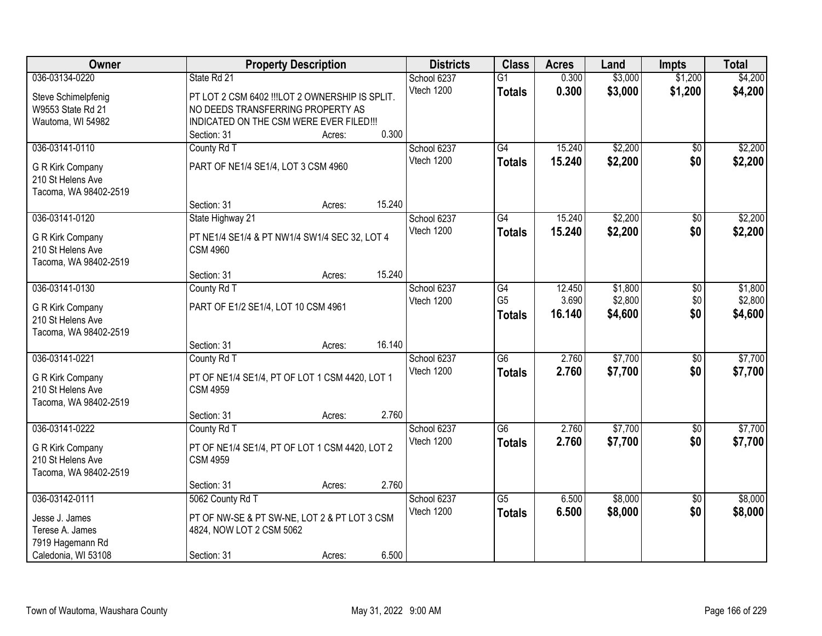| Owner                                 | <b>Property Description</b>                    |        |        | <b>Districts</b> | <b>Class</b>    | <b>Acres</b> | Land    | <b>Impts</b>        | <b>Total</b> |
|---------------------------------------|------------------------------------------------|--------|--------|------------------|-----------------|--------------|---------|---------------------|--------------|
| 036-03134-0220                        | State Rd 21                                    |        |        | School 6237      | $\overline{G1}$ | 0.300        | \$3,000 | \$1,200             | \$4,200      |
| Steve Schimelpfenig                   | PT LOT 2 CSM 6402 !!!LOT 2 OWNERSHIP IS SPLIT. |        |        | Vtech 1200       | <b>Totals</b>   | 0.300        | \$3,000 | \$1,200             | \$4,200      |
| W9553 State Rd 21                     | NO DEEDS TRANSFERRING PROPERTY AS              |        |        |                  |                 |              |         |                     |              |
| Wautoma, WI 54982                     | INDICATED ON THE CSM WERE EVER FILED!!!        |        |        |                  |                 |              |         |                     |              |
|                                       | Section: 31                                    | Acres: | 0.300  |                  |                 |              |         |                     |              |
| 036-03141-0110                        | County Rd T                                    |        |        | School 6237      | $\overline{G4}$ | 15.240       | \$2,200 | $\overline{50}$     | \$2,200      |
|                                       | PART OF NE1/4 SE1/4, LOT 3 CSM 4960            |        |        | Vtech 1200       | <b>Totals</b>   | 15.240       | \$2,200 | \$0                 | \$2,200      |
| G R Kirk Company<br>210 St Helens Ave |                                                |        |        |                  |                 |              |         |                     |              |
| Tacoma, WA 98402-2519                 |                                                |        |        |                  |                 |              |         |                     |              |
|                                       | Section: 31                                    | Acres: | 15.240 |                  |                 |              |         |                     |              |
| 036-03141-0120                        | State Highway 21                               |        |        | School 6237      | $\overline{G4}$ | 15.240       | \$2,200 | $\overline{50}$     | \$2,200      |
|                                       |                                                |        |        | Vtech 1200       | <b>Totals</b>   | 15.240       | \$2,200 | \$0                 | \$2,200      |
| G R Kirk Company                      | PT NE1/4 SE1/4 & PT NW1/4 SW1/4 SEC 32, LOT 4  |        |        |                  |                 |              |         |                     |              |
| 210 St Helens Ave                     | <b>CSM 4960</b>                                |        |        |                  |                 |              |         |                     |              |
| Tacoma, WA 98402-2519                 |                                                |        | 15.240 |                  |                 |              |         |                     |              |
| 036-03141-0130                        | Section: 31<br>County Rd T                     | Acres: |        | School 6237      | G4              | 12.450       | \$1,800 |                     | \$1,800      |
|                                       |                                                |        |        | Vtech 1200       | G <sub>5</sub>  | 3.690        | \$2,800 | $\sqrt[6]{}$<br>\$0 | \$2,800      |
| G R Kirk Company                      | PART OF E1/2 SE1/4, LOT 10 CSM 4961            |        |        |                  | <b>Totals</b>   | 16.140       | \$4,600 | \$0                 | \$4,600      |
| 210 St Helens Ave                     |                                                |        |        |                  |                 |              |         |                     |              |
| Tacoma, WA 98402-2519                 |                                                |        |        |                  |                 |              |         |                     |              |
|                                       | Section: 31                                    | Acres: | 16.140 |                  |                 |              |         |                     |              |
| 036-03141-0221                        | County Rd T                                    |        |        | School 6237      | $\overline{G6}$ | 2.760        | \$7,700 | $\overline{50}$     | \$7,700      |
| G R Kirk Company                      | PT OF NE1/4 SE1/4, PT OF LOT 1 CSM 4420, LOT 1 |        |        | Vtech 1200       | <b>Totals</b>   | 2.760        | \$7,700 | \$0                 | \$7,700      |
| 210 St Helens Ave                     | <b>CSM 4959</b>                                |        |        |                  |                 |              |         |                     |              |
| Tacoma, WA 98402-2519                 |                                                |        |        |                  |                 |              |         |                     |              |
|                                       | Section: 31                                    | Acres: | 2.760  |                  |                 |              |         |                     |              |
| 036-03141-0222                        | County Rd T                                    |        |        | School 6237      | $\overline{G6}$ | 2.760        | \$7,700 | $\sqrt{$0}$         | \$7,700      |
| G R Kirk Company                      | PT OF NE1/4 SE1/4, PT OF LOT 1 CSM 4420, LOT 2 |        |        | Vtech 1200       | <b>Totals</b>   | 2.760        | \$7,700 | \$0                 | \$7,700      |
| 210 St Helens Ave                     | <b>CSM 4959</b>                                |        |        |                  |                 |              |         |                     |              |
| Tacoma, WA 98402-2519                 |                                                |        |        |                  |                 |              |         |                     |              |
|                                       | Section: 31                                    | Acres: | 2.760  |                  |                 |              |         |                     |              |
| 036-03142-0111                        | 5062 County Rd T                               |        |        | School 6237      | $\overline{G5}$ | 6.500        | \$8,000 | $\overline{30}$     | \$8,000      |
|                                       |                                                |        |        | Vtech 1200       | <b>Totals</b>   | 6.500        | \$8,000 | \$0                 | \$8,000      |
| Jesse J. James                        | PT OF NW-SE & PT SW-NE, LOT 2 & PT LOT 3 CSM   |        |        |                  |                 |              |         |                     |              |
| Terese A. James<br>7919 Hagemann Rd   | 4824, NOW LOT 2 CSM 5062                       |        |        |                  |                 |              |         |                     |              |
| Caledonia, WI 53108                   | Section: 31                                    | Acres: | 6.500  |                  |                 |              |         |                     |              |
|                                       |                                                |        |        |                  |                 |              |         |                     |              |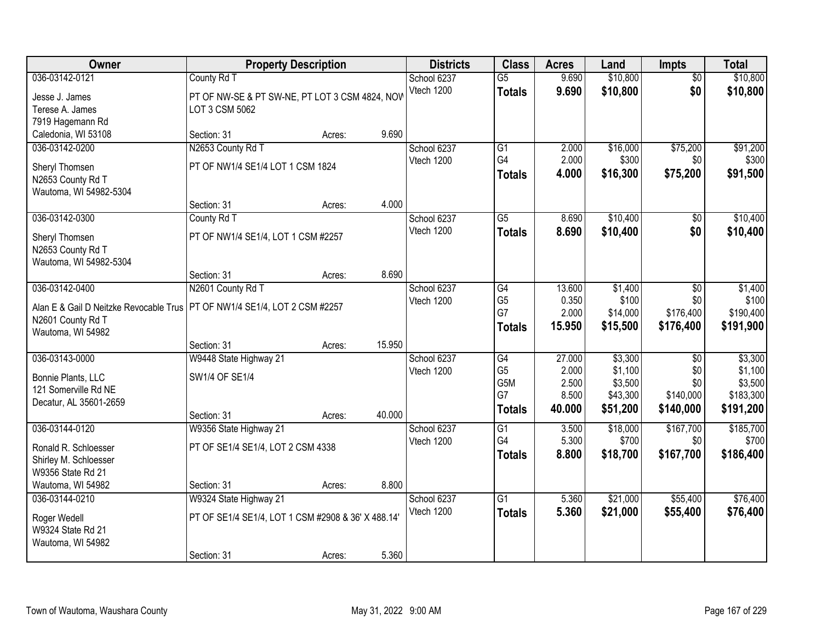| Owner                                                                                              |                                                                                             | <b>Property Description</b> |        | <b>Districts</b>          | <b>Class</b>                                                    | <b>Acres</b>                                | Land                                                  | Impts                                                   | <b>Total</b>                                            |
|----------------------------------------------------------------------------------------------------|---------------------------------------------------------------------------------------------|-----------------------------|--------|---------------------------|-----------------------------------------------------------------|---------------------------------------------|-------------------------------------------------------|---------------------------------------------------------|---------------------------------------------------------|
| 036-03142-0121<br>Jesse J. James<br>Terese A. James<br>7919 Hagemann Rd                            | County Rd T<br>PT OF NW-SE & PT SW-NE, PT LOT 3 CSM 4824, NOV<br>LOT 3 CSM 5062             |                             |        | School 6237<br>Vtech 1200 | $\overline{G5}$<br><b>Totals</b>                                | 9.690<br>9.690                              | \$10,800<br>\$10,800                                  | $\overline{50}$<br>\$0                                  | \$10,800<br>\$10,800                                    |
| Caledonia, WI 53108                                                                                | Section: 31                                                                                 | Acres:                      | 9.690  |                           |                                                                 |                                             |                                                       |                                                         |                                                         |
| 036-03142-0200<br>Sheryl Thomsen<br>N2653 County Rd T<br>Wautoma, WI 54982-5304                    | N2653 County Rd T<br>PT OF NW1/4 SE1/4 LOT 1 CSM 1824                                       |                             |        | School 6237<br>Vtech 1200 | $\overline{G1}$<br>G <sub>4</sub><br><b>Totals</b>              | 2.000<br>2.000<br>4.000                     | \$16,000<br>\$300<br>\$16,300                         | \$75,200<br>\$0<br>\$75,200                             | \$91,200<br>\$300<br>\$91,500                           |
|                                                                                                    | Section: 31                                                                                 | Acres:                      | 4.000  |                           |                                                                 |                                             |                                                       |                                                         |                                                         |
| 036-03142-0300<br>Sheryl Thomsen<br>N2653 County Rd T<br>Wautoma, WI 54982-5304                    | County Rd T<br>PT OF NW1/4 SE1/4, LOT 1 CSM #2257                                           |                             |        | School 6237<br>Vtech 1200 | G5<br><b>Totals</b>                                             | 8.690<br>8.690                              | \$10,400<br>\$10,400                                  | \$0<br>\$0                                              | \$10,400<br>\$10,400                                    |
|                                                                                                    | Section: 31                                                                                 | Acres:                      | 8.690  |                           |                                                                 |                                             |                                                       |                                                         |                                                         |
| 036-03142-0400<br>Alan E & Gail D Neitzke Revocable Trus<br>N2601 County Rd T<br>Wautoma, WI 54982 | N2601 County Rd T<br>PT OF NW1/4 SE1/4, LOT 2 CSM #2257                                     |                             |        | School 6237<br>Vtech 1200 | G4<br>G <sub>5</sub><br>G7<br><b>Totals</b>                     | 13.600<br>0.350<br>2.000<br>15.950          | \$1,400<br>\$100<br>\$14,000<br>\$15,500              | \$0<br>\$0<br>\$176,400<br>\$176,400                    | \$1,400<br>\$100<br>\$190,400<br>\$191,900              |
|                                                                                                    | Section: 31                                                                                 | Acres:                      | 15.950 |                           |                                                                 |                                             |                                                       |                                                         |                                                         |
| 036-03143-0000<br>Bonnie Plants, LLC<br>121 Somerville Rd NE<br>Decatur, AL 35601-2659             | W9448 State Highway 21<br>SW1/4 OF SE1/4<br>Section: 31                                     | Acres:                      | 40.000 | School 6237<br>Vtech 1200 | $\overline{G4}$<br>G <sub>5</sub><br>G5M<br>G7<br><b>Totals</b> | 27.000<br>2.000<br>2.500<br>8.500<br>40.000 | \$3,300<br>\$1,100<br>\$3,500<br>\$43,300<br>\$51,200 | $\overline{50}$<br>\$0<br>\$0<br>\$140,000<br>\$140,000 | \$3,300<br>\$1,100<br>\$3,500<br>\$183,300<br>\$191,200 |
| 036-03144-0120<br>Ronald R. Schloesser<br>Shirley M. Schloesser<br>W9356 State Rd 21               | W9356 State Highway 21<br>PT OF SE1/4 SE1/4, LOT 2 CSM 4338                                 |                             |        | School 6237<br>Vtech 1200 | G1<br>G4<br><b>Totals</b>                                       | 3.500<br>5.300<br>8.800                     | \$18,000<br>\$700<br>\$18,700                         | \$167,700<br>\$0<br>\$167,700                           | \$185,700<br>\$700<br>\$186,400                         |
| Wautoma, WI 54982                                                                                  | Section: 31                                                                                 | Acres:                      | 8.800  |                           |                                                                 |                                             |                                                       |                                                         |                                                         |
| 036-03144-0210<br>Roger Wedell<br>W9324 State Rd 21<br>Wautoma, WI 54982                           | W9324 State Highway 21<br>PT OF SE1/4 SE1/4, LOT 1 CSM #2908 & 36' X 488.14'<br>Section: 31 | Acres:                      | 5.360  | School 6237<br>Vtech 1200 | $\overline{G1}$<br><b>Totals</b>                                | 5.360<br>5.360                              | \$21,000<br>\$21,000                                  | \$55,400<br>\$55,400                                    | \$76,400<br>\$76,400                                    |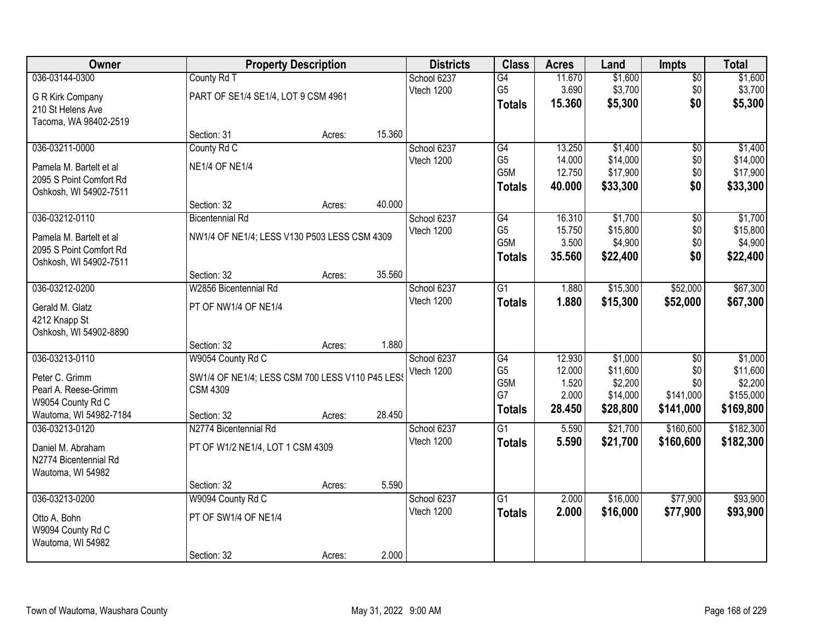| Owner                   |                                                 | <b>Property Description</b> |        | <b>Districts</b> | <b>Class</b>     | <b>Acres</b>   | Land                | <b>Impts</b>     | <b>Total</b>         |
|-------------------------|-------------------------------------------------|-----------------------------|--------|------------------|------------------|----------------|---------------------|------------------|----------------------|
| 036-03144-0300          | County Rd T                                     |                             |        | School 6237      | G4               | 11.670         | \$1,600             | $\overline{50}$  | \$1,600              |
| G R Kirk Company        | PART OF SE1/4 SE1/4, LOT 9 CSM 4961             |                             |        | Vtech 1200       | G <sub>5</sub>   | 3.690          | \$3,700             | \$0              | \$3,700              |
| 210 St Helens Ave       |                                                 |                             |        |                  | <b>Totals</b>    | 15.360         | \$5,300             | \$0              | \$5,300              |
| Tacoma, WA 98402-2519   |                                                 |                             |        |                  |                  |                |                     |                  |                      |
|                         | Section: 31                                     | Acres:                      | 15.360 |                  |                  |                |                     |                  |                      |
| 036-03211-0000          | County Rd C                                     |                             |        | School 6237      | G4               | 13.250         | \$1,400             | $\overline{50}$  | \$1,400              |
| Pamela M. Bartelt et al | <b>NE1/4 OF NE1/4</b>                           |                             |        | Vtech 1200       | G <sub>5</sub>   | 14.000         | \$14,000            | \$0              | \$14,000             |
| 2095 S Point Comfort Rd |                                                 |                             |        |                  | G <sub>5</sub> M | 12.750         | \$17,900            | \$0              | \$17,900             |
| Oshkosh, WI 54902-7511  |                                                 |                             |        |                  | <b>Totals</b>    | 40.000         | \$33,300            | \$0              | \$33,300             |
|                         | Section: 32                                     | Acres:                      | 40.000 |                  |                  |                |                     |                  |                      |
| 036-03212-0110          | <b>Bicentennial Rd</b>                          |                             |        | School 6237      | G4               | 16.310         | \$1,700             | \$0              | \$1,700              |
| Pamela M. Bartelt et al | NW1/4 OF NE1/4; LESS V130 P503 LESS CSM 4309    |                             |        | Vtech 1200       | G <sub>5</sub>   | 15.750         | \$15,800            | \$0              | \$15,800             |
| 2095 S Point Comfort Rd |                                                 |                             |        |                  | G5M              | 3.500          | \$4,900             | \$0              | \$4,900              |
| Oshkosh, WI 54902-7511  |                                                 |                             |        |                  | <b>Totals</b>    | 35.560         | \$22,400            | \$0              | \$22,400             |
|                         | Section: 32                                     | Acres:                      | 35.560 |                  |                  |                |                     |                  |                      |
| 036-03212-0200          | W2856 Bicentennial Rd                           |                             |        | School 6237      | $\overline{G1}$  | 1.880          | \$15,300            | \$52,000         | \$67,300             |
| Gerald M. Glatz         | PT OF NW1/4 OF NE1/4                            |                             |        | Vtech 1200       | <b>Totals</b>    | 1.880          | \$15,300            | \$52,000         | \$67,300             |
| 4212 Knapp St           |                                                 |                             |        |                  |                  |                |                     |                  |                      |
| Oshkosh, WI 54902-8890  |                                                 |                             |        |                  |                  |                |                     |                  |                      |
|                         | Section: 32                                     | Acres:                      | 1.880  |                  |                  |                |                     |                  |                      |
| 036-03213-0110          | W9054 County Rd C                               |                             |        | School 6237      | G4               | 12.930         | \$1,000             | $\overline{50}$  | \$1,000              |
| Peter C. Grimm          | SW1/4 OF NE1/4; LESS CSM 700 LESS V110 P45 LESS |                             |        | Vtech 1200       | G <sub>5</sub>   | 12.000         | \$11,600            | \$0              | \$11,600             |
| Pearl A. Reese-Grimm    | <b>CSM 4309</b>                                 |                             |        |                  | G5M<br>G7        | 1.520<br>2.000 | \$2,200<br>\$14,000 | \$0<br>\$141,000 | \$2,200<br>\$155,000 |
| W9054 County Rd C       |                                                 |                             |        |                  | <b>Totals</b>    | 28.450         | \$28,800            | \$141,000        | \$169,800            |
| Wautoma, WI 54982-7184  | Section: 32                                     | Acres:                      | 28.450 |                  |                  |                |                     |                  |                      |
| 036-03213-0120          | N2774 Bicentennial Rd                           |                             |        | School 6237      | $\overline{G1}$  | 5.590          | \$21,700            | \$160,600        | \$182,300            |
| Daniel M. Abraham       | PT OF W1/2 NE1/4, LOT 1 CSM 4309                |                             |        | Vtech 1200       | <b>Totals</b>    | 5.590          | \$21,700            | \$160,600        | \$182,300            |
| N2774 Bicentennial Rd   |                                                 |                             |        |                  |                  |                |                     |                  |                      |
| Wautoma, WI 54982       |                                                 |                             |        |                  |                  |                |                     |                  |                      |
|                         | Section: 32                                     | Acres:                      | 5.590  |                  |                  |                |                     |                  |                      |
| 036-03213-0200          | W9094 County Rd C                               |                             |        | School 6237      | $\overline{G1}$  | 2.000          | \$16,000            | \$77,900         | \$93,900             |
| Otto A. Bohn            | PT OF SW1/4 OF NE1/4                            |                             |        | Vtech 1200       | <b>Totals</b>    | 2.000          | \$16,000            | \$77,900         | \$93,900             |
| W9094 County Rd C       |                                                 |                             |        |                  |                  |                |                     |                  |                      |
| Wautoma, WI 54982       |                                                 |                             |        |                  |                  |                |                     |                  |                      |
|                         | Section: 32                                     | Acres:                      | 2.000  |                  |                  |                |                     |                  |                      |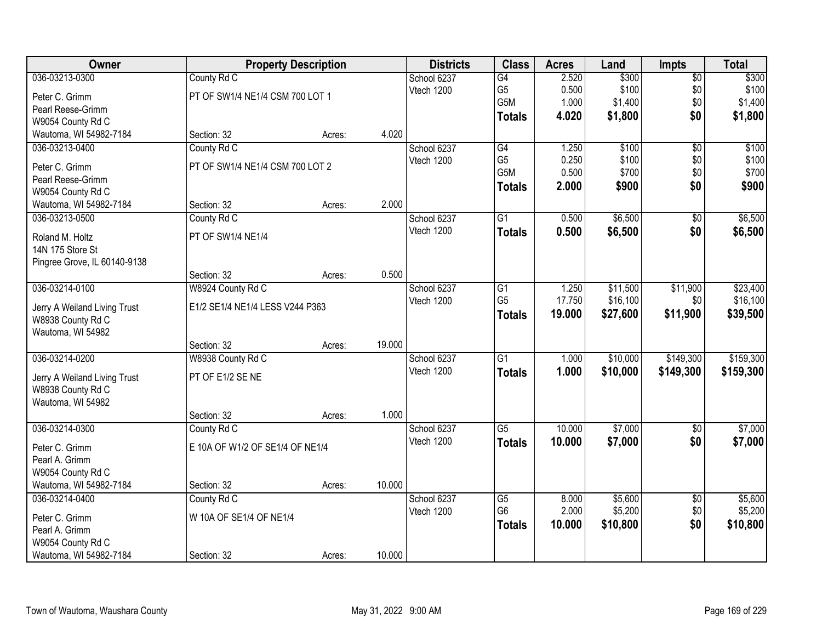| Owner                                  |                                 | <b>Property Description</b> |        | <b>Districts</b>          | <b>Class</b>    | <b>Acres</b> | Land     | <b>Impts</b>       | <b>Total</b> |
|----------------------------------------|---------------------------------|-----------------------------|--------|---------------------------|-----------------|--------------|----------|--------------------|--------------|
| 036-03213-0300                         | County Rd C                     |                             |        | School 6237               | G4              | 2.520        | \$300    | $\overline{50}$    | \$300        |
| Peter C. Grimm                         | PT OF SW1/4 NE1/4 CSM 700 LOT 1 |                             |        | Vtech 1200                | G <sub>5</sub>  | 0.500        | \$100    | \$0                | \$100        |
| Pearl Reese-Grimm                      |                                 |                             |        |                           | G5M             | 1.000        | \$1,400  | \$0                | \$1,400      |
| W9054 County Rd C                      |                                 |                             |        |                           | <b>Totals</b>   | 4.020        | \$1,800  | \$0                | \$1,800      |
| Wautoma, WI 54982-7184                 | Section: 32                     | Acres:                      | 4.020  |                           |                 |              |          |                    |              |
| 036-03213-0400                         | County Rd C                     |                             |        | School 6237               | G4              | 1.250        | \$100    | $\overline{50}$    | \$100        |
| Peter C. Grimm                         | PT OF SW1/4 NE1/4 CSM 700 LOT 2 |                             |        | Vtech 1200                | G <sub>5</sub>  | 0.250        | \$100    | \$0                | \$100        |
| Pearl Reese-Grimm                      |                                 |                             |        |                           | G5M             | 0.500        | \$700    | \$0                | \$700        |
| W9054 County Rd C                      |                                 |                             |        |                           | <b>Totals</b>   | 2.000        | \$900    | \$0                | \$900        |
| Wautoma, WI 54982-7184                 | Section: 32                     | Acres:                      | 2.000  |                           |                 |              |          |                    |              |
| 036-03213-0500                         | County Rd C                     |                             |        | School 6237               | $\overline{G1}$ | 0.500        | \$6,500  | $\overline{50}$    | \$6,500      |
| Roland M. Holtz                        | PT OF SW1/4 NE1/4               |                             |        | Vtech 1200                | <b>Totals</b>   | 0.500        | \$6,500  | \$0                | \$6,500      |
| 14N 175 Store St                       |                                 |                             |        |                           |                 |              |          |                    |              |
| Pingree Grove, IL 60140-9138           |                                 |                             |        |                           |                 |              |          |                    |              |
|                                        | Section: 32                     | Acres:                      | 0.500  |                           |                 |              |          |                    |              |
| 036-03214-0100                         | W8924 County Rd C               |                             |        | School 6237               | G1              | 1.250        | \$11,500 | \$11,900           | \$23,400     |
|                                        |                                 |                             |        | Vtech 1200                | G <sub>5</sub>  | 17.750       | \$16,100 | \$0                | \$16,100     |
| Jerry A Weiland Living Trust           | E1/2 SE1/4 NE1/4 LESS V244 P363 |                             |        |                           | <b>Totals</b>   | 19.000       | \$27,600 | \$11,900           | \$39,500     |
| W8938 County Rd C<br>Wautoma, WI 54982 |                                 |                             |        |                           |                 |              |          |                    |              |
|                                        | Section: 32                     | Acres:                      | 19.000 |                           |                 |              |          |                    |              |
| 036-03214-0200                         | W8938 County Rd C               |                             |        | School 6237               | $\overline{G1}$ | 1.000        | \$10,000 | \$149,300          | \$159,300    |
|                                        |                                 |                             |        | Vtech 1200                | <b>Totals</b>   | 1.000        | \$10,000 | \$149,300          | \$159,300    |
| Jerry A Weiland Living Trust           | PT OF E1/2 SE NE                |                             |        |                           |                 |              |          |                    |              |
| W8938 County Rd C                      |                                 |                             |        |                           |                 |              |          |                    |              |
| Wautoma, WI 54982                      |                                 |                             |        |                           |                 |              |          |                    |              |
|                                        | Section: 32                     | Acres:                      | 1.000  |                           | $\overline{G5}$ | 10.000       |          |                    |              |
| 036-03214-0300                         | County Rd C                     |                             |        | School 6237<br>Vtech 1200 |                 | 10.000       | \$7,000  | $\sqrt{$0}$<br>\$0 | \$7,000      |
| Peter C. Grimm                         | E 10A OF W1/2 OF SE1/4 OF NE1/4 |                             |        |                           | <b>Totals</b>   |              | \$7,000  |                    | \$7,000      |
| Pearl A. Grimm                         |                                 |                             |        |                           |                 |              |          |                    |              |
| W9054 County Rd C                      |                                 |                             |        |                           |                 |              |          |                    |              |
| Wautoma, WI 54982-7184                 | Section: 32                     | Acres:                      | 10.000 |                           |                 |              |          |                    |              |
| 036-03214-0400                         | County Rd C                     |                             |        | School 6237               | $\overline{G5}$ | 8.000        | \$5,600  | $\overline{50}$    | \$5,600      |
| Peter C. Grimm                         | W 10A OF SE1/4 OF NE1/4         |                             |        | Vtech 1200                | G <sub>6</sub>  | 2.000        | \$5,200  | \$0                | \$5,200      |
| Pearl A. Grimm                         |                                 |                             |        |                           | <b>Totals</b>   | 10.000       | \$10,800 | \$0                | \$10,800     |
| W9054 County Rd C                      |                                 |                             |        |                           |                 |              |          |                    |              |
| Wautoma, WI 54982-7184                 | Section: 32                     | Acres:                      | 10.000 |                           |                 |              |          |                    |              |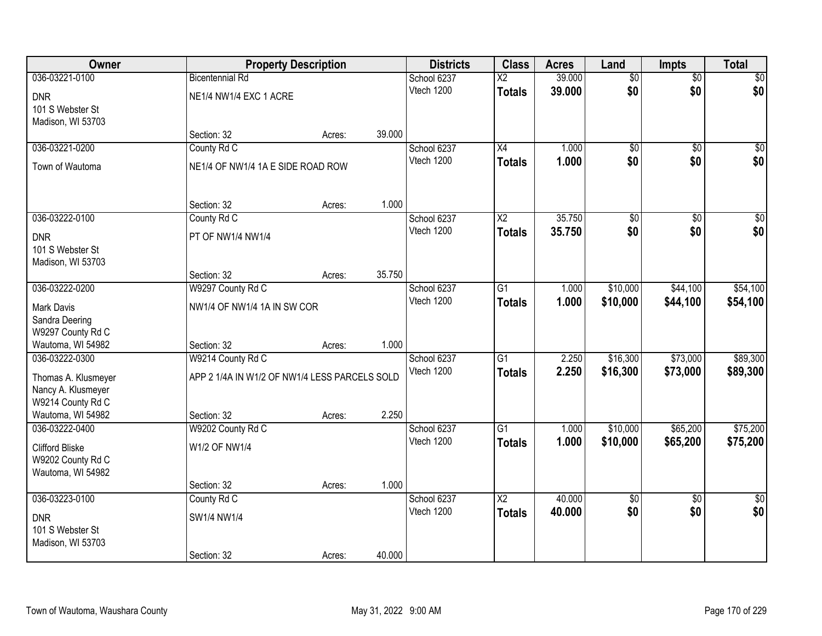| Owner                               |                                               | <b>Property Description</b> |        | <b>Districts</b>          | <b>Class</b>             | <b>Acres</b> | Land            | Impts           | <b>Total</b>    |
|-------------------------------------|-----------------------------------------------|-----------------------------|--------|---------------------------|--------------------------|--------------|-----------------|-----------------|-----------------|
| 036-03221-0100                      | <b>Bicentennial Rd</b>                        |                             |        | School 6237               | $\overline{\mathsf{X2}}$ | 39.000       | $\overline{50}$ | $\overline{50}$ | \$0             |
| <b>DNR</b>                          | NE1/4 NW1/4 EXC 1 ACRE                        |                             |        | Vtech 1200                | <b>Totals</b>            | 39.000       | \$0             | \$0             | \$0             |
| 101 S Webster St                    |                                               |                             |        |                           |                          |              |                 |                 |                 |
| Madison, WI 53703                   |                                               |                             |        |                           |                          |              |                 |                 |                 |
|                                     | Section: 32                                   | Acres:                      | 39.000 |                           |                          |              |                 |                 |                 |
| 036-03221-0200                      | County Rd C                                   |                             |        | School 6237               | $\overline{X4}$          | 1.000        | $\overline{50}$ | $\overline{50}$ | $\sqrt{50}$     |
| Town of Wautoma                     | NE1/4 OF NW1/4 1A E SIDE ROAD ROW             |                             |        | Vtech 1200                | <b>Totals</b>            | 1.000        | \$0             | \$0             | \$0             |
|                                     |                                               |                             | 1.000  |                           |                          |              |                 |                 |                 |
| 036-03222-0100                      | Section: 32                                   | Acres:                      |        |                           | $\overline{\text{X2}}$   | 35.750       |                 | $\overline{50}$ | $\sqrt{50}$     |
|                                     | County Rd C                                   |                             |        | School 6237<br>Vtech 1200 |                          | 35.750       | \$0<br>\$0      | \$0             | \$0             |
| <b>DNR</b>                          | PT OF NW1/4 NW1/4                             |                             |        |                           | <b>Totals</b>            |              |                 |                 |                 |
| 101 S Webster St                    |                                               |                             |        |                           |                          |              |                 |                 |                 |
| Madison, WI 53703                   |                                               |                             |        |                           |                          |              |                 |                 |                 |
| 036-03222-0200                      | Section: 32<br>W9297 County Rd C              | Acres:                      | 35.750 | School 6237               | G1                       | 1.000        | \$10,000        | \$44,100        | \$54,100        |
|                                     |                                               |                             |        | Vtech 1200                |                          | 1.000        | \$10,000        | \$44,100        | \$54,100        |
| <b>Mark Davis</b>                   | NW1/4 OF NW1/4 1A IN SW COR                   |                             |        |                           | <b>Totals</b>            |              |                 |                 |                 |
| Sandra Deering                      |                                               |                             |        |                           |                          |              |                 |                 |                 |
| W9297 County Rd C                   |                                               |                             | 1.000  |                           |                          |              |                 |                 |                 |
| Wautoma, WI 54982<br>036-03222-0300 | Section: 32<br>W9214 County Rd C              | Acres:                      |        | School 6237               | $\overline{G1}$          | 2.250        | \$16,300        | \$73,000        | \$89,300        |
|                                     |                                               |                             |        | Vtech 1200                |                          | 2.250        | \$16,300        | \$73,000        | \$89,300        |
| Thomas A. Klusmeyer                 | APP 2 1/4A IN W1/2 OF NW1/4 LESS PARCELS SOLD |                             |        |                           | <b>Totals</b>            |              |                 |                 |                 |
| Nancy A. Klusmeyer                  |                                               |                             |        |                           |                          |              |                 |                 |                 |
| W9214 County Rd C                   |                                               |                             |        |                           |                          |              |                 |                 |                 |
| Wautoma, WI 54982<br>036-03222-0400 | Section: 32<br>W9202 County Rd C              | Acres:                      | 2.250  | School 6237               | $\overline{G1}$          | 1.000        | \$10,000        | \$65,200        | \$75,200        |
|                                     |                                               |                             |        | Vtech 1200                | <b>Totals</b>            | 1.000        | \$10,000        | \$65,200        | \$75,200        |
| <b>Clifford Bliske</b>              | W1/2 OF NW1/4                                 |                             |        |                           |                          |              |                 |                 |                 |
| W9202 County Rd C                   |                                               |                             |        |                           |                          |              |                 |                 |                 |
| Wautoma, WI 54982                   | Section: 32                                   |                             | 1.000  |                           |                          |              |                 |                 |                 |
| 036-03223-0100                      | County Rd C                                   | Acres:                      |        | School 6237               | $\overline{\mathsf{X2}}$ | 40.000       | \$0             | $\overline{50}$ | $\overline{50}$ |
|                                     |                                               |                             |        | Vtech 1200                | <b>Totals</b>            | 40.000       | \$0             | \$0             | \$0             |
| <b>DNR</b>                          | SW1/4 NW1/4                                   |                             |        |                           |                          |              |                 |                 |                 |
| 101 S Webster St                    |                                               |                             |        |                           |                          |              |                 |                 |                 |
| Madison, WI 53703                   | Section: 32                                   | Acres:                      | 40.000 |                           |                          |              |                 |                 |                 |
|                                     |                                               |                             |        |                           |                          |              |                 |                 |                 |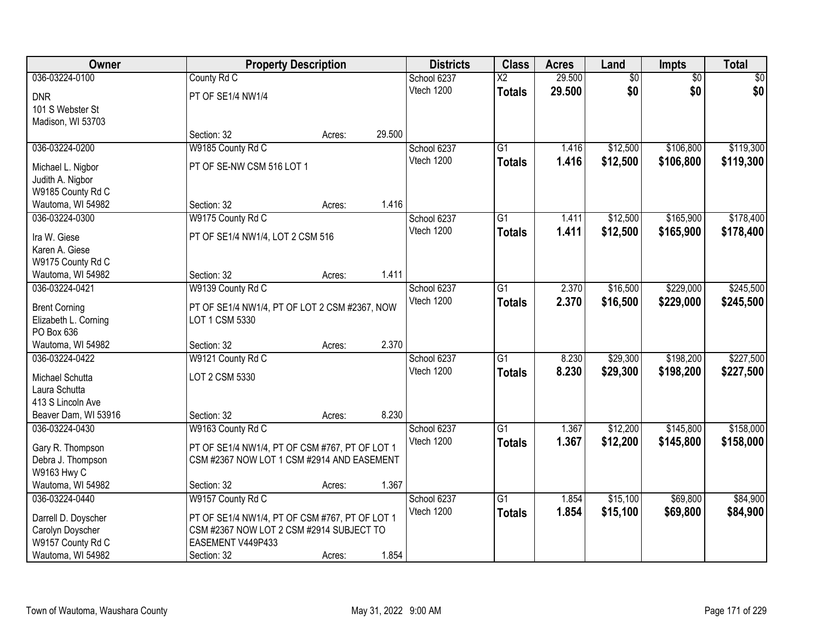| Owner                                   | <b>Property Description</b>                    |        |        | <b>Districts</b> | <b>Class</b>           | <b>Acres</b> | Land            | Impts           | <b>Total</b> |
|-----------------------------------------|------------------------------------------------|--------|--------|------------------|------------------------|--------------|-----------------|-----------------|--------------|
| 036-03224-0100                          | County Rd C                                    |        |        | School 6237      | $\overline{\text{X2}}$ | 29.500       | $\overline{50}$ | $\overline{50}$ | \$0          |
| <b>DNR</b>                              | PT OF SE1/4 NW1/4                              |        |        | Vtech 1200       | <b>Totals</b>          | 29.500       | \$0             | \$0             | \$0          |
| 101 S Webster St                        |                                                |        |        |                  |                        |              |                 |                 |              |
| Madison, WI 53703                       |                                                |        |        |                  |                        |              |                 |                 |              |
|                                         | Section: 32                                    | Acres: | 29.500 |                  |                        |              |                 |                 |              |
| 036-03224-0200                          | W9185 County Rd C                              |        |        | School 6237      | $\overline{G1}$        | 1.416        | \$12,500        | \$106,800       | \$119,300    |
| Michael L. Nigbor                       | PT OF SE-NW CSM 516 LOT 1                      |        |        | Vtech 1200       | <b>Totals</b>          | 1.416        | \$12,500        | \$106,800       | \$119,300    |
| Judith A. Nigbor                        |                                                |        |        |                  |                        |              |                 |                 |              |
| W9185 County Rd C                       |                                                |        |        |                  |                        |              |                 |                 |              |
| Wautoma, WI 54982                       | Section: 32                                    | Acres: | 1.416  |                  |                        |              |                 |                 |              |
| 036-03224-0300                          | W9175 County Rd C                              |        |        | School 6237      | $\overline{G1}$        | 1.411        | \$12,500        | \$165,900       | \$178,400    |
|                                         |                                                |        |        | Vtech 1200       | <b>Totals</b>          | 1.411        | \$12,500        | \$165,900       | \$178,400    |
| Ira W. Giese<br>Karen A. Giese          | PT OF SE1/4 NW1/4, LOT 2 CSM 516               |        |        |                  |                        |              |                 |                 |              |
| W9175 County Rd C                       |                                                |        |        |                  |                        |              |                 |                 |              |
| Wautoma, WI 54982                       | Section: 32                                    | Acres: | 1.411  |                  |                        |              |                 |                 |              |
| 036-03224-0421                          | W9139 County Rd C                              |        |        | School 6237      | $\overline{G1}$        | 2.370        | \$16,500        | \$229,000       | \$245,500    |
|                                         |                                                |        |        | Vtech 1200       | <b>Totals</b>          | 2.370        | \$16,500        | \$229,000       | \$245,500    |
| <b>Brent Corning</b>                    | PT OF SE1/4 NW1/4, PT OF LOT 2 CSM #2367, NOW  |        |        |                  |                        |              |                 |                 |              |
| Elizabeth L. Corning                    | LOT 1 CSM 5330                                 |        |        |                  |                        |              |                 |                 |              |
| PO Box 636                              |                                                |        |        |                  |                        |              |                 |                 |              |
| Wautoma, WI 54982                       | Section: 32                                    | Acres: | 2.370  |                  |                        |              |                 |                 |              |
| 036-03224-0422                          | W9121 County Rd C                              |        |        | School 6237      | $\overline{G1}$        | 8.230        | \$29,300        | \$198,200       | \$227,500    |
| Michael Schutta                         | LOT 2 CSM 5330                                 |        |        | Vtech 1200       | <b>Totals</b>          | 8.230        | \$29,300        | \$198,200       | \$227,500    |
| Laura Schutta                           |                                                |        |        |                  |                        |              |                 |                 |              |
| 413 S Lincoln Ave                       |                                                |        |        |                  |                        |              |                 |                 |              |
| Beaver Dam, WI 53916                    | Section: 32                                    | Acres: | 8.230  |                  |                        |              |                 |                 |              |
| 036-03224-0430                          | W9163 County Rd C                              |        |        | School 6237      | G1                     | 1.367        | \$12,200        | \$145,800       | \$158,000    |
| Gary R. Thompson                        | PT OF SE1/4 NW1/4, PT OF CSM #767, PT OF LOT 1 |        |        | Vtech 1200       | <b>Totals</b>          | 1.367        | \$12,200        | \$145,800       | \$158,000    |
| Debra J. Thompson                       | CSM #2367 NOW LOT 1 CSM #2914 AND EASEMENT     |        |        |                  |                        |              |                 |                 |              |
| W9163 Hwy C                             |                                                |        |        |                  |                        |              |                 |                 |              |
| Wautoma, WI 54982                       | Section: 32                                    | Acres: | 1.367  |                  |                        |              |                 |                 |              |
| 036-03224-0440                          | W9157 County Rd C                              |        |        | School 6237      | $\overline{G1}$        | 1.854        | \$15,100        | \$69,800        | \$84,900     |
|                                         | PT OF SE1/4 NW1/4, PT OF CSM #767, PT OF LOT 1 |        |        | Vtech 1200       | <b>Totals</b>          | 1.854        | \$15,100        | \$69,800        | \$84,900     |
| Darrell D. Doyscher<br>Carolyn Doyscher | CSM #2367 NOW LOT 2 CSM #2914 SUBJECT TO       |        |        |                  |                        |              |                 |                 |              |
| W9157 County Rd C                       | EASEMENT V449P433                              |        |        |                  |                        |              |                 |                 |              |
| Wautoma, WI 54982                       | Section: 32                                    | Acres: | 1.854  |                  |                        |              |                 |                 |              |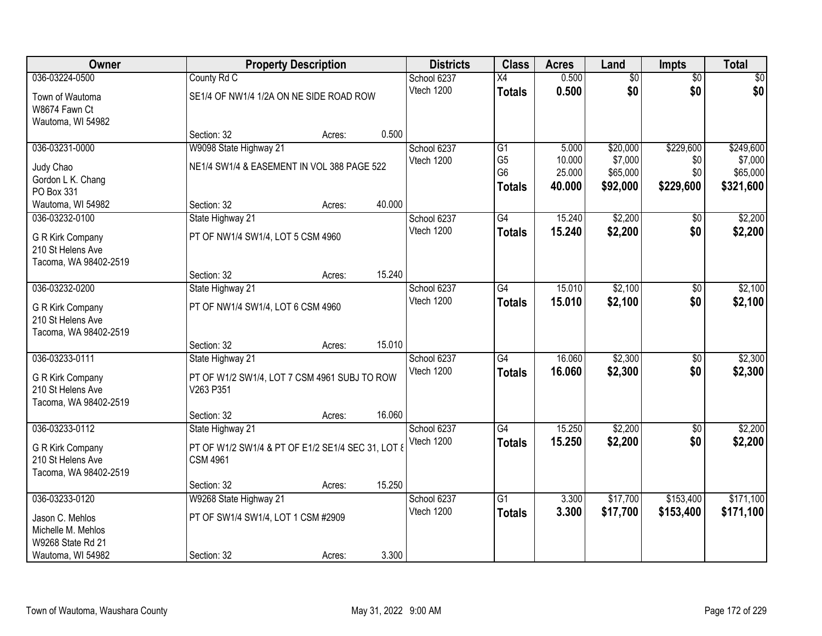| Owner                 |                                                   | <b>Property Description</b> |        | <b>Districts</b> | <b>Class</b>    | <b>Acres</b> | Land            | Impts           | <b>Total</b> |
|-----------------------|---------------------------------------------------|-----------------------------|--------|------------------|-----------------|--------------|-----------------|-----------------|--------------|
| 036-03224-0500        | County Rd C                                       |                             |        | School 6237      | X4              | 0.500        | $\overline{50}$ | $\overline{50}$ | \$0          |
| Town of Wautoma       | SE1/4 OF NW1/4 1/2A ON NE SIDE ROAD ROW           |                             |        | Vtech 1200       | <b>Totals</b>   | 0.500        | \$0             | \$0             | \$0          |
| W8674 Fawn Ct         |                                                   |                             |        |                  |                 |              |                 |                 |              |
| Wautoma, WI 54982     |                                                   |                             |        |                  |                 |              |                 |                 |              |
|                       | Section: 32                                       | Acres:                      | 0.500  |                  |                 |              |                 |                 |              |
| 036-03231-0000        | W9098 State Highway 21                            |                             |        | School 6237      | $\overline{G1}$ | 5.000        | \$20,000        | \$229,600       | \$249,600    |
| Judy Chao             | NE1/4 SW1/4 & EASEMENT IN VOL 388 PAGE 522        |                             |        | Vtech 1200       | G <sub>5</sub>  | 10.000       | \$7,000         | \$0             | \$7,000      |
| Gordon L K. Chang     |                                                   |                             |        |                  | G <sub>6</sub>  | 25.000       | \$65,000        | \$0             | \$65,000     |
| PO Box 331            |                                                   |                             |        |                  | <b>Totals</b>   | 40.000       | \$92,000        | \$229,600       | \$321,600    |
| Wautoma, WI 54982     | Section: 32                                       | Acres:                      | 40.000 |                  |                 |              |                 |                 |              |
| 036-03232-0100        | State Highway 21                                  |                             |        | School 6237      | G4              | 15.240       | \$2,200         | \$0             | \$2,200      |
| G R Kirk Company      | PT OF NW1/4 SW1/4, LOT 5 CSM 4960                 |                             |        | Vtech 1200       | <b>Totals</b>   | 15.240       | \$2,200         | \$0             | \$2,200      |
| 210 St Helens Ave     |                                                   |                             |        |                  |                 |              |                 |                 |              |
| Tacoma, WA 98402-2519 |                                                   |                             |        |                  |                 |              |                 |                 |              |
|                       | Section: 32                                       | Acres:                      | 15.240 |                  |                 |              |                 |                 |              |
| 036-03232-0200        | State Highway 21                                  |                             |        | School 6237      | G4              | 15.010       | \$2,100         | \$0             | \$2,100      |
| G R Kirk Company      | PT OF NW1/4 SW1/4, LOT 6 CSM 4960                 |                             |        | Vtech 1200       | <b>Totals</b>   | 15.010       | \$2,100         | \$0             | \$2,100      |
| 210 St Helens Ave     |                                                   |                             |        |                  |                 |              |                 |                 |              |
| Tacoma, WA 98402-2519 |                                                   |                             |        |                  |                 |              |                 |                 |              |
|                       | Section: 32                                       | Acres:                      | 15.010 |                  |                 |              |                 |                 |              |
| 036-03233-0111        | State Highway 21                                  |                             |        | School 6237      | $\overline{G4}$ | 16.060       | \$2,300         | $\overline{50}$ | \$2,300      |
| G R Kirk Company      | PT OF W1/2 SW1/4, LOT 7 CSM 4961 SUBJ TO ROW      |                             |        | Vtech 1200       | <b>Totals</b>   | 16.060       | \$2,300         | \$0             | \$2,300      |
| 210 St Helens Ave     | V263 P351                                         |                             |        |                  |                 |              |                 |                 |              |
| Tacoma, WA 98402-2519 |                                                   |                             |        |                  |                 |              |                 |                 |              |
|                       | Section: 32                                       | Acres:                      | 16.060 |                  |                 |              |                 |                 |              |
| 036-03233-0112        | State Highway 21                                  |                             |        | School 6237      | G4              | 15.250       | \$2,200         | $\overline{50}$ | \$2,200      |
| G R Kirk Company      | PT OF W1/2 SW1/4 & PT OF E1/2 SE1/4 SEC 31, LOT 8 |                             |        | Vtech 1200       | <b>Totals</b>   | 15.250       | \$2,200         | \$0             | \$2,200      |
| 210 St Helens Ave     | <b>CSM 4961</b>                                   |                             |        |                  |                 |              |                 |                 |              |
| Tacoma, WA 98402-2519 |                                                   |                             |        |                  |                 |              |                 |                 |              |
|                       | Section: 32                                       | Acres:                      | 15.250 |                  |                 |              |                 |                 |              |
| 036-03233-0120        | W9268 State Highway 21                            |                             |        | School 6237      | $\overline{G1}$ | 3.300        | \$17,700        | \$153,400       | \$171,100    |
| Jason C. Mehlos       | PT OF SW1/4 SW1/4, LOT 1 CSM #2909                |                             |        | Vtech 1200       | <b>Totals</b>   | 3.300        | \$17,700        | \$153,400       | \$171,100    |
| Michelle M. Mehlos    |                                                   |                             |        |                  |                 |              |                 |                 |              |
| W9268 State Rd 21     |                                                   |                             |        |                  |                 |              |                 |                 |              |
| Wautoma, WI 54982     | Section: 32                                       | Acres:                      | 3.300  |                  |                 |              |                 |                 |              |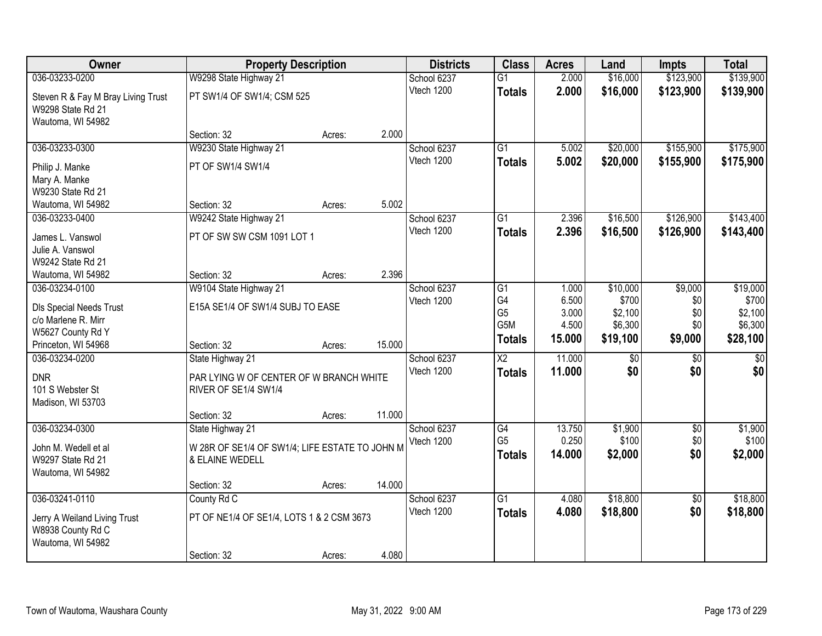| Owner                                    | <b>Property Description</b>                    |        |        | <b>Districts</b> | <b>Class</b>           | <b>Acres</b> | Land     | <b>Impts</b>    | <b>Total</b>    |
|------------------------------------------|------------------------------------------------|--------|--------|------------------|------------------------|--------------|----------|-----------------|-----------------|
| 036-03233-0200                           | W9298 State Highway 21                         |        |        | School 6237      | $\overline{G1}$        | 2.000        | \$16,000 | \$123,900       | \$139,900       |
| Steven R & Fay M Bray Living Trust       | PT SW1/4 OF SW1/4; CSM 525                     |        |        | Vtech 1200       | <b>Totals</b>          | 2.000        | \$16,000 | \$123,900       | \$139,900       |
| W9298 State Rd 21                        |                                                |        |        |                  |                        |              |          |                 |                 |
| Wautoma, WI 54982                        | Section: 32                                    | Acres: | 2.000  |                  |                        |              |          |                 |                 |
| 036-03233-0300                           | W9230 State Highway 21                         |        |        | School 6237      | G1                     | 5.002        | \$20,000 | \$155,900       | \$175,900       |
|                                          |                                                |        |        | Vtech 1200       | <b>Totals</b>          | 5.002        | \$20,000 | \$155,900       | \$175,900       |
| Philip J. Manke                          | PT OF SW1/4 SW1/4                              |        |        |                  |                        |              |          |                 |                 |
| Mary A. Manke<br>W9230 State Rd 21       |                                                |        |        |                  |                        |              |          |                 |                 |
| Wautoma, WI 54982                        | Section: 32                                    | Acres: | 5.002  |                  |                        |              |          |                 |                 |
| 036-03233-0400                           | W9242 State Highway 21                         |        |        | School 6237      | $\overline{G1}$        | 2.396        | \$16,500 | \$126,900       | \$143,400       |
|                                          |                                                |        |        | Vtech 1200       | <b>Totals</b>          | 2.396        | \$16,500 | \$126,900       | \$143,400       |
| James L. Vanswol                         | PT OF SW SW CSM 1091 LOT 1                     |        |        |                  |                        |              |          |                 |                 |
| Julie A. Vanswol<br>W9242 State Rd 21    |                                                |        |        |                  |                        |              |          |                 |                 |
| Wautoma, WI 54982                        | Section: 32                                    | Acres: | 2.396  |                  |                        |              |          |                 |                 |
| 036-03234-0100                           | W9104 State Highway 21                         |        |        | School 6237      | G1                     | 1.000        | \$10,000 | \$9,000         | \$19,000        |
|                                          |                                                |        |        | Vtech 1200       | G4                     | 6.500        | \$700    | \$0             | \$700           |
| <b>DIs Special Needs Trust</b>           | E15A SE1/4 OF SW1/4 SUBJ TO EASE               |        |        |                  | G <sub>5</sub>         | 3.000        | \$2,100  | \$0             | \$2,100         |
| c/o Marlene R. Mirr<br>W5627 County Rd Y |                                                |        |        |                  | G5M                    | 4.500        | \$6,300  | \$0             | \$6,300         |
| Princeton, WI 54968                      | Section: 32                                    | Acres: | 15.000 |                  | <b>Totals</b>          | 15.000       | \$19,100 | \$9,000         | \$28,100        |
| 036-03234-0200                           | State Highway 21                               |        |        | School 6237      | $\overline{\text{X2}}$ | 11.000       | \$0      | \$0             | $\overline{50}$ |
|                                          |                                                |        |        | Vtech 1200       | <b>Totals</b>          | 11.000       | \$0      | \$0             | \$0             |
| <b>DNR</b>                               | PAR LYING W OF CENTER OF W BRANCH WHITE        |        |        |                  |                        |              |          |                 |                 |
| 101 S Webster St                         | RIVER OF SE1/4 SW1/4                           |        |        |                  |                        |              |          |                 |                 |
| Madison, WI 53703                        | Section: 32                                    | Acres: | 11.000 |                  |                        |              |          |                 |                 |
| 036-03234-0300                           | State Highway 21                               |        |        | School 6237      | G4                     | 13.750       | \$1,900  | $\overline{50}$ | \$1,900         |
|                                          |                                                |        |        | Vtech 1200       | G <sub>5</sub>         | 0.250        | \$100    | \$0             | \$100           |
| John M. Wedell et al                     | W 28R OF SE1/4 OF SW1/4; LIFE ESTATE TO JOHN M |        |        |                  | <b>Totals</b>          | 14.000       | \$2,000  | \$0             | \$2,000         |
| W9297 State Rd 21                        | & ELAINE WEDELL                                |        |        |                  |                        |              |          |                 |                 |
| Wautoma, WI 54982                        | Section: 32                                    | Acres: | 14.000 |                  |                        |              |          |                 |                 |
| 036-03241-0110                           | County Rd C                                    |        |        | School 6237      | $\overline{G1}$        | 4.080        | \$18,800 | $\overline{50}$ | \$18,800        |
|                                          |                                                |        |        | Vtech 1200       | <b>Totals</b>          | 4.080        | \$18,800 | \$0             | \$18,800        |
| Jerry A Weiland Living Trust             | PT OF NE1/4 OF SE1/4, LOTS 1 & 2 CSM 3673      |        |        |                  |                        |              |          |                 |                 |
| W8938 County Rd C<br>Wautoma, WI 54982   |                                                |        |        |                  |                        |              |          |                 |                 |
|                                          | Section: 32                                    | Acres: | 4.080  |                  |                        |              |          |                 |                 |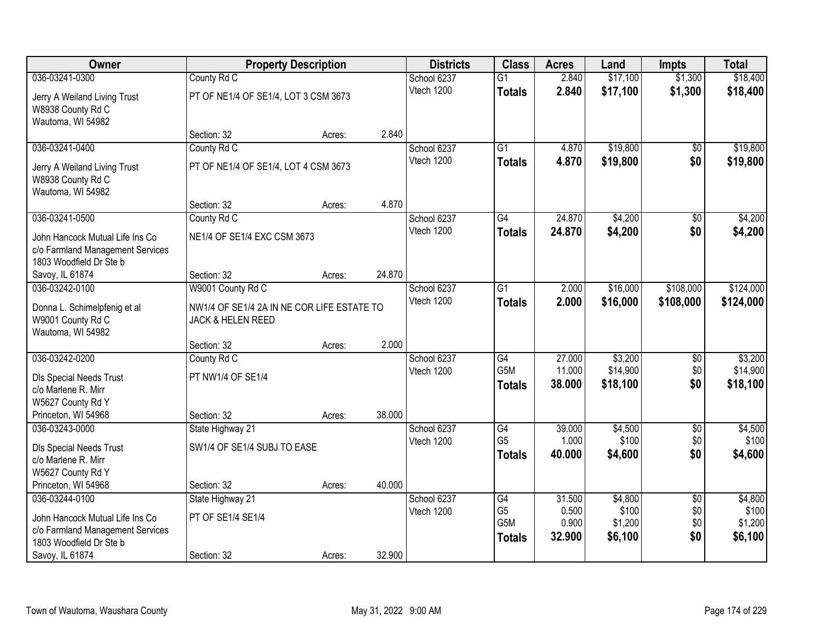| Owner                            |                                            | <b>Property Description</b> |        | <b>Districts</b> | <b>Class</b>                      | <b>Acres</b>     | Land             | <b>Impts</b>           | <b>Total</b>     |
|----------------------------------|--------------------------------------------|-----------------------------|--------|------------------|-----------------------------------|------------------|------------------|------------------------|------------------|
| 036-03241-0300                   | County Rd C                                |                             |        | School 6237      | $\overline{G1}$                   | 2.840            | \$17,100         | \$1,300                | \$18,400         |
| Jerry A Weiland Living Trust     | PT OF NE1/4 OF SE1/4, LOT 3 CSM 3673       |                             |        | Vtech 1200       | <b>Totals</b>                     | 2.840            | \$17,100         | \$1,300                | \$18,400         |
| W8938 County Rd C                |                                            |                             |        |                  |                                   |                  |                  |                        |                  |
| Wautoma, WI 54982                |                                            |                             |        |                  |                                   |                  |                  |                        |                  |
|                                  | Section: 32                                | Acres:                      | 2.840  |                  |                                   |                  |                  |                        |                  |
| 036-03241-0400                   | County Rd C                                |                             |        | School 6237      | $\overline{G1}$                   | 4.870            | \$19,800         | $\overline{50}$        | \$19,800         |
| Jerry A Weiland Living Trust     | PT OF NE1/4 OF SE1/4, LOT 4 CSM 3673       |                             |        | Vtech 1200       | <b>Totals</b>                     | 4.870            | \$19,800         | \$0                    | \$19,800         |
| W8938 County Rd C                |                                            |                             |        |                  |                                   |                  |                  |                        |                  |
| Wautoma, WI 54982                |                                            |                             |        |                  |                                   |                  |                  |                        |                  |
|                                  | Section: 32                                | Acres:                      | 4.870  |                  |                                   |                  |                  |                        |                  |
| 036-03241-0500                   | County Rd C                                |                             |        | School 6237      | G4                                | 24.870           | \$4,200          | $\sqrt{6}$             | \$4,200          |
| John Hancock Mutual Life Ins Co  | NE1/4 OF SE1/4 EXC CSM 3673                |                             |        | Vtech 1200       | <b>Totals</b>                     | 24.870           | \$4,200          | \$0                    | \$4,200          |
| c/o Farmland Management Services |                                            |                             |        |                  |                                   |                  |                  |                        |                  |
| 1803 Woodfield Dr Ste b          |                                            |                             |        |                  |                                   |                  |                  |                        |                  |
| Savoy, IL 61874                  | Section: 32                                | Acres:                      | 24.870 |                  |                                   |                  |                  |                        |                  |
| 036-03242-0100                   | W9001 County Rd C                          |                             |        | School 6237      | $\overline{G1}$                   | 2.000            | \$16,000         | \$108,000              | \$124,000        |
| Donna L. Schimelpfenig et al     | NW1/4 OF SE1/4 2A IN NE COR LIFE ESTATE TO |                             |        | Vtech 1200       | <b>Totals</b>                     | 2.000            | \$16,000         | \$108,000              | \$124,000        |
| W9001 County Rd C                | JACK & HELEN REED                          |                             |        |                  |                                   |                  |                  |                        |                  |
| Wautoma, WI 54982                |                                            |                             |        |                  |                                   |                  |                  |                        |                  |
|                                  | Section: 32                                | Acres:                      | 2.000  |                  |                                   |                  |                  |                        |                  |
| 036-03242-0200                   | County Rd C                                |                             |        | School 6237      | $\overline{G4}$                   | 27.000           | \$3,200          | \$0                    | \$3,200          |
| <b>DIs Special Needs Trust</b>   | PT NW1/4 OF SE1/4                          |                             |        | Vtech 1200       | G <sub>5</sub> M                  | 11.000<br>38.000 | \$14,900         | \$0<br>\$0             | \$14,900         |
| c/o Marlene R. Mirr              |                                            |                             |        |                  | <b>Totals</b>                     |                  | \$18,100         |                        | \$18,100         |
| W5627 County Rd Y                |                                            |                             |        |                  |                                   |                  |                  |                        |                  |
| Princeton, WI 54968              | Section: 32                                | Acres:                      | 38.000 |                  |                                   |                  |                  |                        |                  |
| 036-03243-0000                   | State Highway 21                           |                             |        | School 6237      | $\overline{G4}$<br>G <sub>5</sub> | 39.000<br>1.000  | \$4,500<br>\$100 | $\overline{60}$<br>\$0 | \$4,500<br>\$100 |
| <b>DIs Special Needs Trust</b>   | SW1/4 OF SE1/4 SUBJ TO EASE                |                             |        | Vtech 1200       |                                   | 40.000           | \$4,600          | \$0                    | \$4,600          |
| c/o Marlene R. Mirr              |                                            |                             |        |                  | <b>Totals</b>                     |                  |                  |                        |                  |
| W5627 County Rd Y                |                                            |                             |        |                  |                                   |                  |                  |                        |                  |
| Princeton, WI 54968              | Section: 32                                | Acres:                      | 40.000 |                  |                                   |                  |                  |                        |                  |
| 036-03244-0100                   | State Highway 21                           |                             |        | School 6237      | G4<br>G <sub>5</sub>              | 31.500<br>0.500  | \$4,800<br>\$100 | $\overline{50}$<br>\$0 | \$4,800<br>\$100 |
| John Hancock Mutual Life Ins Co  | PT OF SE1/4 SE1/4                          |                             |        | Vtech 1200       | G <sub>5</sub> M                  | 0.900            | \$1,200          | \$0                    | \$1,200          |
| c/o Farmland Management Services |                                            |                             |        |                  | <b>Totals</b>                     | 32.900           | \$6,100          | \$0                    | \$6,100          |
| 1803 Woodfield Dr Ste b          |                                            |                             |        |                  |                                   |                  |                  |                        |                  |
| Savoy, IL 61874                  | Section: 32                                | Acres:                      | 32.900 |                  |                                   |                  |                  |                        |                  |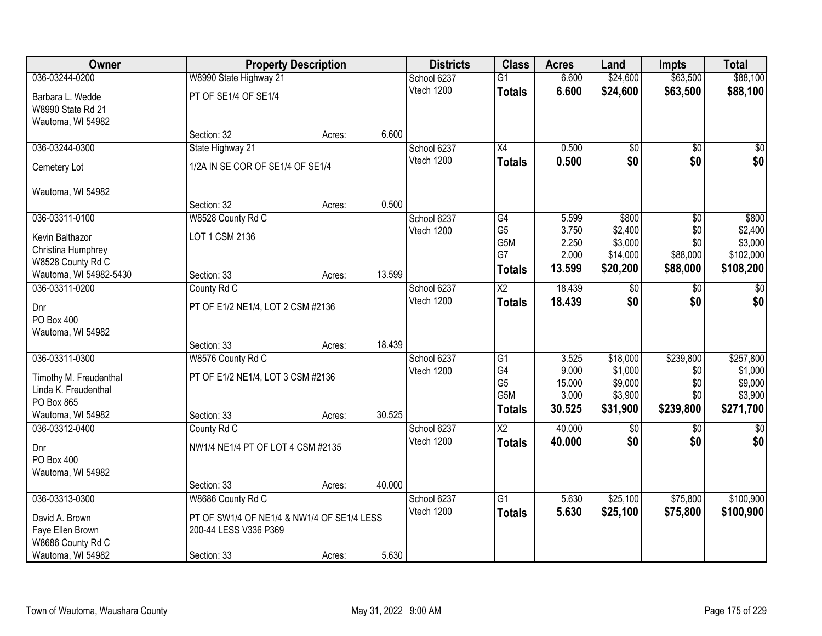| <b>Owner</b>           |                                            | <b>Property Description</b> |        | <b>Districts</b> | <b>Class</b>           | <b>Acres</b>    | Land                | <b>Impts</b>    | <b>Total</b>         |
|------------------------|--------------------------------------------|-----------------------------|--------|------------------|------------------------|-----------------|---------------------|-----------------|----------------------|
| 036-03244-0200         | W8990 State Highway 21                     |                             |        | School 6237      | $\overline{G1}$        | 6.600           | \$24,600            | \$63,500        | \$88,100             |
| Barbara L. Wedde       | PT OF SE1/4 OF SE1/4                       |                             |        | Vtech 1200       | <b>Totals</b>          | 6.600           | \$24,600            | \$63,500        | \$88,100             |
| W8990 State Rd 21      |                                            |                             |        |                  |                        |                 |                     |                 |                      |
| Wautoma, WI 54982      |                                            |                             |        |                  |                        |                 |                     |                 |                      |
|                        | Section: 32                                | Acres:                      | 6.600  |                  |                        |                 |                     |                 |                      |
| 036-03244-0300         | State Highway 21                           |                             |        | School 6237      | $\overline{X4}$        | 0.500           | \$0                 | \$0             | \$0                  |
| Cemetery Lot           | 1/2A IN SE COR OF SE1/4 OF SE1/4           |                             |        | Vtech 1200       | <b>Totals</b>          | 0.500           | \$0                 | \$0             | \$0                  |
| Wautoma, WI 54982      |                                            |                             |        |                  |                        |                 |                     |                 |                      |
|                        | Section: 32                                | Acres:                      | 0.500  |                  |                        |                 |                     |                 |                      |
| 036-03311-0100         | W8528 County Rd C                          |                             |        | School 6237      | $\overline{G4}$        | 5.599           | \$800               | \$0             | \$800                |
| Kevin Balthazor        | LOT 1 CSM 2136                             |                             |        | Vtech 1200       | G <sub>5</sub>         | 3.750           | \$2,400             | \$0             | \$2,400              |
| Christina Humphrey     |                                            |                             |        |                  | G5M<br>G7              | 2.250<br>2.000  | \$3,000<br>\$14,000 | \$0<br>\$88,000 | \$3,000<br>\$102,000 |
| W8528 County Rd C      |                                            |                             |        |                  | <b>Totals</b>          | 13.599          | \$20,200            | \$88,000        | \$108,200            |
| Wautoma, WI 54982-5430 | Section: 33                                | Acres:                      | 13.599 |                  |                        |                 |                     |                 |                      |
| 036-03311-0200         | County Rd C                                |                             |        | School 6237      | X2                     | 18.439          | \$0                 | $\sqrt[6]{3}$   | \$0                  |
| Dnr                    | PT OF E1/2 NE1/4, LOT 2 CSM #2136          |                             |        | Vtech 1200       | <b>Totals</b>          | 18.439          | \$0                 | \$0             | \$0                  |
| <b>PO Box 400</b>      |                                            |                             |        |                  |                        |                 |                     |                 |                      |
| Wautoma, WI 54982      |                                            |                             |        |                  |                        |                 |                     |                 |                      |
|                        | Section: 33                                | Acres:                      | 18.439 |                  |                        |                 |                     |                 |                      |
| 036-03311-0300         | W8576 County Rd C                          |                             |        | School 6237      | $\overline{G1}$        | 3.525           | \$18,000            | \$239,800       | \$257,800            |
| Timothy M. Freudenthal | PT OF E1/2 NE1/4, LOT 3 CSM #2136          |                             |        | Vtech 1200       | G4<br>G <sub>5</sub>   | 9.000<br>15.000 | \$1,000<br>\$9,000  | \$0<br>\$0      | \$1,000<br>\$9,000   |
| Linda K. Freudenthal   |                                            |                             |        |                  | G5M                    | 3.000           | \$3,900             | \$0             | \$3,900              |
| PO Box 865             |                                            |                             |        |                  | <b>Totals</b>          | 30.525          | \$31,900            | \$239,800       | \$271,700            |
| Wautoma, WI 54982      | Section: 33                                | Acres:                      | 30.525 |                  |                        |                 |                     |                 |                      |
| 036-03312-0400         | County Rd C                                |                             |        | School 6237      | $\overline{\text{X2}}$ | 40.000          | \$0                 | \$0             | \$0                  |
| Dnr                    | NW1/4 NE1/4 PT OF LOT 4 CSM #2135          |                             |        | Vtech 1200       | <b>Totals</b>          | 40.000          | \$0                 | \$0             | \$0                  |
| PO Box 400             |                                            |                             |        |                  |                        |                 |                     |                 |                      |
| Wautoma, WI 54982      |                                            |                             |        |                  |                        |                 |                     |                 |                      |
|                        | Section: 33                                | Acres:                      | 40.000 |                  |                        |                 |                     |                 |                      |
| 036-03313-0300         | W8686 County Rd C                          |                             |        | School 6237      | $\overline{G1}$        | 5.630           | \$25,100            | \$75,800        | \$100,900            |
| David A. Brown         | PT OF SW1/4 OF NE1/4 & NW1/4 OF SE1/4 LESS |                             |        | Vtech 1200       | <b>Totals</b>          | 5.630           | \$25,100            | \$75,800        | \$100,900            |
| Faye Ellen Brown       | 200-44 LESS V336 P369                      |                             |        |                  |                        |                 |                     |                 |                      |
| W8686 County Rd C      |                                            |                             |        |                  |                        |                 |                     |                 |                      |
| Wautoma, WI 54982      | Section: 33                                | Acres:                      | 5.630  |                  |                        |                 |                     |                 |                      |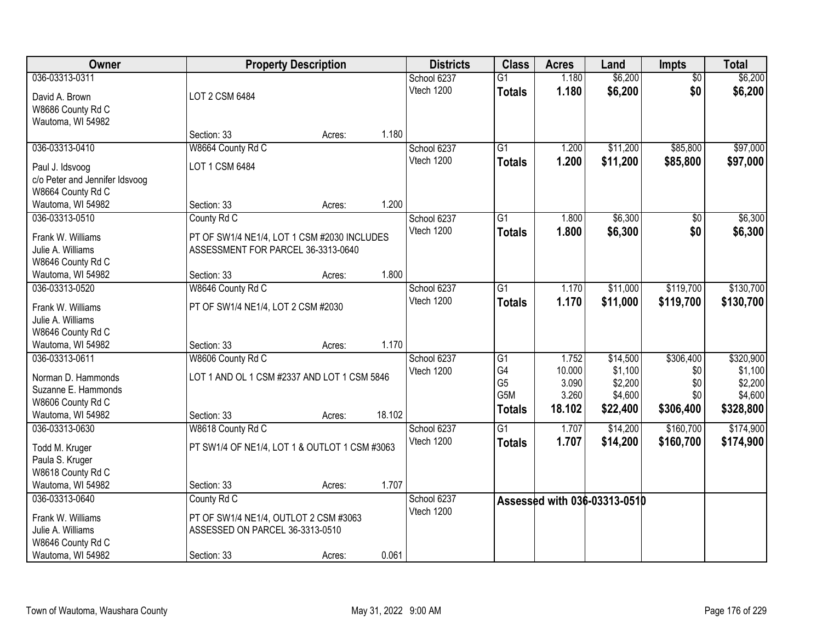| Owner                                     |                                               | <b>Property Description</b> |        | <b>Districts</b> | <b>Class</b>     | <b>Acres</b> | Land                         | <b>Impts</b>    | <b>Total</b> |
|-------------------------------------------|-----------------------------------------------|-----------------------------|--------|------------------|------------------|--------------|------------------------------|-----------------|--------------|
| 036-03313-0311                            |                                               |                             |        | School 6237      | $\overline{G1}$  | 1.180        | \$6,200                      | $\overline{50}$ | \$6,200      |
| David A. Brown                            | LOT 2 CSM 6484                                |                             |        | Vtech 1200       | <b>Totals</b>    | 1.180        | \$6,200                      | \$0             | \$6,200      |
| W8686 County Rd C                         |                                               |                             |        |                  |                  |              |                              |                 |              |
| Wautoma, WI 54982                         |                                               |                             |        |                  |                  |              |                              |                 |              |
|                                           | Section: 33                                   | Acres:                      | 1.180  |                  |                  |              |                              |                 |              |
| 036-03313-0410                            | W8664 County Rd C                             |                             |        | School 6237      | $\overline{G1}$  | 1.200        | \$11,200                     | \$85,800        | \$97,000     |
| Paul J. Idsvoog                           | LOT 1 CSM 6484                                |                             |        | Vtech 1200       | <b>Totals</b>    | 1.200        | \$11,200                     | \$85,800        | \$97,000     |
| c/o Peter and Jennifer Idsvoog            |                                               |                             |        |                  |                  |              |                              |                 |              |
| W8664 County Rd C                         |                                               |                             |        |                  |                  |              |                              |                 |              |
| Wautoma, WI 54982                         | Section: 33                                   | Acres:                      | 1.200  |                  |                  |              |                              |                 |              |
| 036-03313-0510                            | County Rd C                                   |                             |        | School 6237      | G1               | 1.800        | \$6,300                      | \$0             | \$6,300      |
| Frank W. Williams                         | PT OF SW1/4 NE1/4, LOT 1 CSM #2030 INCLUDES   |                             |        | Vtech 1200       | <b>Totals</b>    | 1.800        | \$6,300                      | \$0             | \$6,300      |
| Julie A. Williams                         | ASSESSMENT FOR PARCEL 36-3313-0640            |                             |        |                  |                  |              |                              |                 |              |
| W8646 County Rd C                         |                                               |                             |        |                  |                  |              |                              |                 |              |
| Wautoma, WI 54982                         | Section: 33                                   | Acres:                      | 1.800  |                  |                  |              |                              |                 |              |
| 036-03313-0520                            | W8646 County Rd C                             |                             |        | School 6237      | G1               | 1.170        | \$11,000                     | \$119,700       | \$130,700    |
| Frank W. Williams                         |                                               |                             |        | Vtech 1200       | <b>Totals</b>    | 1.170        | \$11,000                     | \$119,700       | \$130,700    |
| Julie A. Williams                         | PT OF SW1/4 NE1/4, LOT 2 CSM #2030            |                             |        |                  |                  |              |                              |                 |              |
| W8646 County Rd C                         |                                               |                             |        |                  |                  |              |                              |                 |              |
| Wautoma, WI 54982                         | Section: 33                                   | Acres:                      | 1.170  |                  |                  |              |                              |                 |              |
| 036-03313-0611                            | W8606 County Rd C                             |                             |        | School 6237      | $\overline{G1}$  | 1.752        | \$14,500                     | \$306,400       | \$320,900    |
|                                           |                                               |                             |        | Vtech 1200       | G4               | 10.000       | \$1,100                      | \$0             | \$1,100      |
| Norman D. Hammonds<br>Suzanne E. Hammonds | LOT 1 AND OL 1 CSM #2337 AND LOT 1 CSM 5846   |                             |        |                  | G <sub>5</sub>   | 3.090        | \$2,200                      | \$0             | \$2,200      |
| W8606 County Rd C                         |                                               |                             |        |                  | G <sub>5</sub> M | 3.260        | \$4,600                      | \$0             | \$4,600      |
| Wautoma, WI 54982                         | Section: 33                                   | Acres:                      | 18.102 |                  | <b>Totals</b>    | 18.102       | \$22,400                     | \$306,400       | \$328,800    |
| 036-03313-0630                            | W8618 County Rd C                             |                             |        | School 6237      | $\overline{G1}$  | 1.707        | \$14,200                     | \$160,700       | \$174,900    |
|                                           |                                               |                             |        | Vtech 1200       | <b>Totals</b>    | 1.707        | \$14,200                     | \$160,700       | \$174,900    |
| Todd M. Kruger                            | PT SW1/4 OF NE1/4, LOT 1 & OUTLOT 1 CSM #3063 |                             |        |                  |                  |              |                              |                 |              |
| Paula S. Kruger<br>W8618 County Rd C      |                                               |                             |        |                  |                  |              |                              |                 |              |
| Wautoma, WI 54982                         | Section: 33                                   | Acres:                      | 1.707  |                  |                  |              |                              |                 |              |
| 036-03313-0640                            | County Rd C                                   |                             |        | School 6237      |                  |              |                              |                 |              |
|                                           |                                               |                             |        | Vtech 1200       |                  |              | Assessed with 036-03313-0510 |                 |              |
| Frank W. Williams                         | PT OF SW1/4 NE1/4, OUTLOT 2 CSM #3063         |                             |        |                  |                  |              |                              |                 |              |
| Julie A. Williams                         | ASSESSED ON PARCEL 36-3313-0510               |                             |        |                  |                  |              |                              |                 |              |
| W8646 County Rd C                         |                                               |                             |        |                  |                  |              |                              |                 |              |
| Wautoma, WI 54982                         | Section: 33                                   | Acres:                      | 0.061  |                  |                  |              |                              |                 |              |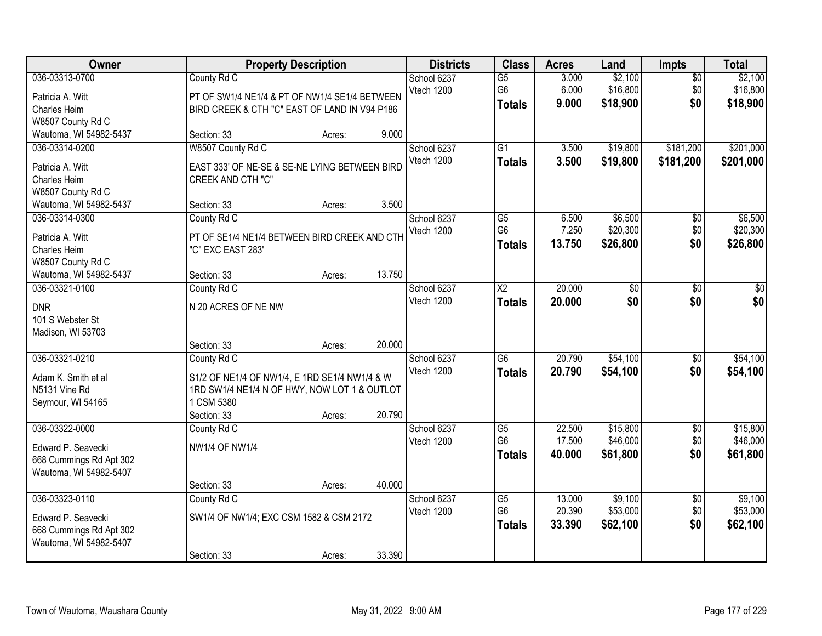| <b>Owner</b>                                                                                             |                                                                                                                                           | <b>Property Description</b> |        | <b>Districts</b>          | <b>Class</b>                                       | <b>Acres</b>               | Land                             | Impts                         | <b>Total</b>                     |
|----------------------------------------------------------------------------------------------------------|-------------------------------------------------------------------------------------------------------------------------------------------|-----------------------------|--------|---------------------------|----------------------------------------------------|----------------------------|----------------------------------|-------------------------------|----------------------------------|
| 036-03313-0700<br>Patricia A. Witt<br>Charles Heim<br>W8507 County Rd C                                  | County Rd C<br>PT OF SW1/4 NE1/4 & PT OF NW1/4 SE1/4 BETWEEN<br>BIRD CREEK & CTH "C" EAST OF LAND IN V94 P186                             |                             |        | School 6237<br>Vtech 1200 | $\overline{G5}$<br>G <sub>6</sub><br><b>Totals</b> | 3.000<br>6.000<br>9.000    | \$2,100<br>\$16,800<br>\$18,900  | $\overline{50}$<br>\$0<br>\$0 | \$2,100<br>\$16,800<br>\$18,900  |
| Wautoma, WI 54982-5437                                                                                   | Section: 33                                                                                                                               | Acres:                      | 9.000  |                           |                                                    |                            |                                  |                               |                                  |
| 036-03314-0200<br>Patricia A. Witt<br><b>Charles Heim</b><br>W8507 County Rd C<br>Wautoma, WI 54982-5437 | W8507 County Rd C<br>EAST 333' OF NE-SE & SE-NE LYING BETWEEN BIRD<br><b>CREEK AND CTH "C"</b><br>Section: 33                             | Acres:                      | 3.500  | School 6237<br>Vtech 1200 | $\overline{G1}$<br><b>Totals</b>                   | 3.500<br>3.500             | \$19,800<br>\$19,800             | \$181,200<br>\$181,200        | \$201,000<br>\$201,000           |
| 036-03314-0300<br>Patricia A. Witt<br>Charles Heim<br>W8507 County Rd C<br>Wautoma, WI 54982-5437        | County Rd C<br>PT OF SE1/4 NE1/4 BETWEEN BIRD CREEK AND CTH<br>"C" EXC EAST 283'<br>Section: 33                                           | Acres:                      | 13.750 | School 6237<br>Vtech 1200 | $\overline{G5}$<br>G <sub>6</sub><br><b>Totals</b> | 6.500<br>7.250<br>13.750   | \$6,500<br>\$20,300<br>\$26,800  | $\overline{50}$<br>\$0<br>\$0 | \$6,500<br>\$20,300<br>\$26,800  |
| 036-03321-0100<br><b>DNR</b><br>101 S Webster St<br>Madison, WI 53703                                    | County Rd C<br>N 20 ACRES OF NE NW<br>Section: 33                                                                                         | Acres:                      | 20.000 | School 6237<br>Vtech 1200 | $\overline{\text{X2}}$<br><b>Totals</b>            | 20,000<br>20.000           | \$0<br>\$0                       | \$0<br>\$0                    | \$0<br>\$0                       |
| 036-03321-0210<br>Adam K. Smith et al<br>N5131 Vine Rd<br>Seymour, WI 54165                              | County Rd C<br>S1/2 OF NE1/4 OF NW1/4, E 1RD SE1/4 NW1/4 & W<br>1RD SW1/4 NE1/4 N OF HWY, NOW LOT 1 & OUTLOT<br>1 CSM 5380<br>Section: 33 | Acres:                      | 20.790 | School 6237<br>Vtech 1200 | $\overline{G6}$<br><b>Totals</b>                   | 20.790<br>20.790           | \$54,100<br>\$54,100             | $\overline{50}$<br>\$0        | \$54,100<br>\$54,100             |
| 036-03322-0000<br>Edward P. Seavecki<br>668 Cummings Rd Apt 302<br>Wautoma, WI 54982-5407                | County Rd C<br><b>NW1/4 OF NW1/4</b><br>Section: 33                                                                                       | Acres:                      | 40.000 | School 6237<br>Vtech 1200 | $\overline{G5}$<br>G <sub>6</sub><br><b>Totals</b> | 22.500<br>17.500<br>40.000 | \$15,800<br>\$46,000<br>\$61,800 | $\overline{60}$<br>\$0<br>\$0 | \$15,800<br>\$46,000<br>\$61,800 |
| 036-03323-0110<br>Edward P. Seavecki<br>668 Cummings Rd Apt 302<br>Wautoma, WI 54982-5407                | County Rd C<br>SW1/4 OF NW1/4; EXC CSM 1582 & CSM 2172<br>Section: 33                                                                     | Acres:                      | 33.390 | School 6237<br>Vtech 1200 | $\overline{G5}$<br>G <sub>6</sub><br><b>Totals</b> | 13.000<br>20.390<br>33.390 | \$9,100<br>\$53,000<br>\$62,100  | $\overline{50}$<br>\$0<br>\$0 | \$9,100<br>\$53,000<br>\$62,100  |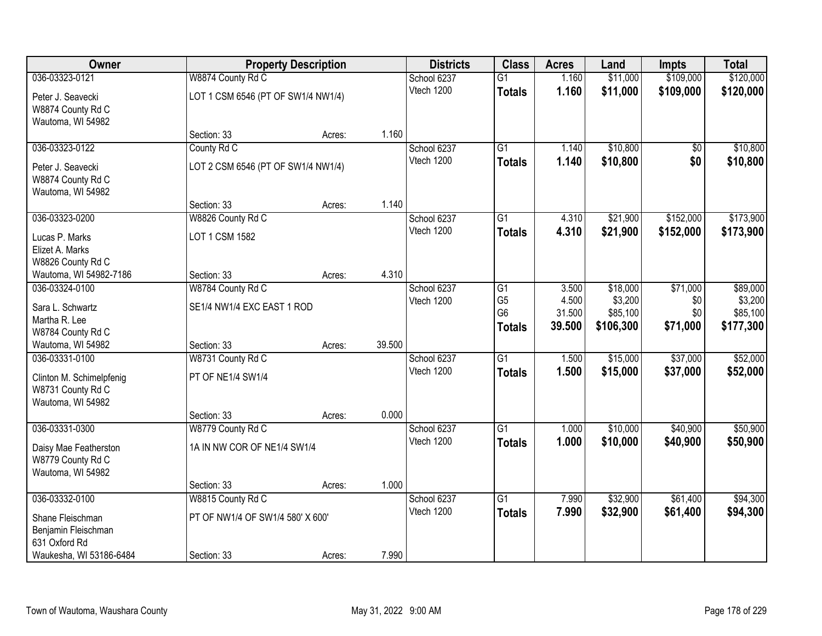| Owner                    |                                    | <b>Property Description</b> |        | <b>Districts</b> | <b>Class</b>    | <b>Acres</b> | Land      | <b>Impts</b>    | <b>Total</b> |
|--------------------------|------------------------------------|-----------------------------|--------|------------------|-----------------|--------------|-----------|-----------------|--------------|
| 036-03323-0121           | W8874 County Rd C                  |                             |        | School 6237      | $\overline{G1}$ | 1.160        | \$11,000  | \$109,000       | \$120,000    |
| Peter J. Seavecki        | LOT 1 CSM 6546 (PT OF SW1/4 NW1/4) |                             |        | Vtech 1200       | <b>Totals</b>   | 1.160        | \$11,000  | \$109,000       | \$120,000    |
| W8874 County Rd C        |                                    |                             |        |                  |                 |              |           |                 |              |
| Wautoma, WI 54982        |                                    |                             |        |                  |                 |              |           |                 |              |
|                          | Section: 33                        | Acres:                      | 1.160  |                  |                 |              |           |                 |              |
| 036-03323-0122           | County Rd C                        |                             |        | School 6237      | $\overline{G1}$ | 1.140        | \$10,800  | $\overline{50}$ | \$10,800     |
| Peter J. Seavecki        | LOT 2 CSM 6546 (PT OF SW1/4 NW1/4) |                             |        | Vtech 1200       | <b>Totals</b>   | 1.140        | \$10,800  | \$0             | \$10,800     |
| W8874 County Rd C        |                                    |                             |        |                  |                 |              |           |                 |              |
| Wautoma, WI 54982        |                                    |                             |        |                  |                 |              |           |                 |              |
|                          | Section: 33                        | Acres:                      | 1.140  |                  |                 |              |           |                 |              |
| 036-03323-0200           | W8826 County Rd C                  |                             |        | School 6237      | G1              | 4.310        | \$21,900  | \$152,000       | \$173,900    |
| Lucas P. Marks           | LOT 1 CSM 1582                     |                             |        | Vtech 1200       | <b>Totals</b>   | 4.310        | \$21,900  | \$152,000       | \$173,900    |
| Elizet A. Marks          |                                    |                             |        |                  |                 |              |           |                 |              |
| W8826 County Rd C        |                                    |                             |        |                  |                 |              |           |                 |              |
| Wautoma, WI 54982-7186   | Section: 33                        | Acres:                      | 4.310  |                  |                 |              |           |                 |              |
| 036-03324-0100           | W8784 County Rd C                  |                             |        | School 6237      | G1              | 3.500        | \$18,000  | \$71,000        | \$89,000     |
| Sara L. Schwartz         | SE1/4 NW1/4 EXC EAST 1 ROD         |                             |        | Vtech 1200       | G <sub>5</sub>  | 4.500        | \$3,200   | \$0             | \$3,200      |
| Martha R. Lee            |                                    |                             |        |                  | G <sub>6</sub>  | 31.500       | \$85,100  | \$0             | \$85,100     |
| W8784 County Rd C        |                                    |                             |        |                  | <b>Totals</b>   | 39.500       | \$106,300 | \$71,000        | \$177,300    |
| Wautoma, WI 54982        | Section: 33                        | Acres:                      | 39.500 |                  |                 |              |           |                 |              |
| 036-03331-0100           | W8731 County Rd C                  |                             |        | School 6237      | $\overline{G1}$ | 1.500        | \$15,000  | \$37,000        | \$52,000     |
| Clinton M. Schimelpfenig | PT OF NE1/4 SW1/4                  |                             |        | Vtech 1200       | <b>Totals</b>   | 1.500        | \$15,000  | \$37,000        | \$52,000     |
| W8731 County Rd C        |                                    |                             |        |                  |                 |              |           |                 |              |
| Wautoma, WI 54982        |                                    |                             |        |                  |                 |              |           |                 |              |
|                          | Section: 33                        | Acres:                      | 0.000  |                  |                 |              |           |                 |              |
| 036-03331-0300           | W8779 County Rd C                  |                             |        | School 6237      | $\overline{G1}$ | 1.000        | \$10,000  | \$40,900        | \$50,900     |
| Daisy Mae Featherston    | 1A IN NW COR OF NE1/4 SW1/4        |                             |        | Vtech 1200       | <b>Totals</b>   | 1.000        | \$10,000  | \$40,900        | \$50,900     |
| W8779 County Rd C        |                                    |                             |        |                  |                 |              |           |                 |              |
| Wautoma, WI 54982        |                                    |                             |        |                  |                 |              |           |                 |              |
|                          | Section: 33                        | Acres:                      | 1.000  |                  |                 |              |           |                 |              |
| 036-03332-0100           | W8815 County Rd C                  |                             |        | School 6237      | $\overline{G1}$ | 7.990        | \$32,900  | \$61,400        | \$94,300     |
| Shane Fleischman         | PT OF NW1/4 OF SW1/4 580' X 600'   |                             |        | Vtech 1200       | <b>Totals</b>   | 7.990        | \$32,900  | \$61,400        | \$94,300     |
| Benjamin Fleischman      |                                    |                             |        |                  |                 |              |           |                 |              |
| 631 Oxford Rd            |                                    |                             |        |                  |                 |              |           |                 |              |
| Waukesha, WI 53186-6484  | Section: 33                        | Acres:                      | 7.990  |                  |                 |              |           |                 |              |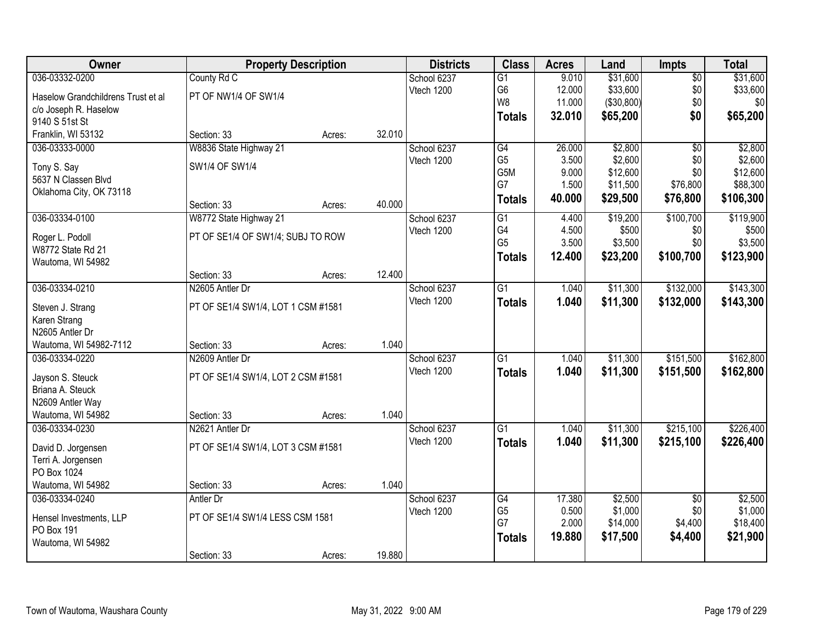| Owner                                    |                                    | <b>Property Description</b> |        | <b>Districts</b> | <b>Class</b>    | <b>Acres</b> | Land       | <b>Impts</b>    | <b>Total</b> |
|------------------------------------------|------------------------------------|-----------------------------|--------|------------------|-----------------|--------------|------------|-----------------|--------------|
| 036-03332-0200                           | County Rd C                        |                             |        | School 6237      | $\overline{G1}$ | 9.010        | \$31,600   | $\overline{50}$ | \$31,600     |
| Haselow Grandchildrens Trust et al       | PT OF NW1/4 OF SW1/4               |                             |        | Vtech 1200       | G <sub>6</sub>  | 12.000       | \$33,600   | \$0             | \$33,600     |
| c/o Joseph R. Haselow                    |                                    |                             |        |                  | W8              | 11.000       | (\$30,800) | \$0             | \$0          |
| 9140 S 51st St                           |                                    |                             |        |                  | <b>Totals</b>   | 32.010       | \$65,200   | \$0             | \$65,200     |
| Franklin, WI 53132                       | Section: 33                        | Acres:                      | 32.010 |                  |                 |              |            |                 |              |
| 036-03333-0000                           | W8836 State Highway 21             |                             |        | School 6237      | G4              | 26.000       | \$2,800    | $\overline{50}$ | \$2,800      |
| Tony S. Say                              | SW1/4 OF SW1/4                     |                             |        | Vtech 1200       | G <sub>5</sub>  | 3.500        | \$2,600    | \$0             | \$2,600      |
| 5637 N Classen Blvd                      |                                    |                             |        |                  | G5M             | 9.000        | \$12,600   | \$0             | \$12,600     |
| Oklahoma City, OK 73118                  |                                    |                             |        |                  | G7              | 1.500        | \$11,500   | \$76,800        | \$88,300     |
|                                          | Section: 33                        | Acres:                      | 40.000 |                  | <b>Totals</b>   | 40.000       | \$29,500   | \$76,800        | \$106,300    |
| 036-03334-0100                           | W8772 State Highway 21             |                             |        | School 6237      | $\overline{G1}$ | 4.400        | \$19,200   | \$100,700       | \$119,900    |
| Roger L. Podoll                          | PT OF SE1/4 OF SW1/4; SUBJ TO ROW  |                             |        | Vtech 1200       | G4              | 4.500        | \$500      | \$0             | \$500        |
| W8772 State Rd 21                        |                                    |                             |        |                  | G <sub>5</sub>  | 3.500        | \$3,500    | \$0             | \$3,500      |
| Wautoma, WI 54982                        |                                    |                             |        |                  | <b>Totals</b>   | 12.400       | \$23,200   | \$100,700       | \$123,900    |
|                                          | Section: 33                        | Acres:                      | 12.400 |                  |                 |              |            |                 |              |
| 036-03334-0210                           | N2605 Antler Dr                    |                             |        | School 6237      | $\overline{G1}$ | 1.040        | \$11,300   | \$132,000       | \$143,300    |
| Steven J. Strang                         | PT OF SE1/4 SW1/4, LOT 1 CSM #1581 |                             |        | Vtech 1200       | <b>Totals</b>   | 1.040        | \$11,300   | \$132,000       | \$143,300    |
| Karen Strang                             |                                    |                             |        |                  |                 |              |            |                 |              |
| N2605 Antler Dr                          |                                    |                             |        |                  |                 |              |            |                 |              |
| Wautoma, WI 54982-7112                   | Section: 33                        | Acres:                      | 1.040  |                  |                 |              |            |                 |              |
| 036-03334-0220                           | N2609 Antler Dr                    |                             |        | School 6237      | $\overline{G1}$ | 1.040        | \$11,300   | \$151,500       | \$162,800    |
| Jayson S. Steuck                         | PT OF SE1/4 SW1/4, LOT 2 CSM #1581 |                             |        | Vtech 1200       | Totals          | 1.040        | \$11,300   | \$151,500       | \$162,800    |
| Briana A. Steuck                         |                                    |                             |        |                  |                 |              |            |                 |              |
| N2609 Antler Way                         |                                    |                             |        |                  |                 |              |            |                 |              |
| Wautoma, WI 54982                        | Section: 33                        | Acres:                      | 1.040  |                  |                 |              |            |                 |              |
| 036-03334-0230                           | N2621 Antler Dr                    |                             |        | School 6237      | $\overline{G1}$ | 1.040        | \$11,300   | \$215,100       | \$226,400    |
|                                          | PT OF SE1/4 SW1/4, LOT 3 CSM #1581 |                             |        | Vtech 1200       | <b>Totals</b>   | 1.040        | \$11,300   | \$215,100       | \$226,400    |
| David D. Jorgensen<br>Terri A. Jorgensen |                                    |                             |        |                  |                 |              |            |                 |              |
| PO Box 1024                              |                                    |                             |        |                  |                 |              |            |                 |              |
| Wautoma, WI 54982                        | Section: 33                        | Acres:                      | 1.040  |                  |                 |              |            |                 |              |
| 036-03334-0240                           | Antler Dr                          |                             |        | School 6237      | G4              | 17.380       | \$2,500    | $\overline{50}$ | \$2,500      |
|                                          | PT OF SE1/4 SW1/4 LESS CSM 1581    |                             |        | Vtech 1200       | G <sub>5</sub>  | 0.500        | \$1,000    | \$0             | \$1,000      |
| Hensel Investments, LLP<br>PO Box 191    |                                    |                             |        |                  | G7              | 2.000        | \$14,000   | \$4,400         | \$18,400     |
| Wautoma, WI 54982                        |                                    |                             |        |                  | <b>Totals</b>   | 19.880       | \$17,500   | \$4,400         | \$21,900     |
|                                          | Section: 33                        | Acres:                      | 19.880 |                  |                 |              |            |                 |              |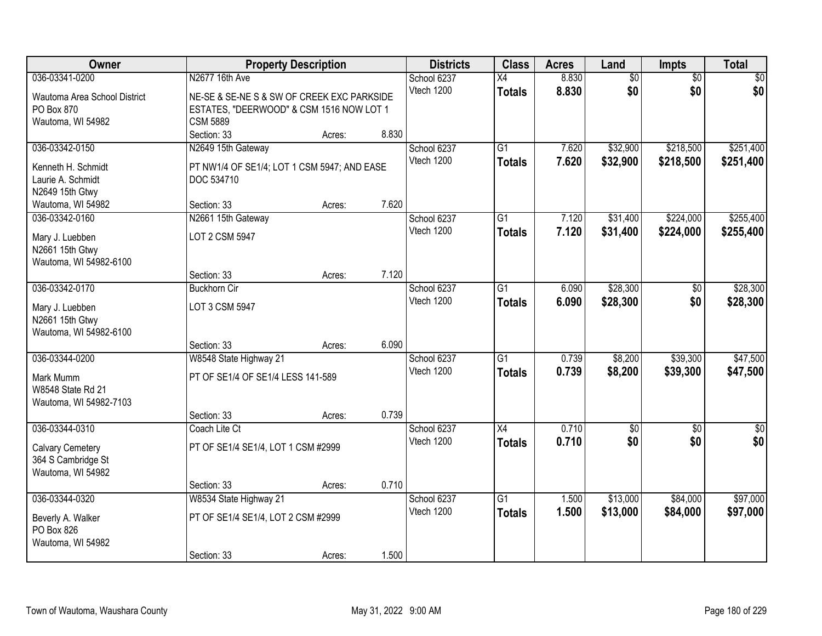| Owner                                     |                                             | <b>Property Description</b> |       | <b>Districts</b> | <b>Class</b>    | <b>Acres</b> | Land            | Impts           | <b>Total</b>  |
|-------------------------------------------|---------------------------------------------|-----------------------------|-------|------------------|-----------------|--------------|-----------------|-----------------|---------------|
| 036-03341-0200                            | N2677 16th Ave                              |                             |       | School 6237      | $\overline{X4}$ | 8.830        | $\overline{60}$ | $\overline{50}$ | \$0           |
| Wautoma Area School District              | NE-SE & SE-NE S & SW OF CREEK EXC PARKSIDE  |                             |       | Vtech 1200       | <b>Totals</b>   | 8.830        | \$0             | \$0             | \$0           |
| PO Box 870                                | ESTATES, "DEERWOOD" & CSM 1516 NOW LOT 1    |                             |       |                  |                 |              |                 |                 |               |
| Wautoma, WI 54982                         | <b>CSM 5889</b>                             |                             |       |                  |                 |              |                 |                 |               |
|                                           | Section: 33                                 | Acres:                      | 8.830 |                  |                 |              |                 |                 |               |
| 036-03342-0150                            | N2649 15th Gateway                          |                             |       | School 6237      | $\overline{G1}$ | 7.620        | \$32,900        | \$218,500       | \$251,400     |
| Kenneth H. Schmidt                        | PT NW1/4 OF SE1/4; LOT 1 CSM 5947; AND EASE |                             |       | Vtech 1200       | <b>Totals</b>   | 7.620        | \$32,900        | \$218,500       | \$251,400     |
| Laurie A. Schmidt                         | DOC 534710                                  |                             |       |                  |                 |              |                 |                 |               |
| N2649 15th Gtwy                           |                                             |                             |       |                  |                 |              |                 |                 |               |
| Wautoma, WI 54982                         | Section: 33                                 | Acres:                      | 7.620 |                  |                 |              |                 |                 |               |
| 036-03342-0160                            | N2661 15th Gateway                          |                             |       | School 6237      | $\overline{G1}$ | 7.120        | \$31,400        | \$224,000       | \$255,400     |
| Mary J. Luebben                           | LOT 2 CSM 5947                              |                             |       | Vtech 1200       | <b>Totals</b>   | 7.120        | \$31,400        | \$224,000       | \$255,400     |
| N2661 15th Gtwy                           |                                             |                             |       |                  |                 |              |                 |                 |               |
| Wautoma, WI 54982-6100                    |                                             |                             |       |                  |                 |              |                 |                 |               |
|                                           | Section: 33                                 | Acres:                      | 7.120 |                  |                 |              |                 |                 |               |
| 036-03342-0170                            | <b>Buckhorn Cir</b>                         |                             |       | School 6237      | $\overline{G1}$ | 6.090        | \$28,300        | \$0             | \$28,300      |
|                                           |                                             |                             |       | Vtech 1200       | <b>Totals</b>   | 6.090        | \$28,300        | \$0             | \$28,300      |
| Mary J. Luebben                           | LOT 3 CSM 5947                              |                             |       |                  |                 |              |                 |                 |               |
| N2661 15th Gtwy<br>Wautoma, WI 54982-6100 |                                             |                             |       |                  |                 |              |                 |                 |               |
|                                           | Section: 33                                 | Acres:                      | 6.090 |                  |                 |              |                 |                 |               |
| 036-03344-0200                            | W8548 State Highway 21                      |                             |       | School 6237      | $\overline{G1}$ | 0.739        | \$8,200         | \$39,300        | \$47,500      |
|                                           |                                             |                             |       | Vtech 1200       | <b>Totals</b>   | 0.739        | \$8,200         | \$39,300        | \$47,500      |
| Mark Mumm                                 | PT OF SE1/4 OF SE1/4 LESS 141-589           |                             |       |                  |                 |              |                 |                 |               |
| W8548 State Rd 21                         |                                             |                             |       |                  |                 |              |                 |                 |               |
| Wautoma, WI 54982-7103                    | Section: 33                                 |                             | 0.739 |                  |                 |              |                 |                 |               |
| 036-03344-0310                            | Coach Lite Ct                               | Acres:                      |       | School 6237      | X4              | 0.710        | \$0             | $\sqrt{6}$      | $\frac{1}{6}$ |
|                                           |                                             |                             |       | Vtech 1200       | <b>Totals</b>   | 0.710        | \$0             | \$0             | \$0           |
| <b>Calvary Cemetery</b>                   | PT OF SE1/4 SE1/4, LOT 1 CSM #2999          |                             |       |                  |                 |              |                 |                 |               |
| 364 S Cambridge St                        |                                             |                             |       |                  |                 |              |                 |                 |               |
| Wautoma, WI 54982                         |                                             |                             |       |                  |                 |              |                 |                 |               |
|                                           | Section: 33                                 | Acres:                      | 0.710 |                  |                 |              |                 |                 |               |
| 036-03344-0320                            | W8534 State Highway 21                      |                             |       | School 6237      | $\overline{G1}$ | 1.500        | \$13,000        | \$84,000        | \$97,000      |
| Beverly A. Walker                         | PT OF SE1/4 SE1/4, LOT 2 CSM #2999          |                             |       | Vtech 1200       | <b>Totals</b>   | 1.500        | \$13,000        | \$84,000        | \$97,000      |
| PO Box 826                                |                                             |                             |       |                  |                 |              |                 |                 |               |
| Wautoma, WI 54982                         |                                             |                             |       |                  |                 |              |                 |                 |               |
|                                           | Section: 33                                 | Acres:                      | 1.500 |                  |                 |              |                 |                 |               |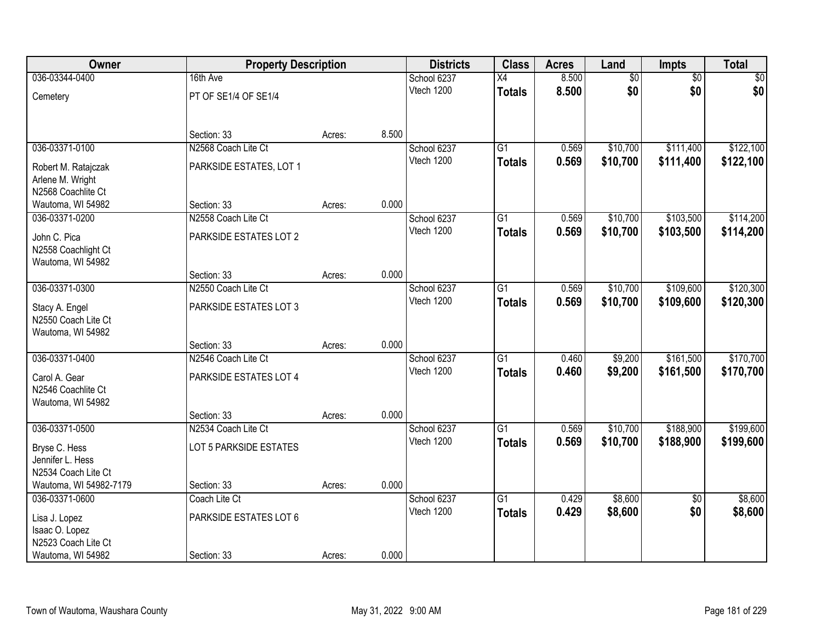| Owner                                    | <b>Property Description</b>        |        |       | <b>Districts</b>          | <b>Class</b>    | <b>Acres</b> | Land            | Impts                  | <b>Total</b> |
|------------------------------------------|------------------------------------|--------|-------|---------------------------|-----------------|--------------|-----------------|------------------------|--------------|
| 036-03344-0400                           | 16th Ave                           |        |       | School 6237               | X4              | 8.500        | $\overline{60}$ | $\overline{50}$        | \$0          |
| Cemetery                                 | PT OF SE1/4 OF SE1/4               |        |       | Vtech 1200                | <b>Totals</b>   | 8.500        | \$0             | \$0                    | \$0          |
|                                          |                                    |        | 8.500 |                           |                 |              |                 |                        |              |
| 036-03371-0100                           | Section: 33<br>N2568 Coach Lite Ct | Acres: |       |                           | $\overline{G1}$ | 0.569        | \$10,700        | \$111,400              | \$122,100    |
|                                          |                                    |        |       | School 6237<br>Vtech 1200 |                 | 0.569        | \$10,700        | \$111,400              |              |
| Robert M. Ratajczak                      | PARKSIDE ESTATES, LOT 1            |        |       |                           | <b>Totals</b>   |              |                 |                        | \$122,100    |
| Arlene M. Wright                         |                                    |        |       |                           |                 |              |                 |                        |              |
| N2568 Coachlite Ct                       |                                    |        |       |                           |                 |              |                 |                        |              |
| Wautoma, WI 54982                        | Section: 33                        | Acres: | 0.000 |                           |                 |              |                 |                        |              |
| 036-03371-0200                           | N2558 Coach Lite Ct                |        |       | School 6237               | $\overline{G1}$ | 0.569        | \$10,700        | \$103,500              | \$114,200    |
| John C. Pica                             | PARKSIDE ESTATES LOT 2             |        |       | Vtech 1200                | <b>Totals</b>   | 0.569        | \$10,700        | \$103,500              | \$114,200    |
| N2558 Coachlight Ct                      |                                    |        |       |                           |                 |              |                 |                        |              |
| Wautoma, WI 54982                        |                                    |        |       |                           |                 |              |                 |                        |              |
|                                          | Section: 33                        | Acres: | 0.000 |                           |                 |              |                 |                        |              |
| 036-03371-0300                           | N2550 Coach Lite Ct                |        |       | School 6237               | $\overline{G1}$ | 0.569        | \$10,700        | \$109,600              | \$120,300    |
| Stacy A. Engel                           | PARKSIDE ESTATES LOT 3             |        |       | Vtech 1200                | <b>Totals</b>   | 0.569        | \$10,700        | \$109,600              | \$120,300    |
| N2550 Coach Lite Ct                      |                                    |        |       |                           |                 |              |                 |                        |              |
| Wautoma, WI 54982                        |                                    |        |       |                           |                 |              |                 |                        |              |
|                                          | Section: 33                        | Acres: | 0.000 |                           |                 |              |                 |                        |              |
| 036-03371-0400                           | N2546 Coach Lite Ct                |        |       | School 6237               | $\overline{G1}$ | 0.460        | \$9,200         | \$161,500              | \$170,700    |
|                                          |                                    |        |       | Vtech 1200                | <b>Totals</b>   | 0.460        | \$9,200         | \$161,500              | \$170,700    |
| Carol A. Gear<br>N2546 Coachlite Ct      | PARKSIDE ESTATES LOT 4             |        |       |                           |                 |              |                 |                        |              |
| Wautoma, WI 54982                        |                                    |        |       |                           |                 |              |                 |                        |              |
|                                          | Section: 33                        | Acres: | 0.000 |                           |                 |              |                 |                        |              |
| 036-03371-0500                           | N2534 Coach Lite Ct                |        |       | School 6237               | G1              | 0.569        | \$10,700        | \$188,900              | \$199,600    |
|                                          |                                    |        |       | Vtech 1200                | <b>Totals</b>   | 0.569        | \$10,700        | \$188,900              | \$199,600    |
| Bryse C. Hess                            | LOT 5 PARKSIDE ESTATES             |        |       |                           |                 |              |                 |                        |              |
| Jennifer L. Hess                         |                                    |        |       |                           |                 |              |                 |                        |              |
| N2534 Coach Lite Ct                      |                                    |        | 0.000 |                           |                 |              |                 |                        |              |
| Wautoma, WI 54982-7179<br>036-03371-0600 | Section: 33<br>Coach Lite Ct       | Acres: |       |                           | G1              | 0.429        | \$8,600         |                        | \$8,600      |
|                                          |                                    |        |       | School 6237<br>Vtech 1200 |                 | 0.429        |                 | $\overline{50}$<br>\$0 |              |
| Lisa J. Lopez                            | PARKSIDE ESTATES LOT 6             |        |       |                           | <b>Totals</b>   |              | \$8,600         |                        | \$8,600      |
| Isaac O. Lopez                           |                                    |        |       |                           |                 |              |                 |                        |              |
| N2523 Coach Lite Ct                      |                                    |        |       |                           |                 |              |                 |                        |              |
| Wautoma, WI 54982                        | Section: 33                        | Acres: | 0.000 |                           |                 |              |                 |                        |              |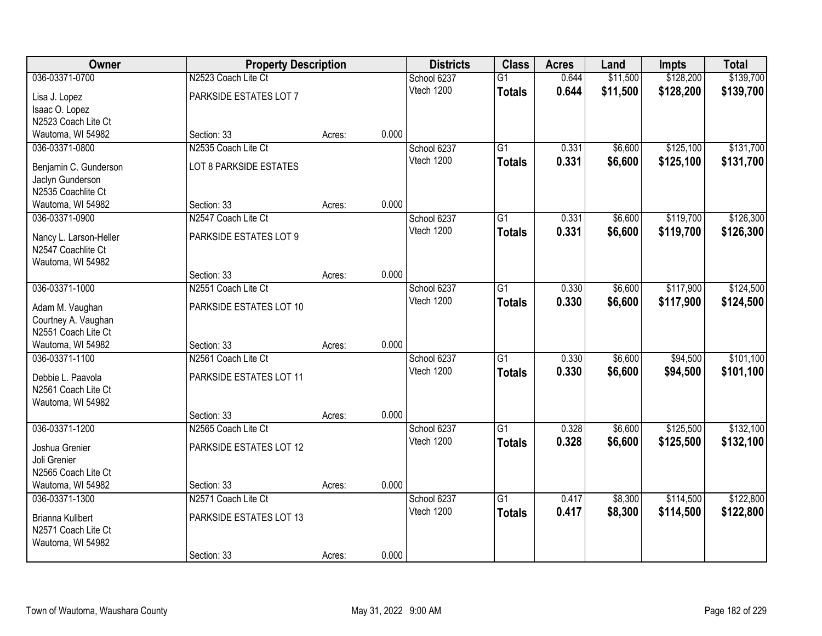| \$128,200<br>\$139,700<br>036-03371-0700<br>N2523 Coach Lite Ct<br>0.644<br>\$11,500<br>School 6237<br>$\overline{G1}$<br>Vtech 1200<br>0.644<br>\$11,500<br>\$128,200<br>\$139,700<br><b>Totals</b><br>PARKSIDE ESTATES LOT 7<br>Lisa J. Lopez<br>Isaac O. Lopez<br>N2523 Coach Lite Ct<br>0.000<br>Wautoma, WI 54982<br>Section: 33<br>Acres:<br>N2535 Coach Lite Ct<br>$\overline{G1}$<br>\$6,600<br>\$125,100<br>036-03371-0800<br>School 6237<br>0.331<br>0.331<br>Vtech 1200<br>\$6,600<br>\$125,100<br><b>Totals</b><br>LOT 8 PARKSIDE ESTATES<br>Benjamin C. Gunderson<br>Jaclyn Gunderson<br>N2535 Coachlite Ct<br>0.000<br>Section: 33<br>Wautoma, WI 54982<br>Acres:<br>\$119,700<br>036-03371-0900<br>N2547 Coach Lite Ct<br>School 6237<br>G1<br>0.331<br>\$6,600<br>Vtech 1200<br>0.331<br>\$6,600<br>\$119,700<br><b>Totals</b><br>PARKSIDE ESTATES LOT 9<br>Nancy L. Larson-Heller<br>N2547 Coachlite Ct<br>Wautoma, WI 54982<br>0.000<br>Section: 33<br>Acres:<br>036-03371-1000<br>N2551 Coach Lite Ct<br>\$6,600<br>\$117,900<br>School 6237<br>G1<br>0.330<br>Vtech 1200<br>0.330<br>\$6,600<br>\$117,900<br><b>Totals</b><br>PARKSIDE ESTATES LOT 10<br>Adam M. Vaughan<br>Courtney A. Vaughan<br>N2551 Coach Lite Ct<br>0.000<br>Wautoma, WI 54982<br>Section: 33<br>Acres:<br>\$6,600<br>\$94,500<br>036-03371-1100<br>N2561 Coach Lite Ct<br>$\overline{G1}$<br>0.330<br>School 6237<br>0.330<br>Vtech 1200<br>\$6,600<br>\$94,500<br><b>Totals</b><br>PARKSIDE ESTATES LOT 11<br>Debbie L. Paavola<br>N2561 Coach Lite Ct<br>Wautoma, WI 54982<br>0.000<br>Section: 33<br>Acres:<br>036-03371-1200<br>$\overline{G1}$<br>\$6,600<br>\$125,500<br>N2565 Coach Lite Ct<br>School 6237<br>0.328<br>Vtech 1200<br>0.328<br>\$6,600<br>\$125,500<br><b>Totals</b><br>PARKSIDE ESTATES LOT 12<br>Joshua Grenier<br>Joli Grenier<br>N2565 Coach Lite Ct<br>0.000<br>Wautoma, WI 54982<br>Section: 33<br>Acres:<br>036-03371-1300<br>$\overline{G1}$<br>\$8,300<br>\$114,500<br>N2571 Coach Lite Ct<br>School 6237<br>0.417<br>Vtech 1200<br>0.417<br>\$8,300<br>\$114,500<br><b>Totals</b><br>PARKSIDE ESTATES LOT 13<br>Brianna Kulibert<br>N2571 Coach Lite Ct<br>Wautoma, WI 54982 | Owner | <b>Property Description</b> |        |       | <b>Districts</b> | <b>Class</b> | <b>Acres</b> | Land | <b>Impts</b> | <b>Total</b> |
|---------------------------------------------------------------------------------------------------------------------------------------------------------------------------------------------------------------------------------------------------------------------------------------------------------------------------------------------------------------------------------------------------------------------------------------------------------------------------------------------------------------------------------------------------------------------------------------------------------------------------------------------------------------------------------------------------------------------------------------------------------------------------------------------------------------------------------------------------------------------------------------------------------------------------------------------------------------------------------------------------------------------------------------------------------------------------------------------------------------------------------------------------------------------------------------------------------------------------------------------------------------------------------------------------------------------------------------------------------------------------------------------------------------------------------------------------------------------------------------------------------------------------------------------------------------------------------------------------------------------------------------------------------------------------------------------------------------------------------------------------------------------------------------------------------------------------------------------------------------------------------------------------------------------------------------------------------------------------------------------------------------------------------------------------------------------------------------------------------------------------------------------------------------------------------------------------------|-------|-----------------------------|--------|-------|------------------|--------------|--------------|------|--------------|--------------|
|                                                                                                                                                                                                                                                                                                                                                                                                                                                                                                                                                                                                                                                                                                                                                                                                                                                                                                                                                                                                                                                                                                                                                                                                                                                                                                                                                                                                                                                                                                                                                                                                                                                                                                                                                                                                                                                                                                                                                                                                                                                                                                                                                                                                         |       |                             |        |       |                  |              |              |      |              |              |
| \$131,700<br>\$131,700<br>\$126,300<br>\$126,300                                                                                                                                                                                                                                                                                                                                                                                                                                                                                                                                                                                                                                                                                                                                                                                                                                                                                                                                                                                                                                                                                                                                                                                                                                                                                                                                                                                                                                                                                                                                                                                                                                                                                                                                                                                                                                                                                                                                                                                                                                                                                                                                                        |       |                             |        |       |                  |              |              |      |              |              |
|                                                                                                                                                                                                                                                                                                                                                                                                                                                                                                                                                                                                                                                                                                                                                                                                                                                                                                                                                                                                                                                                                                                                                                                                                                                                                                                                                                                                                                                                                                                                                                                                                                                                                                                                                                                                                                                                                                                                                                                                                                                                                                                                                                                                         |       |                             |        |       |                  |              |              |      |              |              |
|                                                                                                                                                                                                                                                                                                                                                                                                                                                                                                                                                                                                                                                                                                                                                                                                                                                                                                                                                                                                                                                                                                                                                                                                                                                                                                                                                                                                                                                                                                                                                                                                                                                                                                                                                                                                                                                                                                                                                                                                                                                                                                                                                                                                         |       |                             |        |       |                  |              |              |      |              |              |
|                                                                                                                                                                                                                                                                                                                                                                                                                                                                                                                                                                                                                                                                                                                                                                                                                                                                                                                                                                                                                                                                                                                                                                                                                                                                                                                                                                                                                                                                                                                                                                                                                                                                                                                                                                                                                                                                                                                                                                                                                                                                                                                                                                                                         |       |                             |        |       |                  |              |              |      |              |              |
|                                                                                                                                                                                                                                                                                                                                                                                                                                                                                                                                                                                                                                                                                                                                                                                                                                                                                                                                                                                                                                                                                                                                                                                                                                                                                                                                                                                                                                                                                                                                                                                                                                                                                                                                                                                                                                                                                                                                                                                                                                                                                                                                                                                                         |       |                             |        |       |                  |              |              |      |              |              |
|                                                                                                                                                                                                                                                                                                                                                                                                                                                                                                                                                                                                                                                                                                                                                                                                                                                                                                                                                                                                                                                                                                                                                                                                                                                                                                                                                                                                                                                                                                                                                                                                                                                                                                                                                                                                                                                                                                                                                                                                                                                                                                                                                                                                         |       |                             |        |       |                  |              |              |      |              |              |
|                                                                                                                                                                                                                                                                                                                                                                                                                                                                                                                                                                                                                                                                                                                                                                                                                                                                                                                                                                                                                                                                                                                                                                                                                                                                                                                                                                                                                                                                                                                                                                                                                                                                                                                                                                                                                                                                                                                                                                                                                                                                                                                                                                                                         |       |                             |        |       |                  |              |              |      |              |              |
|                                                                                                                                                                                                                                                                                                                                                                                                                                                                                                                                                                                                                                                                                                                                                                                                                                                                                                                                                                                                                                                                                                                                                                                                                                                                                                                                                                                                                                                                                                                                                                                                                                                                                                                                                                                                                                                                                                                                                                                                                                                                                                                                                                                                         |       |                             |        |       |                  |              |              |      |              |              |
|                                                                                                                                                                                                                                                                                                                                                                                                                                                                                                                                                                                                                                                                                                                                                                                                                                                                                                                                                                                                                                                                                                                                                                                                                                                                                                                                                                                                                                                                                                                                                                                                                                                                                                                                                                                                                                                                                                                                                                                                                                                                                                                                                                                                         |       |                             |        |       |                  |              |              |      |              |              |
|                                                                                                                                                                                                                                                                                                                                                                                                                                                                                                                                                                                                                                                                                                                                                                                                                                                                                                                                                                                                                                                                                                                                                                                                                                                                                                                                                                                                                                                                                                                                                                                                                                                                                                                                                                                                                                                                                                                                                                                                                                                                                                                                                                                                         |       |                             |        |       |                  |              |              |      |              |              |
|                                                                                                                                                                                                                                                                                                                                                                                                                                                                                                                                                                                                                                                                                                                                                                                                                                                                                                                                                                                                                                                                                                                                                                                                                                                                                                                                                                                                                                                                                                                                                                                                                                                                                                                                                                                                                                                                                                                                                                                                                                                                                                                                                                                                         |       |                             |        |       |                  |              |              |      |              |              |
|                                                                                                                                                                                                                                                                                                                                                                                                                                                                                                                                                                                                                                                                                                                                                                                                                                                                                                                                                                                                                                                                                                                                                                                                                                                                                                                                                                                                                                                                                                                                                                                                                                                                                                                                                                                                                                                                                                                                                                                                                                                                                                                                                                                                         |       |                             |        |       |                  |              |              |      |              |              |
|                                                                                                                                                                                                                                                                                                                                                                                                                                                                                                                                                                                                                                                                                                                                                                                                                                                                                                                                                                                                                                                                                                                                                                                                                                                                                                                                                                                                                                                                                                                                                                                                                                                                                                                                                                                                                                                                                                                                                                                                                                                                                                                                                                                                         |       |                             |        |       |                  |              |              |      |              |              |
| \$124,500<br>\$124,500<br>\$101,100<br>\$101,100<br>\$132,100<br>\$132,100<br>\$122,800<br>\$122,800                                                                                                                                                                                                                                                                                                                                                                                                                                                                                                                                                                                                                                                                                                                                                                                                                                                                                                                                                                                                                                                                                                                                                                                                                                                                                                                                                                                                                                                                                                                                                                                                                                                                                                                                                                                                                                                                                                                                                                                                                                                                                                    |       |                             |        |       |                  |              |              |      |              |              |
|                                                                                                                                                                                                                                                                                                                                                                                                                                                                                                                                                                                                                                                                                                                                                                                                                                                                                                                                                                                                                                                                                                                                                                                                                                                                                                                                                                                                                                                                                                                                                                                                                                                                                                                                                                                                                                                                                                                                                                                                                                                                                                                                                                                                         |       |                             |        |       |                  |              |              |      |              |              |
|                                                                                                                                                                                                                                                                                                                                                                                                                                                                                                                                                                                                                                                                                                                                                                                                                                                                                                                                                                                                                                                                                                                                                                                                                                                                                                                                                                                                                                                                                                                                                                                                                                                                                                                                                                                                                                                                                                                                                                                                                                                                                                                                                                                                         |       |                             |        |       |                  |              |              |      |              |              |
|                                                                                                                                                                                                                                                                                                                                                                                                                                                                                                                                                                                                                                                                                                                                                                                                                                                                                                                                                                                                                                                                                                                                                                                                                                                                                                                                                                                                                                                                                                                                                                                                                                                                                                                                                                                                                                                                                                                                                                                                                                                                                                                                                                                                         |       |                             |        |       |                  |              |              |      |              |              |
|                                                                                                                                                                                                                                                                                                                                                                                                                                                                                                                                                                                                                                                                                                                                                                                                                                                                                                                                                                                                                                                                                                                                                                                                                                                                                                                                                                                                                                                                                                                                                                                                                                                                                                                                                                                                                                                                                                                                                                                                                                                                                                                                                                                                         |       |                             |        |       |                  |              |              |      |              |              |
|                                                                                                                                                                                                                                                                                                                                                                                                                                                                                                                                                                                                                                                                                                                                                                                                                                                                                                                                                                                                                                                                                                                                                                                                                                                                                                                                                                                                                                                                                                                                                                                                                                                                                                                                                                                                                                                                                                                                                                                                                                                                                                                                                                                                         |       |                             |        |       |                  |              |              |      |              |              |
|                                                                                                                                                                                                                                                                                                                                                                                                                                                                                                                                                                                                                                                                                                                                                                                                                                                                                                                                                                                                                                                                                                                                                                                                                                                                                                                                                                                                                                                                                                                                                                                                                                                                                                                                                                                                                                                                                                                                                                                                                                                                                                                                                                                                         |       |                             |        |       |                  |              |              |      |              |              |
|                                                                                                                                                                                                                                                                                                                                                                                                                                                                                                                                                                                                                                                                                                                                                                                                                                                                                                                                                                                                                                                                                                                                                                                                                                                                                                                                                                                                                                                                                                                                                                                                                                                                                                                                                                                                                                                                                                                                                                                                                                                                                                                                                                                                         |       |                             |        |       |                  |              |              |      |              |              |
|                                                                                                                                                                                                                                                                                                                                                                                                                                                                                                                                                                                                                                                                                                                                                                                                                                                                                                                                                                                                                                                                                                                                                                                                                                                                                                                                                                                                                                                                                                                                                                                                                                                                                                                                                                                                                                                                                                                                                                                                                                                                                                                                                                                                         |       |                             |        |       |                  |              |              |      |              |              |
|                                                                                                                                                                                                                                                                                                                                                                                                                                                                                                                                                                                                                                                                                                                                                                                                                                                                                                                                                                                                                                                                                                                                                                                                                                                                                                                                                                                                                                                                                                                                                                                                                                                                                                                                                                                                                                                                                                                                                                                                                                                                                                                                                                                                         |       |                             |        |       |                  |              |              |      |              |              |
|                                                                                                                                                                                                                                                                                                                                                                                                                                                                                                                                                                                                                                                                                                                                                                                                                                                                                                                                                                                                                                                                                                                                                                                                                                                                                                                                                                                                                                                                                                                                                                                                                                                                                                                                                                                                                                                                                                                                                                                                                                                                                                                                                                                                         |       |                             |        |       |                  |              |              |      |              |              |
|                                                                                                                                                                                                                                                                                                                                                                                                                                                                                                                                                                                                                                                                                                                                                                                                                                                                                                                                                                                                                                                                                                                                                                                                                                                                                                                                                                                                                                                                                                                                                                                                                                                                                                                                                                                                                                                                                                                                                                                                                                                                                                                                                                                                         |       |                             |        |       |                  |              |              |      |              |              |
|                                                                                                                                                                                                                                                                                                                                                                                                                                                                                                                                                                                                                                                                                                                                                                                                                                                                                                                                                                                                                                                                                                                                                                                                                                                                                                                                                                                                                                                                                                                                                                                                                                                                                                                                                                                                                                                                                                                                                                                                                                                                                                                                                                                                         |       |                             |        |       |                  |              |              |      |              |              |
|                                                                                                                                                                                                                                                                                                                                                                                                                                                                                                                                                                                                                                                                                                                                                                                                                                                                                                                                                                                                                                                                                                                                                                                                                                                                                                                                                                                                                                                                                                                                                                                                                                                                                                                                                                                                                                                                                                                                                                                                                                                                                                                                                                                                         |       |                             |        |       |                  |              |              |      |              |              |
|                                                                                                                                                                                                                                                                                                                                                                                                                                                                                                                                                                                                                                                                                                                                                                                                                                                                                                                                                                                                                                                                                                                                                                                                                                                                                                                                                                                                                                                                                                                                                                                                                                                                                                                                                                                                                                                                                                                                                                                                                                                                                                                                                                                                         |       |                             |        |       |                  |              |              |      |              |              |
|                                                                                                                                                                                                                                                                                                                                                                                                                                                                                                                                                                                                                                                                                                                                                                                                                                                                                                                                                                                                                                                                                                                                                                                                                                                                                                                                                                                                                                                                                                                                                                                                                                                                                                                                                                                                                                                                                                                                                                                                                                                                                                                                                                                                         |       |                             |        |       |                  |              |              |      |              |              |
|                                                                                                                                                                                                                                                                                                                                                                                                                                                                                                                                                                                                                                                                                                                                                                                                                                                                                                                                                                                                                                                                                                                                                                                                                                                                                                                                                                                                                                                                                                                                                                                                                                                                                                                                                                                                                                                                                                                                                                                                                                                                                                                                                                                                         |       |                             |        |       |                  |              |              |      |              |              |
|                                                                                                                                                                                                                                                                                                                                                                                                                                                                                                                                                                                                                                                                                                                                                                                                                                                                                                                                                                                                                                                                                                                                                                                                                                                                                                                                                                                                                                                                                                                                                                                                                                                                                                                                                                                                                                                                                                                                                                                                                                                                                                                                                                                                         |       |                             |        |       |                  |              |              |      |              |              |
|                                                                                                                                                                                                                                                                                                                                                                                                                                                                                                                                                                                                                                                                                                                                                                                                                                                                                                                                                                                                                                                                                                                                                                                                                                                                                                                                                                                                                                                                                                                                                                                                                                                                                                                                                                                                                                                                                                                                                                                                                                                                                                                                                                                                         |       |                             |        |       |                  |              |              |      |              |              |
|                                                                                                                                                                                                                                                                                                                                                                                                                                                                                                                                                                                                                                                                                                                                                                                                                                                                                                                                                                                                                                                                                                                                                                                                                                                                                                                                                                                                                                                                                                                                                                                                                                                                                                                                                                                                                                                                                                                                                                                                                                                                                                                                                                                                         |       |                             |        |       |                  |              |              |      |              |              |
|                                                                                                                                                                                                                                                                                                                                                                                                                                                                                                                                                                                                                                                                                                                                                                                                                                                                                                                                                                                                                                                                                                                                                                                                                                                                                                                                                                                                                                                                                                                                                                                                                                                                                                                                                                                                                                                                                                                                                                                                                                                                                                                                                                                                         |       | Section: 33                 | Acres: | 0.000 |                  |              |              |      |              |              |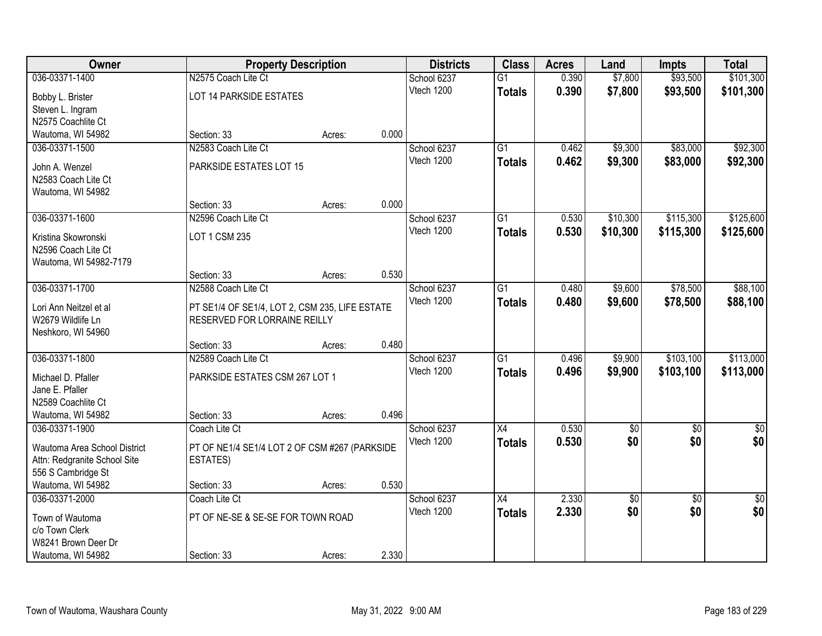| Owner                        | <b>Property Description</b>                    |        |       | <b>Districts</b>          | <b>Class</b>    | <b>Acres</b> | Land       | <b>Impts</b>    | <b>Total</b> |
|------------------------------|------------------------------------------------|--------|-------|---------------------------|-----------------|--------------|------------|-----------------|--------------|
| 036-03371-1400               | N2575 Coach Lite Ct                            |        |       | School 6237               | $\overline{G1}$ | 0.390        | \$7,800    | \$93,500        | \$101,300    |
| Bobby L. Brister             | LOT 14 PARKSIDE ESTATES                        |        |       | Vtech 1200                | <b>Totals</b>   | 0.390        | \$7,800    | \$93,500        | \$101,300    |
| Steven L. Ingram             |                                                |        |       |                           |                 |              |            |                 |              |
| N2575 Coachlite Ct           |                                                |        |       |                           |                 |              |            |                 |              |
| Wautoma, WI 54982            | Section: 33                                    | Acres: | 0.000 |                           |                 |              |            |                 |              |
| 036-03371-1500               | N2583 Coach Lite Ct                            |        |       | School 6237               | $\overline{G1}$ | 0.462        | \$9,300    | \$83,000        | \$92,300     |
| John A. Wenzel               | PARKSIDE ESTATES LOT 15                        |        |       | Vtech 1200                | <b>Totals</b>   | 0.462        | \$9,300    | \$83,000        | \$92,300     |
| N2583 Coach Lite Ct          |                                                |        |       |                           |                 |              |            |                 |              |
| Wautoma, WI 54982            |                                                |        |       |                           |                 |              |            |                 |              |
|                              | Section: 33                                    | Acres: | 0.000 |                           |                 |              |            |                 |              |
| 036-03371-1600               | N2596 Coach Lite Ct                            |        |       | School 6237               | $\overline{G1}$ | 0.530        | \$10,300   | \$115,300       | \$125,600    |
| Kristina Skowronski          | LOT 1 CSM 235                                  |        |       | Vtech 1200                | <b>Totals</b>   | 0.530        | \$10,300   | \$115,300       | \$125,600    |
| N2596 Coach Lite Ct          |                                                |        |       |                           |                 |              |            |                 |              |
| Wautoma, WI 54982-7179       |                                                |        |       |                           |                 |              |            |                 |              |
|                              | Section: 33                                    | Acres: | 0.530 |                           |                 |              |            |                 |              |
| 036-03371-1700               | N2588 Coach Lite Ct                            |        |       | School 6237               | G1              | 0.480        | \$9,600    | \$78,500        | \$88,100     |
|                              |                                                |        |       | Vtech 1200                | <b>Totals</b>   | 0.480        | \$9,600    | \$78,500        | \$88,100     |
| Lori Ann Neitzel et al       | PT SE1/4 OF SE1/4, LOT 2, CSM 235, LIFE ESTATE |        |       |                           |                 |              |            |                 |              |
| W2679 Wildlife Ln            | RESERVED FOR LORRAINE REILLY                   |        |       |                           |                 |              |            |                 |              |
| Neshkoro, WI 54960           |                                                |        | 0.480 |                           |                 |              |            |                 |              |
| 036-03371-1800               | Section: 33<br>N2589 Coach Lite Ct             | Acres: |       |                           | $\overline{G1}$ | 0.496        | \$9,900    | \$103,100       | \$113,000    |
|                              |                                                |        |       | School 6237<br>Vtech 1200 |                 |              |            |                 |              |
| Michael D. Pfaller           | PARKSIDE ESTATES CSM 267 LOT 1                 |        |       |                           | <b>Totals</b>   | 0.496        | \$9,900    | \$103,100       | \$113,000    |
| Jane E. Pfaller              |                                                |        |       |                           |                 |              |            |                 |              |
| N2589 Coachlite Ct           |                                                |        |       |                           |                 |              |            |                 |              |
| Wautoma, WI 54982            | Section: 33                                    | Acres: | 0.496 |                           |                 |              |            |                 |              |
| 036-03371-1900               | Coach Lite Ct                                  |        |       | School 6237               | X4              | 0.530        | $\sqrt{6}$ | $\overline{50}$ | $\sqrt{30}$  |
| Wautoma Area School District | PT OF NE1/4 SE1/4 LOT 2 OF CSM #267 (PARKSIDE  |        |       | Vtech 1200                | <b>Totals</b>   | 0.530        | \$0        | \$0             | \$0          |
| Attn: Redgranite School Site | <b>ESTATES)</b>                                |        |       |                           |                 |              |            |                 |              |
| 556 S Cambridge St           |                                                |        |       |                           |                 |              |            |                 |              |
| Wautoma, WI 54982            | Section: 33                                    | Acres: | 0.530 |                           |                 |              |            |                 |              |
| 036-03371-2000               | Coach Lite Ct                                  |        |       | School 6237               | $\overline{X4}$ | 2.330        | \$0        | $\overline{50}$ | \$0          |
| Town of Wautoma              | PT OF NE-SE & SE-SE FOR TOWN ROAD              |        |       | Vtech 1200                | <b>Totals</b>   | 2.330        | \$0        | \$0             | \$0          |
| c/o Town Clerk               |                                                |        |       |                           |                 |              |            |                 |              |
| W8241 Brown Deer Dr          |                                                |        |       |                           |                 |              |            |                 |              |
| Wautoma, WI 54982            | Section: 33                                    | Acres: | 2.330 |                           |                 |              |            |                 |              |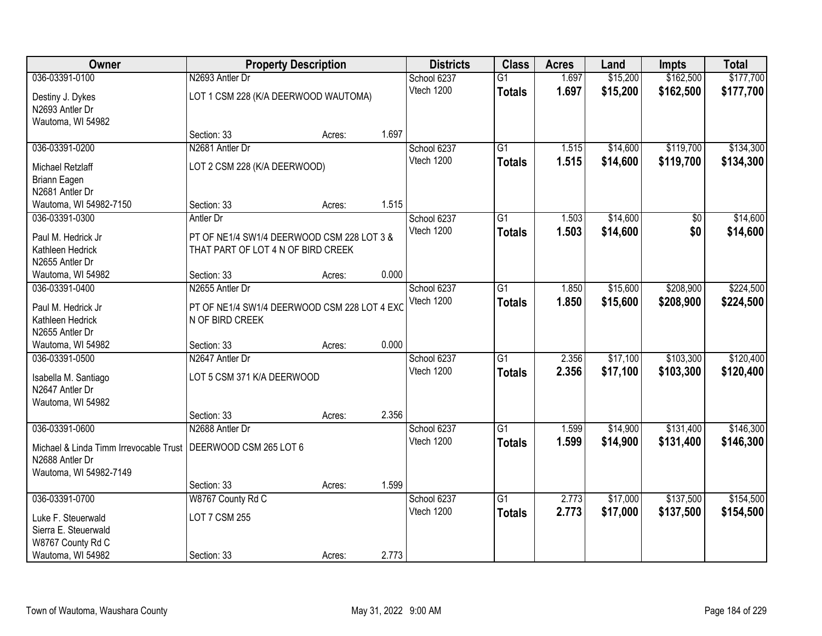| 036-03391-0100<br>Destiny J. Dykes<br>N2693 Antler Dr<br>Wautoma, WI 54982                                                     | N2693 Antler Dr<br>LOT 1 CSM 228 (K/A DEERWOOD WAUTOMA)<br>Section: 33<br>N2681 Antler Dr     | Acres: | 1.697 | School 6237<br>Vtech 1200 | $\overline{G1}$<br><b>Totals</b> | 1.697<br>1.697 | \$15,200<br>\$15,200 | \$162,500<br>\$162,500 | \$177,700<br>\$177,700 |
|--------------------------------------------------------------------------------------------------------------------------------|-----------------------------------------------------------------------------------------------|--------|-------|---------------------------|----------------------------------|----------------|----------------------|------------------------|------------------------|
|                                                                                                                                |                                                                                               |        |       |                           |                                  |                |                      |                        |                        |
|                                                                                                                                |                                                                                               |        |       |                           |                                  |                |                      |                        |                        |
|                                                                                                                                |                                                                                               |        |       |                           |                                  |                |                      |                        |                        |
| 036-03391-0200                                                                                                                 |                                                                                               |        |       | School 6237               | G1                               | 1.515          | \$14,600             | \$119,700              | \$134,300              |
| Michael Retzlaff<br>Briann Eagen<br>N2681 Antler Dr                                                                            | LOT 2 CSM 228 (K/A DEERWOOD)                                                                  |        |       | Vtech 1200                | <b>Totals</b>                    | 1.515          | \$14,600             | \$119,700              | \$134,300              |
| Wautoma, WI 54982-7150                                                                                                         | Section: 33                                                                                   | Acres: | 1.515 |                           |                                  |                |                      |                        |                        |
| 036-03391-0300<br>Paul M. Hedrick Jr<br>Kathleen Hedrick<br>N2655 Antler Dr                                                    | Antler Dr<br>PT OF NE1/4 SW1/4 DEERWOOD CSM 228 LOT 3 &<br>THAT PART OF LOT 4 N OF BIRD CREEK |        |       | School 6237<br>Vtech 1200 | G1<br><b>Totals</b>              | 1.503<br>1.503 | \$14,600<br>\$14,600 | \$0<br>\$0             | \$14,600<br>\$14,600   |
| Wautoma, WI 54982                                                                                                              | Section: 33                                                                                   | Acres: | 0.000 |                           |                                  |                |                      |                        |                        |
| 036-03391-0400                                                                                                                 | N2655 Antler Dr                                                                               |        |       | School 6237               | $\overline{G1}$                  | 1.850          | \$15,600             | \$208,900              | \$224,500              |
| Paul M. Hedrick Jr<br>Kathleen Hedrick<br>N2655 Antler Dr                                                                      | PT OF NE1/4 SW1/4 DEERWOOD CSM 228 LOT 4 EXC<br>N OF BIRD CREEK                               |        |       | Vtech 1200                | <b>Totals</b>                    | 1.850          | \$15,600             | \$208,900              | \$224,500              |
| Wautoma, WI 54982                                                                                                              | Section: 33                                                                                   | Acres: | 0.000 |                           |                                  |                |                      |                        |                        |
| 036-03391-0500<br>Isabella M. Santiago<br>N2647 Antler Dr<br>Wautoma, WI 54982                                                 | N2647 Antler Dr<br>LOT 5 CSM 371 K/A DEERWOOD                                                 |        |       | School 6237<br>Vtech 1200 | $\overline{G1}$<br><b>Totals</b> | 2.356<br>2.356 | \$17,100<br>\$17,100 | \$103,300<br>\$103,300 | \$120,400<br>\$120,400 |
|                                                                                                                                | Section: 33                                                                                   | Acres: | 2.356 |                           |                                  |                |                      |                        |                        |
| 036-03391-0600<br>Michael & Linda Timm Irrevocable Trust   DEERWOOD CSM 265 LOT 6<br>N2688 Antler Dr<br>Wautoma, WI 54982-7149 | N2688 Antler Dr                                                                               |        |       | School 6237<br>Vtech 1200 | G1<br><b>Totals</b>              | 1.599<br>1.599 | \$14,900<br>\$14,900 | \$131,400<br>\$131,400 | \$146,300<br>\$146,300 |
|                                                                                                                                | Section: 33                                                                                   | Acres: | 1.599 |                           |                                  |                |                      |                        |                        |
| 036-03391-0700                                                                                                                 | W8767 County Rd C                                                                             |        |       | School 6237               | $\overline{G1}$                  | 2.773          | \$17,000             | \$137,500              | \$154,500              |
| Luke F. Steuerwald<br>Sierra E. Steuerwald<br>W8767 County Rd C<br>Wautoma, WI 54982                                           | <b>LOT 7 CSM 255</b><br>Section: 33                                                           | Acres: | 2.773 | Vtech 1200                | <b>Totals</b>                    | 2.773          | \$17,000             | \$137,500              | \$154,500              |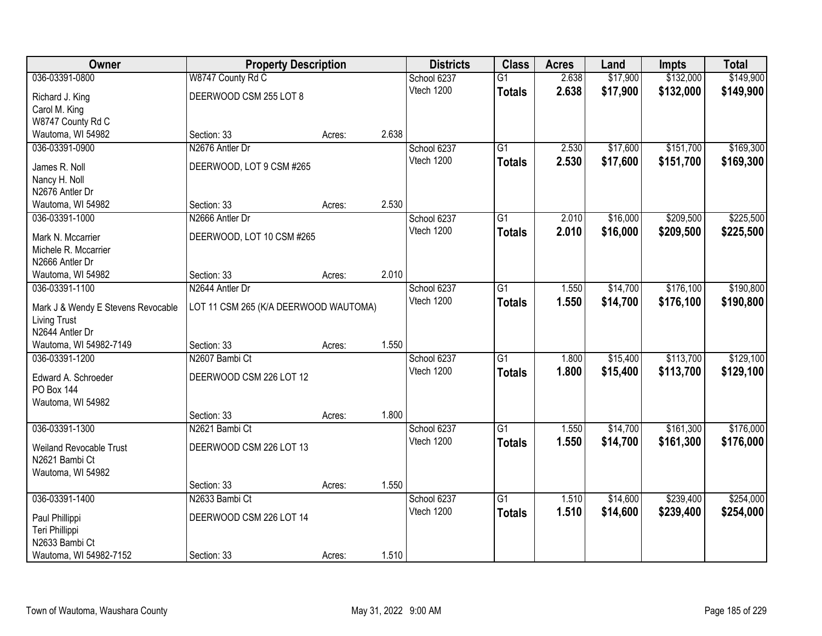| Owner                              | <b>Property Description</b>           |        |       | <b>Districts</b> | <b>Class</b>    | <b>Acres</b> | Land     | <b>Impts</b> | <b>Total</b> |
|------------------------------------|---------------------------------------|--------|-------|------------------|-----------------|--------------|----------|--------------|--------------|
| 036-03391-0800                     | W8747 County Rd C                     |        |       | School 6237      | $\overline{G1}$ | 2.638        | \$17,900 | \$132,000    | \$149,900    |
| Richard J. King                    | DEERWOOD CSM 255 LOT 8                |        |       | Vtech 1200       | <b>Totals</b>   | 2.638        | \$17,900 | \$132,000    | \$149,900    |
| Carol M. King                      |                                       |        |       |                  |                 |              |          |              |              |
| W8747 County Rd C                  |                                       |        |       |                  |                 |              |          |              |              |
| Wautoma, WI 54982                  | Section: 33                           | Acres: | 2.638 |                  |                 |              |          |              |              |
| 036-03391-0900                     | N2676 Antler Dr                       |        |       | School 6237      | $\overline{G1}$ | 2.530        | \$17,600 | \$151,700    | \$169,300    |
| James R. Noll                      | DEERWOOD, LOT 9 CSM #265              |        |       | Vtech 1200       | <b>Totals</b>   | 2.530        | \$17,600 | \$151,700    | \$169,300    |
| Nancy H. Noll                      |                                       |        |       |                  |                 |              |          |              |              |
| N2676 Antler Dr                    |                                       |        |       |                  |                 |              |          |              |              |
| Wautoma, WI 54982                  | Section: 33                           | Acres: | 2.530 |                  |                 |              |          |              |              |
| 036-03391-1000                     | N2666 Antler Dr                       |        |       | School 6237      | G1              | 2.010        | \$16,000 | \$209,500    | \$225,500    |
| Mark N. Mccarrier                  | DEERWOOD, LOT 10 CSM #265             |        |       | Vtech 1200       | <b>Totals</b>   | 2.010        | \$16,000 | \$209,500    | \$225,500    |
| Michele R. Mccarrier               |                                       |        |       |                  |                 |              |          |              |              |
| N2666 Antler Dr                    |                                       |        |       |                  |                 |              |          |              |              |
| Wautoma, WI 54982                  | Section: 33                           | Acres: | 2.010 |                  |                 |              |          |              |              |
| 036-03391-1100                     | N2644 Antler Dr                       |        |       | School 6237      | G1              | 1.550        | \$14,700 | \$176,100    | \$190,800    |
| Mark J & Wendy E Stevens Revocable | LOT 11 CSM 265 (K/A DEERWOOD WAUTOMA) |        |       | Vtech 1200       | <b>Totals</b>   | 1.550        | \$14,700 | \$176,100    | \$190,800    |
| <b>Living Trust</b>                |                                       |        |       |                  |                 |              |          |              |              |
| N2644 Antler Dr                    |                                       |        |       |                  |                 |              |          |              |              |
| Wautoma, WI 54982-7149             | Section: 33                           | Acres: | 1.550 |                  |                 |              |          |              |              |
| 036-03391-1200                     | N2607 Bambi Ct                        |        |       | School 6237      | $\overline{G1}$ | 1.800        | \$15,400 | \$113,700    | \$129,100    |
| Edward A. Schroeder                | DEERWOOD CSM 226 LOT 12               |        |       | Vtech 1200       | <b>Totals</b>   | 1.800        | \$15,400 | \$113,700    | \$129,100    |
| <b>PO Box 144</b>                  |                                       |        |       |                  |                 |              |          |              |              |
| Wautoma, WI 54982                  |                                       |        |       |                  |                 |              |          |              |              |
|                                    | Section: 33                           | Acres: | 1.800 |                  |                 |              |          |              |              |
| 036-03391-1300                     | N2621 Bambi Ct                        |        |       | School 6237      | $\overline{G1}$ | 1.550        | \$14,700 | \$161,300    | \$176,000    |
| Weiland Revocable Trust            | DEERWOOD CSM 226 LOT 13               |        |       | Vtech 1200       | <b>Totals</b>   | 1.550        | \$14,700 | \$161,300    | \$176,000    |
| N2621 Bambi Ct                     |                                       |        |       |                  |                 |              |          |              |              |
| Wautoma, WI 54982                  |                                       |        |       |                  |                 |              |          |              |              |
|                                    | Section: 33                           | Acres: | 1.550 |                  |                 |              |          |              |              |
| 036-03391-1400                     | N2633 Bambi Ct                        |        |       | School 6237      | $\overline{G1}$ | 1.510        | \$14,600 | \$239,400    | \$254,000    |
|                                    | DEERWOOD CSM 226 LOT 14               |        |       | Vtech 1200       | <b>Totals</b>   | 1.510        | \$14,600 | \$239,400    | \$254,000    |
| Paul Phillippi<br>Teri Phillippi   |                                       |        |       |                  |                 |              |          |              |              |
| N2633 Bambi Ct                     |                                       |        |       |                  |                 |              |          |              |              |
| Wautoma, WI 54982-7152             | Section: 33                           | Acres: | 1.510 |                  |                 |              |          |              |              |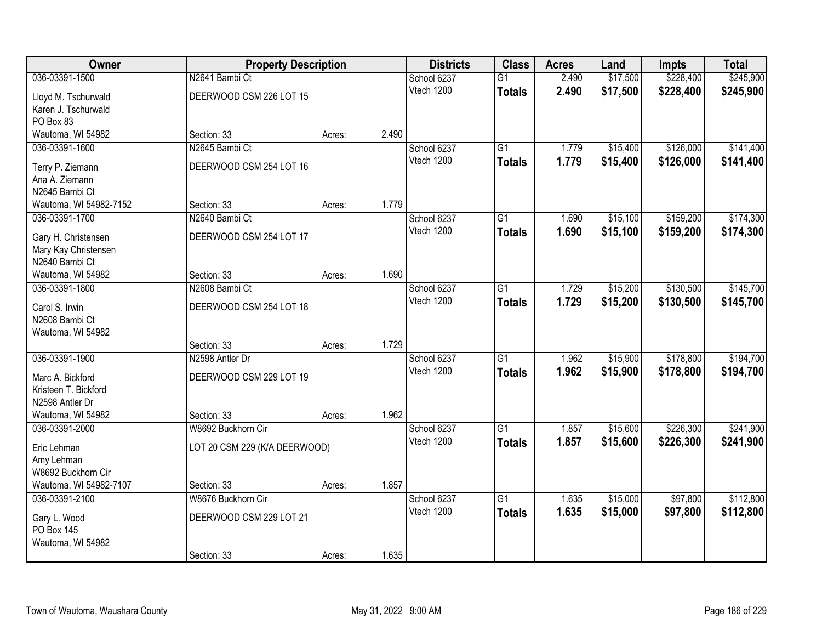| Owner                  | <b>Property Description</b>   |        |       | <b>Districts</b> | <b>Class</b>    | <b>Acres</b> | Land     | <b>Impts</b> | <b>Total</b> |
|------------------------|-------------------------------|--------|-------|------------------|-----------------|--------------|----------|--------------|--------------|
| 036-03391-1500         | N2641 Bambi Ct                |        |       | School 6237      | $\overline{G1}$ | 2.490        | \$17,500 | \$228,400    | \$245,900    |
| Lloyd M. Tschurwald    | DEERWOOD CSM 226 LOT 15       |        |       | Vtech 1200       | <b>Totals</b>   | 2.490        | \$17,500 | \$228,400    | \$245,900    |
| Karen J. Tschurwald    |                               |        |       |                  |                 |              |          |              |              |
| PO Box 83              |                               |        |       |                  |                 |              |          |              |              |
| Wautoma, WI 54982      | Section: 33                   | Acres: | 2.490 |                  |                 |              |          |              |              |
| 036-03391-1600         | N2645 Bambi Ct                |        |       | School 6237      | $\overline{G1}$ | 1.779        | \$15,400 | \$126,000    | \$141,400    |
| Terry P. Ziemann       | DEERWOOD CSM 254 LOT 16       |        |       | Vtech 1200       | <b>Totals</b>   | 1.779        | \$15,400 | \$126,000    | \$141,400    |
| Ana A. Ziemann         |                               |        |       |                  |                 |              |          |              |              |
| N2645 Bambi Ct         |                               |        |       |                  |                 |              |          |              |              |
| Wautoma, WI 54982-7152 | Section: 33                   | Acres: | 1.779 |                  |                 |              |          |              |              |
| 036-03391-1700         | N2640 Bambi Ct                |        |       | School 6237      | G1              | 1.690        | \$15,100 | \$159,200    | \$174,300    |
| Gary H. Christensen    | DEERWOOD CSM 254 LOT 17       |        |       | Vtech 1200       | <b>Totals</b>   | 1.690        | \$15,100 | \$159,200    | \$174,300    |
| Mary Kay Christensen   |                               |        |       |                  |                 |              |          |              |              |
| N2640 Bambi Ct         |                               |        |       |                  |                 |              |          |              |              |
| Wautoma, WI 54982      | Section: 33                   | Acres: | 1.690 |                  |                 |              |          |              |              |
| 036-03391-1800         | N2608 Bambi Ct                |        |       | School 6237      | G1              | 1.729        | \$15,200 | \$130,500    | \$145,700    |
| Carol S. Irwin         | DEERWOOD CSM 254 LOT 18       |        |       | Vtech 1200       | <b>Totals</b>   | 1.729        | \$15,200 | \$130,500    | \$145,700    |
| N2608 Bambi Ct         |                               |        |       |                  |                 |              |          |              |              |
| Wautoma, WI 54982      |                               |        |       |                  |                 |              |          |              |              |
|                        | Section: 33                   | Acres: | 1.729 |                  |                 |              |          |              |              |
| 036-03391-1900         | N2598 Antler Dr               |        |       | School 6237      | $\overline{G1}$ | 1.962        | \$15,900 | \$178,800    | \$194,700    |
| Marc A. Bickford       | DEERWOOD CSM 229 LOT 19       |        |       | Vtech 1200       | <b>Totals</b>   | 1.962        | \$15,900 | \$178,800    | \$194,700    |
| Kristeen T. Bickford   |                               |        |       |                  |                 |              |          |              |              |
| N2598 Antler Dr        |                               |        |       |                  |                 |              |          |              |              |
| Wautoma, WI 54982      | Section: 33                   | Acres: | 1.962 |                  |                 |              |          |              |              |
| 036-03391-2000         | W8692 Buckhorn Cir            |        |       | School 6237      | $\overline{G1}$ | 1.857        | \$15,600 | \$226,300    | \$241,900    |
| Eric Lehman            | LOT 20 CSM 229 (K/A DEERWOOD) |        |       | Vtech 1200       | <b>Totals</b>   | 1.857        | \$15,600 | \$226,300    | \$241,900    |
| Amy Lehman             |                               |        |       |                  |                 |              |          |              |              |
| W8692 Buckhorn Cir     |                               |        |       |                  |                 |              |          |              |              |
| Wautoma, WI 54982-7107 | Section: 33                   | Acres: | 1.857 |                  |                 |              |          |              |              |
| 036-03391-2100         | W8676 Buckhorn Cir            |        |       | School 6237      | $\overline{G1}$ | 1.635        | \$15,000 | \$97,800     | \$112,800    |
| Gary L. Wood           | DEERWOOD CSM 229 LOT 21       |        |       | Vtech 1200       | <b>Totals</b>   | 1.635        | \$15,000 | \$97,800     | \$112,800    |
| PO Box 145             |                               |        |       |                  |                 |              |          |              |              |
| Wautoma, WI 54982      |                               |        |       |                  |                 |              |          |              |              |
|                        | Section: 33                   | Acres: | 1.635 |                  |                 |              |          |              |              |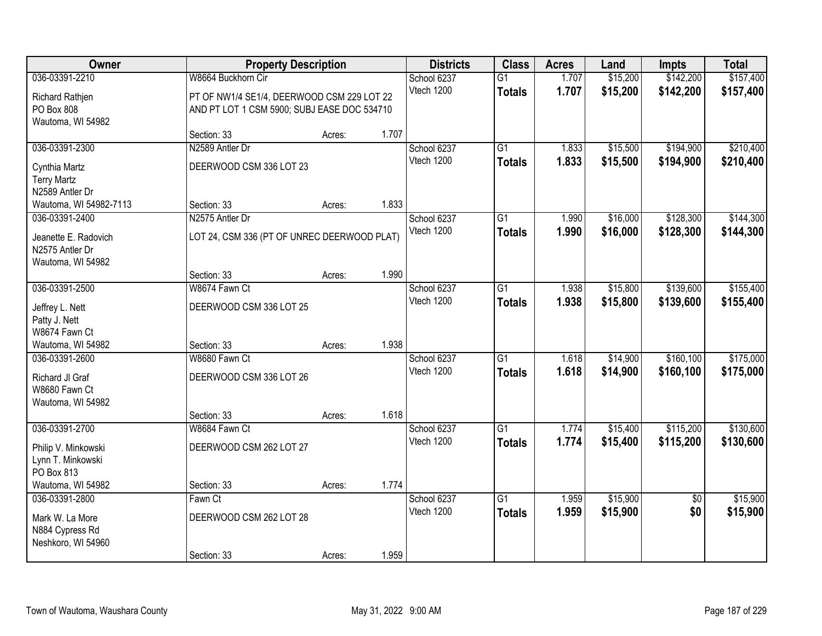| Owner                                                     | <b>Property Description</b>                                                               |        |       | <b>Districts</b>          | <b>Class</b>                     | <b>Acres</b>   | Land                 | <b>Impts</b>            | <b>Total</b>           |
|-----------------------------------------------------------|-------------------------------------------------------------------------------------------|--------|-------|---------------------------|----------------------------------|----------------|----------------------|-------------------------|------------------------|
| 036-03391-2210                                            | W8664 Buckhorn Cir                                                                        |        |       | School 6237               | $\overline{G1}$                  | 1.707          | \$15,200             | \$142,200               | \$157,400              |
| Richard Rathjen<br>PO Box 808<br>Wautoma, WI 54982        | PT OF NW1/4 SE1/4, DEERWOOD CSM 229 LOT 22<br>AND PT LOT 1 CSM 5900; SUBJ EASE DOC 534710 |        |       | Vtech 1200                | <b>Totals</b>                    | 1.707          | \$15,200             | \$142,200               | \$157,400              |
|                                                           | Section: 33                                                                               | Acres: | 1.707 |                           |                                  |                |                      |                         |                        |
| 036-03391-2300                                            | N2589 Antler Dr                                                                           |        |       | School 6237<br>Vtech 1200 | $\overline{G1}$<br><b>Totals</b> | 1.833<br>1.833 | \$15,500<br>\$15,500 | \$194,900<br>\$194,900  | \$210,400<br>\$210,400 |
| Cynthia Martz<br><b>Terry Martz</b><br>N2589 Antler Dr    | DEERWOOD CSM 336 LOT 23                                                                   |        |       |                           |                                  |                |                      |                         |                        |
| Wautoma, WI 54982-7113                                    | Section: 33                                                                               | Acres: | 1.833 |                           |                                  |                |                      |                         |                        |
| 036-03391-2400<br>Jeanette E. Radovich<br>N2575 Antler Dr | N2575 Antler Dr<br>LOT 24, CSM 336 (PT OF UNREC DEERWOOD PLAT)                            |        |       | School 6237<br>Vtech 1200 | G1<br><b>Totals</b>              | 1.990<br>1.990 | \$16,000<br>\$16,000 | \$128,300<br>\$128,300  | \$144,300<br>\$144,300 |
| Wautoma, WI 54982                                         | Section: 33                                                                               | Acres: | 1.990 |                           |                                  |                |                      |                         |                        |
| 036-03391-2500                                            | W8674 Fawn Ct                                                                             |        |       | School 6237               | G1                               | 1.938          | \$15,800             | \$139,600               | \$155,400              |
| Jeffrey L. Nett<br>Patty J. Nett                          | DEERWOOD CSM 336 LOT 25                                                                   |        |       | Vtech 1200                | <b>Totals</b>                    | 1.938          | \$15,800             | \$139,600               | \$155,400              |
| W8674 Fawn Ct<br>Wautoma, WI 54982                        | Section: 33                                                                               | Acres: | 1.938 |                           |                                  |                |                      |                         |                        |
| 036-03391-2600<br>Richard JI Graf<br>W8680 Fawn Ct        | W8680 Fawn Ct<br>DEERWOOD CSM 336 LOT 26                                                  |        |       | School 6237<br>Vtech 1200 | $\overline{G1}$<br><b>Totals</b> | 1.618<br>1.618 | \$14,900<br>\$14,900 | \$160, 100<br>\$160,100 | \$175,000<br>\$175,000 |
| Wautoma, WI 54982                                         | Section: 33                                                                               | Acres: | 1.618 |                           |                                  |                |                      |                         |                        |
| 036-03391-2700                                            | W8684 Fawn Ct                                                                             |        |       | School 6237               | $\overline{G1}$                  | 1.774          | \$15,400             | \$115,200               | \$130,600              |
| Philip V. Minkowski<br>Lynn T. Minkowski<br>PO Box 813    | DEERWOOD CSM 262 LOT 27                                                                   |        |       | Vtech 1200                | <b>Totals</b>                    | 1.774          | \$15,400             | \$115,200               | \$130,600              |
| Wautoma, WI 54982                                         | Section: 33                                                                               | Acres: | 1.774 |                           |                                  |                |                      |                         |                        |
| 036-03391-2800                                            | Fawn Ct                                                                                   |        |       | School 6237               | $\overline{G1}$                  | 1.959          | \$15,900             | $\overline{50}$         | \$15,900               |
| Mark W. La More<br>N884 Cypress Rd<br>Neshkoro, WI 54960  | DEERWOOD CSM 262 LOT 28                                                                   |        |       | Vtech 1200                | <b>Totals</b>                    | 1.959          | \$15,900             | \$0                     | \$15,900               |
|                                                           | Section: 33                                                                               | Acres: | 1.959 |                           |                                  |                |                      |                         |                        |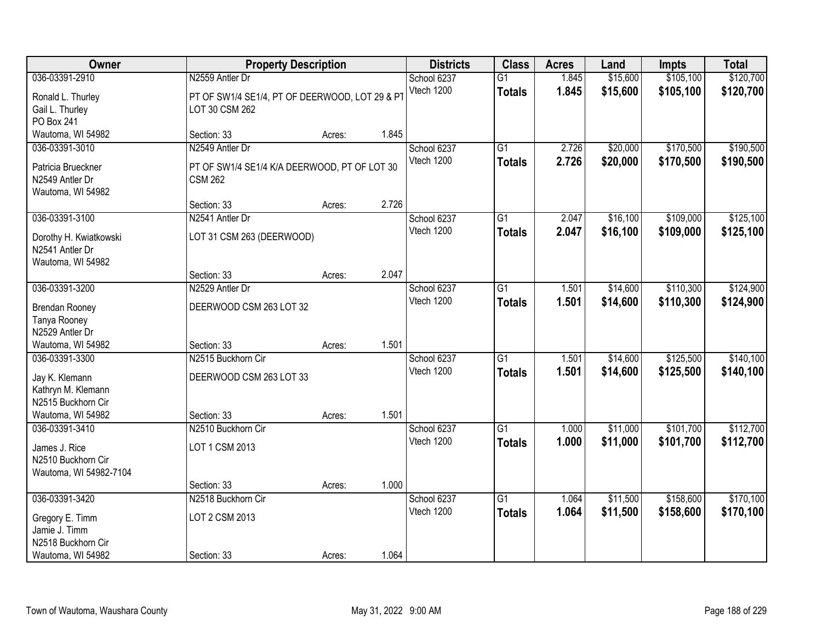| Owner                                                                                             |                                                                                   | <b>Property Description</b> |       | <b>Districts</b>          | <b>Class</b>                     | <b>Acres</b>   | Land                 | <b>Impts</b>           | <b>Total</b>           |
|---------------------------------------------------------------------------------------------------|-----------------------------------------------------------------------------------|-----------------------------|-------|---------------------------|----------------------------------|----------------|----------------------|------------------------|------------------------|
| 036-03391-2910                                                                                    | N2559 Antler Dr                                                                   |                             |       | School 6237               | $\overline{G1}$                  | 1.845          | \$15,600             | \$105,100              | \$120,700              |
| Ronald L. Thurley<br>Gail L. Thurley<br>PO Box 241                                                | PT OF SW1/4 SE1/4, PT OF DEERWOOD, LOT 29 & PT<br>LOT 30 CSM 262                  |                             |       | Vtech 1200                | <b>Totals</b>                    | 1.845          | \$15,600             | \$105,100              | \$120,700              |
| Wautoma, WI 54982                                                                                 | Section: 33                                                                       | Acres:                      | 1.845 |                           |                                  |                |                      |                        |                        |
| 036-03391-3010<br>Patricia Brueckner<br>N2549 Antler Dr<br>Wautoma, WI 54982                      | N2549 Antler Dr<br>PT OF SW1/4 SE1/4 K/A DEERWOOD, PT OF LOT 30<br><b>CSM 262</b> |                             |       | School 6237<br>Vtech 1200 | $\overline{G1}$<br><b>Totals</b> | 2.726<br>2.726 | \$20,000<br>\$20,000 | \$170,500<br>\$170,500 | \$190,500<br>\$190,500 |
|                                                                                                   | Section: 33                                                                       | Acres:                      | 2.726 |                           |                                  |                |                      |                        |                        |
| 036-03391-3100<br>Dorothy H. Kwiatkowski<br>N2541 Antler Dr<br>Wautoma, WI 54982                  | N2541 Antler Dr<br>LOT 31 CSM 263 (DEERWOOD)                                      |                             |       | School 6237<br>Vtech 1200 | $\overline{G1}$<br><b>Totals</b> | 2.047<br>2.047 | \$16,100<br>\$16,100 | \$109,000<br>\$109,000 | \$125,100<br>\$125,100 |
|                                                                                                   | Section: 33                                                                       | Acres:                      | 2.047 |                           |                                  |                |                      |                        |                        |
| 036-03391-3200<br><b>Brendan Rooney</b><br>Tanya Rooney                                           | N2529 Antler Dr<br>DEERWOOD CSM 263 LOT 32                                        |                             |       | School 6237<br>Vtech 1200 | $\overline{G1}$<br><b>Totals</b> | 1.501<br>1.501 | \$14,600<br>\$14,600 | \$110,300<br>\$110,300 | \$124,900<br>\$124,900 |
| N2529 Antler Dr<br>Wautoma, WI 54982                                                              | Section: 33                                                                       | Acres:                      | 1.501 |                           |                                  |                |                      |                        |                        |
| 036-03391-3300<br>Jay K. Klemann<br>Kathryn M. Klemann<br>N2515 Buckhorn Cir<br>Wautoma, WI 54982 | N2515 Buckhorn Cir<br>DEERWOOD CSM 263 LOT 33<br>Section: 33                      | Acres:                      | 1.501 | School 6237<br>Vtech 1200 | $\overline{G1}$<br><b>Totals</b> | 1.501<br>1.501 | \$14,600<br>\$14,600 | \$125,500<br>\$125,500 | \$140,100<br>\$140,100 |
| 036-03391-3410<br>James J. Rice<br>N2510 Buckhorn Cir<br>Wautoma, WI 54982-7104                   | N2510 Buckhorn Cir<br>LOT 1 CSM 2013                                              |                             |       | School 6237<br>Vtech 1200 | G1<br><b>Totals</b>              | 1.000<br>1.000 | \$11,000<br>\$11,000 | \$101,700<br>\$101,700 | \$112,700<br>\$112,700 |
|                                                                                                   | Section: 33                                                                       | Acres:                      | 1.000 |                           |                                  |                |                      |                        |                        |
| 036-03391-3420<br>Gregory E. Timm<br>Jamie J. Timm<br>N2518 Buckhorn Cir                          | N2518 Buckhorn Cir<br>LOT 2 CSM 2013<br>Section: 33                               |                             | 1.064 | School 6237<br>Vtech 1200 | $\overline{G1}$<br><b>Totals</b> | 1.064<br>1.064 | \$11,500<br>\$11,500 | \$158,600<br>\$158,600 | \$170,100<br>\$170,100 |
| Wautoma, WI 54982                                                                                 |                                                                                   | Acres:                      |       |                           |                                  |                |                      |                        |                        |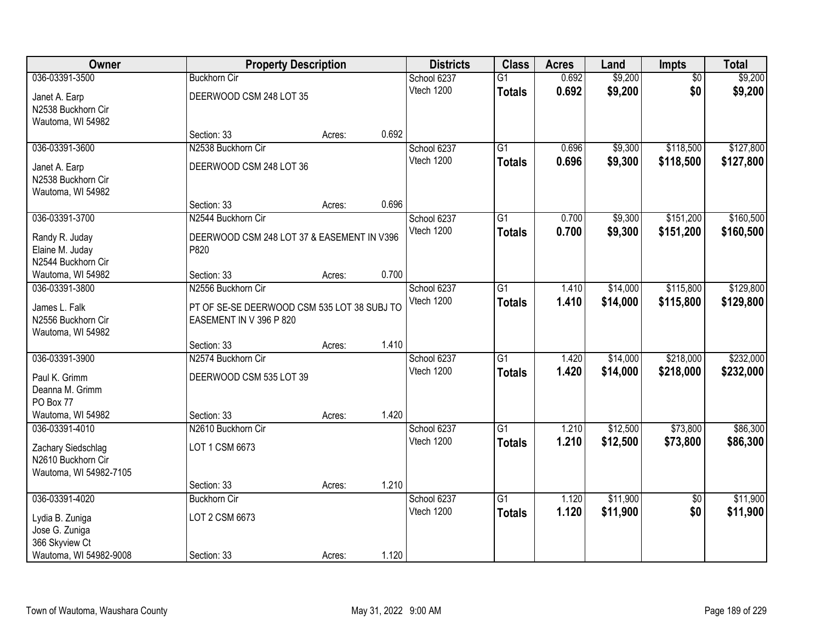| Owner                  | <b>Property Description</b>                 |        |       | <b>Districts</b> | <b>Class</b>    | <b>Acres</b> | Land     | Impts           | <b>Total</b> |
|------------------------|---------------------------------------------|--------|-------|------------------|-----------------|--------------|----------|-----------------|--------------|
| 036-03391-3500         | <b>Buckhorn Cir</b>                         |        |       | School 6237      | $\overline{G1}$ | 0.692        | \$9,200  | $\overline{50}$ | \$9,200      |
| Janet A. Earp          | DEERWOOD CSM 248 LOT 35                     |        |       | Vtech 1200       | <b>Totals</b>   | 0.692        | \$9,200  | \$0             | \$9,200      |
| N2538 Buckhorn Cir     |                                             |        |       |                  |                 |              |          |                 |              |
| Wautoma, WI 54982      |                                             |        |       |                  |                 |              |          |                 |              |
|                        | Section: 33                                 | Acres: | 0.692 |                  |                 |              |          |                 |              |
| 036-03391-3600         | N2538 Buckhorn Cir                          |        |       | School 6237      | $\overline{G1}$ | 0.696        | \$9,300  | \$118,500       | \$127,800    |
| Janet A. Earp          | DEERWOOD CSM 248 LOT 36                     |        |       | Vtech 1200       | <b>Totals</b>   | 0.696        | \$9,300  | \$118,500       | \$127,800    |
| N2538 Buckhorn Cir     |                                             |        |       |                  |                 |              |          |                 |              |
| Wautoma, WI 54982      |                                             |        |       |                  |                 |              |          |                 |              |
|                        | Section: 33                                 | Acres: | 0.696 |                  |                 |              |          |                 |              |
| 036-03391-3700         | N2544 Buckhorn Cir                          |        |       | School 6237      | G1              | 0.700        | \$9,300  | \$151,200       | \$160,500    |
| Randy R. Juday         | DEERWOOD CSM 248 LOT 37 & EASEMENT IN V396  |        |       | Vtech 1200       | <b>Totals</b>   | 0.700        | \$9,300  | \$151,200       | \$160,500    |
| Elaine M. Juday        | P820                                        |        |       |                  |                 |              |          |                 |              |
| N2544 Buckhorn Cir     |                                             |        |       |                  |                 |              |          |                 |              |
| Wautoma, WI 54982      | Section: 33                                 | Acres: | 0.700 |                  |                 |              |          |                 |              |
| 036-03391-3800         | N2556 Buckhorn Cir                          |        |       | School 6237      | G1              | 1.410        | \$14,000 | \$115,800       | \$129,800    |
| James L. Falk          | PT OF SE-SE DEERWOOD CSM 535 LOT 38 SUBJ TO |        |       | Vtech 1200       | <b>Totals</b>   | 1.410        | \$14,000 | \$115,800       | \$129,800    |
| N2556 Buckhorn Cir     | EASEMENT IN V 396 P 820                     |        |       |                  |                 |              |          |                 |              |
| Wautoma, WI 54982      |                                             |        |       |                  |                 |              |          |                 |              |
|                        | Section: 33                                 | Acres: | 1.410 |                  |                 |              |          |                 |              |
| 036-03391-3900         | N2574 Buckhorn Cir                          |        |       | School 6237      | $\overline{G1}$ | 1.420        | \$14,000 | \$218,000       | \$232,000    |
| Paul K. Grimm          | DEERWOOD CSM 535 LOT 39                     |        |       | Vtech 1200       | <b>Totals</b>   | 1.420        | \$14,000 | \$218,000       | \$232,000    |
| Deanna M. Grimm        |                                             |        |       |                  |                 |              |          |                 |              |
| PO Box 77              |                                             |        |       |                  |                 |              |          |                 |              |
| Wautoma, WI 54982      | Section: 33                                 | Acres: | 1.420 |                  |                 |              |          |                 |              |
| 036-03391-4010         | N2610 Buckhorn Cir                          |        |       | School 6237      | $\overline{G1}$ | 1.210        | \$12,500 | \$73,800        | \$86,300     |
| Zachary Siedschlag     | LOT 1 CSM 6673                              |        |       | Vtech 1200       | <b>Totals</b>   | 1.210        | \$12,500 | \$73,800        | \$86,300     |
| N2610 Buckhorn Cir     |                                             |        |       |                  |                 |              |          |                 |              |
| Wautoma, WI 54982-7105 |                                             |        |       |                  |                 |              |          |                 |              |
|                        | Section: 33                                 | Acres: | 1.210 |                  |                 |              |          |                 |              |
| 036-03391-4020         | <b>Buckhorn Cir</b>                         |        |       | School 6237      | $\overline{G1}$ | 1.120        | \$11,900 | $\overline{50}$ | \$11,900     |
| Lydia B. Zuniga        | LOT 2 CSM 6673                              |        |       | Vtech 1200       | <b>Totals</b>   | 1.120        | \$11,900 | \$0             | \$11,900     |
| Jose G. Zuniga         |                                             |        |       |                  |                 |              |          |                 |              |
| 366 Skyview Ct         |                                             |        |       |                  |                 |              |          |                 |              |
| Wautoma, WI 54982-9008 | Section: 33                                 | Acres: | 1.120 |                  |                 |              |          |                 |              |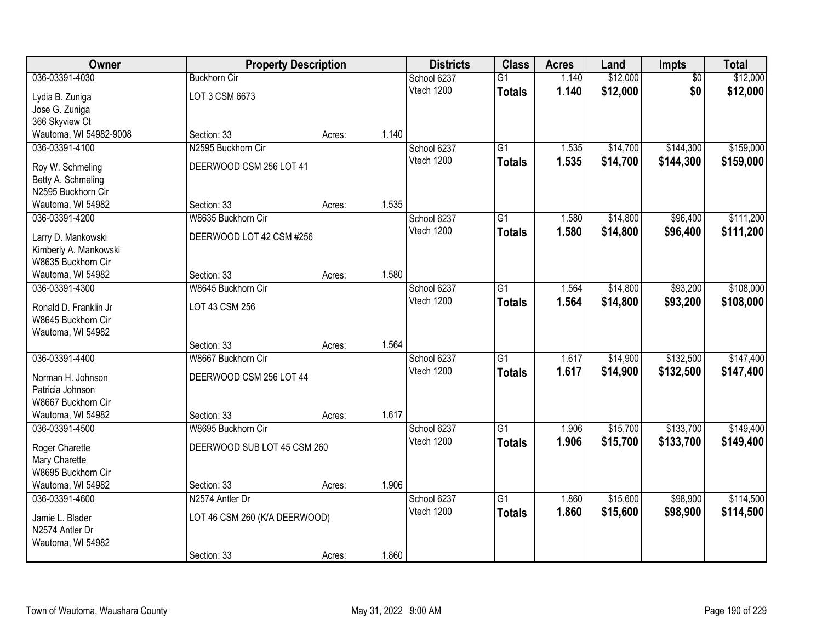| Owner                                  |                               | <b>Property Description</b> |       | <b>Districts</b> | <b>Class</b>    | <b>Acres</b> | Land     | Impts           | <b>Total</b> |
|----------------------------------------|-------------------------------|-----------------------------|-------|------------------|-----------------|--------------|----------|-----------------|--------------|
| 036-03391-4030                         | <b>Buckhorn Cir</b>           |                             |       | School 6237      | $\overline{G1}$ | 1.140        | \$12,000 | $\overline{50}$ | \$12,000     |
| Lydia B. Zuniga                        | LOT 3 CSM 6673                |                             |       | Vtech 1200       | <b>Totals</b>   | 1.140        | \$12,000 | \$0             | \$12,000     |
| Jose G. Zuniga                         |                               |                             |       |                  |                 |              |          |                 |              |
| 366 Skyview Ct                         |                               |                             |       |                  |                 |              |          |                 |              |
| Wautoma, WI 54982-9008                 | Section: 33                   | Acres:                      | 1.140 |                  |                 |              |          |                 |              |
| 036-03391-4100                         | N2595 Buckhorn Cir            |                             |       | School 6237      | $\overline{G1}$ | 1.535        | \$14,700 | \$144,300       | \$159,000    |
|                                        | DEERWOOD CSM 256 LOT 41       |                             |       | Vtech 1200       | <b>Totals</b>   | 1.535        | \$14,700 | \$144,300       | \$159,000    |
| Roy W. Schmeling<br>Betty A. Schmeling |                               |                             |       |                  |                 |              |          |                 |              |
| N2595 Buckhorn Cir                     |                               |                             |       |                  |                 |              |          |                 |              |
| Wautoma, WI 54982                      | Section: 33                   | Acres:                      | 1.535 |                  |                 |              |          |                 |              |
| 036-03391-4200                         | W8635 Buckhorn Cir            |                             |       | School 6237      | G1              | 1.580        | \$14,800 | \$96,400        | \$111,200    |
|                                        |                               |                             |       | Vtech 1200       | <b>Totals</b>   | 1.580        | \$14,800 | \$96,400        | \$111,200    |
| Larry D. Mankowski                     | DEERWOOD LOT 42 CSM #256      |                             |       |                  |                 |              |          |                 |              |
| Kimberly A. Mankowski                  |                               |                             |       |                  |                 |              |          |                 |              |
| W8635 Buckhorn Cir                     |                               |                             |       |                  |                 |              |          |                 |              |
| Wautoma, WI 54982                      | Section: 33                   | Acres:                      | 1.580 |                  |                 |              |          |                 |              |
| 036-03391-4300                         | W8645 Buckhorn Cir            |                             |       | School 6237      | G1              | 1.564        | \$14,800 | \$93,200        | \$108,000    |
| Ronald D. Franklin Jr                  | LOT 43 CSM 256                |                             |       | Vtech 1200       | <b>Totals</b>   | 1.564        | \$14,800 | \$93,200        | \$108,000    |
| W8645 Buckhorn Cir                     |                               |                             |       |                  |                 |              |          |                 |              |
| Wautoma, WI 54982                      |                               |                             |       |                  |                 |              |          |                 |              |
|                                        | Section: 33                   | Acres:                      | 1.564 |                  |                 |              |          |                 |              |
| 036-03391-4400                         | W8667 Buckhorn Cir            |                             |       | School 6237      | $\overline{G1}$ | 1.617        | \$14,900 | \$132,500       | \$147,400    |
| Norman H. Johnson                      | DEERWOOD CSM 256 LOT 44       |                             |       | Vtech 1200       | <b>Totals</b>   | 1.617        | \$14,900 | \$132,500       | \$147,400    |
| Patricia Johnson                       |                               |                             |       |                  |                 |              |          |                 |              |
| W8667 Buckhorn Cir                     |                               |                             |       |                  |                 |              |          |                 |              |
| Wautoma, WI 54982                      | Section: 33                   | Acres:                      | 1.617 |                  |                 |              |          |                 |              |
| 036-03391-4500                         | W8695 Buckhorn Cir            |                             |       | School 6237      | $\overline{G1}$ | 1.906        | \$15,700 | \$133,700       | \$149,400    |
|                                        |                               |                             |       | Vtech 1200       | <b>Totals</b>   | 1.906        | \$15,700 | \$133,700       | \$149,400    |
| Roger Charette                         | DEERWOOD SUB LOT 45 CSM 260   |                             |       |                  |                 |              |          |                 |              |
| Mary Charette                          |                               |                             |       |                  |                 |              |          |                 |              |
| W8695 Buckhorn Cir                     |                               |                             |       |                  |                 |              |          |                 |              |
| Wautoma, WI 54982                      | Section: 33                   | Acres:                      | 1.906 |                  |                 |              |          |                 |              |
| 036-03391-4600                         | N2574 Antler Dr               |                             |       | School 6237      | $\overline{G1}$ | 1.860        | \$15,600 | \$98,900        | \$114,500    |
| Jamie L. Blader                        | LOT 46 CSM 260 (K/A DEERWOOD) |                             |       | Vtech 1200       | <b>Totals</b>   | 1.860        | \$15,600 | \$98,900        | \$114,500    |
| N2574 Antler Dr                        |                               |                             |       |                  |                 |              |          |                 |              |
| Wautoma, WI 54982                      |                               |                             |       |                  |                 |              |          |                 |              |
|                                        | Section: 33                   | Acres:                      | 1.860 |                  |                 |              |          |                 |              |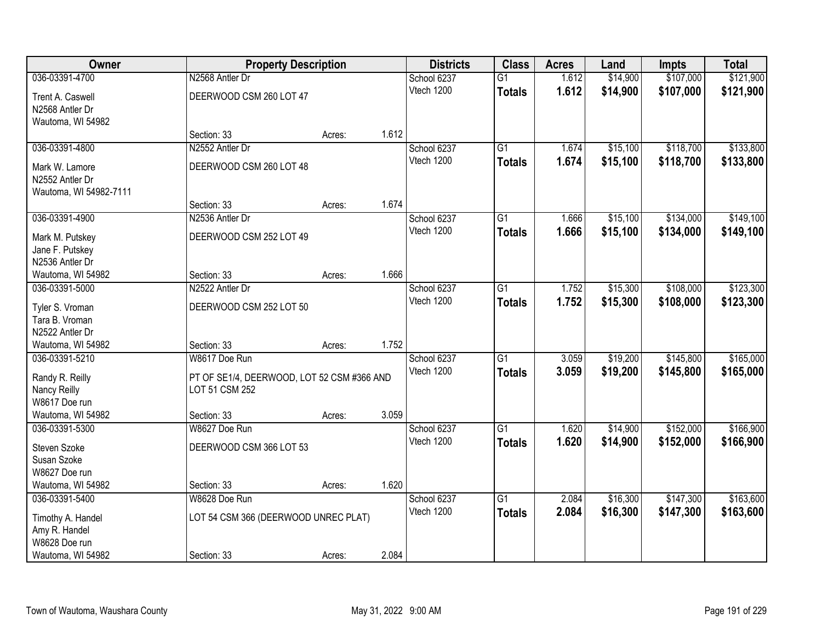| Owner                  | <b>Property Description</b>                |        |       | <b>Districts</b> | <b>Class</b>    | <b>Acres</b> | Land     | <b>Impts</b> | <b>Total</b> |
|------------------------|--------------------------------------------|--------|-------|------------------|-----------------|--------------|----------|--------------|--------------|
| 036-03391-4700         | N2568 Antler Dr                            |        |       | School 6237      | $\overline{G1}$ | 1.612        | \$14,900 | \$107,000    | \$121,900    |
| Trent A. Caswell       | DEERWOOD CSM 260 LOT 47                    |        |       | Vtech 1200       | <b>Totals</b>   | 1.612        | \$14,900 | \$107,000    | \$121,900    |
| N2568 Antler Dr        |                                            |        |       |                  |                 |              |          |              |              |
| Wautoma, WI 54982      |                                            |        |       |                  |                 |              |          |              |              |
|                        | Section: 33                                | Acres: | 1.612 |                  |                 |              |          |              |              |
| 036-03391-4800         | N2552 Antler Dr                            |        |       | School 6237      | $\overline{G1}$ | 1.674        | \$15,100 | \$118,700    | \$133,800    |
| Mark W. Lamore         | DEERWOOD CSM 260 LOT 48                    |        |       | Vtech 1200       | <b>Totals</b>   | 1.674        | \$15,100 | \$118,700    | \$133,800    |
| N2552 Antler Dr        |                                            |        |       |                  |                 |              |          |              |              |
| Wautoma, WI 54982-7111 |                                            |        |       |                  |                 |              |          |              |              |
|                        | Section: 33                                | Acres: | 1.674 |                  |                 |              |          |              |              |
| 036-03391-4900         | N2536 Antler Dr                            |        |       | School 6237      | G1              | 1.666        | \$15,100 | \$134,000    | \$149,100    |
| Mark M. Putskey        | DEERWOOD CSM 252 LOT 49                    |        |       | Vtech 1200       | <b>Totals</b>   | 1.666        | \$15,100 | \$134,000    | \$149,100    |
| Jane F. Putskey        |                                            |        |       |                  |                 |              |          |              |              |
| N2536 Antler Dr        |                                            |        |       |                  |                 |              |          |              |              |
| Wautoma, WI 54982      | Section: 33                                | Acres: | 1.666 |                  |                 |              |          |              |              |
| 036-03391-5000         | N2522 Antler Dr                            |        |       | School 6237      | G1              | 1.752        | \$15,300 | \$108,000    | \$123,300    |
| Tyler S. Vroman        | DEERWOOD CSM 252 LOT 50                    |        |       | Vtech 1200       | <b>Totals</b>   | 1.752        | \$15,300 | \$108,000    | \$123,300    |
| Tara B. Vroman         |                                            |        |       |                  |                 |              |          |              |              |
| N2522 Antler Dr        |                                            |        |       |                  |                 |              |          |              |              |
| Wautoma, WI 54982      | Section: 33                                | Acres: | 1.752 |                  |                 |              |          |              |              |
| 036-03391-5210         | W8617 Doe Run                              |        |       | School 6237      | $\overline{G1}$ | 3.059        | \$19,200 | \$145,800    | \$165,000    |
| Randy R. Reilly        | PT OF SE1/4, DEERWOOD, LOT 52 CSM #366 AND |        |       | Vtech 1200       | <b>Totals</b>   | 3.059        | \$19,200 | \$145,800    | \$165,000    |
| Nancy Reilly           | LOT 51 CSM 252                             |        |       |                  |                 |              |          |              |              |
| W8617 Doe run          |                                            |        |       |                  |                 |              |          |              |              |
| Wautoma, WI 54982      | Section: 33                                | Acres: | 3.059 |                  |                 |              |          |              |              |
| 036-03391-5300         | W8627 Doe Run                              |        |       | School 6237      | G1              | 1.620        | \$14,900 | \$152,000    | \$166,900    |
| Steven Szoke           | DEERWOOD CSM 366 LOT 53                    |        |       | Vtech 1200       | <b>Totals</b>   | 1.620        | \$14,900 | \$152,000    | \$166,900    |
| Susan Szoke            |                                            |        |       |                  |                 |              |          |              |              |
| W8627 Doe run          |                                            |        |       |                  |                 |              |          |              |              |
| Wautoma, WI 54982      | Section: 33                                | Acres: | 1.620 |                  |                 |              |          |              |              |
| 036-03391-5400         | W8628 Doe Run                              |        |       | School 6237      | $\overline{G1}$ | 2.084        | \$16,300 | \$147,300    | \$163,600    |
| Timothy A. Handel      | LOT 54 CSM 366 (DEERWOOD UNREC PLAT)       |        |       | Vtech 1200       | <b>Totals</b>   | 2.084        | \$16,300 | \$147,300    | \$163,600    |
| Amy R. Handel          |                                            |        |       |                  |                 |              |          |              |              |
| W8628 Doe run          |                                            |        |       |                  |                 |              |          |              |              |
| Wautoma, WI 54982      | Section: 33                                | Acres: | 2.084 |                  |                 |              |          |              |              |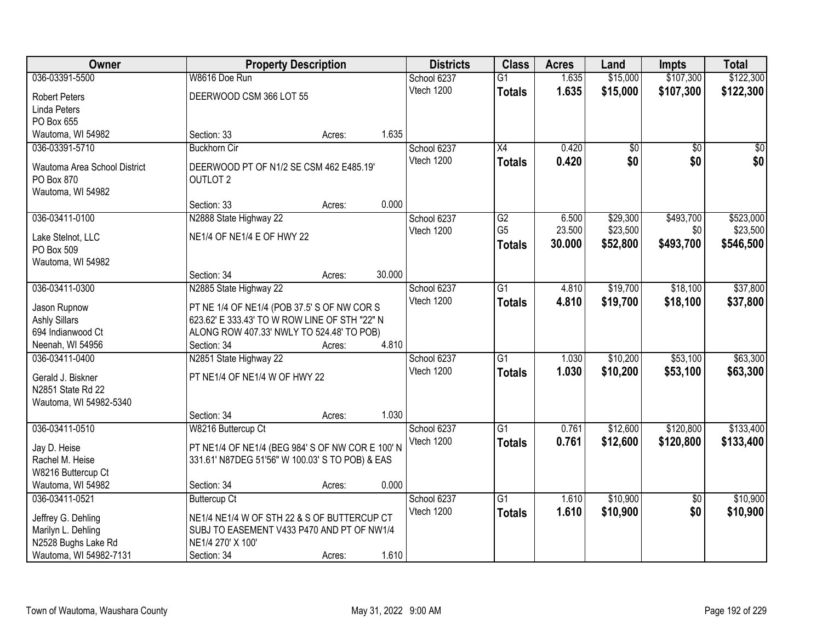| Owner                                  |                                                  | <b>Property Description</b> |        | <b>Districts</b> | <b>Class</b>    | <b>Acres</b> | Land     | Impts           | <b>Total</b> |
|----------------------------------------|--------------------------------------------------|-----------------------------|--------|------------------|-----------------|--------------|----------|-----------------|--------------|
| 036-03391-5500                         | W8616 Doe Run                                    |                             |        | School 6237      | $\overline{G1}$ | 1.635        | \$15,000 | \$107,300       | \$122,300    |
| <b>Robert Peters</b>                   | DEERWOOD CSM 366 LOT 55                          |                             |        | Vtech 1200       | <b>Totals</b>   | 1.635        | \$15,000 | \$107,300       | \$122,300    |
| Linda Peters                           |                                                  |                             |        |                  |                 |              |          |                 |              |
| PO Box 655                             |                                                  |                             |        |                  |                 |              |          |                 |              |
| Wautoma, WI 54982                      | Section: 33                                      | Acres:                      | 1.635  |                  |                 |              |          |                 |              |
| 036-03391-5710                         | <b>Buckhorn Cir</b>                              |                             |        | School 6237      | $\overline{X4}$ | 0.420        | \$0      | $\overline{50}$ | \$0          |
|                                        |                                                  |                             |        | Vtech 1200       | <b>Totals</b>   | 0.420        | \$0      | \$0             | \$0          |
| Wautoma Area School District           | DEERWOOD PT OF N1/2 SE CSM 462 E485.19'          |                             |        |                  |                 |              |          |                 |              |
| PO Box 870                             | <b>OUTLOT 2</b>                                  |                             |        |                  |                 |              |          |                 |              |
| Wautoma, WI 54982                      | Section: 33                                      | Acres:                      | 0.000  |                  |                 |              |          |                 |              |
| 036-03411-0100                         | N2888 State Highway 22                           |                             |        | School 6237      | $\overline{G2}$ | 6.500        | \$29,300 | \$493,700       | \$523,000    |
|                                        |                                                  |                             |        | Vtech 1200       | G <sub>5</sub>  | 23.500       | \$23,500 | \$0             | \$23,500     |
| Lake Stelnot, LLC                      | NE1/4 OF NE1/4 E OF HWY 22                       |                             |        |                  | <b>Totals</b>   | 30.000       | \$52,800 | \$493,700       | \$546,500    |
| PO Box 509                             |                                                  |                             |        |                  |                 |              |          |                 |              |
| Wautoma, WI 54982                      |                                                  |                             |        |                  |                 |              |          |                 |              |
|                                        | Section: 34                                      | Acres:                      | 30.000 |                  |                 |              |          |                 |              |
| 036-03411-0300                         | N2885 State Highway 22                           |                             |        | School 6237      | $\overline{G1}$ | 4.810        | \$19,700 | \$18,100        | \$37,800     |
| Jason Rupnow                           | PT NE 1/4 OF NE1/4 (POB 37.5' S OF NW COR S      |                             |        | Vtech 1200       | <b>Totals</b>   | 4.810        | \$19,700 | \$18,100        | \$37,800     |
| <b>Ashly Sillars</b>                   | 623.62' E 333.43' TO W ROW LINE OF STH "22" N    |                             |        |                  |                 |              |          |                 |              |
| 694 Indianwood Ct                      | ALONG ROW 407.33' NWLY TO 524.48' TO POB)        |                             |        |                  |                 |              |          |                 |              |
| Neenah, WI 54956                       | Section: 34                                      | Acres:                      | 4.810  |                  |                 |              |          |                 |              |
| 036-03411-0400                         | N2851 State Highway 22                           |                             |        | School 6237      | $\overline{G1}$ | 1.030        | \$10,200 | \$53,100        | \$63,300     |
|                                        | PT NE1/4 OF NE1/4 W OF HWY 22                    |                             |        | Vtech 1200       | <b>Totals</b>   | 1.030        | \$10,200 | \$53,100        | \$63,300     |
| Gerald J. Biskner<br>N2851 State Rd 22 |                                                  |                             |        |                  |                 |              |          |                 |              |
| Wautoma, WI 54982-5340                 |                                                  |                             |        |                  |                 |              |          |                 |              |
|                                        | Section: 34                                      | Acres:                      | 1.030  |                  |                 |              |          |                 |              |
| 036-03411-0510                         | W8216 Buttercup Ct                               |                             |        | School 6237      | G1              | 0.761        | \$12,600 | \$120,800       | \$133,400    |
|                                        |                                                  |                             |        | Vtech 1200       | <b>Totals</b>   | 0.761        | \$12,600 | \$120,800       | \$133,400    |
| Jay D. Heise                           | PT NE1/4 OF NE1/4 (BEG 984' S OF NW COR E 100' N |                             |        |                  |                 |              |          |                 |              |
| Rachel M. Heise                        | 331.61' N87DEG 51'56" W 100.03' S TO POB) & EAS  |                             |        |                  |                 |              |          |                 |              |
| W8216 Buttercup Ct                     |                                                  |                             |        |                  |                 |              |          |                 |              |
| Wautoma, WI 54982                      | Section: 34                                      | Acres:                      | 0.000  |                  |                 |              |          |                 |              |
| 036-03411-0521                         | <b>Buttercup Ct</b>                              |                             |        | School 6237      | $\overline{G1}$ | 1.610        | \$10,900 | $\overline{50}$ | \$10,900     |
| Jeffrey G. Dehling                     | NE1/4 NE1/4 W OF STH 22 & S OF BUTTERCUP CT      |                             |        | Vtech 1200       | <b>Totals</b>   | 1.610        | \$10,900 | \$0             | \$10,900     |
| Marilyn L. Dehling                     | SUBJ TO EASEMENT V433 P470 AND PT OF NW1/4       |                             |        |                  |                 |              |          |                 |              |
| N2528 Bughs Lake Rd                    | NE1/4 270' X 100'                                |                             |        |                  |                 |              |          |                 |              |
| Wautoma, WI 54982-7131                 | Section: 34                                      | Acres:                      | 1.610  |                  |                 |              |          |                 |              |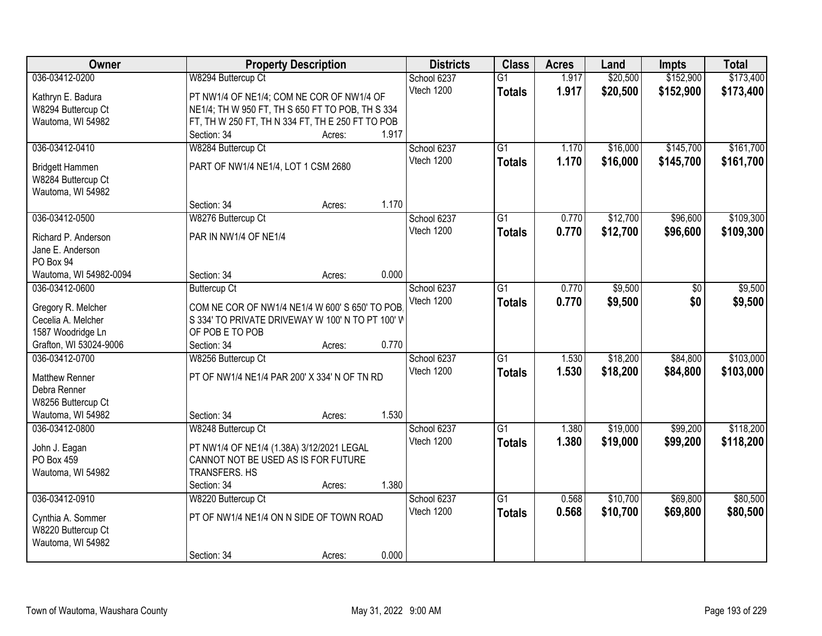| \$152,900<br>036-03412-0200<br>W8294 Buttercup Ct<br>\$20,500<br>School 6237<br>$\overline{G1}$<br>1.917<br>1.917<br>Vtech 1200<br>\$20,500<br>\$152,900<br><b>Totals</b><br>PT NW1/4 OF NE1/4; COM NE COR OF NW1/4 OF<br>Kathryn E. Badura<br>NE1/4; TH W 950 FT, TH S 650 FT TO POB, TH S 334<br>W8294 Buttercup Ct<br>Wautoma, WI 54982<br>FT, TH W 250 FT, TH N 334 FT, TH E 250 FT TO POB<br>Section: 34<br>1.917<br>Acres:<br>$\overline{G1}$<br>\$16,000<br>\$145,700<br>\$161,700<br>036-03412-0410<br>W8284 Buttercup Ct<br>School 6237<br>1.170<br>1.170<br>Vtech 1200<br>\$16,000<br>\$145,700<br>\$161,700<br><b>Totals</b><br>PART OF NW1/4 NE1/4, LOT 1 CSM 2680<br>Bridgett Hammen<br>W8284 Buttercup Ct | Owner | <b>Property Description</b> | <b>Districts</b> | <b>Class</b> | <b>Acres</b> | Land | Impts | <b>Total</b> |
|-------------------------------------------------------------------------------------------------------------------------------------------------------------------------------------------------------------------------------------------------------------------------------------------------------------------------------------------------------------------------------------------------------------------------------------------------------------------------------------------------------------------------------------------------------------------------------------------------------------------------------------------------------------------------------------------------------------------------|-------|-----------------------------|------------------|--------------|--------------|------|-------|--------------|
|                                                                                                                                                                                                                                                                                                                                                                                                                                                                                                                                                                                                                                                                                                                         |       |                             |                  |              |              |      |       | \$173,400    |
|                                                                                                                                                                                                                                                                                                                                                                                                                                                                                                                                                                                                                                                                                                                         |       |                             |                  |              |              |      |       | \$173,400    |
|                                                                                                                                                                                                                                                                                                                                                                                                                                                                                                                                                                                                                                                                                                                         |       |                             |                  |              |              |      |       |              |
|                                                                                                                                                                                                                                                                                                                                                                                                                                                                                                                                                                                                                                                                                                                         |       |                             |                  |              |              |      |       |              |
|                                                                                                                                                                                                                                                                                                                                                                                                                                                                                                                                                                                                                                                                                                                         |       |                             |                  |              |              |      |       |              |
|                                                                                                                                                                                                                                                                                                                                                                                                                                                                                                                                                                                                                                                                                                                         |       |                             |                  |              |              |      |       |              |
|                                                                                                                                                                                                                                                                                                                                                                                                                                                                                                                                                                                                                                                                                                                         |       |                             |                  |              |              |      |       |              |
|                                                                                                                                                                                                                                                                                                                                                                                                                                                                                                                                                                                                                                                                                                                         |       |                             |                  |              |              |      |       |              |
|                                                                                                                                                                                                                                                                                                                                                                                                                                                                                                                                                                                                                                                                                                                         |       |                             |                  |              |              |      |       |              |
| Wautoma, WI 54982                                                                                                                                                                                                                                                                                                                                                                                                                                                                                                                                                                                                                                                                                                       |       |                             |                  |              |              |      |       |              |
| 1.170<br>Section: 34<br>Acres:                                                                                                                                                                                                                                                                                                                                                                                                                                                                                                                                                                                                                                                                                          |       |                             |                  |              |              |      |       |              |
| \$12,700<br>\$96,600<br>036-03412-0500<br>W8276 Buttercup Ct<br>G <sub>1</sub><br>0.770<br>School 6237                                                                                                                                                                                                                                                                                                                                                                                                                                                                                                                                                                                                                  |       |                             |                  |              |              |      |       | \$109,300    |
| Vtech 1200<br>\$12,700<br>0.770<br>\$96,600<br><b>Totals</b><br>PAR IN NW1/4 OF NE1/4<br>Richard P. Anderson                                                                                                                                                                                                                                                                                                                                                                                                                                                                                                                                                                                                            |       |                             |                  |              |              |      |       | \$109,300    |
| Jane E. Anderson                                                                                                                                                                                                                                                                                                                                                                                                                                                                                                                                                                                                                                                                                                        |       |                             |                  |              |              |      |       |              |
| PO Box 94                                                                                                                                                                                                                                                                                                                                                                                                                                                                                                                                                                                                                                                                                                               |       |                             |                  |              |              |      |       |              |
| 0.000<br>Wautoma, WI 54982-0094<br>Section: 34<br>Acres:                                                                                                                                                                                                                                                                                                                                                                                                                                                                                                                                                                                                                                                                |       |                             |                  |              |              |      |       |              |
| \$9,500<br>036-03412-0600<br><b>Buttercup Ct</b><br>School 6237<br>G1<br>0.770<br>\$0                                                                                                                                                                                                                                                                                                                                                                                                                                                                                                                                                                                                                                   |       |                             |                  |              |              |      |       | \$9,500      |
| 0.770<br>Vtech 1200<br>\$9,500<br>\$0                                                                                                                                                                                                                                                                                                                                                                                                                                                                                                                                                                                                                                                                                   |       |                             |                  |              |              |      |       | \$9,500      |
| <b>Totals</b><br>Gregory R. Melcher<br>COM NE COR OF NW1/4 NE1/4 W 600' S 650' TO POB                                                                                                                                                                                                                                                                                                                                                                                                                                                                                                                                                                                                                                   |       |                             |                  |              |              |      |       |              |
| Cecelia A. Melcher<br>S 334' TO PRIVATE DRIVEWAY W 100' N TO PT 100' W                                                                                                                                                                                                                                                                                                                                                                                                                                                                                                                                                                                                                                                  |       |                             |                  |              |              |      |       |              |
| OF POB E TO POB<br>1587 Woodridge Ln                                                                                                                                                                                                                                                                                                                                                                                                                                                                                                                                                                                                                                                                                    |       |                             |                  |              |              |      |       |              |
| 0.770<br>Grafton, WI 53024-9006<br>Section: 34<br>Acres:                                                                                                                                                                                                                                                                                                                                                                                                                                                                                                                                                                                                                                                                |       |                             |                  |              |              |      |       |              |
| \$84,800<br>036-03412-0700<br>W8256 Buttercup Ct<br>$\overline{G1}$<br>1.530<br>\$18,200<br>School 6237                                                                                                                                                                                                                                                                                                                                                                                                                                                                                                                                                                                                                 |       |                             |                  |              |              |      |       | \$103,000    |
| 1.530<br>Vtech 1200<br>\$18,200<br>\$84,800<br><b>Totals</b><br>PT OF NW1/4 NE1/4 PAR 200' X 334' N OF TN RD<br><b>Matthew Renner</b>                                                                                                                                                                                                                                                                                                                                                                                                                                                                                                                                                                                   |       |                             |                  |              |              |      |       | \$103,000    |
| Debra Renner                                                                                                                                                                                                                                                                                                                                                                                                                                                                                                                                                                                                                                                                                                            |       |                             |                  |              |              |      |       |              |
| W8256 Buttercup Ct                                                                                                                                                                                                                                                                                                                                                                                                                                                                                                                                                                                                                                                                                                      |       |                             |                  |              |              |      |       |              |
| 1.530<br>Wautoma, WI 54982<br>Section: 34<br>Acres:                                                                                                                                                                                                                                                                                                                                                                                                                                                                                                                                                                                                                                                                     |       |                             |                  |              |              |      |       |              |
| $\overline{G1}$<br>\$19,000<br>\$99,200<br>036-03412-0800<br>School 6237<br>1.380<br>W8248 Buttercup Ct                                                                                                                                                                                                                                                                                                                                                                                                                                                                                                                                                                                                                 |       |                             |                  |              |              |      |       | \$118,200    |
| Vtech 1200<br>1.380<br>\$19,000                                                                                                                                                                                                                                                                                                                                                                                                                                                                                                                                                                                                                                                                                         |       |                             |                  |              |              |      |       |              |
| \$99,200<br><b>Totals</b><br>John J. Eagan<br>PT NW1/4 OF NE1/4 (1.38A) 3/12/2021 LEGAL                                                                                                                                                                                                                                                                                                                                                                                                                                                                                                                                                                                                                                 |       |                             |                  |              |              |      |       | \$118,200    |
| PO Box 459<br>CANNOT NOT BE USED AS IS FOR FUTURE                                                                                                                                                                                                                                                                                                                                                                                                                                                                                                                                                                                                                                                                       |       |                             |                  |              |              |      |       |              |
| TRANSFERS. HS<br>Wautoma, WI 54982                                                                                                                                                                                                                                                                                                                                                                                                                                                                                                                                                                                                                                                                                      |       |                             |                  |              |              |      |       |              |
| 1.380<br>Section: 34<br>Acres:                                                                                                                                                                                                                                                                                                                                                                                                                                                                                                                                                                                                                                                                                          |       |                             |                  |              |              |      |       |              |
| 036-03412-0910<br>$\overline{G1}$<br>0.568<br>\$10,700<br>\$69,800<br>W8220 Buttercup Ct<br>School 6237                                                                                                                                                                                                                                                                                                                                                                                                                                                                                                                                                                                                                 |       |                             |                  |              |              |      |       | \$80,500     |
| Vtech 1200<br>0.568<br>\$10,700<br>\$69,800<br><b>Totals</b><br>PT OF NW1/4 NE1/4 ON N SIDE OF TOWN ROAD<br>Cynthia A. Sommer                                                                                                                                                                                                                                                                                                                                                                                                                                                                                                                                                                                           |       |                             |                  |              |              |      |       | \$80,500     |
| W8220 Buttercup Ct                                                                                                                                                                                                                                                                                                                                                                                                                                                                                                                                                                                                                                                                                                      |       |                             |                  |              |              |      |       |              |
| Wautoma, WI 54982                                                                                                                                                                                                                                                                                                                                                                                                                                                                                                                                                                                                                                                                                                       |       |                             |                  |              |              |      |       |              |
| 0.000<br>Section: 34<br>Acres:                                                                                                                                                                                                                                                                                                                                                                                                                                                                                                                                                                                                                                                                                          |       |                             |                  |              |              |      |       |              |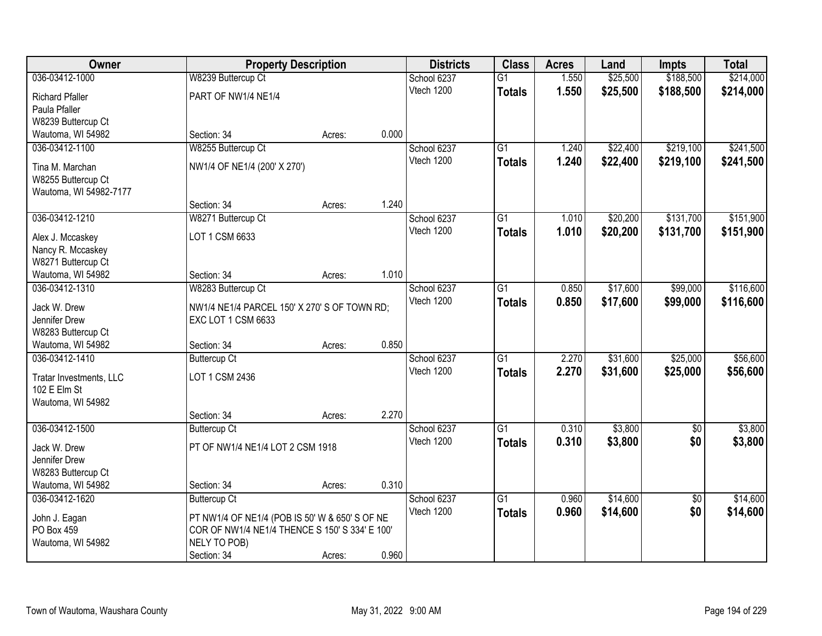| Owner                   |                                                                    | <b>Property Description</b> |       | <b>Districts</b> | <b>Class</b>    | <b>Acres</b> | Land     | <b>Impts</b>    | <b>Total</b> |
|-------------------------|--------------------------------------------------------------------|-----------------------------|-------|------------------|-----------------|--------------|----------|-----------------|--------------|
| 036-03412-1000          | W8239 Buttercup Ct                                                 |                             |       | School 6237      | $\overline{G1}$ | 1.550        | \$25,500 | \$188,500       | \$214,000    |
| <b>Richard Pfaller</b>  | PART OF NW1/4 NE1/4                                                |                             |       | Vtech 1200       | <b>Totals</b>   | 1.550        | \$25,500 | \$188,500       | \$214,000    |
| Paula Pfaller           |                                                                    |                             |       |                  |                 |              |          |                 |              |
| W8239 Buttercup Ct      |                                                                    |                             |       |                  |                 |              |          |                 |              |
| Wautoma, WI 54982       | Section: 34                                                        | Acres:                      | 0.000 |                  |                 |              |          |                 |              |
| 036-03412-1100          | W8255 Buttercup Ct                                                 |                             |       | School 6237      | $\overline{G1}$ | 1.240        | \$22,400 | \$219,100       | \$241,500    |
|                         |                                                                    |                             |       | Vtech 1200       | <b>Totals</b>   | 1.240        | \$22,400 | \$219,100       | \$241,500    |
| Tina M. Marchan         | NW1/4 OF NE1/4 (200' X 270')                                       |                             |       |                  |                 |              |          |                 |              |
| W8255 Buttercup Ct      |                                                                    |                             |       |                  |                 |              |          |                 |              |
| Wautoma, WI 54982-7177  |                                                                    |                             | 1.240 |                  |                 |              |          |                 |              |
|                         | Section: 34                                                        | Acres:                      |       |                  |                 |              |          |                 |              |
| 036-03412-1210          | W8271 Buttercup Ct                                                 |                             |       | School 6237      | $\overline{G1}$ | 1.010        | \$20,200 | \$131,700       | \$151,900    |
| Alex J. Mccaskey        | LOT 1 CSM 6633                                                     |                             |       | Vtech 1200       | <b>Totals</b>   | 1.010        | \$20,200 | \$131,700       | \$151,900    |
| Nancy R. Mccaskey       |                                                                    |                             |       |                  |                 |              |          |                 |              |
| W8271 Buttercup Ct      |                                                                    |                             |       |                  |                 |              |          |                 |              |
| Wautoma, WI 54982       | Section: 34                                                        | Acres:                      | 1.010 |                  |                 |              |          |                 |              |
| 036-03412-1310          | W8283 Buttercup Ct                                                 |                             |       | School 6237      | $\overline{G1}$ | 0.850        | \$17,600 | \$99,000        | \$116,600    |
| Jack W. Drew            |                                                                    |                             |       | Vtech 1200       | <b>Totals</b>   | 0.850        | \$17,600 | \$99,000        | \$116,600    |
| Jennifer Drew           | NW1/4 NE1/4 PARCEL 150' X 270' S OF TOWN RD;<br>EXC LOT 1 CSM 6633 |                             |       |                  |                 |              |          |                 |              |
| W8283 Buttercup Ct      |                                                                    |                             |       |                  |                 |              |          |                 |              |
| Wautoma, WI 54982       | Section: 34                                                        | Acres:                      | 0.850 |                  |                 |              |          |                 |              |
| 036-03412-1410          | <b>Buttercup Ct</b>                                                |                             |       | School 6237      | $\overline{G1}$ | 2.270        | \$31,600 | \$25,000        | \$56,600     |
|                         |                                                                    |                             |       | Vtech 1200       | <b>Totals</b>   | 2.270        | \$31,600 | \$25,000        | \$56,600     |
| Tratar Investments, LLC | LOT 1 CSM 2436                                                     |                             |       |                  |                 |              |          |                 |              |
| 102 E Elm St            |                                                                    |                             |       |                  |                 |              |          |                 |              |
| Wautoma, WI 54982       |                                                                    |                             |       |                  |                 |              |          |                 |              |
|                         | Section: 34                                                        | Acres:                      | 2.270 |                  |                 |              |          |                 |              |
| 036-03412-1500          | <b>Buttercup Ct</b>                                                |                             |       | School 6237      | $\overline{G1}$ | 0.310        | \$3,800  | $\sqrt{$0}$     | \$3,800      |
| Jack W. Drew            | PT OF NW1/4 NE1/4 LOT 2 CSM 1918                                   |                             |       | Vtech 1200       | <b>Totals</b>   | 0.310        | \$3,800  | \$0             | \$3,800      |
| Jennifer Drew           |                                                                    |                             |       |                  |                 |              |          |                 |              |
| W8283 Buttercup Ct      |                                                                    |                             |       |                  |                 |              |          |                 |              |
| Wautoma, WI 54982       | Section: 34                                                        | Acres:                      | 0.310 |                  |                 |              |          |                 |              |
| 036-03412-1620          | <b>Buttercup Ct</b>                                                |                             |       | School 6237      | $\overline{G1}$ | 0.960        | \$14,600 | $\overline{50}$ | \$14,600     |
|                         |                                                                    |                             |       | Vtech 1200       | <b>Totals</b>   | 0.960        | \$14,600 | \$0             | \$14,600     |
| John J. Eagan           | PT NW1/4 OF NE1/4 (POB IS 50' W & 650' S OF NE                     |                             |       |                  |                 |              |          |                 |              |
| PO Box 459              | COR OF NW1/4 NE1/4 THENCE S 150' S 334' E 100'                     |                             |       |                  |                 |              |          |                 |              |
| Wautoma, WI 54982       | NELY TO POB)                                                       |                             |       |                  |                 |              |          |                 |              |
|                         | Section: 34                                                        | Acres:                      | 0.960 |                  |                 |              |          |                 |              |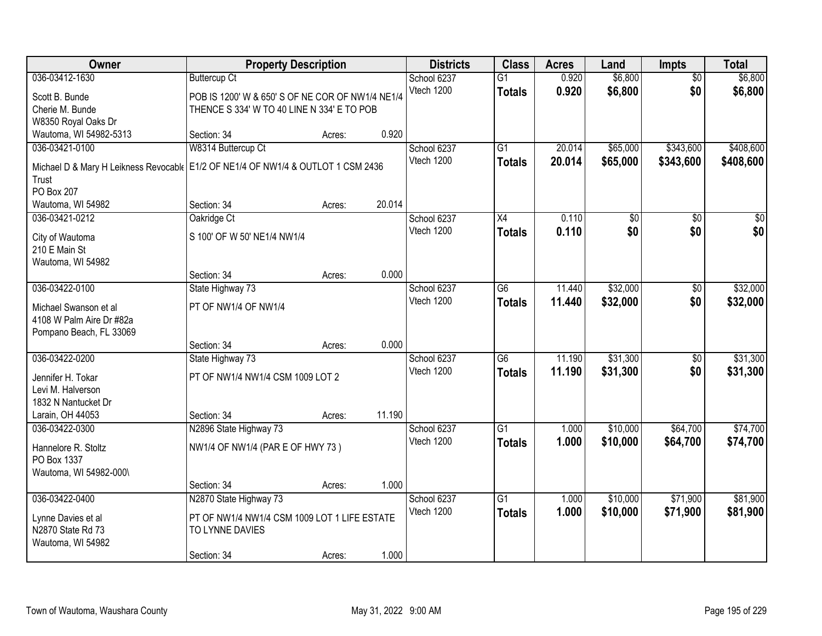| Owner                                                                            | <b>Property Description</b>                      |        |        | <b>Districts</b> | <b>Class</b>    | <b>Acres</b> | Land            | <b>Impts</b>    | <b>Total</b>    |
|----------------------------------------------------------------------------------|--------------------------------------------------|--------|--------|------------------|-----------------|--------------|-----------------|-----------------|-----------------|
| 036-03412-1630                                                                   | <b>Buttercup Ct</b>                              |        |        | School 6237      | $\overline{G1}$ | 0.920        | \$6,800         | $\overline{50}$ | \$6,800         |
| Scott B. Bunde                                                                   | POB IS 1200' W & 650' S OF NE COR OF NW1/4 NE1/4 |        |        | Vtech 1200       | <b>Totals</b>   | 0.920        | \$6,800         | \$0             | \$6,800         |
| Cherie M. Bunde                                                                  | THENCE S 334' W TO 40 LINE N 334' E TO POB       |        |        |                  |                 |              |                 |                 |                 |
| W8350 Royal Oaks Dr                                                              |                                                  |        |        |                  |                 |              |                 |                 |                 |
| Wautoma, WI 54982-5313                                                           | Section: 34                                      | Acres: | 0.920  |                  |                 |              |                 |                 |                 |
| 036-03421-0100                                                                   | W8314 Buttercup Ct                               |        |        | School 6237      | $\overline{G1}$ | 20.014       | \$65,000        | \$343,600       | \$408,600       |
| Michael D & Mary H Leikness Revocabl (E1/2 OF NE1/4 OF NW1/4 & OUTLOT 1 CSM 2436 |                                                  |        |        | Vtech 1200       | <b>Totals</b>   | 20.014       | \$65,000        | \$343,600       | \$408,600       |
| Trust                                                                            |                                                  |        |        |                  |                 |              |                 |                 |                 |
| PO Box 207                                                                       |                                                  |        |        |                  |                 |              |                 |                 |                 |
| Wautoma, WI 54982                                                                | Section: 34                                      | Acres: | 20.014 |                  |                 |              |                 |                 |                 |
| 036-03421-0212                                                                   | Oakridge Ct                                      |        |        | School 6237      | X4              | 0.110        | $\overline{50}$ | \$0             | $\overline{30}$ |
|                                                                                  | S 100' OF W 50' NE1/4 NW1/4                      |        |        | Vtech 1200       | <b>Totals</b>   | 0.110        | \$0             | \$0             | \$0             |
| City of Wautoma<br>210 E Main St                                                 |                                                  |        |        |                  |                 |              |                 |                 |                 |
| Wautoma, WI 54982                                                                |                                                  |        |        |                  |                 |              |                 |                 |                 |
|                                                                                  | Section: 34                                      | Acres: | 0.000  |                  |                 |              |                 |                 |                 |
| 036-03422-0100                                                                   | State Highway 73                                 |        |        | School 6237      | $\overline{G6}$ | 11.440       | \$32,000        | $\frac{1}{20}$  | \$32,000        |
|                                                                                  |                                                  |        |        | Vtech 1200       | <b>Totals</b>   | 11.440       | \$32,000        | \$0             | \$32,000        |
| Michael Swanson et al                                                            | PT OF NW1/4 OF NW1/4                             |        |        |                  |                 |              |                 |                 |                 |
| 4108 W Palm Aire Dr #82a                                                         |                                                  |        |        |                  |                 |              |                 |                 |                 |
| Pompano Beach, FL 33069                                                          | Section: 34                                      |        | 0.000  |                  |                 |              |                 |                 |                 |
| 036-03422-0200                                                                   | State Highway 73                                 | Acres: |        | School 6237      | $\overline{G6}$ | 11.190       | \$31,300        | $\overline{50}$ | \$31,300        |
|                                                                                  |                                                  |        |        | Vtech 1200       | <b>Totals</b>   | 11.190       | \$31,300        | \$0             | \$31,300        |
| Jennifer H. Tokar                                                                | PT OF NW1/4 NW1/4 CSM 1009 LOT 2                 |        |        |                  |                 |              |                 |                 |                 |
| Levi M. Halverson                                                                |                                                  |        |        |                  |                 |              |                 |                 |                 |
| 1832 N Nantucket Dr                                                              |                                                  |        |        |                  |                 |              |                 |                 |                 |
| Larain, OH 44053                                                                 | Section: 34                                      | Acres: | 11.190 |                  |                 |              |                 |                 |                 |
| 036-03422-0300                                                                   | N2896 State Highway 73                           |        |        | School 6237      | $\overline{G1}$ | 1.000        | \$10,000        | \$64,700        | \$74,700        |
| Hannelore R. Stoltz                                                              | NW1/4 OF NW1/4 (PAR E OF HWY 73)                 |        |        | Vtech 1200       | <b>Totals</b>   | 1.000        | \$10,000        | \$64,700        | \$74,700        |
| PO Box 1337                                                                      |                                                  |        |        |                  |                 |              |                 |                 |                 |
| Wautoma, WI 54982-000\                                                           |                                                  |        |        |                  |                 |              |                 |                 |                 |
|                                                                                  | Section: 34                                      | Acres: | 1.000  |                  |                 |              |                 |                 |                 |
| 036-03422-0400                                                                   | N2870 State Highway 73                           |        |        | School 6237      | $\overline{G1}$ | 1.000        | \$10,000        | \$71,900        | \$81,900        |
| Lynne Davies et al                                                               | PT OF NW1/4 NW1/4 CSM 1009 LOT 1 LIFE ESTATE     |        |        | Vtech 1200       | <b>Totals</b>   | 1.000        | \$10,000        | \$71,900        | \$81,900        |
| N2870 State Rd 73                                                                | TO LYNNE DAVIES                                  |        |        |                  |                 |              |                 |                 |                 |
| Wautoma, WI 54982                                                                |                                                  |        |        |                  |                 |              |                 |                 |                 |
|                                                                                  | Section: 34                                      | Acres: | 1.000  |                  |                 |              |                 |                 |                 |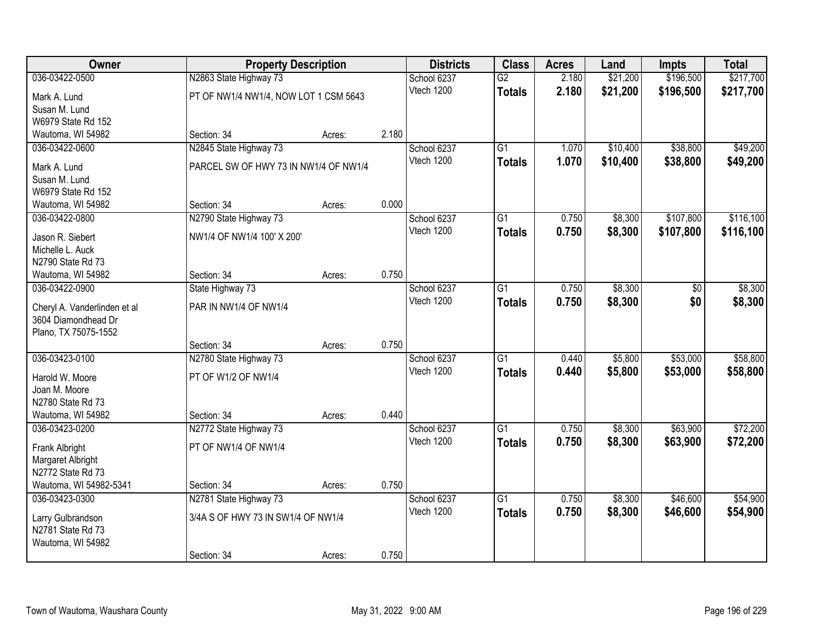| Owner                                               |                                       | <b>Property Description</b> |       | <b>Districts</b> | <b>Class</b>    | <b>Acres</b> | Land     | Impts     | <b>Total</b> |
|-----------------------------------------------------|---------------------------------------|-----------------------------|-------|------------------|-----------------|--------------|----------|-----------|--------------|
| 036-03422-0500                                      | N2863 State Highway 73                |                             |       | School 6237      | $\overline{G2}$ | 2.180        | \$21,200 | \$196,500 | \$217,700    |
| Mark A. Lund                                        | PT OF NW1/4 NW1/4, NOW LOT 1 CSM 5643 |                             |       | Vtech 1200       | <b>Totals</b>   | 2.180        | \$21,200 | \$196,500 | \$217,700    |
| Susan M. Lund                                       |                                       |                             |       |                  |                 |              |          |           |              |
| W6979 State Rd 152                                  |                                       |                             |       |                  |                 |              |          |           |              |
| Wautoma, WI 54982                                   | Section: 34                           | Acres:                      | 2.180 |                  |                 |              |          |           |              |
| 036-03422-0600                                      | N2845 State Highway 73                |                             |       | School 6237      | $\overline{G1}$ | 1.070        | \$10,400 | \$38,800  | \$49,200     |
| Mark A. Lund                                        | PARCEL SW OF HWY 73 IN NW1/4 OF NW1/4 |                             |       | Vtech 1200       | <b>Totals</b>   | 1.070        | \$10,400 | \$38,800  | \$49,200     |
| Susan M. Lund                                       |                                       |                             |       |                  |                 |              |          |           |              |
| W6979 State Rd 152                                  |                                       |                             |       |                  |                 |              |          |           |              |
| Wautoma, WI 54982                                   | Section: 34                           | Acres:                      | 0.000 |                  |                 |              |          |           |              |
| 036-03422-0800                                      | N2790 State Highway 73                |                             |       | School 6237      | G1              | 0.750        | \$8,300  | \$107,800 | \$116,100    |
| Jason R. Siebert                                    | NW1/4 OF NW1/4 100' X 200'            |                             |       | Vtech 1200       | <b>Totals</b>   | 0.750        | \$8,300  | \$107,800 | \$116,100    |
| Michelle L. Auck                                    |                                       |                             |       |                  |                 |              |          |           |              |
| N2790 State Rd 73                                   |                                       |                             |       |                  |                 |              |          |           |              |
| Wautoma, WI 54982                                   | Section: 34                           | Acres:                      | 0.750 |                  |                 |              |          |           |              |
| 036-03422-0900                                      | State Highway 73                      |                             |       | School 6237      | G1              | 0.750        | \$8,300  | \$0       | \$8,300      |
|                                                     |                                       |                             |       | Vtech 1200       | <b>Totals</b>   | 0.750        | \$8,300  | \$0       | \$8,300      |
| Cheryl A. Vanderlinden et al<br>3604 Diamondhead Dr | PAR IN NW1/4 OF NW1/4                 |                             |       |                  |                 |              |          |           |              |
| Plano, TX 75075-1552                                |                                       |                             |       |                  |                 |              |          |           |              |
|                                                     | Section: 34                           | Acres:                      | 0.750 |                  |                 |              |          |           |              |
| 036-03423-0100                                      | N2780 State Highway 73                |                             |       | School 6237      | $\overline{G1}$ | 0.440        | \$5,800  | \$53,000  | \$58,800     |
|                                                     |                                       |                             |       | Vtech 1200       | <b>Totals</b>   | 0.440        | \$5,800  | \$53,000  | \$58,800     |
| Harold W. Moore                                     | PT OF W1/2 OF NW1/4                   |                             |       |                  |                 |              |          |           |              |
| Joan M. Moore<br>N2780 State Rd 73                  |                                       |                             |       |                  |                 |              |          |           |              |
| Wautoma, WI 54982                                   | Section: 34                           | Acres:                      | 0.440 |                  |                 |              |          |           |              |
| 036-03423-0200                                      | N2772 State Highway 73                |                             |       | School 6237      | $\overline{G1}$ | 0.750        | \$8,300  | \$63,900  | \$72,200     |
|                                                     |                                       |                             |       | Vtech 1200       | <b>Totals</b>   | 0.750        | \$8,300  | \$63,900  | \$72,200     |
| Frank Albright                                      | PT OF NW1/4 OF NW1/4                  |                             |       |                  |                 |              |          |           |              |
| Margaret Albright                                   |                                       |                             |       |                  |                 |              |          |           |              |
| N2772 State Rd 73<br>Wautoma, WI 54982-5341         | Section: 34                           |                             | 0.750 |                  |                 |              |          |           |              |
| 036-03423-0300                                      | N2781 State Highway 73                | Acres:                      |       | School 6237      | $\overline{G1}$ | 0.750        | \$8,300  | \$46,600  | \$54,900     |
|                                                     |                                       |                             |       | Vtech 1200       | <b>Totals</b>   | 0.750        | \$8,300  | \$46,600  | \$54,900     |
| Larry Gulbrandson                                   | 3/4A S OF HWY 73 IN SW1/4 OF NW1/4    |                             |       |                  |                 |              |          |           |              |
| N2781 State Rd 73                                   |                                       |                             |       |                  |                 |              |          |           |              |
| Wautoma, WI 54982                                   |                                       |                             |       |                  |                 |              |          |           |              |
|                                                     | Section: 34                           | Acres:                      | 0.750 |                  |                 |              |          |           |              |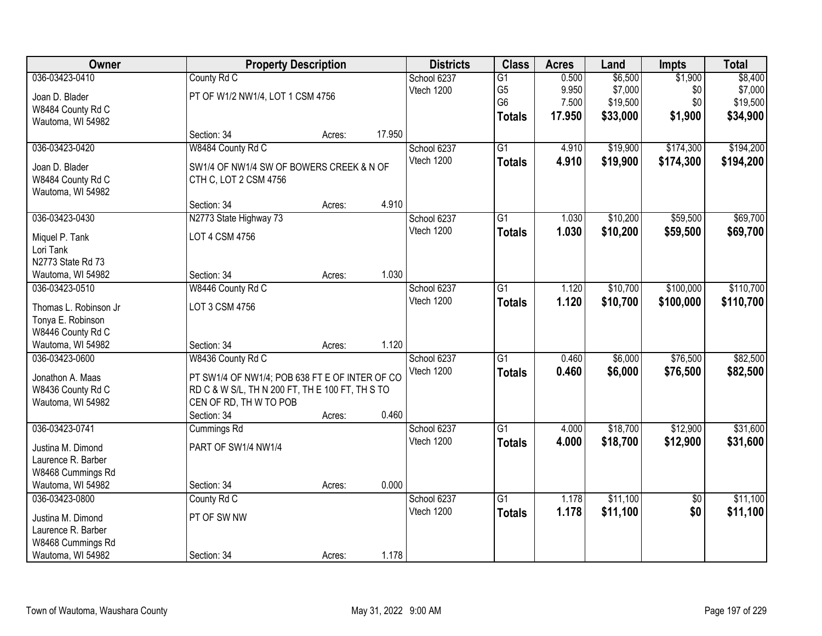| Owner                                      |                                                 | <b>Property Description</b> |        | <b>Districts</b> | <b>Class</b>    | <b>Acres</b> | Land     | <b>Impts</b>    | <b>Total</b> |
|--------------------------------------------|-------------------------------------------------|-----------------------------|--------|------------------|-----------------|--------------|----------|-----------------|--------------|
| 036-03423-0410                             | County Rd C                                     |                             |        | School 6237      | $\overline{G1}$ | 0.500        | \$6,500  | \$1,900         | \$8,400      |
| Joan D. Blader                             | PT OF W1/2 NW1/4, LOT 1 CSM 4756                |                             |        | Vtech 1200       | G <sub>5</sub>  | 9.950        | \$7,000  | \$0             | \$7,000      |
| W8484 County Rd C                          |                                                 |                             |        |                  | G <sub>6</sub>  | 7.500        | \$19,500 | \$0             | \$19,500     |
| Wautoma, WI 54982                          |                                                 |                             |        |                  | <b>Totals</b>   | 17.950       | \$33,000 | \$1,900         | \$34,900     |
|                                            | Section: 34                                     | Acres:                      | 17.950 |                  |                 |              |          |                 |              |
| 036-03423-0420                             | W8484 County Rd C                               |                             |        | School 6237      | $\overline{G1}$ | 4.910        | \$19,900 | \$174,300       | \$194,200    |
| Joan D. Blader                             | SW1/4 OF NW1/4 SW OF BOWERS CREEK & N OF        |                             |        | Vtech 1200       | <b>Totals</b>   | 4.910        | \$19,900 | \$174,300       | \$194,200    |
| W8484 County Rd C                          | CTH C, LOT 2 CSM 4756                           |                             |        |                  |                 |              |          |                 |              |
| Wautoma, WI 54982                          |                                                 |                             |        |                  |                 |              |          |                 |              |
|                                            | Section: 34                                     | Acres:                      | 4.910  |                  |                 |              |          |                 |              |
| 036-03423-0430                             | N2773 State Highway 73                          |                             |        | School 6237      | G1              | 1.030        | \$10,200 | \$59,500        | \$69,700     |
| Miquel P. Tank                             | LOT 4 CSM 4756                                  |                             |        | Vtech 1200       | <b>Totals</b>   | 1.030        | \$10,200 | \$59,500        | \$69,700     |
| Lori Tank                                  |                                                 |                             |        |                  |                 |              |          |                 |              |
| N2773 State Rd 73                          |                                                 |                             |        |                  |                 |              |          |                 |              |
| Wautoma, WI 54982                          | Section: 34                                     | Acres:                      | 1.030  |                  |                 |              |          |                 |              |
| 036-03423-0510                             | W8446 County Rd C                               |                             |        | School 6237      | $\overline{G1}$ | 1.120        | \$10,700 | \$100,000       | \$110,700    |
|                                            |                                                 |                             |        | Vtech 1200       | <b>Totals</b>   | 1.120        | \$10,700 | \$100,000       | \$110,700    |
| Thomas L. Robinson Jr<br>Tonya E. Robinson | LOT 3 CSM 4756                                  |                             |        |                  |                 |              |          |                 |              |
| W8446 County Rd C                          |                                                 |                             |        |                  |                 |              |          |                 |              |
| Wautoma, WI 54982                          | Section: 34                                     | Acres:                      | 1.120  |                  |                 |              |          |                 |              |
| 036-03423-0600                             | W8436 County Rd C                               |                             |        | School 6237      | $\overline{G1}$ | 0.460        | \$6,000  | \$76,500        | \$82,500     |
|                                            |                                                 |                             |        | Vtech 1200       | <b>Totals</b>   | 0.460        | \$6,000  | \$76,500        | \$82,500     |
| Jonathon A. Maas                           | PT SW1/4 OF NW1/4; POB 638 FT E OF INTER OF CO  |                             |        |                  |                 |              |          |                 |              |
| W8436 County Rd C                          | RD C & W S/L, TH N 200 FT, TH E 100 FT, TH S TO |                             |        |                  |                 |              |          |                 |              |
| Wautoma, WI 54982                          | CEN OF RD, TH W TO POB                          |                             | 0.460  |                  |                 |              |          |                 |              |
| 036-03423-0741                             | Section: 34<br>Cummings Rd                      | Acres:                      |        | School 6237      | $\overline{G1}$ | 4.000        | \$18,700 | \$12,900        | \$31,600     |
|                                            |                                                 |                             |        | Vtech 1200       |                 | 4.000        | \$18,700 | \$12,900        |              |
| Justina M. Dimond                          | PART OF SW1/4 NW1/4                             |                             |        |                  | <b>Totals</b>   |              |          |                 | \$31,600     |
| Laurence R. Barber                         |                                                 |                             |        |                  |                 |              |          |                 |              |
| W8468 Cummings Rd                          |                                                 |                             |        |                  |                 |              |          |                 |              |
| Wautoma, WI 54982                          | Section: 34                                     | Acres:                      | 0.000  |                  |                 |              |          |                 |              |
| 036-03423-0800                             | County Rd C                                     |                             |        | School 6237      | $\overline{G1}$ | 1.178        | \$11,100 | $\overline{30}$ | \$11,100     |
| Justina M. Dimond                          | PT OF SW NW                                     |                             |        | Vtech 1200       | <b>Totals</b>   | 1.178        | \$11,100 | \$0             | \$11,100     |
| Laurence R. Barber                         |                                                 |                             |        |                  |                 |              |          |                 |              |
| W8468 Cummings Rd                          |                                                 |                             |        |                  |                 |              |          |                 |              |
| Wautoma, WI 54982                          | Section: 34                                     | Acres:                      | 1.178  |                  |                 |              |          |                 |              |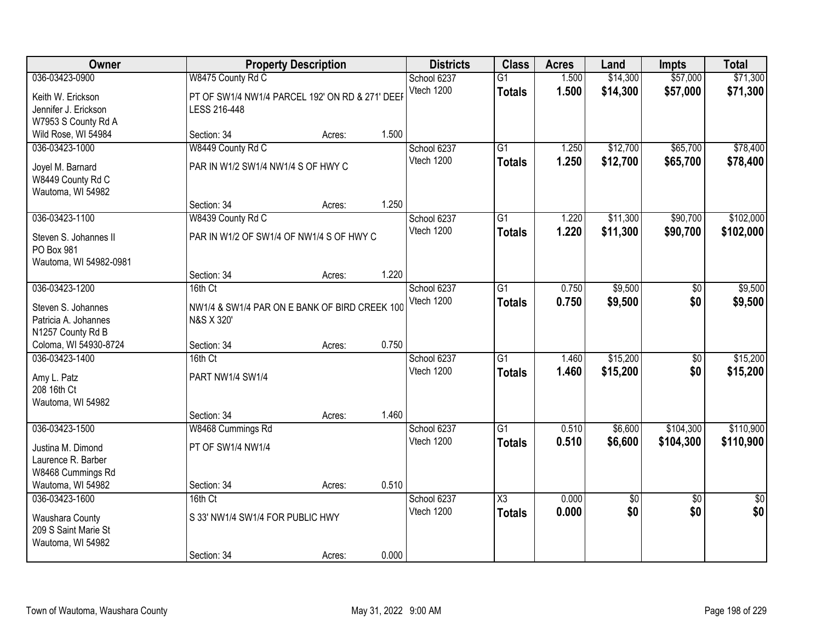| Owner                                  |                                                 | <b>Property Description</b> |       | <b>Districts</b> | <b>Class</b>           | <b>Acres</b> | Land            | <b>Impts</b>    | <b>Total</b>    |
|----------------------------------------|-------------------------------------------------|-----------------------------|-------|------------------|------------------------|--------------|-----------------|-----------------|-----------------|
| 036-03423-0900                         | W8475 County Rd C                               |                             |       | School 6237      | $\overline{G1}$        | 1.500        | \$14,300        | \$57,000        | \$71,300        |
| Keith W. Erickson                      | PT OF SW1/4 NW1/4 PARCEL 192' ON RD & 271' DEEP |                             |       | Vtech 1200       | <b>Totals</b>          | 1.500        | \$14,300        | \$57,000        | \$71,300        |
| Jennifer J. Erickson                   | LESS 216-448                                    |                             |       |                  |                        |              |                 |                 |                 |
| W7953 S County Rd A                    |                                                 |                             |       |                  |                        |              |                 |                 |                 |
| Wild Rose, WI 54984                    | Section: 34                                     | Acres:                      | 1.500 |                  |                        |              |                 |                 |                 |
| 036-03423-1000                         | W8449 County Rd C                               |                             |       | School 6237      | $\overline{G1}$        | 1.250        | \$12,700        | \$65,700        | \$78,400        |
| Joyel M. Barnard                       | PAR IN W1/2 SW1/4 NW1/4 S OF HWY C              |                             |       | Vtech 1200       | <b>Totals</b>          | 1.250        | \$12,700        | \$65,700        | \$78,400        |
| W8449 County Rd C                      |                                                 |                             |       |                  |                        |              |                 |                 |                 |
| Wautoma, WI 54982                      |                                                 |                             |       |                  |                        |              |                 |                 |                 |
|                                        | Section: 34                                     | Acres:                      | 1.250 |                  |                        |              |                 |                 |                 |
| 036-03423-1100                         | W8439 County Rd C                               |                             |       | School 6237      | $\overline{G1}$        | 1.220        | \$11,300        | \$90,700        | \$102,000       |
| Steven S. Johannes II                  | PAR IN W1/2 OF SW1/4 OF NW1/4 S OF HWY C        |                             |       | Vtech 1200       | <b>Totals</b>          | 1.220        | \$11,300        | \$90,700        | \$102,000       |
| PO Box 981                             |                                                 |                             |       |                  |                        |              |                 |                 |                 |
| Wautoma, WI 54982-0981                 |                                                 |                             |       |                  |                        |              |                 |                 |                 |
|                                        | Section: 34                                     | Acres:                      | 1.220 |                  |                        |              |                 |                 |                 |
| 036-03423-1200                         | 16th Ct                                         |                             |       | School 6237      | G1                     | 0.750        | \$9,500         | $\sqrt[6]{}$    | \$9,500         |
| Steven S. Johannes                     | NW1/4 & SW1/4 PAR ON E BANK OF BIRD CREEK 100   |                             |       | Vtech 1200       | <b>Totals</b>          | 0.750        | \$9,500         | \$0             | \$9,500         |
| Patricia A. Johannes                   | N&S X 320'                                      |                             |       |                  |                        |              |                 |                 |                 |
| N1257 County Rd B                      |                                                 |                             |       |                  |                        |              |                 |                 |                 |
| Coloma, WI 54930-8724                  | Section: 34                                     | Acres:                      | 0.750 |                  |                        |              |                 |                 |                 |
| 036-03423-1400                         | 16th Ct                                         |                             |       | School 6237      | $\overline{G1}$        | 1.460        | \$15,200        | $\overline{50}$ | \$15,200        |
|                                        |                                                 |                             |       | Vtech 1200       | <b>Totals</b>          | 1.460        | \$15,200        | \$0             | \$15,200        |
| Amy L. Patz                            | PART NW1/4 SW1/4                                |                             |       |                  |                        |              |                 |                 |                 |
| 208 16th Ct<br>Wautoma, WI 54982       |                                                 |                             |       |                  |                        |              |                 |                 |                 |
|                                        | Section: 34                                     | Acres:                      | 1.460 |                  |                        |              |                 |                 |                 |
| 036-03423-1500                         | W8468 Cummings Rd                               |                             |       | School 6237      | G1                     | 0.510        | \$6,600         | \$104,300       | \$110,900       |
|                                        |                                                 |                             |       | Vtech 1200       | <b>Totals</b>          | 0.510        | \$6,600         | \$104,300       | \$110,900       |
| Justina M. Dimond                      | PT OF SW1/4 NW1/4                               |                             |       |                  |                        |              |                 |                 |                 |
| Laurence R. Barber                     |                                                 |                             |       |                  |                        |              |                 |                 |                 |
| W8468 Cummings Rd<br>Wautoma, WI 54982 | Section: 34                                     |                             | 0.510 |                  |                        |              |                 |                 |                 |
| 036-03423-1600                         | 16th Ct                                         | Acres:                      |       | School 6237      | $\overline{\text{X3}}$ | 0.000        | $\overline{50}$ | $\overline{30}$ | $\overline{50}$ |
|                                        |                                                 |                             |       | Vtech 1200       |                        | 0.000        | \$0             | \$0             | \$0             |
| Waushara County                        | S 33' NW1/4 SW1/4 FOR PUBLIC HWY                |                             |       |                  | <b>Totals</b>          |              |                 |                 |                 |
| 209 S Saint Marie St                   |                                                 |                             |       |                  |                        |              |                 |                 |                 |
| Wautoma, WI 54982                      |                                                 |                             |       |                  |                        |              |                 |                 |                 |
|                                        | Section: 34                                     | Acres:                      | 0.000 |                  |                        |              |                 |                 |                 |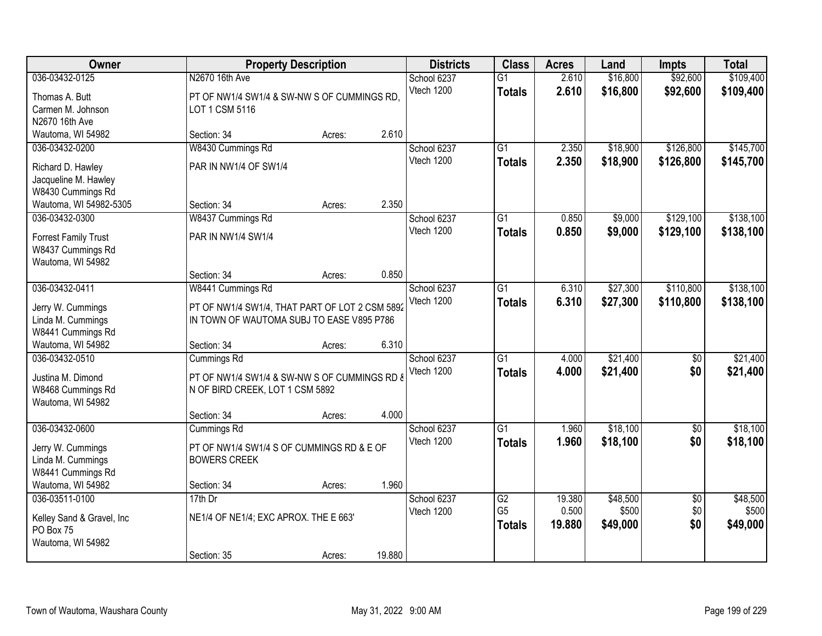| Owner                                                                                   |                                                                                                                  | <b>Property Description</b> |        | <b>Districts</b>          | <b>Class</b>                     | <b>Acres</b>    | Land                 | Impts                  | <b>Total</b>           |
|-----------------------------------------------------------------------------------------|------------------------------------------------------------------------------------------------------------------|-----------------------------|--------|---------------------------|----------------------------------|-----------------|----------------------|------------------------|------------------------|
| 036-03432-0125<br>Thomas A. Butt<br>Carmen M. Johnson<br>N2670 16th Ave                 | N2670 16th Ave<br>PT OF NW1/4 SW1/4 & SW-NW S OF CUMMINGS RD,<br>LOT 1 CSM 5116                                  |                             |        | School 6237<br>Vtech 1200 | $\overline{G1}$<br><b>Totals</b> | 2.610<br>2.610  | \$16,800<br>\$16,800 | \$92,600<br>\$92,600   | \$109,400<br>\$109,400 |
| Wautoma, WI 54982                                                                       | Section: 34                                                                                                      | Acres:                      | 2.610  |                           |                                  |                 |                      |                        |                        |
| 036-03432-0200<br>Richard D. Hawley<br>Jacqueline M. Hawley<br>W8430 Cummings Rd        | W8430 Cummings Rd<br>PAR IN NW1/4 OF SW1/4                                                                       |                             |        | School 6237<br>Vtech 1200 | $\overline{G1}$<br><b>Totals</b> | 2.350<br>2.350  | \$18,900<br>\$18,900 | \$126,800<br>\$126,800 | \$145,700<br>\$145,700 |
| Wautoma, WI 54982-5305                                                                  | Section: 34                                                                                                      | Acres:                      | 2.350  |                           |                                  |                 |                      |                        |                        |
| 036-03432-0300<br><b>Forrest Family Trust</b><br>W8437 Cummings Rd<br>Wautoma, WI 54982 | W8437 Cummings Rd<br>PAR IN NW1/4 SW1/4                                                                          |                             |        | School 6237<br>Vtech 1200 | G1<br><b>Totals</b>              | 0.850<br>0.850  | \$9,000<br>\$9,000   | \$129,100<br>\$129,100 | \$138,100<br>\$138,100 |
|                                                                                         | Section: 34                                                                                                      | Acres:                      | 0.850  |                           |                                  |                 |                      |                        |                        |
| 036-03432-0411<br>Jerry W. Cummings<br>Linda M. Cummings<br>W8441 Cummings Rd           | W8441 Cummings Rd<br>PT OF NW1/4 SW1/4, THAT PART OF LOT 2 CSM 5892<br>IN TOWN OF WAUTOMA SUBJ TO EASE V895 P786 |                             |        | School 6237<br>Vtech 1200 | G1<br><b>Totals</b>              | 6.310<br>6.310  | \$27,300<br>\$27,300 | \$110,800<br>\$110,800 | \$138,100<br>\$138,100 |
| Wautoma, WI 54982                                                                       | Section: 34                                                                                                      | Acres:                      | 6.310  |                           |                                  |                 |                      |                        |                        |
| 036-03432-0510<br>Justina M. Dimond<br>W8468 Cummings Rd<br>Wautoma, WI 54982           | Cummings Rd<br>PT OF NW1/4 SW1/4 & SW-NW S OF CUMMINGS RD &<br>N OF BIRD CREEK, LOT 1 CSM 5892                   |                             |        | School 6237<br>Vtech 1200 | $\overline{G1}$<br><b>Totals</b> | 4.000<br>4.000  | \$21,400<br>\$21,400 | $\overline{50}$<br>\$0 | \$21,400<br>\$21,400   |
| 036-03432-0600                                                                          | Section: 34                                                                                                      | Acres:                      | 4.000  | School 6237               | $\overline{G1}$                  | 1.960           | \$18,100             | $\overline{50}$        | \$18,100               |
| Jerry W. Cummings<br>Linda M. Cummings<br>W8441 Cummings Rd                             | Cummings Rd<br>PT OF NW1/4 SW1/4 S OF CUMMINGS RD & E OF<br><b>BOWERS CREEK</b>                                  |                             | 1.960  | Vtech 1200                | <b>Totals</b>                    | 1.960           | \$18,100             | \$0                    | \$18,100               |
| Wautoma, WI 54982<br>036-03511-0100                                                     | Section: 34<br>$17th$ Dr                                                                                         | Acres:                      |        | School 6237               | G2                               | 19.380          | \$48,500             | $\overline{50}$        | \$48,500               |
| Kelley Sand & Gravel, Inc<br>PO Box 75<br>Wautoma, WI 54982                             | NE1/4 OF NE1/4; EXC APROX. THE E 663'                                                                            |                             |        | Vtech 1200                | G <sub>5</sub><br><b>Totals</b>  | 0.500<br>19.880 | \$500<br>\$49,000    | \$0<br>\$0             | \$500<br>\$49,000      |
|                                                                                         | Section: 35                                                                                                      | Acres:                      | 19.880 |                           |                                  |                 |                      |                        |                        |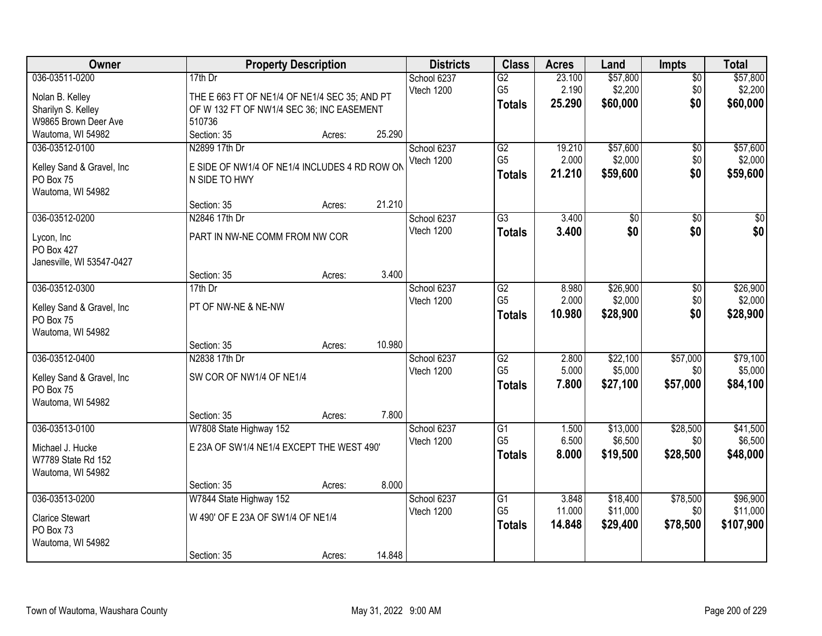| 036-03511-0200<br>\$57,800<br>\$57,800<br>$17th$ Dr<br>School 6237<br>G2<br>23.100<br>$\overline{50}$<br>\$2,200<br>\$2,200<br>G <sub>5</sub><br>2.190<br>\$0<br>Vtech 1200<br>Nolan B. Kelley<br>THE E 663 FT OF NE1/4 OF NE1/4 SEC 35; AND PT<br>25.290<br>\$60,000<br>\$0<br>\$60,000<br><b>Totals</b><br>Sharilyn S. Kelley<br>OF W 132 FT OF NW1/4 SEC 36; INC EASEMENT<br>W9865 Brown Deer Ave<br>510736<br>25.290<br>Wautoma, WI 54982<br>Section: 35<br>Acres:<br>G2<br>\$57,600<br>\$57,600<br>036-03512-0100<br>N2899 17th Dr<br>19.210<br>School 6237<br>\$0 |
|-------------------------------------------------------------------------------------------------------------------------------------------------------------------------------------------------------------------------------------------------------------------------------------------------------------------------------------------------------------------------------------------------------------------------------------------------------------------------------------------------------------------------------------------------------------------------|
|                                                                                                                                                                                                                                                                                                                                                                                                                                                                                                                                                                         |
|                                                                                                                                                                                                                                                                                                                                                                                                                                                                                                                                                                         |
|                                                                                                                                                                                                                                                                                                                                                                                                                                                                                                                                                                         |
|                                                                                                                                                                                                                                                                                                                                                                                                                                                                                                                                                                         |
|                                                                                                                                                                                                                                                                                                                                                                                                                                                                                                                                                                         |
|                                                                                                                                                                                                                                                                                                                                                                                                                                                                                                                                                                         |
| G <sub>5</sub><br>Vtech 1200<br>2.000<br>\$2,000<br>\$0<br>\$2,000                                                                                                                                                                                                                                                                                                                                                                                                                                                                                                      |
| E SIDE OF NW1/4 OF NE1/4 INCLUDES 4 RD ROW ON<br>Kelley Sand & Gravel, Inc<br>\$0<br>21.210<br>\$59,600<br>\$59,600<br><b>Totals</b>                                                                                                                                                                                                                                                                                                                                                                                                                                    |
| PO Box 75<br>N SIDE TO HWY                                                                                                                                                                                                                                                                                                                                                                                                                                                                                                                                              |
| Wautoma, WI 54982<br>21.210                                                                                                                                                                                                                                                                                                                                                                                                                                                                                                                                             |
| Section: 35<br>Acres:                                                                                                                                                                                                                                                                                                                                                                                                                                                                                                                                                   |
| 3.400<br>036-03512-0200<br>N2846 17th Dr<br>G3<br>\$0<br>\$0<br>\$0<br>School 6237                                                                                                                                                                                                                                                                                                                                                                                                                                                                                      |
| \$0<br>\$0<br>Vtech 1200<br>\$0<br>3.400<br><b>Totals</b><br>PART IN NW-NE COMM FROM NW COR<br>Lycon, Inc.                                                                                                                                                                                                                                                                                                                                                                                                                                                              |
| PO Box 427                                                                                                                                                                                                                                                                                                                                                                                                                                                                                                                                                              |
| Janesville, WI 53547-0427                                                                                                                                                                                                                                                                                                                                                                                                                                                                                                                                               |
| 3.400<br>Section: 35<br>Acres:                                                                                                                                                                                                                                                                                                                                                                                                                                                                                                                                          |
| 036-03512-0300<br>\$26,900<br>\$26,900<br>School 6237<br>G2<br>8.980<br>\$0<br>17th Dr                                                                                                                                                                                                                                                                                                                                                                                                                                                                                  |
| G <sub>5</sub><br>2.000<br>\$2,000<br>\$0<br>\$2,000<br>Vtech 1200<br>PT OF NW-NE & NE-NW<br>Kelley Sand & Gravel, Inc                                                                                                                                                                                                                                                                                                                                                                                                                                                  |
| \$0<br>10.980<br>\$28,900<br>\$28,900<br><b>Totals</b><br>PO Box 75                                                                                                                                                                                                                                                                                                                                                                                                                                                                                                     |
| Wautoma, WI 54982                                                                                                                                                                                                                                                                                                                                                                                                                                                                                                                                                       |
| 10.980<br>Section: 35<br>Acres:                                                                                                                                                                                                                                                                                                                                                                                                                                                                                                                                         |
| 036-03512-0400<br>N2838 17th Dr<br>$\overline{G2}$<br>2.800<br>\$22,100<br>\$57,000<br>\$79,100<br>School 6237                                                                                                                                                                                                                                                                                                                                                                                                                                                          |
| G <sub>5</sub><br>5.000<br>\$5,000<br>\$5,000<br>\$0<br>Vtech 1200                                                                                                                                                                                                                                                                                                                                                                                                                                                                                                      |
| SW COR OF NW1/4 OF NE1/4<br>Kelley Sand & Gravel, Inc<br>7.800<br>\$57,000<br>\$27,100<br>\$84,100<br><b>Totals</b>                                                                                                                                                                                                                                                                                                                                                                                                                                                     |
| PO Box 75                                                                                                                                                                                                                                                                                                                                                                                                                                                                                                                                                               |
| Wautoma, WI 54982                                                                                                                                                                                                                                                                                                                                                                                                                                                                                                                                                       |
| 7.800<br>Section: 35<br>Acres:                                                                                                                                                                                                                                                                                                                                                                                                                                                                                                                                          |
| \$28,500<br>036-03513-0100<br>W7808 State Highway 152<br>School 6237<br>$\overline{G1}$<br>\$13,000<br>\$41,500<br>1.500                                                                                                                                                                                                                                                                                                                                                                                                                                                |
| G <sub>5</sub><br>6.500<br>\$6,500<br>\$6,500<br>Vtech 1200<br>\$0<br>E 23A OF SW1/4 NE1/4 EXCEPT THE WEST 490'<br>Michael J. Hucke                                                                                                                                                                                                                                                                                                                                                                                                                                     |
| 8.000<br>\$19,500<br>\$28,500<br>\$48,000<br><b>Totals</b><br>W7789 State Rd 152                                                                                                                                                                                                                                                                                                                                                                                                                                                                                        |
| Wautoma, WI 54982                                                                                                                                                                                                                                                                                                                                                                                                                                                                                                                                                       |
| 8.000<br>Section: 35<br>Acres:                                                                                                                                                                                                                                                                                                                                                                                                                                                                                                                                          |
| 036-03513-0200<br>W7844 State Highway 152<br>\$18,400<br>\$78,500<br>\$96,900<br>School 6237<br>$\overline{G1}$<br>3.848                                                                                                                                                                                                                                                                                                                                                                                                                                                |
| G <sub>5</sub><br>11.000<br>\$11,000<br>\$11,000<br>\$0<br>Vtech 1200<br>W 490' OF E 23A OF SW1/4 OF NE1/4<br><b>Clarice Stewart</b>                                                                                                                                                                                                                                                                                                                                                                                                                                    |
| \$107,900<br>14.848<br>\$29,400<br>\$78,500<br><b>Totals</b><br>PO Box 73                                                                                                                                                                                                                                                                                                                                                                                                                                                                                               |
| Wautoma, WI 54982                                                                                                                                                                                                                                                                                                                                                                                                                                                                                                                                                       |
| 14.848<br>Section: 35<br>Acres:                                                                                                                                                                                                                                                                                                                                                                                                                                                                                                                                         |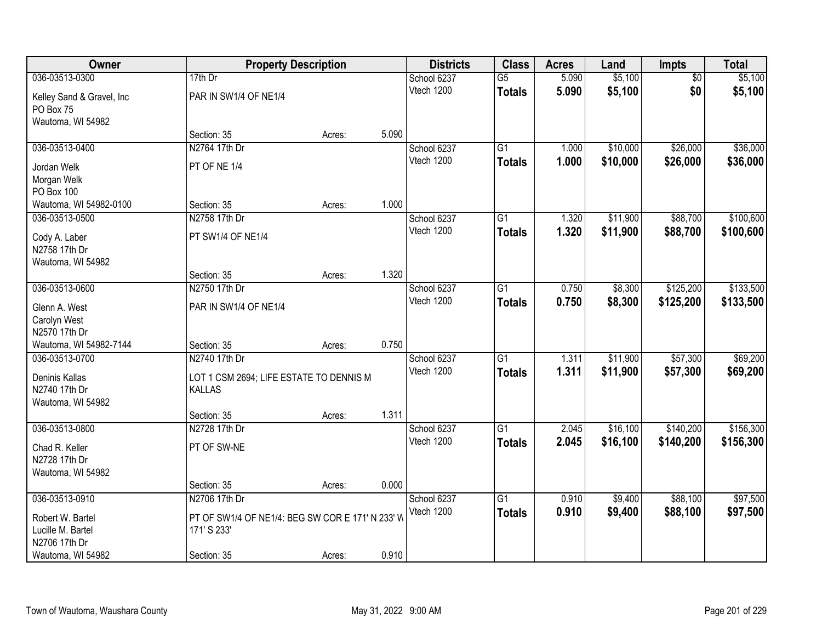| Owner                     | <b>Property Description</b>                      |        |       | <b>Districts</b> | <b>Class</b>    | <b>Acres</b> | Land     | Impts           | <b>Total</b> |
|---------------------------|--------------------------------------------------|--------|-------|------------------|-----------------|--------------|----------|-----------------|--------------|
| 036-03513-0300            | $17th$ Dr                                        |        |       | School 6237      | $\overline{G5}$ | 5.090        | \$5,100  | $\overline{50}$ | \$5,100      |
| Kelley Sand & Gravel, Inc | PAR IN SW1/4 OF NE1/4                            |        |       | Vtech 1200       | <b>Totals</b>   | 5.090        | \$5,100  | \$0             | \$5,100      |
| PO Box 75                 |                                                  |        |       |                  |                 |              |          |                 |              |
| Wautoma, WI 54982         |                                                  |        |       |                  |                 |              |          |                 |              |
|                           | Section: 35                                      | Acres: | 5.090 |                  |                 |              |          |                 |              |
| 036-03513-0400            | N2764 17th Dr                                    |        |       | School 6237      | $\overline{G1}$ | 1.000        | \$10,000 | \$26,000        | \$36,000     |
| Jordan Welk               | PT OF NE 1/4                                     |        |       | Vtech 1200       | <b>Totals</b>   | 1.000        | \$10,000 | \$26,000        | \$36,000     |
| Morgan Welk               |                                                  |        |       |                  |                 |              |          |                 |              |
| PO Box 100                |                                                  |        |       |                  |                 |              |          |                 |              |
| Wautoma, WI 54982-0100    | Section: 35                                      | Acres: | 1.000 |                  |                 |              |          |                 |              |
| 036-03513-0500            | N2758 17th Dr                                    |        |       | School 6237      | $\overline{G1}$ | 1.320        | \$11,900 | \$88,700        | \$100,600    |
| Cody A. Laber             | PT SW1/4 OF NE1/4                                |        |       | Vtech 1200       | <b>Totals</b>   | 1.320        | \$11,900 | \$88,700        | \$100,600    |
| N2758 17th Dr             |                                                  |        |       |                  |                 |              |          |                 |              |
| Wautoma, WI 54982         |                                                  |        |       |                  |                 |              |          |                 |              |
|                           | Section: 35                                      | Acres: | 1.320 |                  |                 |              |          |                 |              |
| 036-03513-0600            | N2750 17th Dr                                    |        |       | School 6237      | $\overline{G1}$ | 0.750        | \$8,300  | \$125,200       | \$133,500    |
| Glenn A. West             | PAR IN SW1/4 OF NE1/4                            |        |       | Vtech 1200       | <b>Totals</b>   | 0.750        | \$8,300  | \$125,200       | \$133,500    |
| Carolyn West              |                                                  |        |       |                  |                 |              |          |                 |              |
| N2570 17th Dr             |                                                  |        |       |                  |                 |              |          |                 |              |
| Wautoma, WI 54982-7144    | Section: 35                                      | Acres: | 0.750 |                  |                 |              |          |                 |              |
| 036-03513-0700            | N2740 17th Dr                                    |        |       | School 6237      | $\overline{G1}$ | 1.311        | \$11,900 | \$57,300        | \$69,200     |
| Deninis Kallas            | LOT 1 CSM 2694; LIFE ESTATE TO DENNIS M          |        |       | Vtech 1200       | <b>Totals</b>   | 1.311        | \$11,900 | \$57,300        | \$69,200     |
| N2740 17th Dr             | <b>KALLAS</b>                                    |        |       |                  |                 |              |          |                 |              |
| Wautoma, WI 54982         |                                                  |        |       |                  |                 |              |          |                 |              |
|                           | Section: 35                                      | Acres: | 1.311 |                  |                 |              |          |                 |              |
| 036-03513-0800            | N2728 17th Dr                                    |        |       | School 6237      | $\overline{G1}$ | 2.045        | \$16,100 | \$140,200       | \$156,300    |
| Chad R. Keller            | PT OF SW-NE                                      |        |       | Vtech 1200       | <b>Totals</b>   | 2.045        | \$16,100 | \$140,200       | \$156,300    |
| N2728 17th Dr             |                                                  |        |       |                  |                 |              |          |                 |              |
| Wautoma, WI 54982         |                                                  |        |       |                  |                 |              |          |                 |              |
|                           | Section: 35                                      | Acres: | 0.000 |                  |                 |              |          |                 |              |
| 036-03513-0910            | N2706 17th Dr                                    |        |       | School 6237      | $\overline{G1}$ | 0.910        | \$9,400  | \$88,100        | \$97,500     |
| Robert W. Bartel          | PT OF SW1/4 OF NE1/4: BEG SW COR E 171' N 233' W |        |       | Vtech 1200       | <b>Totals</b>   | 0.910        | \$9,400  | \$88,100        | \$97,500     |
| Lucille M. Bartel         | 171' S 233'                                      |        |       |                  |                 |              |          |                 |              |
| N2706 17th Dr             |                                                  |        |       |                  |                 |              |          |                 |              |
| Wautoma, WI 54982         | Section: 35                                      | Acres: | 0.910 |                  |                 |              |          |                 |              |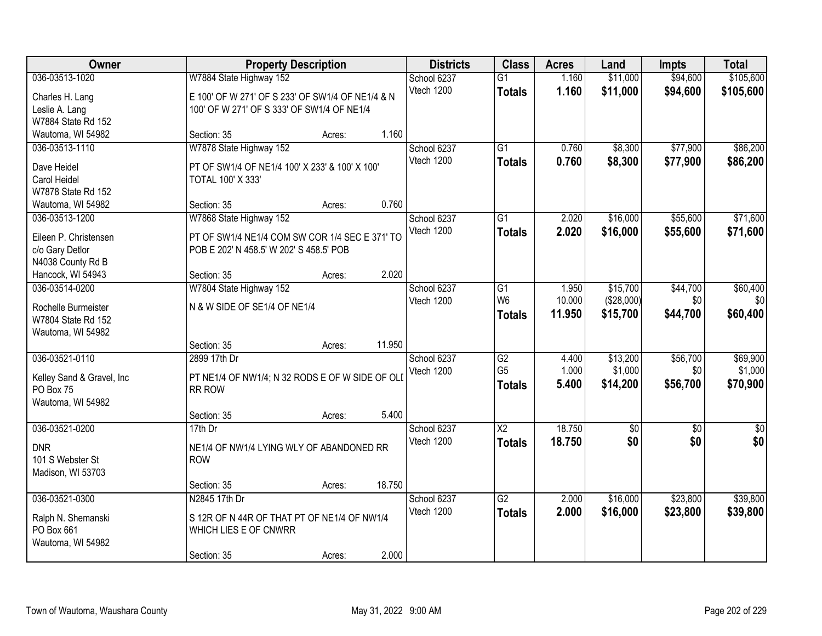| Owner                                  |                                                  | <b>Property Description</b> |        | <b>Districts</b> | <b>Class</b>           | <b>Acres</b> | Land            | <b>Impts</b>    | <b>Total</b>    |
|----------------------------------------|--------------------------------------------------|-----------------------------|--------|------------------|------------------------|--------------|-----------------|-----------------|-----------------|
| 036-03513-1020                         | W7884 State Highway 152                          |                             |        | School 6237      | $\overline{G1}$        | 1.160        | \$11,000        | \$94,600        | \$105,600       |
| Charles H. Lang                        | E 100' OF W 271' OF S 233' OF SW1/4 OF NE1/4 & N |                             |        | Vtech 1200       | <b>Totals</b>          | 1.160        | \$11,000        | \$94,600        | \$105,600       |
| Leslie A. Lang                         | 100' OF W 271' OF S 333' OF SW1/4 OF NE1/4       |                             |        |                  |                        |              |                 |                 |                 |
| W7884 State Rd 152                     |                                                  |                             |        |                  |                        |              |                 |                 |                 |
| Wautoma, WI 54982                      | Section: 35                                      | Acres:                      | 1.160  |                  |                        |              |                 |                 |                 |
| 036-03513-1110                         | W7878 State Highway 152                          |                             |        | School 6237      | $\overline{G1}$        | 0.760        | \$8,300         | \$77,900        | \$86,200        |
| Dave Heidel                            | PT OF SW1/4 OF NE1/4 100' X 233' & 100' X 100'   |                             |        | Vtech 1200       | <b>Totals</b>          | 0.760        | \$8,300         | \$77,900        | \$86,200        |
| Carol Heidel                           | <b>TOTAL 100' X 333'</b>                         |                             |        |                  |                        |              |                 |                 |                 |
| W7878 State Rd 152                     |                                                  |                             |        |                  |                        |              |                 |                 |                 |
| Wautoma, WI 54982                      | Section: 35                                      | Acres:                      | 0.760  |                  |                        |              |                 |                 |                 |
| 036-03513-1200                         | W7868 State Highway 152                          |                             |        | School 6237      | G1                     | 2.020        | \$16,000        | \$55,600        | \$71,600        |
|                                        |                                                  |                             |        | Vtech 1200       | <b>Totals</b>          | 2.020        | \$16,000        | \$55,600        | \$71,600        |
| Eileen P. Christensen                  | PT OF SW1/4 NE1/4 COM SW COR 1/4 SEC E 371' TO   |                             |        |                  |                        |              |                 |                 |                 |
| c/o Gary Detlor                        | POB E 202' N 458.5' W 202' S 458.5' POB          |                             |        |                  |                        |              |                 |                 |                 |
| N4038 County Rd B<br>Hancock, WI 54943 | Section: 35                                      | Acres:                      | 2.020  |                  |                        |              |                 |                 |                 |
| 036-03514-0200                         | W7804 State Highway 152                          |                             |        | School 6237      | G1                     | 1.950        | \$15,700        | \$44,700        | \$60,400        |
|                                        |                                                  |                             |        | Vtech 1200       | W <sub>6</sub>         | 10.000       | (\$28,000)      | \$0             | \$0             |
| Rochelle Burmeister                    | N & W SIDE OF SE1/4 OF NE1/4                     |                             |        |                  | <b>Totals</b>          | 11.950       | \$15,700        | \$44,700        | \$60,400        |
| W7804 State Rd 152                     |                                                  |                             |        |                  |                        |              |                 |                 |                 |
| Wautoma, WI 54982                      |                                                  |                             |        |                  |                        |              |                 |                 |                 |
|                                        | Section: 35                                      | Acres:                      | 11.950 |                  |                        |              |                 |                 |                 |
| 036-03521-0110                         | 2899 17th Dr                                     |                             |        | School 6237      | $\overline{G2}$        | 4.400        | \$13,200        | \$56,700        | \$69,900        |
| Kelley Sand & Gravel, Inc              | PT NE1/4 OF NW1/4; N 32 RODS E OF W SIDE OF OLI  |                             |        | Vtech 1200       | G <sub>5</sub>         | 1.000        | \$1,000         | \$0             | \$1,000         |
| PO Box 75                              | RR ROW                                           |                             |        |                  | <b>Totals</b>          | 5.400        | \$14,200        | \$56,700        | \$70,900        |
| Wautoma, WI 54982                      |                                                  |                             |        |                  |                        |              |                 |                 |                 |
|                                        | Section: 35                                      | Acres:                      | 5.400  |                  |                        |              |                 |                 |                 |
| 036-03521-0200                         | $17th$ Dr                                        |                             |        | School 6237      | $\overline{\text{X2}}$ | 18.750       | $\overline{50}$ | $\overline{50}$ | $\overline{50}$ |
| <b>DNR</b>                             | NE1/4 OF NW1/4 LYING WLY OF ABANDONED RR         |                             |        | Vtech 1200       | <b>Totals</b>          | 18.750       | \$0             | \$0             | \$0             |
| 101 S Webster St                       | <b>ROW</b>                                       |                             |        |                  |                        |              |                 |                 |                 |
| Madison, WI 53703                      |                                                  |                             |        |                  |                        |              |                 |                 |                 |
|                                        | Section: 35                                      | Acres:                      | 18.750 |                  |                        |              |                 |                 |                 |
| 036-03521-0300                         | N2845 17th Dr                                    |                             |        | School 6237      | $\overline{G2}$        | 2.000        | \$16,000        | \$23,800        | \$39,800        |
|                                        |                                                  |                             |        | Vtech 1200       | <b>Totals</b>          | 2.000        | \$16,000        | \$23,800        | \$39,800        |
| Ralph N. Shemanski                     | S 12R OF N 44R OF THAT PT OF NE1/4 OF NW1/4      |                             |        |                  |                        |              |                 |                 |                 |
| PO Box 661                             | WHICH LIES E OF CNWRR                            |                             |        |                  |                        |              |                 |                 |                 |
| Wautoma, WI 54982                      | Section: 35                                      |                             | 2.000  |                  |                        |              |                 |                 |                 |
|                                        |                                                  | Acres:                      |        |                  |                        |              |                 |                 |                 |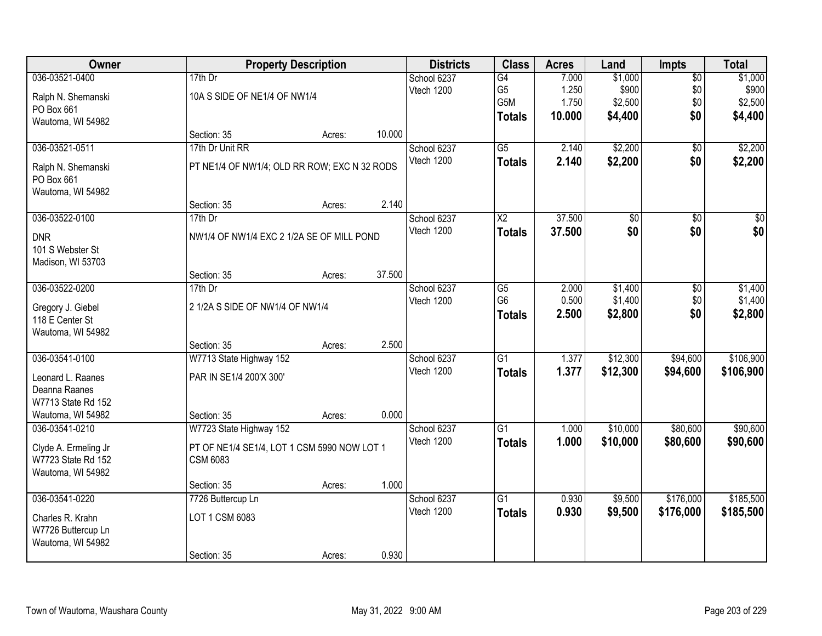| Owner                |                                              | <b>Property Description</b> |        |             | <b>Class</b>    | <b>Acres</b> | Land     | <b>Impts</b>    | <b>Total</b> |
|----------------------|----------------------------------------------|-----------------------------|--------|-------------|-----------------|--------------|----------|-----------------|--------------|
| 036-03521-0400       | $17th$ Dr                                    |                             |        | School 6237 | $\overline{G4}$ | 7.000        | \$1,000  | $\overline{50}$ | \$1,000      |
| Ralph N. Shemanski   | 10A S SIDE OF NE1/4 OF NW1/4                 |                             |        | Vtech 1200  | G <sub>5</sub>  | 1.250        | \$900    | \$0             | \$900        |
| PO Box 661           |                                              |                             |        |             | G5M             | 1.750        | \$2,500  | \$0             | \$2,500      |
| Wautoma, WI 54982    |                                              |                             |        |             | <b>Totals</b>   | 10.000       | \$4,400  | \$0             | \$4,400      |
|                      | Section: 35                                  | Acres:                      | 10.000 |             |                 |              |          |                 |              |
| 036-03521-0511       | 17th Dr Unit RR                              |                             |        | School 6237 | $\overline{G5}$ | 2.140        | \$2,200  | $\overline{50}$ | \$2,200      |
| Ralph N. Shemanski   | PT NE1/4 OF NW1/4; OLD RR ROW; EXC N 32 RODS |                             |        | Vtech 1200  | <b>Totals</b>   | 2.140        | \$2,200  | \$0             | \$2,200      |
| PO Box 661           |                                              |                             |        |             |                 |              |          |                 |              |
| Wautoma, WI 54982    |                                              |                             |        |             |                 |              |          |                 |              |
|                      | Section: 35                                  | Acres:                      | 2.140  |             |                 |              |          |                 |              |
| 036-03522-0100       | 17th Dr                                      |                             |        | School 6237 | X <sub>2</sub>  | 37.500       | \$0      | \$0             | \$0          |
| <b>DNR</b>           | NW1/4 OF NW1/4 EXC 2 1/2A SE OF MILL POND    |                             |        | Vtech 1200  | <b>Totals</b>   | 37.500       | \$0      | \$0             | \$0          |
| 101 S Webster St     |                                              |                             |        |             |                 |              |          |                 |              |
| Madison, WI 53703    |                                              |                             |        |             |                 |              |          |                 |              |
|                      | Section: 35                                  | Acres:                      | 37.500 |             |                 |              |          |                 |              |
| 036-03522-0200       | 17th Dr                                      |                             |        | School 6237 | G5              | 2.000        | \$1,400  | \$0             | \$1,400      |
| Gregory J. Giebel    | 2 1/2A S SIDE OF NW1/4 OF NW1/4              |                             |        | Vtech 1200  | G <sub>6</sub>  | 0.500        | \$1,400  | \$0             | \$1,400      |
| 118 E Center St      |                                              |                             |        |             | <b>Totals</b>   | 2.500        | \$2,800  | \$0             | \$2,800      |
| Wautoma, WI 54982    |                                              |                             |        |             |                 |              |          |                 |              |
|                      | Section: 35                                  | Acres:                      | 2.500  |             |                 |              |          |                 |              |
| 036-03541-0100       | W7713 State Highway 152                      |                             |        | School 6237 | $\overline{G1}$ | 1.377        | \$12,300 | \$94,600        | \$106,900    |
| Leonard L. Raanes    | PAR IN SE1/4 200'X 300'                      |                             |        | Vtech 1200  | <b>Totals</b>   | 1.377        | \$12,300 | \$94,600        | \$106,900    |
| Deanna Raanes        |                                              |                             |        |             |                 |              |          |                 |              |
| W7713 State Rd 152   |                                              |                             |        |             |                 |              |          |                 |              |
| Wautoma, WI 54982    | Section: 35                                  | Acres:                      | 0.000  |             |                 |              |          |                 |              |
| 036-03541-0210       | W7723 State Highway 152                      |                             |        | School 6237 | $\overline{G1}$ | 1.000        | \$10,000 | \$80,600        | \$90,600     |
| Clyde A. Ermeling Jr | PT OF NE1/4 SE1/4, LOT 1 CSM 5990 NOW LOT 1  |                             |        | Vtech 1200  | <b>Totals</b>   | 1.000        | \$10,000 | \$80,600        | \$90,600     |
| W7723 State Rd 152   | <b>CSM 6083</b>                              |                             |        |             |                 |              |          |                 |              |
| Wautoma, WI 54982    |                                              |                             |        |             |                 |              |          |                 |              |
|                      | Section: 35                                  | Acres:                      | 1.000  |             |                 |              |          |                 |              |
| 036-03541-0220       | 7726 Buttercup Ln                            |                             |        | School 6237 | G1              | 0.930        | \$9,500  | \$176,000       | \$185,500    |
| Charles R. Krahn     | LOT 1 CSM 6083                               |                             |        | Vtech 1200  | <b>Totals</b>   | 0.930        | \$9,500  | \$176,000       | \$185,500    |
| W7726 Buttercup Ln   |                                              |                             |        |             |                 |              |          |                 |              |
| Wautoma, WI 54982    |                                              |                             |        |             |                 |              |          |                 |              |
|                      | Section: 35                                  | Acres:                      | 0.930  |             |                 |              |          |                 |              |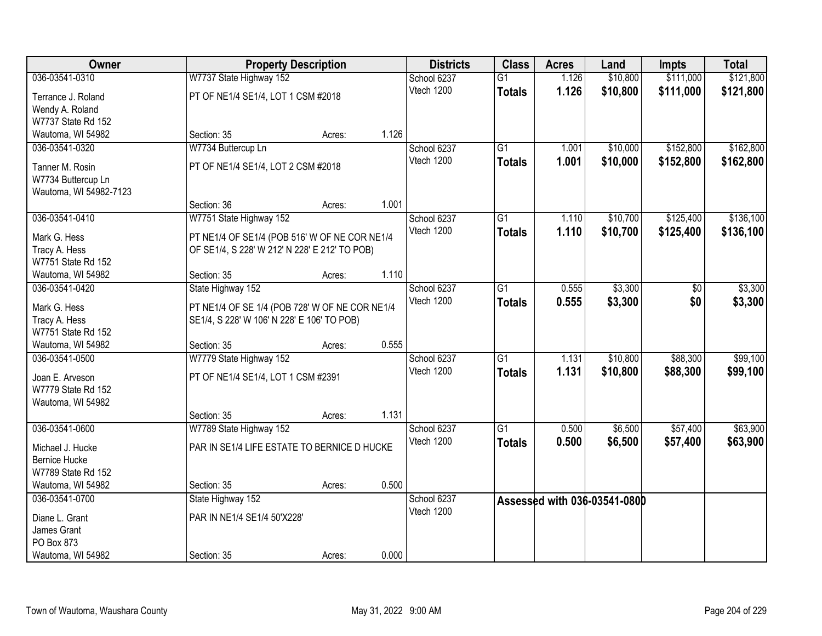| Owner                                   |                                                | <b>Property Description</b> |       | <b>Districts</b> | <b>Class</b>    | <b>Acres</b> | Land                         | <b>Impts</b>    | <b>Total</b> |
|-----------------------------------------|------------------------------------------------|-----------------------------|-------|------------------|-----------------|--------------|------------------------------|-----------------|--------------|
| 036-03541-0310                          | W7737 State Highway 152                        |                             |       | School 6237      | $\overline{G1}$ | 1.126        | \$10,800                     | \$111,000       | \$121,800    |
| Terrance J. Roland                      | PT OF NE1/4 SE1/4, LOT 1 CSM #2018             |                             |       | Vtech 1200       | <b>Totals</b>   | 1.126        | \$10,800                     | \$111,000       | \$121,800    |
| Wendy A. Roland                         |                                                |                             |       |                  |                 |              |                              |                 |              |
| W7737 State Rd 152                      |                                                |                             |       |                  |                 |              |                              |                 |              |
| Wautoma, WI 54982                       | Section: 35                                    | Acres:                      | 1.126 |                  |                 |              |                              |                 |              |
| 036-03541-0320                          | W7734 Buttercup Ln                             |                             |       | School 6237      | $\overline{G1}$ | 1.001        | \$10,000                     | \$152,800       | \$162,800    |
| Tanner M. Rosin                         | PT OF NE1/4 SE1/4, LOT 2 CSM #2018             |                             |       | Vtech 1200       | <b>Totals</b>   | 1.001        | \$10,000                     | \$152,800       | \$162,800    |
| W7734 Buttercup Ln                      |                                                |                             |       |                  |                 |              |                              |                 |              |
| Wautoma, WI 54982-7123                  |                                                |                             |       |                  |                 |              |                              |                 |              |
|                                         | Section: 36                                    | Acres:                      | 1.001 |                  |                 |              |                              |                 |              |
| 036-03541-0410                          | W7751 State Highway 152                        |                             |       | School 6237      | $\overline{G1}$ | 1.110        | \$10,700                     | \$125,400       | \$136,100    |
| Mark G. Hess                            | PT NE1/4 OF SE1/4 (POB 516' W OF NE COR NE1/4  |                             |       | Vtech 1200       | <b>Totals</b>   | 1.110        | \$10,700                     | \$125,400       | \$136,100    |
| Tracy A. Hess                           | OF SE1/4, S 228' W 212' N 228' E 212' TO POB)  |                             |       |                  |                 |              |                              |                 |              |
| W7751 State Rd 152                      |                                                |                             |       |                  |                 |              |                              |                 |              |
| Wautoma, WI 54982                       | Section: 35                                    | Acres:                      | 1.110 |                  |                 |              |                              |                 |              |
| 036-03541-0420                          | State Highway 152                              |                             |       | School 6237      | $\overline{G1}$ | 0.555        | \$3,300                      | $\overline{50}$ | \$3,300      |
| Mark G. Hess                            | PT NE1/4 OF SE 1/4 (POB 728' W OF NE COR NE1/4 |                             |       | Vtech 1200       | <b>Totals</b>   | 0.555        | \$3,300                      | \$0             | \$3,300      |
| Tracy A. Hess                           | SE1/4, S 228' W 106' N 228' E 106' TO POB)     |                             |       |                  |                 |              |                              |                 |              |
| W7751 State Rd 152                      |                                                |                             |       |                  |                 |              |                              |                 |              |
| Wautoma, WI 54982                       | Section: 35                                    | Acres:                      | 0.555 |                  |                 |              |                              |                 |              |
| 036-03541-0500                          | W7779 State Highway 152                        |                             |       | School 6237      | $\overline{G1}$ | 1.131        | \$10,800                     | \$88,300        | \$99,100     |
|                                         |                                                |                             |       | Vtech 1200       | <b>Totals</b>   | 1.131        | \$10,800                     | \$88,300        | \$99,100     |
| Joan E. Arveson                         | PT OF NE1/4 SE1/4, LOT 1 CSM #2391             |                             |       |                  |                 |              |                              |                 |              |
| W7779 State Rd 152<br>Wautoma, WI 54982 |                                                |                             |       |                  |                 |              |                              |                 |              |
|                                         | Section: 35                                    | Acres:                      | 1.131 |                  |                 |              |                              |                 |              |
| 036-03541-0600                          | W7789 State Highway 152                        |                             |       | School 6237      | $\overline{G1}$ | 0.500        | \$6,500                      | \$57,400        | \$63,900     |
|                                         |                                                |                             |       | Vtech 1200       | <b>Totals</b>   | 0.500        | \$6,500                      | \$57,400        | \$63,900     |
| Michael J. Hucke                        | PAR IN SE1/4 LIFE ESTATE TO BERNICE D HUCKE    |                             |       |                  |                 |              |                              |                 |              |
| <b>Bernice Hucke</b>                    |                                                |                             |       |                  |                 |              |                              |                 |              |
| W7789 State Rd 152<br>Wautoma, WI 54982 | Section: 35                                    | Acres:                      | 0.500 |                  |                 |              |                              |                 |              |
| 036-03541-0700                          | State Highway 152                              |                             |       | School 6237      |                 |              |                              |                 |              |
|                                         |                                                |                             |       | Vtech 1200       |                 |              | Assessed with 036-03541-0800 |                 |              |
| Diane L. Grant                          | PAR IN NE1/4 SE1/4 50'X228'                    |                             |       |                  |                 |              |                              |                 |              |
| James Grant                             |                                                |                             |       |                  |                 |              |                              |                 |              |
| PO Box 873                              |                                                |                             |       |                  |                 |              |                              |                 |              |
| Wautoma, WI 54982                       | Section: 35                                    | Acres:                      | 0.000 |                  |                 |              |                              |                 |              |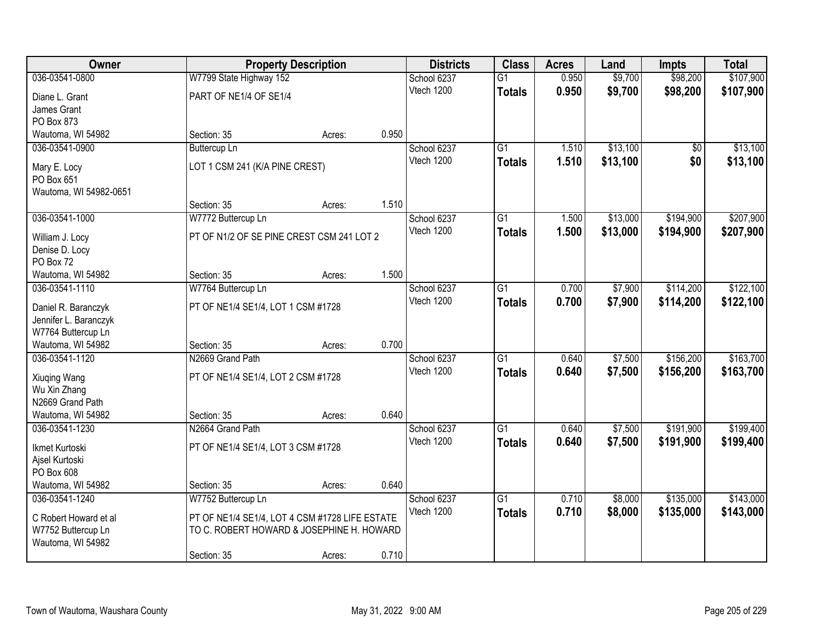| \$9,700<br>\$98,200<br>\$107,900<br>036-03541-0800<br>W7799 State Highway 152<br>$\overline{G1}$<br>0.950<br>School 6237<br>0.950<br>\$9,700<br>\$98,200<br>Vtech 1200<br>\$107,900<br><b>Totals</b><br>PART OF NE1/4 OF SE1/4<br>Diane L. Grant<br>James Grant<br>PO Box 873<br>Wautoma, WI 54982<br>0.950<br>Section: 35<br>Acres:<br>\$13,100<br>\$13,100<br>036-03541-0900<br>$\overline{G1}$<br>1.510<br>$\overline{50}$<br><b>Buttercup Ln</b><br>School 6237 | 1.510<br>\$13,100 | \$0 | <b>Totals</b> |            |  |  |
|---------------------------------------------------------------------------------------------------------------------------------------------------------------------------------------------------------------------------------------------------------------------------------------------------------------------------------------------------------------------------------------------------------------------------------------------------------------------|-------------------|-----|---------------|------------|--|--|
|                                                                                                                                                                                                                                                                                                                                                                                                                                                                     |                   |     |               |            |  |  |
|                                                                                                                                                                                                                                                                                                                                                                                                                                                                     |                   |     |               |            |  |  |
|                                                                                                                                                                                                                                                                                                                                                                                                                                                                     |                   |     |               |            |  |  |
|                                                                                                                                                                                                                                                                                                                                                                                                                                                                     |                   |     |               |            |  |  |
|                                                                                                                                                                                                                                                                                                                                                                                                                                                                     |                   |     |               |            |  |  |
|                                                                                                                                                                                                                                                                                                                                                                                                                                                                     |                   |     |               |            |  |  |
| \$13,100<br>LOT 1 CSM 241 (K/A PINE CREST)<br>Mary E. Locy                                                                                                                                                                                                                                                                                                                                                                                                          |                   |     |               | Vtech 1200 |  |  |
| PO Box 651                                                                                                                                                                                                                                                                                                                                                                                                                                                          |                   |     |               |            |  |  |
| Wautoma, WI 54982-0651                                                                                                                                                                                                                                                                                                                                                                                                                                              |                   |     |               |            |  |  |
| 1.510<br>Section: 35<br>Acres:                                                                                                                                                                                                                                                                                                                                                                                                                                      |                   |     |               |            |  |  |
| \$13,000<br>\$194,900<br>\$207,900<br>036-03541-1000<br>School 6237<br>$\overline{G1}$<br>1.500<br>W7772 Buttercup Ln                                                                                                                                                                                                                                                                                                                                               |                   |     |               |            |  |  |
| Vtech 1200<br>1.500<br>\$13,000<br>\$194,900<br>\$207,900<br><b>Totals</b><br>PT OF N1/2 OF SE PINE CREST CSM 241 LOT 2<br>William J. Locy                                                                                                                                                                                                                                                                                                                          |                   |     |               |            |  |  |
| Denise D. Locy                                                                                                                                                                                                                                                                                                                                                                                                                                                      |                   |     |               |            |  |  |
| PO Box 72                                                                                                                                                                                                                                                                                                                                                                                                                                                           |                   |     |               |            |  |  |
| 1.500<br>Wautoma, WI 54982<br>Section: 35<br>Acres:                                                                                                                                                                                                                                                                                                                                                                                                                 |                   |     |               |            |  |  |
| $\overline{G1}$<br>\$7,900<br>\$114,200<br>\$122,100<br>036-03541-1110<br>W7764 Buttercup Ln<br>School 6237<br>0.700                                                                                                                                                                                                                                                                                                                                                |                   |     |               |            |  |  |
| Vtech 1200<br>0.700<br>\$7,900<br>\$114,200<br>\$122,100<br><b>Totals</b><br>PT OF NE1/4 SE1/4, LOT 1 CSM #1728<br>Daniel R. Baranczyk                                                                                                                                                                                                                                                                                                                              |                   |     |               |            |  |  |
| Jennifer L. Baranczyk                                                                                                                                                                                                                                                                                                                                                                                                                                               |                   |     |               |            |  |  |
| W7764 Buttercup Ln                                                                                                                                                                                                                                                                                                                                                                                                                                                  |                   |     |               |            |  |  |
| 0.700<br>Wautoma, WI 54982<br>Section: 35<br>Acres:                                                                                                                                                                                                                                                                                                                                                                                                                 |                   |     |               |            |  |  |
| \$163,700<br>$\overline{G1}$<br>\$7,500<br>\$156,200<br>036-03541-1120<br>N2669 Grand Path<br>0.640<br>School 6237                                                                                                                                                                                                                                                                                                                                                  |                   |     |               |            |  |  |
| Vtech 1200<br>0.640<br>\$7,500<br>\$156,200<br>\$163,700<br><b>Totals</b><br>PT OF NE1/4 SE1/4, LOT 2 CSM #1728                                                                                                                                                                                                                                                                                                                                                     |                   |     |               |            |  |  |
| Xiuqing Wang<br>Wu Xin Zhang                                                                                                                                                                                                                                                                                                                                                                                                                                        |                   |     |               |            |  |  |
| N2669 Grand Path                                                                                                                                                                                                                                                                                                                                                                                                                                                    |                   |     |               |            |  |  |
| 0.640<br>Wautoma, WI 54982<br>Section: 35<br>Acres:                                                                                                                                                                                                                                                                                                                                                                                                                 |                   |     |               |            |  |  |
| $\overline{G1}$<br>\$7,500<br>\$191,900<br>\$199,400<br>036-03541-1230<br>N2664 Grand Path<br>School 6237<br>0.640                                                                                                                                                                                                                                                                                                                                                  |                   |     |               |            |  |  |
| Vtech 1200<br>0.640<br>\$7,500<br>\$191,900<br>\$199,400<br><b>Totals</b>                                                                                                                                                                                                                                                                                                                                                                                           |                   |     |               |            |  |  |
| Ikmet Kurtoski<br>PT OF NE1/4 SE1/4, LOT 3 CSM #1728<br>Ajsel Kurtoski                                                                                                                                                                                                                                                                                                                                                                                              |                   |     |               |            |  |  |
| PO Box 608                                                                                                                                                                                                                                                                                                                                                                                                                                                          |                   |     |               |            |  |  |
| 0.640<br>Wautoma, WI 54982<br>Section: 35<br>Acres:                                                                                                                                                                                                                                                                                                                                                                                                                 |                   |     |               |            |  |  |
| \$143,000<br>School 6237<br>\$8,000<br>\$135,000<br>036-03541-1240<br>W7752 Buttercup Ln<br>$\overline{G1}$<br>0.710                                                                                                                                                                                                                                                                                                                                                |                   |     |               |            |  |  |
| 0.710<br>Vtech 1200<br>\$8,000<br>\$135,000<br>\$143,000<br><b>Totals</b>                                                                                                                                                                                                                                                                                                                                                                                           |                   |     |               |            |  |  |
| PT OF NE1/4 SE1/4, LOT 4 CSM #1728 LIFE ESTATE<br>C Robert Howard et al                                                                                                                                                                                                                                                                                                                                                                                             |                   |     |               |            |  |  |
| W7752 Buttercup Ln<br>TO C. ROBERT HOWARD & JOSEPHINE H. HOWARD<br>Wautoma, WI 54982                                                                                                                                                                                                                                                                                                                                                                                |                   |     |               |            |  |  |
| 0.710<br>Section: 35<br>Acres:                                                                                                                                                                                                                                                                                                                                                                                                                                      |                   |     |               |            |  |  |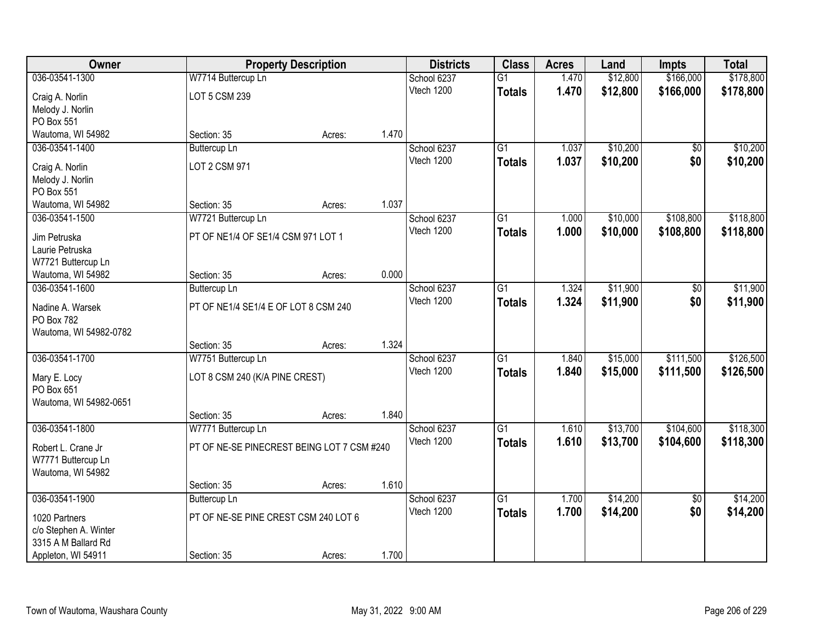| Owner                                  |                                            | <b>Property Description</b> |       | <b>Districts</b> | <b>Class</b>    | <b>Acres</b> | Land     | <b>Impts</b>    | <b>Total</b> |
|----------------------------------------|--------------------------------------------|-----------------------------|-------|------------------|-----------------|--------------|----------|-----------------|--------------|
| 036-03541-1300                         | W7714 Buttercup Ln                         |                             |       | School 6237      | $\overline{G1}$ | 1.470        | \$12,800 | \$166,000       | \$178,800    |
| Craig A. Norlin                        | LOT 5 CSM 239                              |                             |       | Vtech 1200       | <b>Totals</b>   | 1.470        | \$12,800 | \$166,000       | \$178,800    |
| Melody J. Norlin                       |                                            |                             |       |                  |                 |              |          |                 |              |
| PO Box 551                             |                                            |                             |       |                  |                 |              |          |                 |              |
| Wautoma, WI 54982                      | Section: 35                                | Acres:                      | 1.470 |                  |                 |              |          |                 |              |
| 036-03541-1400                         | <b>Buttercup Ln</b>                        |                             |       | School 6237      | $\overline{G1}$ | 1.037        | \$10,200 | \$0             | \$10,200     |
| Craig A. Norlin                        | LOT 2 CSM 971                              |                             |       | Vtech 1200       | <b>Totals</b>   | 1.037        | \$10,200 | \$0             | \$10,200     |
| Melody J. Norlin                       |                                            |                             |       |                  |                 |              |          |                 |              |
| PO Box 551                             |                                            |                             |       |                  |                 |              |          |                 |              |
| Wautoma, WI 54982                      | Section: 35                                | Acres:                      | 1.037 |                  |                 |              |          |                 |              |
| 036-03541-1500                         | W7721 Buttercup Ln                         |                             |       | School 6237      | G1              | 1.000        | \$10,000 | \$108,800       | \$118,800    |
| Jim Petruska                           | PT OF NE1/4 OF SE1/4 CSM 971 LOT 1         |                             |       | Vtech 1200       | <b>Totals</b>   | 1.000        | \$10,000 | \$108,800       | \$118,800    |
| Laurie Petruska                        |                                            |                             |       |                  |                 |              |          |                 |              |
| W7721 Buttercup Ln                     |                                            |                             |       |                  |                 |              |          |                 |              |
| Wautoma, WI 54982                      | Section: 35                                | Acres:                      | 0.000 |                  |                 |              |          |                 |              |
| 036-03541-1600                         | <b>Buttercup Ln</b>                        |                             |       | School 6237      | G1              | 1.324        | \$11,900 | \$0             | \$11,900     |
| Nadine A. Warsek                       | PT OF NE1/4 SE1/4 E OF LOT 8 CSM 240       |                             |       | Vtech 1200       | <b>Totals</b>   | 1.324        | \$11,900 | \$0             | \$11,900     |
| PO Box 782                             |                                            |                             |       |                  |                 |              |          |                 |              |
| Wautoma, WI 54982-0782                 |                                            |                             |       |                  |                 |              |          |                 |              |
|                                        | Section: 35                                | Acres:                      | 1.324 |                  |                 |              |          |                 |              |
| 036-03541-1700                         | W7751 Buttercup Ln                         |                             |       | School 6237      | $\overline{G1}$ | 1.840        | \$15,000 | \$111,500       | \$126,500    |
| Mary E. Locy                           | LOT 8 CSM 240 (K/A PINE CREST)             |                             |       | Vtech 1200       | <b>Totals</b>   | 1.840        | \$15,000 | \$111,500       | \$126,500    |
| PO Box 651                             |                                            |                             |       |                  |                 |              |          |                 |              |
| Wautoma, WI 54982-0651                 |                                            |                             |       |                  |                 |              |          |                 |              |
|                                        | Section: 35                                | Acres:                      | 1.840 |                  |                 |              |          |                 |              |
| 036-03541-1800                         | W7771 Buttercup Ln                         |                             |       | School 6237      | $\overline{G1}$ | 1.610        | \$13,700 | \$104,600       | \$118,300    |
| Robert L. Crane Jr                     | PT OF NE-SE PINECREST BEING LOT 7 CSM #240 |                             |       | Vtech 1200       | <b>Totals</b>   | 1.610        | \$13,700 | \$104,600       | \$118,300    |
| W7771 Buttercup Ln                     |                                            |                             |       |                  |                 |              |          |                 |              |
| Wautoma, WI 54982                      |                                            |                             |       |                  |                 |              |          |                 |              |
|                                        | Section: 35                                | Acres:                      | 1.610 |                  |                 |              |          |                 |              |
| 036-03541-1900                         | <b>Buttercup Ln</b>                        |                             |       | School 6237      | $\overline{G1}$ | 1.700        | \$14,200 | $\overline{50}$ | \$14,200     |
|                                        |                                            |                             |       | Vtech 1200       | <b>Totals</b>   | 1.700        | \$14,200 | \$0             | \$14,200     |
| 1020 Partners<br>c/o Stephen A. Winter | PT OF NE-SE PINE CREST CSM 240 LOT 6       |                             |       |                  |                 |              |          |                 |              |
| 3315 A M Ballard Rd                    |                                            |                             |       |                  |                 |              |          |                 |              |
| Appleton, WI 54911                     | Section: 35                                | Acres:                      | 1.700 |                  |                 |              |          |                 |              |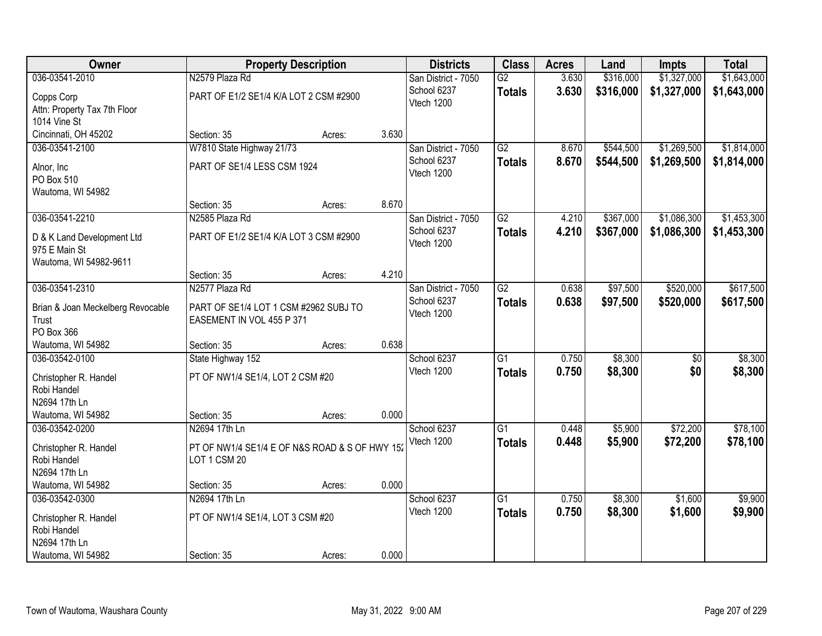| Owner                                      |                                                | <b>Property Description</b> |       | <b>Districts</b>    | <b>Class</b>    | <b>Acres</b> | Land      | <b>Impts</b>    | <b>Total</b> |
|--------------------------------------------|------------------------------------------------|-----------------------------|-------|---------------------|-----------------|--------------|-----------|-----------------|--------------|
| 036-03541-2010                             | N2579 Plaza Rd                                 |                             |       | San District - 7050 | $\overline{G2}$ | 3.630        | \$316,000 | \$1,327,000     | \$1,643,000  |
| Copps Corp                                 | PART OF E1/2 SE1/4 K/A LOT 2 CSM #2900         |                             |       | School 6237         | <b>Totals</b>   | 3.630        | \$316,000 | \$1,327,000     | \$1,643,000  |
| Attn: Property Tax 7th Floor               |                                                |                             |       | Vtech 1200          |                 |              |           |                 |              |
| 1014 Vine St                               |                                                |                             |       |                     |                 |              |           |                 |              |
| Cincinnati, OH 45202                       | Section: 35                                    | Acres:                      | 3.630 |                     |                 |              |           |                 |              |
| 036-03541-2100                             | W7810 State Highway 21/73                      |                             |       | San District - 7050 | $\overline{G2}$ | 8.670        | \$544,500 | \$1,269,500     | \$1,814,000  |
| Alnor, Inc.                                | PART OF SE1/4 LESS CSM 1924                    |                             |       | School 6237         | <b>Totals</b>   | 8.670        | \$544,500 | \$1,269,500     | \$1,814,000  |
| PO Box 510                                 |                                                |                             |       | Vtech 1200          |                 |              |           |                 |              |
| Wautoma, WI 54982                          |                                                |                             |       |                     |                 |              |           |                 |              |
|                                            | Section: 35                                    | Acres:                      | 8.670 |                     |                 |              |           |                 |              |
| 036-03541-2210                             | N2585 Plaza Rd                                 |                             |       | San District - 7050 | $\overline{G2}$ | 4.210        | \$367,000 | \$1,086,300     | \$1,453,300  |
| D & K Land Development Ltd                 | PART OF E1/2 SE1/4 K/A LOT 3 CSM #2900         |                             |       | School 6237         | <b>Totals</b>   | 4.210        | \$367,000 | \$1,086,300     | \$1,453,300  |
| 975 E Main St                              |                                                |                             |       | Vtech 1200          |                 |              |           |                 |              |
| Wautoma, WI 54982-9611                     |                                                |                             |       |                     |                 |              |           |                 |              |
|                                            | Section: 35                                    | Acres:                      | 4.210 |                     |                 |              |           |                 |              |
| 036-03541-2310                             | N2577 Plaza Rd                                 |                             |       | San District - 7050 | $\overline{G2}$ | 0.638        | \$97,500  | \$520,000       | \$617,500    |
|                                            | PART OF SE1/4 LOT 1 CSM #2962 SUBJ TO          |                             |       | School 6237         | <b>Totals</b>   | 0.638        | \$97,500  | \$520,000       | \$617,500    |
| Brian & Joan Meckelberg Revocable<br>Trust | EASEMENT IN VOL 455 P 371                      |                             |       | Vtech 1200          |                 |              |           |                 |              |
| PO Box 366                                 |                                                |                             |       |                     |                 |              |           |                 |              |
| Wautoma, WI 54982                          | Section: 35                                    | Acres:                      | 0.638 |                     |                 |              |           |                 |              |
| 036-03542-0100                             | State Highway 152                              |                             |       | School 6237         | $\overline{G1}$ | 0.750        | \$8,300   | $\overline{50}$ | \$8,300      |
|                                            |                                                |                             |       | Vtech 1200          | <b>Totals</b>   | 0.750        | \$8,300   | \$0             | \$8,300      |
| Christopher R. Handel<br>Robi Handel       | PT OF NW1/4 SE1/4, LOT 2 CSM #20               |                             |       |                     |                 |              |           |                 |              |
| N2694 17th Ln                              |                                                |                             |       |                     |                 |              |           |                 |              |
| Wautoma, WI 54982                          | Section: 35                                    | Acres:                      | 0.000 |                     |                 |              |           |                 |              |
| 036-03542-0200                             | N2694 17th Ln                                  |                             |       | School 6237         | G1              | 0.448        | \$5,900   | \$72,200        | \$78,100     |
|                                            |                                                |                             |       | Vtech 1200          | <b>Totals</b>   | 0.448        | \$5,900   | \$72,200        | \$78,100     |
| Christopher R. Handel                      | PT OF NW1/4 SE1/4 E OF N&S ROAD & S OF HWY 152 |                             |       |                     |                 |              |           |                 |              |
| Robi Handel<br>N2694 17th Ln               | LOT 1 CSM 20                                   |                             |       |                     |                 |              |           |                 |              |
| Wautoma, WI 54982                          | Section: 35                                    | Acres:                      | 0.000 |                     |                 |              |           |                 |              |
| 036-03542-0300                             | N2694 17th Ln                                  |                             |       | School 6237         | $\overline{G1}$ | 0.750        | \$8,300   | \$1,600         | \$9,900      |
|                                            |                                                |                             |       | Vtech 1200          | <b>Totals</b>   | 0.750        | \$8,300   | \$1,600         | \$9,900      |
| Christopher R. Handel                      | PT OF NW1/4 SE1/4, LOT 3 CSM #20               |                             |       |                     |                 |              |           |                 |              |
| Robi Handel                                |                                                |                             |       |                     |                 |              |           |                 |              |
| N2694 17th Ln                              |                                                |                             |       |                     |                 |              |           |                 |              |
| Wautoma, WI 54982                          | Section: 35                                    | Acres:                      | 0.000 |                     |                 |              |           |                 |              |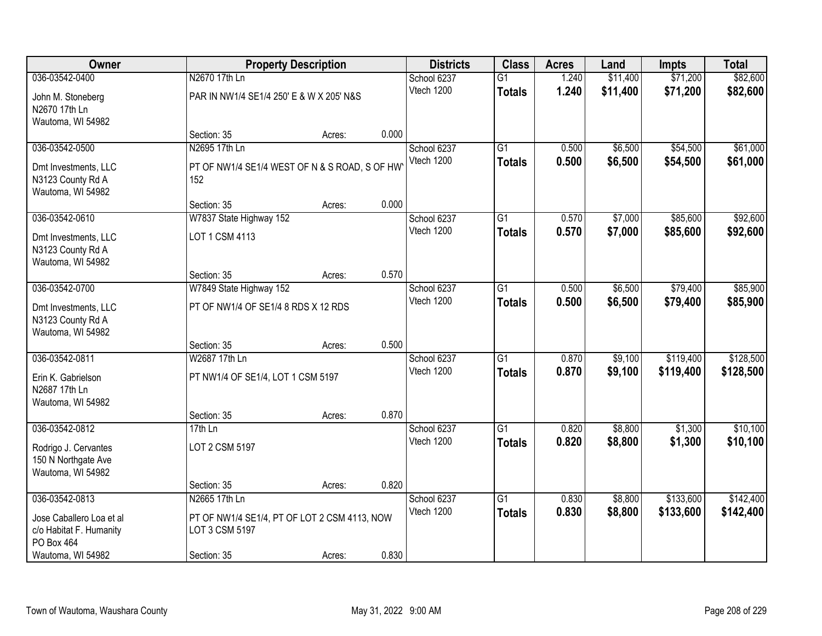| Owner                    |                                               | <b>Property Description</b> |       | <b>Districts</b> | <b>Class</b>    | <b>Acres</b> | Land     | <b>Impts</b> | <b>Total</b> |
|--------------------------|-----------------------------------------------|-----------------------------|-------|------------------|-----------------|--------------|----------|--------------|--------------|
| 036-03542-0400           | N2670 17th Ln                                 |                             |       | School 6237      | $\overline{G1}$ | 1.240        | \$11,400 | \$71,200     | \$82,600     |
| John M. Stoneberg        | PAR IN NW1/4 SE1/4 250' E & W X 205' N&S      |                             |       | Vtech 1200       | <b>Totals</b>   | 1.240        | \$11,400 | \$71,200     | \$82,600     |
| N2670 17th Ln            |                                               |                             |       |                  |                 |              |          |              |              |
| Wautoma, WI 54982        |                                               |                             |       |                  |                 |              |          |              |              |
|                          | Section: 35                                   | Acres:                      | 0.000 |                  |                 |              |          |              |              |
| 036-03542-0500           | N2695 17th Ln                                 |                             |       | School 6237      | $\overline{G1}$ | 0.500        | \$6,500  | \$54,500     | \$61,000     |
| Dmt Investments, LLC     | PT OF NW1/4 SE1/4 WEST OF N & S ROAD, S OF HW |                             |       | Vtech 1200       | <b>Totals</b>   | 0.500        | \$6,500  | \$54,500     | \$61,000     |
| N3123 County Rd A        | 152                                           |                             |       |                  |                 |              |          |              |              |
| Wautoma, WI 54982        |                                               |                             |       |                  |                 |              |          |              |              |
|                          | Section: 35                                   | Acres:                      | 0.000 |                  |                 |              |          |              |              |
| 036-03542-0610           | W7837 State Highway 152                       |                             |       | School 6237      | $\overline{G1}$ | 0.570        | \$7,000  | \$85,600     | \$92,600     |
| Dmt Investments, LLC     | LOT 1 CSM 4113                                |                             |       | Vtech 1200       | <b>Totals</b>   | 0.570        | \$7,000  | \$85,600     | \$92,600     |
| N3123 County Rd A        |                                               |                             |       |                  |                 |              |          |              |              |
| Wautoma, WI 54982        |                                               |                             |       |                  |                 |              |          |              |              |
|                          | Section: 35                                   | Acres:                      | 0.570 |                  |                 |              |          |              |              |
| 036-03542-0700           | W7849 State Highway 152                       |                             |       | School 6237      | G1              | 0.500        | \$6,500  | \$79,400     | \$85,900     |
| Dmt Investments, LLC     | PT OF NW1/4 OF SE1/4 8 RDS X 12 RDS           |                             |       | Vtech 1200       | <b>Totals</b>   | 0.500        | \$6,500  | \$79,400     | \$85,900     |
| N3123 County Rd A        |                                               |                             |       |                  |                 |              |          |              |              |
| Wautoma, WI 54982        |                                               |                             |       |                  |                 |              |          |              |              |
|                          | Section: 35                                   | Acres:                      | 0.500 |                  |                 |              |          |              |              |
| 036-03542-0811           | W2687 17th Ln                                 |                             |       | School 6237      | $\overline{G1}$ | 0.870        | \$9,100  | \$119,400    | \$128,500    |
| Erin K. Gabrielson       | PT NW1/4 OF SE1/4, LOT 1 CSM 5197             |                             |       | Vtech 1200       | <b>Totals</b>   | 0.870        | \$9,100  | \$119,400    | \$128,500    |
| N2687 17th Ln            |                                               |                             |       |                  |                 |              |          |              |              |
| Wautoma, WI 54982        |                                               |                             |       |                  |                 |              |          |              |              |
|                          | Section: 35                                   | Acres:                      | 0.870 |                  |                 |              |          |              |              |
| 036-03542-0812           | 17th Ln                                       |                             |       | School 6237      | $\overline{G1}$ | 0.820        | \$8,800  | \$1,300      | \$10,100     |
| Rodrigo J. Cervantes     | LOT 2 CSM 5197                                |                             |       | Vtech 1200       | <b>Totals</b>   | 0.820        | \$8,800  | \$1,300      | \$10,100     |
| 150 N Northgate Ave      |                                               |                             |       |                  |                 |              |          |              |              |
| Wautoma, WI 54982        |                                               |                             |       |                  |                 |              |          |              |              |
|                          | Section: 35                                   | Acres:                      | 0.820 |                  |                 |              |          |              |              |
| 036-03542-0813           | N2665 17th Ln                                 |                             |       | School 6237      | $\overline{G1}$ | 0.830        | \$8,800  | \$133,600    | \$142,400    |
| Jose Caballero Loa et al | PT OF NW1/4 SE1/4, PT OF LOT 2 CSM 4113, NOW  |                             |       | Vtech 1200       | <b>Totals</b>   | 0.830        | \$8,800  | \$133,600    | \$142,400    |
| c/o Habitat F. Humanity  | LOT 3 CSM 5197                                |                             |       |                  |                 |              |          |              |              |
| <b>PO Box 464</b>        |                                               |                             |       |                  |                 |              |          |              |              |
| Wautoma, WI 54982        | Section: 35                                   | Acres:                      | 0.830 |                  |                 |              |          |              |              |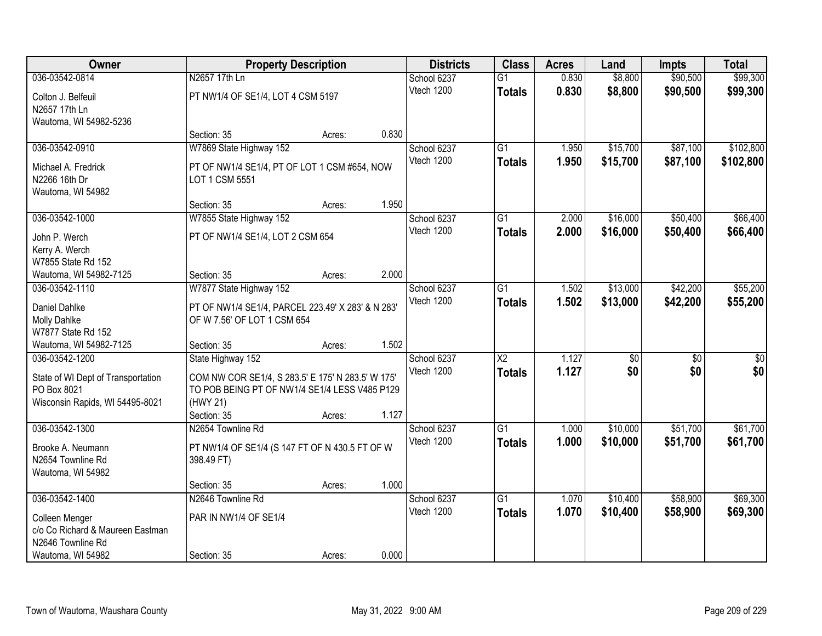| Owner                                              |                                                                                                    | <b>Property Description</b> |       | <b>Districts</b> | <b>Class</b>           | <b>Acres</b> | Land            | <b>Impts</b>    | <b>Total</b>    |
|----------------------------------------------------|----------------------------------------------------------------------------------------------------|-----------------------------|-------|------------------|------------------------|--------------|-----------------|-----------------|-----------------|
| 036-03542-0814                                     | N2657 17th Ln                                                                                      |                             |       | School 6237      | $\overline{G1}$        | 0.830        | \$8,800         | \$90,500        | \$99,300        |
| Colton J. Belfeuil                                 | PT NW1/4 OF SE1/4, LOT 4 CSM 5197                                                                  |                             |       | Vtech 1200       | <b>Totals</b>          | 0.830        | \$8,800         | \$90,500        | \$99,300        |
| N2657 17th Ln                                      |                                                                                                    |                             |       |                  |                        |              |                 |                 |                 |
| Wautoma, WI 54982-5236                             |                                                                                                    |                             |       |                  |                        |              |                 |                 |                 |
|                                                    | Section: 35                                                                                        | Acres:                      | 0.830 |                  |                        |              |                 |                 |                 |
| 036-03542-0910                                     | W7869 State Highway 152                                                                            |                             |       | School 6237      | $\overline{G1}$        | 1.950        | \$15,700        | \$87,100        | \$102,800       |
| Michael A. Fredrick                                | PT OF NW1/4 SE1/4, PT OF LOT 1 CSM #654, NOW                                                       |                             |       | Vtech 1200       | <b>Totals</b>          | 1.950        | \$15,700        | \$87,100        | \$102,800       |
| N2266 16th Dr                                      | LOT 1 CSM 5551                                                                                     |                             |       |                  |                        |              |                 |                 |                 |
| Wautoma, WI 54982                                  |                                                                                                    |                             |       |                  |                        |              |                 |                 |                 |
|                                                    | Section: 35                                                                                        | Acres:                      | 1.950 |                  |                        |              |                 |                 |                 |
| 036-03542-1000                                     | W7855 State Highway 152                                                                            |                             |       | School 6237      | G1                     | 2.000        | \$16,000        | \$50,400        | \$66,400        |
| John P. Werch                                      | PT OF NW1/4 SE1/4, LOT 2 CSM 654                                                                   |                             |       | Vtech 1200       | <b>Totals</b>          | 2.000        | \$16,000        | \$50,400        | \$66,400        |
| Kerry A. Werch                                     |                                                                                                    |                             |       |                  |                        |              |                 |                 |                 |
| W7855 State Rd 152                                 |                                                                                                    |                             |       |                  |                        |              |                 |                 |                 |
| Wautoma, WI 54982-7125                             | Section: 35                                                                                        | Acres:                      | 2.000 |                  |                        |              |                 |                 |                 |
| 036-03542-1110                                     | W7877 State Highway 152                                                                            |                             |       | School 6237      | G1                     | 1.502        | \$13,000        | \$42,200        | \$55,200        |
| Daniel Dahlke                                      | PT OF NW1/4 SE1/4, PARCEL 223.49' X 283' & N 283'                                                  |                             |       | Vtech 1200       | <b>Totals</b>          | 1.502        | \$13,000        | \$42,200        | \$55,200        |
| Molly Dahlke                                       | OF W 7.56' OF LOT 1 CSM 654                                                                        |                             |       |                  |                        |              |                 |                 |                 |
| W7877 State Rd 152                                 |                                                                                                    |                             |       |                  |                        |              |                 |                 |                 |
| Wautoma, WI 54982-7125                             | Section: 35                                                                                        | Acres:                      | 1.502 |                  |                        |              |                 |                 |                 |
| 036-03542-1200                                     | State Highway 152                                                                                  |                             |       | School 6237      | $\overline{\text{X2}}$ | 1.127        | $\overline{50}$ | $\overline{50}$ | $\overline{50}$ |
|                                                    |                                                                                                    |                             |       | Vtech 1200       | <b>Totals</b>          | 1.127        | \$0             | \$0             | \$0             |
| State of WI Dept of Transportation<br>PO Box 8021  | COM NW COR SE1/4, S 283.5' E 175' N 283.5' W 175'<br>TO POB BEING PT OF NW1/4 SE1/4 LESS V485 P129 |                             |       |                  |                        |              |                 |                 |                 |
| Wisconsin Rapids, WI 54495-8021                    | (HWY 21)                                                                                           |                             |       |                  |                        |              |                 |                 |                 |
|                                                    | Section: 35                                                                                        | Acres:                      | 1.127 |                  |                        |              |                 |                 |                 |
| 036-03542-1300                                     | N2654 Townline Rd                                                                                  |                             |       | School 6237      | $\overline{G1}$        | 1.000        | \$10,000        | \$51,700        | \$61,700        |
| Brooke A. Neumann                                  |                                                                                                    |                             |       | Vtech 1200       | <b>Totals</b>          | 1.000        | \$10,000        | \$51,700        | \$61,700        |
| N2654 Townline Rd                                  | PT NW1/4 OF SE1/4 (S 147 FT OF N 430.5 FT OF W<br>398.49 FT)                                       |                             |       |                  |                        |              |                 |                 |                 |
| Wautoma, WI 54982                                  |                                                                                                    |                             |       |                  |                        |              |                 |                 |                 |
|                                                    | Section: 35                                                                                        | Acres:                      | 1.000 |                  |                        |              |                 |                 |                 |
| 036-03542-1400                                     | N2646 Townline Rd                                                                                  |                             |       | School 6237      | $\overline{G1}$        | 1.070        | \$10,400        | \$58,900        | \$69,300        |
|                                                    | PAR IN NW1/4 OF SE1/4                                                                              |                             |       | Vtech 1200       | <b>Totals</b>          | 1.070        | \$10,400        | \$58,900        | \$69,300        |
| Colleen Menger<br>c/o Co Richard & Maureen Eastman |                                                                                                    |                             |       |                  |                        |              |                 |                 |                 |
| N2646 Townline Rd                                  |                                                                                                    |                             |       |                  |                        |              |                 |                 |                 |
| Wautoma, WI 54982                                  | Section: 35                                                                                        | Acres:                      | 0.000 |                  |                        |              |                 |                 |                 |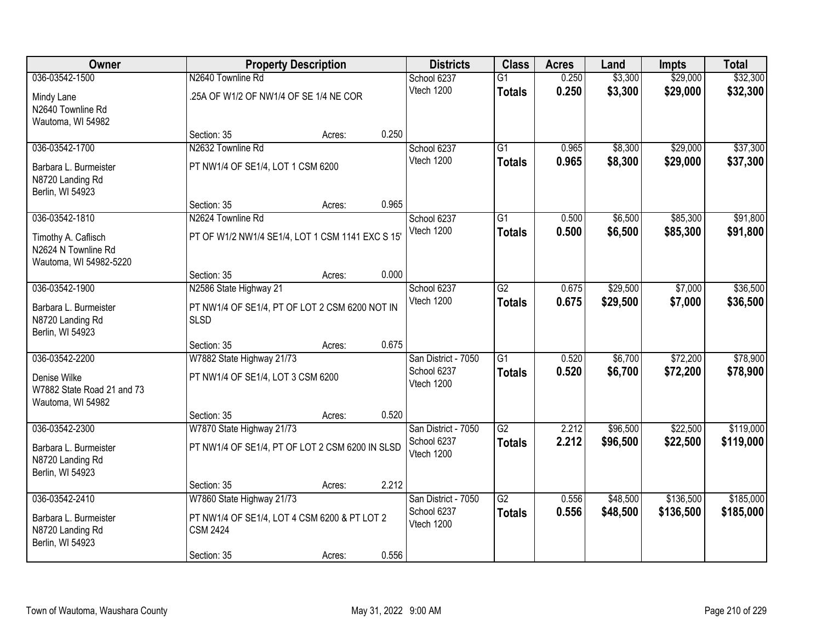| Owner                                |                                                  | <b>Property Description</b> |       | <b>Districts</b>          | <b>Class</b>    | <b>Acres</b>   | Land               | <b>Impts</b>         | <b>Total</b>         |
|--------------------------------------|--------------------------------------------------|-----------------------------|-------|---------------------------|-----------------|----------------|--------------------|----------------------|----------------------|
| 036-03542-1500                       | N2640 Townline Rd                                |                             |       | School 6237               | $\overline{G1}$ | 0.250          | \$3,300            | \$29,000             | \$32,300             |
| Mindy Lane                           | .25A OF W1/2 OF NW1/4 OF SE 1/4 NE COR           |                             |       | Vtech 1200                | <b>Totals</b>   | 0.250          | \$3,300            | \$29,000             | \$32,300             |
| N2640 Townline Rd                    |                                                  |                             |       |                           |                 |                |                    |                      |                      |
| Wautoma, WI 54982                    |                                                  |                             |       |                           |                 |                |                    |                      |                      |
|                                      | Section: 35                                      | Acres:                      | 0.250 |                           |                 |                |                    |                      |                      |
| 036-03542-1700                       | N2632 Townline Rd                                |                             |       | School 6237               | $\overline{G1}$ | 0.965          | \$8,300            | \$29,000             | \$37,300             |
| Barbara L. Burmeister                | PT NW1/4 OF SE1/4, LOT 1 CSM 6200                |                             |       | Vtech 1200                | <b>Totals</b>   | 0.965          | \$8,300            | \$29,000             | \$37,300             |
| N8720 Landing Rd                     |                                                  |                             |       |                           |                 |                |                    |                      |                      |
| Berlin, WI 54923                     |                                                  |                             |       |                           |                 |                |                    |                      |                      |
|                                      | Section: 35                                      | Acres:                      | 0.965 |                           |                 |                |                    |                      |                      |
| 036-03542-1810                       | N2624 Townline Rd                                |                             |       | School 6237<br>Vtech 1200 | $\overline{G1}$ | 0.500<br>0.500 | \$6,500<br>\$6,500 | \$85,300<br>\$85,300 | \$91,800<br>\$91,800 |
| Timothy A. Caflisch                  | PT OF W1/2 NW1/4 SE1/4, LOT 1 CSM 1141 EXC S 15' |                             |       |                           | <b>Totals</b>   |                |                    |                      |                      |
| N2624 N Townline Rd                  |                                                  |                             |       |                           |                 |                |                    |                      |                      |
| Wautoma, WI 54982-5220               | Section: 35                                      | Acres:                      | 0.000 |                           |                 |                |                    |                      |                      |
| 036-03542-1900                       | N2586 State Highway 21                           |                             |       | School 6237               | G2              | 0.675          | \$29,500           | \$7,000              | \$36,500             |
|                                      |                                                  |                             |       | Vtech 1200                | <b>Totals</b>   | 0.675          | \$29,500           | \$7,000              | \$36,500             |
| Barbara L. Burmeister                | PT NW1/4 OF SE1/4, PT OF LOT 2 CSM 6200 NOT IN   |                             |       |                           |                 |                |                    |                      |                      |
| N8720 Landing Rd<br>Berlin, WI 54923 | <b>SLSD</b>                                      |                             |       |                           |                 |                |                    |                      |                      |
|                                      | Section: 35                                      | Acres:                      | 0.675 |                           |                 |                |                    |                      |                      |
| 036-03542-2200                       | W7882 State Highway 21/73                        |                             |       | San District - 7050       | $\overline{G1}$ | 0.520          | \$6,700            | \$72,200             | \$78,900             |
| Denise Wilke                         | PT NW1/4 OF SE1/4, LOT 3 CSM 6200                |                             |       | School 6237               | <b>Totals</b>   | 0.520          | \$6,700            | \$72,200             | \$78,900             |
| W7882 State Road 21 and 73           |                                                  |                             |       | Vtech 1200                |                 |                |                    |                      |                      |
| Wautoma, WI 54982                    |                                                  |                             |       |                           |                 |                |                    |                      |                      |
|                                      | Section: 35                                      | Acres:                      | 0.520 |                           |                 |                |                    |                      |                      |
| 036-03542-2300                       | W7870 State Highway 21/73                        |                             |       | San District - 7050       | G2              | 2.212          | \$96,500           | \$22,500             | \$119,000            |
| Barbara L. Burmeister                | PT NW1/4 OF SE1/4, PT OF LOT 2 CSM 6200 IN SLSD  |                             |       | School 6237               | <b>Totals</b>   | 2.212          | \$96,500           | \$22,500             | \$119,000            |
| N8720 Landing Rd                     |                                                  |                             |       | Vtech 1200                |                 |                |                    |                      |                      |
| Berlin, WI 54923                     |                                                  |                             |       |                           |                 |                |                    |                      |                      |
|                                      | Section: 35                                      | Acres:                      | 2.212 |                           |                 |                |                    |                      |                      |
| 036-03542-2410                       | W7860 State Highway 21/73                        |                             |       | San District - 7050       | G2              | 0.556          | \$48,500           | \$136,500            | \$185,000            |
| Barbara L. Burmeister                | PT NW1/4 OF SE1/4, LOT 4 CSM 6200 & PT LOT 2     |                             |       | School 6237<br>Vtech 1200 | <b>Totals</b>   | 0.556          | \$48,500           | \$136,500            | \$185,000            |
| N8720 Landing Rd                     | <b>CSM 2424</b>                                  |                             |       |                           |                 |                |                    |                      |                      |
| Berlin, WI 54923                     |                                                  |                             |       |                           |                 |                |                    |                      |                      |
|                                      | Section: 35                                      | Acres:                      | 0.556 |                           |                 |                |                    |                      |                      |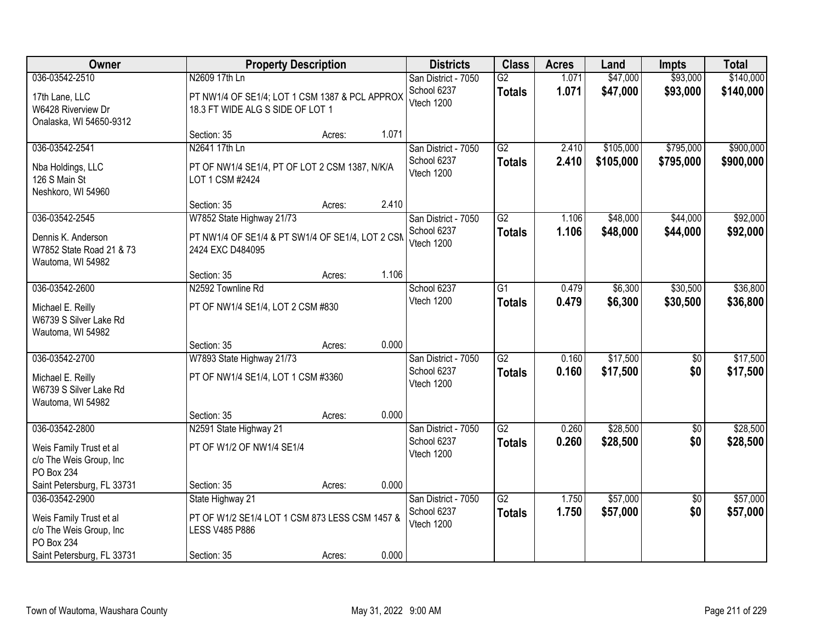| Owner                                                               |                                                                                    | <b>Property Description</b> |       | <b>Districts</b>                   | <b>Class</b>        | <b>Acres</b>   | Land                   | <b>Impts</b>           | <b>Total</b>           |
|---------------------------------------------------------------------|------------------------------------------------------------------------------------|-----------------------------|-------|------------------------------------|---------------------|----------------|------------------------|------------------------|------------------------|
| 036-03542-2510                                                      | N2609 17th Ln                                                                      |                             |       | San District - 7050                | G2                  | 1.071          | \$47,000               | \$93,000               | \$140,000              |
| 17th Lane, LLC<br>W6428 Riverview Dr<br>Onalaska, WI 54650-9312     | PT NW1/4 OF SE1/4; LOT 1 CSM 1387 & PCL APPROX<br>18.3 FT WIDE ALG S SIDE OF LOT 1 |                             |       | School 6237<br>Vtech 1200          | <b>Totals</b>       | 1.071          | \$47,000               | \$93,000               | \$140,000              |
|                                                                     | Section: 35                                                                        | Acres:                      | 1.071 |                                    |                     |                |                        |                        |                        |
| 036-03542-2541                                                      | N2641 17th Ln                                                                      |                             |       | San District - 7050<br>School 6237 | G2<br><b>Totals</b> | 2.410<br>2.410 | \$105,000<br>\$105,000 | \$795,000<br>\$795,000 | \$900,000<br>\$900,000 |
| Nba Holdings, LLC<br>126 S Main St<br>Neshkoro, WI 54960            | PT OF NW1/4 SE1/4, PT OF LOT 2 CSM 1387, N/K/A<br>LOT 1 CSM #2424                  |                             |       | Vtech 1200                         |                     |                |                        |                        |                        |
|                                                                     | Section: 35                                                                        | Acres:                      | 2.410 |                                    |                     |                |                        |                        |                        |
| 036-03542-2545                                                      | W7852 State Highway 21/73                                                          |                             |       | San District - 7050                | G2                  | 1.106          | \$48,000               | \$44,000               | \$92,000               |
| Dennis K. Anderson<br>W7852 State Road 21 & 73<br>Wautoma, WI 54982 | PT NW1/4 OF SE1/4 & PT SW1/4 OF SE1/4, LOT 2 CSM<br>2424 EXC D484095               |                             |       | School 6237<br>Vtech 1200          | <b>Totals</b>       | 1.106          | \$48,000               | \$44,000               | \$92,000               |
|                                                                     | Section: 35                                                                        | Acres:                      | 1.106 |                                    |                     |                |                        |                        |                        |
| 036-03542-2600                                                      | N2592 Townline Rd                                                                  |                             |       | School 6237                        | $\overline{G1}$     | 0.479          | \$6,300                | \$30,500               | \$36,800               |
| Michael E. Reilly<br>W6739 S Silver Lake Rd<br>Wautoma, WI 54982    | PT OF NW1/4 SE1/4, LOT 2 CSM #830                                                  |                             |       | Vtech 1200                         | <b>Totals</b>       | 0.479          | \$6,300                | \$30,500               | \$36,800               |
|                                                                     | Section: 35                                                                        | Acres:                      | 0.000 |                                    |                     |                |                        |                        |                        |
| 036-03542-2700                                                      | W7893 State Highway 21/73                                                          |                             |       | San District - 7050                | $\overline{G2}$     | 0.160          | \$17,500               | \$0                    | \$17,500               |
| Michael E. Reilly<br>W6739 S Silver Lake Rd<br>Wautoma, WI 54982    | PT OF NW1/4 SE1/4, LOT 1 CSM #3360                                                 |                             |       | School 6237<br>Vtech 1200          | <b>Totals</b>       | 0.160          | \$17,500               | \$0                    | \$17,500               |
|                                                                     | Section: 35                                                                        | Acres:                      | 0.000 |                                    |                     |                |                        |                        |                        |
| 036-03542-2800                                                      | N2591 State Highway 21                                                             |                             |       | San District - 7050                | $\overline{G2}$     | 0.260          | \$28,500               | $\overline{60}$        | \$28,500               |
| Weis Family Trust et al<br>c/o The Weis Group, Inc<br>PO Box 234    | PT OF W1/2 OF NW1/4 SE1/4                                                          |                             |       | School 6237<br>Vtech 1200          | <b>Totals</b>       | 0.260          | \$28,500               | \$0                    | \$28,500               |
| Saint Petersburg, FL 33731                                          | Section: 35                                                                        | Acres:                      | 0.000 |                                    |                     |                |                        |                        |                        |
| 036-03542-2900                                                      | State Highway 21                                                                   |                             |       | San District - 7050                | G2                  | 1.750          | \$57,000               | $\overline{50}$        | \$57,000               |
| Weis Family Trust et al<br>c/o The Weis Group, Inc<br>PO Box 234    | PT OF W1/2 SE1/4 LOT 1 CSM 873 LESS CSM 1457 &<br><b>LESS V485 P886</b>            |                             |       | School 6237<br>Vtech 1200          | <b>Totals</b>       | 1.750          | \$57,000               | \$0                    | \$57,000               |
| Saint Petersburg, FL 33731                                          | Section: 35                                                                        | Acres:                      | 0.000 |                                    |                     |                |                        |                        |                        |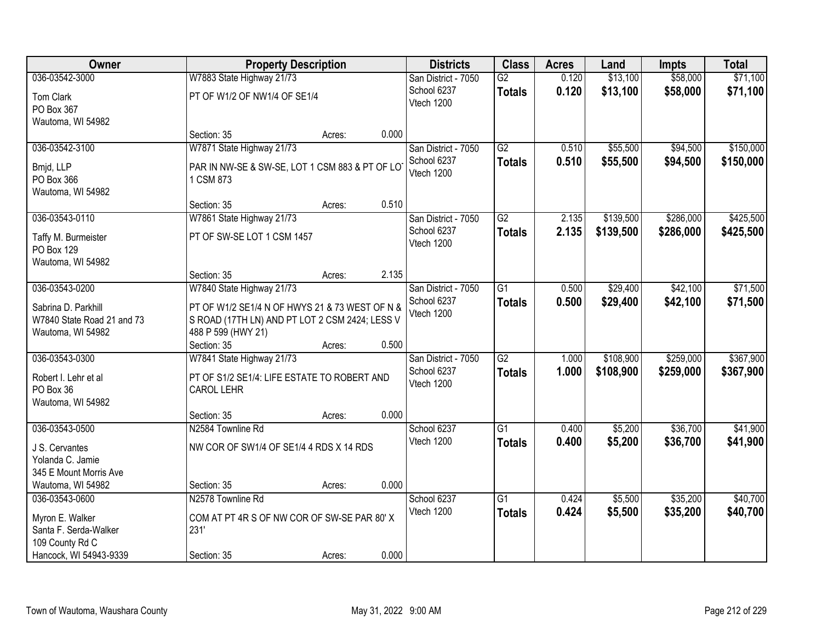| Owner                                    |                                                                  | <b>Property Description</b> |       | <b>Districts</b>    | <b>Class</b>    | <b>Acres</b> | Land      | <b>Impts</b> | <b>Total</b> |
|------------------------------------------|------------------------------------------------------------------|-----------------------------|-------|---------------------|-----------------|--------------|-----------|--------------|--------------|
| 036-03542-3000                           | W7883 State Highway 21/73                                        |                             |       | San District - 7050 | G2              | 0.120        | \$13,100  | \$58,000     | \$71,100     |
| Tom Clark                                | PT OF W1/2 OF NW1/4 OF SE1/4                                     |                             |       | School 6237         | <b>Totals</b>   | 0.120        | \$13,100  | \$58,000     | \$71,100     |
| PO Box 367                               |                                                                  |                             |       | Vtech 1200          |                 |              |           |              |              |
| Wautoma, WI 54982                        |                                                                  |                             |       |                     |                 |              |           |              |              |
|                                          | Section: 35                                                      | Acres:                      | 0.000 |                     |                 |              |           |              |              |
| 036-03542-3100                           | W7871 State Highway 21/73                                        |                             |       | San District - 7050 | $\overline{G2}$ | 0.510        | \$55,500  | \$94,500     | \$150,000    |
| Bmjd, LLP                                | PAR IN NW-SE & SW-SE, LOT 1 CSM 883 & PT OF LO                   |                             |       | School 6237         | <b>Totals</b>   | 0.510        | \$55,500  | \$94,500     | \$150,000    |
| PO Box 366                               | 1 CSM 873                                                        |                             |       | Vtech 1200          |                 |              |           |              |              |
| Wautoma, WI 54982                        |                                                                  |                             |       |                     |                 |              |           |              |              |
|                                          | Section: 35                                                      | Acres:                      | 0.510 |                     |                 |              |           |              |              |
| 036-03543-0110                           | W7861 State Highway 21/73                                        |                             |       | San District - 7050 | G2              | 2.135        | \$139,500 | \$286,000    | \$425,500    |
| Taffy M. Burmeister                      | PT OF SW-SE LOT 1 CSM 1457                                       |                             |       | School 6237         | <b>Totals</b>   | 2.135        | \$139,500 | \$286,000    | \$425,500    |
| PO Box 129                               |                                                                  |                             |       | Vtech 1200          |                 |              |           |              |              |
| Wautoma, WI 54982                        |                                                                  |                             |       |                     |                 |              |           |              |              |
|                                          | Section: 35                                                      | Acres:                      | 2.135 |                     |                 |              |           |              |              |
| 036-03543-0200                           | W7840 State Highway 21/73                                        |                             |       | San District - 7050 | G1              | 0.500        | \$29,400  | \$42,100     | \$71,500     |
| Sabrina D. Parkhill                      | PT OF W1/2 SE1/4 N OF HWYS 21 & 73 WEST OF N &                   |                             |       | School 6237         | <b>Totals</b>   | 0.500        | \$29,400  | \$42,100     | \$71,500     |
| W7840 State Road 21 and 73               | S ROAD (17TH LN) AND PT LOT 2 CSM 2424; LESS V                   |                             |       | Vtech 1200          |                 |              |           |              |              |
| Wautoma, WI 54982                        | 488 P 599 (HWY 21)                                               |                             |       |                     |                 |              |           |              |              |
|                                          | Section: 35                                                      | Acres:                      | 0.500 |                     |                 |              |           |              |              |
| 036-03543-0300                           | W7841 State Highway 21/73                                        |                             |       | San District - 7050 | $\overline{G2}$ | 1.000        | \$108,900 | \$259,000    | \$367,900    |
|                                          |                                                                  |                             |       | School 6237         | <b>Totals</b>   | 1.000        | \$108,900 | \$259,000    | \$367,900    |
| Robert I. Lehr et al<br>PO Box 36        | PT OF S1/2 SE1/4: LIFE ESTATE TO ROBERT AND<br><b>CAROL LEHR</b> |                             |       | Vtech 1200          |                 |              |           |              |              |
| Wautoma, WI 54982                        |                                                                  |                             |       |                     |                 |              |           |              |              |
|                                          | Section: 35                                                      | Acres:                      | 0.000 |                     |                 |              |           |              |              |
| 036-03543-0500                           | N2584 Townline Rd                                                |                             |       | School 6237         | G1              | 0.400        | \$5,200   | \$36,700     | \$41,900     |
|                                          |                                                                  |                             |       | Vtech 1200          | <b>Totals</b>   | 0.400        | \$5,200   | \$36,700     | \$41,900     |
| J S. Cervantes<br>Yolanda C. Jamie       | NW COR OF SW1/4 OF SE1/4 4 RDS X 14 RDS                          |                             |       |                     |                 |              |           |              |              |
| 345 E Mount Morris Ave                   |                                                                  |                             |       |                     |                 |              |           |              |              |
| Wautoma, WI 54982                        | Section: 35                                                      | Acres:                      | 0.000 |                     |                 |              |           |              |              |
| 036-03543-0600                           | N2578 Townline Rd                                                |                             |       | School 6237         | G1              | 0.424        | \$5,500   | \$35,200     | \$40,700     |
|                                          |                                                                  |                             |       | Vtech 1200          | <b>Totals</b>   | 0.424        | \$5,500   | \$35,200     | \$40,700     |
| Myron E. Walker                          | COM AT PT 4R S OF NW COR OF SW-SE PAR 80' X                      |                             |       |                     |                 |              |           |              |              |
| Santa F. Serda-Walker<br>109 County Rd C | 231'                                                             |                             |       |                     |                 |              |           |              |              |
| Hancock, WI 54943-9339                   | Section: 35                                                      | Acres:                      | 0.000 |                     |                 |              |           |              |              |
|                                          |                                                                  |                             |       |                     |                 |              |           |              |              |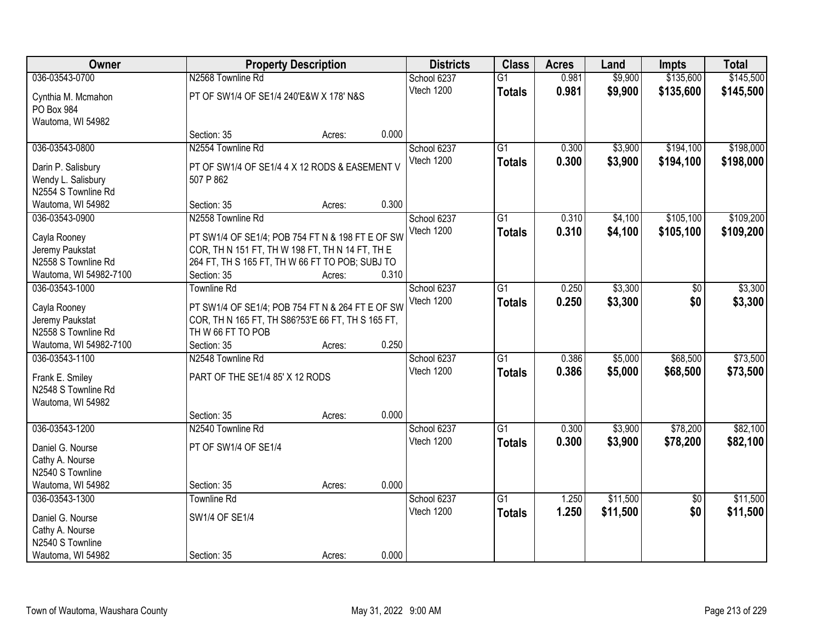| Owner                                     |                                                   | <b>Property Description</b> |       | <b>Districts</b> | <b>Class</b>    | <b>Acres</b> | Land     | <b>Impts</b>    | <b>Total</b> |
|-------------------------------------------|---------------------------------------------------|-----------------------------|-------|------------------|-----------------|--------------|----------|-----------------|--------------|
| 036-03543-0700                            | N2568 Townline Rd                                 |                             |       | School 6237      | $\overline{G1}$ | 0.981        | \$9,900  | \$135,600       | \$145,500    |
| Cynthia M. Mcmahon                        | PT OF SW1/4 OF SE1/4 240'E&W X 178' N&S           |                             |       | Vtech 1200       | <b>Totals</b>   | 0.981        | \$9,900  | \$135,600       | \$145,500    |
| PO Box 984                                |                                                   |                             |       |                  |                 |              |          |                 |              |
| Wautoma, WI 54982                         |                                                   |                             |       |                  |                 |              |          |                 |              |
|                                           | Section: 35                                       | Acres:                      | 0.000 |                  |                 |              |          |                 |              |
| 036-03543-0800                            | N2554 Townline Rd                                 |                             |       | School 6237      | $\overline{G1}$ | 0.300        | \$3,900  | \$194,100       | \$198,000    |
|                                           |                                                   |                             |       | Vtech 1200       | <b>Totals</b>   | 0.300        | \$3,900  | \$194,100       | \$198,000    |
| Darin P. Salisbury                        | PT OF SW1/4 OF SE1/4 4 X 12 RODS & EASEMENT V     |                             |       |                  |                 |              |          |                 |              |
| Wendy L. Salisbury<br>N2554 S Townline Rd | 507 P 862                                         |                             |       |                  |                 |              |          |                 |              |
| Wautoma, WI 54982                         | Section: 35                                       | Acres:                      | 0.300 |                  |                 |              |          |                 |              |
| 036-03543-0900                            | N2558 Townline Rd                                 |                             |       | School 6237      | G <sub>1</sub>  | 0.310        | \$4,100  | \$105,100       | \$109,200    |
|                                           |                                                   |                             |       | Vtech 1200       |                 |              |          |                 |              |
| Cayla Rooney                              | PT SW1/4 OF SE1/4; POB 754 FT N & 198 FT E OF SW  |                             |       |                  | <b>Totals</b>   | 0.310        | \$4,100  | \$105,100       | \$109,200    |
| Jeremy Paukstat                           | COR, TH N 151 FT, TH W 198 FT, TH N 14 FT, TH E   |                             |       |                  |                 |              |          |                 |              |
| N2558 S Townline Rd                       | 264 FT, TH S 165 FT, TH W 66 FT TO POB; SUBJ TO   |                             |       |                  |                 |              |          |                 |              |
| Wautoma, WI 54982-7100                    | Section: 35                                       | Acres:                      | 0.310 |                  |                 |              |          |                 |              |
| 036-03543-1000                            | <b>Townline Rd</b>                                |                             |       | School 6237      | $\overline{G1}$ | 0.250        | \$3,300  | \$0             | \$3,300      |
| Cayla Rooney                              | PT SW1/4 OF SE1/4; POB 754 FT N & 264 FT E OF SW  |                             |       | Vtech 1200       | <b>Totals</b>   | 0.250        | \$3,300  | \$0             | \$3,300      |
| Jeremy Paukstat                           | COR, TH N 165 FT, TH S86?53'E 66 FT, TH S 165 FT, |                             |       |                  |                 |              |          |                 |              |
| N2558 S Townline Rd                       | TH W 66 FT TO POB                                 |                             |       |                  |                 |              |          |                 |              |
| Wautoma, WI 54982-7100                    | Section: 35                                       | Acres:                      | 0.250 |                  |                 |              |          |                 |              |
| 036-03543-1100                            | N2548 Townline Rd                                 |                             |       | School 6237      | $\overline{G1}$ | 0.386        | \$5,000  | \$68,500        | \$73,500     |
|                                           |                                                   |                             |       | Vtech 1200       | <b>Totals</b>   | 0.386        | \$5,000  | \$68,500        | \$73,500     |
| Frank E. Smiley                           | PART OF THE SE1/4 85' X 12 RODS                   |                             |       |                  |                 |              |          |                 |              |
| N2548 S Townline Rd                       |                                                   |                             |       |                  |                 |              |          |                 |              |
| Wautoma, WI 54982                         |                                                   |                             |       |                  |                 |              |          |                 |              |
|                                           | Section: 35                                       | Acres:                      | 0.000 |                  |                 |              |          |                 |              |
| 036-03543-1200                            | N2540 Townline Rd                                 |                             |       | School 6237      | $\overline{G1}$ | 0.300        | \$3,900  | \$78,200        | \$82,100     |
| Daniel G. Nourse                          | PT OF SW1/4 OF SE1/4                              |                             |       | Vtech 1200       | <b>Totals</b>   | 0.300        | \$3,900  | \$78,200        | \$82,100     |
| Cathy A. Nourse                           |                                                   |                             |       |                  |                 |              |          |                 |              |
| N2540 S Townline                          |                                                   |                             |       |                  |                 |              |          |                 |              |
| Wautoma, WI 54982                         | Section: 35                                       | Acres:                      | 0.000 |                  |                 |              |          |                 |              |
| 036-03543-1300                            | <b>Townline Rd</b>                                |                             |       | School 6237      | $\overline{G1}$ | 1.250        | \$11,500 | $\overline{50}$ | \$11,500     |
|                                           |                                                   |                             |       | Vtech 1200       | <b>Totals</b>   | 1.250        | \$11,500 | \$0             | \$11,500     |
| Daniel G. Nourse                          | SW1/4 OF SE1/4                                    |                             |       |                  |                 |              |          |                 |              |
| Cathy A. Nourse<br>N2540 S Townline       |                                                   |                             |       |                  |                 |              |          |                 |              |
| Wautoma, WI 54982                         | Section: 35                                       | Acres:                      | 0.000 |                  |                 |              |          |                 |              |
|                                           |                                                   |                             |       |                  |                 |              |          |                 |              |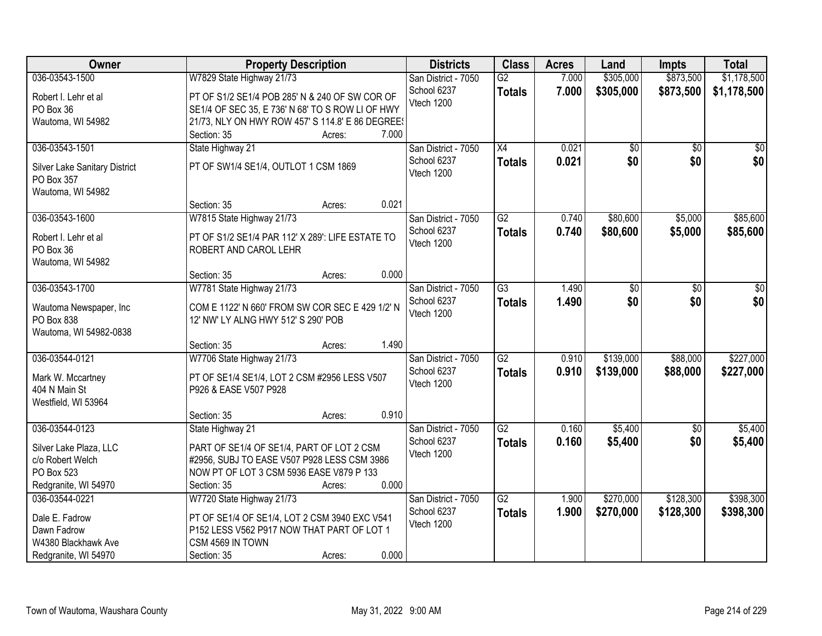| <b>Owner</b>                  | <b>Property Description</b>                      | <b>Districts</b>    | <b>Class</b>    | <b>Acres</b> | Land            | <b>Impts</b>    | <b>Total</b>    |
|-------------------------------|--------------------------------------------------|---------------------|-----------------|--------------|-----------------|-----------------|-----------------|
| 036-03543-1500                | W7829 State Highway 21/73                        | San District - 7050 | $\overline{G2}$ | 7.000        | \$305,000       | \$873,500       | \$1,178,500     |
| Robert I. Lehr et al          | PT OF S1/2 SE1/4 POB 285' N & 240 OF SW COR OF   | School 6237         | <b>Totals</b>   | 7.000        | \$305,000       | \$873,500       | \$1,178,500     |
| PO Box 36                     | SE1/4 OF SEC 35, E 736' N 68' TO S ROW LI OF HWY | Vtech 1200          |                 |              |                 |                 |                 |
| Wautoma, WI 54982             | 21/73, NLY ON HWY ROW 457' S 114.8' E 86 DEGREE! |                     |                 |              |                 |                 |                 |
|                               | 7.000<br>Section: 35<br>Acres:                   |                     |                 |              |                 |                 |                 |
| 036-03543-1501                | State Highway 21                                 | San District - 7050 | $\overline{X4}$ | 0.021        | $\overline{50}$ | $\overline{50}$ | $\overline{30}$ |
|                               |                                                  | School 6237         |                 | 0.021        | \$0             | \$0             | \$0             |
| Silver Lake Sanitary District | PT OF SW1/4 SE1/4, OUTLOT 1 CSM 1869             | Vtech 1200          | <b>Totals</b>   |              |                 |                 |                 |
| PO Box 357                    |                                                  |                     |                 |              |                 |                 |                 |
| Wautoma, WI 54982             |                                                  |                     |                 |              |                 |                 |                 |
|                               | 0.021<br>Section: 35<br>Acres:                   |                     |                 |              |                 |                 |                 |
| 036-03543-1600                | W7815 State Highway 21/73                        | San District - 7050 | $\overline{G2}$ | 0.740        | \$80,600        | \$5,000         | \$85,600        |
|                               |                                                  | School 6237         | <b>Totals</b>   | 0.740        | \$80,600        | \$5,000         | \$85,600        |
| Robert I. Lehr et al          | PT OF S1/2 SE1/4 PAR 112' X 289': LIFE ESTATE TO | Vtech 1200          |                 |              |                 |                 |                 |
| PO Box 36                     | ROBERT AND CAROL LEHR                            |                     |                 |              |                 |                 |                 |
| Wautoma, WI 54982             | 0.000                                            |                     |                 |              |                 |                 |                 |
|                               | Section: 35<br>Acres:                            |                     |                 |              |                 |                 |                 |
| 036-03543-1700                | W7781 State Highway 21/73                        | San District - 7050 | $\overline{G3}$ | 1.490        | \$0             | \$0             | \$0             |
| Wautoma Newspaper, Inc        | COM E 1122' N 660' FROM SW COR SEC E 429 1/2' N  | School 6237         | <b>Totals</b>   | 1.490        | \$0             | \$0             | \$0             |
| PO Box 838                    | 12' NW' LY ALNG HWY 512' S 290' POB              | Vtech 1200          |                 |              |                 |                 |                 |
| Wautoma, WI 54982-0838        |                                                  |                     |                 |              |                 |                 |                 |
|                               | 1.490<br>Section: 35<br>Acres:                   |                     |                 |              |                 |                 |                 |
| 036-03544-0121                | W7706 State Highway 21/73                        | San District - 7050 | $\overline{G2}$ | 0.910        | \$139,000       | \$88,000        | \$227,000       |
|                               |                                                  | School 6237         | <b>Totals</b>   | 0.910        | \$139,000       | \$88,000        | \$227,000       |
| Mark W. Mccartney             | PT OF SE1/4 SE1/4, LOT 2 CSM #2956 LESS V507     | Vtech 1200          |                 |              |                 |                 |                 |
| 404 N Main St                 | P926 & EASE V507 P928                            |                     |                 |              |                 |                 |                 |
| Westfield, WI 53964           |                                                  |                     |                 |              |                 |                 |                 |
|                               | 0.910<br>Section: 35<br>Acres:                   |                     |                 |              |                 |                 |                 |
| 036-03544-0123                | State Highway 21                                 | San District - 7050 | $\overline{G2}$ | 0.160        | \$5,400         | $\overline{50}$ | \$5,400         |
| Silver Lake Plaza, LLC        | PART OF SE1/4 OF SE1/4, PART OF LOT 2 CSM        | School 6237         | <b>Totals</b>   | 0.160        | \$5,400         | \$0             | \$5,400         |
| c/o Robert Welch              | #2956, SUBJ TO EASE V507 P928 LESS CSM 3986      | Vtech 1200          |                 |              |                 |                 |                 |
| PO Box 523                    | NOW PT OF LOT 3 CSM 5936 EASE V879 P 133         |                     |                 |              |                 |                 |                 |
| Redgranite, WI 54970          | 0.000<br>Section: 35<br>Acres:                   |                     |                 |              |                 |                 |                 |
| 036-03544-0221                | W7720 State Highway 21/73                        | San District - 7050 | $\overline{G2}$ | 1.900        | \$270,000       | \$128,300       | \$398,300       |
|                               |                                                  | School 6237         | <b>Totals</b>   | 1.900        | \$270,000       | \$128,300       | \$398,300       |
| Dale E. Fadrow                | PT OF SE1/4 OF SE1/4, LOT 2 CSM 3940 EXC V541    | Vtech 1200          |                 |              |                 |                 |                 |
| Dawn Fadrow                   | P152 LESS V562 P917 NOW THAT PART OF LOT 1       |                     |                 |              |                 |                 |                 |
| W4380 Blackhawk Ave           | CSM 4569 IN TOWN                                 |                     |                 |              |                 |                 |                 |
| Redgranite, WI 54970          | 0.000<br>Section: 35<br>Acres:                   |                     |                 |              |                 |                 |                 |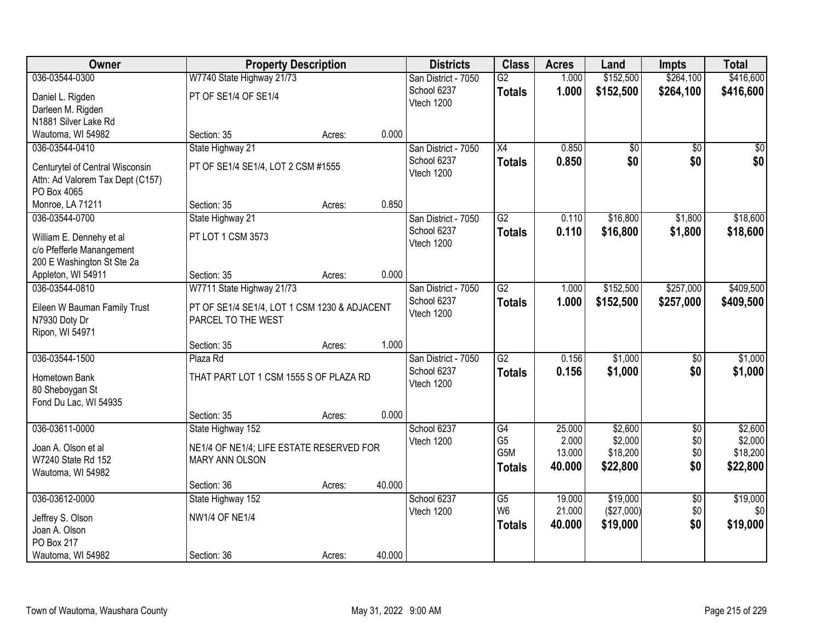| Owner                                           |                                              | <b>Property Description</b> |        | <b>Districts</b>    | <b>Class</b>    | <b>Acres</b> | Land            | <b>Impts</b>    | <b>Total</b>    |
|-------------------------------------------------|----------------------------------------------|-----------------------------|--------|---------------------|-----------------|--------------|-----------------|-----------------|-----------------|
| 036-03544-0300                                  | W7740 State Highway 21/73                    |                             |        | San District - 7050 | $\overline{G2}$ | 1.000        | \$152,500       | \$264,100       | \$416,600       |
| Daniel L. Rigden                                | PT OF SE1/4 OF SE1/4                         |                             |        | School 6237         | <b>Totals</b>   | 1.000        | \$152,500       | \$264,100       | \$416,600       |
| Darleen M. Rigden                               |                                              |                             |        | Vtech 1200          |                 |              |                 |                 |                 |
| N1881 Silver Lake Rd                            |                                              |                             |        |                     |                 |              |                 |                 |                 |
| Wautoma, WI 54982                               | Section: 35                                  | Acres:                      | 0.000  |                     |                 |              |                 |                 |                 |
| 036-03544-0410                                  | State Highway 21                             |                             |        | San District - 7050 | $\overline{X4}$ | 0.850        | $\overline{50}$ | $\overline{50}$ | $\overline{50}$ |
|                                                 |                                              |                             |        | School 6237         | <b>Totals</b>   | 0.850        | \$0             | \$0             | \$0             |
| Centurytel of Central Wisconsin                 | PT OF SE1/4 SE1/4, LOT 2 CSM #1555           |                             |        | Vtech 1200          |                 |              |                 |                 |                 |
| Attn: Ad Valorem Tax Dept (C157)<br>PO Box 4065 |                                              |                             |        |                     |                 |              |                 |                 |                 |
| Monroe, LA 71211                                | Section: 35                                  | Acres:                      | 0.850  |                     |                 |              |                 |                 |                 |
| 036-03544-0700                                  | State Highway 21                             |                             |        | San District - 7050 | $\overline{G2}$ | 0.110        | \$16,800        | \$1,800         | \$18,600        |
|                                                 |                                              |                             |        | School 6237         | <b>Totals</b>   | 0.110        | \$16,800        | \$1,800         | \$18,600        |
| William E. Dennehy et al                        | PT LOT 1 CSM 3573                            |                             |        | Vtech 1200          |                 |              |                 |                 |                 |
| c/o Pfefferle Manangement                       |                                              |                             |        |                     |                 |              |                 |                 |                 |
| 200 E Washington St Ste 2a                      |                                              |                             |        |                     |                 |              |                 |                 |                 |
| Appleton, WI 54911                              | Section: 35                                  | Acres:                      | 0.000  |                     |                 |              |                 |                 |                 |
| 036-03544-0810                                  | W7711 State Highway 21/73                    |                             |        | San District - 7050 | $\overline{G2}$ | 1.000        | \$152,500       | \$257,000       | \$409,500       |
| Eileen W Bauman Family Trust                    | PT OF SE1/4 SE1/4, LOT 1 CSM 1230 & ADJACENT |                             |        | School 6237         | <b>Totals</b>   | 1.000        | \$152,500       | \$257,000       | \$409,500       |
| N7930 Doty Dr                                   | PARCEL TO THE WEST                           |                             |        | Vtech 1200          |                 |              |                 |                 |                 |
| Ripon, WI 54971                                 |                                              |                             |        |                     |                 |              |                 |                 |                 |
|                                                 | Section: 35                                  | Acres:                      | 1.000  |                     |                 |              |                 |                 |                 |
| 036-03544-1500                                  | Plaza Rd                                     |                             |        | San District - 7050 | $\overline{G2}$ | 0.156        | \$1,000         | $\overline{50}$ | \$1,000         |
| Hometown Bank                                   | THAT PART LOT 1 CSM 1555 S OF PLAZA RD       |                             |        | School 6237         | <b>Totals</b>   | 0.156        | \$1,000         | \$0             | \$1,000         |
| 80 Sheboygan St                                 |                                              |                             |        | Vtech 1200          |                 |              |                 |                 |                 |
| Fond Du Lac, WI 54935                           |                                              |                             |        |                     |                 |              |                 |                 |                 |
|                                                 | Section: 35                                  | Acres:                      | 0.000  |                     |                 |              |                 |                 |                 |
| 036-03611-0000                                  | State Highway 152                            |                             |        | School 6237         | G4              | 25.000       | \$2,600         | $\overline{50}$ | \$2,600         |
|                                                 |                                              |                             |        | Vtech 1200          | G <sub>5</sub>  | 2.000        | \$2,000         | \$0             | \$2,000         |
| Joan A. Olson et al                             | NE1/4 OF NE1/4; LIFE ESTATE RESERVED FOR     |                             |        |                     | G5M             | 13.000       | \$18,200        | \$0             | \$18,200        |
| W7240 State Rd 152<br>Wautoma, WI 54982         | <b>MARY ANN OLSON</b>                        |                             |        |                     | <b>Totals</b>   | 40.000       | \$22,800        | \$0             | \$22,800        |
|                                                 | Section: 36                                  | Acres:                      | 40.000 |                     |                 |              |                 |                 |                 |
| 036-03612-0000                                  | State Highway 152                            |                             |        | School 6237         | $\overline{G5}$ | 19.000       | \$19,000        | $\overline{50}$ | \$19,000        |
|                                                 |                                              |                             |        | Vtech 1200          | W <sub>6</sub>  | 21.000       | (\$27,000)      | \$0             | \$0             |
| Jeffrey S. Olson                                | <b>NW1/4 OF NE1/4</b>                        |                             |        |                     | <b>Totals</b>   | 40.000       | \$19,000        | \$0             | \$19,000        |
| Joan A. Olson                                   |                                              |                             |        |                     |                 |              |                 |                 |                 |
| PO Box 217                                      |                                              |                             |        |                     |                 |              |                 |                 |                 |
| Wautoma, WI 54982                               | Section: 36                                  | Acres:                      | 40.000 |                     |                 |              |                 |                 |                 |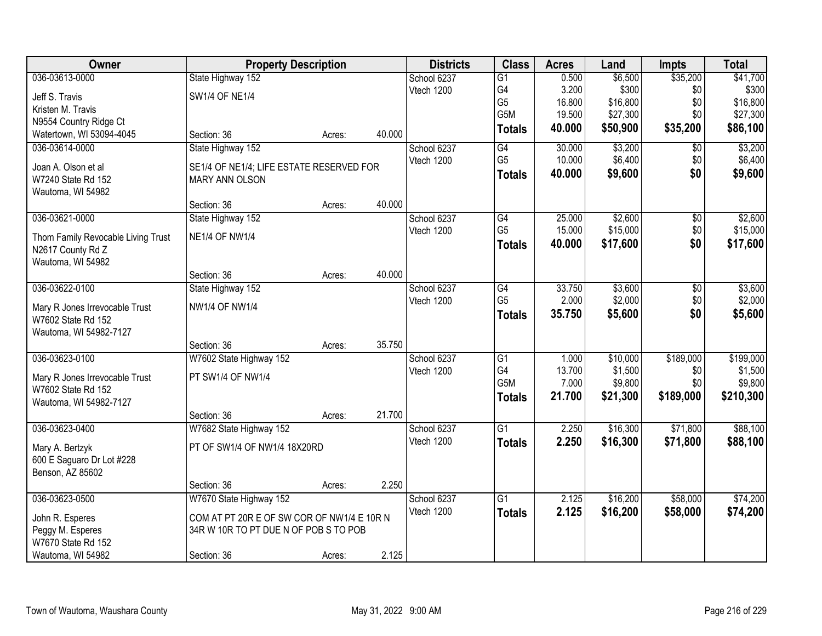| Owner                                                | <b>Property Description</b>                |        |        | <b>Districts</b> | <b>Class</b>    | <b>Acres</b> | Land     | <b>Impts</b> | <b>Total</b> |
|------------------------------------------------------|--------------------------------------------|--------|--------|------------------|-----------------|--------------|----------|--------------|--------------|
| 036-03613-0000                                       | State Highway 152                          |        |        | School 6237      | $\overline{G1}$ | 0.500        | \$6,500  | \$35,200     | \$41,700     |
| Jeff S. Travis                                       | <b>SW1/4 OF NE1/4</b>                      |        |        | Vtech 1200       | G4              | 3.200        | \$300    | \$0          | \$300        |
| Kristen M. Travis                                    |                                            |        |        |                  | G <sub>5</sub>  | 16.800       | \$16,800 | \$0          | \$16,800     |
| N9554 Country Ridge Ct                               |                                            |        |        |                  | G5M             | 19.500       | \$27,300 | \$0          | \$27,300     |
| Watertown, WI 53094-4045                             | Section: 36                                | Acres: | 40.000 |                  | <b>Totals</b>   | 40.000       | \$50,900 | \$35,200     | \$86,100     |
| 036-03614-0000                                       | State Highway 152                          |        |        | School 6237      | G4              | 30.000       | \$3,200  | \$0          | \$3,200      |
| Joan A. Olson et al                                  | SE1/4 OF NE1/4; LIFE ESTATE RESERVED FOR   |        |        | Vtech 1200       | G <sub>5</sub>  | 10.000       | \$6,400  | \$0          | \$6,400      |
| W7240 State Rd 152                                   | <b>MARY ANN OLSON</b>                      |        |        |                  | <b>Totals</b>   | 40.000       | \$9,600  | \$0          | \$9,600      |
| Wautoma, WI 54982                                    |                                            |        |        |                  |                 |              |          |              |              |
|                                                      | Section: 36                                | Acres: | 40.000 |                  |                 |              |          |              |              |
| 036-03621-0000                                       | State Highway 152                          |        |        | School 6237      | G4              | 25.000       | \$2,600  | \$0          | \$2,600      |
| Thom Family Revocable Living Trust                   | <b>NE1/4 OF NW1/4</b>                      |        |        | Vtech 1200       | G <sub>5</sub>  | 15.000       | \$15,000 | \$0          | \$15,000     |
| N2617 County Rd Z                                    |                                            |        |        |                  | <b>Totals</b>   | 40.000       | \$17,600 | \$0          | \$17,600     |
| Wautoma, WI 54982                                    |                                            |        |        |                  |                 |              |          |              |              |
|                                                      | Section: 36                                | Acres: | 40.000 |                  |                 |              |          |              |              |
| 036-03622-0100                                       | State Highway 152                          |        |        | School 6237      | G4              | 33.750       | \$3,600  | \$0          | \$3,600      |
| Mary R Jones Irrevocable Trust                       | <b>NW1/4 OF NW1/4</b>                      |        |        | Vtech 1200       | G <sub>5</sub>  | 2.000        | \$2,000  | \$0          | \$2,000      |
| W7602 State Rd 152                                   |                                            |        |        |                  | <b>Totals</b>   | 35.750       | \$5,600  | \$0          | \$5,600      |
| Wautoma, WI 54982-7127                               |                                            |        |        |                  |                 |              |          |              |              |
|                                                      | Section: 36                                | Acres: | 35.750 |                  |                 |              |          |              |              |
| 036-03623-0100                                       | W7602 State Highway 152                    |        |        | School 6237      | $\overline{G1}$ | 1.000        | \$10,000 | \$189,000    | \$199,000    |
|                                                      |                                            |        |        | Vtech 1200       | G <sub>4</sub>  | 13.700       | \$1,500  | \$0          | \$1,500      |
| Mary R Jones Irrevocable Trust<br>W7602 State Rd 152 | PT SW1/4 OF NW1/4                          |        |        |                  | G5M             | 7.000        | \$9,800  | \$0          | \$9,800      |
| Wautoma, WI 54982-7127                               |                                            |        |        |                  | <b>Totals</b>   | 21.700       | \$21,300 | \$189,000    | \$210,300    |
|                                                      | Section: 36                                | Acres: | 21.700 |                  |                 |              |          |              |              |
| 036-03623-0400                                       | W7682 State Highway 152                    |        |        | School 6237      | $\overline{G1}$ | 2.250        | \$16,300 | \$71,800     | \$88,100     |
|                                                      |                                            |        |        | Vtech 1200       | <b>Totals</b>   | 2.250        | \$16,300 | \$71,800     | \$88,100     |
| Mary A. Bertzyk                                      | PT OF SW1/4 OF NW1/4 18X20RD               |        |        |                  |                 |              |          |              |              |
| 600 E Saguaro Dr Lot #228<br>Benson, AZ 85602        |                                            |        |        |                  |                 |              |          |              |              |
|                                                      | Section: 36                                | Acres: | 2.250  |                  |                 |              |          |              |              |
| 036-03623-0500                                       | W7670 State Highway 152                    |        |        | School 6237      | G1              | 2.125        | \$16,200 | \$58,000     | \$74,200     |
|                                                      |                                            |        |        | Vtech 1200       | <b>Totals</b>   | 2.125        | \$16,200 | \$58,000     | \$74,200     |
| John R. Esperes                                      | COM AT PT 20R E OF SW COR OF NW1/4 E 10R N |        |        |                  |                 |              |          |              |              |
| Peggy M. Esperes                                     | 34R W 10R TO PT DUE N OF POB S TO POB      |        |        |                  |                 |              |          |              |              |
| W7670 State Rd 152                                   |                                            |        |        |                  |                 |              |          |              |              |
| Wautoma, WI 54982                                    | Section: 36                                | Acres: | 2.125  |                  |                 |              |          |              |              |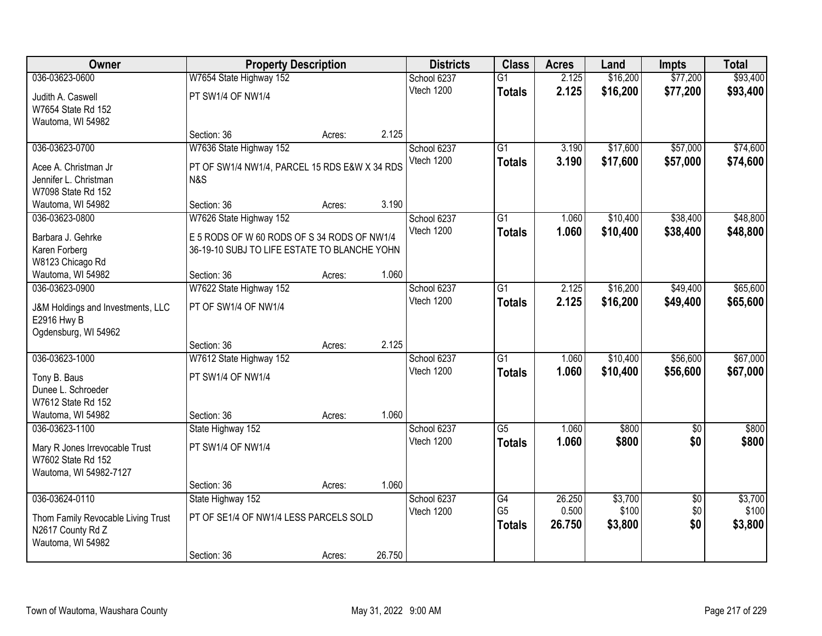| Owner                                            | <b>Property Description</b>                   |        |        | <b>Districts</b> | <b>Class</b>    | <b>Acres</b> | Land     | <b>Impts</b>    | <b>Total</b> |
|--------------------------------------------------|-----------------------------------------------|--------|--------|------------------|-----------------|--------------|----------|-----------------|--------------|
| 036-03623-0600                                   | W7654 State Highway 152                       |        |        | School 6237      | $\overline{G1}$ | 2.125        | \$16,200 | \$77,200        | \$93,400     |
| Judith A. Caswell                                | PT SW1/4 OF NW1/4                             |        |        | Vtech 1200       | <b>Totals</b>   | 2.125        | \$16,200 | \$77,200        | \$93,400     |
| W7654 State Rd 152                               |                                               |        |        |                  |                 |              |          |                 |              |
| Wautoma, WI 54982                                |                                               |        |        |                  |                 |              |          |                 |              |
|                                                  | Section: 36                                   | Acres: | 2.125  |                  |                 |              |          |                 |              |
| 036-03623-0700                                   | W7636 State Highway 152                       |        |        | School 6237      | $\overline{G1}$ | 3.190        | \$17,600 | \$57,000        | \$74,600     |
| Acee A. Christman Jr                             | PT OF SW1/4 NW1/4, PARCEL 15 RDS E&W X 34 RDS |        |        | Vtech 1200       | <b>Totals</b>   | 3.190        | \$17,600 | \$57,000        | \$74,600     |
| Jennifer L. Christman                            | N&S                                           |        |        |                  |                 |              |          |                 |              |
| W7098 State Rd 152                               |                                               |        |        |                  |                 |              |          |                 |              |
| Wautoma, WI 54982                                | Section: 36                                   | Acres: | 3.190  |                  |                 |              |          |                 |              |
| 036-03623-0800                                   | W7626 State Highway 152                       |        |        | School 6237      | $\overline{G1}$ | 1.060        | \$10,400 | \$38,400        | \$48,800     |
| Barbara J. Gehrke                                | E 5 RODS OF W 60 RODS OF S 34 RODS OF NW1/4   |        |        | Vtech 1200       | <b>Totals</b>   | 1.060        | \$10,400 | \$38,400        | \$48,800     |
| Karen Forberg                                    | 36-19-10 SUBJ TO LIFE ESTATE TO BLANCHE YOHN  |        |        |                  |                 |              |          |                 |              |
| W8123 Chicago Rd                                 |                                               |        |        |                  |                 |              |          |                 |              |
| Wautoma, WI 54982                                | Section: 36                                   | Acres: | 1.060  |                  |                 |              |          |                 |              |
| 036-03623-0900                                   | W7622 State Highway 152                       |        |        | School 6237      | G1              | 2.125        | \$16,200 | \$49,400        | \$65,600     |
|                                                  | PT OF SW1/4 OF NW1/4                          |        |        | Vtech 1200       | <b>Totals</b>   | 2.125        | \$16,200 | \$49,400        | \$65,600     |
| J&M Holdings and Investments, LLC<br>E2916 Hwy B |                                               |        |        |                  |                 |              |          |                 |              |
| Ogdensburg, WI 54962                             |                                               |        |        |                  |                 |              |          |                 |              |
|                                                  | Section: 36                                   | Acres: | 2.125  |                  |                 |              |          |                 |              |
| 036-03623-1000                                   | W7612 State Highway 152                       |        |        | School 6237      | $\overline{G1}$ | 1.060        | \$10,400 | \$56,600        | \$67,000     |
|                                                  | PT SW1/4 OF NW1/4                             |        |        | Vtech 1200       | <b>Totals</b>   | 1.060        | \$10,400 | \$56,600        | \$67,000     |
| Tony B. Baus<br>Dunee L. Schroeder               |                                               |        |        |                  |                 |              |          |                 |              |
| W7612 State Rd 152                               |                                               |        |        |                  |                 |              |          |                 |              |
| Wautoma, WI 54982                                | Section: 36                                   | Acres: | 1.060  |                  |                 |              |          |                 |              |
| 036-03623-1100                                   | State Highway 152                             |        |        | School 6237      | $\overline{G5}$ | 1.060        | \$800    | $\overline{50}$ | \$800        |
|                                                  |                                               |        |        | Vtech 1200       | <b>Totals</b>   | 1.060        | \$800    | \$0             | \$800        |
| Mary R Jones Irrevocable Trust                   | PT SW1/4 OF NW1/4                             |        |        |                  |                 |              |          |                 |              |
| W7602 State Rd 152<br>Wautoma, WI 54982-7127     |                                               |        |        |                  |                 |              |          |                 |              |
|                                                  | Section: 36                                   | Acres: | 1.060  |                  |                 |              |          |                 |              |
| 036-03624-0110                                   | State Highway 152                             |        |        | School 6237      | G4              | 26.250       | \$3,700  | $\overline{50}$ | \$3,700      |
|                                                  |                                               |        |        | Vtech 1200       | G <sub>5</sub>  | 0.500        | \$100    | \$0             | \$100        |
| Thom Family Revocable Living Trust               | PT OF SE1/4 OF NW1/4 LESS PARCELS SOLD        |        |        |                  | <b>Totals</b>   | 26.750       | \$3,800  | \$0             | \$3,800      |
| N2617 County Rd Z                                |                                               |        |        |                  |                 |              |          |                 |              |
| Wautoma, WI 54982                                | Section: 36                                   | Acres: | 26.750 |                  |                 |              |          |                 |              |
|                                                  |                                               |        |        |                  |                 |              |          |                 |              |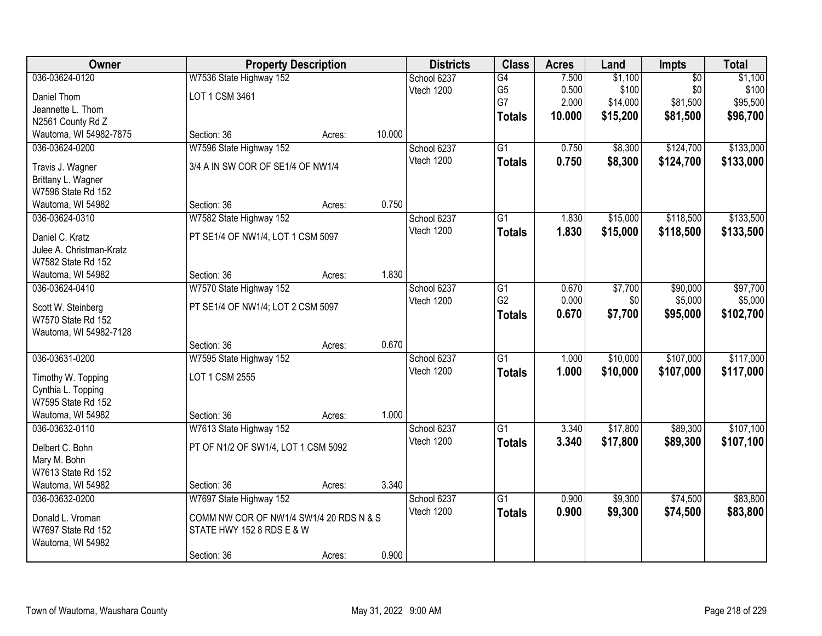| Owner                                  | <b>Property Description</b>             |        |        | <b>Districts</b> | <b>Class</b>    | <b>Acres</b> | Land     | <b>Impts</b>    | <b>Total</b> |
|----------------------------------------|-----------------------------------------|--------|--------|------------------|-----------------|--------------|----------|-----------------|--------------|
| 036-03624-0120                         | W7536 State Highway 152                 |        |        | School 6237      | G4              | 7.500        | \$1,100  | $\overline{50}$ | \$1,100      |
| Daniel Thom                            | LOT 1 CSM 3461                          |        |        | Vtech 1200       | G <sub>5</sub>  | 0.500        | \$100    | \$0             | \$100        |
| Jeannette L. Thom                      |                                         |        |        |                  | G7              | 2.000        | \$14,000 | \$81,500        | \$95,500     |
| N2561 County Rd Z                      |                                         |        |        |                  | <b>Totals</b>   | 10.000       | \$15,200 | \$81,500        | \$96,700     |
| Wautoma, WI 54982-7875                 | Section: 36                             | Acres: | 10.000 |                  |                 |              |          |                 |              |
| 036-03624-0200                         | W7596 State Highway 152                 |        |        | School 6237      | $\overline{G1}$ | 0.750        | \$8,300  | \$124,700       | \$133,000    |
|                                        | 3/4 A IN SW COR OF SE1/4 OF NW1/4       |        |        | Vtech 1200       | <b>Totals</b>   | 0.750        | \$8,300  | \$124,700       | \$133,000    |
| Travis J. Wagner<br>Brittany L. Wagner |                                         |        |        |                  |                 |              |          |                 |              |
| W7596 State Rd 152                     |                                         |        |        |                  |                 |              |          |                 |              |
| Wautoma, WI 54982                      | Section: 36                             | Acres: | 0.750  |                  |                 |              |          |                 |              |
| 036-03624-0310                         | W7582 State Highway 152                 |        |        | School 6237      | $\overline{G1}$ | 1.830        | \$15,000 | \$118,500       | \$133,500    |
|                                        |                                         |        |        | Vtech 1200       | <b>Totals</b>   | 1.830        | \$15,000 | \$118,500       | \$133,500    |
| Daniel C. Kratz                        | PT SE1/4 OF NW1/4, LOT 1 CSM 5097       |        |        |                  |                 |              |          |                 |              |
| Julee A. Christman-Kratz               |                                         |        |        |                  |                 |              |          |                 |              |
| W7582 State Rd 152                     |                                         |        |        |                  |                 |              |          |                 |              |
| Wautoma, WI 54982                      | Section: 36                             | Acres: | 1.830  |                  |                 |              |          |                 |              |
| 036-03624-0410                         | W7570 State Highway 152                 |        |        | School 6237      | G1              | 0.670        | \$7,700  | \$90,000        | \$97,700     |
| Scott W. Steinberg                     | PT SE1/4 OF NW1/4; LOT 2 CSM 5097       |        |        | Vtech 1200       | G <sub>2</sub>  | 0.000        | \$0      | \$5,000         | \$5,000      |
| W7570 State Rd 152                     |                                         |        |        |                  | <b>Totals</b>   | 0.670        | \$7,700  | \$95,000        | \$102,700    |
| Wautoma, WI 54982-7128                 |                                         |        |        |                  |                 |              |          |                 |              |
|                                        | Section: 36                             | Acres: | 0.670  |                  |                 |              |          |                 |              |
| 036-03631-0200                         | W7595 State Highway 152                 |        |        | School 6237      | $\overline{G1}$ | 1.000        | \$10,000 | \$107,000       | \$117,000    |
| Timothy W. Topping                     | LOT 1 CSM 2555                          |        |        | Vtech 1200       | <b>Totals</b>   | 1.000        | \$10,000 | \$107,000       | \$117,000    |
| Cynthia L. Topping                     |                                         |        |        |                  |                 |              |          |                 |              |
| W7595 State Rd 152                     |                                         |        |        |                  |                 |              |          |                 |              |
| Wautoma, WI 54982                      | Section: 36                             | Acres: | 1.000  |                  |                 |              |          |                 |              |
| 036-03632-0110                         | W7613 State Highway 152                 |        |        | School 6237      | G1              | 3.340        | \$17,800 | \$89,300        | \$107,100    |
| Delbert C. Bohn                        | PT OF N1/2 OF SW1/4, LOT 1 CSM 5092     |        |        | Vtech 1200       | <b>Totals</b>   | 3.340        | \$17,800 | \$89,300        | \$107,100    |
| Mary M. Bohn                           |                                         |        |        |                  |                 |              |          |                 |              |
| W7613 State Rd 152                     |                                         |        |        |                  |                 |              |          |                 |              |
| Wautoma, WI 54982                      | Section: 36                             | Acres: | 3.340  |                  |                 |              |          |                 |              |
| 036-03632-0200                         | W7697 State Highway 152                 |        |        | School 6237      | $\overline{G1}$ | 0.900        | \$9,300  | \$74,500        | \$83,800     |
|                                        |                                         |        |        | Vtech 1200       | <b>Totals</b>   | 0.900        | \$9,300  | \$74,500        | \$83,800     |
| Donald L. Vroman                       | COMM NW COR OF NW1/4 SW1/4 20 RDS N & S |        |        |                  |                 |              |          |                 |              |
| W7697 State Rd 152                     | STATE HWY 152 8 RDS E & W               |        |        |                  |                 |              |          |                 |              |
| Wautoma, WI 54982                      |                                         |        |        |                  |                 |              |          |                 |              |
|                                        | Section: 36                             | Acres: | 0.900  |                  |                 |              |          |                 |              |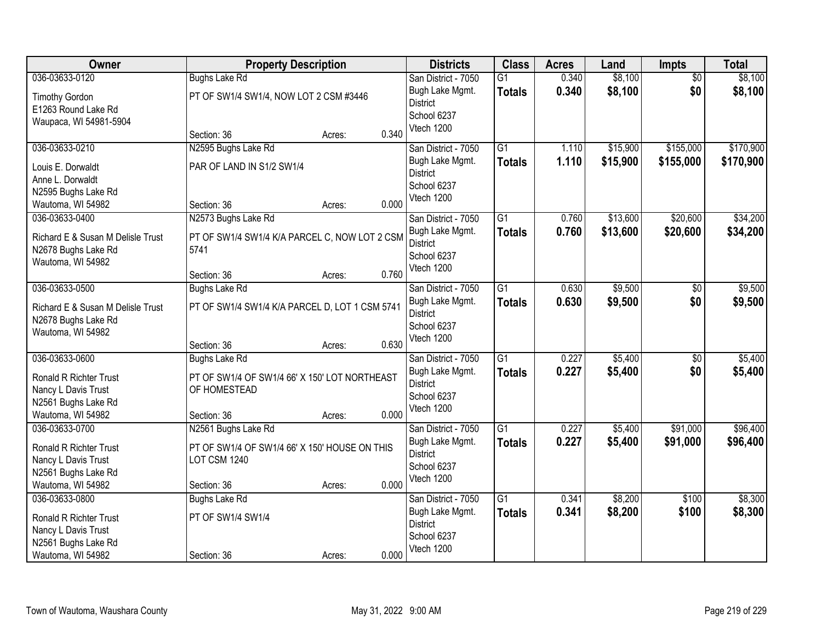| Owner                                    | <b>Property Description</b>                    |        |       | <b>Districts</b>                   | <b>Class</b>    | <b>Acres</b> | Land     | <b>Impts</b>    | <b>Total</b> |
|------------------------------------------|------------------------------------------------|--------|-------|------------------------------------|-----------------|--------------|----------|-----------------|--------------|
| 036-03633-0120                           | <b>Bughs Lake Rd</b>                           |        |       | San District - 7050                | $\overline{G1}$ | 0.340        | \$8,100  | $\overline{50}$ | \$8,100      |
| <b>Timothy Gordon</b>                    | PT OF SW1/4 SW1/4, NOW LOT 2 CSM #3446         |        |       | Bugh Lake Mgmt.                    | <b>Totals</b>   | 0.340        | \$8,100  | \$0             | \$8,100      |
| E1263 Round Lake Rd                      |                                                |        |       | <b>District</b>                    |                 |              |          |                 |              |
| Waupaca, WI 54981-5904                   |                                                |        |       | School 6237                        |                 |              |          |                 |              |
|                                          | Section: 36                                    | Acres: | 0.340 | Vtech 1200                         |                 |              |          |                 |              |
| 036-03633-0210                           | N2595 Bughs Lake Rd                            |        |       | San District - 7050                | $\overline{G1}$ | 1.110        | \$15,900 | \$155,000       | \$170,900    |
| Louis E. Dorwaldt                        | PAR OF LAND IN S1/2 SW1/4                      |        |       | Bugh Lake Mgmt.                    | <b>Totals</b>   | 1.110        | \$15,900 | \$155,000       | \$170,900    |
| Anne L. Dorwaldt                         |                                                |        |       | District                           |                 |              |          |                 |              |
| N2595 Bughs Lake Rd                      |                                                |        |       | School 6237                        |                 |              |          |                 |              |
| Wautoma, WI 54982                        | Section: 36                                    | Acres: | 0.000 | Vtech 1200                         |                 |              |          |                 |              |
| 036-03633-0400                           | N2573 Bughs Lake Rd                            |        |       | San District - 7050                | G1              | 0.760        | \$13,600 | \$20,600        | \$34,200     |
| Richard E & Susan M Delisle Trust        | PT OF SW1/4 SW1/4 K/A PARCEL C, NOW LOT 2 CSM  |        |       | Bugh Lake Mgmt.                    | <b>Totals</b>   | 0.760        | \$13,600 | \$20,600        | \$34,200     |
| N2678 Bughs Lake Rd                      | 5741                                           |        |       | <b>District</b>                    |                 |              |          |                 |              |
| Wautoma, WI 54982                        |                                                |        |       | School 6237                        |                 |              |          |                 |              |
|                                          | Section: 36                                    | Acres: | 0.760 | Vtech 1200                         |                 |              |          |                 |              |
| 036-03633-0500                           | <b>Bughs Lake Rd</b>                           |        |       | San District - 7050                | $\overline{G1}$ | 0.630        | \$9,500  | $\sqrt[6]{}$    | \$9,500      |
| Richard E & Susan M Delisle Trust        | PT OF SW1/4 SW1/4 K/A PARCEL D, LOT 1 CSM 5741 |        |       | Bugh Lake Mgmt.                    | <b>Totals</b>   | 0.630        | \$9,500  | \$0             | \$9,500      |
| N2678 Bughs Lake Rd                      |                                                |        |       | <b>District</b>                    |                 |              |          |                 |              |
| Wautoma, WI 54982                        |                                                |        |       | School 6237                        |                 |              |          |                 |              |
|                                          | Section: 36                                    | Acres: | 0.630 | Vtech 1200                         |                 |              |          |                 |              |
| 036-03633-0600                           | <b>Bughs Lake Rd</b>                           |        |       | San District - 7050                | $\overline{G1}$ | 0.227        | \$5,400  | $\overline{50}$ | \$5,400      |
|                                          |                                                |        |       | Bugh Lake Mgmt.                    | <b>Totals</b>   | 0.227        | \$5,400  | \$0             | \$5,400      |
| <b>Ronald R Richter Trust</b>            | PT OF SW1/4 OF SW1/4 66' X 150' LOT NORTHEAST  |        |       | <b>District</b>                    |                 |              |          |                 |              |
| Nancy L Davis Trust                      | OF HOMESTEAD                                   |        |       | School 6237                        |                 |              |          |                 |              |
| N2561 Bughs Lake Rd<br>Wautoma, WI 54982 | Section: 36                                    | Acres: | 0.000 | Vtech 1200                         |                 |              |          |                 |              |
| 036-03633-0700                           | N2561 Bughs Lake Rd                            |        |       | San District - 7050                | G1              | 0.227        | \$5,400  | \$91,000        | \$96,400     |
|                                          |                                                |        |       | Bugh Lake Mgmt.                    | <b>Totals</b>   | 0.227        | \$5,400  | \$91,000        | \$96,400     |
| <b>Ronald R Richter Trust</b>            | PT OF SW1/4 OF SW1/4 66' X 150' HOUSE ON THIS  |        |       | <b>District</b>                    |                 |              |          |                 |              |
| Nancy L Davis Trust                      | LOT CSM 1240                                   |        |       | School 6237                        |                 |              |          |                 |              |
| N2561 Bughs Lake Rd                      |                                                |        |       | Vtech 1200                         |                 |              |          |                 |              |
| Wautoma, WI 54982                        | Section: 36                                    | Acres: | 0.000 |                                    |                 |              |          |                 |              |
| 036-03633-0800                           | <b>Bughs Lake Rd</b>                           |        |       | San District - 7050                | G1              | 0.341        | \$8,200  | \$100           | \$8,300      |
| <b>Ronald R Richter Trust</b>            | PT OF SW1/4 SW1/4                              |        |       | Bugh Lake Mgmt.<br><b>District</b> | <b>Totals</b>   | 0.341        | \$8,200  | \$100           | \$8,300      |
| Nancy L Davis Trust                      |                                                |        |       | School 6237                        |                 |              |          |                 |              |
| N2561 Bughs Lake Rd                      |                                                |        |       | Vtech 1200                         |                 |              |          |                 |              |
| Wautoma, WI 54982                        | Section: 36                                    | Acres: | 0.000 |                                    |                 |              |          |                 |              |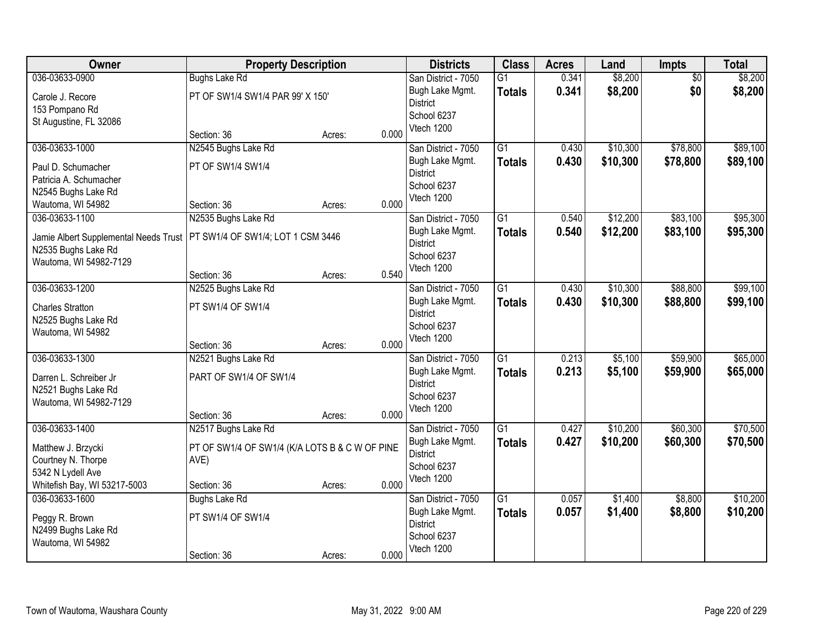| Owner                                 | <b>Property Description</b>                    |        |       | <b>Districts</b>    | <b>Class</b>    | <b>Acres</b> | Land     | Impts           | <b>Total</b> |
|---------------------------------------|------------------------------------------------|--------|-------|---------------------|-----------------|--------------|----------|-----------------|--------------|
| 036-03633-0900                        | <b>Bughs Lake Rd</b>                           |        |       | San District - 7050 | G1              | 0.341        | \$8,200  | $\overline{50}$ | \$8,200      |
| Carole J. Recore                      | PT OF SW1/4 SW1/4 PAR 99' X 150'               |        |       | Bugh Lake Mgmt.     | <b>Totals</b>   | 0.341        | \$8,200  | \$0             | \$8,200      |
| 153 Pompano Rd                        |                                                |        |       | <b>District</b>     |                 |              |          |                 |              |
| St Augustine, FL 32086                |                                                |        |       | School 6237         |                 |              |          |                 |              |
|                                       | Section: 36                                    | Acres: | 0.000 | Vtech 1200          |                 |              |          |                 |              |
| 036-03633-1000                        | N2545 Bughs Lake Rd                            |        |       | San District - 7050 | $\overline{G1}$ | 0.430        | \$10,300 | \$78,800        | \$89,100     |
| Paul D. Schumacher                    | PT OF SW1/4 SW1/4                              |        |       | Bugh Lake Mgmt.     | <b>Totals</b>   | 0.430        | \$10,300 | \$78,800        | \$89,100     |
| Patricia A. Schumacher                |                                                |        |       | <b>District</b>     |                 |              |          |                 |              |
| N2545 Bughs Lake Rd                   |                                                |        |       | School 6237         |                 |              |          |                 |              |
| Wautoma, WI 54982                     | Section: 36                                    | Acres: | 0.000 | Vtech 1200          |                 |              |          |                 |              |
| 036-03633-1100                        | N2535 Bughs Lake Rd                            |        |       | San District - 7050 | G1              | 0.540        | \$12,200 | \$83,100        | \$95,300     |
| Jamie Albert Supplemental Needs Trust | PT SW1/4 OF SW1/4; LOT 1 CSM 3446              |        |       | Bugh Lake Mgmt.     | <b>Totals</b>   | 0.540        | \$12,200 | \$83,100        | \$95,300     |
| N2535 Bughs Lake Rd                   |                                                |        |       | <b>District</b>     |                 |              |          |                 |              |
| Wautoma, WI 54982-7129                |                                                |        |       | School 6237         |                 |              |          |                 |              |
|                                       | Section: 36                                    | Acres: | 0.540 | Vtech 1200          |                 |              |          |                 |              |
| 036-03633-1200                        | N2525 Bughs Lake Rd                            |        |       | San District - 7050 | G1              | 0.430        | \$10,300 | \$88,800        | \$99,100     |
| <b>Charles Stratton</b>               | PT SW1/4 OF SW1/4                              |        |       | Bugh Lake Mgmt.     | <b>Totals</b>   | 0.430        | \$10,300 | \$88,800        | \$99,100     |
| N2525 Bughs Lake Rd                   |                                                |        |       | <b>District</b>     |                 |              |          |                 |              |
| Wautoma, WI 54982                     |                                                |        |       | School 6237         |                 |              |          |                 |              |
|                                       | Section: 36                                    | Acres: | 0.000 | Vtech 1200          |                 |              |          |                 |              |
| 036-03633-1300                        | N2521 Bughs Lake Rd                            |        |       | San District - 7050 | $\overline{G1}$ | 0.213        | \$5,100  | \$59,900        | \$65,000     |
| Darren L. Schreiber Jr                | PART OF SW1/4 OF SW1/4                         |        |       | Bugh Lake Mgmt.     | <b>Totals</b>   | 0.213        | \$5,100  | \$59,900        | \$65,000     |
| N2521 Bughs Lake Rd                   |                                                |        |       | <b>District</b>     |                 |              |          |                 |              |
| Wautoma, WI 54982-7129                |                                                |        |       | School 6237         |                 |              |          |                 |              |
|                                       | Section: 36                                    | Acres: | 0.000 | Vtech 1200          |                 |              |          |                 |              |
| 036-03633-1400                        | N2517 Bughs Lake Rd                            |        |       | San District - 7050 | G1              | 0.427        | \$10,200 | \$60,300        | \$70,500     |
| Matthew J. Brzycki                    | PT OF SW1/4 OF SW1/4 (K/A LOTS B & C W OF PINE |        |       | Bugh Lake Mgmt.     | <b>Totals</b>   | 0.427        | \$10,200 | \$60,300        | \$70,500     |
| Courtney N. Thorpe                    | AVE)                                           |        |       | <b>District</b>     |                 |              |          |                 |              |
| 5342 N Lydell Ave                     |                                                |        |       | School 6237         |                 |              |          |                 |              |
| Whitefish Bay, WI 53217-5003          | Section: 36                                    | Acres: | 0.000 | Vtech 1200          |                 |              |          |                 |              |
| 036-03633-1600                        | <b>Bughs Lake Rd</b>                           |        |       | San District - 7050 | G1              | 0.057        | \$1,400  | \$8,800         | \$10,200     |
| Peggy R. Brown                        | PT SW1/4 OF SW1/4                              |        |       | Bugh Lake Mgmt.     | <b>Totals</b>   | 0.057        | \$1,400  | \$8,800         | \$10,200     |
| N2499 Bughs Lake Rd                   |                                                |        |       | <b>District</b>     |                 |              |          |                 |              |
| Wautoma, WI 54982                     |                                                |        |       | School 6237         |                 |              |          |                 |              |
|                                       | Section: 36                                    | Acres: | 0.000 | Vtech 1200          |                 |              |          |                 |              |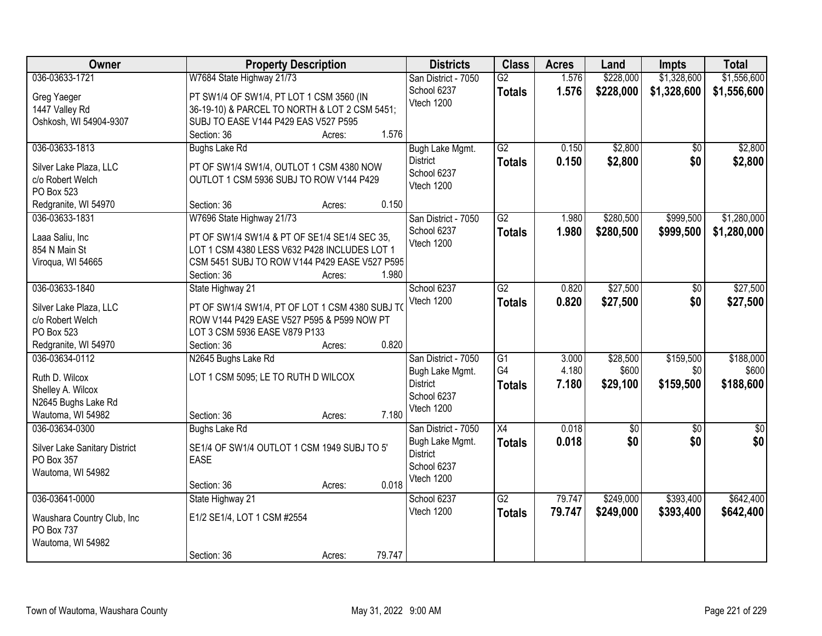| Owner                         | <b>Property Description</b>                     |        |        | <b>Districts</b>          | <b>Class</b>    | <b>Acres</b> | Land        | <b>Impts</b>    | <b>Total</b>    |
|-------------------------------|-------------------------------------------------|--------|--------|---------------------------|-----------------|--------------|-------------|-----------------|-----------------|
| 036-03633-1721                | W7684 State Highway 21/73                       |        |        | San District - 7050       | G2              | 1.576        | \$228,000   | \$1,328,600     | \$1,556,600     |
| Greg Yaeger                   | PT SW1/4 OF SW1/4, PT LOT 1 CSM 3560 (IN        |        |        | School 6237               | <b>Totals</b>   | 1.576        | \$228,000   | \$1,328,600     | \$1,556,600     |
| 1447 Valley Rd                | 36-19-10) & PARCEL TO NORTH & LOT 2 CSM 5451;   |        |        | Vtech 1200                |                 |              |             |                 |                 |
| Oshkosh, WI 54904-9307        | SUBJ TO EASE V144 P429 EAS V527 P595            |        |        |                           |                 |              |             |                 |                 |
|                               | Section: 36                                     | Acres: | 1.576  |                           |                 |              |             |                 |                 |
| 036-03633-1813                | <b>Bughs Lake Rd</b>                            |        |        | Bugh Lake Mgmt.           | G2              | 0.150        | \$2,800     | \$0             | \$2,800         |
| Silver Lake Plaza, LLC        | PT OF SW1/4 SW1/4, OUTLOT 1 CSM 4380 NOW        |        |        | <b>District</b>           | <b>Totals</b>   | 0.150        | \$2,800     | \$0             | \$2,800         |
| c/o Robert Welch              | OUTLOT 1 CSM 5936 SUBJ TO ROW V144 P429         |        |        | School 6237               |                 |              |             |                 |                 |
| PO Box 523                    |                                                 |        |        | Vtech 1200                |                 |              |             |                 |                 |
| Redgranite, WI 54970          | Section: 36                                     | Acres: | 0.150  |                           |                 |              |             |                 |                 |
| 036-03633-1831                | W7696 State Highway 21/73                       |        |        | San District - 7050       | G2              | 1.980        | \$280,500   | \$999,500       | \$1,280,000     |
|                               |                                                 |        |        | School 6237               | <b>Totals</b>   | 1.980        | \$280,500   | \$999,500       | \$1,280,000     |
| Laaa Saliu, Inc               | PT OF SW1/4 SW1/4 & PT OF SE1/4 SE1/4 SEC 35,   |        |        | Vtech 1200                |                 |              |             |                 |                 |
| 854 N Main St                 | LOT 1 CSM 4380 LESS V632 P428 INCLUDES LOT 1    |        |        |                           |                 |              |             |                 |                 |
| Viroqua, WI 54665             | CSM 5451 SUBJ TO ROW V144 P429 EASE V527 P595   |        |        |                           |                 |              |             |                 |                 |
|                               | Section: 36                                     | Acres: | 1.980  |                           |                 |              |             |                 |                 |
| 036-03633-1840                | State Highway 21                                |        |        | School 6237               | $\overline{G2}$ | 0.820        | \$27,500    | \$0             | \$27,500        |
| Silver Lake Plaza, LLC        | PT OF SW1/4 SW1/4, PT OF LOT 1 CSM 4380 SUBJ TO |        |        | Vtech 1200                | <b>Totals</b>   | 0.820        | \$27,500    | \$0             | \$27,500        |
| c/o Robert Welch              | ROW V144 P429 EASE V527 P595 & P599 NOW PT      |        |        |                           |                 |              |             |                 |                 |
| PO Box 523                    | LOT 3 CSM 5936 EASE V879 P133                   |        |        |                           |                 |              |             |                 |                 |
| Redgranite, WI 54970          | Section: 36                                     | Acres: | 0.820  |                           |                 |              |             |                 |                 |
| 036-03634-0112                | N2645 Bughs Lake Rd                             |        |        | San District - 7050       | $\overline{G1}$ | 3.000        | \$28,500    | \$159,500       | \$188,000       |
| Ruth D. Wilcox                | LOT 1 CSM 5095; LE TO RUTH D WILCOX             |        |        | Bugh Lake Mgmt.           | G4              | 4.180        | \$600       | \$0             | \$600           |
| Shelley A. Wilcox             |                                                 |        |        | <b>District</b>           | <b>Totals</b>   | 7.180        | \$29,100    | \$159,500       | \$188,600       |
| N2645 Bughs Lake Rd           |                                                 |        |        | School 6237               |                 |              |             |                 |                 |
| Wautoma, WI 54982             | Section: 36                                     | Acres: | 7.180  | Vtech 1200                |                 |              |             |                 |                 |
| 036-03634-0300                | <b>Bughs Lake Rd</b>                            |        |        | San District - 7050       | X4              | 0.018        | $\sqrt{$0}$ | $\overline{50}$ | $\overline{50}$ |
|                               |                                                 |        |        | Bugh Lake Mgmt.           | <b>Totals</b>   | 0.018        | \$0         | \$0             | \$0             |
| Silver Lake Sanitary District | SE1/4 OF SW1/4 OUTLOT 1 CSM 1949 SUBJ TO 5'     |        |        | <b>District</b>           |                 |              |             |                 |                 |
| PO Box 357                    | EASE                                            |        |        | School 6237               |                 |              |             |                 |                 |
| Wautoma, WI 54982             | Section: 36                                     |        | 0.018  | Vtech 1200                |                 |              |             |                 |                 |
| 036-03641-0000                | State Highway 21                                | Acres: |        |                           | G2              | 79.747       | \$249,000   | \$393,400       | \$642,400       |
|                               |                                                 |        |        | School 6237<br>Vtech 1200 |                 |              |             |                 |                 |
| Waushara Country Club, Inc    | E1/2 SE1/4, LOT 1 CSM #2554                     |        |        |                           | <b>Totals</b>   | 79.747       | \$249,000   | \$393,400       | \$642,400       |
| PO Box 737                    |                                                 |        |        |                           |                 |              |             |                 |                 |
| Wautoma, WI 54982             |                                                 |        |        |                           |                 |              |             |                 |                 |
|                               | Section: 36                                     | Acres: | 79.747 |                           |                 |              |             |                 |                 |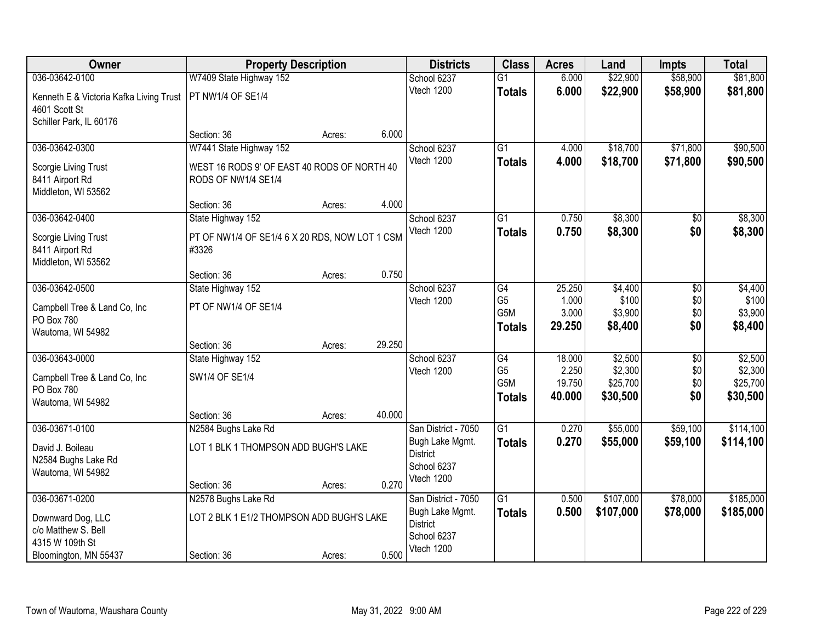| Owner                                      | <b>Property Description</b>                    |        |        | <b>Districts</b>                       | <b>Class</b>          | <b>Acres</b>    | Land                | <b>Impts</b>         | <b>Total</b>         |
|--------------------------------------------|------------------------------------------------|--------|--------|----------------------------------------|-----------------------|-----------------|---------------------|----------------------|----------------------|
| 036-03642-0100                             | W7409 State Highway 152                        |        |        | School 6237                            | $\overline{G1}$       | 6.000           | \$22,900            | \$58,900             | \$81,800             |
| Kenneth E & Victoria Kafka Living Trust    | PT NW1/4 OF SE1/4                              |        |        | Vtech 1200                             | <b>Totals</b>         | 6.000           | \$22,900            | \$58,900             | \$81,800             |
| 4601 Scott St<br>Schiller Park, IL 60176   |                                                |        |        |                                        |                       |                 |                     |                      |                      |
|                                            | Section: 36                                    | Acres: | 6.000  |                                        |                       |                 |                     |                      |                      |
| 036-03642-0300                             | W7441 State Highway 152                        |        |        | School 6237                            | G1                    | 4.000           | \$18,700            | \$71,800             | \$90,500             |
| Scorgie Living Trust                       | WEST 16 RODS 9' OF EAST 40 RODS OF NORTH 40    |        |        | Vtech 1200                             | <b>Totals</b>         | 4.000           | \$18,700            | \$71,800             | \$90,500             |
| 8411 Airport Rd                            | RODS OF NW1/4 SE1/4                            |        |        |                                        |                       |                 |                     |                      |                      |
| Middleton, WI 53562                        |                                                |        |        |                                        |                       |                 |                     |                      |                      |
|                                            | Section: 36                                    | Acres: | 4.000  |                                        |                       |                 |                     |                      |                      |
| 036-03642-0400                             | State Highway 152                              |        |        | School 6237                            | $\overline{G1}$       | 0.750           | \$8,300             | \$0                  | \$8,300              |
| Scorgie Living Trust                       | PT OF NW1/4 OF SE1/4 6 X 20 RDS, NOW LOT 1 CSM |        |        | Vtech 1200                             | <b>Totals</b>         | 0.750           | \$8,300             | \$0                  | \$8,300              |
| 8411 Airport Rd                            | #3326                                          |        |        |                                        |                       |                 |                     |                      |                      |
| Middleton, WI 53562                        | Section: 36                                    | Acres: | 0.750  |                                        |                       |                 |                     |                      |                      |
| 036-03642-0500                             | State Highway 152                              |        |        | School 6237                            | G4                    | 25.250          | \$4,400             | \$0                  | \$4,400              |
|                                            |                                                |        |        | Vtech 1200                             | G <sub>5</sub>        | 1.000           | \$100               | \$0                  | \$100                |
| Campbell Tree & Land Co, Inc<br>PO Box 780 | PT OF NW1/4 OF SE1/4                           |        |        |                                        | G5M                   | 3.000           | \$3,900             | \$0                  | \$3,900              |
| Wautoma, WI 54982                          |                                                |        |        |                                        | <b>Totals</b>         | 29.250          | \$8,400             | \$0                  | \$8,400              |
|                                            | Section: 36                                    | Acres: | 29.250 |                                        |                       |                 |                     |                      |                      |
| 036-03643-0000                             | State Highway 152                              |        |        | School 6237                            | G4                    | 18.000          | \$2,500             | \$0                  | \$2,500              |
| Campbell Tree & Land Co, Inc               | SW1/4 OF SE1/4                                 |        |        | Vtech 1200                             | G <sub>5</sub><br>G5M | 2.250<br>19.750 | \$2,300<br>\$25,700 | \$0                  | \$2,300              |
| PO Box 780                                 |                                                |        |        |                                        | <b>Totals</b>         | 40.000          | \$30,500            | \$0<br>\$0           | \$25,700<br>\$30,500 |
| Wautoma, WI 54982                          |                                                |        |        |                                        |                       |                 |                     |                      |                      |
|                                            | Section: 36                                    | Acres: | 40.000 |                                        | $\overline{G1}$       |                 | \$55,000            |                      | \$114,100            |
| 036-03671-0100                             | N2584 Bughs Lake Rd                            |        |        | San District - 7050<br>Bugh Lake Mgmt. | <b>Totals</b>         | 0.270<br>0.270  | \$55,000            | \$59,100<br>\$59,100 | \$114,100            |
| David J. Boileau                           | LOT 1 BLK 1 THOMPSON ADD BUGH'S LAKE           |        |        | <b>District</b>                        |                       |                 |                     |                      |                      |
| N2584 Bughs Lake Rd<br>Wautoma, WI 54982   |                                                |        |        | School 6237                            |                       |                 |                     |                      |                      |
|                                            | Section: 36                                    | Acres: | 0.270  | Vtech 1200                             |                       |                 |                     |                      |                      |
| 036-03671-0200                             | N2578 Bughs Lake Rd                            |        |        | San District - 7050                    | $\overline{G1}$       | 0.500           | \$107,000           | \$78,000             | \$185,000            |
| Downward Dog, LLC                          | LOT 2 BLK 1 E1/2 THOMPSON ADD BUGH'S LAKE      |        |        | Bugh Lake Mgmt.                        | <b>Totals</b>         | 0.500           | \$107,000           | \$78,000             | \$185,000            |
| c/o Matthew S. Bell                        |                                                |        |        | <b>District</b>                        |                       |                 |                     |                      |                      |
| 4315 W 109th St                            |                                                |        |        | School 6237                            |                       |                 |                     |                      |                      |
| Bloomington, MN 55437                      | Section: 36                                    | Acres: | 0.500  | Vtech 1200                             |                       |                 |                     |                      |                      |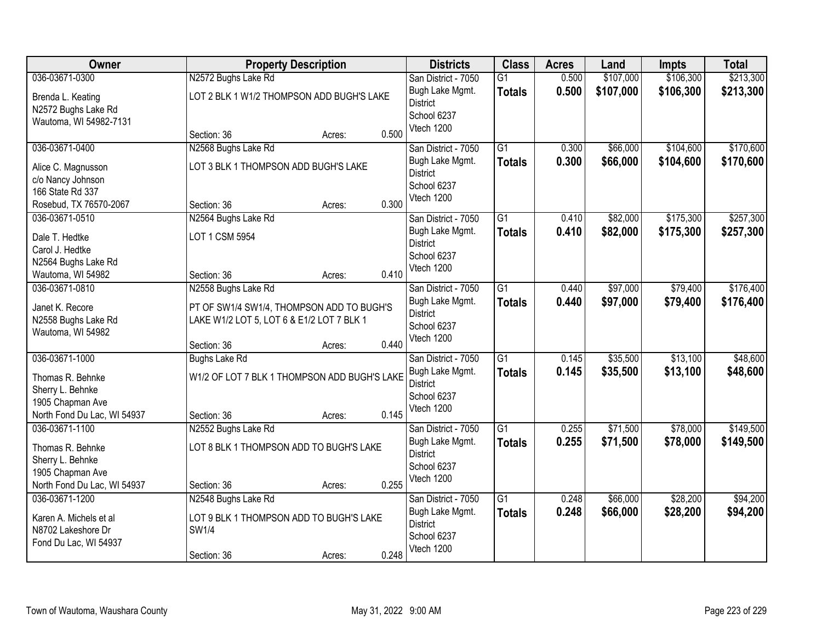| Owner                       |                                              | <b>Property Description</b> |       | <b>Districts</b>    | <b>Class</b>    | <b>Acres</b> | Land      | <b>Impts</b> | <b>Total</b> |
|-----------------------------|----------------------------------------------|-----------------------------|-------|---------------------|-----------------|--------------|-----------|--------------|--------------|
| 036-03671-0300              | N2572 Bughs Lake Rd                          |                             |       | San District - 7050 | $\overline{G1}$ | 0.500        | \$107,000 | \$106,300    | \$213,300    |
| Brenda L. Keating           | LOT 2 BLK 1 W1/2 THOMPSON ADD BUGH'S LAKE    |                             |       | Bugh Lake Mgmt.     | <b>Totals</b>   | 0.500        | \$107,000 | \$106,300    | \$213,300    |
| N2572 Bughs Lake Rd         |                                              |                             |       | <b>District</b>     |                 |              |           |              |              |
| Wautoma, WI 54982-7131      |                                              |                             |       | School 6237         |                 |              |           |              |              |
|                             | Section: 36                                  | Acres:                      | 0.500 | Vtech 1200          |                 |              |           |              |              |
| 036-03671-0400              | N2568 Bughs Lake Rd                          |                             |       | San District - 7050 | $\overline{G1}$ | 0.300        | \$66,000  | \$104,600    | \$170,600    |
| Alice C. Magnusson          | LOT 3 BLK 1 THOMPSON ADD BUGH'S LAKE         |                             |       | Bugh Lake Mgmt.     | <b>Totals</b>   | 0.300        | \$66,000  | \$104,600    | \$170,600    |
| c/o Nancy Johnson           |                                              |                             |       | <b>District</b>     |                 |              |           |              |              |
| 166 State Rd 337            |                                              |                             |       | School 6237         |                 |              |           |              |              |
| Rosebud, TX 76570-2067      | Section: 36                                  | Acres:                      | 0.300 | Vtech 1200          |                 |              |           |              |              |
| 036-03671-0510              | N2564 Bughs Lake Rd                          |                             |       | San District - 7050 | $\overline{G1}$ | 0.410        | \$82,000  | \$175,300    | \$257,300    |
| Dale T. Hedtke              | LOT 1 CSM 5954                               |                             |       | Bugh Lake Mgmt.     | <b>Totals</b>   | 0.410        | \$82,000  | \$175,300    | \$257,300    |
| Carol J. Hedtke             |                                              |                             |       | <b>District</b>     |                 |              |           |              |              |
| N2564 Bughs Lake Rd         |                                              |                             |       | School 6237         |                 |              |           |              |              |
| Wautoma, WI 54982           | Section: 36                                  | Acres:                      | 0.410 | Vtech 1200          |                 |              |           |              |              |
| 036-03671-0810              | N2558 Bughs Lake Rd                          |                             |       | San District - 7050 | $\overline{G1}$ | 0.440        | \$97,000  | \$79,400     | \$176,400    |
| Janet K. Recore             | PT OF SW1/4 SW1/4, THOMPSON ADD TO BUGH'S    |                             |       | Bugh Lake Mgmt.     | <b>Totals</b>   | 0.440        | \$97,000  | \$79,400     | \$176,400    |
| N2558 Bughs Lake Rd         | LAKE W1/2 LOT 5, LOT 6 & E1/2 LOT 7 BLK 1    |                             |       | <b>District</b>     |                 |              |           |              |              |
| Wautoma, WI 54982           |                                              |                             |       | School 6237         |                 |              |           |              |              |
|                             | Section: 36                                  | Acres:                      | 0.440 | Vtech 1200          |                 |              |           |              |              |
| 036-03671-1000              | <b>Bughs Lake Rd</b>                         |                             |       | San District - 7050 | $\overline{G1}$ | 0.145        | \$35,500  | \$13,100     | \$48,600     |
| Thomas R. Behnke            | W1/2 OF LOT 7 BLK 1 THOMPSON ADD BUGH'S LAKE |                             |       | Bugh Lake Mgmt.     | <b>Totals</b>   | 0.145        | \$35,500  | \$13,100     | \$48,600     |
| Sherry L. Behnke            |                                              |                             |       | <b>District</b>     |                 |              |           |              |              |
| 1905 Chapman Ave            |                                              |                             |       | School 6237         |                 |              |           |              |              |
| North Fond Du Lac, WI 54937 | Section: 36                                  | Acres:                      | 0.145 | Vtech 1200          |                 |              |           |              |              |
| 036-03671-1100              | N2552 Bughs Lake Rd                          |                             |       | San District - 7050 | G1              | 0.255        | \$71,500  | \$78,000     | \$149,500    |
| Thomas R. Behnke            | LOT 8 BLK 1 THOMPSON ADD TO BUGH'S LAKE      |                             |       | Bugh Lake Mgmt.     | <b>Totals</b>   | 0.255        | \$71,500  | \$78,000     | \$149,500    |
| Sherry L. Behnke            |                                              |                             |       | <b>District</b>     |                 |              |           |              |              |
| 1905 Chapman Ave            |                                              |                             |       | School 6237         |                 |              |           |              |              |
| North Fond Du Lac, WI 54937 | Section: 36                                  | Acres:                      | 0.255 | Vtech 1200          |                 |              |           |              |              |
| 036-03671-1200              | N2548 Bughs Lake Rd                          |                             |       | San District - 7050 | $\overline{G1}$ | 0.248        | \$66,000  | \$28,200     | \$94,200     |
| Karen A. Michels et al      | LOT 9 BLK 1 THOMPSON ADD TO BUGH'S LAKE      |                             |       | Bugh Lake Mgmt.     | <b>Totals</b>   | 0.248        | \$66,000  | \$28,200     | \$94,200     |
| N8702 Lakeshore Dr          | <b>SW1/4</b>                                 |                             |       | <b>District</b>     |                 |              |           |              |              |
| Fond Du Lac, WI 54937       |                                              |                             |       | School 6237         |                 |              |           |              |              |
|                             | Section: 36                                  | Acres:                      | 0.248 | Vtech 1200          |                 |              |           |              |              |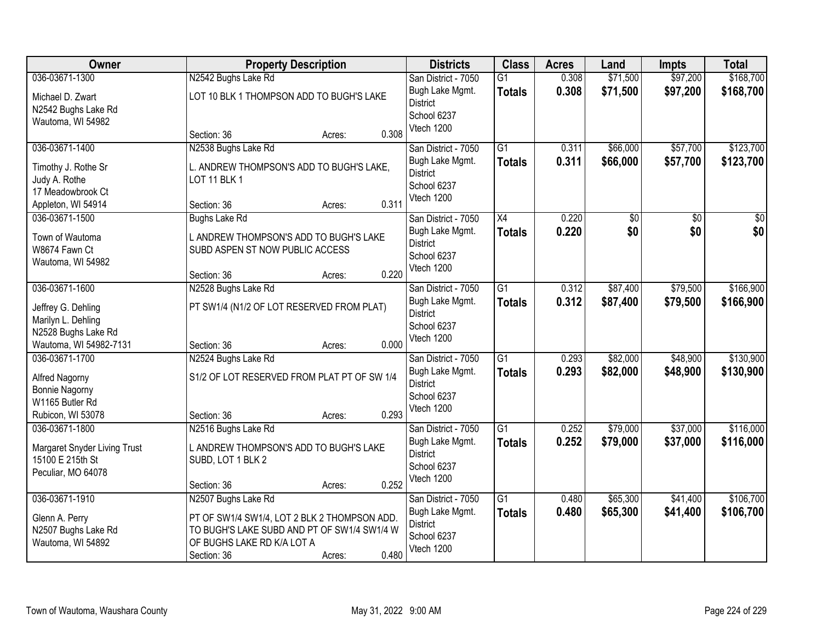| Owner                                            |                                              | <b>Property Description</b> |       | <b>Districts</b>    | <b>Class</b>    | <b>Acres</b> | Land            | <b>Impts</b>    | <b>Total</b>    |
|--------------------------------------------------|----------------------------------------------|-----------------------------|-------|---------------------|-----------------|--------------|-----------------|-----------------|-----------------|
| 036-03671-1300                                   | N2542 Bughs Lake Rd                          |                             |       | San District - 7050 | $\overline{G1}$ | 0.308        | \$71,500        | \$97,200        | \$168,700       |
| Michael D. Zwart                                 | LOT 10 BLK 1 THOMPSON ADD TO BUGH'S LAKE     |                             |       | Bugh Lake Mgmt.     | <b>Totals</b>   | 0.308        | \$71,500        | \$97,200        | \$168,700       |
| N2542 Bughs Lake Rd                              |                                              |                             |       | <b>District</b>     |                 |              |                 |                 |                 |
| Wautoma, WI 54982                                |                                              |                             |       | School 6237         |                 |              |                 |                 |                 |
|                                                  | Section: 36                                  | Acres:                      | 0.308 | Vtech 1200          |                 |              |                 |                 |                 |
| 036-03671-1400                                   | N2538 Bughs Lake Rd                          |                             |       | San District - 7050 | $\overline{G1}$ | 0.311        | \$66,000        | \$57,700        | \$123,700       |
| Timothy J. Rothe Sr                              | L. ANDREW THOMPSON'S ADD TO BUGH'S LAKE,     |                             |       | Bugh Lake Mgmt.     | <b>Totals</b>   | 0.311        | \$66,000        | \$57,700        | \$123,700       |
| Judy A. Rothe                                    | <b>LOT 11 BLK 1</b>                          |                             |       | <b>District</b>     |                 |              |                 |                 |                 |
| 17 Meadowbrook Ct                                |                                              |                             |       | School 6237         |                 |              |                 |                 |                 |
| Appleton, WI 54914                               | Section: 36                                  | Acres:                      | 0.311 | Vtech 1200          |                 |              |                 |                 |                 |
| 036-03671-1500                                   | <b>Bughs Lake Rd</b>                         |                             |       | San District - 7050 | $\overline{X4}$ | 0.220        | $\overline{50}$ | $\overline{50}$ | $\overline{30}$ |
| Town of Wautoma                                  | L ANDREW THOMPSON'S ADD TO BUGH'S LAKE       |                             |       | Bugh Lake Mgmt.     | <b>Totals</b>   | 0.220        | \$0             | \$0             | \$0             |
| W8674 Fawn Ct                                    | SUBD ASPEN ST NOW PUBLIC ACCESS              |                             |       | <b>District</b>     |                 |              |                 |                 |                 |
| Wautoma, WI 54982                                |                                              |                             |       | School 6237         |                 |              |                 |                 |                 |
|                                                  | Section: 36                                  | Acres:                      | 0.220 | Vtech 1200          |                 |              |                 |                 |                 |
| 036-03671-1600                                   | N2528 Bughs Lake Rd                          |                             |       | San District - 7050 | $\overline{G1}$ | 0.312        | \$87,400        | \$79,500        | \$166,900       |
| Jeffrey G. Dehling                               | PT SW1/4 (N1/2 OF LOT RESERVED FROM PLAT)    |                             |       | Bugh Lake Mgmt.     | <b>Totals</b>   | 0.312        | \$87,400        | \$79,500        | \$166,900       |
| Marilyn L. Dehling                               |                                              |                             |       | <b>District</b>     |                 |              |                 |                 |                 |
| N2528 Bughs Lake Rd                              |                                              |                             |       | School 6237         |                 |              |                 |                 |                 |
| Wautoma, WI 54982-7131                           | Section: 36                                  | Acres:                      | 0.000 | Vtech 1200          |                 |              |                 |                 |                 |
| 036-03671-1700                                   | N2524 Bughs Lake Rd                          |                             |       | San District - 7050 | $\overline{G1}$ | 0.293        | \$82,000        | \$48,900        | \$130,900       |
| Alfred Nagorny                                   | S1/2 OF LOT RESERVED FROM PLAT PT OF SW 1/4  |                             |       | Bugh Lake Mgmt.     | <b>Totals</b>   | 0.293        | \$82,000        | \$48,900        | \$130,900       |
| Bonnie Nagorny                                   |                                              |                             |       | <b>District</b>     |                 |              |                 |                 |                 |
| W1165 Butler Rd                                  |                                              |                             |       | School 6237         |                 |              |                 |                 |                 |
| Rubicon, WI 53078                                | Section: 36                                  | Acres:                      | 0.293 | Vtech 1200          |                 |              |                 |                 |                 |
| 036-03671-1800                                   | N2516 Bughs Lake Rd                          |                             |       | San District - 7050 | $\overline{G1}$ | 0.252        | \$79,000        | \$37,000        | \$116,000       |
|                                                  | L ANDREW THOMPSON'S ADD TO BUGH'S LAKE       |                             |       | Bugh Lake Mgmt.     | <b>Totals</b>   | 0.252        | \$79,000        | \$37,000        | \$116,000       |
| Margaret Snyder Living Trust<br>15100 E 215th St | SUBD, LOT 1 BLK 2                            |                             |       | <b>District</b>     |                 |              |                 |                 |                 |
| Peculiar, MO 64078                               |                                              |                             |       | School 6237         |                 |              |                 |                 |                 |
|                                                  | Section: 36                                  | Acres:                      | 0.252 | Vtech 1200          |                 |              |                 |                 |                 |
| 036-03671-1910                                   | N2507 Bughs Lake Rd                          |                             |       | San District - 7050 | $\overline{G1}$ | 0.480        | \$65,300        | \$41,400        | \$106,700       |
| Glenn A. Perry                                   | PT OF SW1/4 SW1/4, LOT 2 BLK 2 THOMPSON ADD. |                             |       | Bugh Lake Mgmt.     | <b>Totals</b>   | 0.480        | \$65,300        | \$41,400        | \$106,700       |
| N2507 Bughs Lake Rd                              | TO BUGH'S LAKE SUBD AND PT OF SW1/4 SW1/4 W  |                             |       | <b>District</b>     |                 |              |                 |                 |                 |
| Wautoma, WI 54892                                | OF BUGHS LAKE RD K/A LOT A                   |                             |       | School 6237         |                 |              |                 |                 |                 |
|                                                  | Section: 36                                  | Acres:                      | 0.480 | Vtech 1200          |                 |              |                 |                 |                 |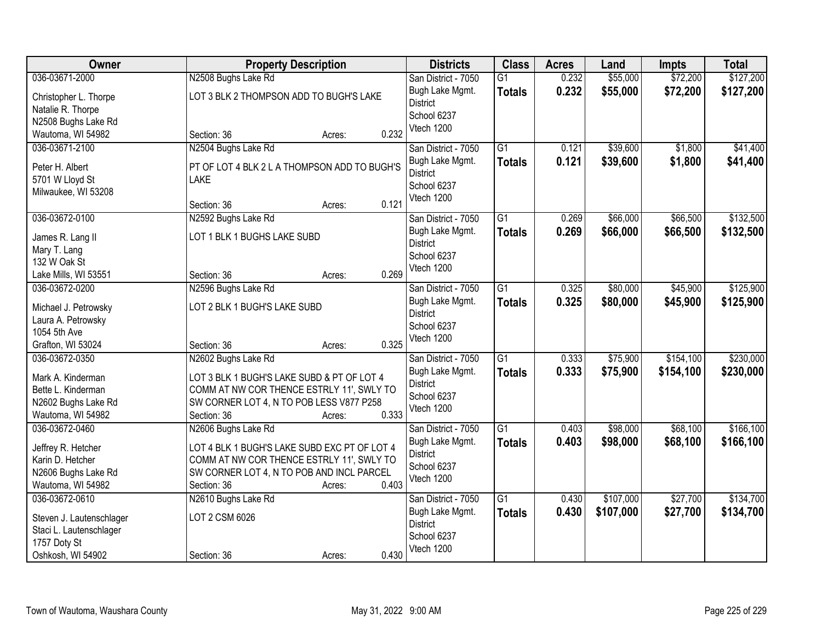| Owner                    | <b>Property Description</b>                  |                 | <b>Districts</b>               | <b>Class</b>    | <b>Acres</b> | Land      | <b>Impts</b> | <b>Total</b> |
|--------------------------|----------------------------------------------|-----------------|--------------------------------|-----------------|--------------|-----------|--------------|--------------|
| 036-03671-2000           | N2508 Bughs Lake Rd                          |                 | San District - 7050            | $\overline{G1}$ | 0.232        | \$55,000  | \$72,200     | \$127,200    |
| Christopher L. Thorpe    | LOT 3 BLK 2 THOMPSON ADD TO BUGH'S LAKE      |                 | Bugh Lake Mgmt.                | <b>Totals</b>   | 0.232        | \$55,000  | \$72,200     | \$127,200    |
| Natalie R. Thorpe        |                                              |                 | <b>District</b>                |                 |              |           |              |              |
| N2508 Bughs Lake Rd      |                                              |                 | School 6237                    |                 |              |           |              |              |
| Wautoma, WI 54982        | Section: 36                                  | 0.232<br>Acres: | Vtech 1200                     |                 |              |           |              |              |
| 036-03671-2100           | N2504 Bughs Lake Rd                          |                 | San District - 7050            | $\overline{G1}$ | 0.121        | \$39,600  | \$1,800      | \$41,400     |
| Peter H. Albert          | PT OF LOT 4 BLK 2 L A THOMPSON ADD TO BUGH'S |                 | Bugh Lake Mgmt.                | <b>Totals</b>   | 0.121        | \$39,600  | \$1,800      | \$41,400     |
| 5701 W Lloyd St          | <b>LAKE</b>                                  |                 | <b>District</b>                |                 |              |           |              |              |
| Milwaukee, WI 53208      |                                              |                 | School 6237                    |                 |              |           |              |              |
|                          | Section: 36                                  | 0.121<br>Acres: | Vtech 1200                     |                 |              |           |              |              |
| 036-03672-0100           | N2592 Bughs Lake Rd                          |                 | San District - 7050            | G1              | 0.269        | \$66,000  | \$66,500     | \$132,500    |
| James R. Lang II         | LOT 1 BLK 1 BUGHS LAKE SUBD                  |                 | Bugh Lake Mgmt.                | <b>Totals</b>   | 0.269        | \$66,000  | \$66,500     | \$132,500    |
| Mary T. Lang             |                                              |                 | <b>District</b>                |                 |              |           |              |              |
| 132 W Oak St             |                                              |                 | School 6237                    |                 |              |           |              |              |
| Lake Mills, WI 53551     | Section: 36                                  | 0.269<br>Acres: | Vtech 1200                     |                 |              |           |              |              |
| 036-03672-0200           | N2596 Bughs Lake Rd                          |                 | San District - 7050            | $\overline{G1}$ | 0.325        | \$80,000  | \$45,900     | \$125,900    |
|                          |                                              |                 | Bugh Lake Mgmt.                | <b>Totals</b>   | 0.325        | \$80,000  | \$45,900     | \$125,900    |
| Michael J. Petrowsky     | LOT 2 BLK 1 BUGH'S LAKE SUBD                 |                 | <b>District</b>                |                 |              |           |              |              |
| Laura A. Petrowsky       |                                              |                 | School 6237                    |                 |              |           |              |              |
| 1054 5th Ave             |                                              |                 | Vtech 1200                     |                 |              |           |              |              |
| Grafton, WI 53024        | Section: 36                                  | 0.325<br>Acres: |                                |                 |              |           |              |              |
| 036-03672-0350           | N2602 Bughs Lake Rd                          |                 | San District - 7050            | $\overline{G1}$ | 0.333        | \$75,900  | \$154,100    | \$230,000    |
| Mark A. Kinderman        | LOT 3 BLK 1 BUGH'S LAKE SUBD & PT OF LOT 4   |                 | Bugh Lake Mgmt.                | <b>Totals</b>   | 0.333        | \$75,900  | \$154,100    | \$230,000    |
| Bette L. Kinderman       | COMM AT NW COR THENCE ESTRLY 11', SWLY TO    |                 | <b>District</b><br>School 6237 |                 |              |           |              |              |
| N2602 Bughs Lake Rd      | SW CORNER LOT 4, N TO POB LESS V877 P258     |                 | Vtech 1200                     |                 |              |           |              |              |
| Wautoma, WI 54982        | Section: 36                                  | 0.333<br>Acres: |                                |                 |              |           |              |              |
| 036-03672-0460           | N2606 Bughs Lake Rd                          |                 | San District - 7050            | $\overline{G1}$ | 0.403        | \$98,000  | \$68,100     | \$166, 100   |
| Jeffrey R. Hetcher       | LOT 4 BLK 1 BUGH'S LAKE SUBD EXC PT OF LOT 4 |                 | Bugh Lake Mgmt.                | <b>Totals</b>   | 0.403        | \$98,000  | \$68,100     | \$166, 100   |
| Karin D. Hetcher         | COMM AT NW COR THENCE ESTRLY 11', SWLY TO    |                 | <b>District</b>                |                 |              |           |              |              |
| N2606 Bughs Lake Rd      | SW CORNER LOT 4, N TO POB AND INCL PARCEL    |                 | School 6237                    |                 |              |           |              |              |
| Wautoma, WI 54982        | Section: 36                                  | 0.403<br>Acres: | Vtech 1200                     |                 |              |           |              |              |
| 036-03672-0610           | N2610 Bughs Lake Rd                          |                 | San District - 7050            | $\overline{G1}$ | 0.430        | \$107,000 | \$27,700     | \$134,700    |
| Steven J. Lautenschlager | LOT 2 CSM 6026                               |                 | Bugh Lake Mgmt.                | <b>Totals</b>   | 0.430        | \$107,000 | \$27,700     | \$134,700    |
| Staci L. Lautenschlager  |                                              |                 | <b>District</b>                |                 |              |           |              |              |
| 1757 Doty St             |                                              |                 | School 6237                    |                 |              |           |              |              |
| Oshkosh, WI 54902        | Section: 36                                  | 0.430<br>Acres: | Vtech 1200                     |                 |              |           |              |              |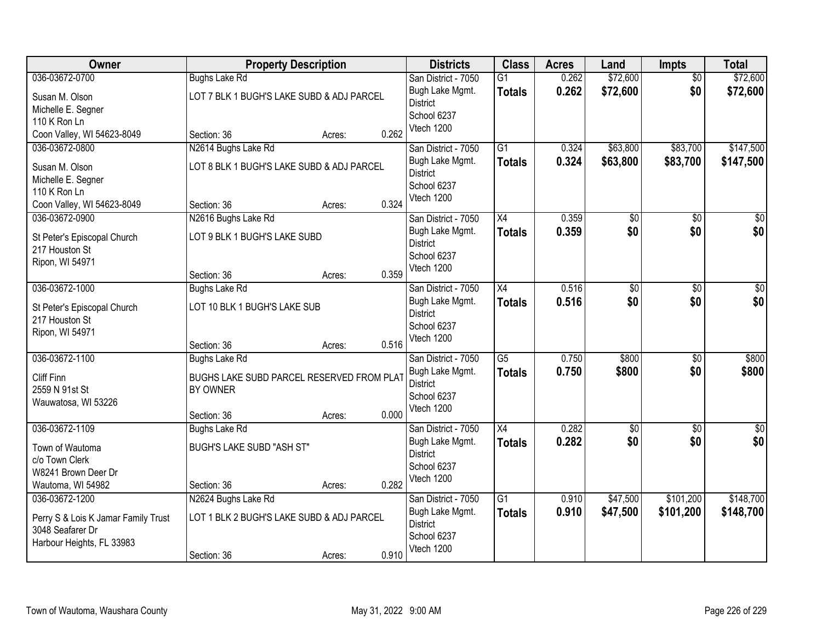| Owner                               | <b>Property Description</b>                           |        |       | <b>Districts</b>    | <b>Class</b>    | <b>Acres</b> | Land            | <b>Impts</b>    | <b>Total</b>     |
|-------------------------------------|-------------------------------------------------------|--------|-------|---------------------|-----------------|--------------|-----------------|-----------------|------------------|
| 036-03672-0700                      | <b>Bughs Lake Rd</b>                                  |        |       | San District - 7050 | $\overline{G1}$ | 0.262        | \$72,600        | $\overline{50}$ | \$72,600         |
| Susan M. Olson                      | LOT 7 BLK 1 BUGH'S LAKE SUBD & ADJ PARCEL             |        |       | Bugh Lake Mgmt.     | <b>Totals</b>   | 0.262        | \$72,600        | \$0             | \$72,600         |
| Michelle E. Segner                  |                                                       |        |       | <b>District</b>     |                 |              |                 |                 |                  |
| 110 K Ron Ln                        |                                                       |        |       | School 6237         |                 |              |                 |                 |                  |
| Coon Valley, WI 54623-8049          | Section: 36                                           | Acres: | 0.262 | Vtech 1200          |                 |              |                 |                 |                  |
| 036-03672-0800                      | N2614 Bughs Lake Rd                                   |        |       | San District - 7050 | $\overline{G1}$ | 0.324        | \$63,800        | \$83,700        | \$147,500        |
| Susan M. Olson                      | LOT 8 BLK 1 BUGH'S LAKE SUBD & ADJ PARCEL             |        |       | Bugh Lake Mgmt.     | <b>Totals</b>   | 0.324        | \$63,800        | \$83,700        | \$147,500        |
| Michelle E. Segner                  |                                                       |        |       | <b>District</b>     |                 |              |                 |                 |                  |
| 110 K Ron Ln                        |                                                       |        |       | School 6237         |                 |              |                 |                 |                  |
| Coon Valley, WI 54623-8049          | Section: 36                                           | Acres: | 0.324 | Vtech 1200          |                 |              |                 |                 |                  |
| 036-03672-0900                      | N2616 Bughs Lake Rd                                   |        |       | San District - 7050 | X4              | 0.359        | \$0             | \$0             | $\overline{30}$  |
| St Peter's Episcopal Church         | LOT 9 BLK 1 BUGH'S LAKE SUBD                          |        |       | Bugh Lake Mgmt.     | <b>Totals</b>   | 0.359        | \$0             | \$0             | \$0              |
| 217 Houston St                      |                                                       |        |       | <b>District</b>     |                 |              |                 |                 |                  |
| Ripon, WI 54971                     |                                                       |        |       | School 6237         |                 |              |                 |                 |                  |
|                                     | Section: 36                                           | Acres: | 0.359 | Vtech 1200          |                 |              |                 |                 |                  |
| 036-03672-1000                      | <b>Bughs Lake Rd</b>                                  |        |       | San District - 7050 | X4              | 0.516        | $\overline{50}$ | $\sqrt{6}$      | $\sqrt{50}$      |
| St Peter's Episcopal Church         | LOT 10 BLK 1 BUGH'S LAKE SUB                          |        |       | Bugh Lake Mgmt.     | <b>Totals</b>   | 0.516        | \$0             | \$0             | \$0              |
| 217 Houston St                      |                                                       |        |       | <b>District</b>     |                 |              |                 |                 |                  |
| Ripon, WI 54971                     |                                                       |        |       | School 6237         |                 |              |                 |                 |                  |
|                                     | Section: 36                                           | Acres: | 0.516 | Vtech 1200          |                 |              |                 |                 |                  |
| 036-03672-1100                      | <b>Bughs Lake Rd</b>                                  |        |       | San District - 7050 | $\overline{G5}$ | 0.750        | \$800           | \$0             | \$800            |
| Cliff Finn                          |                                                       |        |       | Bugh Lake Mgmt.     | <b>Totals</b>   | 0.750        | \$800           | \$0             | \$800            |
| 2559 N 91st St                      | BUGHS LAKE SUBD PARCEL RESERVED FROM PLAT<br>BY OWNER |        |       | <b>District</b>     |                 |              |                 |                 |                  |
| Wauwatosa, WI 53226                 |                                                       |        |       | School 6237         |                 |              |                 |                 |                  |
|                                     | Section: 36                                           | Acres: | 0.000 | Vtech 1200          |                 |              |                 |                 |                  |
| 036-03672-1109                      | <b>Bughs Lake Rd</b>                                  |        |       | San District - 7050 | $\overline{X4}$ | 0.282        | $\overline{50}$ | \$0             | $\overline{\$0}$ |
|                                     | <b>BUGH'S LAKE SUBD "ASH ST"</b>                      |        |       | Bugh Lake Mgmt.     | <b>Totals</b>   | 0.282        | \$0             | \$0             | \$0              |
| Town of Wautoma<br>c/o Town Clerk   |                                                       |        |       | <b>District</b>     |                 |              |                 |                 |                  |
| W8241 Brown Deer Dr                 |                                                       |        |       | School 6237         |                 |              |                 |                 |                  |
| Wautoma, WI 54982                   | Section: 36                                           | Acres: | 0.282 | Vtech 1200          |                 |              |                 |                 |                  |
| 036-03672-1200                      | N2624 Bughs Lake Rd                                   |        |       | San District - 7050 | $\overline{G1}$ | 0.910        | \$47,500        | \$101,200       | \$148,700        |
|                                     |                                                       |        |       | Bugh Lake Mgmt.     | <b>Totals</b>   | 0.910        | \$47,500        | \$101,200       | \$148,700        |
| Perry S & Lois K Jamar Family Trust | LOT 1 BLK 2 BUGH'S LAKE SUBD & ADJ PARCEL             |        |       | <b>District</b>     |                 |              |                 |                 |                  |
| 3048 Seafarer Dr                    |                                                       |        |       | School 6237         |                 |              |                 |                 |                  |
| Harbour Heights, FL 33983           |                                                       |        |       | Vtech 1200          |                 |              |                 |                 |                  |
|                                     | Section: 36                                           | Acres: | 0.910 |                     |                 |              |                 |                 |                  |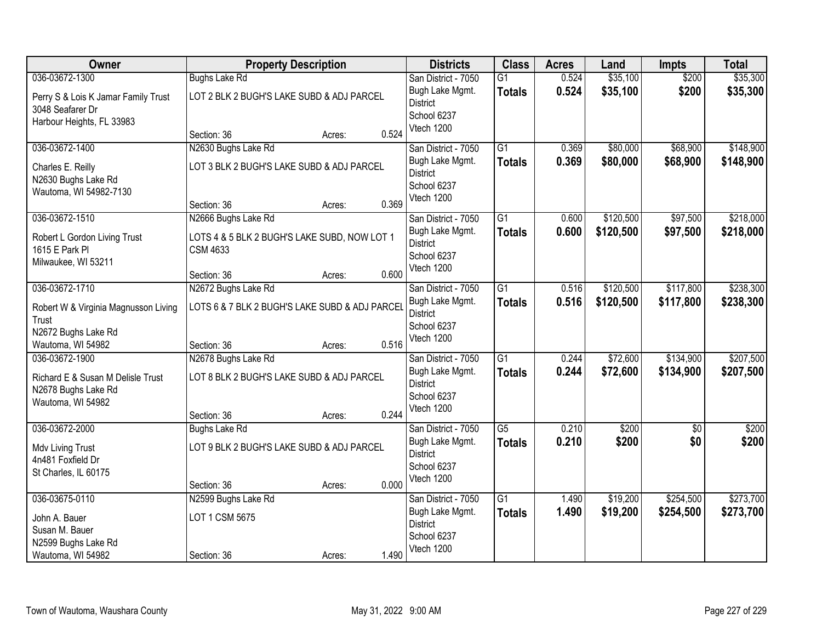| Owner                                          |                                                                 | <b>Property Description</b> |       | <b>Districts</b>                       | <b>Class</b>                     | <b>Acres</b>   | Land                 | <b>Impts</b>         | <b>Total</b>   |
|------------------------------------------------|-----------------------------------------------------------------|-----------------------------|-------|----------------------------------------|----------------------------------|----------------|----------------------|----------------------|----------------|
| 036-03672-1300                                 | <b>Bughs Lake Rd</b>                                            |                             |       | San District - 7050                    | $\overline{G1}$                  | 0.524          | \$35,100             | \$200                | \$35,300       |
| Perry S & Lois K Jamar Family Trust            | LOT 2 BLK 2 BUGH'S LAKE SUBD & ADJ PARCEL                       |                             |       | Bugh Lake Mgmt.<br><b>District</b>     | <b>Totals</b>                    | 0.524          | \$35,100             | \$200                | \$35,300       |
| 3048 Seafarer Dr                               |                                                                 |                             |       | School 6237                            |                                  |                |                      |                      |                |
| Harbour Heights, FL 33983                      |                                                                 |                             |       | Vtech 1200                             |                                  |                |                      |                      |                |
|                                                | Section: 36                                                     | Acres:                      | 0.524 |                                        |                                  |                |                      |                      | \$148,900      |
| 036-03672-1400                                 | N2630 Bughs Lake Rd                                             |                             |       | San District - 7050<br>Bugh Lake Mgmt. | $\overline{G1}$                  | 0.369<br>0.369 | \$80,000<br>\$80,000 | \$68,900<br>\$68,900 | \$148,900      |
| Charles E. Reilly                              | LOT 3 BLK 2 BUGH'S LAKE SUBD & ADJ PARCEL                       |                             |       | <b>District</b>                        | <b>Totals</b>                    |                |                      |                      |                |
| N2630 Bughs Lake Rd                            |                                                                 |                             |       | School 6237                            |                                  |                |                      |                      |                |
| Wautoma, WI 54982-7130                         | Section: 36                                                     | Acres:                      | 0.369 | Vtech 1200                             |                                  |                |                      |                      |                |
| 036-03672-1510                                 | N2666 Bughs Lake Rd                                             |                             |       | San District - 7050                    | $\overline{G1}$                  | 0.600          | \$120,500            | \$97,500             | \$218,000      |
|                                                |                                                                 |                             |       | Bugh Lake Mgmt.                        | <b>Totals</b>                    | 0.600          | \$120,500            | \$97,500             | \$218,000      |
| Robert L Gordon Living Trust<br>1615 E Park PI | LOTS 4 & 5 BLK 2 BUGH'S LAKE SUBD, NOW LOT 1<br><b>CSM 4633</b> |                             |       | <b>District</b>                        |                                  |                |                      |                      |                |
| Milwaukee, WI 53211                            |                                                                 |                             |       | School 6237                            |                                  |                |                      |                      |                |
|                                                | Section: 36                                                     | Acres:                      | 0.600 | Vtech 1200                             |                                  |                |                      |                      |                |
| 036-03672-1710                                 | N2672 Bughs Lake Rd                                             |                             |       | San District - 7050                    | G1                               | 0.516          | \$120,500            | \$117,800            | \$238,300      |
| Robert W & Virginia Magnusson Living           | LOTS 6 & 7 BLK 2 BUGH'S LAKE SUBD & ADJ PARCEL                  |                             |       | Bugh Lake Mgmt.                        | <b>Totals</b>                    | 0.516          | \$120,500            | \$117,800            | \$238,300      |
| Trust                                          |                                                                 |                             |       | <b>District</b>                        |                                  |                |                      |                      |                |
| N2672 Bughs Lake Rd                            |                                                                 |                             |       | School 6237<br>Vtech 1200              |                                  |                |                      |                      |                |
| Wautoma, WI 54982                              | Section: 36                                                     | Acres:                      | 0.516 |                                        |                                  |                |                      |                      |                |
| 036-03672-1900                                 | N2678 Bughs Lake Rd                                             |                             |       | San District - 7050                    | $\overline{G1}$                  | 0.244          | \$72,600             | \$134,900            | \$207,500      |
| Richard E & Susan M Delisle Trust              | LOT 8 BLK 2 BUGH'S LAKE SUBD & ADJ PARCEL                       |                             |       | Bugh Lake Mgmt.<br><b>District</b>     | <b>Totals</b>                    | 0.244          | \$72,600             | \$134,900            | \$207,500      |
| N2678 Bughs Lake Rd                            |                                                                 |                             |       | School 6237                            |                                  |                |                      |                      |                |
| Wautoma, WI 54982                              |                                                                 |                             |       | Vtech 1200                             |                                  |                |                      |                      |                |
|                                                | Section: 36                                                     | Acres:                      | 0.244 |                                        |                                  |                |                      |                      |                |
| 036-03672-2000                                 | Bughs Lake Rd                                                   |                             |       | San District - 7050<br>Bugh Lake Mgmt. | $\overline{G5}$<br><b>Totals</b> | 0.210<br>0.210 | \$200<br>\$200       | $\sqrt{6}$<br>\$0    | \$200<br>\$200 |
| Mdv Living Trust                               | LOT 9 BLK 2 BUGH'S LAKE SUBD & ADJ PARCEL                       |                             |       | <b>District</b>                        |                                  |                |                      |                      |                |
| 4n481 Foxfield Dr                              |                                                                 |                             |       | School 6237                            |                                  |                |                      |                      |                |
| St Charles, IL 60175                           | Section: 36                                                     | Acres:                      | 0.000 | Vtech 1200                             |                                  |                |                      |                      |                |
| 036-03675-0110                                 | N2599 Bughs Lake Rd                                             |                             |       | San District - 7050                    | $\overline{G1}$                  | 1.490          | \$19,200             | \$254,500            | \$273,700      |
|                                                |                                                                 |                             |       | Bugh Lake Mgmt.                        | <b>Totals</b>                    | 1.490          | \$19,200             | \$254,500            | \$273,700      |
| John A. Bauer<br>Susan M. Bauer                | LOT 1 CSM 5675                                                  |                             |       | <b>District</b>                        |                                  |                |                      |                      |                |
| N2599 Bughs Lake Rd                            |                                                                 |                             |       | School 6237                            |                                  |                |                      |                      |                |
| Wautoma, WI 54982                              | Section: 36                                                     | Acres:                      | 1.490 | Vtech 1200                             |                                  |                |                      |                      |                |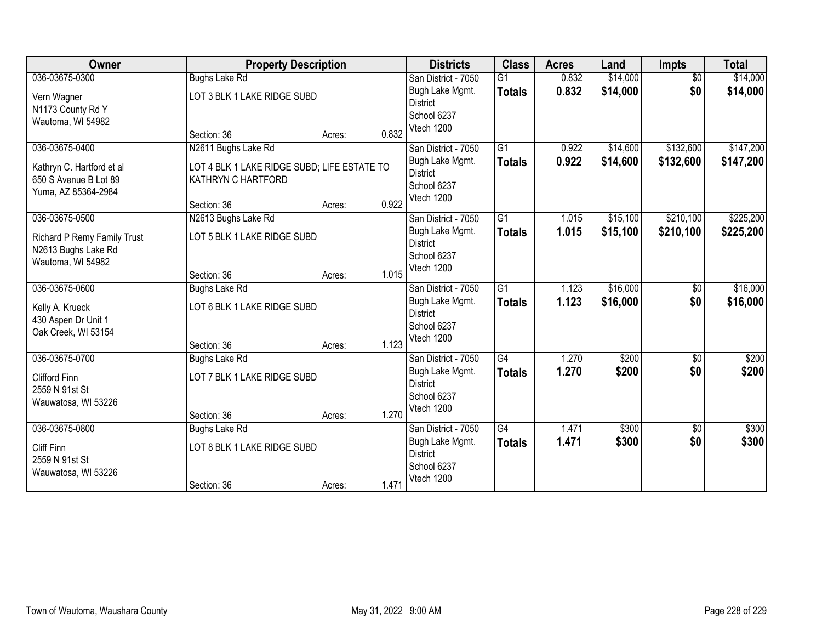| Owner                                                                     | <b>Property Description</b>                                       |        | <b>Districts</b>                                  | <b>Class</b>                     | <b>Acres</b>   | Land                 | <b>Impts</b>           | <b>Total</b>         |
|---------------------------------------------------------------------------|-------------------------------------------------------------------|--------|---------------------------------------------------|----------------------------------|----------------|----------------------|------------------------|----------------------|
| 036-03675-0300                                                            | <b>Bughs Lake Rd</b>                                              |        | San District - 7050<br>Bugh Lake Mgmt.            | $\overline{G1}$<br><b>Totals</b> | 0.832<br>0.832 | \$14,000<br>\$14,000 | $\overline{60}$<br>\$0 | \$14,000<br>\$14,000 |
| Vern Wagner<br>N1173 County Rd Y                                          | LOT 3 BLK 1 LAKE RIDGE SUBD                                       |        | <b>District</b>                                   |                                  |                |                      |                        |                      |
| Wautoma, WI 54982                                                         |                                                                   |        | School 6237                                       |                                  |                |                      |                        |                      |
|                                                                           | Section: 36                                                       | Acres: | Vtech 1200<br>0.832                               |                                  |                |                      |                        |                      |
| 036-03675-0400                                                            | N2611 Bughs Lake Rd                                               |        | San District - 7050                               | $\overline{G1}$                  | 0.922          | \$14,600             | \$132,600              | \$147,200            |
| Kathryn C. Hartford et al<br>650 S Avenue B Lot 89<br>Yuma, AZ 85364-2984 | LOT 4 BLK 1 LAKE RIDGE SUBD; LIFE ESTATE TO<br>KATHRYN C HARTFORD |        | Bugh Lake Mgmt.<br><b>District</b><br>School 6237 | <b>Totals</b>                    | 0.922          | \$14,600             | \$132,600              | \$147,200            |
|                                                                           | Section: 36                                                       | Acres: | Vtech 1200<br>0.922                               |                                  |                |                      |                        |                      |
| 036-03675-0500                                                            | N2613 Bughs Lake Rd                                               |        | San District - 7050                               | $\overline{G1}$                  | 1.015          | \$15,100             | \$210,100              | \$225,200            |
| <b>Richard P Remy Family Trust</b>                                        | LOT 5 BLK 1 LAKE RIDGE SUBD                                       |        | Bugh Lake Mgmt.<br><b>District</b>                | <b>Totals</b>                    | 1.015          | \$15,100             | \$210,100              | \$225,200            |
| N2613 Bughs Lake Rd<br>Wautoma, WI 54982                                  |                                                                   |        | School 6237                                       |                                  |                |                      |                        |                      |
|                                                                           | Section: 36                                                       | Acres: | Vtech 1200<br>1.015                               |                                  |                |                      |                        |                      |
| 036-03675-0600                                                            | <b>Bughs Lake Rd</b>                                              |        | San District - 7050                               | $\overline{G1}$                  | 1.123          | \$16,000             | \$0                    | \$16,000             |
| Kelly A. Krueck<br>430 Aspen Dr Unit 1                                    | LOT 6 BLK 1 LAKE RIDGE SUBD                                       |        | Bugh Lake Mgmt.<br><b>District</b>                | <b>Totals</b>                    | 1.123          | \$16,000             | \$0                    | \$16,000             |
| Oak Creek, WI 53154                                                       |                                                                   |        | School 6237<br>Vtech 1200                         |                                  |                |                      |                        |                      |
|                                                                           | Section: 36                                                       | Acres: | 1.123                                             |                                  |                |                      |                        |                      |
| 036-03675-0700                                                            | Bughs Lake Rd                                                     |        | San District - 7050                               | $\overline{G4}$                  | 1.270          | \$200                | $\sqrt[6]{}$           | \$200                |
| Clifford Finn                                                             | LOT 7 BLK 1 LAKE RIDGE SUBD                                       |        | Bugh Lake Mgmt.<br><b>District</b>                | <b>Totals</b>                    | 1.270          | \$200                | \$0                    | \$200                |
| 2559 N 91st St                                                            |                                                                   |        | School 6237                                       |                                  |                |                      |                        |                      |
| Wauwatosa, WI 53226                                                       | Section: 36                                                       | Acres: | Vtech 1200<br>1.270                               |                                  |                |                      |                        |                      |
| 036-03675-0800                                                            | Bughs Lake Rd                                                     |        | San District - 7050                               | G4                               | 1.471          | \$300                | $\overline{60}$        | \$300                |
| Cliff Finn                                                                | LOT 8 BLK 1 LAKE RIDGE SUBD                                       |        | Bugh Lake Mgmt.<br><b>District</b>                | <b>Totals</b>                    | 1.471          | \$300                | \$0                    | \$300                |
| 2559 N 91st St                                                            |                                                                   |        | School 6237                                       |                                  |                |                      |                        |                      |
| Wauwatosa, WI 53226                                                       | Section: 36                                                       | Acres: | Vtech 1200<br>1.471                               |                                  |                |                      |                        |                      |